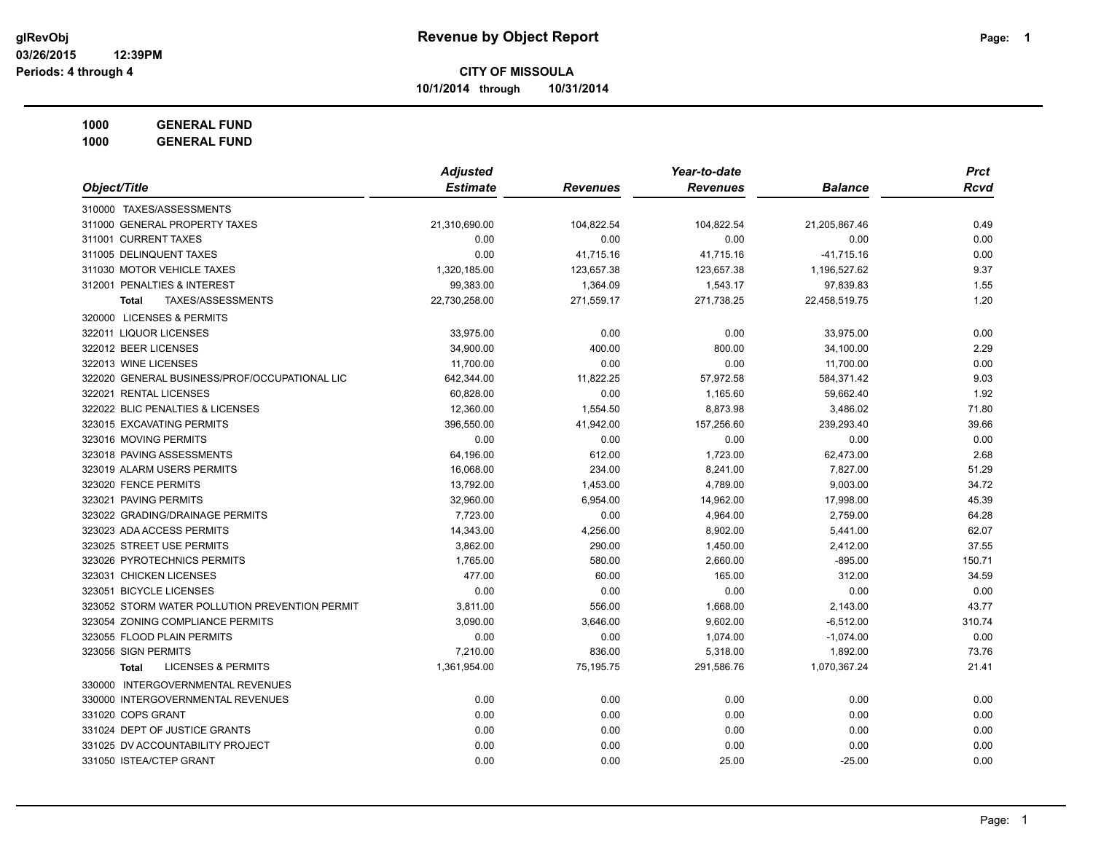**10/1/2014 through 10/31/2014**

**1000 GENERAL FUND**

|                                                | <b>Adjusted</b> |                 | Year-to-date    |                | <b>Prct</b> |
|------------------------------------------------|-----------------|-----------------|-----------------|----------------|-------------|
| Object/Title                                   | <b>Estimate</b> | <b>Revenues</b> | <b>Revenues</b> | <b>Balance</b> | <b>Rcvd</b> |
| 310000 TAXES/ASSESSMENTS                       |                 |                 |                 |                |             |
| 311000 GENERAL PROPERTY TAXES                  | 21,310,690.00   | 104,822.54      | 104,822.54      | 21,205,867.46  | 0.49        |
| 311001 CURRENT TAXES                           | 0.00            | 0.00            | 0.00            | 0.00           | 0.00        |
| 311005 DELINQUENT TAXES                        | 0.00            | 41,715.16       | 41,715.16       | $-41,715.16$   | 0.00        |
| 311030 MOTOR VEHICLE TAXES                     | 1,320,185.00    | 123,657.38      | 123,657.38      | 1,196,527.62   | 9.37        |
| 312001 PENALTIES & INTEREST                    | 99,383.00       | 1,364.09        | 1,543.17        | 97,839.83      | 1.55        |
| TAXES/ASSESSMENTS<br><b>Total</b>              | 22,730,258.00   | 271,559.17      | 271,738.25      | 22,458,519.75  | 1.20        |
| 320000 LICENSES & PERMITS                      |                 |                 |                 |                |             |
| 322011 LIQUOR LICENSES                         | 33,975.00       | 0.00            | 0.00            | 33,975.00      | 0.00        |
| 322012 BEER LICENSES                           | 34,900.00       | 400.00          | 800.00          | 34,100.00      | 2.29        |
| 322013 WINE LICENSES                           | 11,700.00       | 0.00            | 0.00            | 11,700.00      | 0.00        |
| 322020 GENERAL BUSINESS/PROF/OCCUPATIONAL LIC  | 642,344.00      | 11,822.25       | 57,972.58       | 584,371.42     | 9.03        |
| 322021 RENTAL LICENSES                         | 60,828.00       | 0.00            | 1,165.60        | 59,662.40      | 1.92        |
| 322022 BLIC PENALTIES & LICENSES               | 12,360.00       | 1,554.50        | 8,873.98        | 3,486.02       | 71.80       |
| 323015 EXCAVATING PERMITS                      | 396,550.00      | 41,942.00       | 157,256.60      | 239,293.40     | 39.66       |
| 323016 MOVING PERMITS                          | 0.00            | 0.00            | 0.00            | 0.00           | 0.00        |
| 323018 PAVING ASSESSMENTS                      | 64,196.00       | 612.00          | 1,723.00        | 62,473.00      | 2.68        |
| 323019 ALARM USERS PERMITS                     | 16,068.00       | 234.00          | 8,241.00        | 7,827.00       | 51.29       |
| 323020 FENCE PERMITS                           | 13,792.00       | 1,453.00        | 4,789.00        | 9,003.00       | 34.72       |
| 323021 PAVING PERMITS                          | 32,960.00       | 6,954.00        | 14,962.00       | 17,998.00      | 45.39       |
| 323022 GRADING/DRAINAGE PERMITS                | 7,723.00        | 0.00            | 4,964.00        | 2,759.00       | 64.28       |
| 323023 ADA ACCESS PERMITS                      | 14,343.00       | 4,256.00        | 8,902.00        | 5,441.00       | 62.07       |
| 323025 STREET USE PERMITS                      | 3,862.00        | 290.00          | 1,450.00        | 2,412.00       | 37.55       |
| 323026 PYROTECHNICS PERMITS                    | 1,765.00        | 580.00          | 2,660.00        | $-895.00$      | 150.71      |
| 323031 CHICKEN LICENSES                        | 477.00          | 60.00           | 165.00          | 312.00         | 34.59       |
| 323051 BICYCLE LICENSES                        | 0.00            | 0.00            | 0.00            | 0.00           | 0.00        |
| 323052 STORM WATER POLLUTION PREVENTION PERMIT | 3,811.00        | 556.00          | 1,668.00        | 2,143.00       | 43.77       |
| 323054 ZONING COMPLIANCE PERMITS               | 3,090.00        | 3,646.00        | 9,602.00        | $-6,512.00$    | 310.74      |
| 323055 FLOOD PLAIN PERMITS                     | 0.00            | 0.00            | 1,074.00        | $-1,074.00$    | 0.00        |
| 323056 SIGN PERMITS                            | 7,210.00        | 836.00          | 5,318.00        | 1,892.00       | 73.76       |
| <b>LICENSES &amp; PERMITS</b><br><b>Total</b>  | 1,361,954.00    | 75,195.75       | 291,586.76      | 1,070,367.24   | 21.41       |
| 330000 INTERGOVERNMENTAL REVENUES              |                 |                 |                 |                |             |
| 330000 INTERGOVERNMENTAL REVENUES              | 0.00            | 0.00            | 0.00            | 0.00           | 0.00        |
| 331020 COPS GRANT                              | 0.00            | 0.00            | 0.00            | 0.00           | 0.00        |
| 331024 DEPT OF JUSTICE GRANTS                  | 0.00            | 0.00            | 0.00            | 0.00           | 0.00        |
| 331025 DV ACCOUNTABILITY PROJECT               | 0.00            | 0.00            | 0.00            | 0.00           | 0.00        |
| 331050 ISTEA/CTEP GRANT                        | 0.00            | 0.00            | 25.00           | $-25.00$       | 0.00        |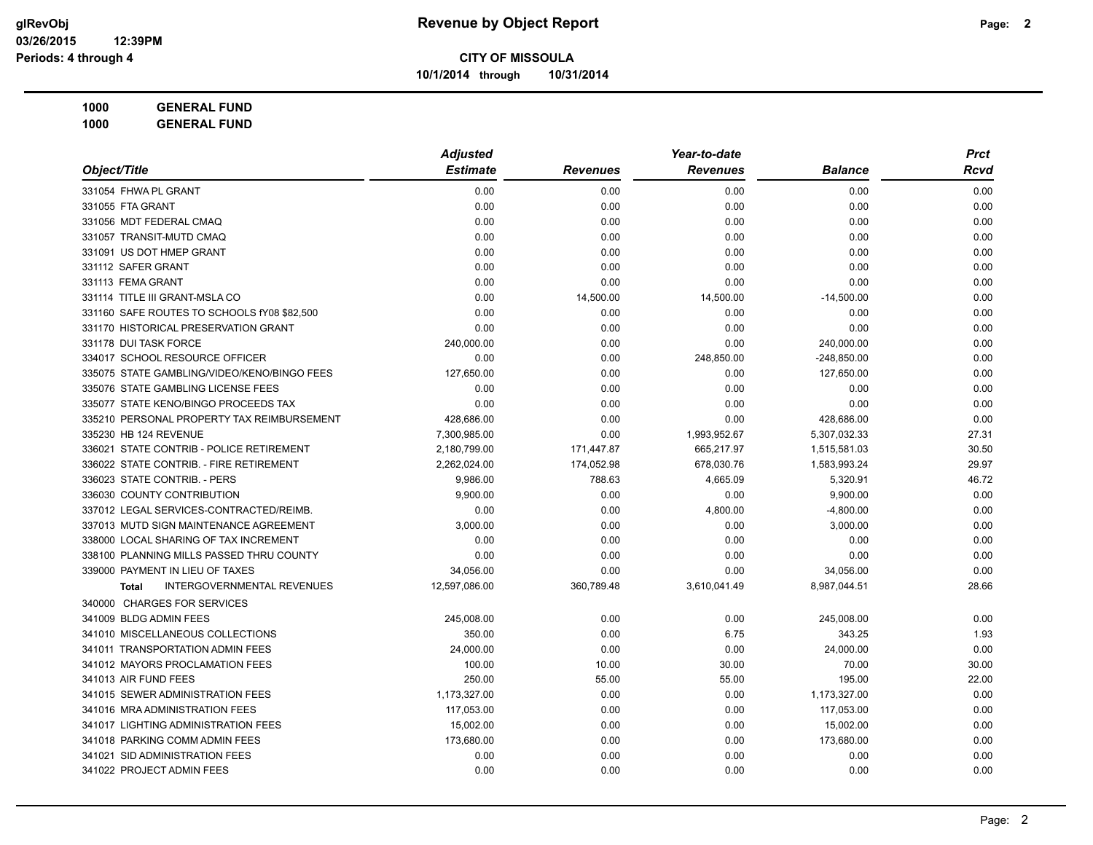**10/1/2014 through 10/31/2014**

**1000 GENERAL FUND 1000 GENERAL FUND**

| Object/Title                                      | <b>Adjusted</b> |                 | Year-to-date    |                | <b>Prct</b> |
|---------------------------------------------------|-----------------|-----------------|-----------------|----------------|-------------|
|                                                   | <b>Estimate</b> | <b>Revenues</b> | <b>Revenues</b> | <b>Balance</b> | Rcvd        |
| 331054 FHWA PL GRANT                              | 0.00            | 0.00            | 0.00            | 0.00           | 0.00        |
| 331055 FTA GRANT                                  | 0.00            | 0.00            | 0.00            | 0.00           | 0.00        |
| 331056 MDT FEDERAL CMAQ                           | 0.00            | 0.00            | 0.00            | 0.00           | 0.00        |
| 331057 TRANSIT-MUTD CMAQ                          | 0.00            | 0.00            | 0.00            | 0.00           | 0.00        |
| 331091 US DOT HMEP GRANT                          | 0.00            | 0.00            | 0.00            | 0.00           | 0.00        |
| 331112 SAFER GRANT                                | 0.00            | 0.00            | 0.00            | 0.00           | 0.00        |
| 331113 FEMA GRANT                                 | 0.00            | 0.00            | 0.00            | 0.00           | 0.00        |
| 331114 TITLE III GRANT-MSLA CO                    | 0.00            | 14,500.00       | 14,500.00       | $-14,500.00$   | 0.00        |
| 331160 SAFE ROUTES TO SCHOOLS fY08 \$82,500       | 0.00            | 0.00            | 0.00            | 0.00           | 0.00        |
| 331170 HISTORICAL PRESERVATION GRANT              | 0.00            | 0.00            | 0.00            | 0.00           | 0.00        |
| 331178 DUI TASK FORCE                             | 240,000.00      | 0.00            | 0.00            | 240,000.00     | 0.00        |
| 334017 SCHOOL RESOURCE OFFICER                    | 0.00            | 0.00            | 248,850.00      | $-248,850.00$  | 0.00        |
| 335075 STATE GAMBLING/VIDEO/KENO/BINGO FEES       | 127,650.00      | 0.00            | 0.00            | 127,650.00     | 0.00        |
| 335076 STATE GAMBLING LICENSE FEES                | 0.00            | 0.00            | 0.00            | 0.00           | 0.00        |
| 335077 STATE KENO/BINGO PROCEEDS TAX              | 0.00            | 0.00            | 0.00            | 0.00           | 0.00        |
| 335210 PERSONAL PROPERTY TAX REIMBURSEMENT        | 428,686.00      | 0.00            | 0.00            | 428,686.00     | 0.00        |
| 335230 HB 124 REVENUE                             | 7,300,985.00    | 0.00            | 1,993,952.67    | 5,307,032.33   | 27.31       |
| 336021 STATE CONTRIB - POLICE RETIREMENT          | 2,180,799.00    | 171,447.87      | 665,217.97      | 1,515,581.03   | 30.50       |
| 336022 STATE CONTRIB. - FIRE RETIREMENT           | 2,262,024.00    | 174,052.98      | 678,030.76      | 1,583,993.24   | 29.97       |
| 336023 STATE CONTRIB. - PERS                      | 9,986.00        | 788.63          | 4,665.09        | 5,320.91       | 46.72       |
| 336030 COUNTY CONTRIBUTION                        | 9,900.00        | 0.00            | 0.00            | 9,900.00       | 0.00        |
| 337012 LEGAL SERVICES-CONTRACTED/REIMB.           | 0.00            | 0.00            | 4,800.00        | $-4,800.00$    | 0.00        |
| 337013 MUTD SIGN MAINTENANCE AGREEMENT            | 3,000.00        | 0.00            | 0.00            | 3,000.00       | 0.00        |
| 338000 LOCAL SHARING OF TAX INCREMENT             | 0.00            | 0.00            | 0.00            | 0.00           | 0.00        |
| 338100 PLANNING MILLS PASSED THRU COUNTY          | 0.00            | 0.00            | 0.00            | 0.00           | 0.00        |
| 339000 PAYMENT IN LIEU OF TAXES                   | 34,056.00       | 0.00            | 0.00            | 34,056.00      | 0.00        |
| <b>INTERGOVERNMENTAL REVENUES</b><br><b>Total</b> | 12,597,086.00   | 360,789.48      | 3,610,041.49    | 8,987,044.51   | 28.66       |
| 340000 CHARGES FOR SERVICES                       |                 |                 |                 |                |             |
| 341009 BLDG ADMIN FEES                            | 245,008.00      | 0.00            | 0.00            | 245,008.00     | 0.00        |
| 341010 MISCELLANEOUS COLLECTIONS                  | 350.00          | 0.00            | 6.75            | 343.25         | 1.93        |
| 341011 TRANSPORTATION ADMIN FEES                  | 24,000.00       | 0.00            | 0.00            | 24,000.00      | 0.00        |
| 341012 MAYORS PROCLAMATION FEES                   | 100.00          | 10.00           | 30.00           | 70.00          | 30.00       |
| 341013 AIR FUND FEES                              | 250.00          | 55.00           | 55.00           | 195.00         | 22.00       |
| 341015 SEWER ADMINISTRATION FEES                  | 1,173,327.00    | 0.00            | 0.00            | 1,173,327.00   | 0.00        |
| 341016 MRA ADMINISTRATION FEES                    | 117,053.00      | 0.00            | 0.00            | 117,053.00     | 0.00        |
| 341017 LIGHTING ADMINISTRATION FEES               | 15,002.00       | 0.00            | 0.00            | 15,002.00      | 0.00        |
| 341018 PARKING COMM ADMIN FEES                    | 173,680.00      | 0.00            | 0.00            | 173,680.00     | 0.00        |
| 341021 SID ADMINISTRATION FEES                    | 0.00            | 0.00            | 0.00            | 0.00           | 0.00        |
| 341022 PROJECT ADMIN FEES                         | 0.00            | 0.00            | 0.00            | 0.00           | 0.00        |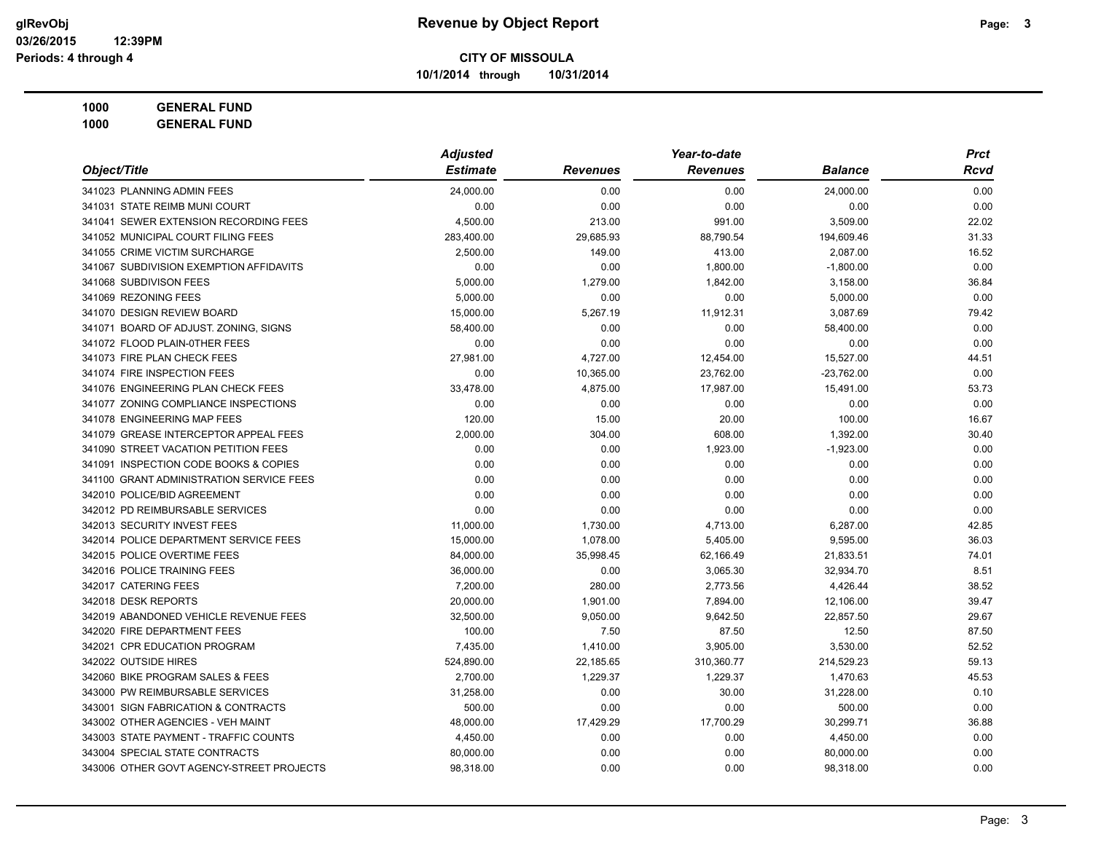**10/1/2014 through 10/31/2014**

**1000 GENERAL FUND 1000 GENERAL FUND**

|                                          | <b>Adjusted</b> |                 | Year-to-date    |                | <b>Prct</b> |
|------------------------------------------|-----------------|-----------------|-----------------|----------------|-------------|
| Object/Title                             | <b>Estimate</b> | <b>Revenues</b> | <b>Revenues</b> | <b>Balance</b> | Rcvd        |
| 341023 PLANNING ADMIN FEES               | 24,000.00       | 0.00            | 0.00            | 24,000.00      | 0.00        |
| 341031 STATE REIMB MUNI COURT            | 0.00            | 0.00            | 0.00            | 0.00           | 0.00        |
| 341041 SEWER EXTENSION RECORDING FEES    | 4,500.00        | 213.00          | 991.00          | 3,509.00       | 22.02       |
| 341052 MUNICIPAL COURT FILING FEES       | 283,400.00      | 29,685.93       | 88,790.54       | 194,609.46     | 31.33       |
| 341055 CRIME VICTIM SURCHARGE            | 2,500.00        | 149.00          | 413.00          | 2,087.00       | 16.52       |
| 341067 SUBDIVISION EXEMPTION AFFIDAVITS  | 0.00            | 0.00            | 1,800.00        | $-1,800.00$    | 0.00        |
| 341068 SUBDIVISON FEES                   | 5,000.00        | 1,279.00        | 1,842.00        | 3,158.00       | 36.84       |
| 341069 REZONING FEES                     | 5,000.00        | 0.00            | 0.00            | 5,000.00       | 0.00        |
| 341070 DESIGN REVIEW BOARD               | 15,000.00       | 5,267.19        | 11,912.31       | 3,087.69       | 79.42       |
| 341071 BOARD OF ADJUST. ZONING, SIGNS    | 58,400.00       | 0.00            | 0.00            | 58,400.00      | 0.00        |
| 341072 FLOOD PLAIN-0THER FEES            | 0.00            | 0.00            | 0.00            | 0.00           | 0.00        |
| 341073 FIRE PLAN CHECK FEES              | 27,981.00       | 4,727.00        | 12,454.00       | 15,527.00      | 44.51       |
| 341074 FIRE INSPECTION FEES              | 0.00            | 10,365.00       | 23,762.00       | $-23,762.00$   | 0.00        |
| 341076 ENGINEERING PLAN CHECK FEES       | 33,478.00       | 4,875.00        | 17,987.00       | 15,491.00      | 53.73       |
| 341077 ZONING COMPLIANCE INSPECTIONS     | 0.00            | 0.00            | 0.00            | 0.00           | 0.00        |
| 341078 ENGINEERING MAP FEES              | 120.00          | 15.00           | 20.00           | 100.00         | 16.67       |
| 341079 GREASE INTERCEPTOR APPEAL FEES    | 2,000.00        | 304.00          | 608.00          | 1,392.00       | 30.40       |
| 341090 STREET VACATION PETITION FEES     | 0.00            | 0.00            | 1,923.00        | $-1,923.00$    | 0.00        |
| 341091 INSPECTION CODE BOOKS & COPIES    | 0.00            | 0.00            | 0.00            | 0.00           | 0.00        |
| 341100 GRANT ADMINISTRATION SERVICE FEES | 0.00            | 0.00            | 0.00            | 0.00           | 0.00        |
| 342010 POLICE/BID AGREEMENT              | 0.00            | 0.00            | 0.00            | 0.00           | 0.00        |
| 342012 PD REIMBURSABLE SERVICES          | 0.00            | 0.00            | 0.00            | 0.00           | 0.00        |
| 342013 SECURITY INVEST FEES              | 11,000.00       | 1,730.00        | 4,713.00        | 6,287.00       | 42.85       |
| 342014 POLICE DEPARTMENT SERVICE FEES    | 15,000.00       | 1,078.00        | 5,405.00        | 9,595.00       | 36.03       |
| 342015 POLICE OVERTIME FEES              | 84,000.00       | 35,998.45       | 62,166.49       | 21,833.51      | 74.01       |
| 342016 POLICE TRAINING FEES              | 36,000.00       | 0.00            | 3,065.30        | 32,934.70      | 8.51        |
| 342017 CATERING FEES                     | 7,200.00        | 280.00          | 2,773.56        | 4,426.44       | 38.52       |
| 342018 DESK REPORTS                      | 20,000.00       | 1,901.00        | 7,894.00        | 12,106.00      | 39.47       |
| 342019 ABANDONED VEHICLE REVENUE FEES    | 32,500.00       | 9,050.00        | 9,642.50        | 22,857.50      | 29.67       |
| 342020 FIRE DEPARTMENT FEES              | 100.00          | 7.50            | 87.50           | 12.50          | 87.50       |
| 342021 CPR EDUCATION PROGRAM             | 7,435.00        | 1,410.00        | 3,905.00        | 3,530.00       | 52.52       |
| 342022 OUTSIDE HIRES                     | 524,890.00      | 22,185.65       | 310,360.77      | 214,529.23     | 59.13       |
| 342060 BIKE PROGRAM SALES & FEES         | 2,700.00        | 1,229.37        | 1,229.37        | 1,470.63       | 45.53       |
| 343000 PW REIMBURSABLE SERVICES          | 31,258.00       | 0.00            | 30.00           | 31,228.00      | 0.10        |
| 343001 SIGN FABRICATION & CONTRACTS      | 500.00          | 0.00            | 0.00            | 500.00         | 0.00        |
| 343002 OTHER AGENCIES - VEH MAINT        | 48,000.00       | 17,429.29       | 17,700.29       | 30,299.71      | 36.88       |
| 343003 STATE PAYMENT - TRAFFIC COUNTS    | 4,450.00        | 0.00            | 0.00            | 4,450.00       | 0.00        |
| 343004 SPECIAL STATE CONTRACTS           | 80,000.00       | 0.00            | 0.00            | 80,000.00      | 0.00        |
| 343006 OTHER GOVT AGENCY-STREET PROJECTS | 98,318.00       | 0.00            | 0.00            | 98,318.00      | 0.00        |
|                                          |                 |                 |                 |                |             |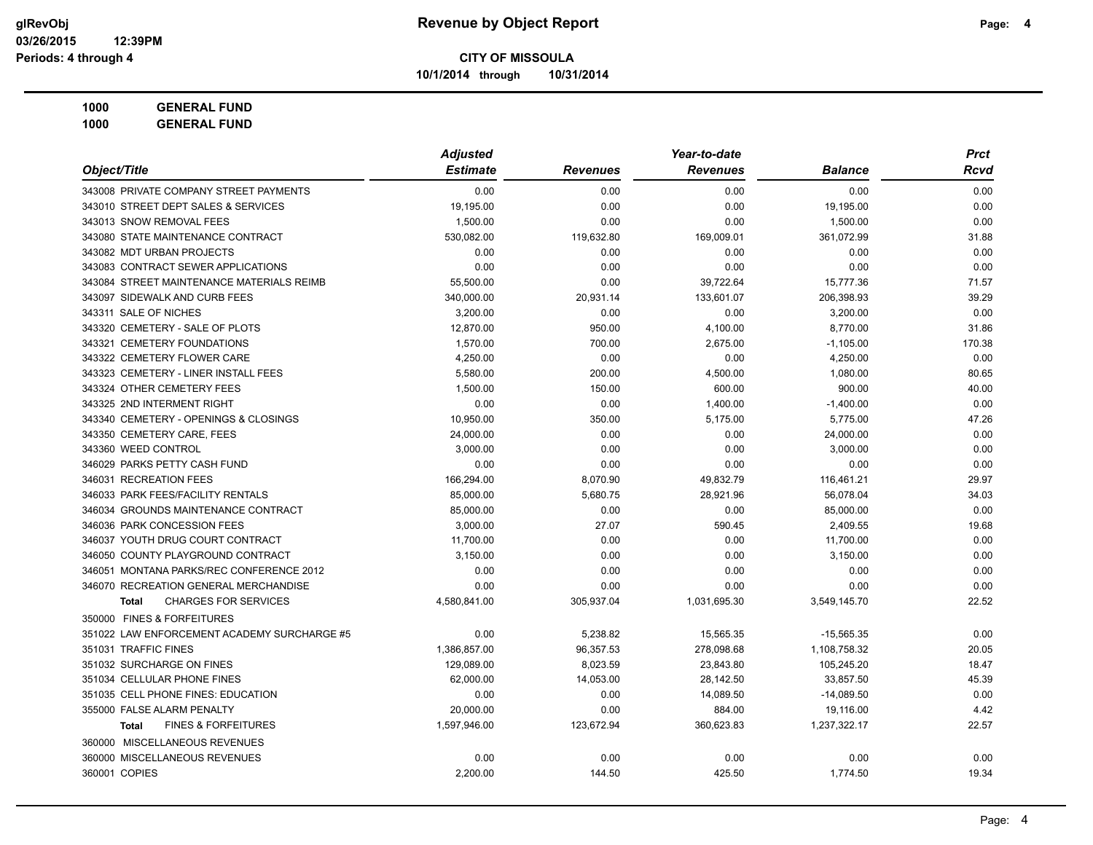**10/1/2014 through 10/31/2014**

**1000 GENERAL FUND**

| Object/Title                                   | <b>Adjusted</b> |                 | Year-to-date    |                | <b>Prct</b> |
|------------------------------------------------|-----------------|-----------------|-----------------|----------------|-------------|
|                                                | <b>Estimate</b> | <b>Revenues</b> | <b>Revenues</b> | <b>Balance</b> | Rcvd        |
| 343008 PRIVATE COMPANY STREET PAYMENTS         | 0.00            | 0.00            | 0.00            | 0.00           | 0.00        |
| 343010 STREET DEPT SALES & SERVICES            | 19,195.00       | 0.00            | 0.00            | 19,195.00      | 0.00        |
| 343013 SNOW REMOVAL FEES                       | 1,500.00        | 0.00            | 0.00            | 1,500.00       | 0.00        |
| 343080 STATE MAINTENANCE CONTRACT              | 530,082.00      | 119,632.80      | 169,009.01      | 361,072.99     | 31.88       |
| 343082 MDT URBAN PROJECTS                      | 0.00            | 0.00            | 0.00            | 0.00           | 0.00        |
| 343083 CONTRACT SEWER APPLICATIONS             | 0.00            | 0.00            | 0.00            | 0.00           | 0.00        |
| 343084 STREET MAINTENANCE MATERIALS REIMB      | 55,500.00       | 0.00            | 39,722.64       | 15,777.36      | 71.57       |
| 343097 SIDEWALK AND CURB FEES                  | 340,000.00      | 20,931.14       | 133,601.07      | 206,398.93     | 39.29       |
| 343311 SALE OF NICHES                          | 3,200.00        | 0.00            | 0.00            | 3,200.00       | 0.00        |
| 343320 CEMETERY - SALE OF PLOTS                | 12.870.00       | 950.00          | 4,100.00        | 8,770.00       | 31.86       |
| 343321 CEMETERY FOUNDATIONS                    | 1,570.00        | 700.00          | 2,675.00        | $-1,105.00$    | 170.38      |
| 343322 CEMETERY FLOWER CARE                    | 4,250.00        | 0.00            | 0.00            | 4,250.00       | 0.00        |
| 343323 CEMETERY - LINER INSTALL FEES           | 5,580.00        | 200.00          | 4,500.00        | 1,080.00       | 80.65       |
| 343324 OTHER CEMETERY FEES                     | 1,500.00        | 150.00          | 600.00          | 900.00         | 40.00       |
| 343325 2ND INTERMENT RIGHT                     | 0.00            | 0.00            | 1,400.00        | $-1,400.00$    | 0.00        |
| 343340 CEMETERY - OPENINGS & CLOSINGS          | 10,950.00       | 350.00          | 5,175.00        | 5,775.00       | 47.26       |
| 343350 CEMETERY CARE, FEES                     | 24,000.00       | 0.00            | 0.00            | 24,000.00      | 0.00        |
| 343360 WEED CONTROL                            | 3,000.00        | 0.00            | 0.00            | 3,000.00       | 0.00        |
| 346029 PARKS PETTY CASH FUND                   | 0.00            | 0.00            | 0.00            | 0.00           | 0.00        |
| 346031 RECREATION FEES                         | 166,294.00      | 8,070.90        | 49,832.79       | 116,461.21     | 29.97       |
| 346033 PARK FEES/FACILITY RENTALS              | 85,000.00       | 5,680.75        | 28,921.96       | 56,078.04      | 34.03       |
| 346034 GROUNDS MAINTENANCE CONTRACT            | 85,000.00       | 0.00            | 0.00            | 85,000.00      | 0.00        |
| 346036 PARK CONCESSION FEES                    | 3,000.00        | 27.07           | 590.45          | 2,409.55       | 19.68       |
| 346037 YOUTH DRUG COURT CONTRACT               | 11,700.00       | 0.00            | 0.00            | 11,700.00      | 0.00        |
| 346050 COUNTY PLAYGROUND CONTRACT              | 3,150.00        | 0.00            | 0.00            | 3,150.00       | 0.00        |
| 346051 MONTANA PARKS/REC CONFERENCE 2012       | 0.00            | 0.00            | 0.00            | 0.00           | 0.00        |
| 346070 RECREATION GENERAL MERCHANDISE          | 0.00            | 0.00            | 0.00            | 0.00           | 0.00        |
| <b>CHARGES FOR SERVICES</b><br><b>Total</b>    | 4,580,841.00    | 305,937.04      | 1,031,695.30    | 3,549,145.70   | 22.52       |
| 350000 FINES & FORFEITURES                     |                 |                 |                 |                |             |
| 351022 LAW ENFORCEMENT ACADEMY SURCHARGE #5    | 0.00            | 5,238.82        | 15,565.35       | $-15,565.35$   | 0.00        |
| 351031 TRAFFIC FINES                           | 1,386,857.00    | 96,357.53       | 278,098.68      | 1,108,758.32   | 20.05       |
| 351032 SURCHARGE ON FINES                      | 129,089.00      | 8,023.59        | 23,843.80       | 105,245.20     | 18.47       |
| 351034 CELLULAR PHONE FINES                    | 62,000.00       | 14,053.00       | 28,142.50       | 33,857.50      | 45.39       |
| 351035 CELL PHONE FINES: EDUCATION             | 0.00            | 0.00            | 14,089.50       | $-14,089.50$   | 0.00        |
| 355000 FALSE ALARM PENALTY                     | 20,000.00       | 0.00            | 884.00          | 19,116.00      | 4.42        |
| <b>FINES &amp; FORFEITURES</b><br><b>Total</b> | 1,597,946.00    | 123,672.94      | 360,623.83      | 1,237,322.17   | 22.57       |
| 360000 MISCELLANEOUS REVENUES                  |                 |                 |                 |                |             |
| 360000 MISCELLANEOUS REVENUES                  | 0.00            | 0.00            | 0.00            | 0.00           | 0.00        |
| 360001 COPIES                                  | 2,200.00        | 144.50          | 425.50          | 1,774.50       | 19.34       |
|                                                |                 |                 |                 |                |             |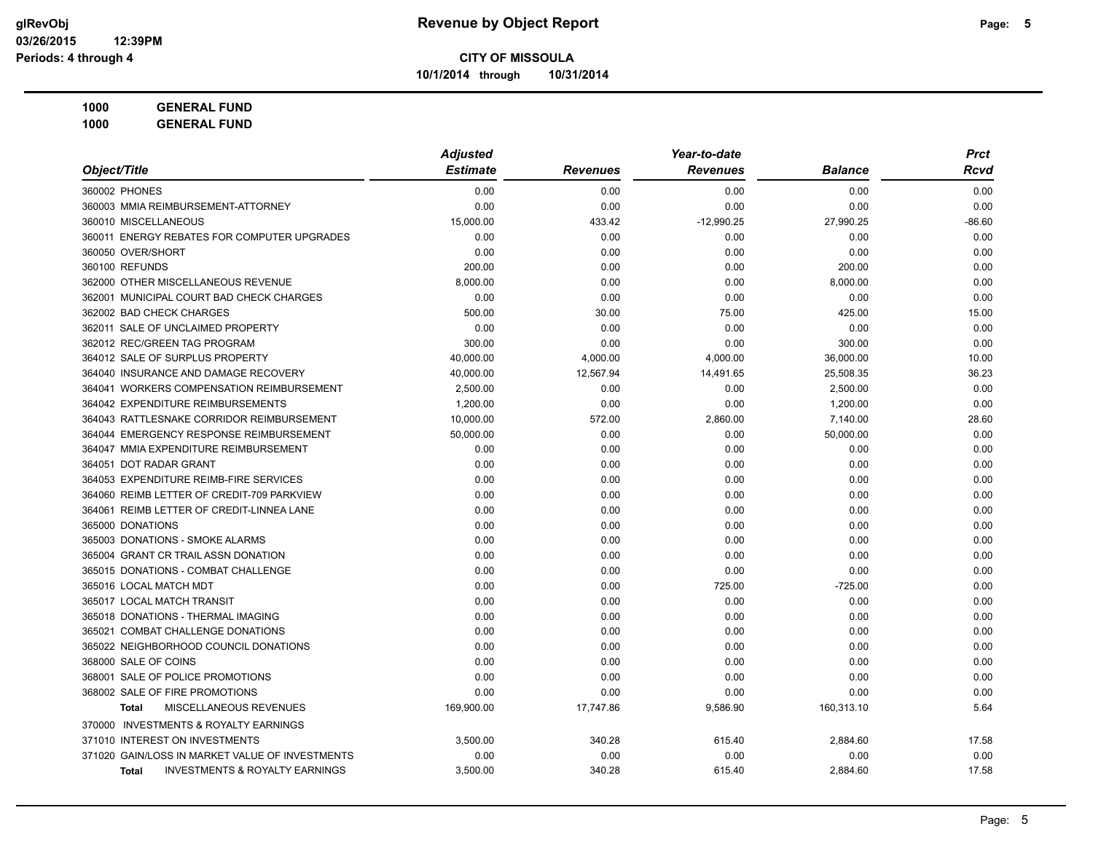**10/1/2014 through 10/31/2014**

| 1000 | <b>GENERAL FUND</b> |
|------|---------------------|
|------|---------------------|

|                                                           | <b>Adjusted</b> |                 | Year-to-date    |                | <b>Prct</b> |
|-----------------------------------------------------------|-----------------|-----------------|-----------------|----------------|-------------|
| Object/Title                                              | <b>Estimate</b> | <b>Revenues</b> | <b>Revenues</b> | <b>Balance</b> | Rcvd        |
| 360002 PHONES                                             | 0.00            | 0.00            | 0.00            | 0.00           | 0.00        |
| 360003 MMIA REIMBURSEMENT-ATTORNEY                        | 0.00            | 0.00            | 0.00            | 0.00           | 0.00        |
| 360010 MISCELLANEOUS                                      | 15,000.00       | 433.42          | $-12,990.25$    | 27,990.25      | $-86.60$    |
| 360011 ENERGY REBATES FOR COMPUTER UPGRADES               | 0.00            | 0.00            | 0.00            | 0.00           | 0.00        |
| 360050 OVER/SHORT                                         | 0.00            | 0.00            | 0.00            | 0.00           | 0.00        |
| 360100 REFUNDS                                            | 200.00          | 0.00            | 0.00            | 200.00         | 0.00        |
| 362000 OTHER MISCELLANEOUS REVENUE                        | 8,000.00        | 0.00            | 0.00            | 8,000.00       | 0.00        |
| 362001 MUNICIPAL COURT BAD CHECK CHARGES                  | 0.00            | 0.00            | 0.00            | 0.00           | 0.00        |
| 362002 BAD CHECK CHARGES                                  | 500.00          | 30.00           | 75.00           | 425.00         | 15.00       |
| 362011 SALE OF UNCLAIMED PROPERTY                         | 0.00            | 0.00            | 0.00            | 0.00           | 0.00        |
| 362012 REC/GREEN TAG PROGRAM                              | 300.00          | 0.00            | 0.00            | 300.00         | 0.00        |
| 364012 SALE OF SURPLUS PROPERTY                           | 40.000.00       | 4,000.00        | 4,000.00        | 36,000.00      | 10.00       |
| 364040 INSURANCE AND DAMAGE RECOVERY                      | 40,000.00       | 12,567.94       | 14,491.65       | 25,508.35      | 36.23       |
| 364041 WORKERS COMPENSATION REIMBURSEMENT                 | 2,500.00        | 0.00            | 0.00            | 2,500.00       | 0.00        |
| 364042 EXPENDITURE REIMBURSEMENTS                         | 1,200.00        | 0.00            | 0.00            | 1,200.00       | 0.00        |
| 364043 RATTLESNAKE CORRIDOR REIMBURSEMENT                 | 10,000.00       | 572.00          | 2,860.00        | 7,140.00       | 28.60       |
| 364044 EMERGENCY RESPONSE REIMBURSEMENT                   | 50,000.00       | 0.00            | 0.00            | 50,000.00      | 0.00        |
| 364047 MMIA EXPENDITURE REIMBURSEMENT                     | 0.00            | 0.00            | 0.00            | 0.00           | 0.00        |
| 364051 DOT RADAR GRANT                                    | 0.00            | 0.00            | 0.00            | 0.00           | 0.00        |
| 364053 EXPENDITURE REIMB-FIRE SERVICES                    | 0.00            | 0.00            | 0.00            | 0.00           | 0.00        |
| 364060 REIMB LETTER OF CREDIT-709 PARKVIEW                | 0.00            | 0.00            | 0.00            | 0.00           | 0.00        |
| 364061 REIMB LETTER OF CREDIT-LINNEA LANE                 | 0.00            | 0.00            | 0.00            | 0.00           | 0.00        |
| 365000 DONATIONS                                          | 0.00            | 0.00            | 0.00            | 0.00           | 0.00        |
| 365003 DONATIONS - SMOKE ALARMS                           | 0.00            | 0.00            | 0.00            | 0.00           | 0.00        |
| 365004 GRANT CR TRAIL ASSN DONATION                       | 0.00            | 0.00            | 0.00            | 0.00           | 0.00        |
| 365015 DONATIONS - COMBAT CHALLENGE                       | 0.00            | 0.00            | 0.00            | 0.00           | 0.00        |
| 365016 LOCAL MATCH MDT                                    | 0.00            | 0.00            | 725.00          | $-725.00$      | 0.00        |
| 365017 LOCAL MATCH TRANSIT                                | 0.00            | 0.00            | 0.00            | 0.00           | 0.00        |
| 365018 DONATIONS - THERMAL IMAGING                        | 0.00            | 0.00            | 0.00            | 0.00           | 0.00        |
| 365021 COMBAT CHALLENGE DONATIONS                         | 0.00            | 0.00            | 0.00            | 0.00           | 0.00        |
| 365022 NEIGHBORHOOD COUNCIL DONATIONS                     | 0.00            | 0.00            | 0.00            | 0.00           | 0.00        |
| 368000 SALE OF COINS                                      | 0.00            | 0.00            | 0.00            | 0.00           | 0.00        |
| 368001 SALE OF POLICE PROMOTIONS                          | 0.00            | 0.00            | 0.00            | 0.00           | 0.00        |
| 368002 SALE OF FIRE PROMOTIONS                            | 0.00            | 0.00            | 0.00            | 0.00           | 0.00        |
| MISCELLANEOUS REVENUES<br><b>Total</b>                    | 169,900.00      | 17,747.86       | 9,586.90        | 160,313.10     | 5.64        |
| 370000 INVESTMENTS & ROYALTY EARNINGS                     |                 |                 |                 |                |             |
| 371010 INTEREST ON INVESTMENTS                            | 3,500.00        | 340.28          | 615.40          | 2,884.60       | 17.58       |
| 371020 GAIN/LOSS IN MARKET VALUE OF INVESTMENTS           | 0.00            | 0.00            | 0.00            | 0.00           | 0.00        |
| <b>INVESTMENTS &amp; ROYALTY EARNINGS</b><br><b>Total</b> | 3,500.00        | 340.28          | 615.40          | 2,884.60       | 17.58       |
|                                                           |                 |                 |                 |                |             |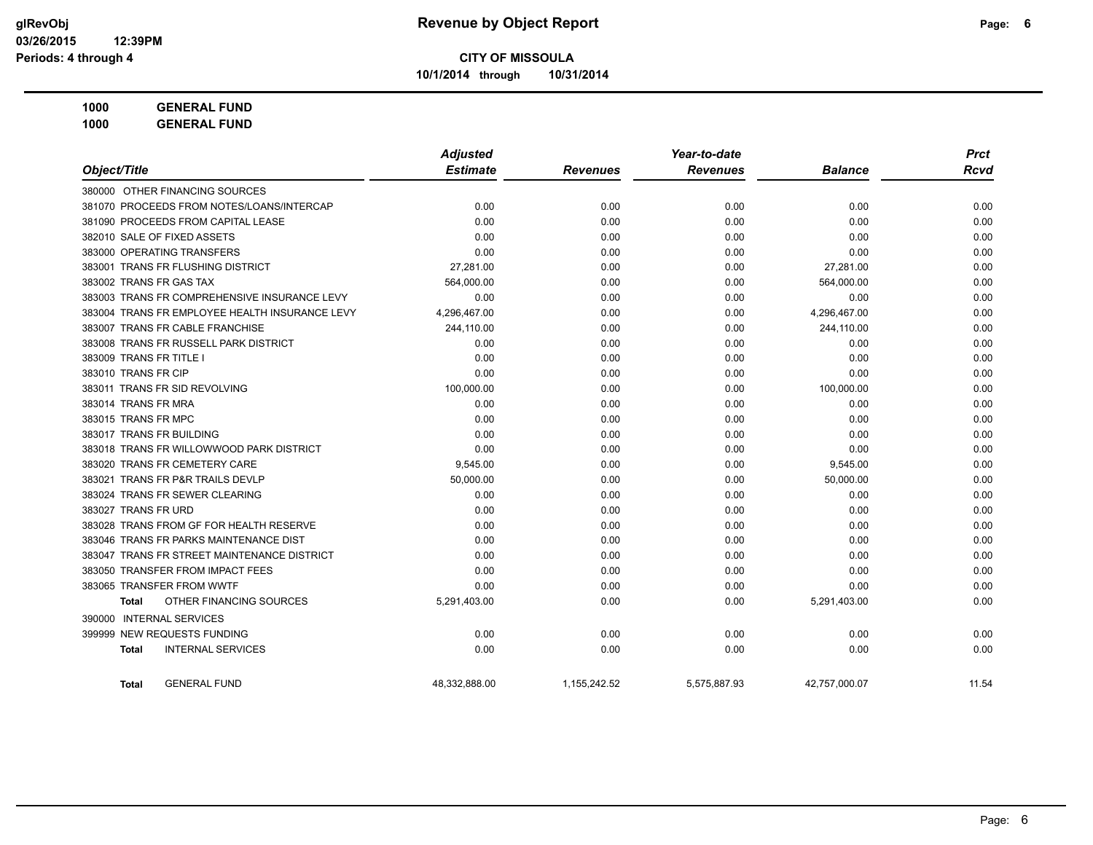**10/1/2014 through 10/31/2014**

| 1000 | <b>GENERAL FUND</b> |  |
|------|---------------------|--|
|      |                     |  |

|                                                | <b>Adjusted</b> |                 | Year-to-date    | <b>Prct</b>    |       |
|------------------------------------------------|-----------------|-----------------|-----------------|----------------|-------|
| Object/Title                                   | <b>Estimate</b> | <b>Revenues</b> | <b>Revenues</b> | <b>Balance</b> | Rcvd  |
| 380000 OTHER FINANCING SOURCES                 |                 |                 |                 |                |       |
| 381070 PROCEEDS FROM NOTES/LOANS/INTERCAP      | 0.00            | 0.00            | 0.00            | 0.00           | 0.00  |
| 381090 PROCEEDS FROM CAPITAL LEASE             | 0.00            | 0.00            | 0.00            | 0.00           | 0.00  |
| 382010 SALE OF FIXED ASSETS                    | 0.00            | 0.00            | 0.00            | 0.00           | 0.00  |
| 383000 OPERATING TRANSFERS                     | 0.00            | 0.00            | 0.00            | 0.00           | 0.00  |
| 383001 TRANS FR FLUSHING DISTRICT              | 27,281.00       | 0.00            | 0.00            | 27,281.00      | 0.00  |
| 383002 TRANS FR GAS TAX                        | 564,000.00      | 0.00            | 0.00            | 564,000.00     | 0.00  |
| 383003 TRANS FR COMPREHENSIVE INSURANCE LEVY   | 0.00            | 0.00            | 0.00            | 0.00           | 0.00  |
| 383004 TRANS FR EMPLOYEE HEALTH INSURANCE LEVY | 4,296,467.00    | 0.00            | 0.00            | 4,296,467.00   | 0.00  |
| 383007 TRANS FR CABLE FRANCHISE                | 244,110.00      | 0.00            | 0.00            | 244,110.00     | 0.00  |
| 383008 TRANS FR RUSSELL PARK DISTRICT          | 0.00            | 0.00            | 0.00            | 0.00           | 0.00  |
| 383009 TRANS FR TITLE I                        | 0.00            | 0.00            | 0.00            | 0.00           | 0.00  |
| 383010 TRANS FR CIP                            | 0.00            | 0.00            | 0.00            | 0.00           | 0.00  |
| 383011 TRANS FR SID REVOLVING                  | 100,000.00      | 0.00            | 0.00            | 100,000.00     | 0.00  |
| 383014 TRANS FR MRA                            | 0.00            | 0.00            | 0.00            | 0.00           | 0.00  |
| 383015 TRANS FR MPC                            | 0.00            | 0.00            | 0.00            | 0.00           | 0.00  |
| 383017 TRANS FR BUILDING                       | 0.00            | 0.00            | 0.00            | 0.00           | 0.00  |
| 383018 TRANS FR WILLOWWOOD PARK DISTRICT       | 0.00            | 0.00            | 0.00            | 0.00           | 0.00  |
| 383020 TRANS FR CEMETERY CARE                  | 9,545.00        | 0.00            | 0.00            | 9,545.00       | 0.00  |
| 383021 TRANS FR P&R TRAILS DEVLP               | 50,000.00       | 0.00            | 0.00            | 50,000.00      | 0.00  |
| 383024 TRANS FR SEWER CLEARING                 | 0.00            | 0.00            | 0.00            | 0.00           | 0.00  |
| 383027 TRANS FR URD                            | 0.00            | 0.00            | 0.00            | 0.00           | 0.00  |
| 383028 TRANS FROM GF FOR HEALTH RESERVE        | 0.00            | 0.00            | 0.00            | 0.00           | 0.00  |
| 383046 TRANS FR PARKS MAINTENANCE DIST         | 0.00            | 0.00            | 0.00            | 0.00           | 0.00  |
| 383047 TRANS FR STREET MAINTENANCE DISTRICT    | 0.00            | 0.00            | 0.00            | 0.00           | 0.00  |
| 383050 TRANSFER FROM IMPACT FEES               | 0.00            | 0.00            | 0.00            | 0.00           | 0.00  |
| 383065 TRANSFER FROM WWTF                      | 0.00            | 0.00            | 0.00            | 0.00           | 0.00  |
| OTHER FINANCING SOURCES<br><b>Total</b>        | 5,291,403.00    | 0.00            | 0.00            | 5,291,403.00   | 0.00  |
| 390000 INTERNAL SERVICES                       |                 |                 |                 |                |       |
| 399999 NEW REQUESTS FUNDING                    | 0.00            | 0.00            | 0.00            | 0.00           | 0.00  |
| <b>INTERNAL SERVICES</b><br><b>Total</b>       | 0.00            | 0.00            | 0.00            | 0.00           | 0.00  |
| <b>GENERAL FUND</b><br>Total                   | 48,332,888.00   | 1,155,242.52    | 5,575,887.93    | 42,757,000.07  | 11.54 |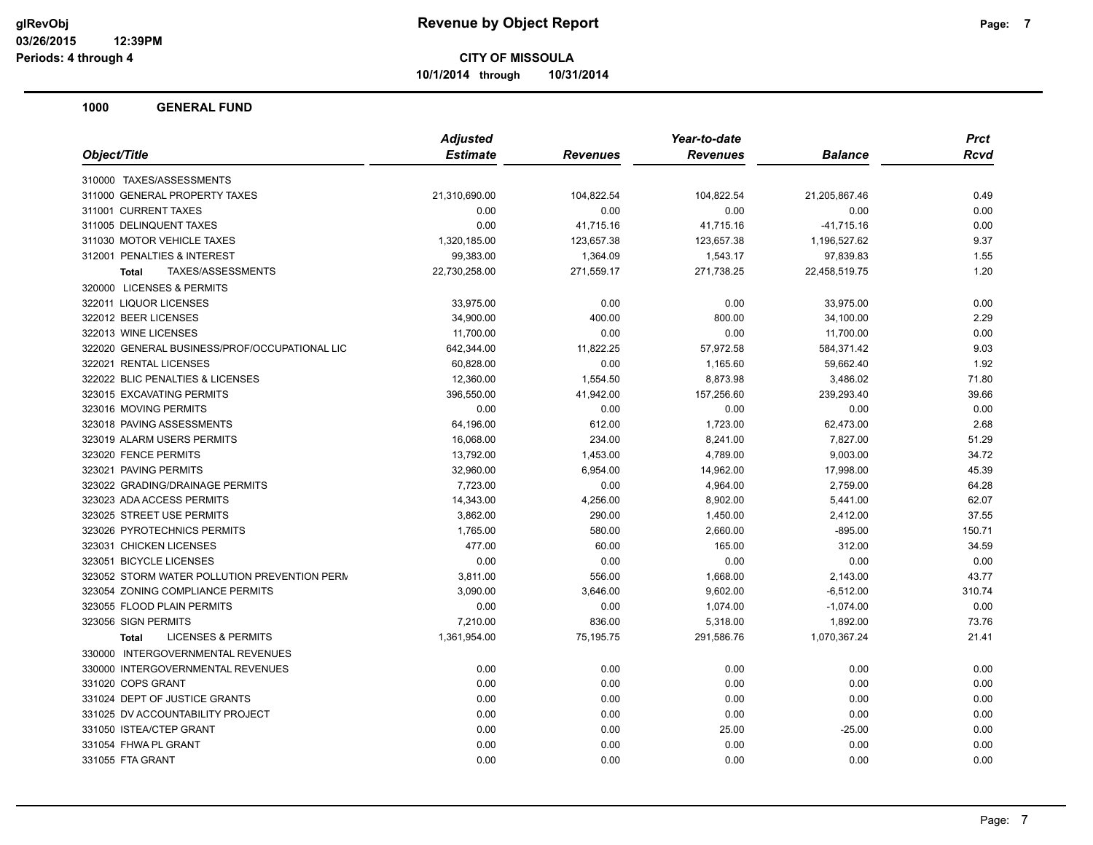**10/1/2014 through 10/31/2014**

|                                               | <b>Adjusted</b> |            | Year-to-date    |                | <b>Prct</b> |
|-----------------------------------------------|-----------------|------------|-----------------|----------------|-------------|
| Object/Title                                  | <b>Estimate</b> | Revenues   | <b>Revenues</b> | <b>Balance</b> | <b>Rcvd</b> |
| 310000 TAXES/ASSESSMENTS                      |                 |            |                 |                |             |
| 311000 GENERAL PROPERTY TAXES                 | 21,310,690.00   | 104,822.54 | 104,822.54      | 21,205,867.46  | 0.49        |
| 311001 CURRENT TAXES                          | 0.00            | 0.00       | 0.00            | 0.00           | 0.00        |
| 311005 DELINQUENT TAXES                       | 0.00            | 41,715.16  | 41,715.16       | $-41,715.16$   | 0.00        |
| 311030 MOTOR VEHICLE TAXES                    | 1,320,185.00    | 123,657.38 | 123,657.38      | 1,196,527.62   | 9.37        |
| 312001 PENALTIES & INTEREST                   | 99,383.00       | 1,364.09   | 1,543.17        | 97,839.83      | 1.55        |
| TAXES/ASSESSMENTS<br><b>Total</b>             | 22,730,258.00   | 271,559.17 | 271,738.25      | 22,458,519.75  | 1.20        |
| 320000 LICENSES & PERMITS                     |                 |            |                 |                |             |
| 322011 LIQUOR LICENSES                        | 33,975.00       | 0.00       | 0.00            | 33,975.00      | 0.00        |
| 322012 BEER LICENSES                          | 34,900.00       | 400.00     | 800.00          | 34,100.00      | 2.29        |
| 322013 WINE LICENSES                          | 11,700.00       | 0.00       | 0.00            | 11,700.00      | 0.00        |
| 322020 GENERAL BUSINESS/PROF/OCCUPATIONAL LIC | 642,344.00      | 11,822.25  | 57,972.58       | 584,371.42     | 9.03        |
| 322021 RENTAL LICENSES                        | 60,828.00       | 0.00       | 1,165.60        | 59,662.40      | 1.92        |
| 322022 BLIC PENALTIES & LICENSES              | 12,360.00       | 1,554.50   | 8,873.98        | 3,486.02       | 71.80       |
| 323015 EXCAVATING PERMITS                     | 396,550.00      | 41,942.00  | 157,256.60      | 239,293.40     | 39.66       |
| 323016 MOVING PERMITS                         | 0.00            | 0.00       | 0.00            | 0.00           | 0.00        |
| 323018 PAVING ASSESSMENTS                     | 64,196.00       | 612.00     | 1,723.00        | 62,473.00      | 2.68        |
| 323019 ALARM USERS PERMITS                    | 16,068.00       | 234.00     | 8,241.00        | 7,827.00       | 51.29       |
| 323020 FENCE PERMITS                          | 13,792.00       | 1,453.00   | 4,789.00        | 9,003.00       | 34.72       |
| 323021 PAVING PERMITS                         | 32,960.00       | 6,954.00   | 14,962.00       | 17,998.00      | 45.39       |
| 323022 GRADING/DRAINAGE PERMITS               | 7,723.00        | 0.00       | 4,964.00        | 2,759.00       | 64.28       |
| 323023 ADA ACCESS PERMITS                     | 14,343.00       | 4,256.00   | 8,902.00        | 5,441.00       | 62.07       |
| 323025 STREET USE PERMITS                     | 3,862.00        | 290.00     | 1,450.00        | 2,412.00       | 37.55       |
| 323026 PYROTECHNICS PERMITS                   | 1,765.00        | 580.00     | 2,660.00        | $-895.00$      | 150.71      |
| 323031 CHICKEN LICENSES                       | 477.00          | 60.00      | 165.00          | 312.00         | 34.59       |
| 323051 BICYCLE LICENSES                       | 0.00            | 0.00       | 0.00            | 0.00           | 0.00        |
| 323052 STORM WATER POLLUTION PREVENTION PERN  | 3,811.00        | 556.00     | 1,668.00        | 2,143.00       | 43.77       |
| 323054 ZONING COMPLIANCE PERMITS              | 3,090.00        | 3,646.00   | 9,602.00        | $-6,512.00$    | 310.74      |
| 323055 FLOOD PLAIN PERMITS                    | 0.00            | 0.00       | 1,074.00        | $-1,074.00$    | 0.00        |
| 323056 SIGN PERMITS                           | 7,210.00        | 836.00     | 5,318.00        | 1,892.00       | 73.76       |
| <b>LICENSES &amp; PERMITS</b><br><b>Total</b> | 1,361,954.00    | 75,195.75  | 291,586.76      | 1,070,367.24   | 21.41       |
| 330000 INTERGOVERNMENTAL REVENUES             |                 |            |                 |                |             |
| 330000 INTERGOVERNMENTAL REVENUES             | 0.00            | 0.00       | 0.00            | 0.00           | 0.00        |
| 331020 COPS GRANT                             | 0.00            | 0.00       | 0.00            | 0.00           | 0.00        |
| 331024 DEPT OF JUSTICE GRANTS                 | 0.00            | 0.00       | 0.00            | 0.00           | 0.00        |
| 331025 DV ACCOUNTABILITY PROJECT              | 0.00            | 0.00       | 0.00            | 0.00           | 0.00        |
| 331050 ISTEA/CTEP GRANT                       | 0.00            | 0.00       | 25.00           | $-25.00$       | 0.00        |
| 331054 FHWA PL GRANT                          | 0.00            | 0.00       | 0.00            | 0.00           | 0.00        |
| 331055 FTA GRANT                              | 0.00            | 0.00       | 0.00            | 0.00           | 0.00        |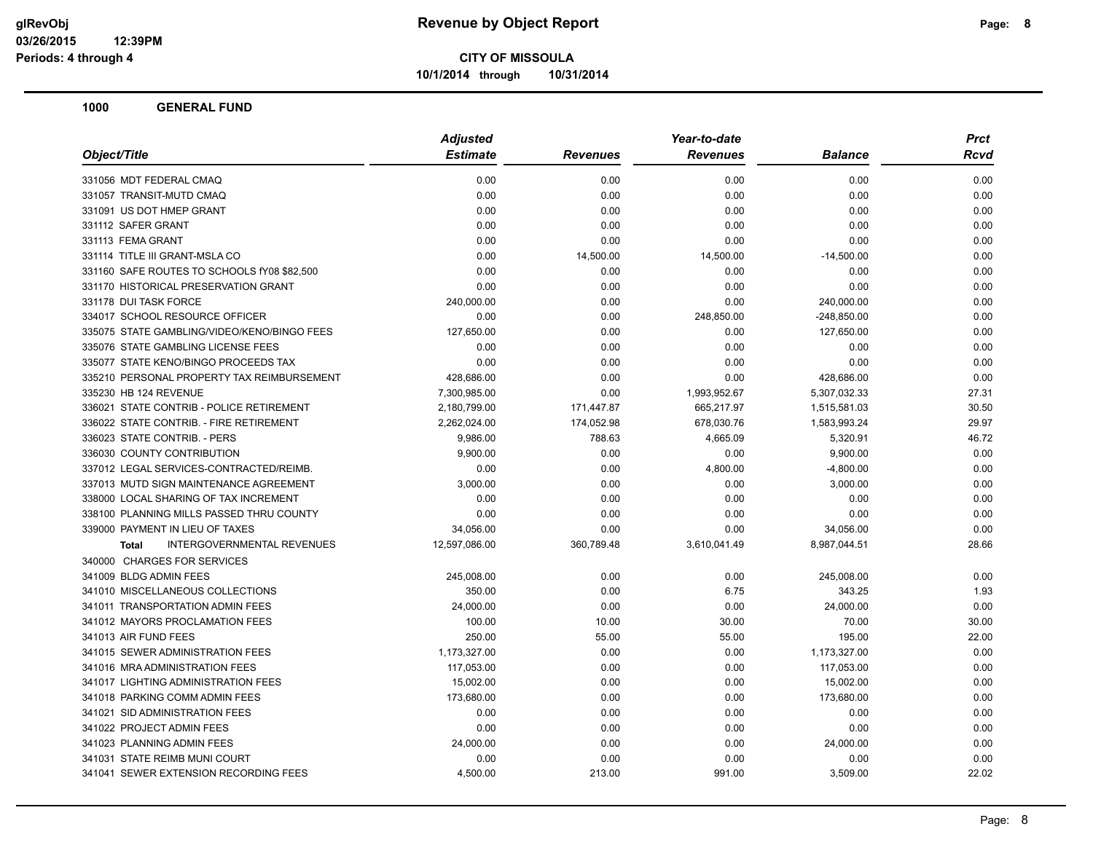**10/1/2014 through 10/31/2014**

|                                             | <b>Adjusted</b> |                 | Year-to-date    |                | <b>Prct</b> |
|---------------------------------------------|-----------------|-----------------|-----------------|----------------|-------------|
| Object/Title                                | <b>Estimate</b> | <b>Revenues</b> | <b>Revenues</b> | <b>Balance</b> | Rcvd        |
| 331056 MDT FEDERAL CMAQ                     | 0.00            | 0.00            | 0.00            | 0.00           | 0.00        |
| 331057 TRANSIT-MUTD CMAQ                    | 0.00            | 0.00            | 0.00            | 0.00           | 0.00        |
| 331091 US DOT HMEP GRANT                    | 0.00            | 0.00            | 0.00            | 0.00           | 0.00        |
| 331112 SAFER GRANT                          | 0.00            | 0.00            | 0.00            | 0.00           | 0.00        |
| 331113 FEMA GRANT                           | 0.00            | 0.00            | 0.00            | 0.00           | 0.00        |
| 331114 TITLE III GRANT-MSLA CO              | 0.00            | 14,500.00       | 14,500.00       | $-14,500.00$   | 0.00        |
| 331160 SAFE ROUTES TO SCHOOLS fY08 \$82,500 | 0.00            | 0.00            | 0.00            | 0.00           | 0.00        |
| 331170 HISTORICAL PRESERVATION GRANT        | 0.00            | 0.00            | 0.00            | 0.00           | 0.00        |
| 331178 DUI TASK FORCE                       | 240,000.00      | 0.00            | 0.00            | 240,000.00     | 0.00        |
| 334017 SCHOOL RESOURCE OFFICER              | 0.00            | 0.00            | 248,850.00      | $-248,850.00$  | 0.00        |
| 335075 STATE GAMBLING/VIDEO/KENO/BINGO FEES | 127,650.00      | 0.00            | 0.00            | 127,650.00     | 0.00        |
| 335076 STATE GAMBLING LICENSE FEES          | 0.00            | 0.00            | 0.00            | 0.00           | 0.00        |
| 335077 STATE KENO/BINGO PROCEEDS TAX        | 0.00            | 0.00            | 0.00            | 0.00           | 0.00        |
| 335210 PERSONAL PROPERTY TAX REIMBURSEMENT  | 428,686.00      | 0.00            | 0.00            | 428,686.00     | 0.00        |
| 335230 HB 124 REVENUE                       | 7,300,985.00    | 0.00            | 1,993,952.67    | 5,307,032.33   | 27.31       |
| 336021 STATE CONTRIB - POLICE RETIREMENT    | 2,180,799.00    | 171,447.87      | 665,217.97      | 1,515,581.03   | 30.50       |
| 336022 STATE CONTRIB. - FIRE RETIREMENT     | 2,262,024.00    | 174,052.98      | 678,030.76      | 1,583,993.24   | 29.97       |
| 336023 STATE CONTRIB. - PERS                | 9,986.00        | 788.63          | 4,665.09        | 5,320.91       | 46.72       |
| 336030 COUNTY CONTRIBUTION                  | 9,900.00        | 0.00            | 0.00            | 9,900.00       | 0.00        |
| 337012 LEGAL SERVICES-CONTRACTED/REIMB.     | 0.00            | 0.00            | 4,800.00        | $-4,800.00$    | 0.00        |
| 337013 MUTD SIGN MAINTENANCE AGREEMENT      | 3,000.00        | 0.00            | 0.00            | 3,000.00       | 0.00        |
| 338000 LOCAL SHARING OF TAX INCREMENT       | 0.00            | 0.00            | 0.00            | 0.00           | 0.00        |
| 338100 PLANNING MILLS PASSED THRU COUNTY    | 0.00            | 0.00            | 0.00            | 0.00           | 0.00        |
| 339000 PAYMENT IN LIEU OF TAXES             | 34,056.00       | 0.00            | 0.00            | 34,056.00      | 0.00        |
| INTERGOVERNMENTAL REVENUES<br><b>Total</b>  | 12,597,086.00   | 360,789.48      | 3,610,041.49    | 8,987,044.51   | 28.66       |
| 340000 CHARGES FOR SERVICES                 |                 |                 |                 |                |             |
| 341009 BLDG ADMIN FEES                      | 245,008.00      | 0.00            | 0.00            | 245,008.00     | 0.00        |
| 341010 MISCELLANEOUS COLLECTIONS            | 350.00          | 0.00            | 6.75            | 343.25         | 1.93        |
| 341011 TRANSPORTATION ADMIN FEES            | 24,000.00       | 0.00            | 0.00            | 24,000.00      | 0.00        |
| 341012 MAYORS PROCLAMATION FEES             | 100.00          | 10.00           | 30.00           | 70.00          | 30.00       |
| 341013 AIR FUND FEES                        | 250.00          | 55.00           | 55.00           | 195.00         | 22.00       |
| 341015 SEWER ADMINISTRATION FEES            | 1,173,327.00    | 0.00            | 0.00            | 1,173,327.00   | 0.00        |
| 341016 MRA ADMINISTRATION FEES              | 117,053.00      | 0.00            | 0.00            | 117,053.00     | 0.00        |
| 341017 LIGHTING ADMINISTRATION FEES         | 15,002.00       | 0.00            | 0.00            | 15,002.00      | 0.00        |
| 341018 PARKING COMM ADMIN FEES              | 173,680.00      | 0.00            | 0.00            | 173,680.00     | 0.00        |
| 341021 SID ADMINISTRATION FEES              | 0.00            | 0.00            | 0.00            | 0.00           | 0.00        |
| 341022 PROJECT ADMIN FEES                   | 0.00            | 0.00            | 0.00            | 0.00           | 0.00        |
| 341023 PLANNING ADMIN FEES                  | 24,000.00       | 0.00            | 0.00            | 24,000.00      | 0.00        |
| 341031 STATE REIMB MUNI COURT               | 0.00            | 0.00            | 0.00            | 0.00           | 0.00        |
| 341041 SEWER EXTENSION RECORDING FEES       | 4,500.00        | 213.00          | 991.00          | 3,509.00       | 22.02       |
|                                             |                 |                 |                 |                |             |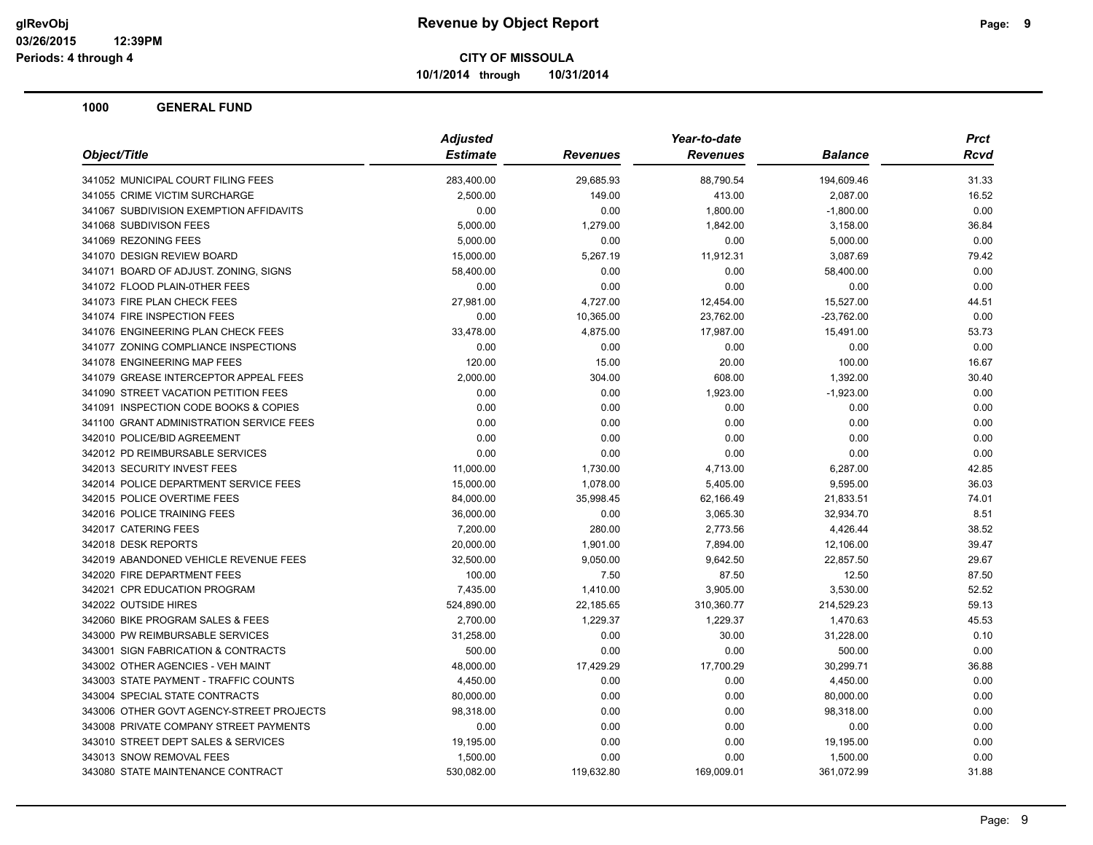**10/1/2014 through 10/31/2014**

| Object/Title                             | <b>Adjusted</b> |                 | Year-to-date    |                | <b>Prct</b> |
|------------------------------------------|-----------------|-----------------|-----------------|----------------|-------------|
|                                          | <b>Estimate</b> | <b>Revenues</b> | <b>Revenues</b> | <b>Balance</b> | <b>Rcvd</b> |
| 341052 MUNICIPAL COURT FILING FEES       | 283,400.00      | 29,685.93       | 88,790.54       | 194,609.46     | 31.33       |
| 341055 CRIME VICTIM SURCHARGE            | 2,500.00        | 149.00          | 413.00          | 2,087.00       | 16.52       |
| 341067 SUBDIVISION EXEMPTION AFFIDAVITS  | 0.00            | 0.00            | 1,800.00        | $-1,800.00$    | 0.00        |
| 341068 SUBDIVISON FEES                   | 5,000.00        | 1,279.00        | 1,842.00        | 3,158.00       | 36.84       |
| 341069 REZONING FEES                     | 5,000.00        | 0.00            | 0.00            | 5,000.00       | 0.00        |
| 341070 DESIGN REVIEW BOARD               | 15,000.00       | 5,267.19        | 11,912.31       | 3,087.69       | 79.42       |
| 341071 BOARD OF ADJUST. ZONING, SIGNS    | 58,400.00       | 0.00            | 0.00            | 58,400.00      | 0.00        |
| 341072 FLOOD PLAIN-0THER FEES            | 0.00            | 0.00            | 0.00            | 0.00           | 0.00        |
| 341073 FIRE PLAN CHECK FEES              | 27,981.00       | 4,727.00        | 12,454.00       | 15,527.00      | 44.51       |
| 341074 FIRE INSPECTION FEES              | 0.00            | 10,365.00       | 23,762.00       | $-23,762.00$   | 0.00        |
| 341076 ENGINEERING PLAN CHECK FEES       | 33,478.00       | 4,875.00        | 17,987.00       | 15,491.00      | 53.73       |
| 341077 ZONING COMPLIANCE INSPECTIONS     | 0.00            | 0.00            | 0.00            | 0.00           | 0.00        |
| 341078 ENGINEERING MAP FEES              | 120.00          | 15.00           | 20.00           | 100.00         | 16.67       |
| 341079 GREASE INTERCEPTOR APPEAL FEES    | 2,000.00        | 304.00          | 608.00          | 1,392.00       | 30.40       |
| 341090 STREET VACATION PETITION FEES     | 0.00            | 0.00            | 1,923.00        | $-1,923.00$    | 0.00        |
| 341091 INSPECTION CODE BOOKS & COPIES    | 0.00            | 0.00            | 0.00            | 0.00           | 0.00        |
| 341100 GRANT ADMINISTRATION SERVICE FEES | 0.00            | 0.00            | 0.00            | 0.00           | 0.00        |
| 342010 POLICE/BID AGREEMENT              | 0.00            | 0.00            | 0.00            | 0.00           | 0.00        |
| 342012 PD REIMBURSABLE SERVICES          | 0.00            | 0.00            | 0.00            | 0.00           | 0.00        |
| 342013 SECURITY INVEST FEES              | 11,000.00       | 1,730.00        | 4,713.00        | 6,287.00       | 42.85       |
| 342014 POLICE DEPARTMENT SERVICE FEES    | 15,000.00       | 1,078.00        | 5,405.00        | 9,595.00       | 36.03       |
| 342015 POLICE OVERTIME FEES              | 84,000.00       | 35,998.45       | 62,166.49       | 21,833.51      | 74.01       |
| 342016 POLICE TRAINING FEES              | 36,000.00       | 0.00            | 3,065.30        | 32,934.70      | 8.51        |
| 342017 CATERING FEES                     | 7,200.00        | 280.00          | 2,773.56        | 4,426.44       | 38.52       |
| 342018 DESK REPORTS                      | 20,000.00       | 1,901.00        | 7,894.00        | 12,106.00      | 39.47       |
| 342019 ABANDONED VEHICLE REVENUE FEES    | 32,500.00       | 9,050.00        | 9,642.50        | 22,857.50      | 29.67       |
| 342020 FIRE DEPARTMENT FEES              | 100.00          | 7.50            | 87.50           | 12.50          | 87.50       |
| 342021 CPR EDUCATION PROGRAM             | 7,435.00        | 1,410.00        | 3,905.00        | 3,530.00       | 52.52       |
| 342022 OUTSIDE HIRES                     | 524,890.00      | 22,185.65       | 310,360.77      | 214,529.23     | 59.13       |
| 342060 BIKE PROGRAM SALES & FEES         | 2,700.00        | 1,229.37        | 1,229.37        | 1,470.63       | 45.53       |
| 343000 PW REIMBURSABLE SERVICES          | 31,258.00       | 0.00            | 30.00           | 31,228.00      | 0.10        |
| 343001 SIGN FABRICATION & CONTRACTS      | 500.00          | 0.00            | 0.00            | 500.00         | 0.00        |
| 343002 OTHER AGENCIES - VEH MAINT        | 48,000.00       | 17,429.29       | 17,700.29       | 30,299.71      | 36.88       |
| 343003 STATE PAYMENT - TRAFFIC COUNTS    | 4,450.00        | 0.00            | 0.00            | 4,450.00       | 0.00        |
| 343004 SPECIAL STATE CONTRACTS           | 80,000.00       | 0.00            | 0.00            | 80,000.00      | 0.00        |
| 343006 OTHER GOVT AGENCY-STREET PROJECTS | 98,318.00       | 0.00            | 0.00            | 98,318.00      | 0.00        |
| 343008 PRIVATE COMPANY STREET PAYMENTS   | 0.00            | 0.00            | 0.00            | 0.00           | 0.00        |
| 343010 STREET DEPT SALES & SERVICES      | 19,195.00       | 0.00            | 0.00            | 19,195.00      | 0.00        |
| 343013 SNOW REMOVAL FEES                 | 1,500.00        | 0.00            | 0.00            | 1,500.00       | 0.00        |
| 343080 STATE MAINTENANCE CONTRACT        | 530,082.00      | 119,632.80      | 169,009.01      | 361,072.99     | 31.88       |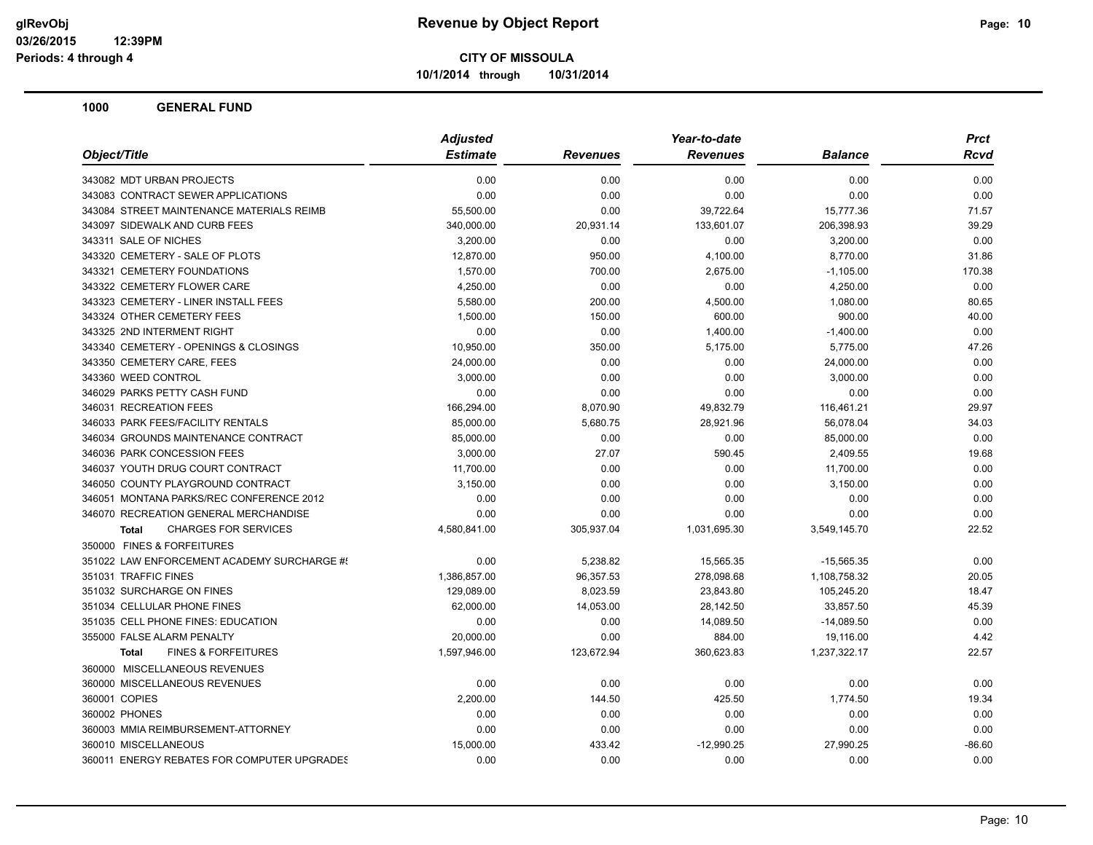**10/1/2014 through 10/31/2014**

|                                                | <b>Adjusted</b> |                 | Year-to-date    |                |             |
|------------------------------------------------|-----------------|-----------------|-----------------|----------------|-------------|
| Object/Title                                   | <b>Estimate</b> | <b>Revenues</b> | <b>Revenues</b> | <b>Balance</b> | <b>Rcvd</b> |
| 343082 MDT URBAN PROJECTS                      | 0.00            | 0.00            | 0.00            | 0.00           | 0.00        |
| 343083 CONTRACT SEWER APPLICATIONS             | 0.00            | 0.00            | 0.00            | 0.00           | 0.00        |
| 343084 STREET MAINTENANCE MATERIALS REIMB      | 55,500.00       | 0.00            | 39,722.64       | 15,777.36      | 71.57       |
| 343097 SIDEWALK AND CURB FEES                  | 340,000.00      | 20,931.14       | 133,601.07      | 206,398.93     | 39.29       |
| 343311 SALE OF NICHES                          | 3,200.00        | 0.00            | 0.00            | 3,200.00       | 0.00        |
| 343320 CEMETERY - SALE OF PLOTS                | 12.870.00       | 950.00          | 4,100.00        | 8,770.00       | 31.86       |
| 343321 CEMETERY FOUNDATIONS                    | 1,570.00        | 700.00          | 2,675.00        | $-1,105.00$    | 170.38      |
| 343322 CEMETERY FLOWER CARE                    | 4,250.00        | 0.00            | 0.00            | 4,250.00       | 0.00        |
| 343323 CEMETERY - LINER INSTALL FEES           | 5,580.00        | 200.00          | 4,500.00        | 1,080.00       | 80.65       |
| 343324 OTHER CEMETERY FEES                     | 1,500.00        | 150.00          | 600.00          | 900.00         | 40.00       |
| 343325 2ND INTERMENT RIGHT                     | 0.00            | 0.00            | 1,400.00        | $-1,400.00$    | 0.00        |
| 343340 CEMETERY - OPENINGS & CLOSINGS          | 10,950.00       | 350.00          | 5,175.00        | 5,775.00       | 47.26       |
| 343350 CEMETERY CARE, FEES                     | 24,000.00       | 0.00            | 0.00            | 24,000.00      | 0.00        |
| 343360 WEED CONTROL                            | 3,000.00        | 0.00            | 0.00            | 3,000.00       | 0.00        |
| 346029 PARKS PETTY CASH FUND                   | 0.00            | 0.00            | 0.00            | 0.00           | 0.00        |
| 346031 RECREATION FEES                         | 166,294.00      | 8,070.90        | 49,832.79       | 116,461.21     | 29.97       |
| 346033 PARK FEES/FACILITY RENTALS              | 85,000.00       | 5,680.75        | 28,921.96       | 56,078.04      | 34.03       |
| 346034 GROUNDS MAINTENANCE CONTRACT            | 85,000.00       | 0.00            | 0.00            | 85,000.00      | 0.00        |
| 346036 PARK CONCESSION FEES                    | 3,000.00        | 27.07           | 590.45          | 2,409.55       | 19.68       |
| 346037 YOUTH DRUG COURT CONTRACT               | 11,700.00       | 0.00            | 0.00            | 11,700.00      | 0.00        |
| 346050 COUNTY PLAYGROUND CONTRACT              | 3,150.00        | 0.00            | 0.00            | 3,150.00       | 0.00        |
| 346051 MONTANA PARKS/REC CONFERENCE 2012       | 0.00            | 0.00            | 0.00            | 0.00           | 0.00        |
| 346070 RECREATION GENERAL MERCHANDISE          | 0.00            | 0.00            | 0.00            | 0.00           | 0.00        |
| <b>CHARGES FOR SERVICES</b><br><b>Total</b>    | 4,580,841.00    | 305,937.04      | 1,031,695.30    | 3,549,145.70   | 22.52       |
| 350000 FINES & FORFEITURES                     |                 |                 |                 |                |             |
| 351022 LAW ENFORCEMENT ACADEMY SURCHARGE #!    | 0.00            | 5,238.82        | 15,565.35       | $-15,565.35$   | 0.00        |
| 351031 TRAFFIC FINES                           | 1,386,857.00    | 96,357.53       | 278,098.68      | 1,108,758.32   | 20.05       |
| 351032 SURCHARGE ON FINES                      | 129,089.00      | 8,023.59        | 23,843.80       | 105,245.20     | 18.47       |
| 351034 CELLULAR PHONE FINES                    | 62,000.00       | 14,053.00       | 28,142.50       | 33,857.50      | 45.39       |
| 351035 CELL PHONE FINES: EDUCATION             | 0.00            | 0.00            | 14,089.50       | $-14,089.50$   | 0.00        |
| 355000 FALSE ALARM PENALTY                     | 20,000.00       | 0.00            | 884.00          | 19,116.00      | 4.42        |
| <b>FINES &amp; FORFEITURES</b><br><b>Total</b> | 1,597,946.00    | 123,672.94      | 360,623.83      | 1,237,322.17   | 22.57       |
| 360000 MISCELLANEOUS REVENUES                  |                 |                 |                 |                |             |
| 360000 MISCELLANEOUS REVENUES                  | 0.00            | 0.00            | 0.00            | 0.00           | 0.00        |
| 360001 COPIES                                  | 2,200.00        | 144.50          | 425.50          | 1,774.50       | 19.34       |
| 360002 PHONES                                  | 0.00            | 0.00            | 0.00            | 0.00           | 0.00        |
| 360003 MMIA REIMBURSEMENT-ATTORNEY             | 0.00            | 0.00            | 0.00            | 0.00           | 0.00        |
| 360010 MISCELLANEOUS                           | 15,000.00       | 433.42          | $-12,990.25$    | 27,990.25      | $-86.60$    |
| 360011 ENERGY REBATES FOR COMPUTER UPGRADES    | 0.00            | 0.00            | 0.00            | 0.00           | 0.00        |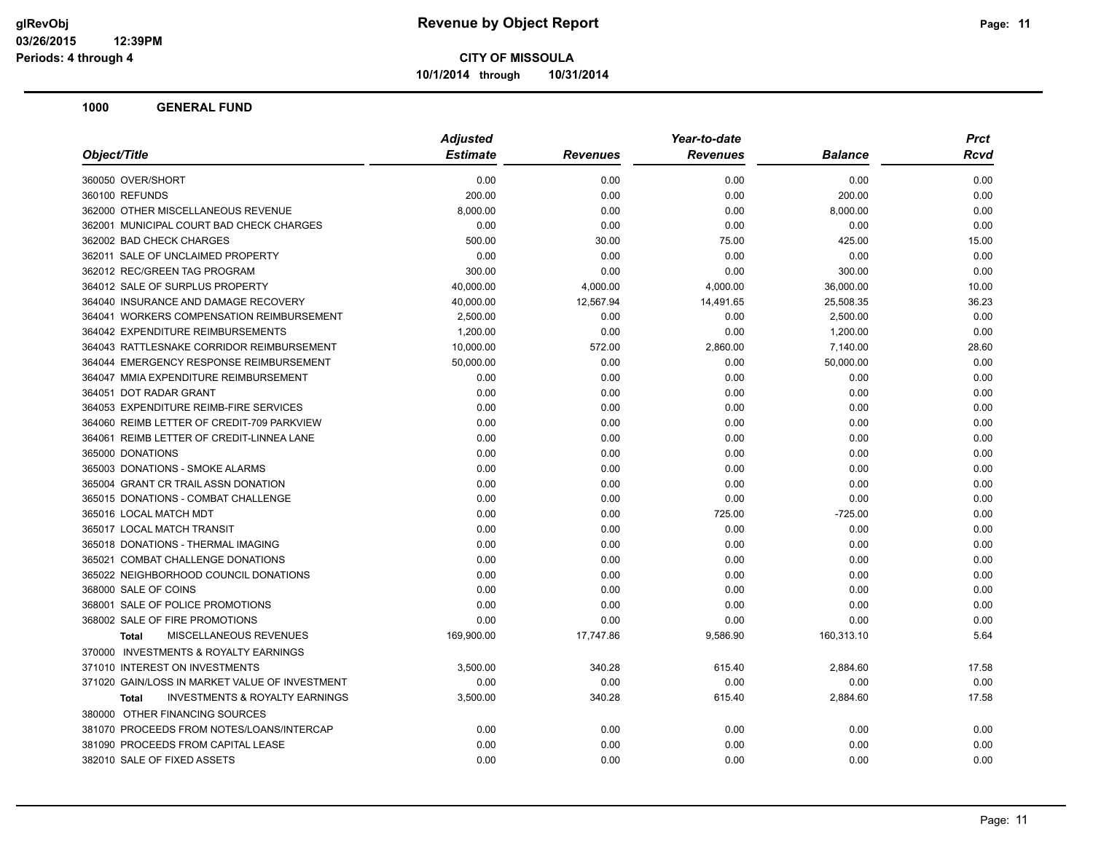**10/1/2014 through 10/31/2014**

| Object/Title                                       | <b>Adjusted</b> |                 | Year-to-date    | <b>Prct</b>    |             |
|----------------------------------------------------|-----------------|-----------------|-----------------|----------------|-------------|
|                                                    | <b>Estimate</b> | <b>Revenues</b> | <b>Revenues</b> | <b>Balance</b> | <b>Rcvd</b> |
| 360050 OVER/SHORT                                  | 0.00            | 0.00            | 0.00            | 0.00           | 0.00        |
| 360100 REFUNDS                                     | 200.00          | 0.00            | 0.00            | 200.00         | 0.00        |
| 362000 OTHER MISCELLANEOUS REVENUE                 | 8,000.00        | 0.00            | 0.00            | 8,000.00       | 0.00        |
| 362001 MUNICIPAL COURT BAD CHECK CHARGES           | 0.00            | 0.00            | 0.00            | 0.00           | 0.00        |
| 362002 BAD CHECK CHARGES                           | 500.00          | 30.00           | 75.00           | 425.00         | 15.00       |
| 362011 SALE OF UNCLAIMED PROPERTY                  | 0.00            | 0.00            | 0.00            | 0.00           | 0.00        |
| 362012 REC/GREEN TAG PROGRAM                       | 300.00          | 0.00            | 0.00            | 300.00         | 0.00        |
| 364012 SALE OF SURPLUS PROPERTY                    | 40,000.00       | 4,000.00        | 4,000.00        | 36,000.00      | 10.00       |
| 364040 INSURANCE AND DAMAGE RECOVERY               | 40,000.00       | 12,567.94       | 14,491.65       | 25,508.35      | 36.23       |
| 364041 WORKERS COMPENSATION REIMBURSEMENT          | 2,500.00        | 0.00            | 0.00            | 2,500.00       | 0.00        |
| 364042 EXPENDITURE REIMBURSEMENTS                  | 1,200.00        | 0.00            | 0.00            | 1,200.00       | 0.00        |
| 364043 RATTLESNAKE CORRIDOR REIMBURSEMENT          | 10,000.00       | 572.00          | 2,860.00        | 7,140.00       | 28.60       |
| 364044 EMERGENCY RESPONSE REIMBURSEMENT            | 50,000.00       | 0.00            | 0.00            | 50,000.00      | 0.00        |
| 364047 MMIA EXPENDITURE REIMBURSEMENT              | 0.00            | 0.00            | 0.00            | 0.00           | 0.00        |
| 364051 DOT RADAR GRANT                             | 0.00            | 0.00            | 0.00            | 0.00           | 0.00        |
| 364053 EXPENDITURE REIMB-FIRE SERVICES             | 0.00            | 0.00            | 0.00            | 0.00           | 0.00        |
| 364060 REIMB LETTER OF CREDIT-709 PARKVIEW         | 0.00            | 0.00            | 0.00            | 0.00           | 0.00        |
| 364061 REIMB LETTER OF CREDIT-LINNEA LANE          | 0.00            | 0.00            | 0.00            | 0.00           | 0.00        |
| 365000 DONATIONS                                   | 0.00            | 0.00            | 0.00            | 0.00           | 0.00        |
| 365003 DONATIONS - SMOKE ALARMS                    | 0.00            | 0.00            | 0.00            | 0.00           | 0.00        |
| 365004 GRANT CR TRAIL ASSN DONATION                | 0.00            | 0.00            | 0.00            | 0.00           | 0.00        |
| 365015 DONATIONS - COMBAT CHALLENGE                | 0.00            | 0.00            | 0.00            | 0.00           | 0.00        |
| 365016 LOCAL MATCH MDT                             | 0.00            | 0.00            | 725.00          | $-725.00$      | 0.00        |
| 365017 LOCAL MATCH TRANSIT                         | 0.00            | 0.00            | 0.00            | 0.00           | 0.00        |
| 365018 DONATIONS - THERMAL IMAGING                 | 0.00            | 0.00            | 0.00            | 0.00           | 0.00        |
| 365021 COMBAT CHALLENGE DONATIONS                  | 0.00            | 0.00            | 0.00            | 0.00           | 0.00        |
| 365022 NEIGHBORHOOD COUNCIL DONATIONS              | 0.00            | 0.00            | 0.00            | 0.00           | 0.00        |
| 368000 SALE OF COINS                               | 0.00            | 0.00            | 0.00            | 0.00           | 0.00        |
| 368001 SALE OF POLICE PROMOTIONS                   | 0.00            | 0.00            | 0.00            | 0.00           | 0.00        |
| 368002 SALE OF FIRE PROMOTIONS                     | 0.00            | 0.00            | 0.00            | 0.00           | 0.00        |
| <b>MISCELLANEOUS REVENUES</b><br><b>Total</b>      | 169,900.00      | 17,747.86       | 9,586.90        | 160,313.10     | 5.64        |
| 370000 INVESTMENTS & ROYALTY EARNINGS              |                 |                 |                 |                |             |
| 371010 INTEREST ON INVESTMENTS                     | 3,500.00        | 340.28          | 615.40          | 2,884.60       | 17.58       |
| 371020 GAIN/LOSS IN MARKET VALUE OF INVESTMENT     | 0.00            | 0.00            | 0.00            | 0.00           | 0.00        |
| <b>INVESTMENTS &amp; ROYALTY EARNINGS</b><br>Total | 3,500.00        | 340.28          | 615.40          | 2,884.60       | 17.58       |
| 380000 OTHER FINANCING SOURCES                     |                 |                 |                 |                |             |
| 381070 PROCEEDS FROM NOTES/LOANS/INTERCAP          | 0.00            | 0.00            | 0.00            | 0.00           | 0.00        |
| 381090 PROCEEDS FROM CAPITAL LEASE                 | 0.00            | 0.00            | 0.00            | 0.00           | 0.00        |
| 382010 SALE OF FIXED ASSETS                        | 0.00            | 0.00            | 0.00            | 0.00           | 0.00        |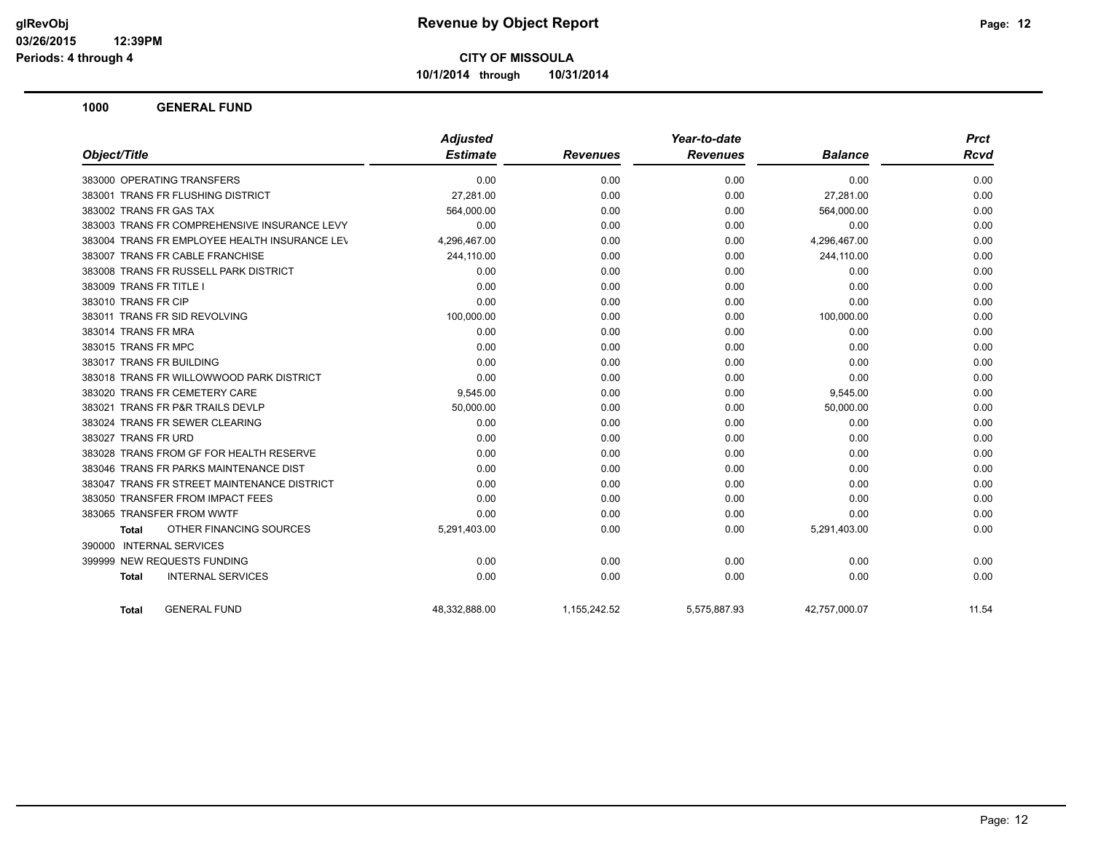**10/1/2014 through 10/31/2014**

|                                               | <b>Adjusted</b> |                 | Year-to-date    |                | <b>Prct</b> |
|-----------------------------------------------|-----------------|-----------------|-----------------|----------------|-------------|
| Object/Title                                  | <b>Estimate</b> | <b>Revenues</b> | <b>Revenues</b> | <b>Balance</b> | <b>Rcvd</b> |
| 383000 OPERATING TRANSFERS                    | 0.00            | 0.00            | 0.00            | 0.00           | 0.00        |
| 383001 TRANS FR FLUSHING DISTRICT             | 27,281.00       | 0.00            | 0.00            | 27,281.00      | 0.00        |
| 383002 TRANS FR GAS TAX                       | 564,000.00      | 0.00            | 0.00            | 564,000.00     | 0.00        |
| 383003 TRANS FR COMPREHENSIVE INSURANCE LEVY  | 0.00            | 0.00            | 0.00            | 0.00           | 0.00        |
| 383004 TRANS FR EMPLOYEE HEALTH INSURANCE LEV | 4,296,467.00    | 0.00            | 0.00            | 4,296,467.00   | 0.00        |
| 383007 TRANS FR CABLE FRANCHISE               | 244,110.00      | 0.00            | 0.00            | 244,110.00     | 0.00        |
| 383008 TRANS FR RUSSELL PARK DISTRICT         | 0.00            | 0.00            | 0.00            | 0.00           | 0.00        |
| 383009 TRANS FR TITLE I                       | 0.00            | 0.00            | 0.00            | 0.00           | 0.00        |
| 383010 TRANS FR CIP                           | 0.00            | 0.00            | 0.00            | 0.00           | 0.00        |
| 383011 TRANS FR SID REVOLVING                 | 100,000.00      | 0.00            | 0.00            | 100,000.00     | 0.00        |
| 383014 TRANS FR MRA                           | 0.00            | 0.00            | 0.00            | 0.00           | 0.00        |
| 383015 TRANS FR MPC                           | 0.00            | 0.00            | 0.00            | 0.00           | 0.00        |
| 383017 TRANS FR BUILDING                      | 0.00            | 0.00            | 0.00            | 0.00           | 0.00        |
| 383018 TRANS FR WILLOWWOOD PARK DISTRICT      | 0.00            | 0.00            | 0.00            | 0.00           | 0.00        |
| 383020 TRANS FR CEMETERY CARE                 | 9,545.00        | 0.00            | 0.00            | 9,545.00       | 0.00        |
| 383021 TRANS FR P&R TRAILS DEVLP              | 50,000.00       | 0.00            | 0.00            | 50,000.00      | 0.00        |
| 383024 TRANS FR SEWER CLEARING                | 0.00            | 0.00            | 0.00            | 0.00           | 0.00        |
| 383027 TRANS FR URD                           | 0.00            | 0.00            | 0.00            | 0.00           | 0.00        |
| 383028 TRANS FROM GF FOR HEALTH RESERVE       | 0.00            | 0.00            | 0.00            | 0.00           | 0.00        |
| 383046 TRANS FR PARKS MAINTENANCE DIST        | 0.00            | 0.00            | 0.00            | 0.00           | 0.00        |
| 383047 TRANS FR STREET MAINTENANCE DISTRICT   | 0.00            | 0.00            | 0.00            | 0.00           | 0.00        |
| 383050 TRANSFER FROM IMPACT FEES              | 0.00            | 0.00            | 0.00            | 0.00           | 0.00        |
| 383065 TRANSFER FROM WWTF                     | 0.00            | 0.00            | 0.00            | 0.00           | 0.00        |
| OTHER FINANCING SOURCES<br><b>Total</b>       | 5,291,403.00    | 0.00            | 0.00            | 5,291,403.00   | 0.00        |
| 390000 INTERNAL SERVICES                      |                 |                 |                 |                |             |
| 399999 NEW REQUESTS FUNDING                   | 0.00            | 0.00            | 0.00            | 0.00           | 0.00        |
| <b>INTERNAL SERVICES</b><br><b>Total</b>      | 0.00            | 0.00            | 0.00            | 0.00           | 0.00        |
| <b>GENERAL FUND</b><br><b>Total</b>           | 48,332,888.00   | 1,155,242.52    | 5,575,887.93    | 42,757,000.07  | 11.54       |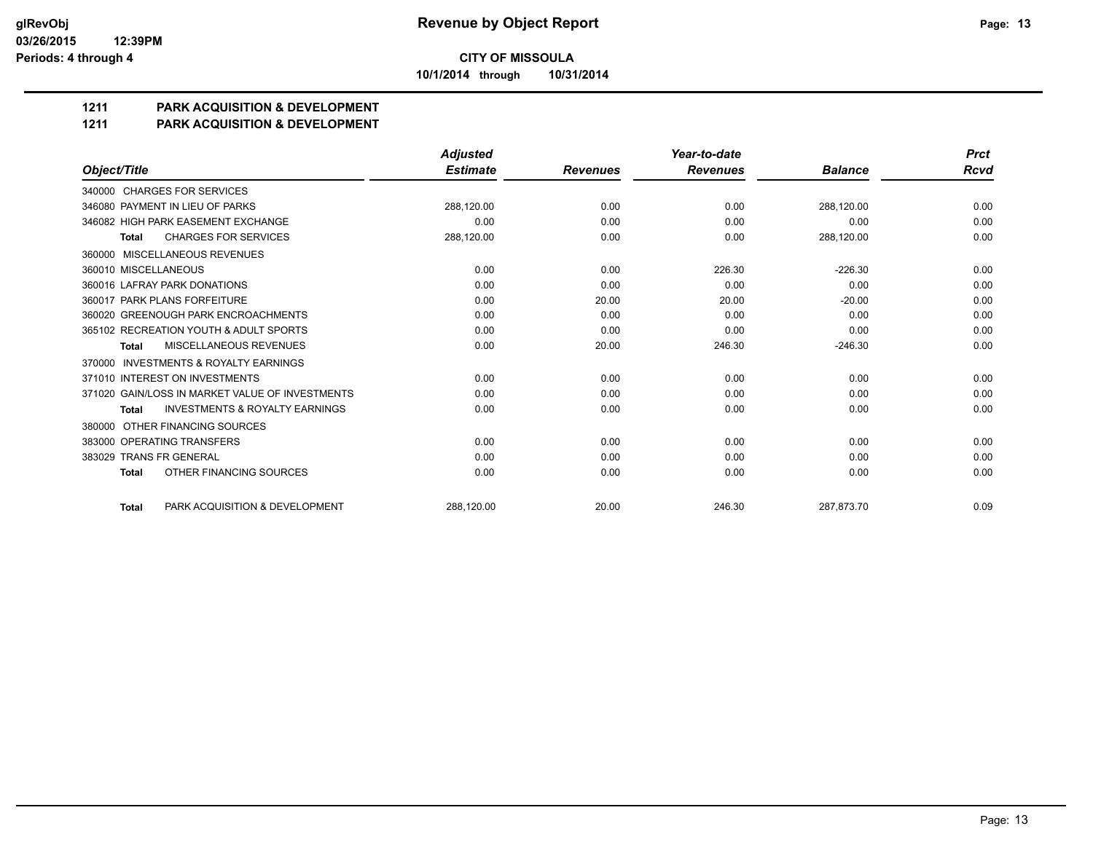**10/1/2014 through 10/31/2014**

# **1211 PARK ACQUISITION & DEVELOPMENT**

### **1211 PARK ACQUISITION & DEVELOPMENT**

|                                                           | <b>Adjusted</b> |                 | Year-to-date    |                | <b>Prct</b> |
|-----------------------------------------------------------|-----------------|-----------------|-----------------|----------------|-------------|
| Object/Title                                              | <b>Estimate</b> | <b>Revenues</b> | <b>Revenues</b> | <b>Balance</b> | <b>Rcvd</b> |
| 340000 CHARGES FOR SERVICES                               |                 |                 |                 |                |             |
| 346080 PAYMENT IN LIEU OF PARKS                           | 288,120.00      | 0.00            | 0.00            | 288,120.00     | 0.00        |
| 346082 HIGH PARK EASEMENT EXCHANGE                        | 0.00            | 0.00            | 0.00            | 0.00           | 0.00        |
| <b>CHARGES FOR SERVICES</b><br>Total                      | 288,120.00      | 0.00            | 0.00            | 288,120.00     | 0.00        |
| MISCELLANEOUS REVENUES<br>360000                          |                 |                 |                 |                |             |
| 360010 MISCELLANEOUS                                      | 0.00            | 0.00            | 226.30          | $-226.30$      | 0.00        |
| 360016 LAFRAY PARK DONATIONS                              | 0.00            | 0.00            | 0.00            | 0.00           | 0.00        |
| 360017 PARK PLANS FORFEITURE                              | 0.00            | 20.00           | 20.00           | $-20.00$       | 0.00        |
| 360020 GREENOUGH PARK ENCROACHMENTS                       | 0.00            | 0.00            | 0.00            | 0.00           | 0.00        |
| 365102 RECREATION YOUTH & ADULT SPORTS                    | 0.00            | 0.00            | 0.00            | 0.00           | 0.00        |
| MISCELLANEOUS REVENUES<br><b>Total</b>                    | 0.00            | 20.00           | 246.30          | $-246.30$      | 0.00        |
| <b>INVESTMENTS &amp; ROYALTY EARNINGS</b><br>370000       |                 |                 |                 |                |             |
| 371010 INTEREST ON INVESTMENTS                            | 0.00            | 0.00            | 0.00            | 0.00           | 0.00        |
| 371020 GAIN/LOSS IN MARKET VALUE OF INVESTMENTS           | 0.00            | 0.00            | 0.00            | 0.00           | 0.00        |
| <b>INVESTMENTS &amp; ROYALTY EARNINGS</b><br><b>Total</b> | 0.00            | 0.00            | 0.00            | 0.00           | 0.00        |
| OTHER FINANCING SOURCES<br>380000                         |                 |                 |                 |                |             |
| 383000 OPERATING TRANSFERS                                | 0.00            | 0.00            | 0.00            | 0.00           | 0.00        |
| 383029 TRANS FR GENERAL                                   | 0.00            | 0.00            | 0.00            | 0.00           | 0.00        |
| OTHER FINANCING SOURCES<br><b>Total</b>                   | 0.00            | 0.00            | 0.00            | 0.00           | 0.00        |
| PARK ACQUISITION & DEVELOPMENT<br><b>Total</b>            | 288.120.00      | 20.00           | 246.30          | 287.873.70     | 0.09        |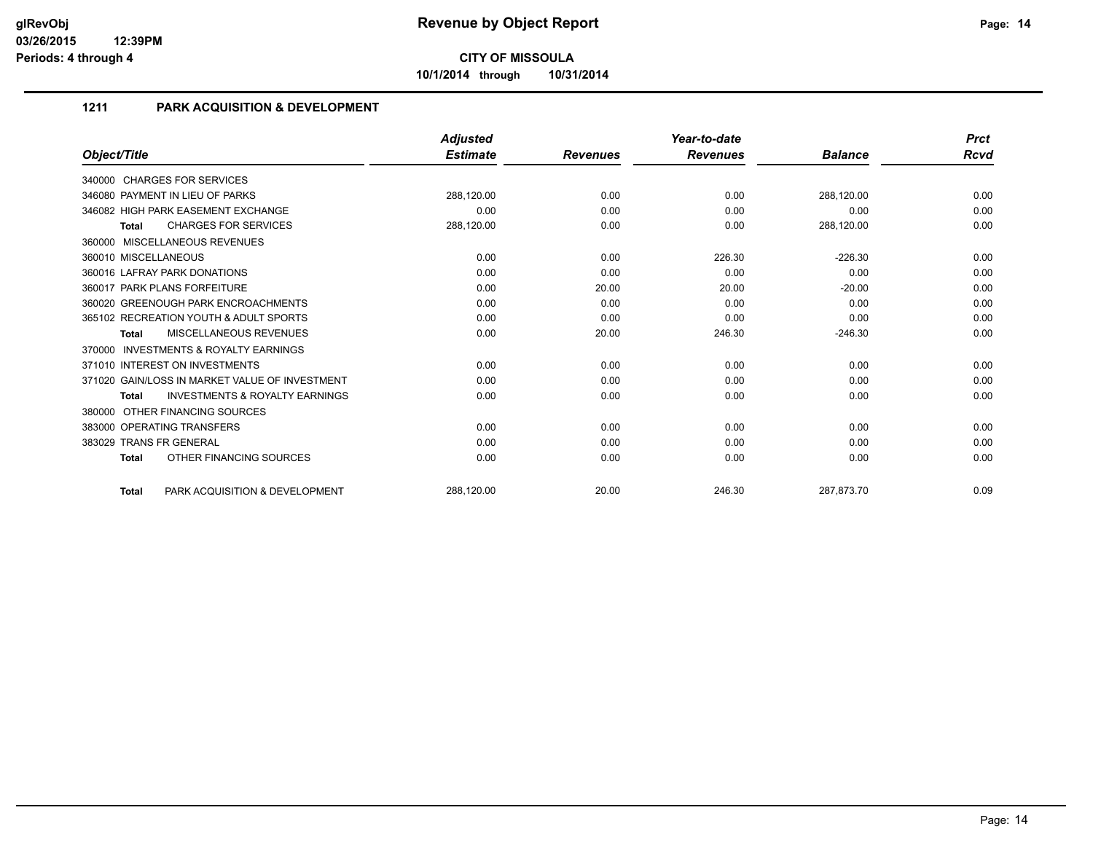**10/1/2014 through 10/31/2014**

## **1211 PARK ACQUISITION & DEVELOPMENT**

|                                                           | <b>Adjusted</b> |                 | Year-to-date    |                | <b>Prct</b> |
|-----------------------------------------------------------|-----------------|-----------------|-----------------|----------------|-------------|
| Object/Title                                              | <b>Estimate</b> | <b>Revenues</b> | <b>Revenues</b> | <b>Balance</b> | Rcvd        |
| 340000 CHARGES FOR SERVICES                               |                 |                 |                 |                |             |
| 346080 PAYMENT IN LIEU OF PARKS                           | 288,120.00      | 0.00            | 0.00            | 288,120.00     | 0.00        |
| 346082 HIGH PARK EASEMENT EXCHANGE                        | 0.00            | 0.00            | 0.00            | 0.00           | 0.00        |
| <b>CHARGES FOR SERVICES</b><br>Total                      | 288,120.00      | 0.00            | 0.00            | 288,120.00     | 0.00        |
| 360000 MISCELLANEOUS REVENUES                             |                 |                 |                 |                |             |
| 360010 MISCELLANEOUS                                      | 0.00            | 0.00            | 226.30          | $-226.30$      | 0.00        |
| 360016 LAFRAY PARK DONATIONS                              | 0.00            | 0.00            | 0.00            | 0.00           | 0.00        |
| 360017 PARK PLANS FORFEITURE                              | 0.00            | 20.00           | 20.00           | $-20.00$       | 0.00        |
| 360020 GREENOUGH PARK ENCROACHMENTS                       | 0.00            | 0.00            | 0.00            | 0.00           | 0.00        |
| 365102 RECREATION YOUTH & ADULT SPORTS                    | 0.00            | 0.00            | 0.00            | 0.00           | 0.00        |
| MISCELLANEOUS REVENUES<br>Total                           | 0.00            | 20.00           | 246.30          | $-246.30$      | 0.00        |
| <b>INVESTMENTS &amp; ROYALTY EARNINGS</b><br>370000       |                 |                 |                 |                |             |
| 371010 INTEREST ON INVESTMENTS                            | 0.00            | 0.00            | 0.00            | 0.00           | 0.00        |
| 371020 GAIN/LOSS IN MARKET VALUE OF INVESTMENT            | 0.00            | 0.00            | 0.00            | 0.00           | 0.00        |
| <b>INVESTMENTS &amp; ROYALTY EARNINGS</b><br><b>Total</b> | 0.00            | 0.00            | 0.00            | 0.00           | 0.00        |
| 380000 OTHER FINANCING SOURCES                            |                 |                 |                 |                |             |
| 383000 OPERATING TRANSFERS                                | 0.00            | 0.00            | 0.00            | 0.00           | 0.00        |
| 383029 TRANS FR GENERAL                                   | 0.00            | 0.00            | 0.00            | 0.00           | 0.00        |
| OTHER FINANCING SOURCES<br><b>Total</b>                   | 0.00            | 0.00            | 0.00            | 0.00           | 0.00        |
| PARK ACQUISITION & DEVELOPMENT<br><b>Total</b>            | 288,120.00      | 20.00           | 246.30          | 287,873.70     | 0.09        |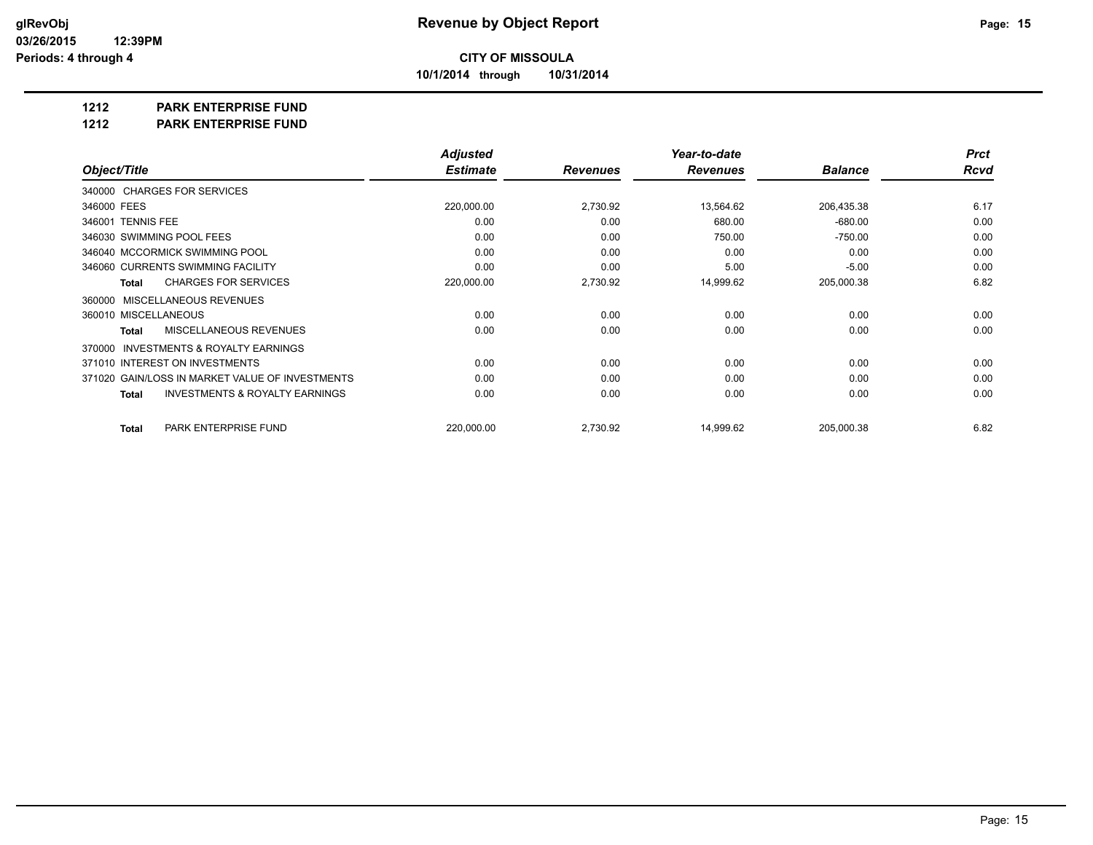**10/1/2014 through 10/31/2014**

### **1212 PARK ENTERPRISE FUND**

**1212 PARK ENTERPRISE FUND**

|                                                           | <b>Adjusted</b> |                 | Year-to-date    |                | <b>Prct</b> |
|-----------------------------------------------------------|-----------------|-----------------|-----------------|----------------|-------------|
| Object/Title                                              | <b>Estimate</b> | <b>Revenues</b> | <b>Revenues</b> | <b>Balance</b> | Rcvd        |
| 340000 CHARGES FOR SERVICES                               |                 |                 |                 |                |             |
| 346000 FEES                                               | 220,000.00      | 2,730.92        | 13,564.62       | 206,435.38     | 6.17        |
| 346001 TENNIS FEE                                         | 0.00            | 0.00            | 680.00          | $-680.00$      | 0.00        |
| 346030 SWIMMING POOL FEES                                 | 0.00            | 0.00            | 750.00          | $-750.00$      | 0.00        |
| 346040 MCCORMICK SWIMMING POOL                            | 0.00            | 0.00            | 0.00            | 0.00           | 0.00        |
| 346060 CURRENTS SWIMMING FACILITY                         | 0.00            | 0.00            | 5.00            | $-5.00$        | 0.00        |
| <b>CHARGES FOR SERVICES</b><br><b>Total</b>               | 220,000.00      | 2,730.92        | 14,999.62       | 205,000.38     | 6.82        |
| MISCELLANEOUS REVENUES<br>360000                          |                 |                 |                 |                |             |
| 360010 MISCELLANEOUS                                      | 0.00            | 0.00            | 0.00            | 0.00           | 0.00        |
| <b>MISCELLANEOUS REVENUES</b><br><b>Total</b>             | 0.00            | 0.00            | 0.00            | 0.00           | 0.00        |
| INVESTMENTS & ROYALTY EARNINGS<br>370000                  |                 |                 |                 |                |             |
| 371010 INTEREST ON INVESTMENTS                            | 0.00            | 0.00            | 0.00            | 0.00           | 0.00        |
| 371020 GAIN/LOSS IN MARKET VALUE OF INVESTMENTS           | 0.00            | 0.00            | 0.00            | 0.00           | 0.00        |
| <b>INVESTMENTS &amp; ROYALTY EARNINGS</b><br><b>Total</b> | 0.00            | 0.00            | 0.00            | 0.00           | 0.00        |
| PARK ENTERPRISE FUND<br><b>Total</b>                      | 220,000.00      | 2,730.92        | 14,999.62       | 205,000.38     | 6.82        |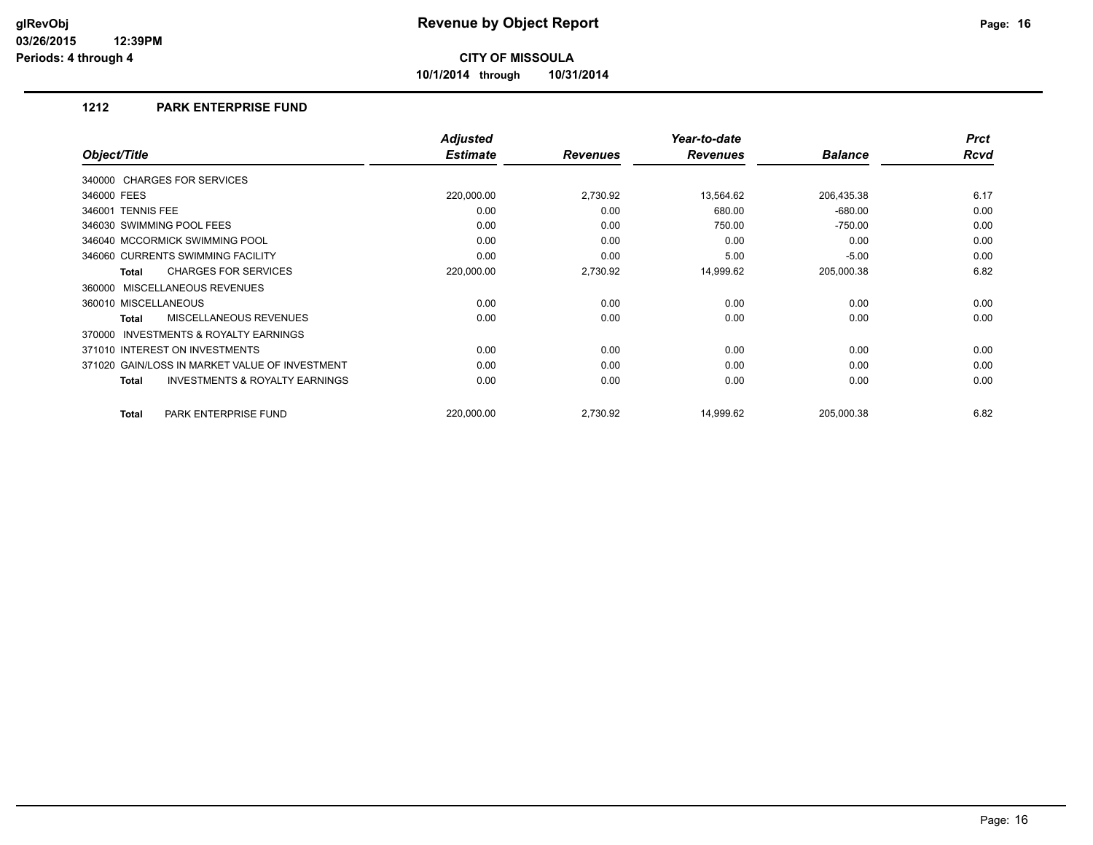**10/1/2014 through 10/31/2014**

### **1212 PARK ENTERPRISE FUND**

|                                                     | <b>Adjusted</b> |                 | Year-to-date    |                | <b>Prct</b> |
|-----------------------------------------------------|-----------------|-----------------|-----------------|----------------|-------------|
| Object/Title                                        | <b>Estimate</b> | <b>Revenues</b> | <b>Revenues</b> | <b>Balance</b> | Rcvd        |
| 340000 CHARGES FOR SERVICES                         |                 |                 |                 |                |             |
| 346000 FEES                                         | 220,000.00      | 2,730.92        | 13,564.62       | 206,435.38     | 6.17        |
| 346001 TENNIS FEE                                   | 0.00            | 0.00            | 680.00          | $-680.00$      | 0.00        |
| 346030 SWIMMING POOL FEES                           | 0.00            | 0.00            | 750.00          | $-750.00$      | 0.00        |
| 346040 MCCORMICK SWIMMING POOL                      | 0.00            | 0.00            | 0.00            | 0.00           | 0.00        |
| 346060 CURRENTS SWIMMING FACILITY                   | 0.00            | 0.00            | 5.00            | $-5.00$        | 0.00        |
| <b>CHARGES FOR SERVICES</b><br>Total                | 220,000.00      | 2,730.92        | 14,999.62       | 205,000.38     | 6.82        |
| 360000 MISCELLANEOUS REVENUES                       |                 |                 |                 |                |             |
| 360010 MISCELLANEOUS                                | 0.00            | 0.00            | 0.00            | 0.00           | 0.00        |
| MISCELLANEOUS REVENUES<br><b>Total</b>              | 0.00            | 0.00            | 0.00            | 0.00           | 0.00        |
| <b>INVESTMENTS &amp; ROYALTY EARNINGS</b><br>370000 |                 |                 |                 |                |             |
| 371010 INTEREST ON INVESTMENTS                      | 0.00            | 0.00            | 0.00            | 0.00           | 0.00        |
| 371020 GAIN/LOSS IN MARKET VALUE OF INVESTMENT      | 0.00            | 0.00            | 0.00            | 0.00           | 0.00        |
| <b>INVESTMENTS &amp; ROYALTY EARNINGS</b><br>Total  | 0.00            | 0.00            | 0.00            | 0.00           | 0.00        |
|                                                     |                 |                 |                 |                |             |
| PARK ENTERPRISE FUND<br><b>Total</b>                | 220,000.00      | 2,730.92        | 14.999.62       | 205,000.38     | 6.82        |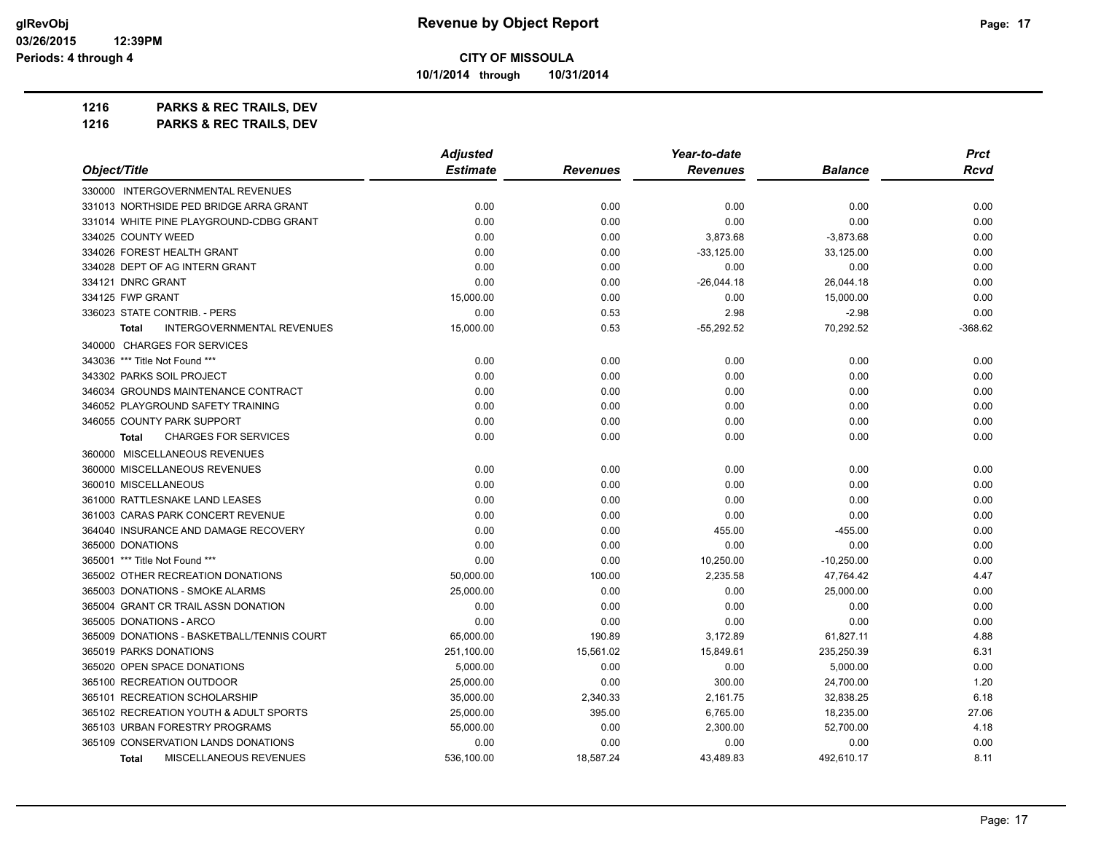**10/1/2014 through 10/31/2014**

| 1216 | <b>PARKS &amp; REC TRAILS, DEV</b> |  |
|------|------------------------------------|--|
|------|------------------------------------|--|

|                                                   | <b>Adjusted</b> |                 | Year-to-date    |                | <b>Prct</b> |  |
|---------------------------------------------------|-----------------|-----------------|-----------------|----------------|-------------|--|
| Object/Title                                      | <b>Estimate</b> | <b>Revenues</b> | <b>Revenues</b> | <b>Balance</b> | Rcvd        |  |
| 330000 INTERGOVERNMENTAL REVENUES                 |                 |                 |                 |                |             |  |
| 331013 NORTHSIDE PED BRIDGE ARRA GRANT            | 0.00            | 0.00            | 0.00            | 0.00           | 0.00        |  |
| 331014 WHITE PINE PLAYGROUND-CDBG GRANT           | 0.00            | 0.00            | 0.00            | 0.00           | 0.00        |  |
| 334025 COUNTY WEED                                | 0.00            | 0.00            | 3,873.68        | $-3,873.68$    | 0.00        |  |
| 334026 FOREST HEALTH GRANT                        | 0.00            | 0.00            | $-33,125.00$    | 33,125.00      | 0.00        |  |
| 334028 DEPT OF AG INTERN GRANT                    | 0.00            | 0.00            | 0.00            | 0.00           | 0.00        |  |
| 334121 DNRC GRANT                                 | 0.00            | 0.00            | $-26,044.18$    | 26,044.18      | 0.00        |  |
| 334125 FWP GRANT                                  | 15,000.00       | 0.00            | 0.00            | 15,000.00      | 0.00        |  |
| 336023 STATE CONTRIB. - PERS                      | 0.00            | 0.53            | 2.98            | $-2.98$        | 0.00        |  |
| <b>INTERGOVERNMENTAL REVENUES</b><br><b>Total</b> | 15,000.00       | 0.53            | $-55,292.52$    | 70,292.52      | $-368.62$   |  |
| 340000 CHARGES FOR SERVICES                       |                 |                 |                 |                |             |  |
| 343036 *** Title Not Found ***                    | 0.00            | 0.00            | 0.00            | 0.00           | 0.00        |  |
| 343302 PARKS SOIL PROJECT                         | 0.00            | 0.00            | 0.00            | 0.00           | 0.00        |  |
| 346034 GROUNDS MAINTENANCE CONTRACT               | 0.00            | 0.00            | 0.00            | 0.00           | 0.00        |  |
| 346052 PLAYGROUND SAFETY TRAINING                 | 0.00            | 0.00            | 0.00            | 0.00           | 0.00        |  |
| 346055 COUNTY PARK SUPPORT                        | 0.00            | 0.00            | 0.00            | 0.00           | 0.00        |  |
| <b>CHARGES FOR SERVICES</b><br><b>Total</b>       | 0.00            | 0.00            | 0.00            | 0.00           | 0.00        |  |
| 360000 MISCELLANEOUS REVENUES                     |                 |                 |                 |                |             |  |
| 360000 MISCELLANEOUS REVENUES                     | 0.00            | 0.00            | 0.00            | 0.00           | 0.00        |  |
| 360010 MISCELLANEOUS                              | 0.00            | 0.00            | 0.00            | 0.00           | 0.00        |  |
| 361000 RATTLESNAKE LAND LEASES                    | 0.00            | 0.00            | 0.00            | 0.00           | 0.00        |  |
| 361003 CARAS PARK CONCERT REVENUE                 | 0.00            | 0.00            | 0.00            | 0.00           | 0.00        |  |
| 364040 INSURANCE AND DAMAGE RECOVERY              | 0.00            | 0.00            | 455.00          | -455.00        | 0.00        |  |
| 365000 DONATIONS                                  | 0.00            | 0.00            | 0.00            | 0.00           | 0.00        |  |
| 365001 *** Title Not Found ***                    | 0.00            | 0.00            | 10,250.00       | $-10,250.00$   | 0.00        |  |
| 365002 OTHER RECREATION DONATIONS                 | 50,000.00       | 100.00          | 2,235.58        | 47,764.42      | 4.47        |  |
| 365003 DONATIONS - SMOKE ALARMS                   | 25,000.00       | 0.00            | 0.00            | 25,000.00      | 0.00        |  |
| 365004 GRANT CR TRAIL ASSN DONATION               | 0.00            | 0.00            | 0.00            | 0.00           | 0.00        |  |
| 365005 DONATIONS - ARCO                           | 0.00            | 0.00            | 0.00            | 0.00           | 0.00        |  |
| 365009 DONATIONS - BASKETBALL/TENNIS COURT        | 65,000.00       | 190.89          | 3,172.89        | 61,827.11      | 4.88        |  |
| 365019 PARKS DONATIONS                            | 251,100.00      | 15,561.02       | 15,849.61       | 235,250.39     | 6.31        |  |
| 365020 OPEN SPACE DONATIONS                       | 5,000.00        | 0.00            | 0.00            | 5,000.00       | 0.00        |  |
| 365100 RECREATION OUTDOOR                         | 25,000.00       | 0.00            | 300.00          | 24,700.00      | 1.20        |  |
| 365101 RECREATION SCHOLARSHIP                     | 35,000.00       | 2,340.33        | 2,161.75        | 32,838.25      | 6.18        |  |
| 365102 RECREATION YOUTH & ADULT SPORTS            | 25,000.00       | 395.00          | 6,765.00        | 18,235.00      | 27.06       |  |
| 365103 URBAN FORESTRY PROGRAMS                    | 55,000.00       | 0.00            | 2,300.00        | 52,700.00      | 4.18        |  |
| 365109 CONSERVATION LANDS DONATIONS               | 0.00            | 0.00            | 0.00            | 0.00           | 0.00        |  |
| <b>MISCELLANEOUS REVENUES</b><br><b>Total</b>     | 536,100.00      | 18.587.24       | 43,489.83       | 492,610.17     | 8.11        |  |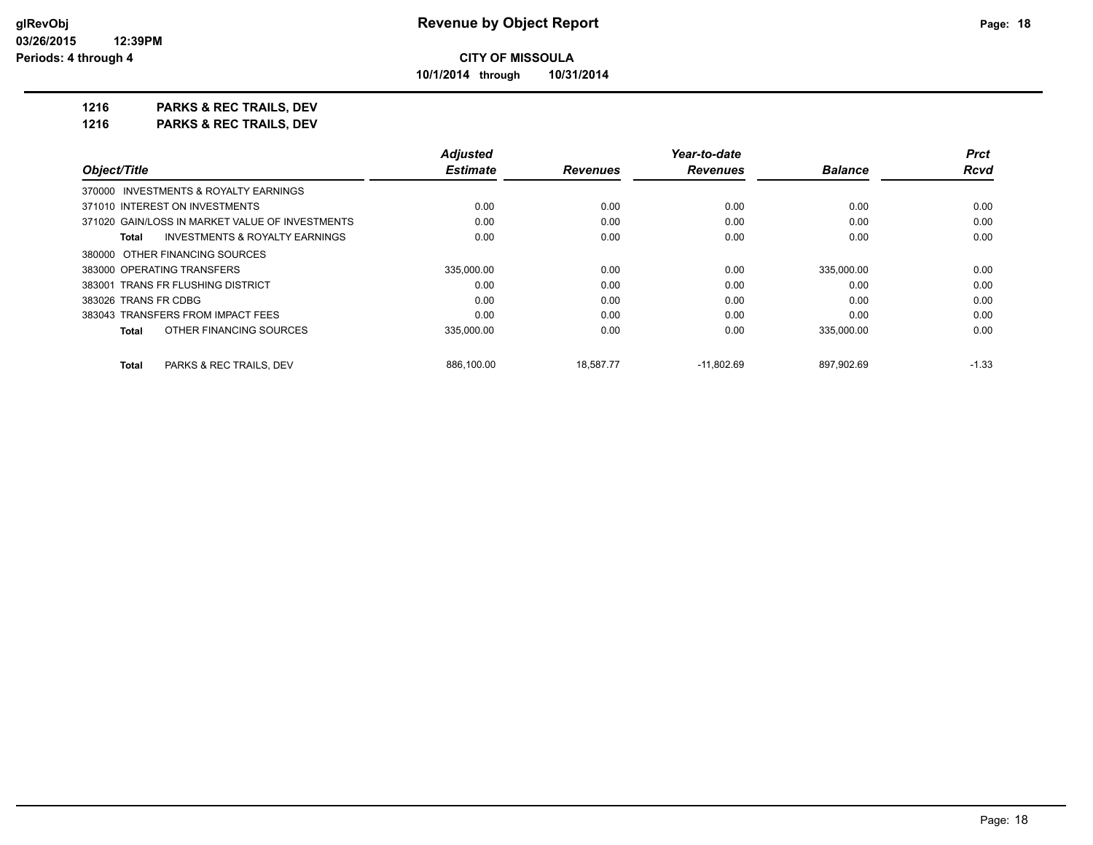**10/1/2014 through 10/31/2014**

**1216 PARKS & REC TRAILS, DEV**

|                                                    | <b>Adiusted</b> |                 | Year-to-date    |                | <b>Prct</b> |
|----------------------------------------------------|-----------------|-----------------|-----------------|----------------|-------------|
| Object/Title                                       | <b>Estimate</b> | <b>Revenues</b> | <b>Revenues</b> | <b>Balance</b> | <b>Rcvd</b> |
| 370000 INVESTMENTS & ROYALTY EARNINGS              |                 |                 |                 |                |             |
| 371010 INTEREST ON INVESTMENTS                     | 0.00            | 0.00            | 0.00            | 0.00           | 0.00        |
| 371020 GAIN/LOSS IN MARKET VALUE OF INVESTMENTS    | 0.00            | 0.00            | 0.00            | 0.00           | 0.00        |
| <b>INVESTMENTS &amp; ROYALTY EARNINGS</b><br>Total | 0.00            | 0.00            | 0.00            | 0.00           | 0.00        |
| 380000 OTHER FINANCING SOURCES                     |                 |                 |                 |                |             |
| 383000 OPERATING TRANSFERS                         | 335,000.00      | 0.00            | 0.00            | 335,000.00     | 0.00        |
| 383001 TRANS FR FLUSHING DISTRICT                  | 0.00            | 0.00            | 0.00            | 0.00           | 0.00        |
| 383026 TRANS FR CDBG                               | 0.00            | 0.00            | 0.00            | 0.00           | 0.00        |
| 383043 TRANSFERS FROM IMPACT FEES                  | 0.00            | 0.00            | 0.00            | 0.00           | 0.00        |
| OTHER FINANCING SOURCES<br>Total                   | 335,000.00      | 0.00            | 0.00            | 335,000.00     | 0.00        |
| PARKS & REC TRAILS, DEV<br>Total                   | 886.100.00      | 18.587.77       | $-11.802.69$    | 897.902.69     | $-1.33$     |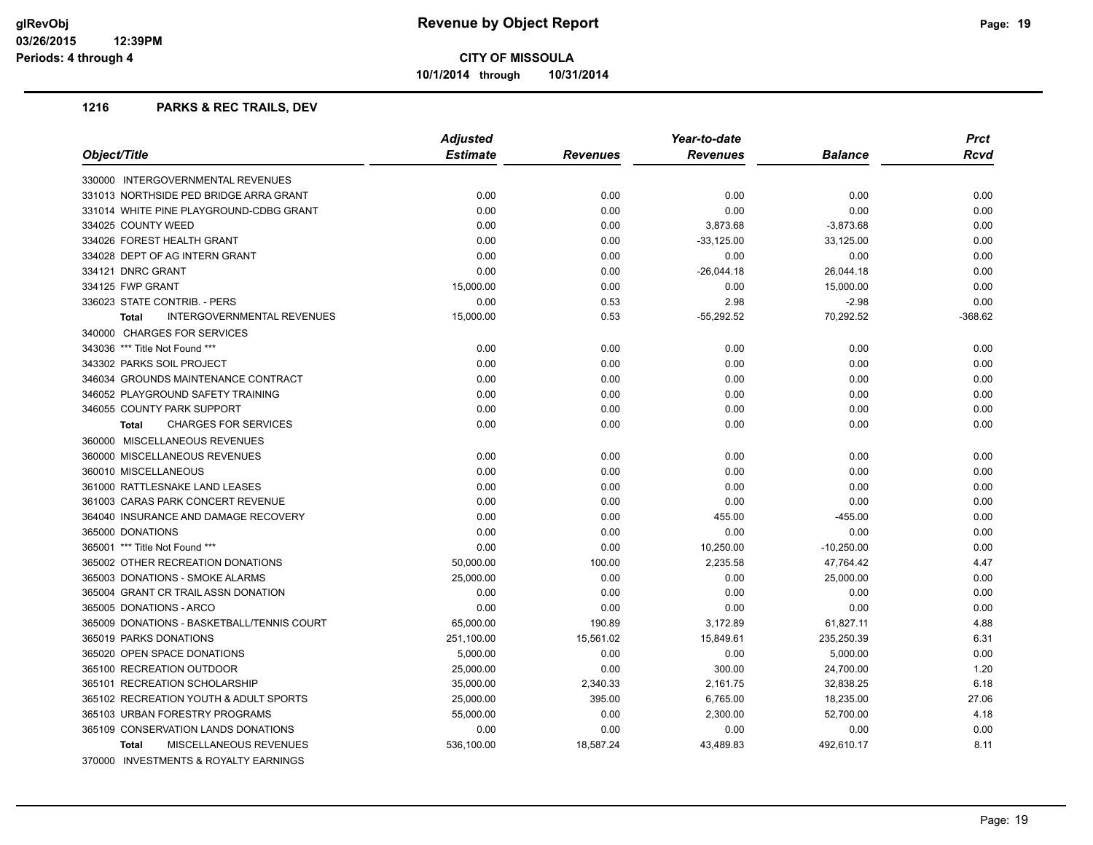**10/1/2014 through 10/31/2014**

|                                                   | <b>Adjusted</b> |                 | Year-to-date    |                | <b>Prct</b> |
|---------------------------------------------------|-----------------|-----------------|-----------------|----------------|-------------|
| Object/Title                                      | <b>Estimate</b> | <b>Revenues</b> | <b>Revenues</b> | <b>Balance</b> | <b>Rcvd</b> |
| 330000 INTERGOVERNMENTAL REVENUES                 |                 |                 |                 |                |             |
| 331013 NORTHSIDE PED BRIDGE ARRA GRANT            | 0.00            | 0.00            | 0.00            | 0.00           | 0.00        |
| 331014 WHITE PINE PLAYGROUND-CDBG GRANT           | 0.00            | 0.00            | 0.00            | 0.00           | 0.00        |
| 334025 COUNTY WEED                                | 0.00            | 0.00            | 3,873.68        | $-3,873.68$    | 0.00        |
| 334026 FOREST HEALTH GRANT                        | 0.00            | 0.00            | $-33,125.00$    | 33,125.00      | 0.00        |
| 334028 DEPT OF AG INTERN GRANT                    | 0.00            | 0.00            | 0.00            | 0.00           | 0.00        |
| 334121 DNRC GRANT                                 | 0.00            | 0.00            | $-26,044.18$    | 26,044.18      | 0.00        |
| 334125 FWP GRANT                                  | 15,000.00       | 0.00            | 0.00            | 15,000.00      | 0.00        |
| 336023 STATE CONTRIB. - PERS                      | 0.00            | 0.53            | 2.98            | $-2.98$        | 0.00        |
| <b>INTERGOVERNMENTAL REVENUES</b><br><b>Total</b> | 15,000.00       | 0.53            | $-55,292.52$    | 70,292.52      | $-368.62$   |
| 340000 CHARGES FOR SERVICES                       |                 |                 |                 |                |             |
| 343036 *** Title Not Found ***                    | 0.00            | 0.00            | 0.00            | 0.00           | 0.00        |
| 343302 PARKS SOIL PROJECT                         | 0.00            | 0.00            | 0.00            | 0.00           | 0.00        |
| 346034 GROUNDS MAINTENANCE CONTRACT               | 0.00            | 0.00            | 0.00            | 0.00           | 0.00        |
| 346052 PLAYGROUND SAFETY TRAINING                 | 0.00            | 0.00            | 0.00            | 0.00           | 0.00        |
| 346055 COUNTY PARK SUPPORT                        | 0.00            | 0.00            | 0.00            | 0.00           | 0.00        |
| <b>CHARGES FOR SERVICES</b><br><b>Total</b>       | 0.00            | 0.00            | 0.00            | 0.00           | 0.00        |
| 360000 MISCELLANEOUS REVENUES                     |                 |                 |                 |                |             |
| 360000 MISCELLANEOUS REVENUES                     | 0.00            | 0.00            | 0.00            | 0.00           | 0.00        |
| 360010 MISCELLANEOUS                              | 0.00            | 0.00            | 0.00            | 0.00           | 0.00        |
| 361000 RATTLESNAKE LAND LEASES                    | 0.00            | 0.00            | 0.00            | 0.00           | 0.00        |
| 361003 CARAS PARK CONCERT REVENUE                 | 0.00            | 0.00            | 0.00            | 0.00           | 0.00        |
| 364040 INSURANCE AND DAMAGE RECOVERY              | 0.00            | 0.00            | 455.00          | $-455.00$      | 0.00        |
| 365000 DONATIONS                                  | 0.00            | 0.00            | 0.00            | 0.00           | 0.00        |
| 365001 *** Title Not Found ***                    | 0.00            | 0.00            | 10,250.00       | $-10,250.00$   | 0.00        |
| 365002 OTHER RECREATION DONATIONS                 | 50,000.00       | 100.00          | 2,235.58        | 47,764.42      | 4.47        |
| 365003 DONATIONS - SMOKE ALARMS                   | 25,000.00       | 0.00            | 0.00            | 25,000.00      | 0.00        |
| 365004 GRANT CR TRAIL ASSN DONATION               | 0.00            | 0.00            | 0.00            | 0.00           | 0.00        |
| 365005 DONATIONS - ARCO                           | 0.00            | 0.00            | 0.00            | 0.00           | 0.00        |
| 365009 DONATIONS - BASKETBALL/TENNIS COURT        | 65,000.00       | 190.89          | 3,172.89        | 61,827.11      | 4.88        |
| 365019 PARKS DONATIONS                            | 251,100.00      | 15,561.02       | 15,849.61       | 235,250.39     | 6.31        |
| 365020 OPEN SPACE DONATIONS                       | 5,000.00        | 0.00            | 0.00            | 5,000.00       | 0.00        |
| 365100 RECREATION OUTDOOR                         | 25,000.00       | 0.00            | 300.00          | 24,700.00      | 1.20        |
| 365101 RECREATION SCHOLARSHIP                     | 35,000.00       | 2,340.33        | 2,161.75        | 32,838.25      | 6.18        |
| 365102 RECREATION YOUTH & ADULT SPORTS            | 25,000.00       | 395.00          | 6,765.00        | 18,235.00      | 27.06       |
| 365103 URBAN FORESTRY PROGRAMS                    | 55,000.00       | 0.00            | 2,300.00        | 52,700.00      | 4.18        |
| 365109 CONSERVATION LANDS DONATIONS               | 0.00            | 0.00            | 0.00            | 0.00           | 0.00        |
| MISCELLANEOUS REVENUES<br><b>Total</b>            | 536,100.00      | 18,587.24       | 43,489.83       | 492,610.17     | 8.11        |
| 370000 INVESTMENTS & ROYALTY EARNINGS             |                 |                 |                 |                |             |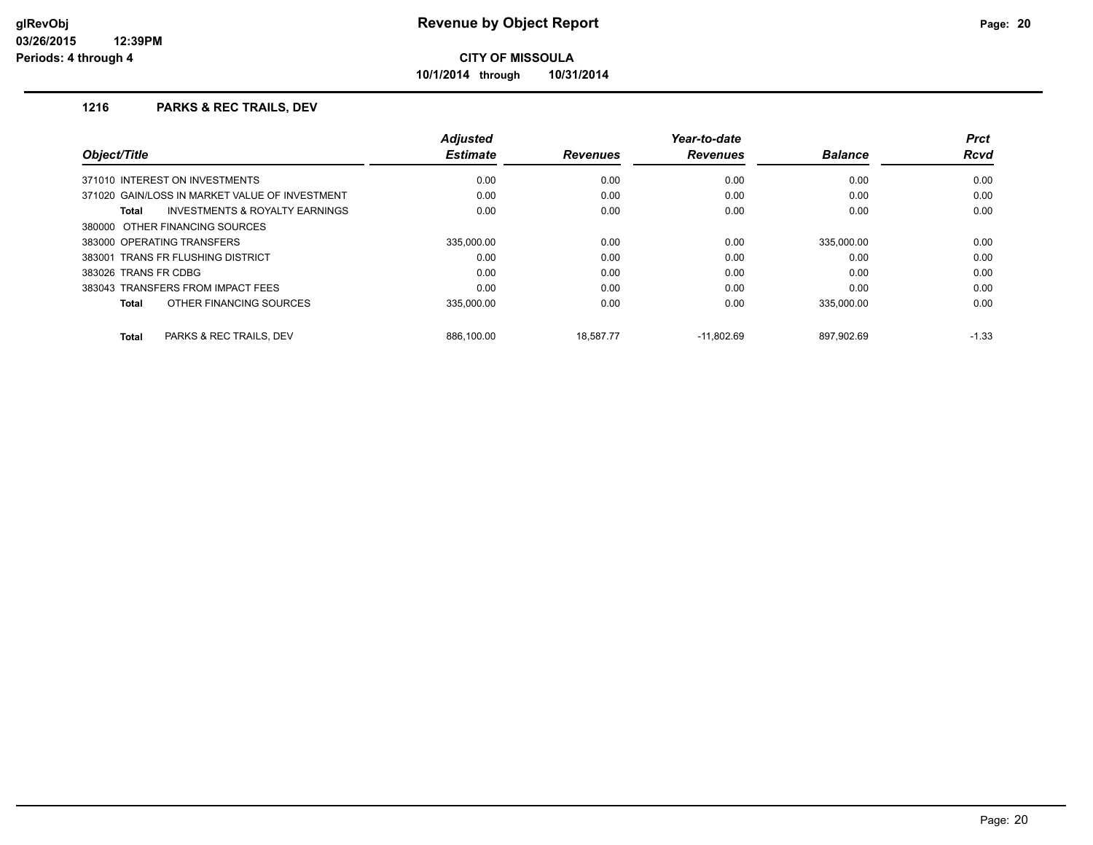**10/1/2014 through 10/31/2014**

| Object/Title                                       | <b>Adjusted</b><br><b>Estimate</b> | <b>Revenues</b> | Year-to-date<br><b>Revenues</b> | <b>Balance</b> | <b>Prct</b><br><b>Rcvd</b> |
|----------------------------------------------------|------------------------------------|-----------------|---------------------------------|----------------|----------------------------|
| 371010 INTEREST ON INVESTMENTS                     | 0.00                               | 0.00            | 0.00                            | 0.00           | 0.00                       |
| 371020 GAIN/LOSS IN MARKET VALUE OF INVESTMENT     | 0.00                               | 0.00            | 0.00                            | 0.00           | 0.00                       |
| <b>INVESTMENTS &amp; ROYALTY EARNINGS</b><br>Total | 0.00                               | 0.00            | 0.00                            | 0.00           | 0.00                       |
| 380000 OTHER FINANCING SOURCES                     |                                    |                 |                                 |                |                            |
| 383000 OPERATING TRANSFERS                         | 335.000.00                         | 0.00            | 0.00                            | 335.000.00     | 0.00                       |
| 383001 TRANS FR FLUSHING DISTRICT                  | 0.00                               | 0.00            | 0.00                            | 0.00           | 0.00                       |
| 383026 TRANS FR CDBG                               | 0.00                               | 0.00            | 0.00                            | 0.00           | 0.00                       |
| 383043 TRANSFERS FROM IMPACT FEES                  | 0.00                               | 0.00            | 0.00                            | 0.00           | 0.00                       |
| OTHER FINANCING SOURCES<br>Total                   | 335.000.00                         | 0.00            | 0.00                            | 335.000.00     | 0.00                       |
| PARKS & REC TRAILS, DEV<br><b>Total</b>            | 886.100.00                         | 18.587.77       | $-11.802.69$                    | 897.902.69     | $-1.33$                    |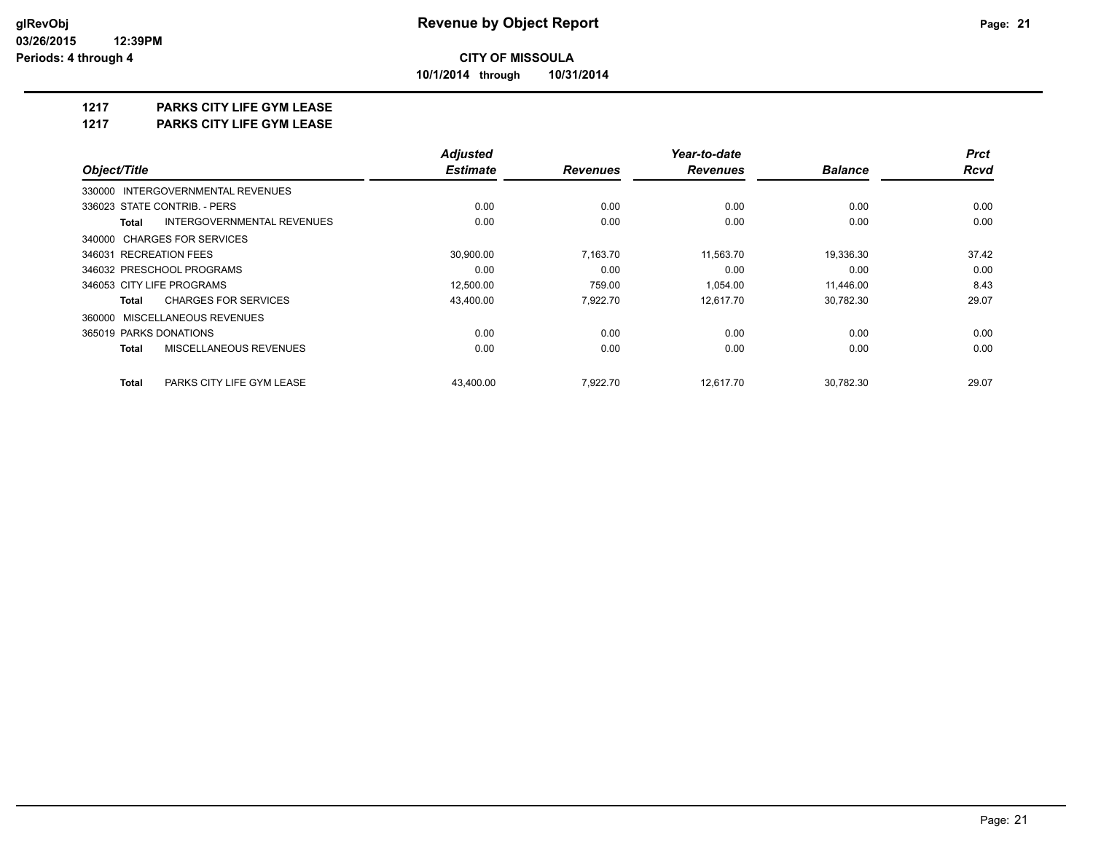**10/1/2014 through 10/31/2014**

## **1217 PARKS CITY LIFE GYM LEASE**

**1217 PARKS CITY LIFE GYM LEASE**

|                                            | <b>Adjusted</b> |                 | Year-to-date    |                | <b>Prct</b> |
|--------------------------------------------|-----------------|-----------------|-----------------|----------------|-------------|
| Object/Title                               | <b>Estimate</b> | <b>Revenues</b> | <b>Revenues</b> | <b>Balance</b> | <b>Rcvd</b> |
| 330000 INTERGOVERNMENTAL REVENUES          |                 |                 |                 |                |             |
| 336023 STATE CONTRIB. - PERS               | 0.00            | 0.00            | 0.00            | 0.00           | 0.00        |
| INTERGOVERNMENTAL REVENUES<br><b>Total</b> | 0.00            | 0.00            | 0.00            | 0.00           | 0.00        |
| 340000 CHARGES FOR SERVICES                |                 |                 |                 |                |             |
| 346031 RECREATION FEES                     | 30,900.00       | 7,163.70        | 11,563.70       | 19,336.30      | 37.42       |
| 346032 PRESCHOOL PROGRAMS                  | 0.00            | 0.00            | 0.00            | 0.00           | 0.00        |
| 346053 CITY LIFE PROGRAMS                  | 12,500.00       | 759.00          | 1,054.00        | 11,446.00      | 8.43        |
| <b>CHARGES FOR SERVICES</b><br>Total       | 43,400.00       | 7,922.70        | 12,617.70       | 30,782.30      | 29.07       |
| 360000 MISCELLANEOUS REVENUES              |                 |                 |                 |                |             |
| 365019 PARKS DONATIONS                     | 0.00            | 0.00            | 0.00            | 0.00           | 0.00        |
| MISCELLANEOUS REVENUES<br><b>Total</b>     | 0.00            | 0.00            | 0.00            | 0.00           | 0.00        |
| <b>Total</b><br>PARKS CITY LIFE GYM LEASE  | 43.400.00       | 7.922.70        | 12.617.70       | 30.782.30      | 29.07       |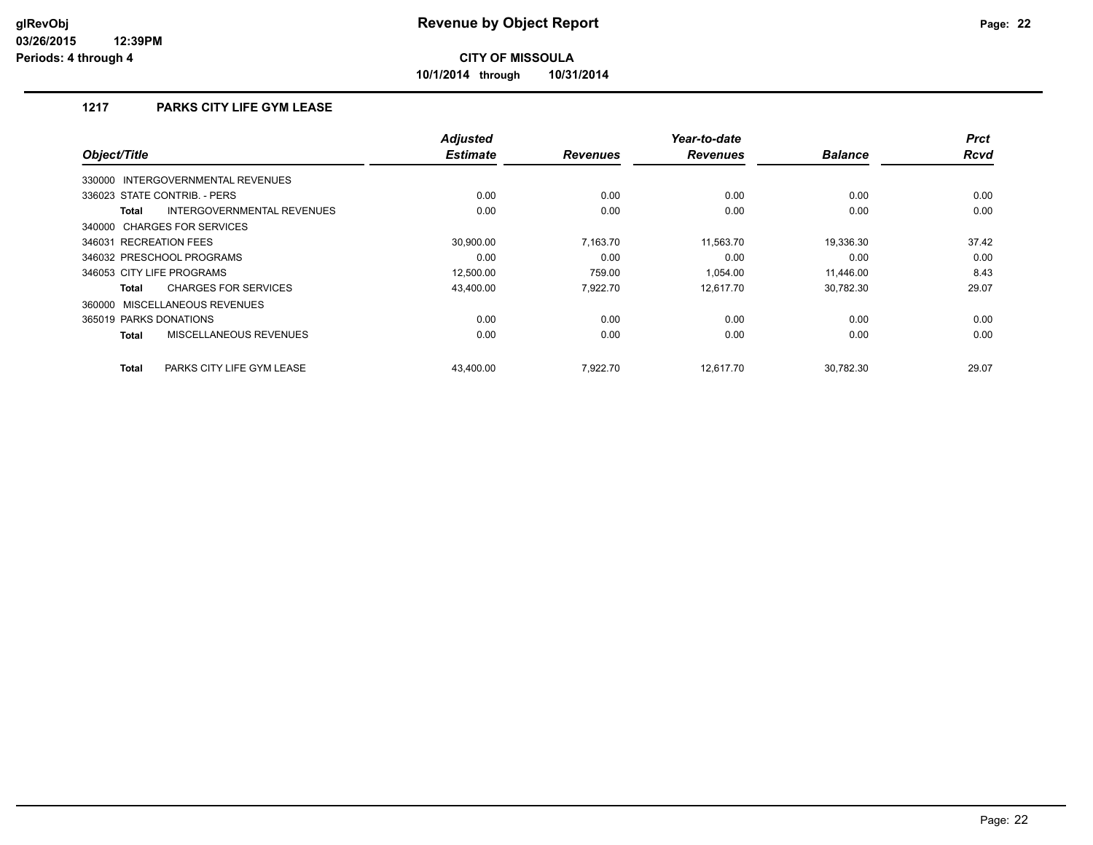**10/1/2014 through 10/31/2014**

## **1217 PARKS CITY LIFE GYM LEASE**

| Object/Title                                | <b>Adjusted</b><br><b>Estimate</b> | <b>Revenues</b> | Year-to-date<br><b>Revenues</b> | <b>Balance</b> | <b>Prct</b><br><b>Rcvd</b> |
|---------------------------------------------|------------------------------------|-----------------|---------------------------------|----------------|----------------------------|
| 330000 INTERGOVERNMENTAL REVENUES           |                                    |                 |                                 |                |                            |
| 336023 STATE CONTRIB. - PERS                | 0.00                               | 0.00            | 0.00                            | 0.00           | 0.00                       |
| INTERGOVERNMENTAL REVENUES<br><b>Total</b>  | 0.00                               | 0.00            | 0.00                            | 0.00           | 0.00                       |
| 340000 CHARGES FOR SERVICES                 |                                    |                 |                                 |                |                            |
| 346031 RECREATION FEES                      | 30.900.00                          | 7.163.70        | 11,563.70                       | 19.336.30      | 37.42                      |
| 346032 PRESCHOOL PROGRAMS                   | 0.00                               | 0.00            | 0.00                            | 0.00           | 0.00                       |
| 346053 CITY LIFE PROGRAMS                   | 12,500.00                          | 759.00          | 1.054.00                        | 11.446.00      | 8.43                       |
| <b>CHARGES FOR SERVICES</b><br><b>Total</b> | 43,400.00                          | 7,922.70        | 12,617.70                       | 30,782.30      | 29.07                      |
| 360000 MISCELLANEOUS REVENUES               |                                    |                 |                                 |                |                            |
| 365019 PARKS DONATIONS                      | 0.00                               | 0.00            | 0.00                            | 0.00           | 0.00                       |
| MISCELLANEOUS REVENUES<br><b>Total</b>      | 0.00                               | 0.00            | 0.00                            | 0.00           | 0.00                       |
| PARKS CITY LIFE GYM LEASE<br><b>Total</b>   | 43,400.00                          | 7,922.70        | 12,617.70                       | 30,782.30      | 29.07                      |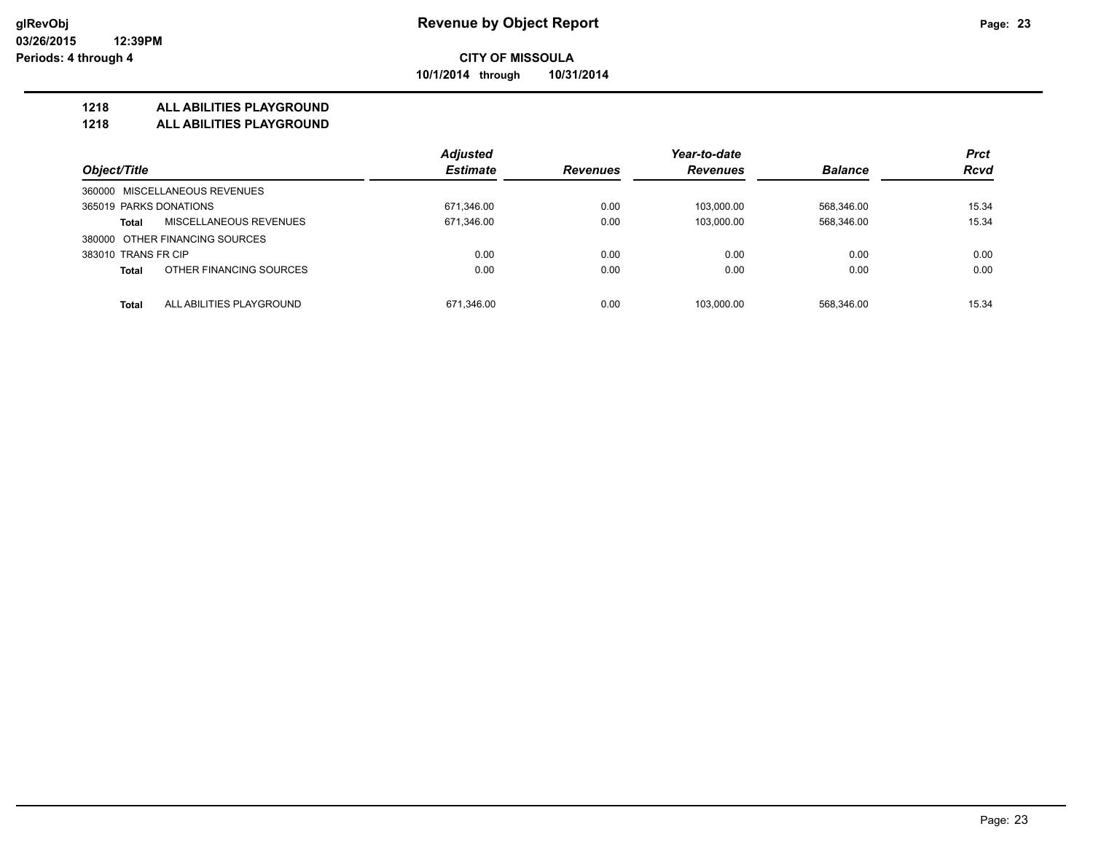**10/1/2014 through 10/31/2014**

### **1218 ALL ABILITIES PLAYGROUND**

**1218 ALL ABILITIES PLAYGROUND**

|                                          | <b>Adjusted</b> |                 | Year-to-date    |                | <b>Prct</b> |
|------------------------------------------|-----------------|-----------------|-----------------|----------------|-------------|
| Object/Title                             | <b>Estimate</b> | <b>Revenues</b> | <b>Revenues</b> | <b>Balance</b> | <b>Rcvd</b> |
| 360000 MISCELLANEOUS REVENUES            |                 |                 |                 |                |             |
| 365019 PARKS DONATIONS                   | 671,346.00      | 0.00            | 103.000.00      | 568,346.00     | 15.34       |
| MISCELLANEOUS REVENUES<br><b>Total</b>   | 671,346.00      | 0.00            | 103,000.00      | 568,346.00     | 15.34       |
| 380000 OTHER FINANCING SOURCES           |                 |                 |                 |                |             |
| 383010 TRANS FR CIP                      | 0.00            | 0.00            | 0.00            | 0.00           | 0.00        |
| OTHER FINANCING SOURCES<br><b>Total</b>  | 0.00            | 0.00            | 0.00            | 0.00           | 0.00        |
| ALL ABILITIES PLAYGROUND<br><b>Total</b> | 671.346.00      | 0.00            | 103.000.00      | 568.346.00     | 15.34       |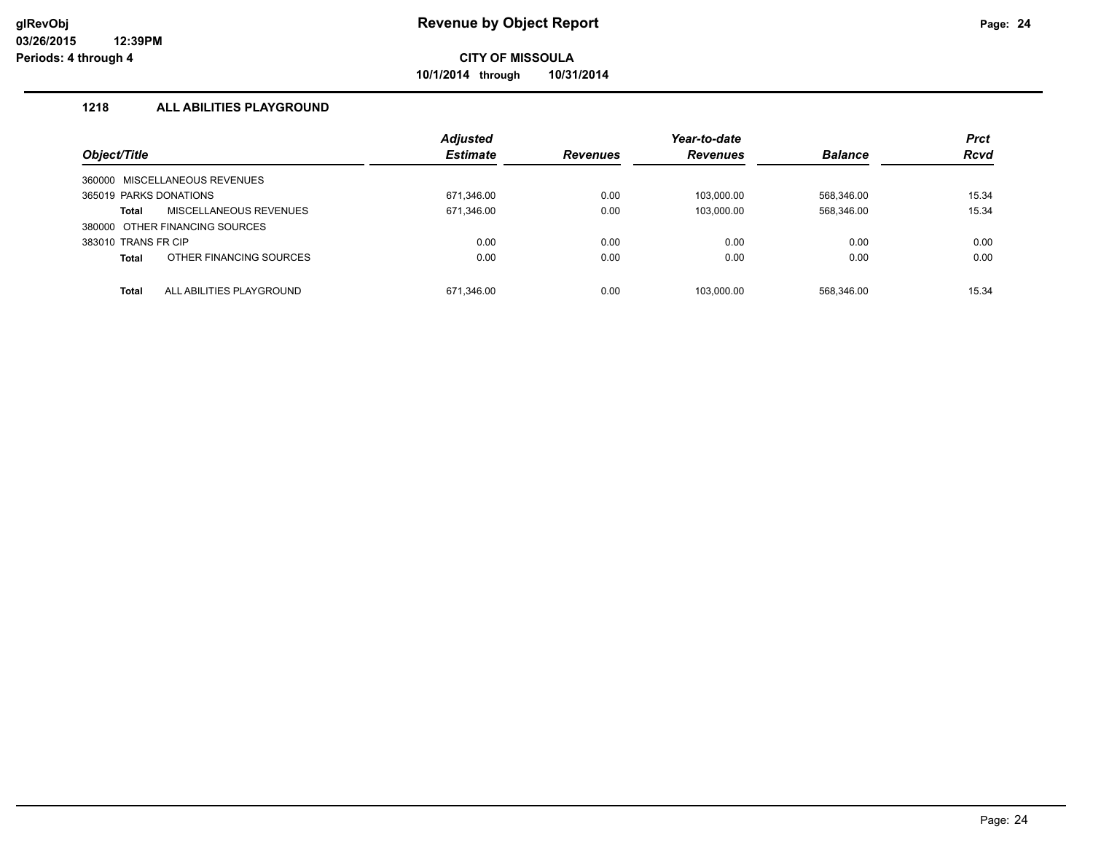**10/1/2014 through 10/31/2014**

## **1218 ALL ABILITIES PLAYGROUND**

|                        |                                | <b>Adjusted</b> |                 | Year-to-date    |                | <b>Prct</b> |
|------------------------|--------------------------------|-----------------|-----------------|-----------------|----------------|-------------|
| Object/Title           |                                | <b>Estimate</b> | <b>Revenues</b> | <b>Revenues</b> | <b>Balance</b> | <b>Rcvd</b> |
| 360000                 | MISCELLANEOUS REVENUES         |                 |                 |                 |                |             |
| 365019 PARKS DONATIONS |                                | 671,346.00      | 0.00            | 103,000.00      | 568,346.00     | 15.34       |
| Total                  | <b>MISCELLANEOUS REVENUES</b>  | 671,346.00      | 0.00            | 103,000.00      | 568,346.00     | 15.34       |
|                        | 380000 OTHER FINANCING SOURCES |                 |                 |                 |                |             |
| 383010 TRANS FR CIP    |                                | 0.00            | 0.00            | 0.00            | 0.00           | 0.00        |
| <b>Total</b>           | OTHER FINANCING SOURCES        | 0.00            | 0.00            | 0.00            | 0.00           | 0.00        |
| Total                  | ALL ABILITIES PLAYGROUND       | 671.346.00      | 0.00            | 103.000.00      | 568.346.00     | 15.34       |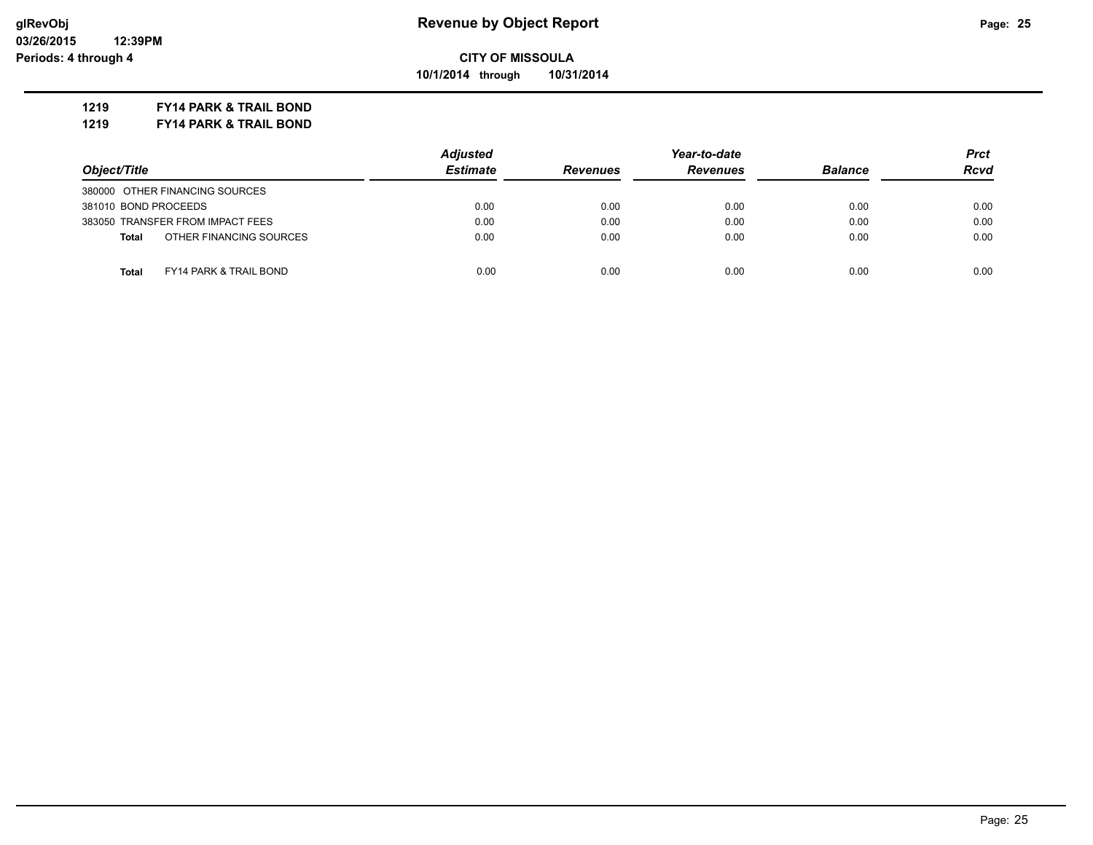**10/1/2014 through 10/31/2014**

### **1219 FY14 PARK & TRAIL BOND**

**1219 FY14 PARK & TRAIL BOND**

|                                            | <b>Adjusted</b> |                 | Year-to-date    |                |             |
|--------------------------------------------|-----------------|-----------------|-----------------|----------------|-------------|
| Object/Title                               | <b>Estimate</b> | <b>Revenues</b> | <b>Revenues</b> | <b>Balance</b> | <b>Rcvd</b> |
| 380000 OTHER FINANCING SOURCES             |                 |                 |                 |                |             |
| 381010 BOND PROCEEDS                       | 0.00            | 0.00            | 0.00            | 0.00           | 0.00        |
| 383050 TRANSFER FROM IMPACT FEES           | 0.00            | 0.00            | 0.00            | 0.00           | 0.00        |
| OTHER FINANCING SOURCES<br><b>Total</b>    | 0.00            | 0.00            | 0.00            | 0.00           | 0.00        |
| <b>FY14 PARK &amp; TRAIL BOND</b><br>Total | 0.00            | 0.00            | 0.00            | 0.00           | 0.00        |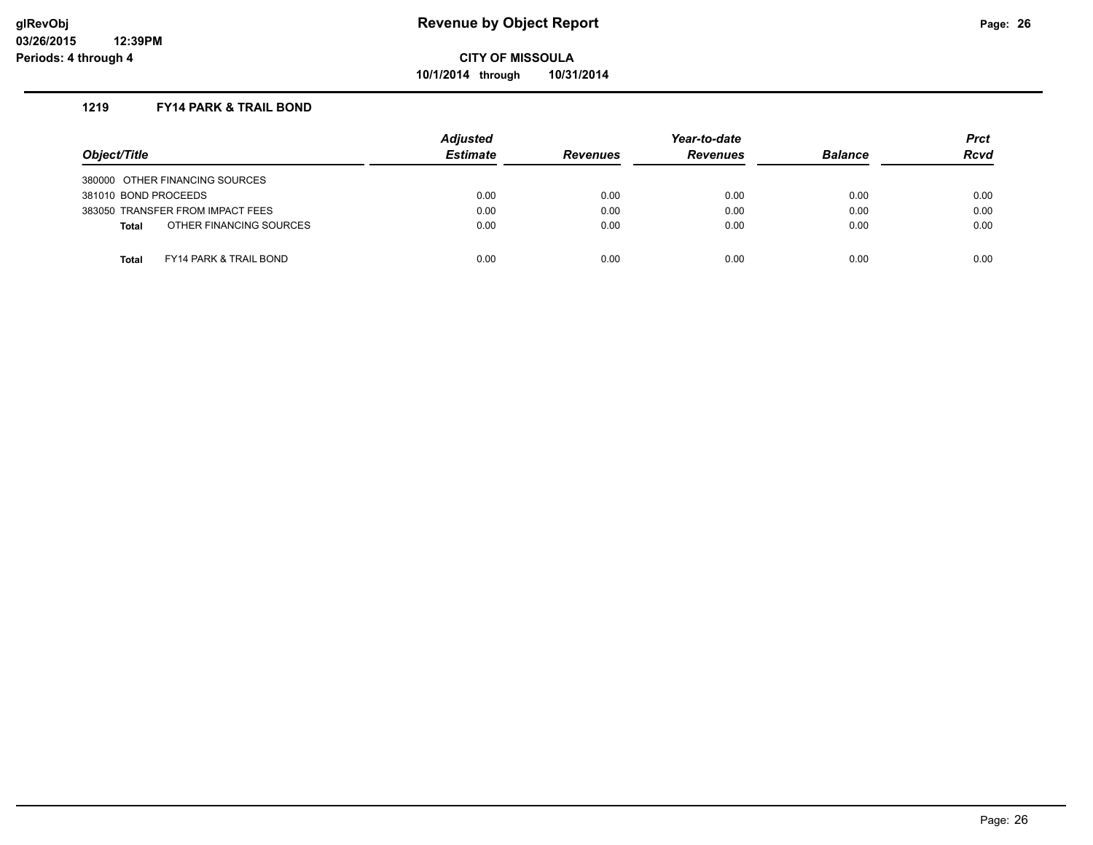**10/1/2014 through 10/31/2014**

### **1219 FY14 PARK & TRAIL BOND**

| Object/Title         |                                   | <b>Adjusted</b><br><b>Estimate</b> | <b>Revenues</b> | Year-to-date<br><b>Revenues</b> | <b>Balance</b> | <b>Prct</b><br><b>Rcvd</b> |
|----------------------|-----------------------------------|------------------------------------|-----------------|---------------------------------|----------------|----------------------------|
|                      | 380000 OTHER FINANCING SOURCES    |                                    |                 |                                 |                |                            |
| 381010 BOND PROCEEDS |                                   | 0.00                               | 0.00            | 0.00                            | 0.00           | 0.00                       |
|                      | 383050 TRANSFER FROM IMPACT FEES  | 0.00                               | 0.00            | 0.00                            | 0.00           | 0.00                       |
| <b>Total</b>         | OTHER FINANCING SOURCES           | 0.00                               | 0.00            | 0.00                            | 0.00           | 0.00                       |
|                      |                                   |                                    |                 |                                 |                |                            |
| <b>Total</b>         | <b>FY14 PARK &amp; TRAIL BOND</b> | 0.00                               | 0.00            | 0.00                            | 0.00           | 0.00                       |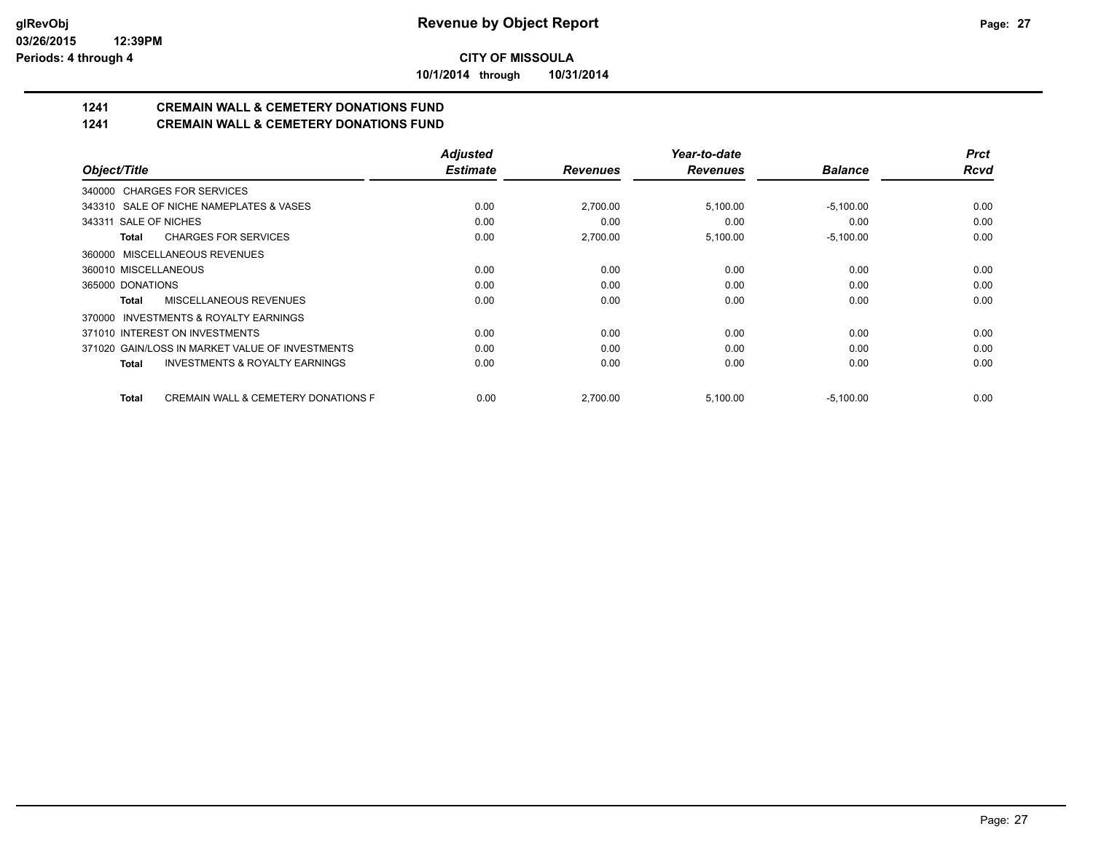**10/1/2014 through 10/31/2014**

# **1241 CREMAIN WALL & CEMETERY DONATIONS FUND**

**1241 CREMAIN WALL & CEMETERY DONATIONS FUND**

|                                                           | <b>Adjusted</b> |                 | Year-to-date    |                | <b>Prct</b> |
|-----------------------------------------------------------|-----------------|-----------------|-----------------|----------------|-------------|
| Object/Title                                              | <b>Estimate</b> | <b>Revenues</b> | <b>Revenues</b> | <b>Balance</b> | <b>Rcvd</b> |
| 340000 CHARGES FOR SERVICES                               |                 |                 |                 |                |             |
| 343310 SALE OF NICHE NAMEPLATES & VASES                   | 0.00            | 2,700.00        | 5,100.00        | $-5,100.00$    | 0.00        |
| 343311 SALE OF NICHES                                     | 0.00            | 0.00            | 0.00            | 0.00           | 0.00        |
| <b>CHARGES FOR SERVICES</b><br>Total                      | 0.00            | 2,700.00        | 5,100.00        | $-5,100.00$    | 0.00        |
| 360000 MISCELLANEOUS REVENUES                             |                 |                 |                 |                |             |
| 360010 MISCELLANEOUS                                      | 0.00            | 0.00            | 0.00            | 0.00           | 0.00        |
| 365000 DONATIONS                                          | 0.00            | 0.00            | 0.00            | 0.00           | 0.00        |
| MISCELLANEOUS REVENUES<br><b>Total</b>                    | 0.00            | 0.00            | 0.00            | 0.00           | 0.00        |
| 370000 INVESTMENTS & ROYALTY EARNINGS                     |                 |                 |                 |                |             |
| 371010 INTEREST ON INVESTMENTS                            | 0.00            | 0.00            | 0.00            | 0.00           | 0.00        |
| 371020 GAIN/LOSS IN MARKET VALUE OF INVESTMENTS           | 0.00            | 0.00            | 0.00            | 0.00           | 0.00        |
| <b>INVESTMENTS &amp; ROYALTY EARNINGS</b><br><b>Total</b> | 0.00            | 0.00            | 0.00            | 0.00           | 0.00        |
| <b>CREMAIN WALL &amp; CEMETERY DONATIONS F</b><br>Total   | 0.00            | 2.700.00        | 5,100.00        | $-5,100.00$    | 0.00        |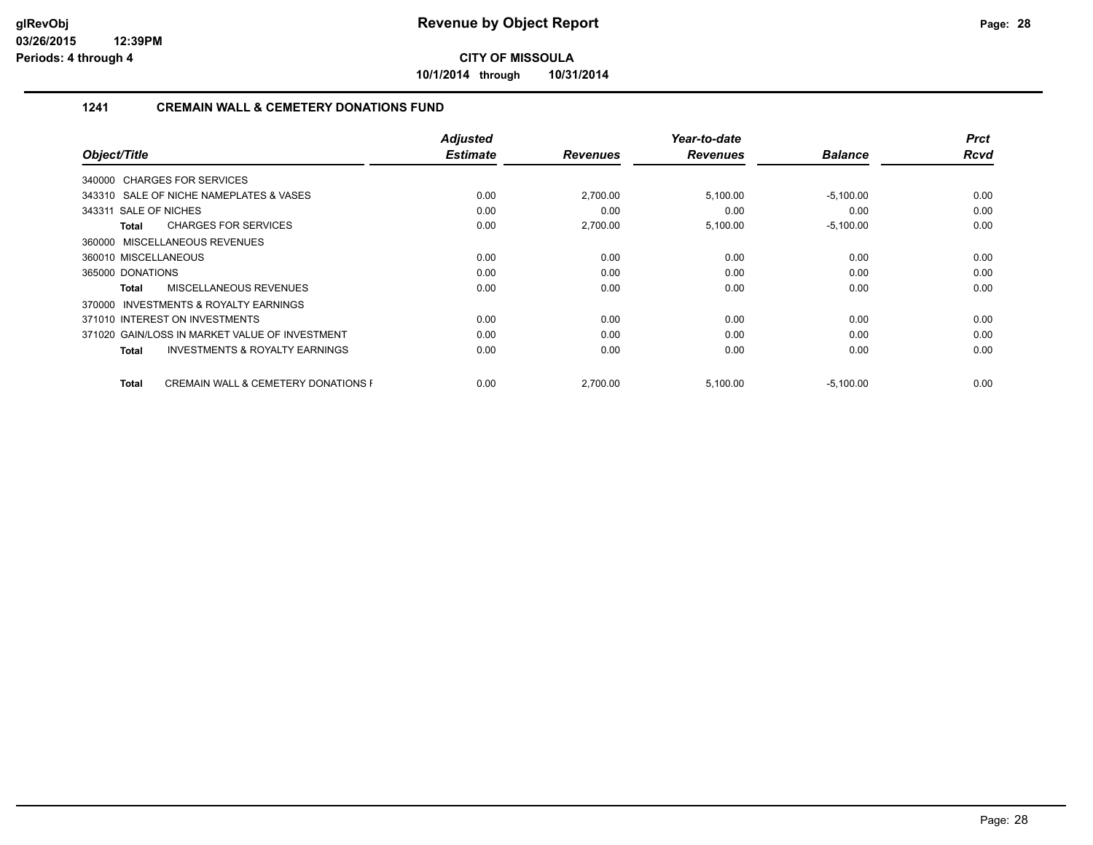**10/1/2014 through 10/31/2014**

### **1241 CREMAIN WALL & CEMETERY DONATIONS FUND**

|                                                                | <b>Adjusted</b> |                 | Year-to-date    |                | <b>Prct</b> |
|----------------------------------------------------------------|-----------------|-----------------|-----------------|----------------|-------------|
| Object/Title                                                   | <b>Estimate</b> | <b>Revenues</b> | <b>Revenues</b> | <b>Balance</b> | <b>Rcvd</b> |
| 340000 CHARGES FOR SERVICES                                    |                 |                 |                 |                |             |
| 343310 SALE OF NICHE NAMEPLATES & VASES                        | 0.00            | 2,700.00        | 5,100.00        | $-5,100.00$    | 0.00        |
| 343311 SALE OF NICHES                                          | 0.00            | 0.00            | 0.00            | 0.00           | 0.00        |
| <b>CHARGES FOR SERVICES</b><br><b>Total</b>                    | 0.00            | 2,700.00        | 5,100.00        | $-5,100.00$    | 0.00        |
| 360000 MISCELLANEOUS REVENUES                                  |                 |                 |                 |                |             |
| 360010 MISCELLANEOUS                                           | 0.00            | 0.00            | 0.00            | 0.00           | 0.00        |
| 365000 DONATIONS                                               | 0.00            | 0.00            | 0.00            | 0.00           | 0.00        |
| <b>MISCELLANEOUS REVENUES</b><br>Total                         | 0.00            | 0.00            | 0.00            | 0.00           | 0.00        |
| <b>INVESTMENTS &amp; ROYALTY EARNINGS</b><br>370000            |                 |                 |                 |                |             |
| 371010 INTEREST ON INVESTMENTS                                 | 0.00            | 0.00            | 0.00            | 0.00           | 0.00        |
| 371020 GAIN/LOSS IN MARKET VALUE OF INVESTMENT                 | 0.00            | 0.00            | 0.00            | 0.00           | 0.00        |
| <b>INVESTMENTS &amp; ROYALTY EARNINGS</b><br><b>Total</b>      | 0.00            | 0.00            | 0.00            | 0.00           | 0.00        |
| <b>CREMAIN WALL &amp; CEMETERY DONATIONS F</b><br><b>Total</b> | 0.00            | 2,700.00        | 5,100.00        | $-5,100.00$    | 0.00        |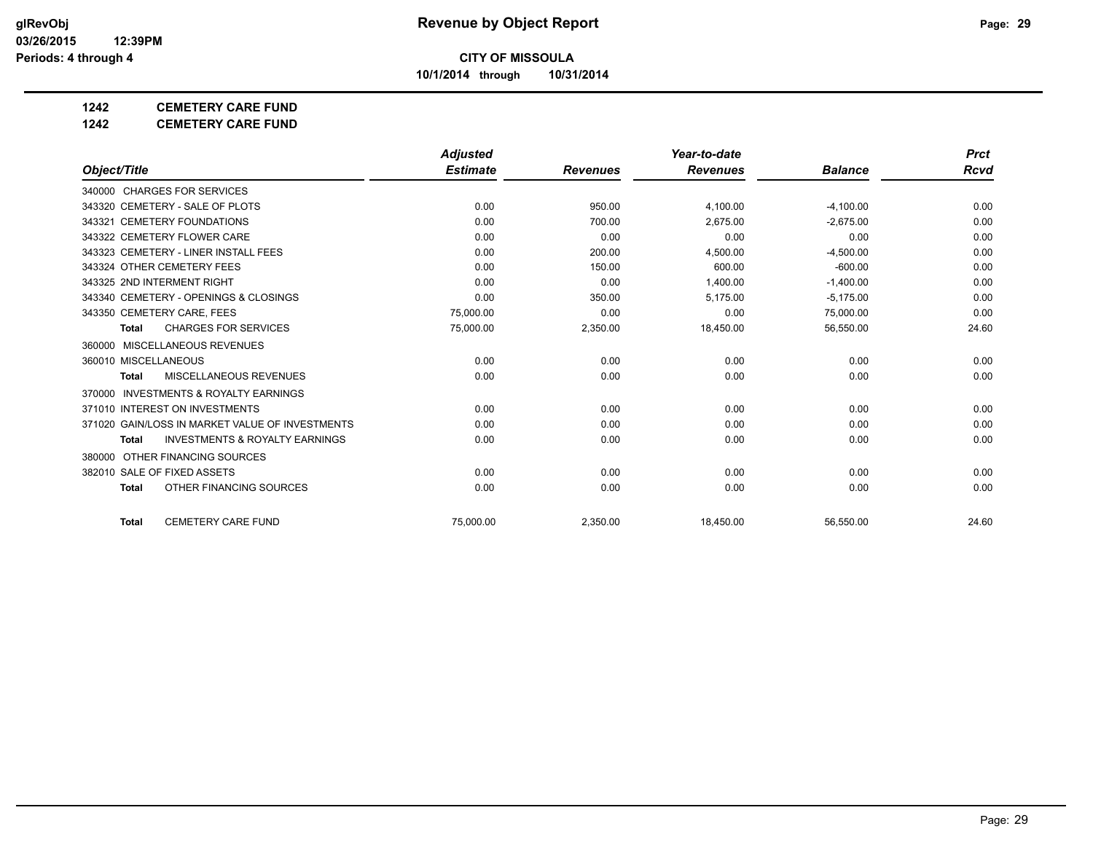**10/1/2014 through 10/31/2014**

## **1242 CEMETERY CARE FUND**

**1242 CEMETERY CARE FUND**

|                                                           | <b>Adjusted</b> |                 | Year-to-date    |                | <b>Prct</b> |
|-----------------------------------------------------------|-----------------|-----------------|-----------------|----------------|-------------|
| Object/Title                                              | <b>Estimate</b> | <b>Revenues</b> | <b>Revenues</b> | <b>Balance</b> | Rcvd        |
| 340000 CHARGES FOR SERVICES                               |                 |                 |                 |                |             |
| 343320 CEMETERY - SALE OF PLOTS                           | 0.00            | 950.00          | 4,100.00        | $-4,100.00$    | 0.00        |
| 343321 CEMETERY FOUNDATIONS                               | 0.00            | 700.00          | 2.675.00        | $-2.675.00$    | 0.00        |
| 343322 CEMETERY FLOWER CARE                               | 0.00            | 0.00            | 0.00            | 0.00           | 0.00        |
| 343323 CEMETERY - LINER INSTALL FEES                      | 0.00            | 200.00          | 4,500.00        | $-4,500.00$    | 0.00        |
| 343324 OTHER CEMETERY FEES                                | 0.00            | 150.00          | 600.00          | $-600.00$      | 0.00        |
| 343325 2ND INTERMENT RIGHT                                | 0.00            | 0.00            | 1,400.00        | $-1,400.00$    | 0.00        |
| 343340 CEMETERY - OPENINGS & CLOSINGS                     | 0.00            | 350.00          | 5,175.00        | $-5,175.00$    | 0.00        |
| 343350 CEMETERY CARE, FEES                                | 75.000.00       | 0.00            | 0.00            | 75,000.00      | 0.00        |
| <b>CHARGES FOR SERVICES</b><br><b>Total</b>               | 75,000.00       | 2,350.00        | 18,450.00       | 56,550.00      | 24.60       |
| 360000 MISCELLANEOUS REVENUES                             |                 |                 |                 |                |             |
| 360010 MISCELLANEOUS                                      | 0.00            | 0.00            | 0.00            | 0.00           | 0.00        |
| <b>MISCELLANEOUS REVENUES</b><br><b>Total</b>             | 0.00            | 0.00            | 0.00            | 0.00           | 0.00        |
| <b>INVESTMENTS &amp; ROYALTY EARNINGS</b><br>370000       |                 |                 |                 |                |             |
| 371010 INTEREST ON INVESTMENTS                            | 0.00            | 0.00            | 0.00            | 0.00           | 0.00        |
| 371020 GAIN/LOSS IN MARKET VALUE OF INVESTMENTS           | 0.00            | 0.00            | 0.00            | 0.00           | 0.00        |
| <b>INVESTMENTS &amp; ROYALTY EARNINGS</b><br><b>Total</b> | 0.00            | 0.00            | 0.00            | 0.00           | 0.00        |
| 380000 OTHER FINANCING SOURCES                            |                 |                 |                 |                |             |
| 382010 SALE OF FIXED ASSETS                               | 0.00            | 0.00            | 0.00            | 0.00           | 0.00        |
| OTHER FINANCING SOURCES<br><b>Total</b>                   | 0.00            | 0.00            | 0.00            | 0.00           | 0.00        |
| <b>CEMETERY CARE FUND</b><br><b>Total</b>                 | 75.000.00       | 2,350.00        | 18,450.00       | 56,550.00      | 24.60       |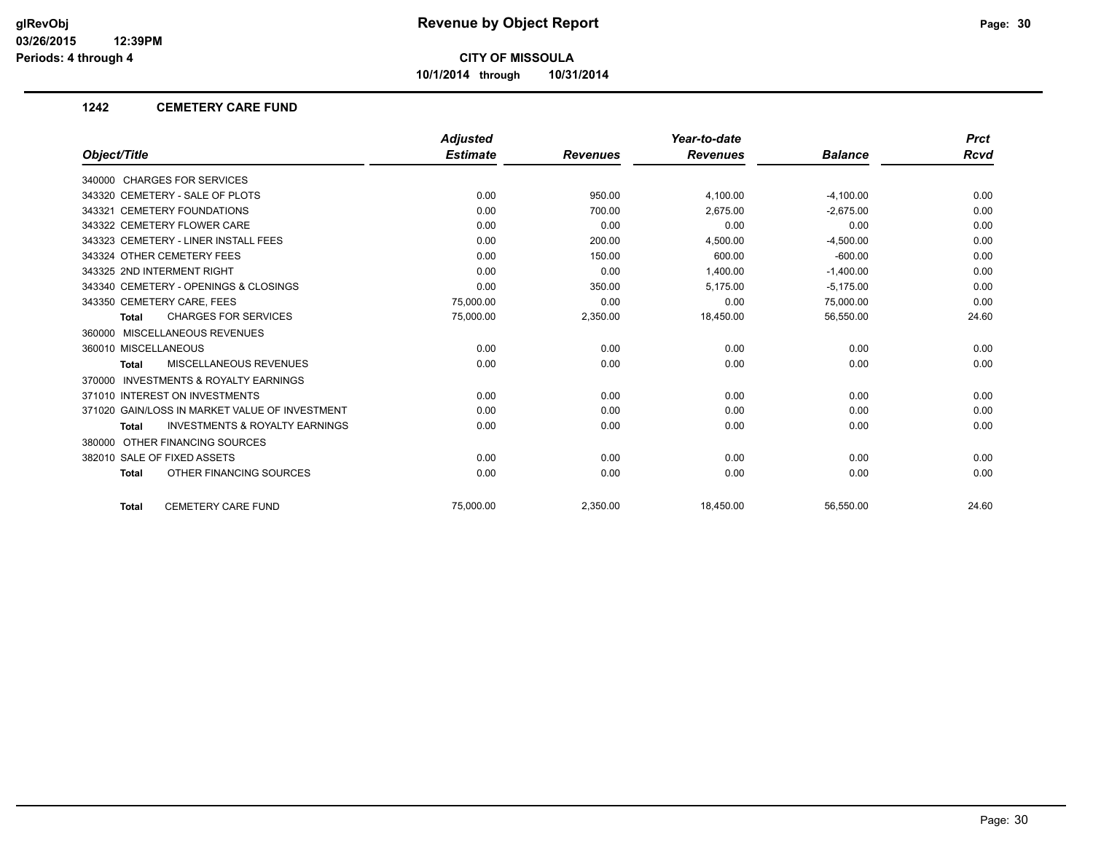**10/1/2014 through 10/31/2014**

### **1242 CEMETERY CARE FUND**

|                                                    | <b>Adjusted</b> |                 | Year-to-date    |                | <b>Prct</b> |
|----------------------------------------------------|-----------------|-----------------|-----------------|----------------|-------------|
| Object/Title                                       | <b>Estimate</b> | <b>Revenues</b> | <b>Revenues</b> | <b>Balance</b> | Rcvd        |
| 340000 CHARGES FOR SERVICES                        |                 |                 |                 |                |             |
| 343320 CEMETERY - SALE OF PLOTS                    | 0.00            | 950.00          | 4,100.00        | $-4,100.00$    | 0.00        |
| 343321 CEMETERY FOUNDATIONS                        | 0.00            | 700.00          | 2,675.00        | $-2,675.00$    | 0.00        |
| 343322 CEMETERY FLOWER CARE                        | 0.00            | 0.00            | 0.00            | 0.00           | 0.00        |
| 343323 CEMETERY - LINER INSTALL FEES               | 0.00            | 200.00          | 4,500.00        | $-4,500.00$    | 0.00        |
| 343324 OTHER CEMETERY FEES                         | 0.00            | 150.00          | 600.00          | $-600.00$      | 0.00        |
| 343325 2ND INTERMENT RIGHT                         | 0.00            | 0.00            | 1,400.00        | $-1,400.00$    | 0.00        |
| 343340 CEMETERY - OPENINGS & CLOSINGS              | 0.00            | 350.00          | 5,175.00        | $-5,175.00$    | 0.00        |
| 343350 CEMETERY CARE, FEES                         | 75,000.00       | 0.00            | 0.00            | 75,000.00      | 0.00        |
| <b>CHARGES FOR SERVICES</b><br><b>Total</b>        | 75,000.00       | 2,350.00        | 18,450.00       | 56,550.00      | 24.60       |
| 360000 MISCELLANEOUS REVENUES                      |                 |                 |                 |                |             |
| 360010 MISCELLANEOUS                               | 0.00            | 0.00            | 0.00            | 0.00           | 0.00        |
| MISCELLANEOUS REVENUES<br><b>Total</b>             | 0.00            | 0.00            | 0.00            | 0.00           | 0.00        |
| 370000 INVESTMENTS & ROYALTY EARNINGS              |                 |                 |                 |                |             |
| 371010 INTEREST ON INVESTMENTS                     | 0.00            | 0.00            | 0.00            | 0.00           | 0.00        |
| 371020 GAIN/LOSS IN MARKET VALUE OF INVESTMENT     | 0.00            | 0.00            | 0.00            | 0.00           | 0.00        |
| <b>INVESTMENTS &amp; ROYALTY EARNINGS</b><br>Total | 0.00            | 0.00            | 0.00            | 0.00           | 0.00        |
| 380000 OTHER FINANCING SOURCES                     |                 |                 |                 |                |             |
| 382010 SALE OF FIXED ASSETS                        | 0.00            | 0.00            | 0.00            | 0.00           | 0.00        |
| OTHER FINANCING SOURCES<br><b>Total</b>            | 0.00            | 0.00            | 0.00            | 0.00           | 0.00        |
| <b>CEMETERY CARE FUND</b><br><b>Total</b>          | 75.000.00       | 2,350.00        | 18,450.00       | 56,550.00      | 24.60       |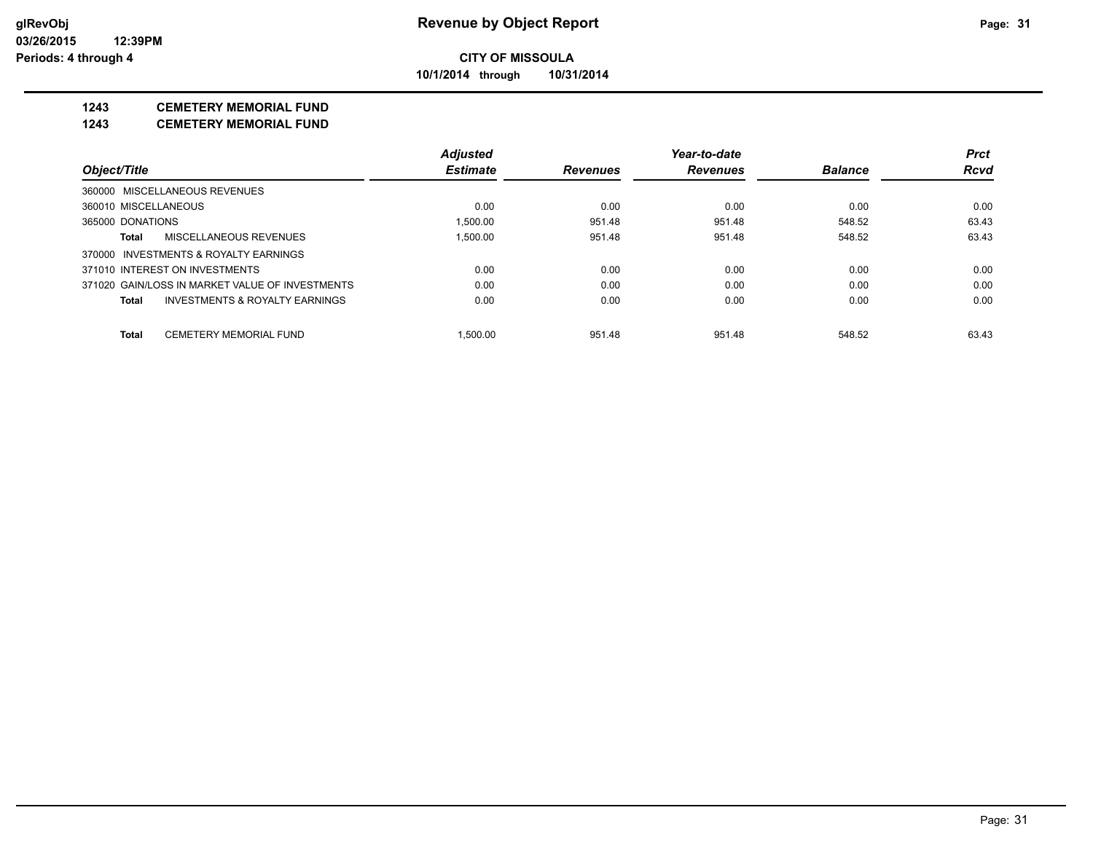**CITY OF MISSOULA 10/1/2014 through 10/31/2014**

**1243 CEMETERY MEMORIAL FUND**

**1243 CEMETERY MEMORIAL FUND**

|                                                    | <b>Adjusted</b> |                 | Year-to-date    |                | <b>Prct</b> |
|----------------------------------------------------|-----------------|-----------------|-----------------|----------------|-------------|
| Object/Title                                       | <b>Estimate</b> | <b>Revenues</b> | <b>Revenues</b> | <b>Balance</b> | <b>Rcvd</b> |
| 360000 MISCELLANEOUS REVENUES                      |                 |                 |                 |                |             |
| 360010 MISCELLANEOUS                               | 0.00            | 0.00            | 0.00            | 0.00           | 0.00        |
| 365000 DONATIONS                                   | 1.500.00        | 951.48          | 951.48          | 548.52         | 63.43       |
| MISCELLANEOUS REVENUES<br>Total                    | 1.500.00        | 951.48          | 951.48          | 548.52         | 63.43       |
| 370000 INVESTMENTS & ROYALTY EARNINGS              |                 |                 |                 |                |             |
| 371010 INTEREST ON INVESTMENTS                     | 0.00            | 0.00            | 0.00            | 0.00           | 0.00        |
| 371020 GAIN/LOSS IN MARKET VALUE OF INVESTMENTS    | 0.00            | 0.00            | 0.00            | 0.00           | 0.00        |
| <b>INVESTMENTS &amp; ROYALTY EARNINGS</b><br>Total | 0.00            | 0.00            | 0.00            | 0.00           | 0.00        |
| <b>CEMETERY MEMORIAL FUND</b><br><b>Total</b>      | 1.500.00        | 951.48          | 951.48          | 548.52         | 63.43       |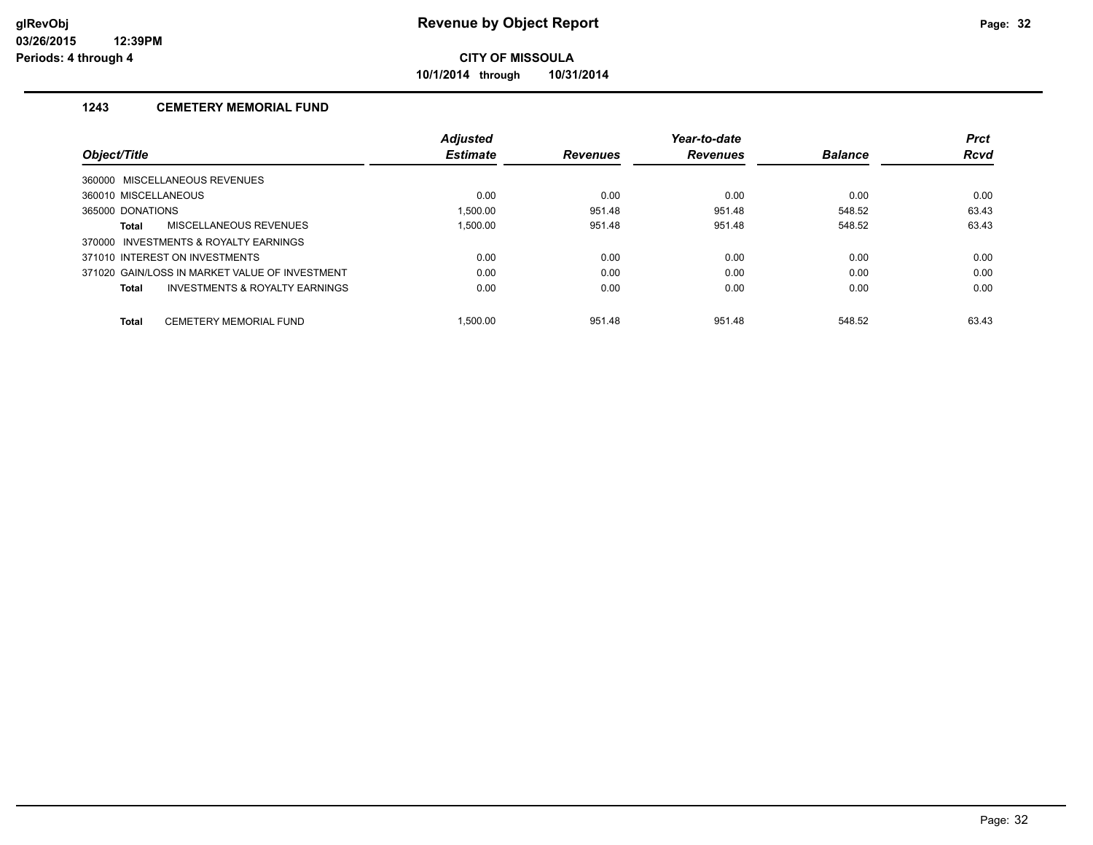**10/1/2014 through 10/31/2014**

## **1243 CEMETERY MEMORIAL FUND**

|                                                    | <b>Adjusted</b> |                 | Year-to-date    |                | <b>Prct</b> |
|----------------------------------------------------|-----------------|-----------------|-----------------|----------------|-------------|
| <b>Object/Title</b>                                | <b>Estimate</b> | <b>Revenues</b> | <b>Revenues</b> | <b>Balance</b> | <b>Rcvd</b> |
| 360000 MISCELLANEOUS REVENUES                      |                 |                 |                 |                |             |
| 360010 MISCELLANEOUS                               | 0.00            | 0.00            | 0.00            | 0.00           | 0.00        |
| 365000 DONATIONS                                   | 1.500.00        | 951.48          | 951.48          | 548.52         | 63.43       |
| MISCELLANEOUS REVENUES<br>Total                    | 1.500.00        | 951.48          | 951.48          | 548.52         | 63.43       |
| 370000 INVESTMENTS & ROYALTY EARNINGS              |                 |                 |                 |                |             |
| 371010 INTEREST ON INVESTMENTS                     | 0.00            | 0.00            | 0.00            | 0.00           | 0.00        |
| 371020 GAIN/LOSS IN MARKET VALUE OF INVESTMENT     | 0.00            | 0.00            | 0.00            | 0.00           | 0.00        |
| <b>INVESTMENTS &amp; ROYALTY EARNINGS</b><br>Total | 0.00            | 0.00            | 0.00            | 0.00           | 0.00        |
| <b>CEMETERY MEMORIAL FUND</b><br><b>Total</b>      | 1.500.00        | 951.48          | 951.48          | 548.52         | 63.43       |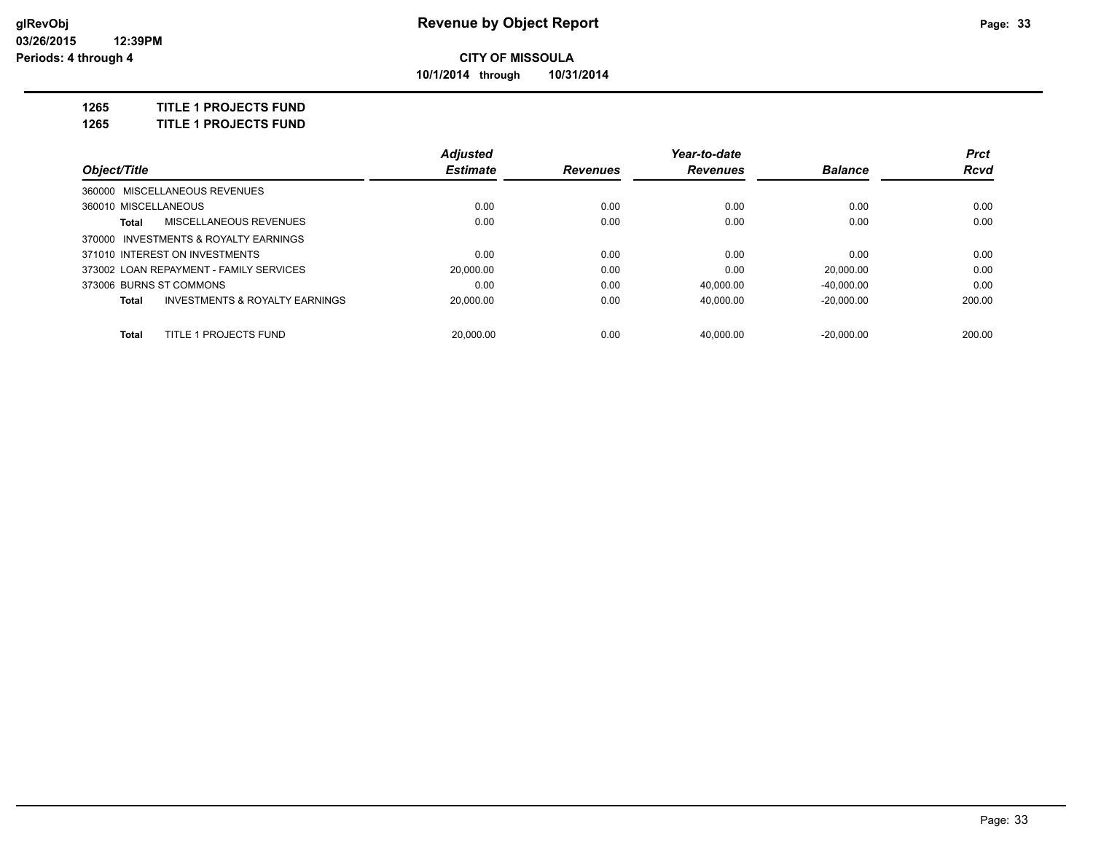**10/1/2014 through 10/31/2014**

### **1265 TITLE 1 PROJECTS FUND**

**1265 TITLE 1 PROJECTS FUND**

|                                |                                           | <b>Adjusted</b> |                 | Year-to-date    |                | <b>Prct</b> |
|--------------------------------|-------------------------------------------|-----------------|-----------------|-----------------|----------------|-------------|
| Object/Title                   |                                           | <b>Estimate</b> | <b>Revenues</b> | <b>Revenues</b> | <b>Balance</b> | Rcvd        |
| 360000 MISCELLANEOUS REVENUES  |                                           |                 |                 |                 |                |             |
| 360010 MISCELLANEOUS           |                                           | 0.00            | 0.00            | 0.00            | 0.00           | 0.00        |
| Total                          | MISCELLANEOUS REVENUES                    | 0.00            | 0.00            | 0.00            | 0.00           | 0.00        |
|                                | 370000 INVESTMENTS & ROYALTY EARNINGS     |                 |                 |                 |                |             |
| 371010 INTEREST ON INVESTMENTS |                                           | 0.00            | 0.00            | 0.00            | 0.00           | 0.00        |
|                                | 373002 LOAN REPAYMENT - FAMILY SERVICES   | 20.000.00       | 0.00            | 0.00            | 20.000.00      | 0.00        |
| 373006 BURNS ST COMMONS        |                                           | 0.00            | 0.00            | 40.000.00       | $-40.000.00$   | 0.00        |
| Total                          | <b>INVESTMENTS &amp; ROYALTY EARNINGS</b> | 20.000.00       | 0.00            | 40.000.00       | $-20.000.00$   | 200.00      |
| Total                          | TITLE 1 PROJECTS FUND                     | 20.000.00       | 0.00            | 40.000.00       | $-20.000.00$   | 200.00      |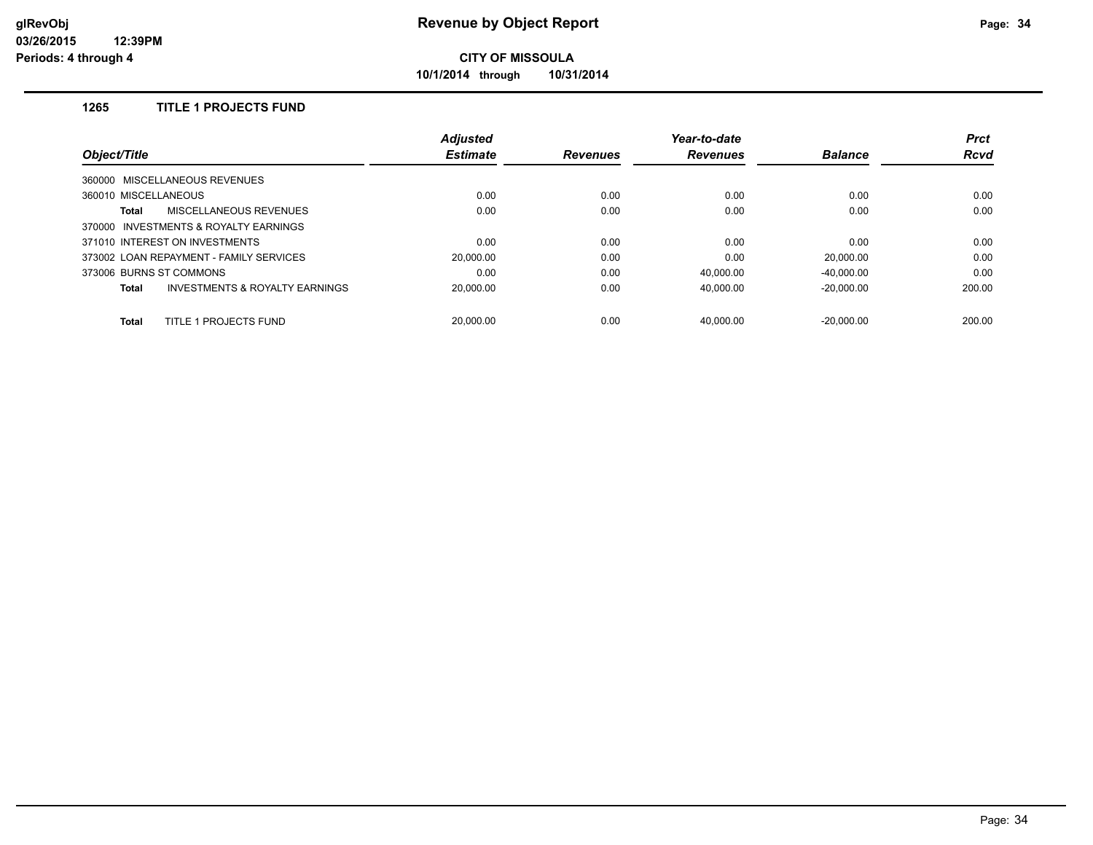**10/1/2014 through 10/31/2014**

## **1265 TITLE 1 PROJECTS FUND**

| Object/Title                                   | <b>Adjusted</b> |                 | Year-to-date    |                | <b>Prct</b> |
|------------------------------------------------|-----------------|-----------------|-----------------|----------------|-------------|
|                                                | <b>Estimate</b> | <b>Revenues</b> | <b>Revenues</b> | <b>Balance</b> | <b>Rcvd</b> |
| 360000 MISCELLANEOUS REVENUES                  |                 |                 |                 |                |             |
| 360010 MISCELLANEOUS                           | 0.00            | 0.00            | 0.00            | 0.00           | 0.00        |
| <b>MISCELLANEOUS REVENUES</b><br><b>Total</b>  | 0.00            | 0.00            | 0.00            | 0.00           | 0.00        |
| 370000 INVESTMENTS & ROYALTY EARNINGS          |                 |                 |                 |                |             |
| 371010 INTEREST ON INVESTMENTS                 | 0.00            | 0.00            | 0.00            | 0.00           | 0.00        |
| 373002 LOAN REPAYMENT - FAMILY SERVICES        | 20,000.00       | 0.00            | 0.00            | 20.000.00      | 0.00        |
| 373006 BURNS ST COMMONS                        | 0.00            | 0.00            | 40.000.00       | $-40.000.00$   | 0.00        |
| INVESTMENTS & ROYALTY EARNINGS<br><b>Total</b> | 20.000.00       | 0.00            | 40.000.00       | $-20,000.00$   | 200.00      |
| TITLE 1 PROJECTS FUND<br><b>Total</b>          | 20.000.00       | 0.00            | 40.000.00       | $-20.000.00$   | 200.00      |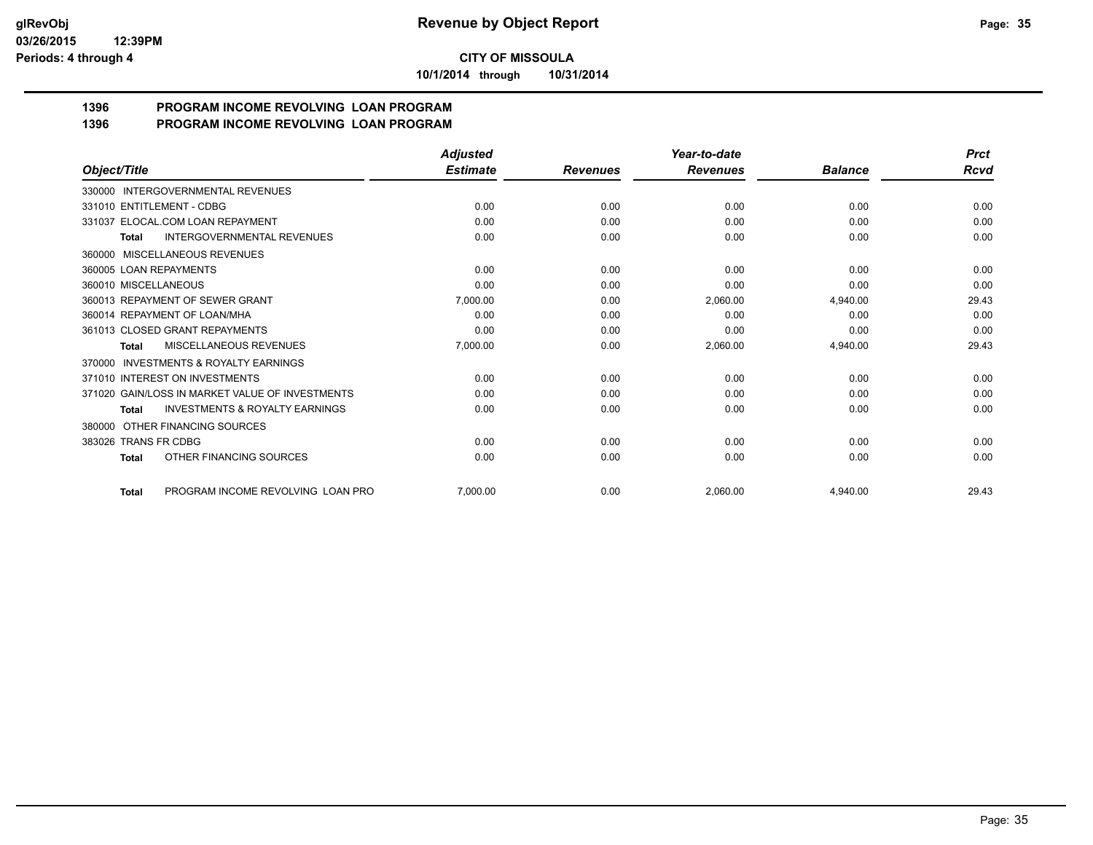**10/1/2014 through 10/31/2014**

#### **1396 PROGRAM INCOME REVOLVING LOAN PROGRAM 1396 PROGRAM INCOME REVOLVING LOAN PROGRAM**

|                                                           | <b>Adjusted</b> |                 | Year-to-date    | <b>Balance</b> | <b>Prct</b><br>Rcvd |
|-----------------------------------------------------------|-----------------|-----------------|-----------------|----------------|---------------------|
| Object/Title                                              | <b>Estimate</b> | <b>Revenues</b> | <b>Revenues</b> |                |                     |
| INTERGOVERNMENTAL REVENUES<br>330000                      |                 |                 |                 |                |                     |
| 331010 ENTITLEMENT - CDBG                                 | 0.00            | 0.00            | 0.00            | 0.00           | 0.00                |
| 331037 ELOCAL.COM LOAN REPAYMENT                          | 0.00            | 0.00            | 0.00            | 0.00           | 0.00                |
| <b>INTERGOVERNMENTAL REVENUES</b><br><b>Total</b>         | 0.00            | 0.00            | 0.00            | 0.00           | 0.00                |
| 360000 MISCELLANEOUS REVENUES                             |                 |                 |                 |                |                     |
| 360005 LOAN REPAYMENTS                                    | 0.00            | 0.00            | 0.00            | 0.00           | 0.00                |
| 360010 MISCELLANEOUS                                      | 0.00            | 0.00            | 0.00            | 0.00           | 0.00                |
| 360013 REPAYMENT OF SEWER GRANT                           | 7,000.00        | 0.00            | 2,060.00        | 4,940.00       | 29.43               |
| 360014 REPAYMENT OF LOAN/MHA                              | 0.00            | 0.00            | 0.00            | 0.00           | 0.00                |
| 361013 CLOSED GRANT REPAYMENTS                            | 0.00            | 0.00            | 0.00            | 0.00           | 0.00                |
| MISCELLANEOUS REVENUES<br><b>Total</b>                    | 7.000.00        | 0.00            | 2,060.00        | 4,940.00       | 29.43               |
| <b>INVESTMENTS &amp; ROYALTY EARNINGS</b><br>370000       |                 |                 |                 |                |                     |
| 371010 INTEREST ON INVESTMENTS                            | 0.00            | 0.00            | 0.00            | 0.00           | 0.00                |
| 371020 GAIN/LOSS IN MARKET VALUE OF INVESTMENTS           | 0.00            | 0.00            | 0.00            | 0.00           | 0.00                |
| <b>INVESTMENTS &amp; ROYALTY EARNINGS</b><br><b>Total</b> | 0.00            | 0.00            | 0.00            | 0.00           | 0.00                |
| OTHER FINANCING SOURCES<br>380000                         |                 |                 |                 |                |                     |
| 383026 TRANS FR CDBG                                      | 0.00            | 0.00            | 0.00            | 0.00           | 0.00                |
| OTHER FINANCING SOURCES<br><b>Total</b>                   | 0.00            | 0.00            | 0.00            | 0.00           | 0.00                |
| PROGRAM INCOME REVOLVING LOAN PRO<br><b>Total</b>         | 7,000.00        | 0.00            | 2,060.00        | 4,940.00       | 29.43               |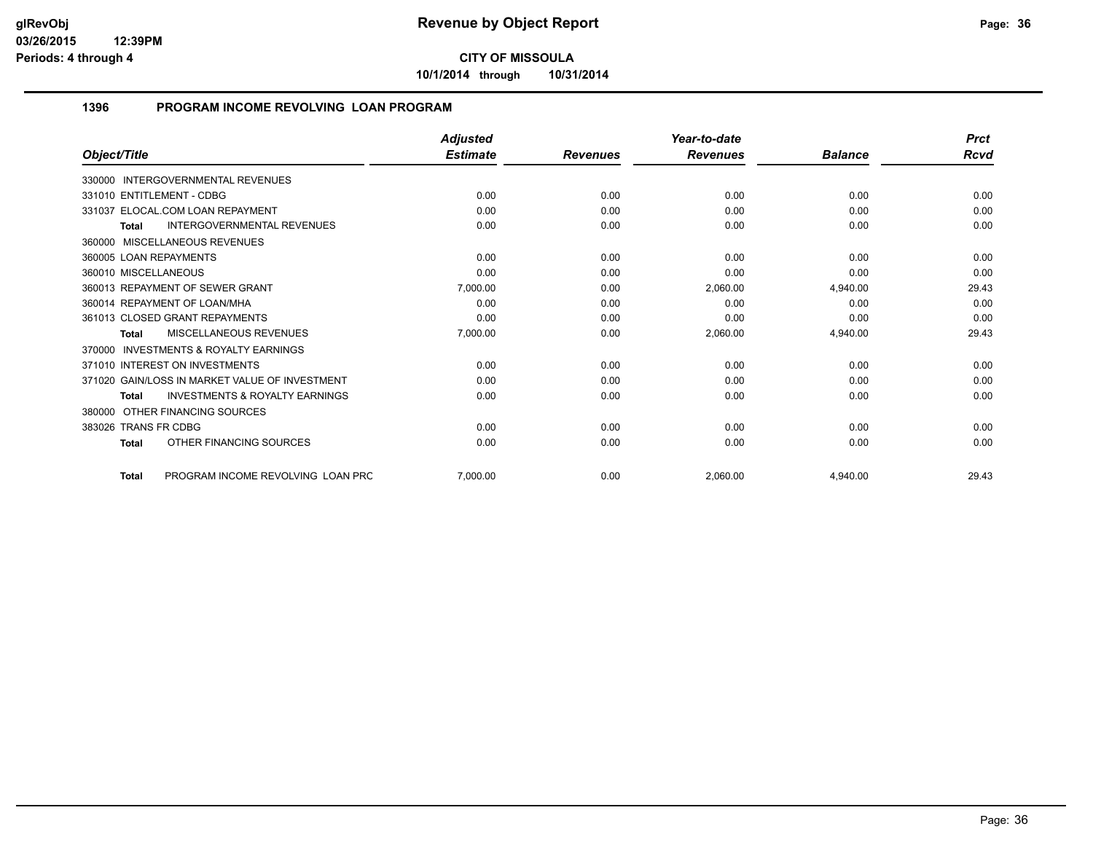**10/1/2014 through 10/31/2014**

### **1396 PROGRAM INCOME REVOLVING LOAN PROGRAM**

|                                                           | <b>Adjusted</b> |                 | Year-to-date<br><b>Revenues</b> | <b>Balance</b> | <b>Prct</b><br><b>Rcvd</b> |
|-----------------------------------------------------------|-----------------|-----------------|---------------------------------|----------------|----------------------------|
| Object/Title                                              | <b>Estimate</b> | <b>Revenues</b> |                                 |                |                            |
| <b>INTERGOVERNMENTAL REVENUES</b><br>330000               |                 |                 |                                 |                |                            |
| 331010 ENTITLEMENT - CDBG                                 | 0.00            | 0.00            | 0.00                            | 0.00           | 0.00                       |
| 331037 ELOCAL.COM LOAN REPAYMENT                          | 0.00            | 0.00            | 0.00                            | 0.00           | 0.00                       |
| <b>INTERGOVERNMENTAL REVENUES</b><br><b>Total</b>         | 0.00            | 0.00            | 0.00                            | 0.00           | 0.00                       |
| 360000 MISCELLANEOUS REVENUES                             |                 |                 |                                 |                |                            |
| 360005 LOAN REPAYMENTS                                    | 0.00            | 0.00            | 0.00                            | 0.00           | 0.00                       |
| 360010 MISCELLANEOUS                                      | 0.00            | 0.00            | 0.00                            | 0.00           | 0.00                       |
| 360013 REPAYMENT OF SEWER GRANT                           | 7,000.00        | 0.00            | 2,060.00                        | 4,940.00       | 29.43                      |
| 360014 REPAYMENT OF LOAN/MHA                              | 0.00            | 0.00            | 0.00                            | 0.00           | 0.00                       |
| 361013 CLOSED GRANT REPAYMENTS                            | 0.00            | 0.00            | 0.00                            | 0.00           | 0.00                       |
| MISCELLANEOUS REVENUES<br><b>Total</b>                    | 7,000.00        | 0.00            | 2,060.00                        | 4,940.00       | 29.43                      |
| <b>INVESTMENTS &amp; ROYALTY EARNINGS</b><br>370000       |                 |                 |                                 |                |                            |
| 371010 INTEREST ON INVESTMENTS                            | 0.00            | 0.00            | 0.00                            | 0.00           | 0.00                       |
| 371020 GAIN/LOSS IN MARKET VALUE OF INVESTMENT            | 0.00            | 0.00            | 0.00                            | 0.00           | 0.00                       |
| <b>INVESTMENTS &amp; ROYALTY EARNINGS</b><br><b>Total</b> | 0.00            | 0.00            | 0.00                            | 0.00           | 0.00                       |
| OTHER FINANCING SOURCES<br>380000                         |                 |                 |                                 |                |                            |
| 383026 TRANS FR CDBG                                      | 0.00            | 0.00            | 0.00                            | 0.00           | 0.00                       |
| OTHER FINANCING SOURCES<br><b>Total</b>                   | 0.00            | 0.00            | 0.00                            | 0.00           | 0.00                       |
| PROGRAM INCOME REVOLVING LOAN PRC<br><b>Total</b>         | 7,000.00        | 0.00            | 2.060.00                        | 4.940.00       | 29.43                      |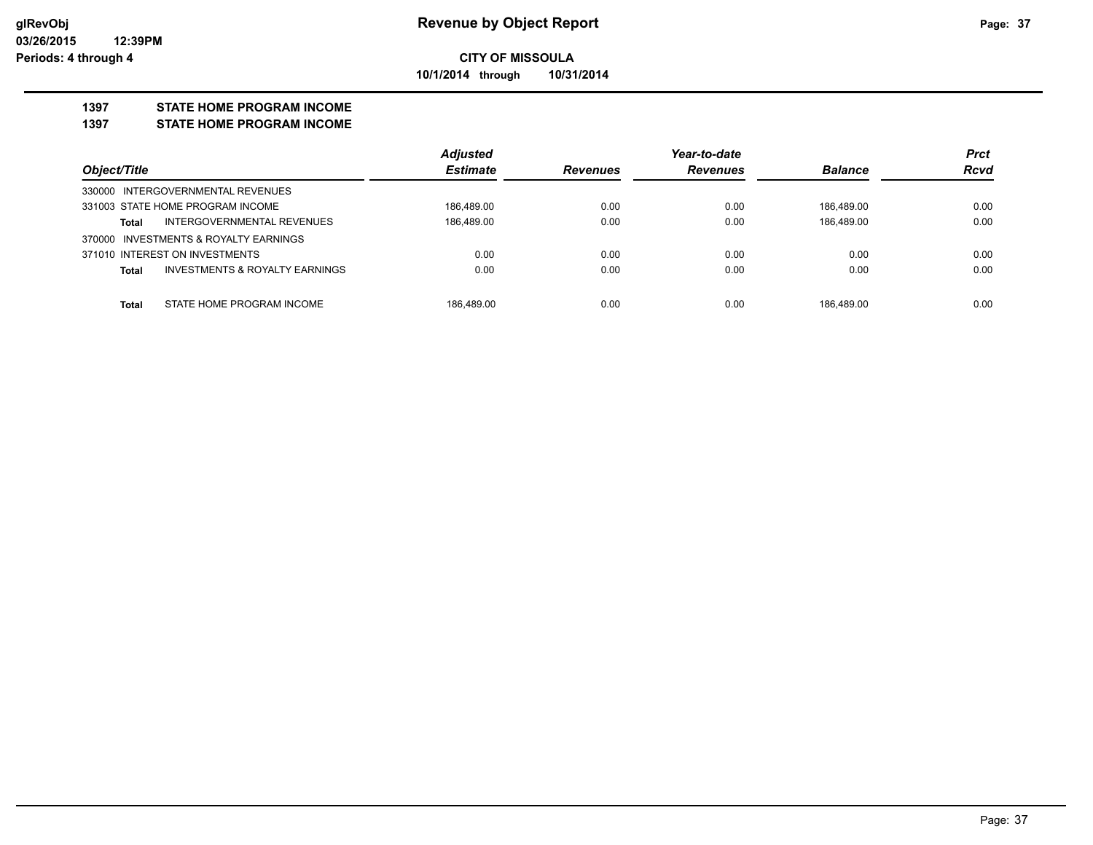#### **CITY OF MISSOULA 10/1/2014 through 10/31/2014**

#### **1397 STATE HOME PROGRAM INCOME**

#### **1397 STATE HOME PROGRAM INCOME**

|                                                    | <b>Adiusted</b> |                 | Year-to-date    |                | <b>Prct</b> |
|----------------------------------------------------|-----------------|-----------------|-----------------|----------------|-------------|
| Object/Title                                       | <b>Estimate</b> | <b>Revenues</b> | <b>Revenues</b> | <b>Balance</b> | <b>Rcvd</b> |
| 330000 INTERGOVERNMENTAL REVENUES                  |                 |                 |                 |                |             |
| 331003 STATE HOME PROGRAM INCOME                   | 186.489.00      | 0.00            | 0.00            | 186.489.00     | 0.00        |
| INTERGOVERNMENTAL REVENUES<br>Total                | 186,489.00      | 0.00            | 0.00            | 186,489.00     | 0.00        |
| INVESTMENTS & ROYALTY EARNINGS<br>370000           |                 |                 |                 |                |             |
| 371010 INTEREST ON INVESTMENTS                     | 0.00            | 0.00            | 0.00            | 0.00           | 0.00        |
| <b>INVESTMENTS &amp; ROYALTY EARNINGS</b><br>Total | 0.00            | 0.00            | 0.00            | 0.00           | 0.00        |
|                                                    |                 |                 |                 |                |             |
| STATE HOME PROGRAM INCOME<br>Total                 | 186.489.00      | 0.00            | 0.00            | 186.489.00     | 0.00        |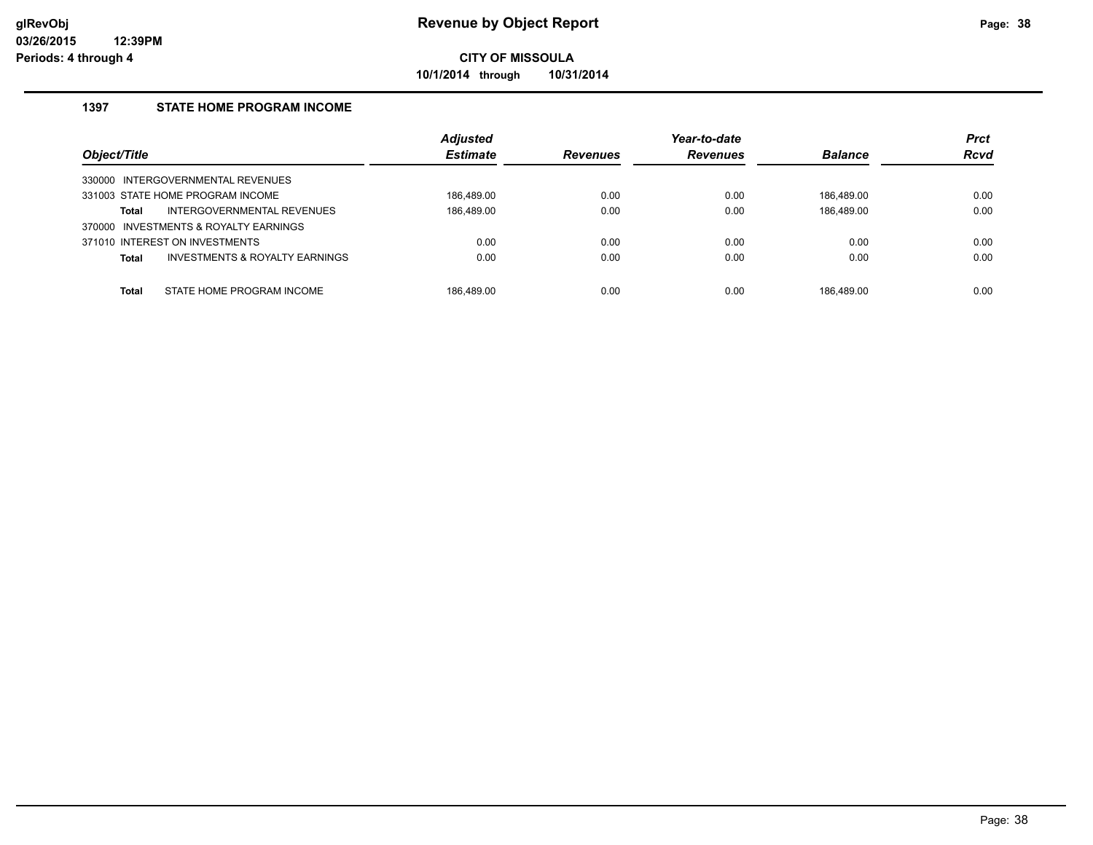**10/1/2014 through 10/31/2014**

### **1397 STATE HOME PROGRAM INCOME**

| Object/Title |                                           | <b>Adjusted</b><br><b>Estimate</b> | <b>Revenues</b> | Year-to-date<br><b>Revenues</b> | <b>Balance</b> | <b>Prct</b><br><b>Rcvd</b> |
|--------------|-------------------------------------------|------------------------------------|-----------------|---------------------------------|----------------|----------------------------|
|              | 330000 INTERGOVERNMENTAL REVENUES         |                                    |                 |                                 |                |                            |
|              | 331003 STATE HOME PROGRAM INCOME          | 186.489.00                         | 0.00            | 0.00                            | 186.489.00     | 0.00                       |
| Total        | INTERGOVERNMENTAL REVENUES                | 186,489.00                         | 0.00            | 0.00                            | 186,489.00     | 0.00                       |
|              | 370000 INVESTMENTS & ROYALTY EARNINGS     |                                    |                 |                                 |                |                            |
|              | 371010 INTEREST ON INVESTMENTS            | 0.00                               | 0.00            | 0.00                            | 0.00           | 0.00                       |
| Total        | <b>INVESTMENTS &amp; ROYALTY EARNINGS</b> | 0.00                               | 0.00            | 0.00                            | 0.00           | 0.00                       |
|              |                                           |                                    |                 |                                 |                |                            |
| <b>Total</b> | STATE HOME PROGRAM INCOME                 | 186.489.00                         | 0.00            | 0.00                            | 186.489.00     | 0.00                       |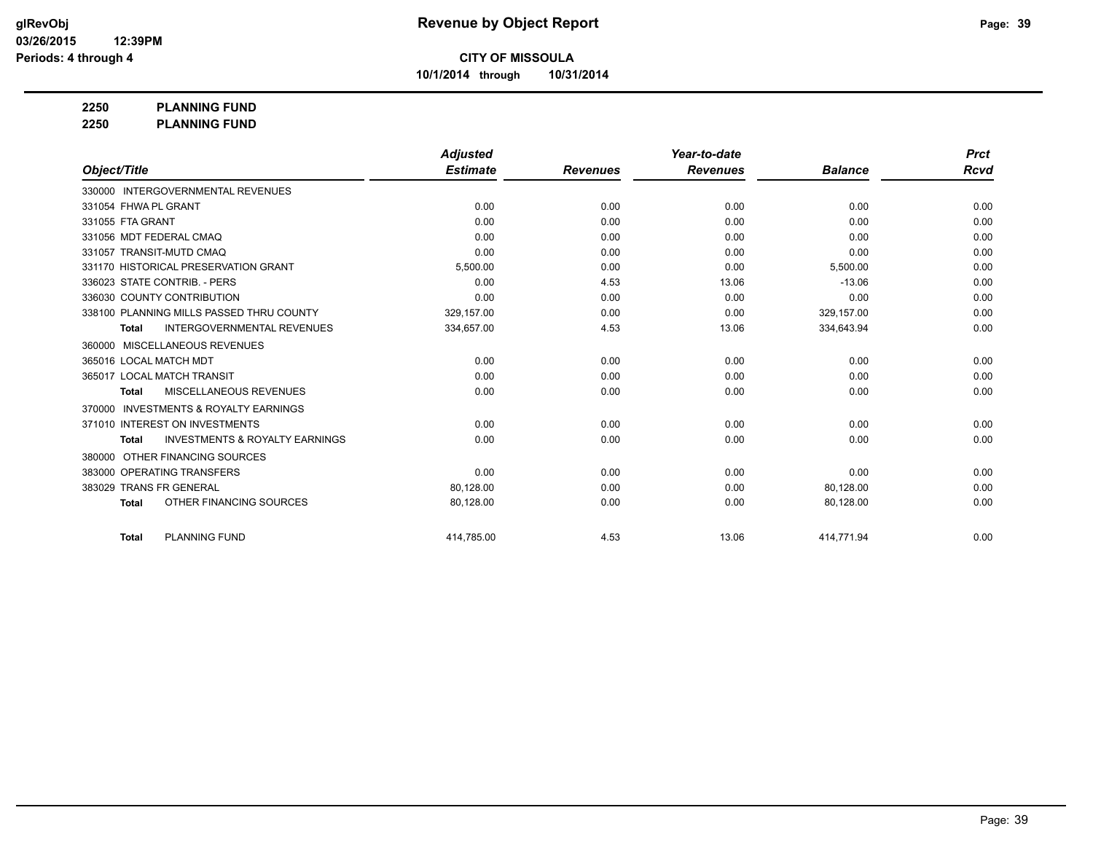**10/1/2014 through 10/31/2014**

## **2250 PLANNING FUND**

**2250 PLANNING FUND**

|                                                           | <b>Adjusted</b> |                 | Year-to-date    |                | <b>Prct</b> |
|-----------------------------------------------------------|-----------------|-----------------|-----------------|----------------|-------------|
| Object/Title                                              | <b>Estimate</b> | <b>Revenues</b> | <b>Revenues</b> | <b>Balance</b> | <b>Rcvd</b> |
| 330000 INTERGOVERNMENTAL REVENUES                         |                 |                 |                 |                |             |
| 331054 FHWA PL GRANT                                      | 0.00            | 0.00            | 0.00            | 0.00           | 0.00        |
| 331055 FTA GRANT                                          | 0.00            | 0.00            | 0.00            | 0.00           | 0.00        |
| 331056 MDT FEDERAL CMAQ                                   | 0.00            | 0.00            | 0.00            | 0.00           | 0.00        |
| 331057 TRANSIT-MUTD CMAQ                                  | 0.00            | 0.00            | 0.00            | 0.00           | 0.00        |
| 331170 HISTORICAL PRESERVATION GRANT                      | 5,500.00        | 0.00            | 0.00            | 5,500.00       | 0.00        |
| 336023 STATE CONTRIB. - PERS                              | 0.00            | 4.53            | 13.06           | $-13.06$       | 0.00        |
| 336030 COUNTY CONTRIBUTION                                | 0.00            | 0.00            | 0.00            | 0.00           | 0.00        |
| 338100 PLANNING MILLS PASSED THRU COUNTY                  | 329.157.00      | 0.00            | 0.00            | 329.157.00     | 0.00        |
| <b>INTERGOVERNMENTAL REVENUES</b><br><b>Total</b>         | 334,657.00      | 4.53            | 13.06           | 334,643.94     | 0.00        |
| MISCELLANEOUS REVENUES<br>360000                          |                 |                 |                 |                |             |
| 365016 LOCAL MATCH MDT                                    | 0.00            | 0.00            | 0.00            | 0.00           | 0.00        |
| 365017 LOCAL MATCH TRANSIT                                | 0.00            | 0.00            | 0.00            | 0.00           | 0.00        |
| MISCELLANEOUS REVENUES<br><b>Total</b>                    | 0.00            | 0.00            | 0.00            | 0.00           | 0.00        |
| <b>INVESTMENTS &amp; ROYALTY EARNINGS</b><br>370000       |                 |                 |                 |                |             |
| 371010 INTEREST ON INVESTMENTS                            | 0.00            | 0.00            | 0.00            | 0.00           | 0.00        |
| <b>INVESTMENTS &amp; ROYALTY EARNINGS</b><br><b>Total</b> | 0.00            | 0.00            | 0.00            | 0.00           | 0.00        |
| OTHER FINANCING SOURCES<br>380000                         |                 |                 |                 |                |             |
| 383000 OPERATING TRANSFERS                                | 0.00            | 0.00            | 0.00            | 0.00           | 0.00        |
| 383029 TRANS FR GENERAL                                   | 80,128.00       | 0.00            | 0.00            | 80,128.00      | 0.00        |
| OTHER FINANCING SOURCES<br><b>Total</b>                   | 80,128.00       | 0.00            | 0.00            | 80,128.00      | 0.00        |
|                                                           |                 |                 |                 |                |             |
| <b>PLANNING FUND</b><br><b>Total</b>                      | 414,785.00      | 4.53            | 13.06           | 414,771.94     | 0.00        |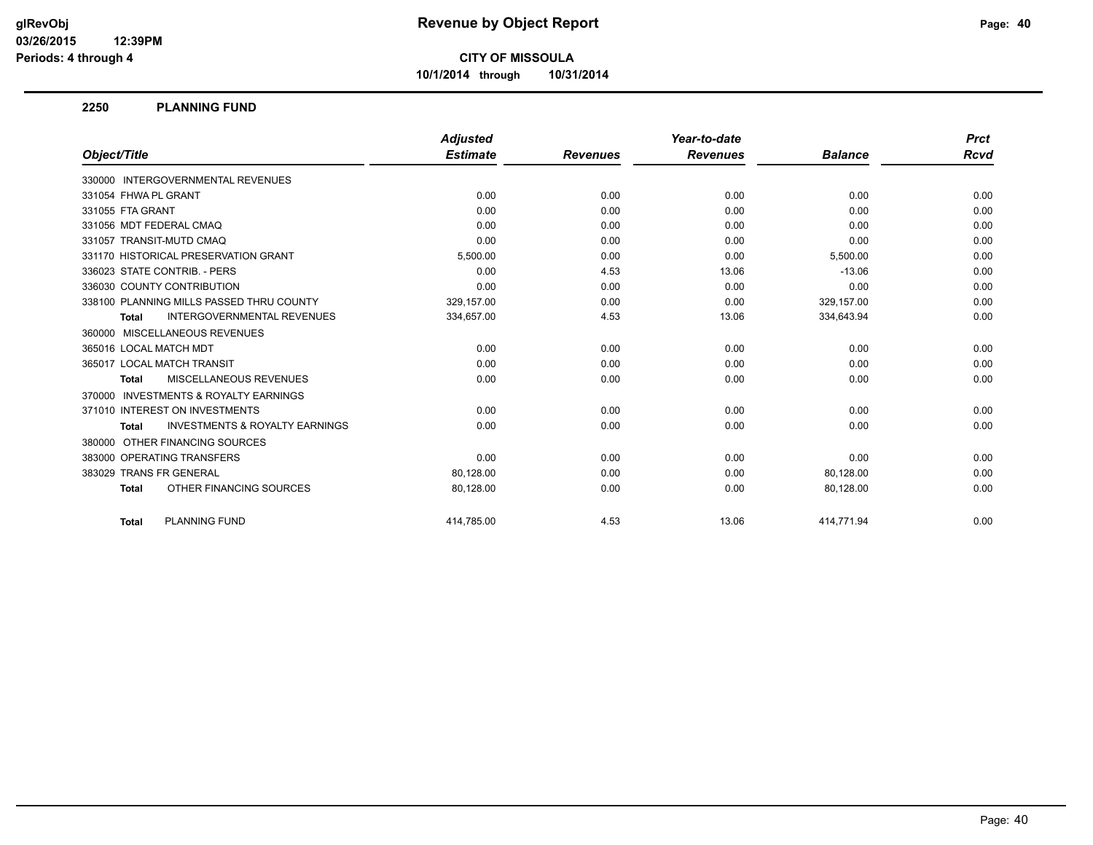**10/1/2014 through 10/31/2014**

#### **2250 PLANNING FUND**

|                                                           | <b>Adjusted</b> |                 | Year-to-date    |                | <b>Prct</b> |
|-----------------------------------------------------------|-----------------|-----------------|-----------------|----------------|-------------|
| Object/Title                                              | <b>Estimate</b> | <b>Revenues</b> | <b>Revenues</b> | <b>Balance</b> | Rcvd        |
| 330000 INTERGOVERNMENTAL REVENUES                         |                 |                 |                 |                |             |
| 331054 FHWA PL GRANT                                      | 0.00            | 0.00            | 0.00            | 0.00           | 0.00        |
| 331055 FTA GRANT                                          | 0.00            | 0.00            | 0.00            | 0.00           | 0.00        |
| 331056 MDT FEDERAL CMAQ                                   | 0.00            | 0.00            | 0.00            | 0.00           | 0.00        |
| 331057 TRANSIT-MUTD CMAQ                                  | 0.00            | 0.00            | 0.00            | 0.00           | 0.00        |
| 331170 HISTORICAL PRESERVATION GRANT                      | 5,500.00        | 0.00            | 0.00            | 5,500.00       | 0.00        |
| 336023 STATE CONTRIB. - PERS                              | 0.00            | 4.53            | 13.06           | $-13.06$       | 0.00        |
| 336030 COUNTY CONTRIBUTION                                | 0.00            | 0.00            | 0.00            | 0.00           | 0.00        |
| 338100 PLANNING MILLS PASSED THRU COUNTY                  | 329,157.00      | 0.00            | 0.00            | 329,157.00     | 0.00        |
| <b>INTERGOVERNMENTAL REVENUES</b><br><b>Total</b>         | 334,657.00      | 4.53            | 13.06           | 334,643.94     | 0.00        |
| 360000 MISCELLANEOUS REVENUES                             |                 |                 |                 |                |             |
| 365016 LOCAL MATCH MDT                                    | 0.00            | 0.00            | 0.00            | 0.00           | 0.00        |
| 365017 LOCAL MATCH TRANSIT                                | 0.00            | 0.00            | 0.00            | 0.00           | 0.00        |
| MISCELLANEOUS REVENUES<br><b>Total</b>                    | 0.00            | 0.00            | 0.00            | 0.00           | 0.00        |
| 370000 INVESTMENTS & ROYALTY EARNINGS                     |                 |                 |                 |                |             |
| 371010 INTEREST ON INVESTMENTS                            | 0.00            | 0.00            | 0.00            | 0.00           | 0.00        |
| <b>INVESTMENTS &amp; ROYALTY EARNINGS</b><br><b>Total</b> | 0.00            | 0.00            | 0.00            | 0.00           | 0.00        |
| 380000 OTHER FINANCING SOURCES                            |                 |                 |                 |                |             |
| 383000 OPERATING TRANSFERS                                | 0.00            | 0.00            | 0.00            | 0.00           | 0.00        |
| 383029 TRANS FR GENERAL                                   | 80.128.00       | 0.00            | 0.00            | 80,128.00      | 0.00        |
| OTHER FINANCING SOURCES<br><b>Total</b>                   | 80,128.00       | 0.00            | 0.00            | 80,128.00      | 0.00        |
| <b>PLANNING FUND</b><br><b>Total</b>                      | 414.785.00      | 4.53            | 13.06           | 414.771.94     | 0.00        |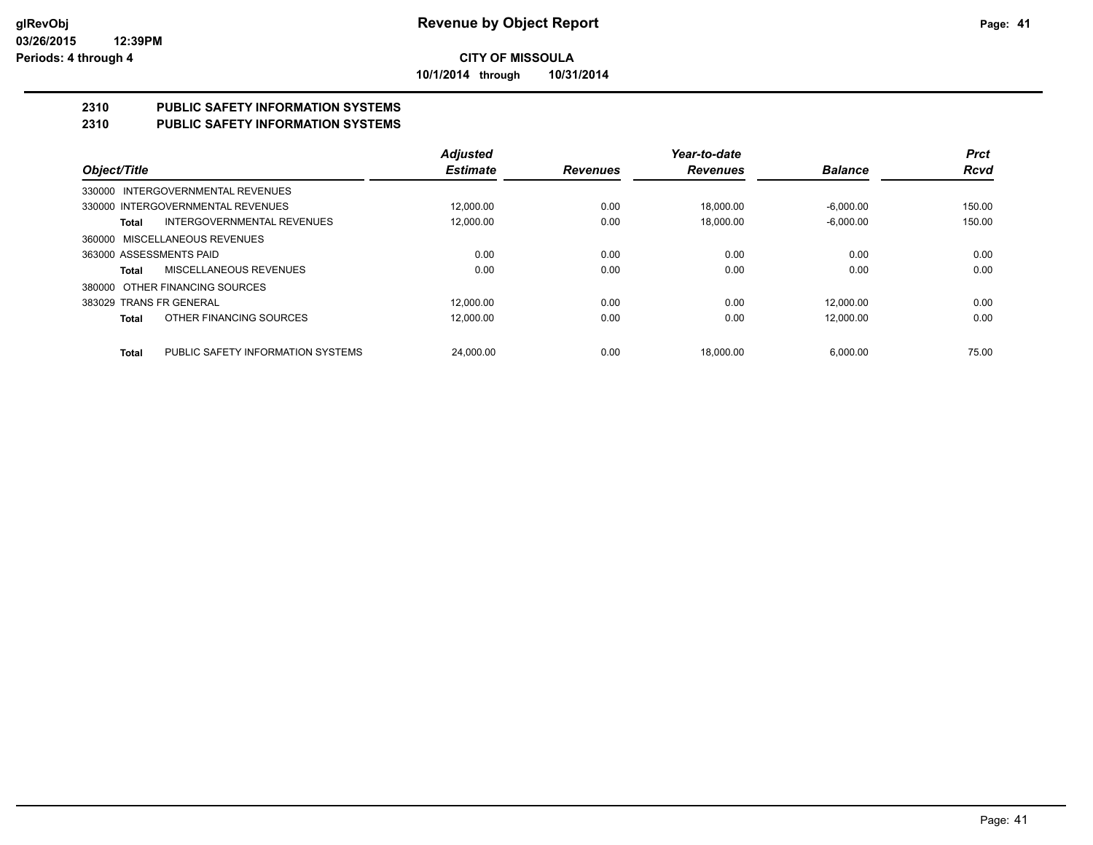**10/1/2014 through 10/31/2014**

#### **2310 PUBLIC SAFETY INFORMATION SYSTEMS 2310 PUBLIC SAFETY INFORMATION SYSTEMS**

|                                                   | Adjusted        |                 | Year-to-date    |                | <b>Prct</b> |
|---------------------------------------------------|-----------------|-----------------|-----------------|----------------|-------------|
| Object/Title                                      | <b>Estimate</b> | <b>Revenues</b> | <b>Revenues</b> | <b>Balance</b> | <b>Rcvd</b> |
| INTERGOVERNMENTAL REVENUES<br>330000              |                 |                 |                 |                |             |
| 330000 INTERGOVERNMENTAL REVENUES                 | 12.000.00       | 0.00            | 18.000.00       | $-6.000.00$    | 150.00      |
| <b>INTERGOVERNMENTAL REVENUES</b><br>Total        | 12,000.00       | 0.00            | 18.000.00       | $-6,000.00$    | 150.00      |
| MISCELLANEOUS REVENUES<br>360000                  |                 |                 |                 |                |             |
| 363000 ASSESSMENTS PAID                           | 0.00            | 0.00            | 0.00            | 0.00           | 0.00        |
| MISCELLANEOUS REVENUES<br>Total                   | 0.00            | 0.00            | 0.00            | 0.00           | 0.00        |
| OTHER FINANCING SOURCES<br>380000                 |                 |                 |                 |                |             |
| 383029 TRANS FR GENERAL                           | 12.000.00       | 0.00            | 0.00            | 12.000.00      | 0.00        |
| OTHER FINANCING SOURCES<br>Total                  | 12.000.00       | 0.00            | 0.00            | 12.000.00      | 0.00        |
| PUBLIC SAFETY INFORMATION SYSTEMS<br><b>Total</b> | 24.000.00       | 0.00            | 18.000.00       | 6.000.00       | 75.00       |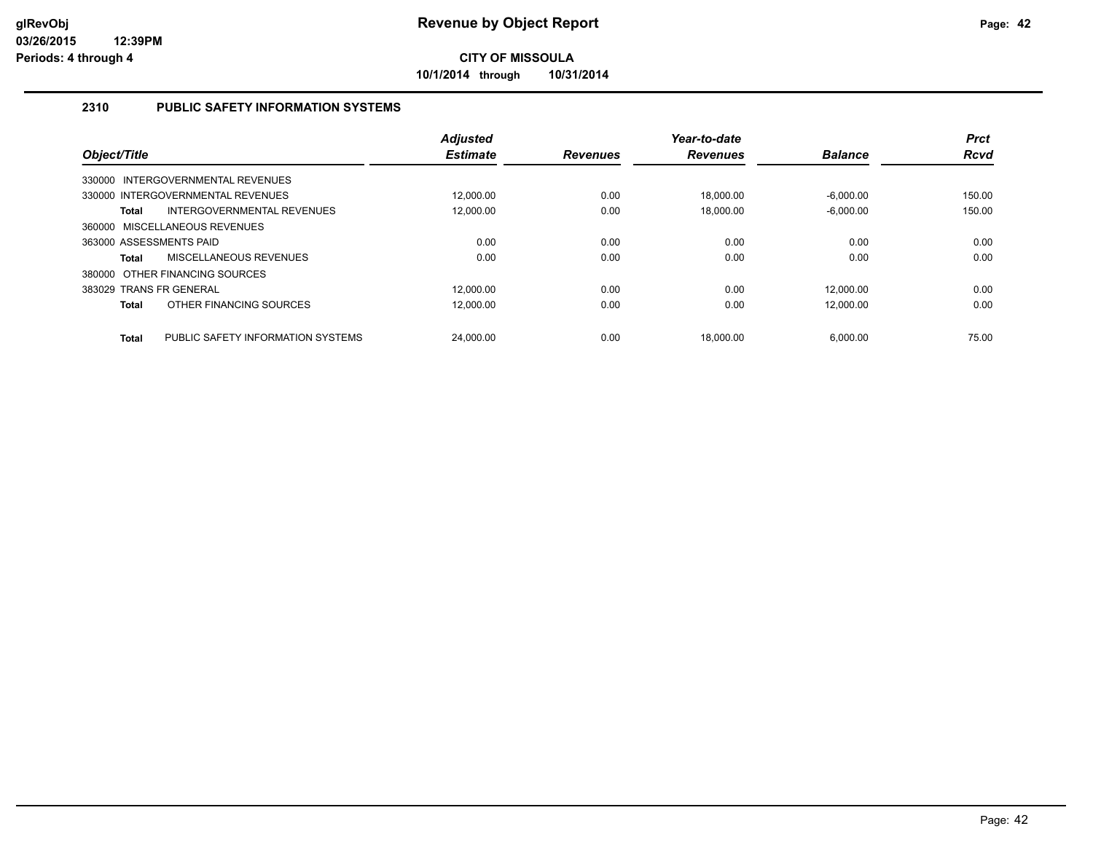**10/1/2014 through 10/31/2014**

### **2310 PUBLIC SAFETY INFORMATION SYSTEMS**

| Object/Title            |                                   | <b>Adjusted</b><br><b>Estimate</b> | <b>Revenues</b> | Year-to-date<br><b>Revenues</b> | <b>Balance</b> | <b>Prct</b><br><b>Rcvd</b> |
|-------------------------|-----------------------------------|------------------------------------|-----------------|---------------------------------|----------------|----------------------------|
|                         | 330000 INTERGOVERNMENTAL REVENUES |                                    |                 |                                 |                |                            |
|                         | 330000 INTERGOVERNMENTAL REVENUES | 12.000.00                          | 0.00            | 18.000.00                       | $-6.000.00$    | 150.00                     |
| <b>Total</b>            | INTERGOVERNMENTAL REVENUES        | 12.000.00                          | 0.00            | 18.000.00                       | $-6.000.00$    | 150.00                     |
|                         | 360000 MISCELLANEOUS REVENUES     |                                    |                 |                                 |                |                            |
| 363000 ASSESSMENTS PAID |                                   | 0.00                               | 0.00            | 0.00                            | 0.00           | 0.00                       |
| <b>Total</b>            | MISCELLANEOUS REVENUES            | 0.00                               | 0.00            | 0.00                            | 0.00           | 0.00                       |
|                         | 380000 OTHER FINANCING SOURCES    |                                    |                 |                                 |                |                            |
| 383029 TRANS FR GENERAL |                                   | 12.000.00                          | 0.00            | 0.00                            | 12.000.00      | 0.00                       |
| <b>Total</b>            | OTHER FINANCING SOURCES           | 12.000.00                          | 0.00            | 0.00                            | 12,000.00      | 0.00                       |
| <b>Total</b>            | PUBLIC SAFETY INFORMATION SYSTEMS | 24.000.00                          | 0.00            | 18.000.00                       | 6.000.00       | 75.00                      |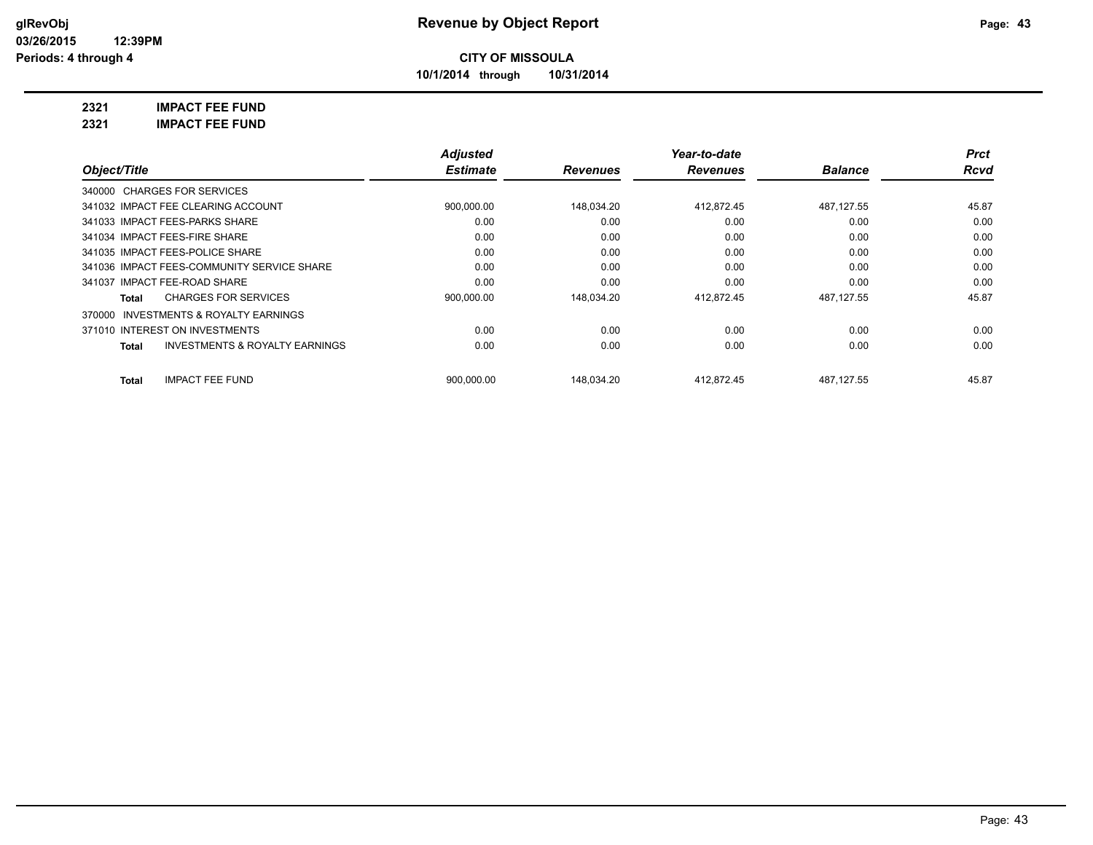**10/1/2014 through 10/31/2014**

**2321 IMPACT FEE FUND**

**2321 IMPACT FEE FUND**

|                                                    | <b>Adjusted</b> |                 | Year-to-date    |                | <b>Prct</b> |
|----------------------------------------------------|-----------------|-----------------|-----------------|----------------|-------------|
| Object/Title                                       | <b>Estimate</b> | <b>Revenues</b> | <b>Revenues</b> | <b>Balance</b> | Rcvd        |
| 340000 CHARGES FOR SERVICES                        |                 |                 |                 |                |             |
| 341032 IMPACT FEE CLEARING ACCOUNT                 | 900,000.00      | 148,034.20      | 412,872.45      | 487.127.55     | 45.87       |
| 341033 IMPACT FEES-PARKS SHARE                     | 0.00            | 0.00            | 0.00            | 0.00           | 0.00        |
| 341034 IMPACT FEES-FIRE SHARE                      | 0.00            | 0.00            | 0.00            | 0.00           | 0.00        |
| 341035 IMPACT FEES-POLICE SHARE                    | 0.00            | 0.00            | 0.00            | 0.00           | 0.00        |
| 341036 IMPACT FEES-COMMUNITY SERVICE SHARE         | 0.00            | 0.00            | 0.00            | 0.00           | 0.00        |
| 341037 IMPACT FEE-ROAD SHARE                       | 0.00            | 0.00            | 0.00            | 0.00           | 0.00        |
| <b>CHARGES FOR SERVICES</b><br>Total               | 900,000.00      | 148,034.20      | 412,872.45      | 487.127.55     | 45.87       |
| INVESTMENTS & ROYALTY EARNINGS<br>370000           |                 |                 |                 |                |             |
| 371010 INTEREST ON INVESTMENTS                     | 0.00            | 0.00            | 0.00            | 0.00           | 0.00        |
| <b>INVESTMENTS &amp; ROYALTY EARNINGS</b><br>Total | 0.00            | 0.00            | 0.00            | 0.00           | 0.00        |
| <b>IMPACT FEE FUND</b><br>Total                    | 900.000.00      | 148.034.20      | 412.872.45      | 487.127.55     | 45.87       |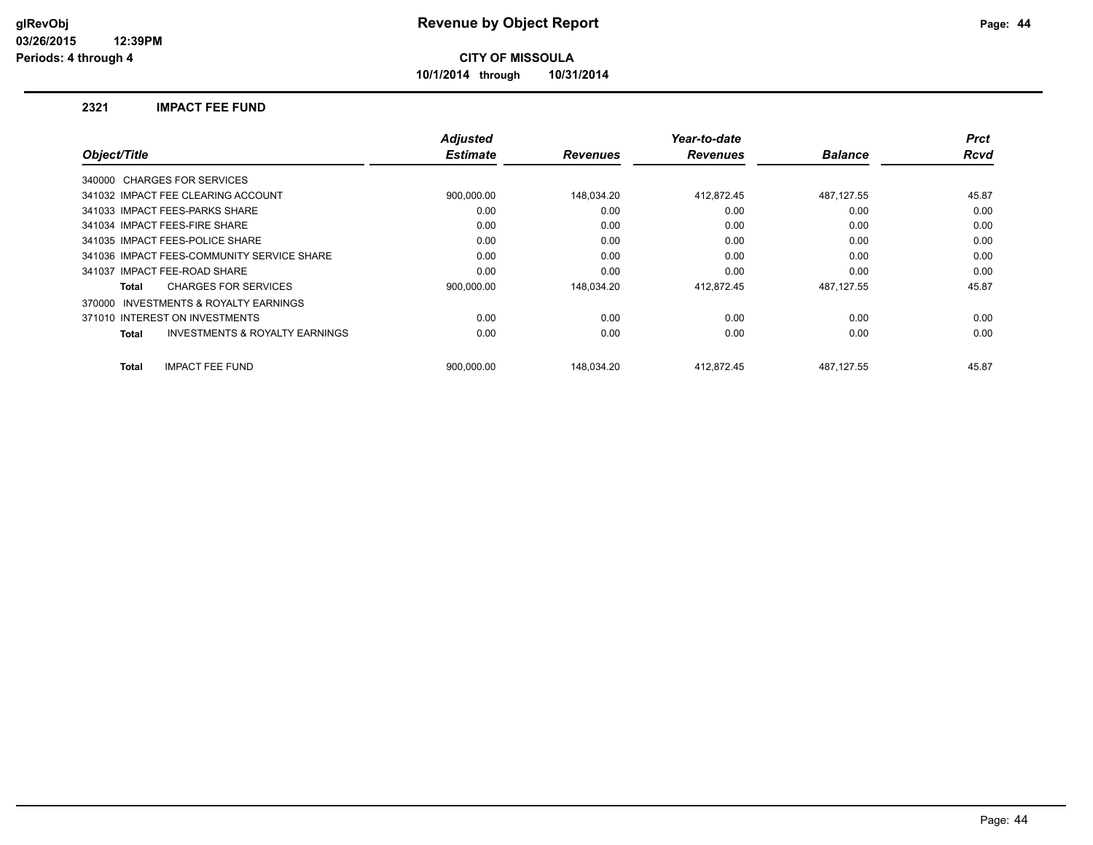**10/1/2014 through 10/31/2014**

#### **2321 IMPACT FEE FUND**

|              |                                            | <b>Adjusted</b> |                 | Year-to-date    |                | <b>Prct</b> |
|--------------|--------------------------------------------|-----------------|-----------------|-----------------|----------------|-------------|
| Object/Title |                                            | <b>Estimate</b> | <b>Revenues</b> | <b>Revenues</b> | <b>Balance</b> | <b>Rcvd</b> |
|              | 340000 CHARGES FOR SERVICES                |                 |                 |                 |                |             |
|              | 341032 IMPACT FEE CLEARING ACCOUNT         | 900,000.00      | 148,034.20      | 412,872.45      | 487,127.55     | 45.87       |
|              | 341033 IMPACT FEES-PARKS SHARE             | 0.00            | 0.00            | 0.00            | 0.00           | 0.00        |
|              | 341034 IMPACT FEES-FIRE SHARE              | 0.00            | 0.00            | 0.00            | 0.00           | 0.00        |
|              | 341035 IMPACT FEES-POLICE SHARE            | 0.00            | 0.00            | 0.00            | 0.00           | 0.00        |
|              | 341036 IMPACT FEES-COMMUNITY SERVICE SHARE | 0.00            | 0.00            | 0.00            | 0.00           | 0.00        |
|              | 341037 IMPACT FEE-ROAD SHARE               | 0.00            | 0.00            | 0.00            | 0.00           | 0.00        |
| Total        | <b>CHARGES FOR SERVICES</b>                | 900.000.00      | 148.034.20      | 412.872.45      | 487.127.55     | 45.87       |
| 370000       | <b>INVESTMENTS &amp; ROYALTY EARNINGS</b>  |                 |                 |                 |                |             |
|              | 371010 INTEREST ON INVESTMENTS             | 0.00            | 0.00            | 0.00            | 0.00           | 0.00        |
| Total        | <b>INVESTMENTS &amp; ROYALTY EARNINGS</b>  | 0.00            | 0.00            | 0.00            | 0.00           | 0.00        |
| Total        | <b>IMPACT FEE FUND</b>                     | 900.000.00      | 148.034.20      | 412.872.45      | 487.127.55     | 45.87       |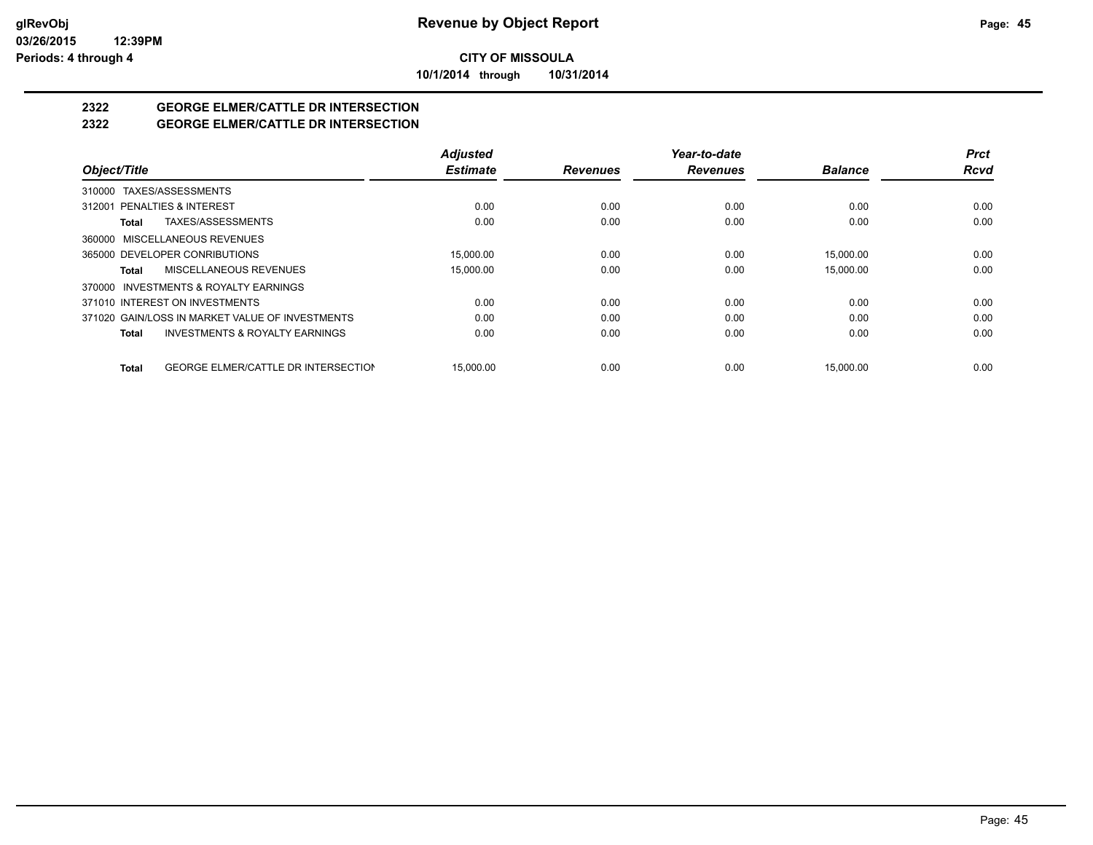**10/1/2014 through 10/31/2014**

# **2322 GEORGE ELMER/CATTLE DR INTERSECTION**

## **2322 GEORGE ELMER/CATTLE DR INTERSECTION**

|                                                            | <b>Adjusted</b> |                 | Year-to-date    |                | <b>Prct</b> |
|------------------------------------------------------------|-----------------|-----------------|-----------------|----------------|-------------|
| Object/Title                                               | <b>Estimate</b> | <b>Revenues</b> | <b>Revenues</b> | <b>Balance</b> | <b>Rcvd</b> |
| 310000 TAXES/ASSESSMENTS                                   |                 |                 |                 |                |             |
| 312001 PENALTIES & INTEREST                                | 0.00            | 0.00            | 0.00            | 0.00           | 0.00        |
| TAXES/ASSESSMENTS<br>Total                                 | 0.00            | 0.00            | 0.00            | 0.00           | 0.00        |
| 360000 MISCELLANEOUS REVENUES                              |                 |                 |                 |                |             |
| 365000 DEVELOPER CONRIBUTIONS                              | 15,000.00       | 0.00            | 0.00            | 15,000.00      | 0.00        |
| MISCELLANEOUS REVENUES<br>Total                            | 15,000.00       | 0.00            | 0.00            | 15,000.00      | 0.00        |
| 370000 INVESTMENTS & ROYALTY EARNINGS                      |                 |                 |                 |                |             |
| 371010 INTEREST ON INVESTMENTS                             | 0.00            | 0.00            | 0.00            | 0.00           | 0.00        |
| 371020 GAIN/LOSS IN MARKET VALUE OF INVESTMENTS            | 0.00            | 0.00            | 0.00            | 0.00           | 0.00        |
| <b>INVESTMENTS &amp; ROYALTY EARNINGS</b><br>Total         | 0.00            | 0.00            | 0.00            | 0.00           | 0.00        |
| <b>GEORGE ELMER/CATTLE DR INTERSECTION</b><br><b>Total</b> | 15.000.00       | 0.00            | 0.00            | 15.000.00      | 0.00        |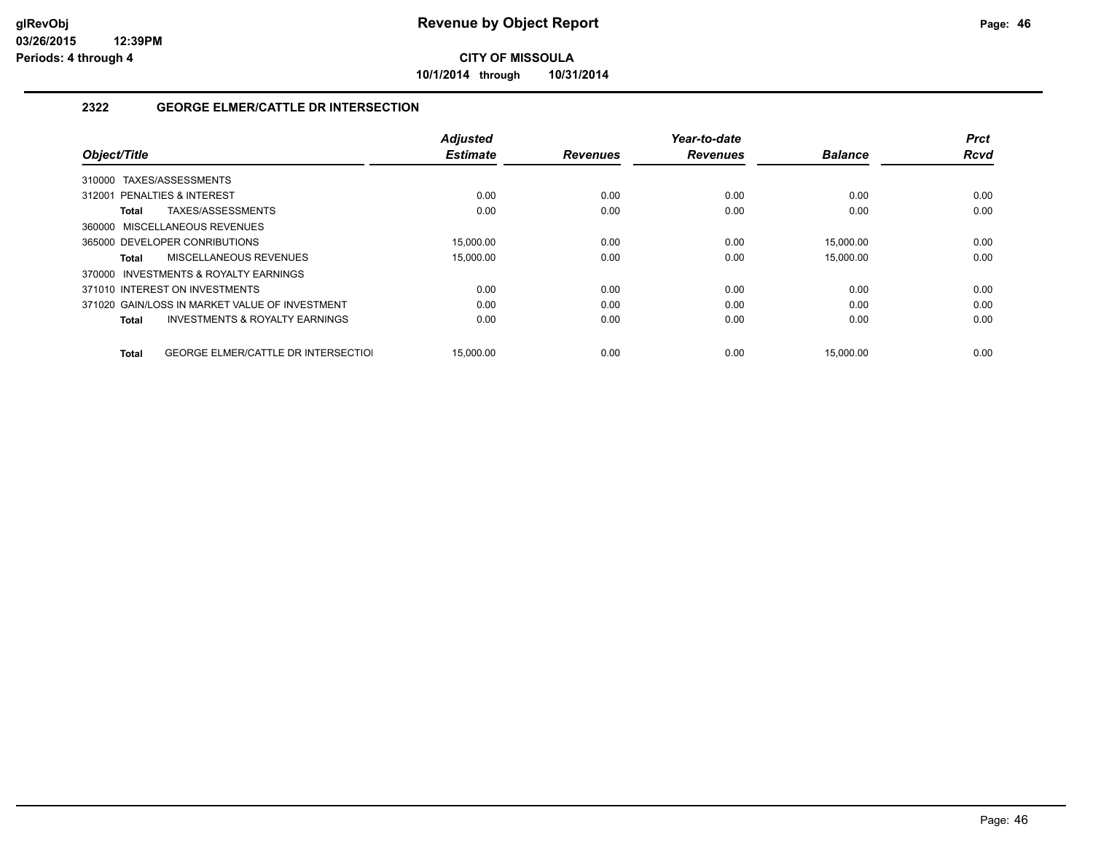**10/1/2014 through 10/31/2014**

### **2322 GEORGE ELMER/CATTLE DR INTERSECTION**

|                                                     | <b>Adjusted</b> |                 | Year-to-date    |                | <b>Prct</b> |
|-----------------------------------------------------|-----------------|-----------------|-----------------|----------------|-------------|
| Object/Title                                        | <b>Estimate</b> | <b>Revenues</b> | <b>Revenues</b> | <b>Balance</b> | <b>Rcvd</b> |
| TAXES/ASSESSMENTS<br>310000                         |                 |                 |                 |                |             |
| 312001 PENALTIES & INTEREST                         | 0.00            | 0.00            | 0.00            | 0.00           | 0.00        |
| TAXES/ASSESSMENTS<br>Total                          | 0.00            | 0.00            | 0.00            | 0.00           | 0.00        |
| 360000 MISCELLANEOUS REVENUES                       |                 |                 |                 |                |             |
| 365000 DEVELOPER CONRIBUTIONS                       | 15.000.00       | 0.00            | 0.00            | 15.000.00      | 0.00        |
| MISCELLANEOUS REVENUES<br>Total                     | 15.000.00       | 0.00            | 0.00            | 15,000.00      | 0.00        |
| <b>INVESTMENTS &amp; ROYALTY EARNINGS</b><br>370000 |                 |                 |                 |                |             |
| 371010 INTEREST ON INVESTMENTS                      | 0.00            | 0.00            | 0.00            | 0.00           | 0.00        |
| 371020 GAIN/LOSS IN MARKET VALUE OF INVESTMENT      | 0.00            | 0.00            | 0.00            | 0.00           | 0.00        |
| <b>INVESTMENTS &amp; ROYALTY EARNINGS</b><br>Total  | 0.00            | 0.00            | 0.00            | 0.00           | 0.00        |
|                                                     |                 |                 |                 |                |             |
| <b>GEORGE ELMER/CATTLE DR INTERSECTIOL</b><br>Total | 15.000.00       | 0.00            | 0.00            | 15.000.00      | 0.00        |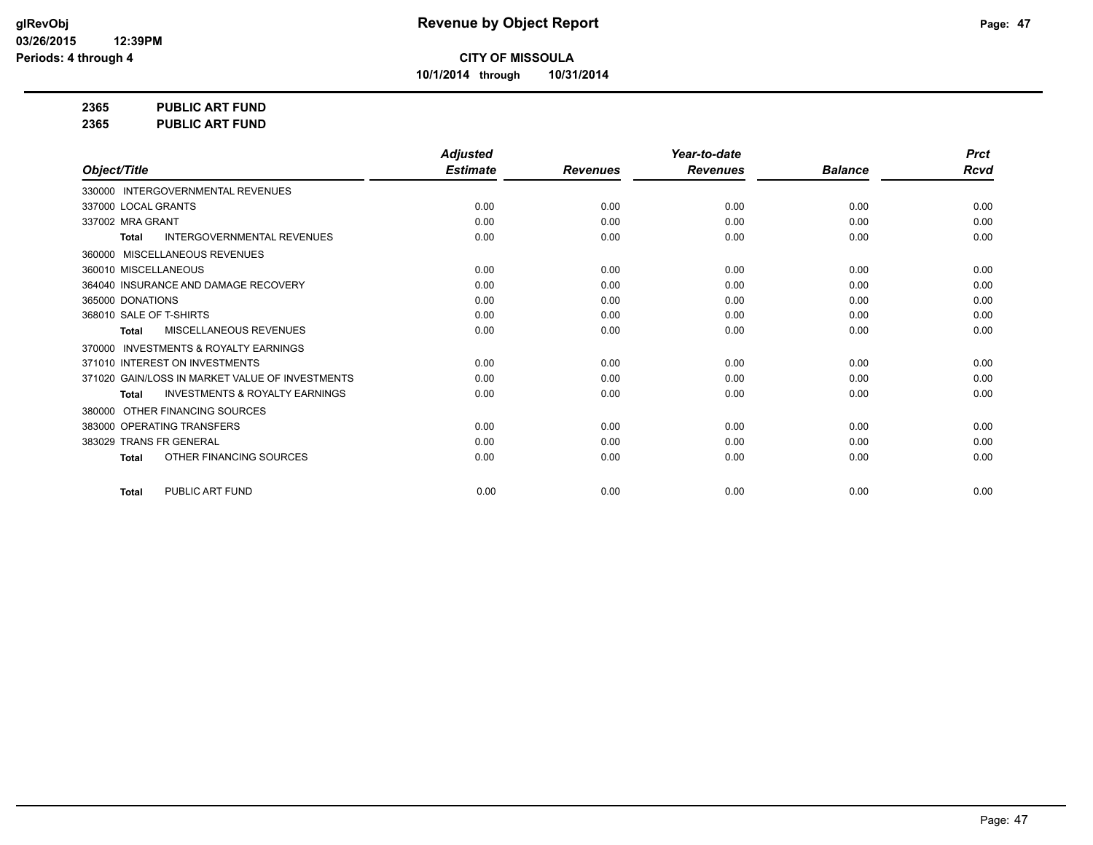**10/1/2014 through 10/31/2014**

**2365 PUBLIC ART FUND**

**2365 PUBLIC ART FUND**

|                                                           | <b>Adjusted</b> |                 | Year-to-date    |                | <b>Prct</b> |
|-----------------------------------------------------------|-----------------|-----------------|-----------------|----------------|-------------|
| Object/Title                                              | <b>Estimate</b> | <b>Revenues</b> | <b>Revenues</b> | <b>Balance</b> | <b>Rcvd</b> |
| 330000 INTERGOVERNMENTAL REVENUES                         |                 |                 |                 |                |             |
| 337000 LOCAL GRANTS                                       | 0.00            | 0.00            | 0.00            | 0.00           | 0.00        |
| 337002 MRA GRANT                                          | 0.00            | 0.00            | 0.00            | 0.00           | 0.00        |
| <b>INTERGOVERNMENTAL REVENUES</b><br><b>Total</b>         | 0.00            | 0.00            | 0.00            | 0.00           | 0.00        |
| MISCELLANEOUS REVENUES<br>360000                          |                 |                 |                 |                |             |
| 360010 MISCELLANEOUS                                      | 0.00            | 0.00            | 0.00            | 0.00           | 0.00        |
| 364040 INSURANCE AND DAMAGE RECOVERY                      | 0.00            | 0.00            | 0.00            | 0.00           | 0.00        |
| 365000 DONATIONS                                          | 0.00            | 0.00            | 0.00            | 0.00           | 0.00        |
| 368010 SALE OF T-SHIRTS                                   | 0.00            | 0.00            | 0.00            | 0.00           | 0.00        |
| MISCELLANEOUS REVENUES<br><b>Total</b>                    | 0.00            | 0.00            | 0.00            | 0.00           | 0.00        |
| <b>INVESTMENTS &amp; ROYALTY EARNINGS</b><br>370000       |                 |                 |                 |                |             |
| 371010 INTEREST ON INVESTMENTS                            | 0.00            | 0.00            | 0.00            | 0.00           | 0.00        |
| 371020 GAIN/LOSS IN MARKET VALUE OF INVESTMENTS           | 0.00            | 0.00            | 0.00            | 0.00           | 0.00        |
| <b>INVESTMENTS &amp; ROYALTY EARNINGS</b><br><b>Total</b> | 0.00            | 0.00            | 0.00            | 0.00           | 0.00        |
| OTHER FINANCING SOURCES<br>380000                         |                 |                 |                 |                |             |
| 383000 OPERATING TRANSFERS                                | 0.00            | 0.00            | 0.00            | 0.00           | 0.00        |
| 383029 TRANS FR GENERAL                                   | 0.00            | 0.00            | 0.00            | 0.00           | 0.00        |
| OTHER FINANCING SOURCES<br><b>Total</b>                   | 0.00            | 0.00            | 0.00            | 0.00           | 0.00        |
| PUBLIC ART FUND<br><b>Total</b>                           | 0.00            | 0.00            | 0.00            | 0.00           | 0.00        |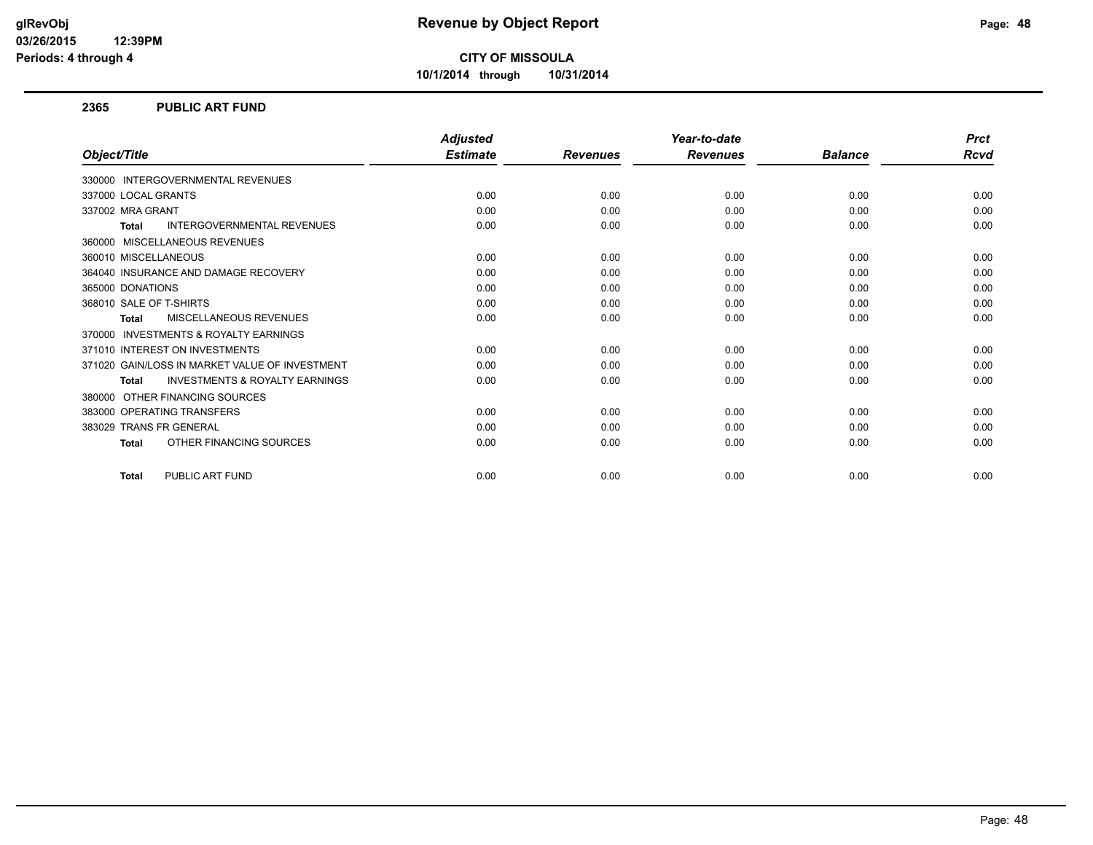**10/1/2014 through 10/31/2014**

#### **2365 PUBLIC ART FUND**

|                                                           | <b>Adjusted</b> |                 | Year-to-date    |                | <b>Prct</b> |
|-----------------------------------------------------------|-----------------|-----------------|-----------------|----------------|-------------|
| Object/Title                                              | <b>Estimate</b> | <b>Revenues</b> | <b>Revenues</b> | <b>Balance</b> | Rcvd        |
| 330000 INTERGOVERNMENTAL REVENUES                         |                 |                 |                 |                |             |
| 337000 LOCAL GRANTS                                       | 0.00            | 0.00            | 0.00            | 0.00           | 0.00        |
| 337002 MRA GRANT                                          | 0.00            | 0.00            | 0.00            | 0.00           | 0.00        |
| <b>INTERGOVERNMENTAL REVENUES</b><br><b>Total</b>         | 0.00            | 0.00            | 0.00            | 0.00           | 0.00        |
| 360000 MISCELLANEOUS REVENUES                             |                 |                 |                 |                |             |
| 360010 MISCELLANEOUS                                      | 0.00            | 0.00            | 0.00            | 0.00           | 0.00        |
| 364040 INSURANCE AND DAMAGE RECOVERY                      | 0.00            | 0.00            | 0.00            | 0.00           | 0.00        |
| 365000 DONATIONS                                          | 0.00            | 0.00            | 0.00            | 0.00           | 0.00        |
| 368010 SALE OF T-SHIRTS                                   | 0.00            | 0.00            | 0.00            | 0.00           | 0.00        |
| <b>MISCELLANEOUS REVENUES</b><br>Total                    | 0.00            | 0.00            | 0.00            | 0.00           | 0.00        |
| 370000 INVESTMENTS & ROYALTY EARNINGS                     |                 |                 |                 |                |             |
| 371010 INTEREST ON INVESTMENTS                            | 0.00            | 0.00            | 0.00            | 0.00           | 0.00        |
| 371020 GAIN/LOSS IN MARKET VALUE OF INVESTMENT            | 0.00            | 0.00            | 0.00            | 0.00           | 0.00        |
| <b>INVESTMENTS &amp; ROYALTY EARNINGS</b><br><b>Total</b> | 0.00            | 0.00            | 0.00            | 0.00           | 0.00        |
| OTHER FINANCING SOURCES<br>380000                         |                 |                 |                 |                |             |
| 383000 OPERATING TRANSFERS                                | 0.00            | 0.00            | 0.00            | 0.00           | 0.00        |
| 383029 TRANS FR GENERAL                                   | 0.00            | 0.00            | 0.00            | 0.00           | 0.00        |
| OTHER FINANCING SOURCES<br><b>Total</b>                   | 0.00            | 0.00            | 0.00            | 0.00           | 0.00        |
| PUBLIC ART FUND<br><b>Total</b>                           | 0.00            | 0.00            | 0.00            | 0.00           | 0.00        |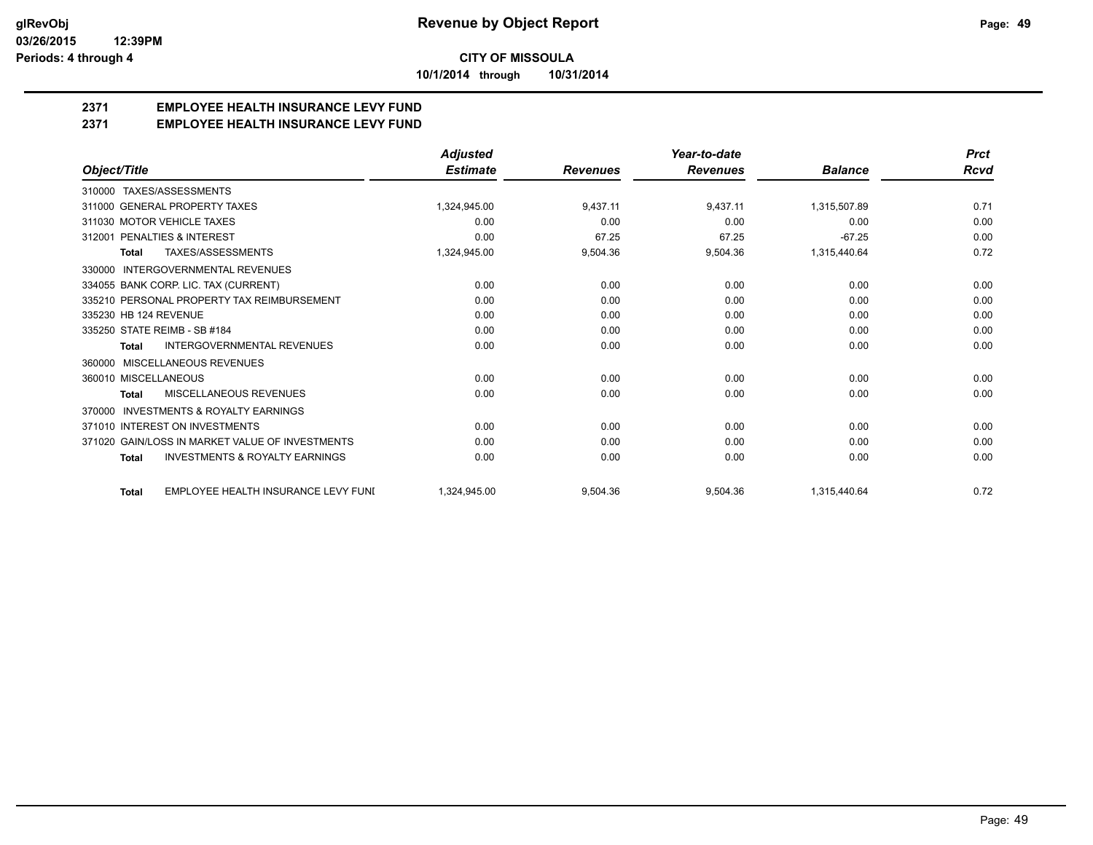**10/1/2014 through 10/31/2014**

## **2371 EMPLOYEE HEALTH INSURANCE LEVY FUND**

**2371 EMPLOYEE HEALTH INSURANCE LEVY FUND**

|                                                           | <b>Adjusted</b> |                 | Year-to-date    |                | <b>Prct</b> |
|-----------------------------------------------------------|-----------------|-----------------|-----------------|----------------|-------------|
| Object/Title                                              | <b>Estimate</b> | <b>Revenues</b> | <b>Revenues</b> | <b>Balance</b> | Rcvd        |
| 310000 TAXES/ASSESSMENTS                                  |                 |                 |                 |                |             |
| 311000 GENERAL PROPERTY TAXES                             | 1.324.945.00    | 9,437.11        | 9,437.11        | 1,315,507.89   | 0.71        |
| 311030 MOTOR VEHICLE TAXES                                | 0.00            | 0.00            | 0.00            | 0.00           | 0.00        |
| 312001 PENALTIES & INTEREST                               | 0.00            | 67.25           | 67.25           | $-67.25$       | 0.00        |
| <b>TAXES/ASSESSMENTS</b><br>Total                         | 1,324,945.00    | 9,504.36        | 9,504.36        | 1,315,440.64   | 0.72        |
| <b>INTERGOVERNMENTAL REVENUES</b><br>330000               |                 |                 |                 |                |             |
| 334055 BANK CORP. LIC. TAX (CURRENT)                      | 0.00            | 0.00            | 0.00            | 0.00           | 0.00        |
| 335210 PERSONAL PROPERTY TAX REIMBURSEMENT                | 0.00            | 0.00            | 0.00            | 0.00           | 0.00        |
| 335230 HB 124 REVENUE                                     | 0.00            | 0.00            | 0.00            | 0.00           | 0.00        |
| 335250 STATE REIMB - SB #184                              | 0.00            | 0.00            | 0.00            | 0.00           | 0.00        |
| INTERGOVERNMENTAL REVENUES<br><b>Total</b>                | 0.00            | 0.00            | 0.00            | 0.00           | 0.00        |
| MISCELLANEOUS REVENUES<br>360000                          |                 |                 |                 |                |             |
| 360010 MISCELLANEOUS                                      | 0.00            | 0.00            | 0.00            | 0.00           | 0.00        |
| MISCELLANEOUS REVENUES<br><b>Total</b>                    | 0.00            | 0.00            | 0.00            | 0.00           | 0.00        |
| <b>INVESTMENTS &amp; ROYALTY EARNINGS</b><br>370000       |                 |                 |                 |                |             |
| 371010 INTEREST ON INVESTMENTS                            | 0.00            | 0.00            | 0.00            | 0.00           | 0.00        |
| 371020 GAIN/LOSS IN MARKET VALUE OF INVESTMENTS           | 0.00            | 0.00            | 0.00            | 0.00           | 0.00        |
| <b>INVESTMENTS &amp; ROYALTY EARNINGS</b><br><b>Total</b> | 0.00            | 0.00            | 0.00            | 0.00           | 0.00        |
| EMPLOYEE HEALTH INSURANCE LEVY FUNI<br><b>Total</b>       | 1,324,945.00    | 9,504.36        | 9,504.36        | 1,315,440.64   | 0.72        |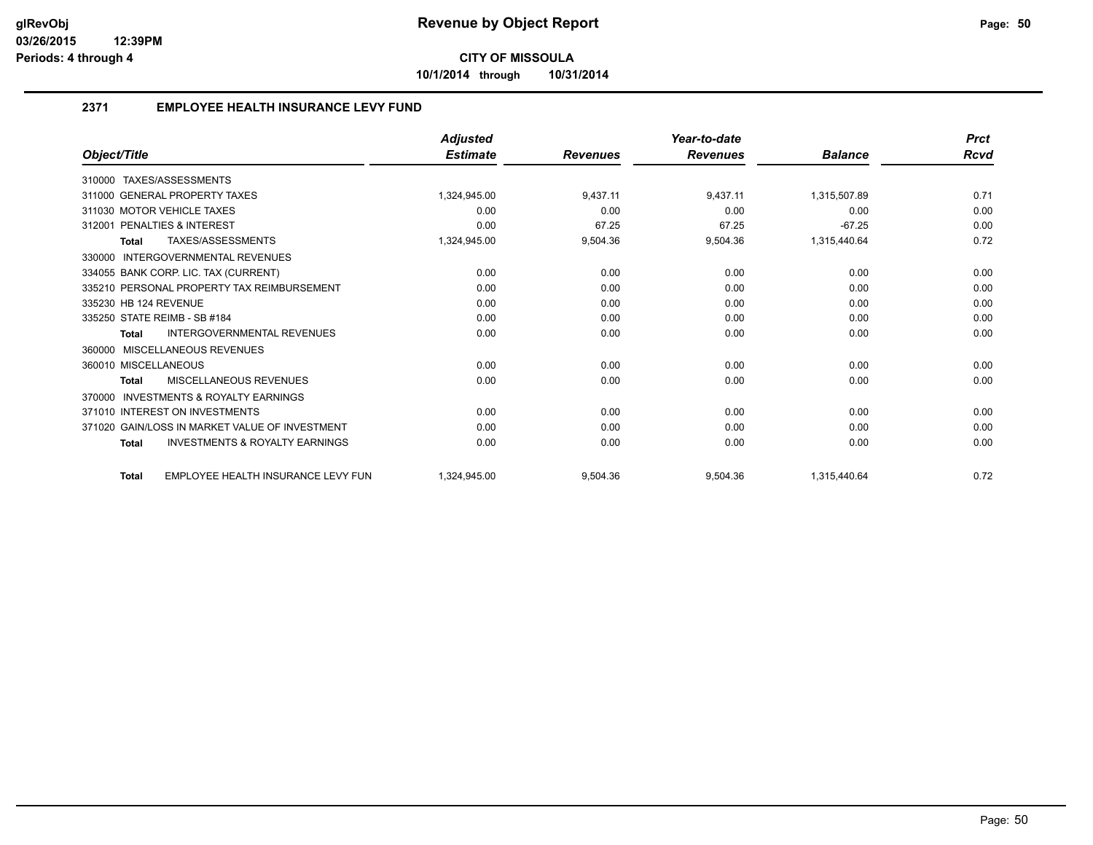**10/1/2014 through 10/31/2014**

## **2371 EMPLOYEE HEALTH INSURANCE LEVY FUND**

|                                                           | <b>Adjusted</b> |                 | Year-to-date    |                | <b>Prct</b> |
|-----------------------------------------------------------|-----------------|-----------------|-----------------|----------------|-------------|
| Object/Title                                              | <b>Estimate</b> | <b>Revenues</b> | <b>Revenues</b> | <b>Balance</b> | <b>Rcvd</b> |
| TAXES/ASSESSMENTS<br>310000                               |                 |                 |                 |                |             |
| 311000 GENERAL PROPERTY TAXES                             | 1,324,945.00    | 9,437.11        | 9,437.11        | 1,315,507.89   | 0.71        |
| 311030 MOTOR VEHICLE TAXES                                | 0.00            | 0.00            | 0.00            | 0.00           | 0.00        |
| 312001 PENALTIES & INTEREST                               | 0.00            | 67.25           | 67.25           | $-67.25$       | 0.00        |
| TAXES/ASSESSMENTS<br><b>Total</b>                         | 1,324,945.00    | 9,504.36        | 9,504.36        | 1,315,440.64   | 0.72        |
| INTERGOVERNMENTAL REVENUES<br>330000                      |                 |                 |                 |                |             |
| 334055 BANK CORP. LIC. TAX (CURRENT)                      | 0.00            | 0.00            | 0.00            | 0.00           | 0.00        |
| 335210 PERSONAL PROPERTY TAX REIMBURSEMENT                | 0.00            | 0.00            | 0.00            | 0.00           | 0.00        |
| 335230 HB 124 REVENUE                                     | 0.00            | 0.00            | 0.00            | 0.00           | 0.00        |
| 335250 STATE REIMB - SB #184                              | 0.00            | 0.00            | 0.00            | 0.00           | 0.00        |
| INTERGOVERNMENTAL REVENUES<br><b>Total</b>                | 0.00            | 0.00            | 0.00            | 0.00           | 0.00        |
| MISCELLANEOUS REVENUES<br>360000                          |                 |                 |                 |                |             |
| 360010 MISCELLANEOUS                                      | 0.00            | 0.00            | 0.00            | 0.00           | 0.00        |
| <b>MISCELLANEOUS REVENUES</b><br><b>Total</b>             | 0.00            | 0.00            | 0.00            | 0.00           | 0.00        |
| <b>INVESTMENTS &amp; ROYALTY EARNINGS</b><br>370000       |                 |                 |                 |                |             |
| 371010 INTEREST ON INVESTMENTS                            | 0.00            | 0.00            | 0.00            | 0.00           | 0.00        |
| 371020 GAIN/LOSS IN MARKET VALUE OF INVESTMENT            | 0.00            | 0.00            | 0.00            | 0.00           | 0.00        |
| <b>INVESTMENTS &amp; ROYALTY EARNINGS</b><br><b>Total</b> | 0.00            | 0.00            | 0.00            | 0.00           | 0.00        |
| EMPLOYEE HEALTH INSURANCE LEVY FUN<br><b>Total</b>        | 1.324.945.00    | 9,504.36        | 9,504.36        | 1,315,440.64   | 0.72        |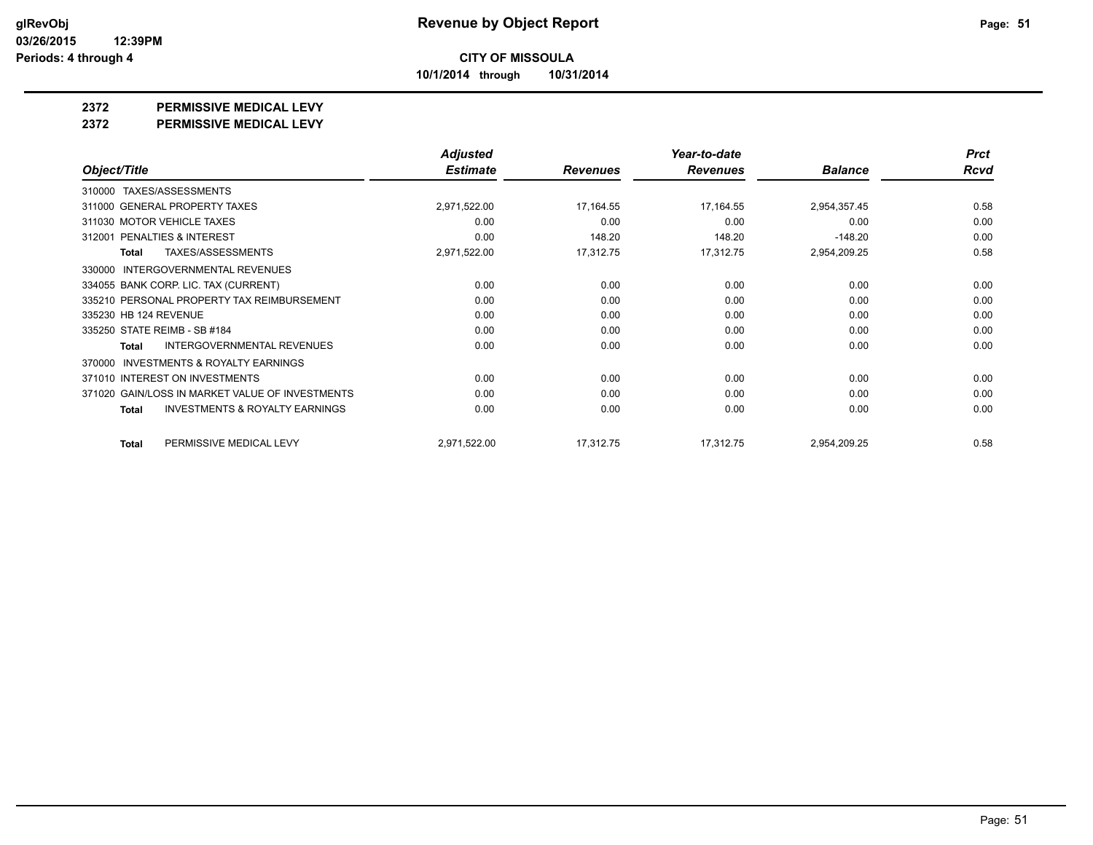**10/1/2014 through 10/31/2014**

#### **2372 PERMISSIVE MEDICAL LEVY**

**2372 PERMISSIVE MEDICAL LEVY**

|                                                     | <b>Adjusted</b> |                 | Year-to-date    |                | <b>Prct</b> |
|-----------------------------------------------------|-----------------|-----------------|-----------------|----------------|-------------|
| Object/Title                                        | <b>Estimate</b> | <b>Revenues</b> | <b>Revenues</b> | <b>Balance</b> | <b>Rcvd</b> |
| 310000 TAXES/ASSESSMENTS                            |                 |                 |                 |                |             |
| 311000 GENERAL PROPERTY TAXES                       | 2,971,522.00    | 17,164.55       | 17,164.55       | 2,954,357.45   | 0.58        |
| 311030 MOTOR VEHICLE TAXES                          | 0.00            | 0.00            | 0.00            | 0.00           | 0.00        |
| <b>PENALTIES &amp; INTEREST</b><br>312001           | 0.00            | 148.20          | 148.20          | $-148.20$      | 0.00        |
| <b>TAXES/ASSESSMENTS</b><br>Total                   | 2,971,522.00    | 17,312.75       | 17,312.75       | 2,954,209.25   | 0.58        |
| <b>INTERGOVERNMENTAL REVENUES</b><br>330000         |                 |                 |                 |                |             |
| 334055 BANK CORP. LIC. TAX (CURRENT)                | 0.00            | 0.00            | 0.00            | 0.00           | 0.00        |
| 335210 PERSONAL PROPERTY TAX REIMBURSEMENT          | 0.00            | 0.00            | 0.00            | 0.00           | 0.00        |
| 335230 HB 124 REVENUE                               | 0.00            | 0.00            | 0.00            | 0.00           | 0.00        |
| 335250 STATE REIMB - SB #184                        | 0.00            | 0.00            | 0.00            | 0.00           | 0.00        |
| <b>INTERGOVERNMENTAL REVENUES</b><br>Total          | 0.00            | 0.00            | 0.00            | 0.00           | 0.00        |
| <b>INVESTMENTS &amp; ROYALTY EARNINGS</b><br>370000 |                 |                 |                 |                |             |
| 371010 INTEREST ON INVESTMENTS                      | 0.00            | 0.00            | 0.00            | 0.00           | 0.00        |
| 371020 GAIN/LOSS IN MARKET VALUE OF INVESTMENTS     | 0.00            | 0.00            | 0.00            | 0.00           | 0.00        |
| <b>INVESTMENTS &amp; ROYALTY EARNINGS</b><br>Total  | 0.00            | 0.00            | 0.00            | 0.00           | 0.00        |
| PERMISSIVE MEDICAL LEVY<br>Total                    | 2,971,522.00    | 17,312.75       | 17,312.75       | 2,954,209.25   | 0.58        |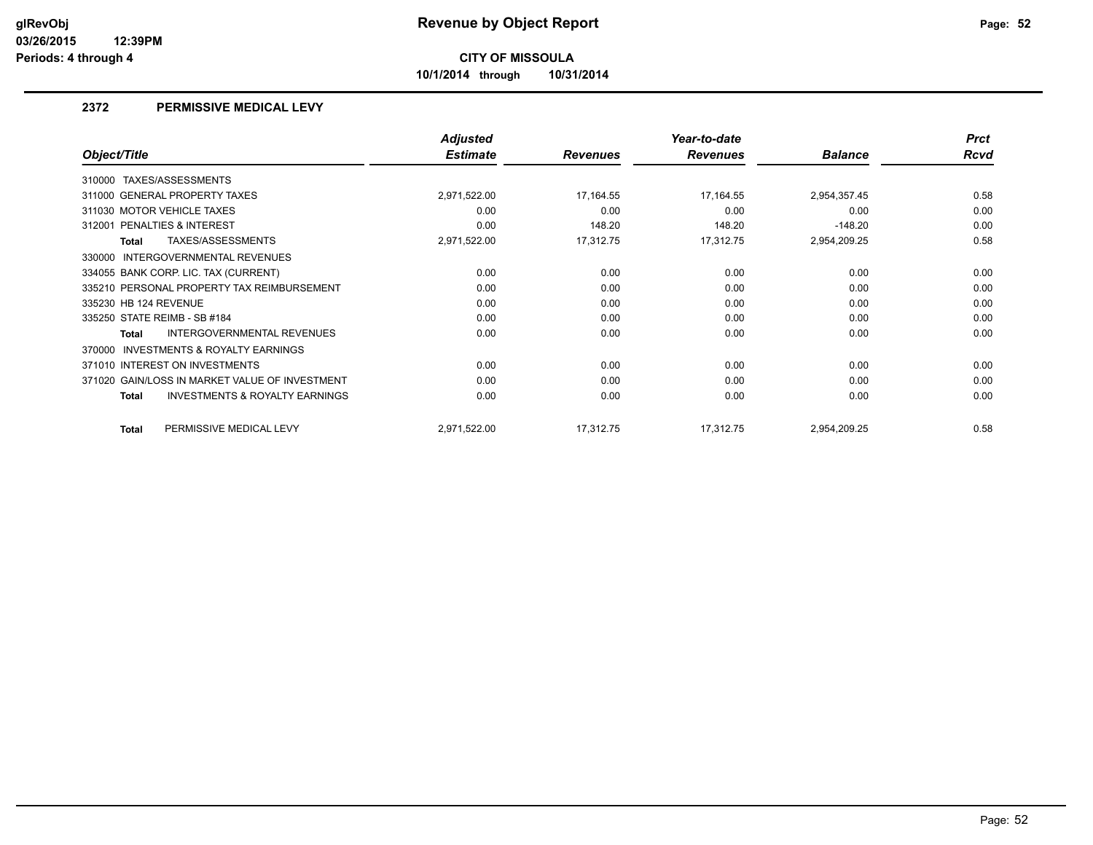**10/1/2014 through 10/31/2014**

### **2372 PERMISSIVE MEDICAL LEVY**

|                                                           | <b>Adjusted</b> |                 | Year-to-date    |                | <b>Prct</b> |
|-----------------------------------------------------------|-----------------|-----------------|-----------------|----------------|-------------|
| Object/Title                                              | <b>Estimate</b> | <b>Revenues</b> | <b>Revenues</b> | <b>Balance</b> | <b>Rcvd</b> |
| 310000 TAXES/ASSESSMENTS                                  |                 |                 |                 |                |             |
| 311000 GENERAL PROPERTY TAXES                             | 2,971,522.00    | 17,164.55       | 17,164.55       | 2,954,357.45   | 0.58        |
| 311030 MOTOR VEHICLE TAXES                                | 0.00            | 0.00            | 0.00            | 0.00           | 0.00        |
| 312001 PENALTIES & INTEREST                               | 0.00            | 148.20          | 148.20          | $-148.20$      | 0.00        |
| <b>TAXES/ASSESSMENTS</b><br>Total                         | 2,971,522.00    | 17,312.75       | 17,312.75       | 2,954,209.25   | 0.58        |
| INTERGOVERNMENTAL REVENUES<br>330000                      |                 |                 |                 |                |             |
| 334055 BANK CORP. LIC. TAX (CURRENT)                      | 0.00            | 0.00            | 0.00            | 0.00           | 0.00        |
| 335210 PERSONAL PROPERTY TAX REIMBURSEMENT                | 0.00            | 0.00            | 0.00            | 0.00           | 0.00        |
| 335230 HB 124 REVENUE                                     | 0.00            | 0.00            | 0.00            | 0.00           | 0.00        |
| 335250 STATE REIMB - SB #184                              | 0.00            | 0.00            | 0.00            | 0.00           | 0.00        |
| <b>INTERGOVERNMENTAL REVENUES</b><br>Total                | 0.00            | 0.00            | 0.00            | 0.00           | 0.00        |
| <b>INVESTMENTS &amp; ROYALTY EARNINGS</b><br>370000       |                 |                 |                 |                |             |
| 371010 INTEREST ON INVESTMENTS                            | 0.00            | 0.00            | 0.00            | 0.00           | 0.00        |
| 371020 GAIN/LOSS IN MARKET VALUE OF INVESTMENT            | 0.00            | 0.00            | 0.00            | 0.00           | 0.00        |
| <b>INVESTMENTS &amp; ROYALTY EARNINGS</b><br><b>Total</b> | 0.00            | 0.00            | 0.00            | 0.00           | 0.00        |
| PERMISSIVE MEDICAL LEVY<br><b>Total</b>                   | 2,971,522.00    | 17,312.75       | 17,312.75       | 2,954,209.25   | 0.58        |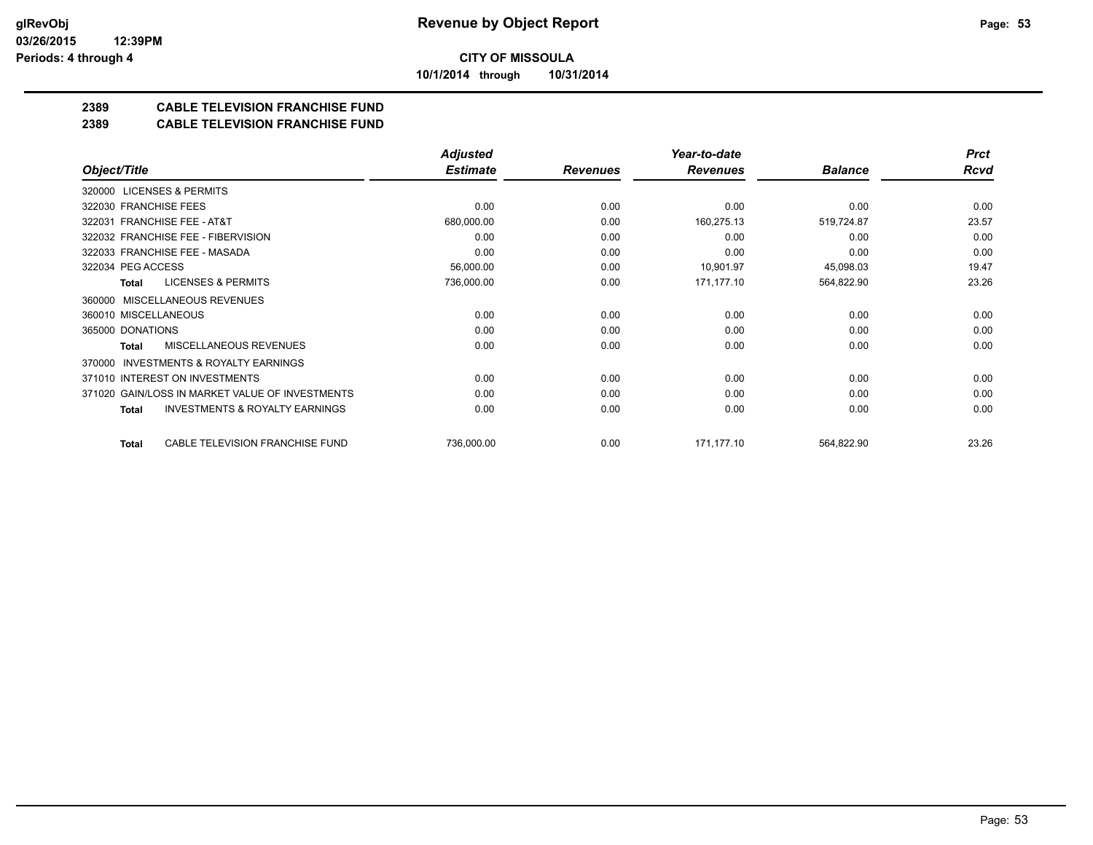**10/1/2014 through 10/31/2014**

## **2389 CABLE TELEVISION FRANCHISE FUND**

### **2389 CABLE TELEVISION FRANCHISE FUND**

|                                                     | <b>Adjusted</b> |                 | Year-to-date    |                | <b>Prct</b> |
|-----------------------------------------------------|-----------------|-----------------|-----------------|----------------|-------------|
| Object/Title                                        | <b>Estimate</b> | <b>Revenues</b> | <b>Revenues</b> | <b>Balance</b> | Rcvd        |
| 320000 LICENSES & PERMITS                           |                 |                 |                 |                |             |
| 322030 FRANCHISE FEES                               | 0.00            | 0.00            | 0.00            | 0.00           | 0.00        |
| 322031 FRANCHISE FEE - AT&T                         | 680,000.00      | 0.00            | 160,275.13      | 519,724.87     | 23.57       |
| 322032 FRANCHISE FEE - FIBERVISION                  | 0.00            | 0.00            | 0.00            | 0.00           | 0.00        |
| 322033 FRANCHISE FEE - MASADA                       | 0.00            | 0.00            | 0.00            | 0.00           | 0.00        |
| 322034 PEG ACCESS                                   | 56,000.00       | 0.00            | 10,901.97       | 45,098.03      | 19.47       |
| LICENSES & PERMITS<br>Total                         | 736,000.00      | 0.00            | 171,177.10      | 564,822.90     | 23.26       |
| 360000 MISCELLANEOUS REVENUES                       |                 |                 |                 |                |             |
| 360010 MISCELLANEOUS                                | 0.00            | 0.00            | 0.00            | 0.00           | 0.00        |
| 365000 DONATIONS                                    | 0.00            | 0.00            | 0.00            | 0.00           | 0.00        |
| MISCELLANEOUS REVENUES<br>Total                     | 0.00            | 0.00            | 0.00            | 0.00           | 0.00        |
| <b>INVESTMENTS &amp; ROYALTY EARNINGS</b><br>370000 |                 |                 |                 |                |             |
| 371010 INTEREST ON INVESTMENTS                      | 0.00            | 0.00            | 0.00            | 0.00           | 0.00        |
| 371020 GAIN/LOSS IN MARKET VALUE OF INVESTMENTS     | 0.00            | 0.00            | 0.00            | 0.00           | 0.00        |
| <b>INVESTMENTS &amp; ROYALTY EARNINGS</b><br>Total  | 0.00            | 0.00            | 0.00            | 0.00           | 0.00        |
| CABLE TELEVISION FRANCHISE FUND<br>Total            | 736,000.00      | 0.00            | 171,177.10      | 564,822.90     | 23.26       |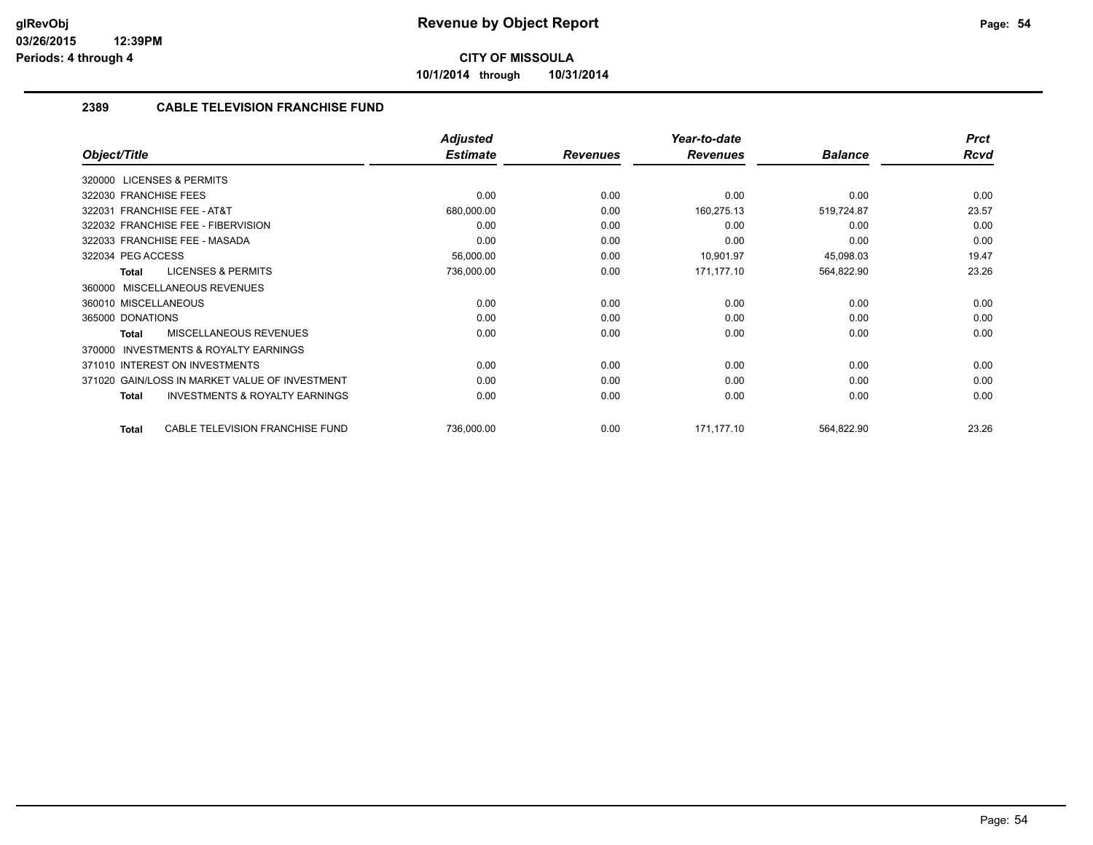**10/1/2014 through 10/31/2014**

### **2389 CABLE TELEVISION FRANCHISE FUND**

|                                                           | <b>Adjusted</b> |                 | Year-to-date    |                | <b>Prct</b> |
|-----------------------------------------------------------|-----------------|-----------------|-----------------|----------------|-------------|
| Object/Title                                              | <b>Estimate</b> | <b>Revenues</b> | <b>Revenues</b> | <b>Balance</b> | Rcvd        |
| 320000 LICENSES & PERMITS                                 |                 |                 |                 |                |             |
| 322030 FRANCHISE FEES                                     | 0.00            | 0.00            | 0.00            | 0.00           | 0.00        |
| 322031 FRANCHISE FEE - AT&T                               | 680,000.00      | 0.00            | 160,275.13      | 519,724.87     | 23.57       |
| 322032 FRANCHISE FEE - FIBERVISION                        | 0.00            | 0.00            | 0.00            | 0.00           | 0.00        |
| 322033 FRANCHISE FEE - MASADA                             | 0.00            | 0.00            | 0.00            | 0.00           | 0.00        |
| 322034 PEG ACCESS                                         | 56,000.00       | 0.00            | 10,901.97       | 45,098.03      | 19.47       |
| <b>LICENSES &amp; PERMITS</b><br><b>Total</b>             | 736,000.00      | 0.00            | 171,177.10      | 564,822.90     | 23.26       |
| MISCELLANEOUS REVENUES<br>360000                          |                 |                 |                 |                |             |
| 360010 MISCELLANEOUS                                      | 0.00            | 0.00            | 0.00            | 0.00           | 0.00        |
| 365000 DONATIONS                                          | 0.00            | 0.00            | 0.00            | 0.00           | 0.00        |
| MISCELLANEOUS REVENUES<br><b>Total</b>                    | 0.00            | 0.00            | 0.00            | 0.00           | 0.00        |
| <b>INVESTMENTS &amp; ROYALTY EARNINGS</b><br>370000       |                 |                 |                 |                |             |
| 371010 INTEREST ON INVESTMENTS                            | 0.00            | 0.00            | 0.00            | 0.00           | 0.00        |
| 371020 GAIN/LOSS IN MARKET VALUE OF INVESTMENT            | 0.00            | 0.00            | 0.00            | 0.00           | 0.00        |
| <b>INVESTMENTS &amp; ROYALTY EARNINGS</b><br><b>Total</b> | 0.00            | 0.00            | 0.00            | 0.00           | 0.00        |
| CABLE TELEVISION FRANCHISE FUND<br><b>Total</b>           | 736,000.00      | 0.00            | 171.177.10      | 564,822.90     | 23.26       |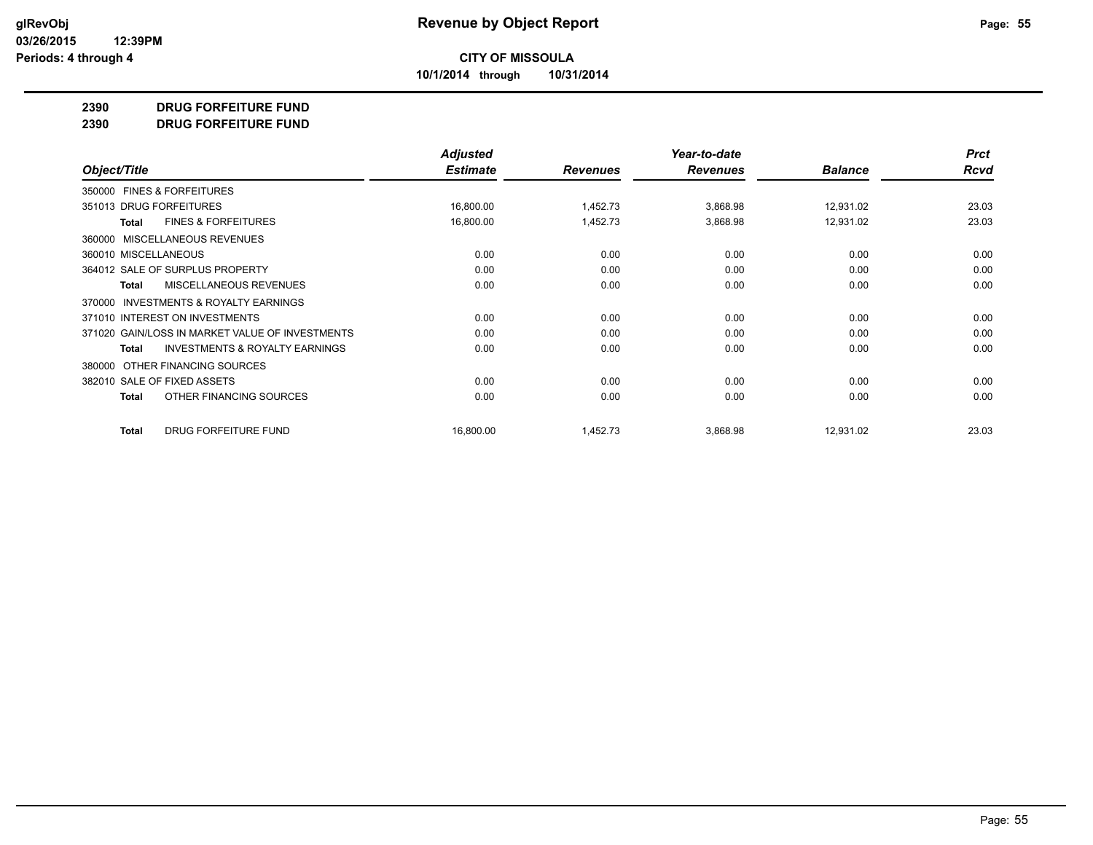**10/1/2014 through 10/31/2014**

#### **2390 DRUG FORFEITURE FUND**

**2390 DRUG FORFEITURE FUND**

|                                                    | <b>Adjusted</b> |                 | Year-to-date    |                | <b>Prct</b> |
|----------------------------------------------------|-----------------|-----------------|-----------------|----------------|-------------|
| Object/Title                                       | <b>Estimate</b> | <b>Revenues</b> | <b>Revenues</b> | <b>Balance</b> | Rcvd        |
| 350000 FINES & FORFEITURES                         |                 |                 |                 |                |             |
| 351013 DRUG FORFEITURES                            | 16,800.00       | 1,452.73        | 3,868.98        | 12,931.02      | 23.03       |
| <b>FINES &amp; FORFEITURES</b><br>Total            | 16,800.00       | 1,452.73        | 3,868.98        | 12,931.02      | 23.03       |
| MISCELLANEOUS REVENUES<br>360000                   |                 |                 |                 |                |             |
| 360010 MISCELLANEOUS                               | 0.00            | 0.00            | 0.00            | 0.00           | 0.00        |
| 364012 SALE OF SURPLUS PROPERTY                    | 0.00            | 0.00            | 0.00            | 0.00           | 0.00        |
| MISCELLANEOUS REVENUES<br><b>Total</b>             | 0.00            | 0.00            | 0.00            | 0.00           | 0.00        |
| INVESTMENTS & ROYALTY EARNINGS<br>370000           |                 |                 |                 |                |             |
| 371010 INTEREST ON INVESTMENTS                     | 0.00            | 0.00            | 0.00            | 0.00           | 0.00        |
| 371020 GAIN/LOSS IN MARKET VALUE OF INVESTMENTS    | 0.00            | 0.00            | 0.00            | 0.00           | 0.00        |
| <b>INVESTMENTS &amp; ROYALTY EARNINGS</b><br>Total | 0.00            | 0.00            | 0.00            | 0.00           | 0.00        |
| OTHER FINANCING SOURCES<br>380000                  |                 |                 |                 |                |             |
| 382010 SALE OF FIXED ASSETS                        | 0.00            | 0.00            | 0.00            | 0.00           | 0.00        |
| OTHER FINANCING SOURCES<br><b>Total</b>            | 0.00            | 0.00            | 0.00            | 0.00           | 0.00        |
| <b>DRUG FORFEITURE FUND</b><br><b>Total</b>        | 16,800.00       | 1,452.73        | 3,868.98        | 12,931.02      | 23.03       |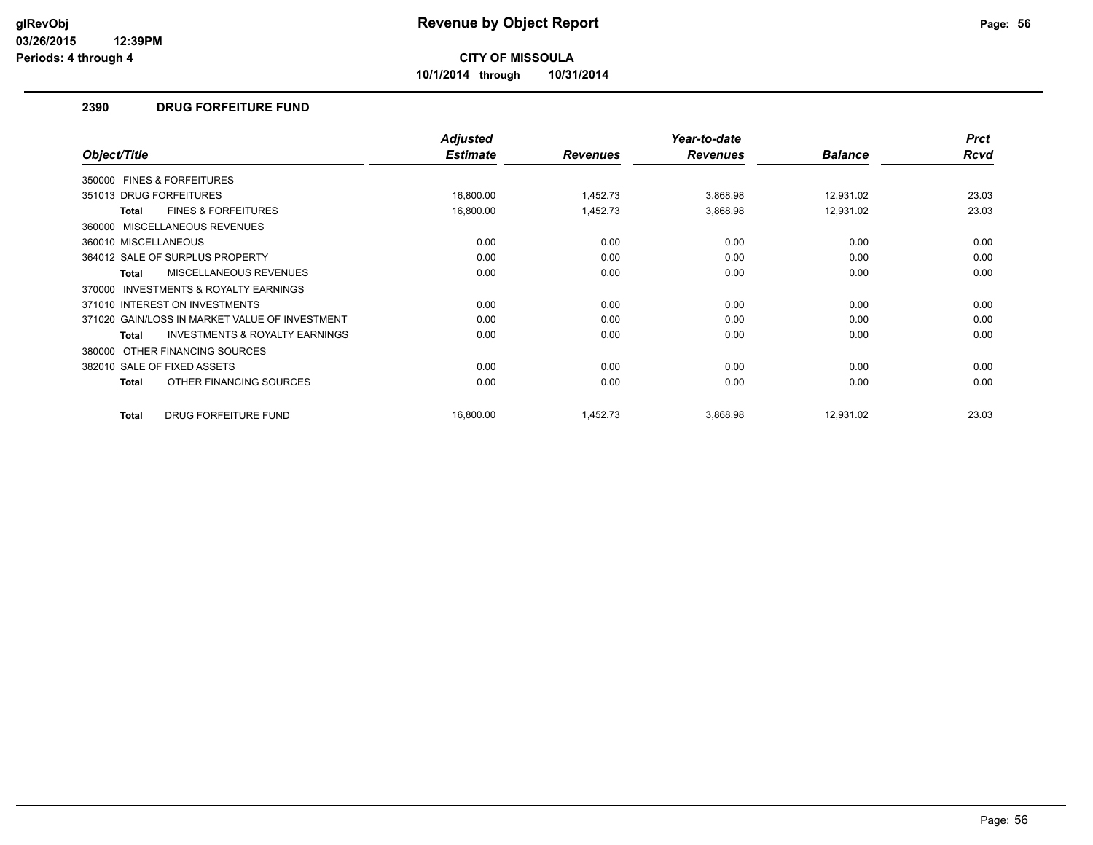**10/1/2014 through 10/31/2014**

### **2390 DRUG FORFEITURE FUND**

|                                                     | <b>Adjusted</b> |                 | Year-to-date    |                | <b>Prct</b> |
|-----------------------------------------------------|-----------------|-----------------|-----------------|----------------|-------------|
| Object/Title                                        | <b>Estimate</b> | <b>Revenues</b> | <b>Revenues</b> | <b>Balance</b> | <b>Rcvd</b> |
| 350000 FINES & FORFEITURES                          |                 |                 |                 |                |             |
| 351013 DRUG FORFEITURES                             | 16,800.00       | 1,452.73        | 3,868.98        | 12,931.02      | 23.03       |
| <b>FINES &amp; FORFEITURES</b><br><b>Total</b>      | 16,800.00       | 1,452.73        | 3,868.98        | 12,931.02      | 23.03       |
| 360000 MISCELLANEOUS REVENUES                       |                 |                 |                 |                |             |
| 360010 MISCELLANEOUS                                | 0.00            | 0.00            | 0.00            | 0.00           | 0.00        |
| 364012 SALE OF SURPLUS PROPERTY                     | 0.00            | 0.00            | 0.00            | 0.00           | 0.00        |
| <b>MISCELLANEOUS REVENUES</b><br>Total              | 0.00            | 0.00            | 0.00            | 0.00           | 0.00        |
| <b>INVESTMENTS &amp; ROYALTY EARNINGS</b><br>370000 |                 |                 |                 |                |             |
| 371010 INTEREST ON INVESTMENTS                      | 0.00            | 0.00            | 0.00            | 0.00           | 0.00        |
| 371020 GAIN/LOSS IN MARKET VALUE OF INVESTMENT      | 0.00            | 0.00            | 0.00            | 0.00           | 0.00        |
| <b>INVESTMENTS &amp; ROYALTY EARNINGS</b><br>Total  | 0.00            | 0.00            | 0.00            | 0.00           | 0.00        |
| OTHER FINANCING SOURCES<br>380000                   |                 |                 |                 |                |             |
| 382010 SALE OF FIXED ASSETS                         | 0.00            | 0.00            | 0.00            | 0.00           | 0.00        |
| OTHER FINANCING SOURCES<br>Total                    | 0.00            | 0.00            | 0.00            | 0.00           | 0.00        |
| DRUG FORFEITURE FUND<br><b>Total</b>                | 16,800.00       | 1,452.73        | 3,868.98        | 12,931.02      | 23.03       |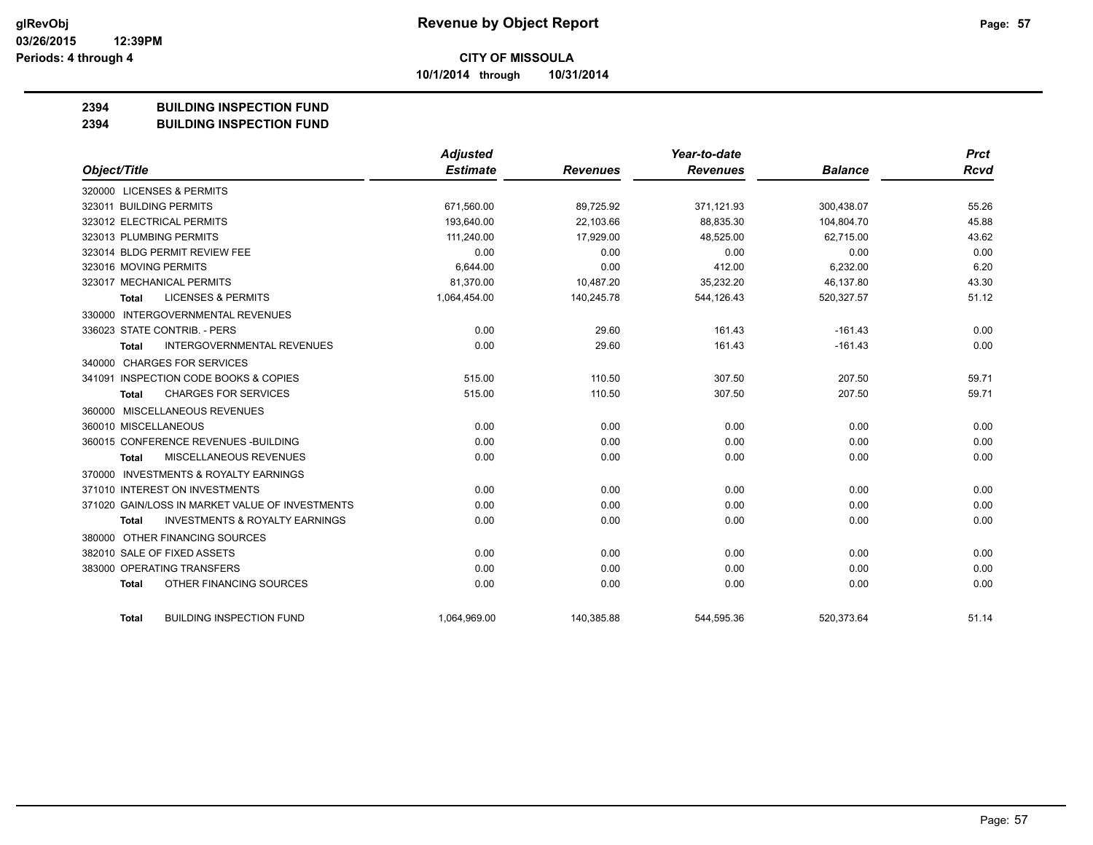**10/1/2014 through 10/31/2014**

### **2394 BUILDING INSPECTION FUND**

**2394 BUILDING INSPECTION FUND**

|                                                           | <b>Adjusted</b> |                 | Year-to-date    |                | <b>Prct</b> |
|-----------------------------------------------------------|-----------------|-----------------|-----------------|----------------|-------------|
| Object/Title                                              | <b>Estimate</b> | <b>Revenues</b> | <b>Revenues</b> | <b>Balance</b> | <b>Rcvd</b> |
| 320000 LICENSES & PERMITS                                 |                 |                 |                 |                |             |
| 323011 BUILDING PERMITS                                   | 671,560.00      | 89,725.92       | 371,121.93      | 300,438.07     | 55.26       |
| 323012 ELECTRICAL PERMITS                                 | 193,640.00      | 22,103.66       | 88,835.30       | 104,804.70     | 45.88       |
| 323013 PLUMBING PERMITS                                   | 111,240.00      | 17,929.00       | 48,525.00       | 62,715.00      | 43.62       |
| 323014 BLDG PERMIT REVIEW FEE                             | 0.00            | 0.00            | 0.00            | 0.00           | 0.00        |
| 323016 MOVING PERMITS                                     | 6,644.00        | 0.00            | 412.00          | 6,232.00       | 6.20        |
| 323017 MECHANICAL PERMITS                                 | 81,370.00       | 10,487.20       | 35,232.20       | 46,137.80      | 43.30       |
| <b>LICENSES &amp; PERMITS</b><br><b>Total</b>             | 1,064,454.00    | 140,245.78      | 544,126.43      | 520,327.57     | 51.12       |
| 330000 INTERGOVERNMENTAL REVENUES                         |                 |                 |                 |                |             |
| 336023 STATE CONTRIB. - PERS                              | 0.00            | 29.60           | 161.43          | $-161.43$      | 0.00        |
| <b>INTERGOVERNMENTAL REVENUES</b><br><b>Total</b>         | 0.00            | 29.60           | 161.43          | $-161.43$      | 0.00        |
| 340000 CHARGES FOR SERVICES                               |                 |                 |                 |                |             |
| 341091 INSPECTION CODE BOOKS & COPIES                     | 515.00          | 110.50          | 307.50          | 207.50         | 59.71       |
| <b>CHARGES FOR SERVICES</b><br><b>Total</b>               | 515.00          | 110.50          | 307.50          | 207.50         | 59.71       |
| 360000 MISCELLANEOUS REVENUES                             |                 |                 |                 |                |             |
| 360010 MISCELLANEOUS                                      | 0.00            | 0.00            | 0.00            | 0.00           | 0.00        |
| 360015 CONFERENCE REVENUES - BUILDING                     | 0.00            | 0.00            | 0.00            | 0.00           | 0.00        |
| MISCELLANEOUS REVENUES<br><b>Total</b>                    | 0.00            | 0.00            | 0.00            | 0.00           | 0.00        |
| 370000 INVESTMENTS & ROYALTY EARNINGS                     |                 |                 |                 |                |             |
| 371010 INTEREST ON INVESTMENTS                            | 0.00            | 0.00            | 0.00            | 0.00           | 0.00        |
| 371020 GAIN/LOSS IN MARKET VALUE OF INVESTMENTS           | 0.00            | 0.00            | 0.00            | 0.00           | 0.00        |
| <b>INVESTMENTS &amp; ROYALTY EARNINGS</b><br><b>Total</b> | 0.00            | 0.00            | 0.00            | 0.00           | 0.00        |
| 380000 OTHER FINANCING SOURCES                            |                 |                 |                 |                |             |
| 382010 SALE OF FIXED ASSETS                               | 0.00            | 0.00            | 0.00            | 0.00           | 0.00        |
| 383000 OPERATING TRANSFERS                                | 0.00            | 0.00            | 0.00            | 0.00           | 0.00        |
| OTHER FINANCING SOURCES<br><b>Total</b>                   | 0.00            | 0.00            | 0.00            | 0.00           | 0.00        |
| <b>BUILDING INSPECTION FUND</b><br><b>Total</b>           | 1,064,969.00    | 140,385.88      | 544,595.36      | 520,373.64     | 51.14       |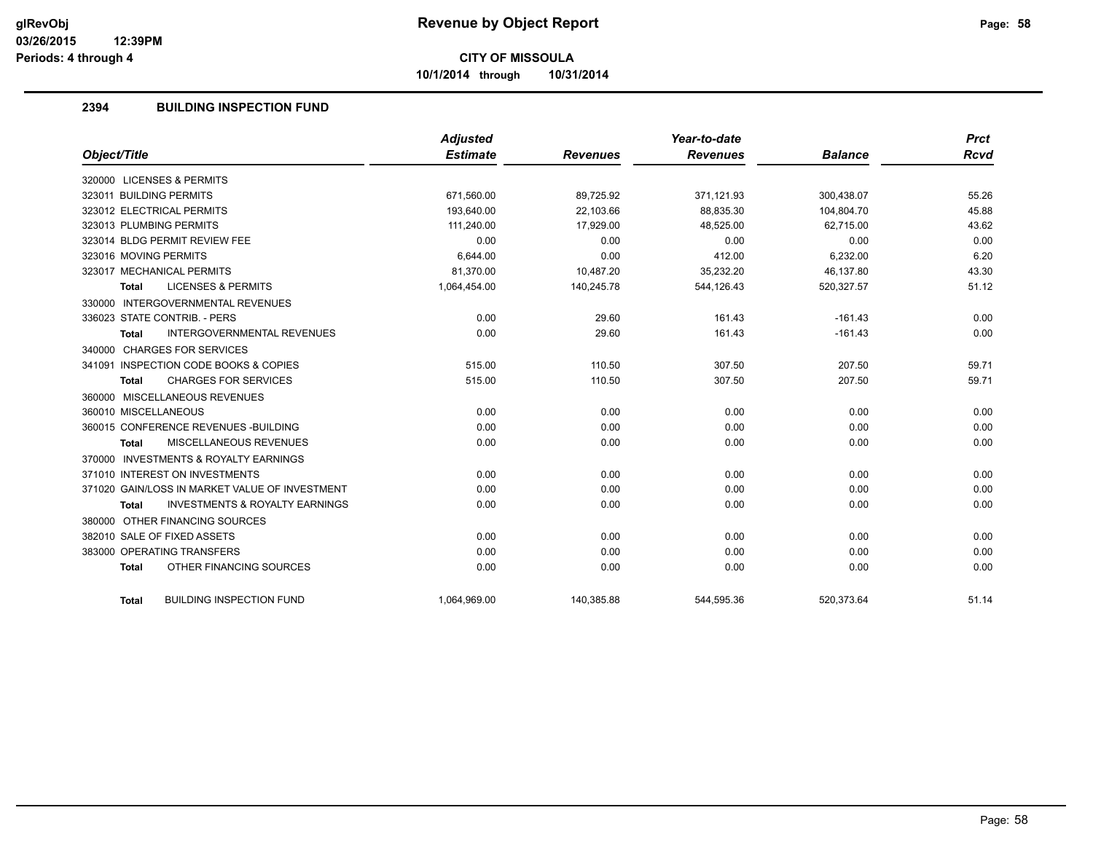**10/1/2014 through 10/31/2014**

## **2394 BUILDING INSPECTION FUND**

|                                                           | Adjusted        |                 | Year-to-date    |                | <b>Prct</b> |
|-----------------------------------------------------------|-----------------|-----------------|-----------------|----------------|-------------|
| Object/Title                                              | <b>Estimate</b> | <b>Revenues</b> | <b>Revenues</b> | <b>Balance</b> | Rcvd        |
| 320000 LICENSES & PERMITS                                 |                 |                 |                 |                |             |
| 323011 BUILDING PERMITS                                   | 671,560.00      | 89,725.92       | 371,121.93      | 300,438.07     | 55.26       |
| 323012 ELECTRICAL PERMITS                                 | 193.640.00      | 22.103.66       | 88.835.30       | 104.804.70     | 45.88       |
| 323013 PLUMBING PERMITS                                   | 111,240.00      | 17,929.00       | 48,525.00       | 62,715.00      | 43.62       |
| 323014 BLDG PERMIT REVIEW FEE                             | 0.00            | 0.00            | 0.00            | 0.00           | 0.00        |
| 323016 MOVING PERMITS                                     | 6.644.00        | 0.00            | 412.00          | 6,232.00       | 6.20        |
| 323017 MECHANICAL PERMITS                                 | 81,370.00       | 10,487.20       | 35,232.20       | 46,137.80      | 43.30       |
| <b>LICENSES &amp; PERMITS</b><br><b>Total</b>             | 1,064,454.00    | 140,245.78      | 544,126.43      | 520,327.57     | 51.12       |
| 330000 INTERGOVERNMENTAL REVENUES                         |                 |                 |                 |                |             |
| 336023 STATE CONTRIB. - PERS                              | 0.00            | 29.60           | 161.43          | $-161.43$      | 0.00        |
| <b>INTERGOVERNMENTAL REVENUES</b><br><b>Total</b>         | 0.00            | 29.60           | 161.43          | $-161.43$      | 0.00        |
| 340000 CHARGES FOR SERVICES                               |                 |                 |                 |                |             |
| 341091 INSPECTION CODE BOOKS & COPIES                     | 515.00          | 110.50          | 307.50          | 207.50         | 59.71       |
| <b>CHARGES FOR SERVICES</b><br><b>Total</b>               | 515.00          | 110.50          | 307.50          | 207.50         | 59.71       |
| 360000 MISCELLANEOUS REVENUES                             |                 |                 |                 |                |             |
| 360010 MISCELLANEOUS                                      | 0.00            | 0.00            | 0.00            | 0.00           | 0.00        |
| 360015 CONFERENCE REVENUES - BUILDING                     | 0.00            | 0.00            | 0.00            | 0.00           | 0.00        |
| MISCELLANEOUS REVENUES<br>Total                           | 0.00            | 0.00            | 0.00            | 0.00           | 0.00        |
| 370000 INVESTMENTS & ROYALTY EARNINGS                     |                 |                 |                 |                |             |
| 371010 INTEREST ON INVESTMENTS                            | 0.00            | 0.00            | 0.00            | 0.00           | 0.00        |
| 371020 GAIN/LOSS IN MARKET VALUE OF INVESTMENT            | 0.00            | 0.00            | 0.00            | 0.00           | 0.00        |
| <b>INVESTMENTS &amp; ROYALTY EARNINGS</b><br><b>Total</b> | 0.00            | 0.00            | 0.00            | 0.00           | 0.00        |
| 380000 OTHER FINANCING SOURCES                            |                 |                 |                 |                |             |
| 382010 SALE OF FIXED ASSETS                               | 0.00            | 0.00            | 0.00            | 0.00           | 0.00        |
| 383000 OPERATING TRANSFERS                                | 0.00            | 0.00            | 0.00            | 0.00           | 0.00        |
| OTHER FINANCING SOURCES<br><b>Total</b>                   | 0.00            | 0.00            | 0.00            | 0.00           | 0.00        |
|                                                           |                 |                 |                 |                |             |
| <b>BUILDING INSPECTION FUND</b><br>Total                  | 1,064,969.00    | 140,385.88      | 544,595.36      | 520,373.64     | 51.14       |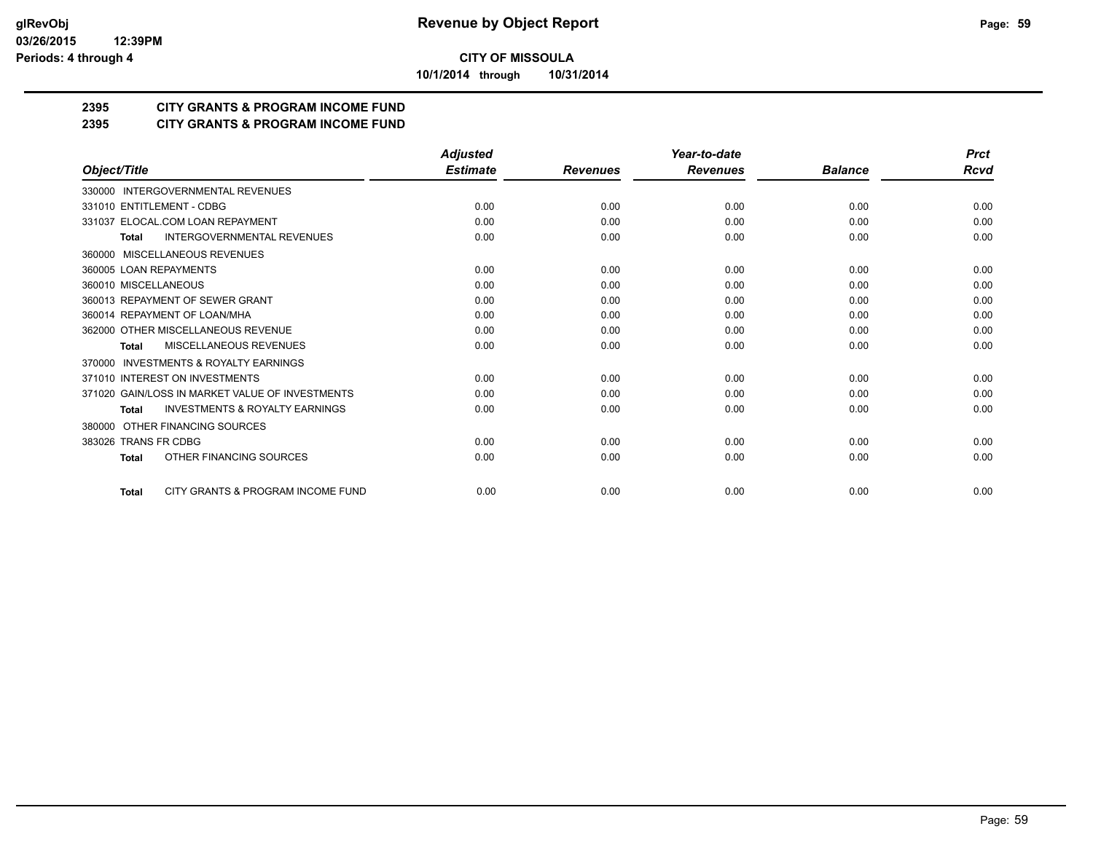**10/1/2014 through 10/31/2014**

## **2395 CITY GRANTS & PROGRAM INCOME FUND**

## **2395 CITY GRANTS & PROGRAM INCOME FUND**

|                                                           | <b>Adjusted</b> |                 | Year-to-date    |                | <b>Prct</b> |
|-----------------------------------------------------------|-----------------|-----------------|-----------------|----------------|-------------|
| Object/Title                                              | <b>Estimate</b> | <b>Revenues</b> | <b>Revenues</b> | <b>Balance</b> | Rcvd        |
| 330000 INTERGOVERNMENTAL REVENUES                         |                 |                 |                 |                |             |
| 331010 ENTITLEMENT - CDBG                                 | 0.00            | 0.00            | 0.00            | 0.00           | 0.00        |
| 331037 ELOCAL.COM LOAN REPAYMENT                          | 0.00            | 0.00            | 0.00            | 0.00           | 0.00        |
| <b>INTERGOVERNMENTAL REVENUES</b><br><b>Total</b>         | 0.00            | 0.00            | 0.00            | 0.00           | 0.00        |
| MISCELLANEOUS REVENUES<br>360000                          |                 |                 |                 |                |             |
| 360005 LOAN REPAYMENTS                                    | 0.00            | 0.00            | 0.00            | 0.00           | 0.00        |
| 360010 MISCELLANEOUS                                      | 0.00            | 0.00            | 0.00            | 0.00           | 0.00        |
| 360013 REPAYMENT OF SEWER GRANT                           | 0.00            | 0.00            | 0.00            | 0.00           | 0.00        |
| 360014 REPAYMENT OF LOAN/MHA                              | 0.00            | 0.00            | 0.00            | 0.00           | 0.00        |
| 362000 OTHER MISCELLANEOUS REVENUE                        | 0.00            | 0.00            | 0.00            | 0.00           | 0.00        |
| <b>MISCELLANEOUS REVENUES</b><br><b>Total</b>             | 0.00            | 0.00            | 0.00            | 0.00           | 0.00        |
| INVESTMENTS & ROYALTY EARNINGS<br>370000                  |                 |                 |                 |                |             |
| 371010 INTEREST ON INVESTMENTS                            | 0.00            | 0.00            | 0.00            | 0.00           | 0.00        |
| 371020 GAIN/LOSS IN MARKET VALUE OF INVESTMENTS           | 0.00            | 0.00            | 0.00            | 0.00           | 0.00        |
| <b>INVESTMENTS &amp; ROYALTY EARNINGS</b><br><b>Total</b> | 0.00            | 0.00            | 0.00            | 0.00           | 0.00        |
| OTHER FINANCING SOURCES<br>380000                         |                 |                 |                 |                |             |
| 383026 TRANS FR CDBG                                      | 0.00            | 0.00            | 0.00            | 0.00           | 0.00        |
| OTHER FINANCING SOURCES<br><b>Total</b>                   | 0.00            | 0.00            | 0.00            | 0.00           | 0.00        |
| CITY GRANTS & PROGRAM INCOME FUND<br><b>Total</b>         | 0.00            | 0.00            | 0.00            | 0.00           | 0.00        |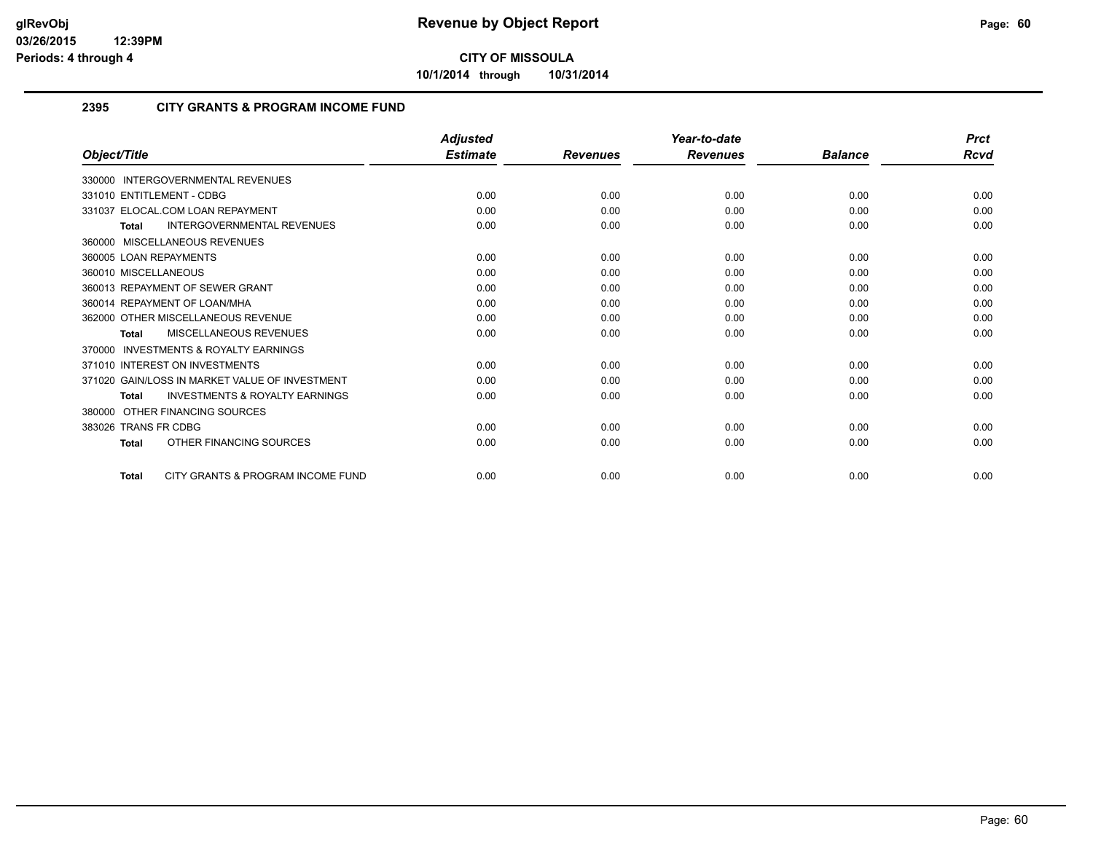**10/1/2014 through 10/31/2014**

### **2395 CITY GRANTS & PROGRAM INCOME FUND**

|                                                           | <b>Adjusted</b> |                 | Year-to-date    |                | <b>Prct</b> |
|-----------------------------------------------------------|-----------------|-----------------|-----------------|----------------|-------------|
| Object/Title                                              | <b>Estimate</b> | <b>Revenues</b> | <b>Revenues</b> | <b>Balance</b> | <b>Rcvd</b> |
| 330000 INTERGOVERNMENTAL REVENUES                         |                 |                 |                 |                |             |
| 331010 ENTITLEMENT - CDBG                                 | 0.00            | 0.00            | 0.00            | 0.00           | 0.00        |
| 331037 ELOCAL.COM LOAN REPAYMENT                          | 0.00            | 0.00            | 0.00            | 0.00           | 0.00        |
| <b>INTERGOVERNMENTAL REVENUES</b><br><b>Total</b>         | 0.00            | 0.00            | 0.00            | 0.00           | 0.00        |
| 360000 MISCELLANEOUS REVENUES                             |                 |                 |                 |                |             |
| 360005 LOAN REPAYMENTS                                    | 0.00            | 0.00            | 0.00            | 0.00           | 0.00        |
| 360010 MISCELLANEOUS                                      | 0.00            | 0.00            | 0.00            | 0.00           | 0.00        |
| 360013 REPAYMENT OF SEWER GRANT                           | 0.00            | 0.00            | 0.00            | 0.00           | 0.00        |
| 360014 REPAYMENT OF LOAN/MHA                              | 0.00            | 0.00            | 0.00            | 0.00           | 0.00        |
| 362000 OTHER MISCELLANEOUS REVENUE                        | 0.00            | 0.00            | 0.00            | 0.00           | 0.00        |
| MISCELLANEOUS REVENUES<br><b>Total</b>                    | 0.00            | 0.00            | 0.00            | 0.00           | 0.00        |
| <b>INVESTMENTS &amp; ROYALTY EARNINGS</b><br>370000       |                 |                 |                 |                |             |
| 371010 INTEREST ON INVESTMENTS                            | 0.00            | 0.00            | 0.00            | 0.00           | 0.00        |
| 371020 GAIN/LOSS IN MARKET VALUE OF INVESTMENT            | 0.00            | 0.00            | 0.00            | 0.00           | 0.00        |
| <b>INVESTMENTS &amp; ROYALTY EARNINGS</b><br><b>Total</b> | 0.00            | 0.00            | 0.00            | 0.00           | 0.00        |
| OTHER FINANCING SOURCES<br>380000                         |                 |                 |                 |                |             |
| 383026 TRANS FR CDBG                                      | 0.00            | 0.00            | 0.00            | 0.00           | 0.00        |
| OTHER FINANCING SOURCES<br><b>Total</b>                   | 0.00            | 0.00            | 0.00            | 0.00           | 0.00        |
| CITY GRANTS & PROGRAM INCOME FUND<br>Total                | 0.00            | 0.00            | 0.00            | 0.00           | 0.00        |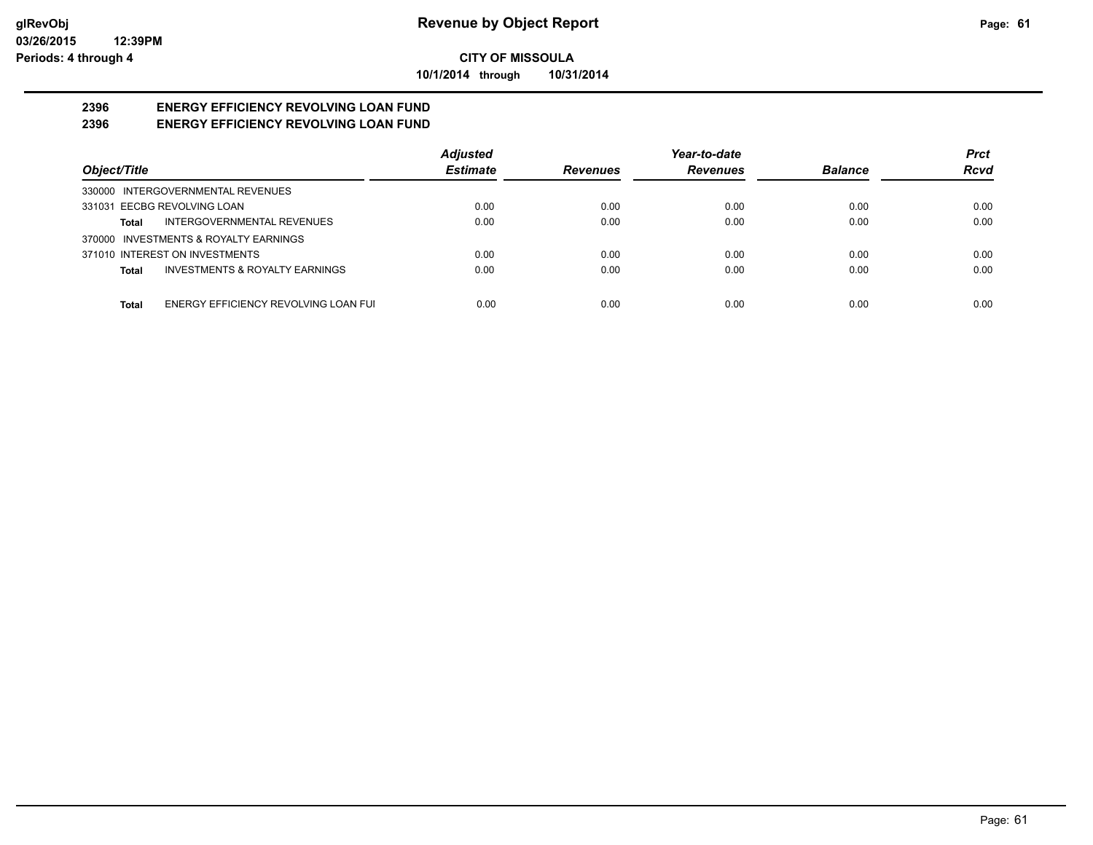**10/1/2014 through 10/31/2014**

#### **2396 ENERGY EFFICIENCY REVOLVING LOAN FUND 2396 ENERGY EFFICIENCY REVOLVING LOAN FUND**

|                                                    | <b>Adjusted</b> |                 | Year-to-date    |                | <b>Prct</b> |
|----------------------------------------------------|-----------------|-----------------|-----------------|----------------|-------------|
| Object/Title                                       | <b>Estimate</b> | <b>Revenues</b> | <b>Revenues</b> | <b>Balance</b> | <b>Rcvd</b> |
| 330000 INTERGOVERNMENTAL REVENUES                  |                 |                 |                 |                |             |
| 331031 EECBG REVOLVING LOAN                        | 0.00            | 0.00            | 0.00            | 0.00           | 0.00        |
| INTERGOVERNMENTAL REVENUES<br>Total                | 0.00            | 0.00            | 0.00            | 0.00           | 0.00        |
| 370000 INVESTMENTS & ROYALTY EARNINGS              |                 |                 |                 |                |             |
| 371010 INTEREST ON INVESTMENTS                     | 0.00            | 0.00            | 0.00            | 0.00           | 0.00        |
| <b>INVESTMENTS &amp; ROYALTY EARNINGS</b><br>Total | 0.00            | 0.00            | 0.00            | 0.00           | 0.00        |
|                                                    |                 |                 |                 |                |             |
| ENERGY EFFICIENCY REVOLVING LOAN FUI<br>Total      | 0.00            | 0.00            | 0.00            | 0.00           | 0.00        |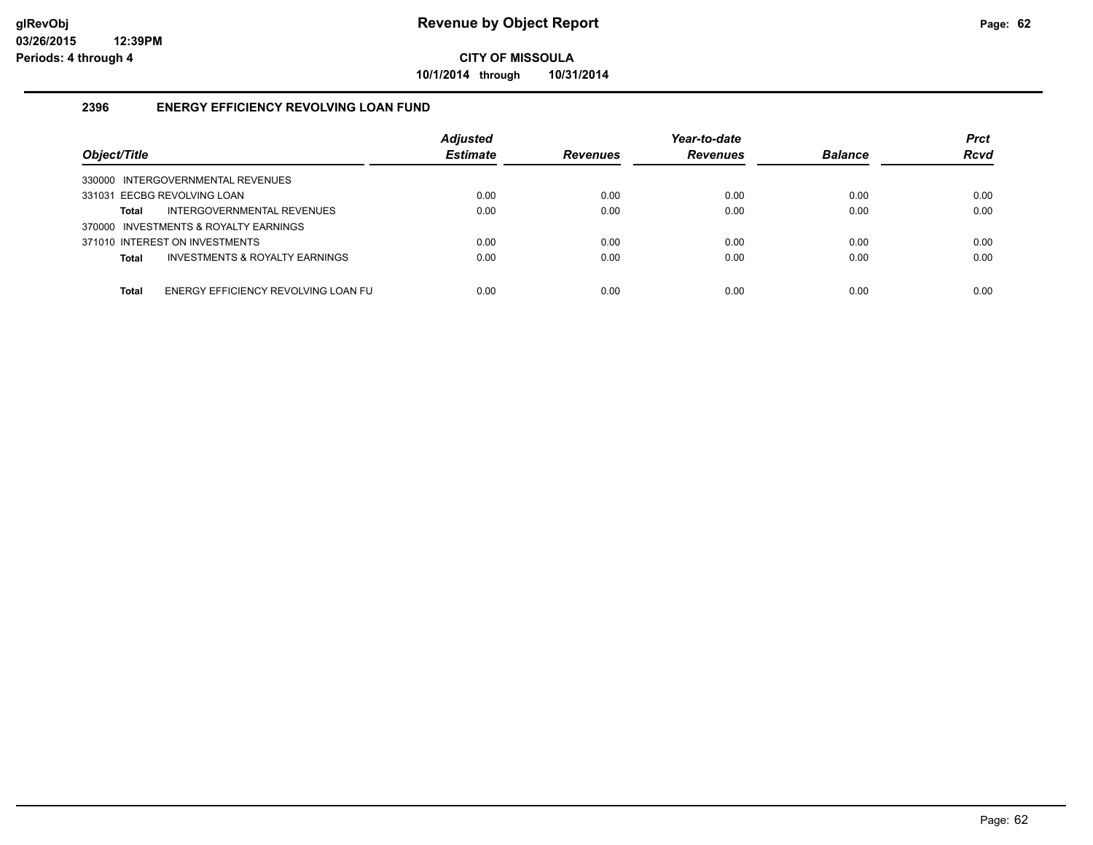**10/1/2014 through 10/31/2014**

### **2396 ENERGY EFFICIENCY REVOLVING LOAN FUND**

| Object/Title                                   | <b>Adjusted</b><br><b>Estimate</b> | <b>Revenues</b> | Year-to-date<br><b>Revenues</b> | <b>Balance</b> | <b>Prct</b><br><b>Rcvd</b> |
|------------------------------------------------|------------------------------------|-----------------|---------------------------------|----------------|----------------------------|
| 330000 INTERGOVERNMENTAL REVENUES              |                                    |                 |                                 |                |                            |
| 331031 EECBG REVOLVING LOAN                    | 0.00                               | 0.00            | 0.00                            | 0.00           | 0.00                       |
| INTERGOVERNMENTAL REVENUES<br>Total            | 0.00                               | 0.00            | 0.00                            | 0.00           | 0.00                       |
| 370000 INVESTMENTS & ROYALTY EARNINGS          |                                    |                 |                                 |                |                            |
| 371010 INTEREST ON INVESTMENTS                 | 0.00                               | 0.00            | 0.00                            | 0.00           | 0.00                       |
| INVESTMENTS & ROYALTY EARNINGS<br><b>Total</b> | 0.00                               | 0.00            | 0.00                            | 0.00           | 0.00                       |
|                                                |                                    |                 |                                 |                |                            |
| ENERGY EFFICIENCY REVOLVING LOAN FU<br>Total   | 0.00                               | 0.00            | 0.00                            | 0.00           | 0.00                       |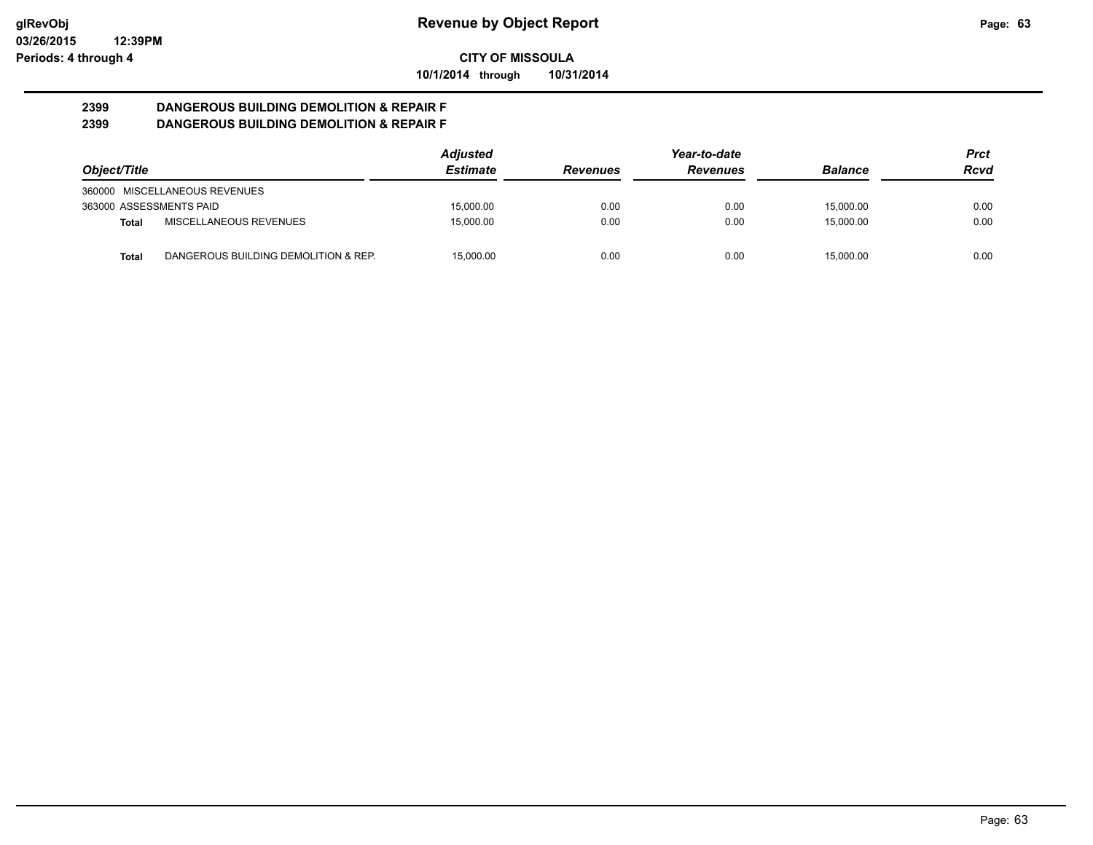**10/1/2014 through 10/31/2014**

#### **2399 DANGEROUS BUILDING DEMOLITION & REPAIR F 2399 DANGEROUS BUILDING DEMOLITION & REPAIR F**

|                         |                                      | <b>Adjusted</b> |                 | Year-to-date    |                | Prct |
|-------------------------|--------------------------------------|-----------------|-----------------|-----------------|----------------|------|
| Object/Title            |                                      | <b>Estimate</b> | <b>Revenues</b> | <b>Revenues</b> | <b>Balance</b> | Rcvd |
|                         | 360000 MISCELLANEOUS REVENUES        |                 |                 |                 |                |      |
| 363000 ASSESSMENTS PAID |                                      | 15.000.00       | 0.00            | 0.00            | 15.000.00      | 0.00 |
| Total                   | MISCELLANEOUS REVENUES               | 15.000.00       | 0.00            | 0.00            | 15.000.00      | 0.00 |
| Total                   | DANGEROUS BUILDING DEMOLITION & REP. | 15.000.00       | 0.00            | 0.00            | 15.000.00      | 0.00 |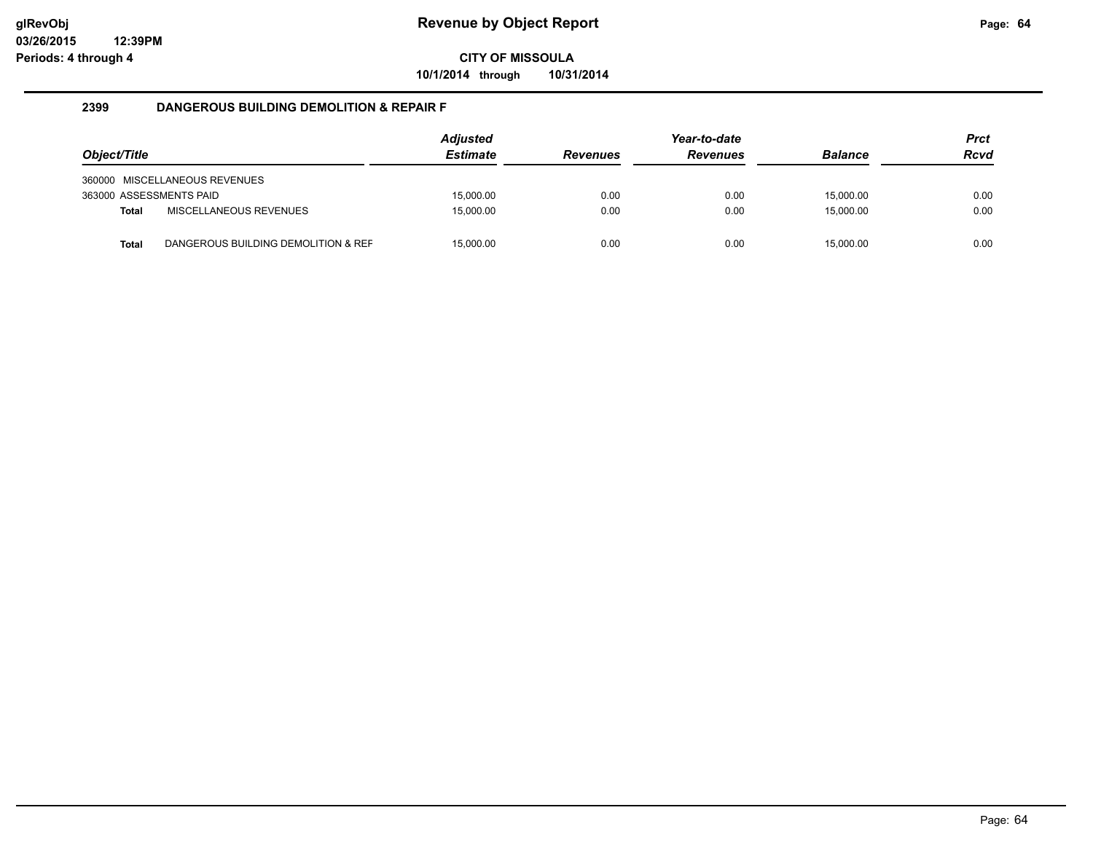**10/1/2014 through 10/31/2014**

#### **2399 DANGEROUS BUILDING DEMOLITION & REPAIR F**

| Object/Title            |                                     | <b>Adjusted</b><br><b>Estimate</b> | <b>Revenues</b> | Year-to-date<br><b>Revenues</b> | <b>Balance</b> | <b>Prct</b><br><b>Rcvd</b> |
|-------------------------|-------------------------------------|------------------------------------|-----------------|---------------------------------|----------------|----------------------------|
|                         | 360000 MISCELLANEOUS REVENUES       |                                    |                 |                                 |                |                            |
| 363000 ASSESSMENTS PAID |                                     | 15.000.00                          | 0.00            | 0.00                            | 15.000.00      | 0.00                       |
| <b>Total</b>            | MISCELLANEOUS REVENUES              | 15.000.00                          | 0.00            | 0.00                            | 15.000.00      | 0.00                       |
| Total                   | DANGEROUS BUILDING DEMOLITION & REF | 15.000.00                          | 0.00            | 0.00                            | 15.000.00      | 0.00                       |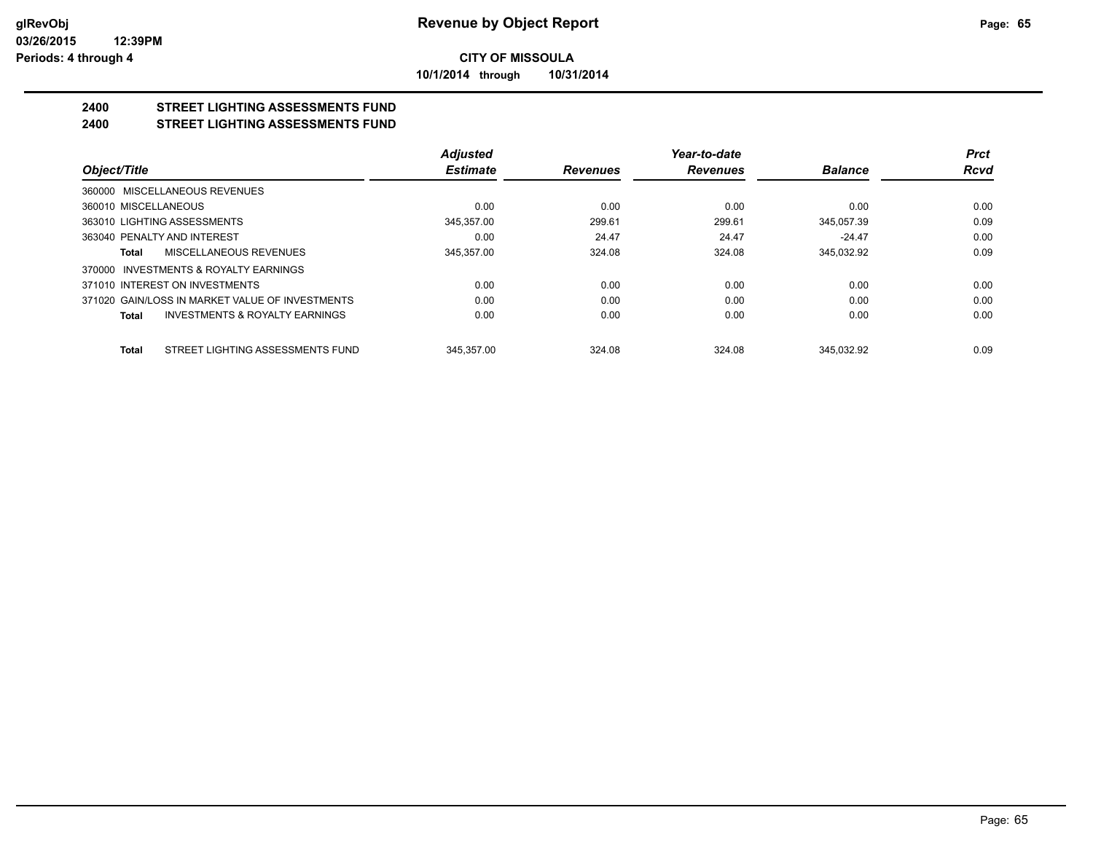**10/1/2014 through 10/31/2014**

#### **2400 STREET LIGHTING ASSESSMENTS FUND 2400 STREET LIGHTING ASSESSMENTS FUND**

|                                                    | <b>Adjusted</b> |                 | Year-to-date    |                | <b>Prct</b> |
|----------------------------------------------------|-----------------|-----------------|-----------------|----------------|-------------|
| Object/Title                                       | <b>Estimate</b> | <b>Revenues</b> | <b>Revenues</b> | <b>Balance</b> | <b>Rcvd</b> |
| 360000 MISCELLANEOUS REVENUES                      |                 |                 |                 |                |             |
| 360010 MISCELLANEOUS                               | 0.00            | 0.00            | 0.00            | 0.00           | 0.00        |
| 363010 LIGHTING ASSESSMENTS                        | 345.357.00      | 299.61          | 299.61          | 345.057.39     | 0.09        |
| 363040 PENALTY AND INTEREST                        | 0.00            | 24.47           | 24.47           | $-24.47$       | 0.00        |
| MISCELLANEOUS REVENUES<br>Total                    | 345.357.00      | 324.08          | 324.08          | 345.032.92     | 0.09        |
| INVESTMENTS & ROYALTY EARNINGS<br>370000           |                 |                 |                 |                |             |
| 371010 INTEREST ON INVESTMENTS                     | 0.00            | 0.00            | 0.00            | 0.00           | 0.00        |
| 371020 GAIN/LOSS IN MARKET VALUE OF INVESTMENTS    | 0.00            | 0.00            | 0.00            | 0.00           | 0.00        |
| <b>INVESTMENTS &amp; ROYALTY EARNINGS</b><br>Total | 0.00            | 0.00            | 0.00            | 0.00           | 0.00        |
| STREET LIGHTING ASSESSMENTS FUND<br>Total          | 345.357.00      | 324.08          | 324.08          | 345.032.92     | 0.09        |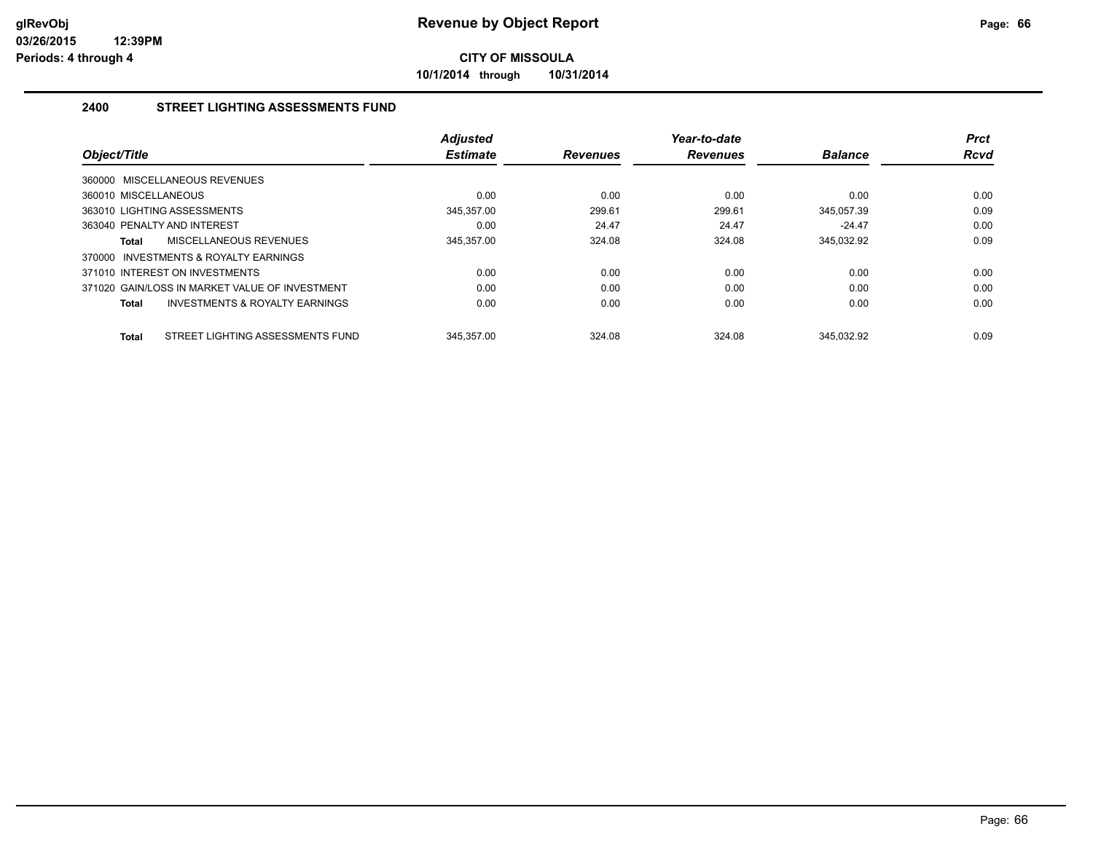**10/1/2014 through 10/31/2014**

### **2400 STREET LIGHTING ASSESSMENTS FUND**

| Object/Title                                       | <b>Adjusted</b><br><b>Estimate</b> | <b>Revenues</b> | Year-to-date<br><b>Revenues</b> | <b>Balance</b> | <b>Prct</b><br><b>Rcvd</b> |
|----------------------------------------------------|------------------------------------|-----------------|---------------------------------|----------------|----------------------------|
| 360000 MISCELLANEOUS REVENUES                      |                                    |                 |                                 |                |                            |
| 360010 MISCELLANEOUS                               | 0.00                               | 0.00            | 0.00                            | 0.00           | 0.00                       |
| 363010 LIGHTING ASSESSMENTS                        | 345.357.00                         | 299.61          | 299.61                          | 345.057.39     | 0.09                       |
| 363040 PENALTY AND INTEREST                        | 0.00                               | 24.47           | 24.47                           | $-24.47$       | 0.00                       |
| MISCELLANEOUS REVENUES<br>Total                    | 345.357.00                         | 324.08          | 324.08                          | 345.032.92     | 0.09                       |
| 370000 INVESTMENTS & ROYALTY EARNINGS              |                                    |                 |                                 |                |                            |
| 371010 INTEREST ON INVESTMENTS                     | 0.00                               | 0.00            | 0.00                            | 0.00           | 0.00                       |
| 371020 GAIN/LOSS IN MARKET VALUE OF INVESTMENT     | 0.00                               | 0.00            | 0.00                            | 0.00           | 0.00                       |
| <b>INVESTMENTS &amp; ROYALTY EARNINGS</b><br>Total | 0.00                               | 0.00            | 0.00                            | 0.00           | 0.00                       |
| STREET LIGHTING ASSESSMENTS FUND<br><b>Total</b>   | 345.357.00                         | 324.08          | 324.08                          | 345.032.92     | 0.09                       |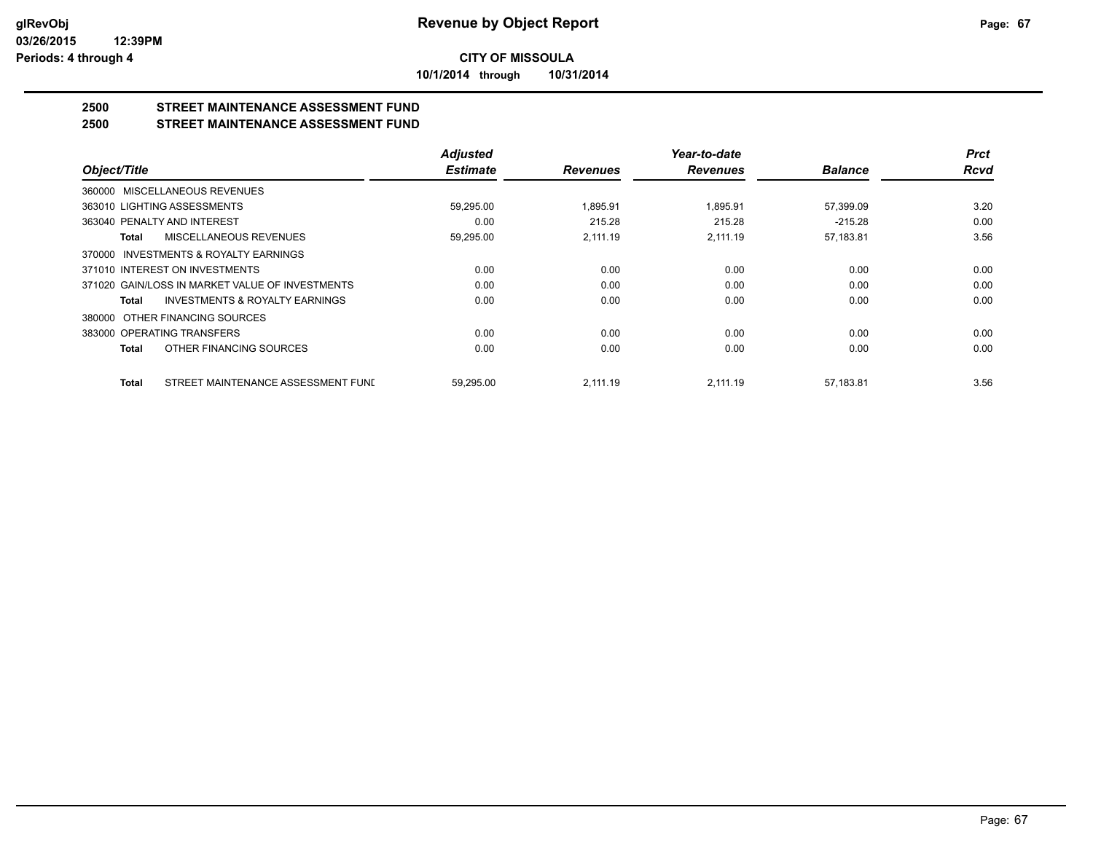**10/1/2014 through 10/31/2014**

# **2500 STREET MAINTENANCE ASSESSMENT FUND**

## **2500 STREET MAINTENANCE ASSESSMENT FUND**

|                                                           | <b>Adjusted</b> |                 | Year-to-date    |                | <b>Prct</b> |
|-----------------------------------------------------------|-----------------|-----------------|-----------------|----------------|-------------|
| Object/Title                                              | <b>Estimate</b> | <b>Revenues</b> | <b>Revenues</b> | <b>Balance</b> | <b>Rcvd</b> |
| 360000 MISCELLANEOUS REVENUES                             |                 |                 |                 |                |             |
| 363010 LIGHTING ASSESSMENTS                               | 59,295.00       | 1,895.91        | 1,895.91        | 57,399.09      | 3.20        |
| 363040 PENALTY AND INTEREST                               | 0.00            | 215.28          | 215.28          | $-215.28$      | 0.00        |
| <b>MISCELLANEOUS REVENUES</b><br><b>Total</b>             | 59,295.00       | 2.111.19        | 2,111.19        | 57,183.81      | 3.56        |
| 370000 INVESTMENTS & ROYALTY EARNINGS                     |                 |                 |                 |                |             |
| 371010 INTEREST ON INVESTMENTS                            | 0.00            | 0.00            | 0.00            | 0.00           | 0.00        |
| 371020 GAIN/LOSS IN MARKET VALUE OF INVESTMENTS           | 0.00            | 0.00            | 0.00            | 0.00           | 0.00        |
| <b>INVESTMENTS &amp; ROYALTY EARNINGS</b><br><b>Total</b> | 0.00            | 0.00            | 0.00            | 0.00           | 0.00        |
| OTHER FINANCING SOURCES<br>380000                         |                 |                 |                 |                |             |
| 383000 OPERATING TRANSFERS                                | 0.00            | 0.00            | 0.00            | 0.00           | 0.00        |
| OTHER FINANCING SOURCES<br><b>Total</b>                   | 0.00            | 0.00            | 0.00            | 0.00           | 0.00        |
| STREET MAINTENANCE ASSESSMENT FUNI<br><b>Total</b>        | 59.295.00       | 2.111.19        | 2.111.19        | 57.183.81      | 3.56        |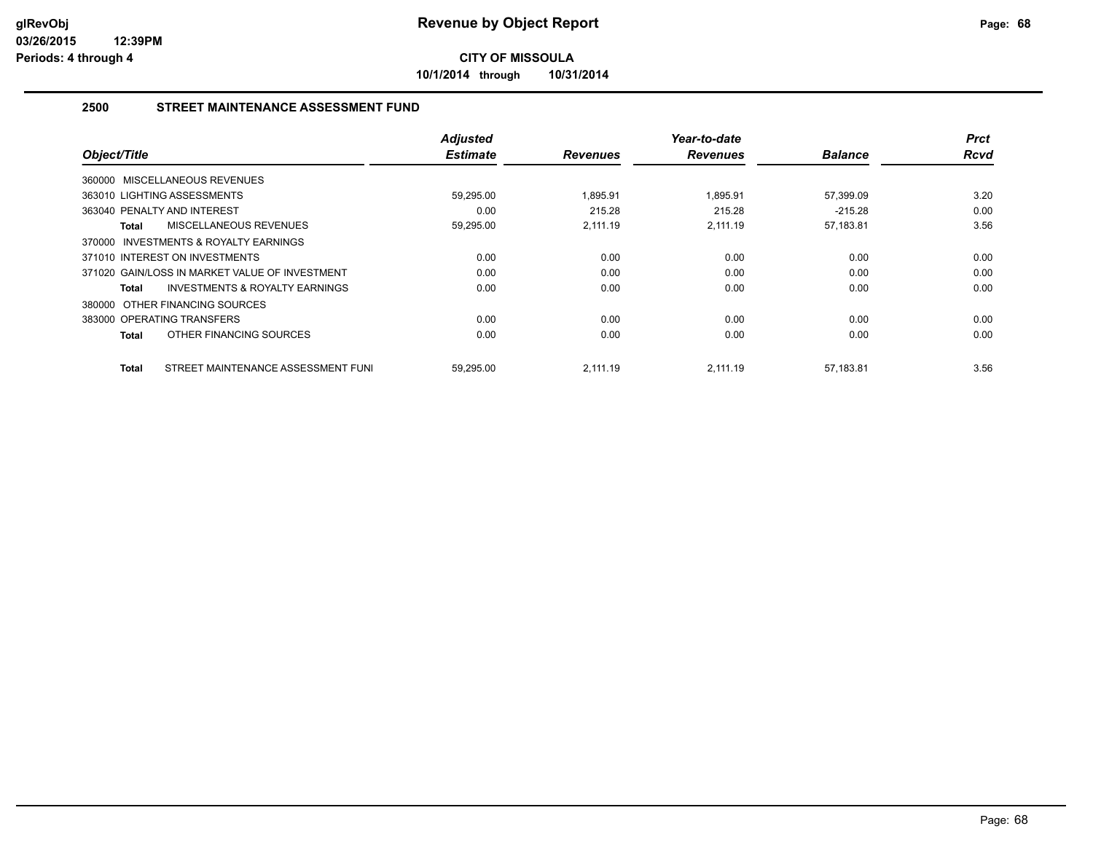**10/1/2014 through 10/31/2014**

### **2500 STREET MAINTENANCE ASSESSMENT FUND**

| Object/Title                                       | <b>Adjusted</b><br><b>Estimate</b> | <b>Revenues</b> | Year-to-date<br><b>Revenues</b> | <b>Balance</b> | <b>Prct</b><br><b>Rcvd</b> |
|----------------------------------------------------|------------------------------------|-----------------|---------------------------------|----------------|----------------------------|
| 360000 MISCELLANEOUS REVENUES                      |                                    |                 |                                 |                |                            |
| 363010 LIGHTING ASSESSMENTS                        | 59,295.00                          | 1.895.91        | 1.895.91                        | 57,399.09      | 3.20                       |
| 363040 PENALTY AND INTEREST                        | 0.00                               | 215.28          | 215.28                          | $-215.28$      | 0.00                       |
| <b>MISCELLANEOUS REVENUES</b><br>Total             | 59,295.00                          | 2.111.19        | 2.111.19                        | 57,183.81      | 3.56                       |
| 370000 INVESTMENTS & ROYALTY EARNINGS              |                                    |                 |                                 |                |                            |
| 371010 INTEREST ON INVESTMENTS                     | 0.00                               | 0.00            | 0.00                            | 0.00           | 0.00                       |
| 371020 GAIN/LOSS IN MARKET VALUE OF INVESTMENT     | 0.00                               | 0.00            | 0.00                            | 0.00           | 0.00                       |
| <b>INVESTMENTS &amp; ROYALTY EARNINGS</b><br>Total | 0.00                               | 0.00            | 0.00                            | 0.00           | 0.00                       |
| 380000 OTHER FINANCING SOURCES                     |                                    |                 |                                 |                |                            |
| 383000 OPERATING TRANSFERS                         | 0.00                               | 0.00            | 0.00                            | 0.00           | 0.00                       |
| OTHER FINANCING SOURCES<br><b>Total</b>            | 0.00                               | 0.00            | 0.00                            | 0.00           | 0.00                       |
| STREET MAINTENANCE ASSESSMENT FUNI<br>Total        | 59,295.00                          | 2,111.19        | 2.111.19                        | 57,183.81      | 3.56                       |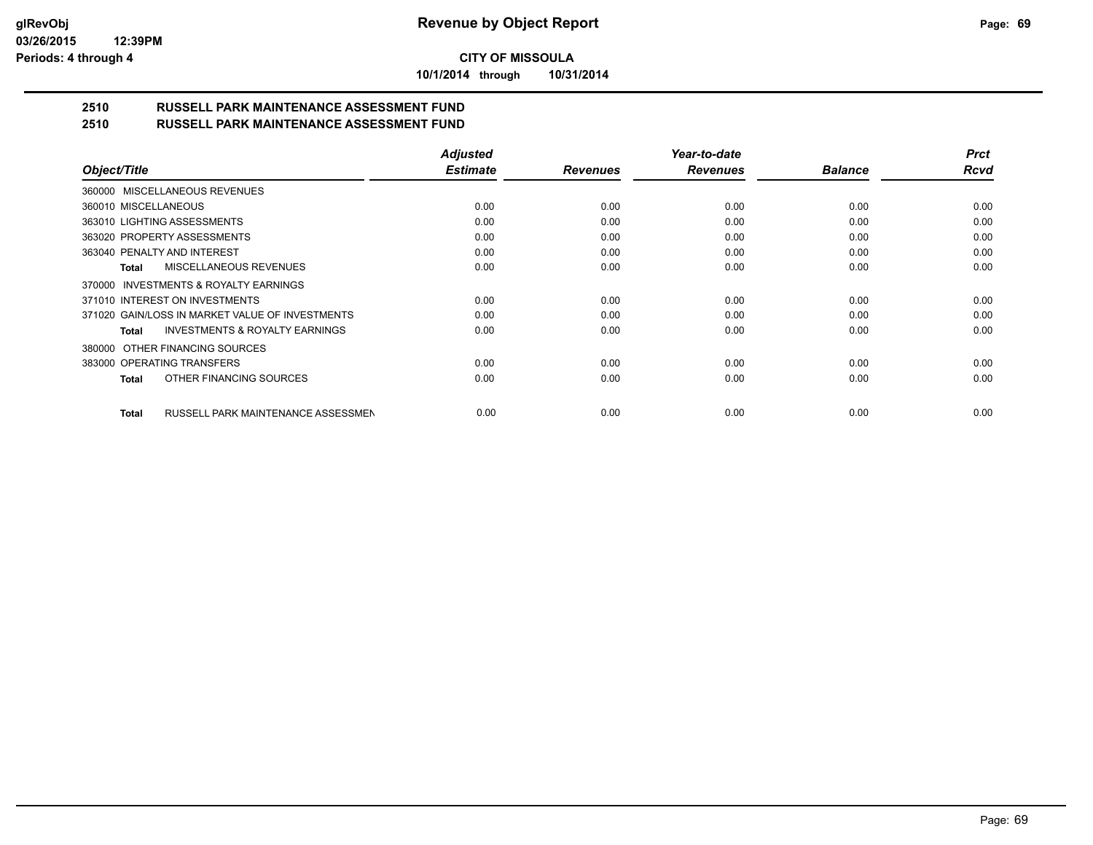**10/1/2014 through 10/31/2014**

#### **2510 RUSSELL PARK MAINTENANCE ASSESSMENT FUND 2510 RUSSELL PARK MAINTENANCE ASSESSMENT FUND**

|                                                           | <b>Adjusted</b> |                 | Year-to-date    |                | <b>Prct</b> |
|-----------------------------------------------------------|-----------------|-----------------|-----------------|----------------|-------------|
| Object/Title                                              | <b>Estimate</b> | <b>Revenues</b> | <b>Revenues</b> | <b>Balance</b> | <b>Rcvd</b> |
| 360000 MISCELLANEOUS REVENUES                             |                 |                 |                 |                |             |
| 360010 MISCELLANEOUS                                      | 0.00            | 0.00            | 0.00            | 0.00           | 0.00        |
| 363010 LIGHTING ASSESSMENTS                               | 0.00            | 0.00            | 0.00            | 0.00           | 0.00        |
| 363020 PROPERTY ASSESSMENTS                               | 0.00            | 0.00            | 0.00            | 0.00           | 0.00        |
| 363040 PENALTY AND INTEREST                               | 0.00            | 0.00            | 0.00            | 0.00           | 0.00        |
| <b>MISCELLANEOUS REVENUES</b><br><b>Total</b>             | 0.00            | 0.00            | 0.00            | 0.00           | 0.00        |
| 370000 INVESTMENTS & ROYALTY EARNINGS                     |                 |                 |                 |                |             |
| 371010 INTEREST ON INVESTMENTS                            | 0.00            | 0.00            | 0.00            | 0.00           | 0.00        |
| 371020 GAIN/LOSS IN MARKET VALUE OF INVESTMENTS           | 0.00            | 0.00            | 0.00            | 0.00           | 0.00        |
| <b>INVESTMENTS &amp; ROYALTY EARNINGS</b><br><b>Total</b> | 0.00            | 0.00            | 0.00            | 0.00           | 0.00        |
| OTHER FINANCING SOURCES<br>380000                         |                 |                 |                 |                |             |
| 383000 OPERATING TRANSFERS                                | 0.00            | 0.00            | 0.00            | 0.00           | 0.00        |
| OTHER FINANCING SOURCES<br><b>Total</b>                   | 0.00            | 0.00            | 0.00            | 0.00           | 0.00        |
| RUSSELL PARK MAINTENANCE ASSESSMEN<br><b>Total</b>        | 0.00            | 0.00            | 0.00            | 0.00           | 0.00        |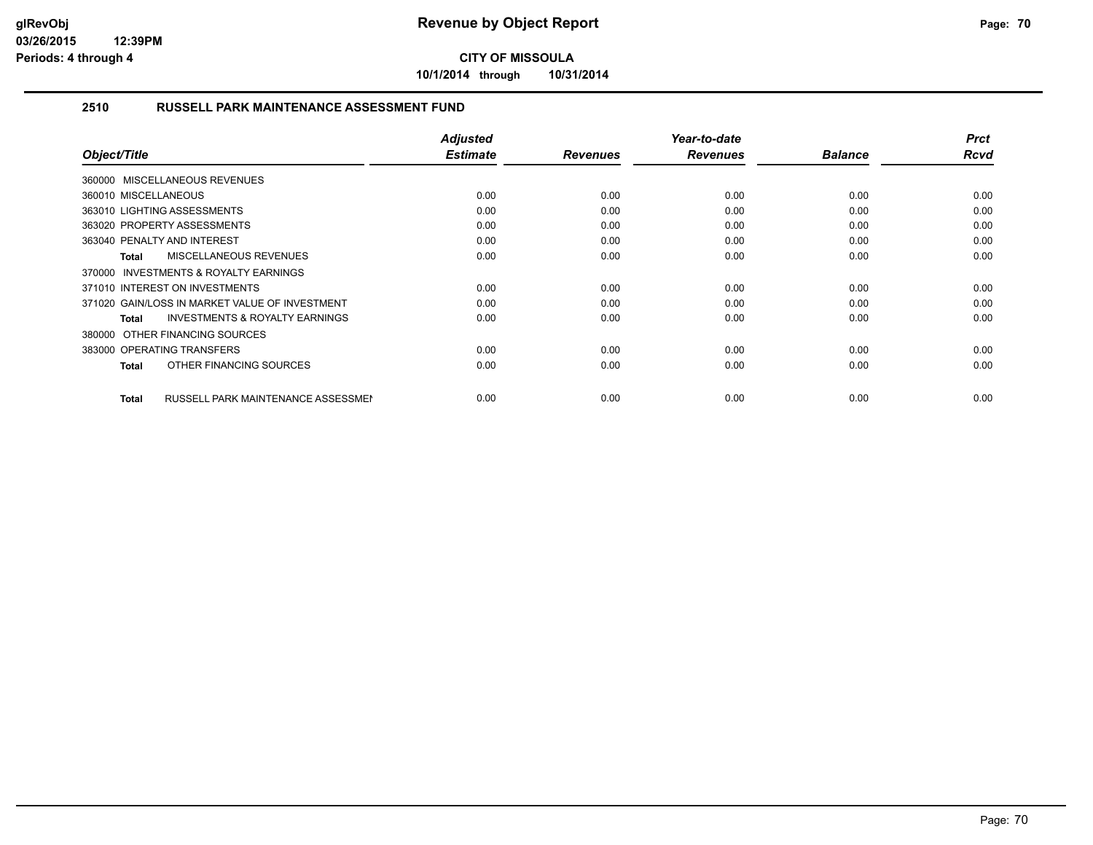**10/1/2014 through 10/31/2014**

### **2510 RUSSELL PARK MAINTENANCE ASSESSMENT FUND**

| Object/Title                                        | <b>Adjusted</b><br><b>Estimate</b> | <b>Revenues</b> | Year-to-date<br><b>Revenues</b> | <b>Balance</b> | <b>Prct</b><br><b>Rcvd</b> |
|-----------------------------------------------------|------------------------------------|-----------------|---------------------------------|----------------|----------------------------|
| 360000 MISCELLANEOUS REVENUES                       |                                    |                 |                                 |                |                            |
| 360010 MISCELLANEOUS                                | 0.00                               | 0.00            | 0.00                            | 0.00           | 0.00                       |
| 363010 LIGHTING ASSESSMENTS                         | 0.00                               | 0.00            | 0.00                            | 0.00           | 0.00                       |
| 363020 PROPERTY ASSESSMENTS                         | 0.00                               | 0.00            | 0.00                            | 0.00           | 0.00                       |
| 363040 PENALTY AND INTEREST                         | 0.00                               | 0.00            | 0.00                            | 0.00           | 0.00                       |
| MISCELLANEOUS REVENUES<br>Total                     | 0.00                               | 0.00            | 0.00                            | 0.00           | 0.00                       |
| <b>INVESTMENTS &amp; ROYALTY EARNINGS</b><br>370000 |                                    |                 |                                 |                |                            |
| 371010 INTEREST ON INVESTMENTS                      | 0.00                               | 0.00            | 0.00                            | 0.00           | 0.00                       |
| 371020 GAIN/LOSS IN MARKET VALUE OF INVESTMENT      | 0.00                               | 0.00            | 0.00                            | 0.00           | 0.00                       |
| <b>INVESTMENTS &amp; ROYALTY EARNINGS</b><br>Total  | 0.00                               | 0.00            | 0.00                            | 0.00           | 0.00                       |
| 380000 OTHER FINANCING SOURCES                      |                                    |                 |                                 |                |                            |
| 383000 OPERATING TRANSFERS                          | 0.00                               | 0.00            | 0.00                            | 0.00           | 0.00                       |
| OTHER FINANCING SOURCES<br><b>Total</b>             | 0.00                               | 0.00            | 0.00                            | 0.00           | 0.00                       |
|                                                     |                                    |                 |                                 |                |                            |
| <b>RUSSELL PARK MAINTENANCE ASSESSMEN</b><br>Total  | 0.00                               | 0.00            | 0.00                            | 0.00           | 0.00                       |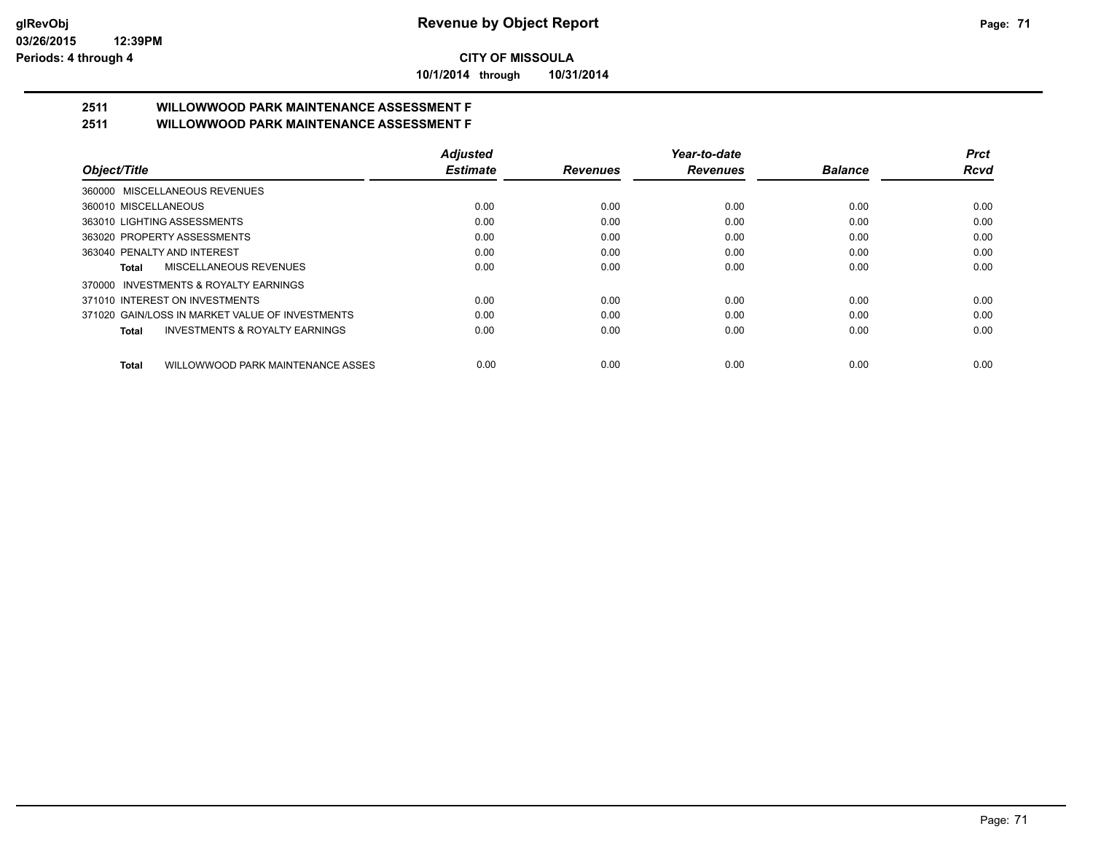**10/1/2014 through 10/31/2014**

# **2511 WILLOWWOOD PARK MAINTENANCE ASSESSMENT F**

**2511 WILLOWWOOD PARK MAINTENANCE ASSESSMENT F**

|                                                           | <b>Adjusted</b> |                 | Year-to-date    |                | <b>Prct</b> |
|-----------------------------------------------------------|-----------------|-----------------|-----------------|----------------|-------------|
| Object/Title                                              | <b>Estimate</b> | <b>Revenues</b> | <b>Revenues</b> | <b>Balance</b> | Rcvd        |
| 360000 MISCELLANEOUS REVENUES                             |                 |                 |                 |                |             |
| 360010 MISCELLANEOUS                                      | 0.00            | 0.00            | 0.00            | 0.00           | 0.00        |
| 363010 LIGHTING ASSESSMENTS                               | 0.00            | 0.00            | 0.00            | 0.00           | 0.00        |
| 363020 PROPERTY ASSESSMENTS                               | 0.00            | 0.00            | 0.00            | 0.00           | 0.00        |
| 363040 PENALTY AND INTEREST                               | 0.00            | 0.00            | 0.00            | 0.00           | 0.00        |
| MISCELLANEOUS REVENUES<br>Total                           | 0.00            | 0.00            | 0.00            | 0.00           | 0.00        |
| 370000 INVESTMENTS & ROYALTY EARNINGS                     |                 |                 |                 |                |             |
| 371010 INTEREST ON INVESTMENTS                            | 0.00            | 0.00            | 0.00            | 0.00           | 0.00        |
| 371020 GAIN/LOSS IN MARKET VALUE OF INVESTMENTS           | 0.00            | 0.00            | 0.00            | 0.00           | 0.00        |
| <b>INVESTMENTS &amp; ROYALTY EARNINGS</b><br><b>Total</b> | 0.00            | 0.00            | 0.00            | 0.00           | 0.00        |
| WILLOWWOOD PARK MAINTENANCE ASSES<br><b>Total</b>         | 0.00            | 0.00            | 0.00            | 0.00           | 0.00        |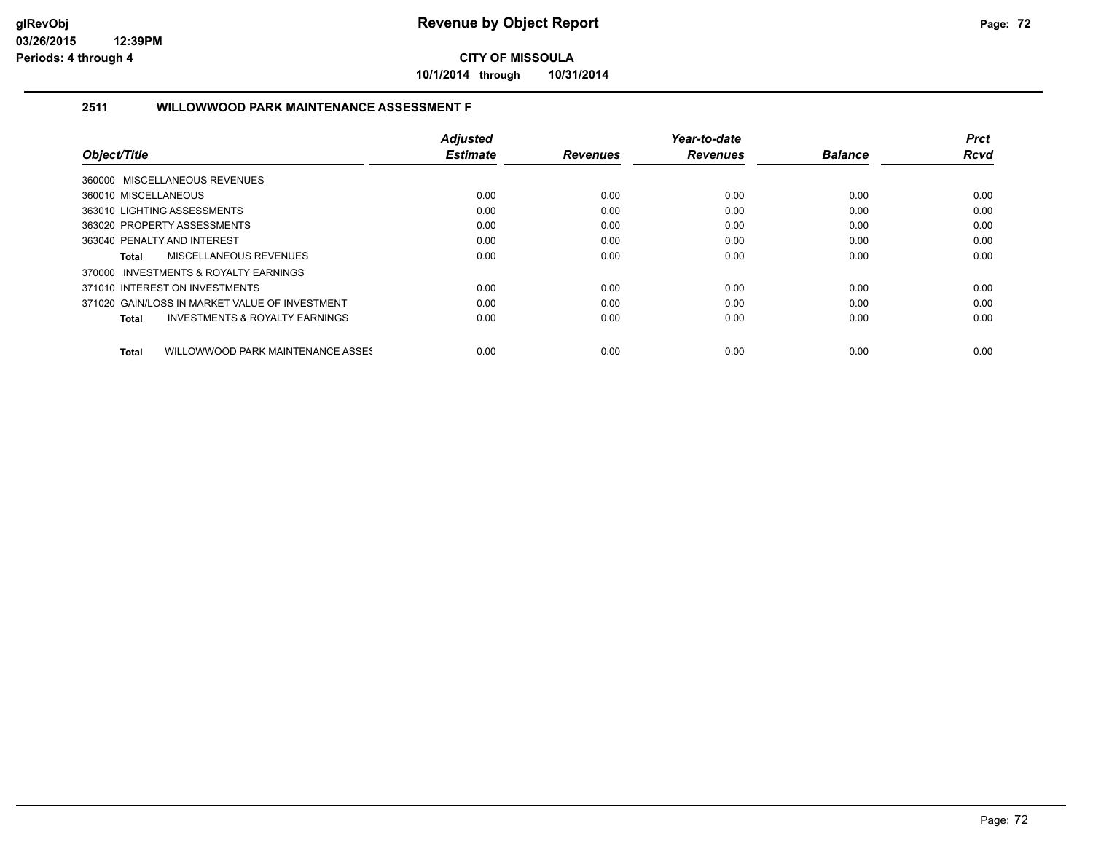**10/1/2014 through 10/31/2014**

### **2511 WILLOWWOOD PARK MAINTENANCE ASSESSMENT F**

|                                                    | <b>Adjusted</b> |                 | Year-to-date    |                | Prct        |
|----------------------------------------------------|-----------------|-----------------|-----------------|----------------|-------------|
| Object/Title                                       | <b>Estimate</b> | <b>Revenues</b> | <b>Revenues</b> | <b>Balance</b> | <b>Rcvd</b> |
| 360000 MISCELLANEOUS REVENUES                      |                 |                 |                 |                |             |
| 360010 MISCELLANEOUS                               | 0.00            | 0.00            | 0.00            | 0.00           | 0.00        |
| 363010 LIGHTING ASSESSMENTS                        | 0.00            | 0.00            | 0.00            | 0.00           | 0.00        |
| 363020 PROPERTY ASSESSMENTS                        | 0.00            | 0.00            | 0.00            | 0.00           | 0.00        |
| 363040 PENALTY AND INTEREST                        | 0.00            | 0.00            | 0.00            | 0.00           | 0.00        |
| MISCELLANEOUS REVENUES<br>Total                    | 0.00            | 0.00            | 0.00            | 0.00           | 0.00        |
| 370000 INVESTMENTS & ROYALTY EARNINGS              |                 |                 |                 |                |             |
| 371010 INTEREST ON INVESTMENTS                     | 0.00            | 0.00            | 0.00            | 0.00           | 0.00        |
| 371020 GAIN/LOSS IN MARKET VALUE OF INVESTMENT     | 0.00            | 0.00            | 0.00            | 0.00           | 0.00        |
| <b>INVESTMENTS &amp; ROYALTY EARNINGS</b><br>Total | 0.00            | 0.00            | 0.00            | 0.00           | 0.00        |
| WILLOWWOOD PARK MAINTENANCE ASSES<br><b>Total</b>  | 0.00            | 0.00            | 0.00            | 0.00           | 0.00        |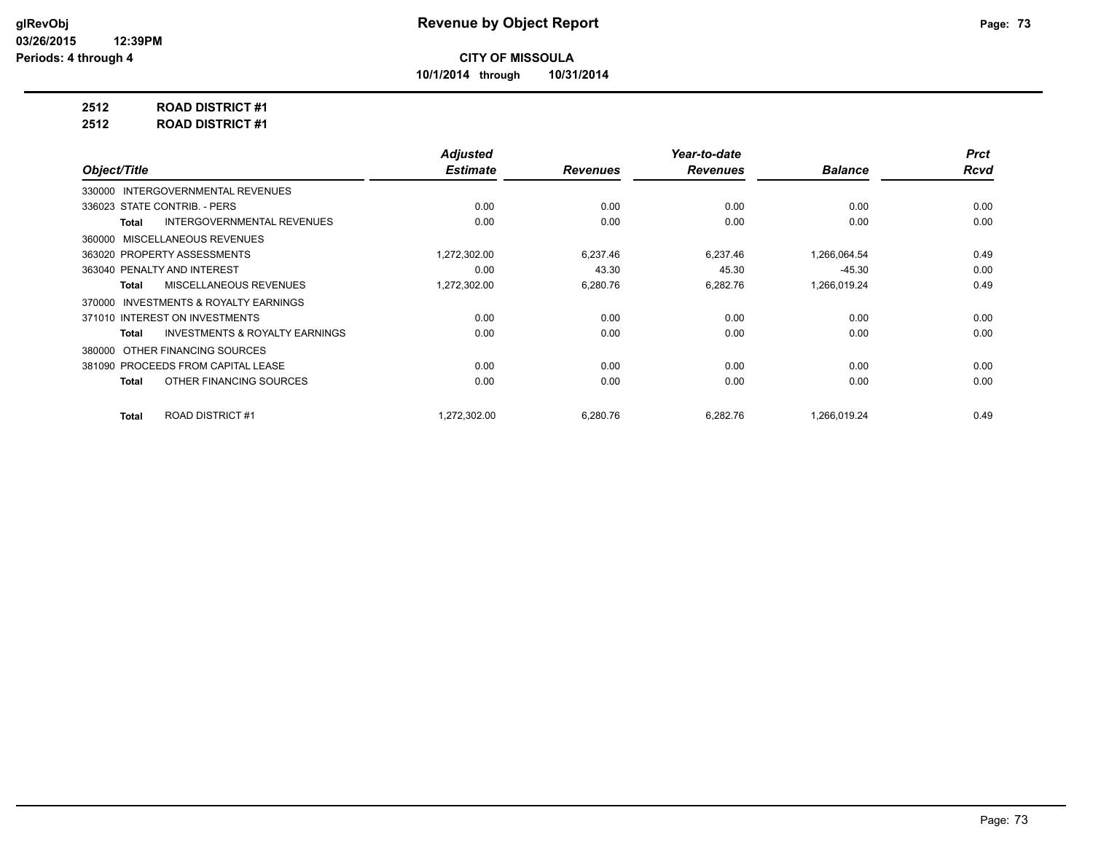**10/1/2014 through 10/31/2014**

# **2512 ROAD DISTRICT #1**

**2512 ROAD DISTRICT #1**

|                                                    | <b>Adjusted</b> |                 | Year-to-date    |                | <b>Prct</b> |
|----------------------------------------------------|-----------------|-----------------|-----------------|----------------|-------------|
| Object/Title                                       | <b>Estimate</b> | <b>Revenues</b> | <b>Revenues</b> | <b>Balance</b> | <b>Rcvd</b> |
| 330000 INTERGOVERNMENTAL REVENUES                  |                 |                 |                 |                |             |
| 336023 STATE CONTRIB. - PERS                       | 0.00            | 0.00            | 0.00            | 0.00           | 0.00        |
| <b>INTERGOVERNMENTAL REVENUES</b><br>Total         | 0.00            | 0.00            | 0.00            | 0.00           | 0.00        |
| MISCELLANEOUS REVENUES<br>360000                   |                 |                 |                 |                |             |
| 363020 PROPERTY ASSESSMENTS                        | 1,272,302.00    | 6,237.46        | 6,237.46        | 1,266,064.54   | 0.49        |
| 363040 PENALTY AND INTEREST                        | 0.00            | 43.30           | 45.30           | $-45.30$       | 0.00        |
| MISCELLANEOUS REVENUES<br><b>Total</b>             | 1,272,302.00    | 6,280.76        | 6,282.76        | 1,266,019.24   | 0.49        |
| INVESTMENTS & ROYALTY EARNINGS<br>370000           |                 |                 |                 |                |             |
| 371010 INTEREST ON INVESTMENTS                     | 0.00            | 0.00            | 0.00            | 0.00           | 0.00        |
| <b>INVESTMENTS &amp; ROYALTY EARNINGS</b><br>Total | 0.00            | 0.00            | 0.00            | 0.00           | 0.00        |
| OTHER FINANCING SOURCES<br>380000                  |                 |                 |                 |                |             |
| 381090 PROCEEDS FROM CAPITAL LEASE                 | 0.00            | 0.00            | 0.00            | 0.00           | 0.00        |
| OTHER FINANCING SOURCES<br>Total                   | 0.00            | 0.00            | 0.00            | 0.00           | 0.00        |
|                                                    |                 |                 |                 |                |             |
| <b>ROAD DISTRICT #1</b><br><b>Total</b>            | 1,272,302.00    | 6,280.76        | 6,282.76        | 1,266,019.24   | 0.49        |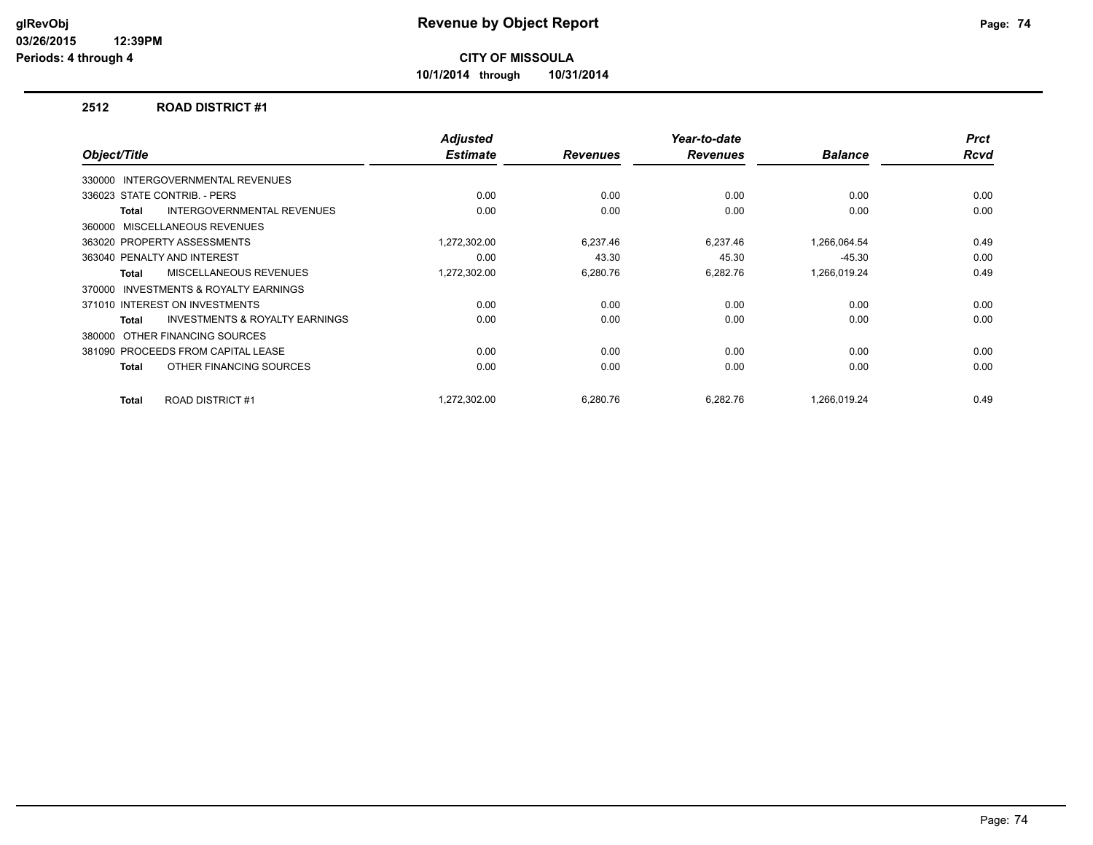**10/1/2014 through 10/31/2014**

#### **2512 ROAD DISTRICT #1**

| Object/Title |                                           | <b>Adjusted</b><br><b>Estimate</b> | <b>Revenues</b> | Year-to-date<br><b>Revenues</b> | <b>Balance</b> | <b>Prct</b><br><b>Rcvd</b> |
|--------------|-------------------------------------------|------------------------------------|-----------------|---------------------------------|----------------|----------------------------|
| 330000       | <b>INTERGOVERNMENTAL REVENUES</b>         |                                    |                 |                                 |                |                            |
|              | 336023 STATE CONTRIB. - PERS              | 0.00                               | 0.00            | 0.00                            | 0.00           | 0.00                       |
| Total        | <b>INTERGOVERNMENTAL REVENUES</b>         | 0.00                               | 0.00            | 0.00                            | 0.00           | 0.00                       |
|              | 360000 MISCELLANEOUS REVENUES             |                                    |                 |                                 |                |                            |
|              | 363020 PROPERTY ASSESSMENTS               | 1,272,302.00                       | 6,237.46        | 6,237.46                        | 1,266,064.54   | 0.49                       |
|              | 363040 PENALTY AND INTEREST               | 0.00                               | 43.30           | 45.30                           | $-45.30$       | 0.00                       |
| <b>Total</b> | MISCELLANEOUS REVENUES                    | 1,272,302.00                       | 6,280.76        | 6,282.76                        | 1,266,019.24   | 0.49                       |
| 370000       | <b>INVESTMENTS &amp; ROYALTY EARNINGS</b> |                                    |                 |                                 |                |                            |
|              | 371010 INTEREST ON INVESTMENTS            | 0.00                               | 0.00            | 0.00                            | 0.00           | 0.00                       |
| Total        | INVESTMENTS & ROYALTY EARNINGS            | 0.00                               | 0.00            | 0.00                            | 0.00           | 0.00                       |
| 380000       | OTHER FINANCING SOURCES                   |                                    |                 |                                 |                |                            |
|              | 381090 PROCEEDS FROM CAPITAL LEASE        | 0.00                               | 0.00            | 0.00                            | 0.00           | 0.00                       |
| Total        | OTHER FINANCING SOURCES                   | 0.00                               | 0.00            | 0.00                            | 0.00           | 0.00                       |
| Total        | <b>ROAD DISTRICT #1</b>                   | 1.272.302.00                       | 6,280.76        | 6.282.76                        | 1.266.019.24   | 0.49                       |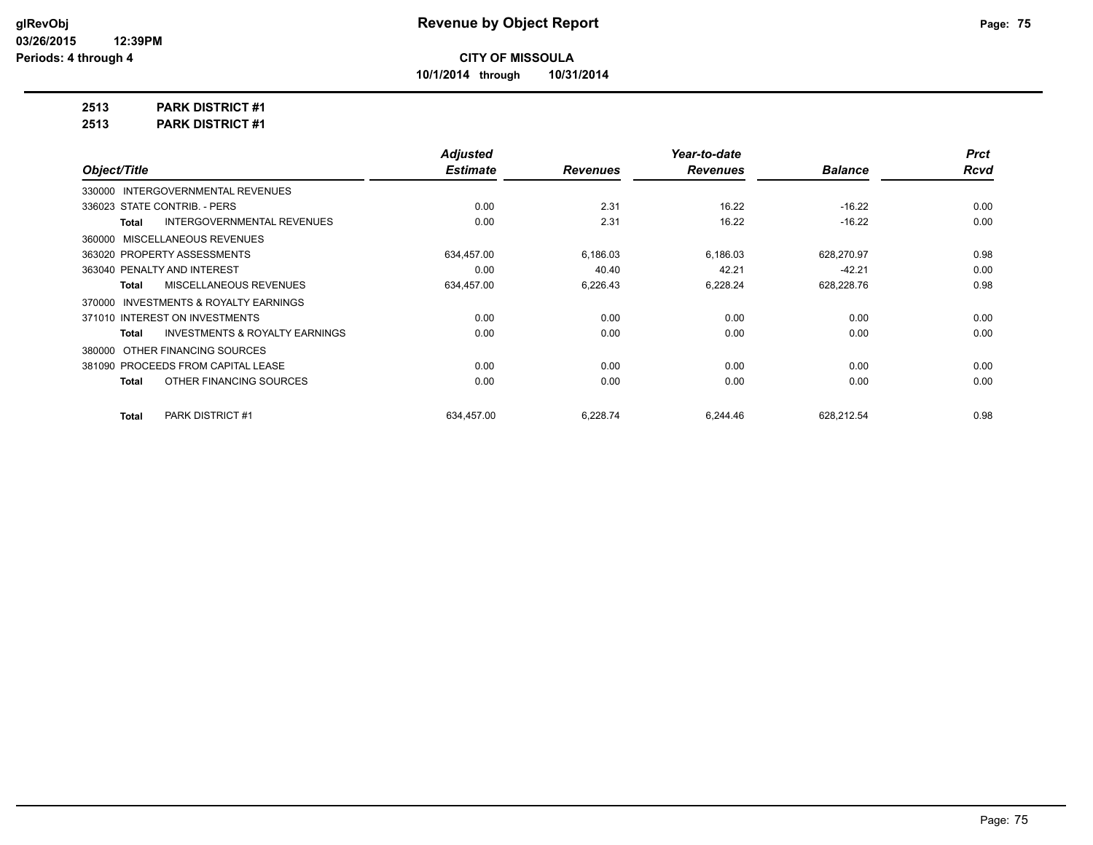**10/1/2014 through 10/31/2014**

# **2513 PARK DISTRICT #1**

**2513 PARK DISTRICT #1**

| <b>Adjusted</b>                           |                 | Year-to-date    |                | <b>Prct</b> |
|-------------------------------------------|-----------------|-----------------|----------------|-------------|
| <b>Estimate</b>                           | <b>Revenues</b> | <b>Revenues</b> | <b>Balance</b> | <b>Rcvd</b> |
|                                           |                 |                 |                |             |
| 0.00                                      | 2.31            | 16.22           | $-16.22$       | 0.00        |
| 0.00                                      | 2.31            | 16.22           | $-16.22$       | 0.00        |
|                                           |                 |                 |                |             |
| 634,457.00                                | 6,186.03        | 6,186.03        | 628,270.97     | 0.98        |
| 0.00                                      | 40.40           | 42.21           | $-42.21$       | 0.00        |
| 634,457.00                                | 6,226.43        | 6,228.24        | 628,228.76     | 0.98        |
|                                           |                 |                 |                |             |
| 0.00                                      | 0.00            | 0.00            | 0.00           | 0.00        |
| 0.00                                      | 0.00            | 0.00            | 0.00           | 0.00        |
|                                           |                 |                 |                |             |
| 0.00                                      | 0.00            | 0.00            | 0.00           | 0.00        |
| 0.00                                      | 0.00            | 0.00            | 0.00           | 0.00        |
|                                           |                 |                 |                | 0.98        |
| <b>INVESTMENTS &amp; ROYALTY EARNINGS</b> | 634,457.00      | 6,228.74        | 6,244.46       | 628,212.54  |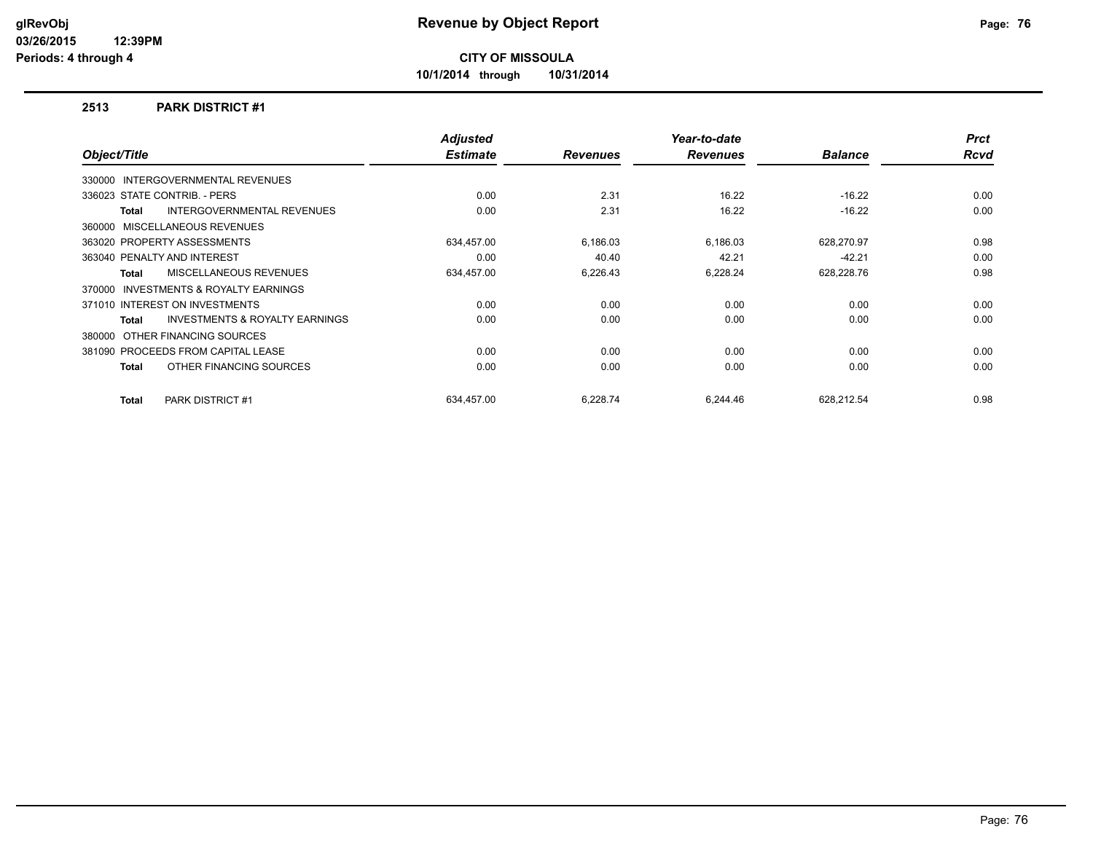**10/1/2014 through 10/31/2014**

#### **2513 PARK DISTRICT #1**

| Object/Title |                                           | <b>Adjusted</b><br><b>Estimate</b> | <b>Revenues</b> | Year-to-date<br><b>Revenues</b> | <b>Balance</b> | <b>Prct</b><br><b>Rcvd</b> |
|--------------|-------------------------------------------|------------------------------------|-----------------|---------------------------------|----------------|----------------------------|
|              | 330000 INTERGOVERNMENTAL REVENUES         |                                    |                 |                                 |                |                            |
|              |                                           |                                    |                 |                                 |                |                            |
|              | 336023 STATE CONTRIB. - PERS              | 0.00                               | 2.31            | 16.22                           | $-16.22$       | 0.00                       |
| Total        | <b>INTERGOVERNMENTAL REVENUES</b>         | 0.00                               | 2.31            | 16.22                           | $-16.22$       | 0.00                       |
|              | 360000 MISCELLANEOUS REVENUES             |                                    |                 |                                 |                |                            |
|              | 363020 PROPERTY ASSESSMENTS               | 634,457.00                         | 6,186.03        | 6,186.03                        | 628,270.97     | 0.98                       |
|              | 363040 PENALTY AND INTEREST               | 0.00                               | 40.40           | 42.21                           | $-42.21$       | 0.00                       |
| <b>Total</b> | MISCELLANEOUS REVENUES                    | 634,457.00                         | 6,226.43        | 6,228.24                        | 628,228.76     | 0.98                       |
| 370000       | <b>INVESTMENTS &amp; ROYALTY EARNINGS</b> |                                    |                 |                                 |                |                            |
|              | 371010 INTEREST ON INVESTMENTS            | 0.00                               | 0.00            | 0.00                            | 0.00           | 0.00                       |
| Total        | <b>INVESTMENTS &amp; ROYALTY EARNINGS</b> | 0.00                               | 0.00            | 0.00                            | 0.00           | 0.00                       |
|              | 380000 OTHER FINANCING SOURCES            |                                    |                 |                                 |                |                            |
|              | 381090 PROCEEDS FROM CAPITAL LEASE        | 0.00                               | 0.00            | 0.00                            | 0.00           | 0.00                       |
| Total        | OTHER FINANCING SOURCES                   | 0.00                               | 0.00            | 0.00                            | 0.00           | 0.00                       |
| Total        | <b>PARK DISTRICT #1</b>                   | 634.457.00                         | 6.228.74        | 6.244.46                        | 628.212.54     | 0.98                       |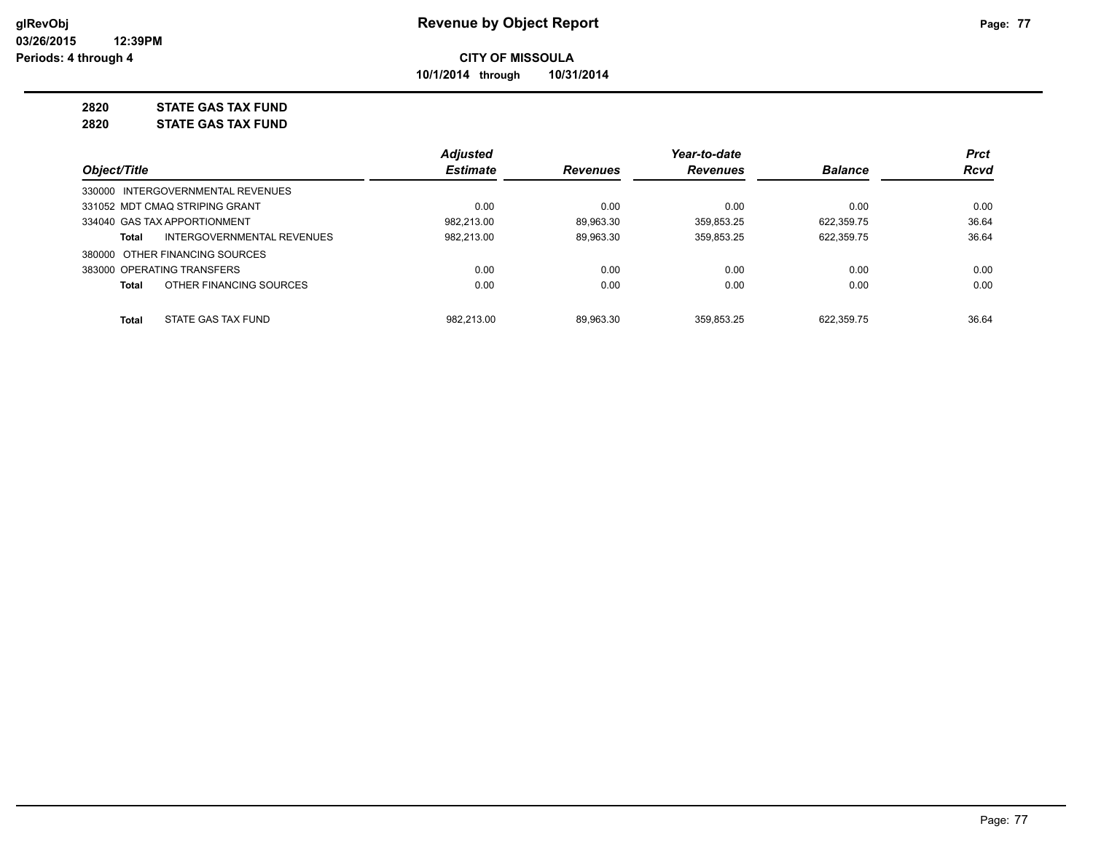**10/1/2014 through 10/31/2014**

# **2820 STATE GAS TAX FUND**

**2820 STATE GAS TAX FUND**

|                                                   | <b>Adjusted</b> |                 | Year-to-date    |                | <b>Prct</b> |
|---------------------------------------------------|-----------------|-----------------|-----------------|----------------|-------------|
| Object/Title                                      | <b>Estimate</b> | <b>Revenues</b> | <b>Revenues</b> | <b>Balance</b> | <b>Rcvd</b> |
| 330000 INTERGOVERNMENTAL REVENUES                 |                 |                 |                 |                |             |
| 331052 MDT CMAQ STRIPING GRANT                    | 0.00            | 0.00            | 0.00            | 0.00           | 0.00        |
| 334040 GAS TAX APPORTIONMENT                      | 982.213.00      | 89.963.30       | 359.853.25      | 622.359.75     | 36.64       |
| <b>INTERGOVERNMENTAL REVENUES</b><br><b>Total</b> | 982,213.00      | 89.963.30       | 359,853.25      | 622,359.75     | 36.64       |
| 380000 OTHER FINANCING SOURCES                    |                 |                 |                 |                |             |
| 383000 OPERATING TRANSFERS                        | 0.00            | 0.00            | 0.00            | 0.00           | 0.00        |
| OTHER FINANCING SOURCES<br><b>Total</b>           | 0.00            | 0.00            | 0.00            | 0.00           | 0.00        |
| STATE GAS TAX FUND<br><b>Total</b>                | 982.213.00      | 89.963.30       | 359.853.25      | 622.359.75     | 36.64       |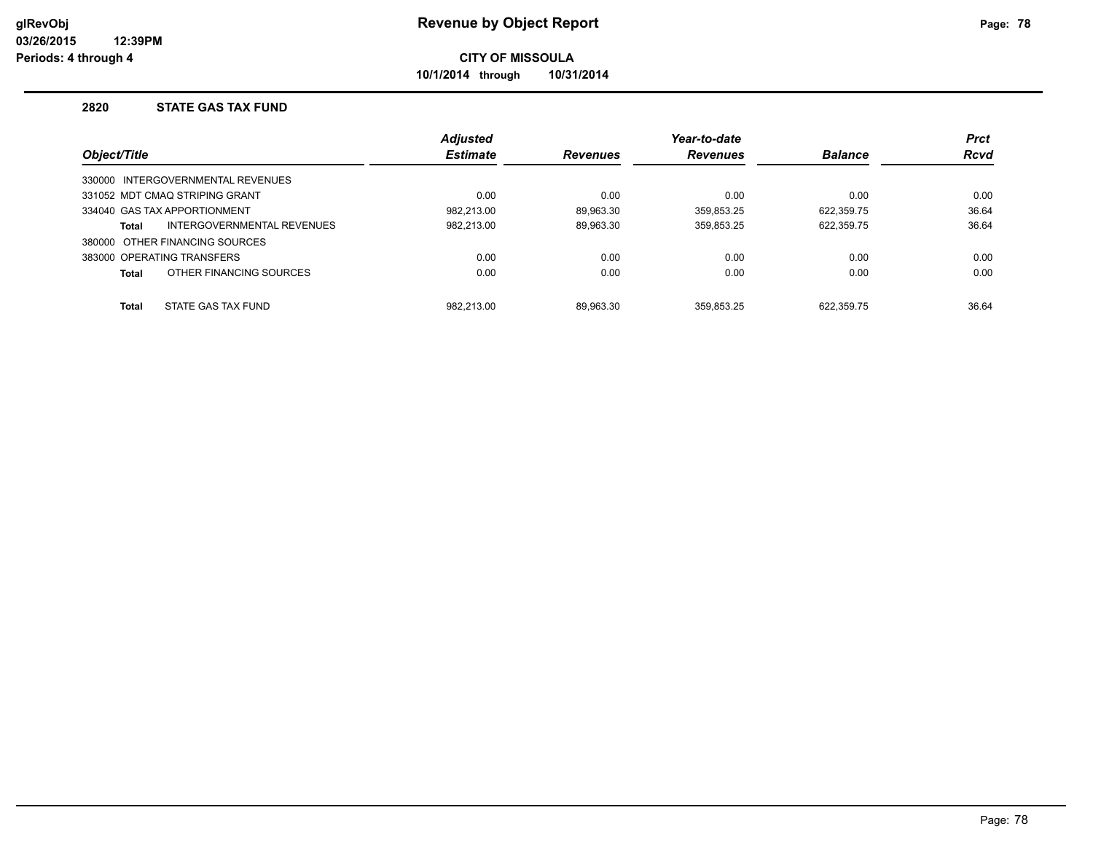**10/1/2014 through 10/31/2014**

#### **2820 STATE GAS TAX FUND**

|              |                                   | <b>Adjusted</b> |                 | Year-to-date    |                | <b>Prct</b> |
|--------------|-----------------------------------|-----------------|-----------------|-----------------|----------------|-------------|
| Object/Title |                                   | <b>Estimate</b> | <b>Revenues</b> | <b>Revenues</b> | <b>Balance</b> | <b>Rcvd</b> |
|              | 330000 INTERGOVERNMENTAL REVENUES |                 |                 |                 |                |             |
|              | 331052 MDT CMAO STRIPING GRANT    | 0.00            | 0.00            | 0.00            | 0.00           | 0.00        |
|              | 334040 GAS TAX APPORTIONMENT      | 982.213.00      | 89.963.30       | 359.853.25      | 622.359.75     | 36.64       |
| <b>Total</b> | INTERGOVERNMENTAL REVENUES        | 982,213.00      | 89,963.30       | 359,853.25      | 622,359.75     | 36.64       |
|              | 380000 OTHER FINANCING SOURCES    |                 |                 |                 |                |             |
|              | 383000 OPERATING TRANSFERS        | 0.00            | 0.00            | 0.00            | 0.00           | 0.00        |
| <b>Total</b> | OTHER FINANCING SOURCES           | 0.00            | 0.00            | 0.00            | 0.00           | 0.00        |
| <b>Total</b> | STATE GAS TAX FUND                | 982.213.00      | 89.963.30       | 359.853.25      | 622.359.75     | 36.64       |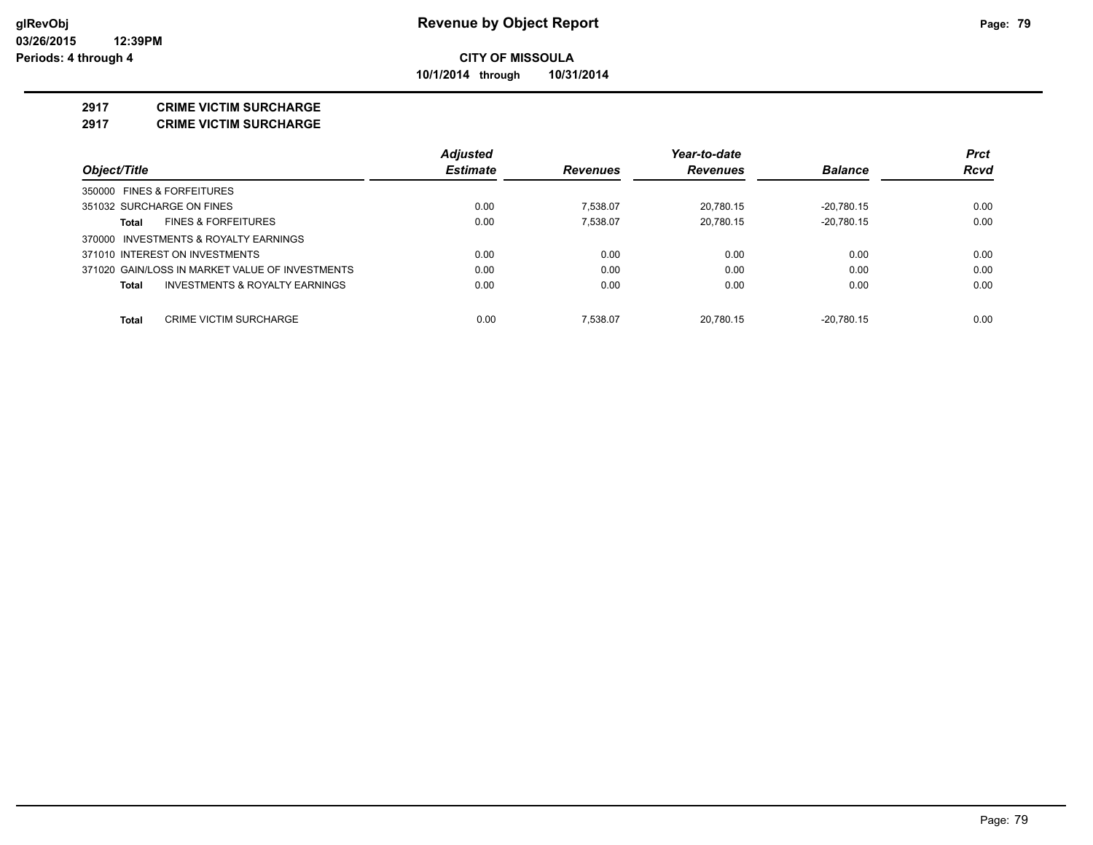**10/1/2014 through 10/31/2014**

#### **2917 CRIME VICTIM SURCHARGE**

**2917 CRIME VICTIM SURCHARGE**

|                                                    | <b>Adjusted</b> |                 | Year-to-date    |                | <b>Prct</b> |
|----------------------------------------------------|-----------------|-----------------|-----------------|----------------|-------------|
| Object/Title                                       | <b>Estimate</b> | <b>Revenues</b> | <b>Revenues</b> | <b>Balance</b> | Rcvd        |
| 350000 FINES & FORFEITURES                         |                 |                 |                 |                |             |
| 351032 SURCHARGE ON FINES                          | 0.00            | 7.538.07        | 20.780.15       | $-20.780.15$   | 0.00        |
| <b>FINES &amp; FORFEITURES</b><br>Total            | 0.00            | 7.538.07        | 20.780.15       | $-20.780.15$   | 0.00        |
| 370000 INVESTMENTS & ROYALTY EARNINGS              |                 |                 |                 |                |             |
| 371010 INTEREST ON INVESTMENTS                     | 0.00            | 0.00            | 0.00            | 0.00           | 0.00        |
| 371020 GAIN/LOSS IN MARKET VALUE OF INVESTMENTS    | 0.00            | 0.00            | 0.00            | 0.00           | 0.00        |
| <b>INVESTMENTS &amp; ROYALTY EARNINGS</b><br>Total | 0.00            | 0.00            | 0.00            | 0.00           | 0.00        |
| Total<br><b>CRIME VICTIM SURCHARGE</b>             | 0.00            | 7.538.07        | 20.780.15       | $-20.780.15$   | 0.00        |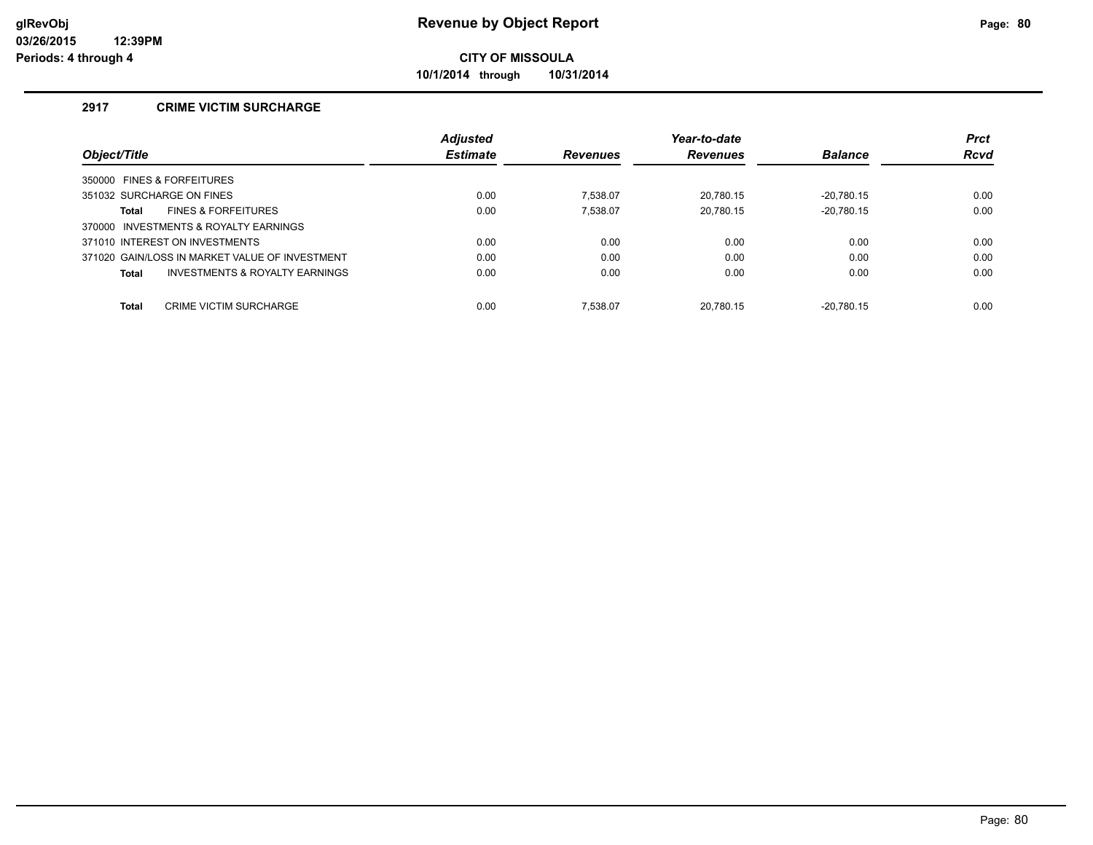**10/1/2014 through 10/31/2014**

### **2917 CRIME VICTIM SURCHARGE**

|                                                | <b>Adjusted</b> |                 | Year-to-date    |                | <b>Prct</b> |
|------------------------------------------------|-----------------|-----------------|-----------------|----------------|-------------|
| Object/Title                                   | <b>Estimate</b> | <b>Revenues</b> | <b>Revenues</b> | <b>Balance</b> | Rcvd        |
| 350000 FINES & FORFEITURES                     |                 |                 |                 |                |             |
| 351032 SURCHARGE ON FINES                      | 0.00            | 7.538.07        | 20.780.15       | $-20.780.15$   | 0.00        |
| <b>FINES &amp; FORFEITURES</b><br>Total        | 0.00            | 7.538.07        | 20,780.15       | $-20.780.15$   | 0.00        |
| 370000 INVESTMENTS & ROYALTY EARNINGS          |                 |                 |                 |                |             |
| 371010 INTEREST ON INVESTMENTS                 | 0.00            | 0.00            | 0.00            | 0.00           | 0.00        |
| 371020 GAIN/LOSS IN MARKET VALUE OF INVESTMENT | 0.00            | 0.00            | 0.00            | 0.00           | 0.00        |
| INVESTMENTS & ROYALTY EARNINGS<br>Total        | 0.00            | 0.00            | 0.00            | 0.00           | 0.00        |
|                                                |                 |                 |                 |                |             |
| <b>Total</b><br><b>CRIME VICTIM SURCHARGE</b>  | 0.00            | 7.538.07        | 20.780.15       | $-20.780.15$   | 0.00        |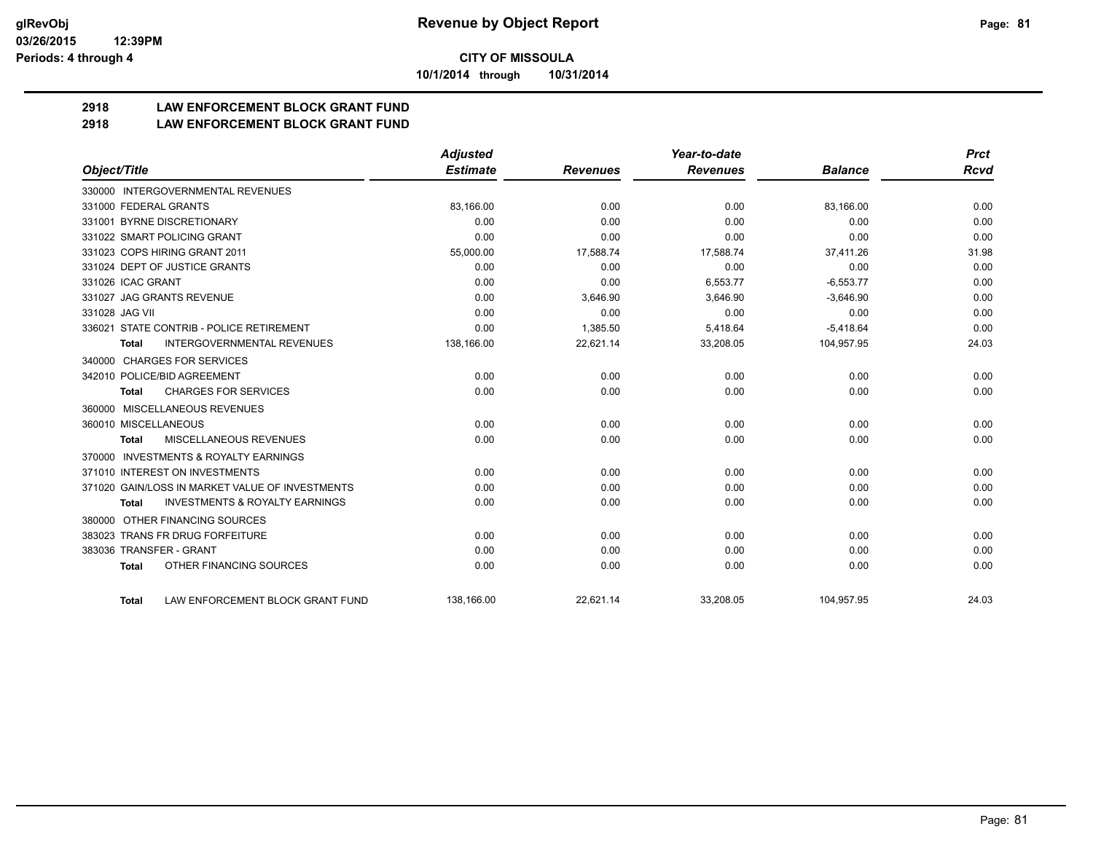**10/1/2014 through 10/31/2014**

# **2918 LAW ENFORCEMENT BLOCK GRANT FUND**

## **2918 LAW ENFORCEMENT BLOCK GRANT FUND**

|                         |                                                 | <b>Adjusted</b> |                 | Year-to-date    |                | <b>Prct</b> |
|-------------------------|-------------------------------------------------|-----------------|-----------------|-----------------|----------------|-------------|
| Object/Title            |                                                 | <b>Estimate</b> | <b>Revenues</b> | <b>Revenues</b> | <b>Balance</b> | <b>Rcvd</b> |
|                         | 330000 INTERGOVERNMENTAL REVENUES               |                 |                 |                 |                |             |
| 331000 FEDERAL GRANTS   |                                                 | 83,166.00       | 0.00            | 0.00            | 83,166.00      | 0.00        |
|                         | 331001 BYRNE DISCRETIONARY                      | 0.00            | 0.00            | 0.00            | 0.00           | 0.00        |
|                         | 331022 SMART POLICING GRANT                     | 0.00            | 0.00            | 0.00            | 0.00           | 0.00        |
|                         | 331023 COPS HIRING GRANT 2011                   | 55,000.00       | 17,588.74       | 17,588.74       | 37,411.26      | 31.98       |
|                         | 331024 DEPT OF JUSTICE GRANTS                   | 0.00            | 0.00            | 0.00            | 0.00           | 0.00        |
| 331026 ICAC GRANT       |                                                 | 0.00            | 0.00            | 6.553.77        | $-6,553.77$    | 0.00        |
|                         | 331027 JAG GRANTS REVENUE                       | 0.00            | 3,646.90        | 3,646.90        | $-3,646.90$    | 0.00        |
| 331028 JAG VII          |                                                 | 0.00            | 0.00            | 0.00            | 0.00           | 0.00        |
|                         | 336021 STATE CONTRIB - POLICE RETIREMENT        | 0.00            | 1,385.50        | 5,418.64        | $-5,418.64$    | 0.00        |
| Total                   | <b>INTERGOVERNMENTAL REVENUES</b>               | 138,166.00      | 22,621.14       | 33,208.05       | 104,957.95     | 24.03       |
| 340000                  | <b>CHARGES FOR SERVICES</b>                     |                 |                 |                 |                |             |
|                         | 342010 POLICE/BID AGREEMENT                     | 0.00            | 0.00            | 0.00            | 0.00           | 0.00        |
| <b>Total</b>            | <b>CHARGES FOR SERVICES</b>                     | 0.00            | 0.00            | 0.00            | 0.00           | 0.00        |
| 360000                  | MISCELLANEOUS REVENUES                          |                 |                 |                 |                |             |
| 360010 MISCELLANEOUS    |                                                 | 0.00            | 0.00            | 0.00            | 0.00           | 0.00        |
| <b>Total</b>            | <b>MISCELLANEOUS REVENUES</b>                   | 0.00            | 0.00            | 0.00            | 0.00           | 0.00        |
| 370000                  | <b>INVESTMENTS &amp; ROYALTY EARNINGS</b>       |                 |                 |                 |                |             |
|                         | 371010 INTEREST ON INVESTMENTS                  | 0.00            | 0.00            | 0.00            | 0.00           | 0.00        |
|                         | 371020 GAIN/LOSS IN MARKET VALUE OF INVESTMENTS | 0.00            | 0.00            | 0.00            | 0.00           | 0.00        |
| <b>Total</b>            | <b>INVESTMENTS &amp; ROYALTY EARNINGS</b>       | 0.00            | 0.00            | 0.00            | 0.00           | 0.00        |
| 380000                  | OTHER FINANCING SOURCES                         |                 |                 |                 |                |             |
|                         | 383023 TRANS FR DRUG FORFEITURE                 | 0.00            | 0.00            | 0.00            | 0.00           | 0.00        |
| 383036 TRANSFER - GRANT |                                                 | 0.00            | 0.00            | 0.00            | 0.00           | 0.00        |
| <b>Total</b>            | OTHER FINANCING SOURCES                         | 0.00            | 0.00            | 0.00            | 0.00           | 0.00        |
| <b>Total</b>            | LAW ENFORCEMENT BLOCK GRANT FUND                | 138,166.00      | 22.621.14       | 33,208.05       | 104,957.95     | 24.03       |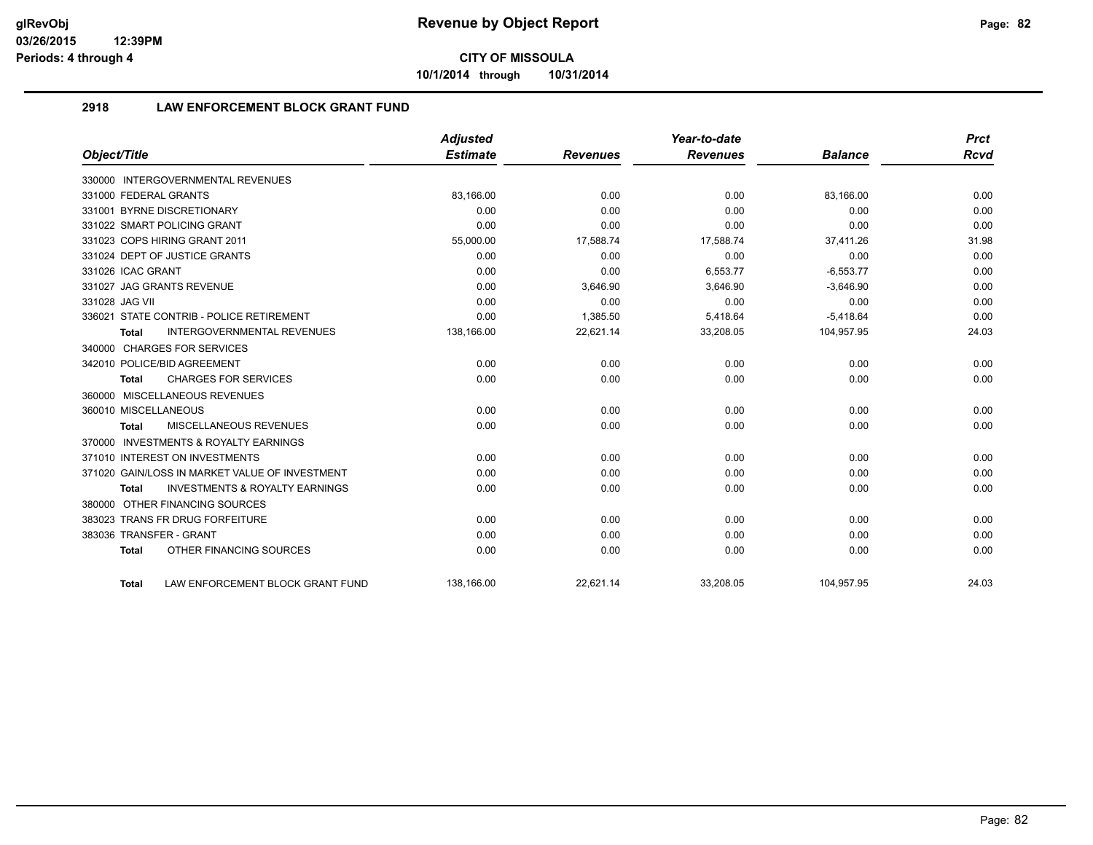**10/1/2014 through 10/31/2014**

# **2918 LAW ENFORCEMENT BLOCK GRANT FUND**

|                                                           | <b>Adjusted</b> |                 | Year-to-date    |                | <b>Prct</b> |
|-----------------------------------------------------------|-----------------|-----------------|-----------------|----------------|-------------|
| Object/Title                                              | <b>Estimate</b> | <b>Revenues</b> | <b>Revenues</b> | <b>Balance</b> | <b>Rcvd</b> |
| 330000 INTERGOVERNMENTAL REVENUES                         |                 |                 |                 |                |             |
| 331000 FEDERAL GRANTS                                     | 83,166.00       | 0.00            | 0.00            | 83,166.00      | 0.00        |
| 331001 BYRNE DISCRETIONARY                                | 0.00            | 0.00            | 0.00            | 0.00           | 0.00        |
| 331022 SMART POLICING GRANT                               | 0.00            | 0.00            | 0.00            | 0.00           | 0.00        |
| 331023 COPS HIRING GRANT 2011                             | 55,000.00       | 17,588.74       | 17,588.74       | 37.411.26      | 31.98       |
| 331024 DEPT OF JUSTICE GRANTS                             | 0.00            | 0.00            | 0.00            | 0.00           | 0.00        |
| 331026 ICAC GRANT                                         | 0.00            | 0.00            | 6,553.77        | $-6,553.77$    | 0.00        |
| 331027 JAG GRANTS REVENUE                                 | 0.00            | 3,646.90        | 3,646.90        | $-3,646.90$    | 0.00        |
| 331028 JAG VII                                            | 0.00            | 0.00            | 0.00            | 0.00           | 0.00        |
| 336021 STATE CONTRIB - POLICE RETIREMENT                  | 0.00            | 1,385.50        | 5,418.64        | $-5,418.64$    | 0.00        |
| <b>INTERGOVERNMENTAL REVENUES</b><br><b>Total</b>         | 138,166.00      | 22,621.14       | 33,208.05       | 104,957.95     | 24.03       |
| 340000 CHARGES FOR SERVICES                               |                 |                 |                 |                |             |
| 342010 POLICE/BID AGREEMENT                               | 0.00            | 0.00            | 0.00            | 0.00           | 0.00        |
| <b>CHARGES FOR SERVICES</b><br><b>Total</b>               | 0.00            | 0.00            | 0.00            | 0.00           | 0.00        |
| 360000 MISCELLANEOUS REVENUES                             |                 |                 |                 |                |             |
| 360010 MISCELLANEOUS                                      | 0.00            | 0.00            | 0.00            | 0.00           | 0.00        |
| <b>MISCELLANEOUS REVENUES</b><br><b>Total</b>             | 0.00            | 0.00            | 0.00            | 0.00           | 0.00        |
| 370000 INVESTMENTS & ROYALTY EARNINGS                     |                 |                 |                 |                |             |
| 371010 INTEREST ON INVESTMENTS                            | 0.00            | 0.00            | 0.00            | 0.00           | 0.00        |
| 371020 GAIN/LOSS IN MARKET VALUE OF INVESTMENT            | 0.00            | 0.00            | 0.00            | 0.00           | 0.00        |
| <b>INVESTMENTS &amp; ROYALTY EARNINGS</b><br><b>Total</b> | 0.00            | 0.00            | 0.00            | 0.00           | 0.00        |
| 380000 OTHER FINANCING SOURCES                            |                 |                 |                 |                |             |
| 383023 TRANS FR DRUG FORFEITURE                           | 0.00            | 0.00            | 0.00            | 0.00           | 0.00        |
| 383036 TRANSFER - GRANT                                   | 0.00            | 0.00            | 0.00            | 0.00           | 0.00        |
| OTHER FINANCING SOURCES<br><b>Total</b>                   | 0.00            | 0.00            | 0.00            | 0.00           | 0.00        |
| LAW ENFORCEMENT BLOCK GRANT FUND<br>Total                 | 138.166.00      | 22.621.14       | 33,208.05       | 104.957.95     | 24.03       |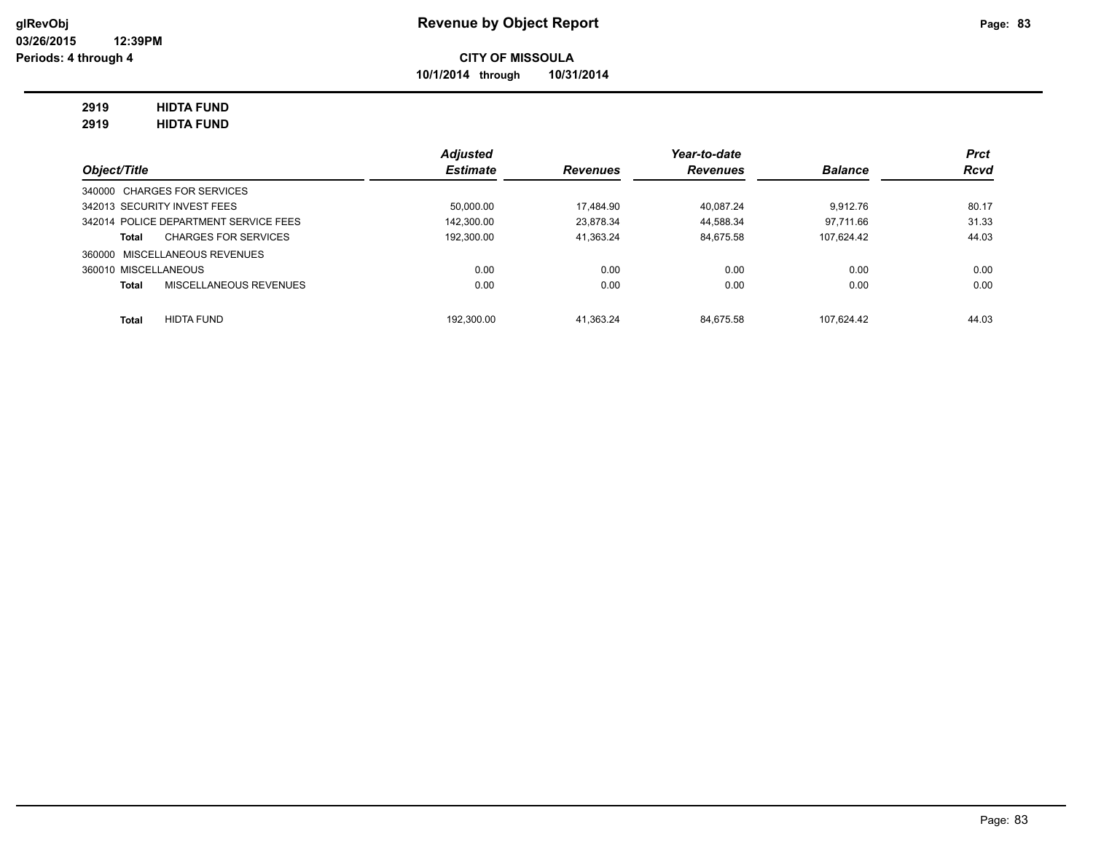**10/1/2014 through 10/31/2014**

# **2919 HIDTA FUND**

**2919 HIDTA FUND**

|                                        | <b>Adjusted</b> |                 | Year-to-date    |                | <b>Prct</b> |
|----------------------------------------|-----------------|-----------------|-----------------|----------------|-------------|
| Object/Title                           | <b>Estimate</b> | <b>Revenues</b> | <b>Revenues</b> | <b>Balance</b> | <b>Rcvd</b> |
| 340000 CHARGES FOR SERVICES            |                 |                 |                 |                |             |
| 342013 SECURITY INVEST FEES            | 50,000.00       | 17.484.90       | 40.087.24       | 9.912.76       | 80.17       |
| 342014 POLICE DEPARTMENT SERVICE FEES  | 142,300.00      | 23.878.34       | 44.588.34       | 97.711.66      | 31.33       |
| <b>CHARGES FOR SERVICES</b><br>Total   | 192.300.00      | 41.363.24       | 84.675.58       | 107.624.42     | 44.03       |
| 360000 MISCELLANEOUS REVENUES          |                 |                 |                 |                |             |
| 360010 MISCELLANEOUS                   | 0.00            | 0.00            | 0.00            | 0.00           | 0.00        |
| MISCELLANEOUS REVENUES<br><b>Total</b> | 0.00            | 0.00            | 0.00            | 0.00           | 0.00        |
| <b>HIDTA FUND</b><br><b>Total</b>      | 192.300.00      | 41.363.24       | 84.675.58       | 107.624.42     | 44.03       |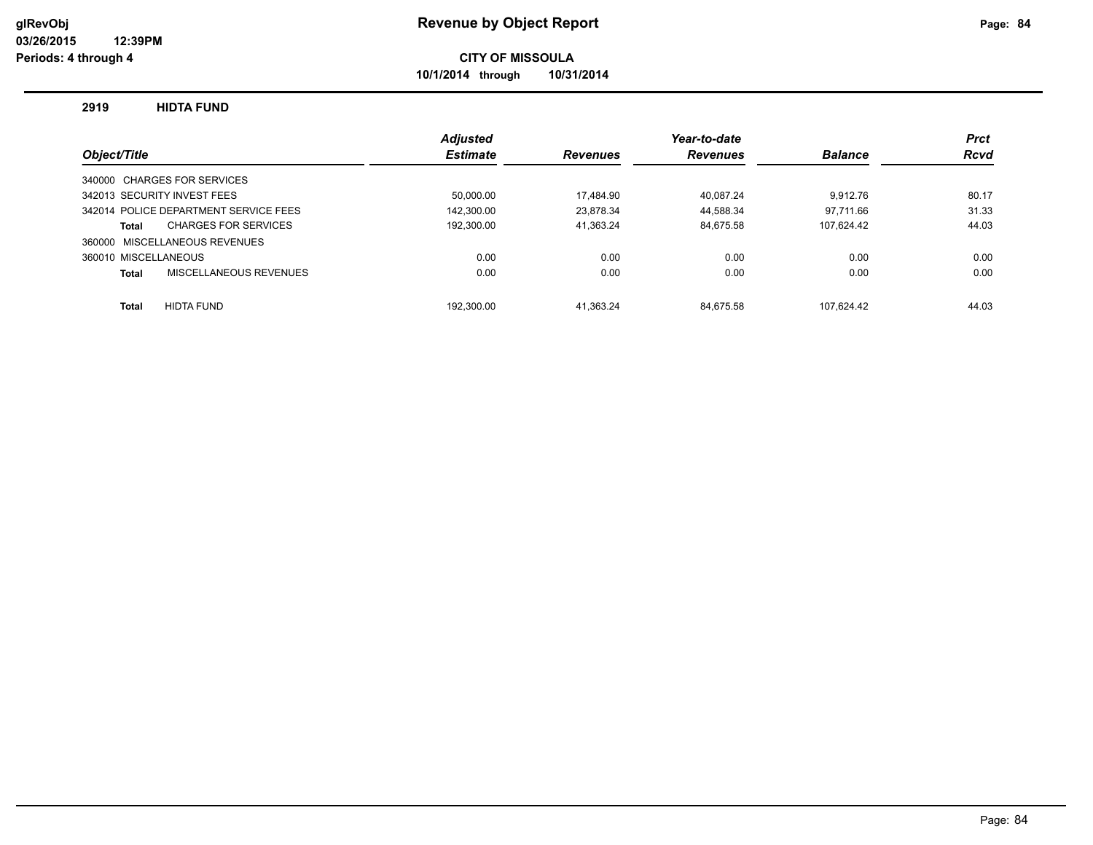**10/1/2014 through 10/31/2014**

#### **2919 HIDTA FUND**

|                                       | <b>Adjusted</b> |                 | Year-to-date    |                | <b>Prct</b> |
|---------------------------------------|-----------------|-----------------|-----------------|----------------|-------------|
| Object/Title                          | <b>Estimate</b> | <b>Revenues</b> | <b>Revenues</b> | <b>Balance</b> | <b>Rcvd</b> |
| 340000 CHARGES FOR SERVICES           |                 |                 |                 |                |             |
| 342013 SECURITY INVEST FEES           | 50.000.00       | 17.484.90       | 40.087.24       | 9.912.76       | 80.17       |
| 342014 POLICE DEPARTMENT SERVICE FEES | 142.300.00      | 23.878.34       | 44.588.34       | 97.711.66      | 31.33       |
| <b>CHARGES FOR SERVICES</b><br>Total  | 192,300.00      | 41,363.24       | 84.675.58       | 107.624.42     | 44.03       |
| 360000 MISCELLANEOUS REVENUES         |                 |                 |                 |                |             |
| 360010 MISCELLANEOUS                  | 0.00            | 0.00            | 0.00            | 0.00           | 0.00        |
| MISCELLANEOUS REVENUES<br>Total       | 0.00            | 0.00            | 0.00            | 0.00           | 0.00        |
|                                       |                 |                 |                 |                |             |
| <b>HIDTA FUND</b><br><b>Total</b>     | 192.300.00      | 41.363.24       | 84.675.58       | 107.624.42     | 44.03       |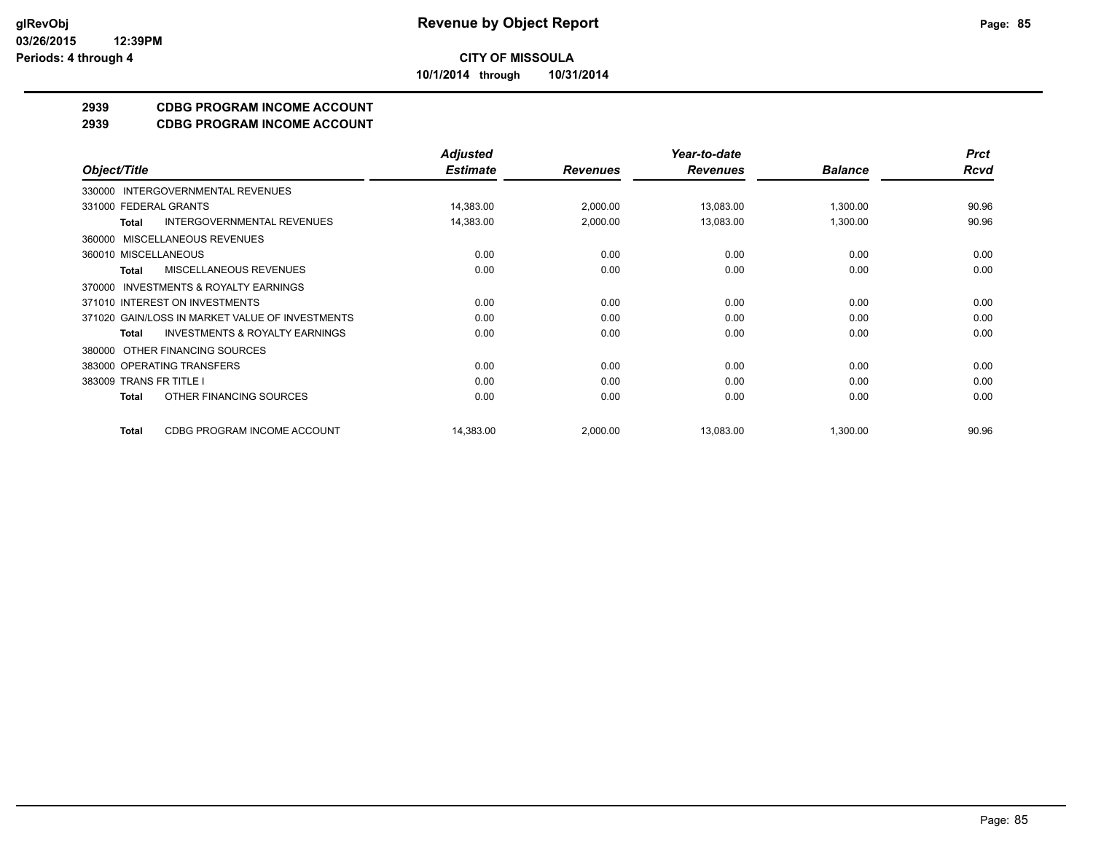**10/1/2014 through 10/31/2014**

# **2939 CDBG PROGRAM INCOME ACCOUNT**

**2939 CDBG PROGRAM INCOME ACCOUNT**

|                                                           | <b>Adjusted</b> |                 | Year-to-date    |                | <b>Prct</b> |
|-----------------------------------------------------------|-----------------|-----------------|-----------------|----------------|-------------|
| Object/Title                                              | <b>Estimate</b> | <b>Revenues</b> | <b>Revenues</b> | <b>Balance</b> | <b>Rcvd</b> |
| 330000 INTERGOVERNMENTAL REVENUES                         |                 |                 |                 |                |             |
| 331000 FEDERAL GRANTS                                     | 14,383.00       | 2,000.00        | 13,083.00       | 1,300.00       | 90.96       |
| <b>INTERGOVERNMENTAL REVENUES</b><br>Total                | 14,383.00       | 2,000.00        | 13,083.00       | 1,300.00       | 90.96       |
| 360000 MISCELLANEOUS REVENUES                             |                 |                 |                 |                |             |
| 360010 MISCELLANEOUS                                      | 0.00            | 0.00            | 0.00            | 0.00           | 0.00        |
| MISCELLANEOUS REVENUES<br><b>Total</b>                    | 0.00            | 0.00            | 0.00            | 0.00           | 0.00        |
| 370000 INVESTMENTS & ROYALTY EARNINGS                     |                 |                 |                 |                |             |
| 371010 INTEREST ON INVESTMENTS                            | 0.00            | 0.00            | 0.00            | 0.00           | 0.00        |
| 371020 GAIN/LOSS IN MARKET VALUE OF INVESTMENTS           | 0.00            | 0.00            | 0.00            | 0.00           | 0.00        |
| <b>INVESTMENTS &amp; ROYALTY EARNINGS</b><br><b>Total</b> | 0.00            | 0.00            | 0.00            | 0.00           | 0.00        |
| 380000 OTHER FINANCING SOURCES                            |                 |                 |                 |                |             |
| 383000 OPERATING TRANSFERS                                | 0.00            | 0.00            | 0.00            | 0.00           | 0.00        |
| 383009 TRANS FR TITLE I                                   | 0.00            | 0.00            | 0.00            | 0.00           | 0.00        |
| OTHER FINANCING SOURCES<br>Total                          | 0.00            | 0.00            | 0.00            | 0.00           | 0.00        |
| CDBG PROGRAM INCOME ACCOUNT<br><b>Total</b>               | 14,383.00       | 2,000.00        | 13,083.00       | 1,300.00       | 90.96       |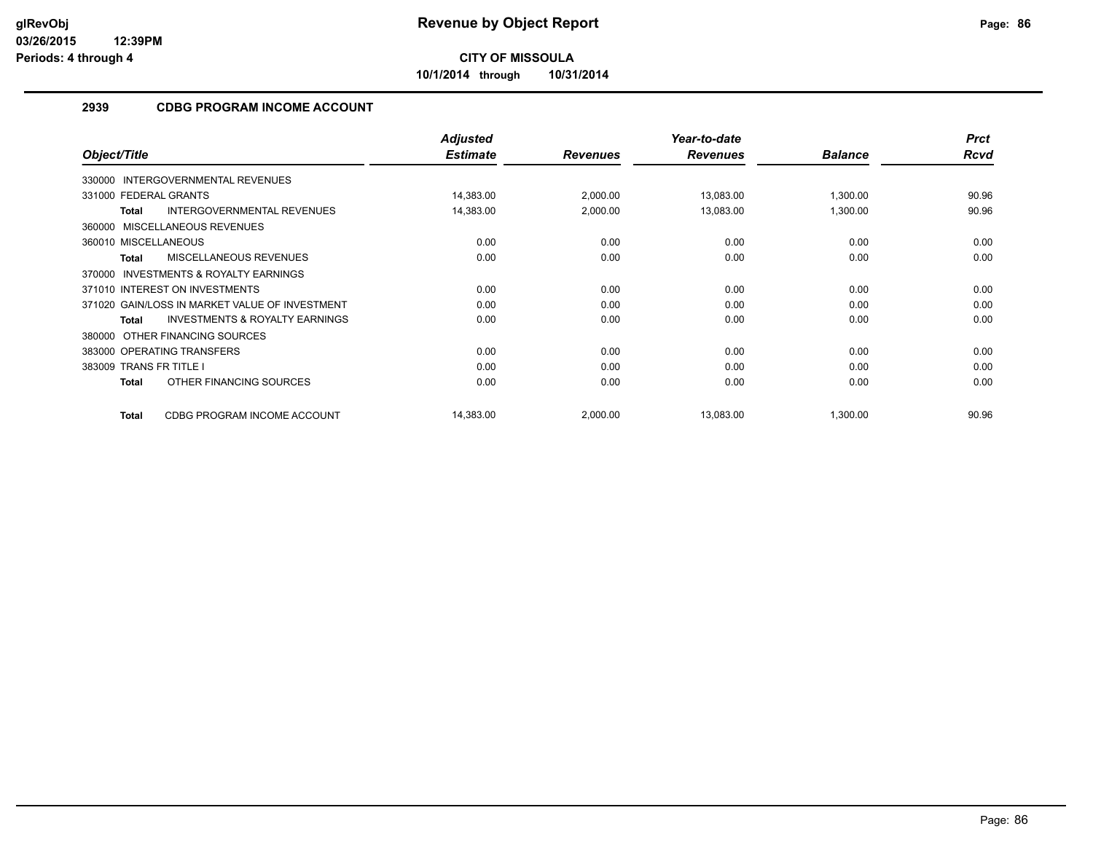**10/1/2014 through 10/31/2014**

# **2939 CDBG PROGRAM INCOME ACCOUNT**

|                                                           | <b>Adjusted</b> |                 | Year-to-date    |                | <b>Prct</b> |
|-----------------------------------------------------------|-----------------|-----------------|-----------------|----------------|-------------|
| Object/Title                                              | <b>Estimate</b> | <b>Revenues</b> | <b>Revenues</b> | <b>Balance</b> | Rcvd        |
| 330000 INTERGOVERNMENTAL REVENUES                         |                 |                 |                 |                |             |
| 331000 FEDERAL GRANTS                                     | 14,383.00       | 2,000.00        | 13,083.00       | 1,300.00       | 90.96       |
| INTERGOVERNMENTAL REVENUES<br><b>Total</b>                | 14,383.00       | 2,000.00        | 13,083.00       | 1,300.00       | 90.96       |
| 360000 MISCELLANEOUS REVENUES                             |                 |                 |                 |                |             |
| 360010 MISCELLANEOUS                                      | 0.00            | 0.00            | 0.00            | 0.00           | 0.00        |
| <b>MISCELLANEOUS REVENUES</b><br><b>Total</b>             | 0.00            | 0.00            | 0.00            | 0.00           | 0.00        |
| <b>INVESTMENTS &amp; ROYALTY EARNINGS</b><br>370000       |                 |                 |                 |                |             |
| 371010 INTEREST ON INVESTMENTS                            | 0.00            | 0.00            | 0.00            | 0.00           | 0.00        |
| 371020 GAIN/LOSS IN MARKET VALUE OF INVESTMENT            | 0.00            | 0.00            | 0.00            | 0.00           | 0.00        |
| <b>INVESTMENTS &amp; ROYALTY EARNINGS</b><br><b>Total</b> | 0.00            | 0.00            | 0.00            | 0.00           | 0.00        |
| OTHER FINANCING SOURCES<br>380000                         |                 |                 |                 |                |             |
| 383000 OPERATING TRANSFERS                                | 0.00            | 0.00            | 0.00            | 0.00           | 0.00        |
| 383009 TRANS FR TITLE I                                   | 0.00            | 0.00            | 0.00            | 0.00           | 0.00        |
| OTHER FINANCING SOURCES<br><b>Total</b>                   | 0.00            | 0.00            | 0.00            | 0.00           | 0.00        |
| CDBG PROGRAM INCOME ACCOUNT<br><b>Total</b>               | 14,383.00       | 2,000.00        | 13,083.00       | 1,300.00       | 90.96       |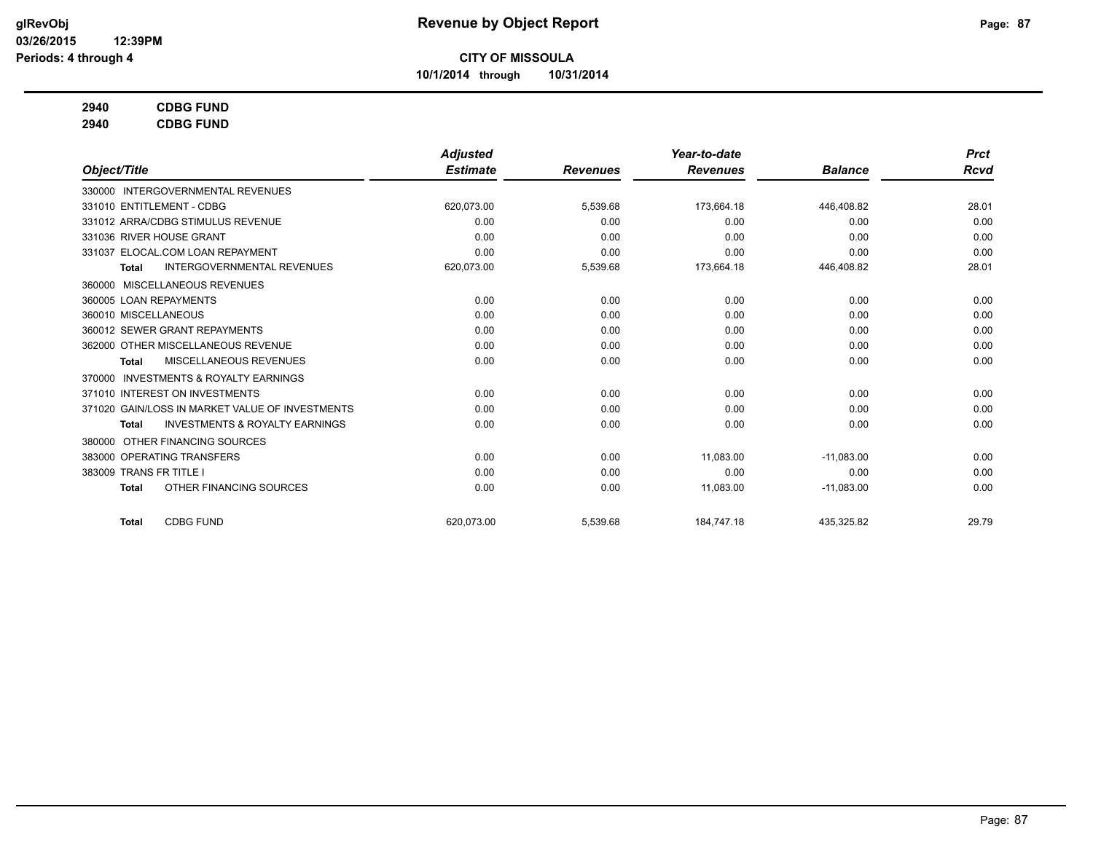**10/1/2014 through 10/31/2014**

# **2940 CDBG FUND**

**2940 CDBG FUND**

|                                                           | <b>Adjusted</b> |                 | Year-to-date    |                | <b>Prct</b> |
|-----------------------------------------------------------|-----------------|-----------------|-----------------|----------------|-------------|
| Object/Title                                              | <b>Estimate</b> | <b>Revenues</b> | <b>Revenues</b> | <b>Balance</b> | Rcvd        |
| 330000 INTERGOVERNMENTAL REVENUES                         |                 |                 |                 |                |             |
| 331010 ENTITLEMENT - CDBG                                 | 620,073.00      | 5,539.68        | 173,664.18      | 446,408.82     | 28.01       |
| 331012 ARRA/CDBG STIMULUS REVENUE                         | 0.00            | 0.00            | 0.00            | 0.00           | 0.00        |
| 331036 RIVER HOUSE GRANT                                  | 0.00            | 0.00            | 0.00            | 0.00           | 0.00        |
| 331037 ELOCAL.COM LOAN REPAYMENT                          | 0.00            | 0.00            | 0.00            | 0.00           | 0.00        |
| <b>INTERGOVERNMENTAL REVENUES</b><br><b>Total</b>         | 620,073.00      | 5,539.68        | 173,664.18      | 446,408.82     | 28.01       |
| 360000 MISCELLANEOUS REVENUES                             |                 |                 |                 |                |             |
| 360005 LOAN REPAYMENTS                                    | 0.00            | 0.00            | 0.00            | 0.00           | 0.00        |
| 360010 MISCELLANEOUS                                      | 0.00            | 0.00            | 0.00            | 0.00           | 0.00        |
| 360012 SEWER GRANT REPAYMENTS                             | 0.00            | 0.00            | 0.00            | 0.00           | 0.00        |
| 362000 OTHER MISCELLANEOUS REVENUE                        | 0.00            | 0.00            | 0.00            | 0.00           | 0.00        |
| <b>MISCELLANEOUS REVENUES</b><br><b>Total</b>             | 0.00            | 0.00            | 0.00            | 0.00           | 0.00        |
| <b>INVESTMENTS &amp; ROYALTY EARNINGS</b><br>370000       |                 |                 |                 |                |             |
| 371010 INTEREST ON INVESTMENTS                            | 0.00            | 0.00            | 0.00            | 0.00           | 0.00        |
| 371020 GAIN/LOSS IN MARKET VALUE OF INVESTMENTS           | 0.00            | 0.00            | 0.00            | 0.00           | 0.00        |
| <b>INVESTMENTS &amp; ROYALTY EARNINGS</b><br><b>Total</b> | 0.00            | 0.00            | 0.00            | 0.00           | 0.00        |
| OTHER FINANCING SOURCES<br>380000                         |                 |                 |                 |                |             |
| 383000 OPERATING TRANSFERS                                | 0.00            | 0.00            | 11,083.00       | $-11,083.00$   | 0.00        |
| 383009 TRANS FR TITLE I                                   | 0.00            | 0.00            | 0.00            | 0.00           | 0.00        |
| OTHER FINANCING SOURCES<br><b>Total</b>                   | 0.00            | 0.00            | 11,083.00       | $-11,083.00$   | 0.00        |
| <b>CDBG FUND</b><br><b>Total</b>                          | 620.073.00      | 5,539.68        | 184.747.18      | 435.325.82     | 29.79       |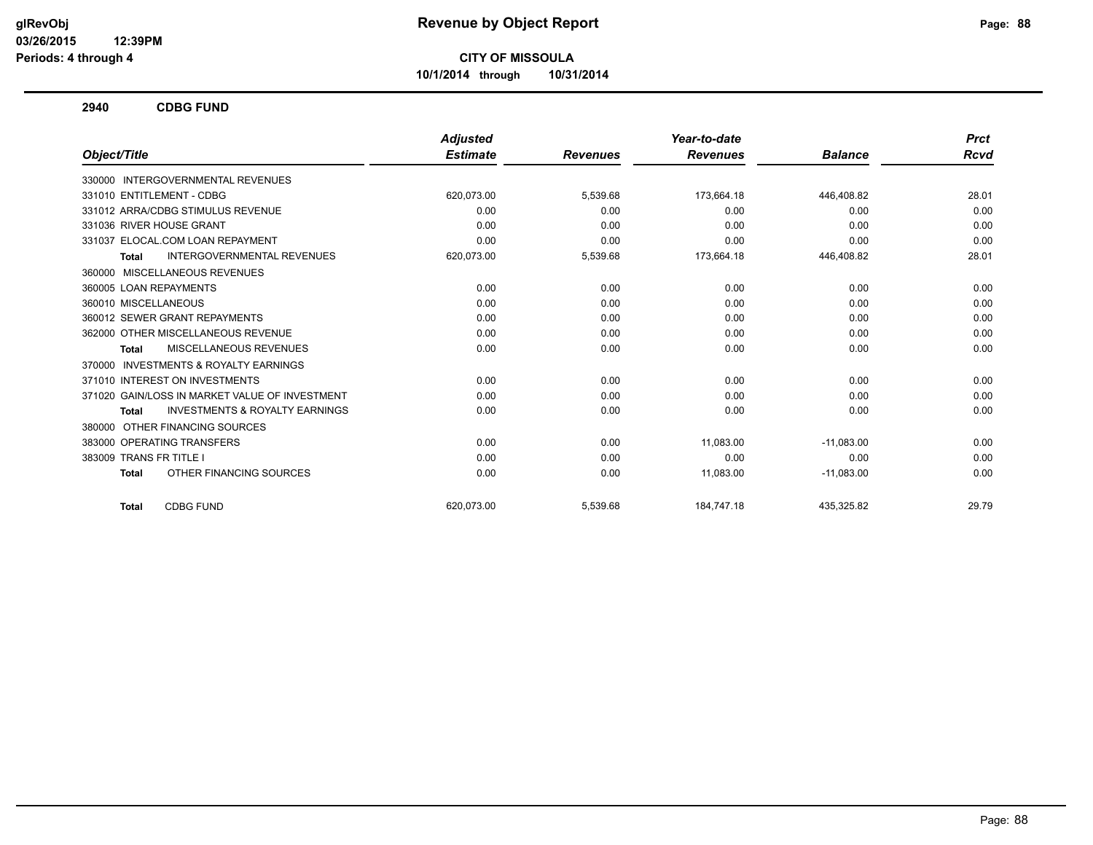**10/1/2014 through 10/31/2014**

**2940 CDBG FUND**

|                                                           | <b>Adjusted</b> |                 | Year-to-date    |                | <b>Prct</b> |
|-----------------------------------------------------------|-----------------|-----------------|-----------------|----------------|-------------|
| Object/Title                                              | <b>Estimate</b> | <b>Revenues</b> | <b>Revenues</b> | <b>Balance</b> | Rcvd        |
| 330000 INTERGOVERNMENTAL REVENUES                         |                 |                 |                 |                |             |
| 331010 ENTITLEMENT - CDBG                                 | 620.073.00      | 5,539.68        | 173,664.18      | 446.408.82     | 28.01       |
| 331012 ARRA/CDBG STIMULUS REVENUE                         | 0.00            | 0.00            | 0.00            | 0.00           | 0.00        |
| 331036 RIVER HOUSE GRANT                                  | 0.00            | 0.00            | 0.00            | 0.00           | 0.00        |
| 331037 ELOCAL.COM LOAN REPAYMENT                          | 0.00            | 0.00            | 0.00            | 0.00           | 0.00        |
| <b>INTERGOVERNMENTAL REVENUES</b><br><b>Total</b>         | 620,073.00      | 5,539.68        | 173,664.18      | 446,408.82     | 28.01       |
| 360000 MISCELLANEOUS REVENUES                             |                 |                 |                 |                |             |
| 360005 LOAN REPAYMENTS                                    | 0.00            | 0.00            | 0.00            | 0.00           | 0.00        |
| 360010 MISCELLANEOUS                                      | 0.00            | 0.00            | 0.00            | 0.00           | 0.00        |
| 360012 SEWER GRANT REPAYMENTS                             | 0.00            | 0.00            | 0.00            | 0.00           | 0.00        |
| 362000 OTHER MISCELLANEOUS REVENUE                        | 0.00            | 0.00            | 0.00            | 0.00           | 0.00        |
| MISCELLANEOUS REVENUES<br><b>Total</b>                    | 0.00            | 0.00            | 0.00            | 0.00           | 0.00        |
| 370000 INVESTMENTS & ROYALTY EARNINGS                     |                 |                 |                 |                |             |
| 371010 INTEREST ON INVESTMENTS                            | 0.00            | 0.00            | 0.00            | 0.00           | 0.00        |
| 371020 GAIN/LOSS IN MARKET VALUE OF INVESTMENT            | 0.00            | 0.00            | 0.00            | 0.00           | 0.00        |
| <b>INVESTMENTS &amp; ROYALTY EARNINGS</b><br><b>Total</b> | 0.00            | 0.00            | 0.00            | 0.00           | 0.00        |
| 380000 OTHER FINANCING SOURCES                            |                 |                 |                 |                |             |
| 383000 OPERATING TRANSFERS                                | 0.00            | 0.00            | 11,083.00       | $-11,083.00$   | 0.00        |
| 383009 TRANS FR TITLE I                                   | 0.00            | 0.00            | 0.00            | 0.00           | 0.00        |
| OTHER FINANCING SOURCES<br><b>Total</b>                   | 0.00            | 0.00            | 11,083.00       | $-11,083.00$   | 0.00        |
| <b>CDBG FUND</b><br><b>Total</b>                          | 620.073.00      | 5,539.68        | 184,747.18      | 435,325.82     | 29.79       |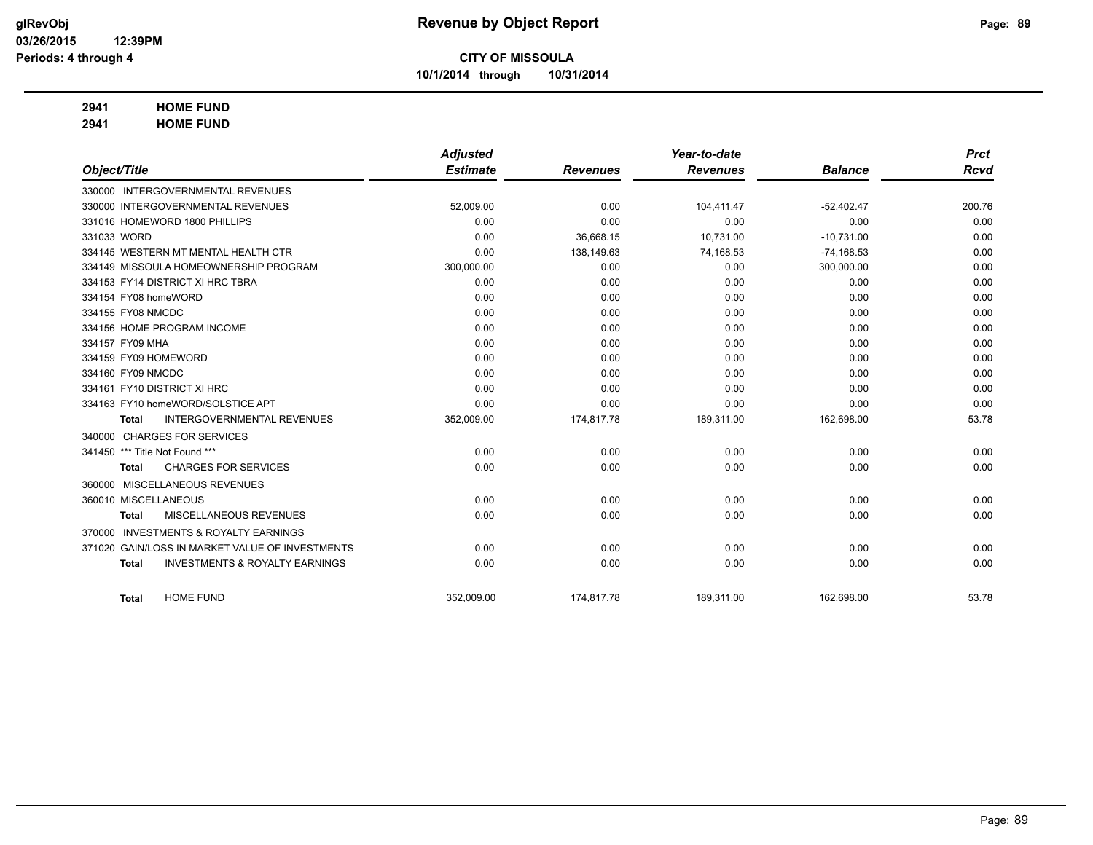**10/1/2014 through 10/31/2014**

## **2941 HOME FUND**

**2941 HOME FUND**

|                                |                                                 | <b>Adjusted</b> |                 | Year-to-date    |                | <b>Prct</b> |
|--------------------------------|-------------------------------------------------|-----------------|-----------------|-----------------|----------------|-------------|
| Object/Title                   |                                                 | <b>Estimate</b> | <b>Revenues</b> | <b>Revenues</b> | <b>Balance</b> | <b>Rcvd</b> |
|                                | 330000 INTERGOVERNMENTAL REVENUES               |                 |                 |                 |                |             |
|                                | 330000 INTERGOVERNMENTAL REVENUES               | 52,009.00       | 0.00            | 104,411.47      | $-52,402.47$   | 200.76      |
|                                | 331016 HOMEWORD 1800 PHILLIPS                   | 0.00            | 0.00            | 0.00            | 0.00           | 0.00        |
| 331033 WORD                    |                                                 | 0.00            | 36,668.15       | 10.731.00       | $-10,731.00$   | 0.00        |
|                                | 334145 WESTERN MT MENTAL HEALTH CTR             | 0.00            | 138,149.63      | 74,168.53       | $-74,168.53$   | 0.00        |
|                                | 334149 MISSOULA HOMEOWNERSHIP PROGRAM           | 300,000.00      | 0.00            | 0.00            | 300,000.00     | 0.00        |
|                                | 334153 FY14 DISTRICT XI HRC TBRA                | 0.00            | 0.00            | 0.00            | 0.00           | 0.00        |
| 334154 FY08 homeWORD           |                                                 | 0.00            | 0.00            | 0.00            | 0.00           | 0.00        |
| 334155 FY08 NMCDC              |                                                 | 0.00            | 0.00            | 0.00            | 0.00           | 0.00        |
|                                | 334156 HOME PROGRAM INCOME                      | 0.00            | 0.00            | 0.00            | 0.00           | 0.00        |
| 334157 FY09 MHA                |                                                 | 0.00            | 0.00            | 0.00            | 0.00           | 0.00        |
| 334159 FY09 HOMEWORD           |                                                 | 0.00            | 0.00            | 0.00            | 0.00           | 0.00        |
| 334160 FY09 NMCDC              |                                                 | 0.00            | 0.00            | 0.00            | 0.00           | 0.00        |
| 334161 FY10 DISTRICT XI HRC    |                                                 | 0.00            | 0.00            | 0.00            | 0.00           | 0.00        |
|                                | 334163 FY10 homeWORD/SOLSTICE APT               | 0.00            | 0.00            | 0.00            | 0.00           | 0.00        |
| <b>Total</b>                   | <b>INTERGOVERNMENTAL REVENUES</b>               | 352,009.00      | 174,817.78      | 189,311.00      | 162,698.00     | 53.78       |
|                                | 340000 CHARGES FOR SERVICES                     |                 |                 |                 |                |             |
| 341450 *** Title Not Found *** |                                                 | 0.00            | 0.00            | 0.00            | 0.00           | 0.00        |
| Total                          | <b>CHARGES FOR SERVICES</b>                     | 0.00            | 0.00            | 0.00            | 0.00           | 0.00        |
| 360000                         | MISCELLANEOUS REVENUES                          |                 |                 |                 |                |             |
| 360010 MISCELLANEOUS           |                                                 | 0.00            | 0.00            | 0.00            | 0.00           | 0.00        |
| <b>Total</b>                   | MISCELLANEOUS REVENUES                          | 0.00            | 0.00            | 0.00            | 0.00           | 0.00        |
| 370000                         | <b>INVESTMENTS &amp; ROYALTY EARNINGS</b>       |                 |                 |                 |                |             |
|                                | 371020 GAIN/LOSS IN MARKET VALUE OF INVESTMENTS | 0.00            | 0.00            | 0.00            | 0.00           | 0.00        |
| <b>Total</b>                   | <b>INVESTMENTS &amp; ROYALTY EARNINGS</b>       | 0.00            | 0.00            | 0.00            | 0.00           | 0.00        |
|                                |                                                 |                 |                 |                 |                |             |
| <b>Total</b>                   | <b>HOME FUND</b>                                | 352,009.00      | 174,817.78      | 189,311.00      | 162,698.00     | 53.78       |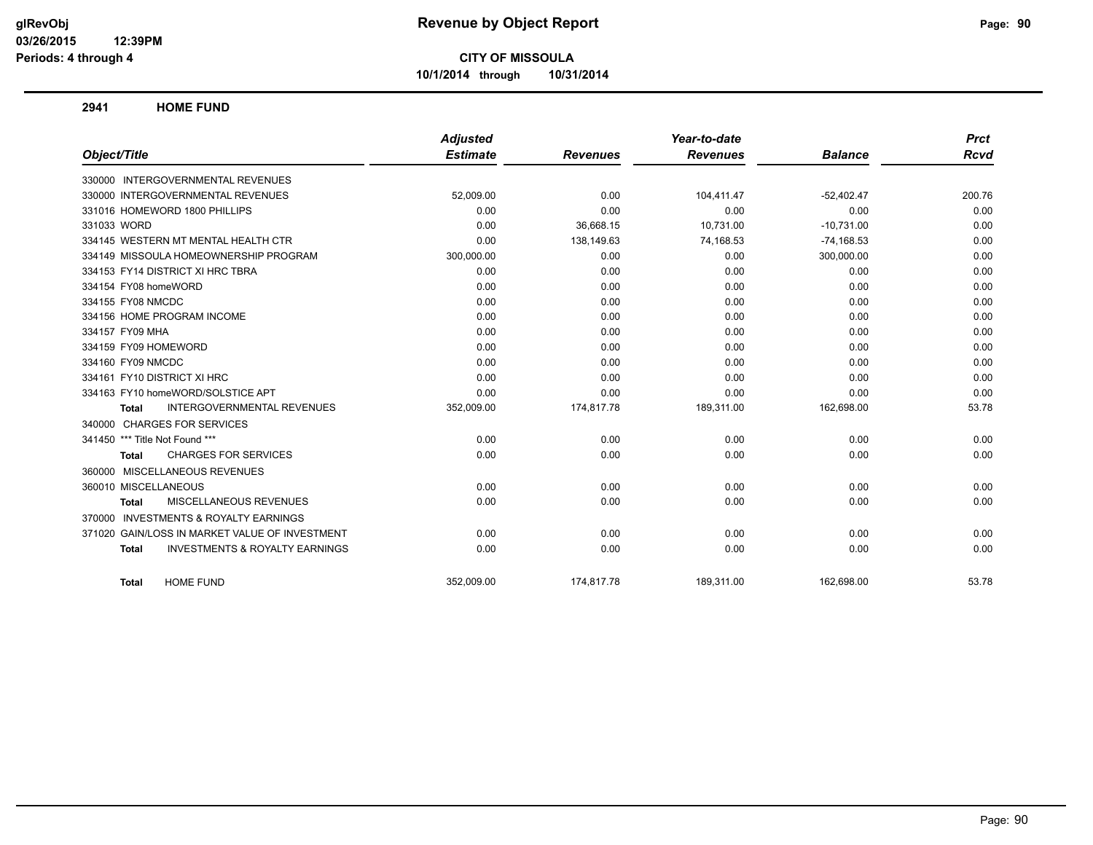**10/1/2014 through 10/31/2014**

**2941 HOME FUND**

|                                                           | <b>Adjusted</b> |                 | Year-to-date    |                | <b>Prct</b> |
|-----------------------------------------------------------|-----------------|-----------------|-----------------|----------------|-------------|
| Object/Title                                              | <b>Estimate</b> | <b>Revenues</b> | <b>Revenues</b> | <b>Balance</b> | <b>Rcvd</b> |
| 330000 INTERGOVERNMENTAL REVENUES                         |                 |                 |                 |                |             |
| 330000 INTERGOVERNMENTAL REVENUES                         | 52,009.00       | 0.00            | 104,411.47      | $-52,402.47$   | 200.76      |
| 331016 HOMEWORD 1800 PHILLIPS                             | 0.00            | 0.00            | 0.00            | 0.00           | 0.00        |
| 331033 WORD                                               | 0.00            | 36,668.15       | 10,731.00       | $-10,731.00$   | 0.00        |
| 334145 WESTERN MT MENTAL HEALTH CTR                       | 0.00            | 138,149.63      | 74,168.53       | $-74,168.53$   | 0.00        |
| 334149 MISSOULA HOMEOWNERSHIP PROGRAM                     | 300,000.00      | 0.00            | 0.00            | 300,000.00     | 0.00        |
| 334153 FY14 DISTRICT XI HRC TBRA                          | 0.00            | 0.00            | 0.00            | 0.00           | 0.00        |
| 334154 FY08 homeWORD                                      | 0.00            | 0.00            | 0.00            | 0.00           | 0.00        |
| 334155 FY08 NMCDC                                         | 0.00            | 0.00            | 0.00            | 0.00           | 0.00        |
| 334156 HOME PROGRAM INCOME                                | 0.00            | 0.00            | 0.00            | 0.00           | 0.00        |
| 334157 FY09 MHA                                           | 0.00            | 0.00            | 0.00            | 0.00           | 0.00        |
| 334159 FY09 HOMEWORD                                      | 0.00            | 0.00            | 0.00            | 0.00           | 0.00        |
| 334160 FY09 NMCDC                                         | 0.00            | 0.00            | 0.00            | 0.00           | 0.00        |
| 334161 FY10 DISTRICT XI HRC                               | 0.00            | 0.00            | 0.00            | 0.00           | 0.00        |
| 334163 FY10 homeWORD/SOLSTICE APT                         | 0.00            | 0.00            | 0.00            | 0.00           | 0.00        |
| <b>INTERGOVERNMENTAL REVENUES</b><br><b>Total</b>         | 352,009.00      | 174,817.78      | 189,311.00      | 162,698.00     | 53.78       |
| <b>CHARGES FOR SERVICES</b><br>340000                     |                 |                 |                 |                |             |
| 341450 *** Title Not Found ***                            | 0.00            | 0.00            | 0.00            | 0.00           | 0.00        |
| <b>CHARGES FOR SERVICES</b><br><b>Total</b>               | 0.00            | 0.00            | 0.00            | 0.00           | 0.00        |
| MISCELLANEOUS REVENUES<br>360000                          |                 |                 |                 |                |             |
| 360010 MISCELLANEOUS                                      | 0.00            | 0.00            | 0.00            | 0.00           | 0.00        |
| <b>MISCELLANEOUS REVENUES</b><br>Total                    | 0.00            | 0.00            | 0.00            | 0.00           | 0.00        |
| <b>INVESTMENTS &amp; ROYALTY EARNINGS</b><br>370000       |                 |                 |                 |                |             |
| GAIN/LOSS IN MARKET VALUE OF INVESTMENT<br>371020         | 0.00            | 0.00            | 0.00            | 0.00           | 0.00        |
| <b>INVESTMENTS &amp; ROYALTY EARNINGS</b><br><b>Total</b> | 0.00            | 0.00            | 0.00            | 0.00           | 0.00        |
| <b>HOME FUND</b><br><b>Total</b>                          | 352,009.00      | 174,817.78      | 189,311.00      | 162,698.00     | 53.78       |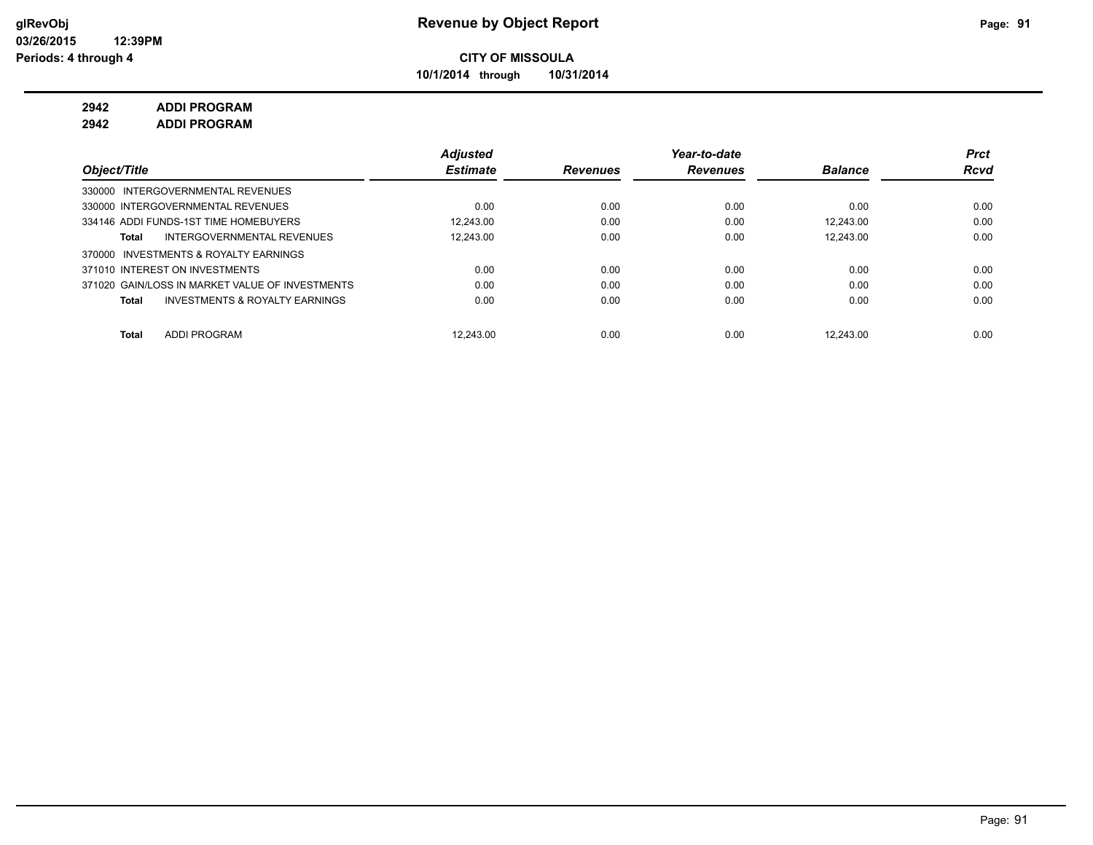**10/1/2014 through 10/31/2014**

# **2942 ADDI PROGRAM**

**2942 ADDI PROGRAM**

|                                                 | <b>Adjusted</b> |                 | Year-to-date    |                | <b>Prct</b> |
|-------------------------------------------------|-----------------|-----------------|-----------------|----------------|-------------|
| Object/Title                                    | <b>Estimate</b> | <b>Revenues</b> | <b>Revenues</b> | <b>Balance</b> | Rcvd        |
| 330000 INTERGOVERNMENTAL REVENUES               |                 |                 |                 |                |             |
| 330000 INTERGOVERNMENTAL REVENUES               | 0.00            | 0.00            | 0.00            | 0.00           | 0.00        |
| 334146 ADDI FUNDS-1ST TIME HOMEBUYERS           | 12.243.00       | 0.00            | 0.00            | 12.243.00      | 0.00        |
| INTERGOVERNMENTAL REVENUES<br>Total             | 12.243.00       | 0.00            | 0.00            | 12.243.00      | 0.00        |
| 370000 INVESTMENTS & ROYALTY EARNINGS           |                 |                 |                 |                |             |
| 371010 INTEREST ON INVESTMENTS                  | 0.00            | 0.00            | 0.00            | 0.00           | 0.00        |
| 371020 GAIN/LOSS IN MARKET VALUE OF INVESTMENTS | 0.00            | 0.00            | 0.00            | 0.00           | 0.00        |
| INVESTMENTS & ROYALTY EARNINGS<br>Total         | 0.00            | 0.00            | 0.00            | 0.00           | 0.00        |
|                                                 |                 |                 |                 |                |             |
| <b>ADDI PROGRAM</b><br>Total                    | 12.243.00       | 0.00            | 0.00            | 12.243.00      | 0.00        |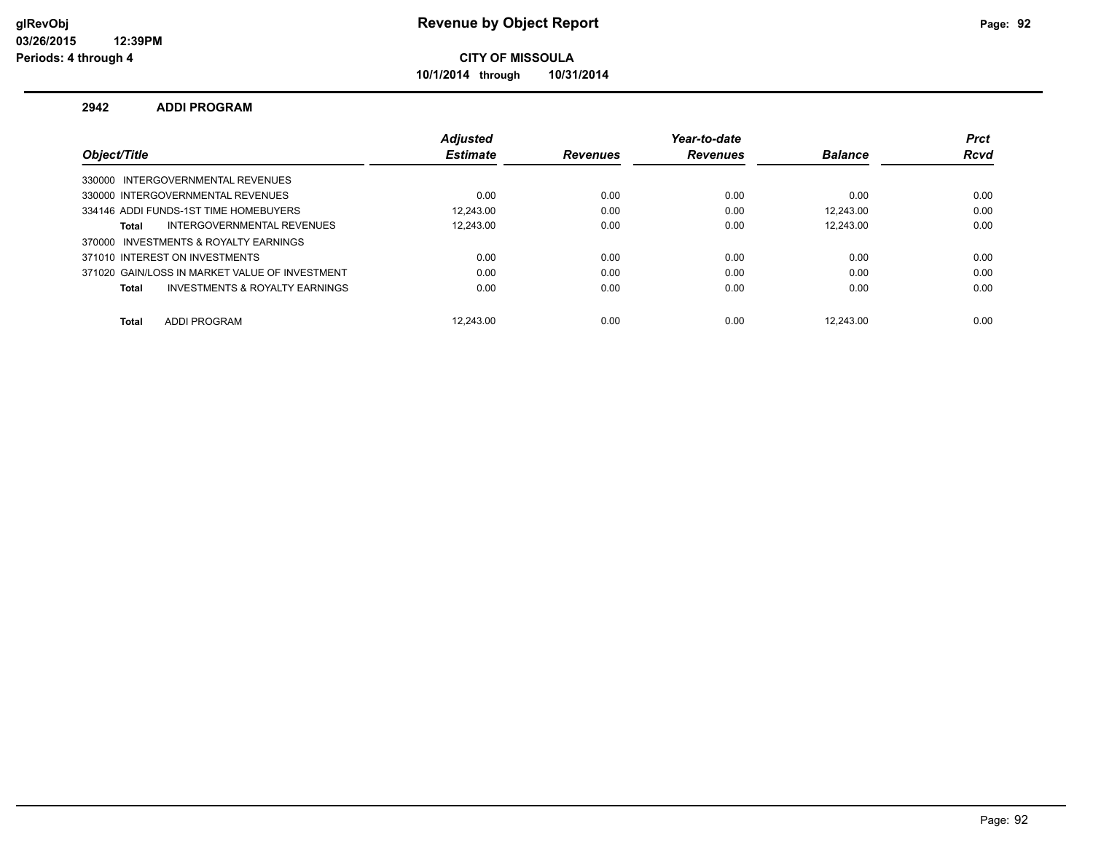**10/1/2014 through 10/31/2014**

#### **2942 ADDI PROGRAM**

|                                                | <b>Adjusted</b> |                 | Year-to-date    |                | <b>Prct</b> |
|------------------------------------------------|-----------------|-----------------|-----------------|----------------|-------------|
| Object/Title                                   | <b>Estimate</b> | <b>Revenues</b> | <b>Revenues</b> | <b>Balance</b> | <b>Rcvd</b> |
| 330000 INTERGOVERNMENTAL REVENUES              |                 |                 |                 |                |             |
| 330000 INTERGOVERNMENTAL REVENUES              | 0.00            | 0.00            | 0.00            | 0.00           | 0.00        |
| 334146 ADDI FUNDS-1ST TIME HOMEBUYERS          | 12.243.00       | 0.00            | 0.00            | 12.243.00      | 0.00        |
| INTERGOVERNMENTAL REVENUES<br>Total            | 12.243.00       | 0.00            | 0.00            | 12.243.00      | 0.00        |
| 370000 INVESTMENTS & ROYALTY EARNINGS          |                 |                 |                 |                |             |
| 371010 INTEREST ON INVESTMENTS                 | 0.00            | 0.00            | 0.00            | 0.00           | 0.00        |
| 371020 GAIN/LOSS IN MARKET VALUE OF INVESTMENT | 0.00            | 0.00            | 0.00            | 0.00           | 0.00        |
| INVESTMENTS & ROYALTY EARNINGS<br>Total        | 0.00            | 0.00            | 0.00            | 0.00           | 0.00        |
| <b>ADDI PROGRAM</b>                            | 12.243.00       | 0.00            | 0.00            | 12.243.00      | 0.00        |
| <b>Total</b>                                   |                 |                 |                 |                |             |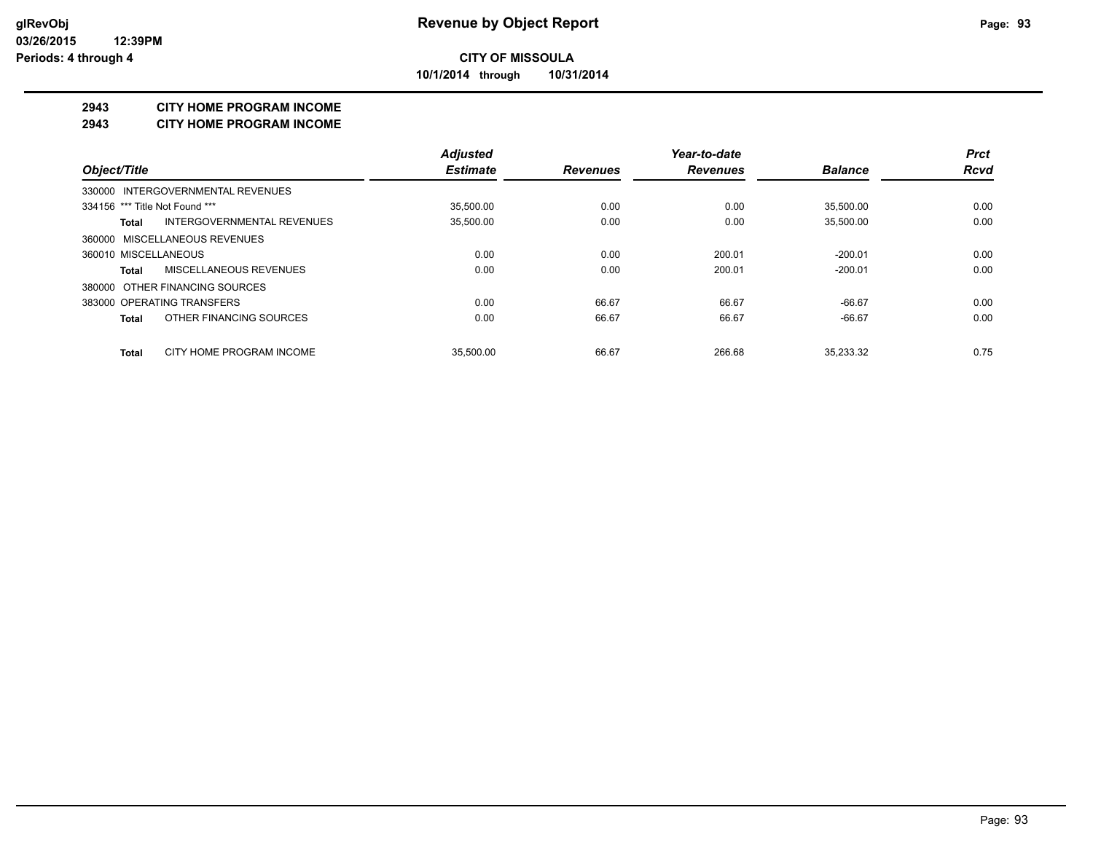**10/1/2014 through 10/31/2014**

#### **2943 CITY HOME PROGRAM INCOME**

#### **2943 CITY HOME PROGRAM INCOME**

|                                     | <b>Adjusted</b> |                 | Year-to-date    |                | <b>Prct</b> |
|-------------------------------------|-----------------|-----------------|-----------------|----------------|-------------|
| Object/Title                        | <b>Estimate</b> | <b>Revenues</b> | <b>Revenues</b> | <b>Balance</b> | <b>Rcvd</b> |
| 330000 INTERGOVERNMENTAL REVENUES   |                 |                 |                 |                |             |
| 334156 *** Title Not Found ***      | 35,500.00       | 0.00            | 0.00            | 35,500.00      | 0.00        |
| INTERGOVERNMENTAL REVENUES<br>Total | 35,500.00       | 0.00            | 0.00            | 35,500.00      | 0.00        |
| 360000 MISCELLANEOUS REVENUES       |                 |                 |                 |                |             |
| 360010 MISCELLANEOUS                | 0.00            | 0.00            | 200.01          | $-200.01$      | 0.00        |
| MISCELLANEOUS REVENUES<br>Total     | 0.00            | 0.00            | 200.01          | $-200.01$      | 0.00        |
| 380000 OTHER FINANCING SOURCES      |                 |                 |                 |                |             |
| 383000 OPERATING TRANSFERS          | 0.00            | 66.67           | 66.67           | $-66.67$       | 0.00        |
| OTHER FINANCING SOURCES<br>Total    | 0.00            | 66.67           | 66.67           | $-66.67$       | 0.00        |
| CITY HOME PROGRAM INCOME<br>Total   | 35.500.00       | 66.67           | 266.68          | 35.233.32      | 0.75        |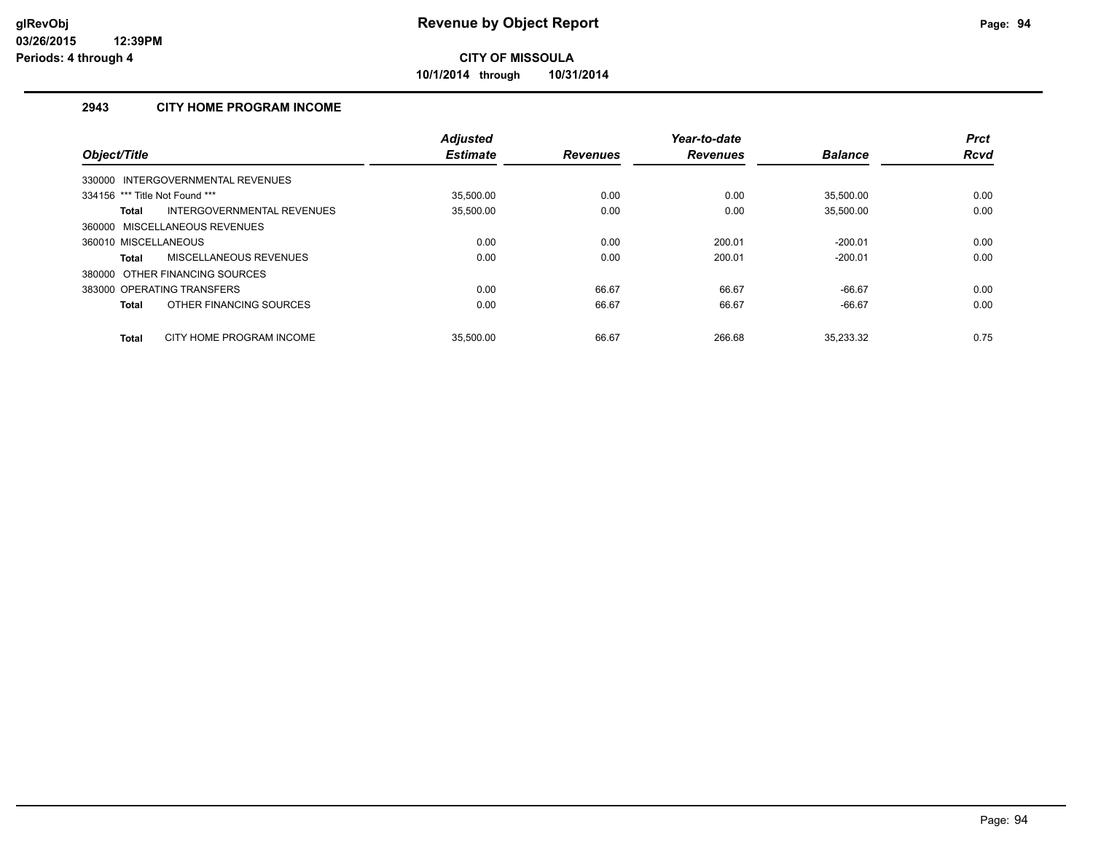**10/1/2014 through 10/31/2014**

## **2943 CITY HOME PROGRAM INCOME**

| Object/Title                   |                                   | <b>Adjusted</b><br><b>Estimate</b> | <b>Revenues</b> | Year-to-date<br><b>Revenues</b> | <b>Balance</b> | <b>Prct</b><br><b>Rcvd</b> |
|--------------------------------|-----------------------------------|------------------------------------|-----------------|---------------------------------|----------------|----------------------------|
|                                | 330000 INTERGOVERNMENTAL REVENUES |                                    |                 |                                 |                |                            |
| 334156 *** Title Not Found *** |                                   | 35.500.00                          | 0.00            | 0.00                            | 35.500.00      | 0.00                       |
| <b>Total</b>                   | INTERGOVERNMENTAL REVENUES        | 35,500.00                          | 0.00            | 0.00                            | 35.500.00      | 0.00                       |
|                                | 360000 MISCELLANEOUS REVENUES     |                                    |                 |                                 |                |                            |
| 360010 MISCELLANEOUS           |                                   | 0.00                               | 0.00            | 200.01                          | $-200.01$      | 0.00                       |
| <b>Total</b>                   | MISCELLANEOUS REVENUES            | 0.00                               | 0.00            | 200.01                          | $-200.01$      | 0.00                       |
|                                | 380000 OTHER FINANCING SOURCES    |                                    |                 |                                 |                |                            |
|                                | 383000 OPERATING TRANSFERS        | 0.00                               | 66.67           | 66.67                           | $-66.67$       | 0.00                       |
| <b>Total</b>                   | OTHER FINANCING SOURCES           | 0.00                               | 66.67           | 66.67                           | $-66.67$       | 0.00                       |
| <b>Total</b>                   | CITY HOME PROGRAM INCOME          | 35.500.00                          | 66.67           | 266.68                          | 35.233.32      | 0.75                       |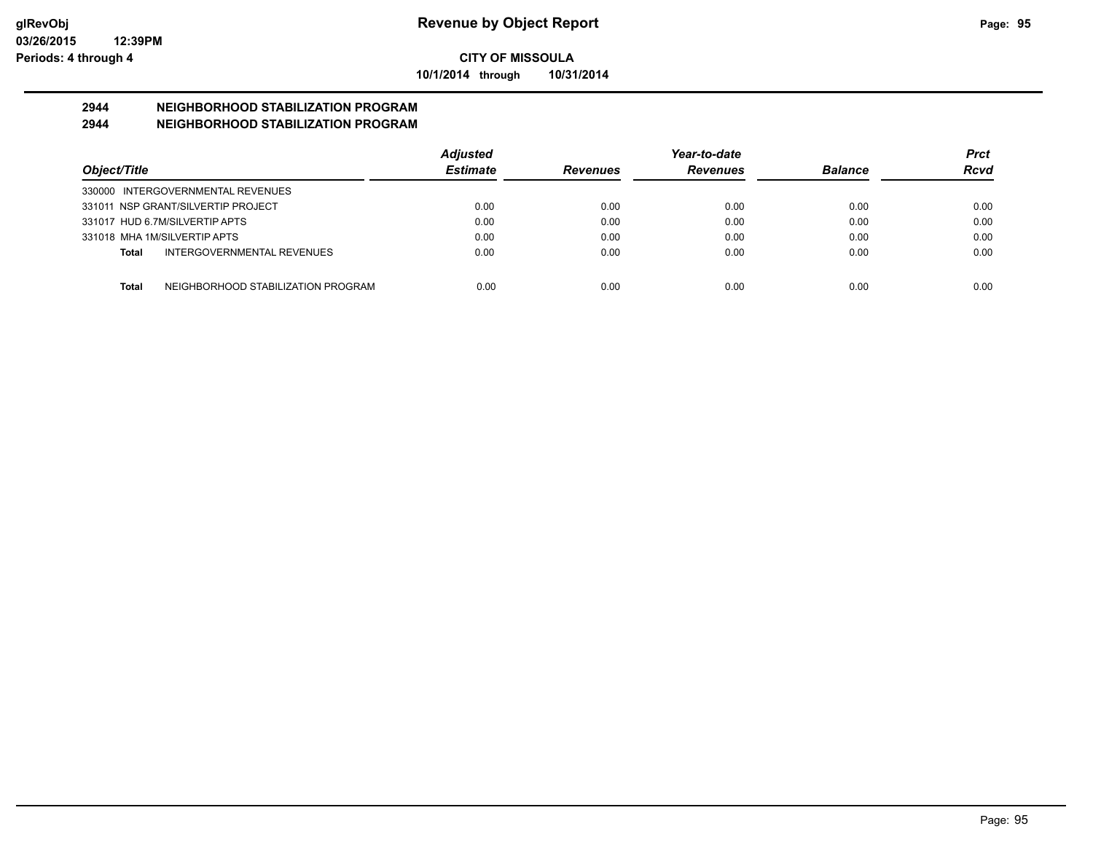**10/1/2014 through 10/31/2014**

# **2944 NEIGHBORHOOD STABILIZATION PROGRAM**

# **2944 NEIGHBORHOOD STABILIZATION PROGRAM**

|                                                    | <b>Adjusted</b> |                 | Year-to-date    |                | <b>Prct</b> |
|----------------------------------------------------|-----------------|-----------------|-----------------|----------------|-------------|
| Object/Title                                       | <b>Estimate</b> | <b>Revenues</b> | <b>Revenues</b> | <b>Balance</b> | Rcvd        |
| 330000 INTERGOVERNMENTAL REVENUES                  |                 |                 |                 |                |             |
| 331011 NSP GRANT/SILVERTIP PROJECT                 | 0.00            | 0.00            | 0.00            | 0.00           | 0.00        |
| 331017 HUD 6.7M/SILVERTIP APTS                     | 0.00            | 0.00            | 0.00            | 0.00           | 0.00        |
| 331018 MHA 1M/SILVERTIP APTS                       | 0.00            | 0.00            | 0.00            | 0.00           | 0.00        |
| <b>INTERGOVERNMENTAL REVENUES</b><br>Total         | 0.00            | 0.00            | 0.00            | 0.00           | 0.00        |
|                                                    |                 |                 |                 |                |             |
| NEIGHBORHOOD STABILIZATION PROGRAM<br><b>Total</b> | 0.00            | 0.00            | 0.00            | 0.00           | 0.00        |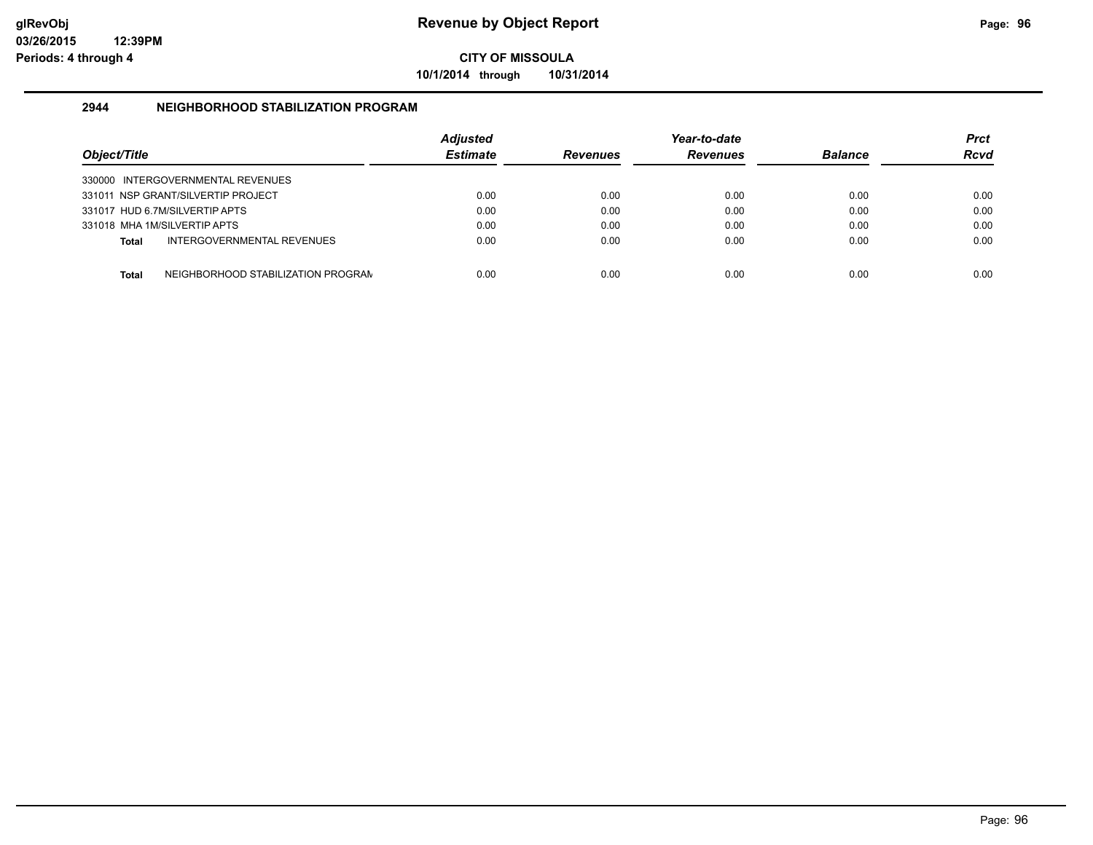**10/1/2014 through 10/31/2014**

#### **2944 NEIGHBORHOOD STABILIZATION PROGRAM**

| Object/Title |                                    | <b>Adiusted</b><br><b>Estimate</b> | <b>Revenues</b> | Year-to-date<br><b>Revenues</b> | <b>Balance</b> | <b>Prct</b><br><b>Rcvd</b> |
|--------------|------------------------------------|------------------------------------|-----------------|---------------------------------|----------------|----------------------------|
|              | 330000 INTERGOVERNMENTAL REVENUES  |                                    |                 |                                 |                |                            |
|              | 331011 NSP GRANT/SILVERTIP PROJECT | 0.00                               | 0.00            | 0.00                            | 0.00           | 0.00                       |
|              | 331017 HUD 6.7M/SILVERTIP APTS     | 0.00                               | 0.00            | 0.00                            | 0.00           | 0.00                       |
|              | 331018 MHA 1M/SILVERTIP APTS       | 0.00                               | 0.00            | 0.00                            | 0.00           | 0.00                       |
| <b>Total</b> | INTERGOVERNMENTAL REVENUES         | 0.00                               | 0.00            | 0.00                            | 0.00           | 0.00                       |
| <b>Total</b> | NEIGHBORHOOD STABILIZATION PROGRAM | 0.00                               | 0.00            | 0.00                            | 0.00           | 0.00                       |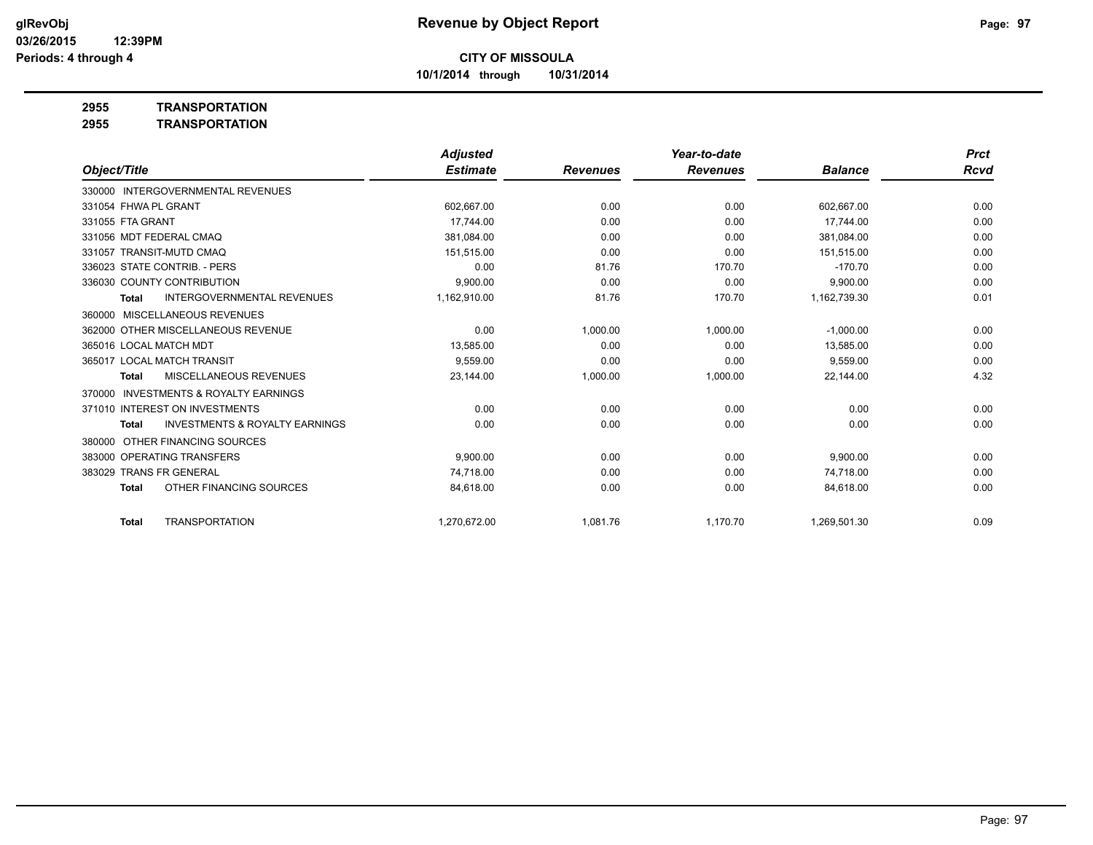**10/1/2014 through 10/31/2014**

### **2955 TRANSPORTATION**

**2955 TRANSPORTATION**

|                                   |                                           | <b>Adjusted</b> |                 | Year-to-date    |                | <b>Prct</b> |
|-----------------------------------|-------------------------------------------|-----------------|-----------------|-----------------|----------------|-------------|
| Object/Title                      |                                           | <b>Estimate</b> | <b>Revenues</b> | <b>Revenues</b> | <b>Balance</b> | Rcvd        |
| 330000 INTERGOVERNMENTAL REVENUES |                                           |                 |                 |                 |                |             |
| 331054 FHWA PL GRANT              |                                           | 602,667.00      | 0.00            | 0.00            | 602,667.00     | 0.00        |
| 331055 FTA GRANT                  |                                           | 17.744.00       | 0.00            | 0.00            | 17.744.00      | 0.00        |
| 331056 MDT FEDERAL CMAQ           |                                           | 381,084.00      | 0.00            | 0.00            | 381,084.00     | 0.00        |
| 331057 TRANSIT-MUTD CMAQ          |                                           | 151,515.00      | 0.00            | 0.00            | 151,515.00     | 0.00        |
| 336023 STATE CONTRIB. - PERS      |                                           | 0.00            | 81.76           | 170.70          | $-170.70$      | 0.00        |
| 336030 COUNTY CONTRIBUTION        |                                           | 9,900.00        | 0.00            | 0.00            | 9,900.00       | 0.00        |
| <b>Total</b>                      | <b>INTERGOVERNMENTAL REVENUES</b>         | 1,162,910.00    | 81.76           | 170.70          | 1,162,739.30   | 0.01        |
| 360000 MISCELLANEOUS REVENUES     |                                           |                 |                 |                 |                |             |
|                                   | 362000 OTHER MISCELLANEOUS REVENUE        | 0.00            | 1,000.00        | 1,000.00        | $-1,000.00$    | 0.00        |
| 365016 LOCAL MATCH MDT            |                                           | 13,585.00       | 0.00            | 0.00            | 13,585.00      | 0.00        |
| 365017 LOCAL MATCH TRANSIT        |                                           | 9,559.00        | 0.00            | 0.00            | 9,559.00       | 0.00        |
| <b>Total</b>                      | <b>MISCELLANEOUS REVENUES</b>             | 23,144.00       | 1,000.00        | 1,000.00        | 22,144.00      | 4.32        |
| 370000                            | <b>INVESTMENTS &amp; ROYALTY EARNINGS</b> |                 |                 |                 |                |             |
| 371010 INTEREST ON INVESTMENTS    |                                           | 0.00            | 0.00            | 0.00            | 0.00           | 0.00        |
| <b>Total</b>                      | <b>INVESTMENTS &amp; ROYALTY EARNINGS</b> | 0.00            | 0.00            | 0.00            | 0.00           | 0.00        |
| 380000                            | OTHER FINANCING SOURCES                   |                 |                 |                 |                |             |
| 383000 OPERATING TRANSFERS        |                                           | 9,900.00        | 0.00            | 0.00            | 9,900.00       | 0.00        |
| 383029 TRANS FR GENERAL           |                                           | 74.718.00       | 0.00            | 0.00            | 74.718.00      | 0.00        |
| <b>Total</b>                      | OTHER FINANCING SOURCES                   | 84,618.00       | 0.00            | 0.00            | 84,618.00      | 0.00        |
| <b>Total</b>                      | <b>TRANSPORTATION</b>                     | 1.270.672.00    | 1,081.76        | 1,170.70        | 1,269,501.30   | 0.09        |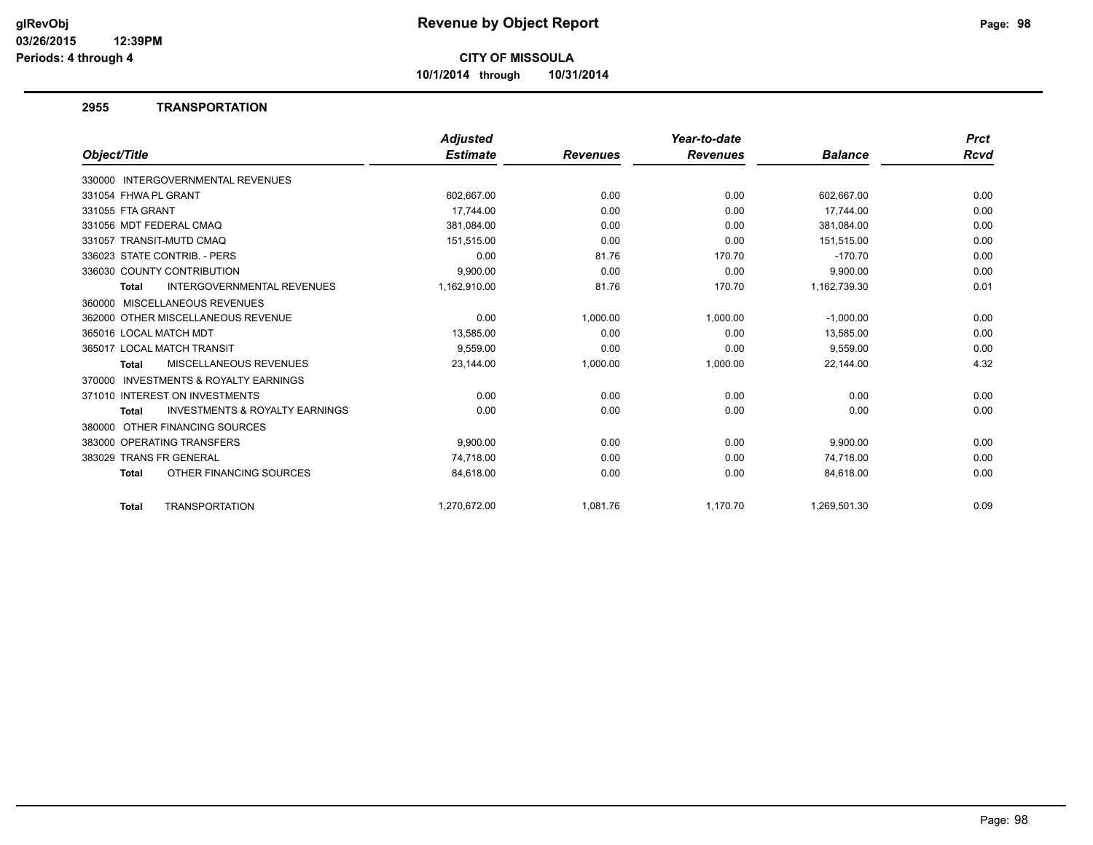**10/1/2014 through 10/31/2014**

#### **2955 TRANSPORTATION**

|                         |                                           | <b>Adjusted</b> |                 | Year-to-date    |                | <b>Prct</b> |
|-------------------------|-------------------------------------------|-----------------|-----------------|-----------------|----------------|-------------|
| Object/Title            |                                           | <b>Estimate</b> | <b>Revenues</b> | <b>Revenues</b> | <b>Balance</b> | <b>Rcvd</b> |
|                         | 330000 INTERGOVERNMENTAL REVENUES         |                 |                 |                 |                |             |
| 331054 FHWA PL GRANT    |                                           | 602,667.00      | 0.00            | 0.00            | 602,667.00     | 0.00        |
| 331055 FTA GRANT        |                                           | 17.744.00       | 0.00            | 0.00            | 17,744.00      | 0.00        |
| 331056 MDT FEDERAL CMAQ |                                           | 381,084.00      | 0.00            | 0.00            | 381,084.00     | 0.00        |
|                         | 331057 TRANSIT-MUTD CMAQ                  | 151,515.00      | 0.00            | 0.00            | 151,515.00     | 0.00        |
|                         | 336023 STATE CONTRIB. - PERS              | 0.00            | 81.76           | 170.70          | $-170.70$      | 0.00        |
|                         | 336030 COUNTY CONTRIBUTION                | 9,900.00        | 0.00            | 0.00            | 9,900.00       | 0.00        |
| <b>Total</b>            | <b>INTERGOVERNMENTAL REVENUES</b>         | 1,162,910.00    | 81.76           | 170.70          | 1,162,739.30   | 0.01        |
|                         | 360000 MISCELLANEOUS REVENUES             |                 |                 |                 |                |             |
|                         | 362000 OTHER MISCELLANEOUS REVENUE        | 0.00            | 1.000.00        | 1.000.00        | $-1,000.00$    | 0.00        |
| 365016 LOCAL MATCH MDT  |                                           | 13,585.00       | 0.00            | 0.00            | 13,585.00      | 0.00        |
|                         | 365017 LOCAL MATCH TRANSIT                | 9,559.00        | 0.00            | 0.00            | 9,559.00       | 0.00        |
| <b>Total</b>            | MISCELLANEOUS REVENUES                    | 23,144.00       | 1,000.00        | 1,000.00        | 22,144.00      | 4.32        |
|                         | 370000 INVESTMENTS & ROYALTY EARNINGS     |                 |                 |                 |                |             |
|                         | 371010 INTEREST ON INVESTMENTS            | 0.00            | 0.00            | 0.00            | 0.00           | 0.00        |
| <b>Total</b>            | <b>INVESTMENTS &amp; ROYALTY EARNINGS</b> | 0.00            | 0.00            | 0.00            | 0.00           | 0.00        |
|                         | 380000 OTHER FINANCING SOURCES            |                 |                 |                 |                |             |
|                         | 383000 OPERATING TRANSFERS                | 9,900.00        | 0.00            | 0.00            | 9,900.00       | 0.00        |
| 383029 TRANS FR GENERAL |                                           | 74,718.00       | 0.00            | 0.00            | 74,718.00      | 0.00        |
| Total                   | OTHER FINANCING SOURCES                   | 84,618.00       | 0.00            | 0.00            | 84,618.00      | 0.00        |
| Total                   | <b>TRANSPORTATION</b>                     | 1,270,672.00    | 1,081.76        | 1,170.70        | 1,269,501.30   | 0.09        |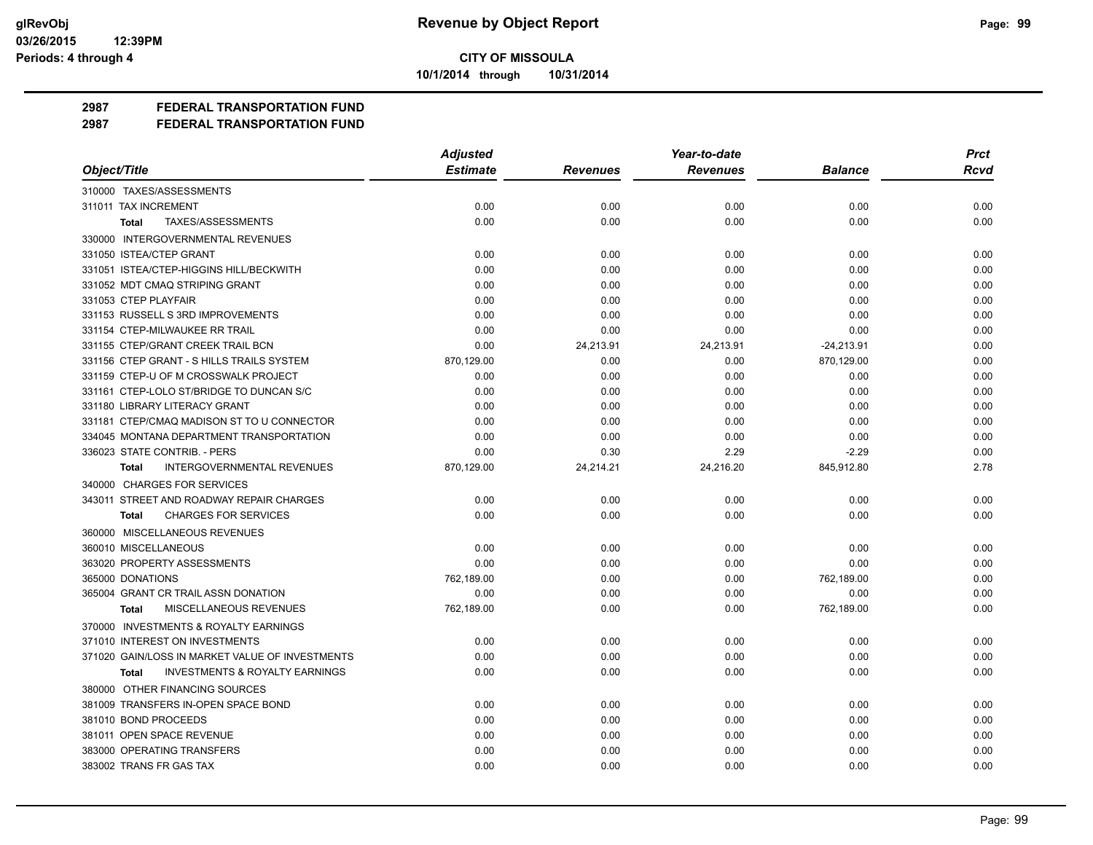**10/1/2014 through 10/31/2014**

**2987 FEDERAL TRANSPORTATION FUND**

|                                                    | <b>Adjusted</b> |                 | Year-to-date    |                | <b>Prct</b> |
|----------------------------------------------------|-----------------|-----------------|-----------------|----------------|-------------|
| Object/Title                                       | <b>Estimate</b> | <b>Revenues</b> | <b>Revenues</b> | <b>Balance</b> | Rcvd        |
| 310000 TAXES/ASSESSMENTS                           |                 |                 |                 |                |             |
| 311011 TAX INCREMENT                               | 0.00            | 0.00            | 0.00            | 0.00           | 0.00        |
| TAXES/ASSESSMENTS<br><b>Total</b>                  | 0.00            | 0.00            | 0.00            | 0.00           | 0.00        |
| 330000 INTERGOVERNMENTAL REVENUES                  |                 |                 |                 |                |             |
| 331050 ISTEA/CTEP GRANT                            | 0.00            | 0.00            | 0.00            | 0.00           | 0.00        |
| 331051 ISTEA/CTEP-HIGGINS HILL/BECKWITH            | 0.00            | 0.00            | 0.00            | 0.00           | 0.00        |
| 331052 MDT CMAQ STRIPING GRANT                     | 0.00            | 0.00            | 0.00            | 0.00           | 0.00        |
| 331053 CTEP PLAYFAIR                               | 0.00            | 0.00            | 0.00            | 0.00           | 0.00        |
| 331153 RUSSELL S 3RD IMPROVEMENTS                  | 0.00            | 0.00            | 0.00            | 0.00           | 0.00        |
| 331154 CTEP-MILWAUKEE RR TRAIL                     | 0.00            | 0.00            | 0.00            | 0.00           | 0.00        |
| 331155 CTEP/GRANT CREEK TRAIL BCN                  | 0.00            | 24,213.91       | 24,213.91       | $-24,213.91$   | 0.00        |
| 331156 CTEP GRANT - S HILLS TRAILS SYSTEM          | 870,129.00      | 0.00            | 0.00            | 870,129.00     | 0.00        |
| 331159 CTEP-U OF M CROSSWALK PROJECT               | 0.00            | 0.00            | 0.00            | 0.00           | 0.00        |
| 331161 CTEP-LOLO ST/BRIDGE TO DUNCAN S/C           | 0.00            | 0.00            | 0.00            | 0.00           | 0.00        |
| 331180 LIBRARY LITERACY GRANT                      | 0.00            | 0.00            | 0.00            | 0.00           | 0.00        |
| 331181 CTEP/CMAQ MADISON ST TO U CONNECTOR         | 0.00            | 0.00            | 0.00            | 0.00           | 0.00        |
| 334045 MONTANA DEPARTMENT TRANSPORTATION           | 0.00            | 0.00            | 0.00            | 0.00           | 0.00        |
| 336023 STATE CONTRIB. - PERS                       | 0.00            | 0.30            | 2.29            | $-2.29$        | 0.00        |
| <b>INTERGOVERNMENTAL REVENUES</b><br>Total         | 870,129.00      | 24,214.21       | 24,216.20       | 845,912.80     | 2.78        |
| 340000 CHARGES FOR SERVICES                        |                 |                 |                 |                |             |
| 343011 STREET AND ROADWAY REPAIR CHARGES           | 0.00            | 0.00            | 0.00            | 0.00           | 0.00        |
| <b>CHARGES FOR SERVICES</b><br><b>Total</b>        | 0.00            | 0.00            | 0.00            | 0.00           | 0.00        |
| 360000 MISCELLANEOUS REVENUES                      |                 |                 |                 |                |             |
| 360010 MISCELLANEOUS                               | 0.00            | 0.00            | 0.00            | 0.00           | 0.00        |
| 363020 PROPERTY ASSESSMENTS                        | 0.00            | 0.00            | 0.00            | 0.00           | 0.00        |
| 365000 DONATIONS                                   | 762,189.00      | 0.00            | 0.00            | 762,189.00     | 0.00        |
| 365004 GRANT CR TRAIL ASSN DONATION                | 0.00            | 0.00            | 0.00            | 0.00           | 0.00        |
| MISCELLANEOUS REVENUES<br>Total                    | 762,189.00      | 0.00            | 0.00            | 762,189.00     | 0.00        |
| 370000 INVESTMENTS & ROYALTY EARNINGS              |                 |                 |                 |                |             |
| 371010 INTEREST ON INVESTMENTS                     | 0.00            | 0.00            | 0.00            | 0.00           | 0.00        |
| 371020 GAIN/LOSS IN MARKET VALUE OF INVESTMENTS    | 0.00            | 0.00            | 0.00            | 0.00           | 0.00        |
| <b>INVESTMENTS &amp; ROYALTY EARNINGS</b><br>Total | 0.00            | 0.00            | 0.00            | 0.00           | 0.00        |
| 380000 OTHER FINANCING SOURCES                     |                 |                 |                 |                |             |
| 381009 TRANSFERS IN-OPEN SPACE BOND                | 0.00            | 0.00            | 0.00            | 0.00           | 0.00        |
| 381010 BOND PROCEEDS                               | 0.00            | 0.00            | 0.00            | 0.00           | 0.00        |
| 381011 OPEN SPACE REVENUE                          | 0.00            | 0.00            | 0.00            | 0.00           | 0.00        |
| 383000 OPERATING TRANSFERS                         | 0.00            | 0.00            | 0.00            | 0.00           | 0.00        |
| 383002 TRANS FR GAS TAX                            | 0.00            | 0.00            | 0.00            | 0.00           | 0.00        |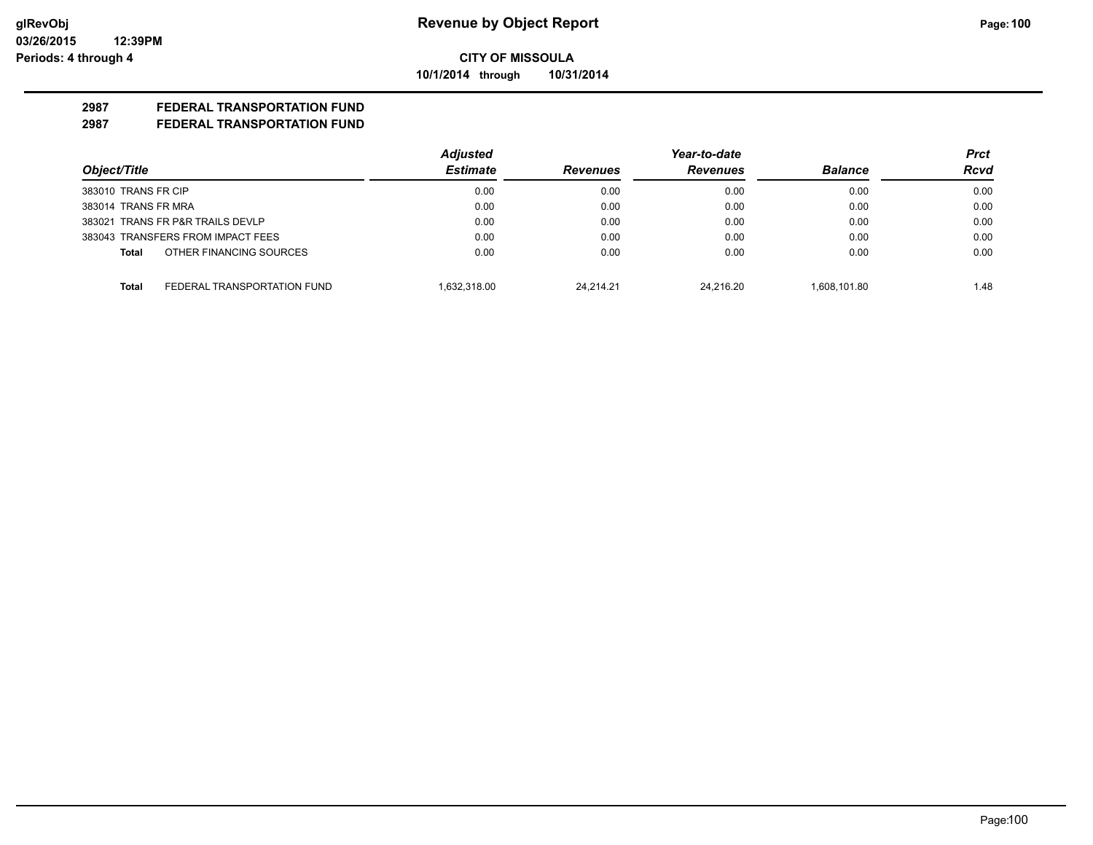**10/1/2014 through 10/31/2014**

# **2987 FEDERAL TRANSPORTATION FUND**

|                                      | <b>Adjusted</b> |                 | Year-to-date    |                | <b>Prct</b> |
|--------------------------------------|-----------------|-----------------|-----------------|----------------|-------------|
| Object/Title                         | <b>Estimate</b> | <b>Revenues</b> | <b>Revenues</b> | <b>Balance</b> | <b>Rcvd</b> |
| 383010 TRANS FR CIP                  | 0.00            | 0.00            | 0.00            | 0.00           | 0.00        |
| 383014 TRANS FR MRA                  | 0.00            | 0.00            | 0.00            | 0.00           | 0.00        |
| 383021 TRANS FR P&R TRAILS DEVLP     | 0.00            | 0.00            | 0.00            | 0.00           | 0.00        |
| 383043 TRANSFERS FROM IMPACT FEES    | 0.00            | 0.00            | 0.00            | 0.00           | 0.00        |
| OTHER FINANCING SOURCES<br>Total     | 0.00            | 0.00            | 0.00            | 0.00           | 0.00        |
| FEDERAL TRANSPORTATION FUND<br>Total | 1.632.318.00    | 24.214.21       | 24.216.20       | 1.608.101.80   | 1.48        |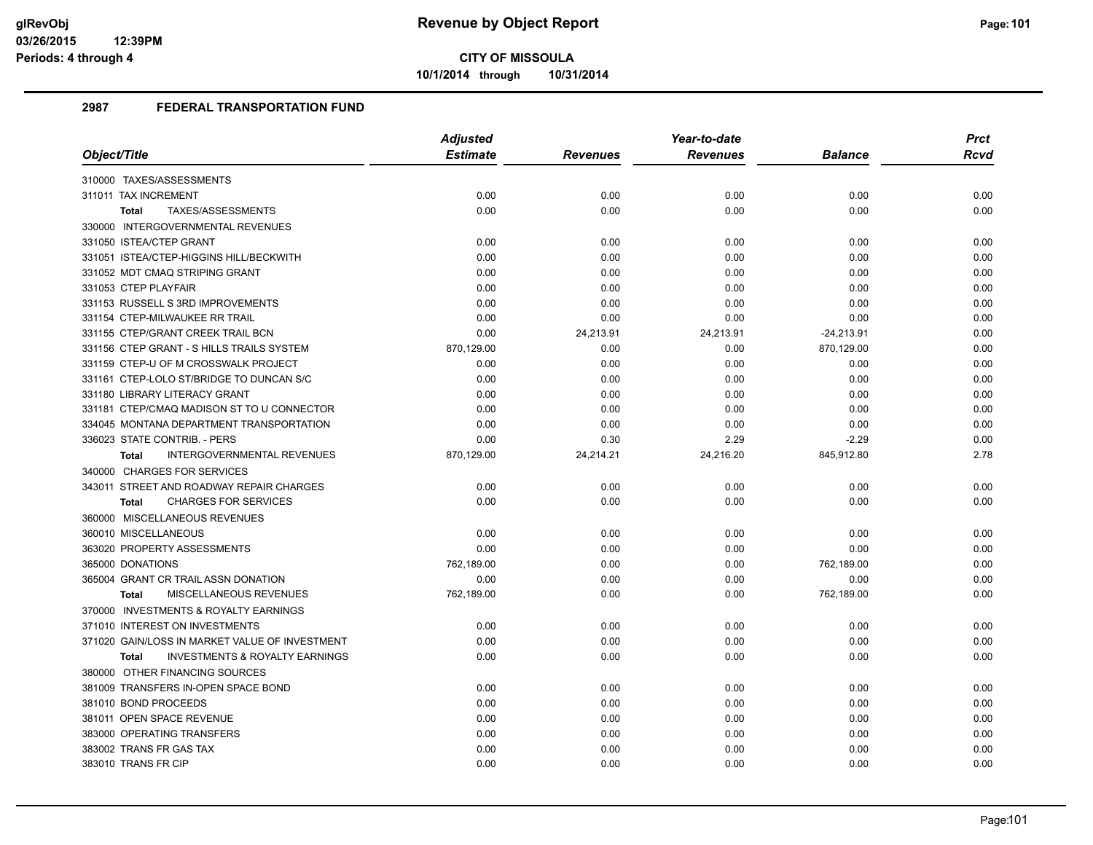**10/1/2014 through 10/31/2014**

|                                                           | <b>Adjusted</b> |                 | Year-to-date    |              | <b>Prct</b> |
|-----------------------------------------------------------|-----------------|-----------------|-----------------|--------------|-------------|
| Object/Title                                              | <b>Estimate</b> | <b>Revenues</b> | <b>Revenues</b> | Balance      | Rcvd        |
| 310000 TAXES/ASSESSMENTS                                  |                 |                 |                 |              |             |
| 311011 TAX INCREMENT                                      | 0.00            | 0.00            | 0.00            | 0.00         | 0.00        |
| TAXES/ASSESSMENTS<br><b>Total</b>                         | 0.00            | 0.00            | 0.00            | 0.00         | 0.00        |
| 330000 INTERGOVERNMENTAL REVENUES                         |                 |                 |                 |              |             |
| 331050 ISTEA/CTEP GRANT                                   | 0.00            | 0.00            | 0.00            | 0.00         | 0.00        |
| 331051 ISTEA/CTEP-HIGGINS HILL/BECKWITH                   | 0.00            | 0.00            | 0.00            | 0.00         | 0.00        |
| 331052 MDT CMAQ STRIPING GRANT                            | 0.00            | 0.00            | 0.00            | 0.00         | 0.00        |
| 331053 CTEP PLAYFAIR                                      | 0.00            | 0.00            | 0.00            | 0.00         | 0.00        |
| 331153 RUSSELL S 3RD IMPROVEMENTS                         | 0.00            | 0.00            | 0.00            | 0.00         | 0.00        |
| 331154 CTEP-MILWAUKEE RR TRAIL                            | 0.00            | 0.00            | 0.00            | 0.00         | 0.00        |
| 331155 CTEP/GRANT CREEK TRAIL BCN                         | 0.00            | 24,213.91       | 24,213.91       | $-24,213.91$ | 0.00        |
| 331156 CTEP GRANT - S HILLS TRAILS SYSTEM                 | 870.129.00      | 0.00            | 0.00            | 870.129.00   | 0.00        |
| 331159 CTEP-U OF M CROSSWALK PROJECT                      | 0.00            | 0.00            | 0.00            | 0.00         | 0.00        |
| 331161 CTEP-LOLO ST/BRIDGE TO DUNCAN S/C                  | 0.00            | 0.00            | 0.00            | 0.00         | 0.00        |
| 331180 LIBRARY LITERACY GRANT                             | 0.00            | 0.00            | 0.00            | 0.00         | 0.00        |
| 331181 CTEP/CMAQ MADISON ST TO U CONNECTOR                | 0.00            | 0.00            | 0.00            | 0.00         | 0.00        |
| 334045 MONTANA DEPARTMENT TRANSPORTATION                  | 0.00            | 0.00            | 0.00            | 0.00         | 0.00        |
| 336023 STATE CONTRIB. - PERS                              | 0.00            | 0.30            | 2.29            | $-2.29$      | 0.00        |
| INTERGOVERNMENTAL REVENUES<br><b>Total</b>                | 870,129.00      | 24,214.21       | 24,216.20       | 845,912.80   | 2.78        |
| 340000 CHARGES FOR SERVICES                               |                 |                 |                 |              |             |
| 343011 STREET AND ROADWAY REPAIR CHARGES                  | 0.00            | 0.00            | 0.00            | 0.00         | 0.00        |
| <b>CHARGES FOR SERVICES</b><br><b>Total</b>               | 0.00            | 0.00            | 0.00            | 0.00         | 0.00        |
| 360000 MISCELLANEOUS REVENUES                             |                 |                 |                 |              |             |
| 360010 MISCELLANEOUS                                      | 0.00            | 0.00            | 0.00            | 0.00         | 0.00        |
| 363020 PROPERTY ASSESSMENTS                               | 0.00            | 0.00            | 0.00            | 0.00         | 0.00        |
| 365000 DONATIONS                                          | 762,189.00      | 0.00            | 0.00            | 762,189.00   | 0.00        |
| 365004 GRANT CR TRAIL ASSN DONATION                       | 0.00            | 0.00            | 0.00            | 0.00         | 0.00        |
| MISCELLANEOUS REVENUES<br><b>Total</b>                    | 762,189.00      | 0.00            | 0.00            | 762,189.00   | 0.00        |
| 370000 INVESTMENTS & ROYALTY EARNINGS                     |                 |                 |                 |              |             |
| 371010 INTEREST ON INVESTMENTS                            | 0.00            | 0.00            | 0.00            | 0.00         | 0.00        |
| 371020 GAIN/LOSS IN MARKET VALUE OF INVESTMENT            | 0.00            | 0.00            | 0.00            | 0.00         | 0.00        |
| <b>INVESTMENTS &amp; ROYALTY EARNINGS</b><br><b>Total</b> | 0.00            | 0.00            | 0.00            | 0.00         | 0.00        |
| 380000 OTHER FINANCING SOURCES                            |                 |                 |                 |              |             |
| 381009 TRANSFERS IN-OPEN SPACE BOND                       | 0.00            | 0.00            | 0.00            | 0.00         | 0.00        |
| 381010 BOND PROCEEDS                                      | 0.00            | 0.00            | 0.00            | 0.00         | 0.00        |
| 381011 OPEN SPACE REVENUE                                 | 0.00            | 0.00            | 0.00            | 0.00         | 0.00        |
| 383000 OPERATING TRANSFERS                                | 0.00            | 0.00            | 0.00            | 0.00         | 0.00        |
| 383002 TRANS FR GAS TAX                                   | 0.00            | 0.00            | 0.00            | 0.00         | 0.00        |
| 383010 TRANS FR CIP                                       | 0.00            | 0.00            | 0.00            | 0.00         | 0.00        |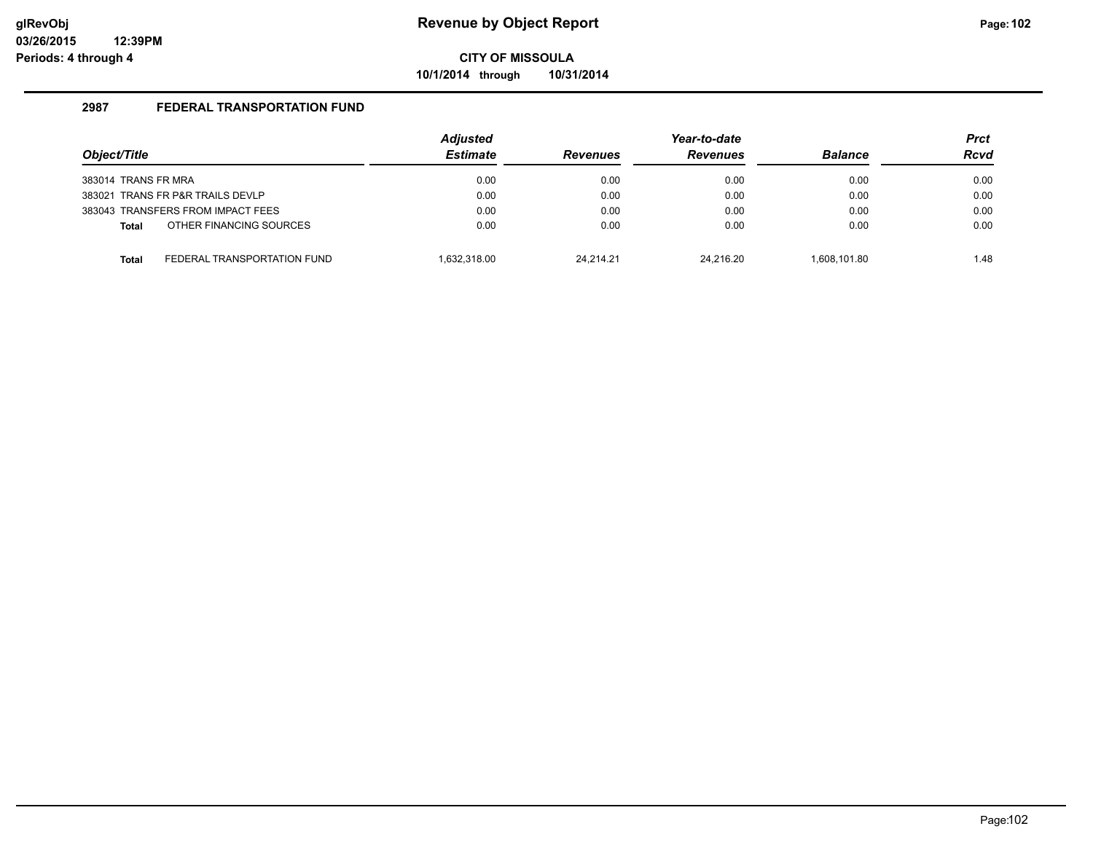**10/1/2014 through 10/31/2014**

| Object/Title        |                                   | <b>Adjusted</b><br><b>Estimate</b> | <b>Revenues</b> | Year-to-date<br><b>Revenues</b> | <b>Balance</b> | <b>Prct</b><br><b>Rcvd</b> |
|---------------------|-----------------------------------|------------------------------------|-----------------|---------------------------------|----------------|----------------------------|
|                     |                                   |                                    |                 |                                 |                |                            |
| 383014 TRANS FR MRA |                                   | 0.00                               | 0.00            | 0.00                            | 0.00           | 0.00                       |
|                     | 383021 TRANS FR P&R TRAILS DEVLP  | 0.00                               | 0.00            | 0.00                            | 0.00           | 0.00                       |
|                     | 383043 TRANSFERS FROM IMPACT FEES | 0.00                               | 0.00            | 0.00                            | 0.00           | 0.00                       |
| <b>Total</b>        | OTHER FINANCING SOURCES           | 0.00                               | 0.00            | 0.00                            | 0.00           | 0.00                       |
| <b>Total</b>        | FEDERAL TRANSPORTATION FUND       | 1.632.318.00                       | 24.214.21       | 24.216.20                       | 1.608.101.80   | 1.48                       |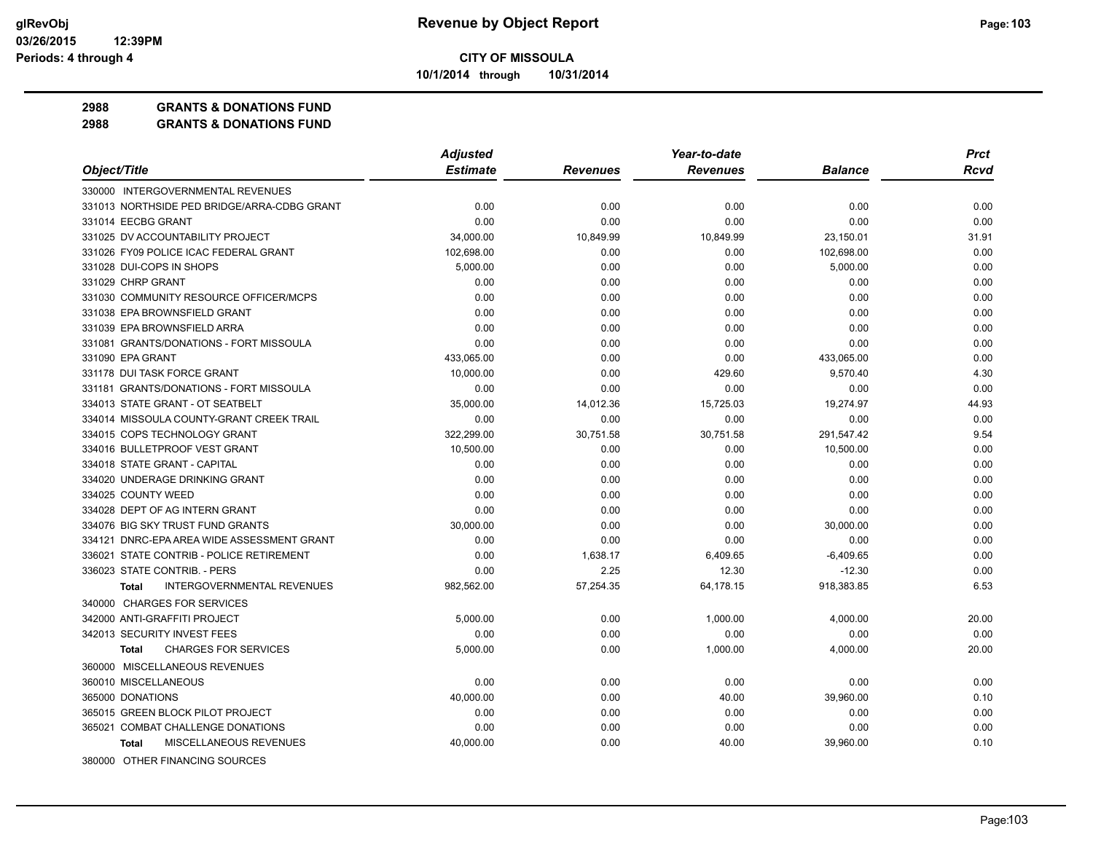**10/1/2014 through 10/31/2014**

**2988 GRANTS & DONATIONS FUND**

|                                                   | <b>Adjusted</b> |                 | Year-to-date    |                | <b>Prct</b> |
|---------------------------------------------------|-----------------|-----------------|-----------------|----------------|-------------|
| Object/Title                                      | <b>Estimate</b> | <b>Revenues</b> | <b>Revenues</b> | <b>Balance</b> | <b>Rcvd</b> |
| 330000 INTERGOVERNMENTAL REVENUES                 |                 |                 |                 |                |             |
| 331013 NORTHSIDE PED BRIDGE/ARRA-CDBG GRANT       | 0.00            | 0.00            | 0.00            | 0.00           | 0.00        |
| 331014 EECBG GRANT                                | 0.00            | 0.00            | 0.00            | 0.00           | 0.00        |
| 331025 DV ACCOUNTABILITY PROJECT                  | 34,000.00       | 10,849.99       | 10,849.99       | 23,150.01      | 31.91       |
| 331026 FY09 POLICE ICAC FEDERAL GRANT             | 102,698.00      | 0.00            | 0.00            | 102,698.00     | 0.00        |
| 331028 DUI-COPS IN SHOPS                          | 5,000.00        | 0.00            | 0.00            | 5,000.00       | 0.00        |
| 331029 CHRP GRANT                                 | 0.00            | 0.00            | 0.00            | 0.00           | 0.00        |
| 331030 COMMUNITY RESOURCE OFFICER/MCPS            | 0.00            | 0.00            | 0.00            | 0.00           | 0.00        |
| 331038 EPA BROWNSFIELD GRANT                      | 0.00            | 0.00            | 0.00            | 0.00           | 0.00        |
| 331039 EPA BROWNSFIELD ARRA                       | 0.00            | 0.00            | 0.00            | 0.00           | 0.00        |
| 331081 GRANTS/DONATIONS - FORT MISSOULA           | 0.00            | 0.00            | 0.00            | 0.00           | 0.00        |
| 331090 EPA GRANT                                  | 433,065.00      | 0.00            | 0.00            | 433,065.00     | 0.00        |
| 331178 DUI TASK FORCE GRANT                       | 10,000.00       | 0.00            | 429.60          | 9,570.40       | 4.30        |
| 331181 GRANTS/DONATIONS - FORT MISSOULA           | 0.00            | 0.00            | 0.00            | 0.00           | 0.00        |
| 334013 STATE GRANT - OT SEATBELT                  | 35,000.00       | 14,012.36       | 15,725.03       | 19,274.97      | 44.93       |
| 334014 MISSOULA COUNTY-GRANT CREEK TRAIL          | 0.00            | 0.00            | 0.00            | 0.00           | 0.00        |
| 334015 COPS TECHNOLOGY GRANT                      | 322,299.00      | 30,751.58       | 30,751.58       | 291,547.42     | 9.54        |
| 334016 BULLETPROOF VEST GRANT                     | 10,500.00       | 0.00            | 0.00            | 10,500.00      | 0.00        |
| 334018 STATE GRANT - CAPITAL                      | 0.00            | 0.00            | 0.00            | 0.00           | 0.00        |
| 334020 UNDERAGE DRINKING GRANT                    | 0.00            | 0.00            | 0.00            | 0.00           | 0.00        |
| 334025 COUNTY WEED                                | 0.00            | 0.00            | 0.00            | 0.00           | 0.00        |
| 334028 DEPT OF AG INTERN GRANT                    | 0.00            | 0.00            | 0.00            | 0.00           | 0.00        |
| 334076 BIG SKY TRUST FUND GRANTS                  | 30,000.00       | 0.00            | 0.00            | 30,000.00      | 0.00        |
| 334121 DNRC-EPA AREA WIDE ASSESSMENT GRANT        | 0.00            | 0.00            | 0.00            | 0.00           | 0.00        |
| 336021 STATE CONTRIB - POLICE RETIREMENT          | 0.00            | 1,638.17        | 6,409.65        | $-6,409.65$    | 0.00        |
| 336023 STATE CONTRIB. - PERS                      | 0.00            | 2.25            | 12.30           | $-12.30$       | 0.00        |
| <b>INTERGOVERNMENTAL REVENUES</b><br><b>Total</b> | 982,562.00      | 57,254.35       | 64,178.15       | 918,383.85     | 6.53        |
| 340000 CHARGES FOR SERVICES                       |                 |                 |                 |                |             |
| 342000 ANTI-GRAFFITI PROJECT                      | 5,000.00        | 0.00            | 1,000.00        | 4,000.00       | 20.00       |
| 342013 SECURITY INVEST FEES                       | 0.00            | 0.00            | 0.00            | 0.00           | 0.00        |
| <b>CHARGES FOR SERVICES</b><br>Total              | 5,000.00        | 0.00            | 1,000.00        | 4,000.00       | 20.00       |
| 360000 MISCELLANEOUS REVENUES                     |                 |                 |                 |                |             |
| 360010 MISCELLANEOUS                              | 0.00            | 0.00            | 0.00            | 0.00           | 0.00        |
| 365000 DONATIONS                                  | 40,000.00       | 0.00            | 40.00           | 39,960.00      | 0.10        |
| 365015 GREEN BLOCK PILOT PROJECT                  | 0.00            | 0.00            | 0.00            | 0.00           | 0.00        |
| 365021 COMBAT CHALLENGE DONATIONS                 | 0.00            | 0.00            | 0.00            | 0.00           | 0.00        |
| MISCELLANEOUS REVENUES<br>Total                   | 40,000.00       | 0.00            | 40.00           | 39,960.00      | 0.10        |
| 380000 OTHER FINANCING SOURCES                    |                 |                 |                 |                |             |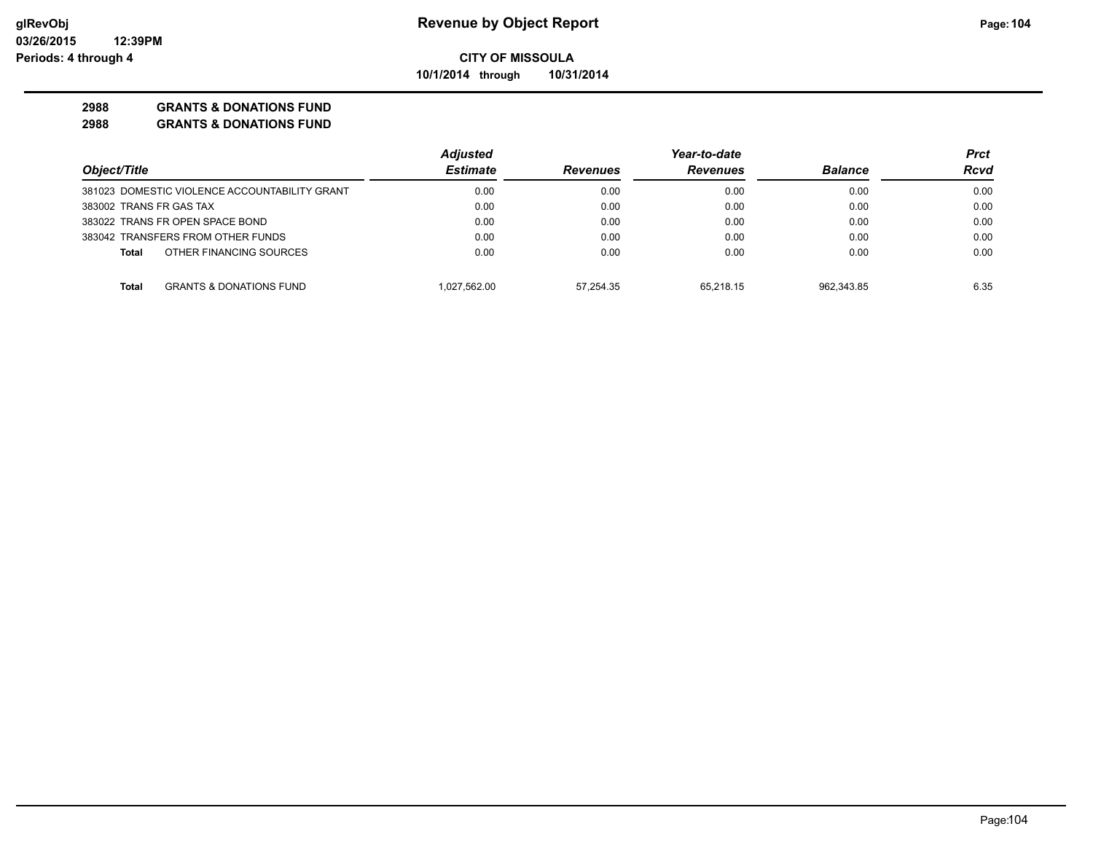**10/1/2014 through 10/31/2014**

#### **2988 GRANTS & DONATIONS FUND**

|                                               | <b>Adjusted</b> | Year-to-date    |                 |                | Prct |
|-----------------------------------------------|-----------------|-----------------|-----------------|----------------|------|
| Object/Title                                  | <b>Estimate</b> | <b>Revenues</b> | <b>Revenues</b> | <b>Balance</b> | Rcvd |
| 381023 DOMESTIC VIOLENCE ACCOUNTABILITY GRANT | 0.00            | 0.00            | 0.00            | 0.00           | 0.00 |
| 383002 TRANS FR GAS TAX                       | 0.00            | 0.00            | 0.00            | 0.00           | 0.00 |
| 383022 TRANS FR OPEN SPACE BOND               | 0.00            | 0.00            | 0.00            | 0.00           | 0.00 |
| 383042 TRANSFERS FROM OTHER FUNDS             | 0.00            | 0.00            | 0.00            | 0.00           | 0.00 |
| OTHER FINANCING SOURCES<br><b>Total</b>       | 0.00            | 0.00            | 0.00            | 0.00           | 0.00 |
| <b>GRANTS &amp; DONATIONS FUND</b><br>Total   | 1.027.562.00    | 57.254.35       | 65.218.15       | 962.343.85     | 6.35 |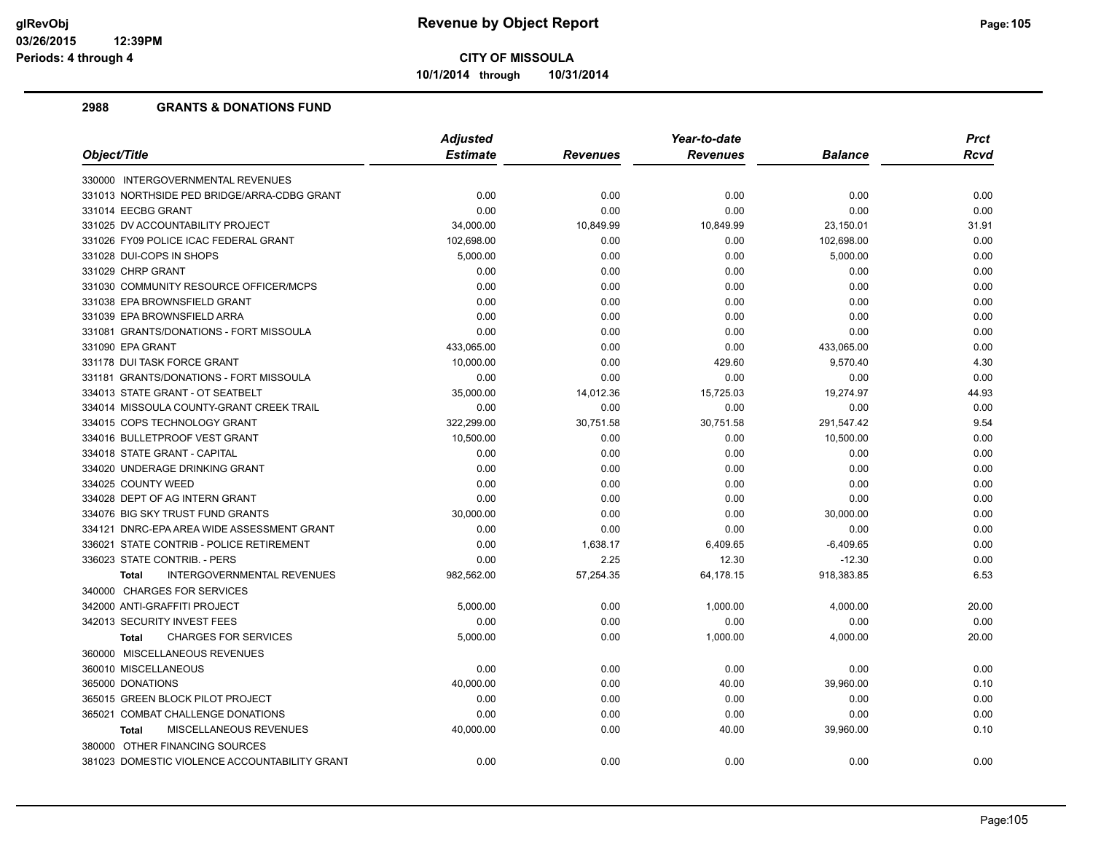**10/1/2014 through 10/31/2014**

|                                                   | <b>Adjusted</b> |                 | Year-to-date    |                | <b>Prct</b> |
|---------------------------------------------------|-----------------|-----------------|-----------------|----------------|-------------|
| Object/Title                                      | <b>Estimate</b> | <b>Revenues</b> | <b>Revenues</b> | <b>Balance</b> | <b>Rcvd</b> |
| 330000 INTERGOVERNMENTAL REVENUES                 |                 |                 |                 |                |             |
| 331013 NORTHSIDE PED BRIDGE/ARRA-CDBG GRANT       | 0.00            | 0.00            | 0.00            | 0.00           | 0.00        |
| 331014 EECBG GRANT                                | 0.00            | 0.00            | 0.00            | 0.00           | 0.00        |
| 331025 DV ACCOUNTABILITY PROJECT                  | 34,000.00       | 10,849.99       | 10,849.99       | 23,150.01      | 31.91       |
| 331026 FY09 POLICE ICAC FEDERAL GRANT             | 102,698.00      | 0.00            | 0.00            | 102,698.00     | 0.00        |
| 331028 DUI-COPS IN SHOPS                          | 5,000.00        | 0.00            | 0.00            | 5,000.00       | 0.00        |
| 331029 CHRP GRANT                                 | 0.00            | 0.00            | 0.00            | 0.00           | 0.00        |
| 331030 COMMUNITY RESOURCE OFFICER/MCPS            | 0.00            | 0.00            | 0.00            | 0.00           | 0.00        |
| 331038 EPA BROWNSFIELD GRANT                      | 0.00            | 0.00            | 0.00            | 0.00           | 0.00        |
| 331039 EPA BROWNSFIELD ARRA                       | 0.00            | 0.00            | 0.00            | 0.00           | 0.00        |
| 331081 GRANTS/DONATIONS - FORT MISSOULA           | 0.00            | 0.00            | 0.00            | 0.00           | 0.00        |
| 331090 EPA GRANT                                  | 433,065.00      | 0.00            | 0.00            | 433,065.00     | 0.00        |
| 331178 DUI TASK FORCE GRANT                       | 10,000.00       | 0.00            | 429.60          | 9,570.40       | 4.30        |
| 331181 GRANTS/DONATIONS - FORT MISSOULA           | 0.00            | 0.00            | 0.00            | 0.00           | 0.00        |
| 334013 STATE GRANT - OT SEATBELT                  | 35,000.00       | 14,012.36       | 15,725.03       | 19,274.97      | 44.93       |
| 334014 MISSOULA COUNTY-GRANT CREEK TRAIL          | 0.00            | 0.00            | 0.00            | 0.00           | 0.00        |
| 334015 COPS TECHNOLOGY GRANT                      | 322,299.00      | 30,751.58       | 30,751.58       | 291,547.42     | 9.54        |
| 334016 BULLETPROOF VEST GRANT                     | 10,500.00       | 0.00            | 0.00            | 10,500.00      | 0.00        |
| 334018 STATE GRANT - CAPITAL                      | 0.00            | 0.00            | 0.00            | 0.00           | 0.00        |
| 334020 UNDERAGE DRINKING GRANT                    | 0.00            | 0.00            | 0.00            | 0.00           | 0.00        |
| 334025 COUNTY WEED                                | 0.00            | 0.00            | 0.00            | 0.00           | 0.00        |
| 334028 DEPT OF AG INTERN GRANT                    | 0.00            | 0.00            | 0.00            | 0.00           | 0.00        |
| 334076 BIG SKY TRUST FUND GRANTS                  | 30,000.00       | 0.00            | 0.00            | 30,000.00      | 0.00        |
| 334121 DNRC-EPA AREA WIDE ASSESSMENT GRANT        | 0.00            | 0.00            | 0.00            | 0.00           | 0.00        |
| 336021 STATE CONTRIB - POLICE RETIREMENT          | 0.00            | 1,638.17        | 6,409.65        | $-6,409.65$    | 0.00        |
| 336023 STATE CONTRIB. - PERS                      | 0.00            | 2.25            | 12.30           | $-12.30$       | 0.00        |
| <b>INTERGOVERNMENTAL REVENUES</b><br><b>Total</b> | 982,562.00      | 57,254.35       | 64,178.15       | 918,383.85     | 6.53        |
| 340000 CHARGES FOR SERVICES                       |                 |                 |                 |                |             |
| 342000 ANTI-GRAFFITI PROJECT                      | 5,000.00        | 0.00            | 1,000.00        | 4,000.00       | 20.00       |
| 342013 SECURITY INVEST FEES                       | 0.00            | 0.00            | 0.00            | 0.00           | 0.00        |
| <b>CHARGES FOR SERVICES</b><br><b>Total</b>       | 5,000.00        | 0.00            | 1,000.00        | 4,000.00       | 20.00       |
| 360000 MISCELLANEOUS REVENUES                     |                 |                 |                 |                |             |
| 360010 MISCELLANEOUS                              | 0.00            | 0.00            | 0.00            | 0.00           | 0.00        |
| 365000 DONATIONS                                  | 40,000.00       | 0.00            | 40.00           | 39,960.00      | 0.10        |
| 365015 GREEN BLOCK PILOT PROJECT                  | 0.00            | 0.00            | 0.00            | 0.00           | 0.00        |
| 365021 COMBAT CHALLENGE DONATIONS                 | 0.00            | 0.00            | 0.00            | 0.00           | 0.00        |
| MISCELLANEOUS REVENUES<br><b>Total</b>            | 40,000.00       | 0.00            | 40.00           | 39,960.00      | 0.10        |
| 380000 OTHER FINANCING SOURCES                    |                 |                 |                 |                |             |
| 381023 DOMESTIC VIOLENCE ACCOUNTABILITY GRANT     | 0.00            | 0.00            | 0.00            | 0.00           | 0.00        |
|                                                   |                 |                 |                 |                |             |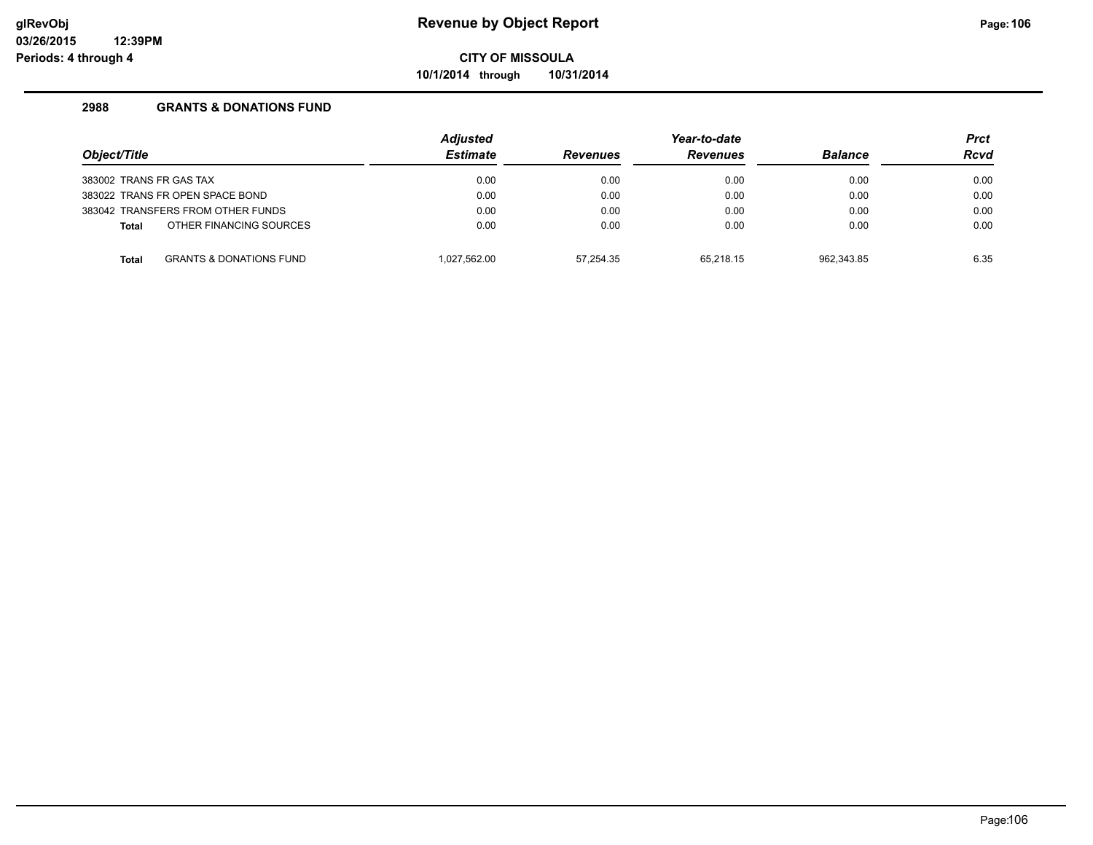**10/1/2014 through 10/31/2014**

| Object/Title                                       |  | <b>Adjusted</b> |                 | Year-to-date    |            |             |
|----------------------------------------------------|--|-----------------|-----------------|-----------------|------------|-------------|
|                                                    |  | <b>Estimate</b> | <b>Revenues</b> | <b>Revenues</b> |            | <b>Rcvd</b> |
| 383002 TRANS FR GAS TAX                            |  | 0.00            | 0.00            | 0.00            | 0.00       | 0.00        |
| 383022 TRANS FR OPEN SPACE BOND                    |  | 0.00            | 0.00            | 0.00            | 0.00       | 0.00        |
| 383042 TRANSFERS FROM OTHER FUNDS                  |  | 0.00            | 0.00            | 0.00            | 0.00       | 0.00        |
| OTHER FINANCING SOURCES<br><b>Total</b>            |  | 0.00            | 0.00            | 0.00            | 0.00       | 0.00        |
| <b>GRANTS &amp; DONATIONS FUND</b><br><b>Total</b> |  | 1.027.562.00    | 57.254.35       | 65.218.15       | 962.343.85 | 6.35        |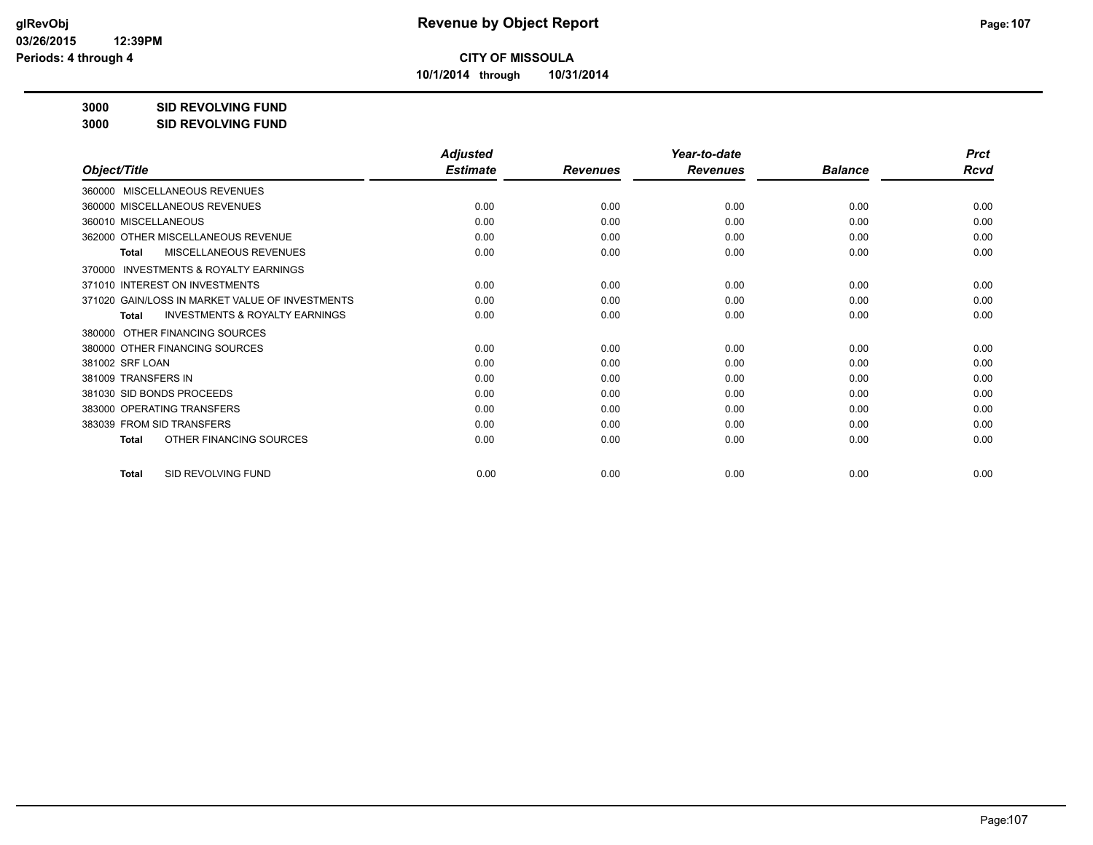**10/1/2014 through 10/31/2014**

# **3000 SID REVOLVING FUND**

**3000 SID REVOLVING FUND**

|                                                           | <b>Adjusted</b> |                 | Year-to-date    |                | <b>Prct</b> |
|-----------------------------------------------------------|-----------------|-----------------|-----------------|----------------|-------------|
| Object/Title                                              | <b>Estimate</b> | <b>Revenues</b> | <b>Revenues</b> | <b>Balance</b> | <b>Rcvd</b> |
| MISCELLANEOUS REVENUES<br>360000                          |                 |                 |                 |                |             |
| 360000 MISCELLANEOUS REVENUES                             | 0.00            | 0.00            | 0.00            | 0.00           | 0.00        |
| 360010 MISCELLANEOUS                                      | 0.00            | 0.00            | 0.00            | 0.00           | 0.00        |
| 362000 OTHER MISCELLANEOUS REVENUE                        | 0.00            | 0.00            | 0.00            | 0.00           | 0.00        |
| MISCELLANEOUS REVENUES<br><b>Total</b>                    | 0.00            | 0.00            | 0.00            | 0.00           | 0.00        |
| <b>INVESTMENTS &amp; ROYALTY EARNINGS</b><br>370000       |                 |                 |                 |                |             |
| 371010 INTEREST ON INVESTMENTS                            | 0.00            | 0.00            | 0.00            | 0.00           | 0.00        |
| 371020 GAIN/LOSS IN MARKET VALUE OF INVESTMENTS           | 0.00            | 0.00            | 0.00            | 0.00           | 0.00        |
| <b>INVESTMENTS &amp; ROYALTY EARNINGS</b><br><b>Total</b> | 0.00            | 0.00            | 0.00            | 0.00           | 0.00        |
| OTHER FINANCING SOURCES<br>380000                         |                 |                 |                 |                |             |
| 380000 OTHER FINANCING SOURCES                            | 0.00            | 0.00            | 0.00            | 0.00           | 0.00        |
| 381002 SRF LOAN                                           | 0.00            | 0.00            | 0.00            | 0.00           | 0.00        |
| 381009 TRANSFERS IN                                       | 0.00            | 0.00            | 0.00            | 0.00           | 0.00        |
| 381030 SID BONDS PROCEEDS                                 | 0.00            | 0.00            | 0.00            | 0.00           | 0.00        |
| 383000 OPERATING TRANSFERS                                | 0.00            | 0.00            | 0.00            | 0.00           | 0.00        |
| 383039 FROM SID TRANSFERS                                 | 0.00            | 0.00            | 0.00            | 0.00           | 0.00        |
| OTHER FINANCING SOURCES<br>Total                          | 0.00            | 0.00            | 0.00            | 0.00           | 0.00        |
| SID REVOLVING FUND<br><b>Total</b>                        | 0.00            | 0.00            | 0.00            | 0.00           | 0.00        |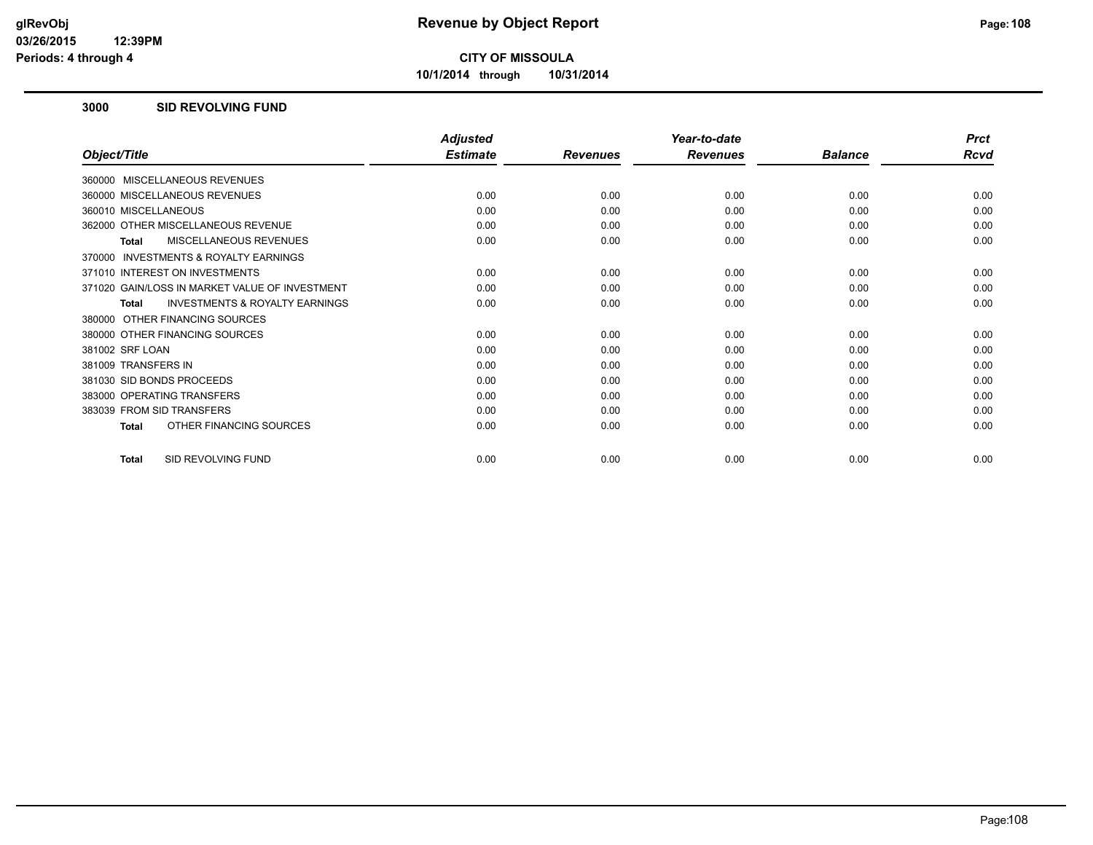**10/1/2014 through 10/31/2014**

#### **3000 SID REVOLVING FUND**

|                                                           | <b>Adjusted</b> |                 | Year-to-date    |                | <b>Prct</b> |
|-----------------------------------------------------------|-----------------|-----------------|-----------------|----------------|-------------|
| Object/Title                                              | <b>Estimate</b> | <b>Revenues</b> | <b>Revenues</b> | <b>Balance</b> | Rcvd        |
| 360000 MISCELLANEOUS REVENUES                             |                 |                 |                 |                |             |
| 360000 MISCELLANEOUS REVENUES                             | 0.00            | 0.00            | 0.00            | 0.00           | 0.00        |
| 360010 MISCELLANEOUS                                      | 0.00            | 0.00            | 0.00            | 0.00           | 0.00        |
| 362000 OTHER MISCELLANEOUS REVENUE                        | 0.00            | 0.00            | 0.00            | 0.00           | 0.00        |
| <b>MISCELLANEOUS REVENUES</b><br><b>Total</b>             | 0.00            | 0.00            | 0.00            | 0.00           | 0.00        |
| INVESTMENTS & ROYALTY EARNINGS<br>370000                  |                 |                 |                 |                |             |
| 371010 INTEREST ON INVESTMENTS                            | 0.00            | 0.00            | 0.00            | 0.00           | 0.00        |
| 371020 GAIN/LOSS IN MARKET VALUE OF INVESTMENT            | 0.00            | 0.00            | 0.00            | 0.00           | 0.00        |
| <b>INVESTMENTS &amp; ROYALTY EARNINGS</b><br><b>Total</b> | 0.00            | 0.00            | 0.00            | 0.00           | 0.00        |
| 380000 OTHER FINANCING SOURCES                            |                 |                 |                 |                |             |
| 380000 OTHER FINANCING SOURCES                            | 0.00            | 0.00            | 0.00            | 0.00           | 0.00        |
| 381002 SRF LOAN                                           | 0.00            | 0.00            | 0.00            | 0.00           | 0.00        |
| 381009 TRANSFERS IN                                       | 0.00            | 0.00            | 0.00            | 0.00           | 0.00        |
| 381030 SID BONDS PROCEEDS                                 | 0.00            | 0.00            | 0.00            | 0.00           | 0.00        |
| 383000 OPERATING TRANSFERS                                | 0.00            | 0.00            | 0.00            | 0.00           | 0.00        |
| 383039 FROM SID TRANSFERS                                 | 0.00            | 0.00            | 0.00            | 0.00           | 0.00        |
| OTHER FINANCING SOURCES<br><b>Total</b>                   | 0.00            | 0.00            | 0.00            | 0.00           | 0.00        |
| SID REVOLVING FUND<br><b>Total</b>                        | 0.00            | 0.00            | 0.00            | 0.00           | 0.00        |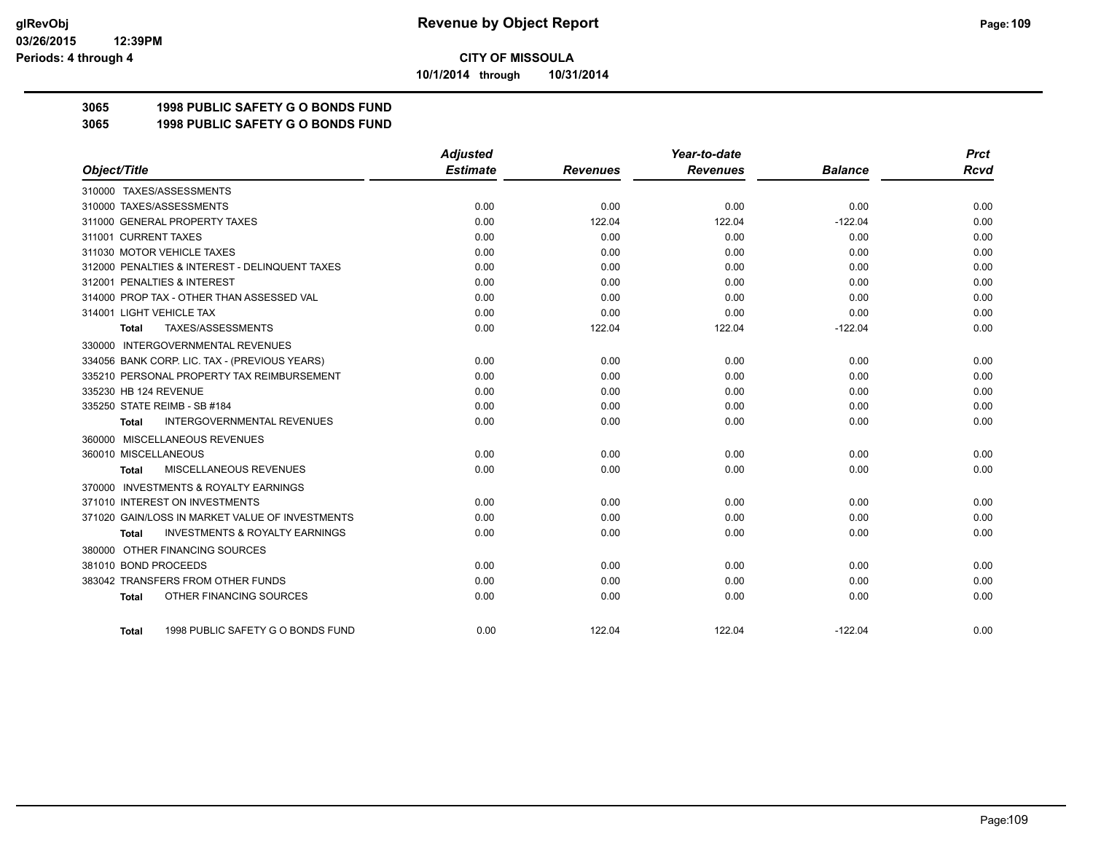**10/1/2014 through 10/31/2014**

### **3065 1998 PUBLIC SAFETY G O BONDS FUND**

**3065 1998 PUBLIC SAFETY G O BONDS FUND**

|                                                     | <b>Adjusted</b> |                 | Year-to-date    |                | <b>Prct</b> |
|-----------------------------------------------------|-----------------|-----------------|-----------------|----------------|-------------|
| Object/Title                                        | <b>Estimate</b> | <b>Revenues</b> | <b>Revenues</b> | <b>Balance</b> | <b>Rcvd</b> |
| 310000 TAXES/ASSESSMENTS                            |                 |                 |                 |                |             |
| 310000 TAXES/ASSESSMENTS                            | 0.00            | 0.00            | 0.00            | 0.00           | 0.00        |
| 311000 GENERAL PROPERTY TAXES                       | 0.00            | 122.04          | 122.04          | $-122.04$      | 0.00        |
| 311001 CURRENT TAXES                                | 0.00            | 0.00            | 0.00            | 0.00           | 0.00        |
| 311030 MOTOR VEHICLE TAXES                          | 0.00            | 0.00            | 0.00            | 0.00           | 0.00        |
| 312000 PENALTIES & INTEREST - DELINQUENT TAXES      | 0.00            | 0.00            | 0.00            | 0.00           | 0.00        |
| 312001 PENALTIES & INTEREST                         | 0.00            | 0.00            | 0.00            | 0.00           | 0.00        |
| 314000 PROP TAX - OTHER THAN ASSESSED VAL           | 0.00            | 0.00            | 0.00            | 0.00           | 0.00        |
| 314001 LIGHT VEHICLE TAX                            | 0.00            | 0.00            | 0.00            | 0.00           | 0.00        |
| TAXES/ASSESSMENTS<br>Total                          | 0.00            | 122.04          | 122.04          | $-122.04$      | 0.00        |
| 330000 INTERGOVERNMENTAL REVENUES                   |                 |                 |                 |                |             |
| 334056 BANK CORP. LIC. TAX - (PREVIOUS YEARS)       | 0.00            | 0.00            | 0.00            | 0.00           | 0.00        |
| 335210 PERSONAL PROPERTY TAX REIMBURSEMENT          | 0.00            | 0.00            | 0.00            | 0.00           | 0.00        |
| 335230 HB 124 REVENUE                               | 0.00            | 0.00            | 0.00            | 0.00           | 0.00        |
| 335250 STATE REIMB - SB #184                        | 0.00            | 0.00            | 0.00            | 0.00           | 0.00        |
| <b>INTERGOVERNMENTAL REVENUES</b><br><b>Total</b>   | 0.00            | 0.00            | 0.00            | 0.00           | 0.00        |
| 360000 MISCELLANEOUS REVENUES                       |                 |                 |                 |                |             |
| 360010 MISCELLANEOUS                                | 0.00            | 0.00            | 0.00            | 0.00           | 0.00        |
| <b>MISCELLANEOUS REVENUES</b><br>Total              | 0.00            | 0.00            | 0.00            | 0.00           | 0.00        |
| <b>INVESTMENTS &amp; ROYALTY EARNINGS</b><br>370000 |                 |                 |                 |                |             |
| 371010 INTEREST ON INVESTMENTS                      | 0.00            | 0.00            | 0.00            | 0.00           | 0.00        |
| 371020 GAIN/LOSS IN MARKET VALUE OF INVESTMENTS     | 0.00            | 0.00            | 0.00            | 0.00           | 0.00        |
| <b>INVESTMENTS &amp; ROYALTY EARNINGS</b><br>Total  | 0.00            | 0.00            | 0.00            | 0.00           | 0.00        |
| 380000 OTHER FINANCING SOURCES                      |                 |                 |                 |                |             |
| 381010 BOND PROCEEDS                                | 0.00            | 0.00            | 0.00            | 0.00           | 0.00        |
| 383042 TRANSFERS FROM OTHER FUNDS                   | 0.00            | 0.00            | 0.00            | 0.00           | 0.00        |
| OTHER FINANCING SOURCES<br><b>Total</b>             | 0.00            | 0.00            | 0.00            | 0.00           | 0.00        |
| 1998 PUBLIC SAFETY G O BONDS FUND<br>Total          | 0.00            | 122.04          | 122.04          | $-122.04$      | 0.00        |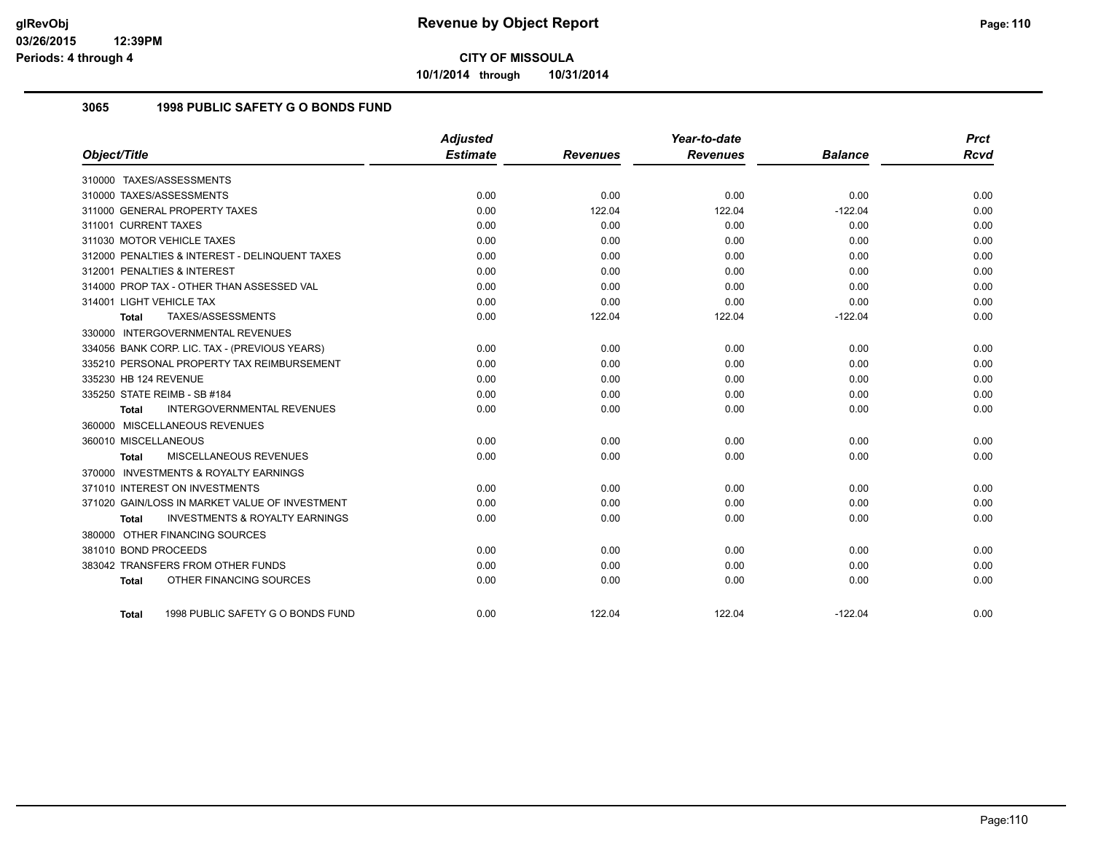**10/1/2014 through 10/31/2014**

#### **3065 1998 PUBLIC SAFETY G O BONDS FUND**

|                                                           | <b>Adjusted</b> |                 | Year-to-date    |                | <b>Prct</b> |
|-----------------------------------------------------------|-----------------|-----------------|-----------------|----------------|-------------|
| Object/Title                                              | <b>Estimate</b> | <b>Revenues</b> | <b>Revenues</b> | <b>Balance</b> | Rcvd        |
| 310000 TAXES/ASSESSMENTS                                  |                 |                 |                 |                |             |
| 310000 TAXES/ASSESSMENTS                                  | 0.00            | 0.00            | 0.00            | 0.00           | 0.00        |
| 311000 GENERAL PROPERTY TAXES                             | 0.00            | 122.04          | 122.04          | $-122.04$      | 0.00        |
| 311001 CURRENT TAXES                                      | 0.00            | 0.00            | 0.00            | 0.00           | 0.00        |
| 311030 MOTOR VEHICLE TAXES                                | 0.00            | 0.00            | 0.00            | 0.00           | 0.00        |
| 312000 PENALTIES & INTEREST - DELINQUENT TAXES            | 0.00            | 0.00            | 0.00            | 0.00           | 0.00        |
| 312001 PENALTIES & INTEREST                               | 0.00            | 0.00            | 0.00            | 0.00           | 0.00        |
| 314000 PROP TAX - OTHER THAN ASSESSED VAL                 | 0.00            | 0.00            | 0.00            | 0.00           | 0.00        |
| 314001 LIGHT VEHICLE TAX                                  | 0.00            | 0.00            | 0.00            | 0.00           | 0.00        |
| TAXES/ASSESSMENTS<br><b>Total</b>                         | 0.00            | 122.04          | 122.04          | $-122.04$      | 0.00        |
| 330000 INTERGOVERNMENTAL REVENUES                         |                 |                 |                 |                |             |
| 334056 BANK CORP. LIC. TAX - (PREVIOUS YEARS)             | 0.00            | 0.00            | 0.00            | 0.00           | 0.00        |
| 335210 PERSONAL PROPERTY TAX REIMBURSEMENT                | 0.00            | 0.00            | 0.00            | 0.00           | 0.00        |
| 335230 HB 124 REVENUE                                     | 0.00            | 0.00            | 0.00            | 0.00           | 0.00        |
| 335250 STATE REIMB - SB #184                              | 0.00            | 0.00            | 0.00            | 0.00           | 0.00        |
| <b>INTERGOVERNMENTAL REVENUES</b><br><b>Total</b>         | 0.00            | 0.00            | 0.00            | 0.00           | 0.00        |
| 360000 MISCELLANEOUS REVENUES                             |                 |                 |                 |                |             |
| 360010 MISCELLANEOUS                                      | 0.00            | 0.00            | 0.00            | 0.00           | 0.00        |
| MISCELLANEOUS REVENUES<br><b>Total</b>                    | 0.00            | 0.00            | 0.00            | 0.00           | 0.00        |
| 370000 INVESTMENTS & ROYALTY EARNINGS                     |                 |                 |                 |                |             |
| 371010 INTEREST ON INVESTMENTS                            | 0.00            | 0.00            | 0.00            | 0.00           | 0.00        |
| 371020 GAIN/LOSS IN MARKET VALUE OF INVESTMENT            | 0.00            | 0.00            | 0.00            | 0.00           | 0.00        |
| <b>INVESTMENTS &amp; ROYALTY EARNINGS</b><br><b>Total</b> | 0.00            | 0.00            | 0.00            | 0.00           | 0.00        |
| 380000 OTHER FINANCING SOURCES                            |                 |                 |                 |                |             |
| 381010 BOND PROCEEDS                                      | 0.00            | 0.00            | 0.00            | 0.00           | 0.00        |
| 383042 TRANSFERS FROM OTHER FUNDS                         | 0.00            | 0.00            | 0.00            | 0.00           | 0.00        |
| OTHER FINANCING SOURCES<br><b>Total</b>                   | 0.00            | 0.00            | 0.00            | 0.00           | 0.00        |
| 1998 PUBLIC SAFETY G O BONDS FUND<br>Total                | 0.00            | 122.04          | 122.04          | $-122.04$      | 0.00        |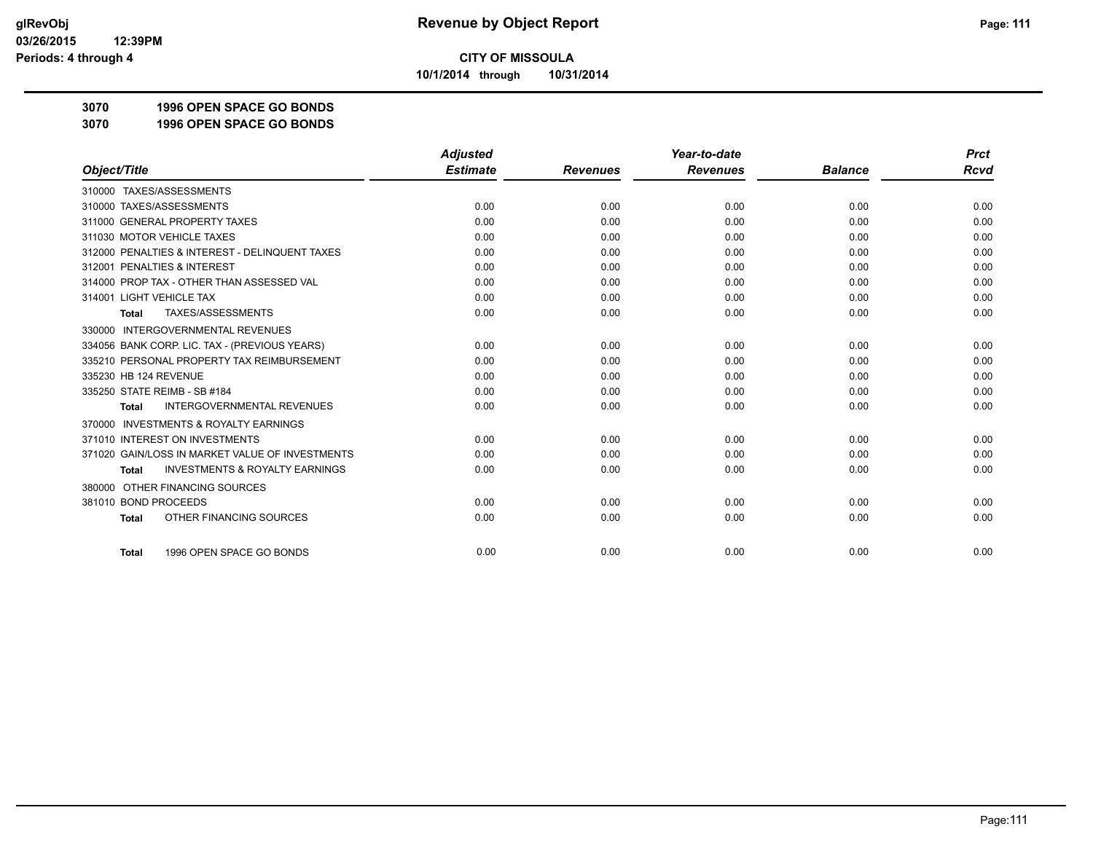**10/1/2014 through 10/31/2014**

**3070 1996 OPEN SPACE GO BONDS**

**3070 1996 OPEN SPACE GO BONDS**

|                                                           | <b>Adjusted</b> |                 | Year-to-date    |                | <b>Prct</b> |
|-----------------------------------------------------------|-----------------|-----------------|-----------------|----------------|-------------|
| Object/Title                                              | <b>Estimate</b> | <b>Revenues</b> | <b>Revenues</b> | <b>Balance</b> | <b>Rcvd</b> |
| 310000 TAXES/ASSESSMENTS                                  |                 |                 |                 |                |             |
| 310000 TAXES/ASSESSMENTS                                  | 0.00            | 0.00            | 0.00            | 0.00           | 0.00        |
| 311000 GENERAL PROPERTY TAXES                             | 0.00            | 0.00            | 0.00            | 0.00           | 0.00        |
| 311030 MOTOR VEHICLE TAXES                                | 0.00            | 0.00            | 0.00            | 0.00           | 0.00        |
| 312000 PENALTIES & INTEREST - DELINQUENT TAXES            | 0.00            | 0.00            | 0.00            | 0.00           | 0.00        |
| 312001 PENALTIES & INTEREST                               | 0.00            | 0.00            | 0.00            | 0.00           | 0.00        |
| 314000 PROP TAX - OTHER THAN ASSESSED VAL                 | 0.00            | 0.00            | 0.00            | 0.00           | 0.00        |
| 314001 LIGHT VEHICLE TAX                                  | 0.00            | 0.00            | 0.00            | 0.00           | 0.00        |
| TAXES/ASSESSMENTS<br><b>Total</b>                         | 0.00            | 0.00            | 0.00            | 0.00           | 0.00        |
| 330000 INTERGOVERNMENTAL REVENUES                         |                 |                 |                 |                |             |
| 334056 BANK CORP. LIC. TAX - (PREVIOUS YEARS)             | 0.00            | 0.00            | 0.00            | 0.00           | 0.00        |
| 335210 PERSONAL PROPERTY TAX REIMBURSEMENT                | 0.00            | 0.00            | 0.00            | 0.00           | 0.00        |
| 335230 HB 124 REVENUE                                     | 0.00            | 0.00            | 0.00            | 0.00           | 0.00        |
| 335250 STATE REIMB - SB #184                              | 0.00            | 0.00            | 0.00            | 0.00           | 0.00        |
| <b>INTERGOVERNMENTAL REVENUES</b><br><b>Total</b>         | 0.00            | 0.00            | 0.00            | 0.00           | 0.00        |
| <b>INVESTMENTS &amp; ROYALTY EARNINGS</b><br>370000       |                 |                 |                 |                |             |
| 371010 INTEREST ON INVESTMENTS                            | 0.00            | 0.00            | 0.00            | 0.00           | 0.00        |
| 371020 GAIN/LOSS IN MARKET VALUE OF INVESTMENTS           | 0.00            | 0.00            | 0.00            | 0.00           | 0.00        |
| <b>INVESTMENTS &amp; ROYALTY EARNINGS</b><br><b>Total</b> | 0.00            | 0.00            | 0.00            | 0.00           | 0.00        |
| OTHER FINANCING SOURCES<br>380000                         |                 |                 |                 |                |             |
| 381010 BOND PROCEEDS                                      | 0.00            | 0.00            | 0.00            | 0.00           | 0.00        |
| OTHER FINANCING SOURCES<br><b>Total</b>                   | 0.00            | 0.00            | 0.00            | 0.00           | 0.00        |
| 1996 OPEN SPACE GO BONDS<br><b>Total</b>                  | 0.00            | 0.00            | 0.00            | 0.00           | 0.00        |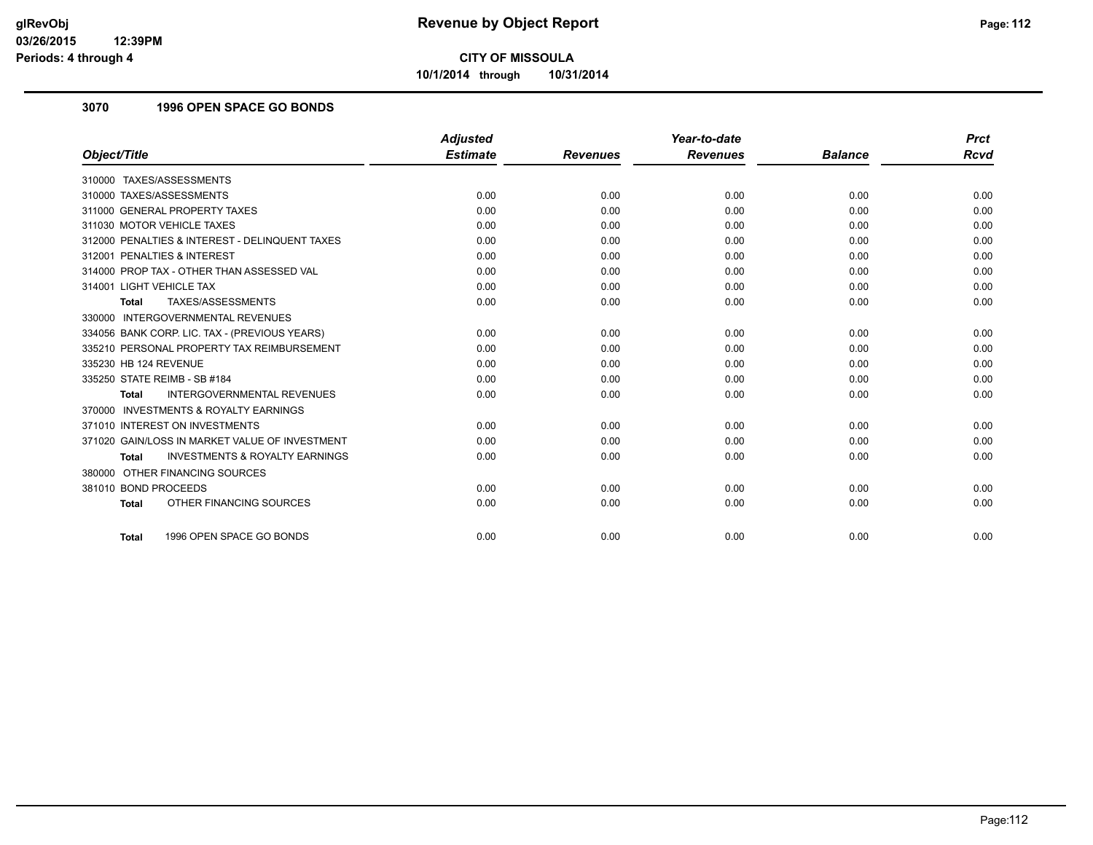**10/1/2014 through 10/31/2014**

#### **3070 1996 OPEN SPACE GO BONDS**

|                                                           | <b>Adjusted</b> |                 | Year-to-date    |                | <b>Prct</b> |
|-----------------------------------------------------------|-----------------|-----------------|-----------------|----------------|-------------|
| Object/Title                                              | <b>Estimate</b> | <b>Revenues</b> | <b>Revenues</b> | <b>Balance</b> | <b>Rcvd</b> |
| 310000 TAXES/ASSESSMENTS                                  |                 |                 |                 |                |             |
| 310000 TAXES/ASSESSMENTS                                  | 0.00            | 0.00            | 0.00            | 0.00           | 0.00        |
| 311000 GENERAL PROPERTY TAXES                             | 0.00            | 0.00            | 0.00            | 0.00           | 0.00        |
| 311030 MOTOR VEHICLE TAXES                                | 0.00            | 0.00            | 0.00            | 0.00           | 0.00        |
| 312000 PENALTIES & INTEREST - DELINQUENT TAXES            | 0.00            | 0.00            | 0.00            | 0.00           | 0.00        |
| 312001 PENALTIES & INTEREST                               | 0.00            | 0.00            | 0.00            | 0.00           | 0.00        |
| 314000 PROP TAX - OTHER THAN ASSESSED VAL                 | 0.00            | 0.00            | 0.00            | 0.00           | 0.00        |
| 314001 LIGHT VEHICLE TAX                                  | 0.00            | 0.00            | 0.00            | 0.00           | 0.00        |
| TAXES/ASSESSMENTS<br><b>Total</b>                         | 0.00            | 0.00            | 0.00            | 0.00           | 0.00        |
| 330000 INTERGOVERNMENTAL REVENUES                         |                 |                 |                 |                |             |
| 334056 BANK CORP. LIC. TAX - (PREVIOUS YEARS)             | 0.00            | 0.00            | 0.00            | 0.00           | 0.00        |
| 335210 PERSONAL PROPERTY TAX REIMBURSEMENT                | 0.00            | 0.00            | 0.00            | 0.00           | 0.00        |
| 335230 HB 124 REVENUE                                     | 0.00            | 0.00            | 0.00            | 0.00           | 0.00        |
| 335250 STATE REIMB - SB #184                              | 0.00            | 0.00            | 0.00            | 0.00           | 0.00        |
| <b>INTERGOVERNMENTAL REVENUES</b><br><b>Total</b>         | 0.00            | 0.00            | 0.00            | 0.00           | 0.00        |
| <b>INVESTMENTS &amp; ROYALTY EARNINGS</b><br>370000       |                 |                 |                 |                |             |
| 371010 INTEREST ON INVESTMENTS                            | 0.00            | 0.00            | 0.00            | 0.00           | 0.00        |
| 371020 GAIN/LOSS IN MARKET VALUE OF INVESTMENT            | 0.00            | 0.00            | 0.00            | 0.00           | 0.00        |
| <b>INVESTMENTS &amp; ROYALTY EARNINGS</b><br><b>Total</b> | 0.00            | 0.00            | 0.00            | 0.00           | 0.00        |
| 380000 OTHER FINANCING SOURCES                            |                 |                 |                 |                |             |
| 381010 BOND PROCEEDS                                      | 0.00            | 0.00            | 0.00            | 0.00           | 0.00        |
| OTHER FINANCING SOURCES<br><b>Total</b>                   | 0.00            | 0.00            | 0.00            | 0.00           | 0.00        |
| 1996 OPEN SPACE GO BONDS<br><b>Total</b>                  | 0.00            | 0.00            | 0.00            | 0.00           | 0.00        |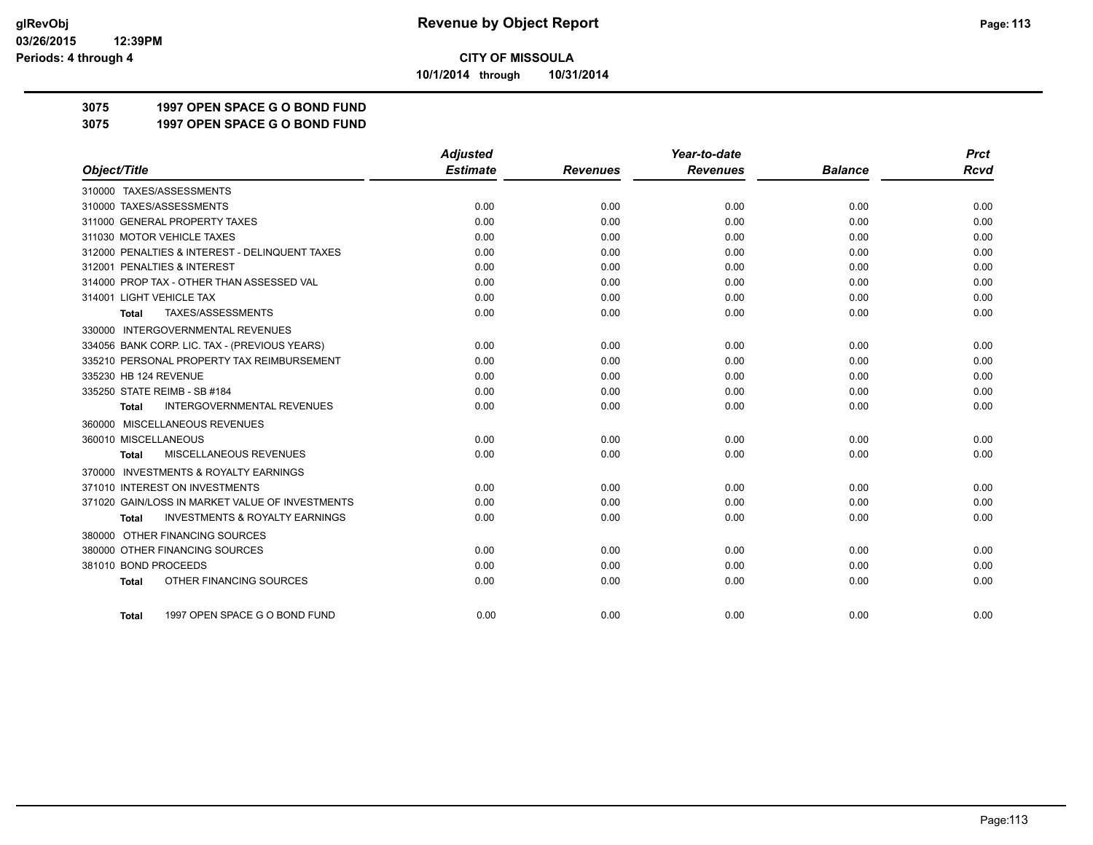**10/1/2014 through 10/31/2014**

**3075 1997 OPEN SPACE G O BOND FUND**

**3075 1997 OPEN SPACE G O BOND FUND**

|                                                           | <b>Adjusted</b> |                 | Year-to-date    |                | <b>Prct</b> |
|-----------------------------------------------------------|-----------------|-----------------|-----------------|----------------|-------------|
| Object/Title                                              | <b>Estimate</b> | <b>Revenues</b> | <b>Revenues</b> | <b>Balance</b> | <b>Rcvd</b> |
| 310000 TAXES/ASSESSMENTS                                  |                 |                 |                 |                |             |
| 310000 TAXES/ASSESSMENTS                                  | 0.00            | 0.00            | 0.00            | 0.00           | 0.00        |
| 311000 GENERAL PROPERTY TAXES                             | 0.00            | 0.00            | 0.00            | 0.00           | 0.00        |
| 311030 MOTOR VEHICLE TAXES                                | 0.00            | 0.00            | 0.00            | 0.00           | 0.00        |
| 312000 PENALTIES & INTEREST - DELINQUENT TAXES            | 0.00            | 0.00            | 0.00            | 0.00           | 0.00        |
| 312001 PENALTIES & INTEREST                               | 0.00            | 0.00            | 0.00            | 0.00           | 0.00        |
| 314000 PROP TAX - OTHER THAN ASSESSED VAL                 | 0.00            | 0.00            | 0.00            | 0.00           | 0.00        |
| 314001 LIGHT VEHICLE TAX                                  | 0.00            | 0.00            | 0.00            | 0.00           | 0.00        |
| TAXES/ASSESSMENTS<br>Total                                | 0.00            | 0.00            | 0.00            | 0.00           | 0.00        |
| 330000 INTERGOVERNMENTAL REVENUES                         |                 |                 |                 |                |             |
| 334056 BANK CORP. LIC. TAX - (PREVIOUS YEARS)             | 0.00            | 0.00            | 0.00            | 0.00           | 0.00        |
| 335210 PERSONAL PROPERTY TAX REIMBURSEMENT                | 0.00            | 0.00            | 0.00            | 0.00           | 0.00        |
| 335230 HB 124 REVENUE                                     | 0.00            | 0.00            | 0.00            | 0.00           | 0.00        |
| 335250 STATE REIMB - SB #184                              | 0.00            | 0.00            | 0.00            | 0.00           | 0.00        |
| <b>INTERGOVERNMENTAL REVENUES</b><br><b>Total</b>         | 0.00            | 0.00            | 0.00            | 0.00           | 0.00        |
| 360000 MISCELLANEOUS REVENUES                             |                 |                 |                 |                |             |
| 360010 MISCELLANEOUS                                      | 0.00            | 0.00            | 0.00            | 0.00           | 0.00        |
| MISCELLANEOUS REVENUES<br><b>Total</b>                    | 0.00            | 0.00            | 0.00            | 0.00           | 0.00        |
| <b>INVESTMENTS &amp; ROYALTY EARNINGS</b><br>370000       |                 |                 |                 |                |             |
| 371010 INTEREST ON INVESTMENTS                            | 0.00            | 0.00            | 0.00            | 0.00           | 0.00        |
| 371020 GAIN/LOSS IN MARKET VALUE OF INVESTMENTS           | 0.00            | 0.00            | 0.00            | 0.00           | 0.00        |
| <b>INVESTMENTS &amp; ROYALTY EARNINGS</b><br><b>Total</b> | 0.00            | 0.00            | 0.00            | 0.00           | 0.00        |
| 380000 OTHER FINANCING SOURCES                            |                 |                 |                 |                |             |
| 380000 OTHER FINANCING SOURCES                            | 0.00            | 0.00            | 0.00            | 0.00           | 0.00        |
| 381010 BOND PROCEEDS                                      | 0.00            | 0.00            | 0.00            | 0.00           | 0.00        |
| OTHER FINANCING SOURCES<br><b>Total</b>                   | 0.00            | 0.00            | 0.00            | 0.00           | 0.00        |
|                                                           |                 |                 |                 |                |             |
| 1997 OPEN SPACE G O BOND FUND<br>Total                    | 0.00            | 0.00            | 0.00            | 0.00           | 0.00        |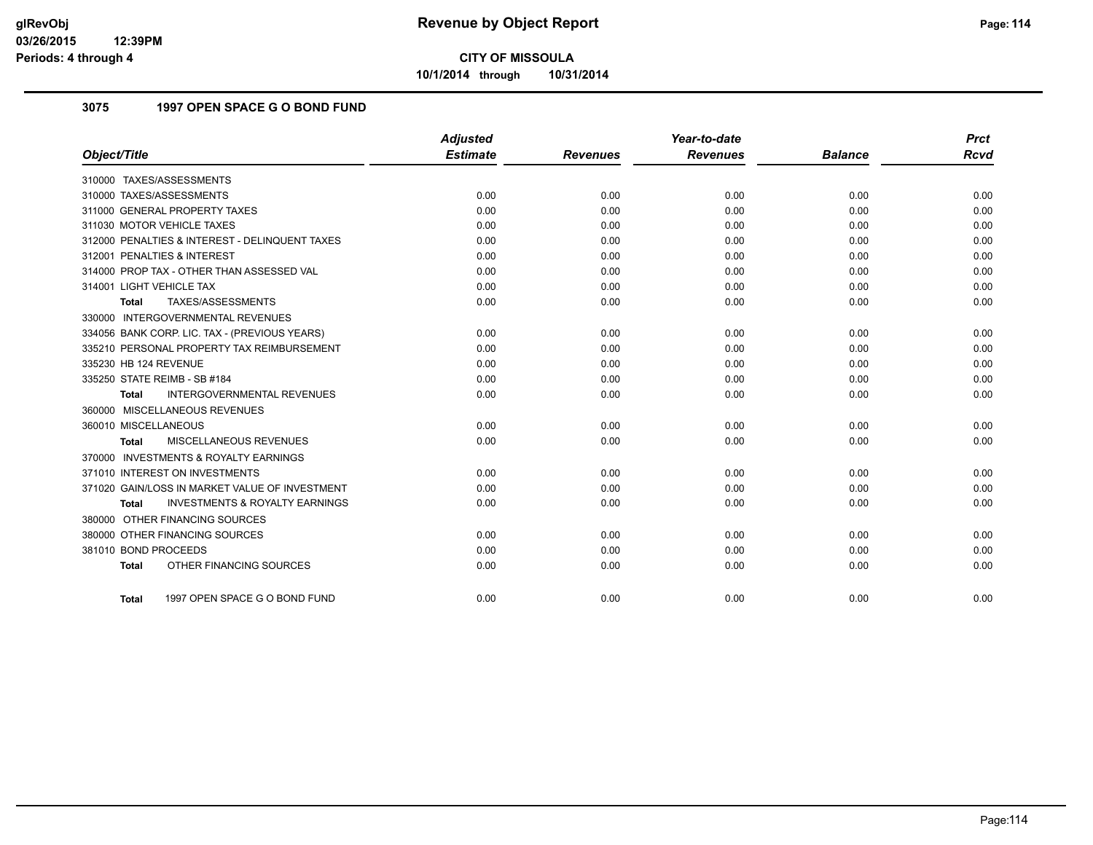**10/1/2014 through 10/31/2014**

#### **3075 1997 OPEN SPACE G O BOND FUND**

|                                                    | <b>Adjusted</b> |                 | Year-to-date    |                | <b>Prct</b> |
|----------------------------------------------------|-----------------|-----------------|-----------------|----------------|-------------|
| Object/Title                                       | <b>Estimate</b> | <b>Revenues</b> | <b>Revenues</b> | <b>Balance</b> | <b>Rcvd</b> |
| 310000 TAXES/ASSESSMENTS                           |                 |                 |                 |                |             |
| 310000 TAXES/ASSESSMENTS                           | 0.00            | 0.00            | 0.00            | 0.00           | 0.00        |
| 311000 GENERAL PROPERTY TAXES                      | 0.00            | 0.00            | 0.00            | 0.00           | 0.00        |
| 311030 MOTOR VEHICLE TAXES                         | 0.00            | 0.00            | 0.00            | 0.00           | 0.00        |
| 312000 PENALTIES & INTEREST - DELINQUENT TAXES     | 0.00            | 0.00            | 0.00            | 0.00           | 0.00        |
| 312001 PENALTIES & INTEREST                        | 0.00            | 0.00            | 0.00            | 0.00           | 0.00        |
| 314000 PROP TAX - OTHER THAN ASSESSED VAL          | 0.00            | 0.00            | 0.00            | 0.00           | 0.00        |
| 314001 LIGHT VEHICLE TAX                           | 0.00            | 0.00            | 0.00            | 0.00           | 0.00        |
| TAXES/ASSESSMENTS<br><b>Total</b>                  | 0.00            | 0.00            | 0.00            | 0.00           | 0.00        |
| 330000 INTERGOVERNMENTAL REVENUES                  |                 |                 |                 |                |             |
| 334056 BANK CORP. LIC. TAX - (PREVIOUS YEARS)      | 0.00            | 0.00            | 0.00            | 0.00           | 0.00        |
| 335210 PERSONAL PROPERTY TAX REIMBURSEMENT         | 0.00            | 0.00            | 0.00            | 0.00           | 0.00        |
| 335230 HB 124 REVENUE                              | 0.00            | 0.00            | 0.00            | 0.00           | 0.00        |
| 335250 STATE REIMB - SB #184                       | 0.00            | 0.00            | 0.00            | 0.00           | 0.00        |
| <b>INTERGOVERNMENTAL REVENUES</b><br><b>Total</b>  | 0.00            | 0.00            | 0.00            | 0.00           | 0.00        |
| 360000 MISCELLANEOUS REVENUES                      |                 |                 |                 |                |             |
| 360010 MISCELLANEOUS                               | 0.00            | 0.00            | 0.00            | 0.00           | 0.00        |
| MISCELLANEOUS REVENUES<br>Total                    | 0.00            | 0.00            | 0.00            | 0.00           | 0.00        |
| 370000 INVESTMENTS & ROYALTY EARNINGS              |                 |                 |                 |                |             |
| 371010 INTEREST ON INVESTMENTS                     | 0.00            | 0.00            | 0.00            | 0.00           | 0.00        |
| 371020 GAIN/LOSS IN MARKET VALUE OF INVESTMENT     | 0.00            | 0.00            | 0.00            | 0.00           | 0.00        |
| <b>INVESTMENTS &amp; ROYALTY EARNINGS</b><br>Total | 0.00            | 0.00            | 0.00            | 0.00           | 0.00        |
| 380000 OTHER FINANCING SOURCES                     |                 |                 |                 |                |             |
| 380000 OTHER FINANCING SOURCES                     | 0.00            | 0.00            | 0.00            | 0.00           | 0.00        |
| 381010 BOND PROCEEDS                               | 0.00            | 0.00            | 0.00            | 0.00           | 0.00        |
| OTHER FINANCING SOURCES<br><b>Total</b>            | 0.00            | 0.00            | 0.00            | 0.00           | 0.00        |
|                                                    |                 |                 |                 |                |             |
| 1997 OPEN SPACE G O BOND FUND<br>Total             | 0.00            | 0.00            | 0.00            | 0.00           | 0.00        |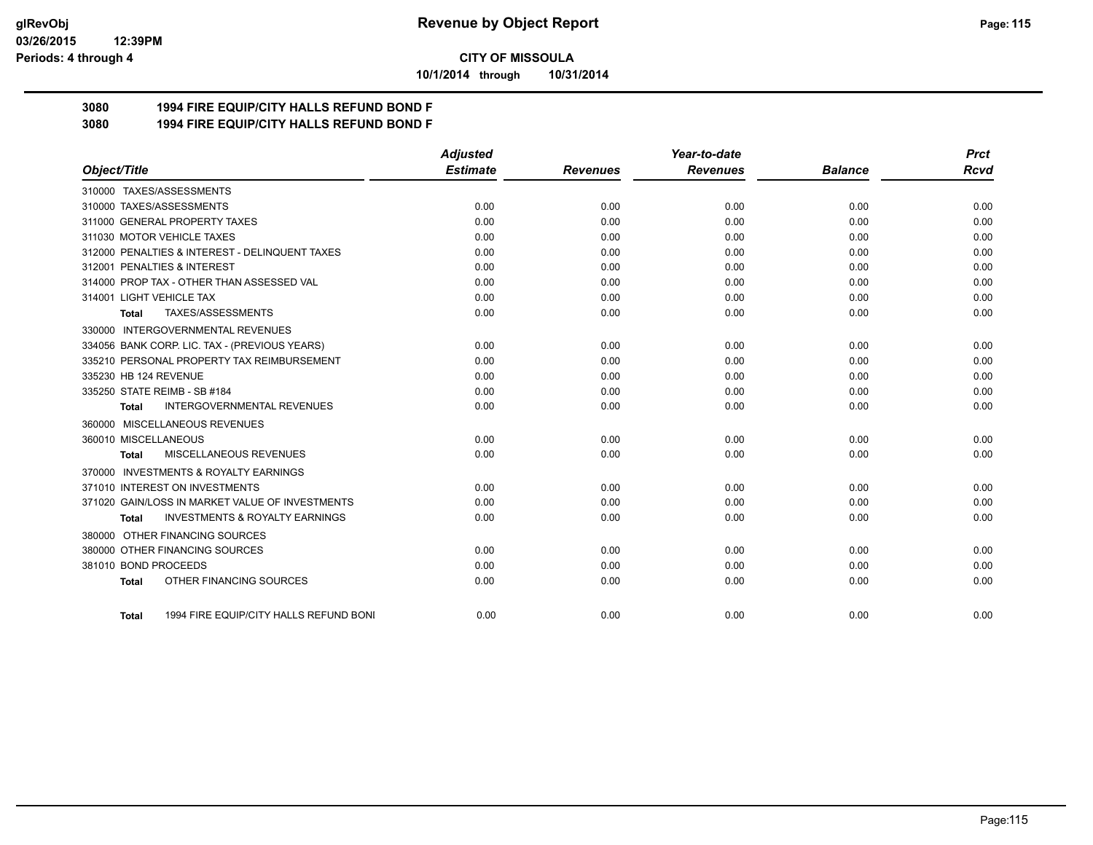**10/1/2014 through 10/31/2014**

#### **3080 1994 FIRE EQUIP/CITY HALLS REFUND BOND F**

**3080 1994 FIRE EQUIP/CITY HALLS REFUND BOND F**

|                                                           | <b>Adjusted</b> |                 | Year-to-date    |                | <b>Prct</b> |
|-----------------------------------------------------------|-----------------|-----------------|-----------------|----------------|-------------|
| Object/Title                                              | <b>Estimate</b> | <b>Revenues</b> | <b>Revenues</b> | <b>Balance</b> | <b>Rcvd</b> |
| 310000 TAXES/ASSESSMENTS                                  |                 |                 |                 |                |             |
| 310000 TAXES/ASSESSMENTS                                  | 0.00            | 0.00            | 0.00            | 0.00           | 0.00        |
| 311000 GENERAL PROPERTY TAXES                             | 0.00            | 0.00            | 0.00            | 0.00           | 0.00        |
| 311030 MOTOR VEHICLE TAXES                                | 0.00            | 0.00            | 0.00            | 0.00           | 0.00        |
| 312000 PENALTIES & INTEREST - DELINQUENT TAXES            | 0.00            | 0.00            | 0.00            | 0.00           | 0.00        |
| 312001 PENALTIES & INTEREST                               | 0.00            | 0.00            | 0.00            | 0.00           | 0.00        |
| 314000 PROP TAX - OTHER THAN ASSESSED VAL                 | 0.00            | 0.00            | 0.00            | 0.00           | 0.00        |
| 314001 LIGHT VEHICLE TAX                                  | 0.00            | 0.00            | 0.00            | 0.00           | 0.00        |
| TAXES/ASSESSMENTS<br>Total                                | 0.00            | 0.00            | 0.00            | 0.00           | 0.00        |
| 330000 INTERGOVERNMENTAL REVENUES                         |                 |                 |                 |                |             |
| 334056 BANK CORP. LIC. TAX - (PREVIOUS YEARS)             | 0.00            | 0.00            | 0.00            | 0.00           | 0.00        |
| 335210 PERSONAL PROPERTY TAX REIMBURSEMENT                | 0.00            | 0.00            | 0.00            | 0.00           | 0.00        |
| 335230 HB 124 REVENUE                                     | 0.00            | 0.00            | 0.00            | 0.00           | 0.00        |
| 335250 STATE REIMB - SB #184                              | 0.00            | 0.00            | 0.00            | 0.00           | 0.00        |
| <b>INTERGOVERNMENTAL REVENUES</b><br>Total                | 0.00            | 0.00            | 0.00            | 0.00           | 0.00        |
| 360000 MISCELLANEOUS REVENUES                             |                 |                 |                 |                |             |
| 360010 MISCELLANEOUS                                      | 0.00            | 0.00            | 0.00            | 0.00           | 0.00        |
| MISCELLANEOUS REVENUES<br><b>Total</b>                    | 0.00            | 0.00            | 0.00            | 0.00           | 0.00        |
| <b>INVESTMENTS &amp; ROYALTY EARNINGS</b><br>370000       |                 |                 |                 |                |             |
| 371010 INTEREST ON INVESTMENTS                            | 0.00            | 0.00            | 0.00            | 0.00           | 0.00        |
| 371020 GAIN/LOSS IN MARKET VALUE OF INVESTMENTS           | 0.00            | 0.00            | 0.00            | 0.00           | 0.00        |
| <b>INVESTMENTS &amp; ROYALTY EARNINGS</b><br><b>Total</b> | 0.00            | 0.00            | 0.00            | 0.00           | 0.00        |
| 380000 OTHER FINANCING SOURCES                            |                 |                 |                 |                |             |
| 380000 OTHER FINANCING SOURCES                            | 0.00            | 0.00            | 0.00            | 0.00           | 0.00        |
| 381010 BOND PROCEEDS                                      | 0.00            | 0.00            | 0.00            | 0.00           | 0.00        |
| OTHER FINANCING SOURCES<br><b>Total</b>                   | 0.00            | 0.00            | 0.00            | 0.00           | 0.00        |
|                                                           |                 |                 |                 |                |             |
| 1994 FIRE EQUIP/CITY HALLS REFUND BONI<br>Total           | 0.00            | 0.00            | 0.00            | 0.00           | 0.00        |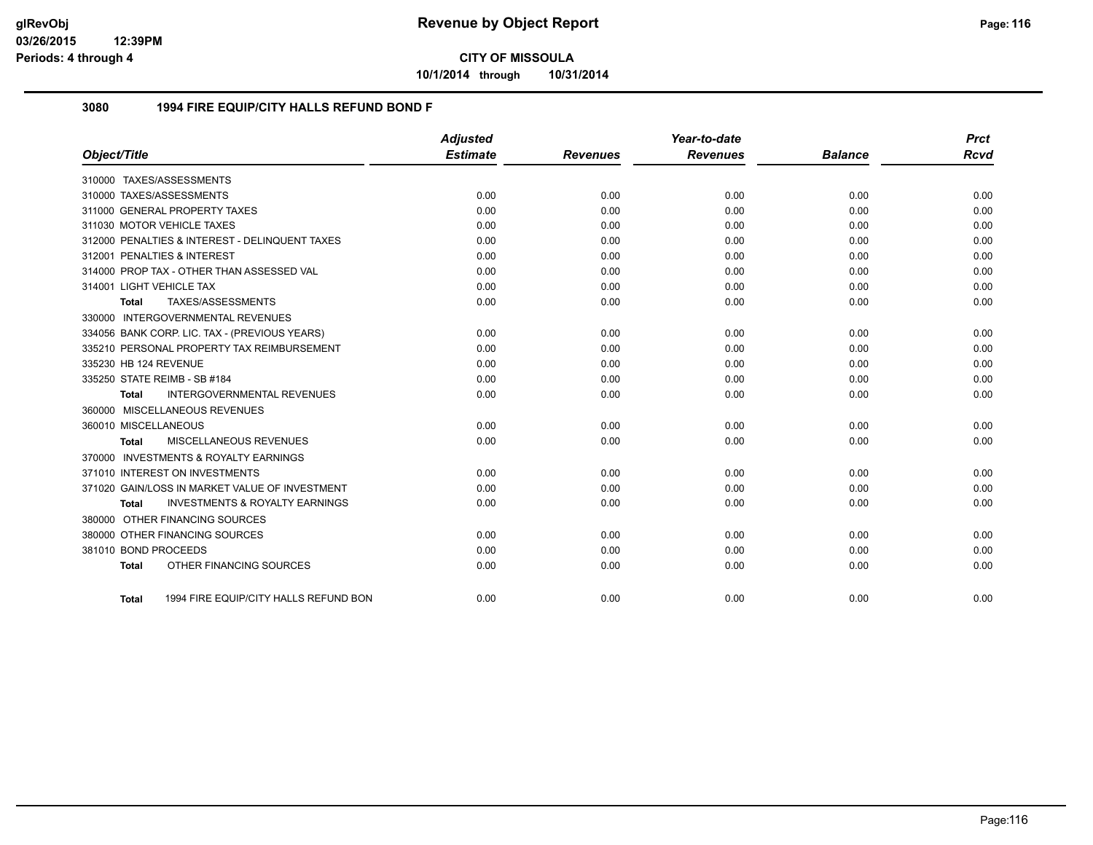**10/1/2014 through 10/31/2014**

#### **3080 1994 FIRE EQUIP/CITY HALLS REFUND BOND F**

|                                                |                                           | Adjusted        |                 | Year-to-date    |                | <b>Prct</b> |
|------------------------------------------------|-------------------------------------------|-----------------|-----------------|-----------------|----------------|-------------|
| Object/Title                                   |                                           | <b>Estimate</b> | <b>Revenues</b> | <b>Revenues</b> | <b>Balance</b> | <b>Rcvd</b> |
| 310000 TAXES/ASSESSMENTS                       |                                           |                 |                 |                 |                |             |
| 310000 TAXES/ASSESSMENTS                       |                                           | 0.00            | 0.00            | 0.00            | 0.00           | 0.00        |
| 311000 GENERAL PROPERTY TAXES                  |                                           | 0.00            | 0.00            | 0.00            | 0.00           | 0.00        |
| 311030 MOTOR VEHICLE TAXES                     |                                           | 0.00            | 0.00            | 0.00            | 0.00           | 0.00        |
| 312000 PENALTIES & INTEREST - DELINQUENT TAXES |                                           | 0.00            | 0.00            | 0.00            | 0.00           | 0.00        |
| 312001 PENALTIES & INTEREST                    |                                           | 0.00            | 0.00            | 0.00            | 0.00           | 0.00        |
| 314000 PROP TAX - OTHER THAN ASSESSED VAL      |                                           | 0.00            | 0.00            | 0.00            | 0.00           | 0.00        |
| 314001 LIGHT VEHICLE TAX                       |                                           | 0.00            | 0.00            | 0.00            | 0.00           | 0.00        |
| TAXES/ASSESSMENTS<br><b>Total</b>              |                                           | 0.00            | 0.00            | 0.00            | 0.00           | 0.00        |
| INTERGOVERNMENTAL REVENUES<br>330000           |                                           |                 |                 |                 |                |             |
| 334056 BANK CORP. LIC. TAX - (PREVIOUS YEARS)  |                                           | 0.00            | 0.00            | 0.00            | 0.00           | 0.00        |
| 335210 PERSONAL PROPERTY TAX REIMBURSEMENT     |                                           | 0.00            | 0.00            | 0.00            | 0.00           | 0.00        |
| 335230 HB 124 REVENUE                          |                                           | 0.00            | 0.00            | 0.00            | 0.00           | 0.00        |
| 335250 STATE REIMB - SB #184                   |                                           | 0.00            | 0.00            | 0.00            | 0.00           | 0.00        |
| Total                                          | <b>INTERGOVERNMENTAL REVENUES</b>         | 0.00            | 0.00            | 0.00            | 0.00           | 0.00        |
| 360000 MISCELLANEOUS REVENUES                  |                                           |                 |                 |                 |                |             |
| 360010 MISCELLANEOUS                           |                                           | 0.00            | 0.00            | 0.00            | 0.00           | 0.00        |
| MISCELLANEOUS REVENUES<br>Total                |                                           | 0.00            | 0.00            | 0.00            | 0.00           | 0.00        |
| 370000 INVESTMENTS & ROYALTY EARNINGS          |                                           |                 |                 |                 |                |             |
| 371010 INTEREST ON INVESTMENTS                 |                                           | 0.00            | 0.00            | 0.00            | 0.00           | 0.00        |
| 371020 GAIN/LOSS IN MARKET VALUE OF INVESTMENT |                                           | 0.00            | 0.00            | 0.00            | 0.00           | 0.00        |
| Total                                          | <b>INVESTMENTS &amp; ROYALTY EARNINGS</b> | 0.00            | 0.00            | 0.00            | 0.00           | 0.00        |
| 380000 OTHER FINANCING SOURCES                 |                                           |                 |                 |                 |                |             |
| 380000 OTHER FINANCING SOURCES                 |                                           | 0.00            | 0.00            | 0.00            | 0.00           | 0.00        |
| 381010 BOND PROCEEDS                           |                                           | 0.00            | 0.00            | 0.00            | 0.00           | 0.00        |
| OTHER FINANCING SOURCES<br>Total               |                                           | 0.00            | 0.00            | 0.00            | 0.00           | 0.00        |
|                                                |                                           |                 |                 |                 |                |             |
| Total                                          | 1994 FIRE EQUIP/CITY HALLS REFUND BON     | 0.00            | 0.00            | 0.00            | 0.00           | 0.00        |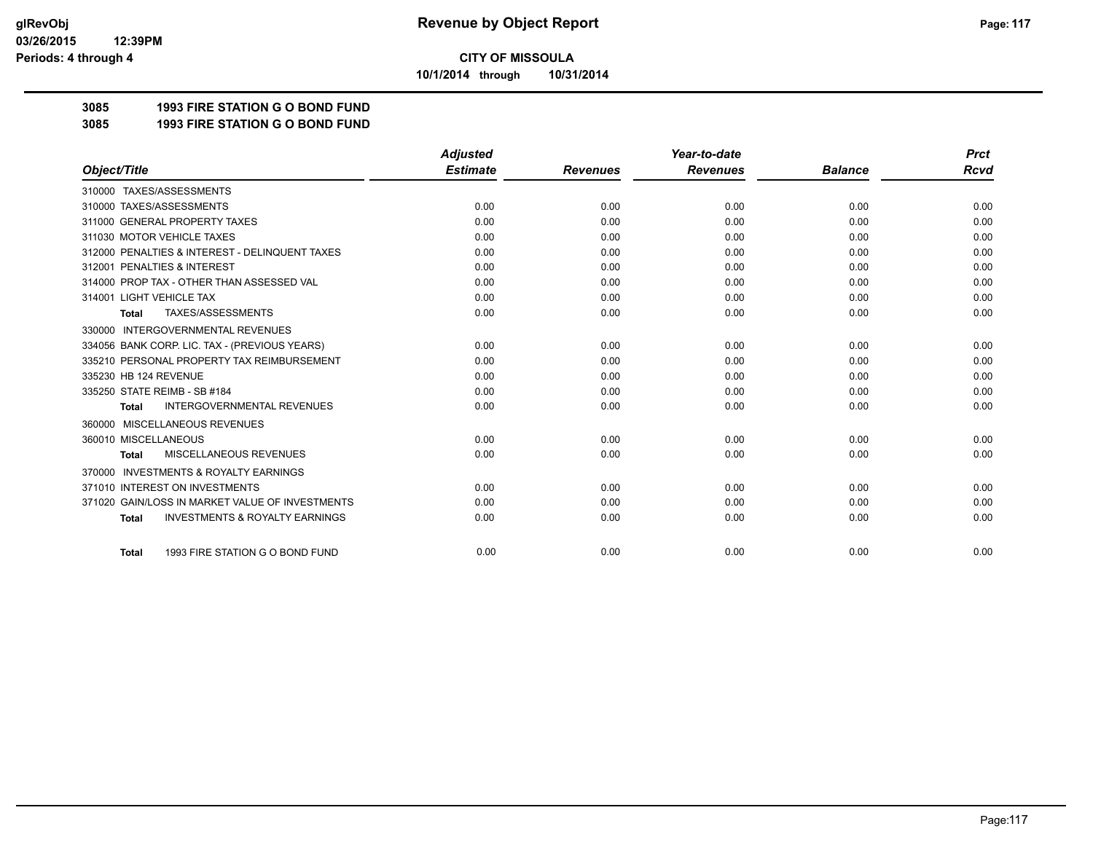**10/1/2014 through 10/31/2014**

### **3085 1993 FIRE STATION G O BOND FUND**

**3085 1993 FIRE STATION G O BOND FUND**

|                                                           | <b>Adjusted</b> |                 | Year-to-date    |                | <b>Prct</b> |
|-----------------------------------------------------------|-----------------|-----------------|-----------------|----------------|-------------|
| Object/Title                                              | <b>Estimate</b> | <b>Revenues</b> | <b>Revenues</b> | <b>Balance</b> | <b>Rcvd</b> |
| 310000 TAXES/ASSESSMENTS                                  |                 |                 |                 |                |             |
| 310000 TAXES/ASSESSMENTS                                  | 0.00            | 0.00            | 0.00            | 0.00           | 0.00        |
| 311000 GENERAL PROPERTY TAXES                             | 0.00            | 0.00            | 0.00            | 0.00           | 0.00        |
| 311030 MOTOR VEHICLE TAXES                                | 0.00            | 0.00            | 0.00            | 0.00           | 0.00        |
| 312000 PENALTIES & INTEREST - DELINQUENT TAXES            | 0.00            | 0.00            | 0.00            | 0.00           | 0.00        |
| 312001 PENALTIES & INTEREST                               | 0.00            | 0.00            | 0.00            | 0.00           | 0.00        |
| 314000 PROP TAX - OTHER THAN ASSESSED VAL                 | 0.00            | 0.00            | 0.00            | 0.00           | 0.00        |
| 314001 LIGHT VEHICLE TAX                                  | 0.00            | 0.00            | 0.00            | 0.00           | 0.00        |
| TAXES/ASSESSMENTS<br><b>Total</b>                         | 0.00            | 0.00            | 0.00            | 0.00           | 0.00        |
| <b>INTERGOVERNMENTAL REVENUES</b><br>330000               |                 |                 |                 |                |             |
| 334056 BANK CORP. LIC. TAX - (PREVIOUS YEARS)             | 0.00            | 0.00            | 0.00            | 0.00           | 0.00        |
| 335210 PERSONAL PROPERTY TAX REIMBURSEMENT                | 0.00            | 0.00            | 0.00            | 0.00           | 0.00        |
| 335230 HB 124 REVENUE                                     | 0.00            | 0.00            | 0.00            | 0.00           | 0.00        |
| 335250 STATE REIMB - SB #184                              | 0.00            | 0.00            | 0.00            | 0.00           | 0.00        |
| <b>INTERGOVERNMENTAL REVENUES</b><br><b>Total</b>         | 0.00            | 0.00            | 0.00            | 0.00           | 0.00        |
| MISCELLANEOUS REVENUES<br>360000                          |                 |                 |                 |                |             |
| 360010 MISCELLANEOUS                                      | 0.00            | 0.00            | 0.00            | 0.00           | 0.00        |
| <b>MISCELLANEOUS REVENUES</b><br><b>Total</b>             | 0.00            | 0.00            | 0.00            | 0.00           | 0.00        |
| <b>INVESTMENTS &amp; ROYALTY EARNINGS</b><br>370000       |                 |                 |                 |                |             |
| 371010 INTEREST ON INVESTMENTS                            | 0.00            | 0.00            | 0.00            | 0.00           | 0.00        |
| 371020 GAIN/LOSS IN MARKET VALUE OF INVESTMENTS           | 0.00            | 0.00            | 0.00            | 0.00           | 0.00        |
| <b>INVESTMENTS &amp; ROYALTY EARNINGS</b><br><b>Total</b> | 0.00            | 0.00            | 0.00            | 0.00           | 0.00        |
|                                                           |                 |                 |                 |                |             |
| 1993 FIRE STATION G O BOND FUND<br><b>Total</b>           | 0.00            | 0.00            | 0.00            | 0.00           | 0.00        |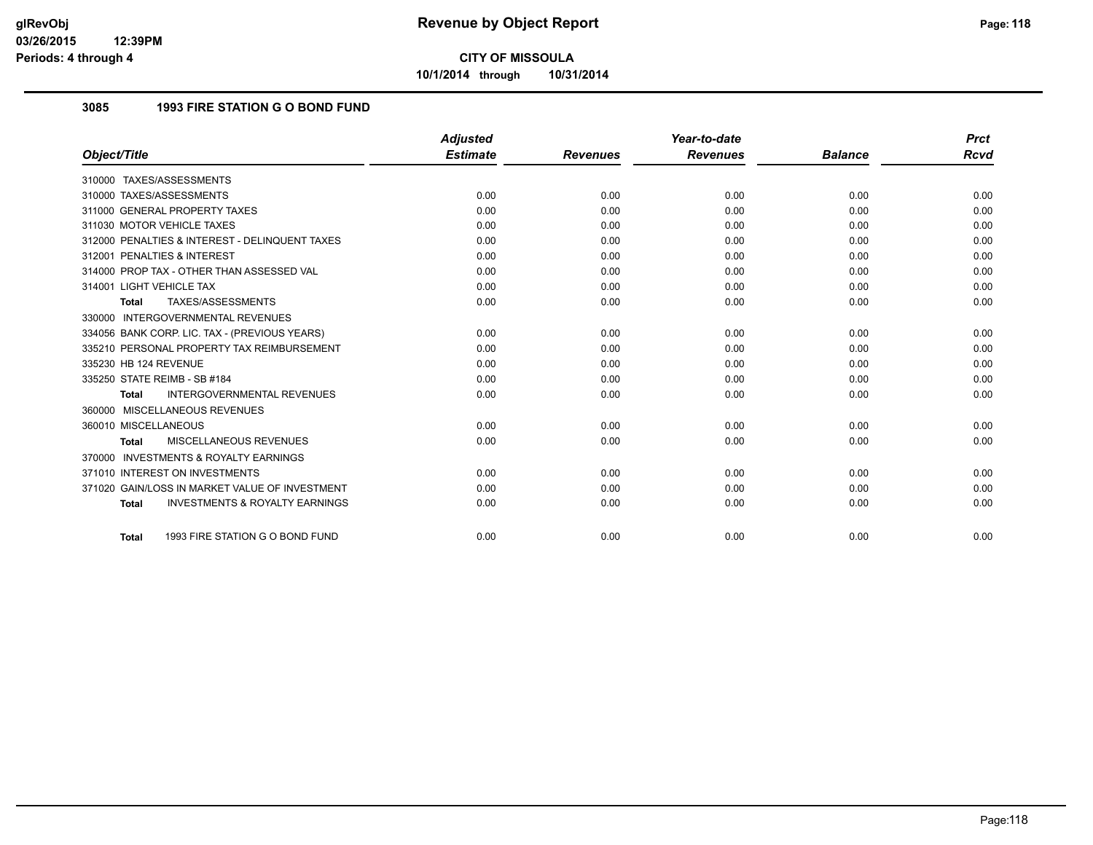**10/1/2014 through 10/31/2014**

#### **3085 1993 FIRE STATION G O BOND FUND**

|                                                    | <b>Adjusted</b> |                 | Year-to-date    |                | <b>Prct</b> |
|----------------------------------------------------|-----------------|-----------------|-----------------|----------------|-------------|
| Object/Title                                       | <b>Estimate</b> | <b>Revenues</b> | <b>Revenues</b> | <b>Balance</b> | Rcvd        |
| 310000 TAXES/ASSESSMENTS                           |                 |                 |                 |                |             |
| 310000 TAXES/ASSESSMENTS                           | 0.00            | 0.00            | 0.00            | 0.00           | 0.00        |
| 311000 GENERAL PROPERTY TAXES                      | 0.00            | 0.00            | 0.00            | 0.00           | 0.00        |
| 311030 MOTOR VEHICLE TAXES                         | 0.00            | 0.00            | 0.00            | 0.00           | 0.00        |
| 312000 PENALTIES & INTEREST - DELINQUENT TAXES     | 0.00            | 0.00            | 0.00            | 0.00           | 0.00        |
| 312001 PENALTIES & INTEREST                        | 0.00            | 0.00            | 0.00            | 0.00           | 0.00        |
| 314000 PROP TAX - OTHER THAN ASSESSED VAL          | 0.00            | 0.00            | 0.00            | 0.00           | 0.00        |
| 314001 LIGHT VEHICLE TAX                           | 0.00            | 0.00            | 0.00            | 0.00           | 0.00        |
| TAXES/ASSESSMENTS<br>Total                         | 0.00            | 0.00            | 0.00            | 0.00           | 0.00        |
| 330000 INTERGOVERNMENTAL REVENUES                  |                 |                 |                 |                |             |
| 334056 BANK CORP. LIC. TAX - (PREVIOUS YEARS)      | 0.00            | 0.00            | 0.00            | 0.00           | 0.00        |
| 335210 PERSONAL PROPERTY TAX REIMBURSEMENT         | 0.00            | 0.00            | 0.00            | 0.00           | 0.00        |
| 335230 HB 124 REVENUE                              | 0.00            | 0.00            | 0.00            | 0.00           | 0.00        |
| 335250 STATE REIMB - SB #184                       | 0.00            | 0.00            | 0.00            | 0.00           | 0.00        |
| <b>INTERGOVERNMENTAL REVENUES</b><br><b>Total</b>  | 0.00            | 0.00            | 0.00            | 0.00           | 0.00        |
| 360000 MISCELLANEOUS REVENUES                      |                 |                 |                 |                |             |
| 360010 MISCELLANEOUS                               | 0.00            | 0.00            | 0.00            | 0.00           | 0.00        |
| MISCELLANEOUS REVENUES<br><b>Total</b>             | 0.00            | 0.00            | 0.00            | 0.00           | 0.00        |
| 370000 INVESTMENTS & ROYALTY EARNINGS              |                 |                 |                 |                |             |
| 371010 INTEREST ON INVESTMENTS                     | 0.00            | 0.00            | 0.00            | 0.00           | 0.00        |
| 371020 GAIN/LOSS IN MARKET VALUE OF INVESTMENT     | 0.00            | 0.00            | 0.00            | 0.00           | 0.00        |
| <b>INVESTMENTS &amp; ROYALTY EARNINGS</b><br>Total | 0.00            | 0.00            | 0.00            | 0.00           | 0.00        |
| 1993 FIRE STATION G O BOND FUND<br><b>Total</b>    | 0.00            | 0.00            | 0.00            | 0.00           | 0.00        |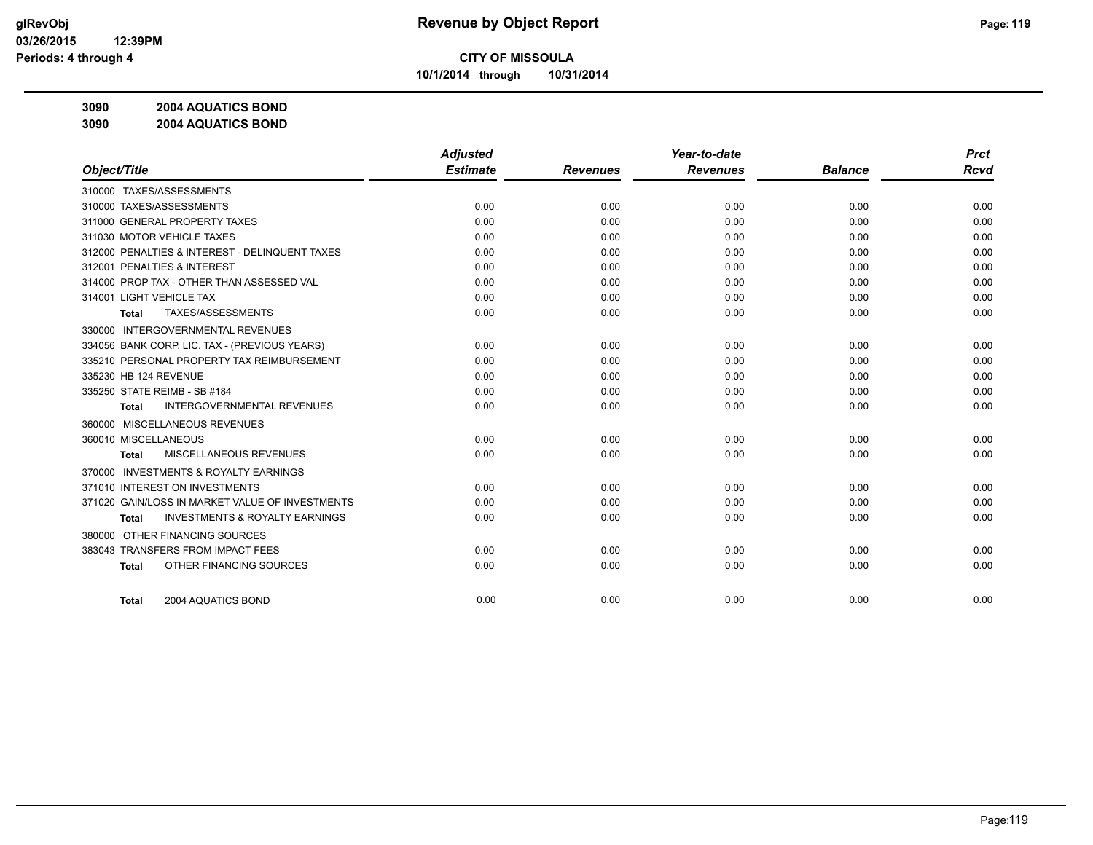**10/1/2014 through 10/31/2014**

**3090 2004 AQUATICS BOND**

**3090 2004 AQUATICS BOND**

|                                                           | <b>Adjusted</b> |                 | Year-to-date    |                | <b>Prct</b> |
|-----------------------------------------------------------|-----------------|-----------------|-----------------|----------------|-------------|
| Object/Title                                              | <b>Estimate</b> | <b>Revenues</b> | <b>Revenues</b> | <b>Balance</b> | <b>Rcvd</b> |
| 310000 TAXES/ASSESSMENTS                                  |                 |                 |                 |                |             |
| 310000 TAXES/ASSESSMENTS                                  | 0.00            | 0.00            | 0.00            | 0.00           | 0.00        |
| 311000 GENERAL PROPERTY TAXES                             | 0.00            | 0.00            | 0.00            | 0.00           | 0.00        |
| 311030 MOTOR VEHICLE TAXES                                | 0.00            | 0.00            | 0.00            | 0.00           | 0.00        |
| 312000 PENALTIES & INTEREST - DELINQUENT TAXES            | 0.00            | 0.00            | 0.00            | 0.00           | 0.00        |
| 312001 PENALTIES & INTEREST                               | 0.00            | 0.00            | 0.00            | 0.00           | 0.00        |
| 314000 PROP TAX - OTHER THAN ASSESSED VAL                 | 0.00            | 0.00            | 0.00            | 0.00           | 0.00        |
| 314001 LIGHT VEHICLE TAX                                  | 0.00            | 0.00            | 0.00            | 0.00           | 0.00        |
| TAXES/ASSESSMENTS<br><b>Total</b>                         | 0.00            | 0.00            | 0.00            | 0.00           | 0.00        |
| 330000 INTERGOVERNMENTAL REVENUES                         |                 |                 |                 |                |             |
| 334056 BANK CORP. LIC. TAX - (PREVIOUS YEARS)             | 0.00            | 0.00            | 0.00            | 0.00           | 0.00        |
| 335210 PERSONAL PROPERTY TAX REIMBURSEMENT                | 0.00            | 0.00            | 0.00            | 0.00           | 0.00        |
| 335230 HB 124 REVENUE                                     | 0.00            | 0.00            | 0.00            | 0.00           | 0.00        |
| 335250 STATE REIMB - SB #184                              | 0.00            | 0.00            | 0.00            | 0.00           | 0.00        |
| <b>INTERGOVERNMENTAL REVENUES</b><br><b>Total</b>         | 0.00            | 0.00            | 0.00            | 0.00           | 0.00        |
| 360000 MISCELLANEOUS REVENUES                             |                 |                 |                 |                |             |
| 360010 MISCELLANEOUS                                      | 0.00            | 0.00            | 0.00            | 0.00           | 0.00        |
| <b>MISCELLANEOUS REVENUES</b><br>Total                    | 0.00            | 0.00            | 0.00            | 0.00           | 0.00        |
| <b>INVESTMENTS &amp; ROYALTY EARNINGS</b><br>370000       |                 |                 |                 |                |             |
| 371010 INTEREST ON INVESTMENTS                            | 0.00            | 0.00            | 0.00            | 0.00           | 0.00        |
| 371020 GAIN/LOSS IN MARKET VALUE OF INVESTMENTS           | 0.00            | 0.00            | 0.00            | 0.00           | 0.00        |
| <b>INVESTMENTS &amp; ROYALTY EARNINGS</b><br><b>Total</b> | 0.00            | 0.00            | 0.00            | 0.00           | 0.00        |
| OTHER FINANCING SOURCES<br>380000                         |                 |                 |                 |                |             |
| 383043 TRANSFERS FROM IMPACT FEES                         | 0.00            | 0.00            | 0.00            | 0.00           | 0.00        |
| OTHER FINANCING SOURCES<br><b>Total</b>                   | 0.00            | 0.00            | 0.00            | 0.00           | 0.00        |
|                                                           |                 |                 |                 |                |             |
| 2004 AQUATICS BOND<br><b>Total</b>                        | 0.00            | 0.00            | 0.00            | 0.00           | 0.00        |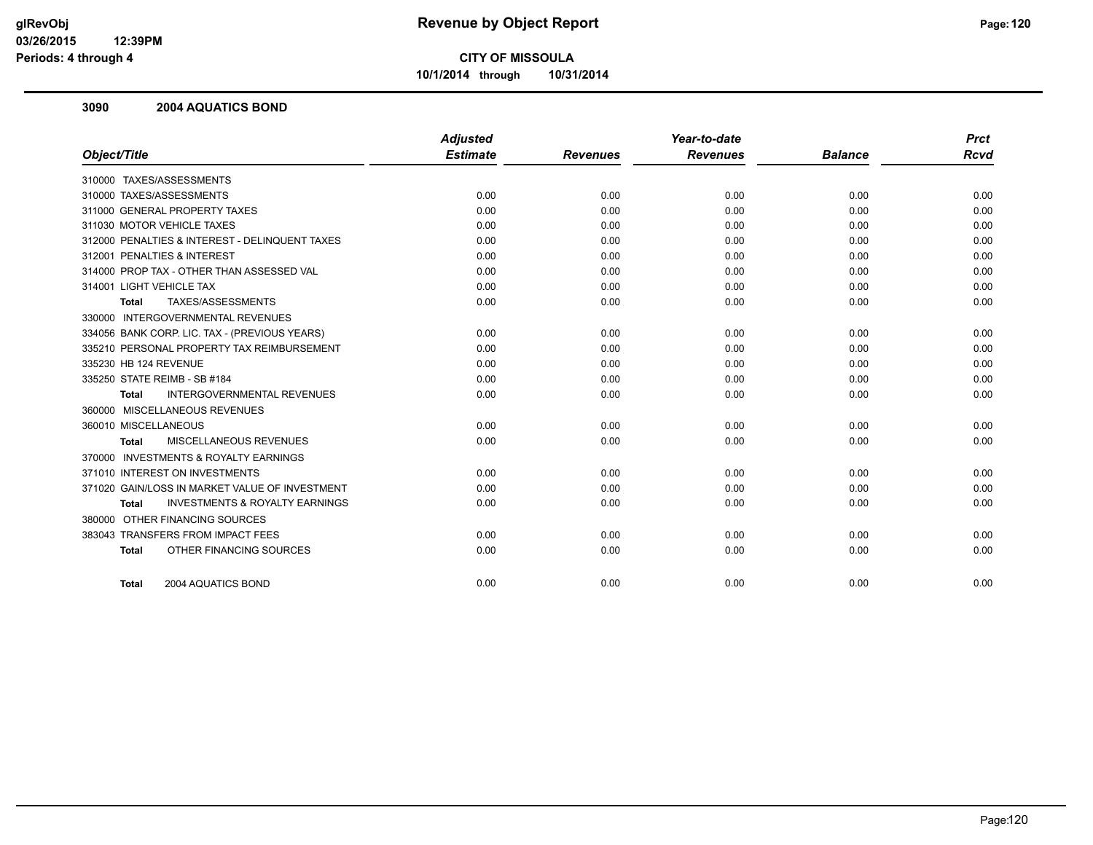**10/1/2014 through 10/31/2014**

#### **3090 2004 AQUATICS BOND**

|                                                           | <b>Adjusted</b> |                 | Year-to-date    |                | <b>Prct</b> |
|-----------------------------------------------------------|-----------------|-----------------|-----------------|----------------|-------------|
| Object/Title                                              | <b>Estimate</b> | <b>Revenues</b> | <b>Revenues</b> | <b>Balance</b> | <b>Rcvd</b> |
| 310000 TAXES/ASSESSMENTS                                  |                 |                 |                 |                |             |
| 310000 TAXES/ASSESSMENTS                                  | 0.00            | 0.00            | 0.00            | 0.00           | 0.00        |
| 311000 GENERAL PROPERTY TAXES                             | 0.00            | 0.00            | 0.00            | 0.00           | 0.00        |
| 311030 MOTOR VEHICLE TAXES                                | 0.00            | 0.00            | 0.00            | 0.00           | 0.00        |
| 312000 PENALTIES & INTEREST - DELINQUENT TAXES            | 0.00            | 0.00            | 0.00            | 0.00           | 0.00        |
| 312001 PENALTIES & INTEREST                               | 0.00            | 0.00            | 0.00            | 0.00           | 0.00        |
| 314000 PROP TAX - OTHER THAN ASSESSED VAL                 | 0.00            | 0.00            | 0.00            | 0.00           | 0.00        |
| 314001 LIGHT VEHICLE TAX                                  | 0.00            | 0.00            | 0.00            | 0.00           | 0.00        |
| TAXES/ASSESSMENTS<br><b>Total</b>                         | 0.00            | 0.00            | 0.00            | 0.00           | 0.00        |
| 330000 INTERGOVERNMENTAL REVENUES                         |                 |                 |                 |                |             |
| 334056 BANK CORP. LIC. TAX - (PREVIOUS YEARS)             | 0.00            | 0.00            | 0.00            | 0.00           | 0.00        |
| 335210 PERSONAL PROPERTY TAX REIMBURSEMENT                | 0.00            | 0.00            | 0.00            | 0.00           | 0.00        |
| 335230 HB 124 REVENUE                                     | 0.00            | 0.00            | 0.00            | 0.00           | 0.00        |
| 335250 STATE REIMB - SB #184                              | 0.00            | 0.00            | 0.00            | 0.00           | 0.00        |
| <b>INTERGOVERNMENTAL REVENUES</b><br><b>Total</b>         | 0.00            | 0.00            | 0.00            | 0.00           | 0.00        |
| 360000 MISCELLANEOUS REVENUES                             |                 |                 |                 |                |             |
| 360010 MISCELLANEOUS                                      | 0.00            | 0.00            | 0.00            | 0.00           | 0.00        |
| <b>MISCELLANEOUS REVENUES</b><br>Total                    | 0.00            | 0.00            | 0.00            | 0.00           | 0.00        |
| 370000 INVESTMENTS & ROYALTY EARNINGS                     |                 |                 |                 |                |             |
| 371010 INTEREST ON INVESTMENTS                            | 0.00            | 0.00            | 0.00            | 0.00           | 0.00        |
| 371020 GAIN/LOSS IN MARKET VALUE OF INVESTMENT            | 0.00            | 0.00            | 0.00            | 0.00           | 0.00        |
| <b>INVESTMENTS &amp; ROYALTY EARNINGS</b><br><b>Total</b> | 0.00            | 0.00            | 0.00            | 0.00           | 0.00        |
| 380000 OTHER FINANCING SOURCES                            |                 |                 |                 |                |             |
| 383043 TRANSFERS FROM IMPACT FEES                         | 0.00            | 0.00            | 0.00            | 0.00           | 0.00        |
| OTHER FINANCING SOURCES<br><b>Total</b>                   | 0.00            | 0.00            | 0.00            | 0.00           | 0.00        |
| 2004 AQUATICS BOND<br>Total                               | 0.00            | 0.00            | 0.00            | 0.00           | 0.00        |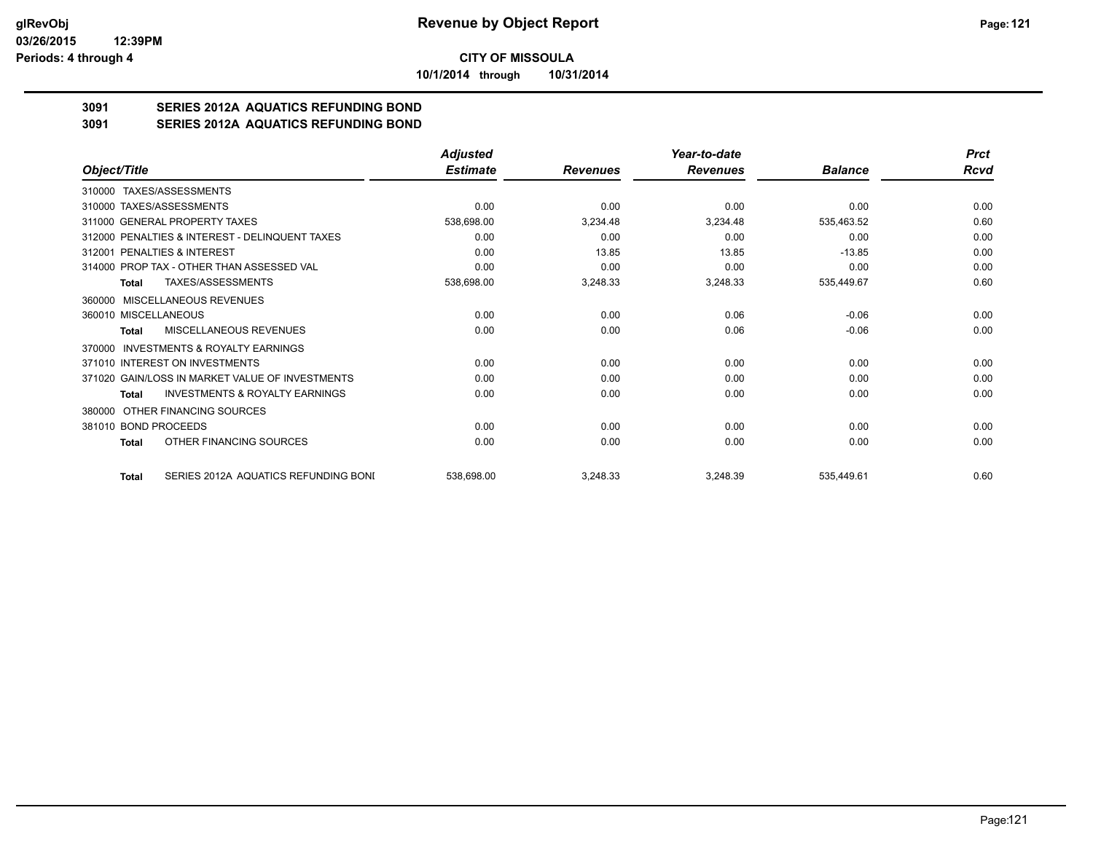**10/1/2014 through 10/31/2014**

## **3091 SERIES 2012A AQUATICS REFUNDING BOND**

**3091 SERIES 2012A AQUATICS REFUNDING BOND**

|                                                    | <b>Adjusted</b> |                 | Year-to-date    |                | <b>Prct</b> |
|----------------------------------------------------|-----------------|-----------------|-----------------|----------------|-------------|
| Object/Title                                       | <b>Estimate</b> | <b>Revenues</b> | <b>Revenues</b> | <b>Balance</b> | Rcvd        |
| TAXES/ASSESSMENTS<br>310000                        |                 |                 |                 |                |             |
| 310000 TAXES/ASSESSMENTS                           | 0.00            | 0.00            | 0.00            | 0.00           | 0.00        |
| 311000 GENERAL PROPERTY TAXES                      | 538,698.00      | 3,234.48        | 3,234.48        | 535,463.52     | 0.60        |
| 312000 PENALTIES & INTEREST - DELINQUENT TAXES     | 0.00            | 0.00            | 0.00            | 0.00           | 0.00        |
| 312001 PENALTIES & INTEREST                        | 0.00            | 13.85           | 13.85           | $-13.85$       | 0.00        |
| 314000 PROP TAX - OTHER THAN ASSESSED VAL          | 0.00            | 0.00            | 0.00            | 0.00           | 0.00        |
| TAXES/ASSESSMENTS<br>Total                         | 538,698.00      | 3,248.33        | 3,248.33        | 535,449.67     | 0.60        |
| 360000 MISCELLANEOUS REVENUES                      |                 |                 |                 |                |             |
| 360010 MISCELLANEOUS                               | 0.00            | 0.00            | 0.06            | $-0.06$        | 0.00        |
| MISCELLANEOUS REVENUES<br>Total                    | 0.00            | 0.00            | 0.06            | $-0.06$        | 0.00        |
| INVESTMENTS & ROYALTY EARNINGS<br>370000           |                 |                 |                 |                |             |
| 371010 INTEREST ON INVESTMENTS                     | 0.00            | 0.00            | 0.00            | 0.00           | 0.00        |
| 371020 GAIN/LOSS IN MARKET VALUE OF INVESTMENTS    | 0.00            | 0.00            | 0.00            | 0.00           | 0.00        |
| <b>INVESTMENTS &amp; ROYALTY EARNINGS</b><br>Total | 0.00            | 0.00            | 0.00            | 0.00           | 0.00        |
| OTHER FINANCING SOURCES<br>380000                  |                 |                 |                 |                |             |
| 381010 BOND PROCEEDS                               | 0.00            | 0.00            | 0.00            | 0.00           | 0.00        |
| OTHER FINANCING SOURCES<br>Total                   | 0.00            | 0.00            | 0.00            | 0.00           | 0.00        |
| SERIES 2012A AQUATICS REFUNDING BONI<br>Total      | 538,698.00      | 3,248.33        | 3,248.39        | 535,449.61     | 0.60        |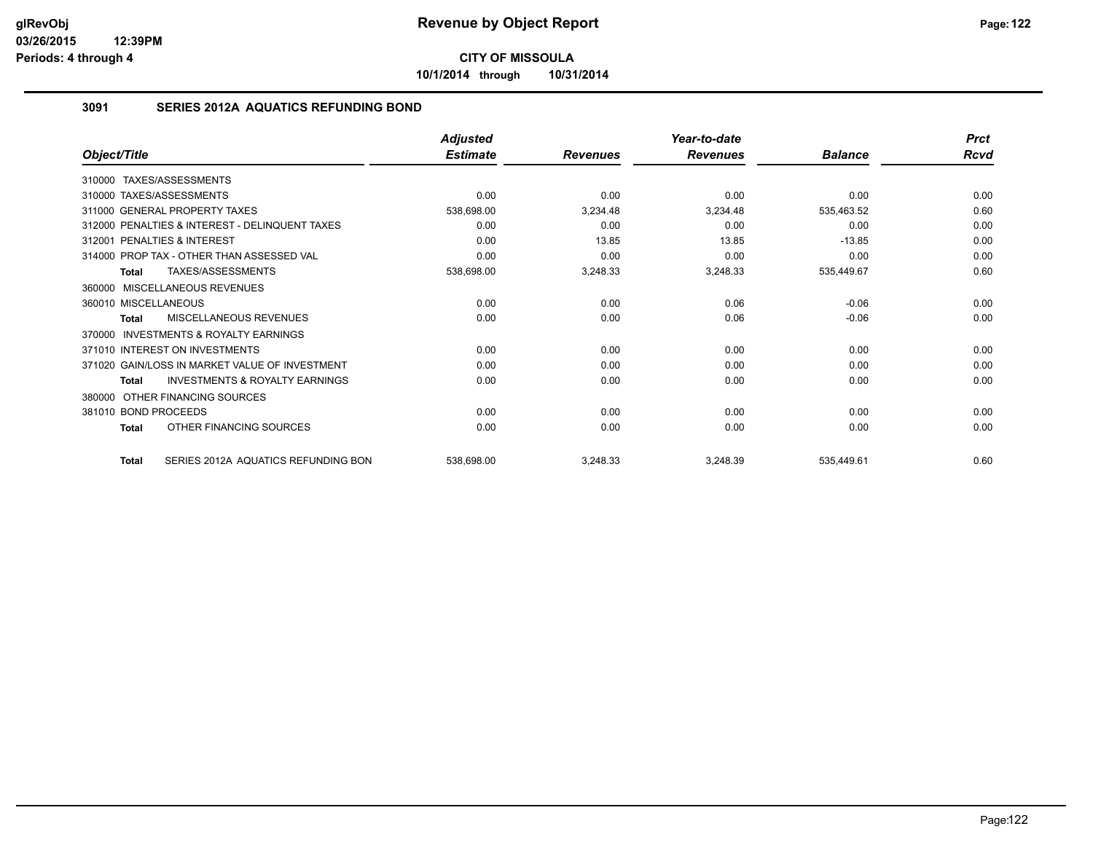**10/1/2014 through 10/31/2014**

#### **3091 SERIES 2012A AQUATICS REFUNDING BOND**

|                                                     | <b>Adjusted</b> |                 | Year-to-date    |                | <b>Prct</b> |
|-----------------------------------------------------|-----------------|-----------------|-----------------|----------------|-------------|
| Object/Title                                        | <b>Estimate</b> | <b>Revenues</b> | <b>Revenues</b> | <b>Balance</b> | Rcvd        |
| TAXES/ASSESSMENTS<br>310000                         |                 |                 |                 |                |             |
| 310000 TAXES/ASSESSMENTS                            | 0.00            | 0.00            | 0.00            | 0.00           | 0.00        |
| 311000 GENERAL PROPERTY TAXES                       | 538,698.00      | 3,234.48        | 3,234.48        | 535,463.52     | 0.60        |
| 312000 PENALTIES & INTEREST - DELINQUENT TAXES      | 0.00            | 0.00            | 0.00            | 0.00           | 0.00        |
| 312001 PENALTIES & INTEREST                         | 0.00            | 13.85           | 13.85           | $-13.85$       | 0.00        |
| 314000 PROP TAX - OTHER THAN ASSESSED VAL           | 0.00            | 0.00            | 0.00            | 0.00           | 0.00        |
| TAXES/ASSESSMENTS<br><b>Total</b>                   | 538,698.00      | 3,248.33        | 3,248.33        | 535,449.67     | 0.60        |
| MISCELLANEOUS REVENUES<br>360000                    |                 |                 |                 |                |             |
| 360010 MISCELLANEOUS                                | 0.00            | 0.00            | 0.06            | $-0.06$        | 0.00        |
| <b>MISCELLANEOUS REVENUES</b><br><b>Total</b>       | 0.00            | 0.00            | 0.06            | $-0.06$        | 0.00        |
| <b>INVESTMENTS &amp; ROYALTY EARNINGS</b><br>370000 |                 |                 |                 |                |             |
| 371010 INTEREST ON INVESTMENTS                      | 0.00            | 0.00            | 0.00            | 0.00           | 0.00        |
| 371020 GAIN/LOSS IN MARKET VALUE OF INVESTMENT      | 0.00            | 0.00            | 0.00            | 0.00           | 0.00        |
| INVESTMENTS & ROYALTY EARNINGS<br><b>Total</b>      | 0.00            | 0.00            | 0.00            | 0.00           | 0.00        |
| OTHER FINANCING SOURCES<br>380000                   |                 |                 |                 |                |             |
| 381010 BOND PROCEEDS                                | 0.00            | 0.00            | 0.00            | 0.00           | 0.00        |
| OTHER FINANCING SOURCES<br><b>Total</b>             | 0.00            | 0.00            | 0.00            | 0.00           | 0.00        |
| SERIES 2012A AQUATICS REFUNDING BON<br><b>Total</b> | 538,698.00      | 3,248.33        | 3,248.39        | 535,449.61     | 0.60        |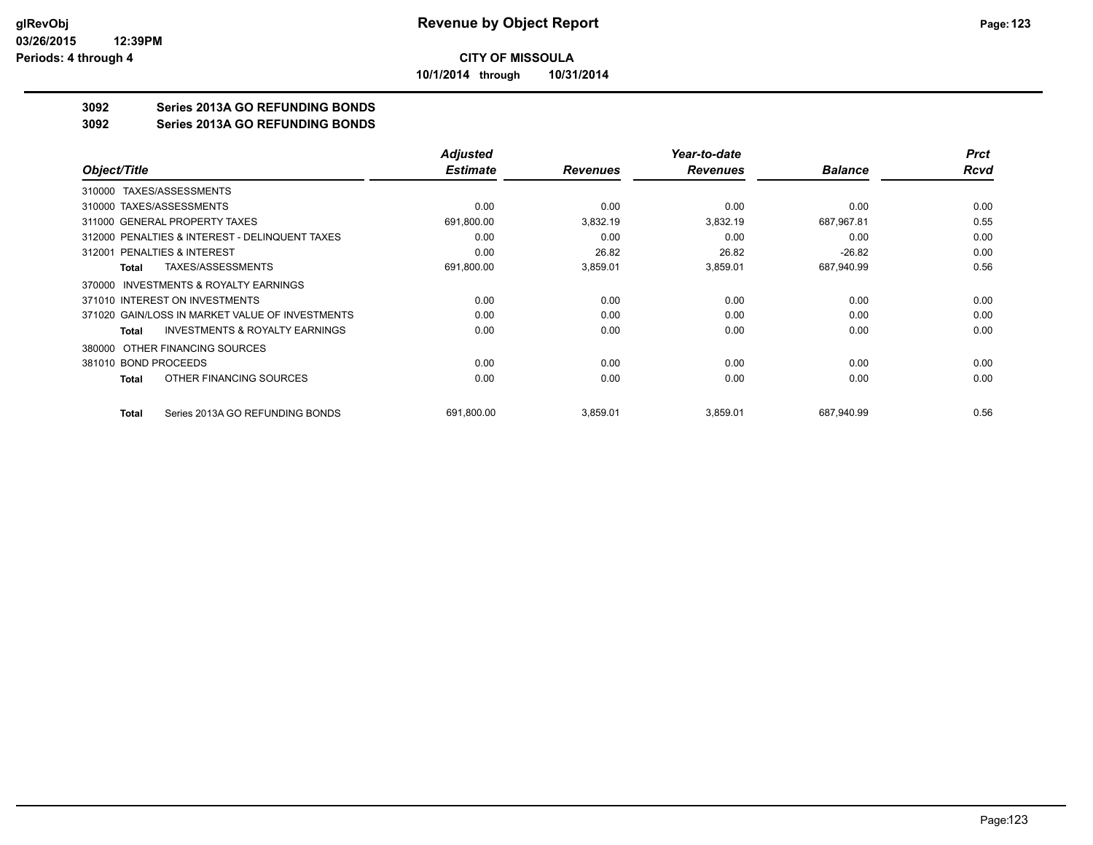**10/1/2014 through 10/31/2014**

### **3092 Series 2013A GO REFUNDING BONDS**

**3092 Series 2013A GO REFUNDING BONDS**

|                                                     | <b>Adjusted</b> |                 | Year-to-date    |                | <b>Prct</b> |
|-----------------------------------------------------|-----------------|-----------------|-----------------|----------------|-------------|
| Object/Title                                        | <b>Estimate</b> | <b>Revenues</b> | <b>Revenues</b> | <b>Balance</b> | <b>Rcvd</b> |
| TAXES/ASSESSMENTS<br>310000                         |                 |                 |                 |                |             |
| 310000 TAXES/ASSESSMENTS                            | 0.00            | 0.00            | 0.00            | 0.00           | 0.00        |
| 311000 GENERAL PROPERTY TAXES                       | 691,800.00      | 3,832.19        | 3,832.19        | 687,967.81     | 0.55        |
| 312000 PENALTIES & INTEREST - DELINQUENT TAXES      | 0.00            | 0.00            | 0.00            | 0.00           | 0.00        |
| 312001 PENALTIES & INTEREST                         | 0.00            | 26.82           | 26.82           | $-26.82$       | 0.00        |
| <b>TAXES/ASSESSMENTS</b><br>Total                   | 691,800.00      | 3,859.01        | 3,859.01        | 687,940.99     | 0.56        |
| <b>INVESTMENTS &amp; ROYALTY EARNINGS</b><br>370000 |                 |                 |                 |                |             |
| 371010 INTEREST ON INVESTMENTS                      | 0.00            | 0.00            | 0.00            | 0.00           | 0.00        |
| 371020 GAIN/LOSS IN MARKET VALUE OF INVESTMENTS     | 0.00            | 0.00            | 0.00            | 0.00           | 0.00        |
| <b>INVESTMENTS &amp; ROYALTY EARNINGS</b><br>Total  | 0.00            | 0.00            | 0.00            | 0.00           | 0.00        |
| OTHER FINANCING SOURCES<br>380000                   |                 |                 |                 |                |             |
| 381010 BOND PROCEEDS                                | 0.00            | 0.00            | 0.00            | 0.00           | 0.00        |
| OTHER FINANCING SOURCES<br>Total                    | 0.00            | 0.00            | 0.00            | 0.00           | 0.00        |
| Series 2013A GO REFUNDING BONDS<br>Total            | 691,800.00      | 3,859.01        | 3,859.01        | 687,940.99     | 0.56        |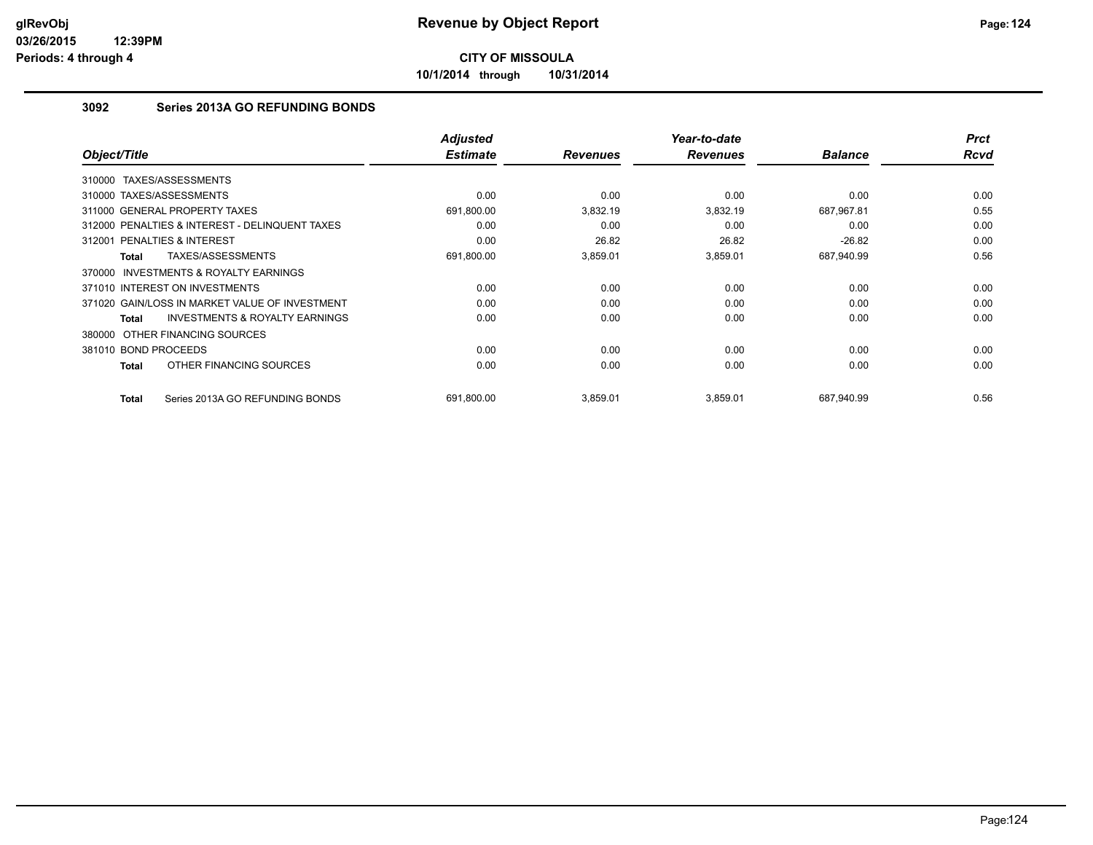**10/1/2014 through 10/31/2014**

#### **3092 Series 2013A GO REFUNDING BONDS**

| Object/Title                                        | <b>Adjusted</b><br><b>Estimate</b> | <b>Revenues</b> | Year-to-date<br><b>Revenues</b> | <b>Balance</b> | <b>Prct</b><br><b>Rcvd</b> |
|-----------------------------------------------------|------------------------------------|-----------------|---------------------------------|----------------|----------------------------|
| TAXES/ASSESSMENTS<br>310000                         |                                    |                 |                                 |                |                            |
| 310000 TAXES/ASSESSMENTS                            | 0.00                               | 0.00            | 0.00                            | 0.00           | 0.00                       |
| 311000 GENERAL PROPERTY TAXES                       | 691,800.00                         | 3,832.19        | 3,832.19                        | 687,967.81     | 0.55                       |
| 312000 PENALTIES & INTEREST - DELINQUENT TAXES      | 0.00                               | 0.00            | 0.00                            | 0.00           | 0.00                       |
| PENALTIES & INTEREST<br>312001                      | 0.00                               | 26.82           | 26.82                           | $-26.82$       | 0.00                       |
| TAXES/ASSESSMENTS<br>Total                          | 691,800.00                         | 3,859.01        | 3,859.01                        | 687,940.99     | 0.56                       |
| <b>INVESTMENTS &amp; ROYALTY EARNINGS</b><br>370000 |                                    |                 |                                 |                |                            |
| 371010 INTEREST ON INVESTMENTS                      | 0.00                               | 0.00            | 0.00                            | 0.00           | 0.00                       |
| 371020 GAIN/LOSS IN MARKET VALUE OF INVESTMENT      | 0.00                               | 0.00            | 0.00                            | 0.00           | 0.00                       |
| <b>INVESTMENTS &amp; ROYALTY EARNINGS</b><br>Total  | 0.00                               | 0.00            | 0.00                            | 0.00           | 0.00                       |
| 380000 OTHER FINANCING SOURCES                      |                                    |                 |                                 |                |                            |
| 381010 BOND PROCEEDS                                | 0.00                               | 0.00            | 0.00                            | 0.00           | 0.00                       |
| OTHER FINANCING SOURCES<br>Total                    | 0.00                               | 0.00            | 0.00                            | 0.00           | 0.00                       |
| Series 2013A GO REFUNDING BONDS<br>Total            | 691,800.00                         | 3,859.01        | 3,859.01                        | 687.940.99     | 0.56                       |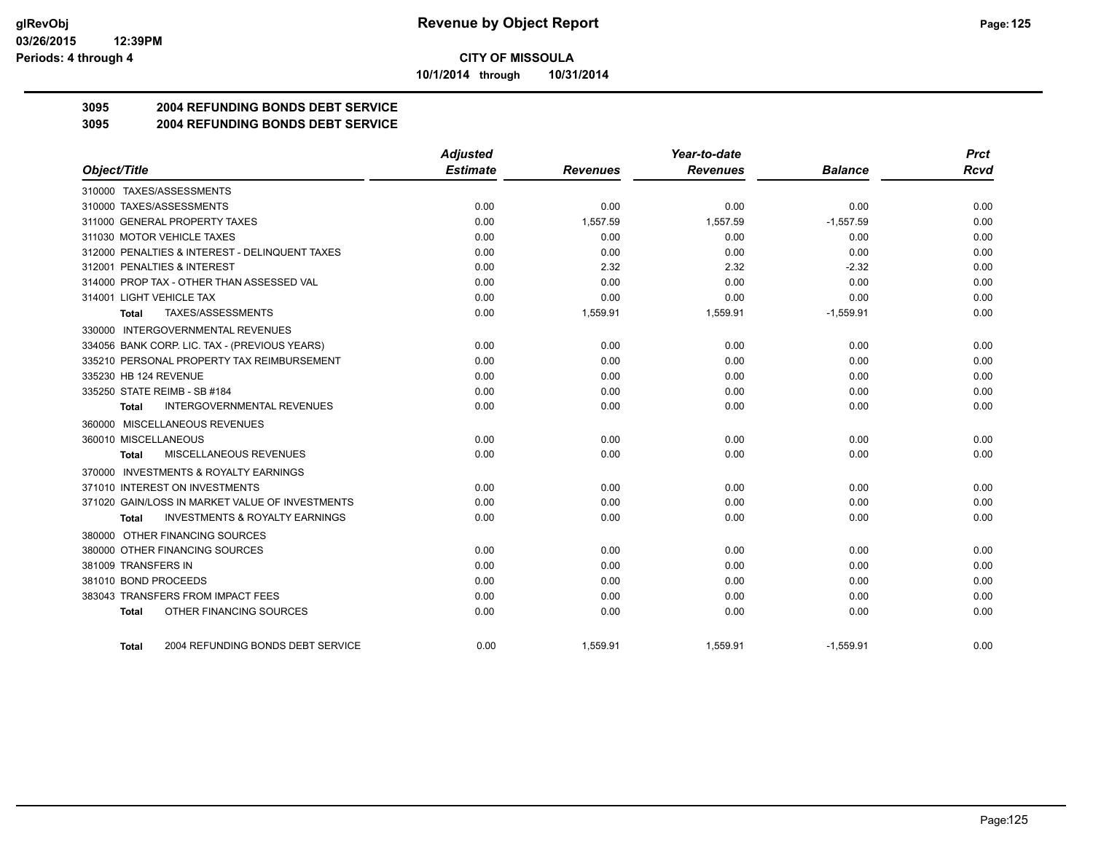**10/1/2014 through 10/31/2014**

## **3095 2004 REFUNDING BONDS DEBT SERVICE**

#### **3095 2004 REFUNDING BONDS DEBT SERVICE**

|                                                    | <b>Adjusted</b> |                 | Year-to-date    |                | <b>Prct</b> |
|----------------------------------------------------|-----------------|-----------------|-----------------|----------------|-------------|
| Object/Title                                       | <b>Estimate</b> | <b>Revenues</b> | <b>Revenues</b> | <b>Balance</b> | <b>Rcvd</b> |
| 310000 TAXES/ASSESSMENTS                           |                 |                 |                 |                |             |
| 310000 TAXES/ASSESSMENTS                           | 0.00            | 0.00            | 0.00            | 0.00           | 0.00        |
| 311000 GENERAL PROPERTY TAXES                      | 0.00            | 1,557.59        | 1,557.59        | $-1,557.59$    | 0.00        |
| 311030 MOTOR VEHICLE TAXES                         | 0.00            | 0.00            | 0.00            | 0.00           | 0.00        |
| 312000 PENALTIES & INTEREST - DELINQUENT TAXES     | 0.00            | 0.00            | 0.00            | 0.00           | 0.00        |
| 312001 PENALTIES & INTEREST                        | 0.00            | 2.32            | 2.32            | $-2.32$        | 0.00        |
| 314000 PROP TAX - OTHER THAN ASSESSED VAL          | 0.00            | 0.00            | 0.00            | 0.00           | 0.00        |
| 314001 LIGHT VEHICLE TAX                           | 0.00            | 0.00            | 0.00            | 0.00           | 0.00        |
| TAXES/ASSESSMENTS<br>Total                         | 0.00            | 1,559.91        | 1,559.91        | $-1,559.91$    | 0.00        |
| 330000 INTERGOVERNMENTAL REVENUES                  |                 |                 |                 |                |             |
| 334056 BANK CORP. LIC. TAX - (PREVIOUS YEARS)      | 0.00            | 0.00            | 0.00            | 0.00           | 0.00        |
| 335210 PERSONAL PROPERTY TAX REIMBURSEMENT         | 0.00            | 0.00            | 0.00            | 0.00           | 0.00        |
| 335230 HB 124 REVENUE                              | 0.00            | 0.00            | 0.00            | 0.00           | 0.00        |
| 335250 STATE REIMB - SB #184                       | 0.00            | 0.00            | 0.00            | 0.00           | 0.00        |
| <b>INTERGOVERNMENTAL REVENUES</b><br>Total         | 0.00            | 0.00            | 0.00            | 0.00           | 0.00        |
| 360000 MISCELLANEOUS REVENUES                      |                 |                 |                 |                |             |
| 360010 MISCELLANEOUS                               | 0.00            | 0.00            | 0.00            | 0.00           | 0.00        |
| <b>MISCELLANEOUS REVENUES</b><br><b>Total</b>      | 0.00            | 0.00            | 0.00            | 0.00           | 0.00        |
| 370000 INVESTMENTS & ROYALTY EARNINGS              |                 |                 |                 |                |             |
| 371010 INTEREST ON INVESTMENTS                     | 0.00            | 0.00            | 0.00            | 0.00           | 0.00        |
| 371020 GAIN/LOSS IN MARKET VALUE OF INVESTMENTS    | 0.00            | 0.00            | 0.00            | 0.00           | 0.00        |
| <b>INVESTMENTS &amp; ROYALTY EARNINGS</b><br>Total | 0.00            | 0.00            | 0.00            | 0.00           | 0.00        |
| 380000 OTHER FINANCING SOURCES                     |                 |                 |                 |                |             |
| 380000 OTHER FINANCING SOURCES                     | 0.00            | 0.00            | 0.00            | 0.00           | 0.00        |
| 381009 TRANSFERS IN                                | 0.00            | 0.00            | 0.00            | 0.00           | 0.00        |
| 381010 BOND PROCEEDS                               | 0.00            | 0.00            | 0.00            | 0.00           | 0.00        |
| 383043 TRANSFERS FROM IMPACT FEES                  | 0.00            | 0.00            | 0.00            | 0.00           | 0.00        |
| OTHER FINANCING SOURCES<br>Total                   | 0.00            | 0.00            | 0.00            | 0.00           | 0.00        |
| 2004 REFUNDING BONDS DEBT SERVICE<br>Total         | 0.00            | 1,559.91        | 1,559.91        | $-1,559.91$    | 0.00        |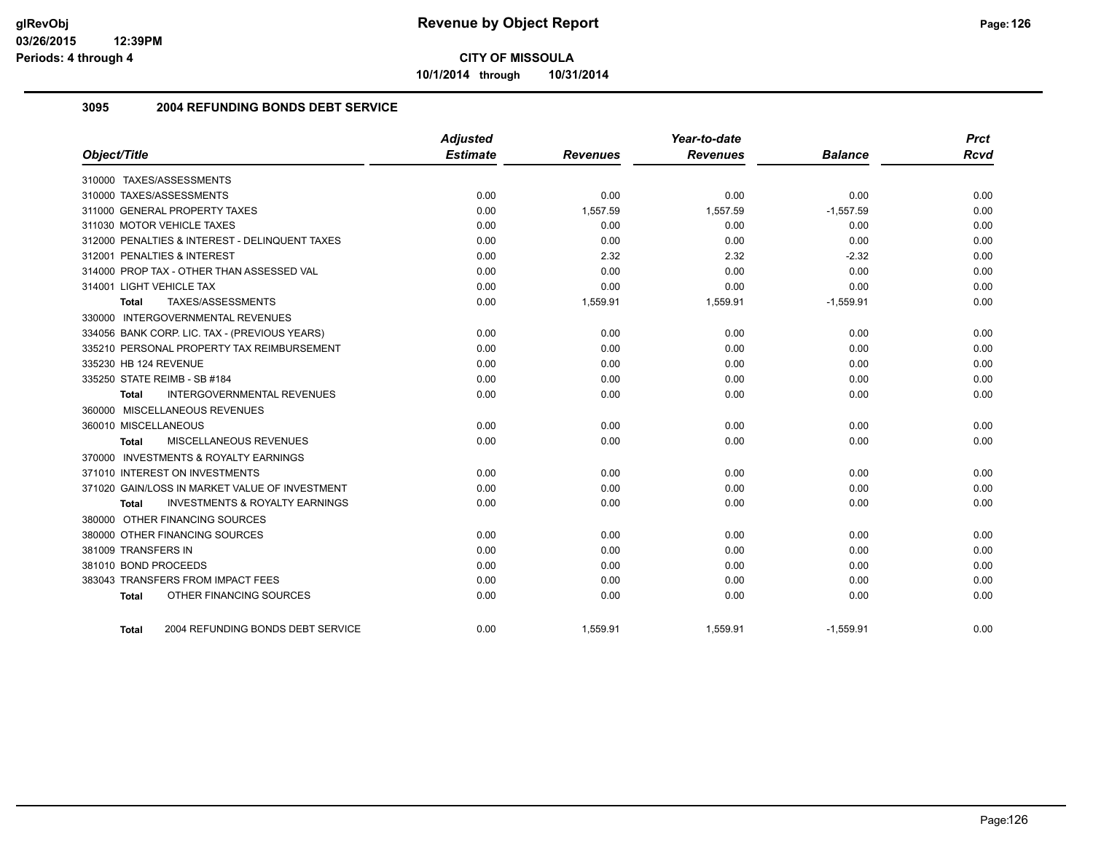**10/1/2014 through 10/31/2014**

#### **3095 2004 REFUNDING BONDS DEBT SERVICE**

| Object/Title                                       | <b>Adjusted</b><br><b>Estimate</b> | <b>Revenues</b> | Year-to-date<br><b>Revenues</b> | <b>Balance</b> | <b>Prct</b><br><b>Rcvd</b> |
|----------------------------------------------------|------------------------------------|-----------------|---------------------------------|----------------|----------------------------|
|                                                    |                                    |                 |                                 |                |                            |
| 310000 TAXES/ASSESSMENTS                           |                                    |                 |                                 |                |                            |
| 310000 TAXES/ASSESSMENTS                           | 0.00                               | 0.00            | 0.00                            | 0.00           | 0.00                       |
| 311000 GENERAL PROPERTY TAXES                      | 0.00                               | 1,557.59        | 1,557.59                        | $-1,557.59$    | 0.00                       |
| 311030 MOTOR VEHICLE TAXES                         | 0.00                               | 0.00            | 0.00                            | 0.00           | 0.00                       |
| 312000 PENALTIES & INTEREST - DELINQUENT TAXES     | 0.00                               | 0.00            | 0.00                            | 0.00           | 0.00                       |
| 312001 PENALTIES & INTEREST                        | 0.00                               | 2.32            | 2.32                            | $-2.32$        | 0.00                       |
| 314000 PROP TAX - OTHER THAN ASSESSED VAL          | 0.00                               | 0.00            | 0.00                            | 0.00           | 0.00                       |
| 314001 LIGHT VEHICLE TAX                           | 0.00                               | 0.00            | 0.00                            | 0.00           | 0.00                       |
| TAXES/ASSESSMENTS<br>Total                         | 0.00                               | 1,559.91        | 1,559.91                        | $-1,559.91$    | 0.00                       |
| 330000 INTERGOVERNMENTAL REVENUES                  |                                    |                 |                                 |                |                            |
| 334056 BANK CORP. LIC. TAX - (PREVIOUS YEARS)      | 0.00                               | 0.00            | 0.00                            | 0.00           | 0.00                       |
| 335210 PERSONAL PROPERTY TAX REIMBURSEMENT         | 0.00                               | 0.00            | 0.00                            | 0.00           | 0.00                       |
| 335230 HB 124 REVENUE                              | 0.00                               | 0.00            | 0.00                            | 0.00           | 0.00                       |
| 335250 STATE REIMB - SB #184                       | 0.00                               | 0.00            | 0.00                            | 0.00           | 0.00                       |
| INTERGOVERNMENTAL REVENUES<br>Total                | 0.00                               | 0.00            | 0.00                            | 0.00           | 0.00                       |
| 360000 MISCELLANEOUS REVENUES                      |                                    |                 |                                 |                |                            |
| 360010 MISCELLANEOUS                               | 0.00                               | 0.00            | 0.00                            | 0.00           | 0.00                       |
| <b>MISCELLANEOUS REVENUES</b><br>Total             | 0.00                               | 0.00            | 0.00                            | 0.00           | 0.00                       |
| 370000 INVESTMENTS & ROYALTY EARNINGS              |                                    |                 |                                 |                |                            |
| 371010 INTEREST ON INVESTMENTS                     | 0.00                               | 0.00            | 0.00                            | 0.00           | 0.00                       |
| 371020 GAIN/LOSS IN MARKET VALUE OF INVESTMENT     | 0.00                               | 0.00            | 0.00                            | 0.00           | 0.00                       |
| <b>INVESTMENTS &amp; ROYALTY EARNINGS</b><br>Total | 0.00                               | 0.00            | 0.00                            | 0.00           | 0.00                       |
| 380000 OTHER FINANCING SOURCES                     |                                    |                 |                                 |                |                            |
| 380000 OTHER FINANCING SOURCES                     | 0.00                               | 0.00            | 0.00                            | 0.00           | 0.00                       |
| 381009 TRANSFERS IN                                | 0.00                               | 0.00            | 0.00                            | 0.00           | 0.00                       |
| 381010 BOND PROCEEDS                               | 0.00                               | 0.00            | 0.00                            | 0.00           | 0.00                       |
| 383043 TRANSFERS FROM IMPACT FEES                  | 0.00                               | 0.00            | 0.00                            | 0.00           | 0.00                       |
| OTHER FINANCING SOURCES<br><b>Total</b>            | 0.00                               | 0.00            | 0.00                            | 0.00           | 0.00                       |
| 2004 REFUNDING BONDS DEBT SERVICE<br><b>Total</b>  | 0.00                               | 1,559.91        | 1,559.91                        | $-1,559.91$    | 0.00                       |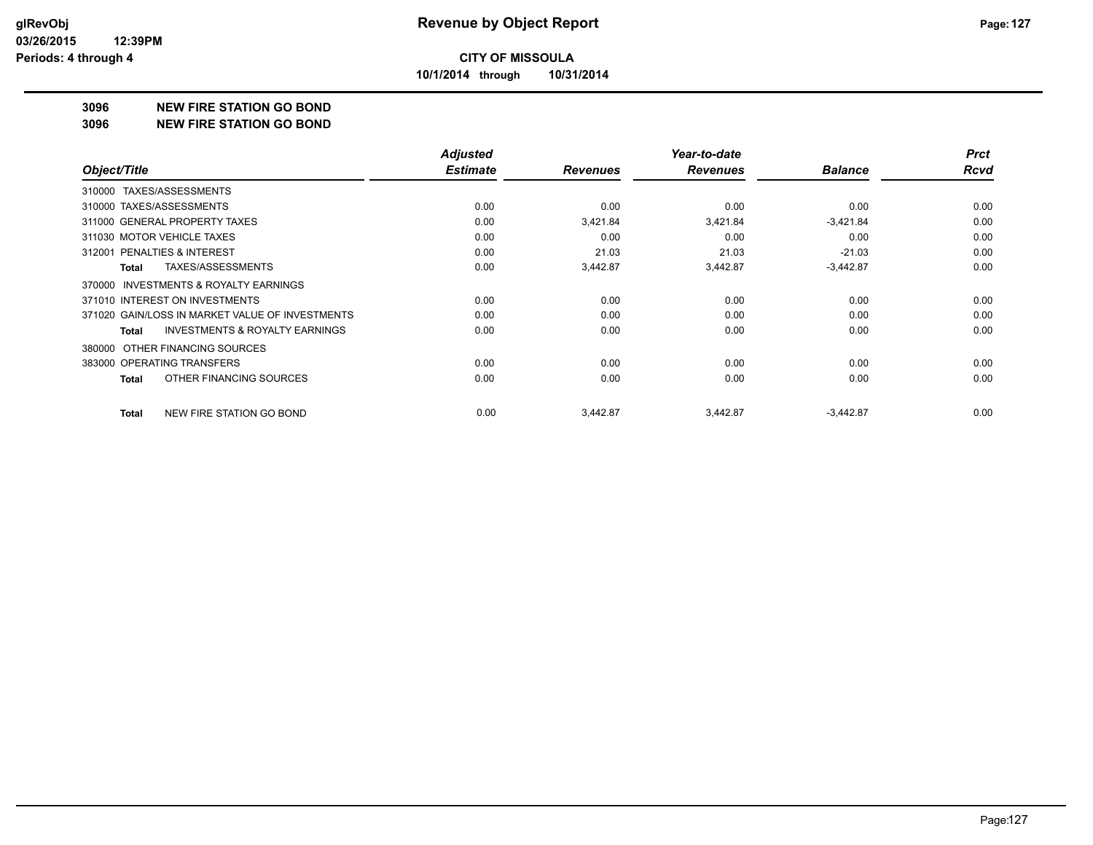**10/1/2014 through 10/31/2014**

#### **3096 NEW FIRE STATION GO BOND**

**3096 NEW FIRE STATION GO BOND**

|                                                    | <b>Adjusted</b> |                 | Year-to-date    |                | <b>Prct</b> |
|----------------------------------------------------|-----------------|-----------------|-----------------|----------------|-------------|
| Object/Title                                       | <b>Estimate</b> | <b>Revenues</b> | <b>Revenues</b> | <b>Balance</b> | <b>Rcvd</b> |
| 310000 TAXES/ASSESSMENTS                           |                 |                 |                 |                |             |
| 310000 TAXES/ASSESSMENTS                           | 0.00            | 0.00            | 0.00            | 0.00           | 0.00        |
| 311000 GENERAL PROPERTY TAXES                      | 0.00            | 3,421.84        | 3,421.84        | $-3,421.84$    | 0.00        |
| 311030 MOTOR VEHICLE TAXES                         | 0.00            | 0.00            | 0.00            | 0.00           | 0.00        |
| 312001 PENALTIES & INTEREST                        | 0.00            | 21.03           | 21.03           | $-21.03$       | 0.00        |
| TAXES/ASSESSMENTS<br>Total                         | 0.00            | 3,442.87        | 3,442.87        | $-3,442.87$    | 0.00        |
| 370000 INVESTMENTS & ROYALTY EARNINGS              |                 |                 |                 |                |             |
| 371010 INTEREST ON INVESTMENTS                     | 0.00            | 0.00            | 0.00            | 0.00           | 0.00        |
| 371020 GAIN/LOSS IN MARKET VALUE OF INVESTMENTS    | 0.00            | 0.00            | 0.00            | 0.00           | 0.00        |
| <b>INVESTMENTS &amp; ROYALTY EARNINGS</b><br>Total | 0.00            | 0.00            | 0.00            | 0.00           | 0.00        |
| OTHER FINANCING SOURCES<br>380000                  |                 |                 |                 |                |             |
| 383000 OPERATING TRANSFERS                         | 0.00            | 0.00            | 0.00            | 0.00           | 0.00        |
| OTHER FINANCING SOURCES<br>Total                   | 0.00            | 0.00            | 0.00            | 0.00           | 0.00        |
| NEW FIRE STATION GO BOND<br><b>Total</b>           | 0.00            | 3,442.87        | 3,442.87        | $-3,442.87$    | 0.00        |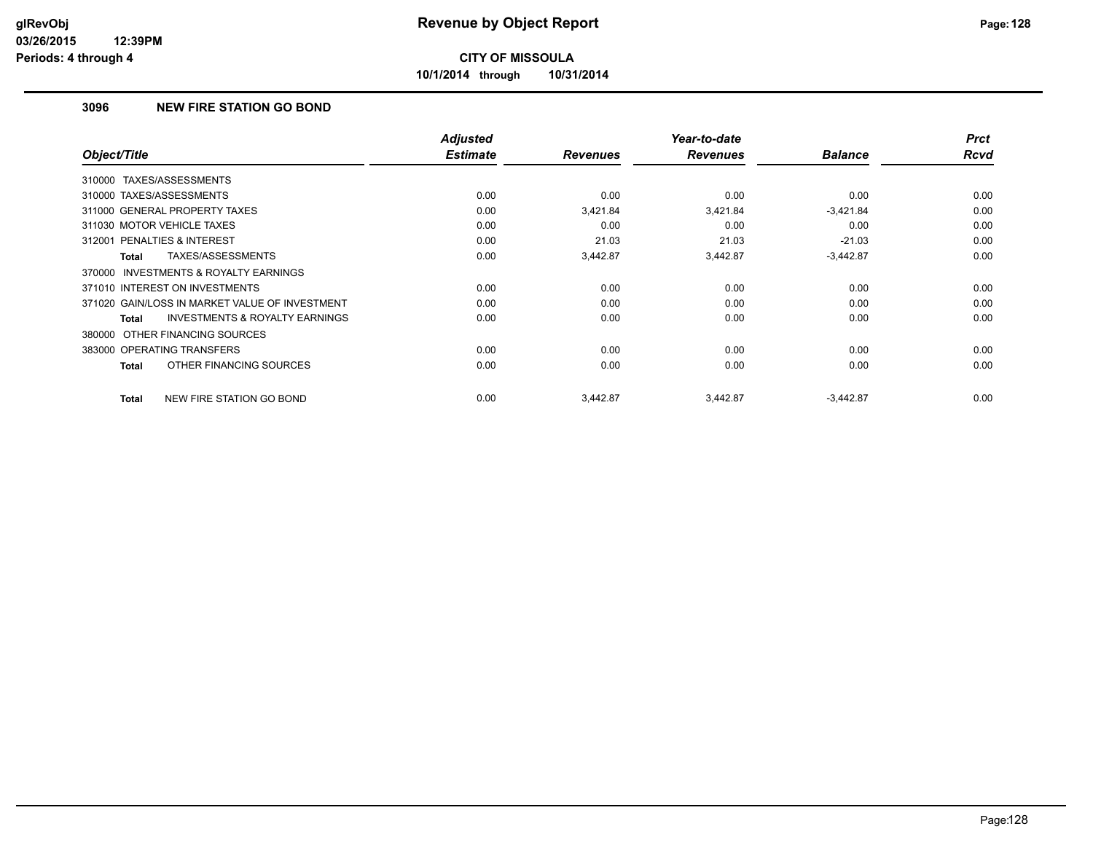**10/1/2014 through 10/31/2014**

#### **3096 NEW FIRE STATION GO BOND**

| Object/Title                                        | <b>Adjusted</b><br><b>Estimate</b> | <b>Revenues</b> | Year-to-date<br><b>Revenues</b> | <b>Balance</b> | <b>Prct</b><br><b>Rcvd</b> |
|-----------------------------------------------------|------------------------------------|-----------------|---------------------------------|----------------|----------------------------|
| TAXES/ASSESSMENTS<br>310000                         |                                    |                 |                                 |                |                            |
| 310000 TAXES/ASSESSMENTS                            | 0.00                               | 0.00            | 0.00                            | 0.00           | 0.00                       |
| 311000 GENERAL PROPERTY TAXES                       | 0.00                               | 3,421.84        | 3,421.84                        | $-3,421.84$    | 0.00                       |
| 311030 MOTOR VEHICLE TAXES                          | 0.00                               | 0.00            | 0.00                            | 0.00           | 0.00                       |
| <b>PENALTIES &amp; INTEREST</b><br>312001           | 0.00                               | 21.03           | 21.03                           | $-21.03$       | 0.00                       |
| TAXES/ASSESSMENTS<br><b>Total</b>                   | 0.00                               | 3,442.87        | 3,442.87                        | $-3,442.87$    | 0.00                       |
| <b>INVESTMENTS &amp; ROYALTY EARNINGS</b><br>370000 |                                    |                 |                                 |                |                            |
| 371010 INTEREST ON INVESTMENTS                      | 0.00                               | 0.00            | 0.00                            | 0.00           | 0.00                       |
| 371020 GAIN/LOSS IN MARKET VALUE OF INVESTMENT      | 0.00                               | 0.00            | 0.00                            | 0.00           | 0.00                       |
| <b>INVESTMENTS &amp; ROYALTY EARNINGS</b><br>Total  | 0.00                               | 0.00            | 0.00                            | 0.00           | 0.00                       |
| 380000 OTHER FINANCING SOURCES                      |                                    |                 |                                 |                |                            |
| 383000 OPERATING TRANSFERS                          | 0.00                               | 0.00            | 0.00                            | 0.00           | 0.00                       |
| OTHER FINANCING SOURCES<br>Total                    | 0.00                               | 0.00            | 0.00                            | 0.00           | 0.00                       |
| NEW FIRE STATION GO BOND<br><b>Total</b>            | 0.00                               | 3,442.87        | 3,442.87                        | $-3,442.87$    | 0.00                       |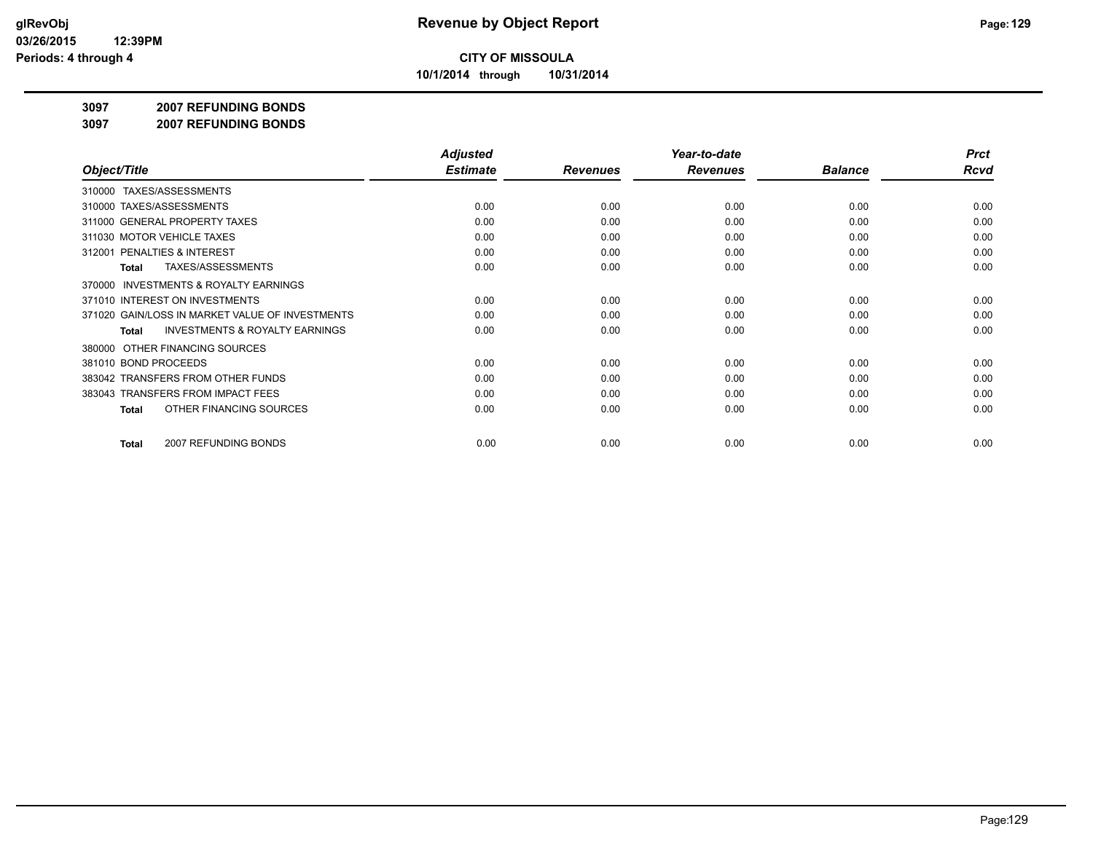**10/1/2014 through 10/31/2014**

#### **3097 2007 REFUNDING BONDS**

**3097 2007 REFUNDING BONDS**

|                                                     | <b>Adjusted</b> |                 | Year-to-date    |                | <b>Prct</b> |
|-----------------------------------------------------|-----------------|-----------------|-----------------|----------------|-------------|
| Object/Title                                        | <b>Estimate</b> | <b>Revenues</b> | <b>Revenues</b> | <b>Balance</b> | Rcvd        |
| TAXES/ASSESSMENTS<br>310000                         |                 |                 |                 |                |             |
| 310000 TAXES/ASSESSMENTS                            | 0.00            | 0.00            | 0.00            | 0.00           | 0.00        |
| 311000 GENERAL PROPERTY TAXES                       | 0.00            | 0.00            | 0.00            | 0.00           | 0.00        |
| 311030 MOTOR VEHICLE TAXES                          | 0.00            | 0.00            | 0.00            | 0.00           | 0.00        |
| 312001 PENALTIES & INTEREST                         | 0.00            | 0.00            | 0.00            | 0.00           | 0.00        |
| <b>TAXES/ASSESSMENTS</b><br>Total                   | 0.00            | 0.00            | 0.00            | 0.00           | 0.00        |
| <b>INVESTMENTS &amp; ROYALTY EARNINGS</b><br>370000 |                 |                 |                 |                |             |
| 371010 INTEREST ON INVESTMENTS                      | 0.00            | 0.00            | 0.00            | 0.00           | 0.00        |
| 371020 GAIN/LOSS IN MARKET VALUE OF INVESTMENTS     | 0.00            | 0.00            | 0.00            | 0.00           | 0.00        |
| <b>INVESTMENTS &amp; ROYALTY EARNINGS</b><br>Total  | 0.00            | 0.00            | 0.00            | 0.00           | 0.00        |
| OTHER FINANCING SOURCES<br>380000                   |                 |                 |                 |                |             |
| 381010 BOND PROCEEDS                                | 0.00            | 0.00            | 0.00            | 0.00           | 0.00        |
| 383042 TRANSFERS FROM OTHER FUNDS                   | 0.00            | 0.00            | 0.00            | 0.00           | 0.00        |
| 383043 TRANSFERS FROM IMPACT FEES                   | 0.00            | 0.00            | 0.00            | 0.00           | 0.00        |
| OTHER FINANCING SOURCES<br>Total                    | 0.00            | 0.00            | 0.00            | 0.00           | 0.00        |
| 2007 REFUNDING BONDS<br>Total                       | 0.00            | 0.00            | 0.00            | 0.00           | 0.00        |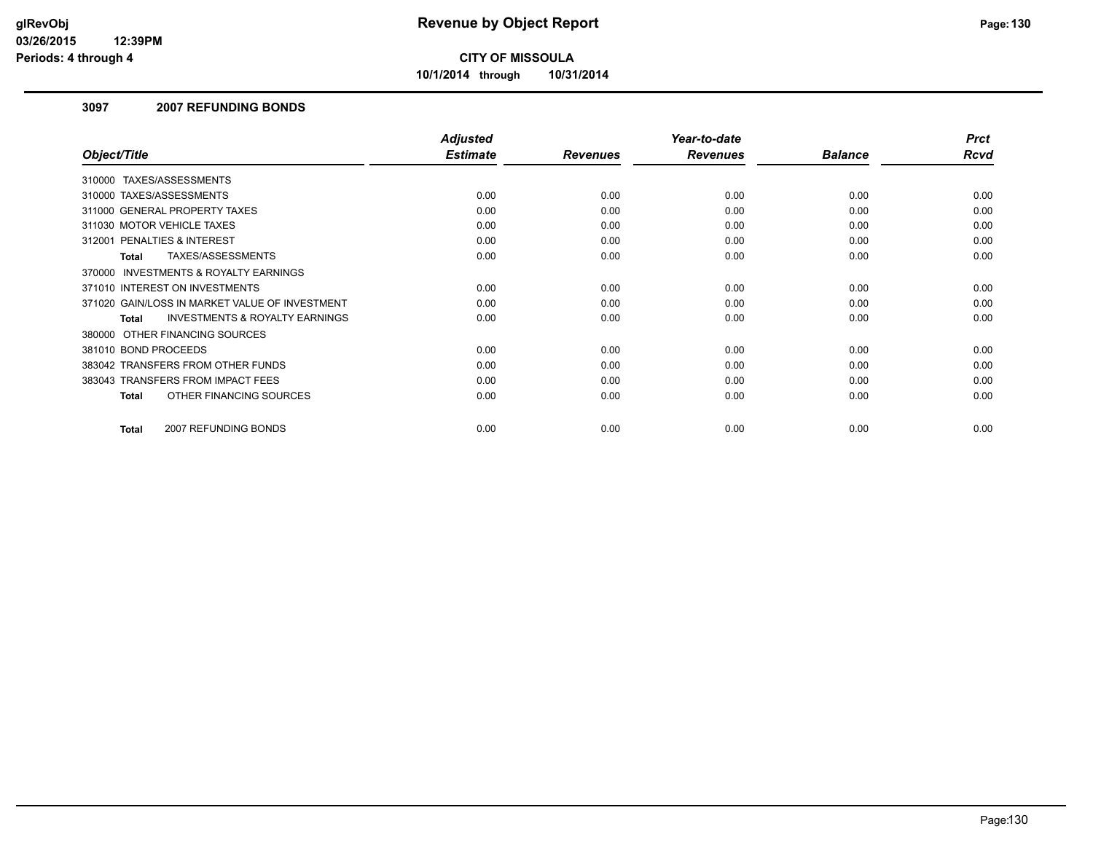**10/1/2014 through 10/31/2014**

#### **3097 2007 REFUNDING BONDS**

|                                                           | <b>Adjusted</b> |                 | Year-to-date    |                | <b>Prct</b> |
|-----------------------------------------------------------|-----------------|-----------------|-----------------|----------------|-------------|
| Object/Title                                              | <b>Estimate</b> | <b>Revenues</b> | <b>Revenues</b> | <b>Balance</b> | Rcvd        |
| 310000 TAXES/ASSESSMENTS                                  |                 |                 |                 |                |             |
| 310000 TAXES/ASSESSMENTS                                  | 0.00            | 0.00            | 0.00            | 0.00           | 0.00        |
| 311000 GENERAL PROPERTY TAXES                             | 0.00            | 0.00            | 0.00            | 0.00           | 0.00        |
| 311030 MOTOR VEHICLE TAXES                                | 0.00            | 0.00            | 0.00            | 0.00           | 0.00        |
| PENALTIES & INTEREST<br>312001                            | 0.00            | 0.00            | 0.00            | 0.00           | 0.00        |
| TAXES/ASSESSMENTS<br>Total                                | 0.00            | 0.00            | 0.00            | 0.00           | 0.00        |
| 370000 INVESTMENTS & ROYALTY EARNINGS                     |                 |                 |                 |                |             |
| 371010 INTEREST ON INVESTMENTS                            | 0.00            | 0.00            | 0.00            | 0.00           | 0.00        |
| 371020 GAIN/LOSS IN MARKET VALUE OF INVESTMENT            | 0.00            | 0.00            | 0.00            | 0.00           | 0.00        |
| <b>INVESTMENTS &amp; ROYALTY EARNINGS</b><br><b>Total</b> | 0.00            | 0.00            | 0.00            | 0.00           | 0.00        |
| 380000 OTHER FINANCING SOURCES                            |                 |                 |                 |                |             |
| 381010 BOND PROCEEDS                                      | 0.00            | 0.00            | 0.00            | 0.00           | 0.00        |
| 383042 TRANSFERS FROM OTHER FUNDS                         | 0.00            | 0.00            | 0.00            | 0.00           | 0.00        |
| 383043 TRANSFERS FROM IMPACT FEES                         | 0.00            | 0.00            | 0.00            | 0.00           | 0.00        |
| OTHER FINANCING SOURCES<br><b>Total</b>                   | 0.00            | 0.00            | 0.00            | 0.00           | 0.00        |
| 2007 REFUNDING BONDS<br><b>Total</b>                      | 0.00            | 0.00            | 0.00            | 0.00           | 0.00        |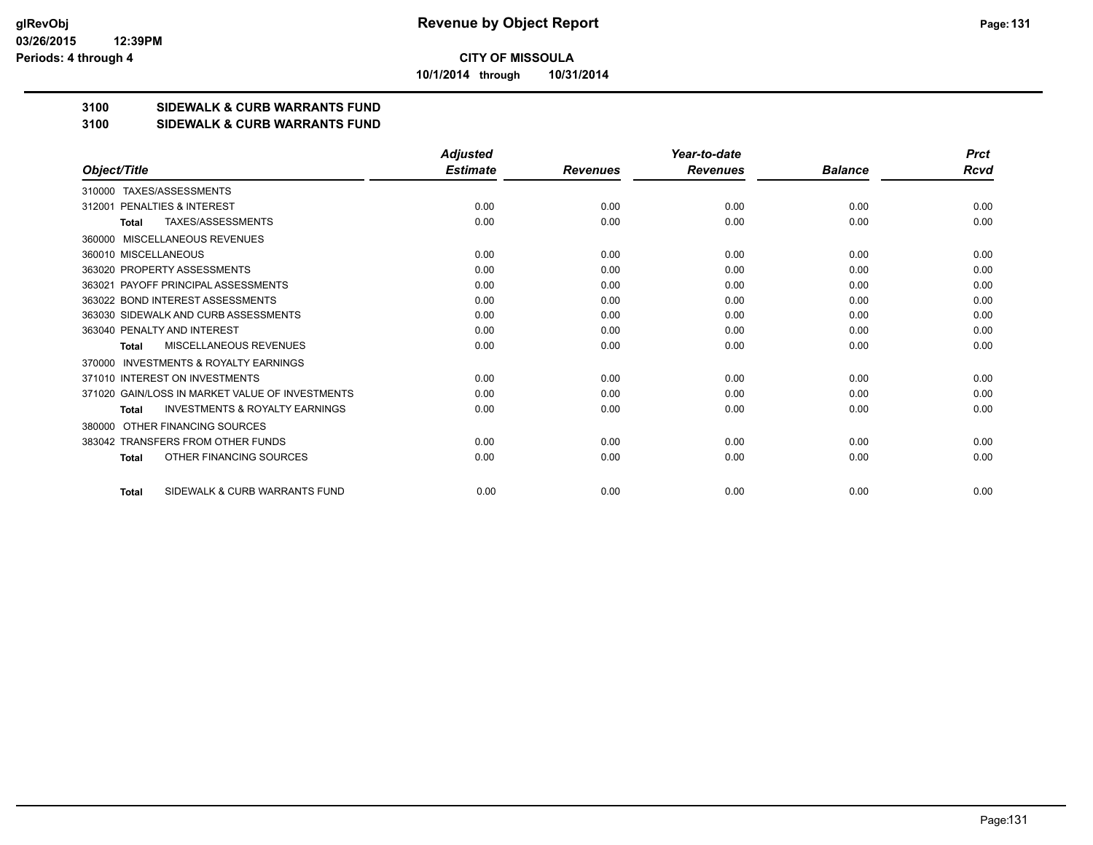**10/1/2014 through 10/31/2014**

#### **3100 SIDEWALK & CURB WARRANTS FUND**

#### **3100 SIDEWALK & CURB WARRANTS FUND**

|                                                           | <b>Adjusted</b> |                 | Year-to-date    |                | <b>Prct</b> |
|-----------------------------------------------------------|-----------------|-----------------|-----------------|----------------|-------------|
| Object/Title                                              | <b>Estimate</b> | <b>Revenues</b> | <b>Revenues</b> | <b>Balance</b> | <b>Rcvd</b> |
| TAXES/ASSESSMENTS<br>310000                               |                 |                 |                 |                |             |
| PENALTIES & INTEREST<br>312001                            | 0.00            | 0.00            | 0.00            | 0.00           | 0.00        |
| TAXES/ASSESSMENTS<br><b>Total</b>                         | 0.00            | 0.00            | 0.00            | 0.00           | 0.00        |
| MISCELLANEOUS REVENUES<br>360000                          |                 |                 |                 |                |             |
| 360010 MISCELLANEOUS                                      | 0.00            | 0.00            | 0.00            | 0.00           | 0.00        |
| 363020 PROPERTY ASSESSMENTS                               | 0.00            | 0.00            | 0.00            | 0.00           | 0.00        |
| 363021 PAYOFF PRINCIPAL ASSESSMENTS                       | 0.00            | 0.00            | 0.00            | 0.00           | 0.00        |
| 363022 BOND INTEREST ASSESSMENTS                          | 0.00            | 0.00            | 0.00            | 0.00           | 0.00        |
| 363030 SIDEWALK AND CURB ASSESSMENTS                      | 0.00            | 0.00            | 0.00            | 0.00           | 0.00        |
| 363040 PENALTY AND INTEREST                               | 0.00            | 0.00            | 0.00            | 0.00           | 0.00        |
| MISCELLANEOUS REVENUES<br><b>Total</b>                    | 0.00            | 0.00            | 0.00            | 0.00           | 0.00        |
| <b>INVESTMENTS &amp; ROYALTY EARNINGS</b><br>370000       |                 |                 |                 |                |             |
| 371010 INTEREST ON INVESTMENTS                            | 0.00            | 0.00            | 0.00            | 0.00           | 0.00        |
| 371020 GAIN/LOSS IN MARKET VALUE OF INVESTMENTS           | 0.00            | 0.00            | 0.00            | 0.00           | 0.00        |
| <b>INVESTMENTS &amp; ROYALTY EARNINGS</b><br><b>Total</b> | 0.00            | 0.00            | 0.00            | 0.00           | 0.00        |
| OTHER FINANCING SOURCES<br>380000                         |                 |                 |                 |                |             |
| 383042 TRANSFERS FROM OTHER FUNDS                         | 0.00            | 0.00            | 0.00            | 0.00           | 0.00        |
| OTHER FINANCING SOURCES<br><b>Total</b>                   | 0.00            | 0.00            | 0.00            | 0.00           | 0.00        |
| SIDEWALK & CURB WARRANTS FUND<br><b>Total</b>             | 0.00            | 0.00            | 0.00            | 0.00           | 0.00        |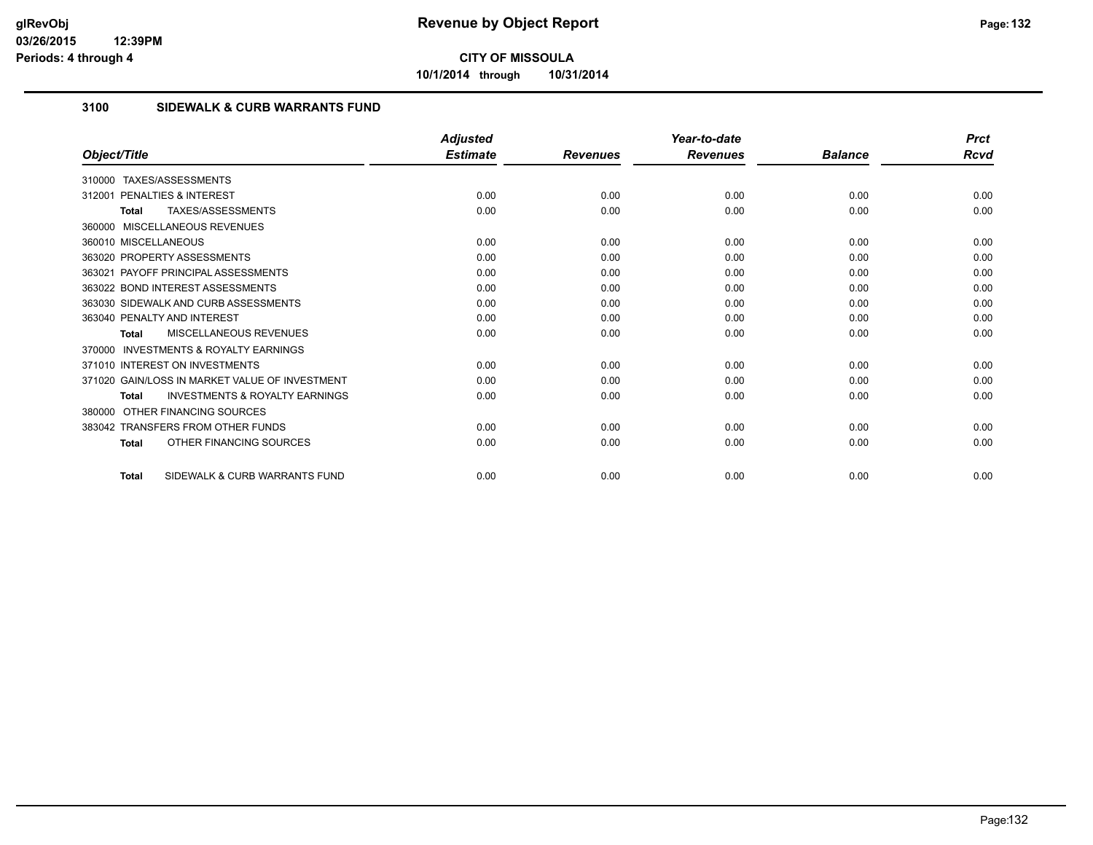**10/1/2014 through 10/31/2014**

#### **3100 SIDEWALK & CURB WARRANTS FUND**

|                                                           | <b>Adjusted</b> |                 | Year-to-date    |                | <b>Prct</b> |
|-----------------------------------------------------------|-----------------|-----------------|-----------------|----------------|-------------|
| Object/Title                                              | <b>Estimate</b> | <b>Revenues</b> | <b>Revenues</b> | <b>Balance</b> | Rcvd        |
| TAXES/ASSESSMENTS<br>310000                               |                 |                 |                 |                |             |
| <b>PENALTIES &amp; INTEREST</b><br>312001                 | 0.00            | 0.00            | 0.00            | 0.00           | 0.00        |
| TAXES/ASSESSMENTS<br>Total                                | 0.00            | 0.00            | 0.00            | 0.00           | 0.00        |
| 360000 MISCELLANEOUS REVENUES                             |                 |                 |                 |                |             |
| 360010 MISCELLANEOUS                                      | 0.00            | 0.00            | 0.00            | 0.00           | 0.00        |
| 363020 PROPERTY ASSESSMENTS                               | 0.00            | 0.00            | 0.00            | 0.00           | 0.00        |
| 363021 PAYOFF PRINCIPAL ASSESSMENTS                       | 0.00            | 0.00            | 0.00            | 0.00           | 0.00        |
| 363022 BOND INTEREST ASSESSMENTS                          | 0.00            | 0.00            | 0.00            | 0.00           | 0.00        |
| 363030 SIDEWALK AND CURB ASSESSMENTS                      | 0.00            | 0.00            | 0.00            | 0.00           | 0.00        |
| 363040 PENALTY AND INTEREST                               | 0.00            | 0.00            | 0.00            | 0.00           | 0.00        |
| MISCELLANEOUS REVENUES<br>Total                           | 0.00            | 0.00            | 0.00            | 0.00           | 0.00        |
| <b>INVESTMENTS &amp; ROYALTY EARNINGS</b><br>370000       |                 |                 |                 |                |             |
| 371010 INTEREST ON INVESTMENTS                            | 0.00            | 0.00            | 0.00            | 0.00           | 0.00        |
| 371020 GAIN/LOSS IN MARKET VALUE OF INVESTMENT            | 0.00            | 0.00            | 0.00            | 0.00           | 0.00        |
| <b>INVESTMENTS &amp; ROYALTY EARNINGS</b><br><b>Total</b> | 0.00            | 0.00            | 0.00            | 0.00           | 0.00        |
| OTHER FINANCING SOURCES<br>380000                         |                 |                 |                 |                |             |
| 383042 TRANSFERS FROM OTHER FUNDS                         | 0.00            | 0.00            | 0.00            | 0.00           | 0.00        |
| OTHER FINANCING SOURCES<br><b>Total</b>                   | 0.00            | 0.00            | 0.00            | 0.00           | 0.00        |
| SIDEWALK & CURB WARRANTS FUND<br><b>Total</b>             | 0.00            | 0.00            | 0.00            | 0.00           | 0.00        |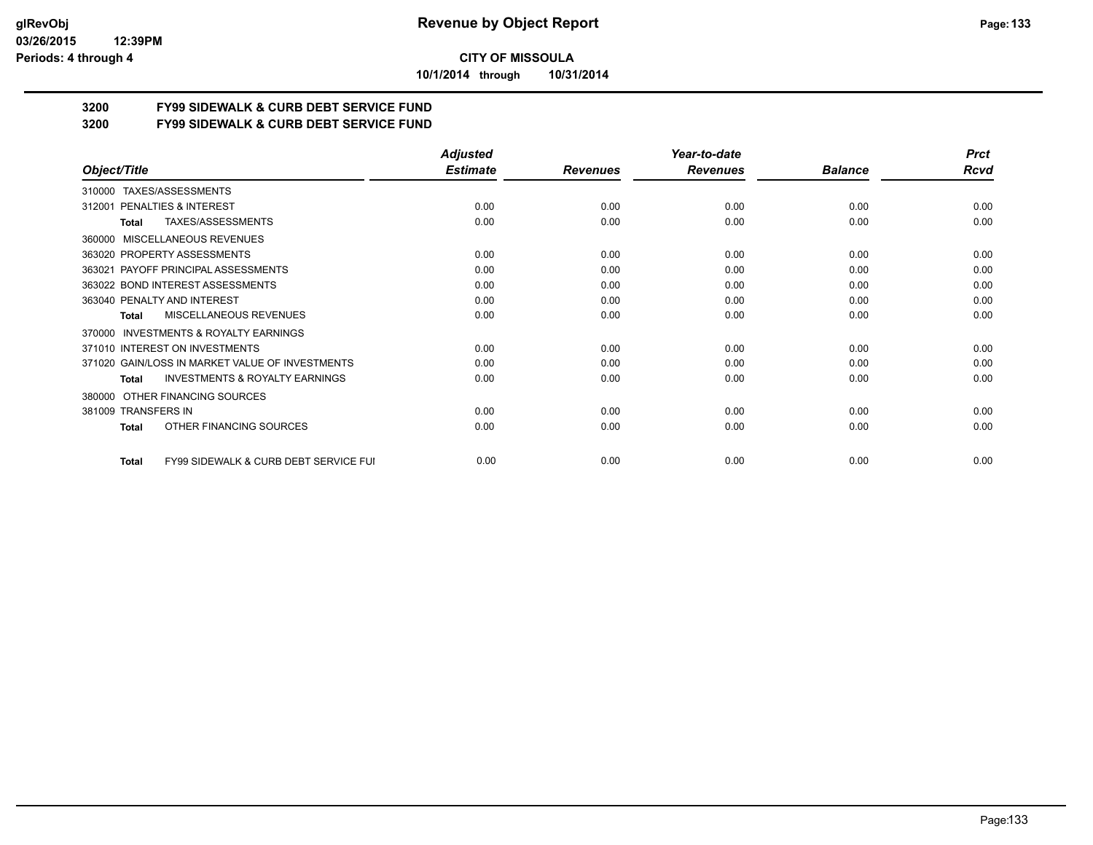**10/1/2014 through 10/31/2014**

# **3200 FY99 SIDEWALK & CURB DEBT SERVICE FUND**

**3200 FY99 SIDEWALK & CURB DEBT SERVICE FUND**

|                                                           | <b>Adjusted</b> |                 | Year-to-date    |                | <b>Prct</b> |
|-----------------------------------------------------------|-----------------|-----------------|-----------------|----------------|-------------|
| Object/Title                                              | <b>Estimate</b> | <b>Revenues</b> | <b>Revenues</b> | <b>Balance</b> | Rcvd        |
| TAXES/ASSESSMENTS<br>310000                               |                 |                 |                 |                |             |
| PENALTIES & INTEREST<br>312001                            | 0.00            | 0.00            | 0.00            | 0.00           | 0.00        |
| TAXES/ASSESSMENTS<br>Total                                | 0.00            | 0.00            | 0.00            | 0.00           | 0.00        |
| MISCELLANEOUS REVENUES<br>360000                          |                 |                 |                 |                |             |
| 363020 PROPERTY ASSESSMENTS                               | 0.00            | 0.00            | 0.00            | 0.00           | 0.00        |
| 363021 PAYOFF PRINCIPAL ASSESSMENTS                       | 0.00            | 0.00            | 0.00            | 0.00           | 0.00        |
| 363022 BOND INTEREST ASSESSMENTS                          | 0.00            | 0.00            | 0.00            | 0.00           | 0.00        |
| 363040 PENALTY AND INTEREST                               | 0.00            | 0.00            | 0.00            | 0.00           | 0.00        |
| MISCELLANEOUS REVENUES<br>Total                           | 0.00            | 0.00            | 0.00            | 0.00           | 0.00        |
| <b>INVESTMENTS &amp; ROYALTY EARNINGS</b><br>370000       |                 |                 |                 |                |             |
| 371010 INTEREST ON INVESTMENTS                            | 0.00            | 0.00            | 0.00            | 0.00           | 0.00        |
| 371020 GAIN/LOSS IN MARKET VALUE OF INVESTMENTS           | 0.00            | 0.00            | 0.00            | 0.00           | 0.00        |
| <b>INVESTMENTS &amp; ROYALTY EARNINGS</b><br><b>Total</b> | 0.00            | 0.00            | 0.00            | 0.00           | 0.00        |
| OTHER FINANCING SOURCES<br>380000                         |                 |                 |                 |                |             |
| 381009 TRANSFERS IN                                       | 0.00            | 0.00            | 0.00            | 0.00           | 0.00        |
| OTHER FINANCING SOURCES<br><b>Total</b>                   | 0.00            | 0.00            | 0.00            | 0.00           | 0.00        |
| FY99 SIDEWALK & CURB DEBT SERVICE FUI<br><b>Total</b>     | 0.00            | 0.00            | 0.00            | 0.00           | 0.00        |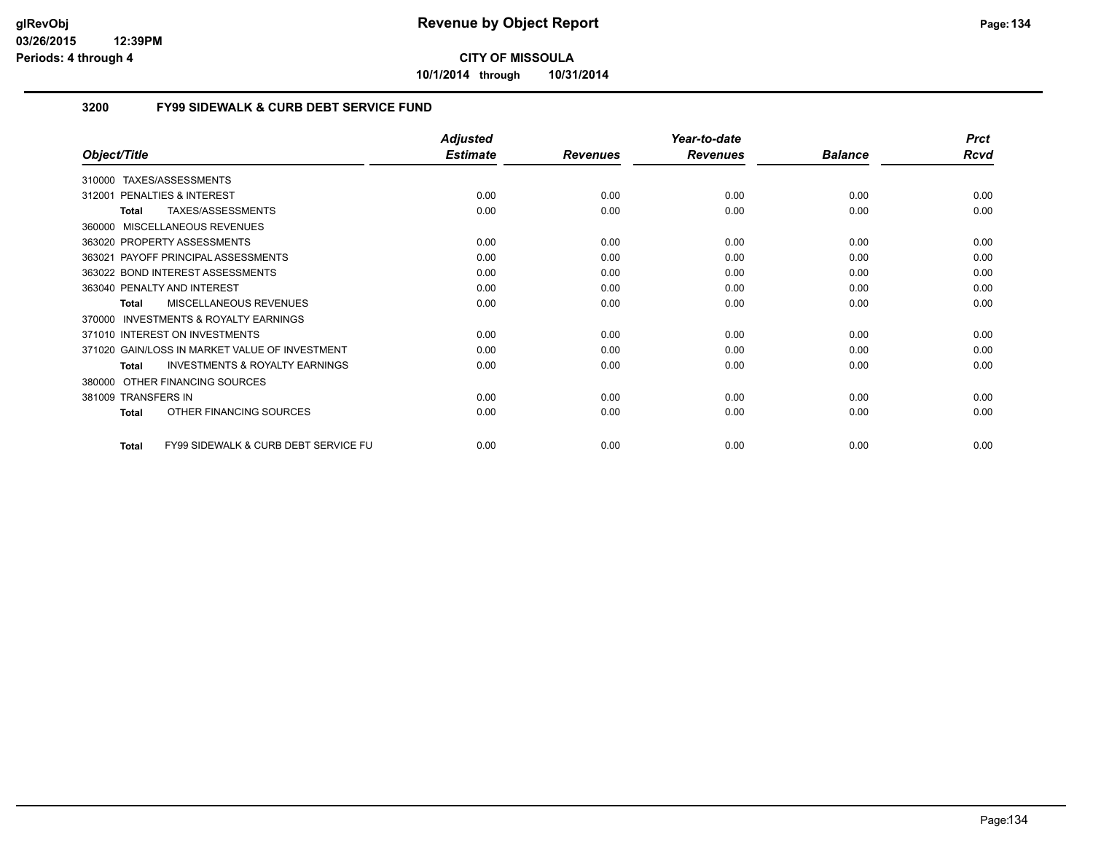**10/1/2014 through 10/31/2014**

#### **3200 FY99 SIDEWALK & CURB DEBT SERVICE FUND**

|                                                                 | <b>Adjusted</b> |                 | Year-to-date    |                | <b>Prct</b> |
|-----------------------------------------------------------------|-----------------|-----------------|-----------------|----------------|-------------|
| Object/Title                                                    | <b>Estimate</b> | <b>Revenues</b> | <b>Revenues</b> | <b>Balance</b> | <b>Rcvd</b> |
| TAXES/ASSESSMENTS<br>310000                                     |                 |                 |                 |                |             |
| <b>PENALTIES &amp; INTEREST</b><br>312001                       | 0.00            | 0.00            | 0.00            | 0.00           | 0.00        |
| TAXES/ASSESSMENTS<br><b>Total</b>                               | 0.00            | 0.00            | 0.00            | 0.00           | 0.00        |
| MISCELLANEOUS REVENUES<br>360000                                |                 |                 |                 |                |             |
| 363020 PROPERTY ASSESSMENTS                                     | 0.00            | 0.00            | 0.00            | 0.00           | 0.00        |
| PAYOFF PRINCIPAL ASSESSMENTS<br>363021                          | 0.00            | 0.00            | 0.00            | 0.00           | 0.00        |
| 363022 BOND INTEREST ASSESSMENTS                                | 0.00            | 0.00            | 0.00            | 0.00           | 0.00        |
| 363040 PENALTY AND INTEREST                                     | 0.00            | 0.00            | 0.00            | 0.00           | 0.00        |
| MISCELLANEOUS REVENUES<br>Total                                 | 0.00            | 0.00            | 0.00            | 0.00           | 0.00        |
| INVESTMENTS & ROYALTY EARNINGS<br>370000                        |                 |                 |                 |                |             |
| 371010 INTEREST ON INVESTMENTS                                  | 0.00            | 0.00            | 0.00            | 0.00           | 0.00        |
| 371020 GAIN/LOSS IN MARKET VALUE OF INVESTMENT                  | 0.00            | 0.00            | 0.00            | 0.00           | 0.00        |
| <b>INVESTMENTS &amp; ROYALTY EARNINGS</b><br><b>Total</b>       | 0.00            | 0.00            | 0.00            | 0.00           | 0.00        |
| OTHER FINANCING SOURCES<br>380000                               |                 |                 |                 |                |             |
| 381009 TRANSFERS IN                                             | 0.00            | 0.00            | 0.00            | 0.00           | 0.00        |
| OTHER FINANCING SOURCES<br><b>Total</b>                         | 0.00            | 0.00            | 0.00            | 0.00           | 0.00        |
| <b>FY99 SIDEWALK &amp; CURB DEBT SERVICE FU</b><br><b>Total</b> | 0.00            | 0.00            | 0.00            | 0.00           | 0.00        |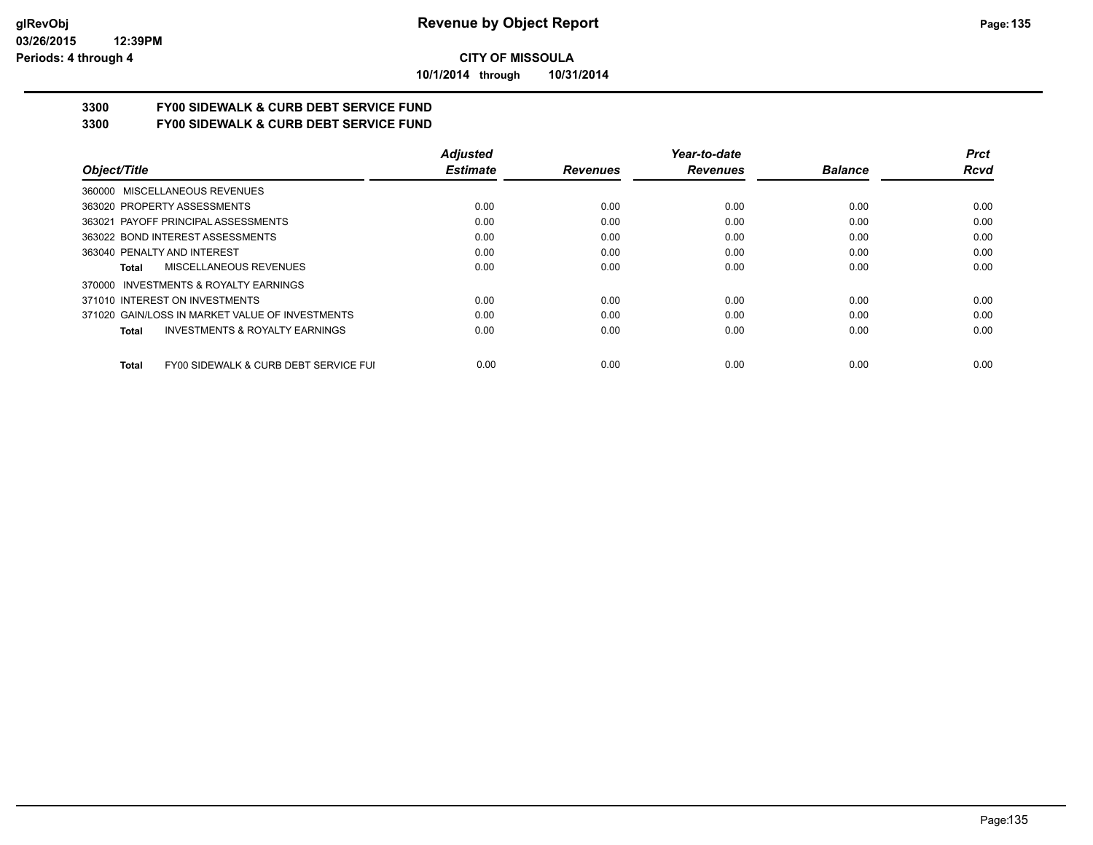**10/1/2014 through 10/31/2014**

# **3300 FY00 SIDEWALK & CURB DEBT SERVICE FUND**

**3300 FY00 SIDEWALK & CURB DEBT SERVICE FUND**

|                                                           | <b>Adjusted</b> |                 | Year-to-date    |                | <b>Prct</b> |
|-----------------------------------------------------------|-----------------|-----------------|-----------------|----------------|-------------|
| Object/Title                                              | <b>Estimate</b> | <b>Revenues</b> | <b>Revenues</b> | <b>Balance</b> | Rcvd        |
| 360000 MISCELLANEOUS REVENUES                             |                 |                 |                 |                |             |
| 363020 PROPERTY ASSESSMENTS                               | 0.00            | 0.00            | 0.00            | 0.00           | 0.00        |
| 363021 PAYOFF PRINCIPAL ASSESSMENTS                       | 0.00            | 0.00            | 0.00            | 0.00           | 0.00        |
| 363022 BOND INTEREST ASSESSMENTS                          | 0.00            | 0.00            | 0.00            | 0.00           | 0.00        |
| 363040 PENALTY AND INTEREST                               | 0.00            | 0.00            | 0.00            | 0.00           | 0.00        |
| MISCELLANEOUS REVENUES<br>Total                           | 0.00            | 0.00            | 0.00            | 0.00           | 0.00        |
| INVESTMENTS & ROYALTY EARNINGS<br>370000                  |                 |                 |                 |                |             |
| 371010 INTEREST ON INVESTMENTS                            | 0.00            | 0.00            | 0.00            | 0.00           | 0.00        |
| 371020 GAIN/LOSS IN MARKET VALUE OF INVESTMENTS           | 0.00            | 0.00            | 0.00            | 0.00           | 0.00        |
| <b>INVESTMENTS &amp; ROYALTY EARNINGS</b><br><b>Total</b> | 0.00            | 0.00            | 0.00            | 0.00           | 0.00        |
| FY00 SIDEWALK & CURB DEBT SERVICE FUI<br><b>Total</b>     | 0.00            | 0.00            | 0.00            | 0.00           | 0.00        |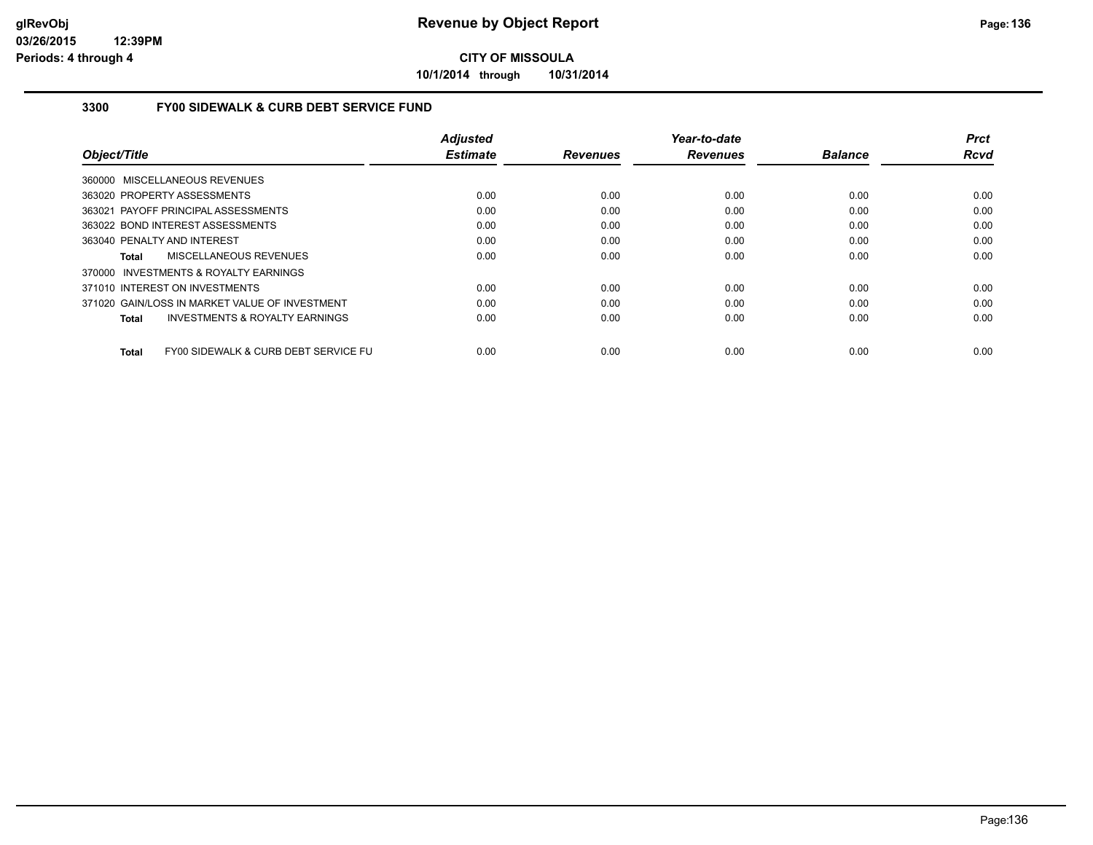**10/1/2014 through 10/31/2014**

#### **3300 FY00 SIDEWALK & CURB DEBT SERVICE FUND**

|                                                      | <b>Adjusted</b> |                 | Year-to-date    |                | <b>Prct</b> |
|------------------------------------------------------|-----------------|-----------------|-----------------|----------------|-------------|
| Object/Title                                         | <b>Estimate</b> | <b>Revenues</b> | <b>Revenues</b> | <b>Balance</b> | <b>Rcvd</b> |
| 360000 MISCELLANEOUS REVENUES                        |                 |                 |                 |                |             |
| 363020 PROPERTY ASSESSMENTS                          | 0.00            | 0.00            | 0.00            | 0.00           | 0.00        |
| 363021 PAYOFF PRINCIPAL ASSESSMENTS                  | 0.00            | 0.00            | 0.00            | 0.00           | 0.00        |
| 363022 BOND INTEREST ASSESSMENTS                     | 0.00            | 0.00            | 0.00            | 0.00           | 0.00        |
| 363040 PENALTY AND INTEREST                          | 0.00            | 0.00            | 0.00            | 0.00           | 0.00        |
| MISCELLANEOUS REVENUES<br>Total                      | 0.00            | 0.00            | 0.00            | 0.00           | 0.00        |
| 370000 INVESTMENTS & ROYALTY EARNINGS                |                 |                 |                 |                |             |
| 371010 INTEREST ON INVESTMENTS                       | 0.00            | 0.00            | 0.00            | 0.00           | 0.00        |
| 371020 GAIN/LOSS IN MARKET VALUE OF INVESTMENT       | 0.00            | 0.00            | 0.00            | 0.00           | 0.00        |
| <b>INVESTMENTS &amp; ROYALTY EARNINGS</b><br>Total   | 0.00            | 0.00            | 0.00            | 0.00           | 0.00        |
| FY00 SIDEWALK & CURB DEBT SERVICE FU<br><b>Total</b> | 0.00            | 0.00            | 0.00            | 0.00           | 0.00        |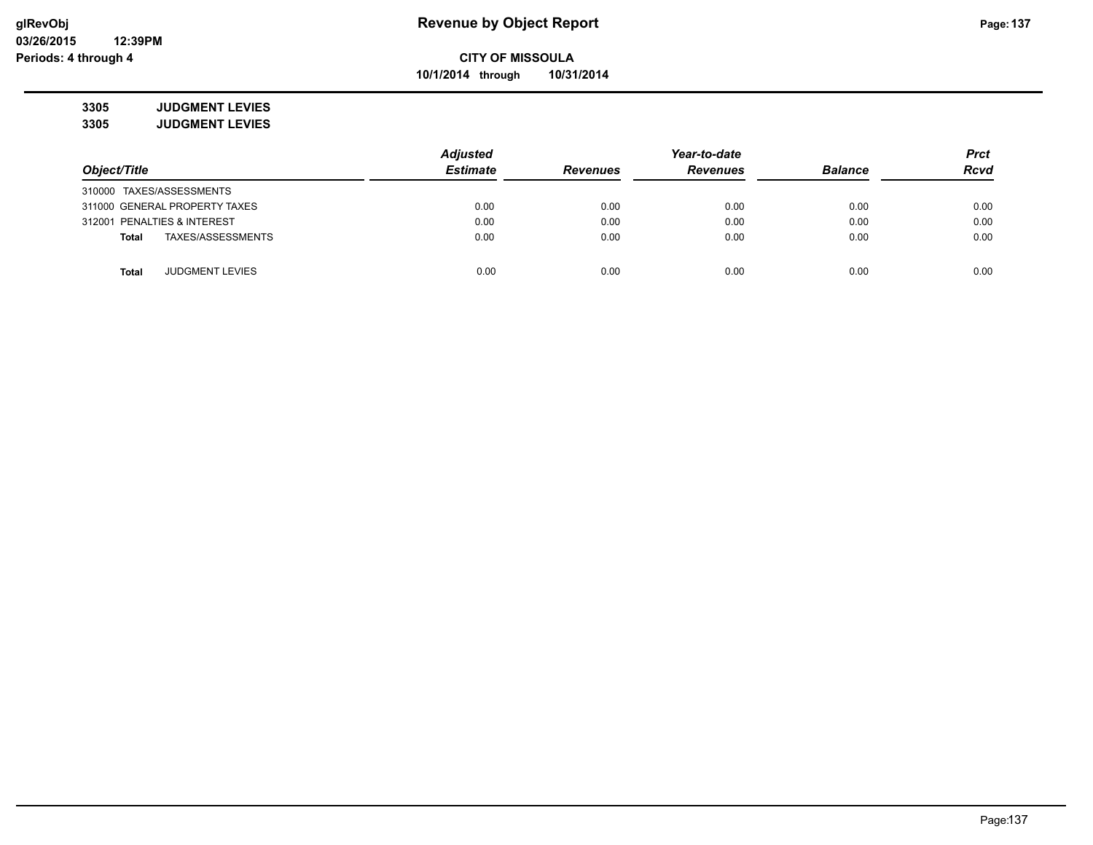**10/1/2014 through 10/31/2014**

**3305 JUDGMENT LEVIES 3305 JUDGMENT LEVIES**

|                                        | <b>Adjusted</b> |                 | Year-to-date    |                | <b>Prct</b> |
|----------------------------------------|-----------------|-----------------|-----------------|----------------|-------------|
| Object/Title                           | <b>Estimate</b> | <b>Revenues</b> | <b>Revenues</b> | <b>Balance</b> | <b>Rcvd</b> |
| 310000 TAXES/ASSESSMENTS               |                 |                 |                 |                |             |
| 311000 GENERAL PROPERTY TAXES          | 0.00            | 0.00            | 0.00            | 0.00           | 0.00        |
| 312001 PENALTIES & INTEREST            | 0.00            | 0.00            | 0.00            | 0.00           | 0.00        |
| TAXES/ASSESSMENTS<br><b>Total</b>      | 0.00            | 0.00            | 0.00            | 0.00           | 0.00        |
|                                        |                 |                 |                 |                |             |
| <b>JUDGMENT LEVIES</b><br><b>Total</b> | 0.00            | 0.00            | 0.00            | 0.00           | 0.00        |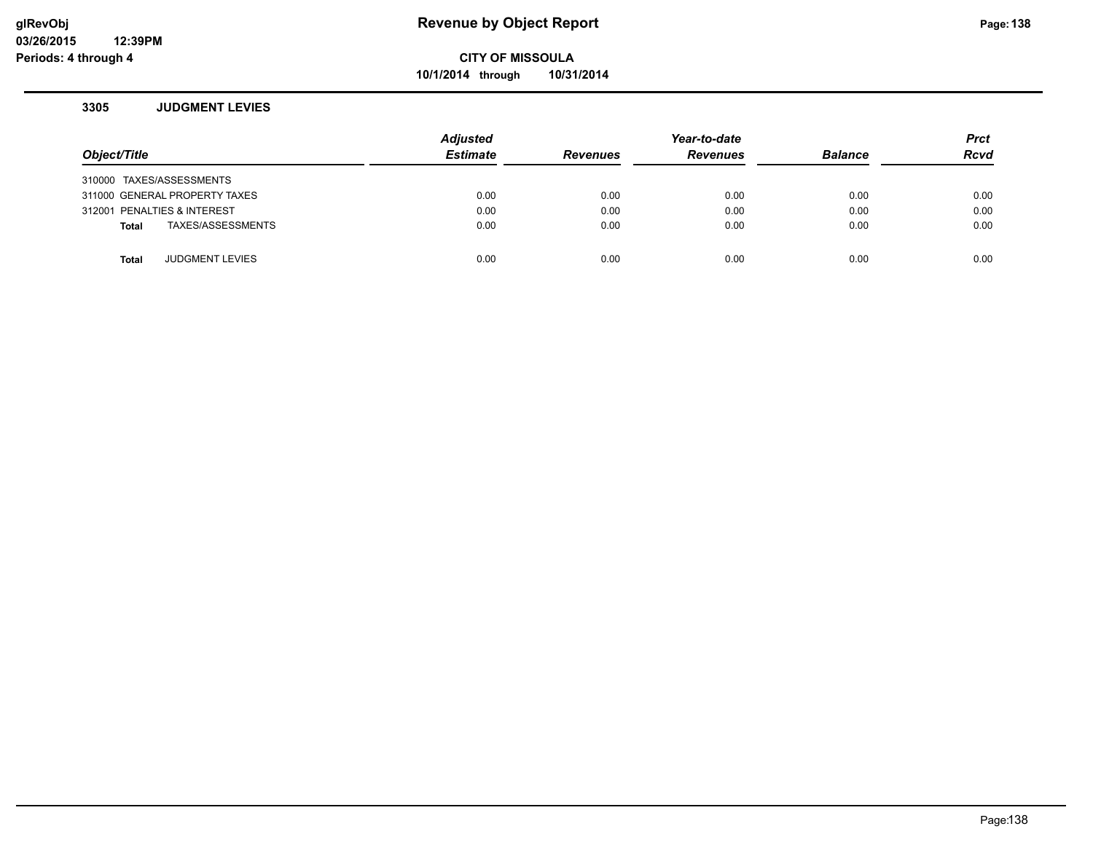**10/1/2014 through 10/31/2014**

#### **3305 JUDGMENT LEVIES**

| Object/Title                           |                   | <b>Adjusted</b><br><b>Estimate</b> | <b>Revenues</b> | Year-to-date<br><b>Revenues</b> | <b>Balance</b> | <b>Prct</b><br><b>Rcvd</b> |
|----------------------------------------|-------------------|------------------------------------|-----------------|---------------------------------|----------------|----------------------------|
| 310000 TAXES/ASSESSMENTS               |                   |                                    |                 |                                 |                |                            |
| 311000 GENERAL PROPERTY TAXES          |                   | 0.00                               | 0.00            | 0.00                            | 0.00           | 0.00                       |
| 312001 PENALTIES & INTEREST            |                   | 0.00                               | 0.00            | 0.00                            | 0.00           | 0.00                       |
| Total                                  | TAXES/ASSESSMENTS | 0.00                               | 0.00            | 0.00                            | 0.00           | 0.00                       |
|                                        |                   |                                    |                 |                                 |                |                            |
| <b>JUDGMENT LEVIES</b><br><b>Total</b> |                   | 0.00                               | 0.00            | 0.00                            | 0.00           | 0.00                       |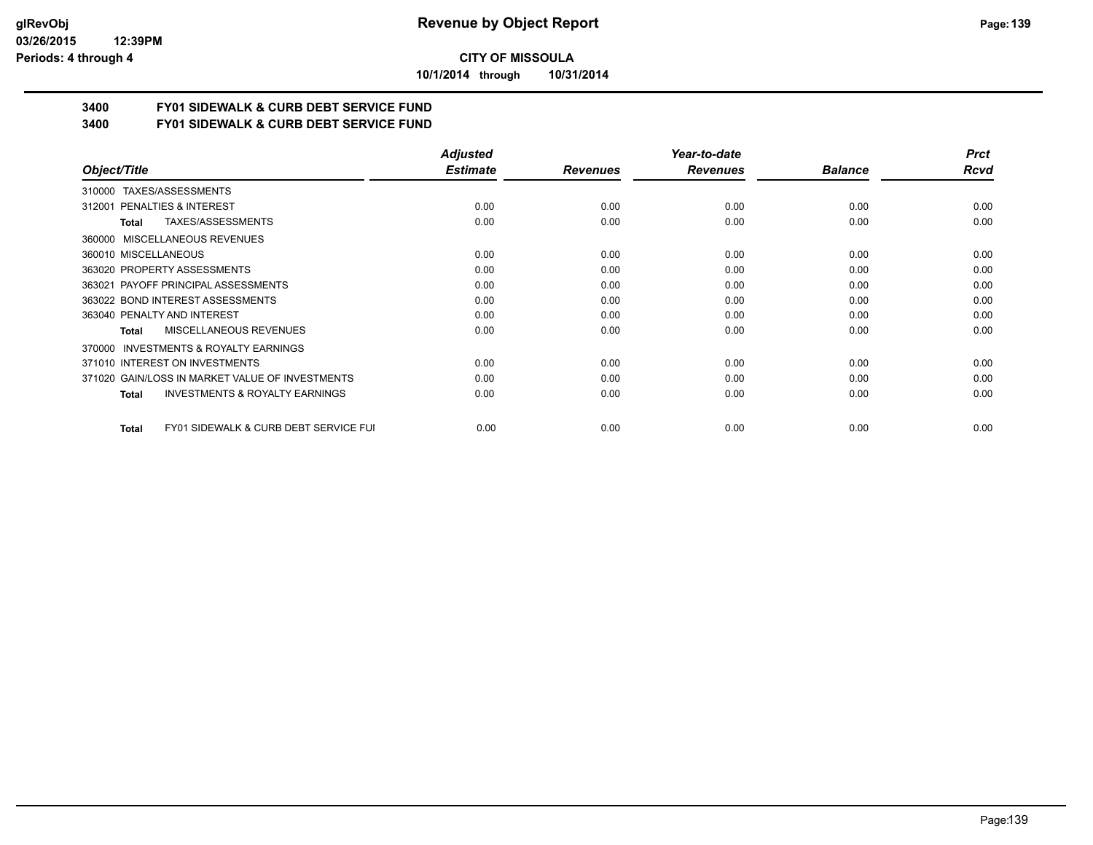**10/1/2014 through 10/31/2014**

# **3400 FY01 SIDEWALK & CURB DEBT SERVICE FUND**

**3400 FY01 SIDEWALK & CURB DEBT SERVICE FUND**

|                                                       | <b>Adjusted</b> |                 | Year-to-date    |                | <b>Prct</b> |
|-------------------------------------------------------|-----------------|-----------------|-----------------|----------------|-------------|
| Object/Title                                          | <b>Estimate</b> | <b>Revenues</b> | <b>Revenues</b> | <b>Balance</b> | Rcvd        |
| TAXES/ASSESSMENTS<br>310000                           |                 |                 |                 |                |             |
| 312001 PENALTIES & INTEREST                           | 0.00            | 0.00            | 0.00            | 0.00           | 0.00        |
| <b>TAXES/ASSESSMENTS</b><br>Total                     | 0.00            | 0.00            | 0.00            | 0.00           | 0.00        |
| MISCELLANEOUS REVENUES<br>360000                      |                 |                 |                 |                |             |
| 360010 MISCELLANEOUS                                  | 0.00            | 0.00            | 0.00            | 0.00           | 0.00        |
| 363020 PROPERTY ASSESSMENTS                           | 0.00            | 0.00            | 0.00            | 0.00           | 0.00        |
| 363021 PAYOFF PRINCIPAL ASSESSMENTS                   | 0.00            | 0.00            | 0.00            | 0.00           | 0.00        |
| 363022 BOND INTEREST ASSESSMENTS                      | 0.00            | 0.00            | 0.00            | 0.00           | 0.00        |
| 363040 PENALTY AND INTEREST                           | 0.00            | 0.00            | 0.00            | 0.00           | 0.00        |
| MISCELLANEOUS REVENUES<br>Total                       | 0.00            | 0.00            | 0.00            | 0.00           | 0.00        |
| <b>INVESTMENTS &amp; ROYALTY EARNINGS</b><br>370000   |                 |                 |                 |                |             |
| 371010 INTEREST ON INVESTMENTS                        | 0.00            | 0.00            | 0.00            | 0.00           | 0.00        |
| 371020 GAIN/LOSS IN MARKET VALUE OF INVESTMENTS       | 0.00            | 0.00            | 0.00            | 0.00           | 0.00        |
| <b>INVESTMENTS &amp; ROYALTY EARNINGS</b><br>Total    | 0.00            | 0.00            | 0.00            | 0.00           | 0.00        |
| FY01 SIDEWALK & CURB DEBT SERVICE FUI<br><b>Total</b> | 0.00            | 0.00            | 0.00            | 0.00           | 0.00        |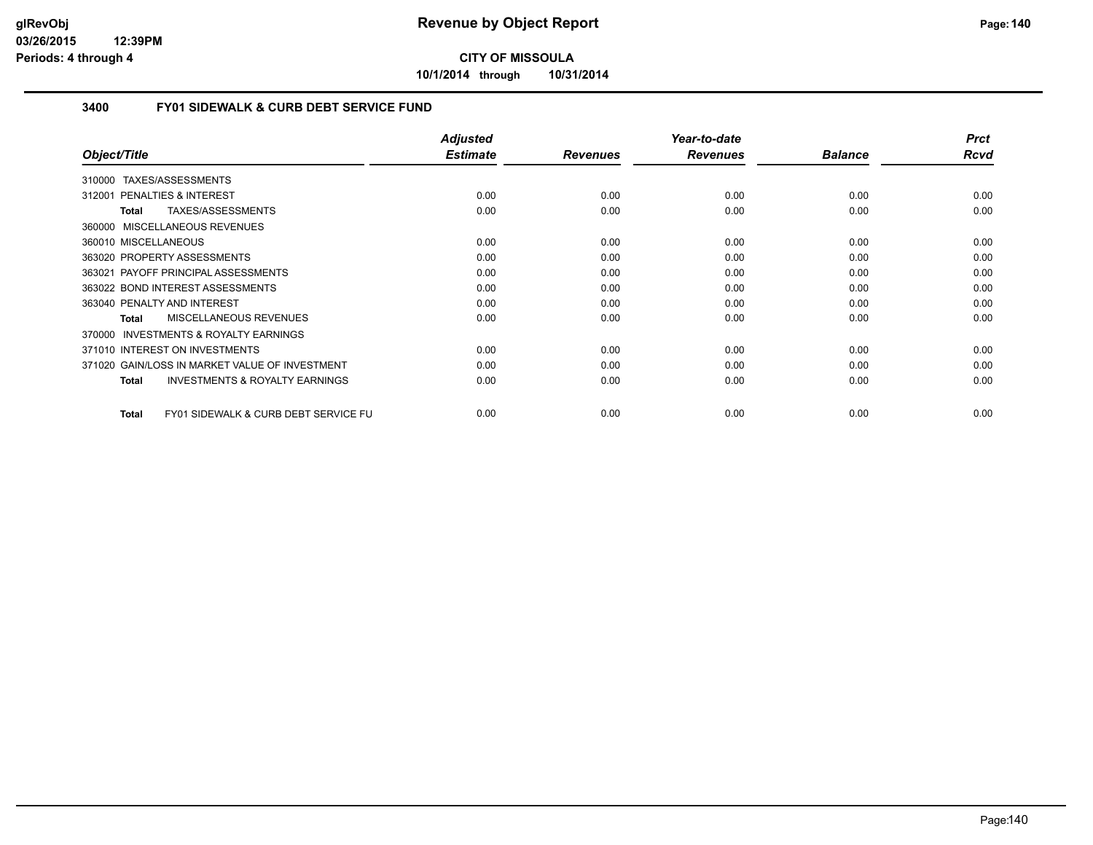**10/1/2014 through 10/31/2014**

#### **3400 FY01 SIDEWALK & CURB DEBT SERVICE FUND**

| Object/Title                                                    | <b>Adjusted</b><br><b>Estimate</b> | <b>Revenues</b> | Year-to-date<br><b>Revenues</b> | <b>Balance</b> | <b>Prct</b><br>Rcvd |
|-----------------------------------------------------------------|------------------------------------|-----------------|---------------------------------|----------------|---------------------|
|                                                                 |                                    |                 |                                 |                |                     |
| TAXES/ASSESSMENTS<br>310000                                     |                                    |                 |                                 |                |                     |
| 312001 PENALTIES & INTEREST                                     | 0.00                               | 0.00            | 0.00                            | 0.00           | 0.00                |
| TAXES/ASSESSMENTS<br><b>Total</b>                               | 0.00                               | 0.00            | 0.00                            | 0.00           | 0.00                |
| MISCELLANEOUS REVENUES<br>360000                                |                                    |                 |                                 |                |                     |
| 360010 MISCELLANEOUS                                            | 0.00                               | 0.00            | 0.00                            | 0.00           | 0.00                |
| 363020 PROPERTY ASSESSMENTS                                     | 0.00                               | 0.00            | 0.00                            | 0.00           | 0.00                |
| 363021 PAYOFF PRINCIPAL ASSESSMENTS                             | 0.00                               | 0.00            | 0.00                            | 0.00           | 0.00                |
| 363022 BOND INTEREST ASSESSMENTS                                | 0.00                               | 0.00            | 0.00                            | 0.00           | 0.00                |
| 363040 PENALTY AND INTEREST                                     | 0.00                               | 0.00            | 0.00                            | 0.00           | 0.00                |
| MISCELLANEOUS REVENUES<br><b>Total</b>                          | 0.00                               | 0.00            | 0.00                            | 0.00           | 0.00                |
| INVESTMENTS & ROYALTY EARNINGS<br>370000                        |                                    |                 |                                 |                |                     |
| 371010 INTEREST ON INVESTMENTS                                  | 0.00                               | 0.00            | 0.00                            | 0.00           | 0.00                |
| 371020 GAIN/LOSS IN MARKET VALUE OF INVESTMENT                  | 0.00                               | 0.00            | 0.00                            | 0.00           | 0.00                |
| <b>INVESTMENTS &amp; ROYALTY EARNINGS</b><br><b>Total</b>       | 0.00                               | 0.00            | 0.00                            | 0.00           | 0.00                |
|                                                                 |                                    |                 |                                 |                |                     |
| <b>FY01 SIDEWALK &amp; CURB DEBT SERVICE FU</b><br><b>Total</b> | 0.00                               | 0.00            | 0.00                            | 0.00           | 0.00                |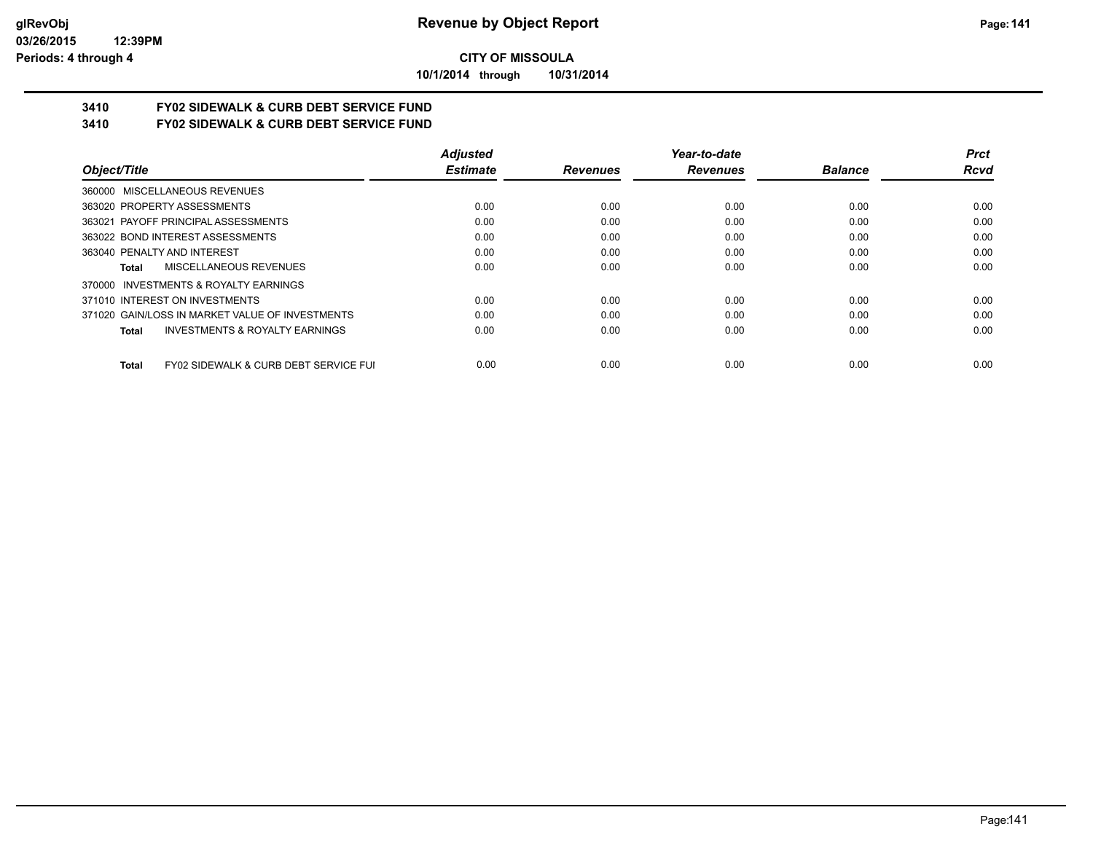**10/1/2014 through 10/31/2014**

# **3410 FY02 SIDEWALK & CURB DEBT SERVICE FUND**

**3410 FY02 SIDEWALK & CURB DEBT SERVICE FUND**

|                                                                  | <b>Adjusted</b> |                 | Year-to-date    |                | <b>Prct</b> |
|------------------------------------------------------------------|-----------------|-----------------|-----------------|----------------|-------------|
| Object/Title                                                     | <b>Estimate</b> | <b>Revenues</b> | <b>Revenues</b> | <b>Balance</b> | Rcvd        |
| 360000 MISCELLANEOUS REVENUES                                    |                 |                 |                 |                |             |
| 363020 PROPERTY ASSESSMENTS                                      | 0.00            | 0.00            | 0.00            | 0.00           | 0.00        |
| 363021 PAYOFF PRINCIPAL ASSESSMENTS                              | 0.00            | 0.00            | 0.00            | 0.00           | 0.00        |
| 363022 BOND INTEREST ASSESSMENTS                                 | 0.00            | 0.00            | 0.00            | 0.00           | 0.00        |
| 363040 PENALTY AND INTEREST                                      | 0.00            | 0.00            | 0.00            | 0.00           | 0.00        |
| MISCELLANEOUS REVENUES<br>Total                                  | 0.00            | 0.00            | 0.00            | 0.00           | 0.00        |
| 370000 INVESTMENTS & ROYALTY EARNINGS                            |                 |                 |                 |                |             |
| 371010 INTEREST ON INVESTMENTS                                   | 0.00            | 0.00            | 0.00            | 0.00           | 0.00        |
| 371020 GAIN/LOSS IN MARKET VALUE OF INVESTMENTS                  | 0.00            | 0.00            | 0.00            | 0.00           | 0.00        |
| <b>INVESTMENTS &amp; ROYALTY EARNINGS</b><br>Total               | 0.00            | 0.00            | 0.00            | 0.00           | 0.00        |
| <b>FY02 SIDEWALK &amp; CURB DEBT SERVICE FUI</b><br><b>Total</b> | 0.00            | 0.00            | 0.00            | 0.00           | 0.00        |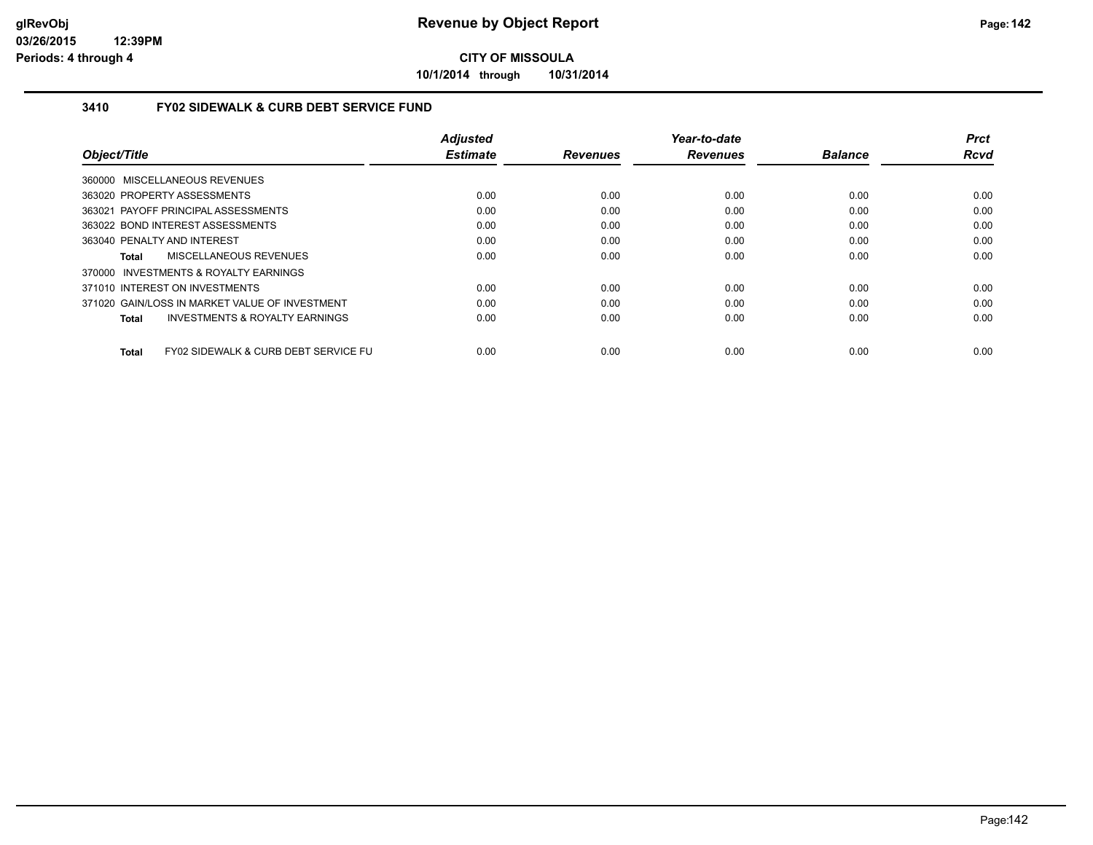**10/1/2014 through 10/31/2014**

#### **3410 FY02 SIDEWALK & CURB DEBT SERVICE FUND**

|                                                                 | <b>Adjusted</b> |                 | Year-to-date    |                | <b>Prct</b> |
|-----------------------------------------------------------------|-----------------|-----------------|-----------------|----------------|-------------|
| Object/Title                                                    | <b>Estimate</b> | <b>Revenues</b> | <b>Revenues</b> | <b>Balance</b> | <b>Rcvd</b> |
| 360000 MISCELLANEOUS REVENUES                                   |                 |                 |                 |                |             |
| 363020 PROPERTY ASSESSMENTS                                     | 0.00            | 0.00            | 0.00            | 0.00           | 0.00        |
| 363021 PAYOFF PRINCIPAL ASSESSMENTS                             | 0.00            | 0.00            | 0.00            | 0.00           | 0.00        |
| 363022 BOND INTEREST ASSESSMENTS                                | 0.00            | 0.00            | 0.00            | 0.00           | 0.00        |
| 363040 PENALTY AND INTEREST                                     | 0.00            | 0.00            | 0.00            | 0.00           | 0.00        |
| <b>MISCELLANEOUS REVENUES</b><br>Total                          | 0.00            | 0.00            | 0.00            | 0.00           | 0.00        |
| 370000 INVESTMENTS & ROYALTY EARNINGS                           |                 |                 |                 |                |             |
| 371010 INTEREST ON INVESTMENTS                                  | 0.00            | 0.00            | 0.00            | 0.00           | 0.00        |
| 371020 GAIN/LOSS IN MARKET VALUE OF INVESTMENT                  | 0.00            | 0.00            | 0.00            | 0.00           | 0.00        |
| <b>INVESTMENTS &amp; ROYALTY EARNINGS</b><br>Total              | 0.00            | 0.00            | 0.00            | 0.00           | 0.00        |
| <b>FY02 SIDEWALK &amp; CURB DEBT SERVICE FU</b><br><b>Total</b> | 0.00            | 0.00            | 0.00            | 0.00           | 0.00        |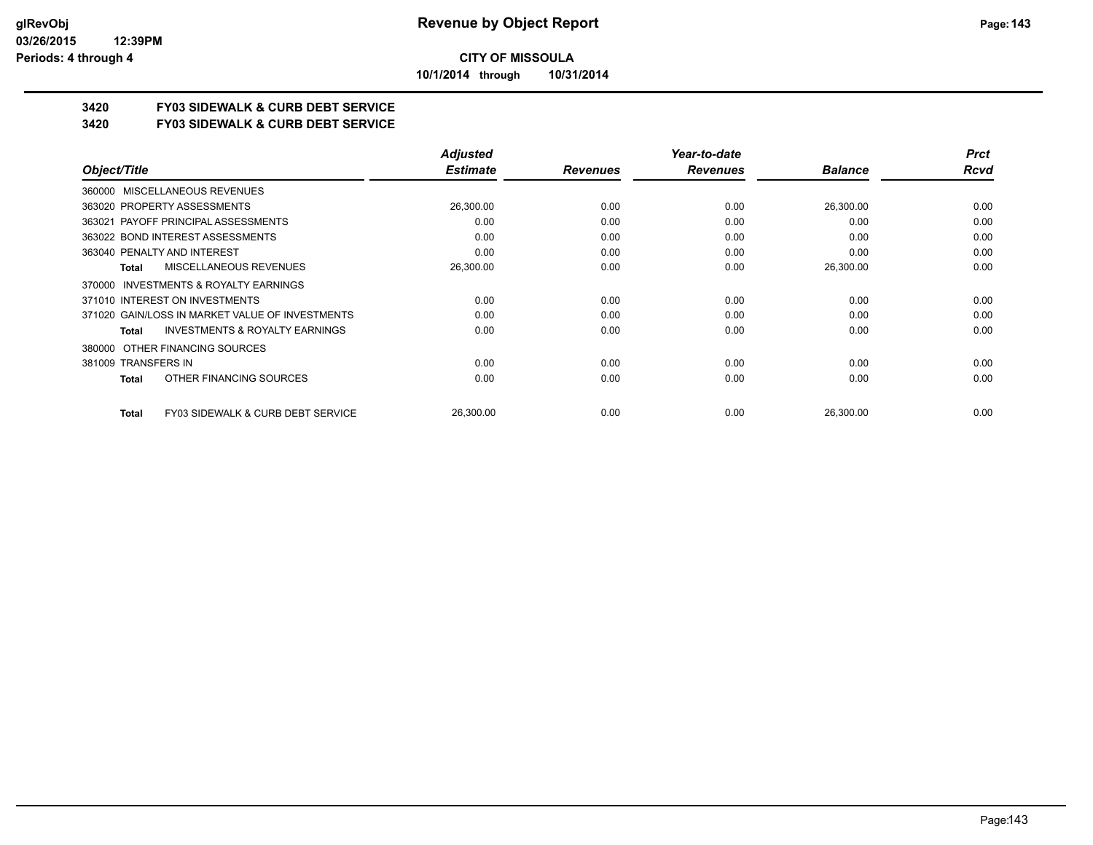**10/1/2014 through 10/31/2014**

## **3420 FY03 SIDEWALK & CURB DEBT SERVICE**

**3420 FY03 SIDEWALK & CURB DEBT SERVICE**

|                                                              | <b>Adjusted</b> |                 | Year-to-date    |                | <b>Prct</b> |
|--------------------------------------------------------------|-----------------|-----------------|-----------------|----------------|-------------|
| Object/Title                                                 | <b>Estimate</b> | <b>Revenues</b> | <b>Revenues</b> | <b>Balance</b> | Rcvd        |
| 360000 MISCELLANEOUS REVENUES                                |                 |                 |                 |                |             |
| 363020 PROPERTY ASSESSMENTS                                  | 26,300.00       | 0.00            | 0.00            | 26,300.00      | 0.00        |
| 363021 PAYOFF PRINCIPAL ASSESSMENTS                          | 0.00            | 0.00            | 0.00            | 0.00           | 0.00        |
| 363022 BOND INTEREST ASSESSMENTS                             | 0.00            | 0.00            | 0.00            | 0.00           | 0.00        |
| 363040 PENALTY AND INTEREST                                  | 0.00            | 0.00            | 0.00            | 0.00           | 0.00        |
| MISCELLANEOUS REVENUES<br>Total                              | 26,300.00       | 0.00            | 0.00            | 26,300.00      | 0.00        |
| 370000 INVESTMENTS & ROYALTY EARNINGS                        |                 |                 |                 |                |             |
| 371010 INTEREST ON INVESTMENTS                               | 0.00            | 0.00            | 0.00            | 0.00           | 0.00        |
| 371020 GAIN/LOSS IN MARKET VALUE OF INVESTMENTS              | 0.00            | 0.00            | 0.00            | 0.00           | 0.00        |
| <b>INVESTMENTS &amp; ROYALTY EARNINGS</b><br>Total           | 0.00            | 0.00            | 0.00            | 0.00           | 0.00        |
| OTHER FINANCING SOURCES<br>380000                            |                 |                 |                 |                |             |
| 381009 TRANSFERS IN                                          | 0.00            | 0.00            | 0.00            | 0.00           | 0.00        |
| OTHER FINANCING SOURCES<br>Total                             | 0.00            | 0.00            | 0.00            | 0.00           | 0.00        |
| <b>FY03 SIDEWALK &amp; CURB DEBT SERVICE</b><br><b>Total</b> | 26,300.00       | 0.00            | 0.00            | 26,300.00      | 0.00        |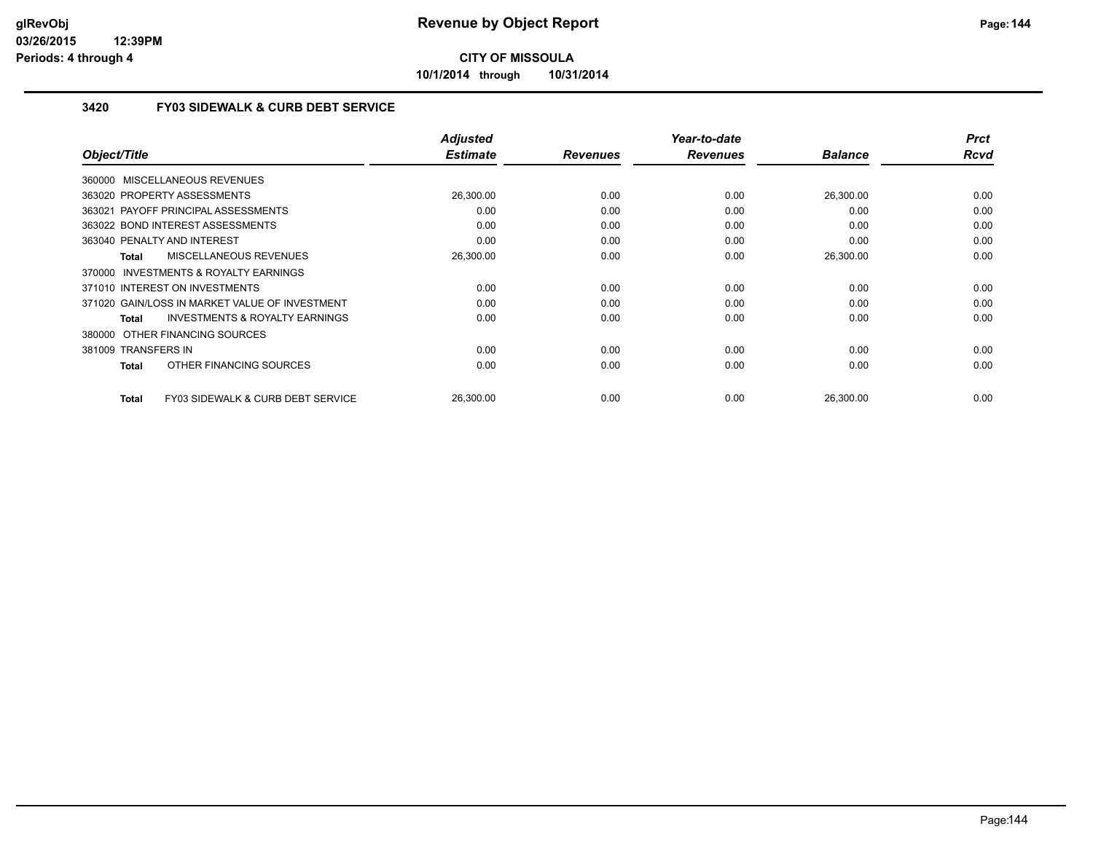**10/1/2014 through 10/31/2014**

#### **3420 FY03 SIDEWALK & CURB DEBT SERVICE**

| Object/Title                                       | <b>Adjusted</b><br><b>Estimate</b> | <b>Revenues</b> | Year-to-date<br><b>Revenues</b> | <b>Balance</b> | <b>Prct</b><br><b>Rcvd</b> |
|----------------------------------------------------|------------------------------------|-----------------|---------------------------------|----------------|----------------------------|
|                                                    |                                    |                 |                                 |                |                            |
| 360000 MISCELLANEOUS REVENUES                      |                                    |                 |                                 |                |                            |
| 363020 PROPERTY ASSESSMENTS                        | 26,300.00                          | 0.00            | 0.00                            | 26,300.00      | 0.00                       |
| 363021 PAYOFF PRINCIPAL ASSESSMENTS                | 0.00                               | 0.00            | 0.00                            | 0.00           | 0.00                       |
| 363022 BOND INTEREST ASSESSMENTS                   | 0.00                               | 0.00            | 0.00                            | 0.00           | 0.00                       |
| 363040 PENALTY AND INTEREST                        | 0.00                               | 0.00            | 0.00                            | 0.00           | 0.00                       |
| MISCELLANEOUS REVENUES<br>Total                    | 26,300.00                          | 0.00            | 0.00                            | 26,300.00      | 0.00                       |
| 370000 INVESTMENTS & ROYALTY EARNINGS              |                                    |                 |                                 |                |                            |
| 371010 INTEREST ON INVESTMENTS                     | 0.00                               | 0.00            | 0.00                            | 0.00           | 0.00                       |
| 371020 GAIN/LOSS IN MARKET VALUE OF INVESTMENT     | 0.00                               | 0.00            | 0.00                            | 0.00           | 0.00                       |
| <b>INVESTMENTS &amp; ROYALTY EARNINGS</b><br>Total | 0.00                               | 0.00            | 0.00                            | 0.00           | 0.00                       |
| 380000 OTHER FINANCING SOURCES                     |                                    |                 |                                 |                |                            |
| 381009 TRANSFERS IN                                | 0.00                               | 0.00            | 0.00                            | 0.00           | 0.00                       |
| OTHER FINANCING SOURCES<br><b>Total</b>            | 0.00                               | 0.00            | 0.00                            | 0.00           | 0.00                       |
|                                                    |                                    |                 |                                 |                |                            |
| FY03 SIDEWALK & CURB DEBT SERVICE<br><b>Total</b>  | 26,300.00                          | 0.00            | 0.00                            | 26,300.00      | 0.00                       |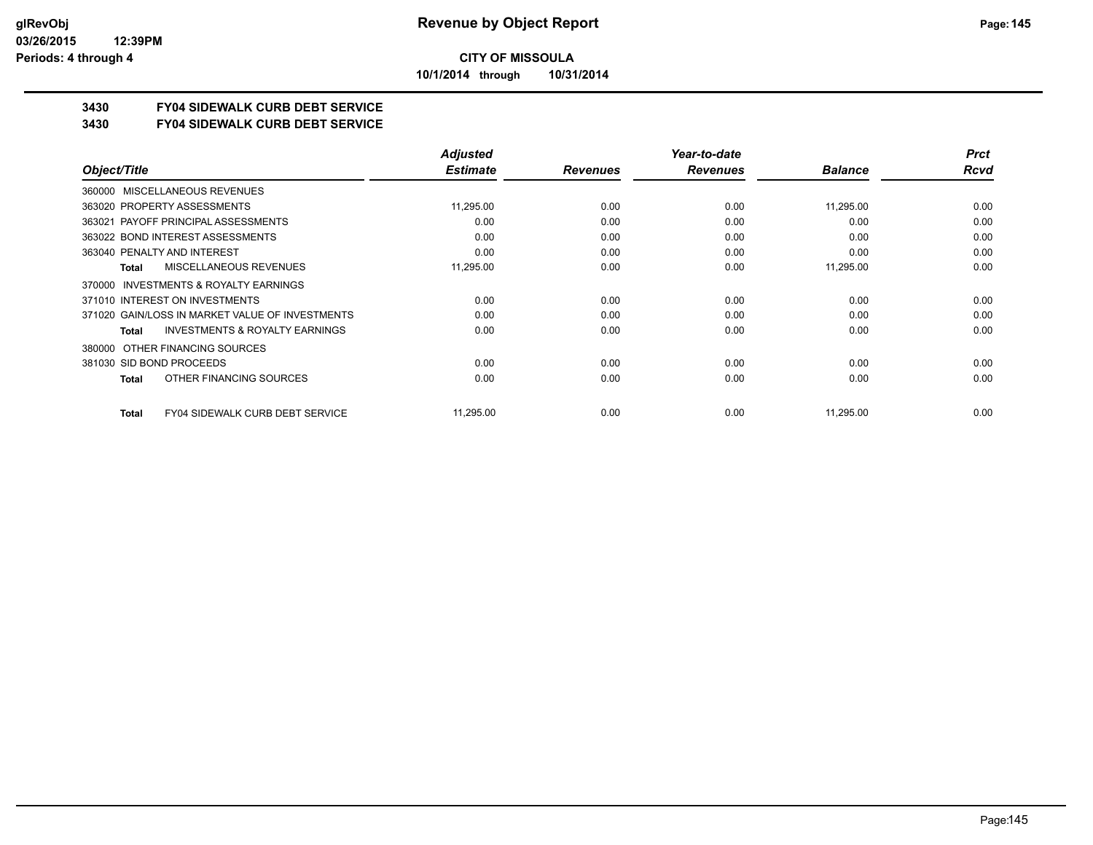**10/1/2014 through 10/31/2014**

## **3430 FY04 SIDEWALK CURB DEBT SERVICE**

#### **3430 FY04 SIDEWALK CURB DEBT SERVICE**

|                                                           | <b>Adjusted</b> |                 | Year-to-date    |                | <b>Prct</b> |
|-----------------------------------------------------------|-----------------|-----------------|-----------------|----------------|-------------|
| Object/Title                                              | <b>Estimate</b> | <b>Revenues</b> | <b>Revenues</b> | <b>Balance</b> | Rcvd        |
| MISCELLANEOUS REVENUES<br>360000                          |                 |                 |                 |                |             |
| 363020 PROPERTY ASSESSMENTS                               | 11,295.00       | 0.00            | 0.00            | 11,295.00      | 0.00        |
| 363021 PAYOFF PRINCIPAL ASSESSMENTS                       | 0.00            | 0.00            | 0.00            | 0.00           | 0.00        |
| 363022 BOND INTEREST ASSESSMENTS                          | 0.00            | 0.00            | 0.00            | 0.00           | 0.00        |
| 363040 PENALTY AND INTEREST                               | 0.00            | 0.00            | 0.00            | 0.00           | 0.00        |
| MISCELLANEOUS REVENUES<br><b>Total</b>                    | 11,295.00       | 0.00            | 0.00            | 11,295.00      | 0.00        |
| INVESTMENTS & ROYALTY EARNINGS<br>370000                  |                 |                 |                 |                |             |
| 371010 INTEREST ON INVESTMENTS                            | 0.00            | 0.00            | 0.00            | 0.00           | 0.00        |
| 371020 GAIN/LOSS IN MARKET VALUE OF INVESTMENTS           | 0.00            | 0.00            | 0.00            | 0.00           | 0.00        |
| <b>INVESTMENTS &amp; ROYALTY EARNINGS</b><br><b>Total</b> | 0.00            | 0.00            | 0.00            | 0.00           | 0.00        |
| OTHER FINANCING SOURCES<br>380000                         |                 |                 |                 |                |             |
| 381030 SID BOND PROCEEDS                                  | 0.00            | 0.00            | 0.00            | 0.00           | 0.00        |
| OTHER FINANCING SOURCES<br><b>Total</b>                   | 0.00            | 0.00            | 0.00            | 0.00           | 0.00        |
| <b>FY04 SIDEWALK CURB DEBT SERVICE</b><br><b>Total</b>    | 11,295.00       | 0.00            | 0.00            | 11,295.00      | 0.00        |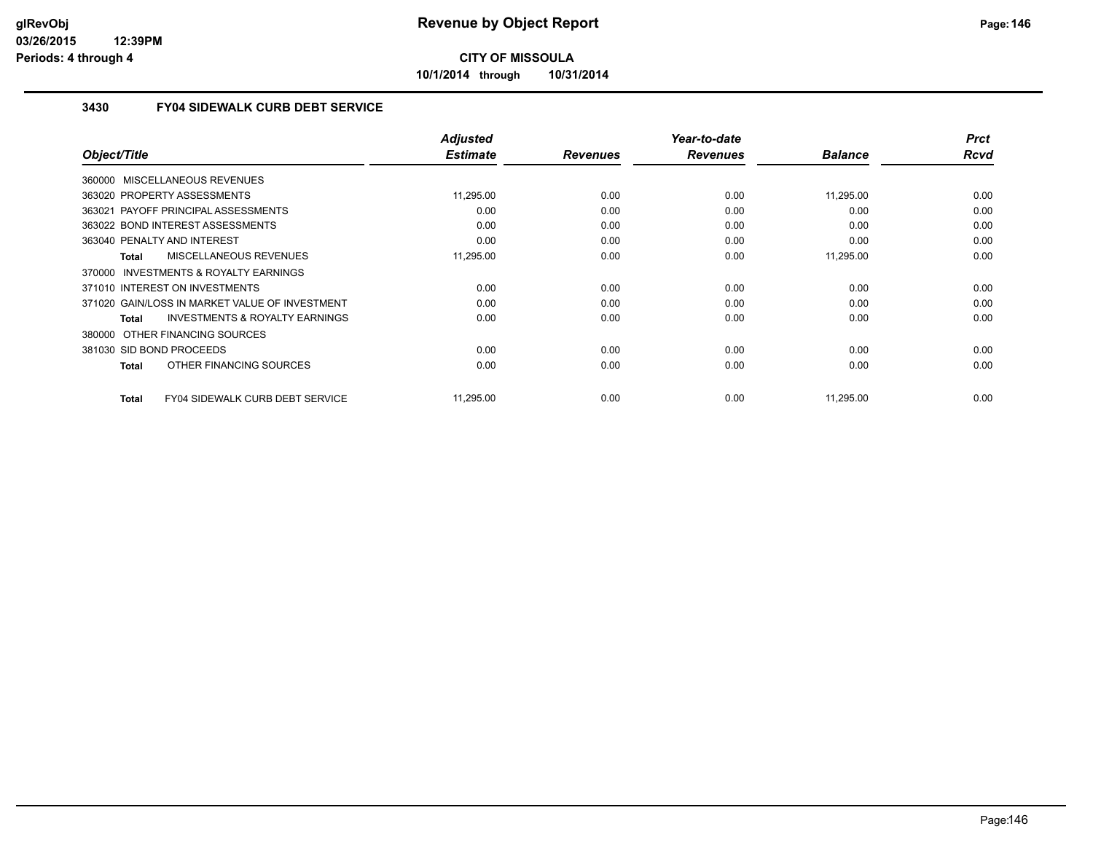**10/1/2014 through 10/31/2014**

### **3430 FY04 SIDEWALK CURB DEBT SERVICE**

|                                                     | <b>Adjusted</b><br><b>Estimate</b> |                 | Year-to-date<br><b>Revenues</b> | <b>Balance</b> | <b>Prct</b><br><b>Rcvd</b> |
|-----------------------------------------------------|------------------------------------|-----------------|---------------------------------|----------------|----------------------------|
| Object/Title                                        |                                    | <b>Revenues</b> |                                 |                |                            |
| 360000 MISCELLANEOUS REVENUES                       |                                    |                 |                                 |                |                            |
| 363020 PROPERTY ASSESSMENTS                         | 11,295.00                          | 0.00            | 0.00                            | 11,295.00      | 0.00                       |
| 363021 PAYOFF PRINCIPAL ASSESSMENTS                 | 0.00                               | 0.00            | 0.00                            | 0.00           | 0.00                       |
| 363022 BOND INTEREST ASSESSMENTS                    | 0.00                               | 0.00            | 0.00                            | 0.00           | 0.00                       |
| 363040 PENALTY AND INTEREST                         | 0.00                               | 0.00            | 0.00                            | 0.00           | 0.00                       |
| <b>MISCELLANEOUS REVENUES</b><br>Total              | 11,295.00                          | 0.00            | 0.00                            | 11,295.00      | 0.00                       |
| <b>INVESTMENTS &amp; ROYALTY EARNINGS</b><br>370000 |                                    |                 |                                 |                |                            |
| 371010 INTEREST ON INVESTMENTS                      | 0.00                               | 0.00            | 0.00                            | 0.00           | 0.00                       |
| 371020 GAIN/LOSS IN MARKET VALUE OF INVESTMENT      | 0.00                               | 0.00            | 0.00                            | 0.00           | 0.00                       |
| <b>INVESTMENTS &amp; ROYALTY EARNINGS</b><br>Total  | 0.00                               | 0.00            | 0.00                            | 0.00           | 0.00                       |
| 380000 OTHER FINANCING SOURCES                      |                                    |                 |                                 |                |                            |
| 381030 SID BOND PROCEEDS                            | 0.00                               | 0.00            | 0.00                            | 0.00           | 0.00                       |
| OTHER FINANCING SOURCES<br>Total                    | 0.00                               | 0.00            | 0.00                            | 0.00           | 0.00                       |
|                                                     |                                    |                 |                                 |                |                            |
| FY04 SIDEWALK CURB DEBT SERVICE<br><b>Total</b>     | 11,295.00                          | 0.00            | 0.00                            | 11,295.00      | 0.00                       |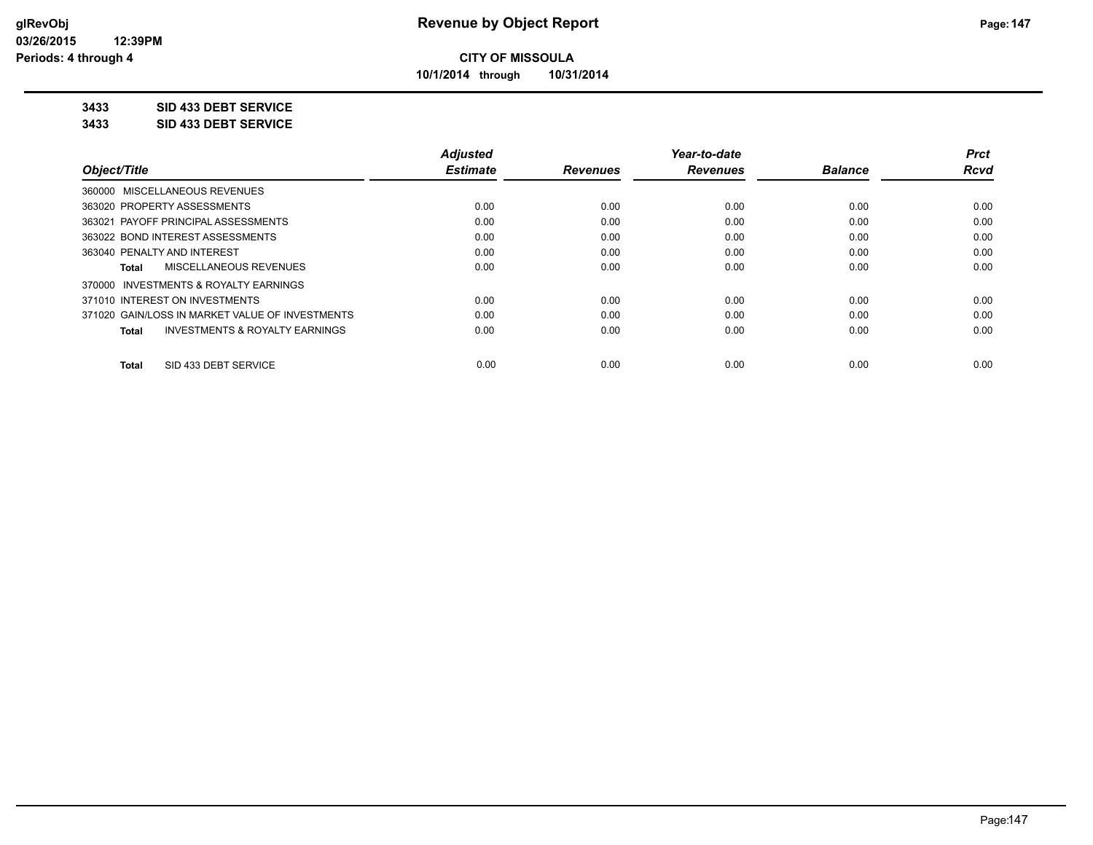**10/1/2014 through 10/31/2014**

**3433 SID 433 DEBT SERVICE**

**3433 SID 433 DEBT SERVICE**

|                                                    | <b>Adjusted</b> |                 | Year-to-date    |                | <b>Prct</b> |
|----------------------------------------------------|-----------------|-----------------|-----------------|----------------|-------------|
| Object/Title                                       | <b>Estimate</b> | <b>Revenues</b> | <b>Revenues</b> | <b>Balance</b> | <b>Rcvd</b> |
| 360000 MISCELLANEOUS REVENUES                      |                 |                 |                 |                |             |
| 363020 PROPERTY ASSESSMENTS                        | 0.00            | 0.00            | 0.00            | 0.00           | 0.00        |
| 363021 PAYOFF PRINCIPAL ASSESSMENTS                | 0.00            | 0.00            | 0.00            | 0.00           | 0.00        |
| 363022 BOND INTEREST ASSESSMENTS                   | 0.00            | 0.00            | 0.00            | 0.00           | 0.00        |
| 363040 PENALTY AND INTEREST                        | 0.00            | 0.00            | 0.00            | 0.00           | 0.00        |
| MISCELLANEOUS REVENUES<br>Total                    | 0.00            | 0.00            | 0.00            | 0.00           | 0.00        |
| INVESTMENTS & ROYALTY EARNINGS<br>370000           |                 |                 |                 |                |             |
| 371010 INTEREST ON INVESTMENTS                     | 0.00            | 0.00            | 0.00            | 0.00           | 0.00        |
| 371020 GAIN/LOSS IN MARKET VALUE OF INVESTMENTS    | 0.00            | 0.00            | 0.00            | 0.00           | 0.00        |
| <b>INVESTMENTS &amp; ROYALTY EARNINGS</b><br>Total | 0.00            | 0.00            | 0.00            | 0.00           | 0.00        |
| SID 433 DEBT SERVICE<br><b>Total</b>               | 0.00            | 0.00            | 0.00            | 0.00           | 0.00        |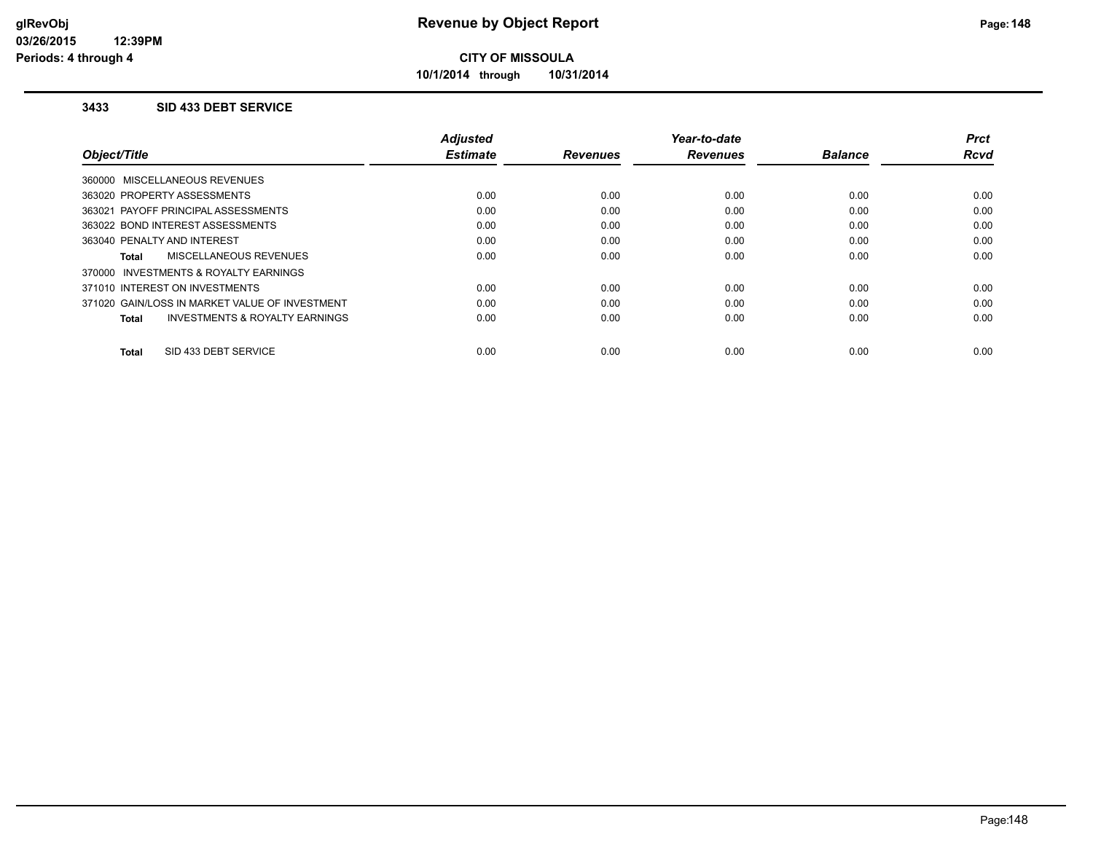**10/1/2014 through 10/31/2014**

#### **3433 SID 433 DEBT SERVICE**

|                                                    | <b>Adjusted</b> |                 | Year-to-date    |                | <b>Prct</b> |
|----------------------------------------------------|-----------------|-----------------|-----------------|----------------|-------------|
| Object/Title                                       | <b>Estimate</b> | <b>Revenues</b> | <b>Revenues</b> | <b>Balance</b> | <b>Rcvd</b> |
| 360000 MISCELLANEOUS REVENUES                      |                 |                 |                 |                |             |
| 363020 PROPERTY ASSESSMENTS                        | 0.00            | 0.00            | 0.00            | 0.00           | 0.00        |
| 363021 PAYOFF PRINCIPAL ASSESSMENTS                | 0.00            | 0.00            | 0.00            | 0.00           | 0.00        |
| 363022 BOND INTEREST ASSESSMENTS                   | 0.00            | 0.00            | 0.00            | 0.00           | 0.00        |
| 363040 PENALTY AND INTEREST                        | 0.00            | 0.00            | 0.00            | 0.00           | 0.00        |
| MISCELLANEOUS REVENUES<br>Total                    | 0.00            | 0.00            | 0.00            | 0.00           | 0.00        |
| 370000 INVESTMENTS & ROYALTY EARNINGS              |                 |                 |                 |                |             |
| 371010 INTEREST ON INVESTMENTS                     | 0.00            | 0.00            | 0.00            | 0.00           | 0.00        |
| 371020 GAIN/LOSS IN MARKET VALUE OF INVESTMENT     | 0.00            | 0.00            | 0.00            | 0.00           | 0.00        |
| <b>INVESTMENTS &amp; ROYALTY EARNINGS</b><br>Total | 0.00            | 0.00            | 0.00            | 0.00           | 0.00        |
|                                                    |                 |                 |                 |                |             |
| SID 433 DEBT SERVICE<br>Total                      | 0.00            | 0.00            | 0.00            | 0.00           | 0.00        |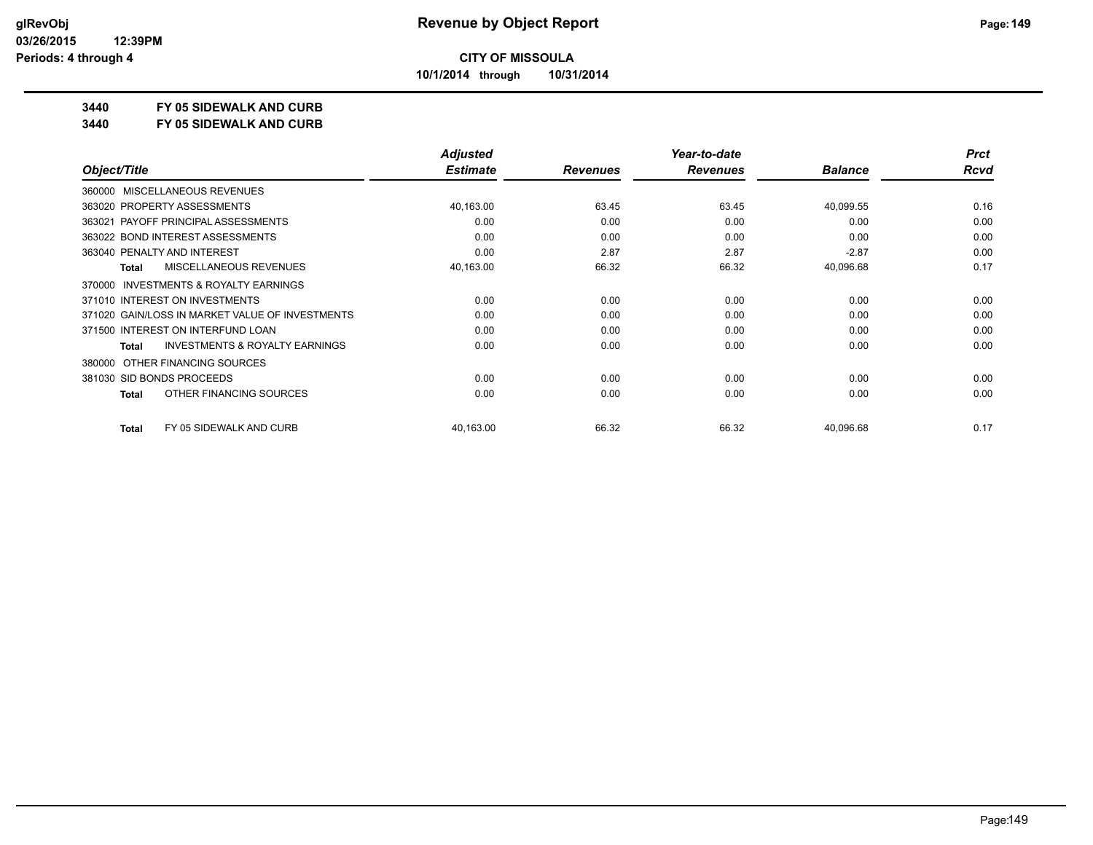**10/1/2014 through 10/31/2014**

### **3440 FY 05 SIDEWALK AND CURB**

**3440 FY 05 SIDEWALK AND CURB**

|                           |                                                 | <b>Adjusted</b> |                 | Year-to-date    |                | <b>Prct</b> |
|---------------------------|-------------------------------------------------|-----------------|-----------------|-----------------|----------------|-------------|
| Object/Title              |                                                 | <b>Estimate</b> | <b>Revenues</b> | <b>Revenues</b> | <b>Balance</b> | Rcvd        |
|                           | 360000 MISCELLANEOUS REVENUES                   |                 |                 |                 |                |             |
|                           | 363020 PROPERTY ASSESSMENTS                     | 40,163.00       | 63.45           | 63.45           | 40,099.55      | 0.16        |
|                           | 363021 PAYOFF PRINCIPAL ASSESSMENTS             | 0.00            | 0.00            | 0.00            | 0.00           | 0.00        |
|                           | 363022 BOND INTEREST ASSESSMENTS                | 0.00            | 0.00            | 0.00            | 0.00           | 0.00        |
|                           | 363040 PENALTY AND INTEREST                     | 0.00            | 2.87            | 2.87            | $-2.87$        | 0.00        |
| <b>Total</b>              | <b>MISCELLANEOUS REVENUES</b>                   | 40,163.00       | 66.32           | 66.32           | 40,096.68      | 0.17        |
| 370000                    | INVESTMENTS & ROYALTY EARNINGS                  |                 |                 |                 |                |             |
|                           | 371010 INTEREST ON INVESTMENTS                  | 0.00            | 0.00            | 0.00            | 0.00           | 0.00        |
|                           | 371020 GAIN/LOSS IN MARKET VALUE OF INVESTMENTS | 0.00            | 0.00            | 0.00            | 0.00           | 0.00        |
|                           | 371500 INTEREST ON INTERFUND LOAN               | 0.00            | 0.00            | 0.00            | 0.00           | 0.00        |
| Total                     | <b>INVESTMENTS &amp; ROYALTY EARNINGS</b>       | 0.00            | 0.00            | 0.00            | 0.00           | 0.00        |
| 380000                    | OTHER FINANCING SOURCES                         |                 |                 |                 |                |             |
| 381030 SID BONDS PROCEEDS |                                                 | 0.00            | 0.00            | 0.00            | 0.00           | 0.00        |
| <b>Total</b>              | OTHER FINANCING SOURCES                         | 0.00            | 0.00            | 0.00            | 0.00           | 0.00        |
| <b>Total</b>              | FY 05 SIDEWALK AND CURB                         | 40,163.00       | 66.32           | 66.32           | 40,096.68      | 0.17        |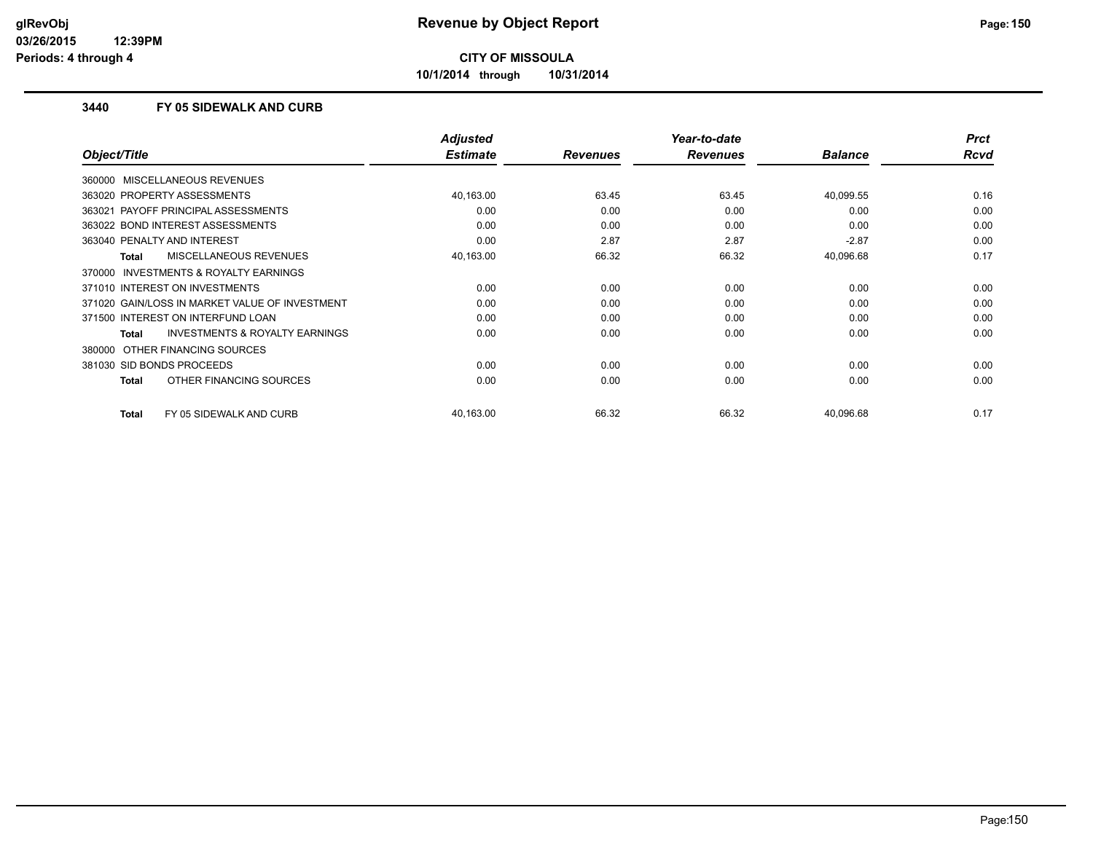**10/1/2014 through 10/31/2014**

#### **3440 FY 05 SIDEWALK AND CURB**

|                                                    | <b>Adjusted</b> |                 | Year-to-date    |                | <b>Prct</b> |
|----------------------------------------------------|-----------------|-----------------|-----------------|----------------|-------------|
| Object/Title                                       | <b>Estimate</b> | <b>Revenues</b> | <b>Revenues</b> | <b>Balance</b> | Rcvd        |
| 360000 MISCELLANEOUS REVENUES                      |                 |                 |                 |                |             |
| 363020 PROPERTY ASSESSMENTS                        | 40,163.00       | 63.45           | 63.45           | 40,099.55      | 0.16        |
| 363021 PAYOFF PRINCIPAL ASSESSMENTS                | 0.00            | 0.00            | 0.00            | 0.00           | 0.00        |
| 363022 BOND INTEREST ASSESSMENTS                   | 0.00            | 0.00            | 0.00            | 0.00           | 0.00        |
| 363040 PENALTY AND INTEREST                        | 0.00            | 2.87            | 2.87            | $-2.87$        | 0.00        |
| <b>MISCELLANEOUS REVENUES</b><br>Total             | 40,163.00       | 66.32           | 66.32           | 40,096.68      | 0.17        |
| 370000 INVESTMENTS & ROYALTY EARNINGS              |                 |                 |                 |                |             |
| 371010 INTEREST ON INVESTMENTS                     | 0.00            | 0.00            | 0.00            | 0.00           | 0.00        |
| 371020 GAIN/LOSS IN MARKET VALUE OF INVESTMENT     | 0.00            | 0.00            | 0.00            | 0.00           | 0.00        |
| 371500 INTEREST ON INTERFUND LOAN                  | 0.00            | 0.00            | 0.00            | 0.00           | 0.00        |
| <b>INVESTMENTS &amp; ROYALTY EARNINGS</b><br>Total | 0.00            | 0.00            | 0.00            | 0.00           | 0.00        |
| 380000 OTHER FINANCING SOURCES                     |                 |                 |                 |                |             |
| 381030 SID BONDS PROCEEDS                          | 0.00            | 0.00            | 0.00            | 0.00           | 0.00        |
| OTHER FINANCING SOURCES<br>Total                   | 0.00            | 0.00            | 0.00            | 0.00           | 0.00        |
| FY 05 SIDEWALK AND CURB<br><b>Total</b>            | 40,163.00       | 66.32           | 66.32           | 40,096.68      | 0.17        |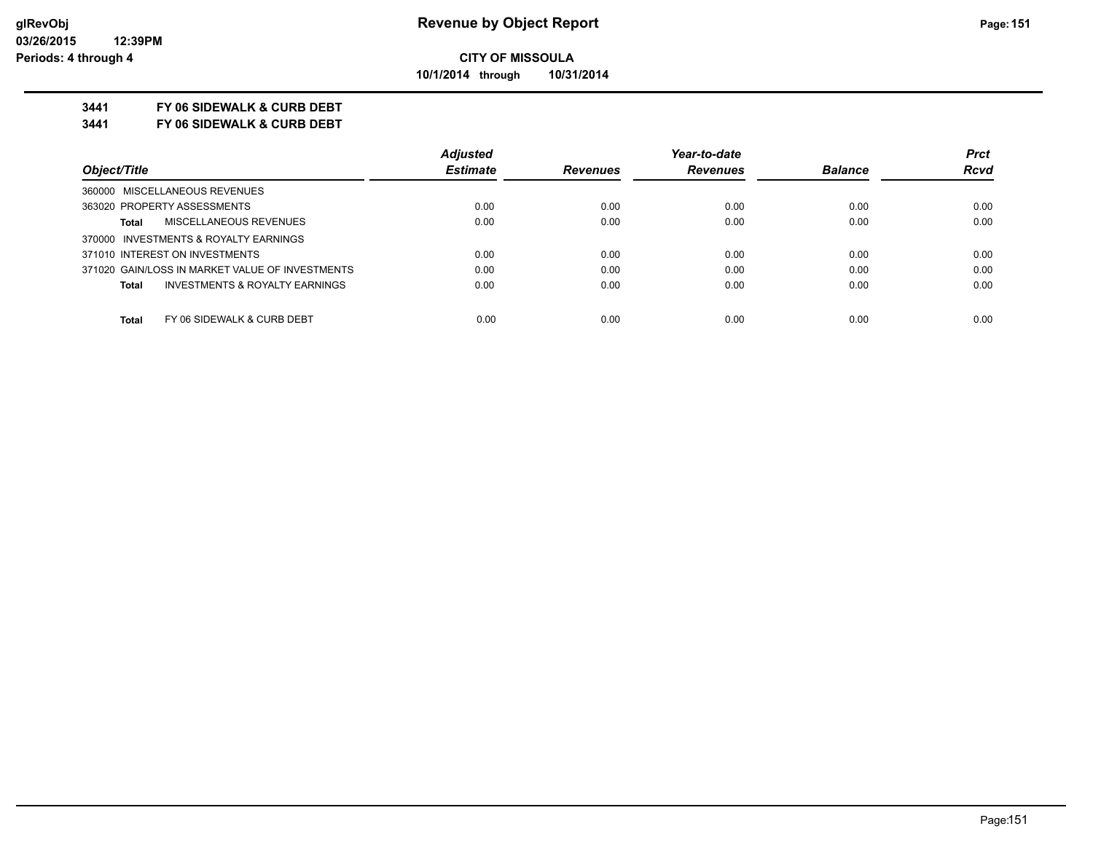**10/1/2014 through 10/31/2014**

#### **3441 FY 06 SIDEWALK & CURB DEBT**

**3441 FY 06 SIDEWALK & CURB DEBT**

|                                                 | <b>Adjusted</b> |                 | Year-to-date    |                | <b>Prct</b> |
|-------------------------------------------------|-----------------|-----------------|-----------------|----------------|-------------|
| Object/Title                                    | <b>Estimate</b> | <b>Revenues</b> | <b>Revenues</b> | <b>Balance</b> | <b>Rcvd</b> |
| 360000 MISCELLANEOUS REVENUES                   |                 |                 |                 |                |             |
| 363020 PROPERTY ASSESSMENTS                     | 0.00            | 0.00            | 0.00            | 0.00           | 0.00        |
| MISCELLANEOUS REVENUES<br>Total                 | 0.00            | 0.00            | 0.00            | 0.00           | 0.00        |
| 370000 INVESTMENTS & ROYALTY EARNINGS           |                 |                 |                 |                |             |
| 371010 INTEREST ON INVESTMENTS                  | 0.00            | 0.00            | 0.00            | 0.00           | 0.00        |
| 371020 GAIN/LOSS IN MARKET VALUE OF INVESTMENTS | 0.00            | 0.00            | 0.00            | 0.00           | 0.00        |
| INVESTMENTS & ROYALTY EARNINGS<br>Total         | 0.00            | 0.00            | 0.00            | 0.00           | 0.00        |
| FY 06 SIDEWALK & CURB DEBT<br><b>Total</b>      | 0.00            | 0.00            | 0.00            | 0.00           | 0.00        |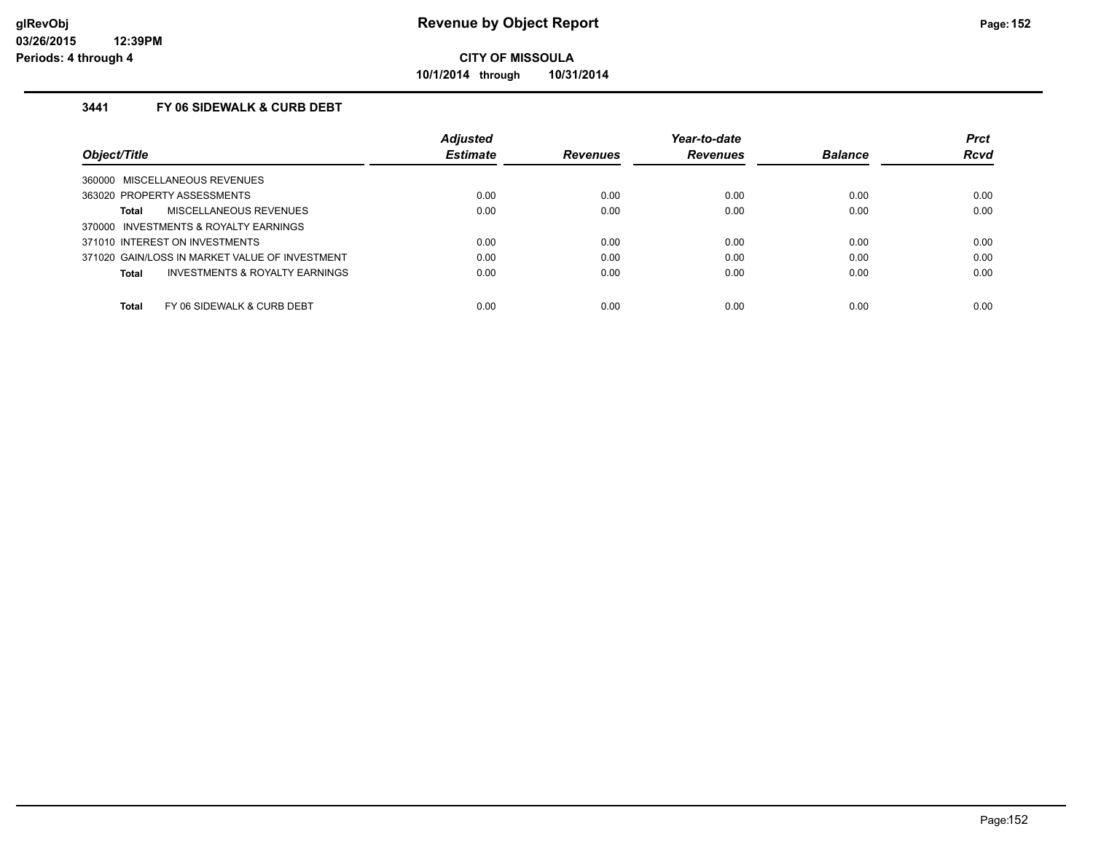**10/1/2014 through 10/31/2014**

### **3441 FY 06 SIDEWALK & CURB DEBT**

|                                                     | <b>Adjusted</b> |                 | Year-to-date    |                | <b>Prct</b> |
|-----------------------------------------------------|-----------------|-----------------|-----------------|----------------|-------------|
| Object/Title                                        | <b>Estimate</b> | <b>Revenues</b> | <b>Revenues</b> | <b>Balance</b> | <b>Rcvd</b> |
| MISCELLANEOUS REVENUES<br>360000                    |                 |                 |                 |                |             |
| 363020 PROPERTY ASSESSMENTS                         | 0.00            | 0.00            | 0.00            | 0.00           | 0.00        |
| <b>MISCELLANEOUS REVENUES</b><br>Total              | 0.00            | 0.00            | 0.00            | 0.00           | 0.00        |
| <b>INVESTMENTS &amp; ROYALTY EARNINGS</b><br>370000 |                 |                 |                 |                |             |
| 371010 INTEREST ON INVESTMENTS                      | 0.00            | 0.00            | 0.00            | 0.00           | 0.00        |
| 371020 GAIN/LOSS IN MARKET VALUE OF INVESTMENT      | 0.00            | 0.00            | 0.00            | 0.00           | 0.00        |
| <b>INVESTMENTS &amp; ROYALTY EARNINGS</b><br>Total  | 0.00            | 0.00            | 0.00            | 0.00           | 0.00        |
| Total<br>FY 06 SIDEWALK & CURB DEBT                 | 0.00            | 0.00            | 0.00            | 0.00           | 0.00        |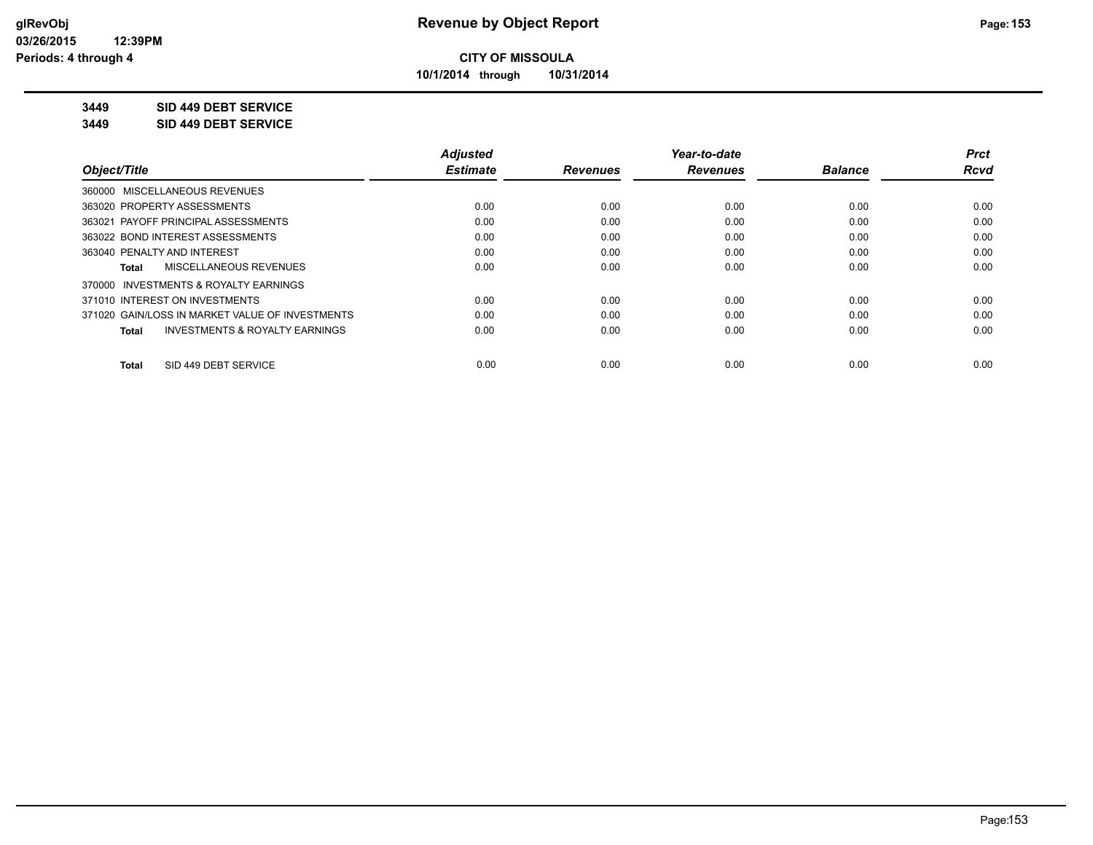**10/1/2014 through 10/31/2014**

#### **3449 SID 449 DEBT SERVICE**

**3449 SID 449 DEBT SERVICE**

|                                                    | <b>Adjusted</b> |                 | Year-to-date    |                | <b>Prct</b> |
|----------------------------------------------------|-----------------|-----------------|-----------------|----------------|-------------|
| Object/Title                                       | <b>Estimate</b> | <b>Revenues</b> | <b>Revenues</b> | <b>Balance</b> | <b>Rcvd</b> |
| 360000 MISCELLANEOUS REVENUES                      |                 |                 |                 |                |             |
| 363020 PROPERTY ASSESSMENTS                        | 0.00            | 0.00            | 0.00            | 0.00           | 0.00        |
| PAYOFF PRINCIPAL ASSESSMENTS<br>363021             | 0.00            | 0.00            | 0.00            | 0.00           | 0.00        |
| 363022 BOND INTEREST ASSESSMENTS                   | 0.00            | 0.00            | 0.00            | 0.00           | 0.00        |
| 363040 PENALTY AND INTEREST                        | 0.00            | 0.00            | 0.00            | 0.00           | 0.00        |
| MISCELLANEOUS REVENUES<br>Total                    | 0.00            | 0.00            | 0.00            | 0.00           | 0.00        |
| 370000 INVESTMENTS & ROYALTY EARNINGS              |                 |                 |                 |                |             |
| 371010 INTEREST ON INVESTMENTS                     | 0.00            | 0.00            | 0.00            | 0.00           | 0.00        |
| 371020 GAIN/LOSS IN MARKET VALUE OF INVESTMENTS    | 0.00            | 0.00            | 0.00            | 0.00           | 0.00        |
| <b>INVESTMENTS &amp; ROYALTY EARNINGS</b><br>Total | 0.00            | 0.00            | 0.00            | 0.00           | 0.00        |
| SID 449 DEBT SERVICE<br><b>Total</b>               | 0.00            | 0.00            | 0.00            | 0.00           | 0.00        |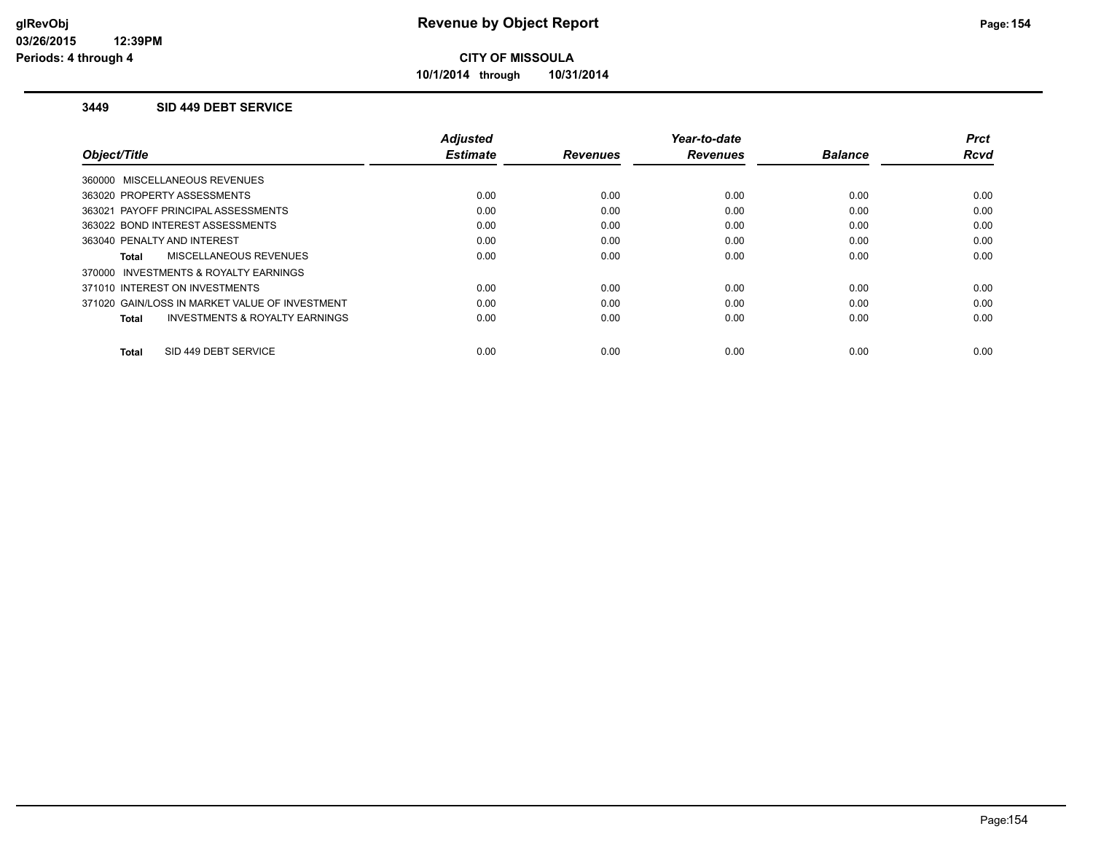**10/1/2014 through 10/31/2014**

#### **3449 SID 449 DEBT SERVICE**

|                                                    | <b>Adjusted</b> |                 | Year-to-date    |                | <b>Prct</b> |
|----------------------------------------------------|-----------------|-----------------|-----------------|----------------|-------------|
| Object/Title                                       | <b>Estimate</b> | <b>Revenues</b> | <b>Revenues</b> | <b>Balance</b> | <b>Rcvd</b> |
| 360000 MISCELLANEOUS REVENUES                      |                 |                 |                 |                |             |
| 363020 PROPERTY ASSESSMENTS                        | 0.00            | 0.00            | 0.00            | 0.00           | 0.00        |
| 363021 PAYOFF PRINCIPAL ASSESSMENTS                | 0.00            | 0.00            | 0.00            | 0.00           | 0.00        |
| 363022 BOND INTEREST ASSESSMENTS                   | 0.00            | 0.00            | 0.00            | 0.00           | 0.00        |
| 363040 PENALTY AND INTEREST                        | 0.00            | 0.00            | 0.00            | 0.00           | 0.00        |
| MISCELLANEOUS REVENUES<br>Total                    | 0.00            | 0.00            | 0.00            | 0.00           | 0.00        |
| 370000 INVESTMENTS & ROYALTY EARNINGS              |                 |                 |                 |                |             |
| 371010 INTEREST ON INVESTMENTS                     | 0.00            | 0.00            | 0.00            | 0.00           | 0.00        |
| 371020 GAIN/LOSS IN MARKET VALUE OF INVESTMENT     | 0.00            | 0.00            | 0.00            | 0.00           | 0.00        |
| <b>INVESTMENTS &amp; ROYALTY EARNINGS</b><br>Total | 0.00            | 0.00            | 0.00            | 0.00           | 0.00        |
|                                                    |                 |                 |                 |                |             |
| SID 449 DEBT SERVICE<br>Total                      | 0.00            | 0.00            | 0.00            | 0.00           | 0.00        |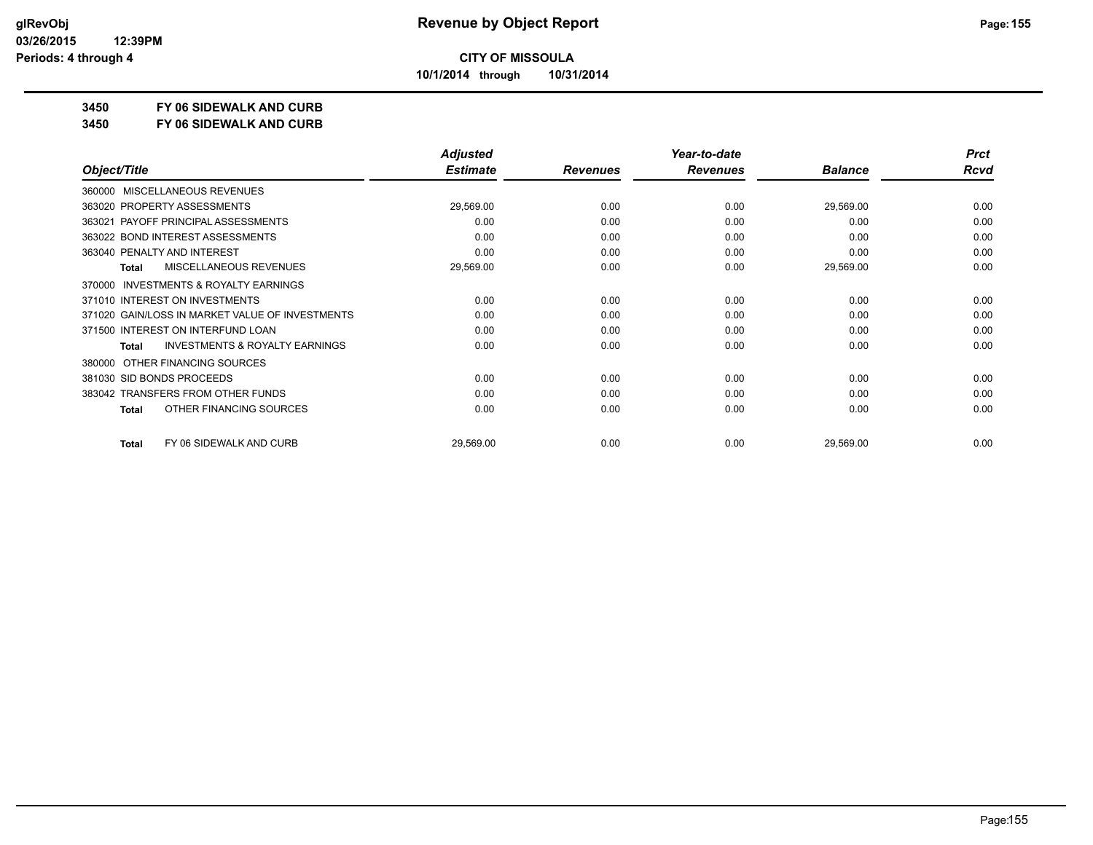**10/1/2014 through 10/31/2014**

### **3450 FY 06 SIDEWALK AND CURB**

**3450 FY 06 SIDEWALK AND CURB**

|                                                     | <b>Adjusted</b> |                 | Year-to-date    |                | <b>Prct</b> |
|-----------------------------------------------------|-----------------|-----------------|-----------------|----------------|-------------|
| Object/Title                                        | <b>Estimate</b> | <b>Revenues</b> | <b>Revenues</b> | <b>Balance</b> | <b>Rcvd</b> |
| <b>MISCELLANEOUS REVENUES</b><br>360000             |                 |                 |                 |                |             |
| 363020 PROPERTY ASSESSMENTS                         | 29,569.00       | 0.00            | 0.00            | 29,569.00      | 0.00        |
| 363021 PAYOFF PRINCIPAL ASSESSMENTS                 | 0.00            | 0.00            | 0.00            | 0.00           | 0.00        |
| 363022 BOND INTEREST ASSESSMENTS                    | 0.00            | 0.00            | 0.00            | 0.00           | 0.00        |
| 363040 PENALTY AND INTEREST                         | 0.00            | 0.00            | 0.00            | 0.00           | 0.00        |
| MISCELLANEOUS REVENUES<br>Total                     | 29,569.00       | 0.00            | 0.00            | 29,569.00      | 0.00        |
| <b>INVESTMENTS &amp; ROYALTY EARNINGS</b><br>370000 |                 |                 |                 |                |             |
| 371010 INTEREST ON INVESTMENTS                      | 0.00            | 0.00            | 0.00            | 0.00           | 0.00        |
| 371020 GAIN/LOSS IN MARKET VALUE OF INVESTMENTS     | 0.00            | 0.00            | 0.00            | 0.00           | 0.00        |
| 371500 INTEREST ON INTERFUND LOAN                   | 0.00            | 0.00            | 0.00            | 0.00           | 0.00        |
| <b>INVESTMENTS &amp; ROYALTY EARNINGS</b><br>Total  | 0.00            | 0.00            | 0.00            | 0.00           | 0.00        |
| OTHER FINANCING SOURCES<br>380000                   |                 |                 |                 |                |             |
| 381030 SID BONDS PROCEEDS                           | 0.00            | 0.00            | 0.00            | 0.00           | 0.00        |
| 383042 TRANSFERS FROM OTHER FUNDS                   | 0.00            | 0.00            | 0.00            | 0.00           | 0.00        |
| OTHER FINANCING SOURCES<br>Total                    | 0.00            | 0.00            | 0.00            | 0.00           | 0.00        |
| FY 06 SIDEWALK AND CURB<br><b>Total</b>             | 29,569.00       | 0.00            | 0.00            | 29,569.00      | 0.00        |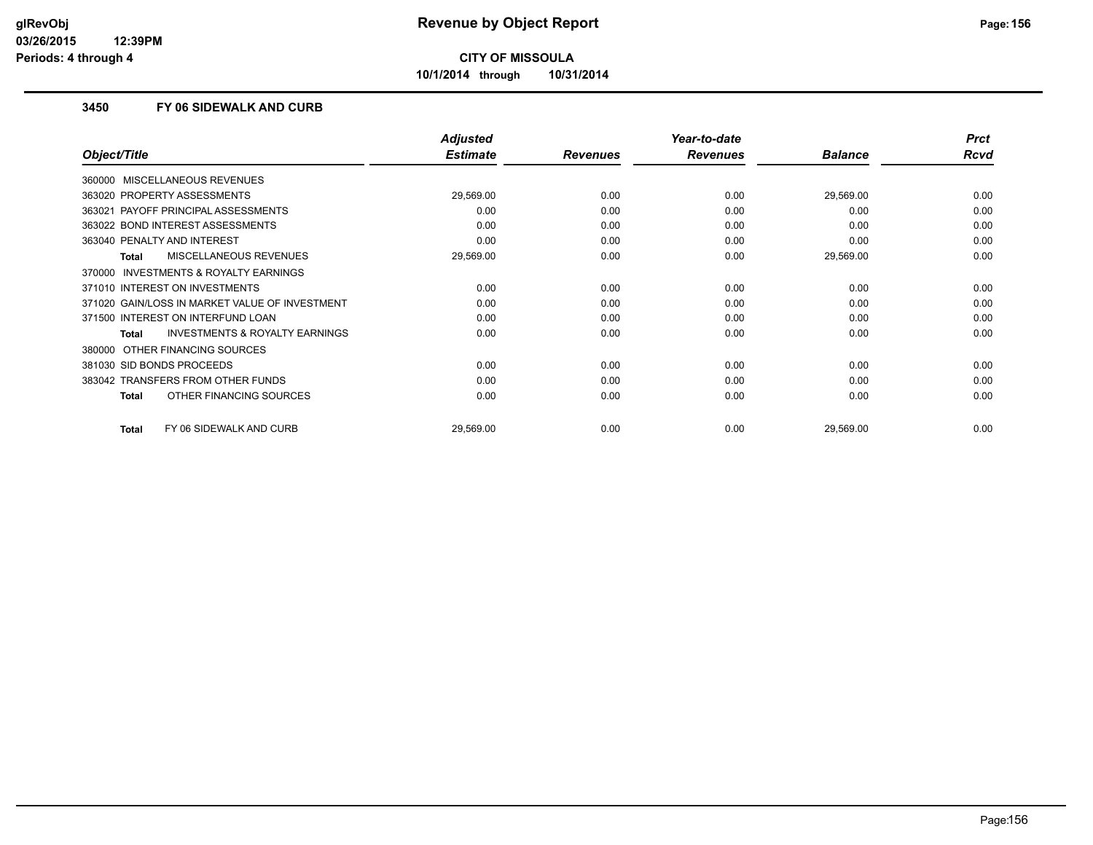**10/1/2014 through 10/31/2014**

#### **3450 FY 06 SIDEWALK AND CURB**

|                                                    | <b>Adjusted</b> |                 | Year-to-date    |                | <b>Prct</b> |
|----------------------------------------------------|-----------------|-----------------|-----------------|----------------|-------------|
| Object/Title                                       | <b>Estimate</b> | <b>Revenues</b> | <b>Revenues</b> | <b>Balance</b> | <b>Rcvd</b> |
| 360000 MISCELLANEOUS REVENUES                      |                 |                 |                 |                |             |
| 363020 PROPERTY ASSESSMENTS                        | 29,569.00       | 0.00            | 0.00            | 29,569.00      | 0.00        |
| PAYOFF PRINCIPAL ASSESSMENTS<br>363021             | 0.00            | 0.00            | 0.00            | 0.00           | 0.00        |
| 363022 BOND INTEREST ASSESSMENTS                   | 0.00            | 0.00            | 0.00            | 0.00           | 0.00        |
| 363040 PENALTY AND INTEREST                        | 0.00            | 0.00            | 0.00            | 0.00           | 0.00        |
| <b>MISCELLANEOUS REVENUES</b><br>Total             | 29,569.00       | 0.00            | 0.00            | 29,569.00      | 0.00        |
| 370000 INVESTMENTS & ROYALTY EARNINGS              |                 |                 |                 |                |             |
| 371010 INTEREST ON INVESTMENTS                     | 0.00            | 0.00            | 0.00            | 0.00           | 0.00        |
| 371020 GAIN/LOSS IN MARKET VALUE OF INVESTMENT     | 0.00            | 0.00            | 0.00            | 0.00           | 0.00        |
| 371500 INTEREST ON INTERFUND LOAN                  | 0.00            | 0.00            | 0.00            | 0.00           | 0.00        |
| <b>INVESTMENTS &amp; ROYALTY EARNINGS</b><br>Total | 0.00            | 0.00            | 0.00            | 0.00           | 0.00        |
| 380000 OTHER FINANCING SOURCES                     |                 |                 |                 |                |             |
| 381030 SID BONDS PROCEEDS                          | 0.00            | 0.00            | 0.00            | 0.00           | 0.00        |
| 383042 TRANSFERS FROM OTHER FUNDS                  | 0.00            | 0.00            | 0.00            | 0.00           | 0.00        |
| OTHER FINANCING SOURCES<br><b>Total</b>            | 0.00            | 0.00            | 0.00            | 0.00           | 0.00        |
| FY 06 SIDEWALK AND CURB<br><b>Total</b>            | 29,569.00       | 0.00            | 0.00            | 29,569.00      | 0.00        |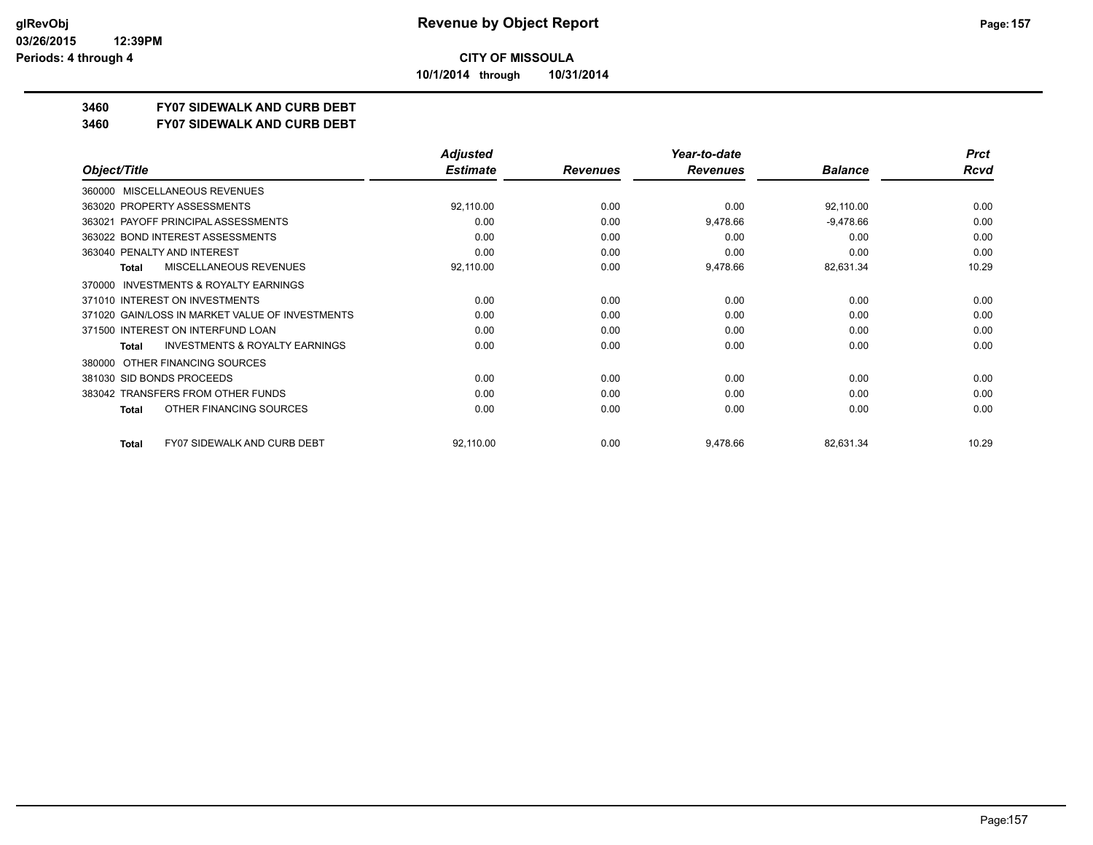**10/1/2014 through 10/31/2014**

## **3460 FY07 SIDEWALK AND CURB DEBT**

**3460 FY07 SIDEWALK AND CURB DEBT**

|                                                     | <b>Adjusted</b> |                 | Year-to-date    |                | <b>Prct</b> |
|-----------------------------------------------------|-----------------|-----------------|-----------------|----------------|-------------|
| Object/Title                                        | <b>Estimate</b> | <b>Revenues</b> | <b>Revenues</b> | <b>Balance</b> | <b>Rcvd</b> |
| MISCELLANEOUS REVENUES<br>360000                    |                 |                 |                 |                |             |
| 363020 PROPERTY ASSESSMENTS                         | 92,110.00       | 0.00            | 0.00            | 92,110.00      | 0.00        |
| 363021 PAYOFF PRINCIPAL ASSESSMENTS                 | 0.00            | 0.00            | 9,478.66        | $-9,478.66$    | 0.00        |
| 363022 BOND INTEREST ASSESSMENTS                    | 0.00            | 0.00            | 0.00            | 0.00           | 0.00        |
| 363040 PENALTY AND INTEREST                         | 0.00            | 0.00            | 0.00            | 0.00           | 0.00        |
| MISCELLANEOUS REVENUES<br>Total                     | 92,110.00       | 0.00            | 9,478.66        | 82,631.34      | 10.29       |
| <b>INVESTMENTS &amp; ROYALTY EARNINGS</b><br>370000 |                 |                 |                 |                |             |
| 371010 INTEREST ON INVESTMENTS                      | 0.00            | 0.00            | 0.00            | 0.00           | 0.00        |
| 371020 GAIN/LOSS IN MARKET VALUE OF INVESTMENTS     | 0.00            | 0.00            | 0.00            | 0.00           | 0.00        |
| 371500 INTEREST ON INTERFUND LOAN                   | 0.00            | 0.00            | 0.00            | 0.00           | 0.00        |
| <b>INVESTMENTS &amp; ROYALTY EARNINGS</b><br>Total  | 0.00            | 0.00            | 0.00            | 0.00           | 0.00        |
| OTHER FINANCING SOURCES<br>380000                   |                 |                 |                 |                |             |
| 381030 SID BONDS PROCEEDS                           | 0.00            | 0.00            | 0.00            | 0.00           | 0.00        |
| 383042 TRANSFERS FROM OTHER FUNDS                   | 0.00            | 0.00            | 0.00            | 0.00           | 0.00        |
| OTHER FINANCING SOURCES<br>Total                    | 0.00            | 0.00            | 0.00            | 0.00           | 0.00        |
| <b>FY07 SIDEWALK AND CURB DEBT</b><br><b>Total</b>  | 92,110.00       | 0.00            | 9,478.66        | 82,631.34      | 10.29       |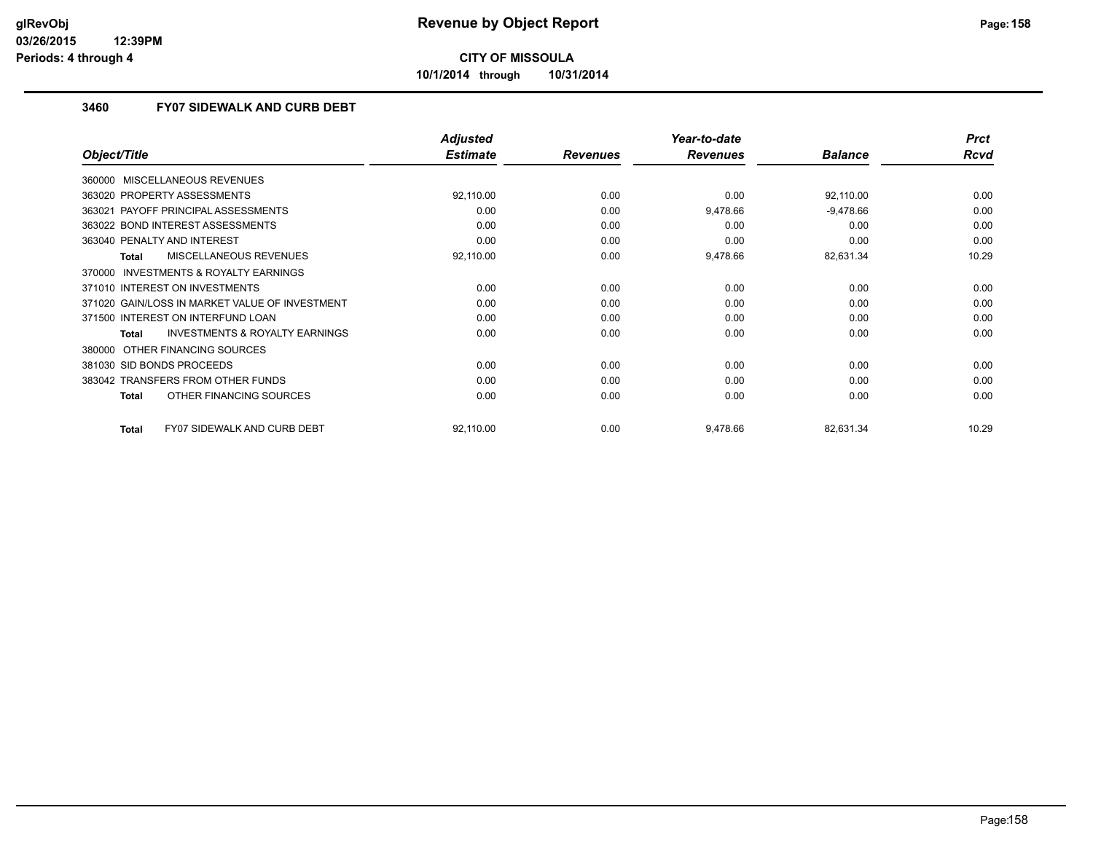**10/1/2014 through 10/31/2014**

#### **3460 FY07 SIDEWALK AND CURB DEBT**

|                                                     | <b>Adjusted</b> |                 | Year-to-date    |                | <b>Prct</b> |
|-----------------------------------------------------|-----------------|-----------------|-----------------|----------------|-------------|
| Object/Title                                        | <b>Estimate</b> | <b>Revenues</b> | <b>Revenues</b> | <b>Balance</b> | <b>Rcvd</b> |
| MISCELLANEOUS REVENUES<br>360000                    |                 |                 |                 |                |             |
| 363020 PROPERTY ASSESSMENTS                         | 92,110.00       | 0.00            | 0.00            | 92,110.00      | 0.00        |
| 363021 PAYOFF PRINCIPAL ASSESSMENTS                 | 0.00            | 0.00            | 9,478.66        | $-9,478.66$    | 0.00        |
| 363022 BOND INTEREST ASSESSMENTS                    | 0.00            | 0.00            | 0.00            | 0.00           | 0.00        |
| 363040 PENALTY AND INTEREST                         | 0.00            | 0.00            | 0.00            | 0.00           | 0.00        |
| <b>MISCELLANEOUS REVENUES</b><br><b>Total</b>       | 92,110.00       | 0.00            | 9,478.66        | 82,631.34      | 10.29       |
| <b>INVESTMENTS &amp; ROYALTY EARNINGS</b><br>370000 |                 |                 |                 |                |             |
| 371010 INTEREST ON INVESTMENTS                      | 0.00            | 0.00            | 0.00            | 0.00           | 0.00        |
| 371020 GAIN/LOSS IN MARKET VALUE OF INVESTMENT      | 0.00            | 0.00            | 0.00            | 0.00           | 0.00        |
| 371500 INTEREST ON INTERFUND LOAN                   | 0.00            | 0.00            | 0.00            | 0.00           | 0.00        |
| <b>INVESTMENTS &amp; ROYALTY EARNINGS</b><br>Total  | 0.00            | 0.00            | 0.00            | 0.00           | 0.00        |
| OTHER FINANCING SOURCES<br>380000                   |                 |                 |                 |                |             |
| 381030 SID BONDS PROCEEDS                           | 0.00            | 0.00            | 0.00            | 0.00           | 0.00        |
| 383042 TRANSFERS FROM OTHER FUNDS                   | 0.00            | 0.00            | 0.00            | 0.00           | 0.00        |
| OTHER FINANCING SOURCES<br><b>Total</b>             | 0.00            | 0.00            | 0.00            | 0.00           | 0.00        |
| <b>FY07 SIDEWALK AND CURB DEBT</b><br><b>Total</b>  | 92,110.00       | 0.00            | 9,478.66        | 82,631.34      | 10.29       |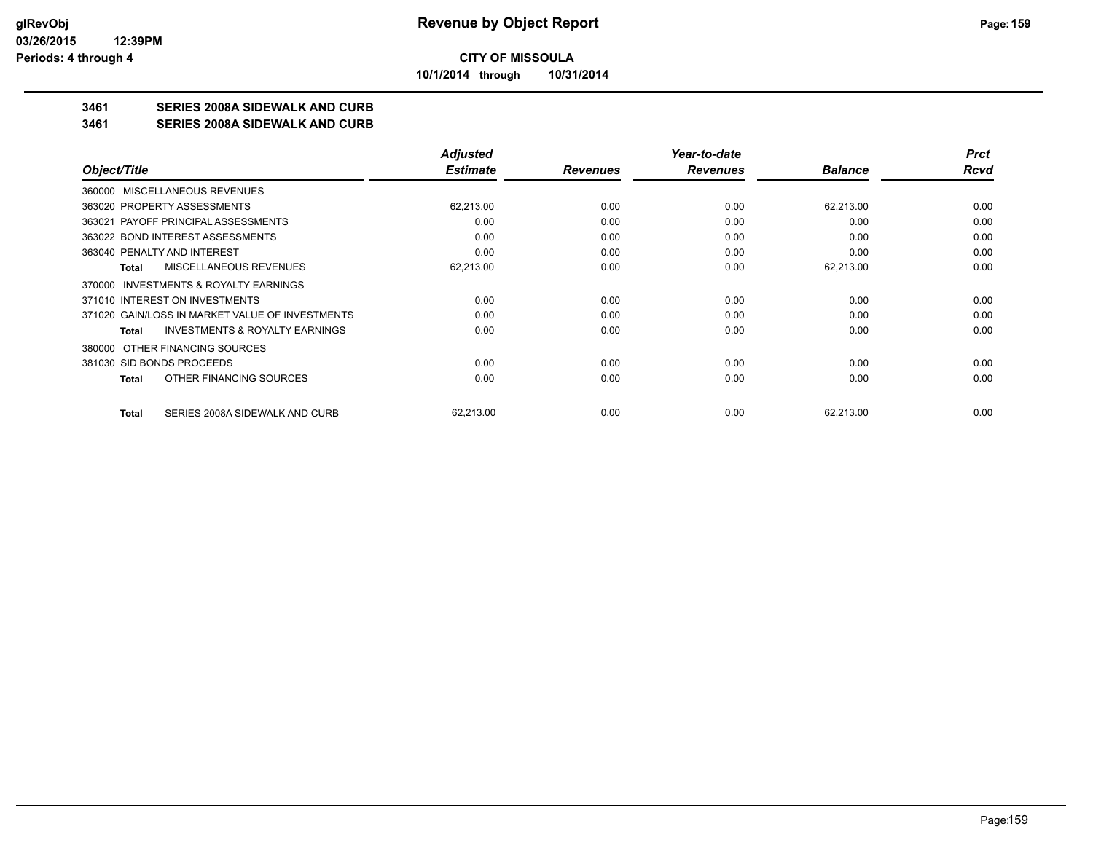**10/1/2014 through 10/31/2014**

### **3461 SERIES 2008A SIDEWALK AND CURB**

**3461 SERIES 2008A SIDEWALK AND CURB**

|                                                    | <b>Adjusted</b> |                 | Year-to-date    |                | <b>Prct</b> |
|----------------------------------------------------|-----------------|-----------------|-----------------|----------------|-------------|
| Object/Title                                       | <b>Estimate</b> | <b>Revenues</b> | <b>Revenues</b> | <b>Balance</b> | Rcvd        |
| 360000 MISCELLANEOUS REVENUES                      |                 |                 |                 |                |             |
| 363020 PROPERTY ASSESSMENTS                        | 62,213.00       | 0.00            | 0.00            | 62,213.00      | 0.00        |
| 363021 PAYOFF PRINCIPAL ASSESSMENTS                | 0.00            | 0.00            | 0.00            | 0.00           | 0.00        |
| 363022 BOND INTEREST ASSESSMENTS                   | 0.00            | 0.00            | 0.00            | 0.00           | 0.00        |
| 363040 PENALTY AND INTEREST                        | 0.00            | 0.00            | 0.00            | 0.00           | 0.00        |
| MISCELLANEOUS REVENUES<br>Total                    | 62,213.00       | 0.00            | 0.00            | 62,213.00      | 0.00        |
| 370000 INVESTMENTS & ROYALTY EARNINGS              |                 |                 |                 |                |             |
| 371010 INTEREST ON INVESTMENTS                     | 0.00            | 0.00            | 0.00            | 0.00           | 0.00        |
| 371020 GAIN/LOSS IN MARKET VALUE OF INVESTMENTS    | 0.00            | 0.00            | 0.00            | 0.00           | 0.00        |
| <b>INVESTMENTS &amp; ROYALTY EARNINGS</b><br>Total | 0.00            | 0.00            | 0.00            | 0.00           | 0.00        |
| OTHER FINANCING SOURCES<br>380000                  |                 |                 |                 |                |             |
| 381030 SID BONDS PROCEEDS                          | 0.00            | 0.00            | 0.00            | 0.00           | 0.00        |
| OTHER FINANCING SOURCES<br>Total                   | 0.00            | 0.00            | 0.00            | 0.00           | 0.00        |
| SERIES 2008A SIDEWALK AND CURB<br><b>Total</b>     | 62,213.00       | 0.00            | 0.00            | 62,213.00      | 0.00        |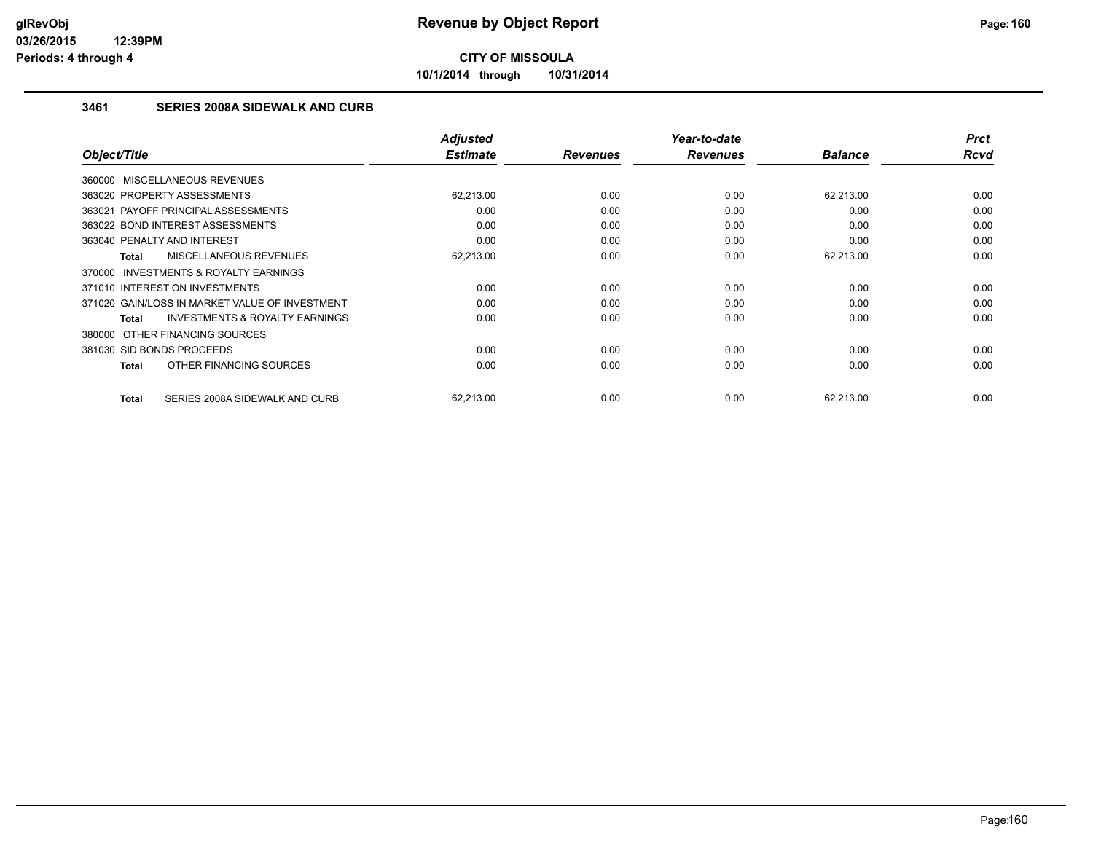**10/1/2014 through 10/31/2014**

#### **3461 SERIES 2008A SIDEWALK AND CURB**

| Object/Title                                        | <b>Adjusted</b><br><b>Estimate</b> | <b>Revenues</b> | Year-to-date<br><b>Revenues</b> | <b>Balance</b> | <b>Prct</b><br><b>Rcvd</b> |
|-----------------------------------------------------|------------------------------------|-----------------|---------------------------------|----------------|----------------------------|
|                                                     |                                    |                 |                                 |                |                            |
| 360000 MISCELLANEOUS REVENUES                       |                                    |                 |                                 |                |                            |
| 363020 PROPERTY ASSESSMENTS                         | 62,213.00                          | 0.00            | 0.00                            | 62,213.00      | 0.00                       |
| 363021 PAYOFF PRINCIPAL ASSESSMENTS                 | 0.00                               | 0.00            | 0.00                            | 0.00           | 0.00                       |
| 363022 BOND INTEREST ASSESSMENTS                    | 0.00                               | 0.00            | 0.00                            | 0.00           | 0.00                       |
| 363040 PENALTY AND INTEREST                         | 0.00                               | 0.00            | 0.00                            | 0.00           | 0.00                       |
| <b>MISCELLANEOUS REVENUES</b><br>Total              | 62,213.00                          | 0.00            | 0.00                            | 62,213.00      | 0.00                       |
| <b>INVESTMENTS &amp; ROYALTY EARNINGS</b><br>370000 |                                    |                 |                                 |                |                            |
| 371010 INTEREST ON INVESTMENTS                      | 0.00                               | 0.00            | 0.00                            | 0.00           | 0.00                       |
| 371020 GAIN/LOSS IN MARKET VALUE OF INVESTMENT      | 0.00                               | 0.00            | 0.00                            | 0.00           | 0.00                       |
| <b>INVESTMENTS &amp; ROYALTY EARNINGS</b><br>Total  | 0.00                               | 0.00            | 0.00                            | 0.00           | 0.00                       |
| 380000 OTHER FINANCING SOURCES                      |                                    |                 |                                 |                |                            |
| 381030 SID BONDS PROCEEDS                           | 0.00                               | 0.00            | 0.00                            | 0.00           | 0.00                       |
| OTHER FINANCING SOURCES<br>Total                    | 0.00                               | 0.00            | 0.00                            | 0.00           | 0.00                       |
|                                                     |                                    |                 |                                 |                |                            |
| SERIES 2008A SIDEWALK AND CURB<br><b>Total</b>      | 62,213.00                          | 0.00            | 0.00                            | 62,213.00      | 0.00                       |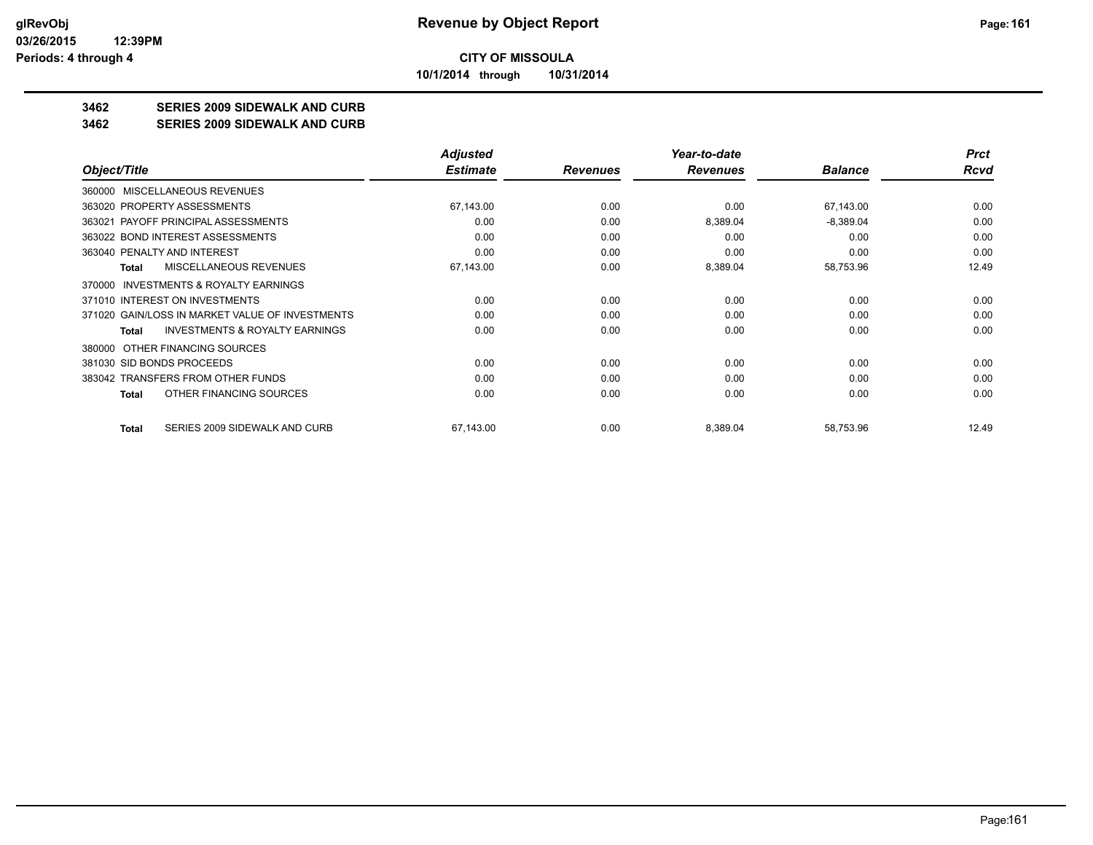**10/1/2014 through 10/31/2014**

## **3462 SERIES 2009 SIDEWALK AND CURB**

#### **3462 SERIES 2009 SIDEWALK AND CURB**

|                                                    | Adjusted        |                 | Year-to-date    |                | <b>Prct</b> |
|----------------------------------------------------|-----------------|-----------------|-----------------|----------------|-------------|
| Object/Title                                       | <b>Estimate</b> | <b>Revenues</b> | <b>Revenues</b> | <b>Balance</b> | Rcvd        |
| <b>MISCELLANEOUS REVENUES</b><br>360000            |                 |                 |                 |                |             |
| 363020 PROPERTY ASSESSMENTS                        | 67,143.00       | 0.00            | 0.00            | 67,143.00      | 0.00        |
| 363021 PAYOFF PRINCIPAL ASSESSMENTS                | 0.00            | 0.00            | 8,389.04        | $-8,389.04$    | 0.00        |
| 363022 BOND INTEREST ASSESSMENTS                   | 0.00            | 0.00            | 0.00            | 0.00           | 0.00        |
| 363040 PENALTY AND INTEREST                        | 0.00            | 0.00            | 0.00            | 0.00           | 0.00        |
| MISCELLANEOUS REVENUES<br>Total                    | 67,143.00       | 0.00            | 8,389.04        | 58,753.96      | 12.49       |
| INVESTMENTS & ROYALTY EARNINGS<br>370000           |                 |                 |                 |                |             |
| 371010 INTEREST ON INVESTMENTS                     | 0.00            | 0.00            | 0.00            | 0.00           | 0.00        |
| 371020 GAIN/LOSS IN MARKET VALUE OF INVESTMENTS    | 0.00            | 0.00            | 0.00            | 0.00           | 0.00        |
| <b>INVESTMENTS &amp; ROYALTY EARNINGS</b><br>Total | 0.00            | 0.00            | 0.00            | 0.00           | 0.00        |
| 380000 OTHER FINANCING SOURCES                     |                 |                 |                 |                |             |
| 381030 SID BONDS PROCEEDS                          | 0.00            | 0.00            | 0.00            | 0.00           | 0.00        |
| 383042 TRANSFERS FROM OTHER FUNDS                  | 0.00            | 0.00            | 0.00            | 0.00           | 0.00        |
| OTHER FINANCING SOURCES<br>Total                   | 0.00            | 0.00            | 0.00            | 0.00           | 0.00        |
| SERIES 2009 SIDEWALK AND CURB<br>Total             | 67,143.00       | 0.00            | 8,389.04        | 58,753.96      | 12.49       |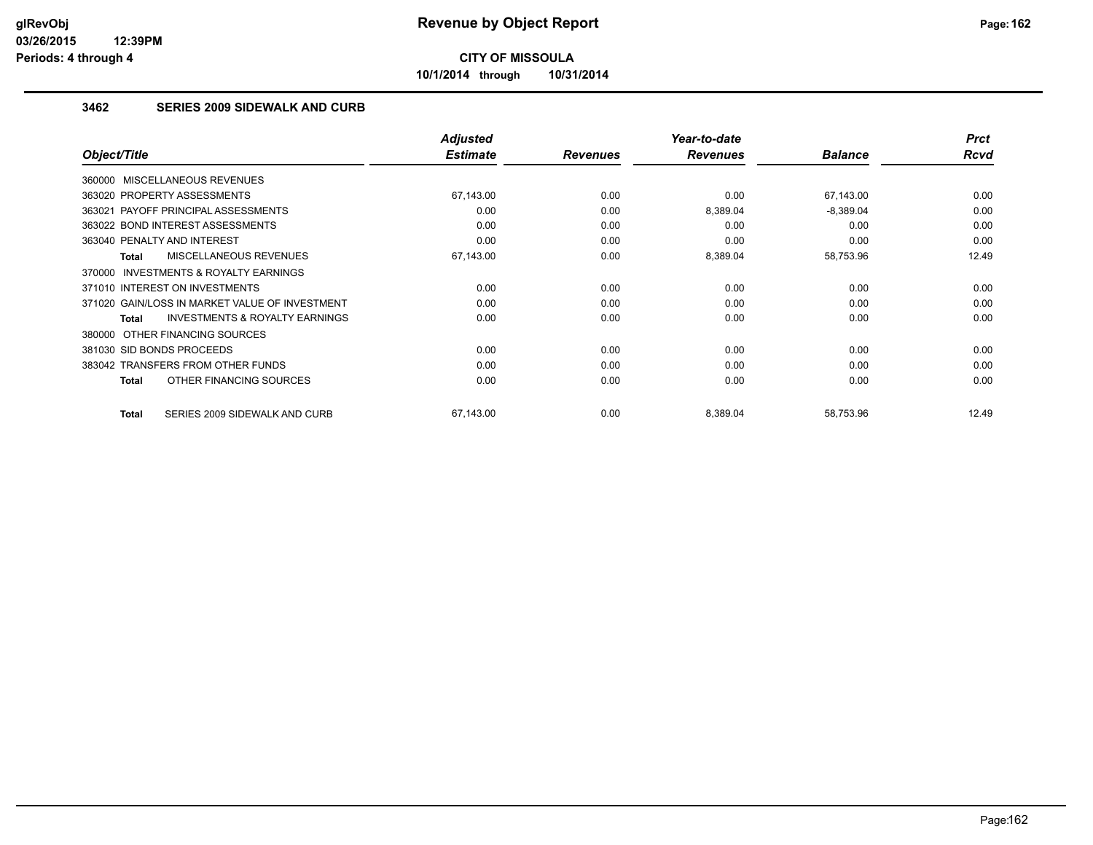**10/1/2014 through 10/31/2014**

#### **3462 SERIES 2009 SIDEWALK AND CURB**

|                                                     | <b>Adjusted</b> |                 | Year-to-date    |                | <b>Prct</b> |
|-----------------------------------------------------|-----------------|-----------------|-----------------|----------------|-------------|
| Object/Title                                        | <b>Estimate</b> | <b>Revenues</b> | <b>Revenues</b> | <b>Balance</b> | Rcvd        |
| 360000 MISCELLANEOUS REVENUES                       |                 |                 |                 |                |             |
| 363020 PROPERTY ASSESSMENTS                         | 67,143.00       | 0.00            | 0.00            | 67,143.00      | 0.00        |
| 363021 PAYOFF PRINCIPAL ASSESSMENTS                 | 0.00            | 0.00            | 8,389.04        | $-8,389.04$    | 0.00        |
| 363022 BOND INTEREST ASSESSMENTS                    | 0.00            | 0.00            | 0.00            | 0.00           | 0.00        |
| 363040 PENALTY AND INTEREST                         | 0.00            | 0.00            | 0.00            | 0.00           | 0.00        |
| <b>MISCELLANEOUS REVENUES</b><br>Total              | 67,143.00       | 0.00            | 8,389.04        | 58,753.96      | 12.49       |
| <b>INVESTMENTS &amp; ROYALTY EARNINGS</b><br>370000 |                 |                 |                 |                |             |
| 371010 INTEREST ON INVESTMENTS                      | 0.00            | 0.00            | 0.00            | 0.00           | 0.00        |
| 371020 GAIN/LOSS IN MARKET VALUE OF INVESTMENT      | 0.00            | 0.00            | 0.00            | 0.00           | 0.00        |
| <b>INVESTMENTS &amp; ROYALTY EARNINGS</b><br>Total  | 0.00            | 0.00            | 0.00            | 0.00           | 0.00        |
| OTHER FINANCING SOURCES<br>380000                   |                 |                 |                 |                |             |
| 381030 SID BONDS PROCEEDS                           | 0.00            | 0.00            | 0.00            | 0.00           | 0.00        |
| 383042 TRANSFERS FROM OTHER FUNDS                   | 0.00            | 0.00            | 0.00            | 0.00           | 0.00        |
| OTHER FINANCING SOURCES<br>Total                    | 0.00            | 0.00            | 0.00            | 0.00           | 0.00        |
|                                                     |                 |                 |                 |                |             |
| SERIES 2009 SIDEWALK AND CURB<br>Total              | 67,143.00       | 0.00            | 8,389.04        | 58,753.96      | 12.49       |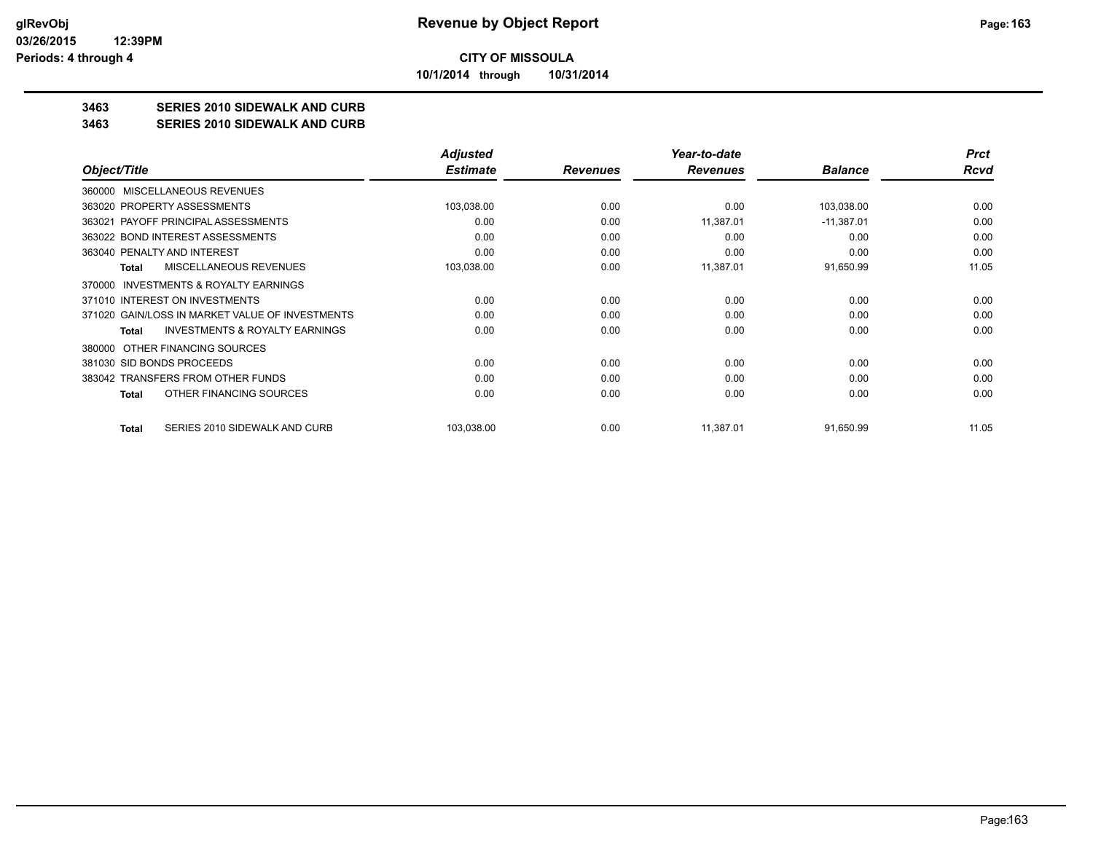**10/1/2014 through 10/31/2014**

### **3463 SERIES 2010 SIDEWALK AND CURB**

#### **3463 SERIES 2010 SIDEWALK AND CURB**

|                                                    | Adjusted        |                 | Year-to-date    |                | <b>Prct</b> |
|----------------------------------------------------|-----------------|-----------------|-----------------|----------------|-------------|
| Object/Title                                       | <b>Estimate</b> | <b>Revenues</b> | <b>Revenues</b> | <b>Balance</b> | Rcvd        |
| 360000 MISCELLANEOUS REVENUES                      |                 |                 |                 |                |             |
| 363020 PROPERTY ASSESSMENTS                        | 103,038.00      | 0.00            | 0.00            | 103,038.00     | 0.00        |
| PAYOFF PRINCIPAL ASSESSMENTS<br>363021             | 0.00            | 0.00            | 11,387.01       | $-11,387.01$   | 0.00        |
| 363022 BOND INTEREST ASSESSMENTS                   | 0.00            | 0.00            | 0.00            | 0.00           | 0.00        |
| 363040 PENALTY AND INTEREST                        | 0.00            | 0.00            | 0.00            | 0.00           | 0.00        |
| <b>MISCELLANEOUS REVENUES</b><br>Total             | 103,038.00      | 0.00            | 11,387.01       | 91,650.99      | 11.05       |
| INVESTMENTS & ROYALTY EARNINGS<br>370000           |                 |                 |                 |                |             |
| 371010 INTEREST ON INVESTMENTS                     | 0.00            | 0.00            | 0.00            | 0.00           | 0.00        |
| 371020 GAIN/LOSS IN MARKET VALUE OF INVESTMENTS    | 0.00            | 0.00            | 0.00            | 0.00           | 0.00        |
| <b>INVESTMENTS &amp; ROYALTY EARNINGS</b><br>Total | 0.00            | 0.00            | 0.00            | 0.00           | 0.00        |
| 380000 OTHER FINANCING SOURCES                     |                 |                 |                 |                |             |
| 381030 SID BONDS PROCEEDS                          | 0.00            | 0.00            | 0.00            | 0.00           | 0.00        |
| 383042 TRANSFERS FROM OTHER FUNDS                  | 0.00            | 0.00            | 0.00            | 0.00           | 0.00        |
| OTHER FINANCING SOURCES<br>Total                   | 0.00            | 0.00            | 0.00            | 0.00           | 0.00        |
| SERIES 2010 SIDEWALK AND CURB<br>Total             | 103,038.00      | 0.00            | 11,387.01       | 91,650.99      | 11.05       |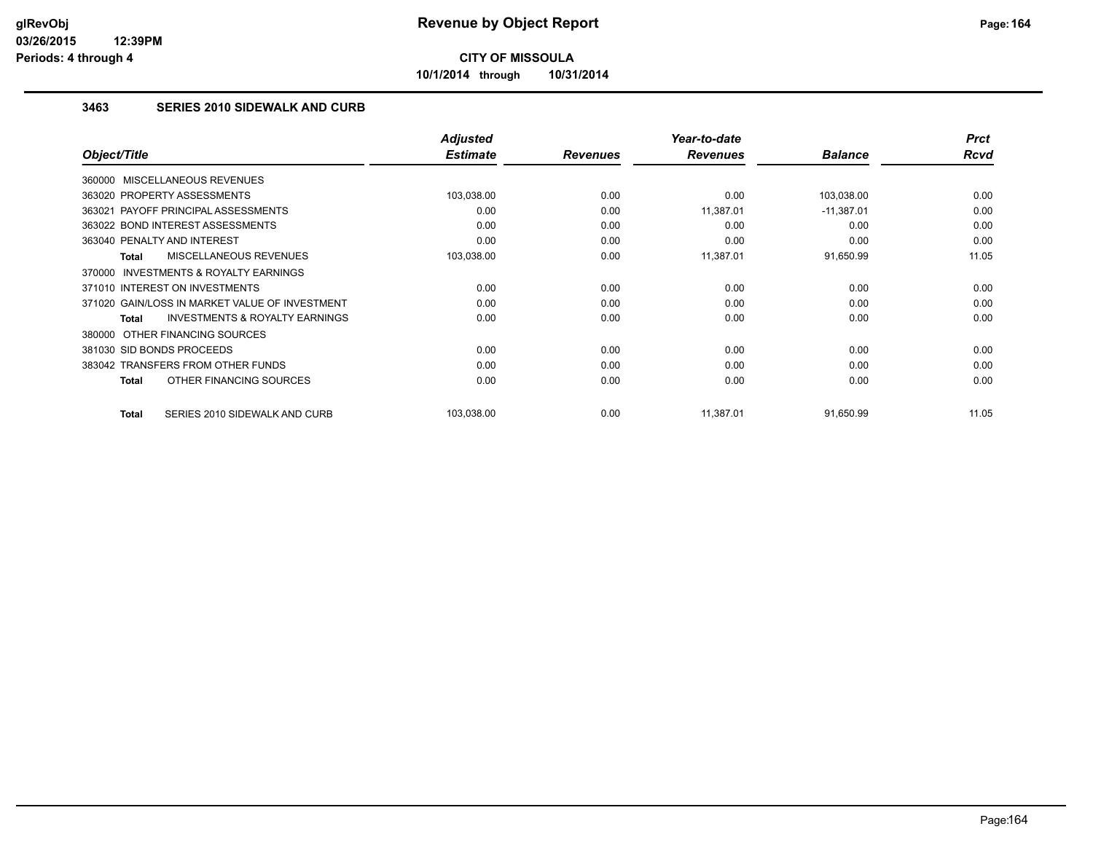**10/1/2014 through 10/31/2014**

#### **3463 SERIES 2010 SIDEWALK AND CURB**

|                                                           | <b>Adjusted</b> |                 | Year-to-date    |                | <b>Prct</b> |
|-----------------------------------------------------------|-----------------|-----------------|-----------------|----------------|-------------|
| Object/Title                                              | <b>Estimate</b> | <b>Revenues</b> | <b>Revenues</b> | <b>Balance</b> | Rcvd        |
| 360000 MISCELLANEOUS REVENUES                             |                 |                 |                 |                |             |
| 363020 PROPERTY ASSESSMENTS                               | 103,038.00      | 0.00            | 0.00            | 103,038.00     | 0.00        |
| 363021 PAYOFF PRINCIPAL ASSESSMENTS                       | 0.00            | 0.00            | 11,387.01       | $-11,387.01$   | 0.00        |
| 363022 BOND INTEREST ASSESSMENTS                          | 0.00            | 0.00            | 0.00            | 0.00           | 0.00        |
| 363040 PENALTY AND INTEREST                               | 0.00            | 0.00            | 0.00            | 0.00           | 0.00        |
| MISCELLANEOUS REVENUES<br><b>Total</b>                    | 103,038.00      | 0.00            | 11,387.01       | 91,650.99      | 11.05       |
| 370000 INVESTMENTS & ROYALTY EARNINGS                     |                 |                 |                 |                |             |
| 371010 INTEREST ON INVESTMENTS                            | 0.00            | 0.00            | 0.00            | 0.00           | 0.00        |
| 371020 GAIN/LOSS IN MARKET VALUE OF INVESTMENT            | 0.00            | 0.00            | 0.00            | 0.00           | 0.00        |
| <b>INVESTMENTS &amp; ROYALTY EARNINGS</b><br><b>Total</b> | 0.00            | 0.00            | 0.00            | 0.00           | 0.00        |
| 380000 OTHER FINANCING SOURCES                            |                 |                 |                 |                |             |
| 381030 SID BONDS PROCEEDS                                 | 0.00            | 0.00            | 0.00            | 0.00           | 0.00        |
| 383042 TRANSFERS FROM OTHER FUNDS                         | 0.00            | 0.00            | 0.00            | 0.00           | 0.00        |
| OTHER FINANCING SOURCES<br>Total                          | 0.00            | 0.00            | 0.00            | 0.00           | 0.00        |
| <b>Total</b><br>SERIES 2010 SIDEWALK AND CURB             | 103,038.00      | 0.00            | 11,387.01       | 91,650.99      | 11.05       |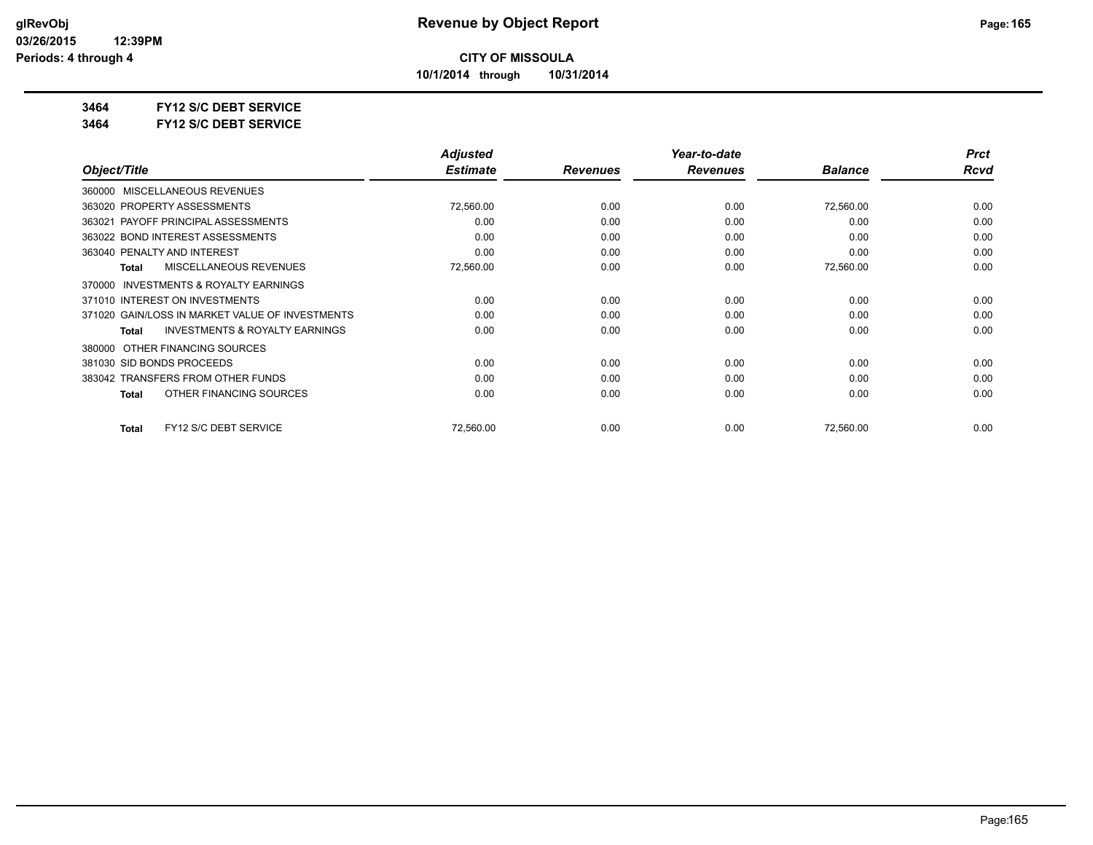**10/1/2014 through 10/31/2014**

#### **3464 FY12 S/C DEBT SERVICE**

**3464 FY12 S/C DEBT SERVICE**

|                                                    | <b>Adjusted</b> |                 | Year-to-date    |                | <b>Prct</b> |
|----------------------------------------------------|-----------------|-----------------|-----------------|----------------|-------------|
| Object/Title                                       | <b>Estimate</b> | <b>Revenues</b> | <b>Revenues</b> | <b>Balance</b> | Rcvd        |
| 360000 MISCELLANEOUS REVENUES                      |                 |                 |                 |                |             |
| 363020 PROPERTY ASSESSMENTS                        | 72,560.00       | 0.00            | 0.00            | 72,560.00      | 0.00        |
| 363021 PAYOFF PRINCIPAL ASSESSMENTS                | 0.00            | 0.00            | 0.00            | 0.00           | 0.00        |
| 363022 BOND INTEREST ASSESSMENTS                   | 0.00            | 0.00            | 0.00            | 0.00           | 0.00        |
| 363040 PENALTY AND INTEREST                        | 0.00            | 0.00            | 0.00            | 0.00           | 0.00        |
| <b>MISCELLANEOUS REVENUES</b><br><b>Total</b>      | 72,560.00       | 0.00            | 0.00            | 72,560.00      | 0.00        |
| INVESTMENTS & ROYALTY EARNINGS<br>370000           |                 |                 |                 |                |             |
| 371010 INTEREST ON INVESTMENTS                     | 0.00            | 0.00            | 0.00            | 0.00           | 0.00        |
| 371020 GAIN/LOSS IN MARKET VALUE OF INVESTMENTS    | 0.00            | 0.00            | 0.00            | 0.00           | 0.00        |
| <b>INVESTMENTS &amp; ROYALTY EARNINGS</b><br>Total | 0.00            | 0.00            | 0.00            | 0.00           | 0.00        |
| OTHER FINANCING SOURCES<br>380000                  |                 |                 |                 |                |             |
| 381030 SID BONDS PROCEEDS                          | 0.00            | 0.00            | 0.00            | 0.00           | 0.00        |
| 383042 TRANSFERS FROM OTHER FUNDS                  | 0.00            | 0.00            | 0.00            | 0.00           | 0.00        |
| OTHER FINANCING SOURCES<br>Total                   | 0.00            | 0.00            | 0.00            | 0.00           | 0.00        |
| FY12 S/C DEBT SERVICE<br><b>Total</b>              | 72,560.00       | 0.00            | 0.00            | 72,560.00      | 0.00        |
|                                                    |                 |                 |                 |                |             |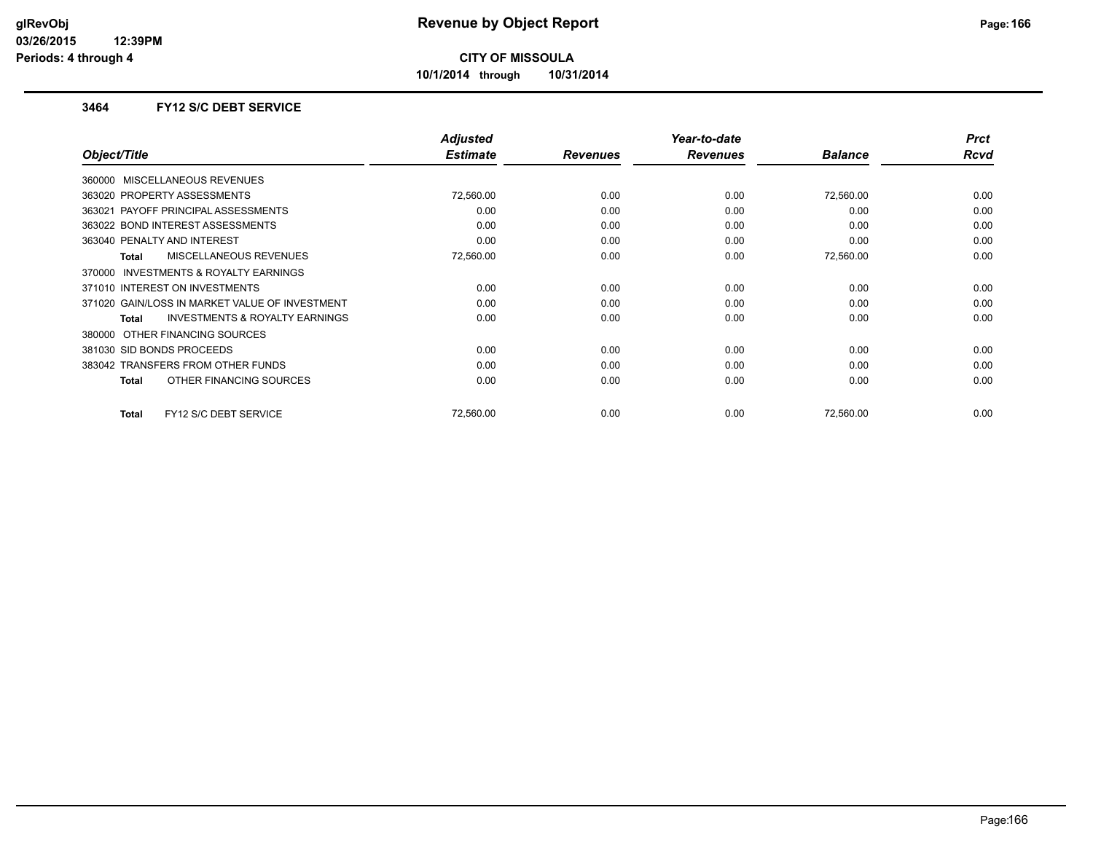**10/1/2014 through 10/31/2014**

#### **3464 FY12 S/C DEBT SERVICE**

|                                                     | <b>Adjusted</b> |                 | Year-to-date    |                | <b>Prct</b> |
|-----------------------------------------------------|-----------------|-----------------|-----------------|----------------|-------------|
| Object/Title                                        | <b>Estimate</b> | <b>Revenues</b> | <b>Revenues</b> | <b>Balance</b> | Rcvd        |
| 360000 MISCELLANEOUS REVENUES                       |                 |                 |                 |                |             |
| 363020 PROPERTY ASSESSMENTS                         | 72,560.00       | 0.00            | 0.00            | 72,560.00      | 0.00        |
| 363021 PAYOFF PRINCIPAL ASSESSMENTS                 | 0.00            | 0.00            | 0.00            | 0.00           | 0.00        |
| 363022 BOND INTEREST ASSESSMENTS                    | 0.00            | 0.00            | 0.00            | 0.00           | 0.00        |
| 363040 PENALTY AND INTEREST                         | 0.00            | 0.00            | 0.00            | 0.00           | 0.00        |
| <b>MISCELLANEOUS REVENUES</b><br>Total              | 72,560.00       | 0.00            | 0.00            | 72,560.00      | 0.00        |
| <b>INVESTMENTS &amp; ROYALTY EARNINGS</b><br>370000 |                 |                 |                 |                |             |
| 371010 INTEREST ON INVESTMENTS                      | 0.00            | 0.00            | 0.00            | 0.00           | 0.00        |
| 371020 GAIN/LOSS IN MARKET VALUE OF INVESTMENT      | 0.00            | 0.00            | 0.00            | 0.00           | 0.00        |
| <b>INVESTMENTS &amp; ROYALTY EARNINGS</b><br>Total  | 0.00            | 0.00            | 0.00            | 0.00           | 0.00        |
| 380000 OTHER FINANCING SOURCES                      |                 |                 |                 |                |             |
| 381030 SID BONDS PROCEEDS                           | 0.00            | 0.00            | 0.00            | 0.00           | 0.00        |
| 383042 TRANSFERS FROM OTHER FUNDS                   | 0.00            | 0.00            | 0.00            | 0.00           | 0.00        |
| OTHER FINANCING SOURCES<br>Total                    | 0.00            | 0.00            | 0.00            | 0.00           | 0.00        |
|                                                     |                 |                 |                 |                |             |
| FY12 S/C DEBT SERVICE<br>Total                      | 72.560.00       | 0.00            | 0.00            | 72,560.00      | 0.00        |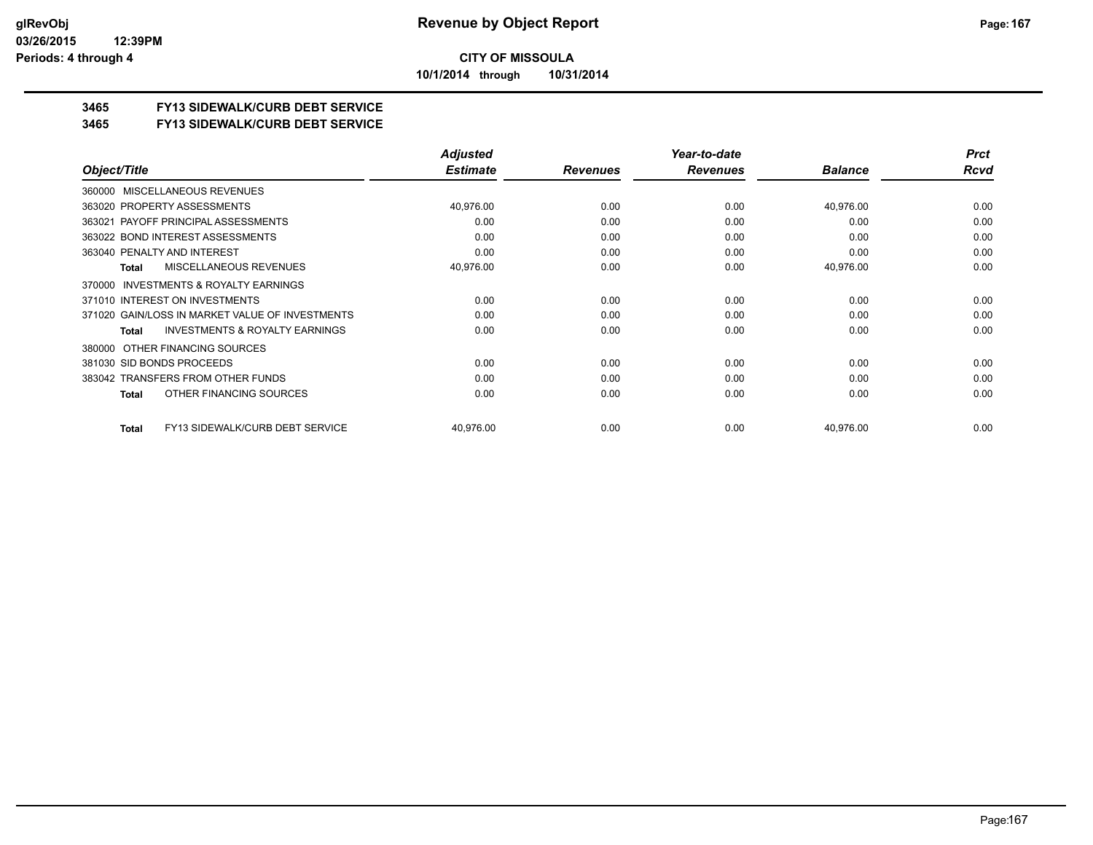**10/1/2014 through 10/31/2014**

### **3465 FY13 SIDEWALK/CURB DEBT SERVICE**

#### **3465 FY13 SIDEWALK/CURB DEBT SERVICE**

|                                                           | <b>Adjusted</b> |                 | Year-to-date    |                | <b>Prct</b> |
|-----------------------------------------------------------|-----------------|-----------------|-----------------|----------------|-------------|
| Object/Title                                              | <b>Estimate</b> | <b>Revenues</b> | <b>Revenues</b> | <b>Balance</b> | Rcvd        |
| MISCELLANEOUS REVENUES<br>360000                          |                 |                 |                 |                |             |
| 363020 PROPERTY ASSESSMENTS                               | 40,976.00       | 0.00            | 0.00            | 40,976.00      | 0.00        |
| 363021 PAYOFF PRINCIPAL ASSESSMENTS                       | 0.00            | 0.00            | 0.00            | 0.00           | 0.00        |
| 363022 BOND INTEREST ASSESSMENTS                          | 0.00            | 0.00            | 0.00            | 0.00           | 0.00        |
| 363040 PENALTY AND INTEREST                               | 0.00            | 0.00            | 0.00            | 0.00           | 0.00        |
| MISCELLANEOUS REVENUES<br>Total                           | 40,976.00       | 0.00            | 0.00            | 40,976.00      | 0.00        |
| INVESTMENTS & ROYALTY EARNINGS<br>370000                  |                 |                 |                 |                |             |
| 371010 INTEREST ON INVESTMENTS                            | 0.00            | 0.00            | 0.00            | 0.00           | 0.00        |
| 371020 GAIN/LOSS IN MARKET VALUE OF INVESTMENTS           | 0.00            | 0.00            | 0.00            | 0.00           | 0.00        |
| <b>INVESTMENTS &amp; ROYALTY EARNINGS</b><br><b>Total</b> | 0.00            | 0.00            | 0.00            | 0.00           | 0.00        |
| OTHER FINANCING SOURCES<br>380000                         |                 |                 |                 |                |             |
| 381030 SID BONDS PROCEEDS                                 | 0.00            | 0.00            | 0.00            | 0.00           | 0.00        |
| 383042 TRANSFERS FROM OTHER FUNDS                         | 0.00            | 0.00            | 0.00            | 0.00           | 0.00        |
| OTHER FINANCING SOURCES<br>Total                          | 0.00            | 0.00            | 0.00            | 0.00           | 0.00        |
| FY13 SIDEWALK/CURB DEBT SERVICE<br>Total                  | 40,976.00       | 0.00            | 0.00            | 40,976.00      | 0.00        |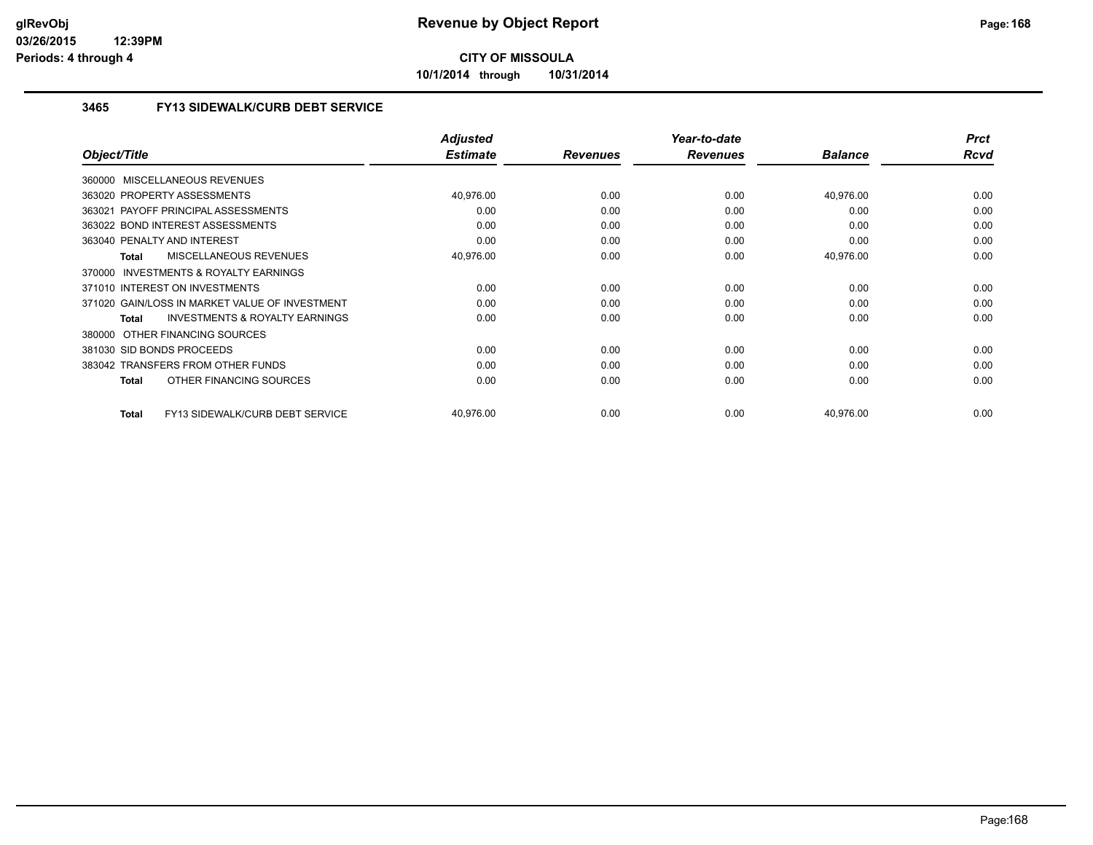**10/1/2014 through 10/31/2014**

#### **3465 FY13 SIDEWALK/CURB DEBT SERVICE**

|                                                           | <b>Adjusted</b> |                 | Year-to-date    |                | <b>Prct</b> |
|-----------------------------------------------------------|-----------------|-----------------|-----------------|----------------|-------------|
| Object/Title                                              | <b>Estimate</b> | <b>Revenues</b> | <b>Revenues</b> | <b>Balance</b> | Rcvd        |
| 360000 MISCELLANEOUS REVENUES                             |                 |                 |                 |                |             |
| 363020 PROPERTY ASSESSMENTS                               | 40,976.00       | 0.00            | 0.00            | 40,976.00      | 0.00        |
| 363021 PAYOFF PRINCIPAL ASSESSMENTS                       | 0.00            | 0.00            | 0.00            | 0.00           | 0.00        |
| 363022 BOND INTEREST ASSESSMENTS                          | 0.00            | 0.00            | 0.00            | 0.00           | 0.00        |
| 363040 PENALTY AND INTEREST                               | 0.00            | 0.00            | 0.00            | 0.00           | 0.00        |
| MISCELLANEOUS REVENUES<br>Total                           | 40,976.00       | 0.00            | 0.00            | 40,976.00      | 0.00        |
| 370000 INVESTMENTS & ROYALTY EARNINGS                     |                 |                 |                 |                |             |
| 371010 INTEREST ON INVESTMENTS                            | 0.00            | 0.00            | 0.00            | 0.00           | 0.00        |
| 371020 GAIN/LOSS IN MARKET VALUE OF INVESTMENT            | 0.00            | 0.00            | 0.00            | 0.00           | 0.00        |
| <b>INVESTMENTS &amp; ROYALTY EARNINGS</b><br><b>Total</b> | 0.00            | 0.00            | 0.00            | 0.00           | 0.00        |
| 380000 OTHER FINANCING SOURCES                            |                 |                 |                 |                |             |
| 381030 SID BONDS PROCEEDS                                 | 0.00            | 0.00            | 0.00            | 0.00           | 0.00        |
| 383042 TRANSFERS FROM OTHER FUNDS                         | 0.00            | 0.00            | 0.00            | 0.00           | 0.00        |
| OTHER FINANCING SOURCES<br>Total                          | 0.00            | 0.00            | 0.00            | 0.00           | 0.00        |
|                                                           |                 |                 |                 |                |             |
| FY13 SIDEWALK/CURB DEBT SERVICE<br><b>Total</b>           | 40,976.00       | 0.00            | 0.00            | 40,976.00      | 0.00        |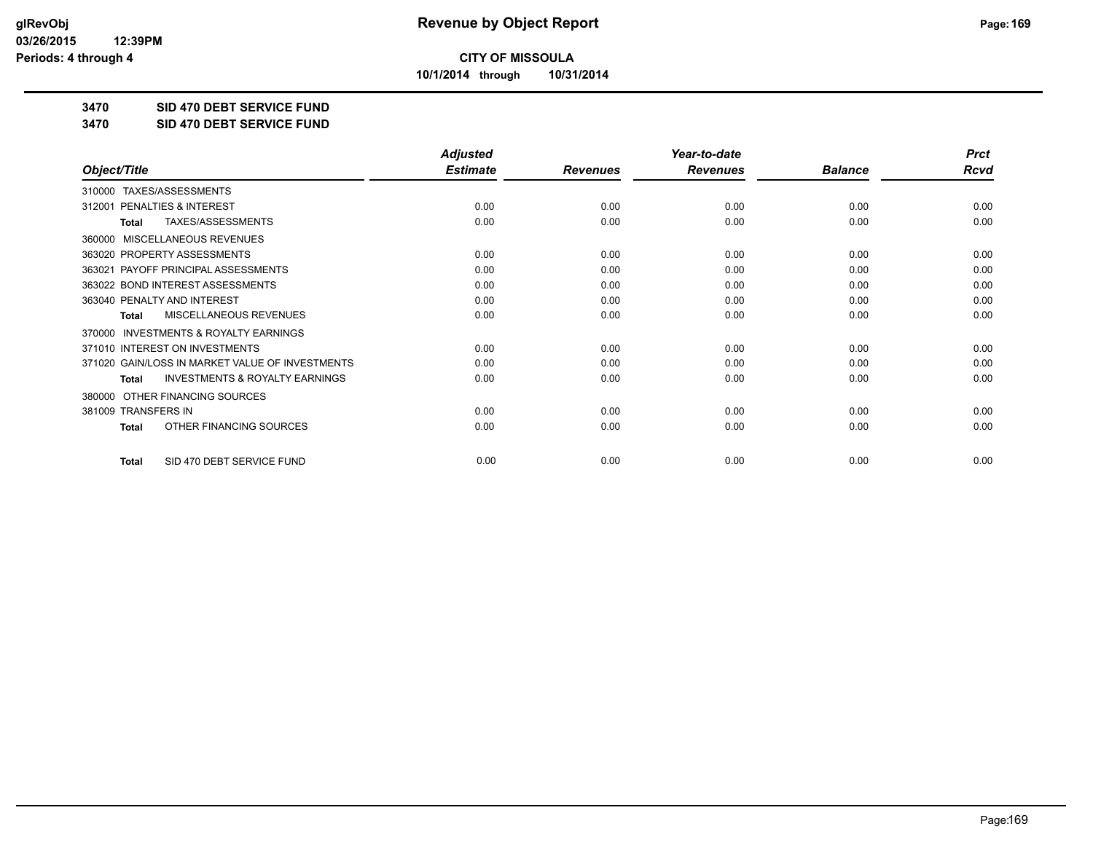**10/1/2014 through 10/31/2014**

#### **3470 SID 470 DEBT SERVICE FUND**

**3470 SID 470 DEBT SERVICE FUND**

|                                                           | <b>Adjusted</b> |                 | Year-to-date    |                | <b>Prct</b> |
|-----------------------------------------------------------|-----------------|-----------------|-----------------|----------------|-------------|
| Object/Title                                              | <b>Estimate</b> | <b>Revenues</b> | <b>Revenues</b> | <b>Balance</b> | Rcvd        |
| TAXES/ASSESSMENTS<br>310000                               |                 |                 |                 |                |             |
| PENALTIES & INTEREST<br>312001                            | 0.00            | 0.00            | 0.00            | 0.00           | 0.00        |
| TAXES/ASSESSMENTS<br><b>Total</b>                         | 0.00            | 0.00            | 0.00            | 0.00           | 0.00        |
| MISCELLANEOUS REVENUES<br>360000                          |                 |                 |                 |                |             |
| 363020 PROPERTY ASSESSMENTS                               | 0.00            | 0.00            | 0.00            | 0.00           | 0.00        |
| PAYOFF PRINCIPAL ASSESSMENTS<br>363021                    | 0.00            | 0.00            | 0.00            | 0.00           | 0.00        |
| 363022 BOND INTEREST ASSESSMENTS                          | 0.00            | 0.00            | 0.00            | 0.00           | 0.00        |
| 363040 PENALTY AND INTEREST                               | 0.00            | 0.00            | 0.00            | 0.00           | 0.00        |
| MISCELLANEOUS REVENUES<br><b>Total</b>                    | 0.00            | 0.00            | 0.00            | 0.00           | 0.00        |
| 370000 INVESTMENTS & ROYALTY EARNINGS                     |                 |                 |                 |                |             |
| 371010 INTEREST ON INVESTMENTS                            | 0.00            | 0.00            | 0.00            | 0.00           | 0.00        |
| 371020 GAIN/LOSS IN MARKET VALUE OF INVESTMENTS           | 0.00            | 0.00            | 0.00            | 0.00           | 0.00        |
| <b>INVESTMENTS &amp; ROYALTY EARNINGS</b><br><b>Total</b> | 0.00            | 0.00            | 0.00            | 0.00           | 0.00        |
| OTHER FINANCING SOURCES<br>380000                         |                 |                 |                 |                |             |
| 381009 TRANSFERS IN                                       | 0.00            | 0.00            | 0.00            | 0.00           | 0.00        |
| OTHER FINANCING SOURCES<br><b>Total</b>                   | 0.00            | 0.00            | 0.00            | 0.00           | 0.00        |
| SID 470 DEBT SERVICE FUND<br><b>Total</b>                 | 0.00            | 0.00            | 0.00            | 0.00           | 0.00        |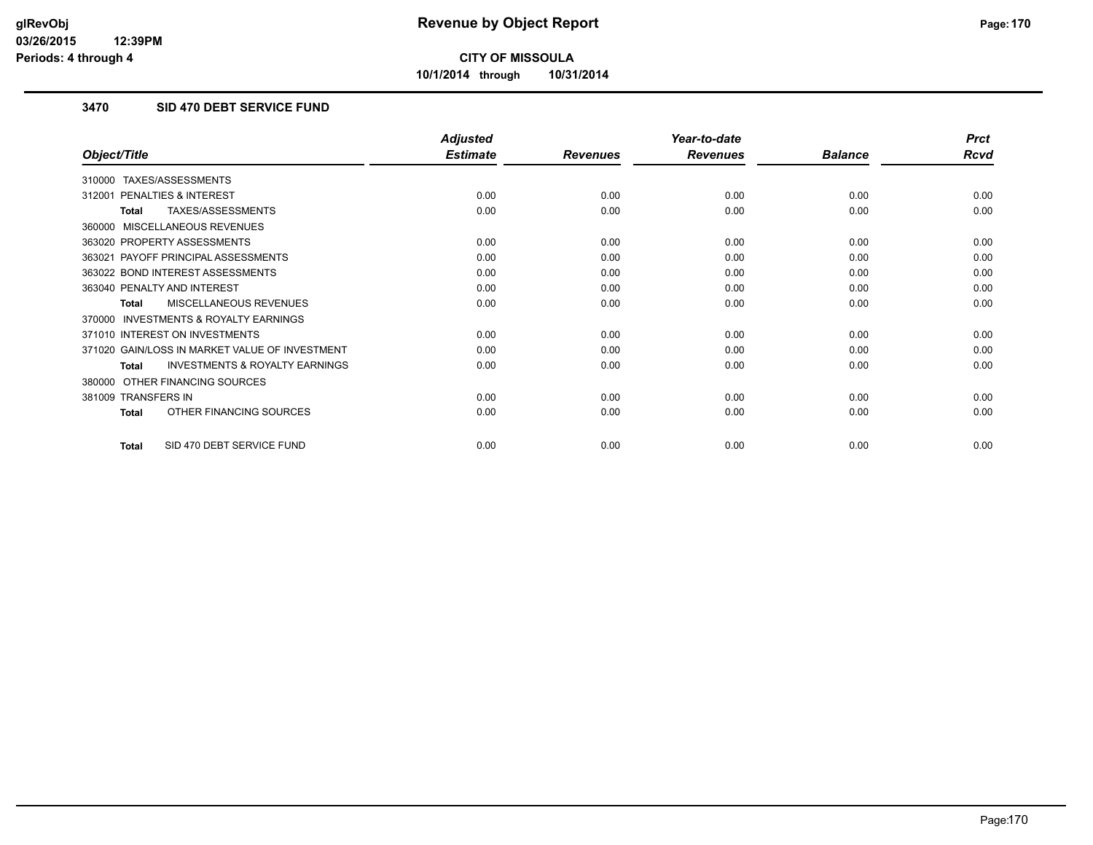**10/1/2014 through 10/31/2014**

### **3470 SID 470 DEBT SERVICE FUND**

|                                                           | <b>Adjusted</b> |                 | Year-to-date    |                | <b>Prct</b> |
|-----------------------------------------------------------|-----------------|-----------------|-----------------|----------------|-------------|
| Object/Title                                              | <b>Estimate</b> | <b>Revenues</b> | <b>Revenues</b> | <b>Balance</b> | <b>Rcvd</b> |
| TAXES/ASSESSMENTS<br>310000                               |                 |                 |                 |                |             |
| <b>PENALTIES &amp; INTEREST</b><br>312001                 | 0.00            | 0.00            | 0.00            | 0.00           | 0.00        |
| TAXES/ASSESSMENTS<br><b>Total</b>                         | 0.00            | 0.00            | 0.00            | 0.00           | 0.00        |
| MISCELLANEOUS REVENUES<br>360000                          |                 |                 |                 |                |             |
| 363020 PROPERTY ASSESSMENTS                               | 0.00            | 0.00            | 0.00            | 0.00           | 0.00        |
| 363021 PAYOFF PRINCIPAL ASSESSMENTS                       | 0.00            | 0.00            | 0.00            | 0.00           | 0.00        |
| 363022 BOND INTEREST ASSESSMENTS                          | 0.00            | 0.00            | 0.00            | 0.00           | 0.00        |
| 363040 PENALTY AND INTEREST                               | 0.00            | 0.00            | 0.00            | 0.00           | 0.00        |
| <b>MISCELLANEOUS REVENUES</b><br><b>Total</b>             | 0.00            | 0.00            | 0.00            | 0.00           | 0.00        |
| <b>INVESTMENTS &amp; ROYALTY EARNINGS</b><br>370000       |                 |                 |                 |                |             |
| 371010 INTEREST ON INVESTMENTS                            | 0.00            | 0.00            | 0.00            | 0.00           | 0.00        |
| 371020 GAIN/LOSS IN MARKET VALUE OF INVESTMENT            | 0.00            | 0.00            | 0.00            | 0.00           | 0.00        |
| <b>INVESTMENTS &amp; ROYALTY EARNINGS</b><br><b>Total</b> | 0.00            | 0.00            | 0.00            | 0.00           | 0.00        |
| OTHER FINANCING SOURCES<br>380000                         |                 |                 |                 |                |             |
| 381009 TRANSFERS IN                                       | 0.00            | 0.00            | 0.00            | 0.00           | 0.00        |
| OTHER FINANCING SOURCES<br><b>Total</b>                   | 0.00            | 0.00            | 0.00            | 0.00           | 0.00        |
| SID 470 DEBT SERVICE FUND<br>Total                        | 0.00            | 0.00            | 0.00            | 0.00           | 0.00        |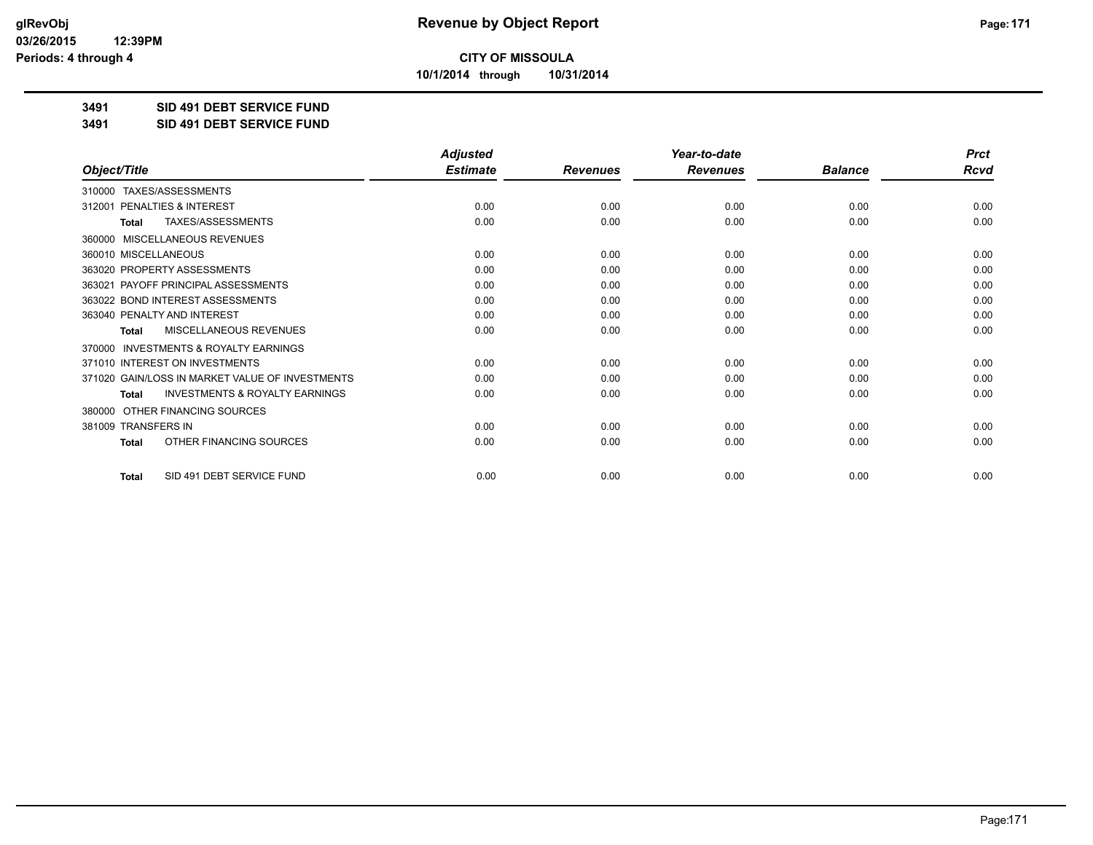**10/1/2014 through 10/31/2014**

### **3491 SID 491 DEBT SERVICE FUND**

**3491 SID 491 DEBT SERVICE FUND**

|                                                           | <b>Adjusted</b> |                 | Year-to-date    |                | <b>Prct</b> |
|-----------------------------------------------------------|-----------------|-----------------|-----------------|----------------|-------------|
| Object/Title                                              | <b>Estimate</b> | <b>Revenues</b> | <b>Revenues</b> | <b>Balance</b> | <b>Rcvd</b> |
| 310000 TAXES/ASSESSMENTS                                  |                 |                 |                 |                |             |
| PENALTIES & INTEREST<br>312001                            | 0.00            | 0.00            | 0.00            | 0.00           | 0.00        |
| <b>TAXES/ASSESSMENTS</b><br><b>Total</b>                  | 0.00            | 0.00            | 0.00            | 0.00           | 0.00        |
| MISCELLANEOUS REVENUES<br>360000                          |                 |                 |                 |                |             |
| 360010 MISCELLANEOUS                                      | 0.00            | 0.00            | 0.00            | 0.00           | 0.00        |
| 363020 PROPERTY ASSESSMENTS                               | 0.00            | 0.00            | 0.00            | 0.00           | 0.00        |
| 363021 PAYOFF PRINCIPAL ASSESSMENTS                       | 0.00            | 0.00            | 0.00            | 0.00           | 0.00        |
| 363022 BOND INTEREST ASSESSMENTS                          | 0.00            | 0.00            | 0.00            | 0.00           | 0.00        |
| 363040 PENALTY AND INTEREST                               | 0.00            | 0.00            | 0.00            | 0.00           | 0.00        |
| MISCELLANEOUS REVENUES<br>Total                           | 0.00            | 0.00            | 0.00            | 0.00           | 0.00        |
| INVESTMENTS & ROYALTY EARNINGS<br>370000                  |                 |                 |                 |                |             |
| 371010 INTEREST ON INVESTMENTS                            | 0.00            | 0.00            | 0.00            | 0.00           | 0.00        |
| 371020 GAIN/LOSS IN MARKET VALUE OF INVESTMENTS           | 0.00            | 0.00            | 0.00            | 0.00           | 0.00        |
| <b>INVESTMENTS &amp; ROYALTY EARNINGS</b><br><b>Total</b> | 0.00            | 0.00            | 0.00            | 0.00           | 0.00        |
| OTHER FINANCING SOURCES<br>380000                         |                 |                 |                 |                |             |
| 381009 TRANSFERS IN                                       | 0.00            | 0.00            | 0.00            | 0.00           | 0.00        |
| OTHER FINANCING SOURCES<br><b>Total</b>                   | 0.00            | 0.00            | 0.00            | 0.00           | 0.00        |
| SID 491 DEBT SERVICE FUND<br><b>Total</b>                 | 0.00            | 0.00            | 0.00            | 0.00           | 0.00        |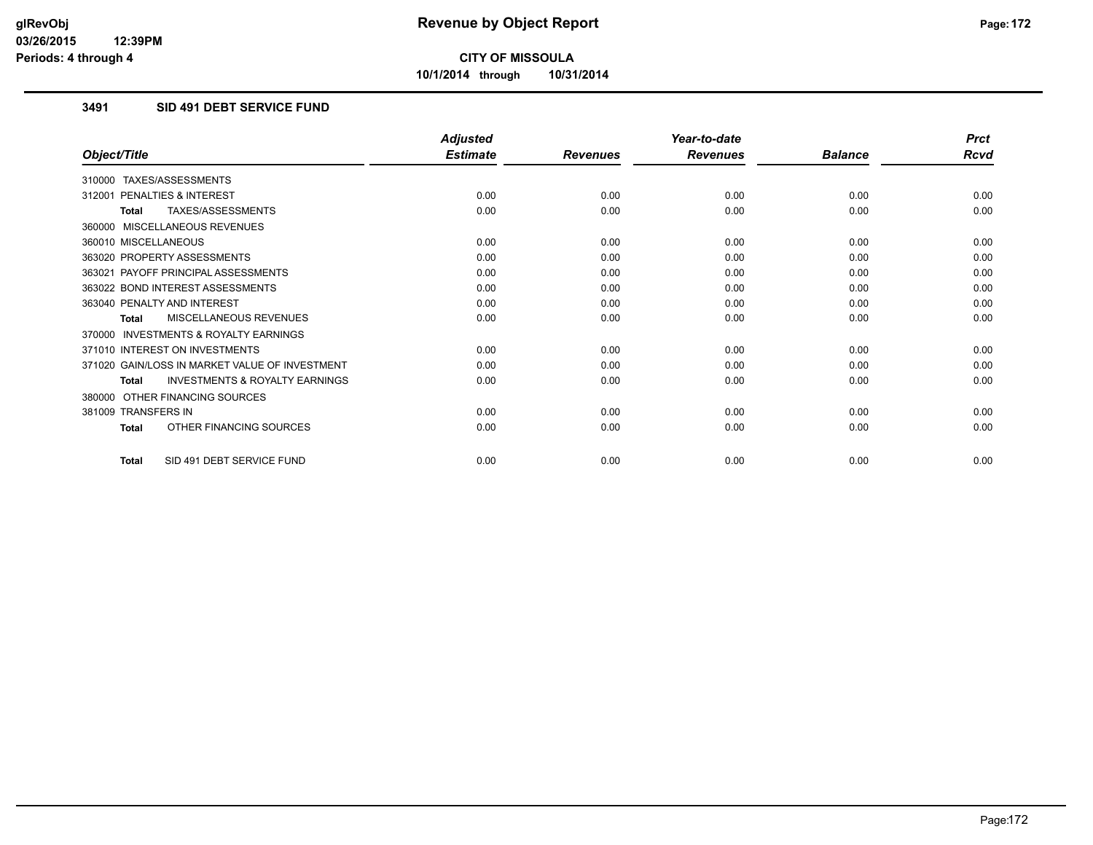**10/1/2014 through 10/31/2014**

### **3491 SID 491 DEBT SERVICE FUND**

|                                                           | <b>Adjusted</b> |                 | Year-to-date    |                | <b>Prct</b> |
|-----------------------------------------------------------|-----------------|-----------------|-----------------|----------------|-------------|
| Object/Title                                              | <b>Estimate</b> | <b>Revenues</b> | <b>Revenues</b> | <b>Balance</b> | <b>Rcvd</b> |
| 310000 TAXES/ASSESSMENTS                                  |                 |                 |                 |                |             |
| PENALTIES & INTEREST<br>312001                            | 0.00            | 0.00            | 0.00            | 0.00           | 0.00        |
| TAXES/ASSESSMENTS<br><b>Total</b>                         | 0.00            | 0.00            | 0.00            | 0.00           | 0.00        |
| 360000 MISCELLANEOUS REVENUES                             |                 |                 |                 |                |             |
| 360010 MISCELLANEOUS                                      | 0.00            | 0.00            | 0.00            | 0.00           | 0.00        |
| 363020 PROPERTY ASSESSMENTS                               | 0.00            | 0.00            | 0.00            | 0.00           | 0.00        |
| 363021 PAYOFF PRINCIPAL ASSESSMENTS                       | 0.00            | 0.00            | 0.00            | 0.00           | 0.00        |
| 363022 BOND INTEREST ASSESSMENTS                          | 0.00            | 0.00            | 0.00            | 0.00           | 0.00        |
| 363040 PENALTY AND INTEREST                               | 0.00            | 0.00            | 0.00            | 0.00           | 0.00        |
| MISCELLANEOUS REVENUES<br><b>Total</b>                    | 0.00            | 0.00            | 0.00            | 0.00           | 0.00        |
| <b>INVESTMENTS &amp; ROYALTY EARNINGS</b><br>370000       |                 |                 |                 |                |             |
| 371010 INTEREST ON INVESTMENTS                            | 0.00            | 0.00            | 0.00            | 0.00           | 0.00        |
| 371020 GAIN/LOSS IN MARKET VALUE OF INVESTMENT            | 0.00            | 0.00            | 0.00            | 0.00           | 0.00        |
| <b>INVESTMENTS &amp; ROYALTY EARNINGS</b><br><b>Total</b> | 0.00            | 0.00            | 0.00            | 0.00           | 0.00        |
| 380000 OTHER FINANCING SOURCES                            |                 |                 |                 |                |             |
| 381009 TRANSFERS IN                                       | 0.00            | 0.00            | 0.00            | 0.00           | 0.00        |
| OTHER FINANCING SOURCES<br><b>Total</b>                   | 0.00            | 0.00            | 0.00            | 0.00           | 0.00        |
| SID 491 DEBT SERVICE FUND<br><b>Total</b>                 | 0.00            | 0.00            | 0.00            | 0.00           | 0.00        |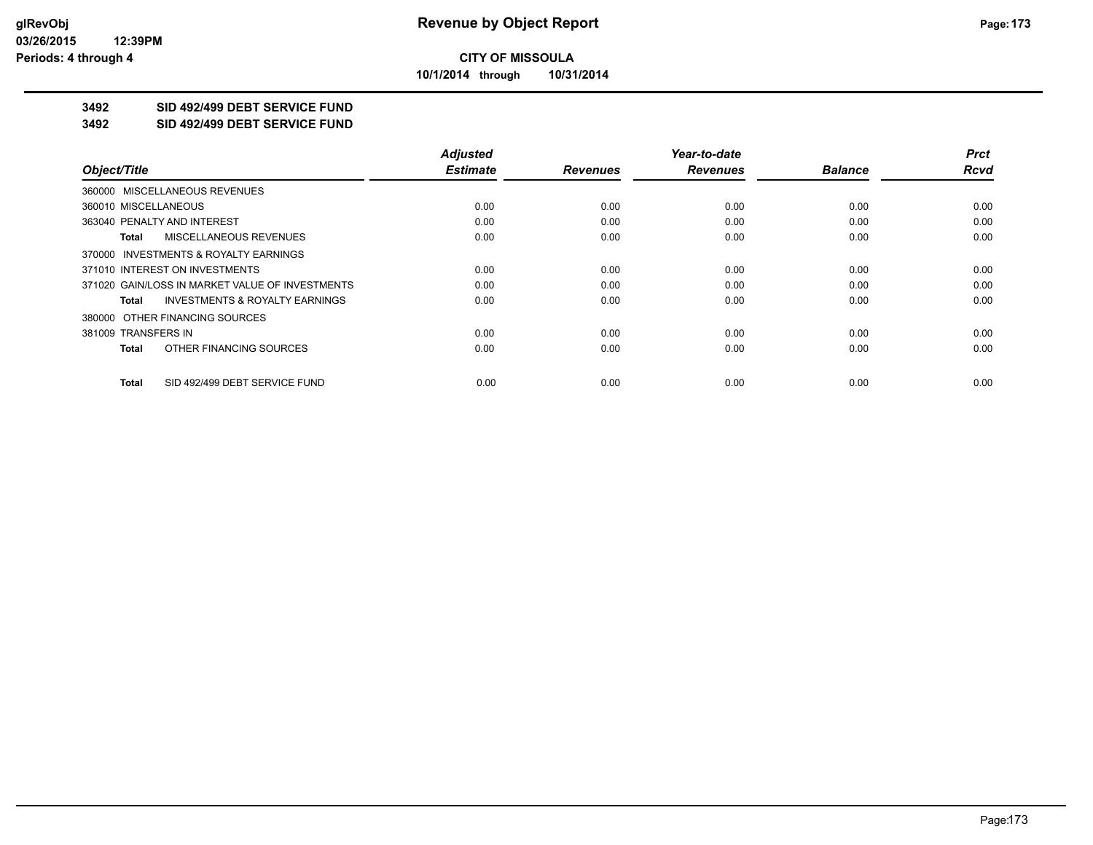**10/1/2014 through 10/31/2014**

## **3492 SID 492/499 DEBT SERVICE FUND**

**3492 SID 492/499 DEBT SERVICE FUND**

|                                                    | <b>Adjusted</b> |                 | Year-to-date    |                | <b>Prct</b> |
|----------------------------------------------------|-----------------|-----------------|-----------------|----------------|-------------|
| Object/Title                                       | <b>Estimate</b> | <b>Revenues</b> | <b>Revenues</b> | <b>Balance</b> | <b>Rcvd</b> |
| 360000 MISCELLANEOUS REVENUES                      |                 |                 |                 |                |             |
| 360010 MISCELLANEOUS                               | 0.00            | 0.00            | 0.00            | 0.00           | 0.00        |
| 363040 PENALTY AND INTEREST                        | 0.00            | 0.00            | 0.00            | 0.00           | 0.00        |
| <b>MISCELLANEOUS REVENUES</b><br>Total             | 0.00            | 0.00            | 0.00            | 0.00           | 0.00        |
| 370000 INVESTMENTS & ROYALTY EARNINGS              |                 |                 |                 |                |             |
| 371010 INTEREST ON INVESTMENTS                     | 0.00            | 0.00            | 0.00            | 0.00           | 0.00        |
| 371020 GAIN/LOSS IN MARKET VALUE OF INVESTMENTS    | 0.00            | 0.00            | 0.00            | 0.00           | 0.00        |
| <b>INVESTMENTS &amp; ROYALTY EARNINGS</b><br>Total | 0.00            | 0.00            | 0.00            | 0.00           | 0.00        |
| 380000 OTHER FINANCING SOURCES                     |                 |                 |                 |                |             |
| 381009 TRANSFERS IN                                | 0.00            | 0.00            | 0.00            | 0.00           | 0.00        |
| OTHER FINANCING SOURCES<br>Total                   | 0.00            | 0.00            | 0.00            | 0.00           | 0.00        |
| SID 492/499 DEBT SERVICE FUND<br>Total             | 0.00            | 0.00            | 0.00            | 0.00           | 0.00        |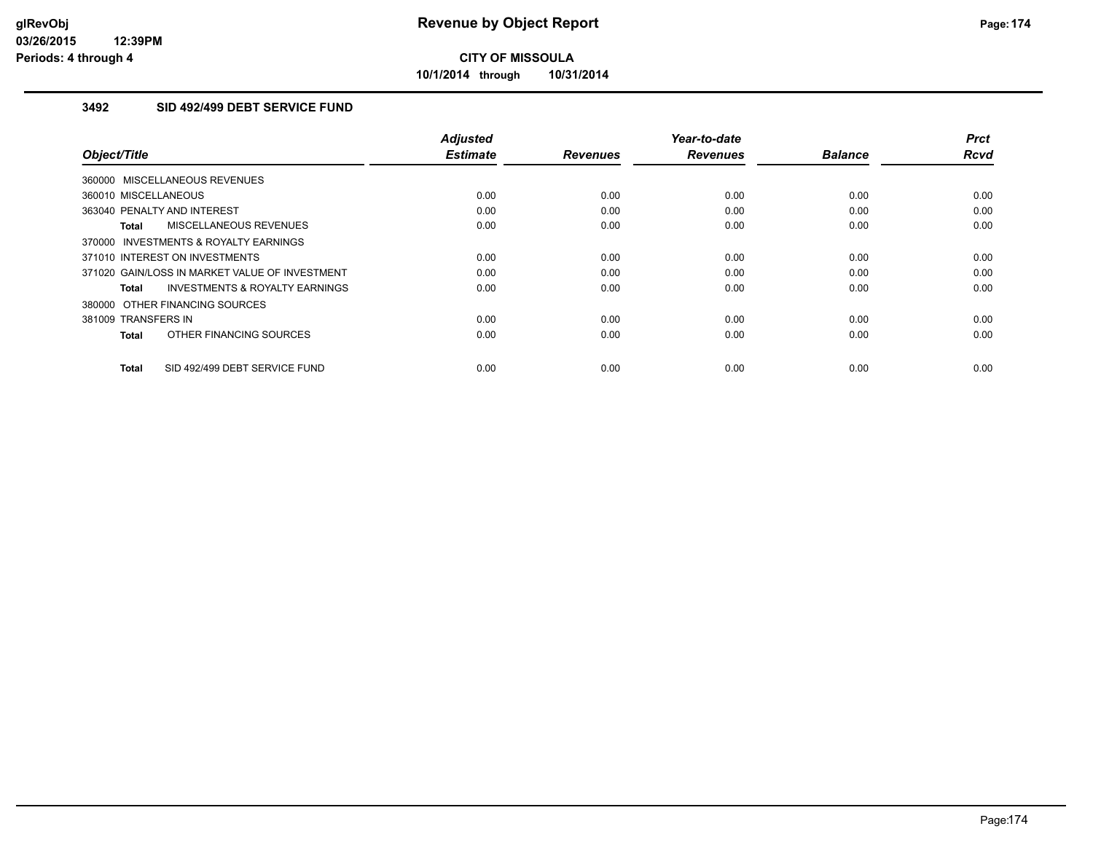**10/1/2014 through 10/31/2014**

#### **3492 SID 492/499 DEBT SERVICE FUND**

| Object/Title                                       | <b>Adjusted</b><br><b>Estimate</b> | <b>Revenues</b> | Year-to-date<br><b>Revenues</b> | <b>Balance</b> | <b>Prct</b><br><b>Rcvd</b> |
|----------------------------------------------------|------------------------------------|-----------------|---------------------------------|----------------|----------------------------|
| 360000 MISCELLANEOUS REVENUES                      |                                    |                 |                                 |                |                            |
|                                                    |                                    |                 |                                 |                |                            |
| 360010 MISCELLANEOUS                               | 0.00                               | 0.00            | 0.00                            | 0.00           | 0.00                       |
| 363040 PENALTY AND INTEREST                        | 0.00                               | 0.00            | 0.00                            | 0.00           | 0.00                       |
| MISCELLANEOUS REVENUES<br>Total                    | 0.00                               | 0.00            | 0.00                            | 0.00           | 0.00                       |
| 370000 INVESTMENTS & ROYALTY EARNINGS              |                                    |                 |                                 |                |                            |
| 371010 INTEREST ON INVESTMENTS                     | 0.00                               | 0.00            | 0.00                            | 0.00           | 0.00                       |
| 371020 GAIN/LOSS IN MARKET VALUE OF INVESTMENT     | 0.00                               | 0.00            | 0.00                            | 0.00           | 0.00                       |
| <b>INVESTMENTS &amp; ROYALTY EARNINGS</b><br>Total | 0.00                               | 0.00            | 0.00                            | 0.00           | 0.00                       |
| 380000 OTHER FINANCING SOURCES                     |                                    |                 |                                 |                |                            |
| 381009 TRANSFERS IN                                | 0.00                               | 0.00            | 0.00                            | 0.00           | 0.00                       |
| OTHER FINANCING SOURCES<br><b>Total</b>            | 0.00                               | 0.00            | 0.00                            | 0.00           | 0.00                       |
| SID 492/499 DEBT SERVICE FUND<br><b>Total</b>      | 0.00                               | 0.00            | 0.00                            | 0.00           | 0.00                       |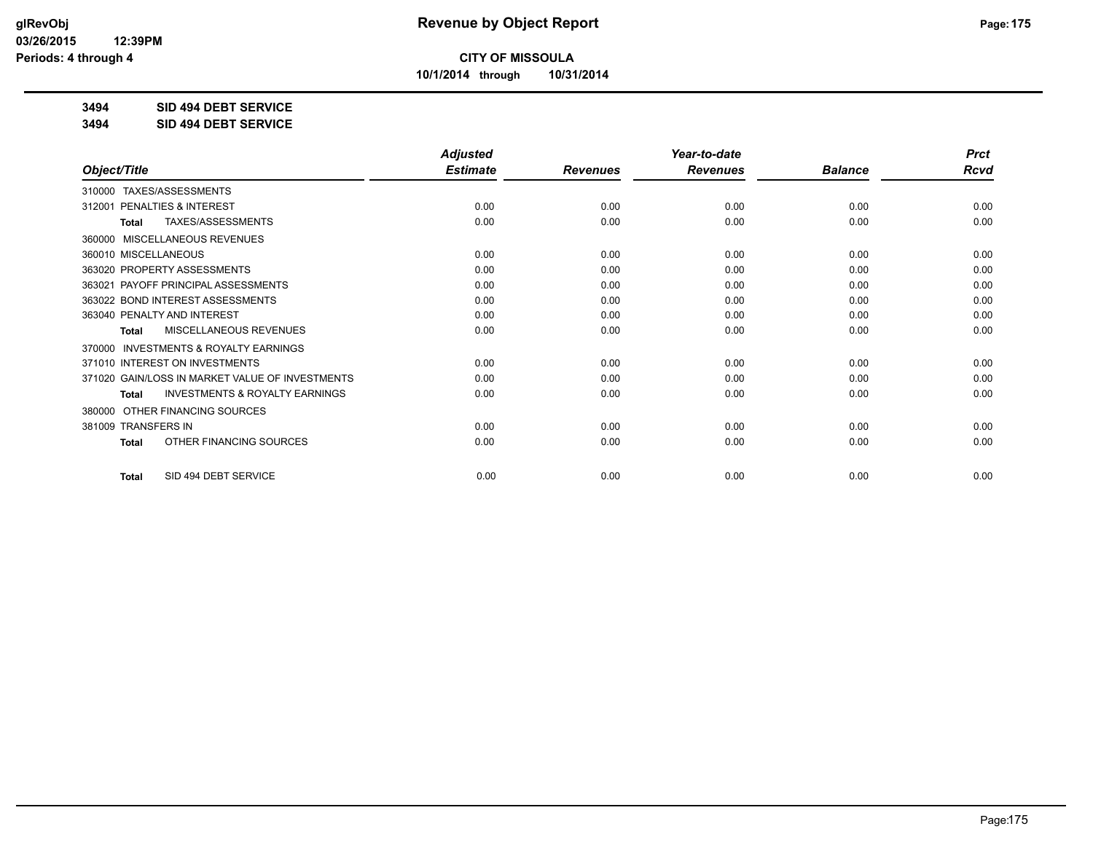**10/1/2014 through 10/31/2014**

### **3494 SID 494 DEBT SERVICE**

**3494 SID 494 DEBT SERVICE**

|                                                     | <b>Adjusted</b> |                 | Year-to-date    |                | <b>Prct</b> |
|-----------------------------------------------------|-----------------|-----------------|-----------------|----------------|-------------|
| Object/Title                                        | <b>Estimate</b> | <b>Revenues</b> | <b>Revenues</b> | <b>Balance</b> | <b>Rcvd</b> |
| TAXES/ASSESSMENTS<br>310000                         |                 |                 |                 |                |             |
| PENALTIES & INTEREST<br>312001                      | 0.00            | 0.00            | 0.00            | 0.00           | 0.00        |
| TAXES/ASSESSMENTS<br>Total                          | 0.00            | 0.00            | 0.00            | 0.00           | 0.00        |
| <b>MISCELLANEOUS REVENUES</b><br>360000             |                 |                 |                 |                |             |
| 360010 MISCELLANEOUS                                | 0.00            | 0.00            | 0.00            | 0.00           | 0.00        |
| 363020 PROPERTY ASSESSMENTS                         | 0.00            | 0.00            | 0.00            | 0.00           | 0.00        |
| 363021 PAYOFF PRINCIPAL ASSESSMENTS                 | 0.00            | 0.00            | 0.00            | 0.00           | 0.00        |
| 363022 BOND INTEREST ASSESSMENTS                    | 0.00            | 0.00            | 0.00            | 0.00           | 0.00        |
| 363040 PENALTY AND INTEREST                         | 0.00            | 0.00            | 0.00            | 0.00           | 0.00        |
| MISCELLANEOUS REVENUES<br>Total                     | 0.00            | 0.00            | 0.00            | 0.00           | 0.00        |
| <b>INVESTMENTS &amp; ROYALTY EARNINGS</b><br>370000 |                 |                 |                 |                |             |
| 371010 INTEREST ON INVESTMENTS                      | 0.00            | 0.00            | 0.00            | 0.00           | 0.00        |
| 371020 GAIN/LOSS IN MARKET VALUE OF INVESTMENTS     | 0.00            | 0.00            | 0.00            | 0.00           | 0.00        |
| <b>INVESTMENTS &amp; ROYALTY EARNINGS</b><br>Total  | 0.00            | 0.00            | 0.00            | 0.00           | 0.00        |
| OTHER FINANCING SOURCES<br>380000                   |                 |                 |                 |                |             |
| 381009 TRANSFERS IN                                 | 0.00            | 0.00            | 0.00            | 0.00           | 0.00        |
| OTHER FINANCING SOURCES<br><b>Total</b>             | 0.00            | 0.00            | 0.00            | 0.00           | 0.00        |
| SID 494 DEBT SERVICE<br><b>Total</b>                | 0.00            | 0.00            | 0.00            | 0.00           | 0.00        |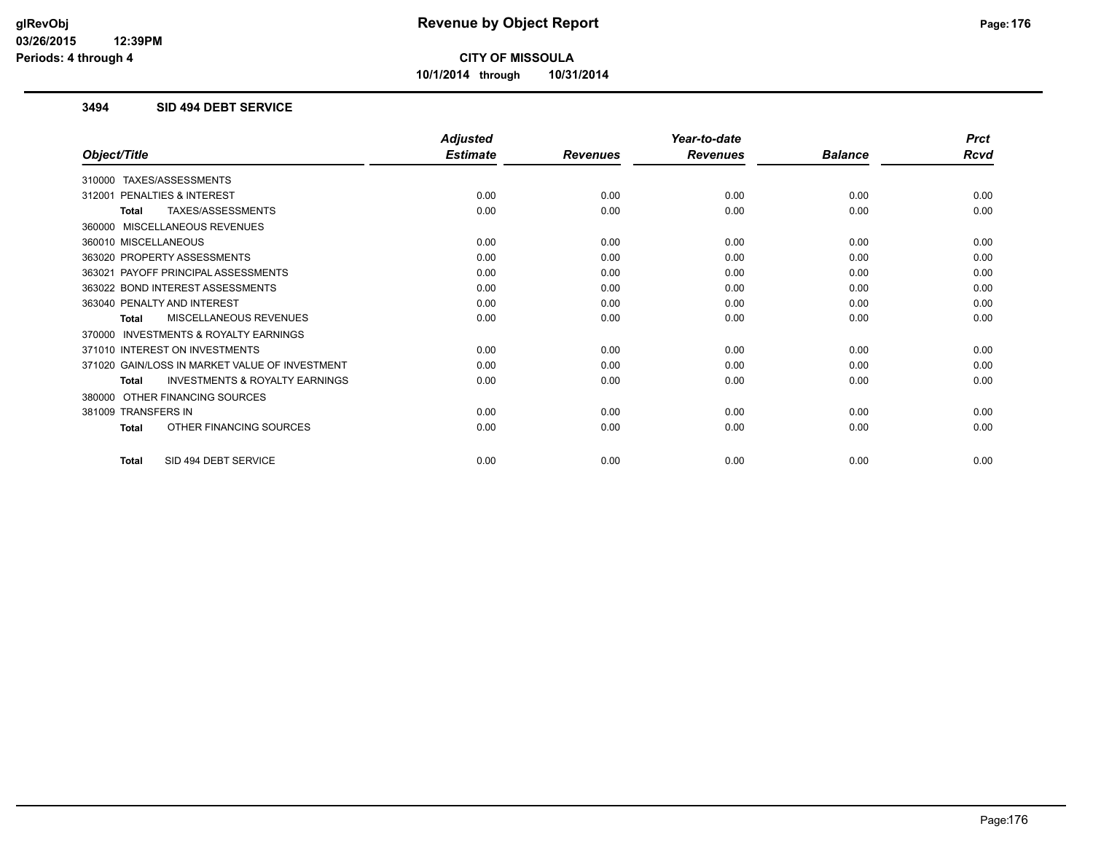**10/1/2014 through 10/31/2014**

#### **3494 SID 494 DEBT SERVICE**

|                                                           | <b>Adjusted</b> |                 | Year-to-date    |                | <b>Prct</b> |
|-----------------------------------------------------------|-----------------|-----------------|-----------------|----------------|-------------|
| Object/Title                                              | <b>Estimate</b> | <b>Revenues</b> | <b>Revenues</b> | <b>Balance</b> | <b>Rcvd</b> |
| 310000 TAXES/ASSESSMENTS                                  |                 |                 |                 |                |             |
| PENALTIES & INTEREST<br>312001                            | 0.00            | 0.00            | 0.00            | 0.00           | 0.00        |
| TAXES/ASSESSMENTS<br><b>Total</b>                         | 0.00            | 0.00            | 0.00            | 0.00           | 0.00        |
| 360000 MISCELLANEOUS REVENUES                             |                 |                 |                 |                |             |
| 360010 MISCELLANEOUS                                      | 0.00            | 0.00            | 0.00            | 0.00           | 0.00        |
| 363020 PROPERTY ASSESSMENTS                               | 0.00            | 0.00            | 0.00            | 0.00           | 0.00        |
| 363021 PAYOFF PRINCIPAL ASSESSMENTS                       | 0.00            | 0.00            | 0.00            | 0.00           | 0.00        |
| 363022 BOND INTEREST ASSESSMENTS                          | 0.00            | 0.00            | 0.00            | 0.00           | 0.00        |
| 363040 PENALTY AND INTEREST                               | 0.00            | 0.00            | 0.00            | 0.00           | 0.00        |
| MISCELLANEOUS REVENUES<br><b>Total</b>                    | 0.00            | 0.00            | 0.00            | 0.00           | 0.00        |
| 370000 INVESTMENTS & ROYALTY EARNINGS                     |                 |                 |                 |                |             |
| 371010 INTEREST ON INVESTMENTS                            | 0.00            | 0.00            | 0.00            | 0.00           | 0.00        |
| 371020 GAIN/LOSS IN MARKET VALUE OF INVESTMENT            | 0.00            | 0.00            | 0.00            | 0.00           | 0.00        |
| <b>INVESTMENTS &amp; ROYALTY EARNINGS</b><br><b>Total</b> | 0.00            | 0.00            | 0.00            | 0.00           | 0.00        |
| 380000 OTHER FINANCING SOURCES                            |                 |                 |                 |                |             |
| 381009 TRANSFERS IN                                       | 0.00            | 0.00            | 0.00            | 0.00           | 0.00        |
| OTHER FINANCING SOURCES<br><b>Total</b>                   | 0.00            | 0.00            | 0.00            | 0.00           | 0.00        |
| SID 494 DEBT SERVICE<br><b>Total</b>                      | 0.00            | 0.00            | 0.00            | 0.00           | 0.00        |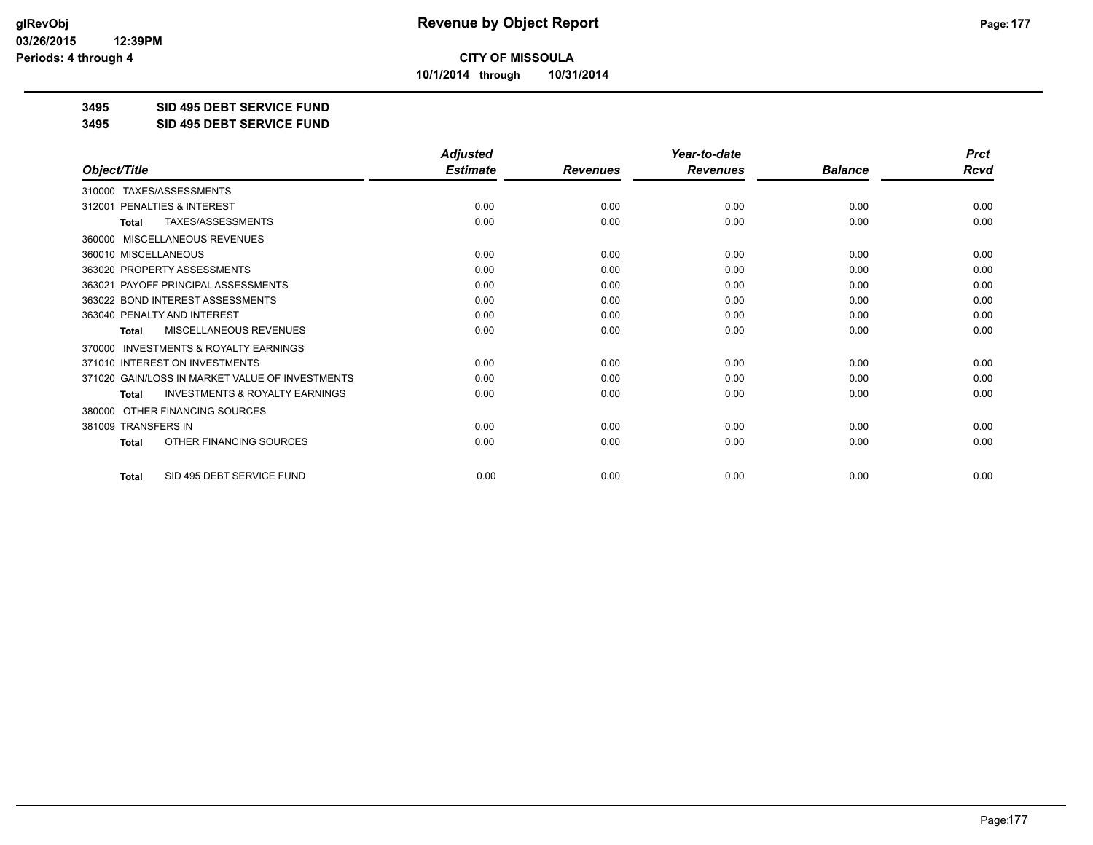**10/1/2014 through 10/31/2014**

#### **3495 SID 495 DEBT SERVICE FUND**

**3495 SID 495 DEBT SERVICE FUND**

|                                                           | <b>Adjusted</b> |                 | Year-to-date    |                | <b>Prct</b> |
|-----------------------------------------------------------|-----------------|-----------------|-----------------|----------------|-------------|
| Object/Title                                              | <b>Estimate</b> | <b>Revenues</b> | <b>Revenues</b> | <b>Balance</b> | <b>Rcvd</b> |
| 310000 TAXES/ASSESSMENTS                                  |                 |                 |                 |                |             |
| PENALTIES & INTEREST<br>312001                            | 0.00            | 0.00            | 0.00            | 0.00           | 0.00        |
| <b>TAXES/ASSESSMENTS</b><br><b>Total</b>                  | 0.00            | 0.00            | 0.00            | 0.00           | 0.00        |
| MISCELLANEOUS REVENUES<br>360000                          |                 |                 |                 |                |             |
| 360010 MISCELLANEOUS                                      | 0.00            | 0.00            | 0.00            | 0.00           | 0.00        |
| 363020 PROPERTY ASSESSMENTS                               | 0.00            | 0.00            | 0.00            | 0.00           | 0.00        |
| 363021 PAYOFF PRINCIPAL ASSESSMENTS                       | 0.00            | 0.00            | 0.00            | 0.00           | 0.00        |
| 363022 BOND INTEREST ASSESSMENTS                          | 0.00            | 0.00            | 0.00            | 0.00           | 0.00        |
| 363040 PENALTY AND INTEREST                               | 0.00            | 0.00            | 0.00            | 0.00           | 0.00        |
| MISCELLANEOUS REVENUES<br>Total                           | 0.00            | 0.00            | 0.00            | 0.00           | 0.00        |
| INVESTMENTS & ROYALTY EARNINGS<br>370000                  |                 |                 |                 |                |             |
| 371010 INTEREST ON INVESTMENTS                            | 0.00            | 0.00            | 0.00            | 0.00           | 0.00        |
| 371020 GAIN/LOSS IN MARKET VALUE OF INVESTMENTS           | 0.00            | 0.00            | 0.00            | 0.00           | 0.00        |
| <b>INVESTMENTS &amp; ROYALTY EARNINGS</b><br><b>Total</b> | 0.00            | 0.00            | 0.00            | 0.00           | 0.00        |
| OTHER FINANCING SOURCES<br>380000                         |                 |                 |                 |                |             |
| 381009 TRANSFERS IN                                       | 0.00            | 0.00            | 0.00            | 0.00           | 0.00        |
| OTHER FINANCING SOURCES<br><b>Total</b>                   | 0.00            | 0.00            | 0.00            | 0.00           | 0.00        |
| SID 495 DEBT SERVICE FUND<br><b>Total</b>                 | 0.00            | 0.00            | 0.00            | 0.00           | 0.00        |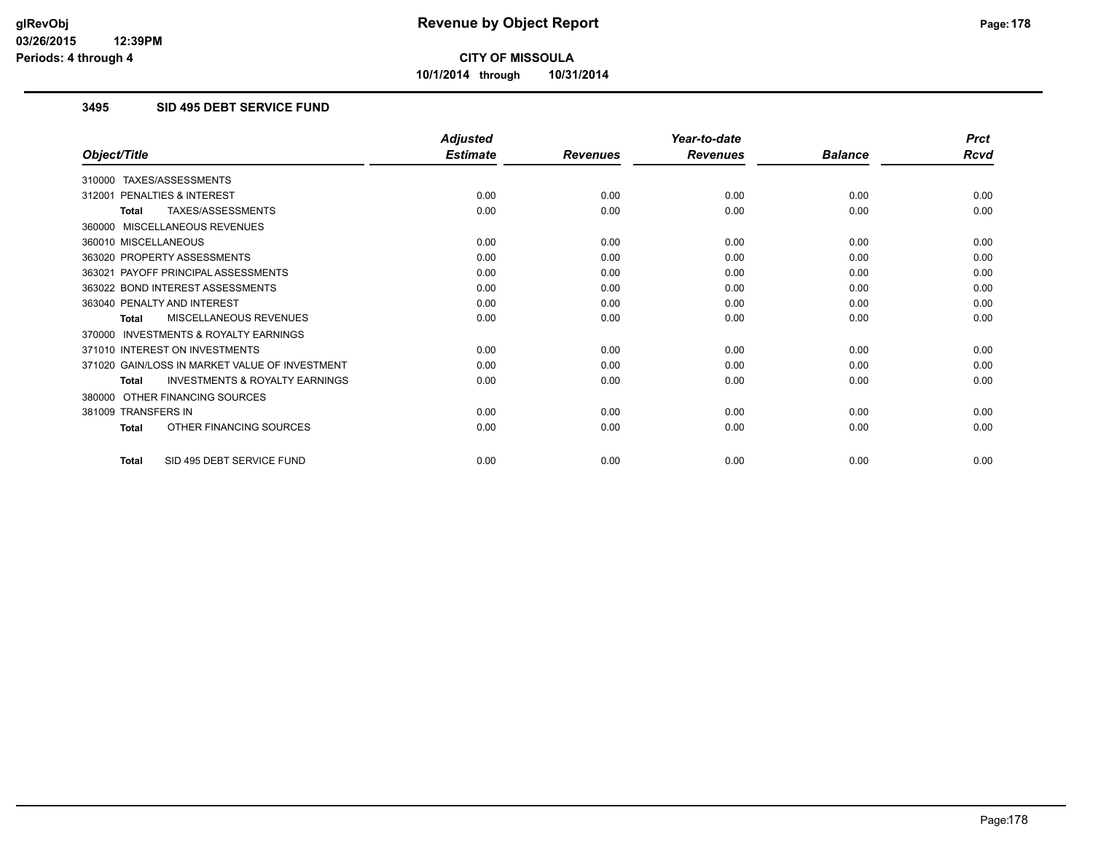**10/1/2014 through 10/31/2014**

#### **3495 SID 495 DEBT SERVICE FUND**

|                                                           | <b>Adjusted</b> |                 | Year-to-date    |                | <b>Prct</b> |
|-----------------------------------------------------------|-----------------|-----------------|-----------------|----------------|-------------|
| Object/Title                                              | <b>Estimate</b> | <b>Revenues</b> | <b>Revenues</b> | <b>Balance</b> | <b>Rcvd</b> |
| 310000 TAXES/ASSESSMENTS                                  |                 |                 |                 |                |             |
| PENALTIES & INTEREST<br>312001                            | 0.00            | 0.00            | 0.00            | 0.00           | 0.00        |
| TAXES/ASSESSMENTS<br><b>Total</b>                         | 0.00            | 0.00            | 0.00            | 0.00           | 0.00        |
| 360000 MISCELLANEOUS REVENUES                             |                 |                 |                 |                |             |
| 360010 MISCELLANEOUS                                      | 0.00            | 0.00            | 0.00            | 0.00           | 0.00        |
| 363020 PROPERTY ASSESSMENTS                               | 0.00            | 0.00            | 0.00            | 0.00           | 0.00        |
| 363021 PAYOFF PRINCIPAL ASSESSMENTS                       | 0.00            | 0.00            | 0.00            | 0.00           | 0.00        |
| 363022 BOND INTEREST ASSESSMENTS                          | 0.00            | 0.00            | 0.00            | 0.00           | 0.00        |
| 363040 PENALTY AND INTEREST                               | 0.00            | 0.00            | 0.00            | 0.00           | 0.00        |
| MISCELLANEOUS REVENUES<br><b>Total</b>                    | 0.00            | 0.00            | 0.00            | 0.00           | 0.00        |
| <b>INVESTMENTS &amp; ROYALTY EARNINGS</b><br>370000       |                 |                 |                 |                |             |
| 371010 INTEREST ON INVESTMENTS                            | 0.00            | 0.00            | 0.00            | 0.00           | 0.00        |
| 371020 GAIN/LOSS IN MARKET VALUE OF INVESTMENT            | 0.00            | 0.00            | 0.00            | 0.00           | 0.00        |
| <b>INVESTMENTS &amp; ROYALTY EARNINGS</b><br><b>Total</b> | 0.00            | 0.00            | 0.00            | 0.00           | 0.00        |
| OTHER FINANCING SOURCES<br>380000                         |                 |                 |                 |                |             |
| 381009 TRANSFERS IN                                       | 0.00            | 0.00            | 0.00            | 0.00           | 0.00        |
| OTHER FINANCING SOURCES<br><b>Total</b>                   | 0.00            | 0.00            | 0.00            | 0.00           | 0.00        |
| SID 495 DEBT SERVICE FUND<br><b>Total</b>                 | 0.00            | 0.00            | 0.00            | 0.00           | 0.00        |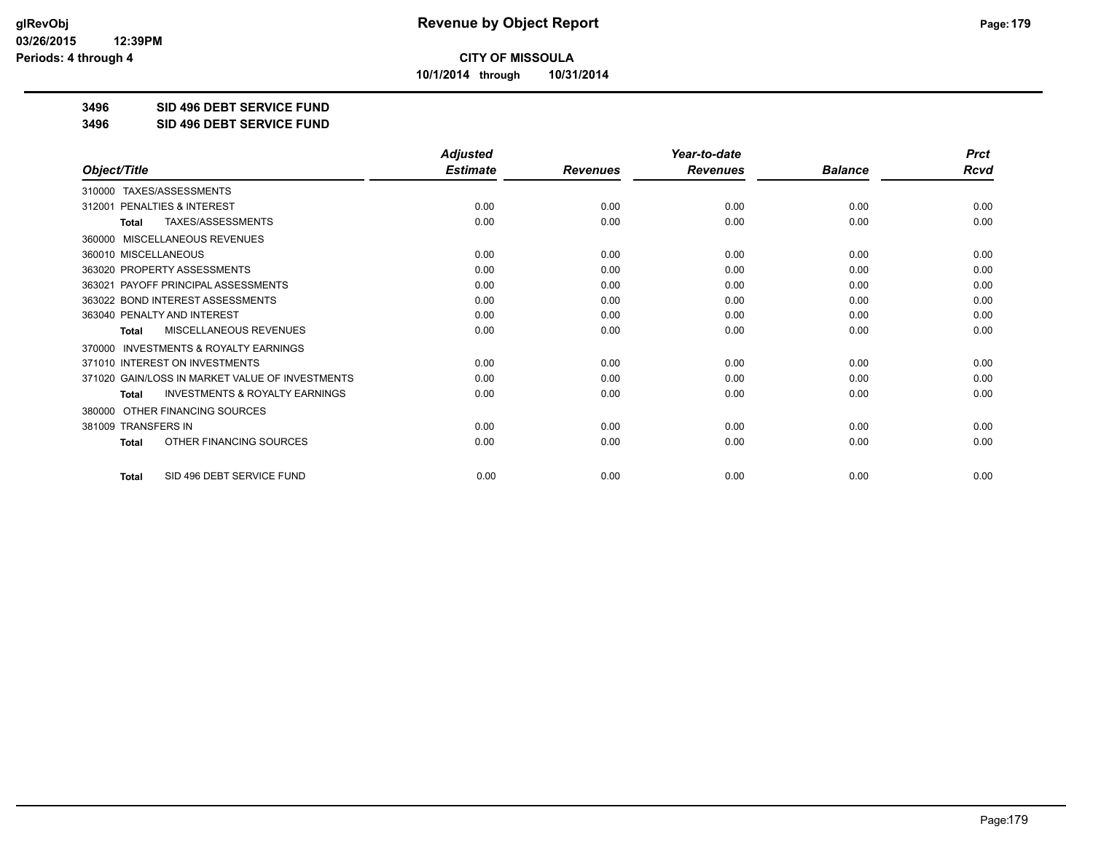**10/1/2014 through 10/31/2014**

**3496 SID 496 DEBT SERVICE FUND**

**3496 SID 496 DEBT SERVICE FUND**

|                                                           | <b>Adjusted</b> |                 | Year-to-date    |                | <b>Prct</b> |
|-----------------------------------------------------------|-----------------|-----------------|-----------------|----------------|-------------|
| Object/Title                                              | <b>Estimate</b> | <b>Revenues</b> | <b>Revenues</b> | <b>Balance</b> | <b>Rcvd</b> |
| 310000 TAXES/ASSESSMENTS                                  |                 |                 |                 |                |             |
| 312001 PENALTIES & INTEREST                               | 0.00            | 0.00            | 0.00            | 0.00           | 0.00        |
| <b>TAXES/ASSESSMENTS</b><br><b>Total</b>                  | 0.00            | 0.00            | 0.00            | 0.00           | 0.00        |
| MISCELLANEOUS REVENUES<br>360000                          |                 |                 |                 |                |             |
| 360010 MISCELLANEOUS                                      | 0.00            | 0.00            | 0.00            | 0.00           | 0.00        |
| 363020 PROPERTY ASSESSMENTS                               | 0.00            | 0.00            | 0.00            | 0.00           | 0.00        |
| 363021 PAYOFF PRINCIPAL ASSESSMENTS                       | 0.00            | 0.00            | 0.00            | 0.00           | 0.00        |
| 363022 BOND INTEREST ASSESSMENTS                          | 0.00            | 0.00            | 0.00            | 0.00           | 0.00        |
| 363040 PENALTY AND INTEREST                               | 0.00            | 0.00            | 0.00            | 0.00           | 0.00        |
| MISCELLANEOUS REVENUES<br><b>Total</b>                    | 0.00            | 0.00            | 0.00            | 0.00           | 0.00        |
| <b>INVESTMENTS &amp; ROYALTY EARNINGS</b><br>370000       |                 |                 |                 |                |             |
| 371010 INTEREST ON INVESTMENTS                            | 0.00            | 0.00            | 0.00            | 0.00           | 0.00        |
| 371020 GAIN/LOSS IN MARKET VALUE OF INVESTMENTS           | 0.00            | 0.00            | 0.00            | 0.00           | 0.00        |
| <b>INVESTMENTS &amp; ROYALTY EARNINGS</b><br><b>Total</b> | 0.00            | 0.00            | 0.00            | 0.00           | 0.00        |
| OTHER FINANCING SOURCES<br>380000                         |                 |                 |                 |                |             |
| 381009 TRANSFERS IN                                       | 0.00            | 0.00            | 0.00            | 0.00           | 0.00        |
| OTHER FINANCING SOURCES<br><b>Total</b>                   | 0.00            | 0.00            | 0.00            | 0.00           | 0.00        |
| SID 496 DEBT SERVICE FUND<br><b>Total</b>                 | 0.00            | 0.00            | 0.00            | 0.00           | 0.00        |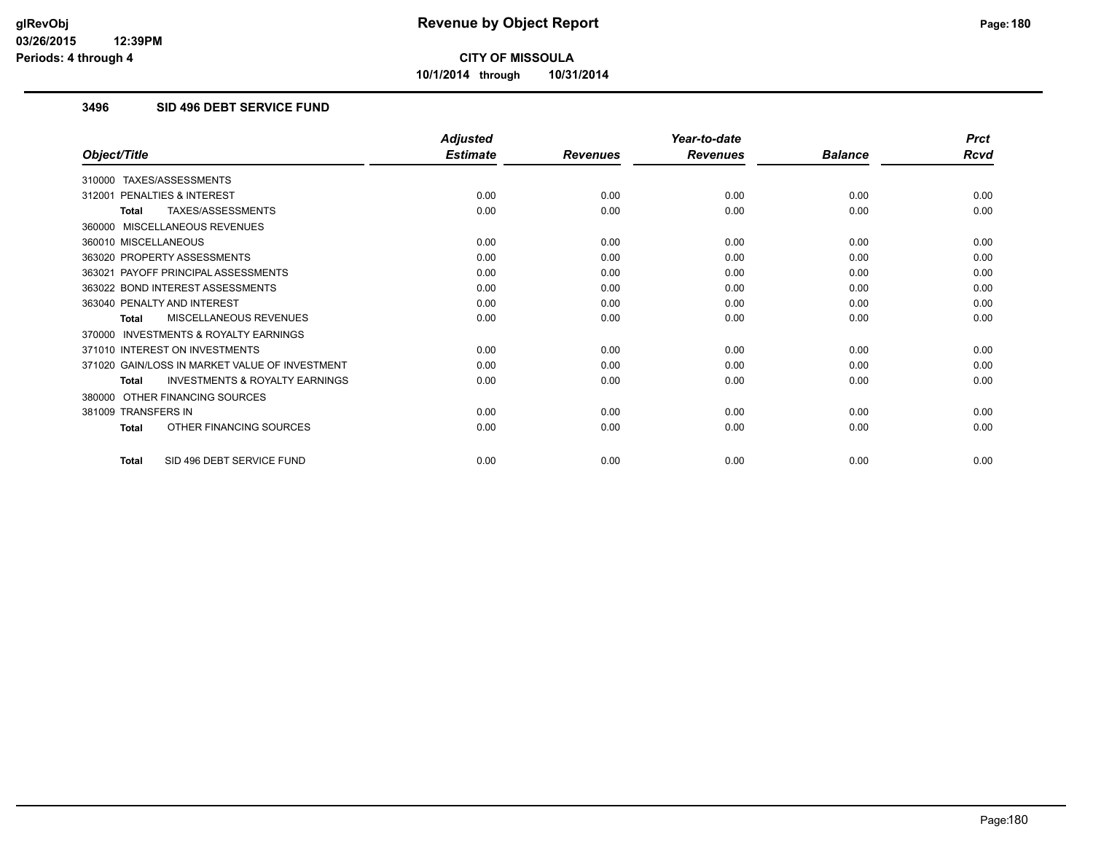**10/1/2014 through 10/31/2014**

#### **3496 SID 496 DEBT SERVICE FUND**

|                                                           | <b>Adjusted</b> |                 | Year-to-date    |                | <b>Prct</b> |
|-----------------------------------------------------------|-----------------|-----------------|-----------------|----------------|-------------|
| Object/Title                                              | <b>Estimate</b> | <b>Revenues</b> | <b>Revenues</b> | <b>Balance</b> | <b>Rcvd</b> |
| 310000 TAXES/ASSESSMENTS                                  |                 |                 |                 |                |             |
| PENALTIES & INTEREST<br>312001                            | 0.00            | 0.00            | 0.00            | 0.00           | 0.00        |
| TAXES/ASSESSMENTS<br><b>Total</b>                         | 0.00            | 0.00            | 0.00            | 0.00           | 0.00        |
| 360000 MISCELLANEOUS REVENUES                             |                 |                 |                 |                |             |
| 360010 MISCELLANEOUS                                      | 0.00            | 0.00            | 0.00            | 0.00           | 0.00        |
| 363020 PROPERTY ASSESSMENTS                               | 0.00            | 0.00            | 0.00            | 0.00           | 0.00        |
| 363021 PAYOFF PRINCIPAL ASSESSMENTS                       | 0.00            | 0.00            | 0.00            | 0.00           | 0.00        |
| 363022 BOND INTEREST ASSESSMENTS                          | 0.00            | 0.00            | 0.00            | 0.00           | 0.00        |
| 363040 PENALTY AND INTEREST                               | 0.00            | 0.00            | 0.00            | 0.00           | 0.00        |
| MISCELLANEOUS REVENUES<br><b>Total</b>                    | 0.00            | 0.00            | 0.00            | 0.00           | 0.00        |
| <b>INVESTMENTS &amp; ROYALTY EARNINGS</b><br>370000       |                 |                 |                 |                |             |
| 371010 INTEREST ON INVESTMENTS                            | 0.00            | 0.00            | 0.00            | 0.00           | 0.00        |
| 371020 GAIN/LOSS IN MARKET VALUE OF INVESTMENT            | 0.00            | 0.00            | 0.00            | 0.00           | 0.00        |
| <b>INVESTMENTS &amp; ROYALTY EARNINGS</b><br><b>Total</b> | 0.00            | 0.00            | 0.00            | 0.00           | 0.00        |
| OTHER FINANCING SOURCES<br>380000                         |                 |                 |                 |                |             |
| 381009 TRANSFERS IN                                       | 0.00            | 0.00            | 0.00            | 0.00           | 0.00        |
| OTHER FINANCING SOURCES<br><b>Total</b>                   | 0.00            | 0.00            | 0.00            | 0.00           | 0.00        |
| SID 496 DEBT SERVICE FUND<br><b>Total</b>                 | 0.00            | 0.00            | 0.00            | 0.00           | 0.00        |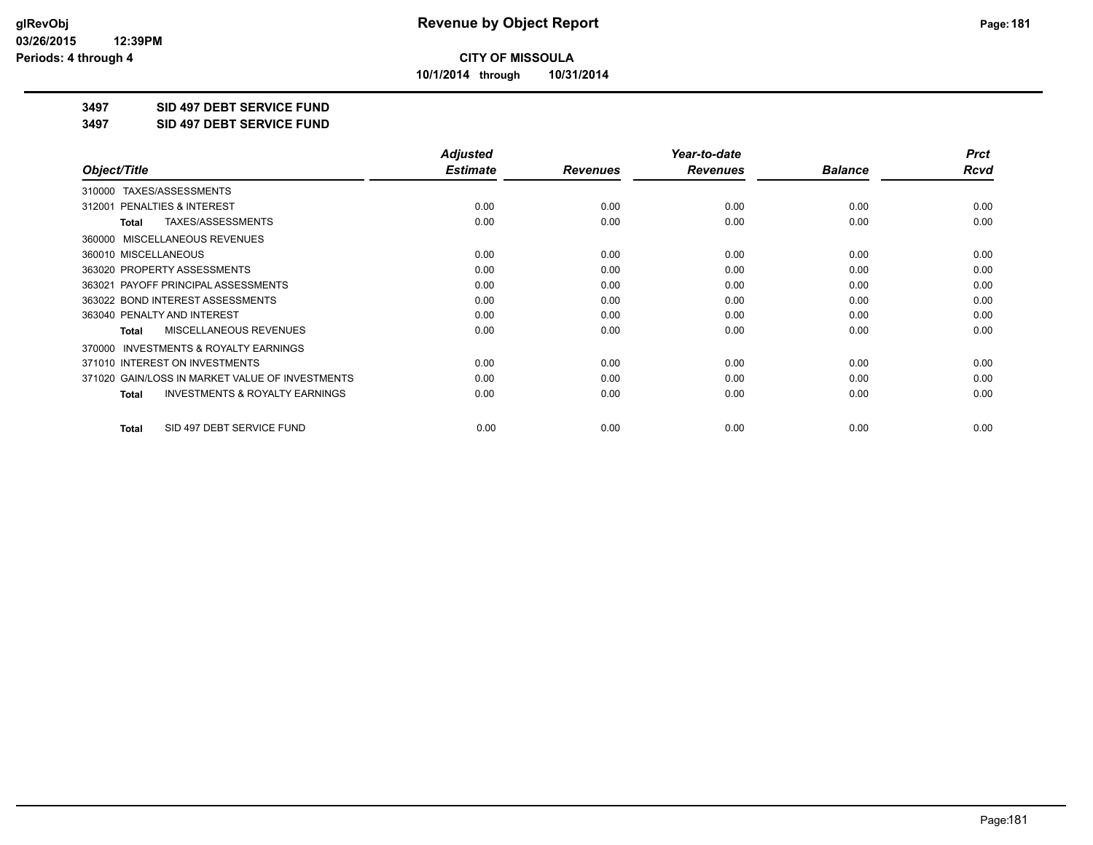**10/1/2014 through 10/31/2014**

#### **3497 SID 497 DEBT SERVICE FUND**

**3497 SID 497 DEBT SERVICE FUND**

|                                                           | <b>Adjusted</b> |                 | Year-to-date    |                | <b>Prct</b> |
|-----------------------------------------------------------|-----------------|-----------------|-----------------|----------------|-------------|
| Object/Title                                              | <b>Estimate</b> | <b>Revenues</b> | <b>Revenues</b> | <b>Balance</b> | Rcvd        |
| TAXES/ASSESSMENTS<br>310000                               |                 |                 |                 |                |             |
| 312001 PENALTIES & INTEREST                               | 0.00            | 0.00            | 0.00            | 0.00           | 0.00        |
| TAXES/ASSESSMENTS<br><b>Total</b>                         | 0.00            | 0.00            | 0.00            | 0.00           | 0.00        |
| MISCELLANEOUS REVENUES<br>360000                          |                 |                 |                 |                |             |
| 360010 MISCELLANEOUS                                      | 0.00            | 0.00            | 0.00            | 0.00           | 0.00        |
| 363020 PROPERTY ASSESSMENTS                               | 0.00            | 0.00            | 0.00            | 0.00           | 0.00        |
| 363021 PAYOFF PRINCIPAL ASSESSMENTS                       | 0.00            | 0.00            | 0.00            | 0.00           | 0.00        |
| 363022 BOND INTEREST ASSESSMENTS                          | 0.00            | 0.00            | 0.00            | 0.00           | 0.00        |
| 363040 PENALTY AND INTEREST                               | 0.00            | 0.00            | 0.00            | 0.00           | 0.00        |
| MISCELLANEOUS REVENUES<br><b>Total</b>                    | 0.00            | 0.00            | 0.00            | 0.00           | 0.00        |
| <b>INVESTMENTS &amp; ROYALTY EARNINGS</b><br>370000       |                 |                 |                 |                |             |
| 371010 INTEREST ON INVESTMENTS                            | 0.00            | 0.00            | 0.00            | 0.00           | 0.00        |
| 371020 GAIN/LOSS IN MARKET VALUE OF INVESTMENTS           | 0.00            | 0.00            | 0.00            | 0.00           | 0.00        |
| <b>INVESTMENTS &amp; ROYALTY EARNINGS</b><br><b>Total</b> | 0.00            | 0.00            | 0.00            | 0.00           | 0.00        |
| SID 497 DEBT SERVICE FUND<br><b>Total</b>                 | 0.00            | 0.00            | 0.00            | 0.00           | 0.00        |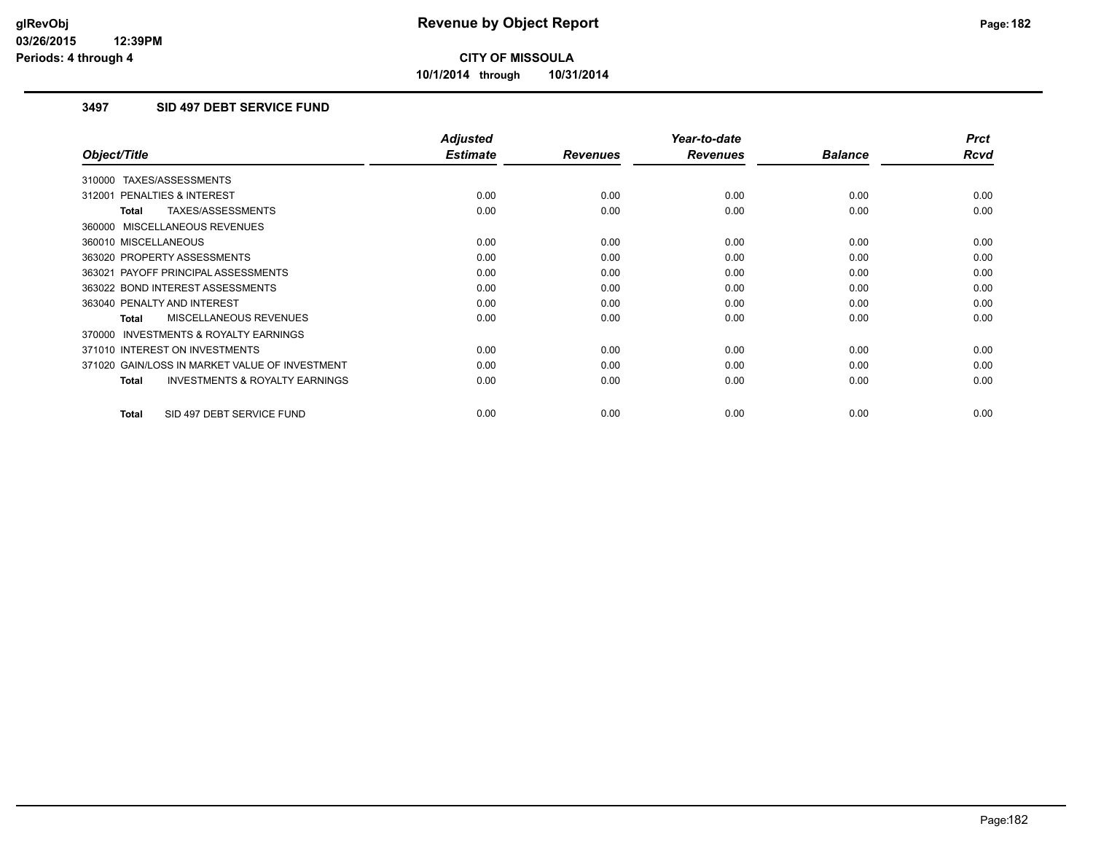**10/1/2014 through 10/31/2014**

### **3497 SID 497 DEBT SERVICE FUND**

|                                                           | <b>Adjusted</b> |                 | Year-to-date    |                | <b>Prct</b> |
|-----------------------------------------------------------|-----------------|-----------------|-----------------|----------------|-------------|
| Object/Title                                              | <b>Estimate</b> | <b>Revenues</b> | <b>Revenues</b> | <b>Balance</b> | <b>Rcvd</b> |
| 310000 TAXES/ASSESSMENTS                                  |                 |                 |                 |                |             |
| 312001 PENALTIES & INTEREST                               | 0.00            | 0.00            | 0.00            | 0.00           | 0.00        |
| TAXES/ASSESSMENTS<br><b>Total</b>                         | 0.00            | 0.00            | 0.00            | 0.00           | 0.00        |
| 360000 MISCELLANEOUS REVENUES                             |                 |                 |                 |                |             |
| 360010 MISCELLANEOUS                                      | 0.00            | 0.00            | 0.00            | 0.00           | 0.00        |
| 363020 PROPERTY ASSESSMENTS                               | 0.00            | 0.00            | 0.00            | 0.00           | 0.00        |
| 363021 PAYOFF PRINCIPAL ASSESSMENTS                       | 0.00            | 0.00            | 0.00            | 0.00           | 0.00        |
| 363022 BOND INTEREST ASSESSMENTS                          | 0.00            | 0.00            | 0.00            | 0.00           | 0.00        |
| 363040 PENALTY AND INTEREST                               | 0.00            | 0.00            | 0.00            | 0.00           | 0.00        |
| MISCELLANEOUS REVENUES<br>Total                           | 0.00            | 0.00            | 0.00            | 0.00           | 0.00        |
| <b>INVESTMENTS &amp; ROYALTY EARNINGS</b><br>370000       |                 |                 |                 |                |             |
| 371010 INTEREST ON INVESTMENTS                            | 0.00            | 0.00            | 0.00            | 0.00           | 0.00        |
| 371020 GAIN/LOSS IN MARKET VALUE OF INVESTMENT            | 0.00            | 0.00            | 0.00            | 0.00           | 0.00        |
| <b>INVESTMENTS &amp; ROYALTY EARNINGS</b><br><b>Total</b> | 0.00            | 0.00            | 0.00            | 0.00           | 0.00        |
| SID 497 DEBT SERVICE FUND<br><b>Total</b>                 | 0.00            | 0.00            | 0.00            | 0.00           | 0.00        |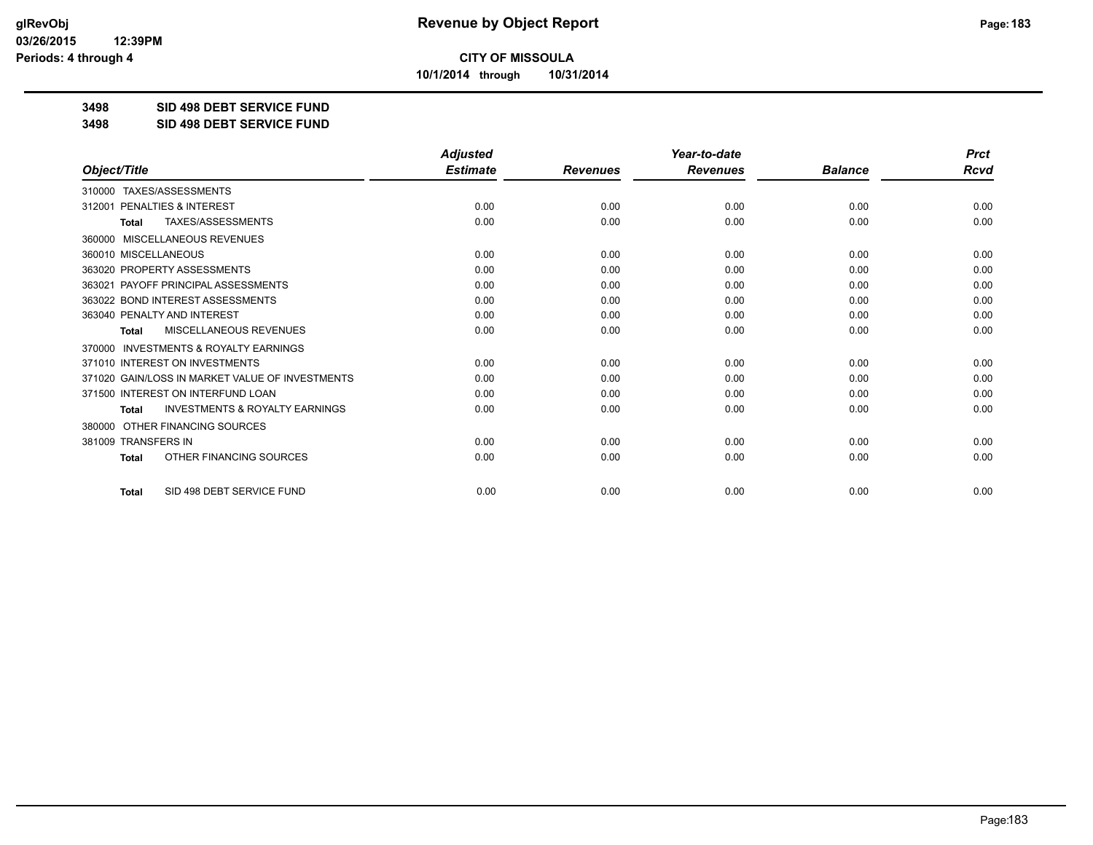**10/1/2014 through 10/31/2014**

#### **3498 SID 498 DEBT SERVICE FUND**

**3498 SID 498 DEBT SERVICE FUND**

|                                                           | <b>Adjusted</b> |                 | Year-to-date    |                | <b>Prct</b> |
|-----------------------------------------------------------|-----------------|-----------------|-----------------|----------------|-------------|
| Object/Title                                              | <b>Estimate</b> | <b>Revenues</b> | <b>Revenues</b> | <b>Balance</b> | Rcvd        |
| TAXES/ASSESSMENTS<br>310000                               |                 |                 |                 |                |             |
| PENALTIES & INTEREST<br>312001                            | 0.00            | 0.00            | 0.00            | 0.00           | 0.00        |
| TAXES/ASSESSMENTS<br><b>Total</b>                         | 0.00            | 0.00            | 0.00            | 0.00           | 0.00        |
| 360000 MISCELLANEOUS REVENUES                             |                 |                 |                 |                |             |
| 360010 MISCELLANEOUS                                      | 0.00            | 0.00            | 0.00            | 0.00           | 0.00        |
| 363020 PROPERTY ASSESSMENTS                               | 0.00            | 0.00            | 0.00            | 0.00           | 0.00        |
| PAYOFF PRINCIPAL ASSESSMENTS<br>363021                    | 0.00            | 0.00            | 0.00            | 0.00           | 0.00        |
| 363022 BOND INTEREST ASSESSMENTS                          | 0.00            | 0.00            | 0.00            | 0.00           | 0.00        |
| 363040 PENALTY AND INTEREST                               | 0.00            | 0.00            | 0.00            | 0.00           | 0.00        |
| MISCELLANEOUS REVENUES<br><b>Total</b>                    | 0.00            | 0.00            | 0.00            | 0.00           | 0.00        |
| 370000 INVESTMENTS & ROYALTY EARNINGS                     |                 |                 |                 |                |             |
| 371010 INTEREST ON INVESTMENTS                            | 0.00            | 0.00            | 0.00            | 0.00           | 0.00        |
| 371020 GAIN/LOSS IN MARKET VALUE OF INVESTMENTS           | 0.00            | 0.00            | 0.00            | 0.00           | 0.00        |
| 371500 INTEREST ON INTERFUND LOAN                         | 0.00            | 0.00            | 0.00            | 0.00           | 0.00        |
| <b>INVESTMENTS &amp; ROYALTY EARNINGS</b><br><b>Total</b> | 0.00            | 0.00            | 0.00            | 0.00           | 0.00        |
| OTHER FINANCING SOURCES<br>380000                         |                 |                 |                 |                |             |
| 381009 TRANSFERS IN                                       | 0.00            | 0.00            | 0.00            | 0.00           | 0.00        |
| OTHER FINANCING SOURCES<br><b>Total</b>                   | 0.00            | 0.00            | 0.00            | 0.00           | 0.00        |
| SID 498 DEBT SERVICE FUND<br><b>Total</b>                 | 0.00            | 0.00            | 0.00            | 0.00           | 0.00        |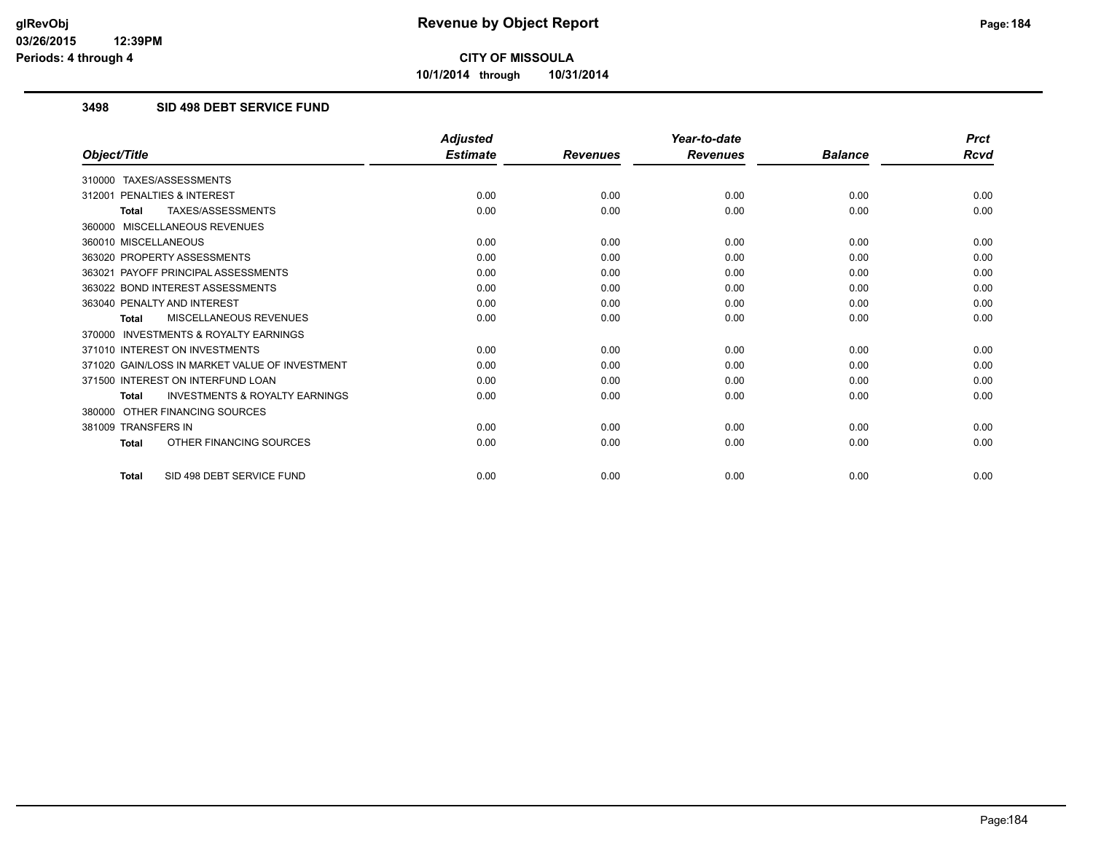**10/1/2014 through 10/31/2014**

### **3498 SID 498 DEBT SERVICE FUND**

|                                                           | <b>Adjusted</b> |                 | Year-to-date    |                | <b>Prct</b> |
|-----------------------------------------------------------|-----------------|-----------------|-----------------|----------------|-------------|
| Object/Title                                              | <b>Estimate</b> | <b>Revenues</b> | <b>Revenues</b> | <b>Balance</b> | Rcvd        |
| TAXES/ASSESSMENTS<br>310000                               |                 |                 |                 |                |             |
| <b>PENALTIES &amp; INTEREST</b><br>312001                 | 0.00            | 0.00            | 0.00            | 0.00           | 0.00        |
| TAXES/ASSESSMENTS<br><b>Total</b>                         | 0.00            | 0.00            | 0.00            | 0.00           | 0.00        |
| 360000 MISCELLANEOUS REVENUES                             |                 |                 |                 |                |             |
| 360010 MISCELLANEOUS                                      | 0.00            | 0.00            | 0.00            | 0.00           | 0.00        |
| 363020 PROPERTY ASSESSMENTS                               | 0.00            | 0.00            | 0.00            | 0.00           | 0.00        |
| 363021 PAYOFF PRINCIPAL ASSESSMENTS                       | 0.00            | 0.00            | 0.00            | 0.00           | 0.00        |
| 363022 BOND INTEREST ASSESSMENTS                          | 0.00            | 0.00            | 0.00            | 0.00           | 0.00        |
| 363040 PENALTY AND INTEREST                               | 0.00            | 0.00            | 0.00            | 0.00           | 0.00        |
| MISCELLANEOUS REVENUES<br><b>Total</b>                    | 0.00            | 0.00            | 0.00            | 0.00           | 0.00        |
| <b>INVESTMENTS &amp; ROYALTY EARNINGS</b><br>370000       |                 |                 |                 |                |             |
| 371010 INTEREST ON INVESTMENTS                            | 0.00            | 0.00            | 0.00            | 0.00           | 0.00        |
| 371020 GAIN/LOSS IN MARKET VALUE OF INVESTMENT            | 0.00            | 0.00            | 0.00            | 0.00           | 0.00        |
| 371500 INTEREST ON INTERFUND LOAN                         | 0.00            | 0.00            | 0.00            | 0.00           | 0.00        |
| <b>INVESTMENTS &amp; ROYALTY EARNINGS</b><br><b>Total</b> | 0.00            | 0.00            | 0.00            | 0.00           | 0.00        |
| OTHER FINANCING SOURCES<br>380000                         |                 |                 |                 |                |             |
| 381009 TRANSFERS IN                                       | 0.00            | 0.00            | 0.00            | 0.00           | 0.00        |
| OTHER FINANCING SOURCES<br><b>Total</b>                   | 0.00            | 0.00            | 0.00            | 0.00           | 0.00        |
| SID 498 DEBT SERVICE FUND<br><b>Total</b>                 | 0.00            | 0.00            | 0.00            | 0.00           | 0.00        |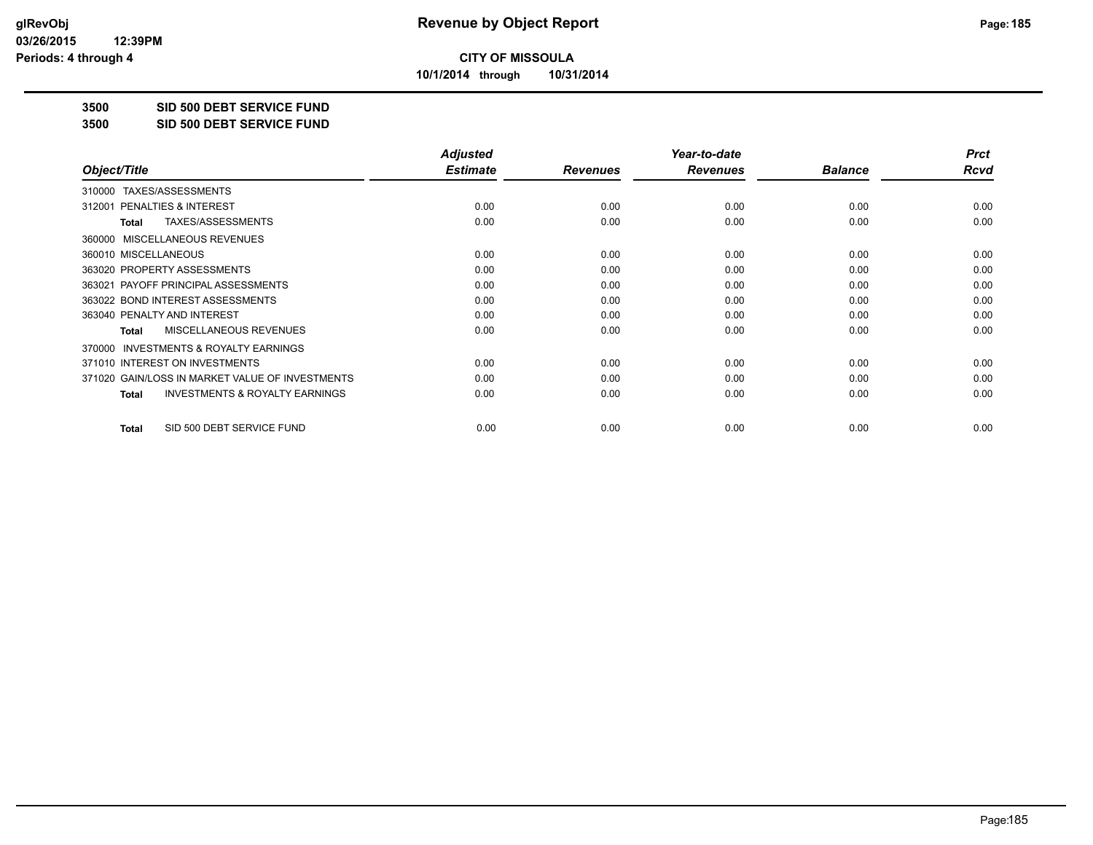**10/1/2014 through 10/31/2014**

#### **3500 SID 500 DEBT SERVICE FUND**

**3500 SID 500 DEBT SERVICE FUND**

|                                                    | <b>Adjusted</b> |                 | Year-to-date    |                | <b>Prct</b> |
|----------------------------------------------------|-----------------|-----------------|-----------------|----------------|-------------|
| Object/Title                                       | <b>Estimate</b> | <b>Revenues</b> | <b>Revenues</b> | <b>Balance</b> | Rcvd        |
| TAXES/ASSESSMENTS<br>310000                        |                 |                 |                 |                |             |
| <b>PENALTIES &amp; INTEREST</b><br>312001          | 0.00            | 0.00            | 0.00            | 0.00           | 0.00        |
| TAXES/ASSESSMENTS<br><b>Total</b>                  | 0.00            | 0.00            | 0.00            | 0.00           | 0.00        |
| 360000 MISCELLANEOUS REVENUES                      |                 |                 |                 |                |             |
| 360010 MISCELLANEOUS                               | 0.00            | 0.00            | 0.00            | 0.00           | 0.00        |
| 363020 PROPERTY ASSESSMENTS                        | 0.00            | 0.00            | 0.00            | 0.00           | 0.00        |
| 363021 PAYOFF PRINCIPAL ASSESSMENTS                | 0.00            | 0.00            | 0.00            | 0.00           | 0.00        |
| 363022 BOND INTEREST ASSESSMENTS                   | 0.00            | 0.00            | 0.00            | 0.00           | 0.00        |
| 363040 PENALTY AND INTEREST                        | 0.00            | 0.00            | 0.00            | 0.00           | 0.00        |
| MISCELLANEOUS REVENUES<br><b>Total</b>             | 0.00            | 0.00            | 0.00            | 0.00           | 0.00        |
| 370000 INVESTMENTS & ROYALTY EARNINGS              |                 |                 |                 |                |             |
| 371010 INTEREST ON INVESTMENTS                     | 0.00            | 0.00            | 0.00            | 0.00           | 0.00        |
| 371020 GAIN/LOSS IN MARKET VALUE OF INVESTMENTS    | 0.00            | 0.00            | 0.00            | 0.00           | 0.00        |
| <b>INVESTMENTS &amp; ROYALTY EARNINGS</b><br>Total | 0.00            | 0.00            | 0.00            | 0.00           | 0.00        |
|                                                    |                 |                 |                 |                |             |
| SID 500 DEBT SERVICE FUND<br><b>Total</b>          | 0.00            | 0.00            | 0.00            | 0.00           | 0.00        |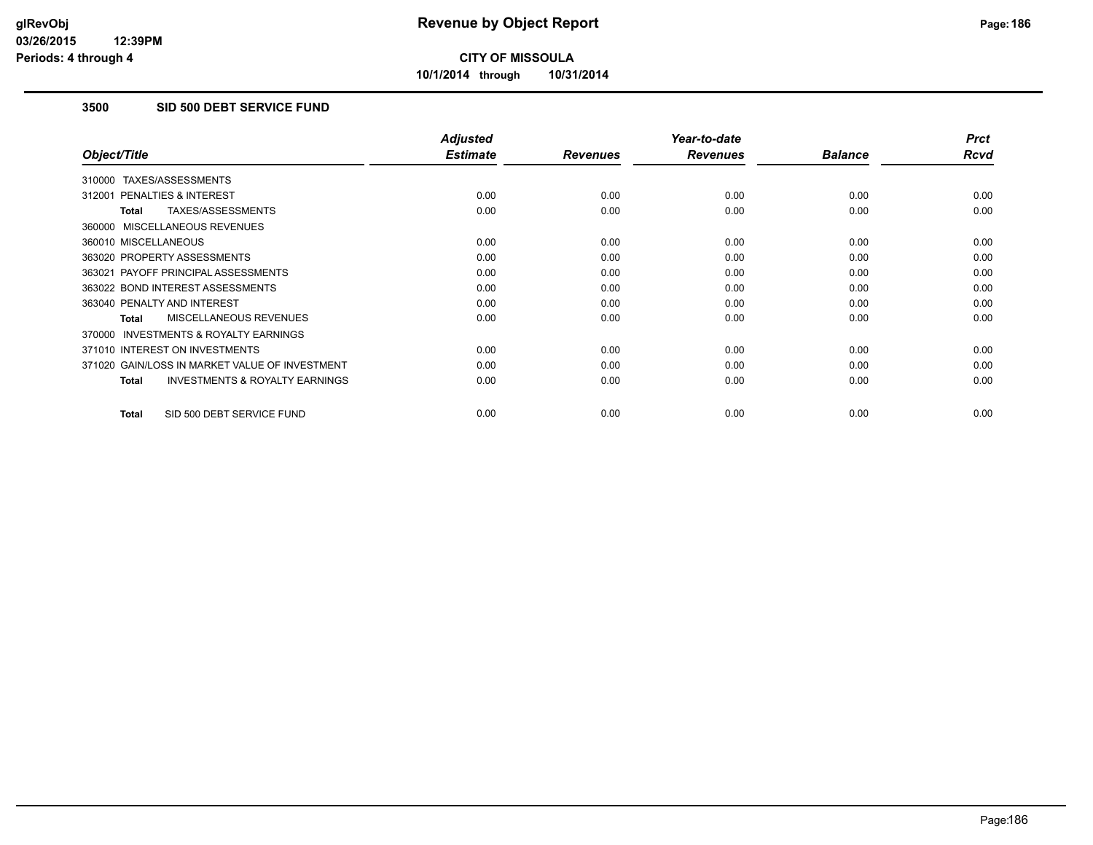**10/1/2014 through 10/31/2014**

### **3500 SID 500 DEBT SERVICE FUND**

|                                                           | <b>Adjusted</b> |                 | Year-to-date    |                | <b>Prct</b> |
|-----------------------------------------------------------|-----------------|-----------------|-----------------|----------------|-------------|
| Object/Title                                              | <b>Estimate</b> | <b>Revenues</b> | <b>Revenues</b> | <b>Balance</b> | <b>Rcvd</b> |
| 310000 TAXES/ASSESSMENTS                                  |                 |                 |                 |                |             |
| 312001 PENALTIES & INTEREST                               | 0.00            | 0.00            | 0.00            | 0.00           | 0.00        |
| TAXES/ASSESSMENTS<br><b>Total</b>                         | 0.00            | 0.00            | 0.00            | 0.00           | 0.00        |
| 360000 MISCELLANEOUS REVENUES                             |                 |                 |                 |                |             |
| 360010 MISCELLANEOUS                                      | 0.00            | 0.00            | 0.00            | 0.00           | 0.00        |
| 363020 PROPERTY ASSESSMENTS                               | 0.00            | 0.00            | 0.00            | 0.00           | 0.00        |
| 363021 PAYOFF PRINCIPAL ASSESSMENTS                       | 0.00            | 0.00            | 0.00            | 0.00           | 0.00        |
| 363022 BOND INTEREST ASSESSMENTS                          | 0.00            | 0.00            | 0.00            | 0.00           | 0.00        |
| 363040 PENALTY AND INTEREST                               | 0.00            | 0.00            | 0.00            | 0.00           | 0.00        |
| <b>MISCELLANEOUS REVENUES</b><br><b>Total</b>             | 0.00            | 0.00            | 0.00            | 0.00           | 0.00        |
| <b>INVESTMENTS &amp; ROYALTY EARNINGS</b><br>370000       |                 |                 |                 |                |             |
| 371010 INTEREST ON INVESTMENTS                            | 0.00            | 0.00            | 0.00            | 0.00           | 0.00        |
| 371020 GAIN/LOSS IN MARKET VALUE OF INVESTMENT            | 0.00            | 0.00            | 0.00            | 0.00           | 0.00        |
| <b>INVESTMENTS &amp; ROYALTY EARNINGS</b><br><b>Total</b> | 0.00            | 0.00            | 0.00            | 0.00           | 0.00        |
| SID 500 DEBT SERVICE FUND<br><b>Total</b>                 | 0.00            | 0.00            | 0.00            | 0.00           | 0.00        |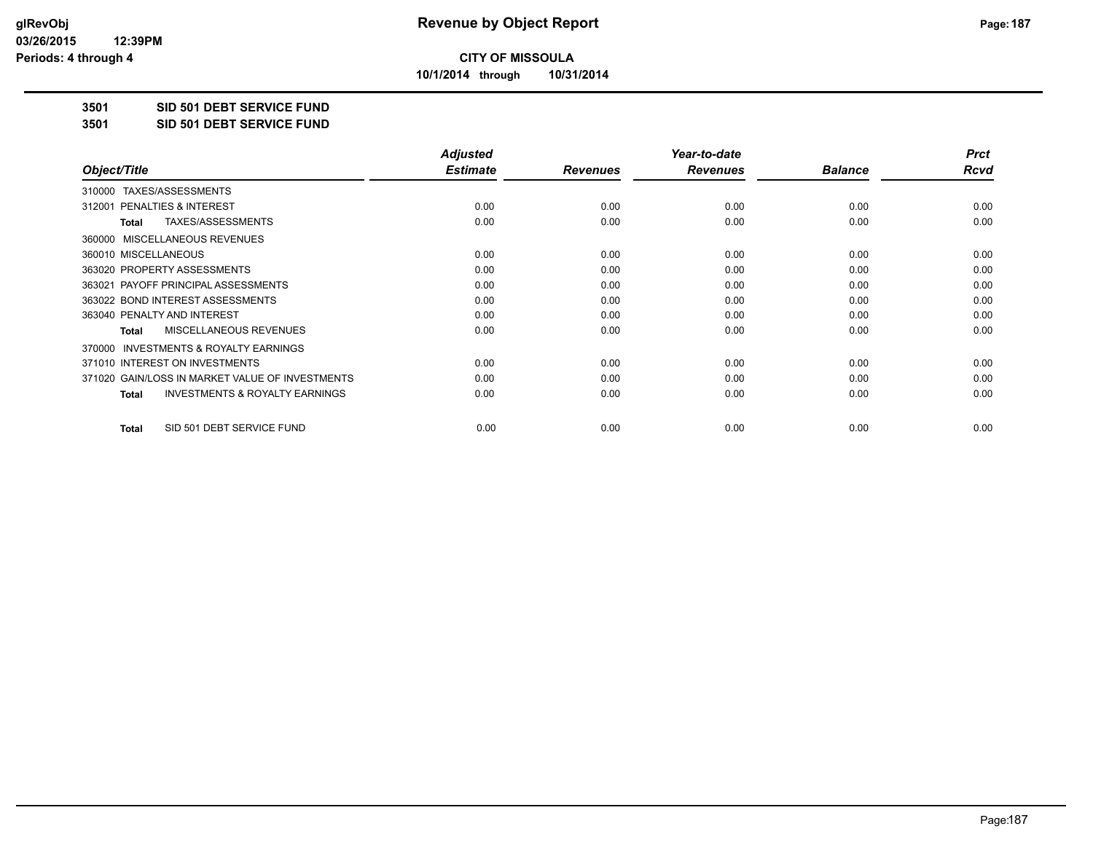**10/1/2014 through 10/31/2014**

### **3501 SID 501 DEBT SERVICE FUND**

**3501 SID 501 DEBT SERVICE FUND**

|                                                           | <b>Adjusted</b> |                 | Year-to-date    |                | <b>Prct</b> |
|-----------------------------------------------------------|-----------------|-----------------|-----------------|----------------|-------------|
| Object/Title                                              | <b>Estimate</b> | <b>Revenues</b> | <b>Revenues</b> | <b>Balance</b> | Rcvd        |
| TAXES/ASSESSMENTS<br>310000                               |                 |                 |                 |                |             |
| 312001 PENALTIES & INTEREST                               | 0.00            | 0.00            | 0.00            | 0.00           | 0.00        |
| TAXES/ASSESSMENTS<br><b>Total</b>                         | 0.00            | 0.00            | 0.00            | 0.00           | 0.00        |
| MISCELLANEOUS REVENUES<br>360000                          |                 |                 |                 |                |             |
| 360010 MISCELLANEOUS                                      | 0.00            | 0.00            | 0.00            | 0.00           | 0.00        |
| 363020 PROPERTY ASSESSMENTS                               | 0.00            | 0.00            | 0.00            | 0.00           | 0.00        |
| 363021 PAYOFF PRINCIPAL ASSESSMENTS                       | 0.00            | 0.00            | 0.00            | 0.00           | 0.00        |
| 363022 BOND INTEREST ASSESSMENTS                          | 0.00            | 0.00            | 0.00            | 0.00           | 0.00        |
| 363040 PENALTY AND INTEREST                               | 0.00            | 0.00            | 0.00            | 0.00           | 0.00        |
| MISCELLANEOUS REVENUES<br><b>Total</b>                    | 0.00            | 0.00            | 0.00            | 0.00           | 0.00        |
| <b>INVESTMENTS &amp; ROYALTY EARNINGS</b><br>370000       |                 |                 |                 |                |             |
| 371010 INTEREST ON INVESTMENTS                            | 0.00            | 0.00            | 0.00            | 0.00           | 0.00        |
| 371020 GAIN/LOSS IN MARKET VALUE OF INVESTMENTS           | 0.00            | 0.00            | 0.00            | 0.00           | 0.00        |
| <b>INVESTMENTS &amp; ROYALTY EARNINGS</b><br><b>Total</b> | 0.00            | 0.00            | 0.00            | 0.00           | 0.00        |
| SID 501 DEBT SERVICE FUND<br><b>Total</b>                 | 0.00            | 0.00            | 0.00            | 0.00           | 0.00        |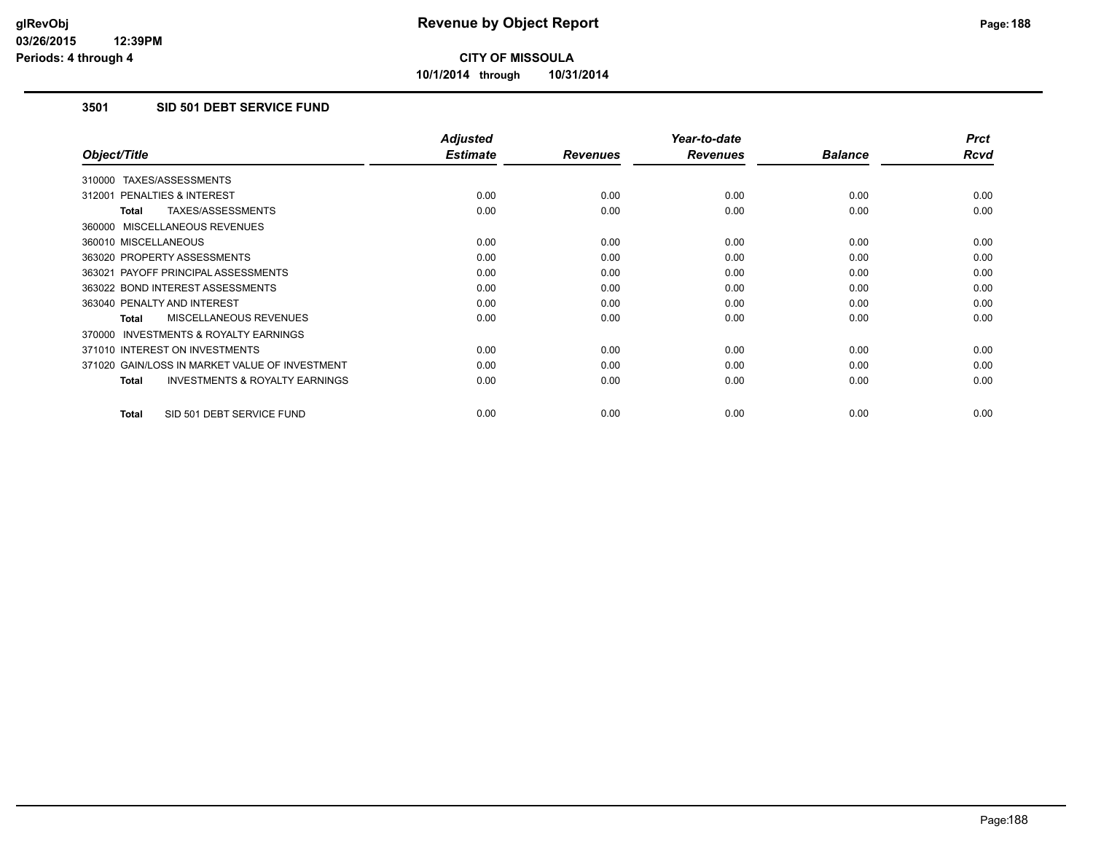**10/1/2014 through 10/31/2014**

### **3501 SID 501 DEBT SERVICE FUND**

|                                                           | <b>Adjusted</b> |                 | Year-to-date    |                | <b>Prct</b> |
|-----------------------------------------------------------|-----------------|-----------------|-----------------|----------------|-------------|
| Object/Title                                              | <b>Estimate</b> | <b>Revenues</b> | <b>Revenues</b> | <b>Balance</b> | <b>Rcvd</b> |
| 310000 TAXES/ASSESSMENTS                                  |                 |                 |                 |                |             |
| 312001 PENALTIES & INTEREST                               | 0.00            | 0.00            | 0.00            | 0.00           | 0.00        |
| <b>TAXES/ASSESSMENTS</b><br><b>Total</b>                  | 0.00            | 0.00            | 0.00            | 0.00           | 0.00        |
| 360000 MISCELLANEOUS REVENUES                             |                 |                 |                 |                |             |
| 360010 MISCELLANEOUS                                      | 0.00            | 0.00            | 0.00            | 0.00           | 0.00        |
| 363020 PROPERTY ASSESSMENTS                               | 0.00            | 0.00            | 0.00            | 0.00           | 0.00        |
| 363021 PAYOFF PRINCIPAL ASSESSMENTS                       | 0.00            | 0.00            | 0.00            | 0.00           | 0.00        |
| 363022 BOND INTEREST ASSESSMENTS                          | 0.00            | 0.00            | 0.00            | 0.00           | 0.00        |
| 363040 PENALTY AND INTEREST                               | 0.00            | 0.00            | 0.00            | 0.00           | 0.00        |
| MISCELLANEOUS REVENUES<br><b>Total</b>                    | 0.00            | 0.00            | 0.00            | 0.00           | 0.00        |
| <b>INVESTMENTS &amp; ROYALTY EARNINGS</b><br>370000       |                 |                 |                 |                |             |
| 371010 INTEREST ON INVESTMENTS                            | 0.00            | 0.00            | 0.00            | 0.00           | 0.00        |
| 371020 GAIN/LOSS IN MARKET VALUE OF INVESTMENT            | 0.00            | 0.00            | 0.00            | 0.00           | 0.00        |
| <b>INVESTMENTS &amp; ROYALTY EARNINGS</b><br><b>Total</b> | 0.00            | 0.00            | 0.00            | 0.00           | 0.00        |
| SID 501 DEBT SERVICE FUND<br><b>Total</b>                 | 0.00            | 0.00            | 0.00            | 0.00           | 0.00        |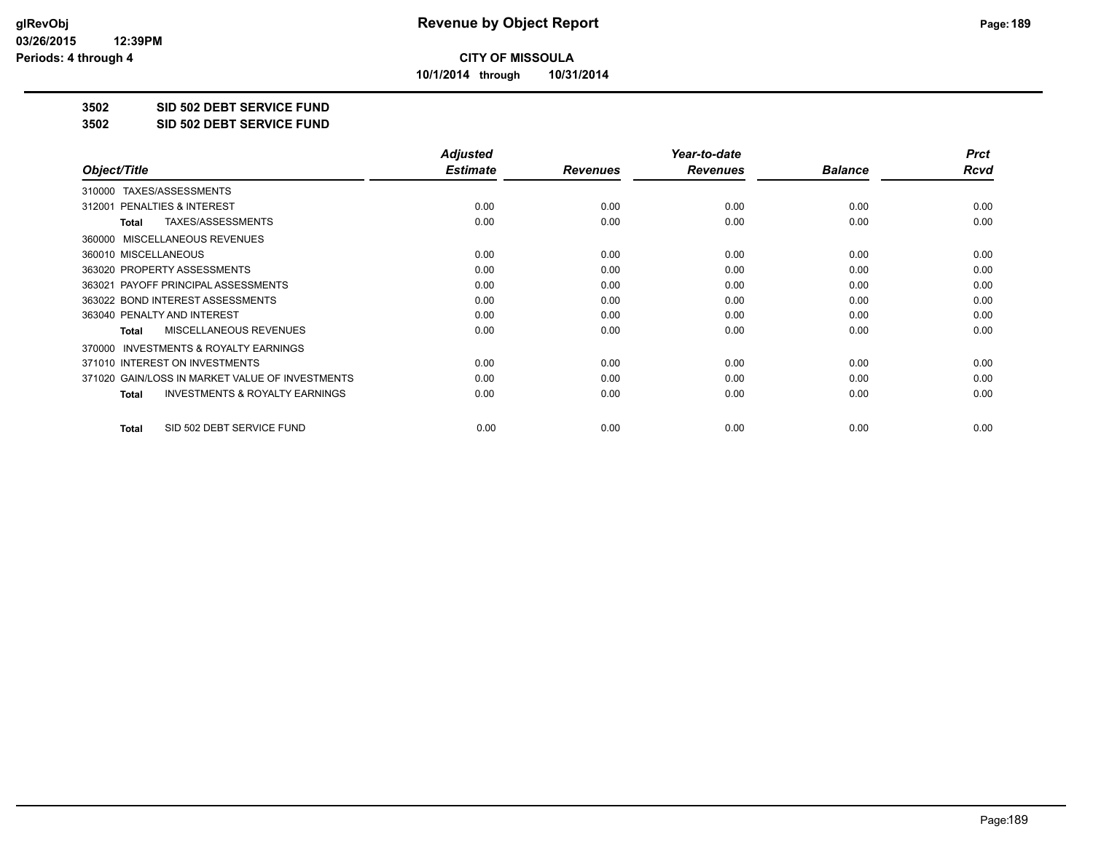**10/1/2014 through 10/31/2014**

### **3502 SID 502 DEBT SERVICE FUND**

**3502 SID 502 DEBT SERVICE FUND**

|                                                           | <b>Adjusted</b> |                 | Year-to-date    |                | <b>Prct</b> |
|-----------------------------------------------------------|-----------------|-----------------|-----------------|----------------|-------------|
| Object/Title                                              | <b>Estimate</b> | <b>Revenues</b> | <b>Revenues</b> | <b>Balance</b> | Rcvd        |
| TAXES/ASSESSMENTS<br>310000                               |                 |                 |                 |                |             |
| 312001 PENALTIES & INTEREST                               | 0.00            | 0.00            | 0.00            | 0.00           | 0.00        |
| TAXES/ASSESSMENTS<br><b>Total</b>                         | 0.00            | 0.00            | 0.00            | 0.00           | 0.00        |
| MISCELLANEOUS REVENUES<br>360000                          |                 |                 |                 |                |             |
| 360010 MISCELLANEOUS                                      | 0.00            | 0.00            | 0.00            | 0.00           | 0.00        |
| 363020 PROPERTY ASSESSMENTS                               | 0.00            | 0.00            | 0.00            | 0.00           | 0.00        |
| 363021 PAYOFF PRINCIPAL ASSESSMENTS                       | 0.00            | 0.00            | 0.00            | 0.00           | 0.00        |
| 363022 BOND INTEREST ASSESSMENTS                          | 0.00            | 0.00            | 0.00            | 0.00           | 0.00        |
| 363040 PENALTY AND INTEREST                               | 0.00            | 0.00            | 0.00            | 0.00           | 0.00        |
| MISCELLANEOUS REVENUES<br><b>Total</b>                    | 0.00            | 0.00            | 0.00            | 0.00           | 0.00        |
| <b>INVESTMENTS &amp; ROYALTY EARNINGS</b><br>370000       |                 |                 |                 |                |             |
| 371010 INTEREST ON INVESTMENTS                            | 0.00            | 0.00            | 0.00            | 0.00           | 0.00        |
| 371020 GAIN/LOSS IN MARKET VALUE OF INVESTMENTS           | 0.00            | 0.00            | 0.00            | 0.00           | 0.00        |
| <b>INVESTMENTS &amp; ROYALTY EARNINGS</b><br><b>Total</b> | 0.00            | 0.00            | 0.00            | 0.00           | 0.00        |
| SID 502 DEBT SERVICE FUND<br><b>Total</b>                 | 0.00            | 0.00            | 0.00            | 0.00           | 0.00        |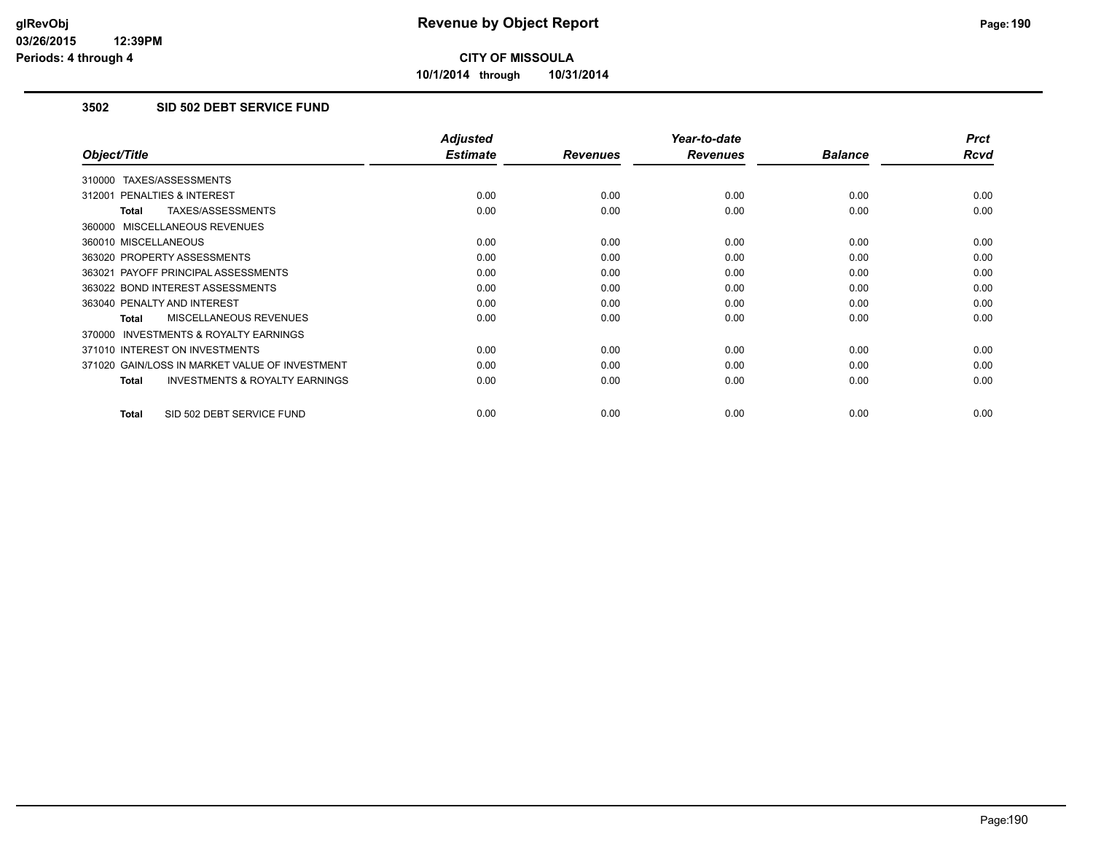**10/1/2014 through 10/31/2014**

### **3502 SID 502 DEBT SERVICE FUND**

|                                                           | <b>Adjusted</b> |                 | Year-to-date    |                | <b>Prct</b> |
|-----------------------------------------------------------|-----------------|-----------------|-----------------|----------------|-------------|
| Object/Title                                              | <b>Estimate</b> | <b>Revenues</b> | <b>Revenues</b> | <b>Balance</b> | <b>Rcvd</b> |
| 310000 TAXES/ASSESSMENTS                                  |                 |                 |                 |                |             |
| 312001 PENALTIES & INTEREST                               | 0.00            | 0.00            | 0.00            | 0.00           | 0.00        |
| TAXES/ASSESSMENTS<br><b>Total</b>                         | 0.00            | 0.00            | 0.00            | 0.00           | 0.00        |
| 360000 MISCELLANEOUS REVENUES                             |                 |                 |                 |                |             |
| 360010 MISCELLANEOUS                                      | 0.00            | 0.00            | 0.00            | 0.00           | 0.00        |
| 363020 PROPERTY ASSESSMENTS                               | 0.00            | 0.00            | 0.00            | 0.00           | 0.00        |
| 363021 PAYOFF PRINCIPAL ASSESSMENTS                       | 0.00            | 0.00            | 0.00            | 0.00           | 0.00        |
| 363022 BOND INTEREST ASSESSMENTS                          | 0.00            | 0.00            | 0.00            | 0.00           | 0.00        |
| 363040 PENALTY AND INTEREST                               | 0.00            | 0.00            | 0.00            | 0.00           | 0.00        |
| MISCELLANEOUS REVENUES<br>Total                           | 0.00            | 0.00            | 0.00            | 0.00           | 0.00        |
| <b>INVESTMENTS &amp; ROYALTY EARNINGS</b><br>370000       |                 |                 |                 |                |             |
| 371010 INTEREST ON INVESTMENTS                            | 0.00            | 0.00            | 0.00            | 0.00           | 0.00        |
| 371020 GAIN/LOSS IN MARKET VALUE OF INVESTMENT            | 0.00            | 0.00            | 0.00            | 0.00           | 0.00        |
| <b>INVESTMENTS &amp; ROYALTY EARNINGS</b><br><b>Total</b> | 0.00            | 0.00            | 0.00            | 0.00           | 0.00        |
| SID 502 DEBT SERVICE FUND<br><b>Total</b>                 | 0.00            | 0.00            | 0.00            | 0.00           | 0.00        |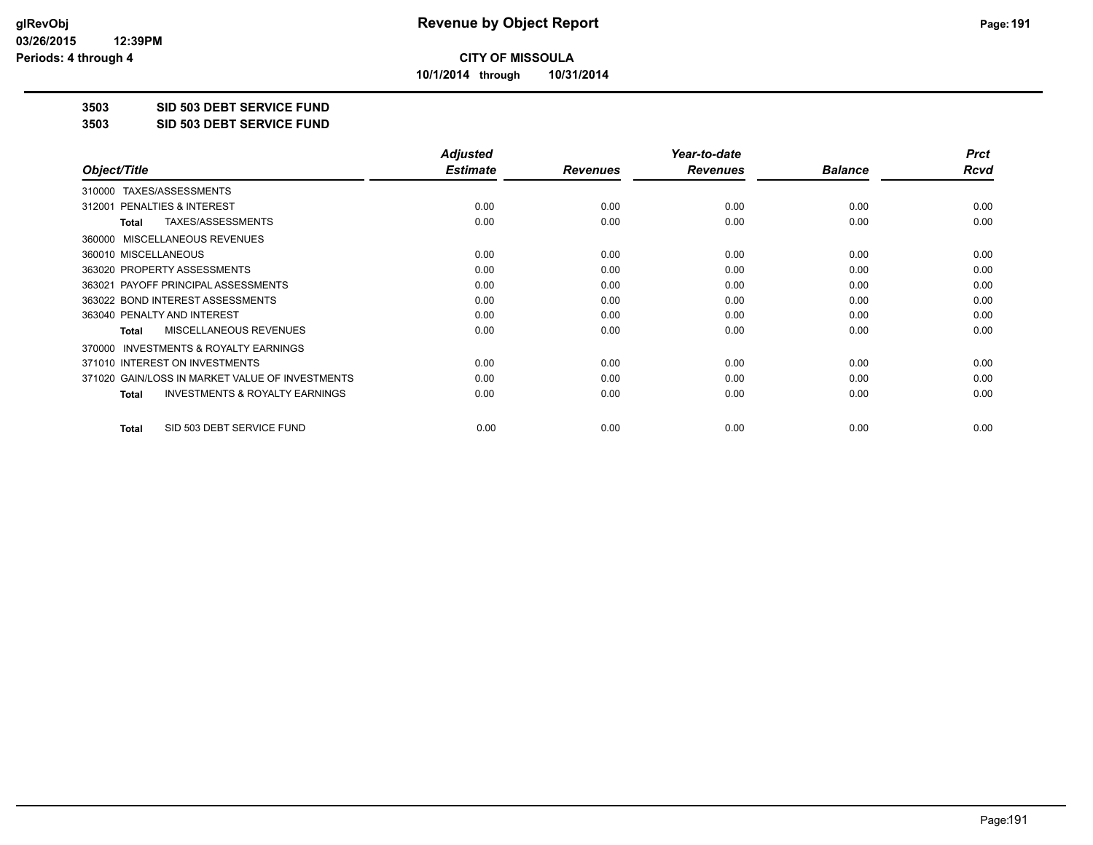**10/1/2014 through 10/31/2014**

### **3503 SID 503 DEBT SERVICE FUND**

**3503 SID 503 DEBT SERVICE FUND**

|                                                           | <b>Adjusted</b> |                 | Year-to-date    |                | <b>Prct</b> |
|-----------------------------------------------------------|-----------------|-----------------|-----------------|----------------|-------------|
| Object/Title                                              | <b>Estimate</b> | <b>Revenues</b> | <b>Revenues</b> | <b>Balance</b> | Rcvd        |
| TAXES/ASSESSMENTS<br>310000                               |                 |                 |                 |                |             |
| 312001 PENALTIES & INTEREST                               | 0.00            | 0.00            | 0.00            | 0.00           | 0.00        |
| TAXES/ASSESSMENTS<br><b>Total</b>                         | 0.00            | 0.00            | 0.00            | 0.00           | 0.00        |
| MISCELLANEOUS REVENUES<br>360000                          |                 |                 |                 |                |             |
| 360010 MISCELLANEOUS                                      | 0.00            | 0.00            | 0.00            | 0.00           | 0.00        |
| 363020 PROPERTY ASSESSMENTS                               | 0.00            | 0.00            | 0.00            | 0.00           | 0.00        |
| 363021 PAYOFF PRINCIPAL ASSESSMENTS                       | 0.00            | 0.00            | 0.00            | 0.00           | 0.00        |
| 363022 BOND INTEREST ASSESSMENTS                          | 0.00            | 0.00            | 0.00            | 0.00           | 0.00        |
| 363040 PENALTY AND INTEREST                               | 0.00            | 0.00            | 0.00            | 0.00           | 0.00        |
| MISCELLANEOUS REVENUES<br><b>Total</b>                    | 0.00            | 0.00            | 0.00            | 0.00           | 0.00        |
| <b>INVESTMENTS &amp; ROYALTY EARNINGS</b><br>370000       |                 |                 |                 |                |             |
| 371010 INTEREST ON INVESTMENTS                            | 0.00            | 0.00            | 0.00            | 0.00           | 0.00        |
| 371020 GAIN/LOSS IN MARKET VALUE OF INVESTMENTS           | 0.00            | 0.00            | 0.00            | 0.00           | 0.00        |
| <b>INVESTMENTS &amp; ROYALTY EARNINGS</b><br><b>Total</b> | 0.00            | 0.00            | 0.00            | 0.00           | 0.00        |
| SID 503 DEBT SERVICE FUND<br><b>Total</b>                 | 0.00            | 0.00            | 0.00            | 0.00           | 0.00        |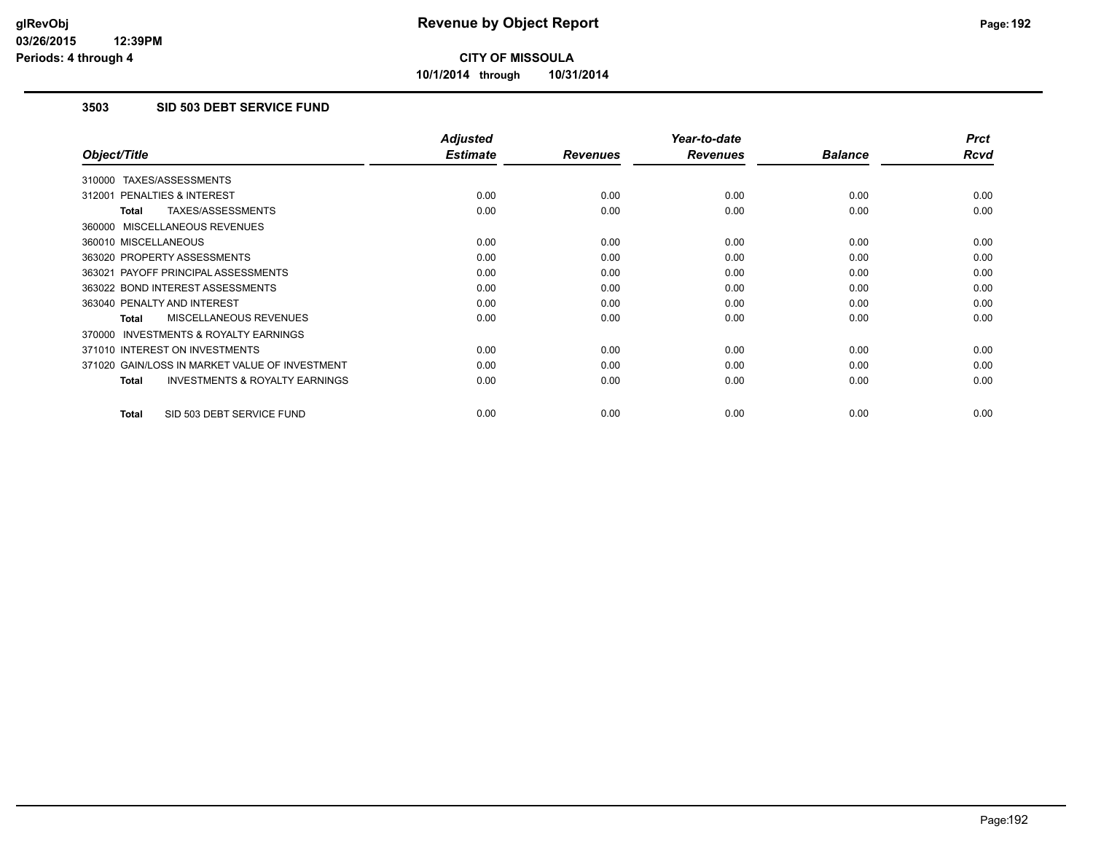**10/1/2014 through 10/31/2014**

### **3503 SID 503 DEBT SERVICE FUND**

|                                                           | <b>Adjusted</b> |                 | Year-to-date    |                | <b>Prct</b> |
|-----------------------------------------------------------|-----------------|-----------------|-----------------|----------------|-------------|
| Object/Title                                              | <b>Estimate</b> | <b>Revenues</b> | <b>Revenues</b> | <b>Balance</b> | <b>Rcvd</b> |
| 310000 TAXES/ASSESSMENTS                                  |                 |                 |                 |                |             |
| 312001 PENALTIES & INTEREST                               | 0.00            | 0.00            | 0.00            | 0.00           | 0.00        |
| <b>TAXES/ASSESSMENTS</b><br><b>Total</b>                  | 0.00            | 0.00            | 0.00            | 0.00           | 0.00        |
| 360000 MISCELLANEOUS REVENUES                             |                 |                 |                 |                |             |
| 360010 MISCELLANEOUS                                      | 0.00            | 0.00            | 0.00            | 0.00           | 0.00        |
| 363020 PROPERTY ASSESSMENTS                               | 0.00            | 0.00            | 0.00            | 0.00           | 0.00        |
| 363021 PAYOFF PRINCIPAL ASSESSMENTS                       | 0.00            | 0.00            | 0.00            | 0.00           | 0.00        |
| 363022 BOND INTEREST ASSESSMENTS                          | 0.00            | 0.00            | 0.00            | 0.00           | 0.00        |
| 363040 PENALTY AND INTEREST                               | 0.00            | 0.00            | 0.00            | 0.00           | 0.00        |
| MISCELLANEOUS REVENUES<br><b>Total</b>                    | 0.00            | 0.00            | 0.00            | 0.00           | 0.00        |
| <b>INVESTMENTS &amp; ROYALTY EARNINGS</b><br>370000       |                 |                 |                 |                |             |
| 371010 INTEREST ON INVESTMENTS                            | 0.00            | 0.00            | 0.00            | 0.00           | 0.00        |
| 371020 GAIN/LOSS IN MARKET VALUE OF INVESTMENT            | 0.00            | 0.00            | 0.00            | 0.00           | 0.00        |
| <b>INVESTMENTS &amp; ROYALTY EARNINGS</b><br><b>Total</b> | 0.00            | 0.00            | 0.00            | 0.00           | 0.00        |
| SID 503 DEBT SERVICE FUND<br><b>Total</b>                 | 0.00            | 0.00            | 0.00            | 0.00           | 0.00        |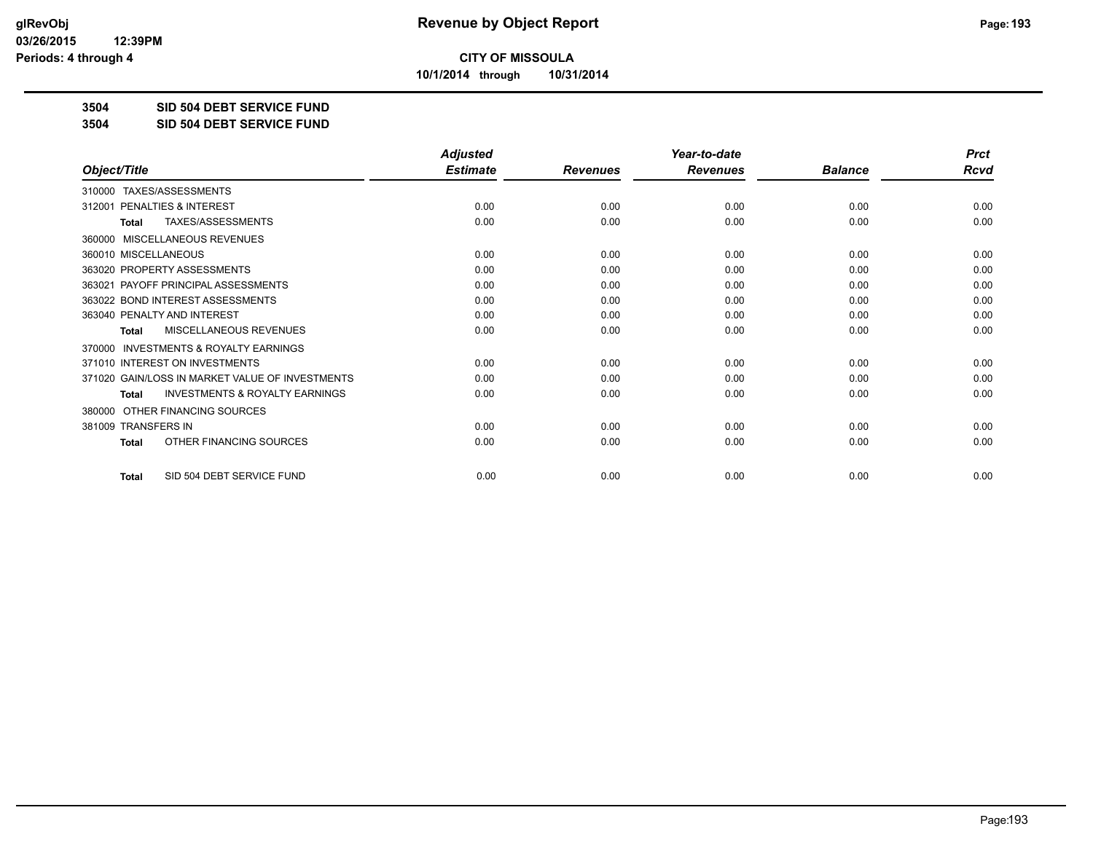**10/1/2014 through 10/31/2014**

### **3504 SID 504 DEBT SERVICE FUND**

**3504 SID 504 DEBT SERVICE FUND**

|                                                           | <b>Adjusted</b> |                 | Year-to-date    |                | <b>Prct</b> |
|-----------------------------------------------------------|-----------------|-----------------|-----------------|----------------|-------------|
| Object/Title                                              | <b>Estimate</b> | <b>Revenues</b> | <b>Revenues</b> | <b>Balance</b> | <b>Rcvd</b> |
| TAXES/ASSESSMENTS<br>310000                               |                 |                 |                 |                |             |
| 312001 PENALTIES & INTEREST                               | 0.00            | 0.00            | 0.00            | 0.00           | 0.00        |
| TAXES/ASSESSMENTS<br><b>Total</b>                         | 0.00            | 0.00            | 0.00            | 0.00           | 0.00        |
| MISCELLANEOUS REVENUES<br>360000                          |                 |                 |                 |                |             |
| 360010 MISCELLANEOUS                                      | 0.00            | 0.00            | 0.00            | 0.00           | 0.00        |
| 363020 PROPERTY ASSESSMENTS                               | 0.00            | 0.00            | 0.00            | 0.00           | 0.00        |
| 363021 PAYOFF PRINCIPAL ASSESSMENTS                       | 0.00            | 0.00            | 0.00            | 0.00           | 0.00        |
| 363022 BOND INTEREST ASSESSMENTS                          | 0.00            | 0.00            | 0.00            | 0.00           | 0.00        |
| 363040 PENALTY AND INTEREST                               | 0.00            | 0.00            | 0.00            | 0.00           | 0.00        |
| <b>MISCELLANEOUS REVENUES</b><br><b>Total</b>             | 0.00            | 0.00            | 0.00            | 0.00           | 0.00        |
| <b>INVESTMENTS &amp; ROYALTY EARNINGS</b><br>370000       |                 |                 |                 |                |             |
| 371010 INTEREST ON INVESTMENTS                            | 0.00            | 0.00            | 0.00            | 0.00           | 0.00        |
| 371020 GAIN/LOSS IN MARKET VALUE OF INVESTMENTS           | 0.00            | 0.00            | 0.00            | 0.00           | 0.00        |
| <b>INVESTMENTS &amp; ROYALTY EARNINGS</b><br><b>Total</b> | 0.00            | 0.00            | 0.00            | 0.00           | 0.00        |
| OTHER FINANCING SOURCES<br>380000                         |                 |                 |                 |                |             |
| 381009 TRANSFERS IN                                       | 0.00            | 0.00            | 0.00            | 0.00           | 0.00        |
| OTHER FINANCING SOURCES<br><b>Total</b>                   | 0.00            | 0.00            | 0.00            | 0.00           | 0.00        |
| SID 504 DEBT SERVICE FUND<br><b>Total</b>                 | 0.00            | 0.00            | 0.00            | 0.00           | 0.00        |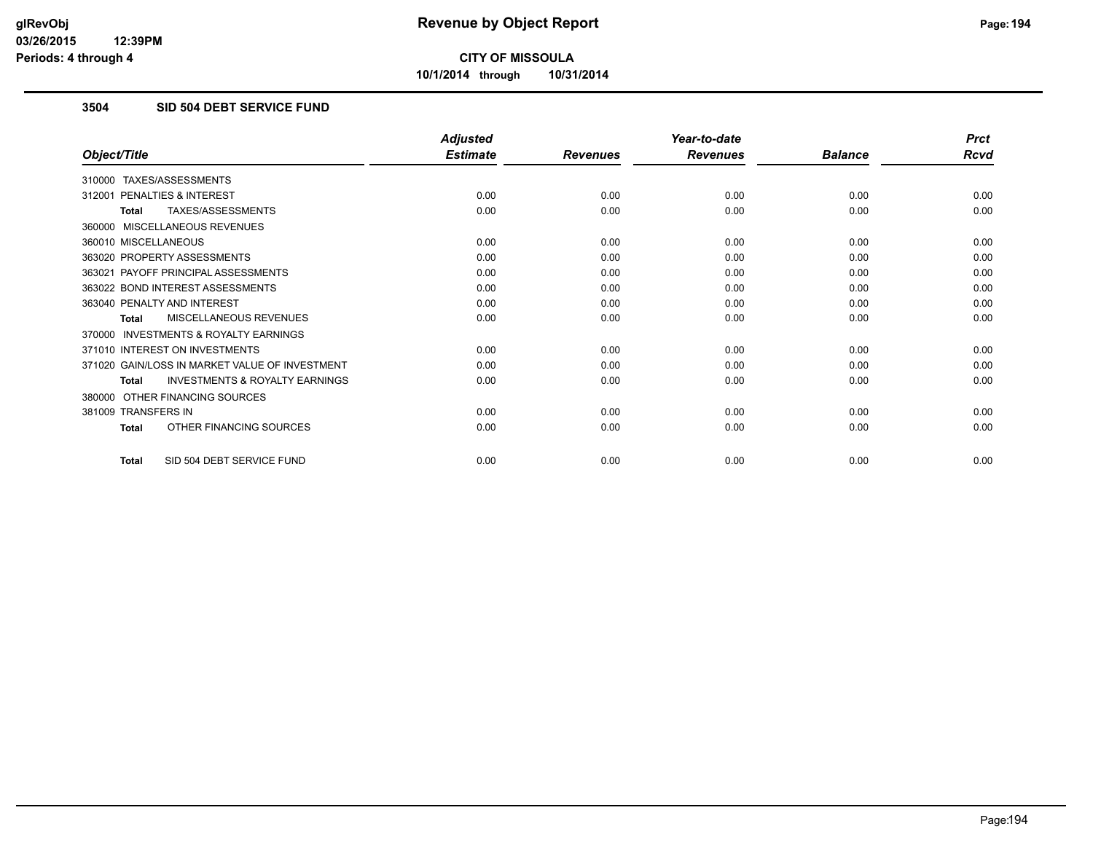**10/1/2014 through 10/31/2014**

### **3504 SID 504 DEBT SERVICE FUND**

|                                                           | <b>Adjusted</b> |                 | Year-to-date    |                | <b>Prct</b> |
|-----------------------------------------------------------|-----------------|-----------------|-----------------|----------------|-------------|
| Object/Title                                              | <b>Estimate</b> | <b>Revenues</b> | <b>Revenues</b> | <b>Balance</b> | <b>Rcvd</b> |
| TAXES/ASSESSMENTS<br>310000                               |                 |                 |                 |                |             |
| PENALTIES & INTEREST<br>312001                            | 0.00            | 0.00            | 0.00            | 0.00           | 0.00        |
| TAXES/ASSESSMENTS<br><b>Total</b>                         | 0.00            | 0.00            | 0.00            | 0.00           | 0.00        |
| MISCELLANEOUS REVENUES<br>360000                          |                 |                 |                 |                |             |
| 360010 MISCELLANEOUS                                      | 0.00            | 0.00            | 0.00            | 0.00           | 0.00        |
| 363020 PROPERTY ASSESSMENTS                               | 0.00            | 0.00            | 0.00            | 0.00           | 0.00        |
| 363021 PAYOFF PRINCIPAL ASSESSMENTS                       | 0.00            | 0.00            | 0.00            | 0.00           | 0.00        |
| 363022 BOND INTEREST ASSESSMENTS                          | 0.00            | 0.00            | 0.00            | 0.00           | 0.00        |
| 363040 PENALTY AND INTEREST                               | 0.00            | 0.00            | 0.00            | 0.00           | 0.00        |
| MISCELLANEOUS REVENUES<br><b>Total</b>                    | 0.00            | 0.00            | 0.00            | 0.00           | 0.00        |
| <b>INVESTMENTS &amp; ROYALTY EARNINGS</b><br>370000       |                 |                 |                 |                |             |
| 371010 INTEREST ON INVESTMENTS                            | 0.00            | 0.00            | 0.00            | 0.00           | 0.00        |
| 371020 GAIN/LOSS IN MARKET VALUE OF INVESTMENT            | 0.00            | 0.00            | 0.00            | 0.00           | 0.00        |
| <b>INVESTMENTS &amp; ROYALTY EARNINGS</b><br><b>Total</b> | 0.00            | 0.00            | 0.00            | 0.00           | 0.00        |
| OTHER FINANCING SOURCES<br>380000                         |                 |                 |                 |                |             |
| 381009 TRANSFERS IN                                       | 0.00            | 0.00            | 0.00            | 0.00           | 0.00        |
| OTHER FINANCING SOURCES<br><b>Total</b>                   | 0.00            | 0.00            | 0.00            | 0.00           | 0.00        |
| SID 504 DEBT SERVICE FUND<br><b>Total</b>                 | 0.00            | 0.00            | 0.00            | 0.00           | 0.00        |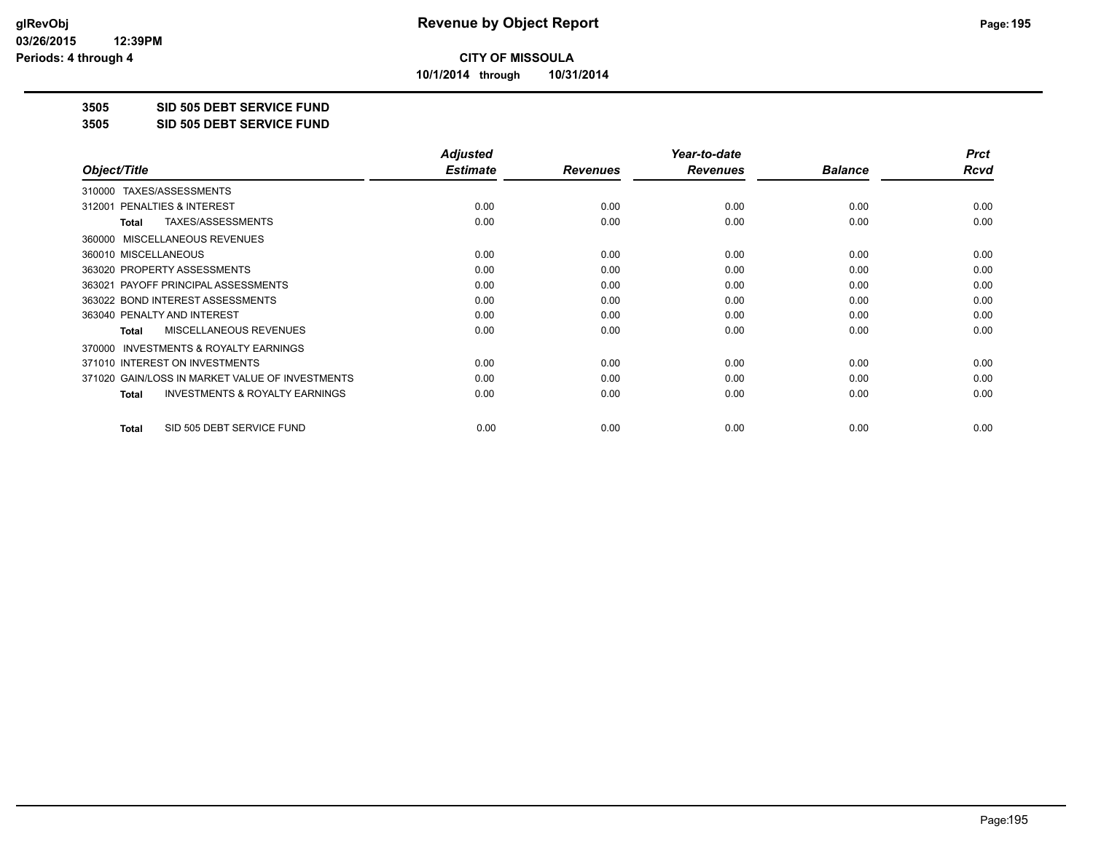**10/1/2014 through 10/31/2014**

**3505 SID 505 DEBT SERVICE FUND**

**3505 SID 505 DEBT SERVICE FUND**

|                                                           | <b>Adjusted</b> |                 | Year-to-date    |                | <b>Prct</b> |
|-----------------------------------------------------------|-----------------|-----------------|-----------------|----------------|-------------|
| Object/Title                                              | <b>Estimate</b> | <b>Revenues</b> | <b>Revenues</b> | <b>Balance</b> | Rcvd        |
| TAXES/ASSESSMENTS<br>310000                               |                 |                 |                 |                |             |
| 312001 PENALTIES & INTEREST                               | 0.00            | 0.00            | 0.00            | 0.00           | 0.00        |
| TAXES/ASSESSMENTS<br>Total                                | 0.00            | 0.00            | 0.00            | 0.00           | 0.00        |
| MISCELLANEOUS REVENUES<br>360000                          |                 |                 |                 |                |             |
| 360010 MISCELLANEOUS                                      | 0.00            | 0.00            | 0.00            | 0.00           | 0.00        |
| 363020 PROPERTY ASSESSMENTS                               | 0.00            | 0.00            | 0.00            | 0.00           | 0.00        |
| 363021 PAYOFF PRINCIPAL ASSESSMENTS                       | 0.00            | 0.00            | 0.00            | 0.00           | 0.00        |
| 363022 BOND INTEREST ASSESSMENTS                          | 0.00            | 0.00            | 0.00            | 0.00           | 0.00        |
| 363040 PENALTY AND INTEREST                               | 0.00            | 0.00            | 0.00            | 0.00           | 0.00        |
| MISCELLANEOUS REVENUES<br><b>Total</b>                    | 0.00            | 0.00            | 0.00            | 0.00           | 0.00        |
| <b>INVESTMENTS &amp; ROYALTY EARNINGS</b><br>370000       |                 |                 |                 |                |             |
| 371010 INTEREST ON INVESTMENTS                            | 0.00            | 0.00            | 0.00            | 0.00           | 0.00        |
| 371020 GAIN/LOSS IN MARKET VALUE OF INVESTMENTS           | 0.00            | 0.00            | 0.00            | 0.00           | 0.00        |
| <b>INVESTMENTS &amp; ROYALTY EARNINGS</b><br><b>Total</b> | 0.00            | 0.00            | 0.00            | 0.00           | 0.00        |
| SID 505 DEBT SERVICE FUND<br><b>Total</b>                 | 0.00            | 0.00            | 0.00            | 0.00           | 0.00        |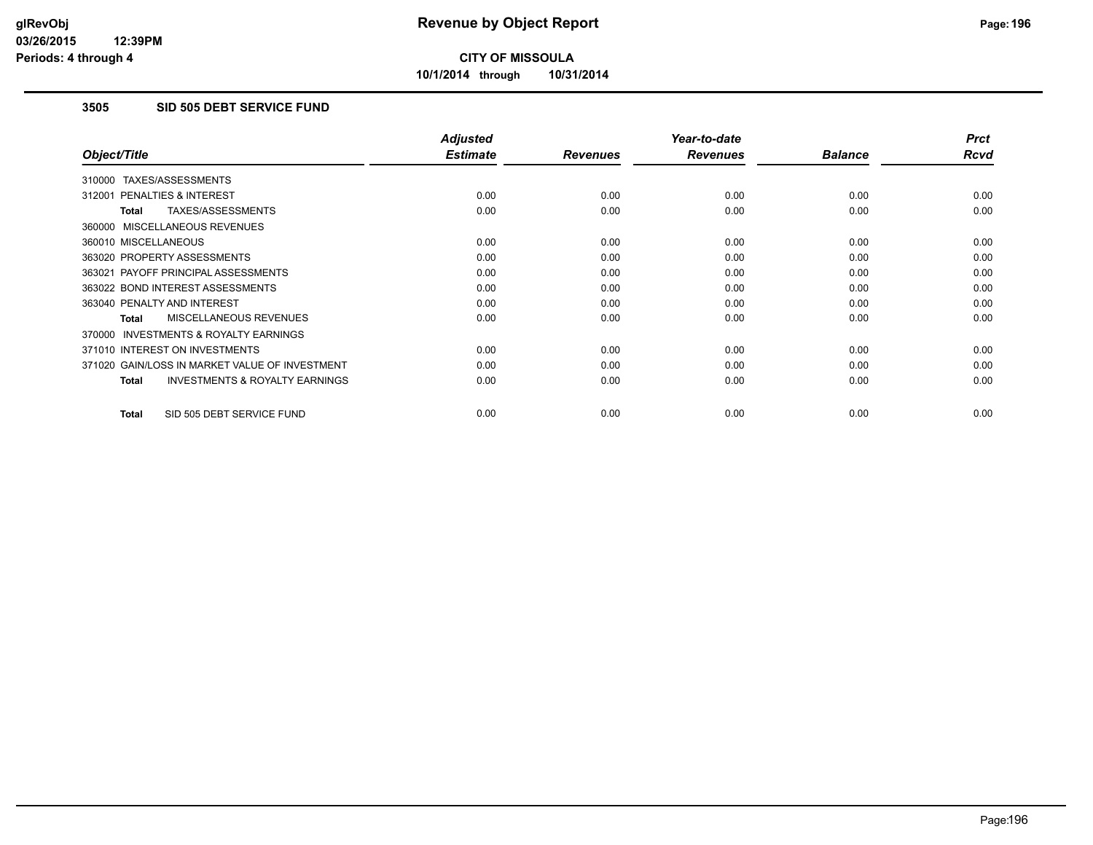**10/1/2014 through 10/31/2014**

### **3505 SID 505 DEBT SERVICE FUND**

|                                                     | <b>Adjusted</b> |                 | Year-to-date    |                | <b>Prct</b> |
|-----------------------------------------------------|-----------------|-----------------|-----------------|----------------|-------------|
| Object/Title                                        | <b>Estimate</b> | <b>Revenues</b> | <b>Revenues</b> | <b>Balance</b> | Rcvd        |
| 310000 TAXES/ASSESSMENTS                            |                 |                 |                 |                |             |
| 312001 PENALTIES & INTEREST                         | 0.00            | 0.00            | 0.00            | 0.00           | 0.00        |
| TAXES/ASSESSMENTS<br>Total                          | 0.00            | 0.00            | 0.00            | 0.00           | 0.00        |
| 360000 MISCELLANEOUS REVENUES                       |                 |                 |                 |                |             |
| 360010 MISCELLANEOUS                                | 0.00            | 0.00            | 0.00            | 0.00           | 0.00        |
| 363020 PROPERTY ASSESSMENTS                         | 0.00            | 0.00            | 0.00            | 0.00           | 0.00        |
| 363021 PAYOFF PRINCIPAL ASSESSMENTS                 | 0.00            | 0.00            | 0.00            | 0.00           | 0.00        |
| 363022 BOND INTEREST ASSESSMENTS                    | 0.00            | 0.00            | 0.00            | 0.00           | 0.00        |
| 363040 PENALTY AND INTEREST                         | 0.00            | 0.00            | 0.00            | 0.00           | 0.00        |
| <b>MISCELLANEOUS REVENUES</b><br>Total              | 0.00            | 0.00            | 0.00            | 0.00           | 0.00        |
| <b>INVESTMENTS &amp; ROYALTY EARNINGS</b><br>370000 |                 |                 |                 |                |             |
| 371010 INTEREST ON INVESTMENTS                      | 0.00            | 0.00            | 0.00            | 0.00           | 0.00        |
| 371020 GAIN/LOSS IN MARKET VALUE OF INVESTMENT      | 0.00            | 0.00            | 0.00            | 0.00           | 0.00        |
| <b>INVESTMENTS &amp; ROYALTY EARNINGS</b><br>Total  | 0.00            | 0.00            | 0.00            | 0.00           | 0.00        |
| SID 505 DEBT SERVICE FUND<br><b>Total</b>           | 0.00            | 0.00            | 0.00            | 0.00           | 0.00        |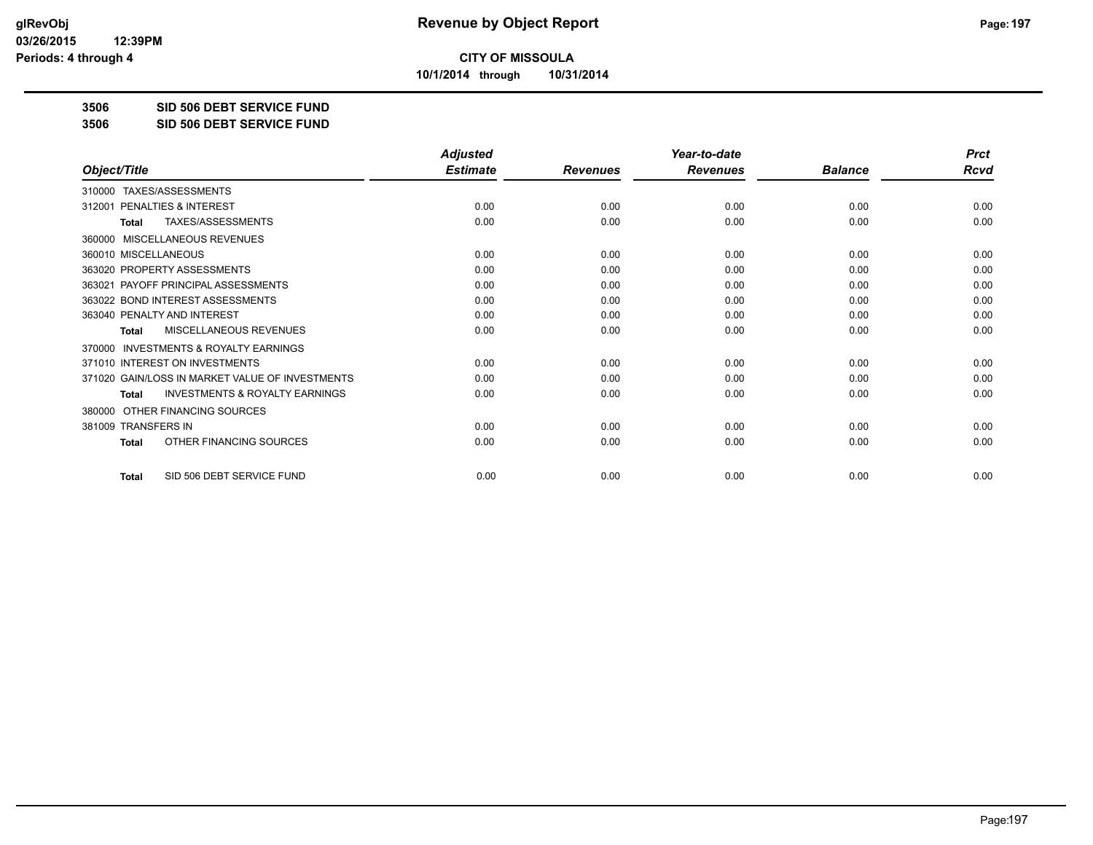**10/1/2014 through 10/31/2014**

#### **3506 SID 506 DEBT SERVICE FUND**

**3506 SID 506 DEBT SERVICE FUND**

|                                                           | <b>Adjusted</b> |                 | Year-to-date    |                | <b>Prct</b> |
|-----------------------------------------------------------|-----------------|-----------------|-----------------|----------------|-------------|
| Object/Title                                              | <b>Estimate</b> | <b>Revenues</b> | <b>Revenues</b> | <b>Balance</b> | <b>Rcvd</b> |
| TAXES/ASSESSMENTS<br>310000                               |                 |                 |                 |                |             |
| 312001 PENALTIES & INTEREST                               | 0.00            | 0.00            | 0.00            | 0.00           | 0.00        |
| TAXES/ASSESSMENTS<br><b>Total</b>                         | 0.00            | 0.00            | 0.00            | 0.00           | 0.00        |
| MISCELLANEOUS REVENUES<br>360000                          |                 |                 |                 |                |             |
| 360010 MISCELLANEOUS                                      | 0.00            | 0.00            | 0.00            | 0.00           | 0.00        |
| 363020 PROPERTY ASSESSMENTS                               | 0.00            | 0.00            | 0.00            | 0.00           | 0.00        |
| 363021 PAYOFF PRINCIPAL ASSESSMENTS                       | 0.00            | 0.00            | 0.00            | 0.00           | 0.00        |
| 363022 BOND INTEREST ASSESSMENTS                          | 0.00            | 0.00            | 0.00            | 0.00           | 0.00        |
| 363040 PENALTY AND INTEREST                               | 0.00            | 0.00            | 0.00            | 0.00           | 0.00        |
| <b>MISCELLANEOUS REVENUES</b><br><b>Total</b>             | 0.00            | 0.00            | 0.00            | 0.00           | 0.00        |
| <b>INVESTMENTS &amp; ROYALTY EARNINGS</b><br>370000       |                 |                 |                 |                |             |
| 371010 INTEREST ON INVESTMENTS                            | 0.00            | 0.00            | 0.00            | 0.00           | 0.00        |
| 371020 GAIN/LOSS IN MARKET VALUE OF INVESTMENTS           | 0.00            | 0.00            | 0.00            | 0.00           | 0.00        |
| <b>INVESTMENTS &amp; ROYALTY EARNINGS</b><br><b>Total</b> | 0.00            | 0.00            | 0.00            | 0.00           | 0.00        |
| OTHER FINANCING SOURCES<br>380000                         |                 |                 |                 |                |             |
| 381009 TRANSFERS IN                                       | 0.00            | 0.00            | 0.00            | 0.00           | 0.00        |
| OTHER FINANCING SOURCES<br><b>Total</b>                   | 0.00            | 0.00            | 0.00            | 0.00           | 0.00        |
| SID 506 DEBT SERVICE FUND<br><b>Total</b>                 | 0.00            | 0.00            | 0.00            | 0.00           | 0.00        |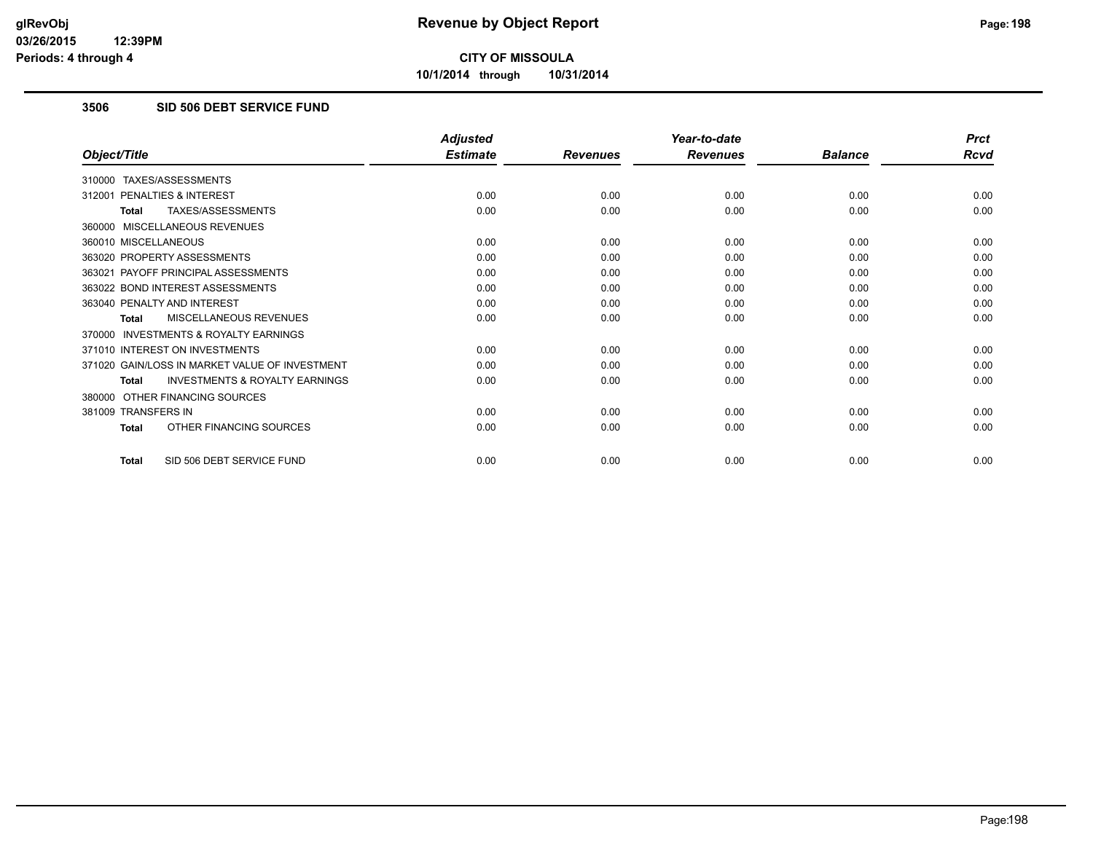**10/1/2014 through 10/31/2014**

### **3506 SID 506 DEBT SERVICE FUND**

|                                                           | <b>Adjusted</b> |                 | Year-to-date    |                | <b>Prct</b> |
|-----------------------------------------------------------|-----------------|-----------------|-----------------|----------------|-------------|
| Object/Title                                              | <b>Estimate</b> | <b>Revenues</b> | <b>Revenues</b> | <b>Balance</b> | <b>Rcvd</b> |
| 310000 TAXES/ASSESSMENTS                                  |                 |                 |                 |                |             |
| PENALTIES & INTEREST<br>312001                            | 0.00            | 0.00            | 0.00            | 0.00           | 0.00        |
| TAXES/ASSESSMENTS<br><b>Total</b>                         | 0.00            | 0.00            | 0.00            | 0.00           | 0.00        |
| 360000 MISCELLANEOUS REVENUES                             |                 |                 |                 |                |             |
| 360010 MISCELLANEOUS                                      | 0.00            | 0.00            | 0.00            | 0.00           | 0.00        |
| 363020 PROPERTY ASSESSMENTS                               | 0.00            | 0.00            | 0.00            | 0.00           | 0.00        |
| 363021 PAYOFF PRINCIPAL ASSESSMENTS                       | 0.00            | 0.00            | 0.00            | 0.00           | 0.00        |
| 363022 BOND INTEREST ASSESSMENTS                          | 0.00            | 0.00            | 0.00            | 0.00           | 0.00        |
| 363040 PENALTY AND INTEREST                               | 0.00            | 0.00            | 0.00            | 0.00           | 0.00        |
| MISCELLANEOUS REVENUES<br><b>Total</b>                    | 0.00            | 0.00            | 0.00            | 0.00           | 0.00        |
| <b>INVESTMENTS &amp; ROYALTY EARNINGS</b><br>370000       |                 |                 |                 |                |             |
| 371010 INTEREST ON INVESTMENTS                            | 0.00            | 0.00            | 0.00            | 0.00           | 0.00        |
| 371020 GAIN/LOSS IN MARKET VALUE OF INVESTMENT            | 0.00            | 0.00            | 0.00            | 0.00           | 0.00        |
| <b>INVESTMENTS &amp; ROYALTY EARNINGS</b><br><b>Total</b> | 0.00            | 0.00            | 0.00            | 0.00           | 0.00        |
| OTHER FINANCING SOURCES<br>380000                         |                 |                 |                 |                |             |
| 381009 TRANSFERS IN                                       | 0.00            | 0.00            | 0.00            | 0.00           | 0.00        |
| OTHER FINANCING SOURCES<br><b>Total</b>                   | 0.00            | 0.00            | 0.00            | 0.00           | 0.00        |
| SID 506 DEBT SERVICE FUND<br><b>Total</b>                 | 0.00            | 0.00            | 0.00            | 0.00           | 0.00        |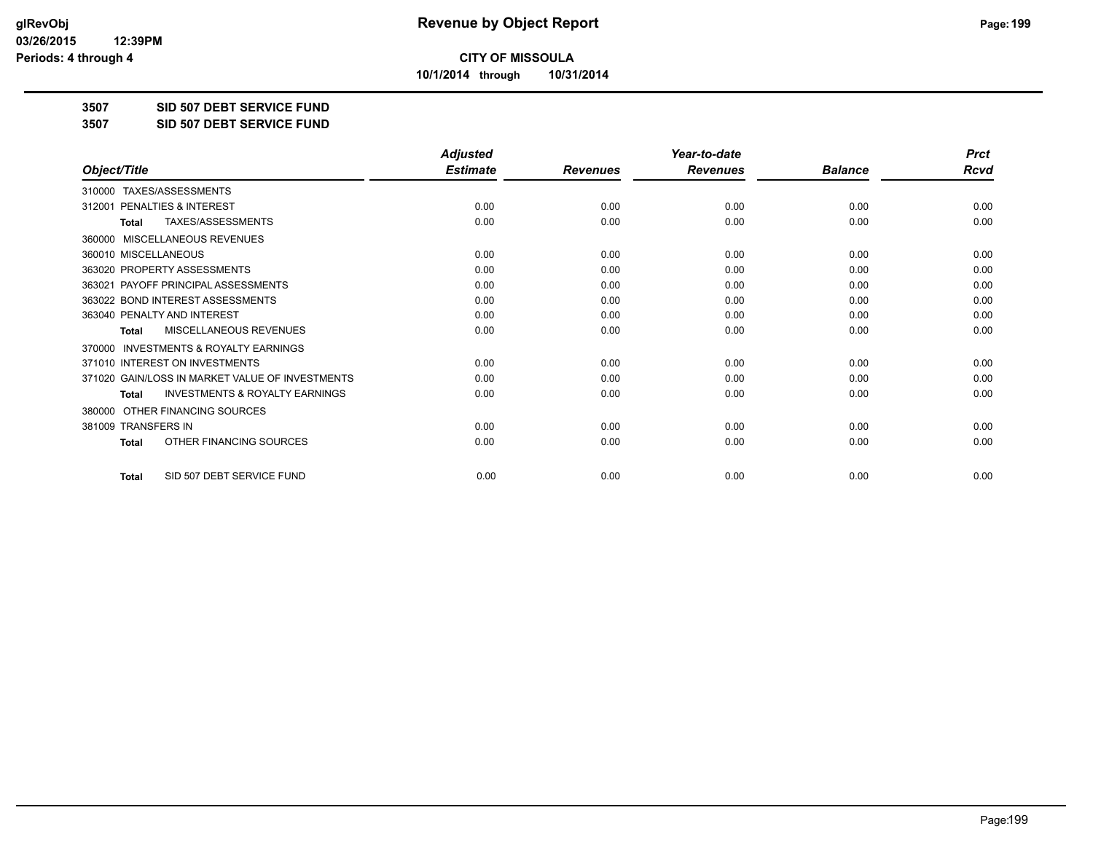**10/1/2014 through 10/31/2014**

**3507 SID 507 DEBT SERVICE FUND**

**3507 SID 507 DEBT SERVICE FUND**

|                                                           | <b>Adjusted</b> |                 | Year-to-date    |                | <b>Prct</b> |
|-----------------------------------------------------------|-----------------|-----------------|-----------------|----------------|-------------|
| Object/Title                                              | <b>Estimate</b> | <b>Revenues</b> | <b>Revenues</b> | <b>Balance</b> | <b>Rcvd</b> |
| TAXES/ASSESSMENTS<br>310000                               |                 |                 |                 |                |             |
| 312001 PENALTIES & INTEREST                               | 0.00            | 0.00            | 0.00            | 0.00           | 0.00        |
| TAXES/ASSESSMENTS<br><b>Total</b>                         | 0.00            | 0.00            | 0.00            | 0.00           | 0.00        |
| MISCELLANEOUS REVENUES<br>360000                          |                 |                 |                 |                |             |
| 360010 MISCELLANEOUS                                      | 0.00            | 0.00            | 0.00            | 0.00           | 0.00        |
| 363020 PROPERTY ASSESSMENTS                               | 0.00            | 0.00            | 0.00            | 0.00           | 0.00        |
| 363021 PAYOFF PRINCIPAL ASSESSMENTS                       | 0.00            | 0.00            | 0.00            | 0.00           | 0.00        |
| 363022 BOND INTEREST ASSESSMENTS                          | 0.00            | 0.00            | 0.00            | 0.00           | 0.00        |
| 363040 PENALTY AND INTEREST                               | 0.00            | 0.00            | 0.00            | 0.00           | 0.00        |
| <b>MISCELLANEOUS REVENUES</b><br><b>Total</b>             | 0.00            | 0.00            | 0.00            | 0.00           | 0.00        |
| <b>INVESTMENTS &amp; ROYALTY EARNINGS</b><br>370000       |                 |                 |                 |                |             |
| 371010 INTEREST ON INVESTMENTS                            | 0.00            | 0.00            | 0.00            | 0.00           | 0.00        |
| 371020 GAIN/LOSS IN MARKET VALUE OF INVESTMENTS           | 0.00            | 0.00            | 0.00            | 0.00           | 0.00        |
| <b>INVESTMENTS &amp; ROYALTY EARNINGS</b><br><b>Total</b> | 0.00            | 0.00            | 0.00            | 0.00           | 0.00        |
| OTHER FINANCING SOURCES<br>380000                         |                 |                 |                 |                |             |
| 381009 TRANSFERS IN                                       | 0.00            | 0.00            | 0.00            | 0.00           | 0.00        |
| OTHER FINANCING SOURCES<br>Total                          | 0.00            | 0.00            | 0.00            | 0.00           | 0.00        |
| SID 507 DEBT SERVICE FUND<br><b>Total</b>                 | 0.00            | 0.00            | 0.00            | 0.00           | 0.00        |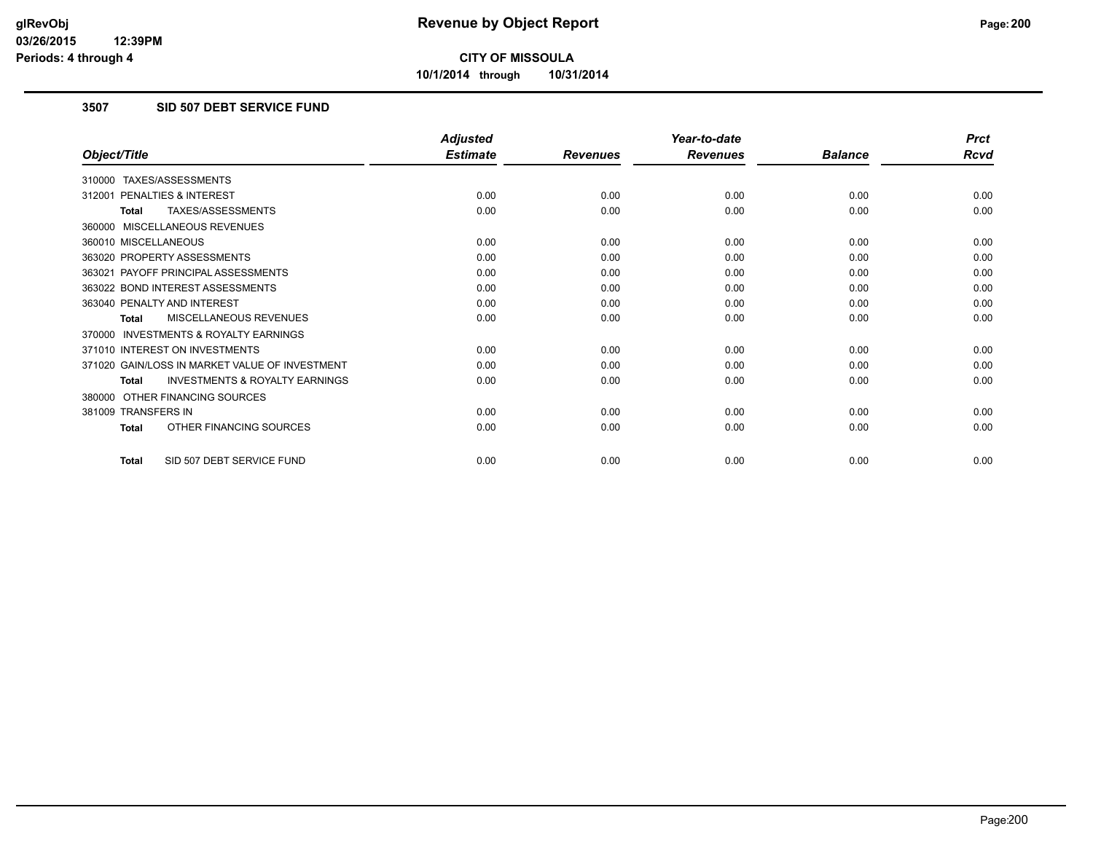**10/1/2014 through 10/31/2014**

### **3507 SID 507 DEBT SERVICE FUND**

|                                                           | <b>Adjusted</b> |                 | Year-to-date    |                | <b>Prct</b> |
|-----------------------------------------------------------|-----------------|-----------------|-----------------|----------------|-------------|
| Object/Title                                              | <b>Estimate</b> | <b>Revenues</b> | <b>Revenues</b> | <b>Balance</b> | <b>Rcvd</b> |
| 310000 TAXES/ASSESSMENTS                                  |                 |                 |                 |                |             |
| 312001 PENALTIES & INTEREST                               | 0.00            | 0.00            | 0.00            | 0.00           | 0.00        |
| TAXES/ASSESSMENTS<br><b>Total</b>                         | 0.00            | 0.00            | 0.00            | 0.00           | 0.00        |
| 360000 MISCELLANEOUS REVENUES                             |                 |                 |                 |                |             |
| 360010 MISCELLANEOUS                                      | 0.00            | 0.00            | 0.00            | 0.00           | 0.00        |
| 363020 PROPERTY ASSESSMENTS                               | 0.00            | 0.00            | 0.00            | 0.00           | 0.00        |
| 363021 PAYOFF PRINCIPAL ASSESSMENTS                       | 0.00            | 0.00            | 0.00            | 0.00           | 0.00        |
| 363022 BOND INTEREST ASSESSMENTS                          | 0.00            | 0.00            | 0.00            | 0.00           | 0.00        |
| 363040 PENALTY AND INTEREST                               | 0.00            | 0.00            | 0.00            | 0.00           | 0.00        |
| MISCELLANEOUS REVENUES<br><b>Total</b>                    | 0.00            | 0.00            | 0.00            | 0.00           | 0.00        |
| <b>INVESTMENTS &amp; ROYALTY EARNINGS</b><br>370000       |                 |                 |                 |                |             |
| 371010 INTEREST ON INVESTMENTS                            | 0.00            | 0.00            | 0.00            | 0.00           | 0.00        |
| 371020 GAIN/LOSS IN MARKET VALUE OF INVESTMENT            | 0.00            | 0.00            | 0.00            | 0.00           | 0.00        |
| <b>INVESTMENTS &amp; ROYALTY EARNINGS</b><br><b>Total</b> | 0.00            | 0.00            | 0.00            | 0.00           | 0.00        |
| 380000 OTHER FINANCING SOURCES                            |                 |                 |                 |                |             |
| 381009 TRANSFERS IN                                       | 0.00            | 0.00            | 0.00            | 0.00           | 0.00        |
| OTHER FINANCING SOURCES<br>Total                          | 0.00            | 0.00            | 0.00            | 0.00           | 0.00        |
| SID 507 DEBT SERVICE FUND<br>Total                        | 0.00            | 0.00            | 0.00            | 0.00           | 0.00        |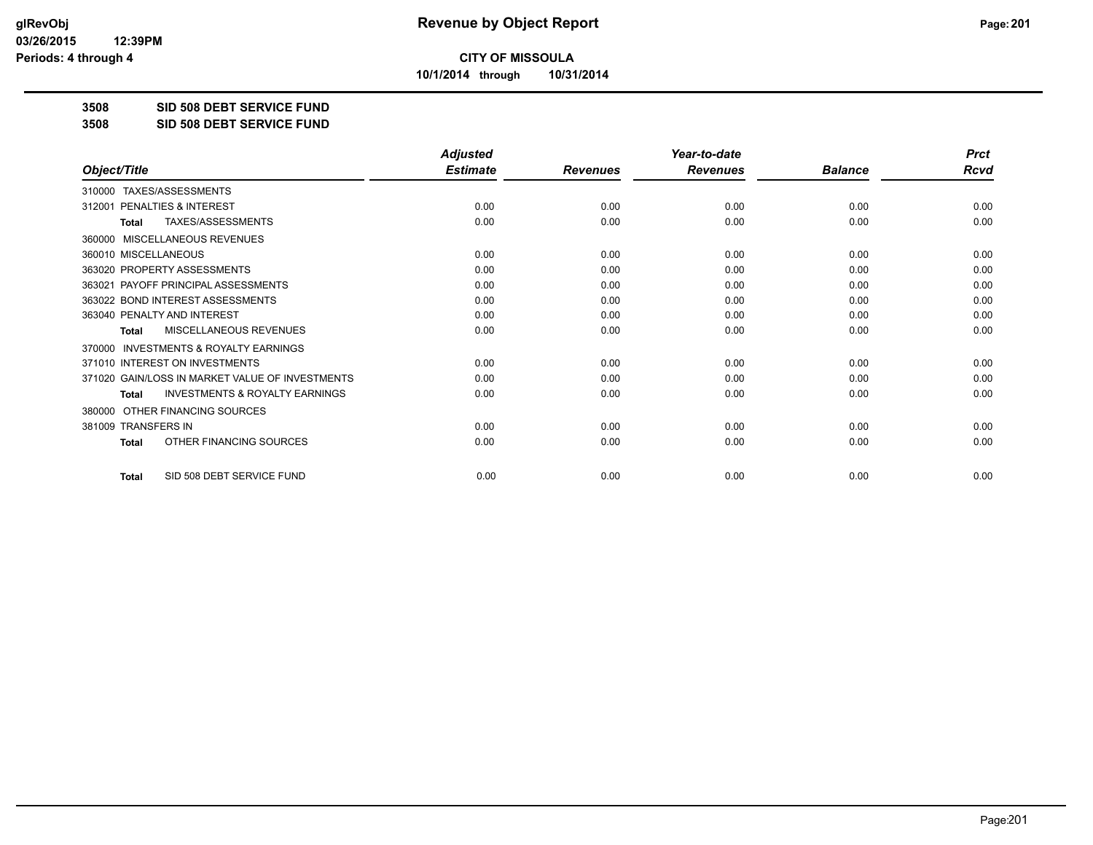**10/1/2014 through 10/31/2014**

#### **3508 SID 508 DEBT SERVICE FUND**

**3508 SID 508 DEBT SERVICE FUND**

|                                                           | <b>Adjusted</b> |                 | Year-to-date    |                | <b>Prct</b> |
|-----------------------------------------------------------|-----------------|-----------------|-----------------|----------------|-------------|
| Object/Title                                              | <b>Estimate</b> | <b>Revenues</b> | <b>Revenues</b> | <b>Balance</b> | <b>Rcvd</b> |
| TAXES/ASSESSMENTS<br>310000                               |                 |                 |                 |                |             |
| 312001 PENALTIES & INTEREST                               | 0.00            | 0.00            | 0.00            | 0.00           | 0.00        |
| TAXES/ASSESSMENTS<br><b>Total</b>                         | 0.00            | 0.00            | 0.00            | 0.00           | 0.00        |
| MISCELLANEOUS REVENUES<br>360000                          |                 |                 |                 |                |             |
| 360010 MISCELLANEOUS                                      | 0.00            | 0.00            | 0.00            | 0.00           | 0.00        |
| 363020 PROPERTY ASSESSMENTS                               | 0.00            | 0.00            | 0.00            | 0.00           | 0.00        |
| 363021 PAYOFF PRINCIPAL ASSESSMENTS                       | 0.00            | 0.00            | 0.00            | 0.00           | 0.00        |
| 363022 BOND INTEREST ASSESSMENTS                          | 0.00            | 0.00            | 0.00            | 0.00           | 0.00        |
| 363040 PENALTY AND INTEREST                               | 0.00            | 0.00            | 0.00            | 0.00           | 0.00        |
| <b>MISCELLANEOUS REVENUES</b><br><b>Total</b>             | 0.00            | 0.00            | 0.00            | 0.00           | 0.00        |
| <b>INVESTMENTS &amp; ROYALTY EARNINGS</b><br>370000       |                 |                 |                 |                |             |
| 371010 INTEREST ON INVESTMENTS                            | 0.00            | 0.00            | 0.00            | 0.00           | 0.00        |
| 371020 GAIN/LOSS IN MARKET VALUE OF INVESTMENTS           | 0.00            | 0.00            | 0.00            | 0.00           | 0.00        |
| <b>INVESTMENTS &amp; ROYALTY EARNINGS</b><br><b>Total</b> | 0.00            | 0.00            | 0.00            | 0.00           | 0.00        |
| OTHER FINANCING SOURCES<br>380000                         |                 |                 |                 |                |             |
| 381009 TRANSFERS IN                                       | 0.00            | 0.00            | 0.00            | 0.00           | 0.00        |
| OTHER FINANCING SOURCES<br>Total                          | 0.00            | 0.00            | 0.00            | 0.00           | 0.00        |
| SID 508 DEBT SERVICE FUND<br><b>Total</b>                 | 0.00            | 0.00            | 0.00            | 0.00           | 0.00        |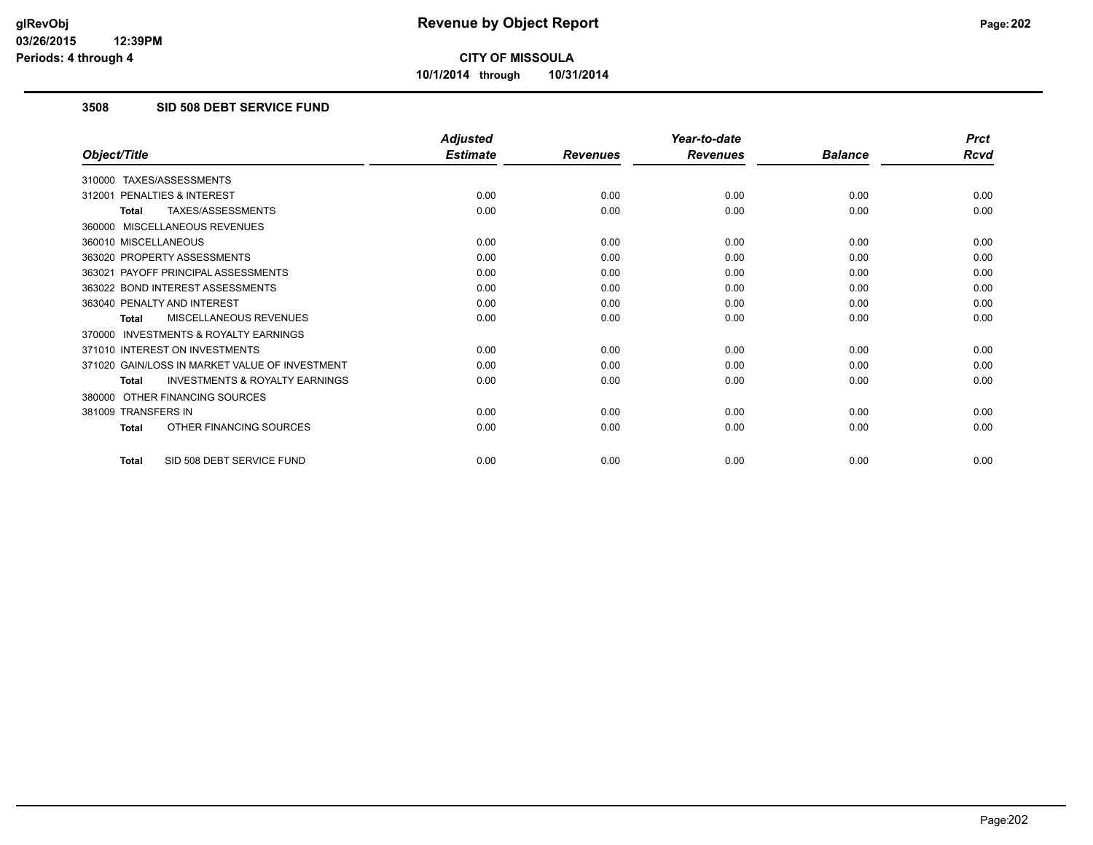**10/1/2014 through 10/31/2014**

### **3508 SID 508 DEBT SERVICE FUND**

|                                                           | <b>Adjusted</b> |                 | Year-to-date    |                | <b>Prct</b> |
|-----------------------------------------------------------|-----------------|-----------------|-----------------|----------------|-------------|
| Object/Title                                              | <b>Estimate</b> | <b>Revenues</b> | <b>Revenues</b> | <b>Balance</b> | <b>Rcvd</b> |
| 310000 TAXES/ASSESSMENTS                                  |                 |                 |                 |                |             |
| PENALTIES & INTEREST<br>312001                            | 0.00            | 0.00            | 0.00            | 0.00           | 0.00        |
| TAXES/ASSESSMENTS<br><b>Total</b>                         | 0.00            | 0.00            | 0.00            | 0.00           | 0.00        |
| 360000 MISCELLANEOUS REVENUES                             |                 |                 |                 |                |             |
| 360010 MISCELLANEOUS                                      | 0.00            | 0.00            | 0.00            | 0.00           | 0.00        |
| 363020 PROPERTY ASSESSMENTS                               | 0.00            | 0.00            | 0.00            | 0.00           | 0.00        |
| 363021 PAYOFF PRINCIPAL ASSESSMENTS                       | 0.00            | 0.00            | 0.00            | 0.00           | 0.00        |
| 363022 BOND INTEREST ASSESSMENTS                          | 0.00            | 0.00            | 0.00            | 0.00           | 0.00        |
| 363040 PENALTY AND INTEREST                               | 0.00            | 0.00            | 0.00            | 0.00           | 0.00        |
| MISCELLANEOUS REVENUES<br><b>Total</b>                    | 0.00            | 0.00            | 0.00            | 0.00           | 0.00        |
| <b>INVESTMENTS &amp; ROYALTY EARNINGS</b><br>370000       |                 |                 |                 |                |             |
| 371010 INTEREST ON INVESTMENTS                            | 0.00            | 0.00            | 0.00            | 0.00           | 0.00        |
| 371020 GAIN/LOSS IN MARKET VALUE OF INVESTMENT            | 0.00            | 0.00            | 0.00            | 0.00           | 0.00        |
| <b>INVESTMENTS &amp; ROYALTY EARNINGS</b><br><b>Total</b> | 0.00            | 0.00            | 0.00            | 0.00           | 0.00        |
| 380000 OTHER FINANCING SOURCES                            |                 |                 |                 |                |             |
| 381009 TRANSFERS IN                                       | 0.00            | 0.00            | 0.00            | 0.00           | 0.00        |
| OTHER FINANCING SOURCES<br><b>Total</b>                   | 0.00            | 0.00            | 0.00            | 0.00           | 0.00        |
| SID 508 DEBT SERVICE FUND<br><b>Total</b>                 | 0.00            | 0.00            | 0.00            | 0.00           | 0.00        |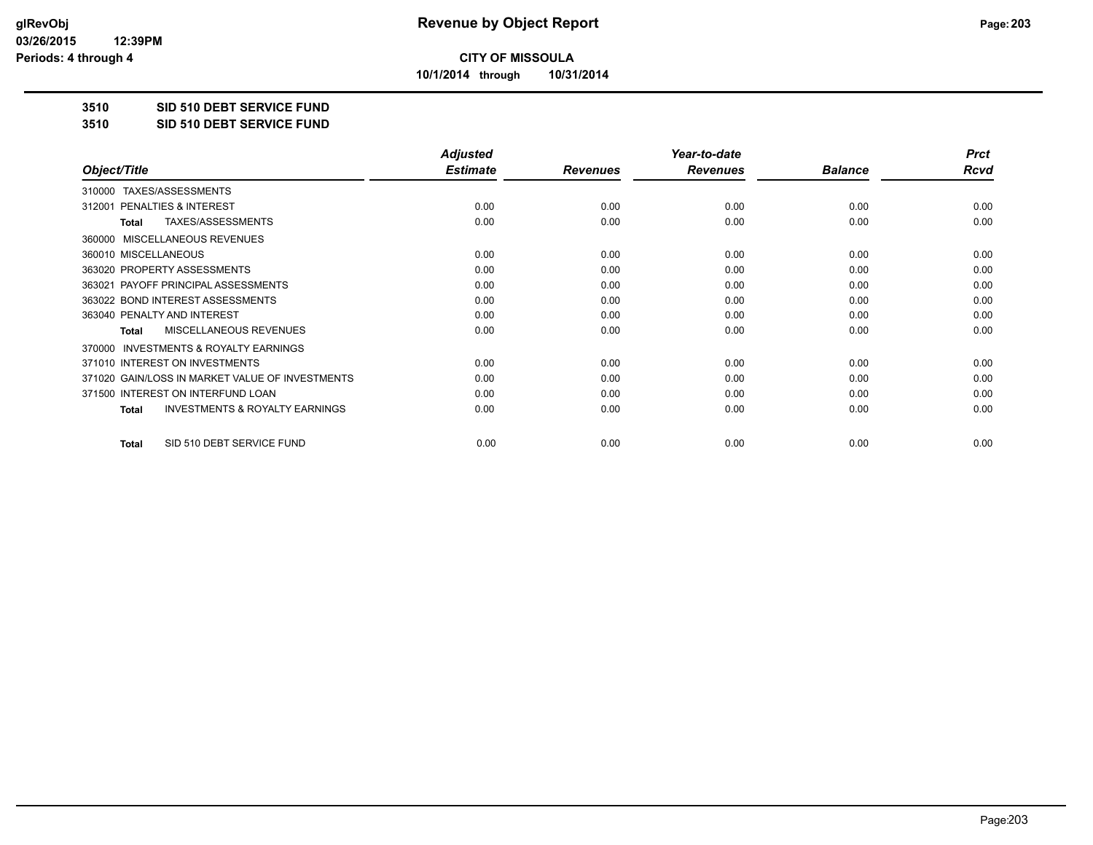**10/1/2014 through 10/31/2014**

#### **3510 SID 510 DEBT SERVICE FUND**

**3510 SID 510 DEBT SERVICE FUND**

|                                                           | <b>Adjusted</b> |                 | Year-to-date    |                | <b>Prct</b> |
|-----------------------------------------------------------|-----------------|-----------------|-----------------|----------------|-------------|
| Object/Title                                              | <b>Estimate</b> | <b>Revenues</b> | <b>Revenues</b> | <b>Balance</b> | <b>Rcvd</b> |
| TAXES/ASSESSMENTS<br>310000                               |                 |                 |                 |                |             |
| 312001 PENALTIES & INTEREST                               | 0.00            | 0.00            | 0.00            | 0.00           | 0.00        |
| TAXES/ASSESSMENTS<br>Total                                | 0.00            | 0.00            | 0.00            | 0.00           | 0.00        |
| MISCELLANEOUS REVENUES<br>360000                          |                 |                 |                 |                |             |
| 360010 MISCELLANEOUS                                      | 0.00            | 0.00            | 0.00            | 0.00           | 0.00        |
| 363020 PROPERTY ASSESSMENTS                               | 0.00            | 0.00            | 0.00            | 0.00           | 0.00        |
| 363021 PAYOFF PRINCIPAL ASSESSMENTS                       | 0.00            | 0.00            | 0.00            | 0.00           | 0.00        |
| 363022 BOND INTEREST ASSESSMENTS                          | 0.00            | 0.00            | 0.00            | 0.00           | 0.00        |
| 363040 PENALTY AND INTEREST                               | 0.00            | 0.00            | 0.00            | 0.00           | 0.00        |
| MISCELLANEOUS REVENUES<br>Total                           | 0.00            | 0.00            | 0.00            | 0.00           | 0.00        |
| <b>INVESTMENTS &amp; ROYALTY EARNINGS</b><br>370000       |                 |                 |                 |                |             |
| 371010 INTEREST ON INVESTMENTS                            | 0.00            | 0.00            | 0.00            | 0.00           | 0.00        |
| 371020 GAIN/LOSS IN MARKET VALUE OF INVESTMENTS           | 0.00            | 0.00            | 0.00            | 0.00           | 0.00        |
| 371500 INTEREST ON INTERFUND LOAN                         | 0.00            | 0.00            | 0.00            | 0.00           | 0.00        |
| <b>INVESTMENTS &amp; ROYALTY EARNINGS</b><br><b>Total</b> | 0.00            | 0.00            | 0.00            | 0.00           | 0.00        |
| SID 510 DEBT SERVICE FUND<br>Total                        | 0.00            | 0.00            | 0.00            | 0.00           | 0.00        |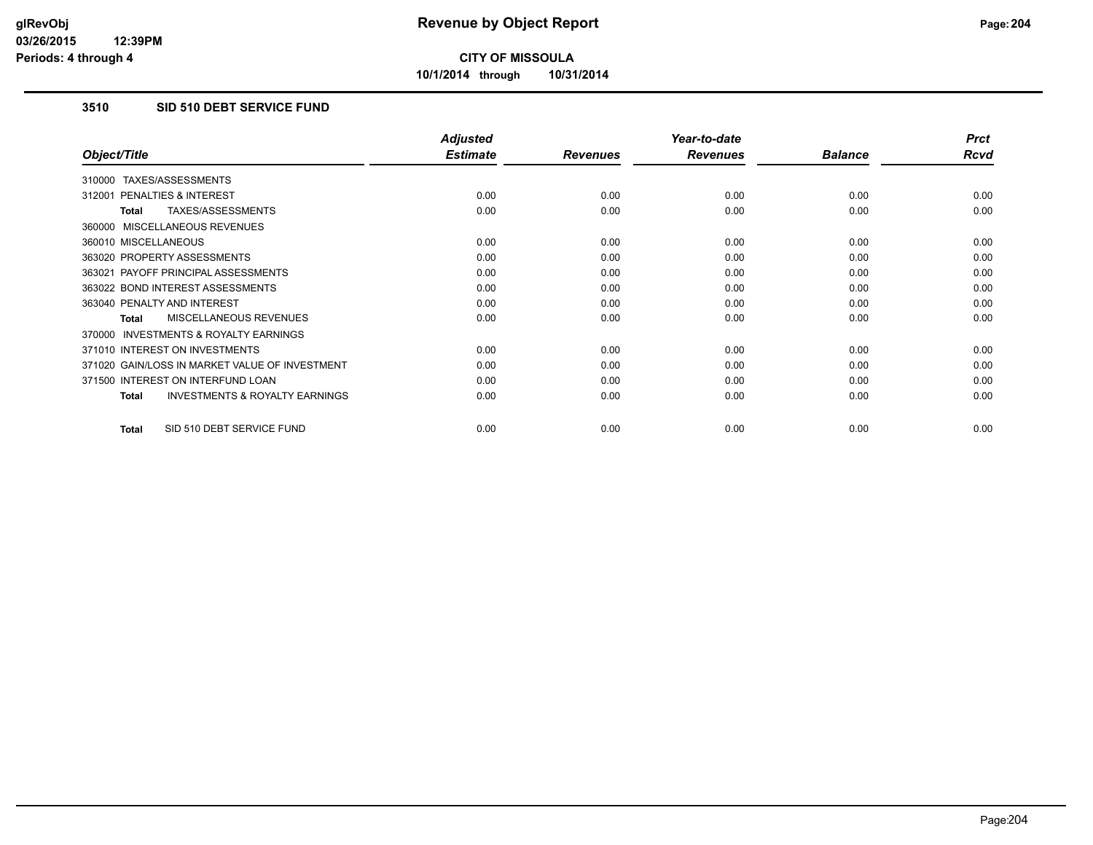**10/1/2014 through 10/31/2014**

### **3510 SID 510 DEBT SERVICE FUND**

|                                                           | <b>Adjusted</b> |                 | Year-to-date    |                | <b>Prct</b> |
|-----------------------------------------------------------|-----------------|-----------------|-----------------|----------------|-------------|
| Object/Title                                              | <b>Estimate</b> | <b>Revenues</b> | <b>Revenues</b> | <b>Balance</b> | Rcvd        |
| TAXES/ASSESSMENTS<br>310000                               |                 |                 |                 |                |             |
| <b>PENALTIES &amp; INTEREST</b><br>312001                 | 0.00            | 0.00            | 0.00            | 0.00           | 0.00        |
| TAXES/ASSESSMENTS<br>Total                                | 0.00            | 0.00            | 0.00            | 0.00           | 0.00        |
| 360000 MISCELLANEOUS REVENUES                             |                 |                 |                 |                |             |
| 360010 MISCELLANEOUS                                      | 0.00            | 0.00            | 0.00            | 0.00           | 0.00        |
| 363020 PROPERTY ASSESSMENTS                               | 0.00            | 0.00            | 0.00            | 0.00           | 0.00        |
| 363021 PAYOFF PRINCIPAL ASSESSMENTS                       | 0.00            | 0.00            | 0.00            | 0.00           | 0.00        |
| 363022 BOND INTEREST ASSESSMENTS                          | 0.00            | 0.00            | 0.00            | 0.00           | 0.00        |
| 363040 PENALTY AND INTEREST                               | 0.00            | 0.00            | 0.00            | 0.00           | 0.00        |
| <b>MISCELLANEOUS REVENUES</b><br><b>Total</b>             | 0.00            | 0.00            | 0.00            | 0.00           | 0.00        |
| <b>INVESTMENTS &amp; ROYALTY EARNINGS</b><br>370000       |                 |                 |                 |                |             |
| 371010 INTEREST ON INVESTMENTS                            | 0.00            | 0.00            | 0.00            | 0.00           | 0.00        |
| 371020 GAIN/LOSS IN MARKET VALUE OF INVESTMENT            | 0.00            | 0.00            | 0.00            | 0.00           | 0.00        |
| 371500 INTEREST ON INTERFUND LOAN                         | 0.00            | 0.00            | 0.00            | 0.00           | 0.00        |
| <b>INVESTMENTS &amp; ROYALTY EARNINGS</b><br><b>Total</b> | 0.00            | 0.00            | 0.00            | 0.00           | 0.00        |
|                                                           |                 |                 |                 |                |             |
| SID 510 DEBT SERVICE FUND<br><b>Total</b>                 | 0.00            | 0.00            | 0.00            | 0.00           | 0.00        |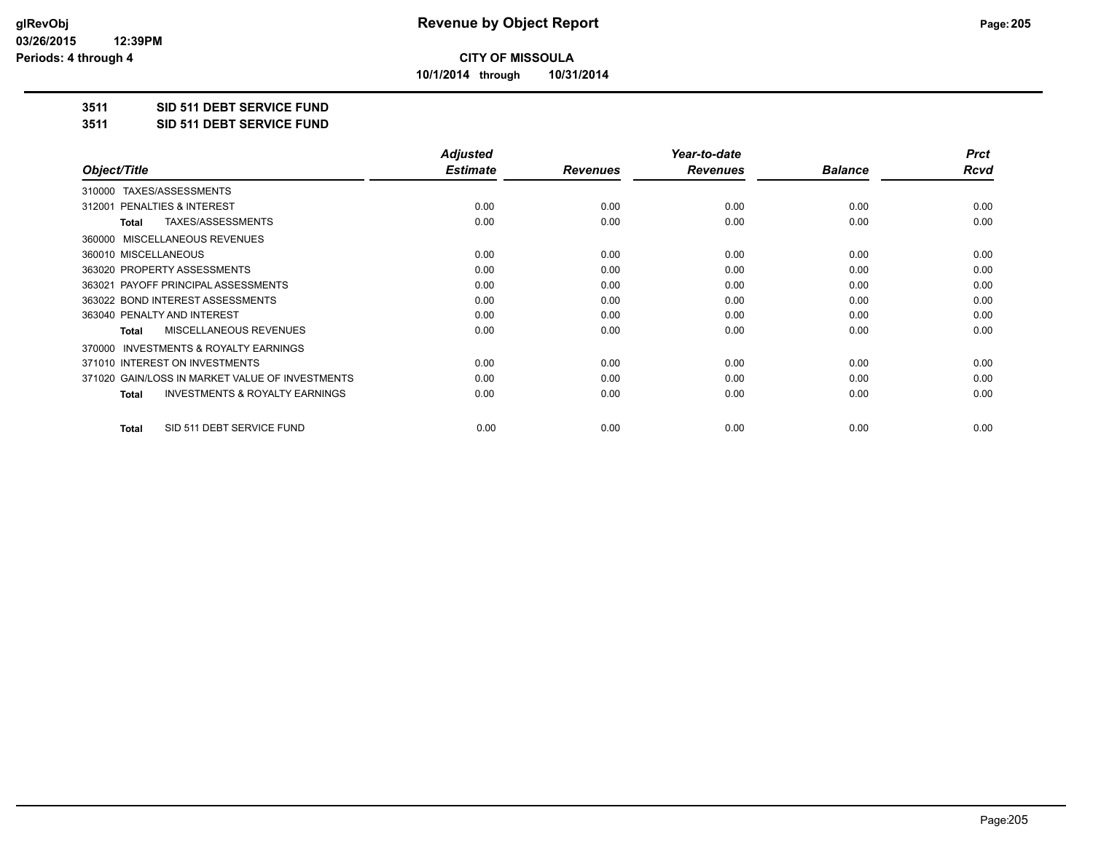**10/1/2014 through 10/31/2014**

### **3511 SID 511 DEBT SERVICE FUND**

**3511 SID 511 DEBT SERVICE FUND**

|                                                    | <b>Adjusted</b> |                 | Year-to-date    |                | <b>Prct</b> |
|----------------------------------------------------|-----------------|-----------------|-----------------|----------------|-------------|
| Object/Title                                       | <b>Estimate</b> | <b>Revenues</b> | <b>Revenues</b> | <b>Balance</b> | Rcvd        |
| TAXES/ASSESSMENTS<br>310000                        |                 |                 |                 |                |             |
| PENALTIES & INTEREST<br>312001                     | 0.00            | 0.00            | 0.00            | 0.00           | 0.00        |
| TAXES/ASSESSMENTS<br><b>Total</b>                  | 0.00            | 0.00            | 0.00            | 0.00           | 0.00        |
| 360000 MISCELLANEOUS REVENUES                      |                 |                 |                 |                |             |
| 360010 MISCELLANEOUS                               | 0.00            | 0.00            | 0.00            | 0.00           | 0.00        |
| 363020 PROPERTY ASSESSMENTS                        | 0.00            | 0.00            | 0.00            | 0.00           | 0.00        |
| 363021 PAYOFF PRINCIPAL ASSESSMENTS                | 0.00            | 0.00            | 0.00            | 0.00           | 0.00        |
| 363022 BOND INTEREST ASSESSMENTS                   | 0.00            | 0.00            | 0.00            | 0.00           | 0.00        |
| 363040 PENALTY AND INTEREST                        | 0.00            | 0.00            | 0.00            | 0.00           | 0.00        |
| MISCELLANEOUS REVENUES<br><b>Total</b>             | 0.00            | 0.00            | 0.00            | 0.00           | 0.00        |
| 370000 INVESTMENTS & ROYALTY EARNINGS              |                 |                 |                 |                |             |
| 371010 INTEREST ON INVESTMENTS                     | 0.00            | 0.00            | 0.00            | 0.00           | 0.00        |
| 371020 GAIN/LOSS IN MARKET VALUE OF INVESTMENTS    | 0.00            | 0.00            | 0.00            | 0.00           | 0.00        |
| <b>INVESTMENTS &amp; ROYALTY EARNINGS</b><br>Total | 0.00            | 0.00            | 0.00            | 0.00           | 0.00        |
| SID 511 DEBT SERVICE FUND<br><b>Total</b>          | 0.00            | 0.00            | 0.00            | 0.00           | 0.00        |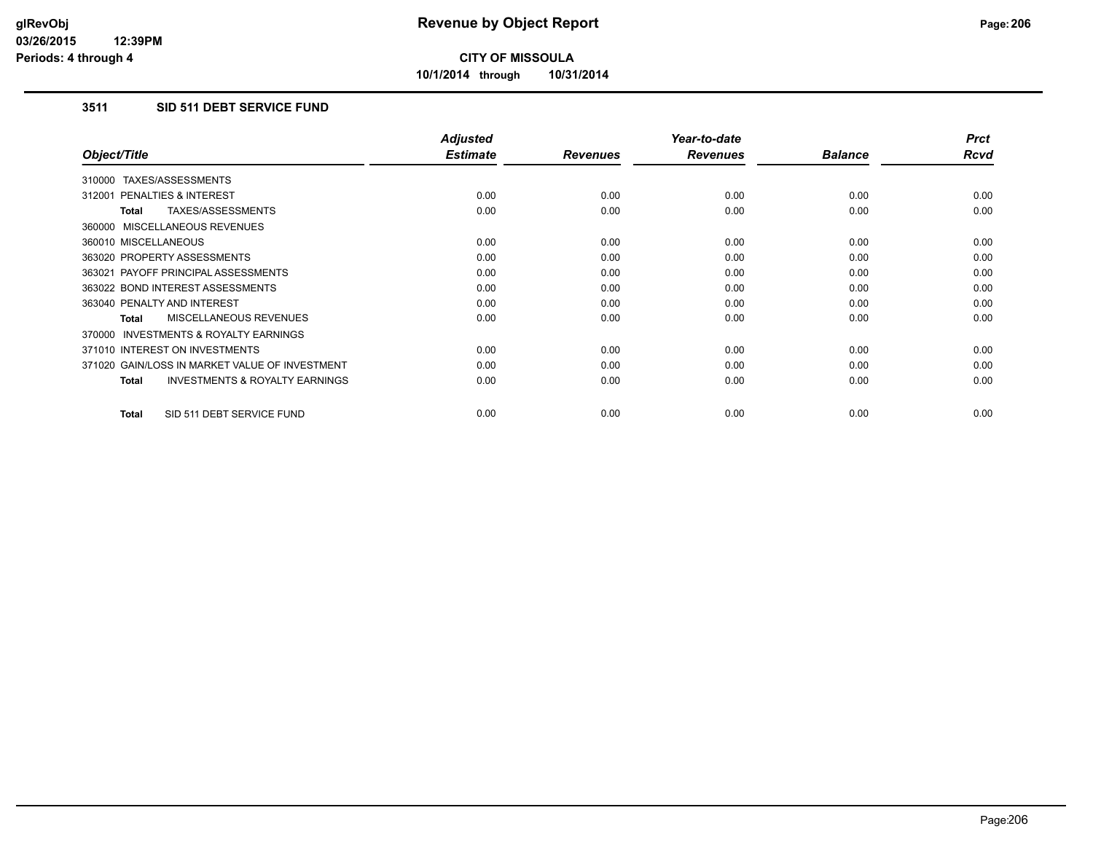**10/1/2014 through 10/31/2014**

## **3511 SID 511 DEBT SERVICE FUND**

|                                                     | <b>Adjusted</b> |                 | Year-to-date    |                | <b>Prct</b> |
|-----------------------------------------------------|-----------------|-----------------|-----------------|----------------|-------------|
| Object/Title                                        | <b>Estimate</b> | <b>Revenues</b> | <b>Revenues</b> | <b>Balance</b> | <b>Rcvd</b> |
| 310000 TAXES/ASSESSMENTS                            |                 |                 |                 |                |             |
| 312001 PENALTIES & INTEREST                         | 0.00            | 0.00            | 0.00            | 0.00           | 0.00        |
| TAXES/ASSESSMENTS<br><b>Total</b>                   | 0.00            | 0.00            | 0.00            | 0.00           | 0.00        |
| 360000 MISCELLANEOUS REVENUES                       |                 |                 |                 |                |             |
| 360010 MISCELLANEOUS                                | 0.00            | 0.00            | 0.00            | 0.00           | 0.00        |
| 363020 PROPERTY ASSESSMENTS                         | 0.00            | 0.00            | 0.00            | 0.00           | 0.00        |
| 363021 PAYOFF PRINCIPAL ASSESSMENTS                 | 0.00            | 0.00            | 0.00            | 0.00           | 0.00        |
| 363022 BOND INTEREST ASSESSMENTS                    | 0.00            | 0.00            | 0.00            | 0.00           | 0.00        |
| 363040 PENALTY AND INTEREST                         | 0.00            | 0.00            | 0.00            | 0.00           | 0.00        |
| <b>MISCELLANEOUS REVENUES</b><br>Total              | 0.00            | 0.00            | 0.00            | 0.00           | 0.00        |
| <b>INVESTMENTS &amp; ROYALTY EARNINGS</b><br>370000 |                 |                 |                 |                |             |
| 371010 INTEREST ON INVESTMENTS                      | 0.00            | 0.00            | 0.00            | 0.00           | 0.00        |
| 371020 GAIN/LOSS IN MARKET VALUE OF INVESTMENT      | 0.00            | 0.00            | 0.00            | 0.00           | 0.00        |
| <b>INVESTMENTS &amp; ROYALTY EARNINGS</b><br>Total  | 0.00            | 0.00            | 0.00            | 0.00           | 0.00        |
| SID 511 DEBT SERVICE FUND<br><b>Total</b>           | 0.00            | 0.00            | 0.00            | 0.00           | 0.00        |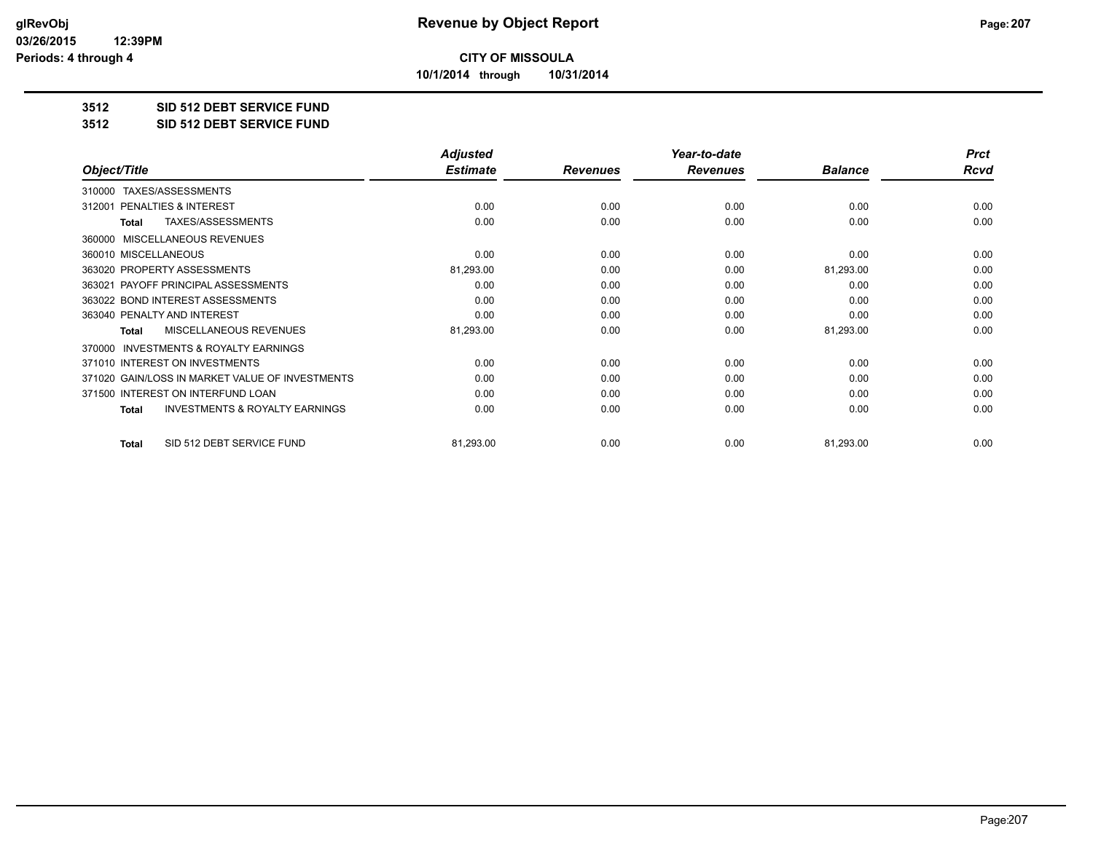**10/1/2014 through 10/31/2014**

#### **3512 SID 512 DEBT SERVICE FUND**

**3512 SID 512 DEBT SERVICE FUND**

|                                                           | <b>Adjusted</b> |                 | Year-to-date    |                | <b>Prct</b> |
|-----------------------------------------------------------|-----------------|-----------------|-----------------|----------------|-------------|
| Object/Title                                              | <b>Estimate</b> | <b>Revenues</b> | <b>Revenues</b> | <b>Balance</b> | <b>Rcvd</b> |
| TAXES/ASSESSMENTS<br>310000                               |                 |                 |                 |                |             |
| <b>PENALTIES &amp; INTEREST</b><br>312001                 | 0.00            | 0.00            | 0.00            | 0.00           | 0.00        |
| TAXES/ASSESSMENTS<br><b>Total</b>                         | 0.00            | 0.00            | 0.00            | 0.00           | 0.00        |
| MISCELLANEOUS REVENUES<br>360000                          |                 |                 |                 |                |             |
| 360010 MISCELLANEOUS                                      | 0.00            | 0.00            | 0.00            | 0.00           | 0.00        |
| 363020 PROPERTY ASSESSMENTS                               | 81,293.00       | 0.00            | 0.00            | 81,293.00      | 0.00        |
| 363021 PAYOFF PRINCIPAL ASSESSMENTS                       | 0.00            | 0.00            | 0.00            | 0.00           | 0.00        |
| 363022 BOND INTEREST ASSESSMENTS                          | 0.00            | 0.00            | 0.00            | 0.00           | 0.00        |
| 363040 PENALTY AND INTEREST                               | 0.00            | 0.00            | 0.00            | 0.00           | 0.00        |
| <b>MISCELLANEOUS REVENUES</b><br><b>Total</b>             | 81,293.00       | 0.00            | 0.00            | 81,293.00      | 0.00        |
| <b>INVESTMENTS &amp; ROYALTY EARNINGS</b><br>370000       |                 |                 |                 |                |             |
| 371010 INTEREST ON INVESTMENTS                            | 0.00            | 0.00            | 0.00            | 0.00           | 0.00        |
| 371020 GAIN/LOSS IN MARKET VALUE OF INVESTMENTS           | 0.00            | 0.00            | 0.00            | 0.00           | 0.00        |
| 371500 INTEREST ON INTERFUND LOAN                         | 0.00            | 0.00            | 0.00            | 0.00           | 0.00        |
| <b>INVESTMENTS &amp; ROYALTY EARNINGS</b><br><b>Total</b> | 0.00            | 0.00            | 0.00            | 0.00           | 0.00        |
| SID 512 DEBT SERVICE FUND<br><b>Total</b>                 | 81,293.00       | 0.00            | 0.00            | 81,293.00      | 0.00        |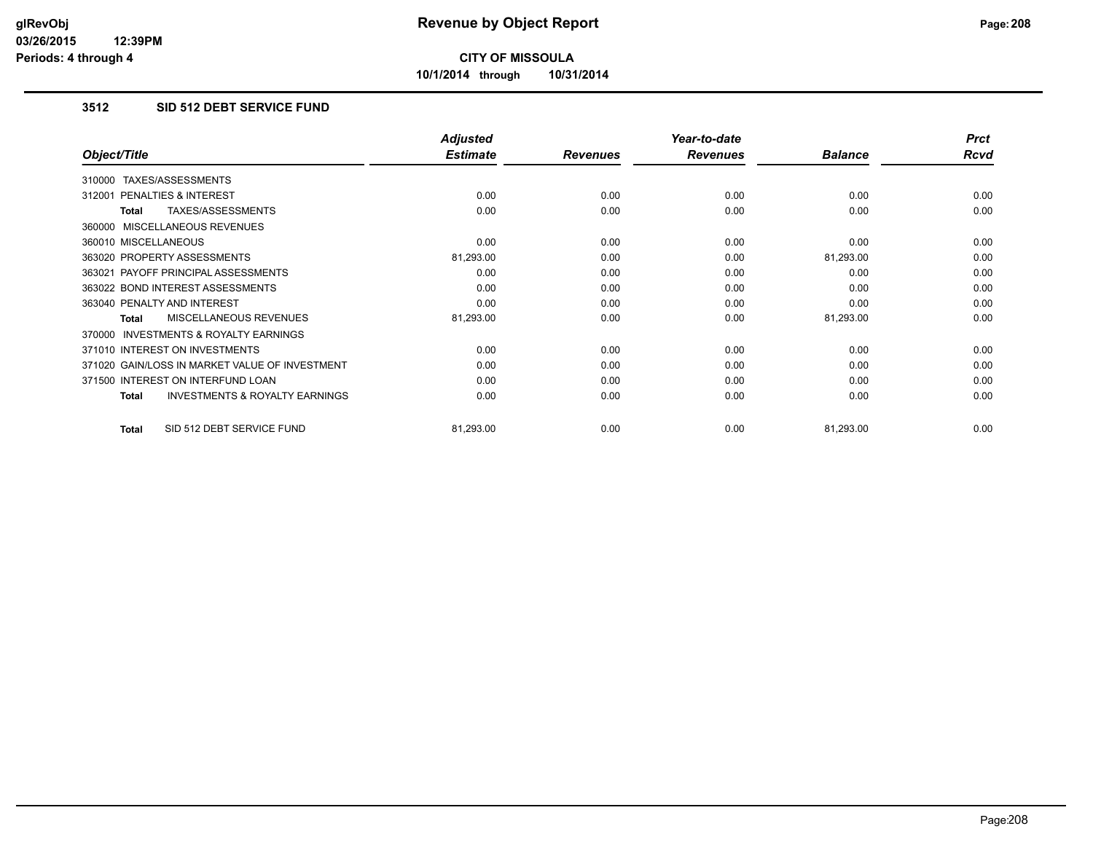**10/1/2014 through 10/31/2014**

### **3512 SID 512 DEBT SERVICE FUND**

|                                                           | <b>Adjusted</b> |                 | Year-to-date    |                | <b>Prct</b> |
|-----------------------------------------------------------|-----------------|-----------------|-----------------|----------------|-------------|
| Object/Title                                              | <b>Estimate</b> | <b>Revenues</b> | <b>Revenues</b> | <b>Balance</b> | Rcvd        |
| TAXES/ASSESSMENTS<br>310000                               |                 |                 |                 |                |             |
| <b>PENALTIES &amp; INTEREST</b><br>312001                 | 0.00            | 0.00            | 0.00            | 0.00           | 0.00        |
| TAXES/ASSESSMENTS<br><b>Total</b>                         | 0.00            | 0.00            | 0.00            | 0.00           | 0.00        |
| 360000 MISCELLANEOUS REVENUES                             |                 |                 |                 |                |             |
| 360010 MISCELLANEOUS                                      | 0.00            | 0.00            | 0.00            | 0.00           | 0.00        |
| 363020 PROPERTY ASSESSMENTS                               | 81,293.00       | 0.00            | 0.00            | 81,293.00      | 0.00        |
| 363021 PAYOFF PRINCIPAL ASSESSMENTS                       | 0.00            | 0.00            | 0.00            | 0.00           | 0.00        |
| 363022 BOND INTEREST ASSESSMENTS                          | 0.00            | 0.00            | 0.00            | 0.00           | 0.00        |
| 363040 PENALTY AND INTEREST                               | 0.00            | 0.00            | 0.00            | 0.00           | 0.00        |
| <b>MISCELLANEOUS REVENUES</b><br><b>Total</b>             | 81,293.00       | 0.00            | 0.00            | 81,293.00      | 0.00        |
| <b>INVESTMENTS &amp; ROYALTY EARNINGS</b><br>370000       |                 |                 |                 |                |             |
| 371010 INTEREST ON INVESTMENTS                            | 0.00            | 0.00            | 0.00            | 0.00           | 0.00        |
| 371020 GAIN/LOSS IN MARKET VALUE OF INVESTMENT            | 0.00            | 0.00            | 0.00            | 0.00           | 0.00        |
| 371500 INTEREST ON INTERFUND LOAN                         | 0.00            | 0.00            | 0.00            | 0.00           | 0.00        |
| <b>INVESTMENTS &amp; ROYALTY EARNINGS</b><br><b>Total</b> | 0.00            | 0.00            | 0.00            | 0.00           | 0.00        |
| SID 512 DEBT SERVICE FUND<br><b>Total</b>                 | 81,293.00       | 0.00            | 0.00            | 81,293.00      | 0.00        |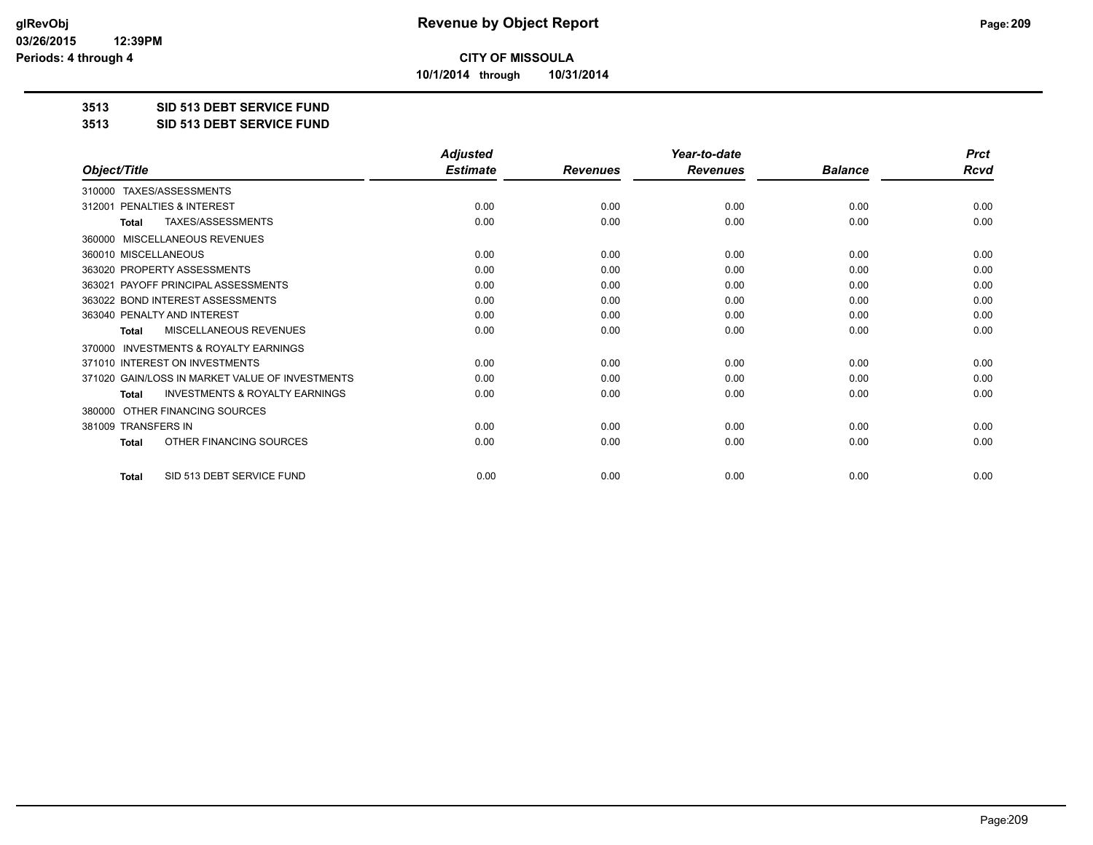**10/1/2014 through 10/31/2014**

#### **3513 SID 513 DEBT SERVICE FUND**

**3513 SID 513 DEBT SERVICE FUND**

|                                                           | <b>Adjusted</b> |                 | Year-to-date    |                | <b>Prct</b> |
|-----------------------------------------------------------|-----------------|-----------------|-----------------|----------------|-------------|
| Object/Title                                              | <b>Estimate</b> | <b>Revenues</b> | <b>Revenues</b> | <b>Balance</b> | <b>Rcvd</b> |
| TAXES/ASSESSMENTS<br>310000                               |                 |                 |                 |                |             |
| 312001 PENALTIES & INTEREST                               | 0.00            | 0.00            | 0.00            | 0.00           | 0.00        |
| TAXES/ASSESSMENTS<br><b>Total</b>                         | 0.00            | 0.00            | 0.00            | 0.00           | 0.00        |
| MISCELLANEOUS REVENUES<br>360000                          |                 |                 |                 |                |             |
| 360010 MISCELLANEOUS                                      | 0.00            | 0.00            | 0.00            | 0.00           | 0.00        |
| 363020 PROPERTY ASSESSMENTS                               | 0.00            | 0.00            | 0.00            | 0.00           | 0.00        |
| 363021 PAYOFF PRINCIPAL ASSESSMENTS                       | 0.00            | 0.00            | 0.00            | 0.00           | 0.00        |
| 363022 BOND INTEREST ASSESSMENTS                          | 0.00            | 0.00            | 0.00            | 0.00           | 0.00        |
| 363040 PENALTY AND INTEREST                               | 0.00            | 0.00            | 0.00            | 0.00           | 0.00        |
| <b>MISCELLANEOUS REVENUES</b><br><b>Total</b>             | 0.00            | 0.00            | 0.00            | 0.00           | 0.00        |
| <b>INVESTMENTS &amp; ROYALTY EARNINGS</b><br>370000       |                 |                 |                 |                |             |
| 371010 INTEREST ON INVESTMENTS                            | 0.00            | 0.00            | 0.00            | 0.00           | 0.00        |
| 371020 GAIN/LOSS IN MARKET VALUE OF INVESTMENTS           | 0.00            | 0.00            | 0.00            | 0.00           | 0.00        |
| <b>INVESTMENTS &amp; ROYALTY EARNINGS</b><br><b>Total</b> | 0.00            | 0.00            | 0.00            | 0.00           | 0.00        |
| OTHER FINANCING SOURCES<br>380000                         |                 |                 |                 |                |             |
| 381009 TRANSFERS IN                                       | 0.00            | 0.00            | 0.00            | 0.00           | 0.00        |
| OTHER FINANCING SOURCES<br>Total                          | 0.00            | 0.00            | 0.00            | 0.00           | 0.00        |
| SID 513 DEBT SERVICE FUND<br><b>Total</b>                 | 0.00            | 0.00            | 0.00            | 0.00           | 0.00        |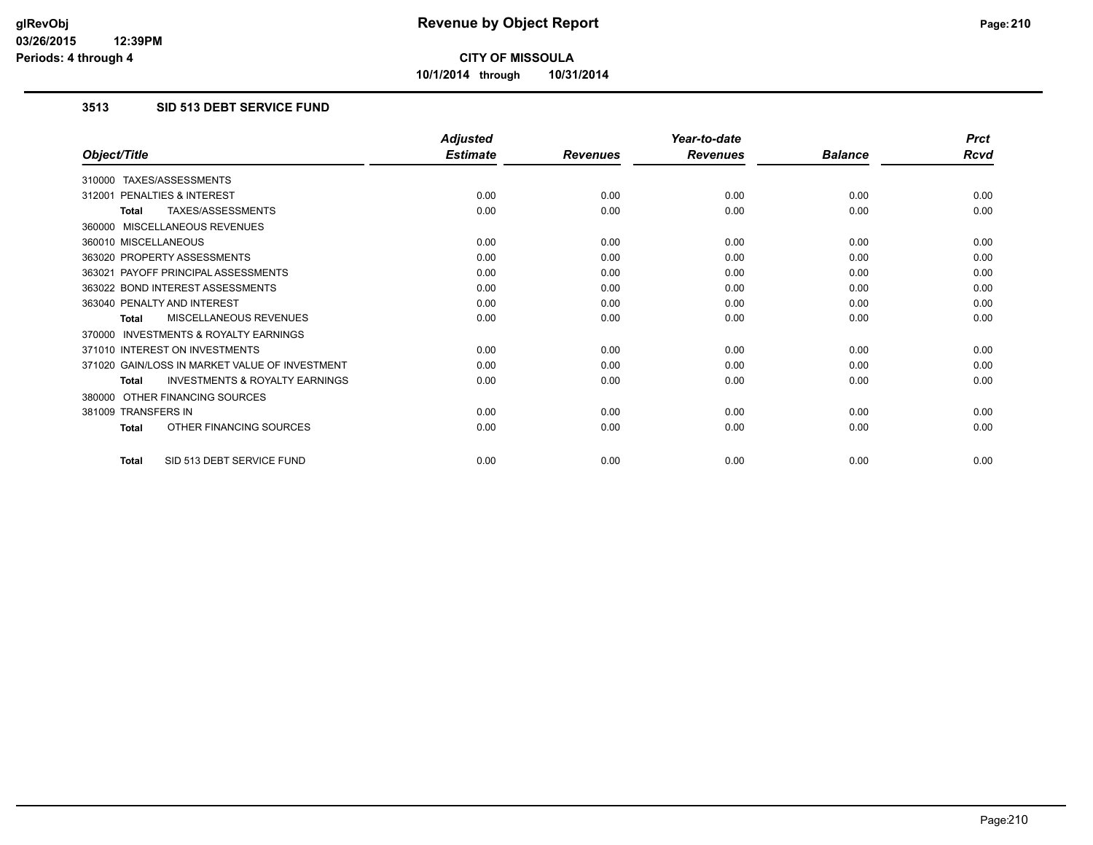**10/1/2014 through 10/31/2014**

### **3513 SID 513 DEBT SERVICE FUND**

|                                                           | <b>Adjusted</b> |                 | Year-to-date    |                | <b>Prct</b> |
|-----------------------------------------------------------|-----------------|-----------------|-----------------|----------------|-------------|
| Object/Title                                              | <b>Estimate</b> | <b>Revenues</b> | <b>Revenues</b> | <b>Balance</b> | <b>Rcvd</b> |
| 310000 TAXES/ASSESSMENTS                                  |                 |                 |                 |                |             |
| PENALTIES & INTEREST<br>312001                            | 0.00            | 0.00            | 0.00            | 0.00           | 0.00        |
| TAXES/ASSESSMENTS<br><b>Total</b>                         | 0.00            | 0.00            | 0.00            | 0.00           | 0.00        |
| 360000 MISCELLANEOUS REVENUES                             |                 |                 |                 |                |             |
| 360010 MISCELLANEOUS                                      | 0.00            | 0.00            | 0.00            | 0.00           | 0.00        |
| 363020 PROPERTY ASSESSMENTS                               | 0.00            | 0.00            | 0.00            | 0.00           | 0.00        |
| 363021 PAYOFF PRINCIPAL ASSESSMENTS                       | 0.00            | 0.00            | 0.00            | 0.00           | 0.00        |
| 363022 BOND INTEREST ASSESSMENTS                          | 0.00            | 0.00            | 0.00            | 0.00           | 0.00        |
| 363040 PENALTY AND INTEREST                               | 0.00            | 0.00            | 0.00            | 0.00           | 0.00        |
| MISCELLANEOUS REVENUES<br><b>Total</b>                    | 0.00            | 0.00            | 0.00            | 0.00           | 0.00        |
| <b>INVESTMENTS &amp; ROYALTY EARNINGS</b><br>370000       |                 |                 |                 |                |             |
| 371010 INTEREST ON INVESTMENTS                            | 0.00            | 0.00            | 0.00            | 0.00           | 0.00        |
| 371020 GAIN/LOSS IN MARKET VALUE OF INVESTMENT            | 0.00            | 0.00            | 0.00            | 0.00           | 0.00        |
| <b>INVESTMENTS &amp; ROYALTY EARNINGS</b><br><b>Total</b> | 0.00            | 0.00            | 0.00            | 0.00           | 0.00        |
| OTHER FINANCING SOURCES<br>380000                         |                 |                 |                 |                |             |
| 381009 TRANSFERS IN                                       | 0.00            | 0.00            | 0.00            | 0.00           | 0.00        |
| OTHER FINANCING SOURCES<br><b>Total</b>                   | 0.00            | 0.00            | 0.00            | 0.00           | 0.00        |
| SID 513 DEBT SERVICE FUND<br><b>Total</b>                 | 0.00            | 0.00            | 0.00            | 0.00           | 0.00        |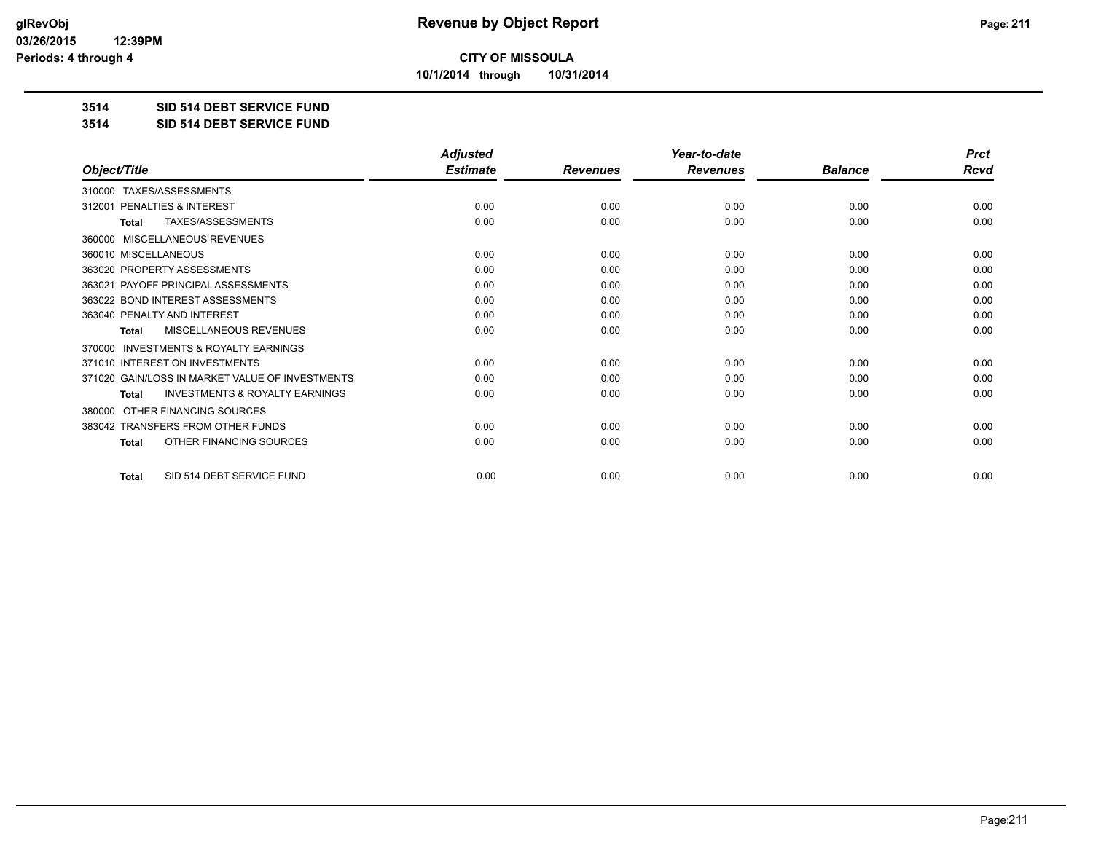**10/1/2014 through 10/31/2014**

#### **3514 SID 514 DEBT SERVICE FUND**

**3514 SID 514 DEBT SERVICE FUND**

|                                                           | <b>Adjusted</b> |                 | Year-to-date    |                | <b>Prct</b> |
|-----------------------------------------------------------|-----------------|-----------------|-----------------|----------------|-------------|
| Object/Title                                              | <b>Estimate</b> | <b>Revenues</b> | <b>Revenues</b> | <b>Balance</b> | Rcvd        |
| TAXES/ASSESSMENTS<br>310000                               |                 |                 |                 |                |             |
| PENALTIES & INTEREST<br>312001                            | 0.00            | 0.00            | 0.00            | 0.00           | 0.00        |
| TAXES/ASSESSMENTS<br><b>Total</b>                         | 0.00            | 0.00            | 0.00            | 0.00           | 0.00        |
| MISCELLANEOUS REVENUES<br>360000                          |                 |                 |                 |                |             |
| 360010 MISCELLANEOUS                                      | 0.00            | 0.00            | 0.00            | 0.00           | 0.00        |
| 363020 PROPERTY ASSESSMENTS                               | 0.00            | 0.00            | 0.00            | 0.00           | 0.00        |
| 363021 PAYOFF PRINCIPAL ASSESSMENTS                       | 0.00            | 0.00            | 0.00            | 0.00           | 0.00        |
| 363022 BOND INTEREST ASSESSMENTS                          | 0.00            | 0.00            | 0.00            | 0.00           | 0.00        |
| 363040 PENALTY AND INTEREST                               | 0.00            | 0.00            | 0.00            | 0.00           | 0.00        |
| <b>MISCELLANEOUS REVENUES</b><br>Total                    | 0.00            | 0.00            | 0.00            | 0.00           | 0.00        |
| <b>INVESTMENTS &amp; ROYALTY EARNINGS</b><br>370000       |                 |                 |                 |                |             |
| 371010 INTEREST ON INVESTMENTS                            | 0.00            | 0.00            | 0.00            | 0.00           | 0.00        |
| 371020 GAIN/LOSS IN MARKET VALUE OF INVESTMENTS           | 0.00            | 0.00            | 0.00            | 0.00           | 0.00        |
| <b>INVESTMENTS &amp; ROYALTY EARNINGS</b><br><b>Total</b> | 0.00            | 0.00            | 0.00            | 0.00           | 0.00        |
| OTHER FINANCING SOURCES<br>380000                         |                 |                 |                 |                |             |
| 383042 TRANSFERS FROM OTHER FUNDS                         | 0.00            | 0.00            | 0.00            | 0.00           | 0.00        |
| OTHER FINANCING SOURCES<br><b>Total</b>                   | 0.00            | 0.00            | 0.00            | 0.00           | 0.00        |
| SID 514 DEBT SERVICE FUND<br><b>Total</b>                 | 0.00            | 0.00            | 0.00            | 0.00           | 0.00        |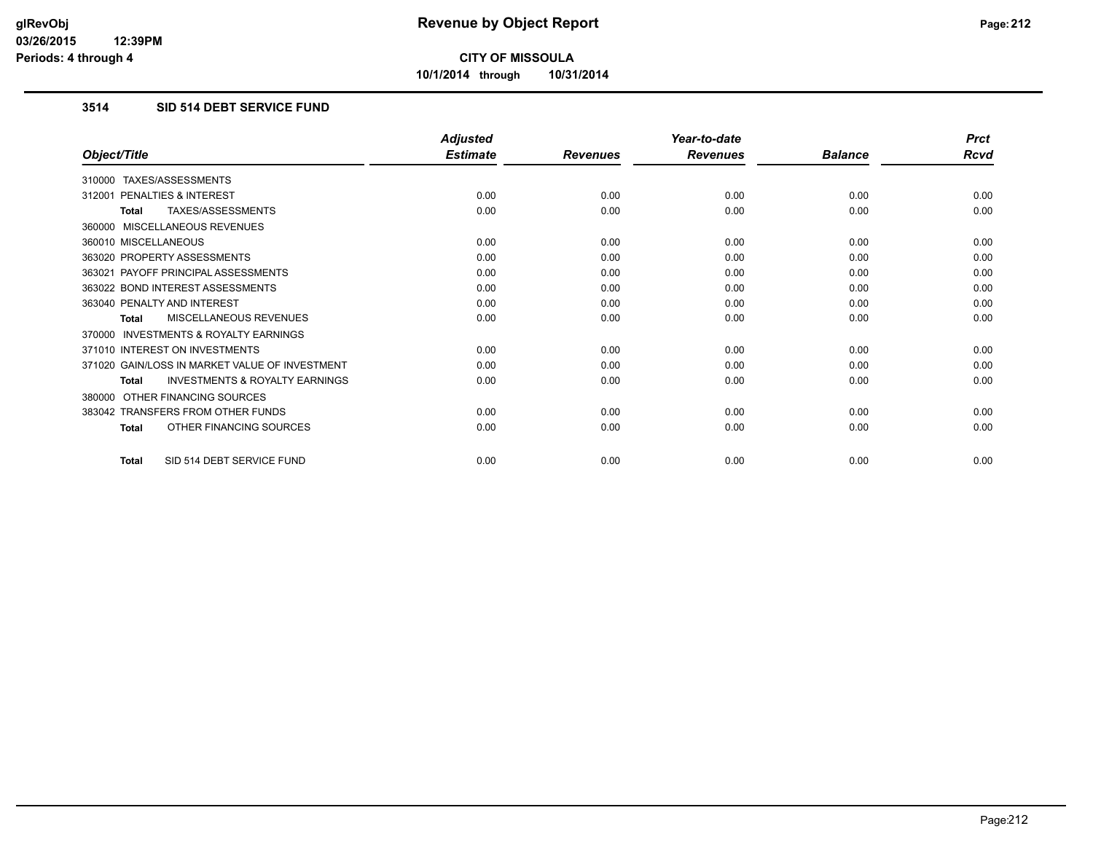**10/1/2014 through 10/31/2014**

### **3514 SID 514 DEBT SERVICE FUND**

|                                                           | <b>Adjusted</b> |                 | Year-to-date    |                | <b>Prct</b> |
|-----------------------------------------------------------|-----------------|-----------------|-----------------|----------------|-------------|
| Object/Title                                              | <b>Estimate</b> | <b>Revenues</b> | <b>Revenues</b> | <b>Balance</b> | Rcvd        |
| 310000 TAXES/ASSESSMENTS                                  |                 |                 |                 |                |             |
| PENALTIES & INTEREST<br>312001                            | 0.00            | 0.00            | 0.00            | 0.00           | 0.00        |
| TAXES/ASSESSMENTS<br><b>Total</b>                         | 0.00            | 0.00            | 0.00            | 0.00           | 0.00        |
| 360000 MISCELLANEOUS REVENUES                             |                 |                 |                 |                |             |
| 360010 MISCELLANEOUS                                      | 0.00            | 0.00            | 0.00            | 0.00           | 0.00        |
| 363020 PROPERTY ASSESSMENTS                               | 0.00            | 0.00            | 0.00            | 0.00           | 0.00        |
| 363021 PAYOFF PRINCIPAL ASSESSMENTS                       | 0.00            | 0.00            | 0.00            | 0.00           | 0.00        |
| 363022 BOND INTEREST ASSESSMENTS                          | 0.00            | 0.00            | 0.00            | 0.00           | 0.00        |
| 363040 PENALTY AND INTEREST                               | 0.00            | 0.00            | 0.00            | 0.00           | 0.00        |
| MISCELLANEOUS REVENUES<br><b>Total</b>                    | 0.00            | 0.00            | 0.00            | 0.00           | 0.00        |
| <b>INVESTMENTS &amp; ROYALTY EARNINGS</b><br>370000       |                 |                 |                 |                |             |
| 371010 INTEREST ON INVESTMENTS                            | 0.00            | 0.00            | 0.00            | 0.00           | 0.00        |
| 371020 GAIN/LOSS IN MARKET VALUE OF INVESTMENT            | 0.00            | 0.00            | 0.00            | 0.00           | 0.00        |
| <b>INVESTMENTS &amp; ROYALTY EARNINGS</b><br><b>Total</b> | 0.00            | 0.00            | 0.00            | 0.00           | 0.00        |
| OTHER FINANCING SOURCES<br>380000                         |                 |                 |                 |                |             |
| 383042 TRANSFERS FROM OTHER FUNDS                         | 0.00            | 0.00            | 0.00            | 0.00           | 0.00        |
| OTHER FINANCING SOURCES<br><b>Total</b>                   | 0.00            | 0.00            | 0.00            | 0.00           | 0.00        |
| SID 514 DEBT SERVICE FUND<br><b>Total</b>                 | 0.00            | 0.00            | 0.00            | 0.00           | 0.00        |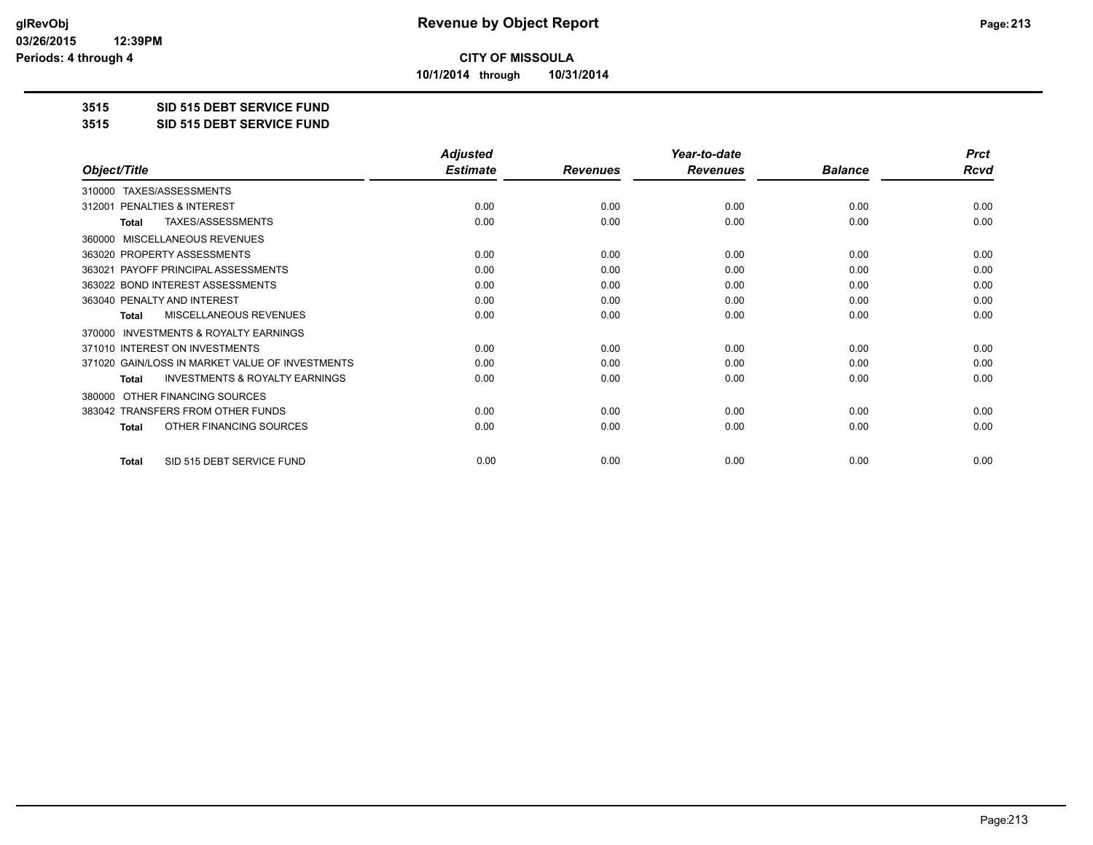**10/1/2014 through 10/31/2014**

#### **3515 SID 515 DEBT SERVICE FUND**

**3515 SID 515 DEBT SERVICE FUND**

|                                                           | <b>Adjusted</b> |                 | Year-to-date    |                | <b>Prct</b> |
|-----------------------------------------------------------|-----------------|-----------------|-----------------|----------------|-------------|
| Object/Title                                              | <b>Estimate</b> | <b>Revenues</b> | <b>Revenues</b> | <b>Balance</b> | <b>Rcvd</b> |
| TAXES/ASSESSMENTS<br>310000                               |                 |                 |                 |                |             |
| PENALTIES & INTEREST<br>312001                            | 0.00            | 0.00            | 0.00            | 0.00           | 0.00        |
| TAXES/ASSESSMENTS<br>Total                                | 0.00            | 0.00            | 0.00            | 0.00           | 0.00        |
| MISCELLANEOUS REVENUES<br>360000                          |                 |                 |                 |                |             |
| 363020 PROPERTY ASSESSMENTS                               | 0.00            | 0.00            | 0.00            | 0.00           | 0.00        |
| 363021 PAYOFF PRINCIPAL ASSESSMENTS                       | 0.00            | 0.00            | 0.00            | 0.00           | 0.00        |
| 363022 BOND INTEREST ASSESSMENTS                          | 0.00            | 0.00            | 0.00            | 0.00           | 0.00        |
| 363040 PENALTY AND INTEREST                               | 0.00            | 0.00            | 0.00            | 0.00           | 0.00        |
| MISCELLANEOUS REVENUES<br><b>Total</b>                    | 0.00            | 0.00            | 0.00            | 0.00           | 0.00        |
| <b>INVESTMENTS &amp; ROYALTY EARNINGS</b><br>370000       |                 |                 |                 |                |             |
| 371010 INTEREST ON INVESTMENTS                            | 0.00            | 0.00            | 0.00            | 0.00           | 0.00        |
| 371020 GAIN/LOSS IN MARKET VALUE OF INVESTMENTS           | 0.00            | 0.00            | 0.00            | 0.00           | 0.00        |
| <b>INVESTMENTS &amp; ROYALTY EARNINGS</b><br><b>Total</b> | 0.00            | 0.00            | 0.00            | 0.00           | 0.00        |
| OTHER FINANCING SOURCES<br>380000                         |                 |                 |                 |                |             |
| 383042 TRANSFERS FROM OTHER FUNDS                         | 0.00            | 0.00            | 0.00            | 0.00           | 0.00        |
| OTHER FINANCING SOURCES<br><b>Total</b>                   | 0.00            | 0.00            | 0.00            | 0.00           | 0.00        |
|                                                           |                 |                 |                 |                |             |
| SID 515 DEBT SERVICE FUND<br><b>Total</b>                 | 0.00            | 0.00            | 0.00            | 0.00           | 0.00        |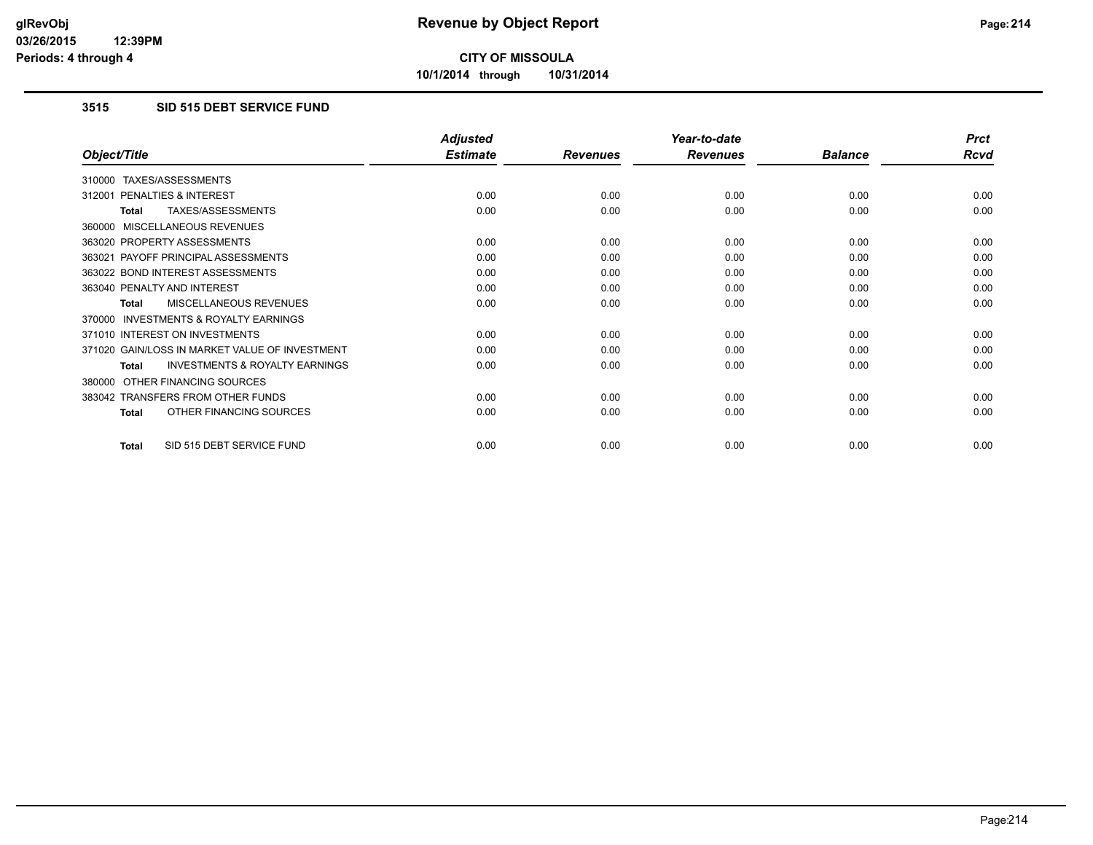**10/1/2014 through 10/31/2014**

### **3515 SID 515 DEBT SERVICE FUND**

|                                                     | <b>Adjusted</b> |                 | Year-to-date    |                | <b>Prct</b> |
|-----------------------------------------------------|-----------------|-----------------|-----------------|----------------|-------------|
| Object/Title                                        | <b>Estimate</b> | <b>Revenues</b> | <b>Revenues</b> | <b>Balance</b> | <b>Rcvd</b> |
| TAXES/ASSESSMENTS<br>310000                         |                 |                 |                 |                |             |
| <b>PENALTIES &amp; INTEREST</b><br>312001           | 0.00            | 0.00            | 0.00            | 0.00           | 0.00        |
| TAXES/ASSESSMENTS<br>Total                          | 0.00            | 0.00            | 0.00            | 0.00           | 0.00        |
| MISCELLANEOUS REVENUES<br>360000                    |                 |                 |                 |                |             |
| 363020 PROPERTY ASSESSMENTS                         | 0.00            | 0.00            | 0.00            | 0.00           | 0.00        |
| 363021 PAYOFF PRINCIPAL ASSESSMENTS                 | 0.00            | 0.00            | 0.00            | 0.00           | 0.00        |
| 363022 BOND INTEREST ASSESSMENTS                    | 0.00            | 0.00            | 0.00            | 0.00           | 0.00        |
| 363040 PENALTY AND INTEREST                         | 0.00            | 0.00            | 0.00            | 0.00           | 0.00        |
| <b>MISCELLANEOUS REVENUES</b><br><b>Total</b>       | 0.00            | 0.00            | 0.00            | 0.00           | 0.00        |
| <b>INVESTMENTS &amp; ROYALTY EARNINGS</b><br>370000 |                 |                 |                 |                |             |
| 371010 INTEREST ON INVESTMENTS                      | 0.00            | 0.00            | 0.00            | 0.00           | 0.00        |
| 371020 GAIN/LOSS IN MARKET VALUE OF INVESTMENT      | 0.00            | 0.00            | 0.00            | 0.00           | 0.00        |
| <b>INVESTMENTS &amp; ROYALTY EARNINGS</b><br>Total  | 0.00            | 0.00            | 0.00            | 0.00           | 0.00        |
| OTHER FINANCING SOURCES<br>380000                   |                 |                 |                 |                |             |
| 383042 TRANSFERS FROM OTHER FUNDS                   | 0.00            | 0.00            | 0.00            | 0.00           | 0.00        |
| OTHER FINANCING SOURCES<br><b>Total</b>             | 0.00            | 0.00            | 0.00            | 0.00           | 0.00        |
| SID 515 DEBT SERVICE FUND<br>Total                  | 0.00            | 0.00            | 0.00            | 0.00           | 0.00        |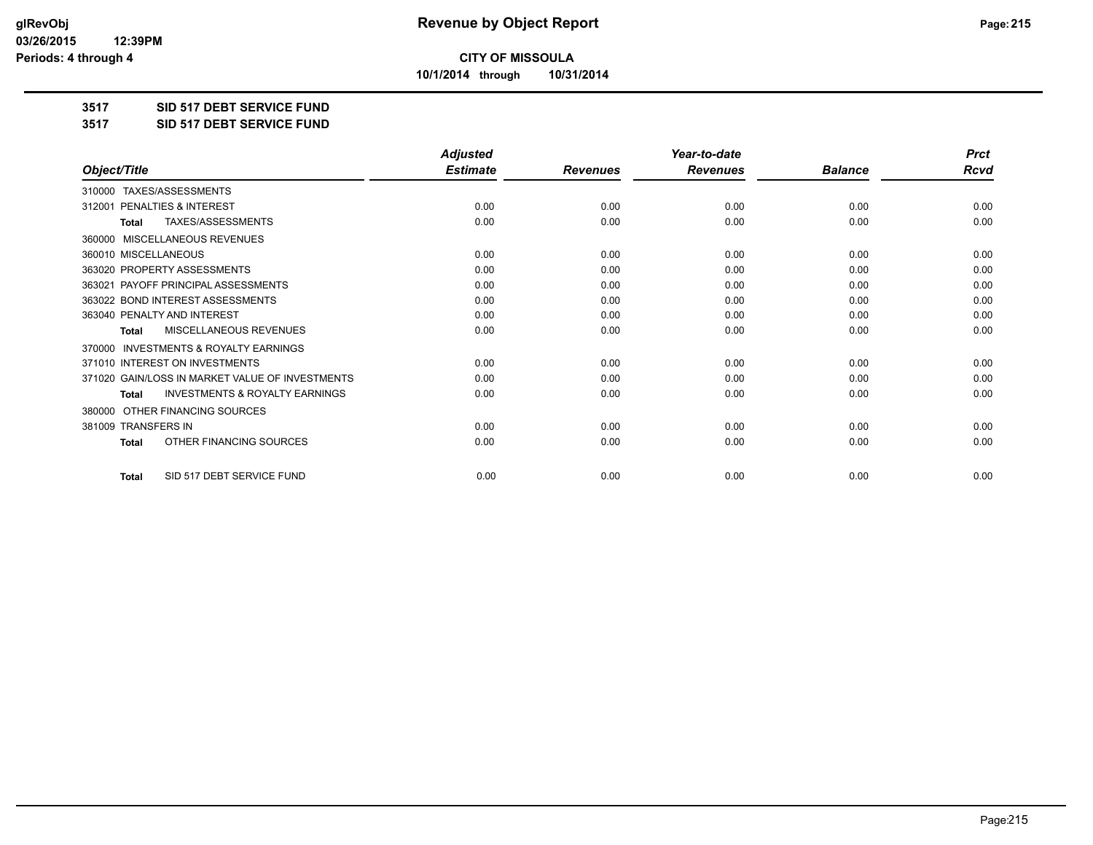**10/1/2014 through 10/31/2014**

#### **3517 SID 517 DEBT SERVICE FUND**

**3517 SID 517 DEBT SERVICE FUND**

|                                                           | <b>Adjusted</b> |                 | Year-to-date    |                | <b>Prct</b> |
|-----------------------------------------------------------|-----------------|-----------------|-----------------|----------------|-------------|
| Object/Title                                              | <b>Estimate</b> | <b>Revenues</b> | <b>Revenues</b> | <b>Balance</b> | <b>Rcvd</b> |
| TAXES/ASSESSMENTS<br>310000                               |                 |                 |                 |                |             |
| PENALTIES & INTEREST<br>312001                            | 0.00            | 0.00            | 0.00            | 0.00           | 0.00        |
| <b>TAXES/ASSESSMENTS</b><br><b>Total</b>                  | 0.00            | 0.00            | 0.00            | 0.00           | 0.00        |
| MISCELLANEOUS REVENUES<br>360000                          |                 |                 |                 |                |             |
| 360010 MISCELLANEOUS                                      | 0.00            | 0.00            | 0.00            | 0.00           | 0.00        |
| 363020 PROPERTY ASSESSMENTS                               | 0.00            | 0.00            | 0.00            | 0.00           | 0.00        |
| PAYOFF PRINCIPAL ASSESSMENTS<br>363021                    | 0.00            | 0.00            | 0.00            | 0.00           | 0.00        |
| 363022 BOND INTEREST ASSESSMENTS                          | 0.00            | 0.00            | 0.00            | 0.00           | 0.00        |
| 363040 PENALTY AND INTEREST                               | 0.00            | 0.00            | 0.00            | 0.00           | 0.00        |
| <b>MISCELLANEOUS REVENUES</b><br><b>Total</b>             | 0.00            | 0.00            | 0.00            | 0.00           | 0.00        |
| <b>INVESTMENTS &amp; ROYALTY EARNINGS</b><br>370000       |                 |                 |                 |                |             |
| 371010 INTEREST ON INVESTMENTS                            | 0.00            | 0.00            | 0.00            | 0.00           | 0.00        |
| 371020 GAIN/LOSS IN MARKET VALUE OF INVESTMENTS           | 0.00            | 0.00            | 0.00            | 0.00           | 0.00        |
| <b>INVESTMENTS &amp; ROYALTY EARNINGS</b><br><b>Total</b> | 0.00            | 0.00            | 0.00            | 0.00           | 0.00        |
| OTHER FINANCING SOURCES<br>380000                         |                 |                 |                 |                |             |
| 381009 TRANSFERS IN                                       | 0.00            | 0.00            | 0.00            | 0.00           | 0.00        |
| OTHER FINANCING SOURCES<br><b>Total</b>                   | 0.00            | 0.00            | 0.00            | 0.00           | 0.00        |
| SID 517 DEBT SERVICE FUND<br><b>Total</b>                 | 0.00            | 0.00            | 0.00            | 0.00           | 0.00        |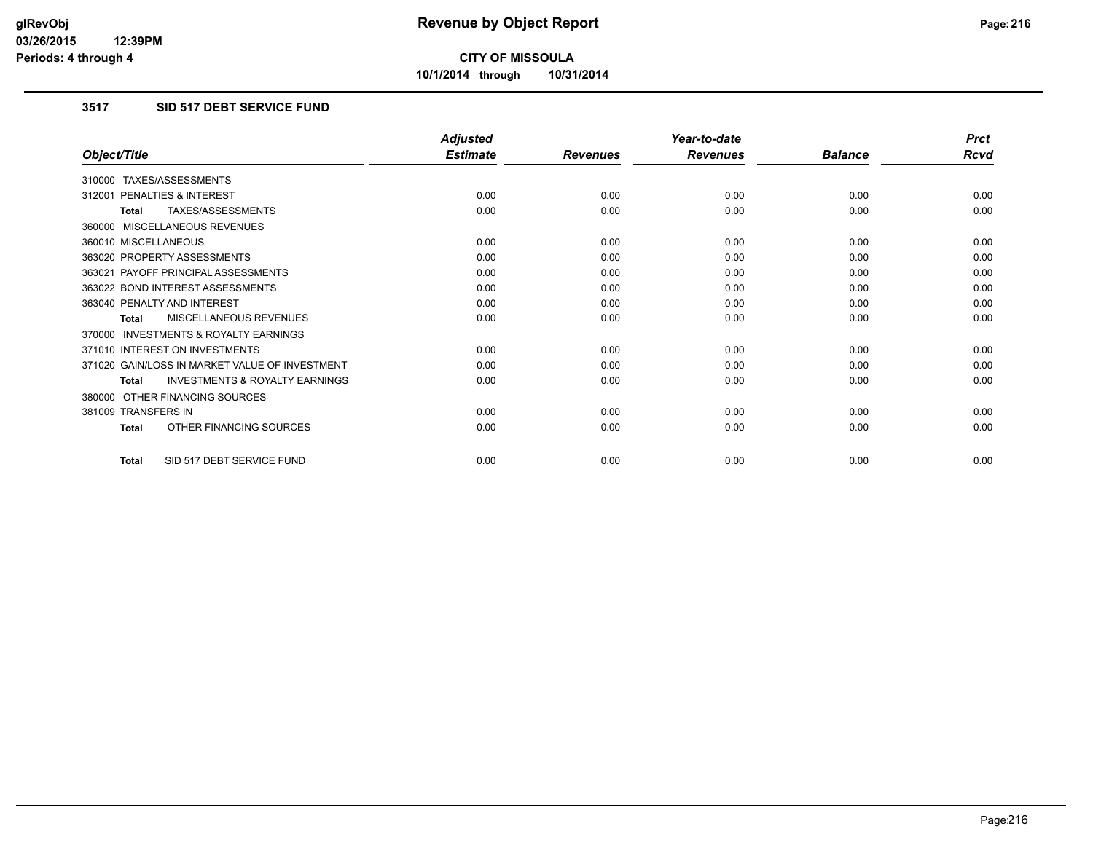**10/1/2014 through 10/31/2014**

### **3517 SID 517 DEBT SERVICE FUND**

|                                                           | <b>Adjusted</b> |                 | Year-to-date    |                | <b>Prct</b> |
|-----------------------------------------------------------|-----------------|-----------------|-----------------|----------------|-------------|
| Object/Title                                              | <b>Estimate</b> | <b>Revenues</b> | <b>Revenues</b> | <b>Balance</b> | <b>Rcvd</b> |
| 310000 TAXES/ASSESSMENTS                                  |                 |                 |                 |                |             |
| 312001 PENALTIES & INTEREST                               | 0.00            | 0.00            | 0.00            | 0.00           | 0.00        |
| TAXES/ASSESSMENTS<br><b>Total</b>                         | 0.00            | 0.00            | 0.00            | 0.00           | 0.00        |
| 360000 MISCELLANEOUS REVENUES                             |                 |                 |                 |                |             |
| 360010 MISCELLANEOUS                                      | 0.00            | 0.00            | 0.00            | 0.00           | 0.00        |
| 363020 PROPERTY ASSESSMENTS                               | 0.00            | 0.00            | 0.00            | 0.00           | 0.00        |
| 363021 PAYOFF PRINCIPAL ASSESSMENTS                       | 0.00            | 0.00            | 0.00            | 0.00           | 0.00        |
| 363022 BOND INTEREST ASSESSMENTS                          | 0.00            | 0.00            | 0.00            | 0.00           | 0.00        |
| 363040 PENALTY AND INTEREST                               | 0.00            | 0.00            | 0.00            | 0.00           | 0.00        |
| MISCELLANEOUS REVENUES<br><b>Total</b>                    | 0.00            | 0.00            | 0.00            | 0.00           | 0.00        |
| <b>INVESTMENTS &amp; ROYALTY EARNINGS</b><br>370000       |                 |                 |                 |                |             |
| 371010 INTEREST ON INVESTMENTS                            | 0.00            | 0.00            | 0.00            | 0.00           | 0.00        |
| 371020 GAIN/LOSS IN MARKET VALUE OF INVESTMENT            | 0.00            | 0.00            | 0.00            | 0.00           | 0.00        |
| <b>INVESTMENTS &amp; ROYALTY EARNINGS</b><br><b>Total</b> | 0.00            | 0.00            | 0.00            | 0.00           | 0.00        |
| 380000 OTHER FINANCING SOURCES                            |                 |                 |                 |                |             |
| 381009 TRANSFERS IN                                       | 0.00            | 0.00            | 0.00            | 0.00           | 0.00        |
| OTHER FINANCING SOURCES<br><b>Total</b>                   | 0.00            | 0.00            | 0.00            | 0.00           | 0.00        |
| SID 517 DEBT SERVICE FUND<br>Total                        | 0.00            | 0.00            | 0.00            | 0.00           | 0.00        |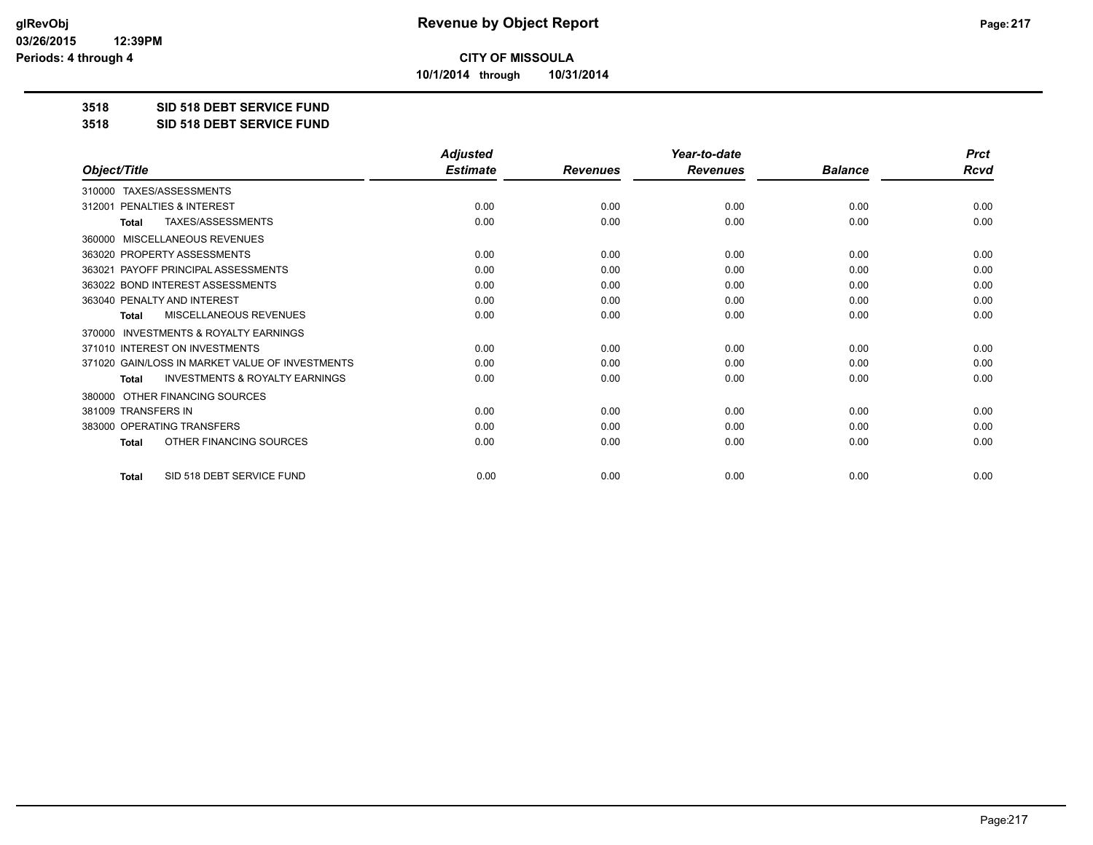**10/1/2014 through 10/31/2014**

#### **3518 SID 518 DEBT SERVICE FUND**

**3518 SID 518 DEBT SERVICE FUND**

|                                                           | <b>Adjusted</b> |                 | Year-to-date    |                | <b>Prct</b> |
|-----------------------------------------------------------|-----------------|-----------------|-----------------|----------------|-------------|
| Object/Title                                              | <b>Estimate</b> | <b>Revenues</b> | <b>Revenues</b> | <b>Balance</b> | <b>Rcvd</b> |
| TAXES/ASSESSMENTS<br>310000                               |                 |                 |                 |                |             |
| 312001 PENALTIES & INTEREST                               | 0.00            | 0.00            | 0.00            | 0.00           | 0.00        |
| <b>TAXES/ASSESSMENTS</b><br><b>Total</b>                  | 0.00            | 0.00            | 0.00            | 0.00           | 0.00        |
| MISCELLANEOUS REVENUES<br>360000                          |                 |                 |                 |                |             |
| 363020 PROPERTY ASSESSMENTS                               | 0.00            | 0.00            | 0.00            | 0.00           | 0.00        |
| 363021 PAYOFF PRINCIPAL ASSESSMENTS                       | 0.00            | 0.00            | 0.00            | 0.00           | 0.00        |
| 363022 BOND INTEREST ASSESSMENTS                          | 0.00            | 0.00            | 0.00            | 0.00           | 0.00        |
| 363040 PENALTY AND INTEREST                               | 0.00            | 0.00            | 0.00            | 0.00           | 0.00        |
| MISCELLANEOUS REVENUES<br><b>Total</b>                    | 0.00            | 0.00            | 0.00            | 0.00           | 0.00        |
| <b>INVESTMENTS &amp; ROYALTY EARNINGS</b><br>370000       |                 |                 |                 |                |             |
| 371010 INTEREST ON INVESTMENTS                            | 0.00            | 0.00            | 0.00            | 0.00           | 0.00        |
| 371020 GAIN/LOSS IN MARKET VALUE OF INVESTMENTS           | 0.00            | 0.00            | 0.00            | 0.00           | 0.00        |
| <b>INVESTMENTS &amp; ROYALTY EARNINGS</b><br><b>Total</b> | 0.00            | 0.00            | 0.00            | 0.00           | 0.00        |
| OTHER FINANCING SOURCES<br>380000                         |                 |                 |                 |                |             |
| 381009 TRANSFERS IN                                       | 0.00            | 0.00            | 0.00            | 0.00           | 0.00        |
| 383000 OPERATING TRANSFERS                                | 0.00            | 0.00            | 0.00            | 0.00           | 0.00        |
| OTHER FINANCING SOURCES<br><b>Total</b>                   | 0.00            | 0.00            | 0.00            | 0.00           | 0.00        |
| SID 518 DEBT SERVICE FUND<br><b>Total</b>                 | 0.00            | 0.00            | 0.00            | 0.00           | 0.00        |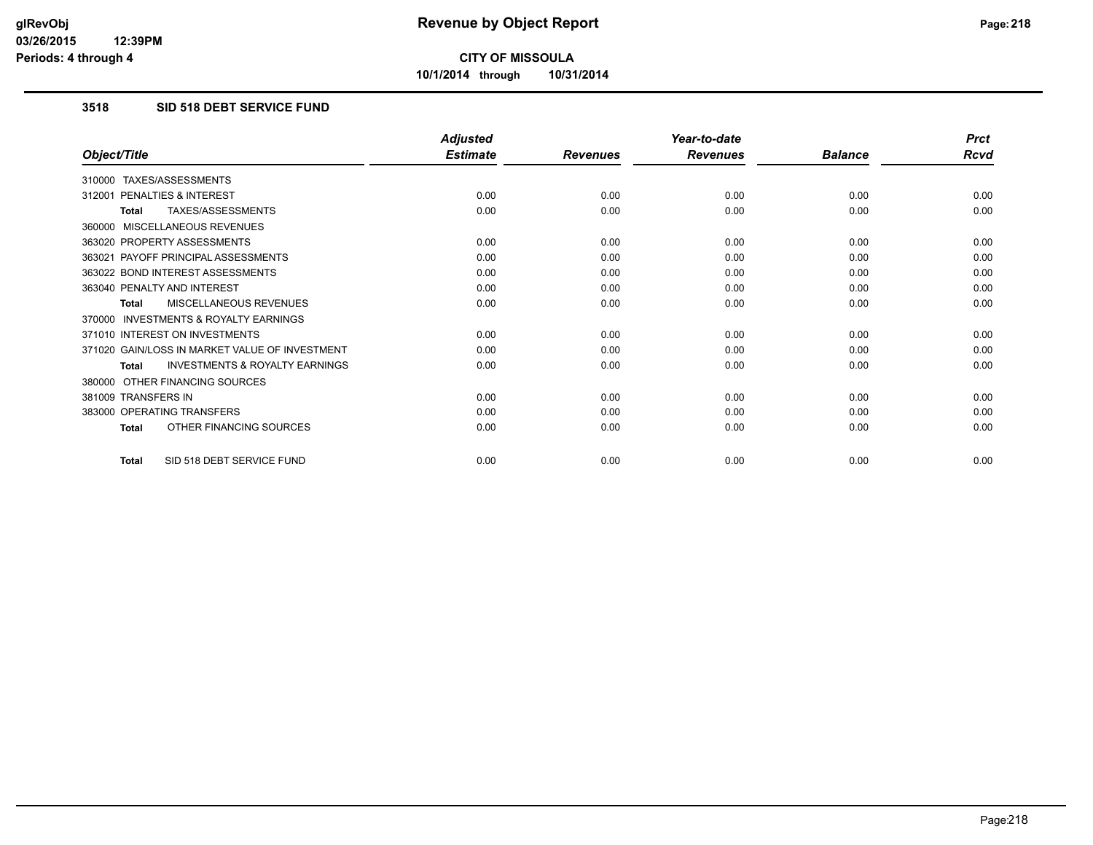**10/1/2014 through 10/31/2014**

## **3518 SID 518 DEBT SERVICE FUND**

|                                                           | <b>Adjusted</b> |                 | Year-to-date    |                | <b>Prct</b> |
|-----------------------------------------------------------|-----------------|-----------------|-----------------|----------------|-------------|
| Object/Title                                              | <b>Estimate</b> | <b>Revenues</b> | <b>Revenues</b> | <b>Balance</b> | Rcvd        |
| 310000 TAXES/ASSESSMENTS                                  |                 |                 |                 |                |             |
| PENALTIES & INTEREST<br>312001                            | 0.00            | 0.00            | 0.00            | 0.00           | 0.00        |
| TAXES/ASSESSMENTS<br><b>Total</b>                         | 0.00            | 0.00            | 0.00            | 0.00           | 0.00        |
| 360000 MISCELLANEOUS REVENUES                             |                 |                 |                 |                |             |
| 363020 PROPERTY ASSESSMENTS                               | 0.00            | 0.00            | 0.00            | 0.00           | 0.00        |
| 363021 PAYOFF PRINCIPAL ASSESSMENTS                       | 0.00            | 0.00            | 0.00            | 0.00           | 0.00        |
| 363022 BOND INTEREST ASSESSMENTS                          | 0.00            | 0.00            | 0.00            | 0.00           | 0.00        |
| 363040 PENALTY AND INTEREST                               | 0.00            | 0.00            | 0.00            | 0.00           | 0.00        |
| MISCELLANEOUS REVENUES<br><b>Total</b>                    | 0.00            | 0.00            | 0.00            | 0.00           | 0.00        |
| <b>INVESTMENTS &amp; ROYALTY EARNINGS</b><br>370000       |                 |                 |                 |                |             |
| 371010 INTEREST ON INVESTMENTS                            | 0.00            | 0.00            | 0.00            | 0.00           | 0.00        |
| 371020 GAIN/LOSS IN MARKET VALUE OF INVESTMENT            | 0.00            | 0.00            | 0.00            | 0.00           | 0.00        |
| <b>INVESTMENTS &amp; ROYALTY EARNINGS</b><br><b>Total</b> | 0.00            | 0.00            | 0.00            | 0.00           | 0.00        |
| 380000 OTHER FINANCING SOURCES                            |                 |                 |                 |                |             |
| 381009 TRANSFERS IN                                       | 0.00            | 0.00            | 0.00            | 0.00           | 0.00        |
| 383000 OPERATING TRANSFERS                                | 0.00            | 0.00            | 0.00            | 0.00           | 0.00        |
| OTHER FINANCING SOURCES<br><b>Total</b>                   | 0.00            | 0.00            | 0.00            | 0.00           | 0.00        |
| SID 518 DEBT SERVICE FUND<br><b>Total</b>                 | 0.00            | 0.00            | 0.00            | 0.00           | 0.00        |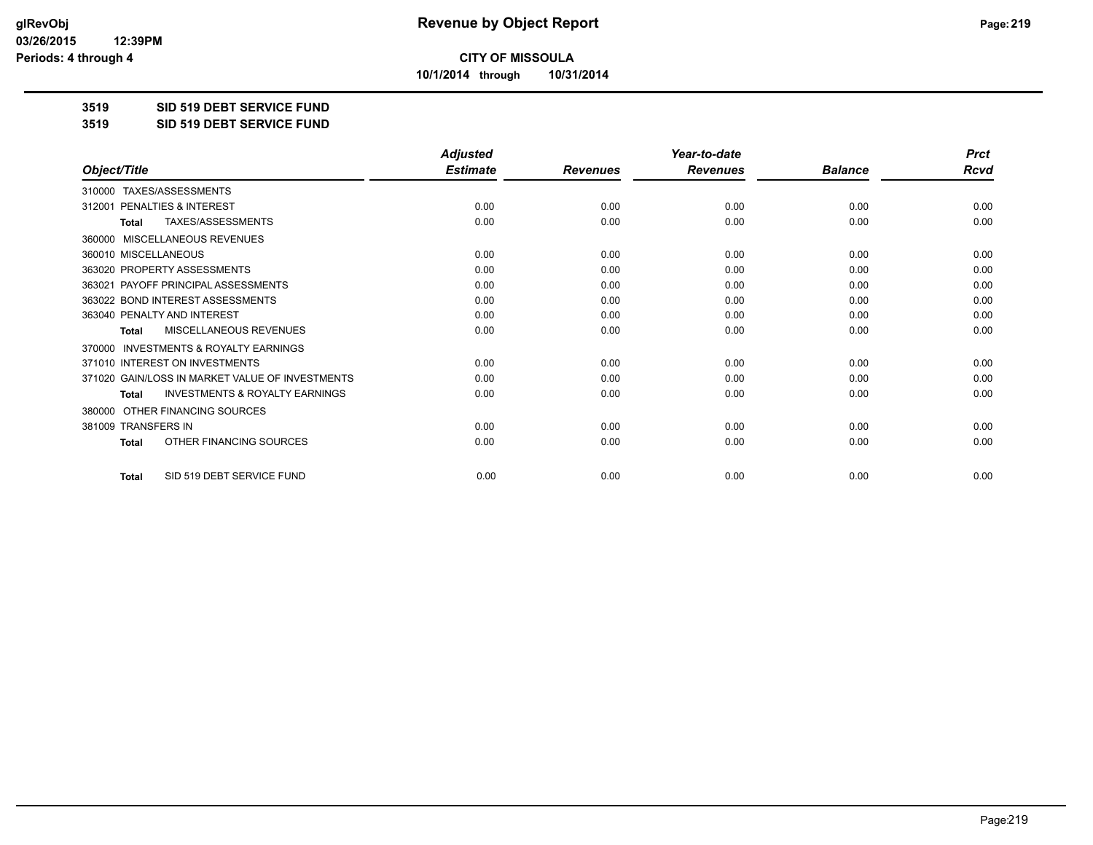**10/1/2014 through 10/31/2014**

#### **3519 SID 519 DEBT SERVICE FUND**

**3519 SID 519 DEBT SERVICE FUND**

|                                                           | <b>Adjusted</b> |                 | Year-to-date    |                | <b>Prct</b> |
|-----------------------------------------------------------|-----------------|-----------------|-----------------|----------------|-------------|
| Object/Title                                              | <b>Estimate</b> | <b>Revenues</b> | <b>Revenues</b> | <b>Balance</b> | Rcvd        |
| TAXES/ASSESSMENTS<br>310000                               |                 |                 |                 |                |             |
| PENALTIES & INTEREST<br>312001                            | 0.00            | 0.00            | 0.00            | 0.00           | 0.00        |
| TAXES/ASSESSMENTS<br>Total                                | 0.00            | 0.00            | 0.00            | 0.00           | 0.00        |
| MISCELLANEOUS REVENUES<br>360000                          |                 |                 |                 |                |             |
| 360010 MISCELLANEOUS                                      | 0.00            | 0.00            | 0.00            | 0.00           | 0.00        |
| 363020 PROPERTY ASSESSMENTS                               | 0.00            | 0.00            | 0.00            | 0.00           | 0.00        |
| 363021 PAYOFF PRINCIPAL ASSESSMENTS                       | 0.00            | 0.00            | 0.00            | 0.00           | 0.00        |
| 363022 BOND INTEREST ASSESSMENTS                          | 0.00            | 0.00            | 0.00            | 0.00           | 0.00        |
| 363040 PENALTY AND INTEREST                               | 0.00            | 0.00            | 0.00            | 0.00           | 0.00        |
| <b>MISCELLANEOUS REVENUES</b><br><b>Total</b>             | 0.00            | 0.00            | 0.00            | 0.00           | 0.00        |
| <b>INVESTMENTS &amp; ROYALTY EARNINGS</b><br>370000       |                 |                 |                 |                |             |
| 371010 INTEREST ON INVESTMENTS                            | 0.00            | 0.00            | 0.00            | 0.00           | 0.00        |
| 371020 GAIN/LOSS IN MARKET VALUE OF INVESTMENTS           | 0.00            | 0.00            | 0.00            | 0.00           | 0.00        |
| <b>INVESTMENTS &amp; ROYALTY EARNINGS</b><br><b>Total</b> | 0.00            | 0.00            | 0.00            | 0.00           | 0.00        |
| OTHER FINANCING SOURCES<br>380000                         |                 |                 |                 |                |             |
| 381009 TRANSFERS IN                                       | 0.00            | 0.00            | 0.00            | 0.00           | 0.00        |
| OTHER FINANCING SOURCES<br><b>Total</b>                   | 0.00            | 0.00            | 0.00            | 0.00           | 0.00        |
| SID 519 DEBT SERVICE FUND<br><b>Total</b>                 | 0.00            | 0.00            | 0.00            | 0.00           | 0.00        |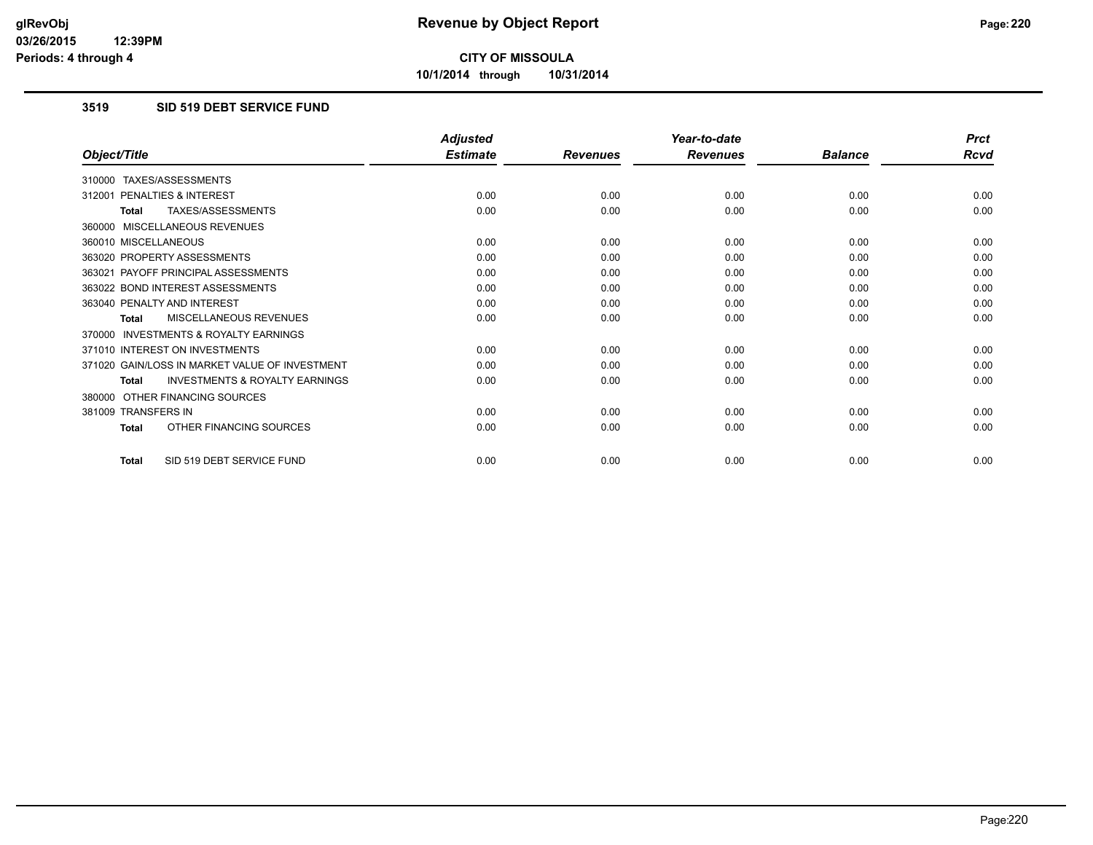**10/1/2014 through 10/31/2014**

## **3519 SID 519 DEBT SERVICE FUND**

|                                                           | <b>Adjusted</b> |                 | Year-to-date    |                | <b>Prct</b> |
|-----------------------------------------------------------|-----------------|-----------------|-----------------|----------------|-------------|
| Object/Title                                              | <b>Estimate</b> | <b>Revenues</b> | <b>Revenues</b> | <b>Balance</b> | <b>Rcvd</b> |
| 310000 TAXES/ASSESSMENTS                                  |                 |                 |                 |                |             |
| PENALTIES & INTEREST<br>312001                            | 0.00            | 0.00            | 0.00            | 0.00           | 0.00        |
| TAXES/ASSESSMENTS<br><b>Total</b>                         | 0.00            | 0.00            | 0.00            | 0.00           | 0.00        |
| 360000 MISCELLANEOUS REVENUES                             |                 |                 |                 |                |             |
| 360010 MISCELLANEOUS                                      | 0.00            | 0.00            | 0.00            | 0.00           | 0.00        |
| 363020 PROPERTY ASSESSMENTS                               | 0.00            | 0.00            | 0.00            | 0.00           | 0.00        |
| 363021 PAYOFF PRINCIPAL ASSESSMENTS                       | 0.00            | 0.00            | 0.00            | 0.00           | 0.00        |
| 363022 BOND INTEREST ASSESSMENTS                          | 0.00            | 0.00            | 0.00            | 0.00           | 0.00        |
| 363040 PENALTY AND INTEREST                               | 0.00            | 0.00            | 0.00            | 0.00           | 0.00        |
| MISCELLANEOUS REVENUES<br><b>Total</b>                    | 0.00            | 0.00            | 0.00            | 0.00           | 0.00        |
| <b>INVESTMENTS &amp; ROYALTY EARNINGS</b><br>370000       |                 |                 |                 |                |             |
| 371010 INTEREST ON INVESTMENTS                            | 0.00            | 0.00            | 0.00            | 0.00           | 0.00        |
| 371020 GAIN/LOSS IN MARKET VALUE OF INVESTMENT            | 0.00            | 0.00            | 0.00            | 0.00           | 0.00        |
| <b>INVESTMENTS &amp; ROYALTY EARNINGS</b><br><b>Total</b> | 0.00            | 0.00            | 0.00            | 0.00           | 0.00        |
| OTHER FINANCING SOURCES<br>380000                         |                 |                 |                 |                |             |
| 381009 TRANSFERS IN                                       | 0.00            | 0.00            | 0.00            | 0.00           | 0.00        |
| OTHER FINANCING SOURCES<br><b>Total</b>                   | 0.00            | 0.00            | 0.00            | 0.00           | 0.00        |
| SID 519 DEBT SERVICE FUND<br><b>Total</b>                 | 0.00            | 0.00            | 0.00            | 0.00           | 0.00        |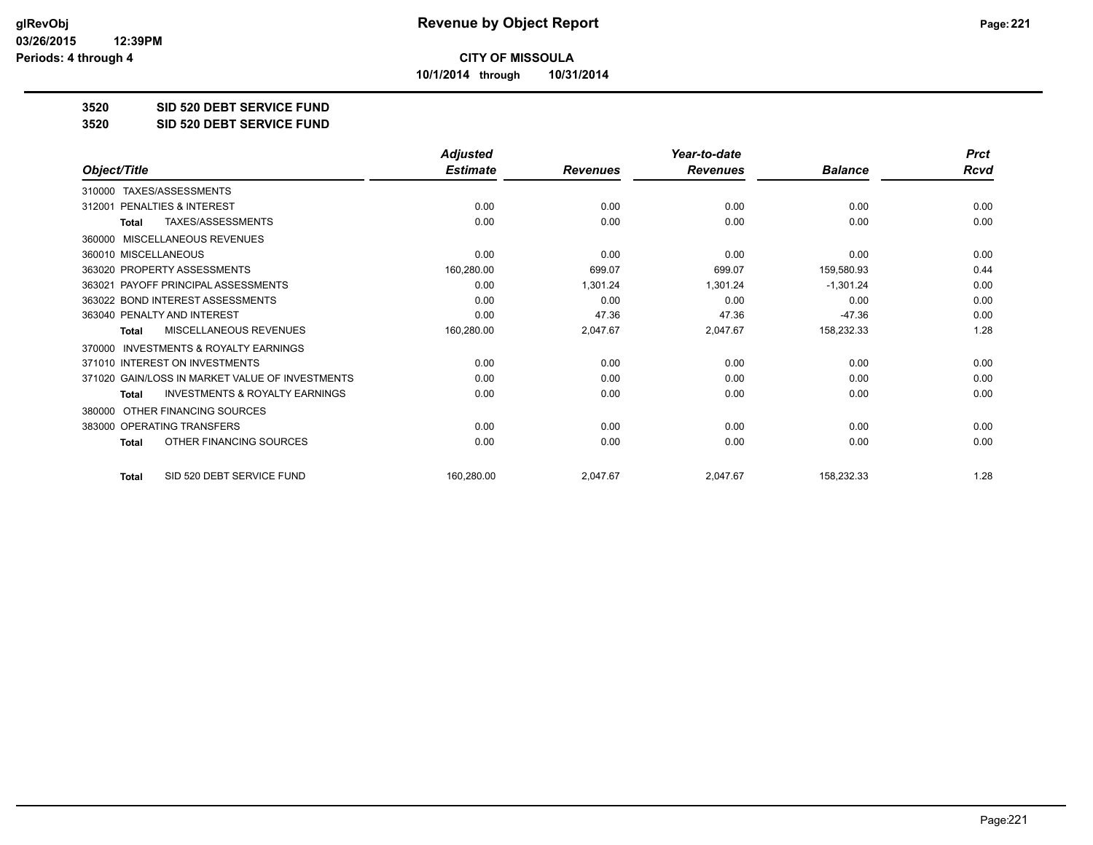**10/1/2014 through 10/31/2014**

## **3520 SID 520 DEBT SERVICE FUND**

**3520 SID 520 DEBT SERVICE FUND**

|                                                           | <b>Adjusted</b> |                 | Year-to-date    |                | <b>Prct</b> |
|-----------------------------------------------------------|-----------------|-----------------|-----------------|----------------|-------------|
| Object/Title                                              | <b>Estimate</b> | <b>Revenues</b> | <b>Revenues</b> | <b>Balance</b> | <b>Rcvd</b> |
| TAXES/ASSESSMENTS<br>310000                               |                 |                 |                 |                |             |
| PENALTIES & INTEREST<br>312001                            | 0.00            | 0.00            | 0.00            | 0.00           | 0.00        |
| TAXES/ASSESSMENTS<br><b>Total</b>                         | 0.00            | 0.00            | 0.00            | 0.00           | 0.00        |
| MISCELLANEOUS REVENUES<br>360000                          |                 |                 |                 |                |             |
| 360010 MISCELLANEOUS                                      | 0.00            | 0.00            | 0.00            | 0.00           | 0.00        |
| 363020 PROPERTY ASSESSMENTS                               | 160,280.00      | 699.07          | 699.07          | 159,580.93     | 0.44        |
| 363021 PAYOFF PRINCIPAL ASSESSMENTS                       | 0.00            | 1,301.24        | 1,301.24        | $-1,301.24$    | 0.00        |
| 363022 BOND INTEREST ASSESSMENTS                          | 0.00            | 0.00            | 0.00            | 0.00           | 0.00        |
| 363040 PENALTY AND INTEREST                               | 0.00            | 47.36           | 47.36           | $-47.36$       | 0.00        |
| MISCELLANEOUS REVENUES<br>Total                           | 160,280.00      | 2,047.67        | 2,047.67        | 158,232.33     | 1.28        |
| <b>INVESTMENTS &amp; ROYALTY EARNINGS</b><br>370000       |                 |                 |                 |                |             |
| 371010 INTEREST ON INVESTMENTS                            | 0.00            | 0.00            | 0.00            | 0.00           | 0.00        |
| 371020 GAIN/LOSS IN MARKET VALUE OF INVESTMENTS           | 0.00            | 0.00            | 0.00            | 0.00           | 0.00        |
| <b>INVESTMENTS &amp; ROYALTY EARNINGS</b><br><b>Total</b> | 0.00            | 0.00            | 0.00            | 0.00           | 0.00        |
| OTHER FINANCING SOURCES<br>380000                         |                 |                 |                 |                |             |
| 383000 OPERATING TRANSFERS                                | 0.00            | 0.00            | 0.00            | 0.00           | 0.00        |
| OTHER FINANCING SOURCES<br><b>Total</b>                   | 0.00            | 0.00            | 0.00            | 0.00           | 0.00        |
| SID 520 DEBT SERVICE FUND<br><b>Total</b>                 | 160,280.00      | 2,047.67        | 2,047.67        | 158,232.33     | 1.28        |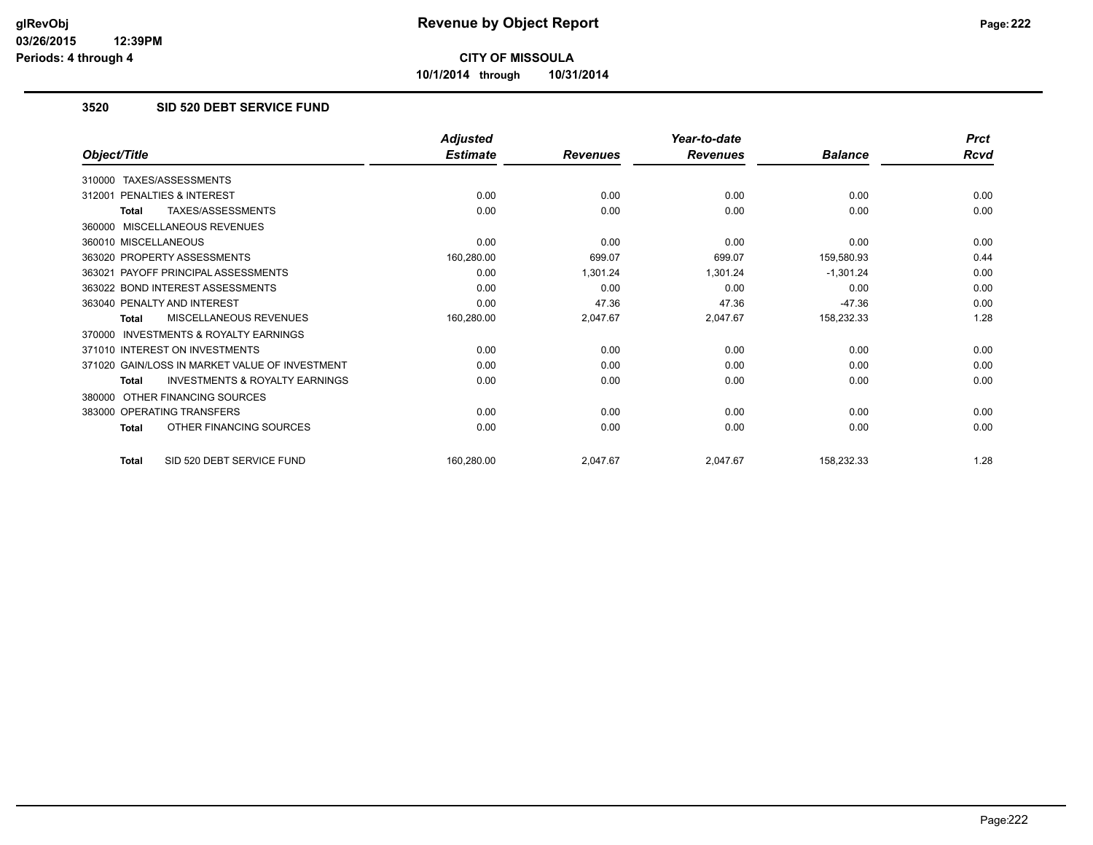**10/1/2014 through 10/31/2014**

## **3520 SID 520 DEBT SERVICE FUND**

|                                                           | <b>Adjusted</b> |                 | Year-to-date    |                | <b>Prct</b> |
|-----------------------------------------------------------|-----------------|-----------------|-----------------|----------------|-------------|
| Object/Title                                              | <b>Estimate</b> | <b>Revenues</b> | <b>Revenues</b> | <b>Balance</b> | Rcvd        |
| TAXES/ASSESSMENTS<br>310000                               |                 |                 |                 |                |             |
| PENALTIES & INTEREST<br>312001                            | 0.00            | 0.00            | 0.00            | 0.00           | 0.00        |
| TAXES/ASSESSMENTS<br><b>Total</b>                         | 0.00            | 0.00            | 0.00            | 0.00           | 0.00        |
| MISCELLANEOUS REVENUES<br>360000                          |                 |                 |                 |                |             |
| 360010 MISCELLANEOUS                                      | 0.00            | 0.00            | 0.00            | 0.00           | 0.00        |
| 363020 PROPERTY ASSESSMENTS                               | 160,280.00      | 699.07          | 699.07          | 159,580.93     | 0.44        |
| 363021 PAYOFF PRINCIPAL ASSESSMENTS                       | 0.00            | 1,301.24        | 1,301.24        | $-1,301.24$    | 0.00        |
| 363022 BOND INTEREST ASSESSMENTS                          | 0.00            | 0.00            | 0.00            | 0.00           | 0.00        |
| 363040 PENALTY AND INTEREST                               | 0.00            | 47.36           | 47.36           | $-47.36$       | 0.00        |
| MISCELLANEOUS REVENUES<br><b>Total</b>                    | 160,280.00      | 2,047.67        | 2,047.67        | 158,232.33     | 1.28        |
| INVESTMENTS & ROYALTY EARNINGS<br>370000                  |                 |                 |                 |                |             |
| 371010 INTEREST ON INVESTMENTS                            | 0.00            | 0.00            | 0.00            | 0.00           | 0.00        |
| 371020 GAIN/LOSS IN MARKET VALUE OF INVESTMENT            | 0.00            | 0.00            | 0.00            | 0.00           | 0.00        |
| <b>INVESTMENTS &amp; ROYALTY EARNINGS</b><br><b>Total</b> | 0.00            | 0.00            | 0.00            | 0.00           | 0.00        |
| OTHER FINANCING SOURCES<br>380000                         |                 |                 |                 |                |             |
| 383000 OPERATING TRANSFERS                                | 0.00            | 0.00            | 0.00            | 0.00           | 0.00        |
| OTHER FINANCING SOURCES<br><b>Total</b>                   | 0.00            | 0.00            | 0.00            | 0.00           | 0.00        |
| SID 520 DEBT SERVICE FUND<br><b>Total</b>                 | 160,280.00      | 2,047.67        | 2,047.67        | 158,232.33     | 1.28        |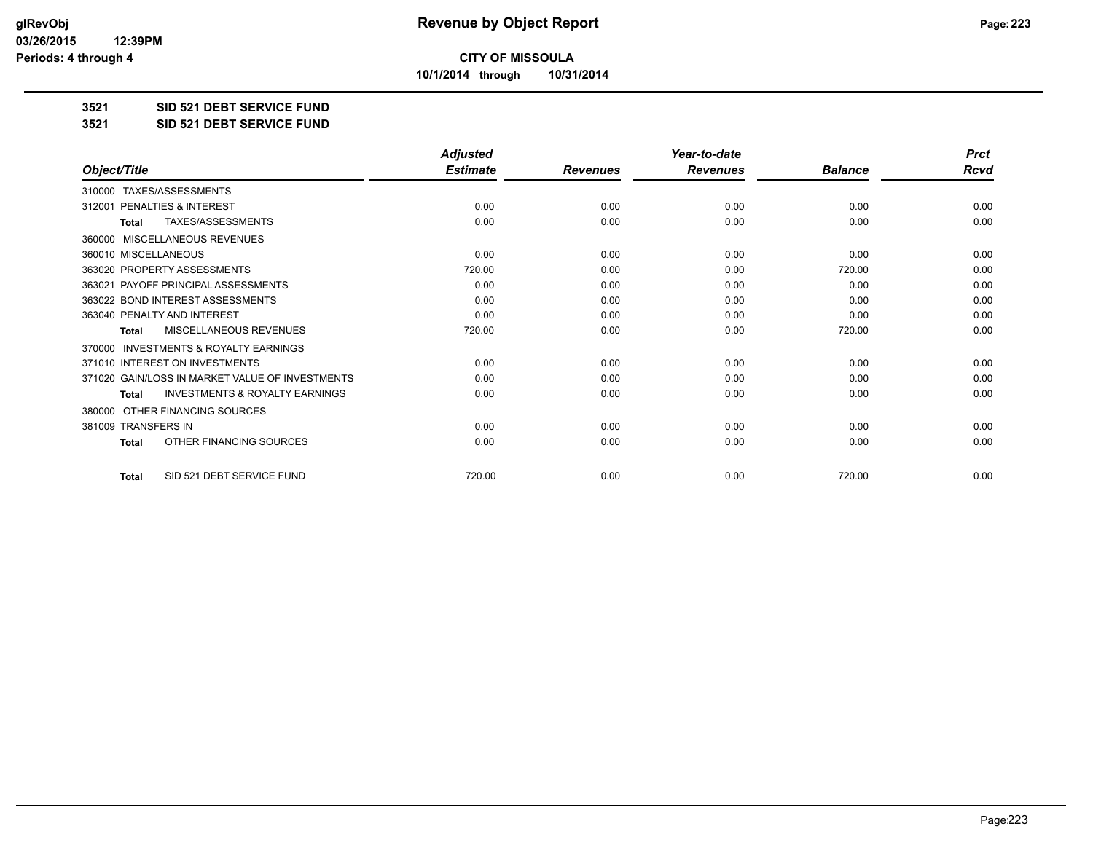**10/1/2014 through 10/31/2014**

## **3521 SID 521 DEBT SERVICE FUND**

**3521 SID 521 DEBT SERVICE FUND**

|                                                           | <b>Adjusted</b> |                 | Year-to-date    |                |             |
|-----------------------------------------------------------|-----------------|-----------------|-----------------|----------------|-------------|
| Object/Title                                              | <b>Estimate</b> | <b>Revenues</b> | <b>Revenues</b> | <b>Balance</b> | <b>Rcvd</b> |
| TAXES/ASSESSMENTS<br>310000                               |                 |                 |                 |                |             |
| 312001 PENALTIES & INTEREST                               | 0.00            | 0.00            | 0.00            | 0.00           | 0.00        |
| TAXES/ASSESSMENTS<br><b>Total</b>                         | 0.00            | 0.00            | 0.00            | 0.00           | 0.00        |
| MISCELLANEOUS REVENUES<br>360000                          |                 |                 |                 |                |             |
| 360010 MISCELLANEOUS                                      | 0.00            | 0.00            | 0.00            | 0.00           | 0.00        |
| 363020 PROPERTY ASSESSMENTS                               | 720.00          | 0.00            | 0.00            | 720.00         | 0.00        |
| 363021 PAYOFF PRINCIPAL ASSESSMENTS                       | 0.00            | 0.00            | 0.00            | 0.00           | 0.00        |
| 363022 BOND INTEREST ASSESSMENTS                          | 0.00            | 0.00            | 0.00            | 0.00           | 0.00        |
| 363040 PENALTY AND INTEREST                               | 0.00            | 0.00            | 0.00            | 0.00           | 0.00        |
| <b>MISCELLANEOUS REVENUES</b><br><b>Total</b>             | 720.00          | 0.00            | 0.00            | 720.00         | 0.00        |
| <b>INVESTMENTS &amp; ROYALTY EARNINGS</b><br>370000       |                 |                 |                 |                |             |
| 371010 INTEREST ON INVESTMENTS                            | 0.00            | 0.00            | 0.00            | 0.00           | 0.00        |
| 371020 GAIN/LOSS IN MARKET VALUE OF INVESTMENTS           | 0.00            | 0.00            | 0.00            | 0.00           | 0.00        |
| <b>INVESTMENTS &amp; ROYALTY EARNINGS</b><br><b>Total</b> | 0.00            | 0.00            | 0.00            | 0.00           | 0.00        |
| OTHER FINANCING SOURCES<br>380000                         |                 |                 |                 |                |             |
| 381009 TRANSFERS IN                                       | 0.00            | 0.00            | 0.00            | 0.00           | 0.00        |
| OTHER FINANCING SOURCES<br><b>Total</b>                   | 0.00            | 0.00            | 0.00            | 0.00           | 0.00        |
| SID 521 DEBT SERVICE FUND<br><b>Total</b>                 | 720.00          | 0.00            | 0.00            | 720.00         | 0.00        |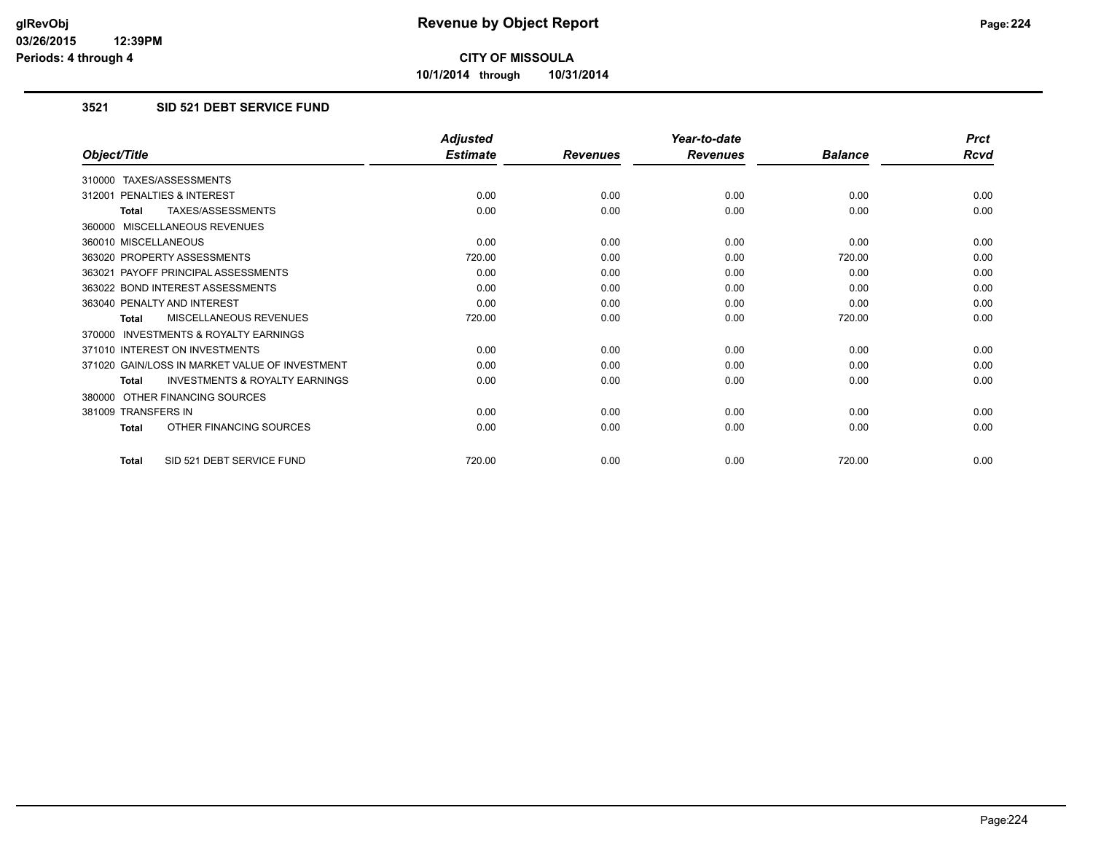**10/1/2014 through 10/31/2014**

## **3521 SID 521 DEBT SERVICE FUND**

|                                                           | <b>Adjusted</b> |                 | Year-to-date    |                | <b>Prct</b> |
|-----------------------------------------------------------|-----------------|-----------------|-----------------|----------------|-------------|
| Object/Title                                              | <b>Estimate</b> | <b>Revenues</b> | <b>Revenues</b> | <b>Balance</b> | Rcvd        |
| 310000 TAXES/ASSESSMENTS                                  |                 |                 |                 |                |             |
| 312001 PENALTIES & INTEREST                               | 0.00            | 0.00            | 0.00            | 0.00           | 0.00        |
| <b>TAXES/ASSESSMENTS</b><br><b>Total</b>                  | 0.00            | 0.00            | 0.00            | 0.00           | 0.00        |
| 360000 MISCELLANEOUS REVENUES                             |                 |                 |                 |                |             |
| 360010 MISCELLANEOUS                                      | 0.00            | 0.00            | 0.00            | 0.00           | 0.00        |
| 363020 PROPERTY ASSESSMENTS                               | 720.00          | 0.00            | 0.00            | 720.00         | 0.00        |
| 363021 PAYOFF PRINCIPAL ASSESSMENTS                       | 0.00            | 0.00            | 0.00            | 0.00           | 0.00        |
| 363022 BOND INTEREST ASSESSMENTS                          | 0.00            | 0.00            | 0.00            | 0.00           | 0.00        |
| 363040 PENALTY AND INTEREST                               | 0.00            | 0.00            | 0.00            | 0.00           | 0.00        |
| <b>MISCELLANEOUS REVENUES</b><br><b>Total</b>             | 720.00          | 0.00            | 0.00            | 720.00         | 0.00        |
| <b>INVESTMENTS &amp; ROYALTY EARNINGS</b><br>370000       |                 |                 |                 |                |             |
| 371010 INTEREST ON INVESTMENTS                            | 0.00            | 0.00            | 0.00            | 0.00           | 0.00        |
| 371020 GAIN/LOSS IN MARKET VALUE OF INVESTMENT            | 0.00            | 0.00            | 0.00            | 0.00           | 0.00        |
| <b>INVESTMENTS &amp; ROYALTY EARNINGS</b><br><b>Total</b> | 0.00            | 0.00            | 0.00            | 0.00           | 0.00        |
| 380000 OTHER FINANCING SOURCES                            |                 |                 |                 |                |             |
| 381009 TRANSFERS IN                                       | 0.00            | 0.00            | 0.00            | 0.00           | 0.00        |
| OTHER FINANCING SOURCES<br><b>Total</b>                   | 0.00            | 0.00            | 0.00            | 0.00           | 0.00        |
| SID 521 DEBT SERVICE FUND<br>Total                        | 720.00          | 0.00            | 0.00            | 720.00         | 0.00        |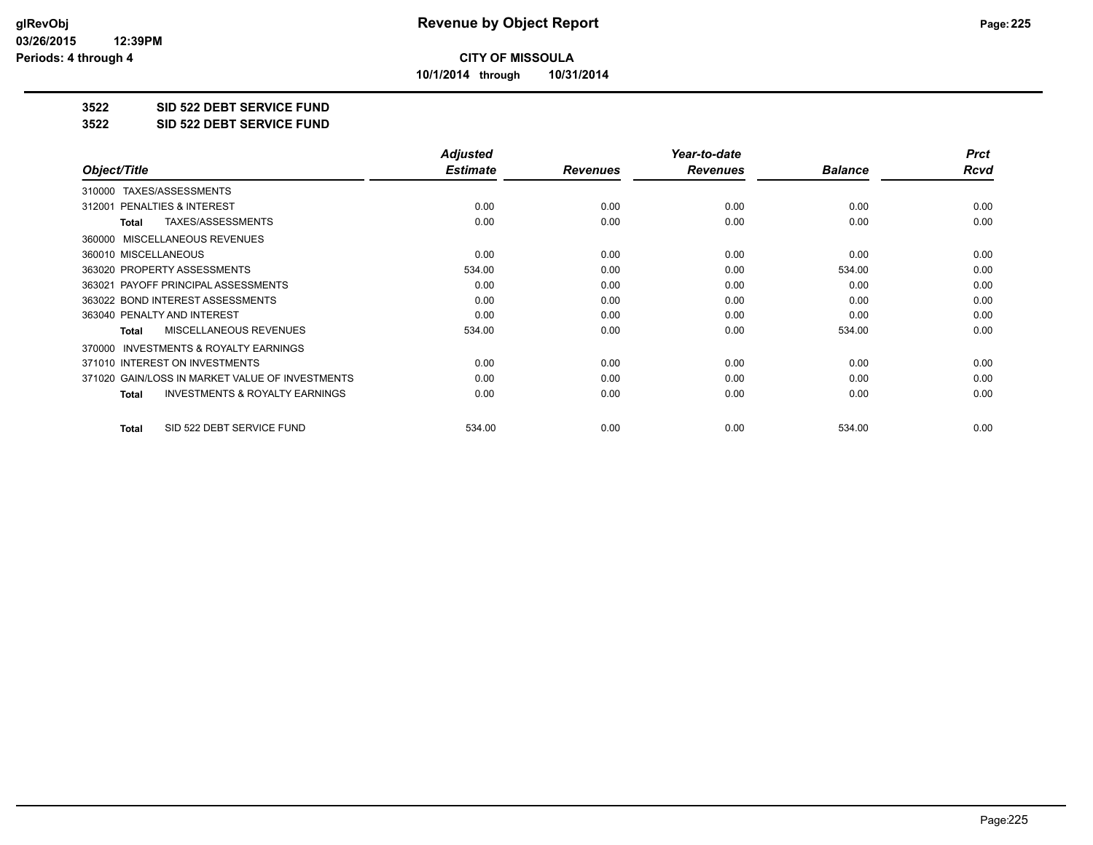**10/1/2014 through 10/31/2014**

## **3522 SID 522 DEBT SERVICE FUND**

**3522 SID 522 DEBT SERVICE FUND**

|                                                    | <b>Adjusted</b> |                 | Year-to-date    |                | <b>Prct</b> |
|----------------------------------------------------|-----------------|-----------------|-----------------|----------------|-------------|
| Object/Title                                       | <b>Estimate</b> | <b>Revenues</b> | <b>Revenues</b> | <b>Balance</b> | Rcvd        |
| TAXES/ASSESSMENTS<br>310000                        |                 |                 |                 |                |             |
| 312001 PENALTIES & INTEREST                        | 0.00            | 0.00            | 0.00            | 0.00           | 0.00        |
| TAXES/ASSESSMENTS<br><b>Total</b>                  | 0.00            | 0.00            | 0.00            | 0.00           | 0.00        |
| MISCELLANEOUS REVENUES<br>360000                   |                 |                 |                 |                |             |
| 360010 MISCELLANEOUS                               | 0.00            | 0.00            | 0.00            | 0.00           | 0.00        |
| 363020 PROPERTY ASSESSMENTS                        | 534.00          | 0.00            | 0.00            | 534.00         | 0.00        |
| 363021 PAYOFF PRINCIPAL ASSESSMENTS                | 0.00            | 0.00            | 0.00            | 0.00           | 0.00        |
| 363022 BOND INTEREST ASSESSMENTS                   | 0.00            | 0.00            | 0.00            | 0.00           | 0.00        |
| 363040 PENALTY AND INTEREST                        | 0.00            | 0.00            | 0.00            | 0.00           | 0.00        |
| MISCELLANEOUS REVENUES<br><b>Total</b>             | 534.00          | 0.00            | 0.00            | 534.00         | 0.00        |
| 370000 INVESTMENTS & ROYALTY EARNINGS              |                 |                 |                 |                |             |
| 371010 INTEREST ON INVESTMENTS                     | 0.00            | 0.00            | 0.00            | 0.00           | 0.00        |
| 371020 GAIN/LOSS IN MARKET VALUE OF INVESTMENTS    | 0.00            | 0.00            | 0.00            | 0.00           | 0.00        |
| <b>INVESTMENTS &amp; ROYALTY EARNINGS</b><br>Total | 0.00            | 0.00            | 0.00            | 0.00           | 0.00        |
| SID 522 DEBT SERVICE FUND<br><b>Total</b>          | 534.00          | 0.00            | 0.00            | 534.00         | 0.00        |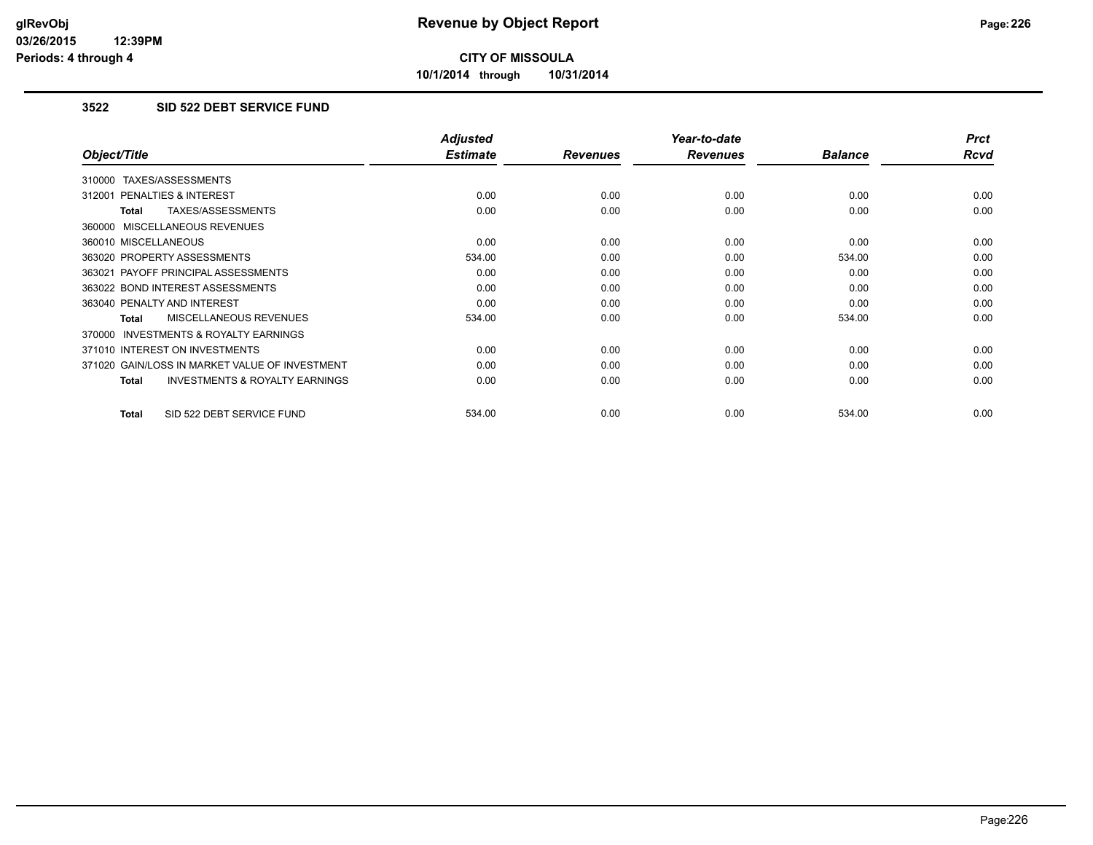**10/1/2014 through 10/31/2014**

## **3522 SID 522 DEBT SERVICE FUND**

|                                                           | <b>Adjusted</b> |                 | Year-to-date    |                | <b>Prct</b> |
|-----------------------------------------------------------|-----------------|-----------------|-----------------|----------------|-------------|
| Object/Title                                              | <b>Estimate</b> | <b>Revenues</b> | <b>Revenues</b> | <b>Balance</b> | <b>Rcvd</b> |
| 310000 TAXES/ASSESSMENTS                                  |                 |                 |                 |                |             |
| 312001 PENALTIES & INTEREST                               | 0.00            | 0.00            | 0.00            | 0.00           | 0.00        |
| <b>TAXES/ASSESSMENTS</b><br><b>Total</b>                  | 0.00            | 0.00            | 0.00            | 0.00           | 0.00        |
| 360000 MISCELLANEOUS REVENUES                             |                 |                 |                 |                |             |
| 360010 MISCELLANEOUS                                      | 0.00            | 0.00            | 0.00            | 0.00           | 0.00        |
| 363020 PROPERTY ASSESSMENTS                               | 534.00          | 0.00            | 0.00            | 534.00         | 0.00        |
| 363021 PAYOFF PRINCIPAL ASSESSMENTS                       | 0.00            | 0.00            | 0.00            | 0.00           | 0.00        |
| 363022 BOND INTEREST ASSESSMENTS                          | 0.00            | 0.00            | 0.00            | 0.00           | 0.00        |
| 363040 PENALTY AND INTEREST                               | 0.00            | 0.00            | 0.00            | 0.00           | 0.00        |
| MISCELLANEOUS REVENUES<br><b>Total</b>                    | 534.00          | 0.00            | 0.00            | 534.00         | 0.00        |
| <b>INVESTMENTS &amp; ROYALTY EARNINGS</b><br>370000       |                 |                 |                 |                |             |
| 371010 INTEREST ON INVESTMENTS                            | 0.00            | 0.00            | 0.00            | 0.00           | 0.00        |
| 371020 GAIN/LOSS IN MARKET VALUE OF INVESTMENT            | 0.00            | 0.00            | 0.00            | 0.00           | 0.00        |
| <b>INVESTMENTS &amp; ROYALTY EARNINGS</b><br><b>Total</b> | 0.00            | 0.00            | 0.00            | 0.00           | 0.00        |
| SID 522 DEBT SERVICE FUND<br><b>Total</b>                 | 534.00          | 0.00            | 0.00            | 534.00         | 0.00        |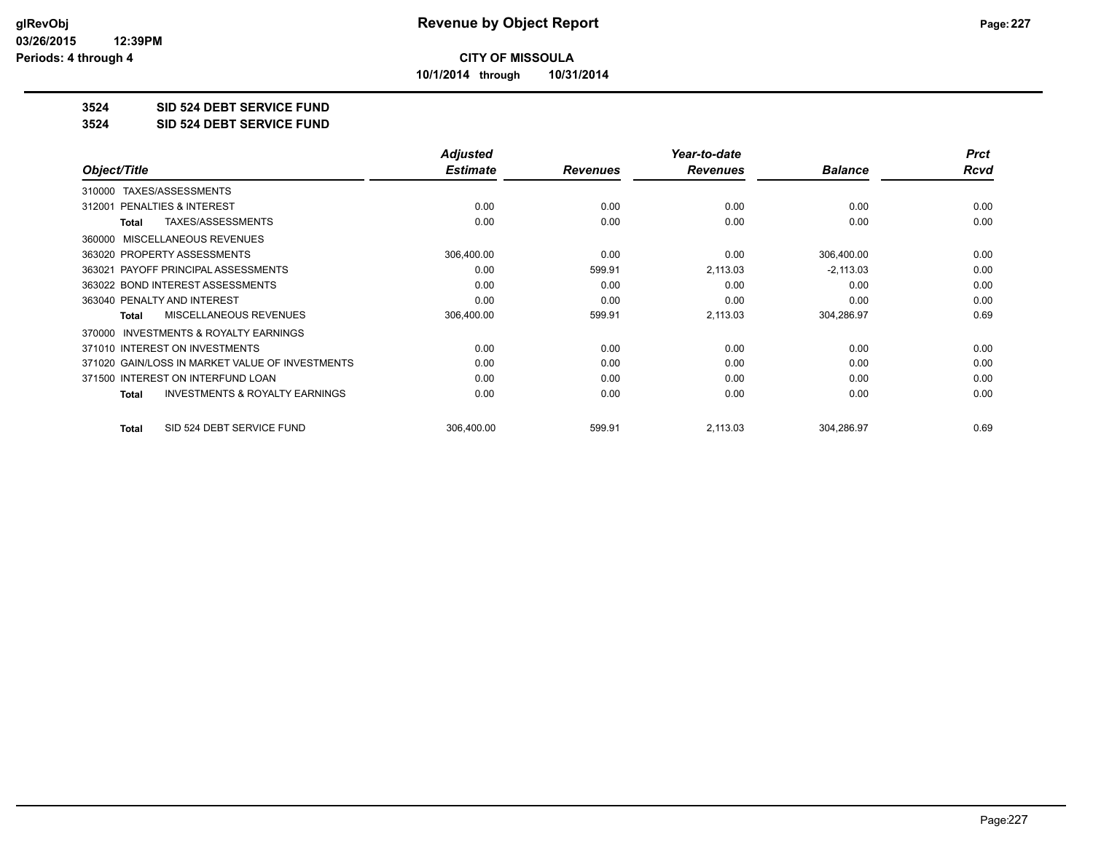**10/1/2014 through 10/31/2014**

## **3524 SID 524 DEBT SERVICE FUND**

**3524 SID 524 DEBT SERVICE FUND**

|                                                           | <b>Adjusted</b> |                 | Year-to-date    |                | <b>Prct</b> |
|-----------------------------------------------------------|-----------------|-----------------|-----------------|----------------|-------------|
| Object/Title                                              | <b>Estimate</b> | <b>Revenues</b> | <b>Revenues</b> | <b>Balance</b> | Rcvd        |
| TAXES/ASSESSMENTS<br>310000                               |                 |                 |                 |                |             |
| <b>PENALTIES &amp; INTEREST</b><br>312001                 | 0.00            | 0.00            | 0.00            | 0.00           | 0.00        |
| TAXES/ASSESSMENTS<br><b>Total</b>                         | 0.00            | 0.00            | 0.00            | 0.00           | 0.00        |
| 360000 MISCELLANEOUS REVENUES                             |                 |                 |                 |                |             |
| 363020 PROPERTY ASSESSMENTS                               | 306,400.00      | 0.00            | 0.00            | 306,400.00     | 0.00        |
| 363021 PAYOFF PRINCIPAL ASSESSMENTS                       | 0.00            | 599.91          | 2,113.03        | $-2,113.03$    | 0.00        |
| 363022 BOND INTEREST ASSESSMENTS                          | 0.00            | 0.00            | 0.00            | 0.00           | 0.00        |
| 363040 PENALTY AND INTEREST                               | 0.00            | 0.00            | 0.00            | 0.00           | 0.00        |
| <b>MISCELLANEOUS REVENUES</b><br><b>Total</b>             | 306,400.00      | 599.91          | 2,113.03        | 304,286.97     | 0.69        |
| <b>INVESTMENTS &amp; ROYALTY EARNINGS</b><br>370000       |                 |                 |                 |                |             |
| 371010 INTEREST ON INVESTMENTS                            | 0.00            | 0.00            | 0.00            | 0.00           | 0.00        |
| 371020 GAIN/LOSS IN MARKET VALUE OF INVESTMENTS           | 0.00            | 0.00            | 0.00            | 0.00           | 0.00        |
| 371500 INTEREST ON INTERFUND LOAN                         | 0.00            | 0.00            | 0.00            | 0.00           | 0.00        |
| <b>INVESTMENTS &amp; ROYALTY EARNINGS</b><br><b>Total</b> | 0.00            | 0.00            | 0.00            | 0.00           | 0.00        |
| SID 524 DEBT SERVICE FUND<br><b>Total</b>                 | 306,400.00      | 599.91          | 2,113.03        | 304,286.97     | 0.69        |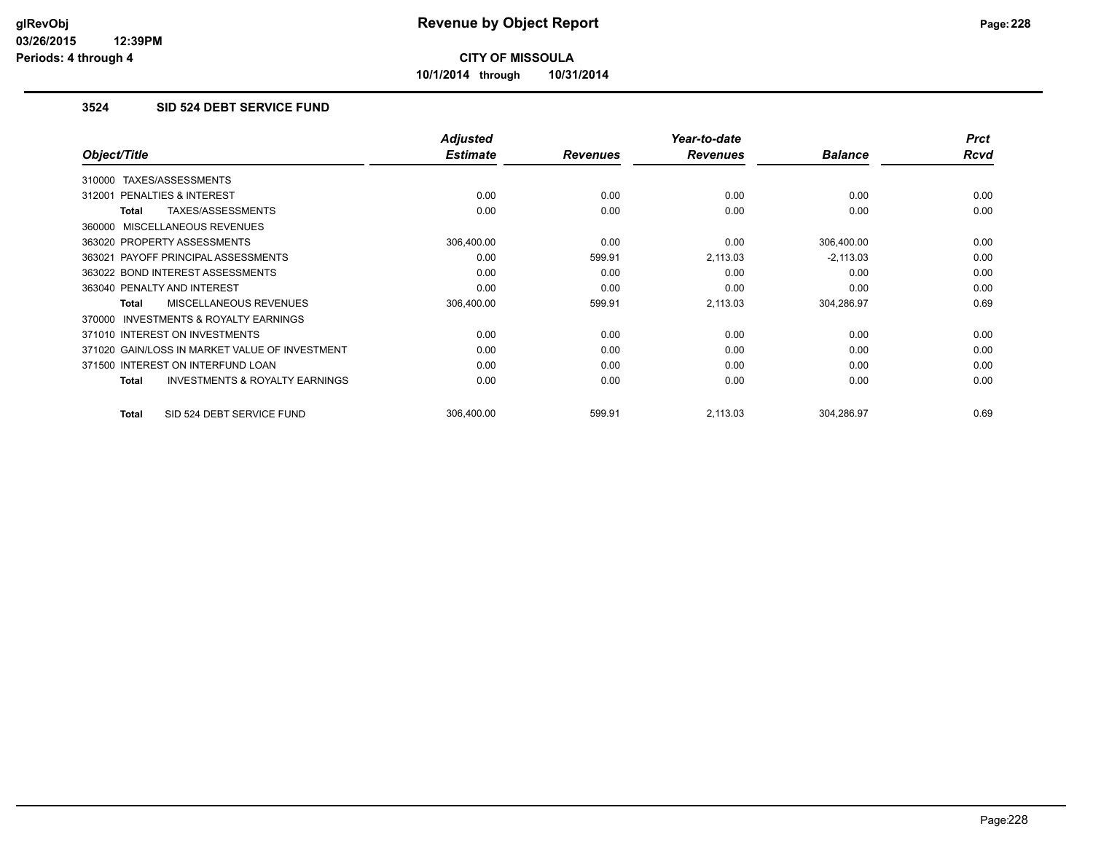**10/1/2014 through 10/31/2014**

## **3524 SID 524 DEBT SERVICE FUND**

|                                                     | <b>Adjusted</b> |                 | Year-to-date    |                | <b>Prct</b> |
|-----------------------------------------------------|-----------------|-----------------|-----------------|----------------|-------------|
| Object/Title                                        | <b>Estimate</b> | <b>Revenues</b> | <b>Revenues</b> | <b>Balance</b> | <b>Rcvd</b> |
| TAXES/ASSESSMENTS<br>310000                         |                 |                 |                 |                |             |
| 312001 PENALTIES & INTEREST                         | 0.00            | 0.00            | 0.00            | 0.00           | 0.00        |
| TAXES/ASSESSMENTS<br>Total                          | 0.00            | 0.00            | 0.00            | 0.00           | 0.00        |
| 360000 MISCELLANEOUS REVENUES                       |                 |                 |                 |                |             |
| 363020 PROPERTY ASSESSMENTS                         | 306,400.00      | 0.00            | 0.00            | 306,400.00     | 0.00        |
| 363021 PAYOFF PRINCIPAL ASSESSMENTS                 | 0.00            | 599.91          | 2,113.03        | $-2,113.03$    | 0.00        |
| 363022 BOND INTEREST ASSESSMENTS                    | 0.00            | 0.00            | 0.00            | 0.00           | 0.00        |
| 363040 PENALTY AND INTEREST                         | 0.00            | 0.00            | 0.00            | 0.00           | 0.00        |
| <b>MISCELLANEOUS REVENUES</b><br><b>Total</b>       | 306,400.00      | 599.91          | 2,113.03        | 304,286.97     | 0.69        |
| <b>INVESTMENTS &amp; ROYALTY EARNINGS</b><br>370000 |                 |                 |                 |                |             |
| 371010 INTEREST ON INVESTMENTS                      | 0.00            | 0.00            | 0.00            | 0.00           | 0.00        |
| 371020 GAIN/LOSS IN MARKET VALUE OF INVESTMENT      | 0.00            | 0.00            | 0.00            | 0.00           | 0.00        |
| 371500 INTEREST ON INTERFUND LOAN                   | 0.00            | 0.00            | 0.00            | 0.00           | 0.00        |
| <b>INVESTMENTS &amp; ROYALTY EARNINGS</b><br>Total  | 0.00            | 0.00            | 0.00            | 0.00           | 0.00        |
| SID 524 DEBT SERVICE FUND<br>Total                  | 306,400.00      | 599.91          | 2,113.03        | 304,286.97     | 0.69        |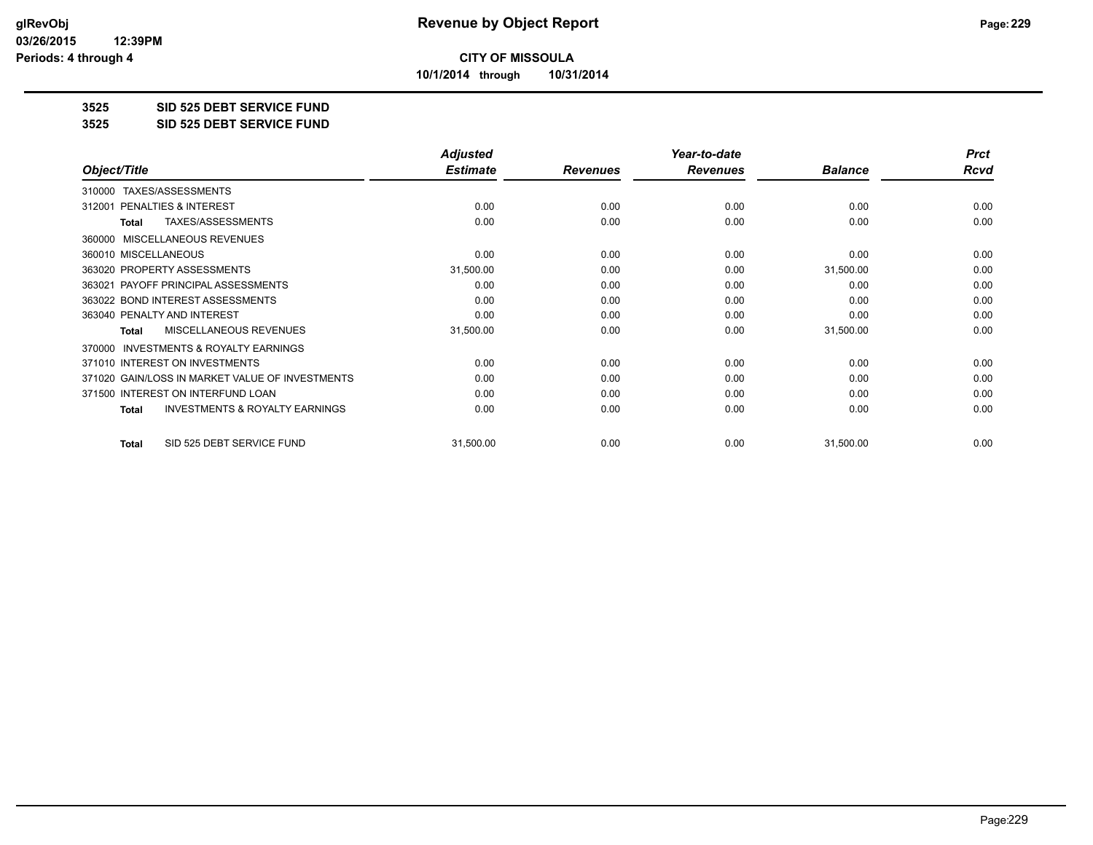**10/1/2014 through 10/31/2014**

#### **3525 SID 525 DEBT SERVICE FUND**

**3525 SID 525 DEBT SERVICE FUND**

|                                                           | <b>Adjusted</b> |                 | Year-to-date    |                | <b>Prct</b> |
|-----------------------------------------------------------|-----------------|-----------------|-----------------|----------------|-------------|
| Object/Title                                              | <b>Estimate</b> | <b>Revenues</b> | <b>Revenues</b> | <b>Balance</b> | <b>Rcvd</b> |
| TAXES/ASSESSMENTS<br>310000                               |                 |                 |                 |                |             |
| <b>PENALTIES &amp; INTEREST</b><br>312001                 | 0.00            | 0.00            | 0.00            | 0.00           | 0.00        |
| TAXES/ASSESSMENTS<br><b>Total</b>                         | 0.00            | 0.00            | 0.00            | 0.00           | 0.00        |
| MISCELLANEOUS REVENUES<br>360000                          |                 |                 |                 |                |             |
| 360010 MISCELLANEOUS                                      | 0.00            | 0.00            | 0.00            | 0.00           | 0.00        |
| 363020 PROPERTY ASSESSMENTS                               | 31,500.00       | 0.00            | 0.00            | 31,500.00      | 0.00        |
| 363021 PAYOFF PRINCIPAL ASSESSMENTS                       | 0.00            | 0.00            | 0.00            | 0.00           | 0.00        |
| 363022 BOND INTEREST ASSESSMENTS                          | 0.00            | 0.00            | 0.00            | 0.00           | 0.00        |
| 363040 PENALTY AND INTEREST                               | 0.00            | 0.00            | 0.00            | 0.00           | 0.00        |
| <b>MISCELLANEOUS REVENUES</b><br><b>Total</b>             | 31,500.00       | 0.00            | 0.00            | 31,500.00      | 0.00        |
| <b>INVESTMENTS &amp; ROYALTY EARNINGS</b><br>370000       |                 |                 |                 |                |             |
| 371010 INTEREST ON INVESTMENTS                            | 0.00            | 0.00            | 0.00            | 0.00           | 0.00        |
| 371020 GAIN/LOSS IN MARKET VALUE OF INVESTMENTS           | 0.00            | 0.00            | 0.00            | 0.00           | 0.00        |
| 371500 INTEREST ON INTERFUND LOAN                         | 0.00            | 0.00            | 0.00            | 0.00           | 0.00        |
| <b>INVESTMENTS &amp; ROYALTY EARNINGS</b><br><b>Total</b> | 0.00            | 0.00            | 0.00            | 0.00           | 0.00        |
| SID 525 DEBT SERVICE FUND<br><b>Total</b>                 | 31,500.00       | 0.00            | 0.00            | 31,500.00      | 0.00        |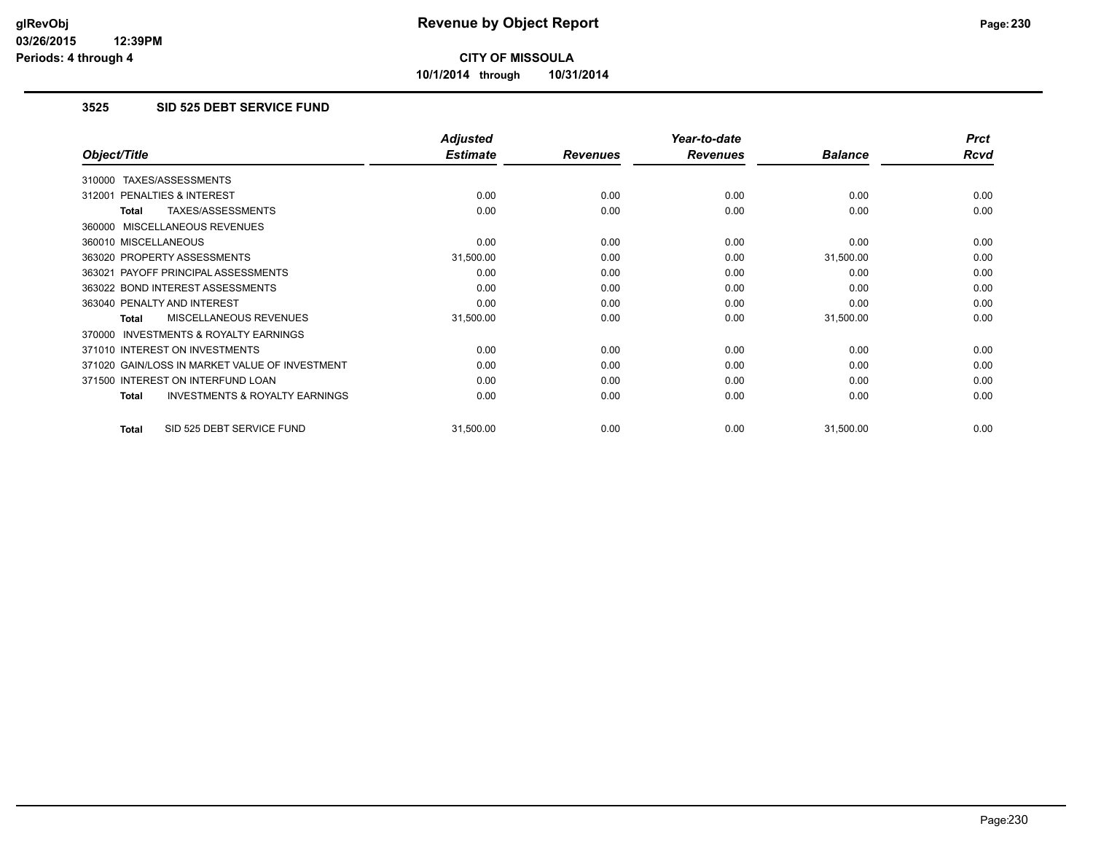**10/1/2014 through 10/31/2014**

## **3525 SID 525 DEBT SERVICE FUND**

|                                                           | <b>Adjusted</b> |                 | Year-to-date    |                | <b>Prct</b> |
|-----------------------------------------------------------|-----------------|-----------------|-----------------|----------------|-------------|
| Object/Title                                              | <b>Estimate</b> | <b>Revenues</b> | <b>Revenues</b> | <b>Balance</b> | Rcvd        |
| TAXES/ASSESSMENTS<br>310000                               |                 |                 |                 |                |             |
| 312001 PENALTIES & INTEREST                               | 0.00            | 0.00            | 0.00            | 0.00           | 0.00        |
| TAXES/ASSESSMENTS<br>Total                                | 0.00            | 0.00            | 0.00            | 0.00           | 0.00        |
| 360000 MISCELLANEOUS REVENUES                             |                 |                 |                 |                |             |
| 360010 MISCELLANEOUS                                      | 0.00            | 0.00            | 0.00            | 0.00           | 0.00        |
| 363020 PROPERTY ASSESSMENTS                               | 31,500.00       | 0.00            | 0.00            | 31,500.00      | 0.00        |
| 363021 PAYOFF PRINCIPAL ASSESSMENTS                       | 0.00            | 0.00            | 0.00            | 0.00           | 0.00        |
| 363022 BOND INTEREST ASSESSMENTS                          | 0.00            | 0.00            | 0.00            | 0.00           | 0.00        |
| 363040 PENALTY AND INTEREST                               | 0.00            | 0.00            | 0.00            | 0.00           | 0.00        |
| MISCELLANEOUS REVENUES<br>Total                           | 31,500.00       | 0.00            | 0.00            | 31,500.00      | 0.00        |
| 370000 INVESTMENTS & ROYALTY EARNINGS                     |                 |                 |                 |                |             |
| 371010 INTEREST ON INVESTMENTS                            | 0.00            | 0.00            | 0.00            | 0.00           | 0.00        |
| 371020 GAIN/LOSS IN MARKET VALUE OF INVESTMENT            | 0.00            | 0.00            | 0.00            | 0.00           | 0.00        |
| 371500 INTEREST ON INTERFUND LOAN                         | 0.00            | 0.00            | 0.00            | 0.00           | 0.00        |
| <b>INVESTMENTS &amp; ROYALTY EARNINGS</b><br><b>Total</b> | 0.00            | 0.00            | 0.00            | 0.00           | 0.00        |
| SID 525 DEBT SERVICE FUND<br><b>Total</b>                 | 31,500.00       | 0.00            | 0.00            | 31,500.00      | 0.00        |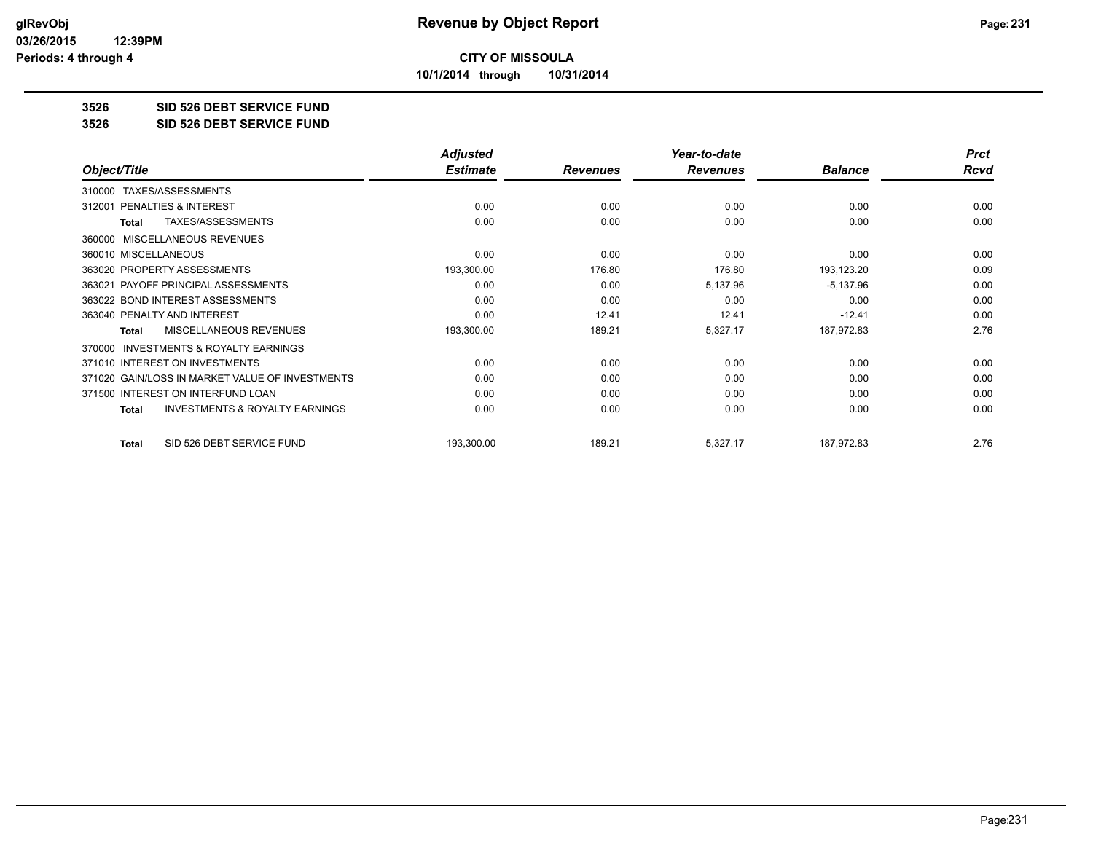**10/1/2014 through 10/31/2014**

#### **3526 SID 526 DEBT SERVICE FUND**

**3526 SID 526 DEBT SERVICE FUND**

|                                                           | <b>Adjusted</b> |                 | Year-to-date    |                | <b>Prct</b> |
|-----------------------------------------------------------|-----------------|-----------------|-----------------|----------------|-------------|
| Object/Title                                              | <b>Estimate</b> | <b>Revenues</b> | <b>Revenues</b> | <b>Balance</b> | <b>Rcvd</b> |
| TAXES/ASSESSMENTS<br>310000                               |                 |                 |                 |                |             |
| <b>PENALTIES &amp; INTEREST</b><br>312001                 | 0.00            | 0.00            | 0.00            | 0.00           | 0.00        |
| TAXES/ASSESSMENTS<br>Total                                | 0.00            | 0.00            | 0.00            | 0.00           | 0.00        |
| MISCELLANEOUS REVENUES<br>360000                          |                 |                 |                 |                |             |
| 360010 MISCELLANEOUS                                      | 0.00            | 0.00            | 0.00            | 0.00           | 0.00        |
| 363020 PROPERTY ASSESSMENTS                               | 193,300.00      | 176.80          | 176.80          | 193,123.20     | 0.09        |
| 363021 PAYOFF PRINCIPAL ASSESSMENTS                       | 0.00            | 0.00            | 5,137.96        | $-5,137.96$    | 0.00        |
| 363022 BOND INTEREST ASSESSMENTS                          | 0.00            | 0.00            | 0.00            | 0.00           | 0.00        |
| 363040 PENALTY AND INTEREST                               | 0.00            | 12.41           | 12.41           | $-12.41$       | 0.00        |
| <b>MISCELLANEOUS REVENUES</b><br><b>Total</b>             | 193,300.00      | 189.21          | 5,327.17        | 187,972.83     | 2.76        |
| <b>INVESTMENTS &amp; ROYALTY EARNINGS</b><br>370000       |                 |                 |                 |                |             |
| 371010 INTEREST ON INVESTMENTS                            | 0.00            | 0.00            | 0.00            | 0.00           | 0.00        |
| 371020 GAIN/LOSS IN MARKET VALUE OF INVESTMENTS           | 0.00            | 0.00            | 0.00            | 0.00           | 0.00        |
| 371500 INTEREST ON INTERFUND LOAN                         | 0.00            | 0.00            | 0.00            | 0.00           | 0.00        |
| <b>INVESTMENTS &amp; ROYALTY EARNINGS</b><br><b>Total</b> | 0.00            | 0.00            | 0.00            | 0.00           | 0.00        |
| SID 526 DEBT SERVICE FUND<br><b>Total</b>                 | 193,300.00      | 189.21          | 5,327.17        | 187,972.83     | 2.76        |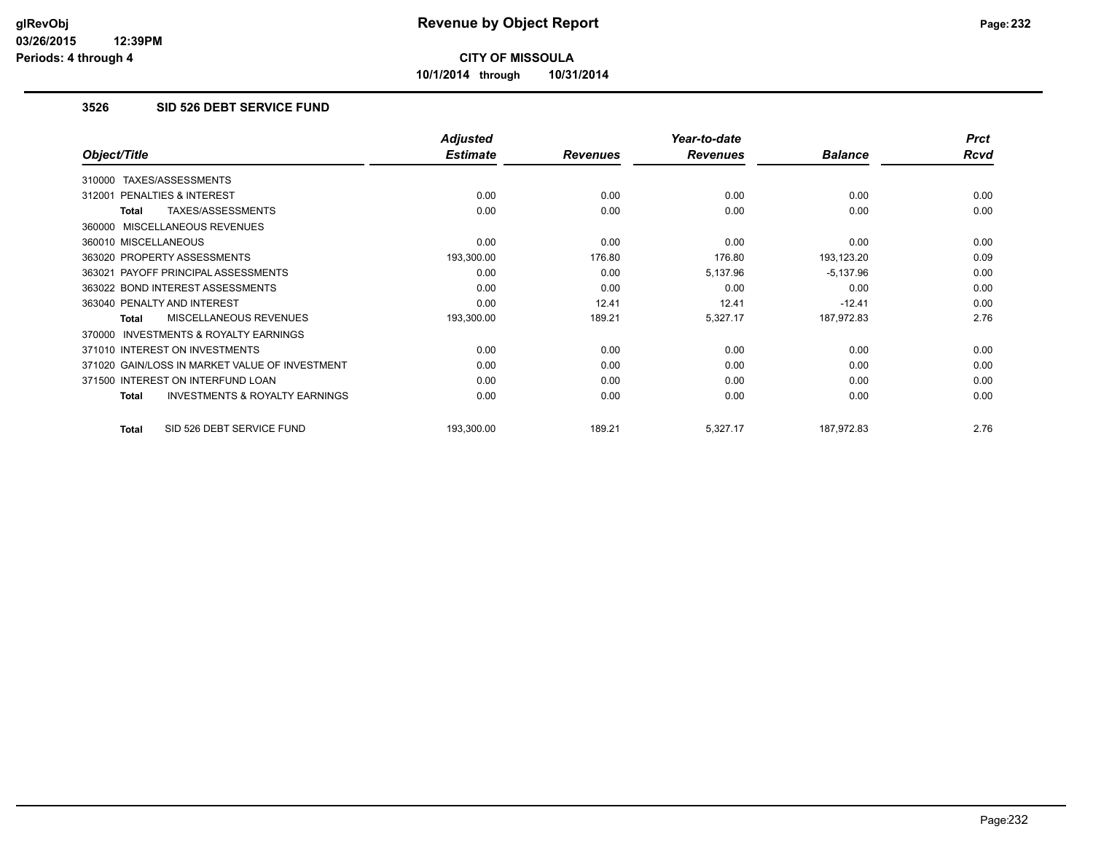**10/1/2014 through 10/31/2014**

## **3526 SID 526 DEBT SERVICE FUND**

|                                                           | <b>Adjusted</b> |                 | Year-to-date    |                | <b>Prct</b> |
|-----------------------------------------------------------|-----------------|-----------------|-----------------|----------------|-------------|
| Object/Title                                              | <b>Estimate</b> | <b>Revenues</b> | <b>Revenues</b> | <b>Balance</b> | <b>Rcvd</b> |
| TAXES/ASSESSMENTS<br>310000                               |                 |                 |                 |                |             |
| PENALTIES & INTEREST<br>312001                            | 0.00            | 0.00            | 0.00            | 0.00           | 0.00        |
| TAXES/ASSESSMENTS<br>Total                                | 0.00            | 0.00            | 0.00            | 0.00           | 0.00        |
| 360000 MISCELLANEOUS REVENUES                             |                 |                 |                 |                |             |
| 360010 MISCELLANEOUS                                      | 0.00            | 0.00            | 0.00            | 0.00           | 0.00        |
| 363020 PROPERTY ASSESSMENTS                               | 193,300.00      | 176.80          | 176.80          | 193,123.20     | 0.09        |
| 363021 PAYOFF PRINCIPAL ASSESSMENTS                       | 0.00            | 0.00            | 5,137.96        | $-5,137.96$    | 0.00        |
| 363022 BOND INTEREST ASSESSMENTS                          | 0.00            | 0.00            | 0.00            | 0.00           | 0.00        |
| 363040 PENALTY AND INTEREST                               | 0.00            | 12.41           | 12.41           | $-12.41$       | 0.00        |
| MISCELLANEOUS REVENUES<br>Total                           | 193,300.00      | 189.21          | 5,327.17        | 187,972.83     | 2.76        |
| 370000 INVESTMENTS & ROYALTY EARNINGS                     |                 |                 |                 |                |             |
| 371010 INTEREST ON INVESTMENTS                            | 0.00            | 0.00            | 0.00            | 0.00           | 0.00        |
| 371020 GAIN/LOSS IN MARKET VALUE OF INVESTMENT            | 0.00            | 0.00            | 0.00            | 0.00           | 0.00        |
| 371500 INTEREST ON INTERFUND LOAN                         | 0.00            | 0.00            | 0.00            | 0.00           | 0.00        |
| <b>INVESTMENTS &amp; ROYALTY EARNINGS</b><br><b>Total</b> | 0.00            | 0.00            | 0.00            | 0.00           | 0.00        |
| SID 526 DEBT SERVICE FUND<br>Total                        | 193,300.00      | 189.21          | 5,327.17        | 187,972.83     | 2.76        |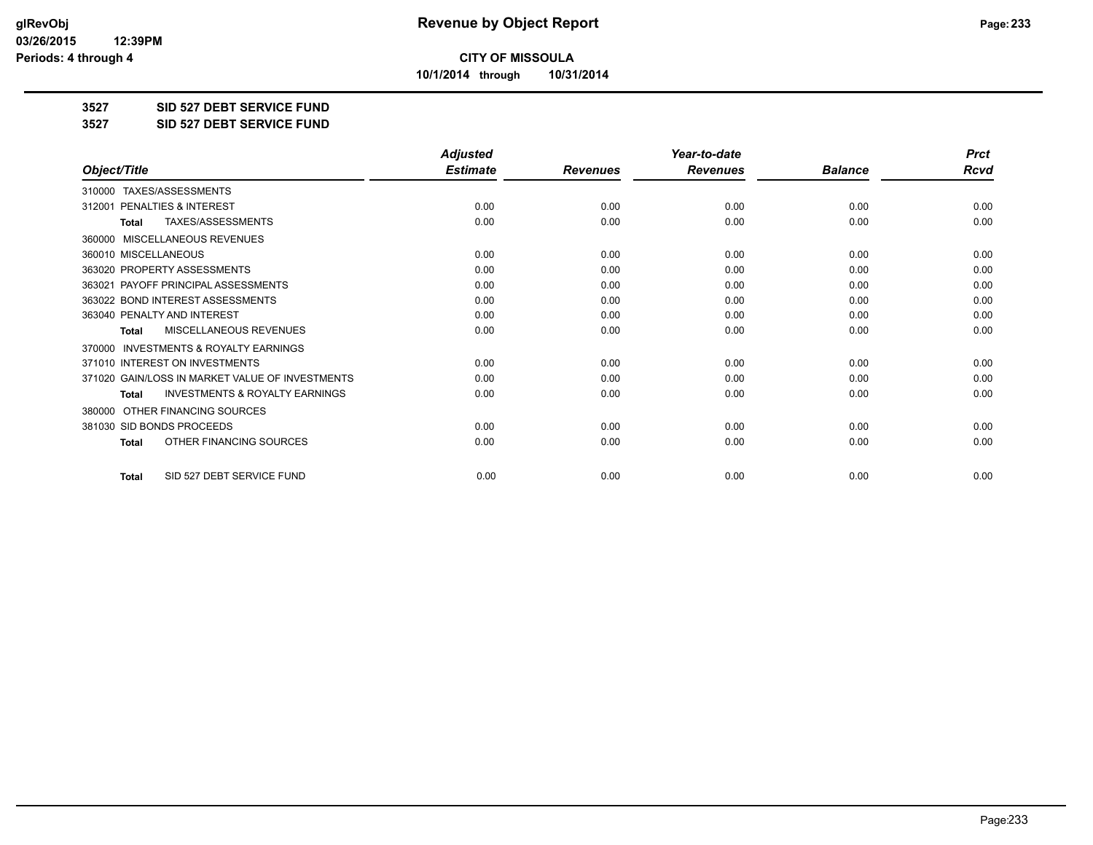**10/1/2014 through 10/31/2014**

#### **3527 SID 527 DEBT SERVICE FUND**

**3527 SID 527 DEBT SERVICE FUND**

|                                                           | <b>Adjusted</b> |                 | Year-to-date    |                | <b>Prct</b> |
|-----------------------------------------------------------|-----------------|-----------------|-----------------|----------------|-------------|
| Object/Title                                              | <b>Estimate</b> | <b>Revenues</b> | <b>Revenues</b> | <b>Balance</b> | <b>Rcvd</b> |
| TAXES/ASSESSMENTS<br>310000                               |                 |                 |                 |                |             |
| 312001 PENALTIES & INTEREST                               | 0.00            | 0.00            | 0.00            | 0.00           | 0.00        |
| TAXES/ASSESSMENTS<br><b>Total</b>                         | 0.00            | 0.00            | 0.00            | 0.00           | 0.00        |
| MISCELLANEOUS REVENUES<br>360000                          |                 |                 |                 |                |             |
| 360010 MISCELLANEOUS                                      | 0.00            | 0.00            | 0.00            | 0.00           | 0.00        |
| 363020 PROPERTY ASSESSMENTS                               | 0.00            | 0.00            | 0.00            | 0.00           | 0.00        |
| 363021 PAYOFF PRINCIPAL ASSESSMENTS                       | 0.00            | 0.00            | 0.00            | 0.00           | 0.00        |
| 363022 BOND INTEREST ASSESSMENTS                          | 0.00            | 0.00            | 0.00            | 0.00           | 0.00        |
| 363040 PENALTY AND INTEREST                               | 0.00            | 0.00            | 0.00            | 0.00           | 0.00        |
| MISCELLANEOUS REVENUES<br><b>Total</b>                    | 0.00            | 0.00            | 0.00            | 0.00           | 0.00        |
| <b>INVESTMENTS &amp; ROYALTY EARNINGS</b><br>370000       |                 |                 |                 |                |             |
| 371010 INTEREST ON INVESTMENTS                            | 0.00            | 0.00            | 0.00            | 0.00           | 0.00        |
| 371020 GAIN/LOSS IN MARKET VALUE OF INVESTMENTS           | 0.00            | 0.00            | 0.00            | 0.00           | 0.00        |
| <b>INVESTMENTS &amp; ROYALTY EARNINGS</b><br><b>Total</b> | 0.00            | 0.00            | 0.00            | 0.00           | 0.00        |
| OTHER FINANCING SOURCES<br>380000                         |                 |                 |                 |                |             |
| 381030 SID BONDS PROCEEDS                                 | 0.00            | 0.00            | 0.00            | 0.00           | 0.00        |
| OTHER FINANCING SOURCES<br>Total                          | 0.00            | 0.00            | 0.00            | 0.00           | 0.00        |
| SID 527 DEBT SERVICE FUND<br><b>Total</b>                 | 0.00            | 0.00            | 0.00            | 0.00           | 0.00        |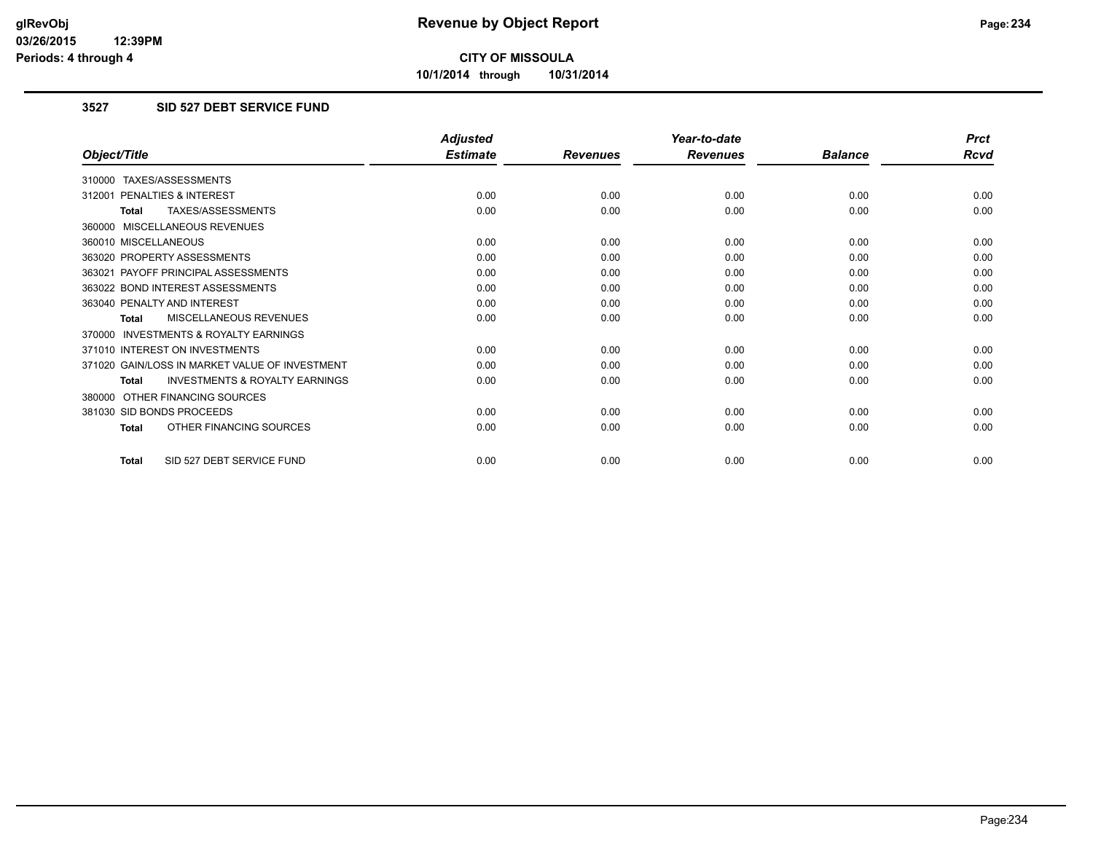**10/1/2014 through 10/31/2014**

## **3527 SID 527 DEBT SERVICE FUND**

|                                                           | <b>Adjusted</b> |                 | Year-to-date    |                | <b>Prct</b> |
|-----------------------------------------------------------|-----------------|-----------------|-----------------|----------------|-------------|
| Object/Title                                              | <b>Estimate</b> | <b>Revenues</b> | <b>Revenues</b> | <b>Balance</b> | <b>Rcvd</b> |
| 310000 TAXES/ASSESSMENTS                                  |                 |                 |                 |                |             |
| 312001 PENALTIES & INTEREST                               | 0.00            | 0.00            | 0.00            | 0.00           | 0.00        |
| <b>TAXES/ASSESSMENTS</b><br><b>Total</b>                  | 0.00            | 0.00            | 0.00            | 0.00           | 0.00        |
| 360000 MISCELLANEOUS REVENUES                             |                 |                 |                 |                |             |
| 360010 MISCELLANEOUS                                      | 0.00            | 0.00            | 0.00            | 0.00           | 0.00        |
| 363020 PROPERTY ASSESSMENTS                               | 0.00            | 0.00            | 0.00            | 0.00           | 0.00        |
| 363021 PAYOFF PRINCIPAL ASSESSMENTS                       | 0.00            | 0.00            | 0.00            | 0.00           | 0.00        |
| 363022 BOND INTEREST ASSESSMENTS                          | 0.00            | 0.00            | 0.00            | 0.00           | 0.00        |
| 363040 PENALTY AND INTEREST                               | 0.00            | 0.00            | 0.00            | 0.00           | 0.00        |
| MISCELLANEOUS REVENUES<br><b>Total</b>                    | 0.00            | 0.00            | 0.00            | 0.00           | 0.00        |
| <b>INVESTMENTS &amp; ROYALTY EARNINGS</b><br>370000       |                 |                 |                 |                |             |
| 371010 INTEREST ON INVESTMENTS                            | 0.00            | 0.00            | 0.00            | 0.00           | 0.00        |
| 371020 GAIN/LOSS IN MARKET VALUE OF INVESTMENT            | 0.00            | 0.00            | 0.00            | 0.00           | 0.00        |
| <b>INVESTMENTS &amp; ROYALTY EARNINGS</b><br><b>Total</b> | 0.00            | 0.00            | 0.00            | 0.00           | 0.00        |
| OTHER FINANCING SOURCES<br>380000                         |                 |                 |                 |                |             |
| 381030 SID BONDS PROCEEDS                                 | 0.00            | 0.00            | 0.00            | 0.00           | 0.00        |
| OTHER FINANCING SOURCES<br><b>Total</b>                   | 0.00            | 0.00            | 0.00            | 0.00           | 0.00        |
| SID 527 DEBT SERVICE FUND<br><b>Total</b>                 | 0.00            | 0.00            | 0.00            | 0.00           | 0.00        |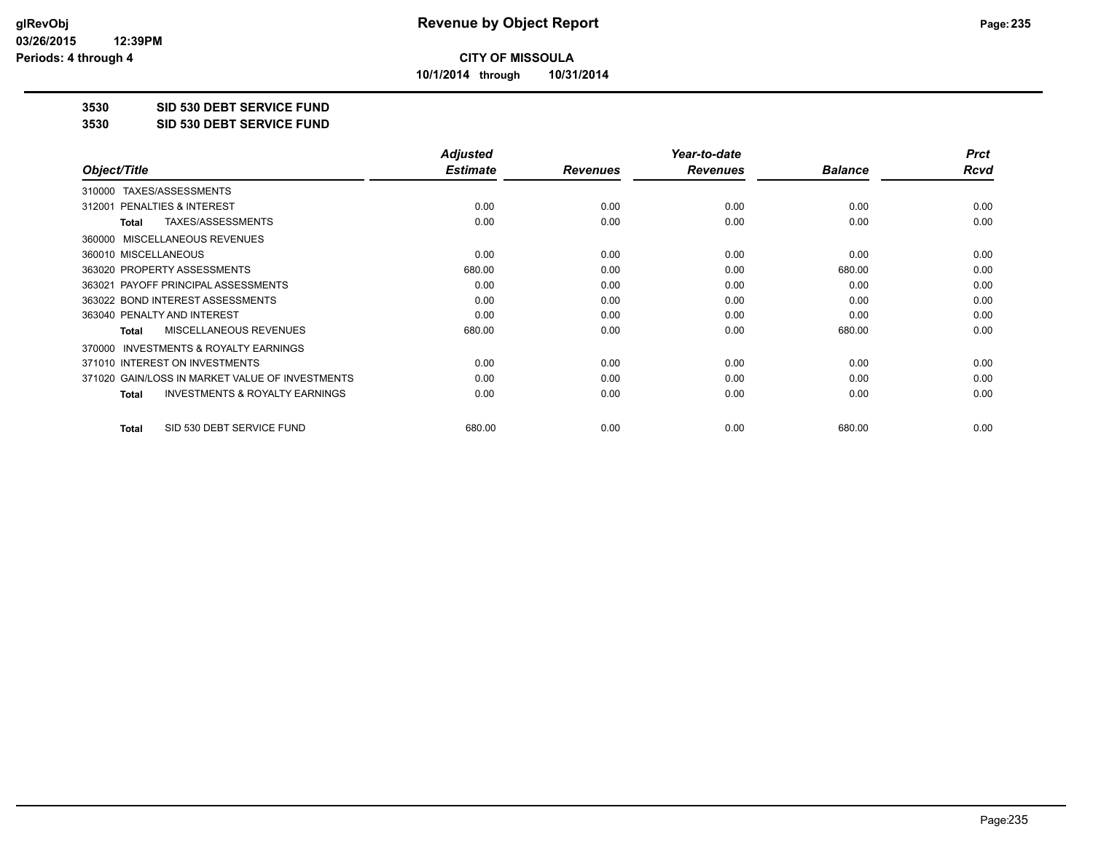**10/1/2014 through 10/31/2014**

## **3530 SID 530 DEBT SERVICE FUND**

**3530 SID 530 DEBT SERVICE FUND**

|                                                           | <b>Adjusted</b> |                 | Year-to-date    |                | <b>Prct</b> |
|-----------------------------------------------------------|-----------------|-----------------|-----------------|----------------|-------------|
| Object/Title                                              | <b>Estimate</b> | <b>Revenues</b> | <b>Revenues</b> | <b>Balance</b> | Rcvd        |
| TAXES/ASSESSMENTS<br>310000                               |                 |                 |                 |                |             |
| 312001 PENALTIES & INTEREST                               | 0.00            | 0.00            | 0.00            | 0.00           | 0.00        |
| TAXES/ASSESSMENTS<br><b>Total</b>                         | 0.00            | 0.00            | 0.00            | 0.00           | 0.00        |
| MISCELLANEOUS REVENUES<br>360000                          |                 |                 |                 |                |             |
| 360010 MISCELLANEOUS                                      | 0.00            | 0.00            | 0.00            | 0.00           | 0.00        |
| 363020 PROPERTY ASSESSMENTS                               | 680.00          | 0.00            | 0.00            | 680.00         | 0.00        |
| 363021 PAYOFF PRINCIPAL ASSESSMENTS                       | 0.00            | 0.00            | 0.00            | 0.00           | 0.00        |
| 363022 BOND INTEREST ASSESSMENTS                          | 0.00            | 0.00            | 0.00            | 0.00           | 0.00        |
| 363040 PENALTY AND INTEREST                               | 0.00            | 0.00            | 0.00            | 0.00           | 0.00        |
| MISCELLANEOUS REVENUES<br><b>Total</b>                    | 680.00          | 0.00            | 0.00            | 680.00         | 0.00        |
| INVESTMENTS & ROYALTY EARNINGS<br>370000                  |                 |                 |                 |                |             |
| 371010 INTEREST ON INVESTMENTS                            | 0.00            | 0.00            | 0.00            | 0.00           | 0.00        |
| 371020 GAIN/LOSS IN MARKET VALUE OF INVESTMENTS           | 0.00            | 0.00            | 0.00            | 0.00           | 0.00        |
| <b>INVESTMENTS &amp; ROYALTY EARNINGS</b><br><b>Total</b> | 0.00            | 0.00            | 0.00            | 0.00           | 0.00        |
| SID 530 DEBT SERVICE FUND<br><b>Total</b>                 | 680.00          | 0.00            | 0.00            | 680.00         | 0.00        |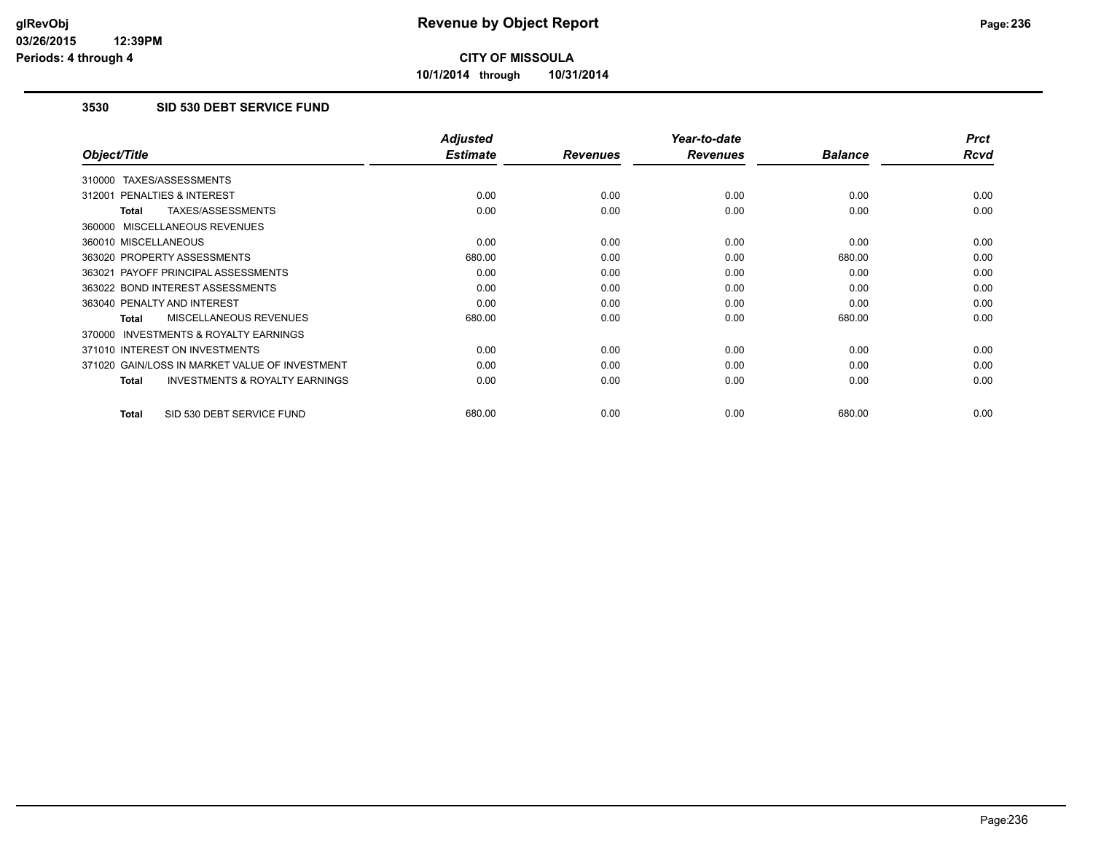**10/1/2014 through 10/31/2014**

## **3530 SID 530 DEBT SERVICE FUND**

|                                                           | <b>Adjusted</b> |                 | Year-to-date    |                | <b>Prct</b> |
|-----------------------------------------------------------|-----------------|-----------------|-----------------|----------------|-------------|
| Object/Title                                              | <b>Estimate</b> | <b>Revenues</b> | <b>Revenues</b> | <b>Balance</b> | <b>Rcvd</b> |
| 310000 TAXES/ASSESSMENTS                                  |                 |                 |                 |                |             |
| 312001 PENALTIES & INTEREST                               | 0.00            | 0.00            | 0.00            | 0.00           | 0.00        |
| TAXES/ASSESSMENTS<br><b>Total</b>                         | 0.00            | 0.00            | 0.00            | 0.00           | 0.00        |
| 360000 MISCELLANEOUS REVENUES                             |                 |                 |                 |                |             |
| 360010 MISCELLANEOUS                                      | 0.00            | 0.00            | 0.00            | 0.00           | 0.00        |
| 363020 PROPERTY ASSESSMENTS                               | 680.00          | 0.00            | 0.00            | 680.00         | 0.00        |
| 363021 PAYOFF PRINCIPAL ASSESSMENTS                       | 0.00            | 0.00            | 0.00            | 0.00           | 0.00        |
| 363022 BOND INTEREST ASSESSMENTS                          | 0.00            | 0.00            | 0.00            | 0.00           | 0.00        |
| 363040 PENALTY AND INTEREST                               | 0.00            | 0.00            | 0.00            | 0.00           | 0.00        |
| <b>MISCELLANEOUS REVENUES</b><br>Total                    | 680.00          | 0.00            | 0.00            | 680.00         | 0.00        |
| <b>INVESTMENTS &amp; ROYALTY EARNINGS</b><br>370000       |                 |                 |                 |                |             |
| 371010 INTEREST ON INVESTMENTS                            | 0.00            | 0.00            | 0.00            | 0.00           | 0.00        |
| 371020 GAIN/LOSS IN MARKET VALUE OF INVESTMENT            | 0.00            | 0.00            | 0.00            | 0.00           | 0.00        |
| <b>INVESTMENTS &amp; ROYALTY EARNINGS</b><br><b>Total</b> | 0.00            | 0.00            | 0.00            | 0.00           | 0.00        |
| SID 530 DEBT SERVICE FUND<br><b>Total</b>                 | 680.00          | 0.00            | 0.00            | 680.00         | 0.00        |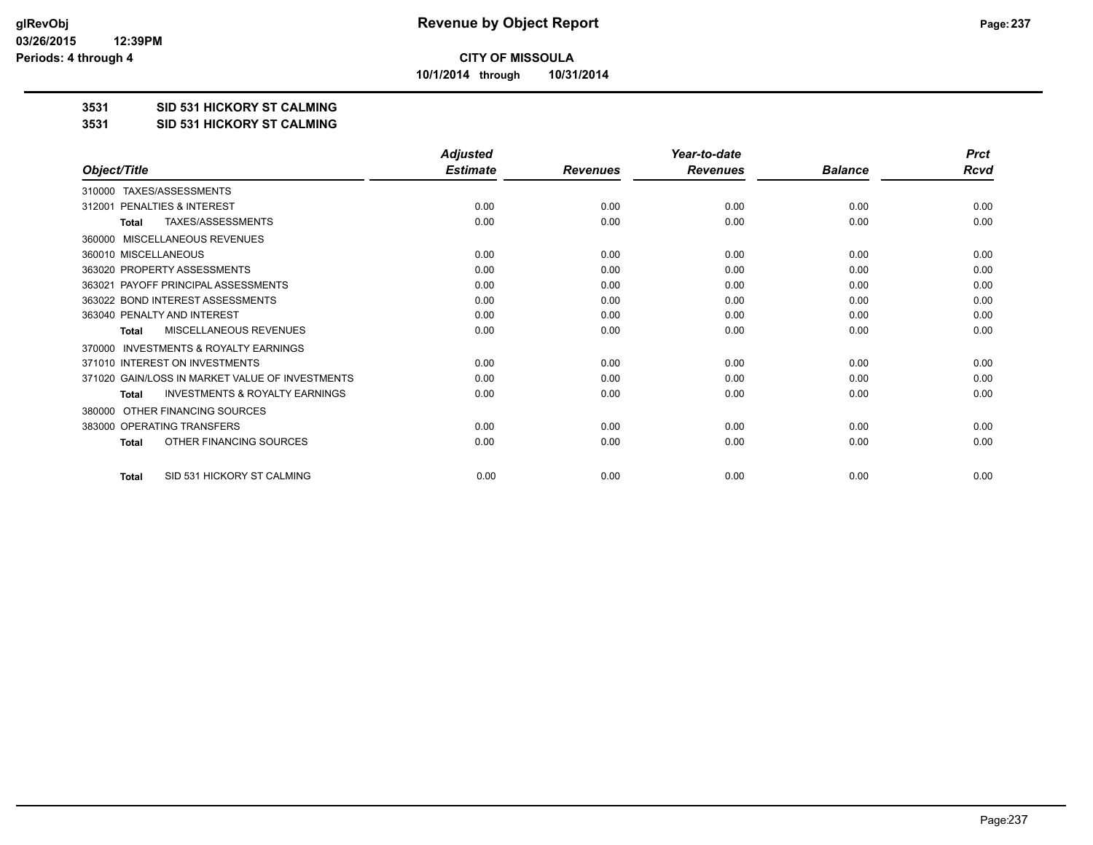**10/1/2014 through 10/31/2014**

#### **3531 SID 531 HICKORY ST CALMING**

#### **3531 SID 531 HICKORY ST CALMING**

|                                                           | <b>Adjusted</b> |                 | Year-to-date    |                | <b>Prct</b> |
|-----------------------------------------------------------|-----------------|-----------------|-----------------|----------------|-------------|
| Object/Title                                              | <b>Estimate</b> | <b>Revenues</b> | <b>Revenues</b> | <b>Balance</b> | Rcvd        |
| TAXES/ASSESSMENTS<br>310000                               |                 |                 |                 |                |             |
| PENALTIES & INTEREST<br>312001                            | 0.00            | 0.00            | 0.00            | 0.00           | 0.00        |
| <b>TAXES/ASSESSMENTS</b><br>Total                         | 0.00            | 0.00            | 0.00            | 0.00           | 0.00        |
| MISCELLANEOUS REVENUES<br>360000                          |                 |                 |                 |                |             |
| 360010 MISCELLANEOUS                                      | 0.00            | 0.00            | 0.00            | 0.00           | 0.00        |
| 363020 PROPERTY ASSESSMENTS                               | 0.00            | 0.00            | 0.00            | 0.00           | 0.00        |
| 363021 PAYOFF PRINCIPAL ASSESSMENTS                       | 0.00            | 0.00            | 0.00            | 0.00           | 0.00        |
| 363022 BOND INTEREST ASSESSMENTS                          | 0.00            | 0.00            | 0.00            | 0.00           | 0.00        |
| 363040 PENALTY AND INTEREST                               | 0.00            | 0.00            | 0.00            | 0.00           | 0.00        |
| MISCELLANEOUS REVENUES<br>Total                           | 0.00            | 0.00            | 0.00            | 0.00           | 0.00        |
| <b>INVESTMENTS &amp; ROYALTY EARNINGS</b><br>370000       |                 |                 |                 |                |             |
| 371010 INTEREST ON INVESTMENTS                            | 0.00            | 0.00            | 0.00            | 0.00           | 0.00        |
| 371020 GAIN/LOSS IN MARKET VALUE OF INVESTMENTS           | 0.00            | 0.00            | 0.00            | 0.00           | 0.00        |
| <b>INVESTMENTS &amp; ROYALTY EARNINGS</b><br><b>Total</b> | 0.00            | 0.00            | 0.00            | 0.00           | 0.00        |
| OTHER FINANCING SOURCES<br>380000                         |                 |                 |                 |                |             |
| 383000 OPERATING TRANSFERS                                | 0.00            | 0.00            | 0.00            | 0.00           | 0.00        |
| OTHER FINANCING SOURCES<br><b>Total</b>                   | 0.00            | 0.00            | 0.00            | 0.00           | 0.00        |
| SID 531 HICKORY ST CALMING<br><b>Total</b>                | 0.00            | 0.00            | 0.00            | 0.00           | 0.00        |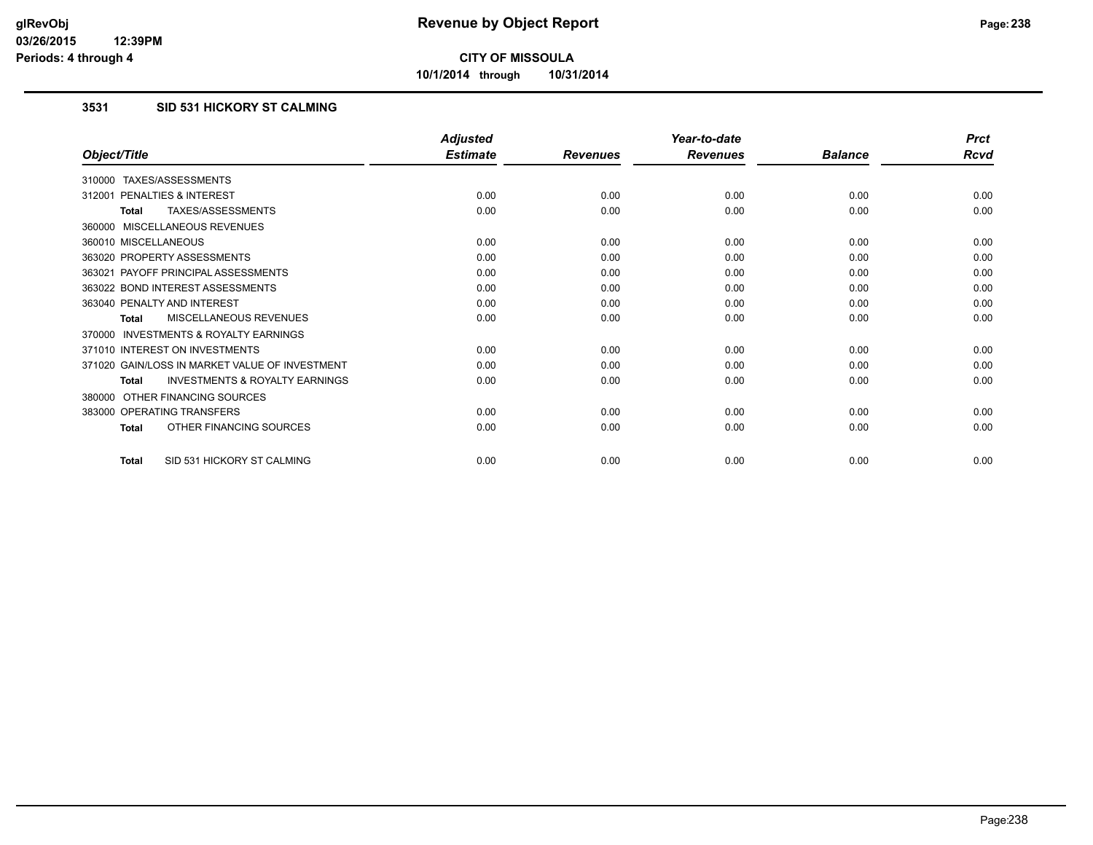**10/1/2014 through 10/31/2014**

## **3531 SID 531 HICKORY ST CALMING**

|                                                           | <b>Adjusted</b> |                 | Year-to-date    |                | <b>Prct</b> |
|-----------------------------------------------------------|-----------------|-----------------|-----------------|----------------|-------------|
| Object/Title                                              | <b>Estimate</b> | <b>Revenues</b> | <b>Revenues</b> | <b>Balance</b> | <b>Rcvd</b> |
| 310000 TAXES/ASSESSMENTS                                  |                 |                 |                 |                |             |
| PENALTIES & INTEREST<br>312001                            | 0.00            | 0.00            | 0.00            | 0.00           | 0.00        |
| TAXES/ASSESSMENTS<br><b>Total</b>                         | 0.00            | 0.00            | 0.00            | 0.00           | 0.00        |
| 360000 MISCELLANEOUS REVENUES                             |                 |                 |                 |                |             |
| 360010 MISCELLANEOUS                                      | 0.00            | 0.00            | 0.00            | 0.00           | 0.00        |
| 363020 PROPERTY ASSESSMENTS                               | 0.00            | 0.00            | 0.00            | 0.00           | 0.00        |
| 363021 PAYOFF PRINCIPAL ASSESSMENTS                       | 0.00            | 0.00            | 0.00            | 0.00           | 0.00        |
| 363022 BOND INTEREST ASSESSMENTS                          | 0.00            | 0.00            | 0.00            | 0.00           | 0.00        |
| 363040 PENALTY AND INTEREST                               | 0.00            | 0.00            | 0.00            | 0.00           | 0.00        |
| MISCELLANEOUS REVENUES<br><b>Total</b>                    | 0.00            | 0.00            | 0.00            | 0.00           | 0.00        |
| <b>INVESTMENTS &amp; ROYALTY EARNINGS</b><br>370000       |                 |                 |                 |                |             |
| 371010 INTEREST ON INVESTMENTS                            | 0.00            | 0.00            | 0.00            | 0.00           | 0.00        |
| 371020 GAIN/LOSS IN MARKET VALUE OF INVESTMENT            | 0.00            | 0.00            | 0.00            | 0.00           | 0.00        |
| <b>INVESTMENTS &amp; ROYALTY EARNINGS</b><br><b>Total</b> | 0.00            | 0.00            | 0.00            | 0.00           | 0.00        |
| OTHER FINANCING SOURCES<br>380000                         |                 |                 |                 |                |             |
| 383000 OPERATING TRANSFERS                                | 0.00            | 0.00            | 0.00            | 0.00           | 0.00        |
| OTHER FINANCING SOURCES<br><b>Total</b>                   | 0.00            | 0.00            | 0.00            | 0.00           | 0.00        |
| SID 531 HICKORY ST CALMING<br><b>Total</b>                | 0.00            | 0.00            | 0.00            | 0.00           | 0.00        |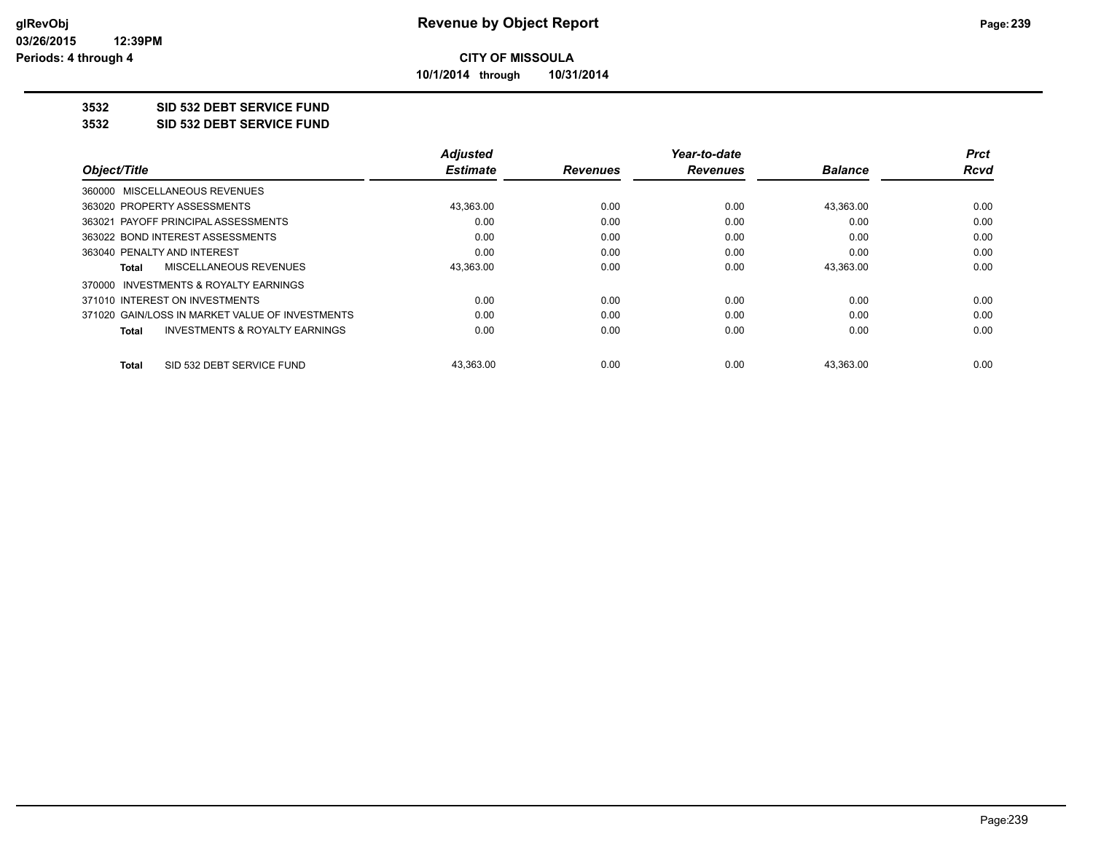**10/1/2014 through 10/31/2014**

## **3532 SID 532 DEBT SERVICE FUND**

**3532 SID 532 DEBT SERVICE FUND**

|                                                 | <b>Adjusted</b> |                 | Year-to-date    |                | Prct |
|-------------------------------------------------|-----------------|-----------------|-----------------|----------------|------|
| Object/Title                                    | <b>Estimate</b> | <b>Revenues</b> | <b>Revenues</b> | <b>Balance</b> | Rcvd |
| 360000 MISCELLANEOUS REVENUES                   |                 |                 |                 |                |      |
| 363020 PROPERTY ASSESSMENTS                     | 43,363.00       | 0.00            | 0.00            | 43,363.00      | 0.00 |
| 363021 PAYOFF PRINCIPAL ASSESSMENTS             | 0.00            | 0.00            | 0.00            | 0.00           | 0.00 |
| 363022 BOND INTEREST ASSESSMENTS                | 0.00            | 0.00            | 0.00            | 0.00           | 0.00 |
| 363040 PENALTY AND INTEREST                     | 0.00            | 0.00            | 0.00            | 0.00           | 0.00 |
| MISCELLANEOUS REVENUES<br>Total                 | 43,363.00       | 0.00            | 0.00            | 43.363.00      | 0.00 |
| 370000 INVESTMENTS & ROYALTY EARNINGS           |                 |                 |                 |                |      |
| 371010 INTEREST ON INVESTMENTS                  | 0.00            | 0.00            | 0.00            | 0.00           | 0.00 |
| 371020 GAIN/LOSS IN MARKET VALUE OF INVESTMENTS | 0.00            | 0.00            | 0.00            | 0.00           | 0.00 |
| INVESTMENTS & ROYALTY EARNINGS<br><b>Total</b>  | 0.00            | 0.00            | 0.00            | 0.00           | 0.00 |
| SID 532 DEBT SERVICE FUND<br>Total              | 43,363.00       | 0.00            | 0.00            | 43,363.00      | 0.00 |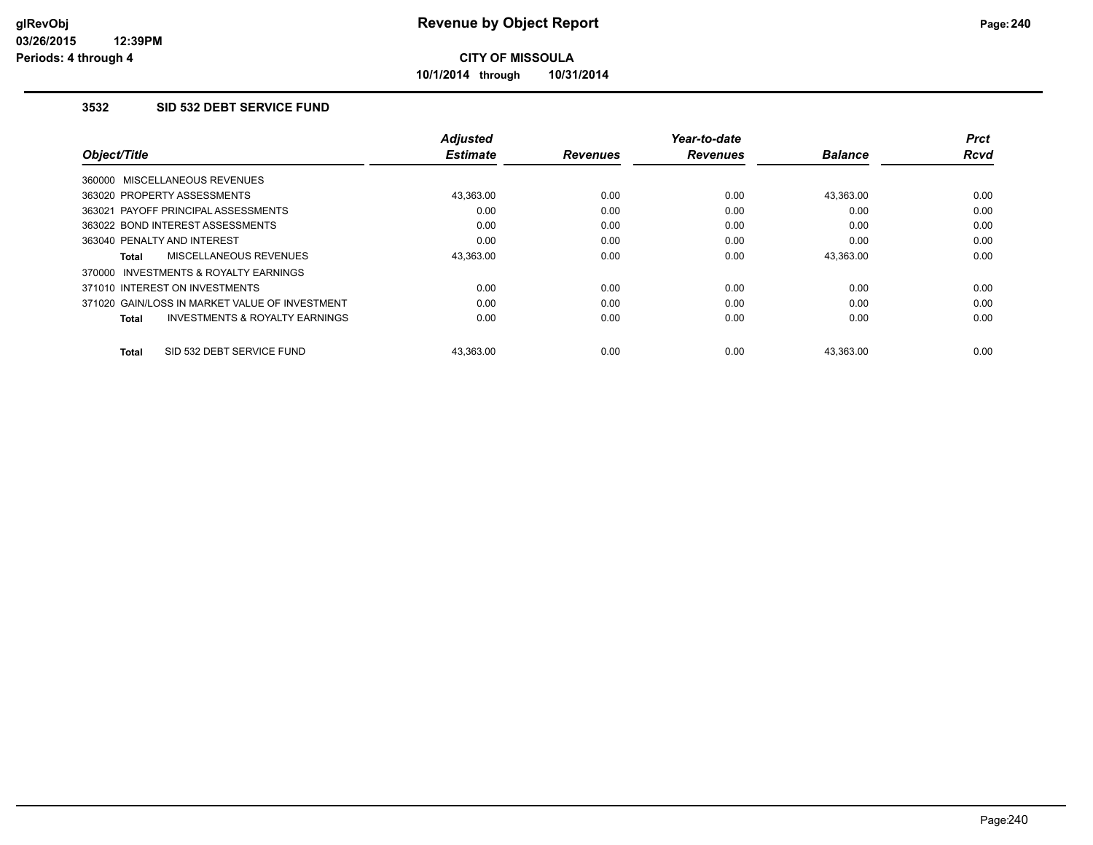**10/1/2014 through 10/31/2014**

## **3532 SID 532 DEBT SERVICE FUND**

|                                                     | <b>Adjusted</b> |                 | Year-to-date    |                | <b>Prct</b> |
|-----------------------------------------------------|-----------------|-----------------|-----------------|----------------|-------------|
| Object/Title                                        | <b>Estimate</b> | <b>Revenues</b> | <b>Revenues</b> | <b>Balance</b> | <b>Rcvd</b> |
| 360000 MISCELLANEOUS REVENUES                       |                 |                 |                 |                |             |
| 363020 PROPERTY ASSESSMENTS                         | 43.363.00       | 0.00            | 0.00            | 43.363.00      | 0.00        |
| 363021 PAYOFF PRINCIPAL ASSESSMENTS                 | 0.00            | 0.00            | 0.00            | 0.00           | 0.00        |
| 363022 BOND INTEREST ASSESSMENTS                    | 0.00            | 0.00            | 0.00            | 0.00           | 0.00        |
| 363040 PENALTY AND INTEREST                         | 0.00            | 0.00            | 0.00            | 0.00           | 0.00        |
| MISCELLANEOUS REVENUES<br>Total                     | 43,363.00       | 0.00            | 0.00            | 43,363.00      | 0.00        |
| <b>INVESTMENTS &amp; ROYALTY EARNINGS</b><br>370000 |                 |                 |                 |                |             |
| 371010 INTEREST ON INVESTMENTS                      | 0.00            | 0.00            | 0.00            | 0.00           | 0.00        |
| 371020 GAIN/LOSS IN MARKET VALUE OF INVESTMENT      | 0.00            | 0.00            | 0.00            | 0.00           | 0.00        |
| <b>INVESTMENTS &amp; ROYALTY EARNINGS</b><br>Total  | 0.00            | 0.00            | 0.00            | 0.00           | 0.00        |
| SID 532 DEBT SERVICE FUND<br><b>Total</b>           | 43.363.00       | 0.00            | 0.00            | 43.363.00      | 0.00        |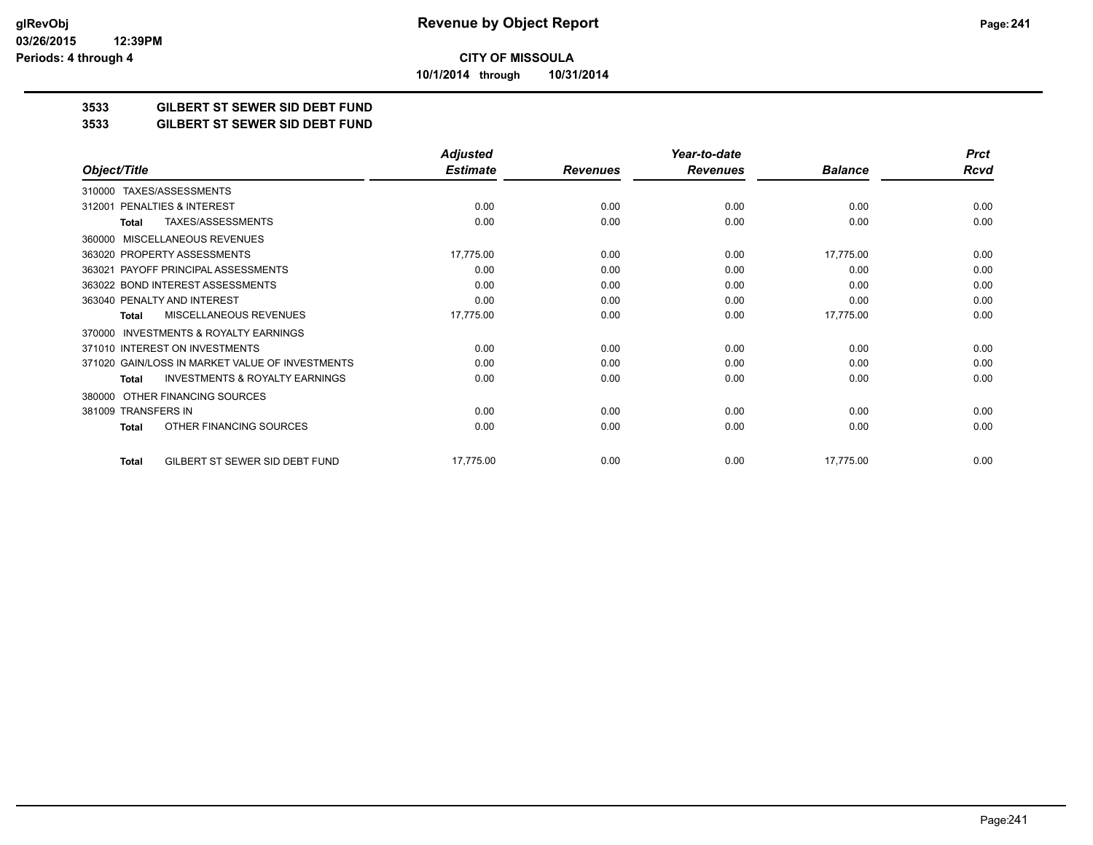**10/1/2014 through 10/31/2014**

## **3533 GILBERT ST SEWER SID DEBT FUND**

#### **3533 GILBERT ST SEWER SID DEBT FUND**

|                                                     | <b>Adjusted</b> |                 | Year-to-date    |                | <b>Prct</b> |
|-----------------------------------------------------|-----------------|-----------------|-----------------|----------------|-------------|
| Object/Title                                        | <b>Estimate</b> | <b>Revenues</b> | <b>Revenues</b> | <b>Balance</b> | <b>Rcvd</b> |
| TAXES/ASSESSMENTS<br>310000                         |                 |                 |                 |                |             |
| PENALTIES & INTEREST<br>312001                      | 0.00            | 0.00            | 0.00            | 0.00           | 0.00        |
| TAXES/ASSESSMENTS<br>Total                          | 0.00            | 0.00            | 0.00            | 0.00           | 0.00        |
| <b>MISCELLANEOUS REVENUES</b><br>360000             |                 |                 |                 |                |             |
| 363020 PROPERTY ASSESSMENTS                         | 17,775.00       | 0.00            | 0.00            | 17,775.00      | 0.00        |
| 363021 PAYOFF PRINCIPAL ASSESSMENTS                 | 0.00            | 0.00            | 0.00            | 0.00           | 0.00        |
| 363022 BOND INTEREST ASSESSMENTS                    | 0.00            | 0.00            | 0.00            | 0.00           | 0.00        |
| 363040 PENALTY AND INTEREST                         | 0.00            | 0.00            | 0.00            | 0.00           | 0.00        |
| MISCELLANEOUS REVENUES<br><b>Total</b>              | 17,775.00       | 0.00            | 0.00            | 17,775.00      | 0.00        |
| <b>INVESTMENTS &amp; ROYALTY EARNINGS</b><br>370000 |                 |                 |                 |                |             |
| 371010 INTEREST ON INVESTMENTS                      | 0.00            | 0.00            | 0.00            | 0.00           | 0.00        |
| 371020 GAIN/LOSS IN MARKET VALUE OF INVESTMENTS     | 0.00            | 0.00            | 0.00            | 0.00           | 0.00        |
| <b>INVESTMENTS &amp; ROYALTY EARNINGS</b><br>Total  | 0.00            | 0.00            | 0.00            | 0.00           | 0.00        |
| OTHER FINANCING SOURCES<br>380000                   |                 |                 |                 |                |             |
| 381009 TRANSFERS IN                                 | 0.00            | 0.00            | 0.00            | 0.00           | 0.00        |
| OTHER FINANCING SOURCES<br><b>Total</b>             | 0.00            | 0.00            | 0.00            | 0.00           | 0.00        |
| GILBERT ST SEWER SID DEBT FUND<br><b>Total</b>      | 17,775.00       | 0.00            | 0.00            | 17,775.00      | 0.00        |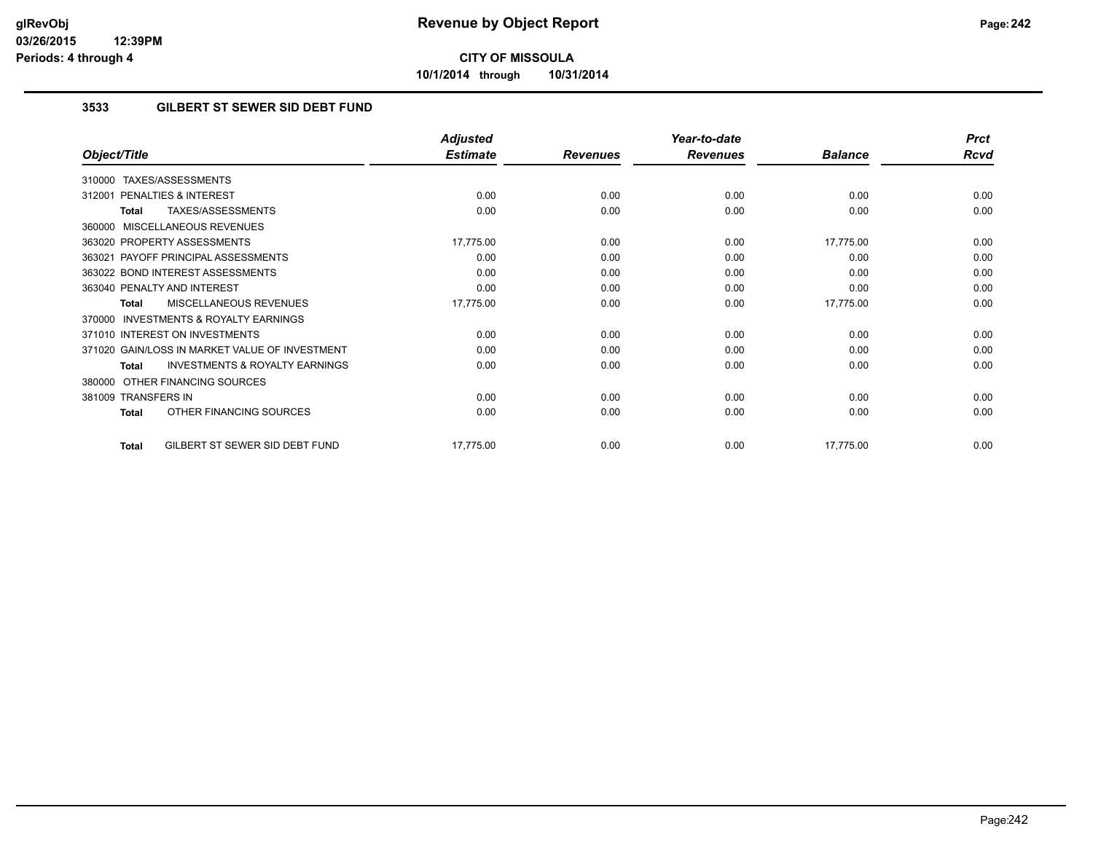**10/1/2014 through 10/31/2014**

## **3533 GILBERT ST SEWER SID DEBT FUND**

|                                                           | <b>Adjusted</b> |                 | Year-to-date    |                | <b>Prct</b> |
|-----------------------------------------------------------|-----------------|-----------------|-----------------|----------------|-------------|
| Object/Title                                              | <b>Estimate</b> | <b>Revenues</b> | <b>Revenues</b> | <b>Balance</b> | <b>Rcvd</b> |
| TAXES/ASSESSMENTS<br>310000                               |                 |                 |                 |                |             |
| 312001 PENALTIES & INTEREST                               | 0.00            | 0.00            | 0.00            | 0.00           | 0.00        |
| TAXES/ASSESSMENTS<br>Total                                | 0.00            | 0.00            | 0.00            | 0.00           | 0.00        |
| 360000 MISCELLANEOUS REVENUES                             |                 |                 |                 |                |             |
| 363020 PROPERTY ASSESSMENTS                               | 17,775.00       | 0.00            | 0.00            | 17,775.00      | 0.00        |
| 363021 PAYOFF PRINCIPAL ASSESSMENTS                       | 0.00            | 0.00            | 0.00            | 0.00           | 0.00        |
| 363022 BOND INTEREST ASSESSMENTS                          | 0.00            | 0.00            | 0.00            | 0.00           | 0.00        |
| 363040 PENALTY AND INTEREST                               | 0.00            | 0.00            | 0.00            | 0.00           | 0.00        |
| MISCELLANEOUS REVENUES<br><b>Total</b>                    | 17,775.00       | 0.00            | 0.00            | 17,775.00      | 0.00        |
| <b>INVESTMENTS &amp; ROYALTY EARNINGS</b><br>370000       |                 |                 |                 |                |             |
| 371010 INTEREST ON INVESTMENTS                            | 0.00            | 0.00            | 0.00            | 0.00           | 0.00        |
| 371020 GAIN/LOSS IN MARKET VALUE OF INVESTMENT            | 0.00            | 0.00            | 0.00            | 0.00           | 0.00        |
| <b>INVESTMENTS &amp; ROYALTY EARNINGS</b><br><b>Total</b> | 0.00            | 0.00            | 0.00            | 0.00           | 0.00        |
| 380000 OTHER FINANCING SOURCES                            |                 |                 |                 |                |             |
| 381009 TRANSFERS IN                                       | 0.00            | 0.00            | 0.00            | 0.00           | 0.00        |
| OTHER FINANCING SOURCES<br><b>Total</b>                   | 0.00            | 0.00            | 0.00            | 0.00           | 0.00        |
| GILBERT ST SEWER SID DEBT FUND<br>Total                   | 17,775.00       | 0.00            | 0.00            | 17,775.00      | 0.00        |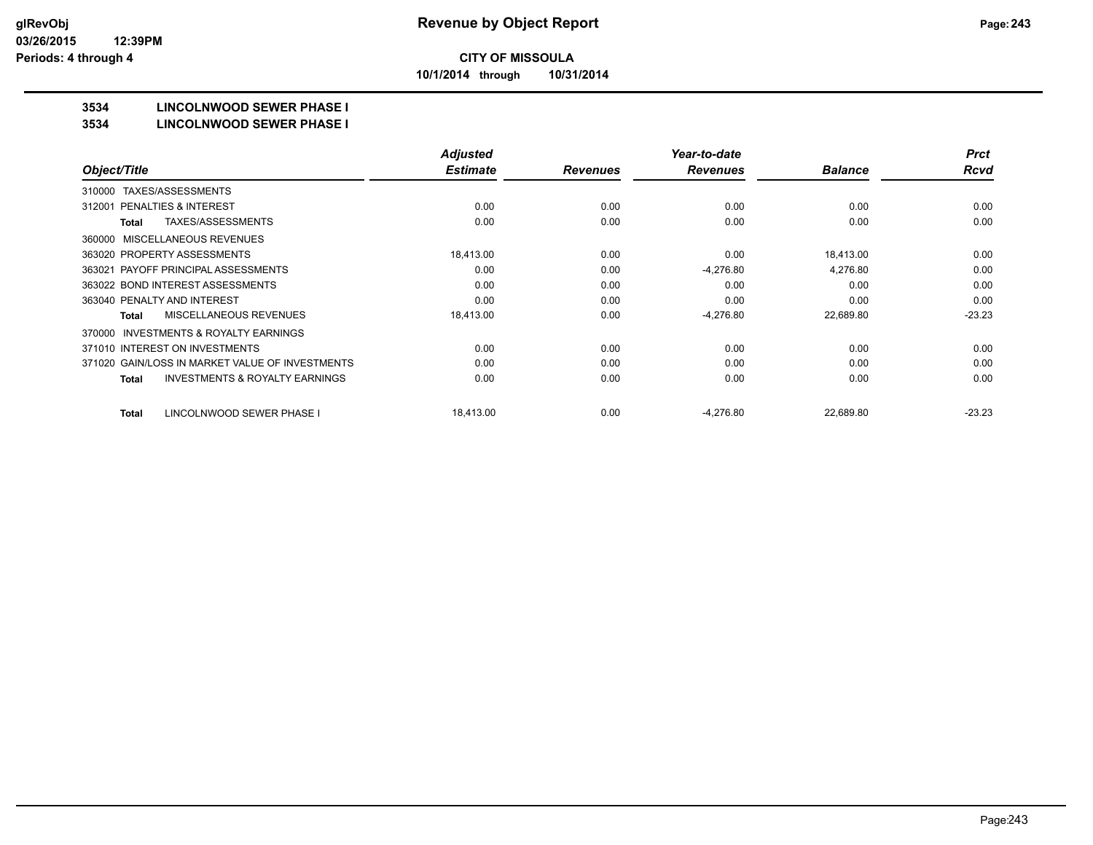**10/1/2014 through 10/31/2014**

## **3534 LINCOLNWOOD SEWER PHASE I**

#### **3534 LINCOLNWOOD SEWER PHASE I**

|                                                           | <b>Adjusted</b> |                 | Year-to-date    |                | <b>Prct</b> |
|-----------------------------------------------------------|-----------------|-----------------|-----------------|----------------|-------------|
| Object/Title                                              | <b>Estimate</b> | <b>Revenues</b> | <b>Revenues</b> | <b>Balance</b> | <b>Rcvd</b> |
| TAXES/ASSESSMENTS<br>310000                               |                 |                 |                 |                |             |
| <b>PENALTIES &amp; INTEREST</b><br>312001                 | 0.00            | 0.00            | 0.00            | 0.00           | 0.00        |
| TAXES/ASSESSMENTS<br><b>Total</b>                         | 0.00            | 0.00            | 0.00            | 0.00           | 0.00        |
| MISCELLANEOUS REVENUES<br>360000                          |                 |                 |                 |                |             |
| 363020 PROPERTY ASSESSMENTS                               | 18.413.00       | 0.00            | 0.00            | 18.413.00      | 0.00        |
| 363021 PAYOFF PRINCIPAL ASSESSMENTS                       | 0.00            | 0.00            | $-4,276.80$     | 4,276.80       | 0.00        |
| 363022 BOND INTEREST ASSESSMENTS                          | 0.00            | 0.00            | 0.00            | 0.00           | 0.00        |
| 363040 PENALTY AND INTEREST                               | 0.00            | 0.00            | 0.00            | 0.00           | 0.00        |
| <b>MISCELLANEOUS REVENUES</b><br><b>Total</b>             | 18,413.00       | 0.00            | $-4,276.80$     | 22,689.80      | $-23.23$    |
| INVESTMENTS & ROYALTY EARNINGS<br>370000                  |                 |                 |                 |                |             |
| 371010 INTEREST ON INVESTMENTS                            | 0.00            | 0.00            | 0.00            | 0.00           | 0.00        |
| 371020 GAIN/LOSS IN MARKET VALUE OF INVESTMENTS           | 0.00            | 0.00            | 0.00            | 0.00           | 0.00        |
| <b>INVESTMENTS &amp; ROYALTY EARNINGS</b><br><b>Total</b> | 0.00            | 0.00            | 0.00            | 0.00           | 0.00        |
| LINCOLNWOOD SEWER PHASE I<br><b>Total</b>                 | 18,413.00       | 0.00            | $-4,276.80$     | 22,689.80      | $-23.23$    |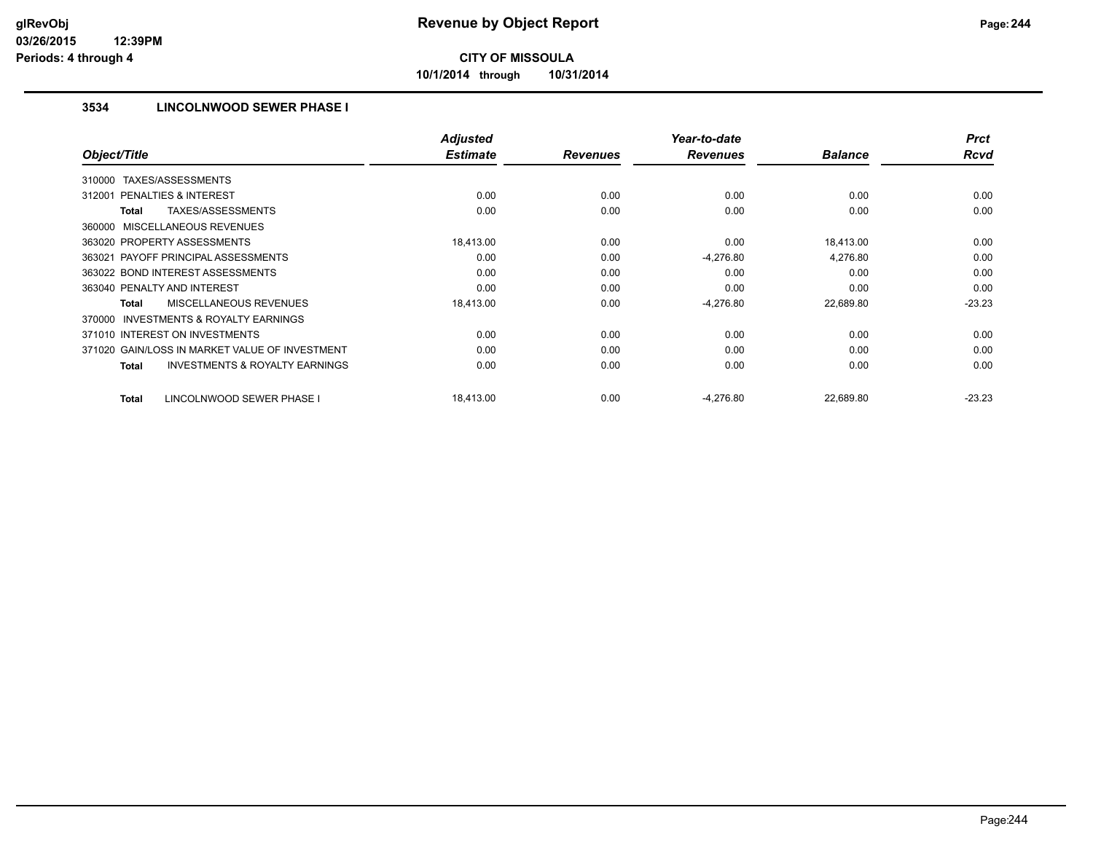**10/1/2014 through 10/31/2014**

## **3534 LINCOLNWOOD SEWER PHASE I**

|                                                           | <b>Adjusted</b> |                 | Year-to-date    |                | <b>Prct</b> |
|-----------------------------------------------------------|-----------------|-----------------|-----------------|----------------|-------------|
| Object/Title                                              | <b>Estimate</b> | <b>Revenues</b> | <b>Revenues</b> | <b>Balance</b> | <b>Rcvd</b> |
| TAXES/ASSESSMENTS<br>310000                               |                 |                 |                 |                |             |
| PENALTIES & INTEREST<br>312001                            | 0.00            | 0.00            | 0.00            | 0.00           | 0.00        |
| TAXES/ASSESSMENTS<br>Total                                | 0.00            | 0.00            | 0.00            | 0.00           | 0.00        |
| 360000 MISCELLANEOUS REVENUES                             |                 |                 |                 |                |             |
| 363020 PROPERTY ASSESSMENTS                               | 18,413.00       | 0.00            | 0.00            | 18,413.00      | 0.00        |
| 363021 PAYOFF PRINCIPAL ASSESSMENTS                       | 0.00            | 0.00            | $-4,276.80$     | 4,276.80       | 0.00        |
| 363022 BOND INTEREST ASSESSMENTS                          | 0.00            | 0.00            | 0.00            | 0.00           | 0.00        |
| 363040 PENALTY AND INTEREST                               | 0.00            | 0.00            | 0.00            | 0.00           | 0.00        |
| <b>MISCELLANEOUS REVENUES</b><br><b>Total</b>             | 18,413.00       | 0.00            | $-4,276.80$     | 22,689.80      | $-23.23$    |
| <b>INVESTMENTS &amp; ROYALTY EARNINGS</b><br>370000       |                 |                 |                 |                |             |
| 371010 INTEREST ON INVESTMENTS                            | 0.00            | 0.00            | 0.00            | 0.00           | 0.00        |
| 371020 GAIN/LOSS IN MARKET VALUE OF INVESTMENT            | 0.00            | 0.00            | 0.00            | 0.00           | 0.00        |
| <b>INVESTMENTS &amp; ROYALTY EARNINGS</b><br><b>Total</b> | 0.00            | 0.00            | 0.00            | 0.00           | 0.00        |
| LINCOLNWOOD SEWER PHASE I<br><b>Total</b>                 | 18,413.00       | 0.00            | $-4,276.80$     | 22,689.80      | $-23.23$    |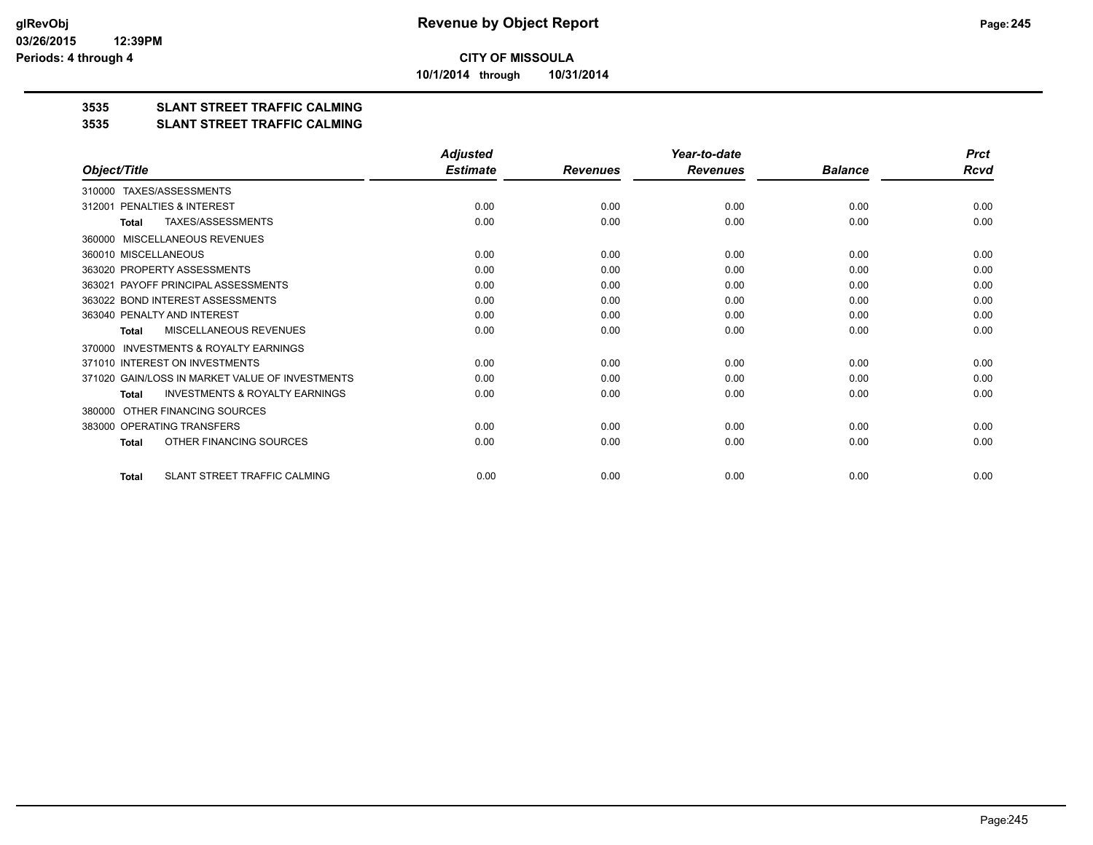**10/1/2014 through 10/31/2014**

## **3535 SLANT STREET TRAFFIC CALMING**

#### **3535 SLANT STREET TRAFFIC CALMING**

|                                                           | <b>Adjusted</b> |                 | Year-to-date    |                | <b>Prct</b> |
|-----------------------------------------------------------|-----------------|-----------------|-----------------|----------------|-------------|
| Object/Title                                              | <b>Estimate</b> | <b>Revenues</b> | <b>Revenues</b> | <b>Balance</b> | Rcvd        |
| TAXES/ASSESSMENTS<br>310000                               |                 |                 |                 |                |             |
| PENALTIES & INTEREST<br>312001                            | 0.00            | 0.00            | 0.00            | 0.00           | 0.00        |
| <b>TAXES/ASSESSMENTS</b><br><b>Total</b>                  | 0.00            | 0.00            | 0.00            | 0.00           | 0.00        |
| <b>MISCELLANEOUS REVENUES</b><br>360000                   |                 |                 |                 |                |             |
| 360010 MISCELLANEOUS                                      | 0.00            | 0.00            | 0.00            | 0.00           | 0.00        |
| 363020 PROPERTY ASSESSMENTS                               | 0.00            | 0.00            | 0.00            | 0.00           | 0.00        |
| 363021 PAYOFF PRINCIPAL ASSESSMENTS                       | 0.00            | 0.00            | 0.00            | 0.00           | 0.00        |
| 363022 BOND INTEREST ASSESSMENTS                          | 0.00            | 0.00            | 0.00            | 0.00           | 0.00        |
| 363040 PENALTY AND INTEREST                               | 0.00            | 0.00            | 0.00            | 0.00           | 0.00        |
| <b>MISCELLANEOUS REVENUES</b><br><b>Total</b>             | 0.00            | 0.00            | 0.00            | 0.00           | 0.00        |
| <b>INVESTMENTS &amp; ROYALTY EARNINGS</b><br>370000       |                 |                 |                 |                |             |
| 371010 INTEREST ON INVESTMENTS                            | 0.00            | 0.00            | 0.00            | 0.00           | 0.00        |
| 371020 GAIN/LOSS IN MARKET VALUE OF INVESTMENTS           | 0.00            | 0.00            | 0.00            | 0.00           | 0.00        |
| <b>INVESTMENTS &amp; ROYALTY EARNINGS</b><br><b>Total</b> | 0.00            | 0.00            | 0.00            | 0.00           | 0.00        |
| OTHER FINANCING SOURCES<br>380000                         |                 |                 |                 |                |             |
| 383000 OPERATING TRANSFERS                                | 0.00            | 0.00            | 0.00            | 0.00           | 0.00        |
| OTHER FINANCING SOURCES<br><b>Total</b>                   | 0.00            | 0.00            | 0.00            | 0.00           | 0.00        |
| SLANT STREET TRAFFIC CALMING<br><b>Total</b>              | 0.00            | 0.00            | 0.00            | 0.00           | 0.00        |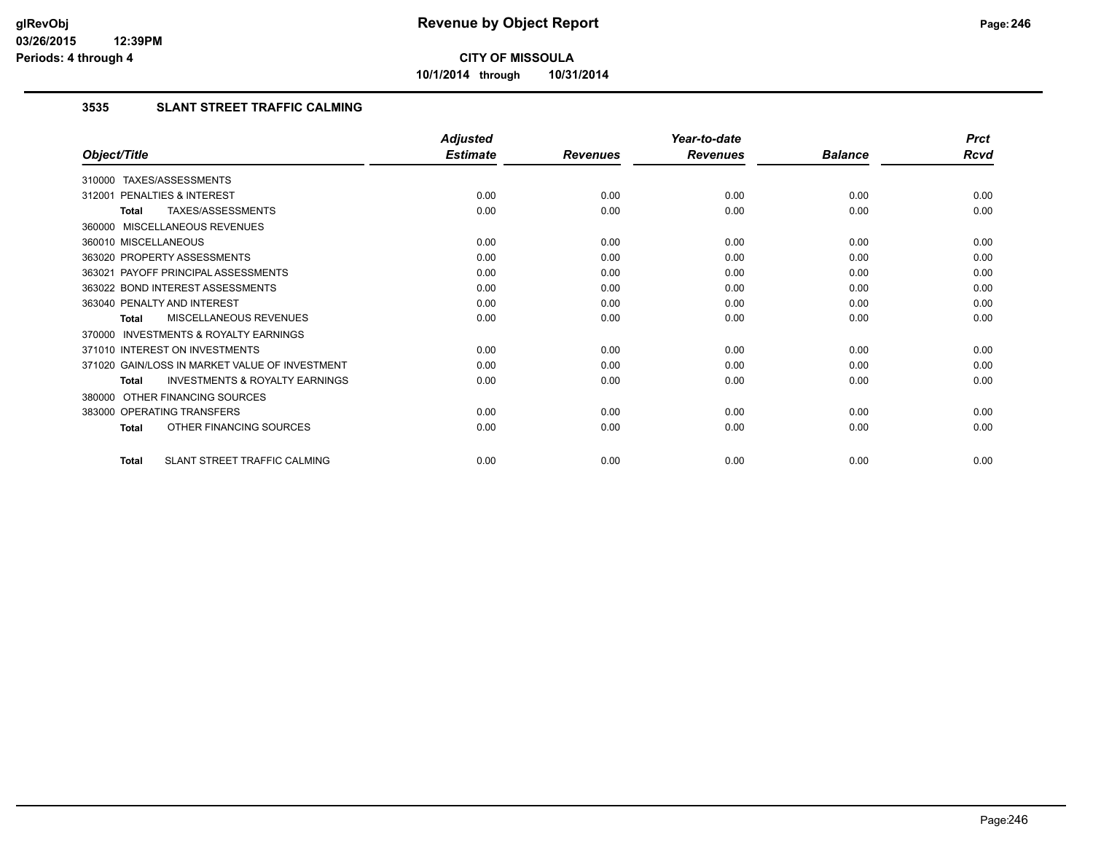**10/1/2014 through 10/31/2014**

## **3535 SLANT STREET TRAFFIC CALMING**

|                                                           | <b>Adjusted</b> |                 | Year-to-date    |                | <b>Prct</b> |
|-----------------------------------------------------------|-----------------|-----------------|-----------------|----------------|-------------|
| Object/Title                                              | <b>Estimate</b> | <b>Revenues</b> | <b>Revenues</b> | <b>Balance</b> | <b>Rcvd</b> |
| 310000 TAXES/ASSESSMENTS                                  |                 |                 |                 |                |             |
| PENALTIES & INTEREST<br>312001                            | 0.00            | 0.00            | 0.00            | 0.00           | 0.00        |
| TAXES/ASSESSMENTS<br><b>Total</b>                         | 0.00            | 0.00            | 0.00            | 0.00           | 0.00        |
| 360000 MISCELLANEOUS REVENUES                             |                 |                 |                 |                |             |
| 360010 MISCELLANEOUS                                      | 0.00            | 0.00            | 0.00            | 0.00           | 0.00        |
| 363020 PROPERTY ASSESSMENTS                               | 0.00            | 0.00            | 0.00            | 0.00           | 0.00        |
| 363021 PAYOFF PRINCIPAL ASSESSMENTS                       | 0.00            | 0.00            | 0.00            | 0.00           | 0.00        |
| 363022 BOND INTEREST ASSESSMENTS                          | 0.00            | 0.00            | 0.00            | 0.00           | 0.00        |
| 363040 PENALTY AND INTEREST                               | 0.00            | 0.00            | 0.00            | 0.00           | 0.00        |
| MISCELLANEOUS REVENUES<br><b>Total</b>                    | 0.00            | 0.00            | 0.00            | 0.00           | 0.00        |
| INVESTMENTS & ROYALTY EARNINGS<br>370000                  |                 |                 |                 |                |             |
| 371010 INTEREST ON INVESTMENTS                            | 0.00            | 0.00            | 0.00            | 0.00           | 0.00        |
| 371020 GAIN/LOSS IN MARKET VALUE OF INVESTMENT            | 0.00            | 0.00            | 0.00            | 0.00           | 0.00        |
| <b>INVESTMENTS &amp; ROYALTY EARNINGS</b><br><b>Total</b> | 0.00            | 0.00            | 0.00            | 0.00           | 0.00        |
| 380000 OTHER FINANCING SOURCES                            |                 |                 |                 |                |             |
| 383000 OPERATING TRANSFERS                                | 0.00            | 0.00            | 0.00            | 0.00           | 0.00        |
| OTHER FINANCING SOURCES<br><b>Total</b>                   | 0.00            | 0.00            | 0.00            | 0.00           | 0.00        |
| SLANT STREET TRAFFIC CALMING<br><b>Total</b>              | 0.00            | 0.00            | 0.00            | 0.00           | 0.00        |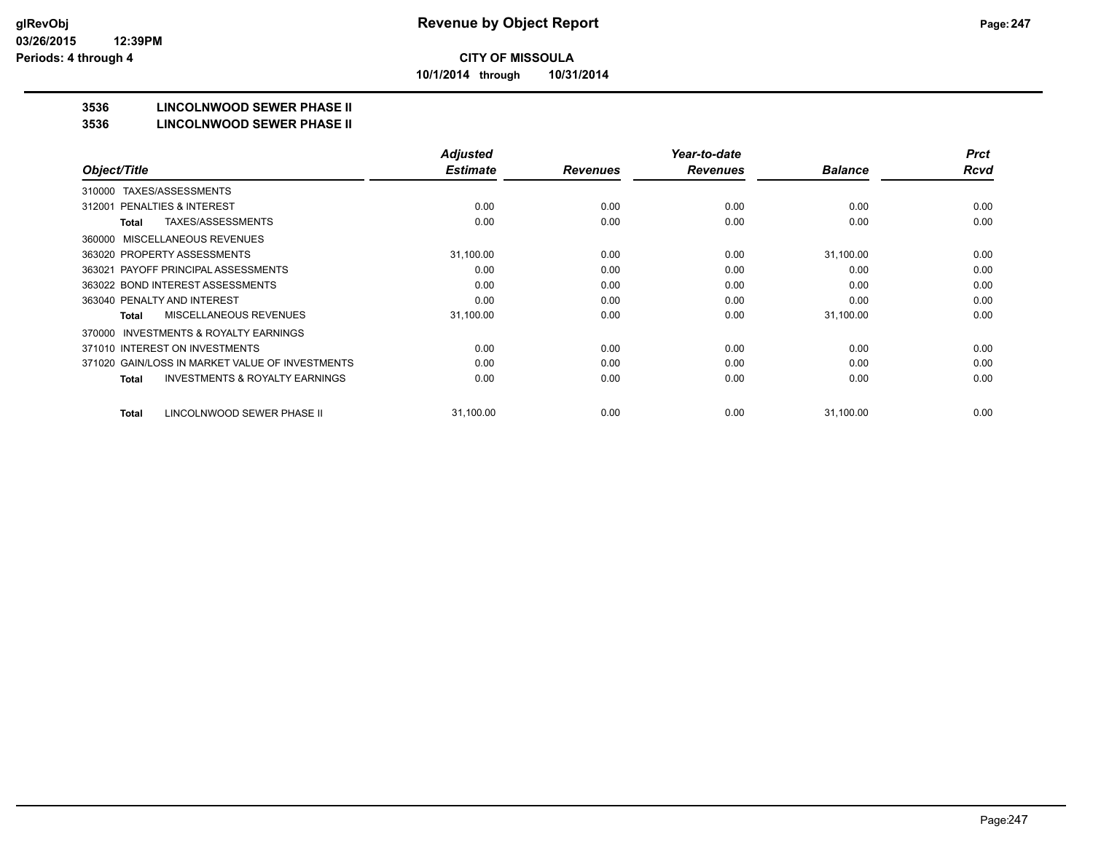**10/1/2014 through 10/31/2014**

## **3536 LINCOLNWOOD SEWER PHASE II**

#### **3536 LINCOLNWOOD SEWER PHASE II**

|                                                    | <b>Adjusted</b> |                 | Year-to-date    |                | <b>Prct</b> |
|----------------------------------------------------|-----------------|-----------------|-----------------|----------------|-------------|
| Object/Title                                       | <b>Estimate</b> | <b>Revenues</b> | <b>Revenues</b> | <b>Balance</b> | <b>Rcvd</b> |
| TAXES/ASSESSMENTS<br>310000                        |                 |                 |                 |                |             |
| PENALTIES & INTEREST<br>312001                     | 0.00            | 0.00            | 0.00            | 0.00           | 0.00        |
| TAXES/ASSESSMENTS<br>Total                         | 0.00            | 0.00            | 0.00            | 0.00           | 0.00        |
| MISCELLANEOUS REVENUES<br>360000                   |                 |                 |                 |                |             |
| 363020 PROPERTY ASSESSMENTS                        | 31,100.00       | 0.00            | 0.00            | 31,100.00      | 0.00        |
| 363021 PAYOFF PRINCIPAL ASSESSMENTS                | 0.00            | 0.00            | 0.00            | 0.00           | 0.00        |
| 363022 BOND INTEREST ASSESSMENTS                   | 0.00            | 0.00            | 0.00            | 0.00           | 0.00        |
| 363040 PENALTY AND INTEREST                        | 0.00            | 0.00            | 0.00            | 0.00           | 0.00        |
| MISCELLANEOUS REVENUES<br>Total                    | 31,100.00       | 0.00            | 0.00            | 31,100.00      | 0.00        |
| INVESTMENTS & ROYALTY EARNINGS<br>370000           |                 |                 |                 |                |             |
| 371010 INTEREST ON INVESTMENTS                     | 0.00            | 0.00            | 0.00            | 0.00           | 0.00        |
| 371020 GAIN/LOSS IN MARKET VALUE OF INVESTMENTS    | 0.00            | 0.00            | 0.00            | 0.00           | 0.00        |
| <b>INVESTMENTS &amp; ROYALTY EARNINGS</b><br>Total | 0.00            | 0.00            | 0.00            | 0.00           | 0.00        |
|                                                    |                 |                 |                 |                |             |
| LINCOLNWOOD SEWER PHASE II<br><b>Total</b>         | 31,100.00       | 0.00            | 0.00            | 31,100.00      | 0.00        |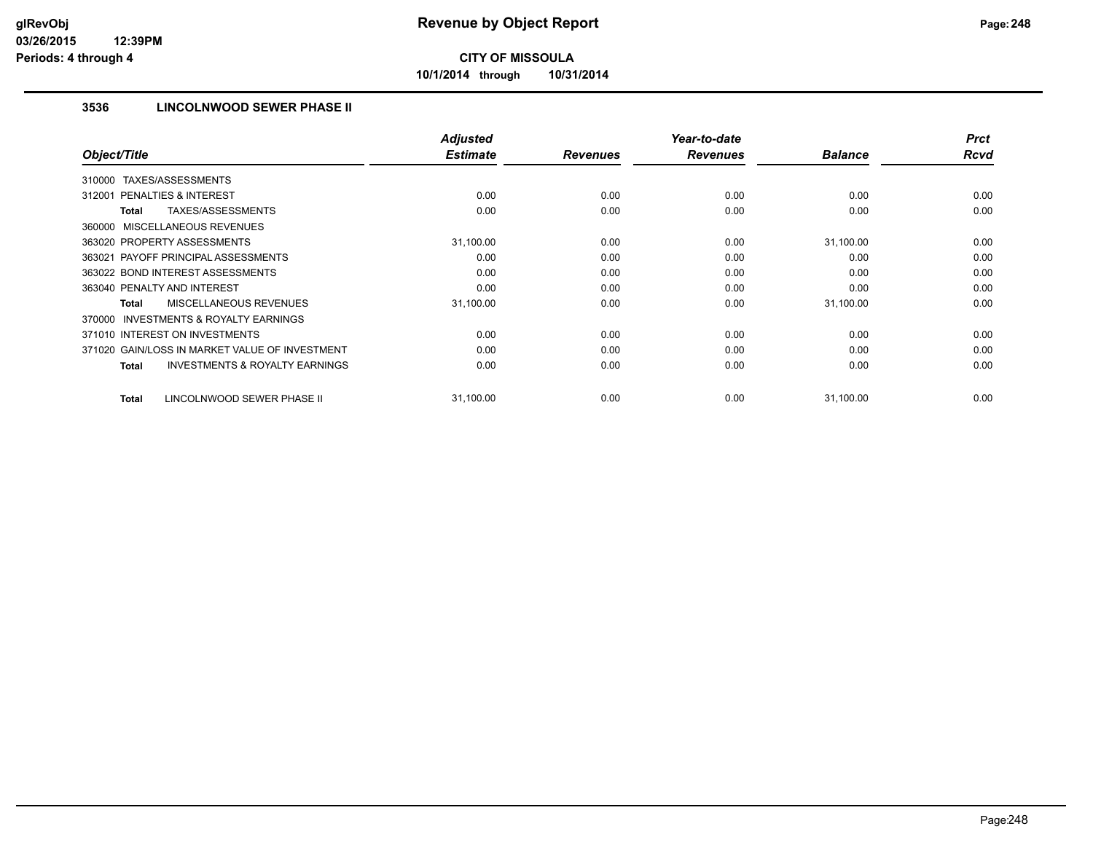**10/1/2014 through 10/31/2014**

## **3536 LINCOLNWOOD SEWER PHASE II**

|                                                           | <b>Adjusted</b> |                 | Year-to-date    |                | <b>Prct</b> |
|-----------------------------------------------------------|-----------------|-----------------|-----------------|----------------|-------------|
| Object/Title                                              | <b>Estimate</b> | <b>Revenues</b> | <b>Revenues</b> | <b>Balance</b> | <b>Rcvd</b> |
| TAXES/ASSESSMENTS<br>310000                               |                 |                 |                 |                |             |
| 312001 PENALTIES & INTEREST                               | 0.00            | 0.00            | 0.00            | 0.00           | 0.00        |
| <b>TAXES/ASSESSMENTS</b><br><b>Total</b>                  | 0.00            | 0.00            | 0.00            | 0.00           | 0.00        |
| 360000 MISCELLANEOUS REVENUES                             |                 |                 |                 |                |             |
| 363020 PROPERTY ASSESSMENTS                               | 31,100.00       | 0.00            | 0.00            | 31,100.00      | 0.00        |
| 363021 PAYOFF PRINCIPAL ASSESSMENTS                       | 0.00            | 0.00            | 0.00            | 0.00           | 0.00        |
| 363022 BOND INTEREST ASSESSMENTS                          | 0.00            | 0.00            | 0.00            | 0.00           | 0.00        |
| 363040 PENALTY AND INTEREST                               | 0.00            | 0.00            | 0.00            | 0.00           | 0.00        |
| MISCELLANEOUS REVENUES<br><b>Total</b>                    | 31,100.00       | 0.00            | 0.00            | 31,100.00      | 0.00        |
| <b>INVESTMENTS &amp; ROYALTY EARNINGS</b><br>370000       |                 |                 |                 |                |             |
| 371010 INTEREST ON INVESTMENTS                            | 0.00            | 0.00            | 0.00            | 0.00           | 0.00        |
| 371020 GAIN/LOSS IN MARKET VALUE OF INVESTMENT            | 0.00            | 0.00            | 0.00            | 0.00           | 0.00        |
| <b>INVESTMENTS &amp; ROYALTY EARNINGS</b><br><b>Total</b> | 0.00            | 0.00            | 0.00            | 0.00           | 0.00        |
|                                                           |                 |                 |                 |                |             |
| LINCOLNWOOD SEWER PHASE II<br><b>Total</b>                | 31,100.00       | 0.00            | 0.00            | 31,100.00      | 0.00        |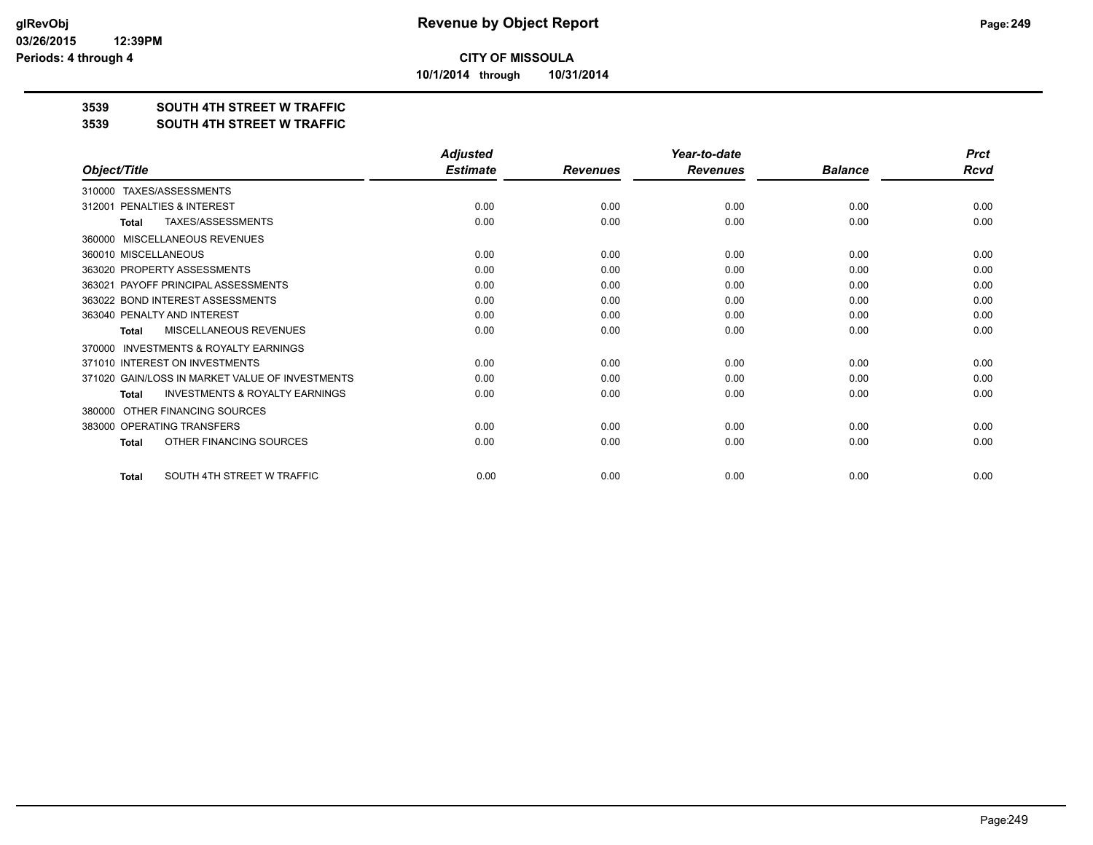**10/1/2014 through 10/31/2014**

### **3539 SOUTH 4TH STREET W TRAFFIC**

#### **3539 SOUTH 4TH STREET W TRAFFIC**

|                                                           | <b>Adjusted</b> |                 | Year-to-date    |                | <b>Prct</b> |
|-----------------------------------------------------------|-----------------|-----------------|-----------------|----------------|-------------|
| Object/Title                                              | <b>Estimate</b> | <b>Revenues</b> | <b>Revenues</b> | <b>Balance</b> | <b>Rcvd</b> |
| TAXES/ASSESSMENTS<br>310000                               |                 |                 |                 |                |             |
| PENALTIES & INTEREST<br>312001                            | 0.00            | 0.00            | 0.00            | 0.00           | 0.00        |
| TAXES/ASSESSMENTS<br><b>Total</b>                         | 0.00            | 0.00            | 0.00            | 0.00           | 0.00        |
| MISCELLANEOUS REVENUES<br>360000                          |                 |                 |                 |                |             |
| 360010 MISCELLANEOUS                                      | 0.00            | 0.00            | 0.00            | 0.00           | 0.00        |
| 363020 PROPERTY ASSESSMENTS                               | 0.00            | 0.00            | 0.00            | 0.00           | 0.00        |
| 363021 PAYOFF PRINCIPAL ASSESSMENTS                       | 0.00            | 0.00            | 0.00            | 0.00           | 0.00        |
| 363022 BOND INTEREST ASSESSMENTS                          | 0.00            | 0.00            | 0.00            | 0.00           | 0.00        |
| 363040 PENALTY AND INTEREST                               | 0.00            | 0.00            | 0.00            | 0.00           | 0.00        |
| MISCELLANEOUS REVENUES<br>Total                           | 0.00            | 0.00            | 0.00            | 0.00           | 0.00        |
| <b>INVESTMENTS &amp; ROYALTY EARNINGS</b><br>370000       |                 |                 |                 |                |             |
| 371010 INTEREST ON INVESTMENTS                            | 0.00            | 0.00            | 0.00            | 0.00           | 0.00        |
| 371020 GAIN/LOSS IN MARKET VALUE OF INVESTMENTS           | 0.00            | 0.00            | 0.00            | 0.00           | 0.00        |
| <b>INVESTMENTS &amp; ROYALTY EARNINGS</b><br><b>Total</b> | 0.00            | 0.00            | 0.00            | 0.00           | 0.00        |
| OTHER FINANCING SOURCES<br>380000                         |                 |                 |                 |                |             |
| 383000 OPERATING TRANSFERS                                | 0.00            | 0.00            | 0.00            | 0.00           | 0.00        |
| OTHER FINANCING SOURCES<br>Total                          | 0.00            | 0.00            | 0.00            | 0.00           | 0.00        |
| SOUTH 4TH STREET W TRAFFIC<br><b>Total</b>                | 0.00            | 0.00            | 0.00            | 0.00           | 0.00        |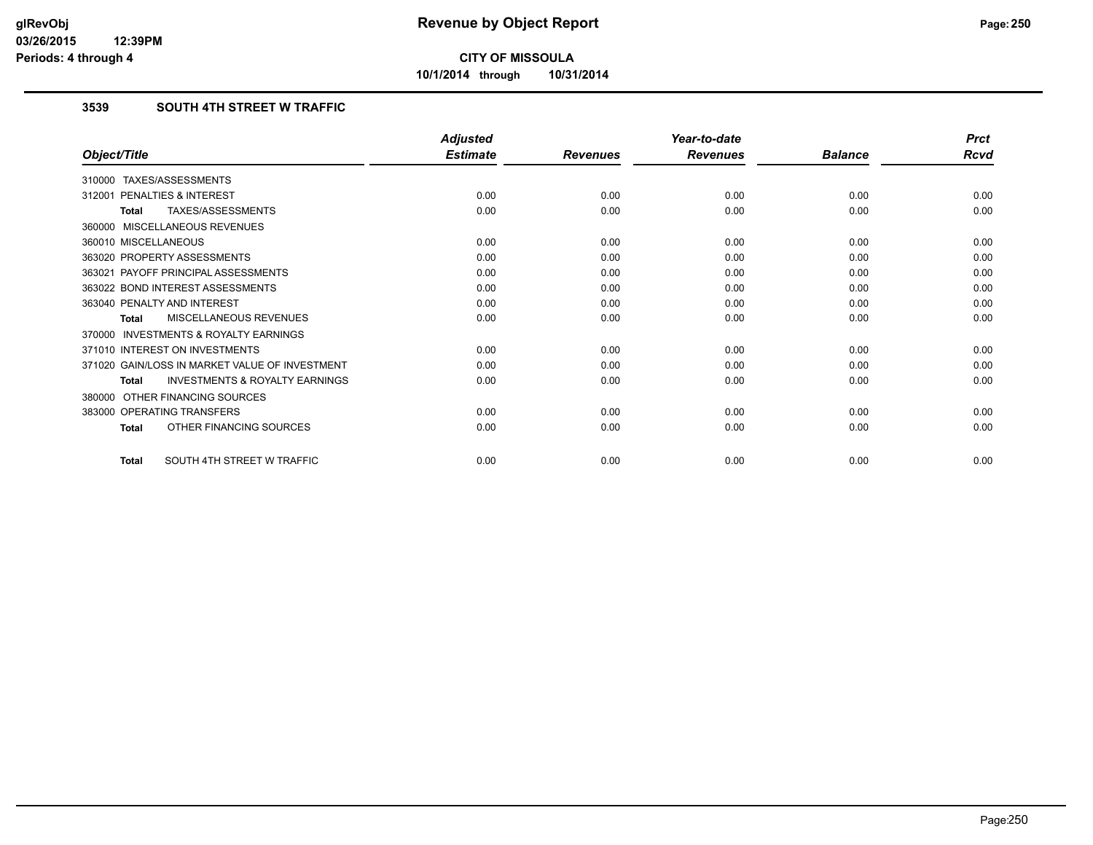**10/1/2014 through 10/31/2014**

## **3539 SOUTH 4TH STREET W TRAFFIC**

|                                                           | <b>Adjusted</b> |                 | Year-to-date    |                | <b>Prct</b> |
|-----------------------------------------------------------|-----------------|-----------------|-----------------|----------------|-------------|
| Object/Title                                              | <b>Estimate</b> | <b>Revenues</b> | <b>Revenues</b> | <b>Balance</b> | <b>Rcvd</b> |
| 310000 TAXES/ASSESSMENTS                                  |                 |                 |                 |                |             |
| PENALTIES & INTEREST<br>312001                            | 0.00            | 0.00            | 0.00            | 0.00           | 0.00        |
| TAXES/ASSESSMENTS<br><b>Total</b>                         | 0.00            | 0.00            | 0.00            | 0.00           | 0.00        |
| 360000 MISCELLANEOUS REVENUES                             |                 |                 |                 |                |             |
| 360010 MISCELLANEOUS                                      | 0.00            | 0.00            | 0.00            | 0.00           | 0.00        |
| 363020 PROPERTY ASSESSMENTS                               | 0.00            | 0.00            | 0.00            | 0.00           | 0.00        |
| 363021 PAYOFF PRINCIPAL ASSESSMENTS                       | 0.00            | 0.00            | 0.00            | 0.00           | 0.00        |
| 363022 BOND INTEREST ASSESSMENTS                          | 0.00            | 0.00            | 0.00            | 0.00           | 0.00        |
| 363040 PENALTY AND INTEREST                               | 0.00            | 0.00            | 0.00            | 0.00           | 0.00        |
| MISCELLANEOUS REVENUES<br><b>Total</b>                    | 0.00            | 0.00            | 0.00            | 0.00           | 0.00        |
| INVESTMENTS & ROYALTY EARNINGS<br>370000                  |                 |                 |                 |                |             |
| 371010 INTEREST ON INVESTMENTS                            | 0.00            | 0.00            | 0.00            | 0.00           | 0.00        |
| 371020 GAIN/LOSS IN MARKET VALUE OF INVESTMENT            | 0.00            | 0.00            | 0.00            | 0.00           | 0.00        |
| <b>INVESTMENTS &amp; ROYALTY EARNINGS</b><br><b>Total</b> | 0.00            | 0.00            | 0.00            | 0.00           | 0.00        |
| OTHER FINANCING SOURCES<br>380000                         |                 |                 |                 |                |             |
| 383000 OPERATING TRANSFERS                                | 0.00            | 0.00            | 0.00            | 0.00           | 0.00        |
| OTHER FINANCING SOURCES<br><b>Total</b>                   | 0.00            | 0.00            | 0.00            | 0.00           | 0.00        |
| SOUTH 4TH STREET W TRAFFIC<br><b>Total</b>                | 0.00            | 0.00            | 0.00            | 0.00           | 0.00        |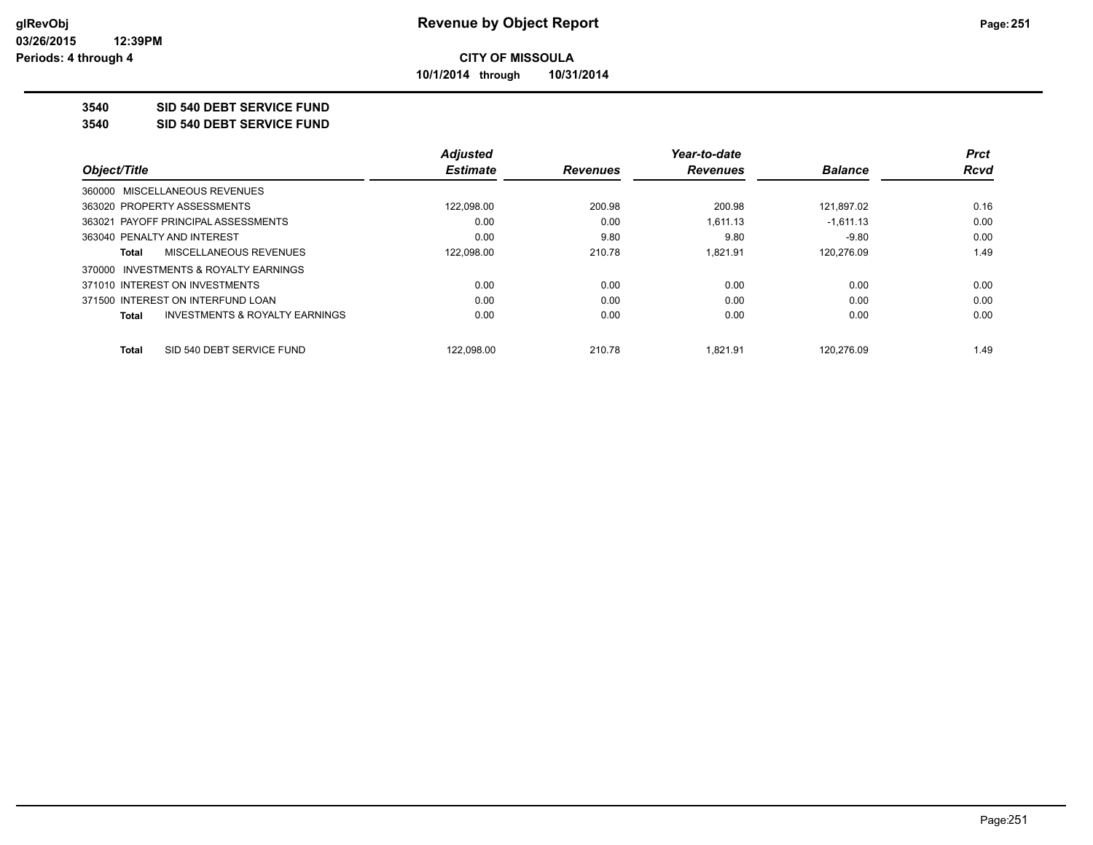**10/1/2014 through 10/31/2014**

## **3540 SID 540 DEBT SERVICE FUND**

**3540 SID 540 DEBT SERVICE FUND**

|                                                    | <b>Adjusted</b> |                 | Year-to-date    |                | <b>Prct</b> |
|----------------------------------------------------|-----------------|-----------------|-----------------|----------------|-------------|
| Object/Title                                       | <b>Estimate</b> | <b>Revenues</b> | <b>Revenues</b> | <b>Balance</b> | <b>Rcvd</b> |
| 360000 MISCELLANEOUS REVENUES                      |                 |                 |                 |                |             |
| 363020 PROPERTY ASSESSMENTS                        | 122.098.00      | 200.98          | 200.98          | 121.897.02     | 0.16        |
| 363021 PAYOFF PRINCIPAL ASSESSMENTS                | 0.00            | 0.00            | 1,611.13        | $-1.611.13$    | 0.00        |
| 363040 PENALTY AND INTEREST                        | 0.00            | 9.80            | 9.80            | $-9.80$        | 0.00        |
| <b>MISCELLANEOUS REVENUES</b><br>Total             | 122,098.00      | 210.78          | 1.821.91        | 120.276.09     | 1.49        |
| 370000 INVESTMENTS & ROYALTY EARNINGS              |                 |                 |                 |                |             |
| 371010 INTEREST ON INVESTMENTS                     | 0.00            | 0.00            | 0.00            | 0.00           | 0.00        |
| 371500 INTEREST ON INTERFUND LOAN                  | 0.00            | 0.00            | 0.00            | 0.00           | 0.00        |
| <b>INVESTMENTS &amp; ROYALTY EARNINGS</b><br>Total | 0.00            | 0.00            | 0.00            | 0.00           | 0.00        |
| SID 540 DEBT SERVICE FUND<br><b>Total</b>          | 122.098.00      | 210.78          | 1.821.91        | 120.276.09     | 1.49        |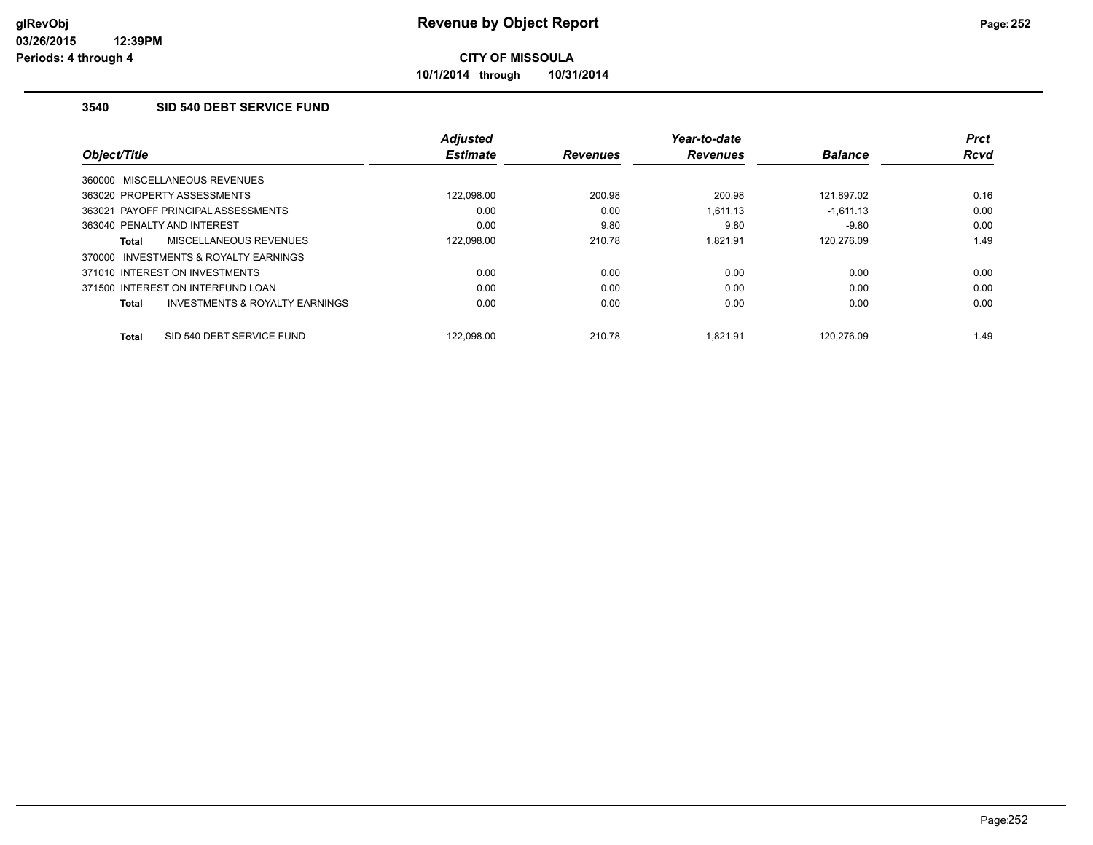**10/1/2014 through 10/31/2014**

## **3540 SID 540 DEBT SERVICE FUND**

|                                           | <b>Adjusted</b><br><b>Estimate</b> |                 | Year-to-date    |                | <b>Prct</b><br><b>Rcvd</b> |
|-------------------------------------------|------------------------------------|-----------------|-----------------|----------------|----------------------------|
| Object/Title                              |                                    | <b>Revenues</b> | <b>Revenues</b> | <b>Balance</b> |                            |
| 360000 MISCELLANEOUS REVENUES             |                                    |                 |                 |                |                            |
| 363020 PROPERTY ASSESSMENTS               | 122.098.00                         | 200.98          | 200.98          | 121.897.02     | 0.16                       |
| 363021 PAYOFF PRINCIPAL ASSESSMENTS       | 0.00                               | 0.00            | 1,611.13        | $-1,611.13$    | 0.00                       |
| 363040 PENALTY AND INTEREST               | 0.00                               | 9.80            | 9.80            | $-9.80$        | 0.00                       |
| MISCELLANEOUS REVENUES<br>Total           | 122,098.00                         | 210.78          | 1.821.91        | 120,276.09     | 1.49                       |
| INVESTMENTS & ROYALTY EARNINGS<br>370000  |                                    |                 |                 |                |                            |
| 371010 INTEREST ON INVESTMENTS            | 0.00                               | 0.00            | 0.00            | 0.00           | 0.00                       |
| 371500 INTEREST ON INTERFUND LOAN         | 0.00                               | 0.00            | 0.00            | 0.00           | 0.00                       |
| INVESTMENTS & ROYALTY EARNINGS<br>Total   | 0.00                               | 0.00            | 0.00            | 0.00           | 0.00                       |
|                                           |                                    |                 |                 |                |                            |
| SID 540 DEBT SERVICE FUND<br><b>Total</b> | 122.098.00                         | 210.78          | 1.821.91        | 120.276.09     | 1.49                       |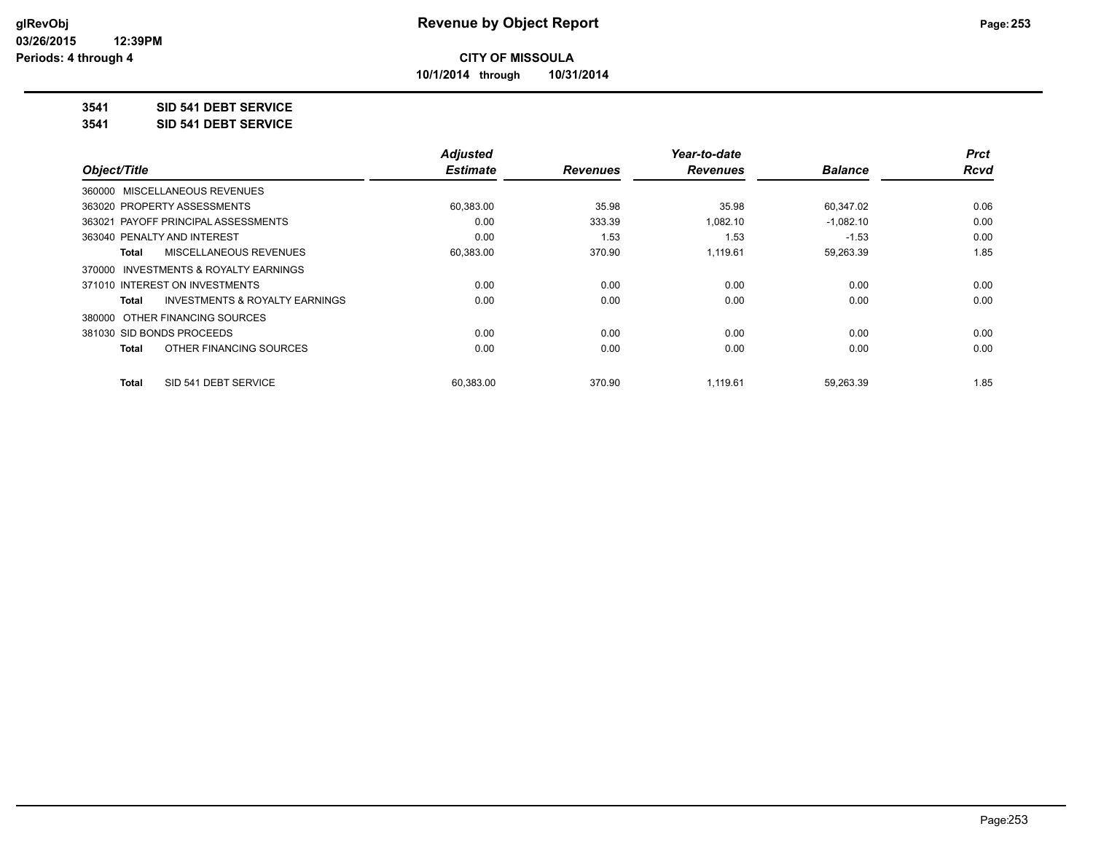**10/1/2014 through 10/31/2014**

## **3541 SID 541 DEBT SERVICE**

**3541 SID 541 DEBT SERVICE**

|                                         | <b>Adjusted</b> |                 | Year-to-date    |                | <b>Prct</b> |
|-----------------------------------------|-----------------|-----------------|-----------------|----------------|-------------|
| Object/Title                            | <b>Estimate</b> | <b>Revenues</b> | <b>Revenues</b> | <b>Balance</b> | <b>Rcvd</b> |
| 360000 MISCELLANEOUS REVENUES           |                 |                 |                 |                |             |
| 363020 PROPERTY ASSESSMENTS             | 60,383.00       | 35.98           | 35.98           | 60,347.02      | 0.06        |
| 363021 PAYOFF PRINCIPAL ASSESSMENTS     | 0.00            | 333.39          | 1.082.10        | $-1,082.10$    | 0.00        |
| 363040 PENALTY AND INTEREST             | 0.00            | 1.53            | 1.53            | $-1.53$        | 0.00        |
| MISCELLANEOUS REVENUES<br>Total         | 60,383.00       | 370.90          | 1.119.61        | 59,263.39      | 1.85        |
| 370000 INVESTMENTS & ROYALTY EARNINGS   |                 |                 |                 |                |             |
| 371010 INTEREST ON INVESTMENTS          | 0.00            | 0.00            | 0.00            | 0.00           | 0.00        |
| INVESTMENTS & ROYALTY EARNINGS<br>Total | 0.00            | 0.00            | 0.00            | 0.00           | 0.00        |
| 380000 OTHER FINANCING SOURCES          |                 |                 |                 |                |             |
| 381030 SID BONDS PROCEEDS               | 0.00            | 0.00            | 0.00            | 0.00           | 0.00        |
| OTHER FINANCING SOURCES<br><b>Total</b> | 0.00            | 0.00            | 0.00            | 0.00           | 0.00        |
| SID 541 DEBT SERVICE<br><b>Total</b>    | 60.383.00       | 370.90          | 1.119.61        | 59.263.39      | 1.85        |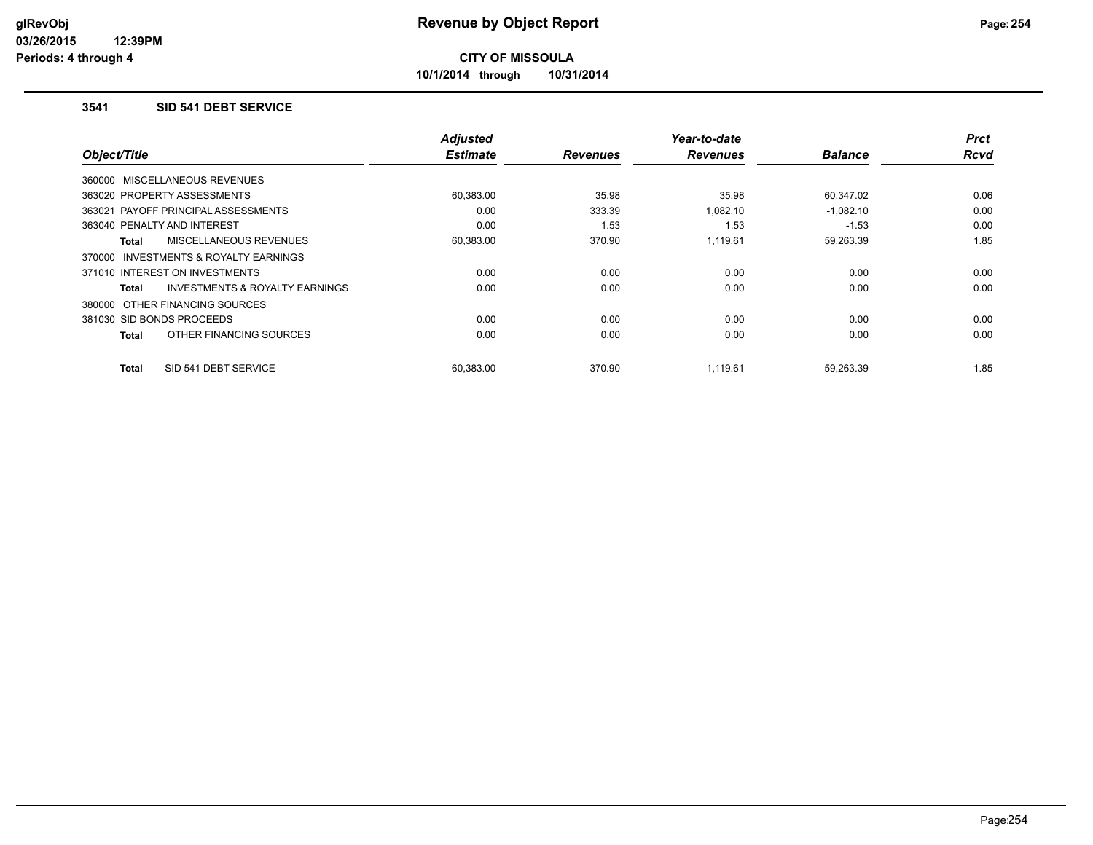**10/1/2014 through 10/31/2014**

#### **3541 SID 541 DEBT SERVICE**

| Object/Title                                       | <b>Adjusted</b><br><b>Estimate</b> | <b>Revenues</b> | Year-to-date<br><b>Revenues</b> | <b>Balance</b> | <b>Prct</b><br><b>Rcvd</b> |
|----------------------------------------------------|------------------------------------|-----------------|---------------------------------|----------------|----------------------------|
| 360000 MISCELLANEOUS REVENUES                      |                                    |                 |                                 |                |                            |
| 363020 PROPERTY ASSESSMENTS                        | 60,383.00                          | 35.98           | 35.98                           | 60,347.02      | 0.06                       |
| 363021 PAYOFF PRINCIPAL ASSESSMENTS                | 0.00                               | 333.39          | 1,082.10                        | $-1,082.10$    | 0.00                       |
| 363040 PENALTY AND INTEREST                        | 0.00                               | 1.53            | 1.53                            | $-1.53$        | 0.00                       |
| <b>MISCELLANEOUS REVENUES</b><br>Total             | 60,383.00                          | 370.90          | 1.119.61                        | 59,263.39      | 1.85                       |
| INVESTMENTS & ROYALTY EARNINGS<br>370000           |                                    |                 |                                 |                |                            |
| 371010 INTEREST ON INVESTMENTS                     | 0.00                               | 0.00            | 0.00                            | 0.00           | 0.00                       |
| <b>INVESTMENTS &amp; ROYALTY EARNINGS</b><br>Total | 0.00                               | 0.00            | 0.00                            | 0.00           | 0.00                       |
| 380000 OTHER FINANCING SOURCES                     |                                    |                 |                                 |                |                            |
| 381030 SID BONDS PROCEEDS                          | 0.00                               | 0.00            | 0.00                            | 0.00           | 0.00                       |
| OTHER FINANCING SOURCES<br>Total                   | 0.00                               | 0.00            | 0.00                            | 0.00           | 0.00                       |
| SID 541 DEBT SERVICE<br>Total                      | 60,383.00                          | 370.90          | 1,119.61                        | 59,263.39      | 1.85                       |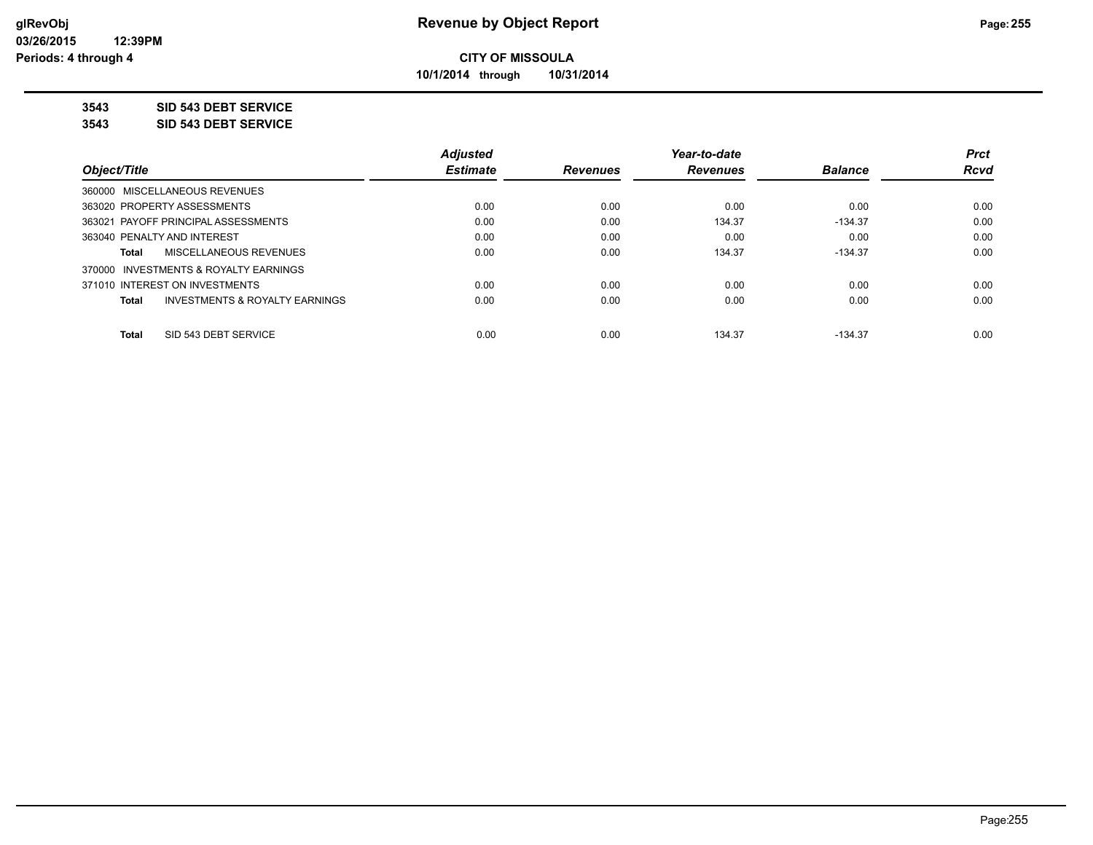**10/1/2014 through 10/31/2014**

### **3543 SID 543 DEBT SERVICE**

**3543 SID 543 DEBT SERVICE**

|                                                    | <b>Adjusted</b> |                 | Year-to-date    |                | <b>Prct</b> |
|----------------------------------------------------|-----------------|-----------------|-----------------|----------------|-------------|
| Object/Title                                       | <b>Estimate</b> | <b>Revenues</b> | <b>Revenues</b> | <b>Balance</b> | <b>Rcvd</b> |
| 360000 MISCELLANEOUS REVENUES                      |                 |                 |                 |                |             |
| 363020 PROPERTY ASSESSMENTS                        | 0.00            | 0.00            | 0.00            | 0.00           | 0.00        |
| 363021 PAYOFF PRINCIPAL ASSESSMENTS                | 0.00            | 0.00            | 134.37          | $-134.37$      | 0.00        |
| 363040 PENALTY AND INTEREST                        | 0.00            | 0.00            | 0.00            | 0.00           | 0.00        |
| MISCELLANEOUS REVENUES<br>Total                    | 0.00            | 0.00            | 134.37          | $-134.37$      | 0.00        |
| 370000 INVESTMENTS & ROYALTY EARNINGS              |                 |                 |                 |                |             |
| 371010 INTEREST ON INVESTMENTS                     | 0.00            | 0.00            | 0.00            | 0.00           | 0.00        |
| <b>INVESTMENTS &amp; ROYALTY EARNINGS</b><br>Total | 0.00            | 0.00            | 0.00            | 0.00           | 0.00        |
|                                                    |                 |                 |                 |                |             |
| SID 543 DEBT SERVICE<br><b>Total</b>               | 0.00            | 0.00            | 134.37          | $-134.37$      | 0.00        |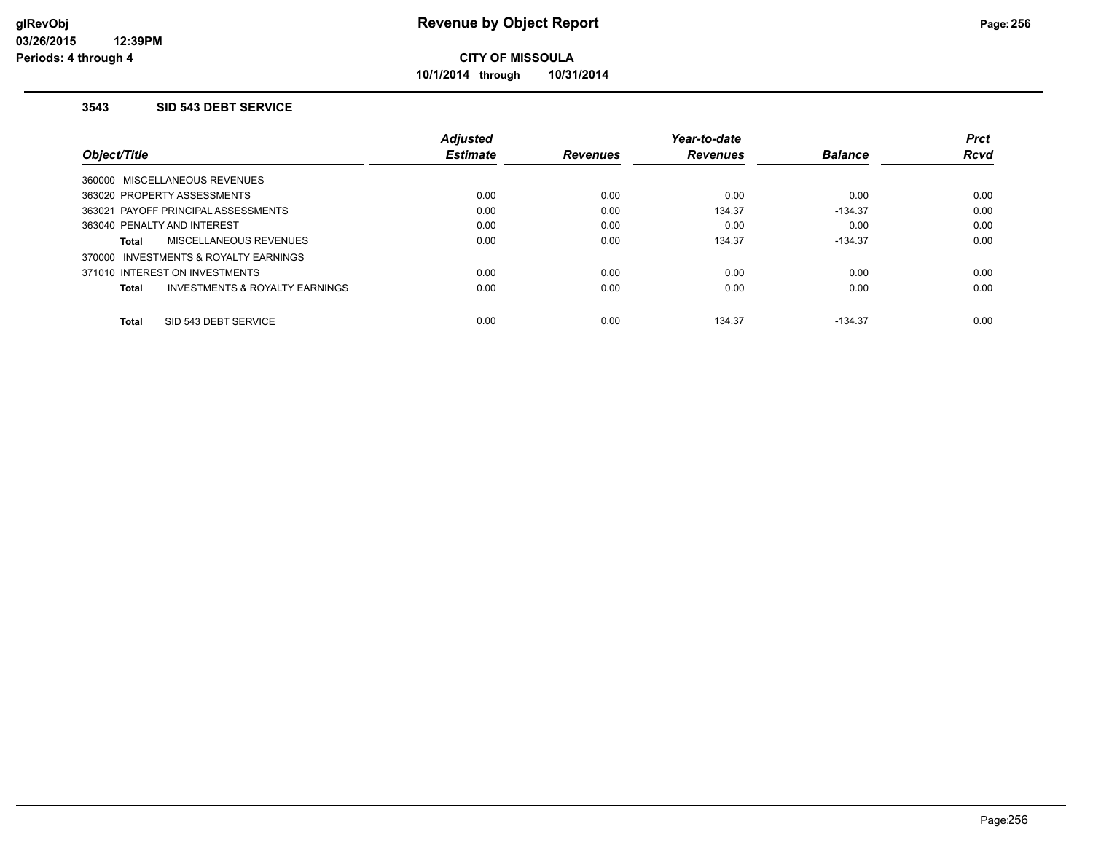**10/1/2014 through 10/31/2014**

### **3543 SID 543 DEBT SERVICE**

|                                         | <b>Adjusted</b> |                 | Year-to-date    |                | <b>Prct</b> |
|-----------------------------------------|-----------------|-----------------|-----------------|----------------|-------------|
| Object/Title                            | <b>Estimate</b> | <b>Revenues</b> | <b>Revenues</b> | <b>Balance</b> | <b>Rcvd</b> |
| 360000 MISCELLANEOUS REVENUES           |                 |                 |                 |                |             |
| 363020 PROPERTY ASSESSMENTS             | 0.00            | 0.00            | 0.00            | 0.00           | 0.00        |
| 363021 PAYOFF PRINCIPAL ASSESSMENTS     | 0.00            | 0.00            | 134.37          | $-134.37$      | 0.00        |
| 363040 PENALTY AND INTEREST             | 0.00            | 0.00            | 0.00            | 0.00           | 0.00        |
| MISCELLANEOUS REVENUES<br>Total         | 0.00            | 0.00            | 134.37          | $-134.37$      | 0.00        |
| 370000 INVESTMENTS & ROYALTY EARNINGS   |                 |                 |                 |                |             |
| 371010 INTEREST ON INVESTMENTS          | 0.00            | 0.00            | 0.00            | 0.00           | 0.00        |
| INVESTMENTS & ROYALTY EARNINGS<br>Total | 0.00            | 0.00            | 0.00            | 0.00           | 0.00        |
| SID 543 DEBT SERVICE<br><b>Total</b>    | 0.00            | 0.00            | 134.37          | $-134.37$      | 0.00        |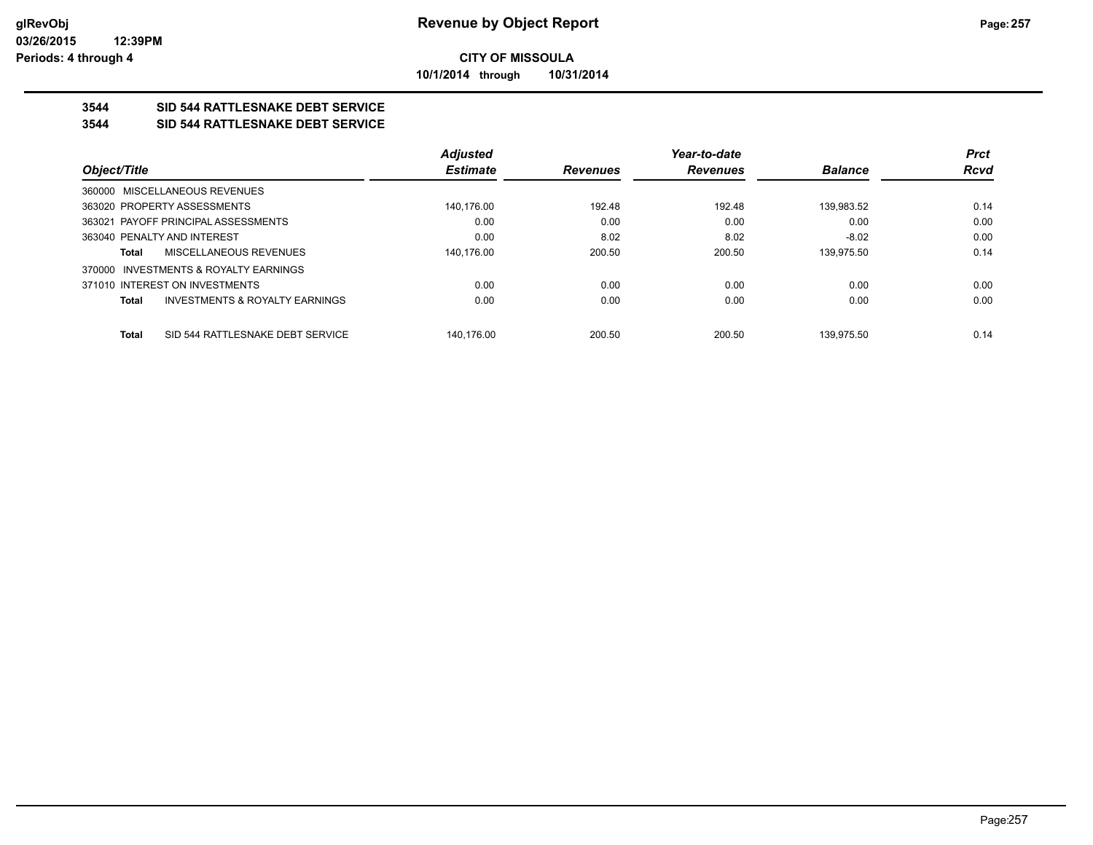**10/1/2014 through 10/31/2014**

## **3544 SID 544 RATTLESNAKE DEBT SERVICE**

## **3544 SID 544 RATTLESNAKE DEBT SERVICE**

|                                                           | <b>Adjusted</b> |                 | Year-to-date    |                | <b>Prct</b> |
|-----------------------------------------------------------|-----------------|-----------------|-----------------|----------------|-------------|
| Object/Title                                              | <b>Estimate</b> | <b>Revenues</b> | <b>Revenues</b> | <b>Balance</b> | Rcvd        |
| 360000 MISCELLANEOUS REVENUES                             |                 |                 |                 |                |             |
| 363020 PROPERTY ASSESSMENTS                               | 140.176.00      | 192.48          | 192.48          | 139.983.52     | 0.14        |
| 363021 PAYOFF PRINCIPAL ASSESSMENTS                       | 0.00            | 0.00            | 0.00            | 0.00           | 0.00        |
| 363040 PENALTY AND INTEREST                               | 0.00            | 8.02            | 8.02            | $-8.02$        | 0.00        |
| <b>MISCELLANEOUS REVENUES</b><br>Total                    | 140.176.00      | 200.50          | 200.50          | 139.975.50     | 0.14        |
| 370000 INVESTMENTS & ROYALTY EARNINGS                     |                 |                 |                 |                |             |
| 371010 INTEREST ON INVESTMENTS                            | 0.00            | 0.00            | 0.00            | 0.00           | 0.00        |
| <b>INVESTMENTS &amp; ROYALTY EARNINGS</b><br><b>Total</b> | 0.00            | 0.00            | 0.00            | 0.00           | 0.00        |
| SID 544 RATTLESNAKE DEBT SERVICE<br><b>Total</b>          | 140.176.00      | 200.50          | 200.50          | 139.975.50     | 0.14        |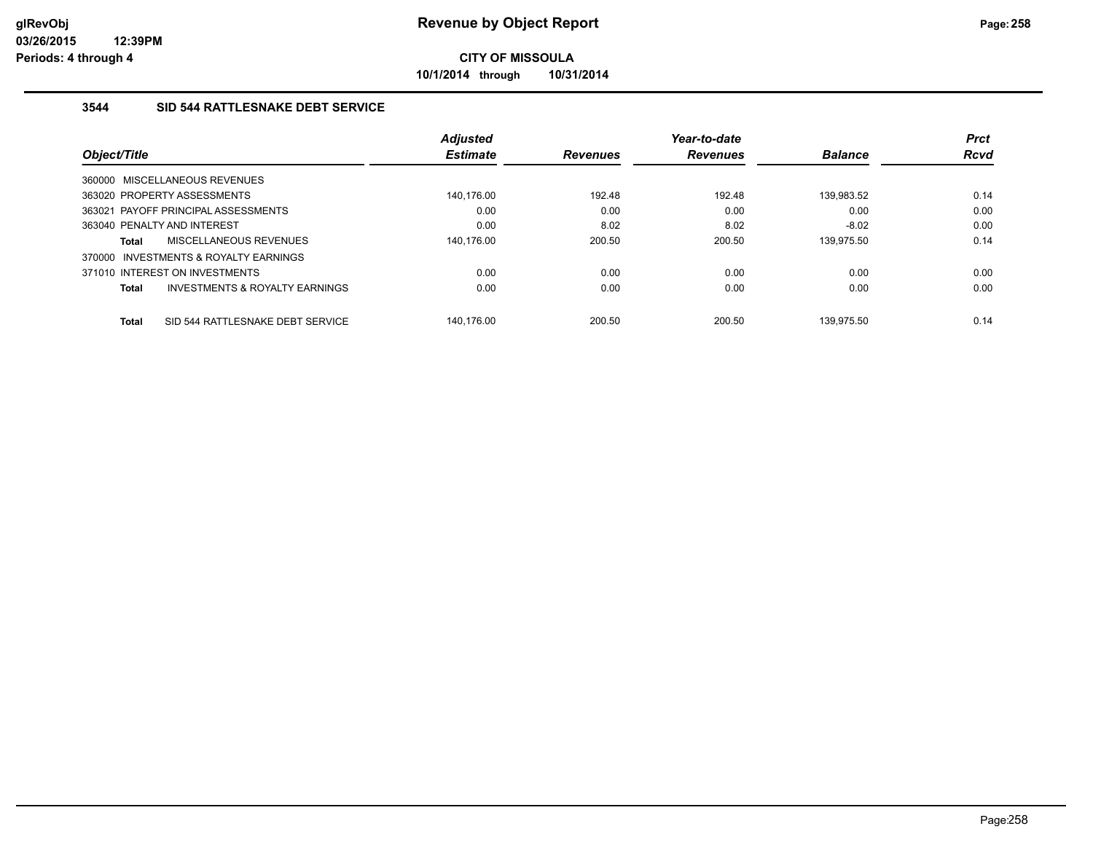**10/1/2014 through 10/31/2014**

## **3544 SID 544 RATTLESNAKE DEBT SERVICE**

|              |                                           | <b>Adjusted</b> |                 | Year-to-date    |                | <b>Prct</b> |
|--------------|-------------------------------------------|-----------------|-----------------|-----------------|----------------|-------------|
| Object/Title |                                           | <b>Estimate</b> | <b>Revenues</b> | <b>Revenues</b> | <b>Balance</b> | <b>Rcvd</b> |
|              | 360000 MISCELLANEOUS REVENUES             |                 |                 |                 |                |             |
|              | 363020 PROPERTY ASSESSMENTS               | 140.176.00      | 192.48          | 192.48          | 139.983.52     | 0.14        |
|              | 363021 PAYOFF PRINCIPAL ASSESSMENTS       | 0.00            | 0.00            | 0.00            | 0.00           | 0.00        |
|              | 363040 PENALTY AND INTEREST               | 0.00            | 8.02            | 8.02            | $-8.02$        | 0.00        |
| Total        | <b>MISCELLANEOUS REVENUES</b>             | 140.176.00      | 200.50          | 200.50          | 139,975.50     | 0.14        |
| 370000       | INVESTMENTS & ROYALTY EARNINGS            |                 |                 |                 |                |             |
|              | 371010 INTEREST ON INVESTMENTS            | 0.00            | 0.00            | 0.00            | 0.00           | 0.00        |
| Total        | <b>INVESTMENTS &amp; ROYALTY EARNINGS</b> | 0.00            | 0.00            | 0.00            | 0.00           | 0.00        |
| <b>Total</b> | SID 544 RATTLESNAKE DEBT SERVICE          | 140.176.00      | 200.50          | 200.50          | 139.975.50     | 0.14        |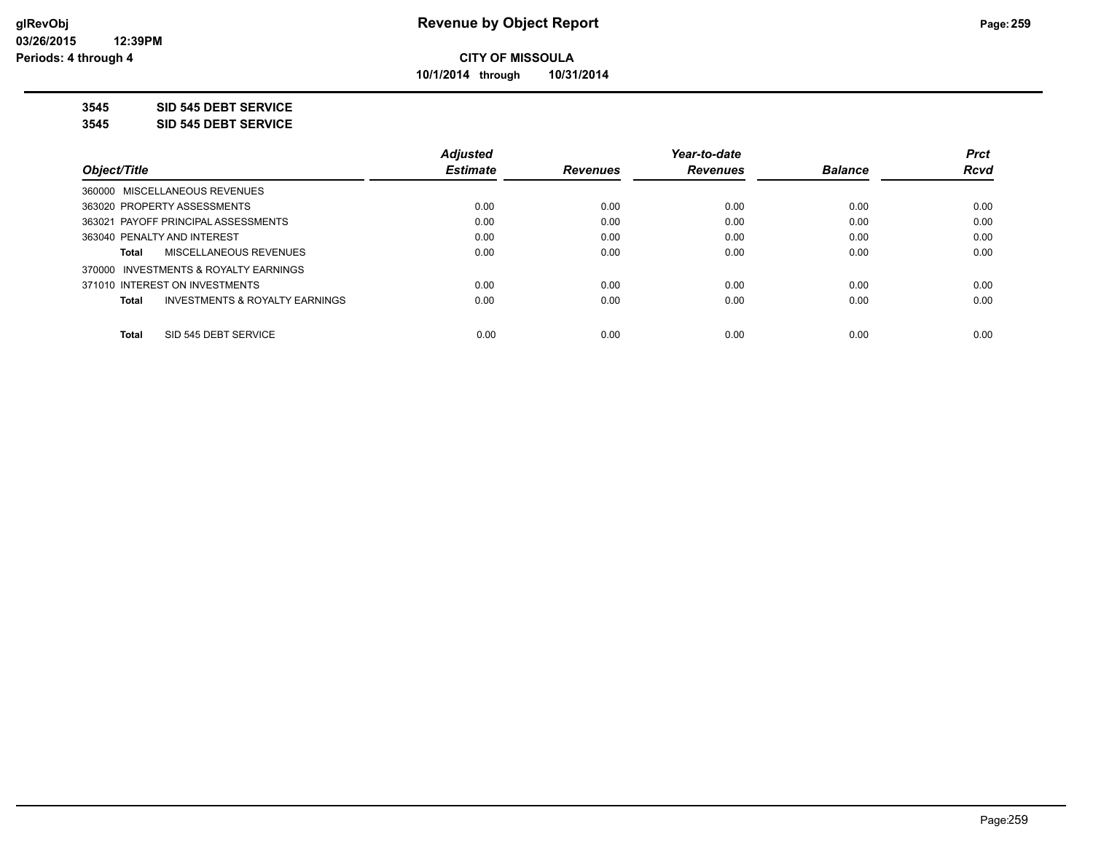**10/1/2014 through 10/31/2014**

#### **3545 SID 545 DEBT SERVICE**

**3545 SID 545 DEBT SERVICE**

|                                                    | <b>Adjusted</b> |                 | Year-to-date    |                | <b>Prct</b> |
|----------------------------------------------------|-----------------|-----------------|-----------------|----------------|-------------|
| Object/Title                                       | <b>Estimate</b> | <b>Revenues</b> | <b>Revenues</b> | <b>Balance</b> | <b>Rcvd</b> |
| 360000 MISCELLANEOUS REVENUES                      |                 |                 |                 |                |             |
| 363020 PROPERTY ASSESSMENTS                        | 0.00            | 0.00            | 0.00            | 0.00           | 0.00        |
| 363021 PAYOFF PRINCIPAL ASSESSMENTS                | 0.00            | 0.00            | 0.00            | 0.00           | 0.00        |
| 363040 PENALTY AND INTEREST                        | 0.00            | 0.00            | 0.00            | 0.00           | 0.00        |
| MISCELLANEOUS REVENUES<br>Total                    | 0.00            | 0.00            | 0.00            | 0.00           | 0.00        |
| 370000 INVESTMENTS & ROYALTY EARNINGS              |                 |                 |                 |                |             |
| 371010 INTEREST ON INVESTMENTS                     | 0.00            | 0.00            | 0.00            | 0.00           | 0.00        |
| <b>INVESTMENTS &amp; ROYALTY EARNINGS</b><br>Total | 0.00            | 0.00            | 0.00            | 0.00           | 0.00        |
|                                                    |                 |                 |                 |                |             |
| SID 545 DEBT SERVICE<br><b>Total</b>               | 0.00            | 0.00            | 0.00            | 0.00           | 0.00        |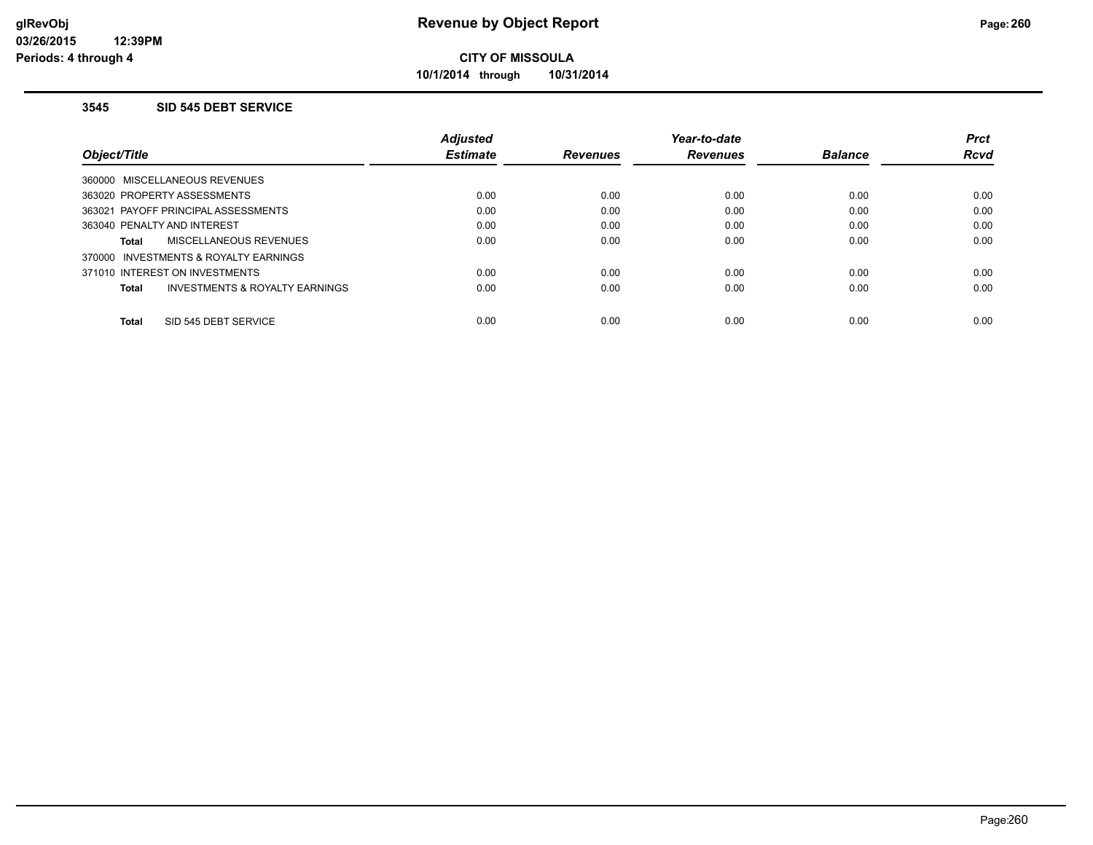**10/1/2014 through 10/31/2014**

#### **3545 SID 545 DEBT SERVICE**

|                                                     | <b>Adjusted</b> |                 | Year-to-date    |                | <b>Prct</b> |
|-----------------------------------------------------|-----------------|-----------------|-----------------|----------------|-------------|
| Object/Title                                        | <b>Estimate</b> | <b>Revenues</b> | <b>Revenues</b> | <b>Balance</b> | <b>Rcvd</b> |
| 360000 MISCELLANEOUS REVENUES                       |                 |                 |                 |                |             |
| 363020 PROPERTY ASSESSMENTS                         | 0.00            | 0.00            | 0.00            | 0.00           | 0.00        |
| 363021 PAYOFF PRINCIPAL ASSESSMENTS                 | 0.00            | 0.00            | 0.00            | 0.00           | 0.00        |
| 363040 PENALTY AND INTEREST                         | 0.00            | 0.00            | 0.00            | 0.00           | 0.00        |
| MISCELLANEOUS REVENUES<br>Total                     | 0.00            | 0.00            | 0.00            | 0.00           | 0.00        |
| <b>INVESTMENTS &amp; ROYALTY EARNINGS</b><br>370000 |                 |                 |                 |                |             |
| 371010 INTEREST ON INVESTMENTS                      | 0.00            | 0.00            | 0.00            | 0.00           | 0.00        |
| INVESTMENTS & ROYALTY EARNINGS<br>Total             | 0.00            | 0.00            | 0.00            | 0.00           | 0.00        |
| SID 545 DEBT SERVICE<br><b>Total</b>                | 0.00            | 0.00            | 0.00            | 0.00           | 0.00        |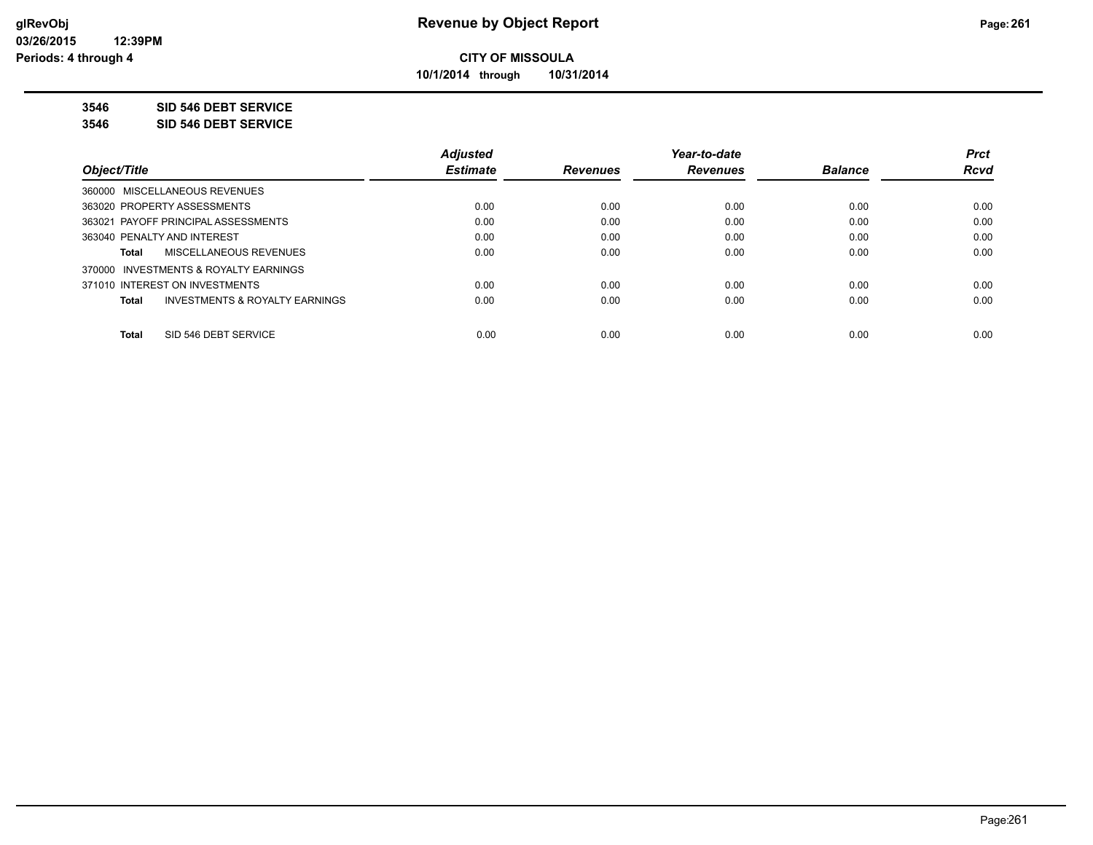**10/1/2014 through 10/31/2014**

**3546 SID 546 DEBT SERVICE**

**3546 SID 546 DEBT SERVICE**

|                                                    | <b>Adjusted</b> |                 | Year-to-date    |                | <b>Prct</b> |
|----------------------------------------------------|-----------------|-----------------|-----------------|----------------|-------------|
| Obiect/Title                                       | <b>Estimate</b> | <b>Revenues</b> | <b>Revenues</b> | <b>Balance</b> | <b>Rcvd</b> |
| 360000 MISCELLANEOUS REVENUES                      |                 |                 |                 |                |             |
| 363020 PROPERTY ASSESSMENTS                        | 0.00            | 0.00            | 0.00            | 0.00           | 0.00        |
| 363021 PAYOFF PRINCIPAL ASSESSMENTS                | 0.00            | 0.00            | 0.00            | 0.00           | 0.00        |
| 363040 PENALTY AND INTEREST                        | 0.00            | 0.00            | 0.00            | 0.00           | 0.00        |
| MISCELLANEOUS REVENUES<br>Total                    | 0.00            | 0.00            | 0.00            | 0.00           | 0.00        |
| 370000 INVESTMENTS & ROYALTY EARNINGS              |                 |                 |                 |                |             |
| 371010 INTEREST ON INVESTMENTS                     | 0.00            | 0.00            | 0.00            | 0.00           | 0.00        |
| <b>INVESTMENTS &amp; ROYALTY EARNINGS</b><br>Total | 0.00            | 0.00            | 0.00            | 0.00           | 0.00        |
| SID 546 DEBT SERVICE<br><b>Total</b>               | 0.00            | 0.00            | 0.00            | 0.00           | 0.00        |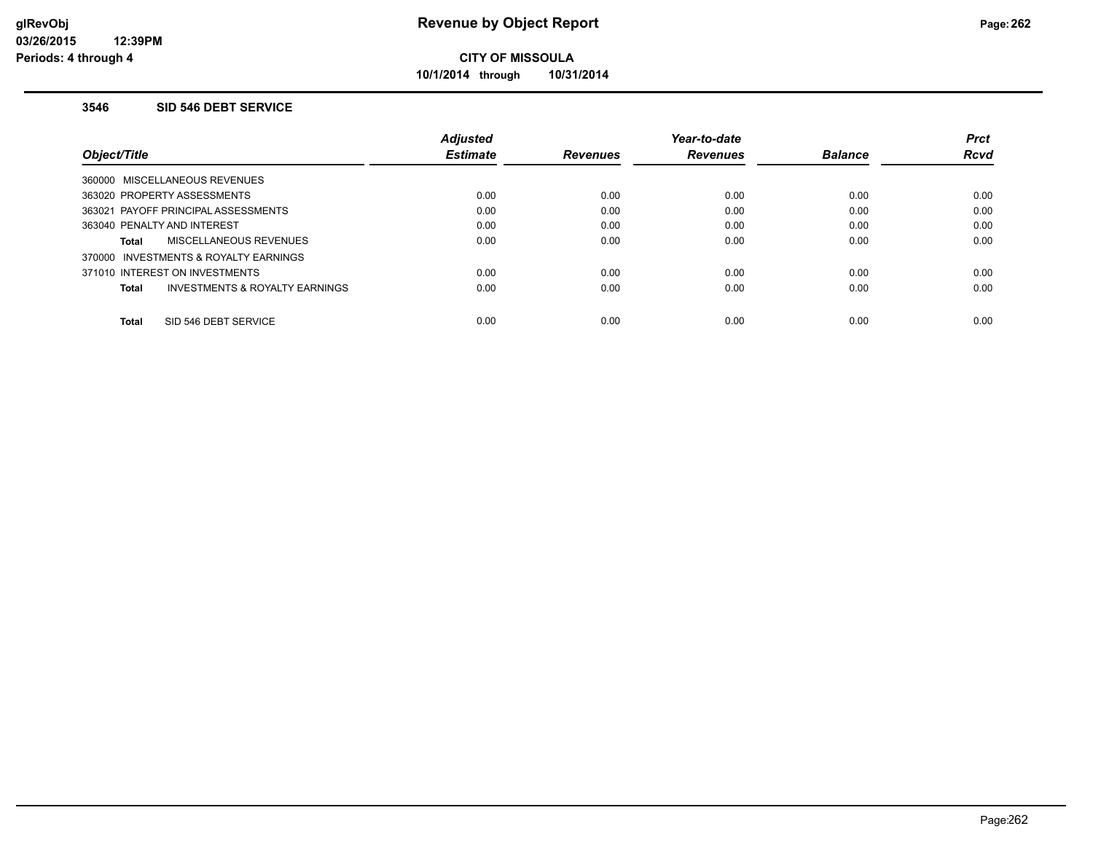**10/1/2014 through 10/31/2014**

#### **3546 SID 546 DEBT SERVICE**

|                                          | Adjusted        |                 | Year-to-date    |                | <b>Prct</b> |
|------------------------------------------|-----------------|-----------------|-----------------|----------------|-------------|
| Object/Title                             | <b>Estimate</b> | <b>Revenues</b> | <b>Revenues</b> | <b>Balance</b> | <b>Rcvd</b> |
| 360000 MISCELLANEOUS REVENUES            |                 |                 |                 |                |             |
| 363020 PROPERTY ASSESSMENTS              | 0.00            | 0.00            | 0.00            | 0.00           | 0.00        |
| 363021 PAYOFF PRINCIPAL ASSESSMENTS      | 0.00            | 0.00            | 0.00            | 0.00           | 0.00        |
| 363040 PENALTY AND INTEREST              | 0.00            | 0.00            | 0.00            | 0.00           | 0.00        |
| MISCELLANEOUS REVENUES<br>Total          | 0.00            | 0.00            | 0.00            | 0.00           | 0.00        |
| INVESTMENTS & ROYALTY EARNINGS<br>370000 |                 |                 |                 |                |             |
| 371010 INTEREST ON INVESTMENTS           | 0.00            | 0.00            | 0.00            | 0.00           | 0.00        |
| INVESTMENTS & ROYALTY EARNINGS<br>Total  | 0.00            | 0.00            | 0.00            | 0.00           | 0.00        |
| SID 546 DEBT SERVICE<br><b>Total</b>     | 0.00            | 0.00            | 0.00            | 0.00           | 0.00        |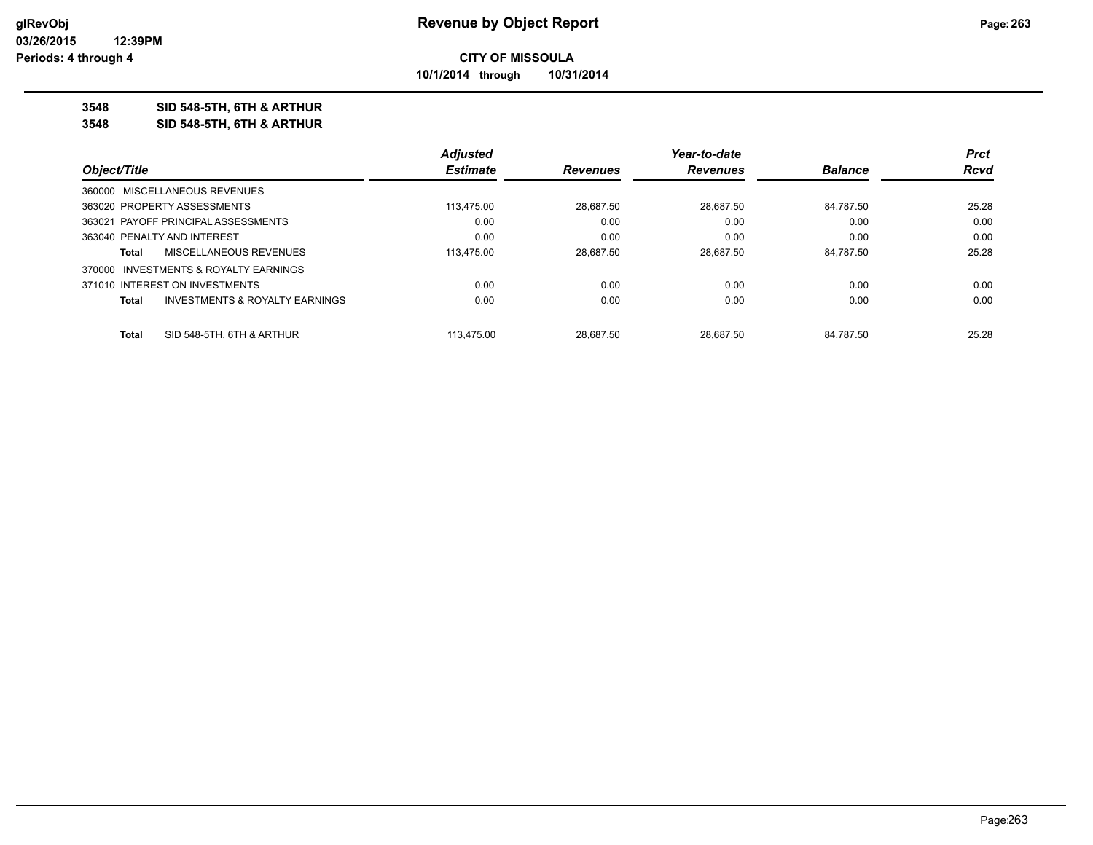**10/1/2014 through 10/31/2014**

#### **3548 SID 548-5TH, 6TH & ARTHUR**

**3548 SID 548-5TH, 6TH & ARTHUR**

|                                                    | <b>Adjusted</b> |                 | Year-to-date    |                | <b>Prct</b> |
|----------------------------------------------------|-----------------|-----------------|-----------------|----------------|-------------|
| Object/Title                                       | <b>Estimate</b> | <b>Revenues</b> | <b>Revenues</b> | <b>Balance</b> | <b>Rcvd</b> |
| 360000 MISCELLANEOUS REVENUES                      |                 |                 |                 |                |             |
| 363020 PROPERTY ASSESSMENTS                        | 113.475.00      | 28.687.50       | 28.687.50       | 84.787.50      | 25.28       |
| 363021 PAYOFF PRINCIPAL ASSESSMENTS                | 0.00            | 0.00            | 0.00            | 0.00           | 0.00        |
| 363040 PENALTY AND INTEREST                        | 0.00            | 0.00            | 0.00            | 0.00           | 0.00        |
| MISCELLANEOUS REVENUES<br>Total                    | 113.475.00      | 28.687.50       | 28.687.50       | 84.787.50      | 25.28       |
| 370000 INVESTMENTS & ROYALTY EARNINGS              |                 |                 |                 |                |             |
| 371010 INTEREST ON INVESTMENTS                     | 0.00            | 0.00            | 0.00            | 0.00           | 0.00        |
| <b>INVESTMENTS &amp; ROYALTY EARNINGS</b><br>Total | 0.00            | 0.00            | 0.00            | 0.00           | 0.00        |
|                                                    |                 |                 |                 |                |             |
| SID 548-5TH, 6TH & ARTHUR<br><b>Total</b>          | 113.475.00      | 28.687.50       | 28.687.50       | 84.787.50      | 25.28       |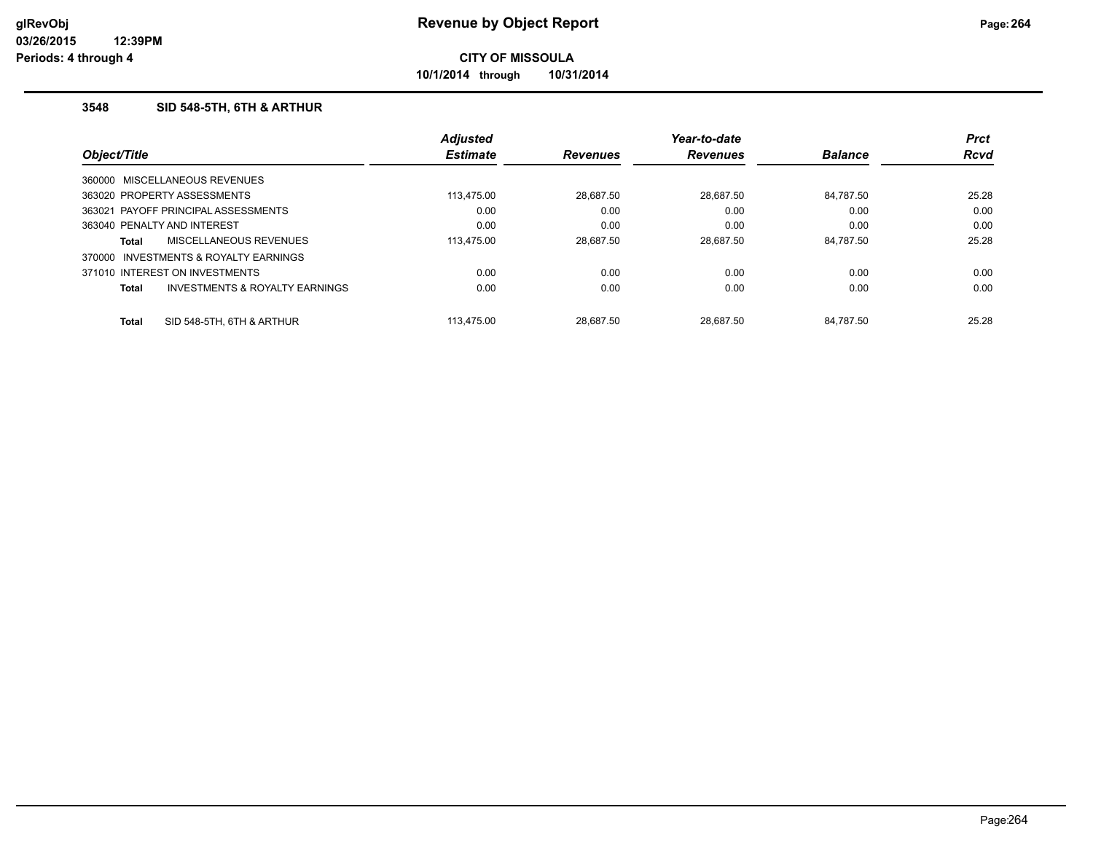**10/1/2014 through 10/31/2014**

## **3548 SID 548-5TH, 6TH & ARTHUR**

|              |                                     | <b>Adjusted</b> |                 | Year-to-date    |                | <b>Prct</b> |
|--------------|-------------------------------------|-----------------|-----------------|-----------------|----------------|-------------|
| Object/Title |                                     | <b>Estimate</b> | <b>Revenues</b> | <b>Revenues</b> | <b>Balance</b> | <b>Rcvd</b> |
|              | 360000 MISCELLANEOUS REVENUES       |                 |                 |                 |                |             |
|              | 363020 PROPERTY ASSESSMENTS         | 113.475.00      | 28.687.50       | 28.687.50       | 84.787.50      | 25.28       |
|              | 363021 PAYOFF PRINCIPAL ASSESSMENTS | 0.00            | 0.00            | 0.00            | 0.00           | 0.00        |
|              | 363040 PENALTY AND INTEREST         | 0.00            | 0.00            | 0.00            | 0.00           | 0.00        |
| Total        | MISCELLANEOUS REVENUES              | 113.475.00      | 28.687.50       | 28.687.50       | 84.787.50      | 25.28       |
| 370000       | INVESTMENTS & ROYALTY EARNINGS      |                 |                 |                 |                |             |
|              | 371010 INTEREST ON INVESTMENTS      | 0.00            | 0.00            | 0.00            | 0.00           | 0.00        |
| Total        | INVESTMENTS & ROYALTY EARNINGS      | 0.00            | 0.00            | 0.00            | 0.00           | 0.00        |
| <b>Total</b> | SID 548-5TH, 6TH & ARTHUR           | 113.475.00      | 28.687.50       | 28.687.50       | 84.787.50      | 25.28       |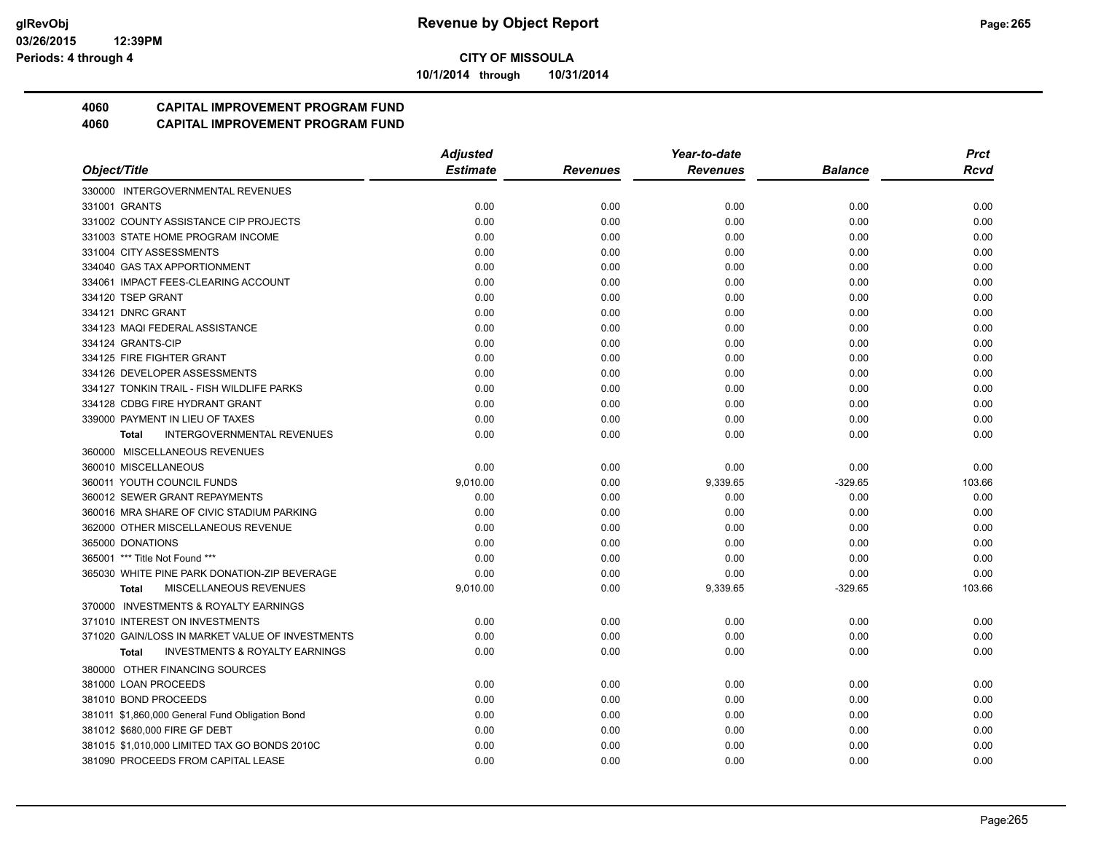**10/1/2014 through 10/31/2014**

## **4060 CAPITAL IMPROVEMENT PROGRAM FUND**

|                                                           | <b>Adjusted</b> |                 | Year-to-date    |           | <b>Prct</b> |
|-----------------------------------------------------------|-----------------|-----------------|-----------------|-----------|-------------|
| Object/Title                                              | <b>Estimate</b> | <b>Revenues</b> | <b>Revenues</b> | Balance   | Rcvd        |
| 330000 INTERGOVERNMENTAL REVENUES                         |                 |                 |                 |           |             |
| 331001 GRANTS                                             | 0.00            | 0.00            | 0.00            | 0.00      | 0.00        |
| 331002 COUNTY ASSISTANCE CIP PROJECTS                     | 0.00            | 0.00            | 0.00            | 0.00      | 0.00        |
| 331003 STATE HOME PROGRAM INCOME                          | 0.00            | 0.00            | 0.00            | 0.00      | 0.00        |
| 331004 CITY ASSESSMENTS                                   | 0.00            | 0.00            | 0.00            | 0.00      | 0.00        |
| 334040 GAS TAX APPORTIONMENT                              | 0.00            | 0.00            | 0.00            | 0.00      | 0.00        |
| 334061 IMPACT FEES-CLEARING ACCOUNT                       | 0.00            | 0.00            | 0.00            | 0.00      | 0.00        |
| 334120 TSEP GRANT                                         | 0.00            | 0.00            | 0.00            | 0.00      | 0.00        |
| 334121 DNRC GRANT                                         | 0.00            | 0.00            | 0.00            | 0.00      | 0.00        |
| 334123 MAQI FEDERAL ASSISTANCE                            | 0.00            | 0.00            | 0.00            | 0.00      | 0.00        |
| 334124 GRANTS-CIP                                         | 0.00            | 0.00            | 0.00            | 0.00      | 0.00        |
| 334125 FIRE FIGHTER GRANT                                 | 0.00            | 0.00            | 0.00            | 0.00      | 0.00        |
| 334126 DEVELOPER ASSESSMENTS                              | 0.00            | 0.00            | 0.00            | 0.00      | 0.00        |
| 334127 TONKIN TRAIL - FISH WILDLIFE PARKS                 | 0.00            | 0.00            | 0.00            | 0.00      | 0.00        |
| 334128 CDBG FIRE HYDRANT GRANT                            | 0.00            | 0.00            | 0.00            | 0.00      | 0.00        |
| 339000 PAYMENT IN LIEU OF TAXES                           | 0.00            | 0.00            | 0.00            | 0.00      | 0.00        |
| <b>INTERGOVERNMENTAL REVENUES</b><br><b>Total</b>         | 0.00            | 0.00            | 0.00            | 0.00      | 0.00        |
| 360000 MISCELLANEOUS REVENUES                             |                 |                 |                 |           |             |
| 360010 MISCELLANEOUS                                      | 0.00            | 0.00            | 0.00            | 0.00      | 0.00        |
| 360011 YOUTH COUNCIL FUNDS                                | 9,010.00        | 0.00            | 9,339.65        | $-329.65$ | 103.66      |
| 360012 SEWER GRANT REPAYMENTS                             | 0.00            | 0.00            | 0.00            | 0.00      | 0.00        |
| 360016 MRA SHARE OF CIVIC STADIUM PARKING                 | 0.00            | 0.00            | 0.00            | 0.00      | 0.00        |
| 362000 OTHER MISCELLANEOUS REVENUE                        | 0.00            | 0.00            | 0.00            | 0.00      | 0.00        |
| 365000 DONATIONS                                          | 0.00            | 0.00            | 0.00            | 0.00      | 0.00        |
| 365001 *** Title Not Found ***                            | 0.00            | 0.00            | 0.00            | 0.00      | 0.00        |
| 365030 WHITE PINE PARK DONATION-ZIP BEVERAGE              | 0.00            | 0.00            | 0.00            | 0.00      | 0.00        |
| MISCELLANEOUS REVENUES<br><b>Total</b>                    | 9,010.00        | 0.00            | 9,339.65        | $-329.65$ | 103.66      |
| 370000 INVESTMENTS & ROYALTY EARNINGS                     |                 |                 |                 |           |             |
| 371010 INTEREST ON INVESTMENTS                            | 0.00            | 0.00            | 0.00            | 0.00      | 0.00        |
| 371020 GAIN/LOSS IN MARKET VALUE OF INVESTMENTS           | 0.00            | 0.00            | 0.00            | 0.00      | 0.00        |
| <b>INVESTMENTS &amp; ROYALTY EARNINGS</b><br><b>Total</b> | 0.00            | 0.00            | 0.00            | 0.00      | 0.00        |
| 380000 OTHER FINANCING SOURCES                            |                 |                 |                 |           |             |
| 381000 LOAN PROCEEDS                                      | 0.00            | 0.00            | 0.00            | 0.00      | 0.00        |
| 381010 BOND PROCEEDS                                      | 0.00            | 0.00            | 0.00            | 0.00      | 0.00        |
| 381011 \$1,860,000 General Fund Obligation Bond           | 0.00            | 0.00            | 0.00            | 0.00      | 0.00        |
| 381012 \$680,000 FIRE GF DEBT                             | 0.00            | 0.00            | 0.00            | 0.00      | 0.00        |
| 381015 \$1,010,000 LIMITED TAX GO BONDS 2010C             | 0.00            | 0.00            | 0.00            | 0.00      | 0.00        |
| 381090 PROCEEDS FROM CAPITAL LEASE                        | 0.00            | 0.00            | 0.00            | 0.00      | 0.00        |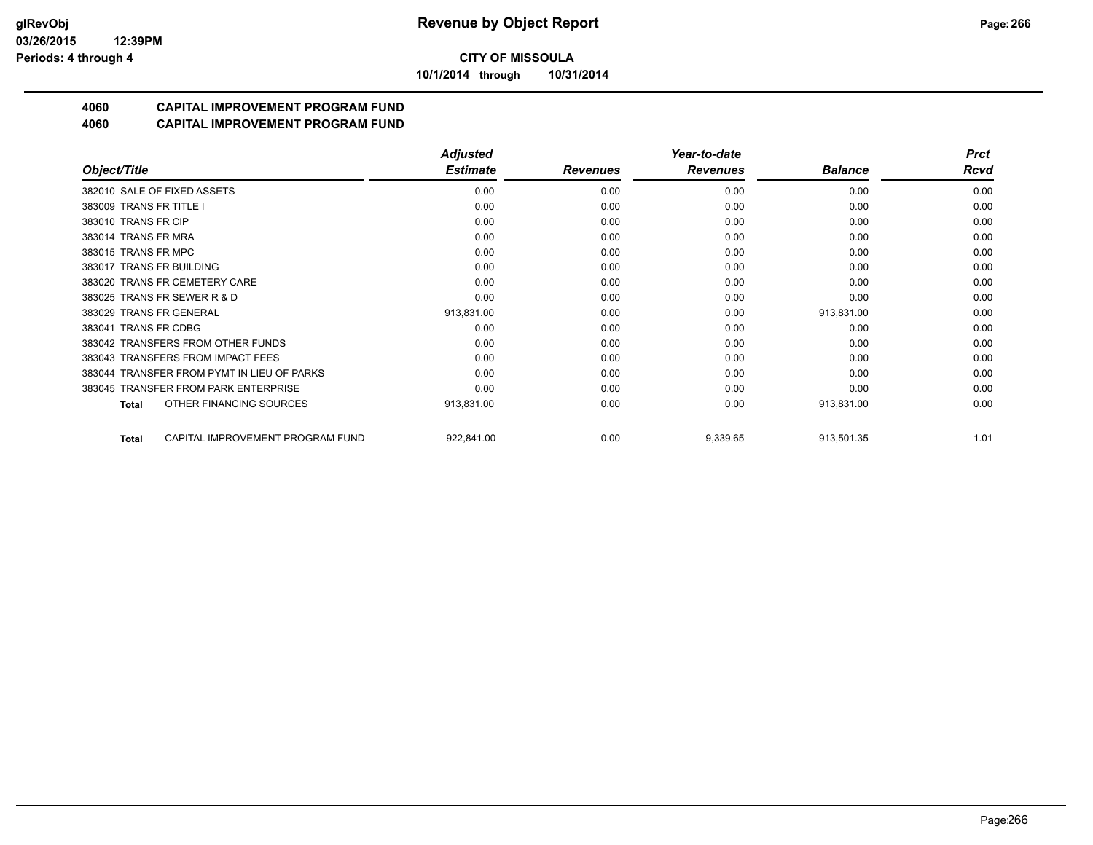**10/1/2014 through 10/31/2014**

## **4060 CAPITAL IMPROVEMENT PROGRAM FUND**

|                                            | <b>Adjusted</b> |                 | Year-to-date    |                | <b>Prct</b> |
|--------------------------------------------|-----------------|-----------------|-----------------|----------------|-------------|
| Object/Title                               | <b>Estimate</b> | <b>Revenues</b> | <b>Revenues</b> | <b>Balance</b> | <b>Rcvd</b> |
| 382010 SALE OF FIXED ASSETS                | 0.00            | 0.00            | 0.00            | 0.00           | 0.00        |
| 383009 TRANS FR TITLE I                    | 0.00            | 0.00            | 0.00            | 0.00           | 0.00        |
| 383010 TRANS FR CIP                        | 0.00            | 0.00            | 0.00            | 0.00           | 0.00        |
| 383014 TRANS FR MRA                        | 0.00            | 0.00            | 0.00            | 0.00           | 0.00        |
| 383015 TRANS FR MPC                        | 0.00            | 0.00            | 0.00            | 0.00           | 0.00        |
| 383017 TRANS FR BUILDING                   | 0.00            | 0.00            | 0.00            | 0.00           | 0.00        |
| 383020 TRANS FR CEMETERY CARE              | 0.00            | 0.00            | 0.00            | 0.00           | 0.00        |
| 383025 TRANS FR SEWER R & D                | 0.00            | 0.00            | 0.00            | 0.00           | 0.00        |
| 383029 TRANS FR GENERAL                    | 913,831.00      | 0.00            | 0.00            | 913,831.00     | 0.00        |
| 383041 TRANS FR CDBG                       | 0.00            | 0.00            | 0.00            | 0.00           | 0.00        |
| 383042 TRANSFERS FROM OTHER FUNDS          | 0.00            | 0.00            | 0.00            | 0.00           | 0.00        |
| 383043 TRANSFERS FROM IMPACT FEES          | 0.00            | 0.00            | 0.00            | 0.00           | 0.00        |
| 383044 TRANSFER FROM PYMT IN LIEU OF PARKS | 0.00            | 0.00            | 0.00            | 0.00           | 0.00        |
| 383045 TRANSFER FROM PARK ENTERPRISE       | 0.00            | 0.00            | 0.00            | 0.00           | 0.00        |
| OTHER FINANCING SOURCES<br>Total           | 913,831.00      | 0.00            | 0.00            | 913,831.00     | 0.00        |
| CAPITAL IMPROVEMENT PROGRAM FUND<br>Total  | 922,841.00      | 0.00            | 9,339.65        | 913,501.35     | 1.01        |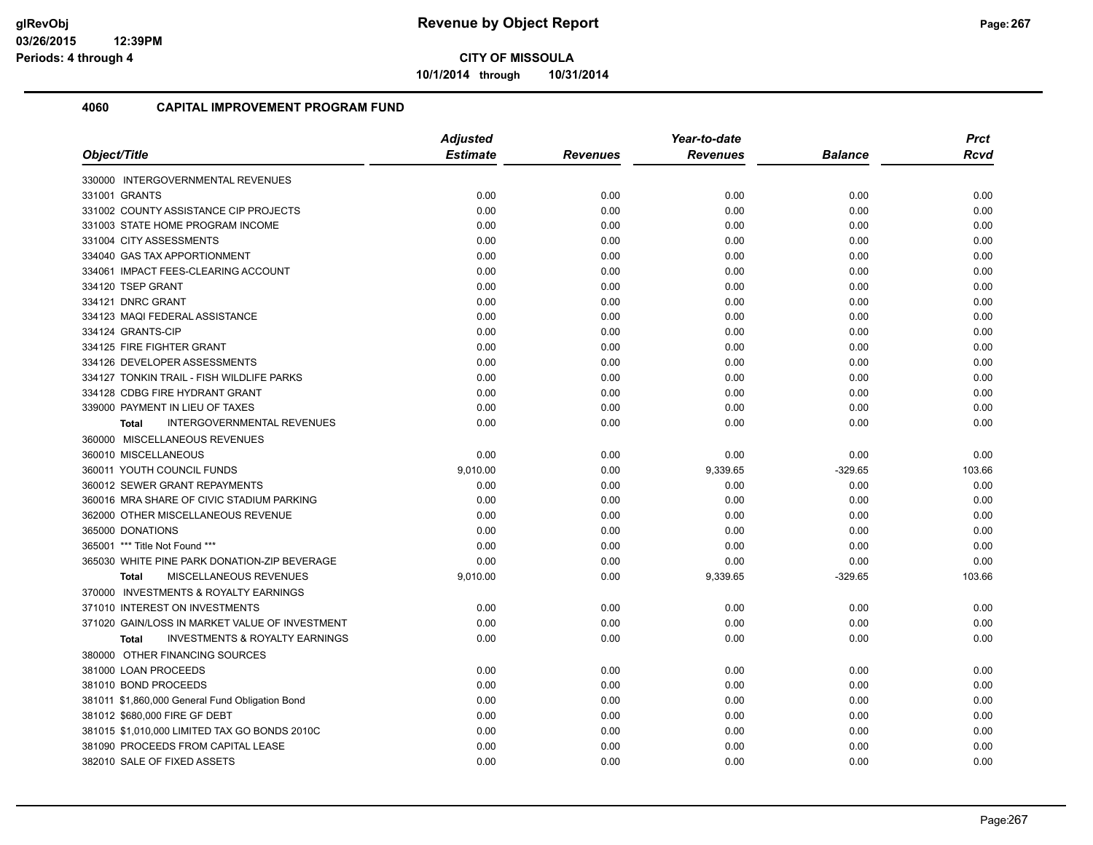**10/1/2014 through 10/31/2014**

| Object/Title                                       | <b>Adjusted</b> |                 | Year-to-date    |                | <b>Prct</b> |
|----------------------------------------------------|-----------------|-----------------|-----------------|----------------|-------------|
|                                                    | <b>Estimate</b> | <b>Revenues</b> | <b>Revenues</b> | <b>Balance</b> | <b>Rcvd</b> |
| 330000 INTERGOVERNMENTAL REVENUES                  |                 |                 |                 |                |             |
| 331001 GRANTS                                      | 0.00            | 0.00            | 0.00            | 0.00           | 0.00        |
| 331002 COUNTY ASSISTANCE CIP PROJECTS              | 0.00            | 0.00            | 0.00            | 0.00           | 0.00        |
| 331003 STATE HOME PROGRAM INCOME                   | 0.00            | 0.00            | 0.00            | 0.00           | 0.00        |
| 331004 CITY ASSESSMENTS                            | 0.00            | 0.00            | 0.00            | 0.00           | 0.00        |
| 334040 GAS TAX APPORTIONMENT                       | 0.00            | 0.00            | 0.00            | 0.00           | 0.00        |
| 334061 IMPACT FEES-CLEARING ACCOUNT                | 0.00            | 0.00            | 0.00            | 0.00           | 0.00        |
| 334120 TSEP GRANT                                  | 0.00            | 0.00            | 0.00            | 0.00           | 0.00        |
| 334121 DNRC GRANT                                  | 0.00            | 0.00            | 0.00            | 0.00           | 0.00        |
| 334123 MAQI FEDERAL ASSISTANCE                     | 0.00            | 0.00            | 0.00            | 0.00           | 0.00        |
| 334124 GRANTS-CIP                                  | 0.00            | 0.00            | 0.00            | 0.00           | 0.00        |
| 334125 FIRE FIGHTER GRANT                          | 0.00            | 0.00            | 0.00            | 0.00           | 0.00        |
| 334126 DEVELOPER ASSESSMENTS                       | 0.00            | 0.00            | 0.00            | 0.00           | 0.00        |
| 334127 TONKIN TRAIL - FISH WILDLIFE PARKS          | 0.00            | 0.00            | 0.00            | 0.00           | 0.00        |
| 334128 CDBG FIRE HYDRANT GRANT                     | 0.00            | 0.00            | 0.00            | 0.00           | 0.00        |
| 339000 PAYMENT IN LIEU OF TAXES                    | 0.00            | 0.00            | 0.00            | 0.00           | 0.00        |
| <b>INTERGOVERNMENTAL REVENUES</b><br><b>Total</b>  | 0.00            | 0.00            | 0.00            | 0.00           | 0.00        |
| 360000 MISCELLANEOUS REVENUES                      |                 |                 |                 |                |             |
| 360010 MISCELLANEOUS                               | 0.00            | 0.00            | 0.00            | 0.00           | 0.00        |
| 360011 YOUTH COUNCIL FUNDS                         | 9,010.00        | 0.00            | 9,339.65        | $-329.65$      | 103.66      |
| 360012 SEWER GRANT REPAYMENTS                      | 0.00            | 0.00            | 0.00            | 0.00           | 0.00        |
| 360016 MRA SHARE OF CIVIC STADIUM PARKING          | 0.00            | 0.00            | 0.00            | 0.00           | 0.00        |
| 362000 OTHER MISCELLANEOUS REVENUE                 | 0.00            | 0.00            | 0.00            | 0.00           | 0.00        |
| 365000 DONATIONS                                   | 0.00            | 0.00            | 0.00            | 0.00           | 0.00        |
| 365001 *** Title Not Found ***                     | 0.00            | 0.00            | 0.00            | 0.00           | 0.00        |
| 365030 WHITE PINE PARK DONATION-ZIP BEVERAGE       | 0.00            | 0.00            | 0.00            | 0.00           | 0.00        |
| <b>MISCELLANEOUS REVENUES</b><br><b>Total</b>      | 9,010.00        | 0.00            | 9,339.65        | $-329.65$      | 103.66      |
| 370000 INVESTMENTS & ROYALTY EARNINGS              |                 |                 |                 |                |             |
| 371010 INTEREST ON INVESTMENTS                     | 0.00            | 0.00            | 0.00            | 0.00           | 0.00        |
| 371020 GAIN/LOSS IN MARKET VALUE OF INVESTMENT     | 0.00            | 0.00            | 0.00            | 0.00           | 0.00        |
| <b>INVESTMENTS &amp; ROYALTY EARNINGS</b><br>Total | 0.00            | 0.00            | 0.00            | 0.00           | 0.00        |
| 380000 OTHER FINANCING SOURCES                     |                 |                 |                 |                |             |
| 381000 LOAN PROCEEDS                               | 0.00            | 0.00            | 0.00            | 0.00           | 0.00        |
| 381010 BOND PROCEEDS                               | 0.00            | 0.00            | 0.00            | 0.00           | 0.00        |
| 381011 \$1,860,000 General Fund Obligation Bond    | 0.00            | 0.00            | 0.00            | 0.00           | 0.00        |
| 381012 \$680,000 FIRE GF DEBT                      | 0.00            | 0.00            | 0.00            | 0.00           | 0.00        |
| 381015 \$1,010,000 LIMITED TAX GO BONDS 2010C      | 0.00            | 0.00            | 0.00            | 0.00           | 0.00        |
| 381090 PROCEEDS FROM CAPITAL LEASE                 | 0.00            | 0.00            | 0.00            | 0.00           | 0.00        |
| 382010 SALE OF FIXED ASSETS                        | 0.00            | 0.00            | 0.00            | 0.00           | 0.00        |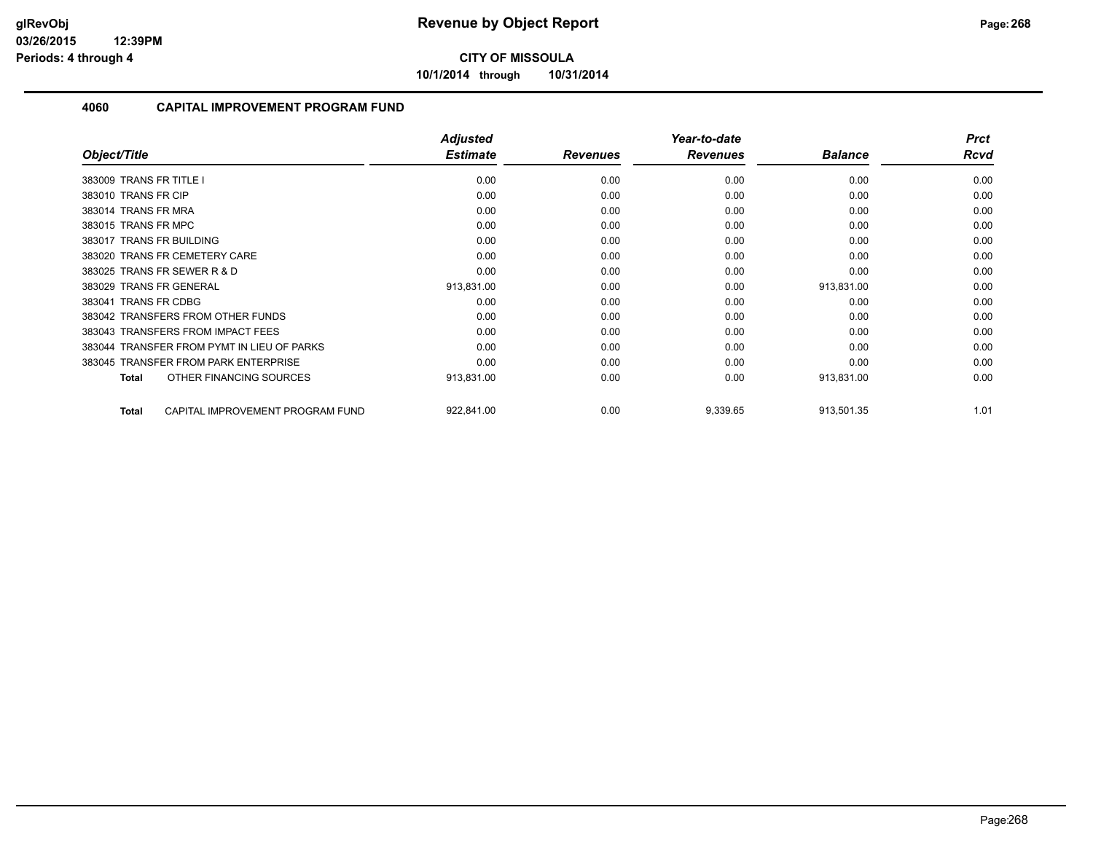**10/1/2014 through 10/31/2014**

| Object/Title                                     | <b>Adjusted</b><br><b>Estimate</b> | <b>Revenues</b> | Year-to-date<br><b>Revenues</b> | <b>Balance</b> | <b>Prct</b><br><b>Rcvd</b> |
|--------------------------------------------------|------------------------------------|-----------------|---------------------------------|----------------|----------------------------|
|                                                  |                                    |                 |                                 |                |                            |
| 383009 TRANS FR TITLE I                          | 0.00                               | 0.00            | 0.00                            | 0.00           | 0.00                       |
| 383010 TRANS FR CIP                              | 0.00                               | 0.00            | 0.00                            | 0.00           | 0.00                       |
| 383014 TRANS FR MRA                              | 0.00                               | 0.00            | 0.00                            | 0.00           | 0.00                       |
| 383015 TRANS FR MPC                              | 0.00                               | 0.00            | 0.00                            | 0.00           | 0.00                       |
| 383017 TRANS FR BUILDING                         | 0.00                               | 0.00            | 0.00                            | 0.00           | 0.00                       |
| 383020 TRANS FR CEMETERY CARE                    | 0.00                               | 0.00            | 0.00                            | 0.00           | 0.00                       |
| 383025 TRANS FR SEWER R & D                      | 0.00                               | 0.00            | 0.00                            | 0.00           | 0.00                       |
| 383029 TRANS FR GENERAL                          | 913,831.00                         | 0.00            | 0.00                            | 913,831.00     | 0.00                       |
| <b>TRANS FR CDBG</b><br>383041                   | 0.00                               | 0.00            | 0.00                            | 0.00           | 0.00                       |
| 383042 TRANSFERS FROM OTHER FUNDS                | 0.00                               | 0.00            | 0.00                            | 0.00           | 0.00                       |
| 383043 TRANSFERS FROM IMPACT FEES                | 0.00                               | 0.00            | 0.00                            | 0.00           | 0.00                       |
| 383044 TRANSFER FROM PYMT IN LIEU OF PARKS       | 0.00                               | 0.00            | 0.00                            | 0.00           | 0.00                       |
| 383045 TRANSFER FROM PARK ENTERPRISE             | 0.00                               | 0.00            | 0.00                            | 0.00           | 0.00                       |
| OTHER FINANCING SOURCES<br><b>Total</b>          | 913,831.00                         | 0.00            | 0.00                            | 913,831.00     | 0.00                       |
| CAPITAL IMPROVEMENT PROGRAM FUND<br><b>Total</b> | 922,841.00                         | 0.00            | 9,339.65                        | 913,501.35     | 1.01                       |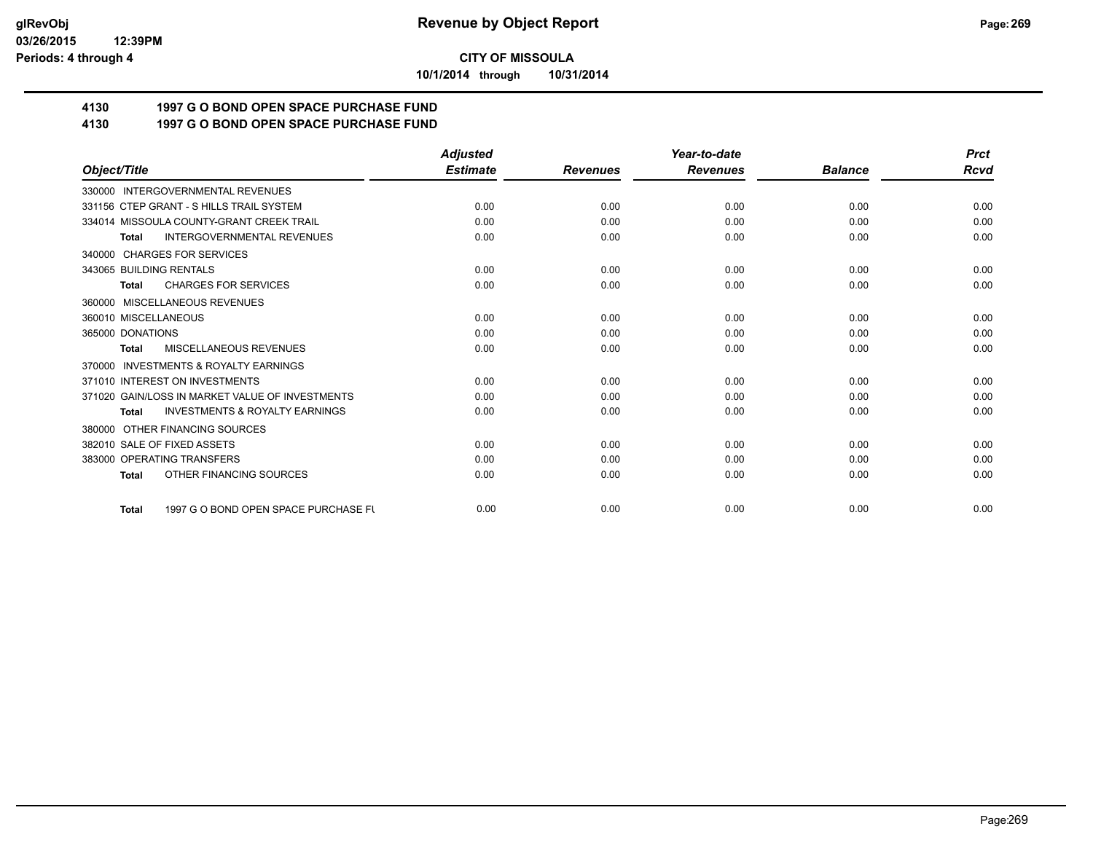**10/1/2014 through 10/31/2014**

# **4130 1997 G O BOND OPEN SPACE PURCHASE FUND**

## **4130 1997 G O BOND OPEN SPACE PURCHASE FUND**

|                                                           | <b>Adjusted</b> |                 | Year-to-date    |                | <b>Prct</b> |
|-----------------------------------------------------------|-----------------|-----------------|-----------------|----------------|-------------|
| Object/Title                                              | <b>Estimate</b> | <b>Revenues</b> | <b>Revenues</b> | <b>Balance</b> | <b>Rcvd</b> |
| 330000 INTERGOVERNMENTAL REVENUES                         |                 |                 |                 |                |             |
| 331156 CTEP GRANT - S HILLS TRAIL SYSTEM                  | 0.00            | 0.00            | 0.00            | 0.00           | 0.00        |
| 334014 MISSOULA COUNTY-GRANT CREEK TRAIL                  | 0.00            | 0.00            | 0.00            | 0.00           | 0.00        |
| <b>INTERGOVERNMENTAL REVENUES</b><br><b>Total</b>         | 0.00            | 0.00            | 0.00            | 0.00           | 0.00        |
| 340000 CHARGES FOR SERVICES                               |                 |                 |                 |                |             |
| 343065 BUILDING RENTALS                                   | 0.00            | 0.00            | 0.00            | 0.00           | 0.00        |
| <b>CHARGES FOR SERVICES</b><br><b>Total</b>               | 0.00            | 0.00            | 0.00            | 0.00           | 0.00        |
| 360000 MISCELLANEOUS REVENUES                             |                 |                 |                 |                |             |
| 360010 MISCELLANEOUS                                      | 0.00            | 0.00            | 0.00            | 0.00           | 0.00        |
| 365000 DONATIONS                                          | 0.00            | 0.00            | 0.00            | 0.00           | 0.00        |
| MISCELLANEOUS REVENUES<br><b>Total</b>                    | 0.00            | 0.00            | 0.00            | 0.00           | 0.00        |
| <b>INVESTMENTS &amp; ROYALTY EARNINGS</b><br>370000       |                 |                 |                 |                |             |
| 371010 INTEREST ON INVESTMENTS                            | 0.00            | 0.00            | 0.00            | 0.00           | 0.00        |
| 371020 GAIN/LOSS IN MARKET VALUE OF INVESTMENTS           | 0.00            | 0.00            | 0.00            | 0.00           | 0.00        |
| <b>INVESTMENTS &amp; ROYALTY EARNINGS</b><br><b>Total</b> | 0.00            | 0.00            | 0.00            | 0.00           | 0.00        |
| 380000 OTHER FINANCING SOURCES                            |                 |                 |                 |                |             |
| 382010 SALE OF FIXED ASSETS                               | 0.00            | 0.00            | 0.00            | 0.00           | 0.00        |
| 383000 OPERATING TRANSFERS                                | 0.00            | 0.00            | 0.00            | 0.00           | 0.00        |
| OTHER FINANCING SOURCES<br><b>Total</b>                   | 0.00            | 0.00            | 0.00            | 0.00           | 0.00        |
| 1997 G O BOND OPEN SPACE PURCHASE FU<br><b>Total</b>      | 0.00            | 0.00            | 0.00            | 0.00           | 0.00        |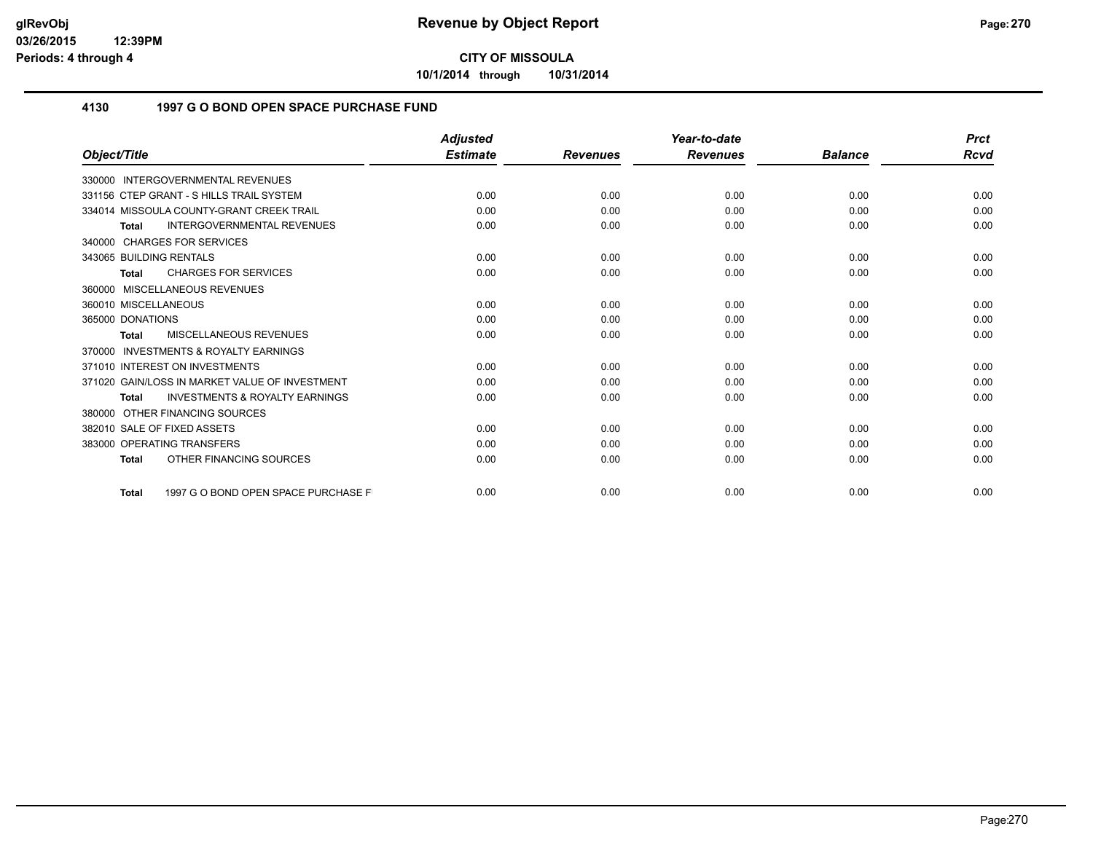**10/1/2014 through 10/31/2014**

## **4130 1997 G O BOND OPEN SPACE PURCHASE FUND**

|                                                           | <b>Adjusted</b> |                 | Year-to-date    |                | <b>Prct</b> |
|-----------------------------------------------------------|-----------------|-----------------|-----------------|----------------|-------------|
| Object/Title                                              | <b>Estimate</b> | <b>Revenues</b> | <b>Revenues</b> | <b>Balance</b> | <b>Rcvd</b> |
| 330000 INTERGOVERNMENTAL REVENUES                         |                 |                 |                 |                |             |
| 331156 CTEP GRANT - S HILLS TRAIL SYSTEM                  | 0.00            | 0.00            | 0.00            | 0.00           | 0.00        |
| 334014 MISSOULA COUNTY-GRANT CREEK TRAIL                  | 0.00            | 0.00            | 0.00            | 0.00           | 0.00        |
| <b>INTERGOVERNMENTAL REVENUES</b><br><b>Total</b>         | 0.00            | 0.00            | 0.00            | 0.00           | 0.00        |
| 340000 CHARGES FOR SERVICES                               |                 |                 |                 |                |             |
| 343065 BUILDING RENTALS                                   | 0.00            | 0.00            | 0.00            | 0.00           | 0.00        |
| <b>CHARGES FOR SERVICES</b><br><b>Total</b>               | 0.00            | 0.00            | 0.00            | 0.00           | 0.00        |
| 360000 MISCELLANEOUS REVENUES                             |                 |                 |                 |                |             |
| 360010 MISCELLANEOUS                                      | 0.00            | 0.00            | 0.00            | 0.00           | 0.00        |
| 365000 DONATIONS                                          | 0.00            | 0.00            | 0.00            | 0.00           | 0.00        |
| MISCELLANEOUS REVENUES<br><b>Total</b>                    | 0.00            | 0.00            | 0.00            | 0.00           | 0.00        |
| INVESTMENTS & ROYALTY EARNINGS<br>370000                  |                 |                 |                 |                |             |
| 371010 INTEREST ON INVESTMENTS                            | 0.00            | 0.00            | 0.00            | 0.00           | 0.00        |
| 371020 GAIN/LOSS IN MARKET VALUE OF INVESTMENT            | 0.00            | 0.00            | 0.00            | 0.00           | 0.00        |
| <b>INVESTMENTS &amp; ROYALTY EARNINGS</b><br><b>Total</b> | 0.00            | 0.00            | 0.00            | 0.00           | 0.00        |
| 380000 OTHER FINANCING SOURCES                            |                 |                 |                 |                |             |
| 382010 SALE OF FIXED ASSETS                               | 0.00            | 0.00            | 0.00            | 0.00           | 0.00        |
| 383000 OPERATING TRANSFERS                                | 0.00            | 0.00            | 0.00            | 0.00           | 0.00        |
| OTHER FINANCING SOURCES<br><b>Total</b>                   | 0.00            | 0.00            | 0.00            | 0.00           | 0.00        |
| 1997 G O BOND OPEN SPACE PURCHASE F<br><b>Total</b>       | 0.00            | 0.00            | 0.00            | 0.00           | 0.00        |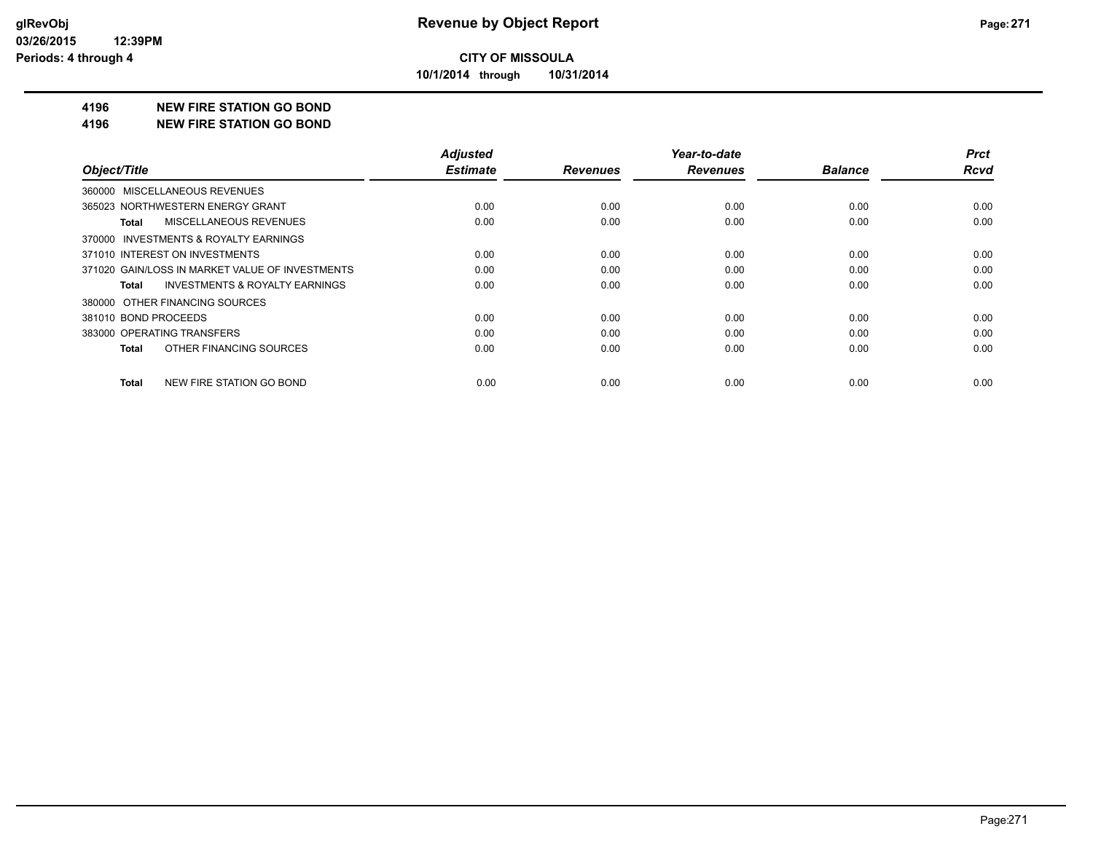**10/1/2014 through 10/31/2014**

#### **4196 NEW FIRE STATION GO BOND**

#### **4196 NEW FIRE STATION GO BOND**

|                                                    | <b>Adjusted</b> |                 | Year-to-date    |                | <b>Prct</b> |
|----------------------------------------------------|-----------------|-----------------|-----------------|----------------|-------------|
| Object/Title                                       | <b>Estimate</b> | <b>Revenues</b> | <b>Revenues</b> | <b>Balance</b> | <b>Rcvd</b> |
| 360000 MISCELLANEOUS REVENUES                      |                 |                 |                 |                |             |
| 365023 NORTHWESTERN ENERGY GRANT                   | 0.00            | 0.00            | 0.00            | 0.00           | 0.00        |
| MISCELLANEOUS REVENUES<br>Total                    | 0.00            | 0.00            | 0.00            | 0.00           | 0.00        |
| 370000 INVESTMENTS & ROYALTY EARNINGS              |                 |                 |                 |                |             |
| 371010 INTEREST ON INVESTMENTS                     | 0.00            | 0.00            | 0.00            | 0.00           | 0.00        |
| 371020 GAIN/LOSS IN MARKET VALUE OF INVESTMENTS    | 0.00            | 0.00            | 0.00            | 0.00           | 0.00        |
| <b>INVESTMENTS &amp; ROYALTY EARNINGS</b><br>Total | 0.00            | 0.00            | 0.00            | 0.00           | 0.00        |
| 380000 OTHER FINANCING SOURCES                     |                 |                 |                 |                |             |
| 381010 BOND PROCEEDS                               | 0.00            | 0.00            | 0.00            | 0.00           | 0.00        |
| 383000 OPERATING TRANSFERS                         | 0.00            | 0.00            | 0.00            | 0.00           | 0.00        |
| OTHER FINANCING SOURCES<br>Total                   | 0.00            | 0.00            | 0.00            | 0.00           | 0.00        |
| NEW FIRE STATION GO BOND<br>Total                  | 0.00            | 0.00            | 0.00            | 0.00           | 0.00        |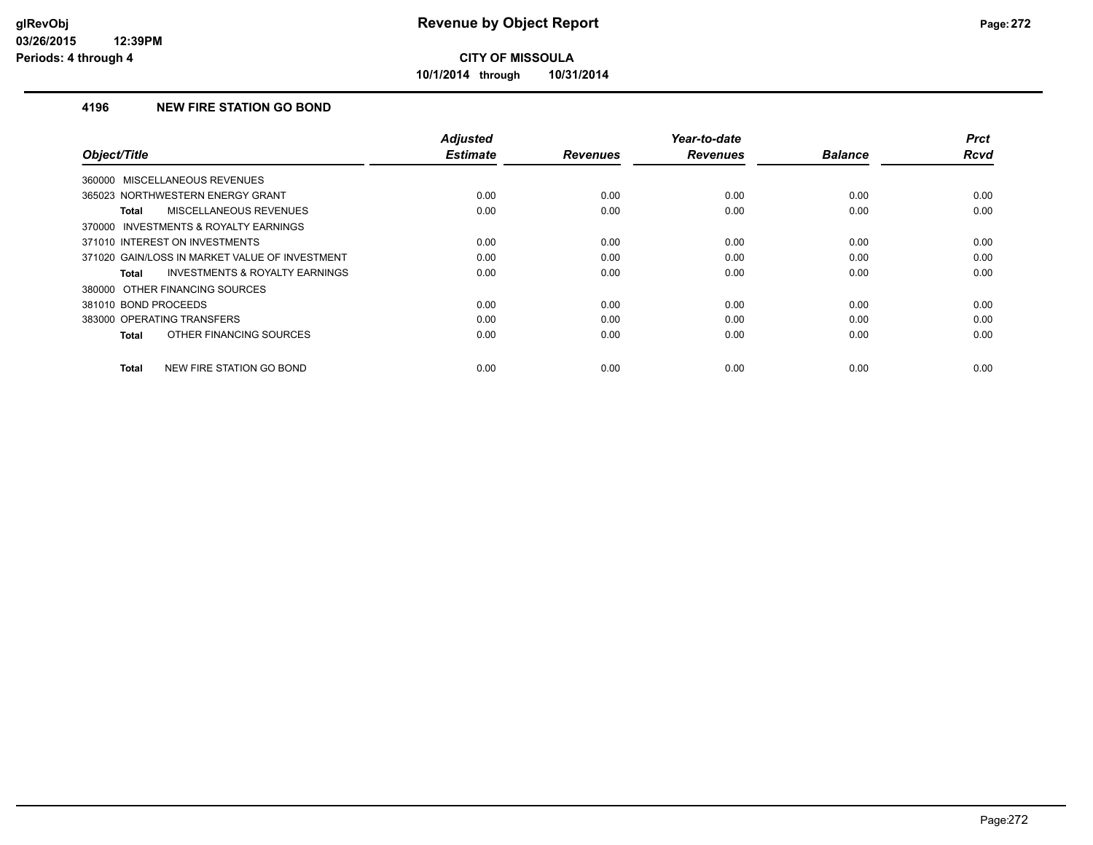**10/1/2014 through 10/31/2014**

### **4196 NEW FIRE STATION GO BOND**

| Object/Title                                              | <b>Adjusted</b><br><b>Estimate</b> | <b>Revenues</b> | Year-to-date<br><b>Revenues</b> | <b>Balance</b> | <b>Prct</b><br>Rcvd |
|-----------------------------------------------------------|------------------------------------|-----------------|---------------------------------|----------------|---------------------|
|                                                           |                                    |                 |                                 |                |                     |
| 360000 MISCELLANEOUS REVENUES                             |                                    |                 |                                 |                |                     |
| 365023 NORTHWESTERN ENERGY GRANT                          | 0.00                               | 0.00            | 0.00                            | 0.00           | 0.00                |
| MISCELLANEOUS REVENUES<br><b>Total</b>                    | 0.00                               | 0.00            | 0.00                            | 0.00           | 0.00                |
| 370000 INVESTMENTS & ROYALTY EARNINGS                     |                                    |                 |                                 |                |                     |
| 371010 INTEREST ON INVESTMENTS                            | 0.00                               | 0.00            | 0.00                            | 0.00           | 0.00                |
| 371020 GAIN/LOSS IN MARKET VALUE OF INVESTMENT            | 0.00                               | 0.00            | 0.00                            | 0.00           | 0.00                |
| <b>INVESTMENTS &amp; ROYALTY EARNINGS</b><br><b>Total</b> | 0.00                               | 0.00            | 0.00                            | 0.00           | 0.00                |
| 380000 OTHER FINANCING SOURCES                            |                                    |                 |                                 |                |                     |
| 381010 BOND PROCEEDS                                      | 0.00                               | 0.00            | 0.00                            | 0.00           | 0.00                |
| 383000 OPERATING TRANSFERS                                | 0.00                               | 0.00            | 0.00                            | 0.00           | 0.00                |
| OTHER FINANCING SOURCES<br><b>Total</b>                   | 0.00                               | 0.00            | 0.00                            | 0.00           | 0.00                |
| NEW FIRE STATION GO BOND<br><b>Total</b>                  | 0.00                               | 0.00            | 0.00                            | 0.00           | 0.00                |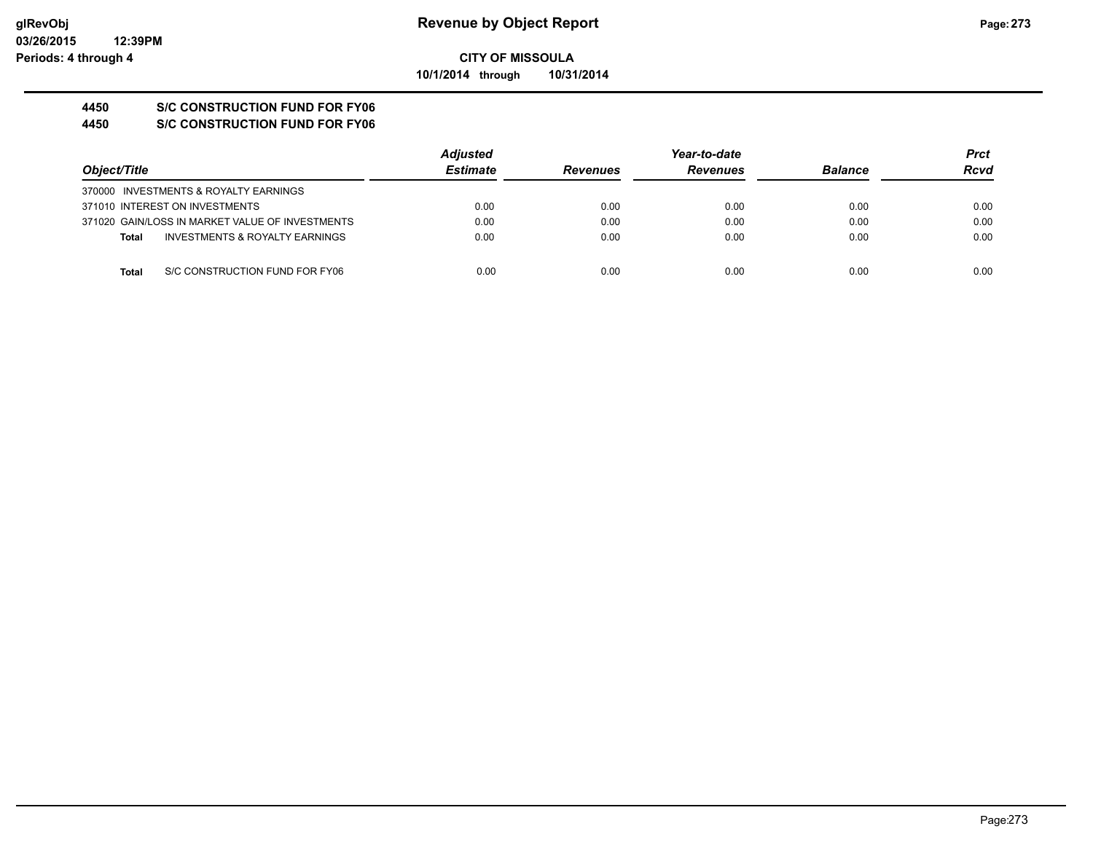**CITY OF MISSOULA 10/1/2014 through 10/31/2014**

# **4450 S/C CONSTRUCTION FUND FOR FY06**

**4450 S/C CONSTRUCTION FUND FOR FY06**

|                                                 | <b>Adjusted</b> |                 | Year-to-date    |                | <b>Prct</b> |
|-------------------------------------------------|-----------------|-----------------|-----------------|----------------|-------------|
| Object/Title                                    | <b>Estimate</b> | <b>Revenues</b> | <b>Revenues</b> | <b>Balance</b> | Rcvd        |
| 370000 INVESTMENTS & ROYALTY EARNINGS           |                 |                 |                 |                |             |
| 371010 INTEREST ON INVESTMENTS                  | 0.00            | 0.00            | 0.00            | 0.00           | 0.00        |
| 371020 GAIN/LOSS IN MARKET VALUE OF INVESTMENTS | 0.00            | 0.00            | 0.00            | 0.00           | 0.00        |
| INVESTMENTS & ROYALTY EARNINGS<br><b>Total</b>  | 0.00            | 0.00            | 0.00            | 0.00           | 0.00        |
|                                                 |                 |                 |                 |                |             |
| S/C CONSTRUCTION FUND FOR FY06<br>Total         | 0.00            | 0.00            | 0.00            | 0.00           | 0.00        |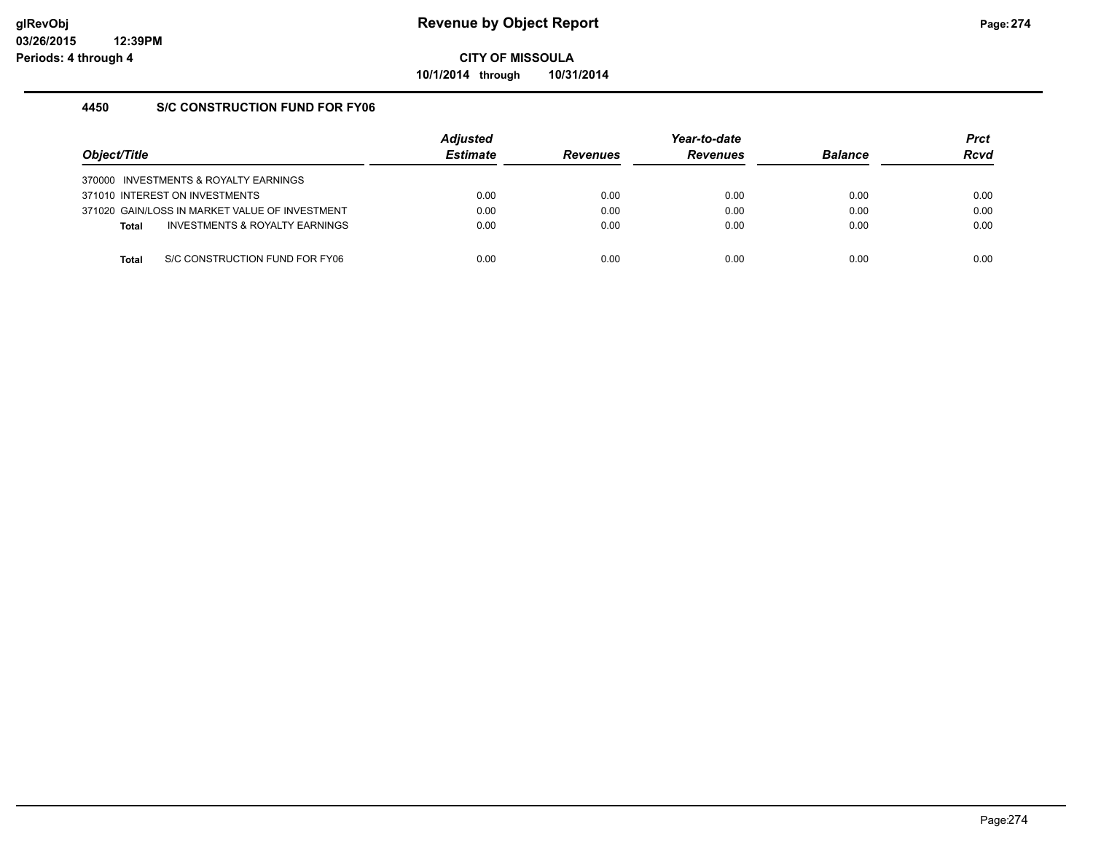**10/1/2014 through 10/31/2014**

## **4450 S/C CONSTRUCTION FUND FOR FY06**

| Object/Title |                                                | <b>Adiusted</b><br><b>Estimate</b> | <b>Revenues</b> | Year-to-date<br><b>Revenues</b> | <b>Balance</b> | <b>Prct</b><br><b>Rcvd</b> |
|--------------|------------------------------------------------|------------------------------------|-----------------|---------------------------------|----------------|----------------------------|
|              | 370000 INVESTMENTS & ROYALTY EARNINGS          |                                    |                 |                                 |                |                            |
|              | 371010 INTEREST ON INVESTMENTS                 | 0.00                               | 0.00            | 0.00                            | 0.00           | 0.00                       |
|              | 371020 GAIN/LOSS IN MARKET VALUE OF INVESTMENT | 0.00                               | 0.00            | 0.00                            | 0.00           | 0.00                       |
| <b>Total</b> | INVESTMENTS & ROYALTY EARNINGS                 | 0.00                               | 0.00            | 0.00                            | 0.00           | 0.00                       |
|              |                                                |                                    |                 |                                 |                |                            |
| Total        | S/C CONSTRUCTION FUND FOR FY06                 | 0.00                               | 0.00            | 0.00                            | 0.00           | 0.00                       |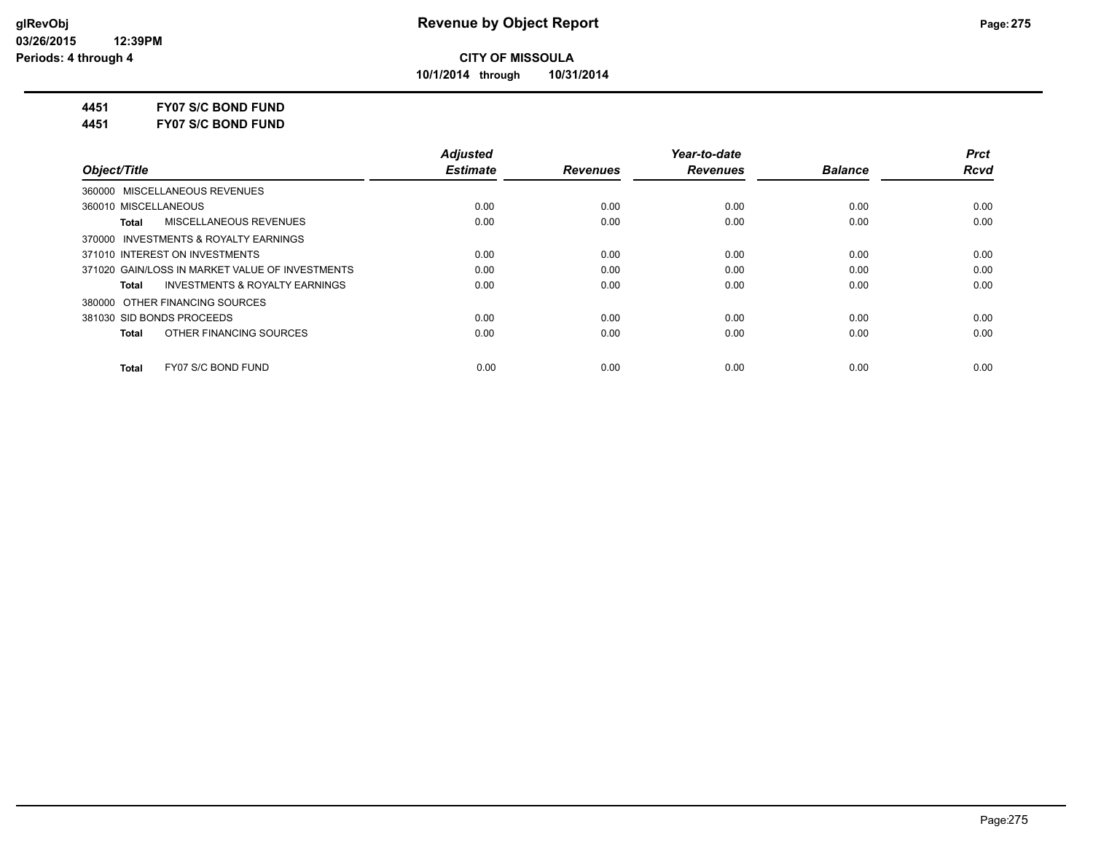**10/1/2014 through 10/31/2014**

## **4451 FY07 S/C BOND FUND**

**4451 FY07 S/C BOND FUND**

|                                                    | <b>Adjusted</b> |                 | Year-to-date    |                | <b>Prct</b> |
|----------------------------------------------------|-----------------|-----------------|-----------------|----------------|-------------|
| Object/Title                                       | <b>Estimate</b> | <b>Revenues</b> | <b>Revenues</b> | <b>Balance</b> | <b>Rcvd</b> |
| 360000 MISCELLANEOUS REVENUES                      |                 |                 |                 |                |             |
| 360010 MISCELLANEOUS                               | 0.00            | 0.00            | 0.00            | 0.00           | 0.00        |
| MISCELLANEOUS REVENUES<br>Total                    | 0.00            | 0.00            | 0.00            | 0.00           | 0.00        |
| 370000 INVESTMENTS & ROYALTY EARNINGS              |                 |                 |                 |                |             |
| 371010 INTEREST ON INVESTMENTS                     | 0.00            | 0.00            | 0.00            | 0.00           | 0.00        |
| 371020 GAIN/LOSS IN MARKET VALUE OF INVESTMENTS    | 0.00            | 0.00            | 0.00            | 0.00           | 0.00        |
| <b>INVESTMENTS &amp; ROYALTY EARNINGS</b><br>Total | 0.00            | 0.00            | 0.00            | 0.00           | 0.00        |
| 380000 OTHER FINANCING SOURCES                     |                 |                 |                 |                |             |
| 381030 SID BONDS PROCEEDS                          | 0.00            | 0.00            | 0.00            | 0.00           | 0.00        |
| OTHER FINANCING SOURCES<br>Total                   | 0.00            | 0.00            | 0.00            | 0.00           | 0.00        |
| FY07 S/C BOND FUND<br><b>Total</b>                 | 0.00            | 0.00            | 0.00            | 0.00           | 0.00        |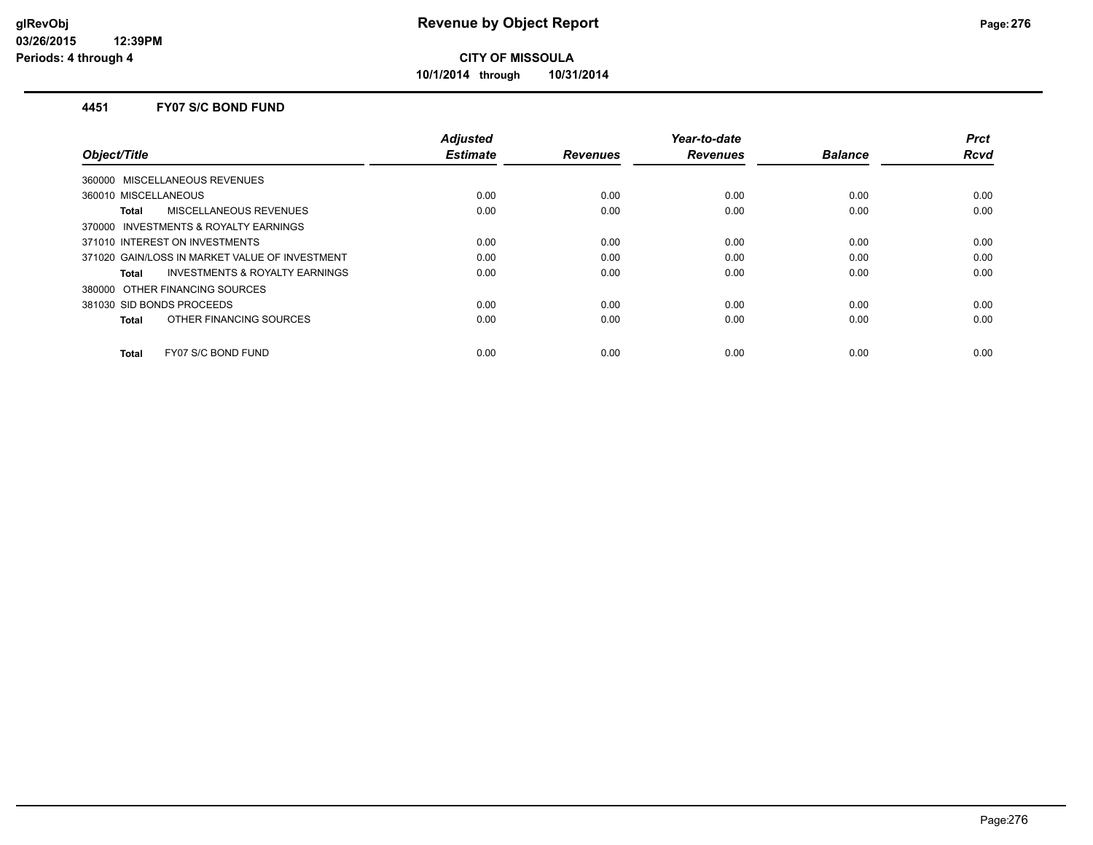**10/1/2014 through 10/31/2014**

#### **4451 FY07 S/C BOND FUND**

|                                                | <b>Adjusted</b> |                 | Year-to-date    |                | <b>Prct</b> |
|------------------------------------------------|-----------------|-----------------|-----------------|----------------|-------------|
| Object/Title                                   | <b>Estimate</b> | <b>Revenues</b> | <b>Revenues</b> | <b>Balance</b> | Rcvd        |
| 360000 MISCELLANEOUS REVENUES                  |                 |                 |                 |                |             |
| 360010 MISCELLANEOUS                           | 0.00            | 0.00            | 0.00            | 0.00           | 0.00        |
| MISCELLANEOUS REVENUES<br>Total                | 0.00            | 0.00            | 0.00            | 0.00           | 0.00        |
| 370000 INVESTMENTS & ROYALTY EARNINGS          |                 |                 |                 |                |             |
| 371010 INTEREST ON INVESTMENTS                 | 0.00            | 0.00            | 0.00            | 0.00           | 0.00        |
| 371020 GAIN/LOSS IN MARKET VALUE OF INVESTMENT | 0.00            | 0.00            | 0.00            | 0.00           | 0.00        |
| INVESTMENTS & ROYALTY EARNINGS<br>Total        | 0.00            | 0.00            | 0.00            | 0.00           | 0.00        |
| 380000 OTHER FINANCING SOURCES                 |                 |                 |                 |                |             |
| 381030 SID BONDS PROCEEDS                      | 0.00            | 0.00            | 0.00            | 0.00           | 0.00        |
| OTHER FINANCING SOURCES<br><b>Total</b>        | 0.00            | 0.00            | 0.00            | 0.00           | 0.00        |
| FY07 S/C BOND FUND<br><b>Total</b>             | 0.00            | 0.00            | 0.00            | 0.00           | 0.00        |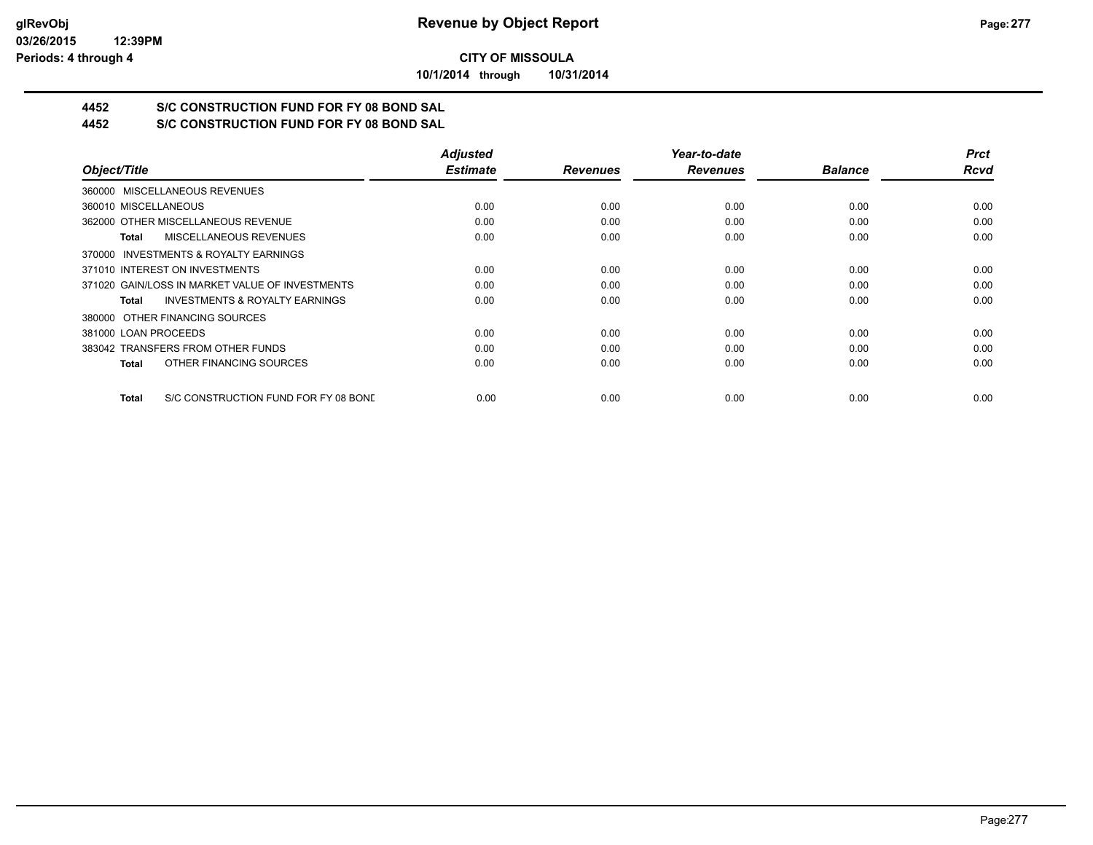**10/1/2014 through 10/31/2014**

## **4452 S/C CONSTRUCTION FUND FOR FY 08 BOND SAL**

**4452 S/C CONSTRUCTION FUND FOR FY 08 BOND SAL**

|                                                           | <b>Adjusted</b> |                 | Year-to-date    |                | <b>Prct</b> |
|-----------------------------------------------------------|-----------------|-----------------|-----------------|----------------|-------------|
| Object/Title                                              | <b>Estimate</b> | <b>Revenues</b> | <b>Revenues</b> | <b>Balance</b> | <b>Rcvd</b> |
| 360000 MISCELLANEOUS REVENUES                             |                 |                 |                 |                |             |
| 360010 MISCELLANEOUS                                      | 0.00            | 0.00            | 0.00            | 0.00           | 0.00        |
| 362000 OTHER MISCELLANEOUS REVENUE                        | 0.00            | 0.00            | 0.00            | 0.00           | 0.00        |
| MISCELLANEOUS REVENUES<br>Total                           | 0.00            | 0.00            | 0.00            | 0.00           | 0.00        |
| INVESTMENTS & ROYALTY EARNINGS<br>370000                  |                 |                 |                 |                |             |
| 371010 INTEREST ON INVESTMENTS                            | 0.00            | 0.00            | 0.00            | 0.00           | 0.00        |
| 371020 GAIN/LOSS IN MARKET VALUE OF INVESTMENTS           | 0.00            | 0.00            | 0.00            | 0.00           | 0.00        |
| <b>INVESTMENTS &amp; ROYALTY EARNINGS</b><br><b>Total</b> | 0.00            | 0.00            | 0.00            | 0.00           | 0.00        |
| OTHER FINANCING SOURCES<br>380000                         |                 |                 |                 |                |             |
| 381000 LOAN PROCEEDS                                      | 0.00            | 0.00            | 0.00            | 0.00           | 0.00        |
| 383042 TRANSFERS FROM OTHER FUNDS                         | 0.00            | 0.00            | 0.00            | 0.00           | 0.00        |
| OTHER FINANCING SOURCES<br>Total                          | 0.00            | 0.00            | 0.00            | 0.00           | 0.00        |
| S/C CONSTRUCTION FUND FOR FY 08 BOND<br><b>Total</b>      | 0.00            | 0.00            | 0.00            | 0.00           | 0.00        |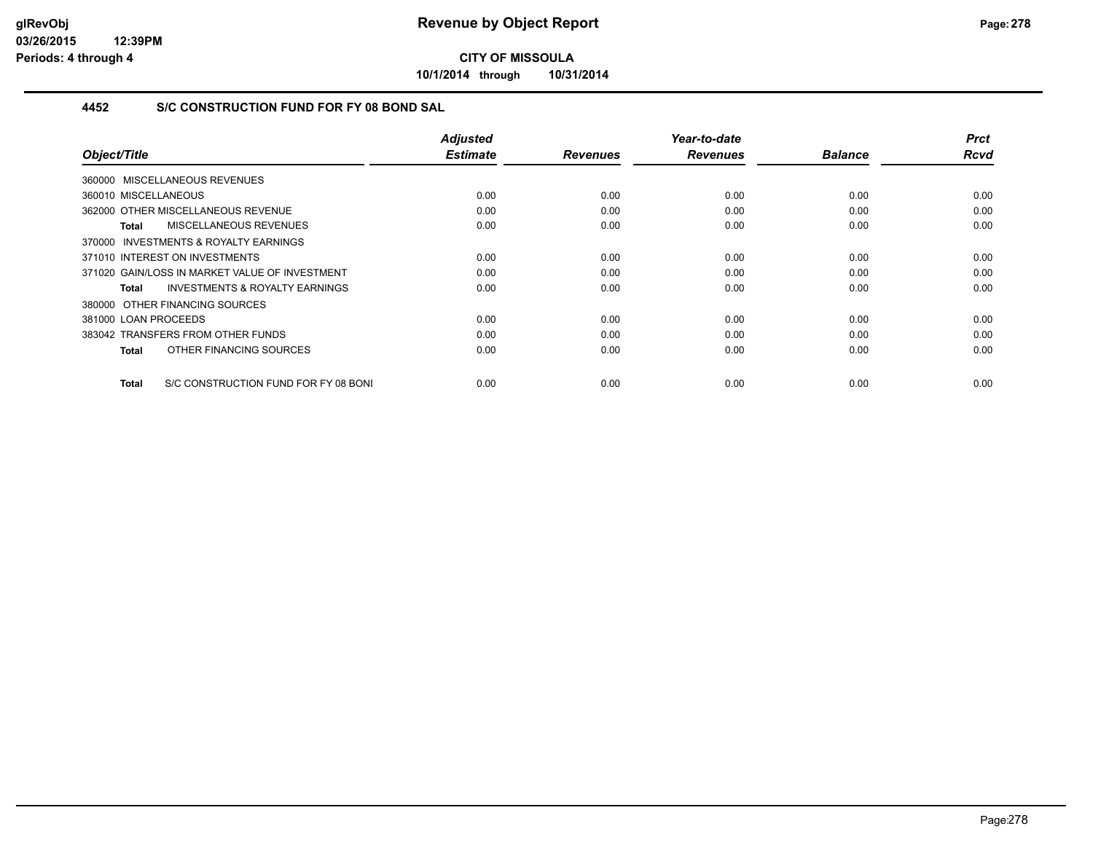**10/1/2014 through 10/31/2014**

## **4452 S/C CONSTRUCTION FUND FOR FY 08 BOND SAL**

| Object/Title                                         | <b>Adjusted</b><br><b>Estimate</b> | <b>Revenues</b> | Year-to-date<br><b>Revenues</b> | <b>Balance</b> | <b>Prct</b><br><b>Rcvd</b> |
|------------------------------------------------------|------------------------------------|-----------------|---------------------------------|----------------|----------------------------|
|                                                      |                                    |                 |                                 |                |                            |
| 360000 MISCELLANEOUS REVENUES                        |                                    |                 |                                 |                |                            |
| 360010 MISCELLANEOUS                                 | 0.00                               | 0.00            | 0.00                            | 0.00           | 0.00                       |
| 362000 OTHER MISCELLANEOUS REVENUE                   | 0.00                               | 0.00            | 0.00                            | 0.00           | 0.00                       |
| MISCELLANEOUS REVENUES<br>Total                      | 0.00                               | 0.00            | 0.00                            | 0.00           | 0.00                       |
| 370000 INVESTMENTS & ROYALTY EARNINGS                |                                    |                 |                                 |                |                            |
| 371010 INTEREST ON INVESTMENTS                       | 0.00                               | 0.00            | 0.00                            | 0.00           | 0.00                       |
| 371020 GAIN/LOSS IN MARKET VALUE OF INVESTMENT       | 0.00                               | 0.00            | 0.00                            | 0.00           | 0.00                       |
| <b>INVESTMENTS &amp; ROYALTY EARNINGS</b><br>Total   | 0.00                               | 0.00            | 0.00                            | 0.00           | 0.00                       |
| 380000 OTHER FINANCING SOURCES                       |                                    |                 |                                 |                |                            |
| 381000 LOAN PROCEEDS                                 | 0.00                               | 0.00            | 0.00                            | 0.00           | 0.00                       |
| 383042 TRANSFERS FROM OTHER FUNDS                    | 0.00                               | 0.00            | 0.00                            | 0.00           | 0.00                       |
| OTHER FINANCING SOURCES<br>Total                     | 0.00                               | 0.00            | 0.00                            | 0.00           | 0.00                       |
|                                                      |                                    |                 |                                 |                |                            |
| S/C CONSTRUCTION FUND FOR FY 08 BONI<br><b>Total</b> | 0.00                               | 0.00            | 0.00                            | 0.00           | 0.00                       |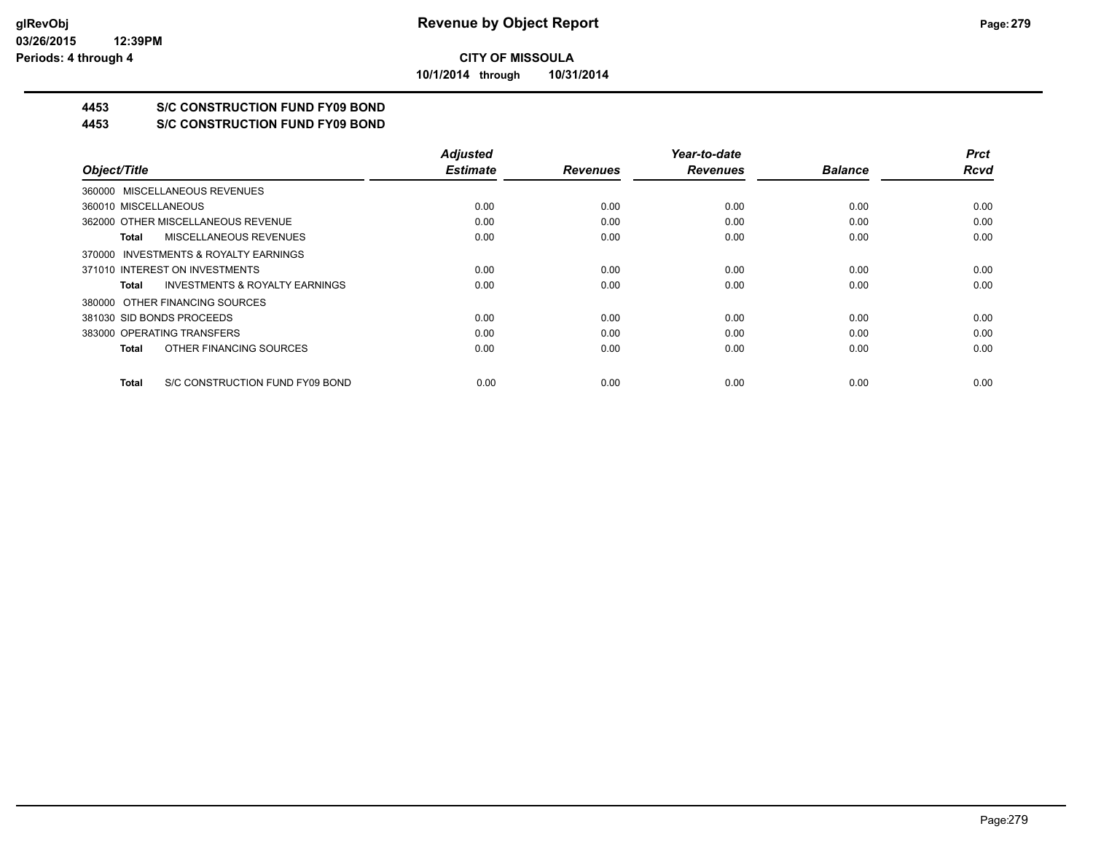**10/1/2014 through 10/31/2014**

## **4453 S/C CONSTRUCTION FUND FY09 BOND**

**4453 S/C CONSTRUCTION FUND FY09 BOND**

|                                                    | <b>Adjusted</b> |                 | Year-to-date    |                | <b>Prct</b> |
|----------------------------------------------------|-----------------|-----------------|-----------------|----------------|-------------|
| Object/Title                                       | <b>Estimate</b> | <b>Revenues</b> | <b>Revenues</b> | <b>Balance</b> | <b>Rcvd</b> |
| 360000 MISCELLANEOUS REVENUES                      |                 |                 |                 |                |             |
| 360010 MISCELLANEOUS                               | 0.00            | 0.00            | 0.00            | 0.00           | 0.00        |
| 362000 OTHER MISCELLANEOUS REVENUE                 | 0.00            | 0.00            | 0.00            | 0.00           | 0.00        |
| MISCELLANEOUS REVENUES<br>Total                    | 0.00            | 0.00            | 0.00            | 0.00           | 0.00        |
| 370000 INVESTMENTS & ROYALTY EARNINGS              |                 |                 |                 |                |             |
| 371010 INTEREST ON INVESTMENTS                     | 0.00            | 0.00            | 0.00            | 0.00           | 0.00        |
| <b>INVESTMENTS &amp; ROYALTY EARNINGS</b><br>Total | 0.00            | 0.00            | 0.00            | 0.00           | 0.00        |
| 380000 OTHER FINANCING SOURCES                     |                 |                 |                 |                |             |
| 381030 SID BONDS PROCEEDS                          | 0.00            | 0.00            | 0.00            | 0.00           | 0.00        |
| 383000 OPERATING TRANSFERS                         | 0.00            | 0.00            | 0.00            | 0.00           | 0.00        |
| OTHER FINANCING SOURCES<br>Total                   | 0.00            | 0.00            | 0.00            | 0.00           | 0.00        |
| S/C CONSTRUCTION FUND FY09 BOND<br>Total           | 0.00            | 0.00            | 0.00            | 0.00           | 0.00        |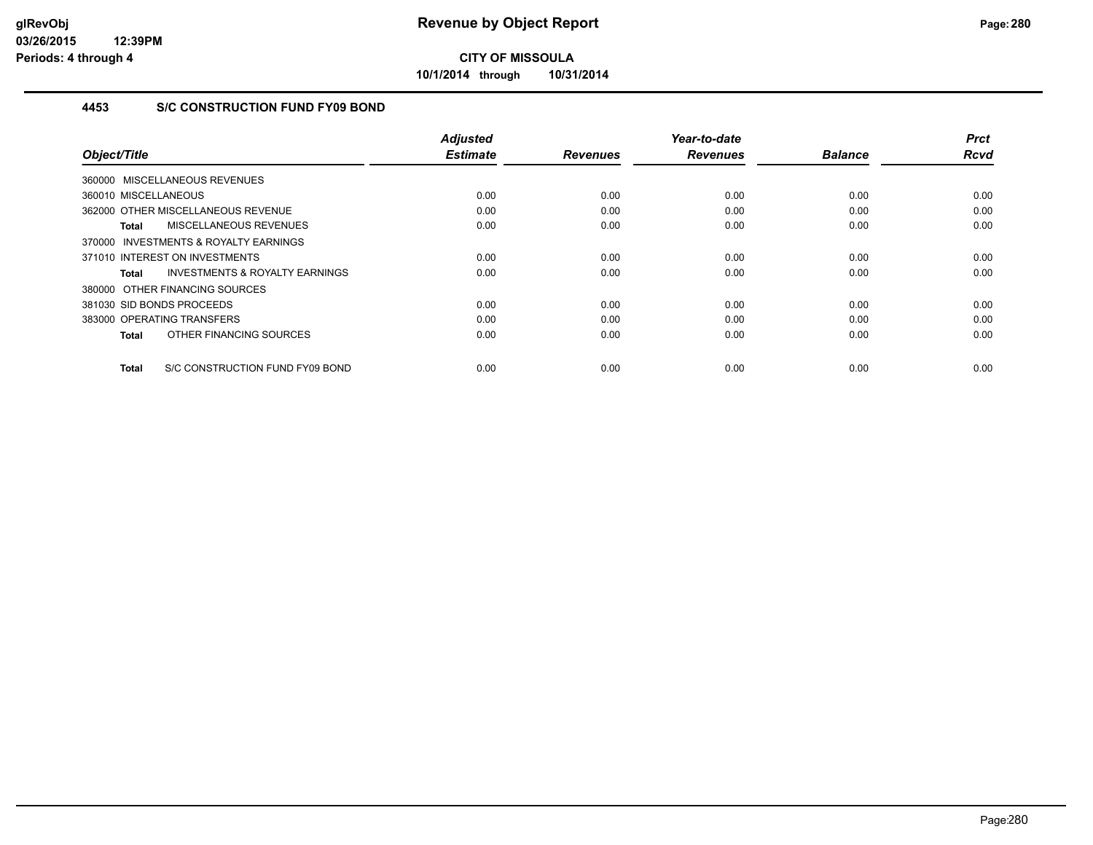**10/1/2014 through 10/31/2014**

## **4453 S/C CONSTRUCTION FUND FY09 BOND**

| Object/Title                                              | <b>Adjusted</b><br><b>Estimate</b> | <b>Revenues</b> | Year-to-date<br><b>Revenues</b> | <b>Balance</b> | <b>Prct</b><br><b>Rcvd</b> |
|-----------------------------------------------------------|------------------------------------|-----------------|---------------------------------|----------------|----------------------------|
|                                                           |                                    |                 |                                 |                |                            |
| 360000 MISCELLANEOUS REVENUES                             |                                    |                 |                                 |                |                            |
| 360010 MISCELLANEOUS                                      | 0.00                               | 0.00            | 0.00                            | 0.00           | 0.00                       |
| 362000 OTHER MISCELLANEOUS REVENUE                        | 0.00                               | 0.00            | 0.00                            | 0.00           | 0.00                       |
| MISCELLANEOUS REVENUES<br><b>Total</b>                    | 0.00                               | 0.00            | 0.00                            | 0.00           | 0.00                       |
| 370000 INVESTMENTS & ROYALTY EARNINGS                     |                                    |                 |                                 |                |                            |
| 371010 INTEREST ON INVESTMENTS                            | 0.00                               | 0.00            | 0.00                            | 0.00           | 0.00                       |
| <b>INVESTMENTS &amp; ROYALTY EARNINGS</b><br><b>Total</b> | 0.00                               | 0.00            | 0.00                            | 0.00           | 0.00                       |
| 380000 OTHER FINANCING SOURCES                            |                                    |                 |                                 |                |                            |
| 381030 SID BONDS PROCEEDS                                 | 0.00                               | 0.00            | 0.00                            | 0.00           | 0.00                       |
| 383000 OPERATING TRANSFERS                                | 0.00                               | 0.00            | 0.00                            | 0.00           | 0.00                       |
| OTHER FINANCING SOURCES<br><b>Total</b>                   | 0.00                               | 0.00            | 0.00                            | 0.00           | 0.00                       |
| <b>Total</b><br>S/C CONSTRUCTION FUND FY09 BOND           | 0.00                               | 0.00            | 0.00                            | 0.00           | 0.00                       |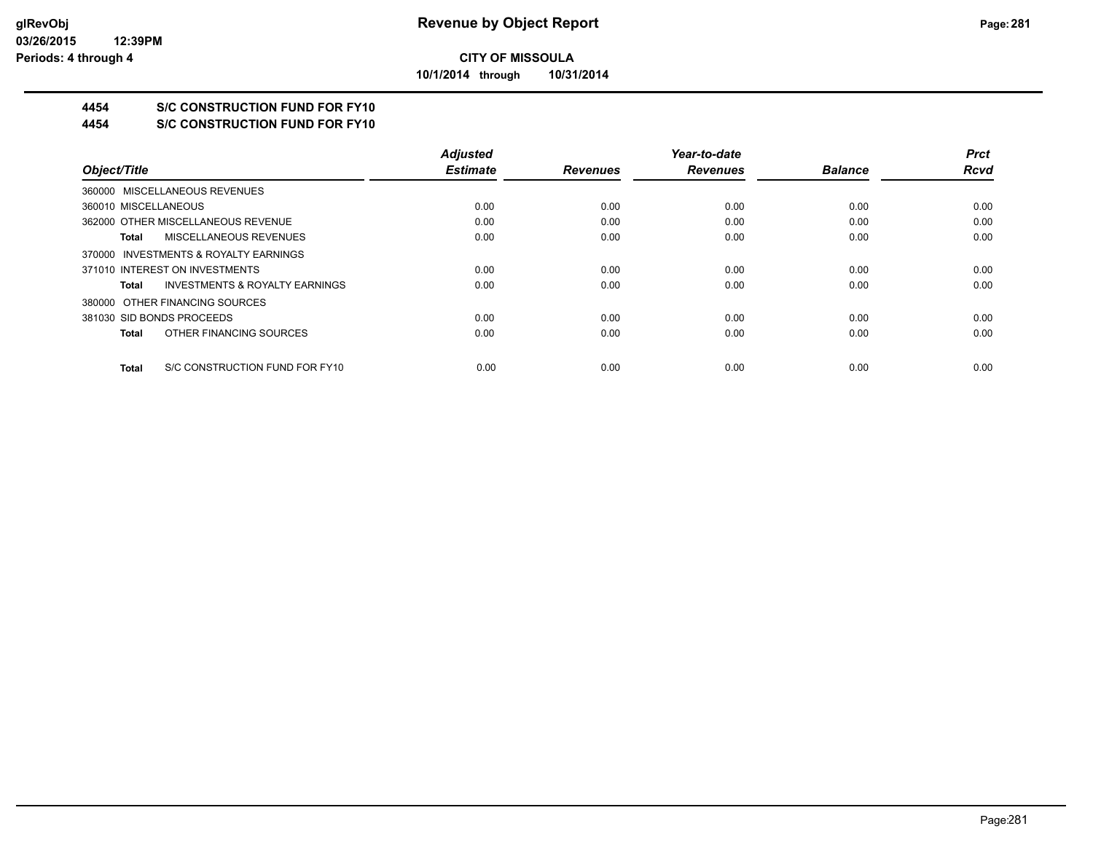**10/1/2014 through 10/31/2014**

## **4454 S/C CONSTRUCTION FUND FOR FY10**

**4454 S/C CONSTRUCTION FUND FOR FY10**

|                                                    | <b>Adjusted</b> |                 | Year-to-date    |                | <b>Prct</b> |
|----------------------------------------------------|-----------------|-----------------|-----------------|----------------|-------------|
| Object/Title                                       | <b>Estimate</b> | <b>Revenues</b> | <b>Revenues</b> | <b>Balance</b> | <b>Rcvd</b> |
| 360000 MISCELLANEOUS REVENUES                      |                 |                 |                 |                |             |
| 360010 MISCELLANEOUS                               | 0.00            | 0.00            | 0.00            | 0.00           | 0.00        |
| 362000 OTHER MISCELLANEOUS REVENUE                 | 0.00            | 0.00            | 0.00            | 0.00           | 0.00        |
| MISCELLANEOUS REVENUES<br>Total                    | 0.00            | 0.00            | 0.00            | 0.00           | 0.00        |
| 370000 INVESTMENTS & ROYALTY EARNINGS              |                 |                 |                 |                |             |
| 371010 INTEREST ON INVESTMENTS                     | 0.00            | 0.00            | 0.00            | 0.00           | 0.00        |
| <b>INVESTMENTS &amp; ROYALTY EARNINGS</b><br>Total | 0.00            | 0.00            | 0.00            | 0.00           | 0.00        |
| 380000 OTHER FINANCING SOURCES                     |                 |                 |                 |                |             |
| 381030 SID BONDS PROCEEDS                          | 0.00            | 0.00            | 0.00            | 0.00           | 0.00        |
| OTHER FINANCING SOURCES<br>Total                   | 0.00            | 0.00            | 0.00            | 0.00           | 0.00        |
| S/C CONSTRUCTION FUND FOR FY10<br>Total            | 0.00            | 0.00            | 0.00            | 0.00           | 0.00        |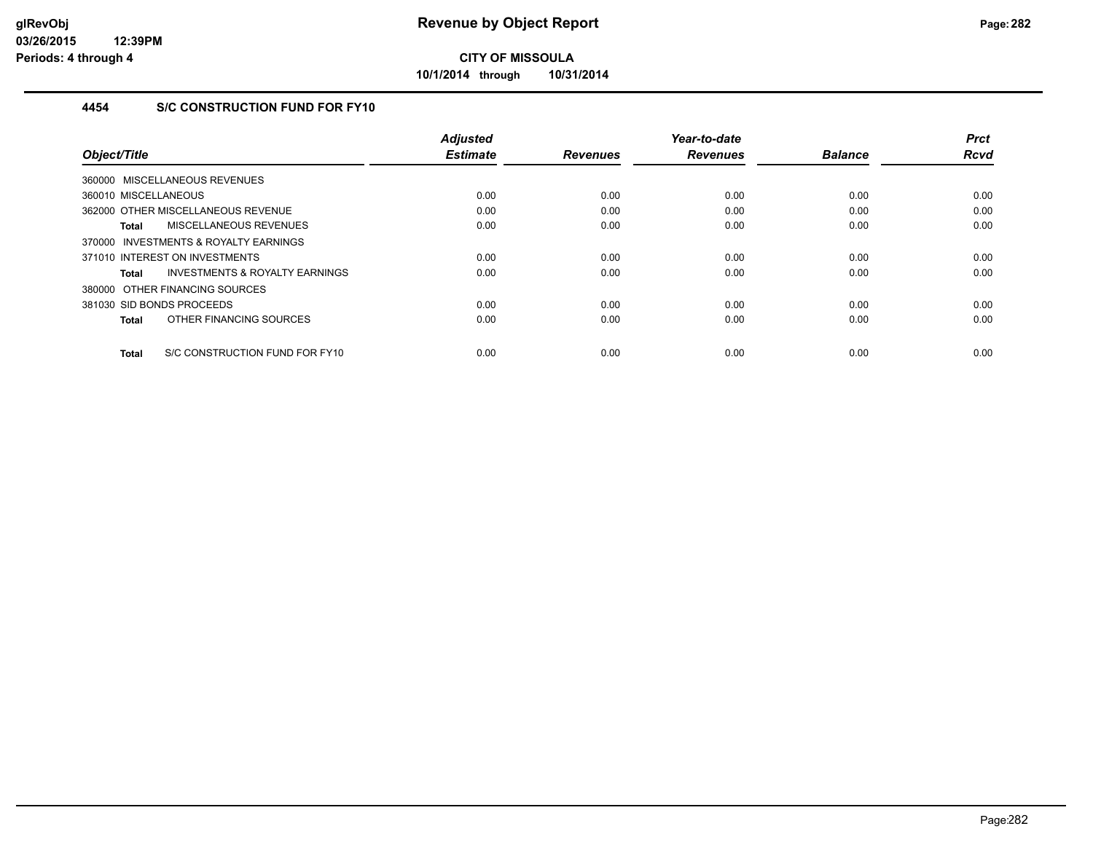**10/1/2014 through 10/31/2014**

## **4454 S/C CONSTRUCTION FUND FOR FY10**

|                                                    | <b>Adjusted</b> |                 | Year-to-date    |                | <b>Prct</b> |
|----------------------------------------------------|-----------------|-----------------|-----------------|----------------|-------------|
| Object/Title                                       | <b>Estimate</b> | <b>Revenues</b> | <b>Revenues</b> | <b>Balance</b> | <b>Rcvd</b> |
| 360000 MISCELLANEOUS REVENUES                      |                 |                 |                 |                |             |
| 360010 MISCELLANEOUS                               | 0.00            | 0.00            | 0.00            | 0.00           | 0.00        |
| 362000 OTHER MISCELLANEOUS REVENUE                 | 0.00            | 0.00            | 0.00            | 0.00           | 0.00        |
| MISCELLANEOUS REVENUES<br>Total                    | 0.00            | 0.00            | 0.00            | 0.00           | 0.00        |
| INVESTMENTS & ROYALTY EARNINGS<br>370000           |                 |                 |                 |                |             |
| 371010 INTEREST ON INVESTMENTS                     | 0.00            | 0.00            | 0.00            | 0.00           | 0.00        |
| <b>INVESTMENTS &amp; ROYALTY EARNINGS</b><br>Total | 0.00            | 0.00            | 0.00            | 0.00           | 0.00        |
| 380000 OTHER FINANCING SOURCES                     |                 |                 |                 |                |             |
| 381030 SID BONDS PROCEEDS                          | 0.00            | 0.00            | 0.00            | 0.00           | 0.00        |
| OTHER FINANCING SOURCES<br>Total                   | 0.00            | 0.00            | 0.00            | 0.00           | 0.00        |
| S/C CONSTRUCTION FUND FOR FY10<br><b>Total</b>     | 0.00            | 0.00            | 0.00            | 0.00           | 0.00        |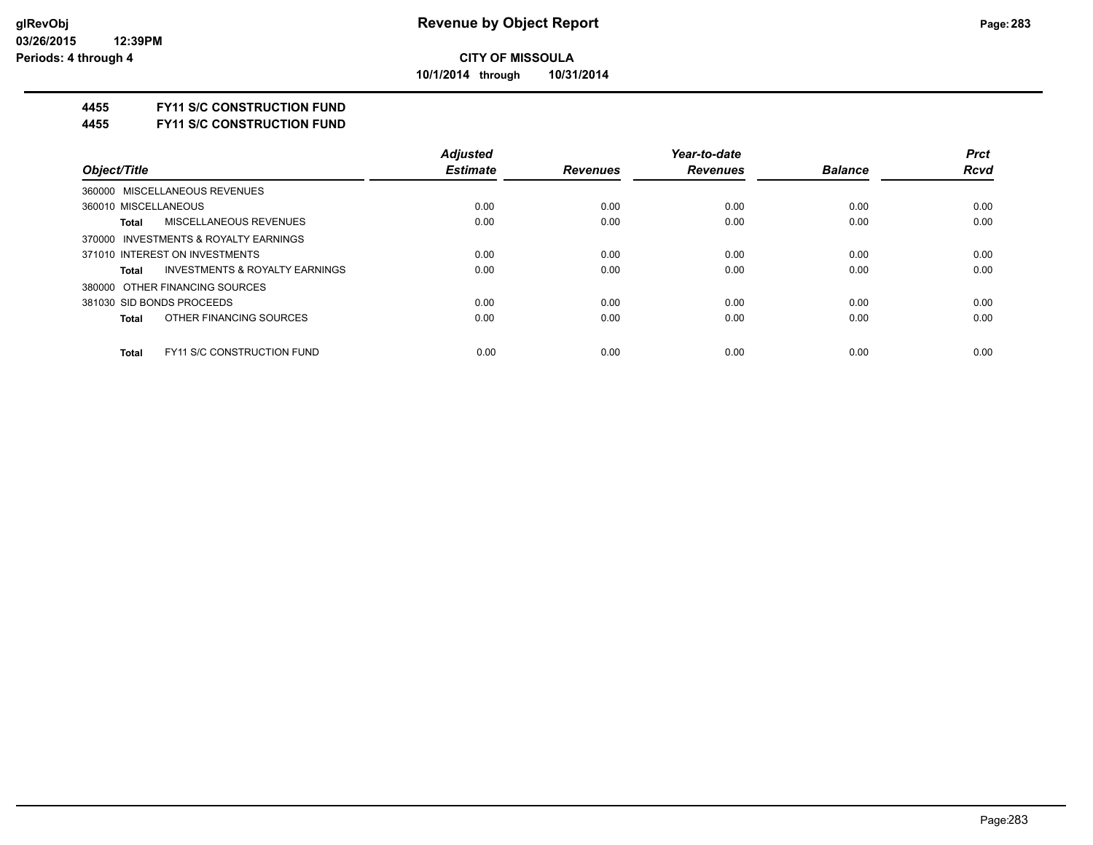**10/1/2014 through 10/31/2014**

### **4455 FY11 S/C CONSTRUCTION FUND**

**4455 FY11 S/C CONSTRUCTION FUND**

| <b>Adjusted</b> |                 | Year-to-date    |                | <b>Prct</b> |
|-----------------|-----------------|-----------------|----------------|-------------|
| <b>Estimate</b> | <b>Revenues</b> | <b>Revenues</b> | <b>Balance</b> | <b>Rcvd</b> |
|                 |                 |                 |                |             |
| 0.00            | 0.00            | 0.00            | 0.00           | 0.00        |
| 0.00            | 0.00            | 0.00            | 0.00           | 0.00        |
|                 |                 |                 |                |             |
| 0.00            | 0.00            | 0.00            | 0.00           | 0.00        |
| 0.00            | 0.00            | 0.00            | 0.00           | 0.00        |
|                 |                 |                 |                |             |
| 0.00            | 0.00            | 0.00            | 0.00           | 0.00        |
| 0.00            | 0.00            | 0.00            | 0.00           | 0.00        |
|                 |                 |                 |                | 0.00        |
|                 | 0.00            | 0.00            | 0.00           | 0.00        |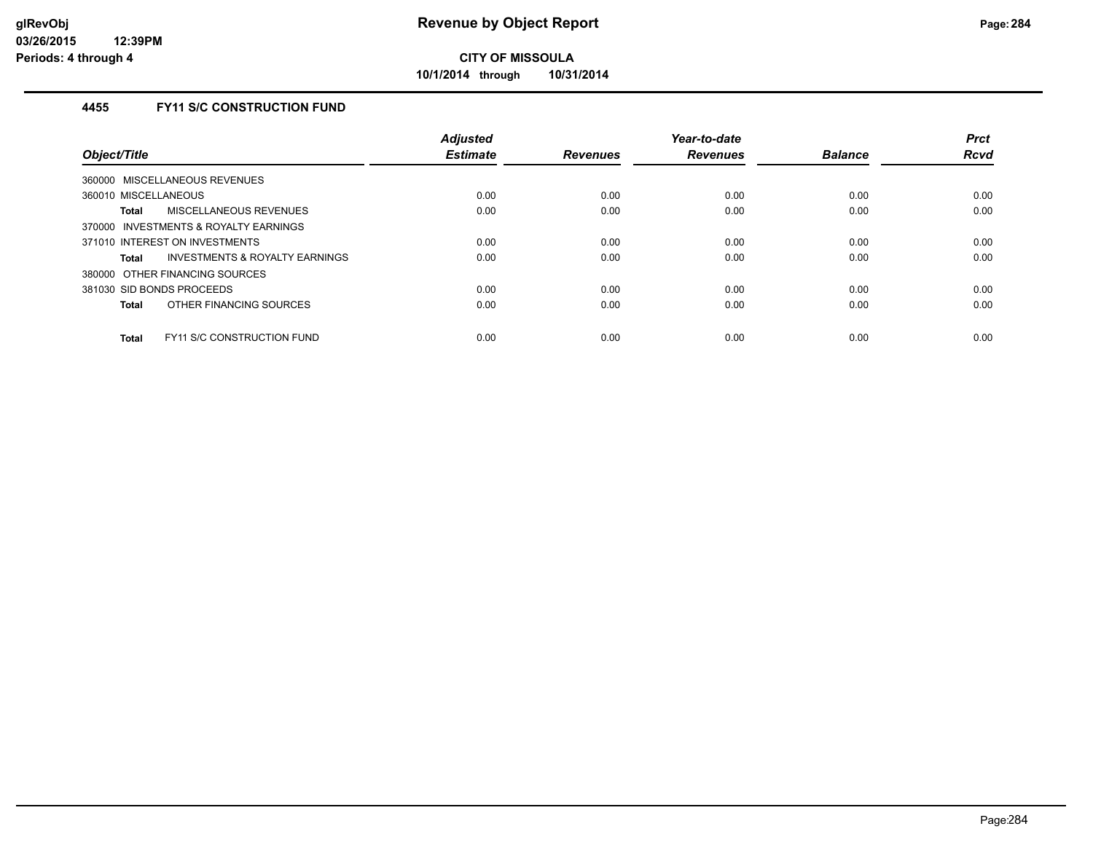**10/1/2014 through 10/31/2014**

## **4455 FY11 S/C CONSTRUCTION FUND**

| Object/Title                               | <b>Adjusted</b><br><b>Estimate</b> | <b>Revenues</b> | Year-to-date<br><b>Revenues</b> | <b>Balance</b> | <b>Prct</b><br><b>Rcvd</b> |
|--------------------------------------------|------------------------------------|-----------------|---------------------------------|----------------|----------------------------|
| 360000 MISCELLANEOUS REVENUES              |                                    |                 |                                 |                |                            |
| 360010 MISCELLANEOUS                       | 0.00                               | 0.00            | 0.00                            | 0.00           | 0.00                       |
| MISCELLANEOUS REVENUES<br>Total            | 0.00                               | 0.00            | 0.00                            | 0.00           | 0.00                       |
| 370000 INVESTMENTS & ROYALTY EARNINGS      |                                    |                 |                                 |                |                            |
| 371010 INTEREST ON INVESTMENTS             | 0.00                               | 0.00            | 0.00                            | 0.00           | 0.00                       |
| INVESTMENTS & ROYALTY EARNINGS<br>Total    | 0.00                               | 0.00            | 0.00                            | 0.00           | 0.00                       |
| 380000 OTHER FINANCING SOURCES             |                                    |                 |                                 |                |                            |
| 381030 SID BONDS PROCEEDS                  | 0.00                               | 0.00            | 0.00                            | 0.00           | 0.00                       |
| OTHER FINANCING SOURCES<br>Total           | 0.00                               | 0.00            | 0.00                            | 0.00           | 0.00                       |
| FY11 S/C CONSTRUCTION FUND<br><b>Total</b> | 0.00                               | 0.00            | 0.00                            | 0.00           | 0.00                       |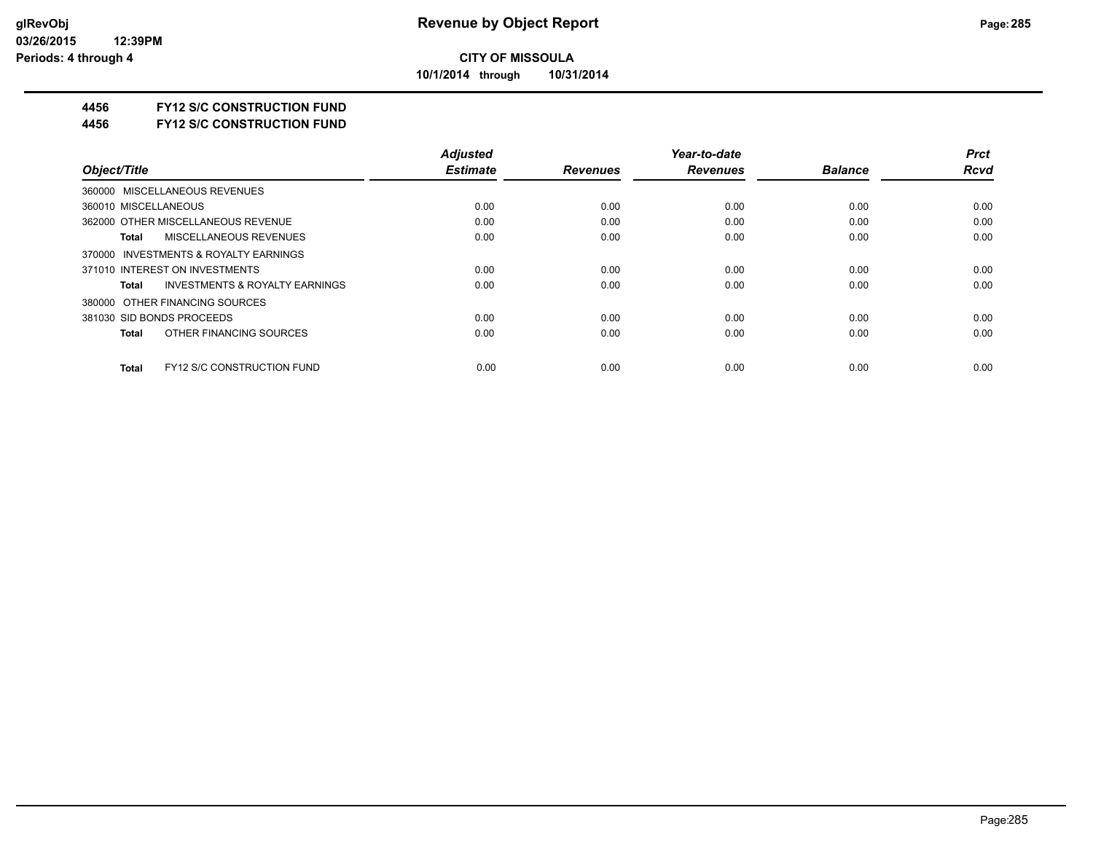**10/1/2014 through 10/31/2014**

### **4456 FY12 S/C CONSTRUCTION FUND**

**4456 FY12 S/C CONSTRUCTION FUND**

|                                                    | <b>Adjusted</b> |                 | Year-to-date    |                | <b>Prct</b> |
|----------------------------------------------------|-----------------|-----------------|-----------------|----------------|-------------|
| Object/Title                                       | <b>Estimate</b> | <b>Revenues</b> | <b>Revenues</b> | <b>Balance</b> | <b>Rcvd</b> |
| 360000 MISCELLANEOUS REVENUES                      |                 |                 |                 |                |             |
| 360010 MISCELLANEOUS                               | 0.00            | 0.00            | 0.00            | 0.00           | 0.00        |
| 362000 OTHER MISCELLANEOUS REVENUE                 | 0.00            | 0.00            | 0.00            | 0.00           | 0.00        |
| MISCELLANEOUS REVENUES<br>Total                    | 0.00            | 0.00            | 0.00            | 0.00           | 0.00        |
| 370000 INVESTMENTS & ROYALTY EARNINGS              |                 |                 |                 |                |             |
| 371010 INTEREST ON INVESTMENTS                     | 0.00            | 0.00            | 0.00            | 0.00           | 0.00        |
| <b>INVESTMENTS &amp; ROYALTY EARNINGS</b><br>Total | 0.00            | 0.00            | 0.00            | 0.00           | 0.00        |
| 380000 OTHER FINANCING SOURCES                     |                 |                 |                 |                |             |
| 381030 SID BONDS PROCEEDS                          | 0.00            | 0.00            | 0.00            | 0.00           | 0.00        |
| OTHER FINANCING SOURCES<br>Total                   | 0.00            | 0.00            | 0.00            | 0.00           | 0.00        |
| <b>FY12 S/C CONSTRUCTION FUND</b><br>Total         | 0.00            | 0.00            | 0.00            | 0.00           | 0.00        |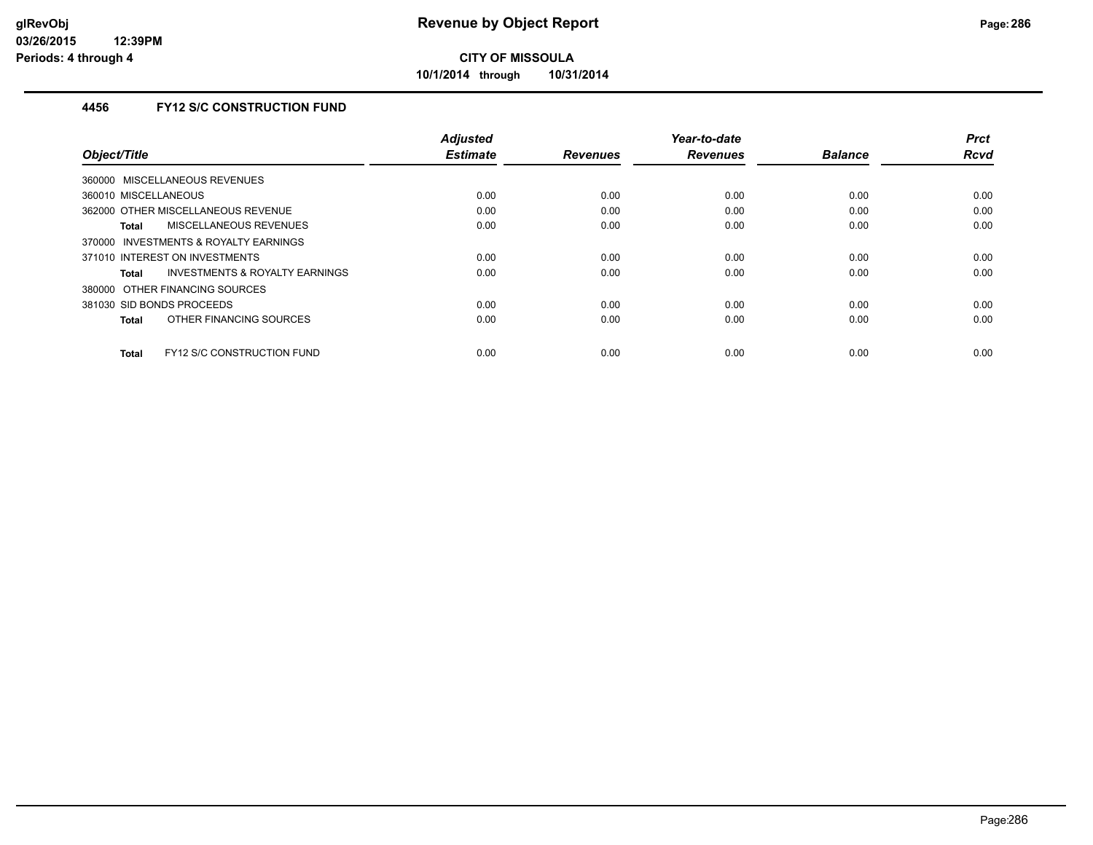**10/1/2014 through 10/31/2014**

## **4456 FY12 S/C CONSTRUCTION FUND**

| Object/Title                                   | <b>Adjusted</b><br><b>Estimate</b> | <b>Revenues</b> | Year-to-date<br><b>Revenues</b> | <b>Balance</b> | <b>Prct</b><br><b>Rcvd</b> |
|------------------------------------------------|------------------------------------|-----------------|---------------------------------|----------------|----------------------------|
|                                                |                                    |                 |                                 |                |                            |
| 360000 MISCELLANEOUS REVENUES                  |                                    |                 |                                 |                |                            |
| 360010 MISCELLANEOUS                           | 0.00                               | 0.00            | 0.00                            | 0.00           | 0.00                       |
| 362000 OTHER MISCELLANEOUS REVENUE             | 0.00                               | 0.00            | 0.00                            | 0.00           | 0.00                       |
| <b>MISCELLANEOUS REVENUES</b><br>Total         | 0.00                               | 0.00            | 0.00                            | 0.00           | 0.00                       |
| 370000 INVESTMENTS & ROYALTY EARNINGS          |                                    |                 |                                 |                |                            |
| 371010 INTEREST ON INVESTMENTS                 | 0.00                               | 0.00            | 0.00                            | 0.00           | 0.00                       |
| INVESTMENTS & ROYALTY EARNINGS<br><b>Total</b> | 0.00                               | 0.00            | 0.00                            | 0.00           | 0.00                       |
| 380000 OTHER FINANCING SOURCES                 |                                    |                 |                                 |                |                            |
| 381030 SID BONDS PROCEEDS                      | 0.00                               | 0.00            | 0.00                            | 0.00           | 0.00                       |
| OTHER FINANCING SOURCES<br><b>Total</b>        | 0.00                               | 0.00            | 0.00                            | 0.00           | 0.00                       |
|                                                |                                    |                 |                                 |                |                            |
| FY12 S/C CONSTRUCTION FUND<br><b>Total</b>     | 0.00                               | 0.00            | 0.00                            | 0.00           | 0.00                       |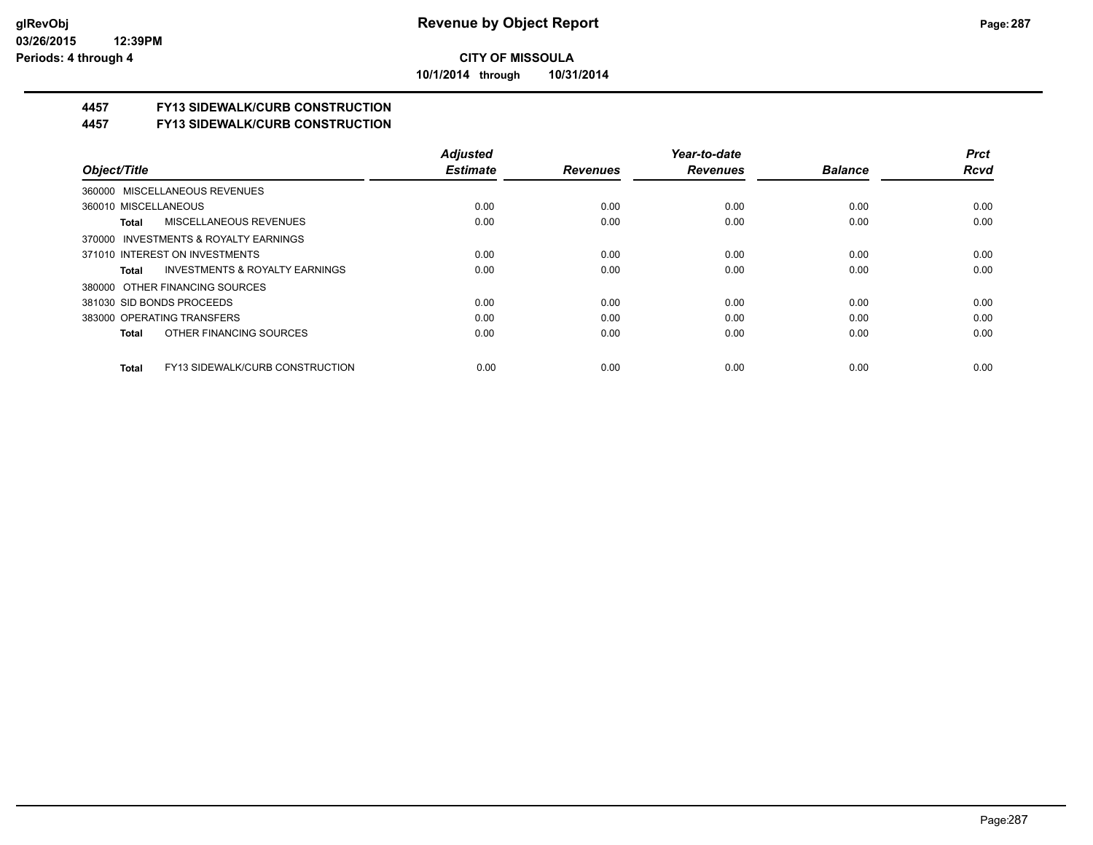**10/1/2014 through 10/31/2014**

## **4457 FY13 SIDEWALK/CURB CONSTRUCTION**

**4457 FY13 SIDEWALK/CURB CONSTRUCTION**

|                                                    | <b>Adiusted</b> |                 | Year-to-date    |                | <b>Prct</b> |
|----------------------------------------------------|-----------------|-----------------|-----------------|----------------|-------------|
| Object/Title                                       | <b>Estimate</b> | <b>Revenues</b> | <b>Revenues</b> | <b>Balance</b> | <b>Rcvd</b> |
| 360000 MISCELLANEOUS REVENUES                      |                 |                 |                 |                |             |
| 360010 MISCELLANEOUS                               | 0.00            | 0.00            | 0.00            | 0.00           | 0.00        |
| <b>MISCELLANEOUS REVENUES</b><br>Total             | 0.00            | 0.00            | 0.00            | 0.00           | 0.00        |
| 370000 INVESTMENTS & ROYALTY EARNINGS              |                 |                 |                 |                |             |
| 371010 INTEREST ON INVESTMENTS                     | 0.00            | 0.00            | 0.00            | 0.00           | 0.00        |
| <b>INVESTMENTS &amp; ROYALTY EARNINGS</b><br>Total | 0.00            | 0.00            | 0.00            | 0.00           | 0.00        |
| 380000 OTHER FINANCING SOURCES                     |                 |                 |                 |                |             |
| 381030 SID BONDS PROCEEDS                          | 0.00            | 0.00            | 0.00            | 0.00           | 0.00        |
| 383000 OPERATING TRANSFERS                         | 0.00            | 0.00            | 0.00            | 0.00           | 0.00        |
| OTHER FINANCING SOURCES<br>Total                   | 0.00            | 0.00            | 0.00            | 0.00           | 0.00        |
| FY13 SIDEWALK/CURB CONSTRUCTION<br>Total           | 0.00            | 0.00            | 0.00            | 0.00           | 0.00        |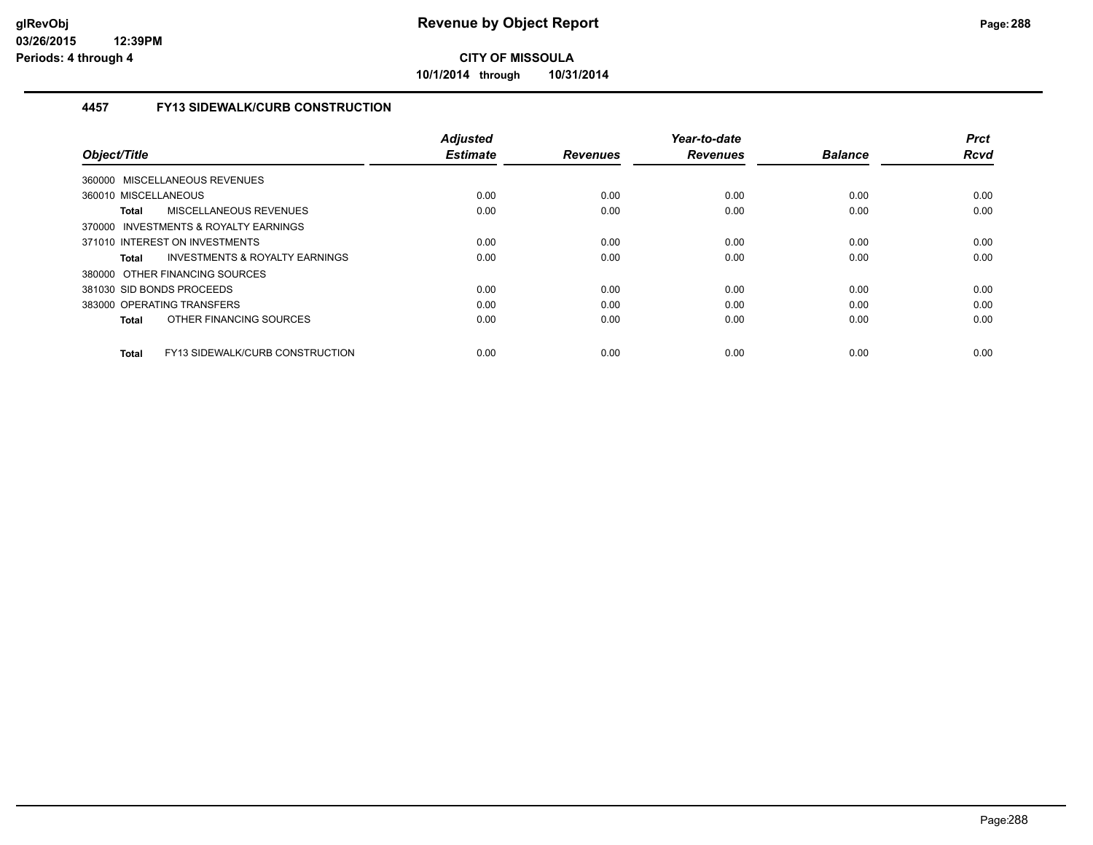**10/1/2014 through 10/31/2014**

## **4457 FY13 SIDEWALK/CURB CONSTRUCTION**

|                                                 | <b>Adjusted</b> |                 | Year-to-date    |                | <b>Prct</b> |
|-------------------------------------------------|-----------------|-----------------|-----------------|----------------|-------------|
| Object/Title                                    | <b>Estimate</b> | <b>Revenues</b> | <b>Revenues</b> | <b>Balance</b> | <b>Rcvd</b> |
| 360000 MISCELLANEOUS REVENUES                   |                 |                 |                 |                |             |
| 360010 MISCELLANEOUS                            | 0.00            | 0.00            | 0.00            | 0.00           | 0.00        |
| MISCELLANEOUS REVENUES<br><b>Total</b>          | 0.00            | 0.00            | 0.00            | 0.00           | 0.00        |
| 370000 INVESTMENTS & ROYALTY EARNINGS           |                 |                 |                 |                |             |
| 371010 INTEREST ON INVESTMENTS                  | 0.00            | 0.00            | 0.00            | 0.00           | 0.00        |
| INVESTMENTS & ROYALTY EARNINGS<br>Total         | 0.00            | 0.00            | 0.00            | 0.00           | 0.00        |
| 380000 OTHER FINANCING SOURCES                  |                 |                 |                 |                |             |
| 381030 SID BONDS PROCEEDS                       | 0.00            | 0.00            | 0.00            | 0.00           | 0.00        |
| 383000 OPERATING TRANSFERS                      | 0.00            | 0.00            | 0.00            | 0.00           | 0.00        |
| OTHER FINANCING SOURCES<br><b>Total</b>         | 0.00            | 0.00            | 0.00            | 0.00           | 0.00        |
|                                                 |                 |                 |                 |                |             |
| FY13 SIDEWALK/CURB CONSTRUCTION<br><b>Total</b> | 0.00            | 0.00            | 0.00            | 0.00           | 0.00        |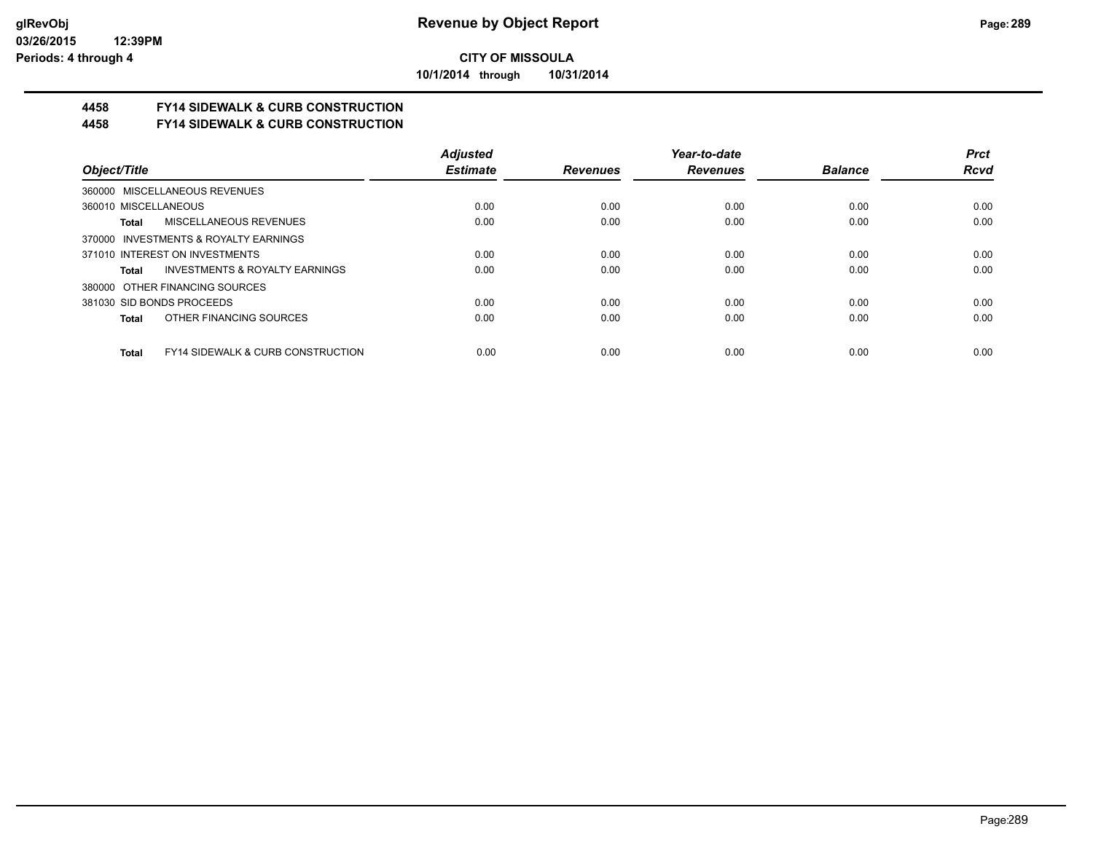**10/1/2014 through 10/31/2014**

## **4458 FY14 SIDEWALK & CURB CONSTRUCTION**

## **4458 FY14 SIDEWALK & CURB CONSTRUCTION**

|                                                              | <b>Adjusted</b> |                 | Year-to-date    |                | <b>Prct</b> |
|--------------------------------------------------------------|-----------------|-----------------|-----------------|----------------|-------------|
| Object/Title                                                 | <b>Estimate</b> | <b>Revenues</b> | <b>Revenues</b> | <b>Balance</b> | <b>Rcvd</b> |
| 360000 MISCELLANEOUS REVENUES                                |                 |                 |                 |                |             |
| 360010 MISCELLANEOUS                                         | 0.00            | 0.00            | 0.00            | 0.00           | 0.00        |
| MISCELLANEOUS REVENUES<br>Total                              | 0.00            | 0.00            | 0.00            | 0.00           | 0.00        |
| 370000 INVESTMENTS & ROYALTY EARNINGS                        |                 |                 |                 |                |             |
| 371010 INTEREST ON INVESTMENTS                               | 0.00            | 0.00            | 0.00            | 0.00           | 0.00        |
| <b>INVESTMENTS &amp; ROYALTY EARNINGS</b><br>Total           | 0.00            | 0.00            | 0.00            | 0.00           | 0.00        |
| 380000 OTHER FINANCING SOURCES                               |                 |                 |                 |                |             |
| 381030 SID BONDS PROCEEDS                                    | 0.00            | 0.00            | 0.00            | 0.00           | 0.00        |
| OTHER FINANCING SOURCES<br>Total                             | 0.00            | 0.00            | 0.00            | 0.00           | 0.00        |
|                                                              |                 |                 |                 |                |             |
| <b>FY14 SIDEWALK &amp; CURB CONSTRUCTION</b><br><b>Total</b> | 0.00            | 0.00            | 0.00            | 0.00           | 0.00        |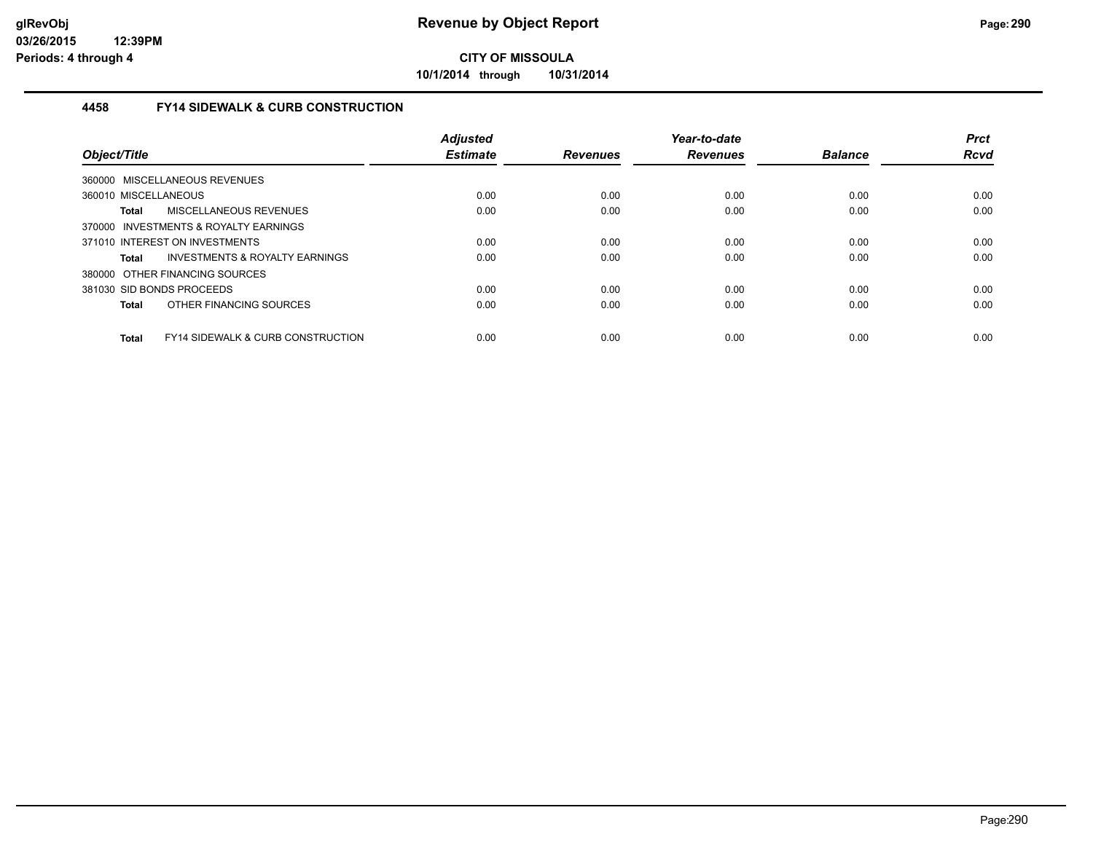**10/1/2014 through 10/31/2014**

## **4458 FY14 SIDEWALK & CURB CONSTRUCTION**

| Object/Title         |                                              | <b>Adjusted</b><br><b>Estimate</b> | <b>Revenues</b> | Year-to-date<br><b>Revenues</b> | <b>Balance</b> | <b>Prct</b><br><b>Rcvd</b> |
|----------------------|----------------------------------------------|------------------------------------|-----------------|---------------------------------|----------------|----------------------------|
|                      | 360000 MISCELLANEOUS REVENUES                |                                    |                 |                                 |                |                            |
| 360010 MISCELLANEOUS |                                              | 0.00                               | 0.00            | 0.00                            | 0.00           | 0.00                       |
| Total                | MISCELLANEOUS REVENUES                       | 0.00                               | 0.00            | 0.00                            | 0.00           | 0.00                       |
|                      | 370000 INVESTMENTS & ROYALTY EARNINGS        |                                    |                 |                                 |                |                            |
|                      | 371010 INTEREST ON INVESTMENTS               | 0.00                               | 0.00            | 0.00                            | 0.00           | 0.00                       |
| <b>Total</b>         | INVESTMENTS & ROYALTY EARNINGS               | 0.00                               | 0.00            | 0.00                            | 0.00           | 0.00                       |
|                      | 380000 OTHER FINANCING SOURCES               |                                    |                 |                                 |                |                            |
|                      | 381030 SID BONDS PROCEEDS                    | 0.00                               | 0.00            | 0.00                            | 0.00           | 0.00                       |
| <b>Total</b>         | OTHER FINANCING SOURCES                      | 0.00                               | 0.00            | 0.00                            | 0.00           | 0.00                       |
| <b>Total</b>         | <b>FY14 SIDEWALK &amp; CURB CONSTRUCTION</b> | 0.00                               | 0.00            | 0.00                            | 0.00           | 0.00                       |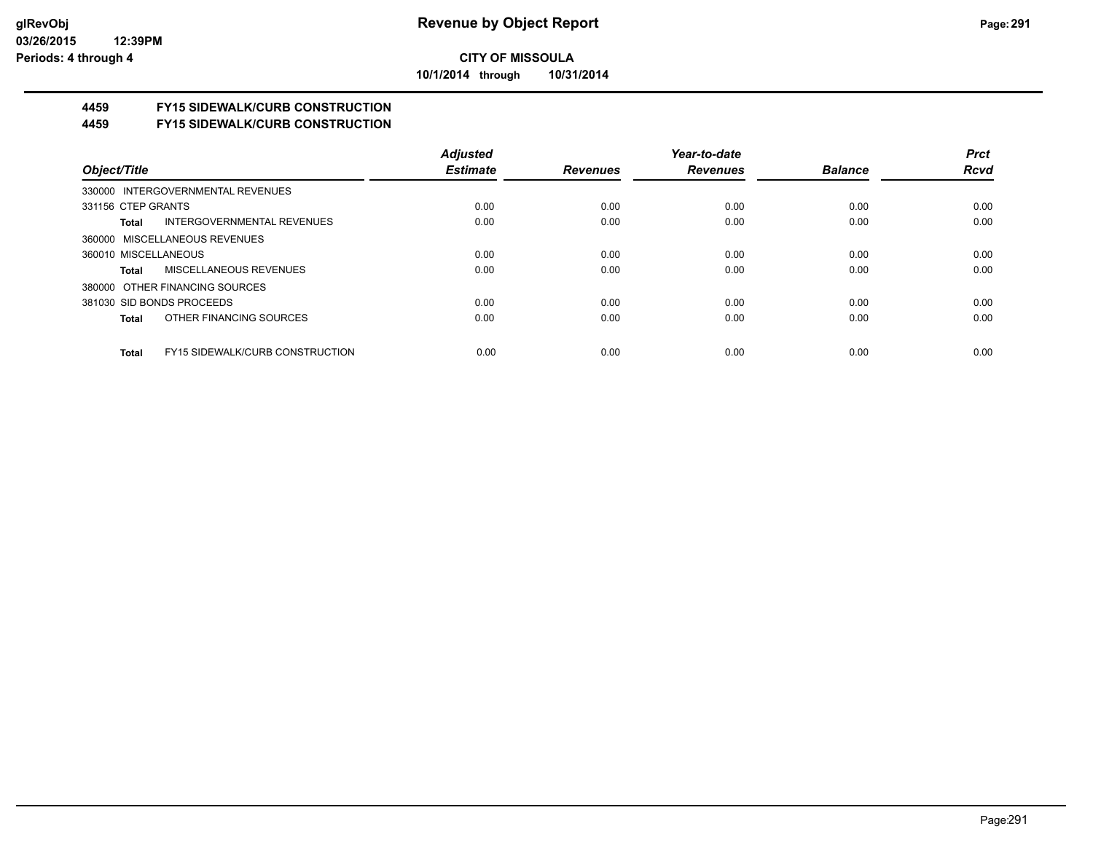**10/1/2014 through 10/31/2014**

# **4459 FY15 SIDEWALK/CURB CONSTRUCTION**

**4459 FY15 SIDEWALK/CURB CONSTRUCTION**

|                                                        | <b>Adjusted</b> |                 | Year-to-date    |                | <b>Prct</b> |
|--------------------------------------------------------|-----------------|-----------------|-----------------|----------------|-------------|
| Object/Title                                           | <b>Estimate</b> | <b>Revenues</b> | <b>Revenues</b> | <b>Balance</b> | <b>Rcvd</b> |
| 330000 INTERGOVERNMENTAL REVENUES                      |                 |                 |                 |                |             |
| 331156 CTEP GRANTS                                     | 0.00            | 0.00            | 0.00            | 0.00           | 0.00        |
| <b>INTERGOVERNMENTAL REVENUES</b><br>Total             | 0.00            | 0.00            | 0.00            | 0.00           | 0.00        |
| 360000 MISCELLANEOUS REVENUES                          |                 |                 |                 |                |             |
| 360010 MISCELLANEOUS                                   | 0.00            | 0.00            | 0.00            | 0.00           | 0.00        |
| MISCELLANEOUS REVENUES<br>Total                        | 0.00            | 0.00            | 0.00            | 0.00           | 0.00        |
| 380000 OTHER FINANCING SOURCES                         |                 |                 |                 |                |             |
| 381030 SID BONDS PROCEEDS                              | 0.00            | 0.00            | 0.00            | 0.00           | 0.00        |
| OTHER FINANCING SOURCES<br>Total                       | 0.00            | 0.00            | 0.00            | 0.00           | 0.00        |
|                                                        |                 |                 |                 |                |             |
| <b>FY15 SIDEWALK/CURB CONSTRUCTION</b><br><b>Total</b> | 0.00            | 0.00            | 0.00            | 0.00           | 0.00        |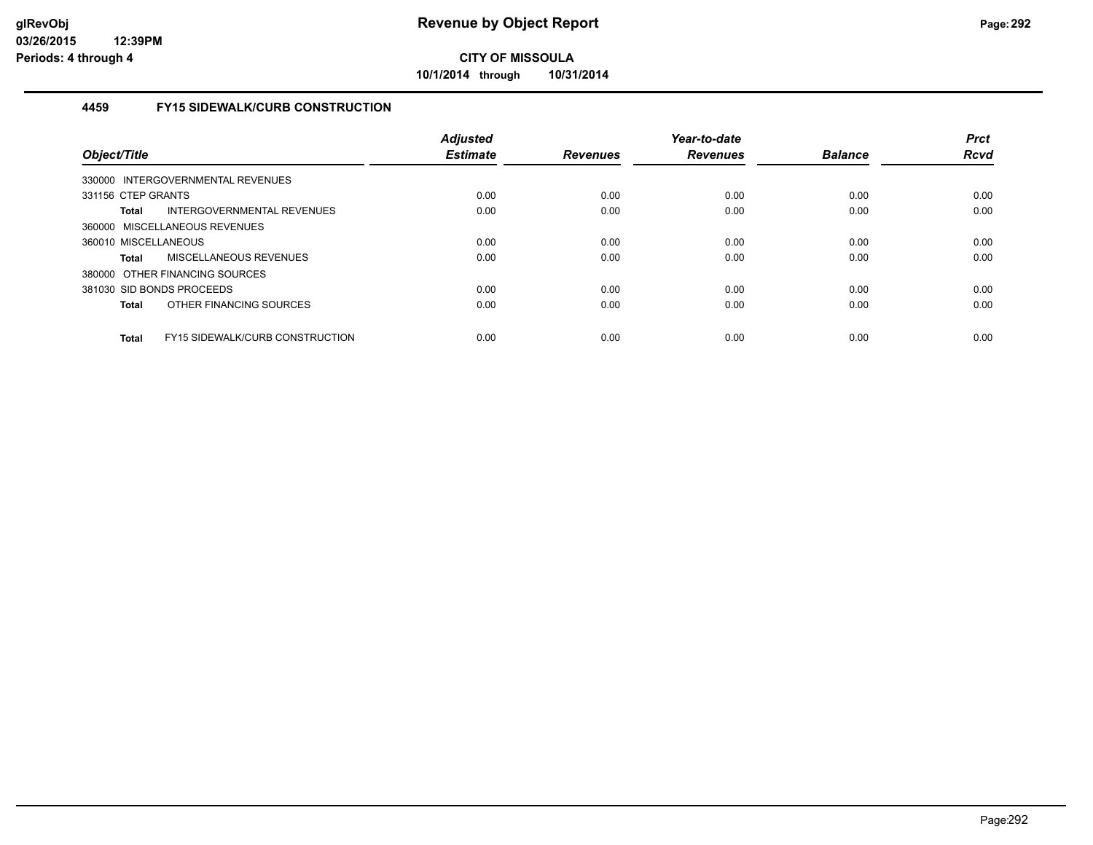**10/1/2014 through 10/31/2014**

## **4459 FY15 SIDEWALK/CURB CONSTRUCTION**

| Object/Title         |                                        | <b>Adjusted</b><br><b>Estimate</b> | <b>Revenues</b> | Year-to-date<br><b>Revenues</b> | <b>Balance</b> | <b>Prct</b><br><b>Rcvd</b> |
|----------------------|----------------------------------------|------------------------------------|-----------------|---------------------------------|----------------|----------------------------|
|                      | 330000 INTERGOVERNMENTAL REVENUES      |                                    |                 |                                 |                |                            |
| 331156 CTEP GRANTS   |                                        | 0.00                               | 0.00            | 0.00                            | 0.00           | 0.00                       |
| <b>Total</b>         | INTERGOVERNMENTAL REVENUES             | 0.00                               | 0.00            | 0.00                            | 0.00           | 0.00                       |
|                      | 360000 MISCELLANEOUS REVENUES          |                                    |                 |                                 |                |                            |
| 360010 MISCELLANEOUS |                                        | 0.00                               | 0.00            | 0.00                            | 0.00           | 0.00                       |
| <b>Total</b>         | MISCELLANEOUS REVENUES                 | 0.00                               | 0.00            | 0.00                            | 0.00           | 0.00                       |
|                      | 380000 OTHER FINANCING SOURCES         |                                    |                 |                                 |                |                            |
|                      | 381030 SID BONDS PROCEEDS              | 0.00                               | 0.00            | 0.00                            | 0.00           | 0.00                       |
| <b>Total</b>         | OTHER FINANCING SOURCES                | 0.00                               | 0.00            | 0.00                            | 0.00           | 0.00                       |
| <b>Total</b>         | <b>FY15 SIDEWALK/CURB CONSTRUCTION</b> | 0.00                               | 0.00            | 0.00                            | 0.00           | 0.00                       |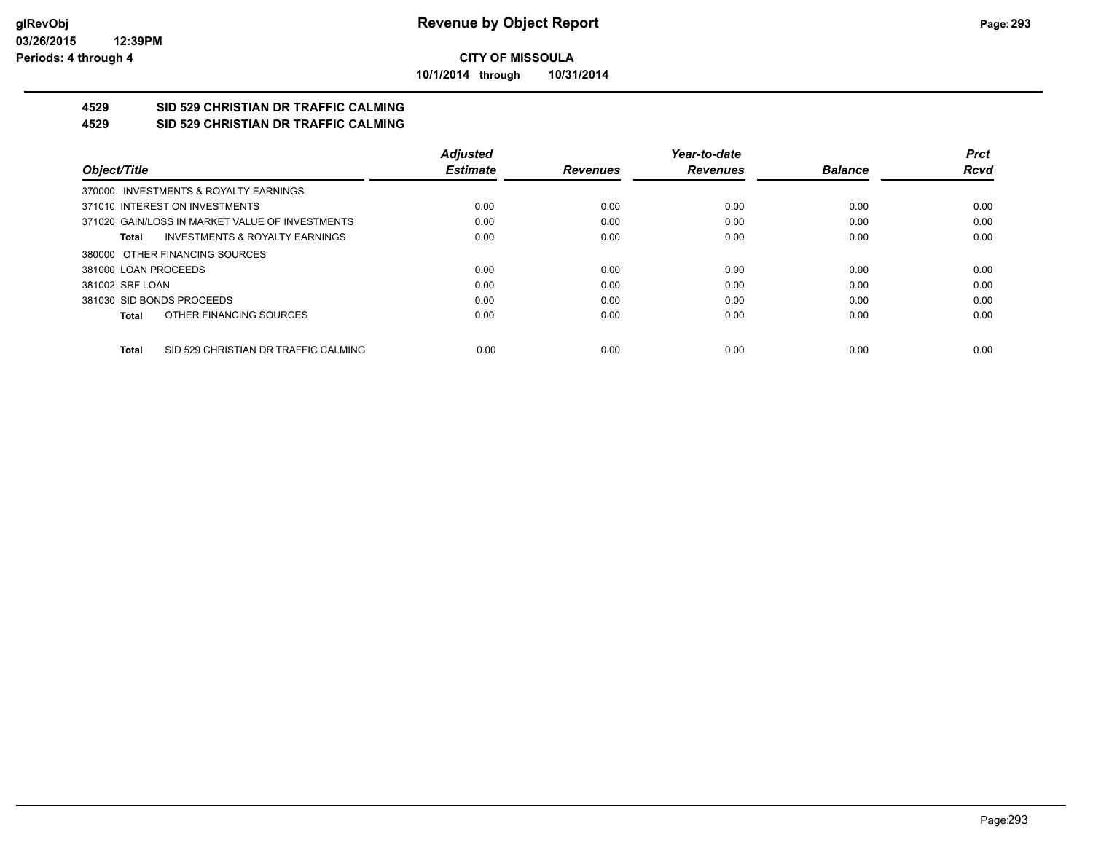**10/1/2014 through 10/31/2014**

#### **4529 SID 529 CHRISTIAN DR TRAFFIC CALMING 4529 SID 529 CHRISTIAN DR TRAFFIC CALMING**

|                      |                                                 | <b>Adjusted</b> |                 | Year-to-date    |                | <b>Prct</b> |
|----------------------|-------------------------------------------------|-----------------|-----------------|-----------------|----------------|-------------|
| Object/Title         |                                                 | <b>Estimate</b> | <b>Revenues</b> | <b>Revenues</b> | <b>Balance</b> | <b>Rcvd</b> |
|                      | 370000 INVESTMENTS & ROYALTY EARNINGS           |                 |                 |                 |                |             |
|                      | 371010 INTEREST ON INVESTMENTS                  | 0.00            | 0.00            | 0.00            | 0.00           | 0.00        |
|                      | 371020 GAIN/LOSS IN MARKET VALUE OF INVESTMENTS | 0.00            | 0.00            | 0.00            | 0.00           | 0.00        |
| Total                | <b>INVESTMENTS &amp; ROYALTY EARNINGS</b>       | 0.00            | 0.00            | 0.00            | 0.00           | 0.00        |
|                      | 380000 OTHER FINANCING SOURCES                  |                 |                 |                 |                |             |
| 381000 LOAN PROCEEDS |                                                 | 0.00            | 0.00            | 0.00            | 0.00           | 0.00        |
| 381002 SRF LOAN      |                                                 | 0.00            | 0.00            | 0.00            | 0.00           | 0.00        |
|                      | 381030 SID BONDS PROCEEDS                       | 0.00            | 0.00            | 0.00            | 0.00           | 0.00        |
| <b>Total</b>         | OTHER FINANCING SOURCES                         | 0.00            | 0.00            | 0.00            | 0.00           | 0.00        |
| <b>Total</b>         | SID 529 CHRISTIAN DR TRAFFIC CALMING            | 0.00            | 0.00            | 0.00            | 0.00           | 0.00        |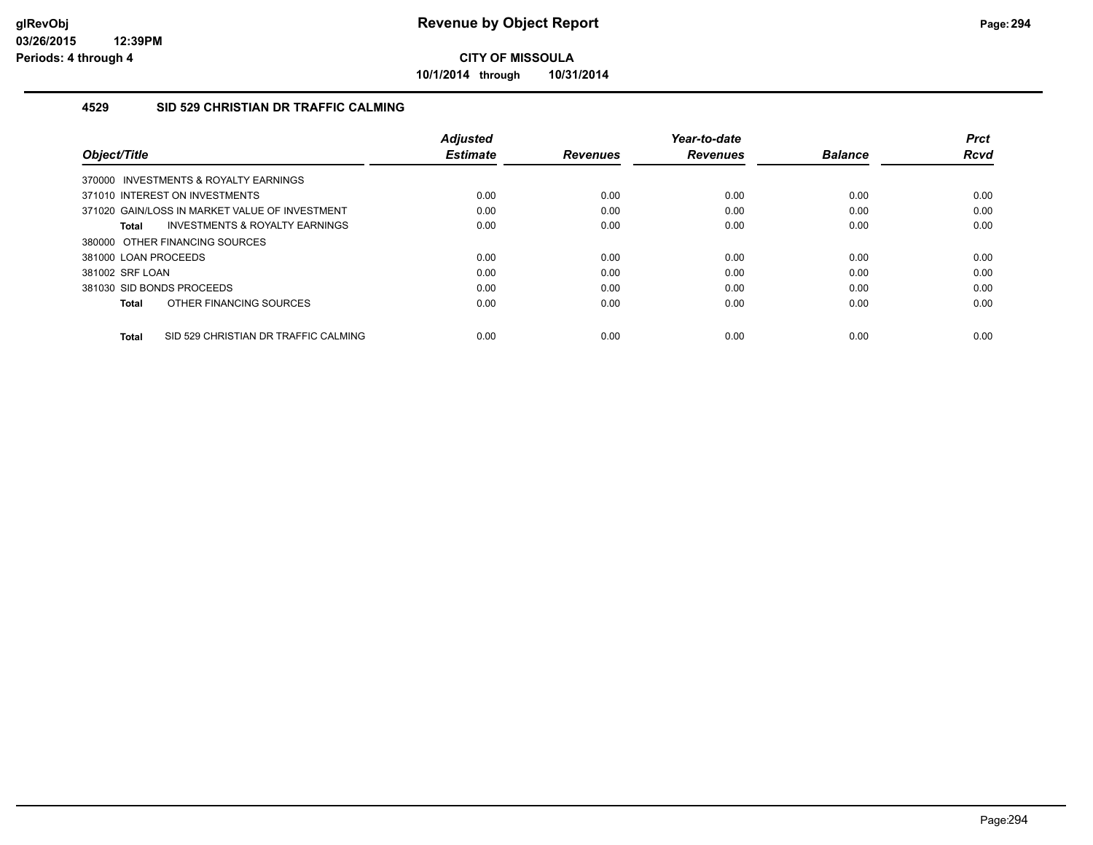**10/1/2014 through 10/31/2014**

### **4529 SID 529 CHRISTIAN DR TRAFFIC CALMING**

| Object/Title                                         | <b>Adjusted</b><br><b>Estimate</b> | <b>Revenues</b> | Year-to-date<br><b>Revenues</b> | <b>Balance</b> | <b>Prct</b><br>Rcvd |
|------------------------------------------------------|------------------------------------|-----------------|---------------------------------|----------------|---------------------|
| 370000 INVESTMENTS & ROYALTY EARNINGS                |                                    |                 |                                 |                |                     |
| 371010 INTEREST ON INVESTMENTS                       | 0.00                               | 0.00            | 0.00                            | 0.00           | 0.00                |
| 371020 GAIN/LOSS IN MARKET VALUE OF INVESTMENT       | 0.00                               | 0.00            | 0.00                            | 0.00           | 0.00                |
| INVESTMENTS & ROYALTY EARNINGS<br>Total              | 0.00                               | 0.00            | 0.00                            | 0.00           | 0.00                |
| 380000 OTHER FINANCING SOURCES                       |                                    |                 |                                 |                |                     |
| 381000 LOAN PROCEEDS                                 | 0.00                               | 0.00            | 0.00                            | 0.00           | 0.00                |
| 381002 SRF LOAN                                      | 0.00                               | 0.00            | 0.00                            | 0.00           | 0.00                |
| 381030 SID BONDS PROCEEDS                            | 0.00                               | 0.00            | 0.00                            | 0.00           | 0.00                |
| OTHER FINANCING SOURCES<br>Total                     | 0.00                               | 0.00            | 0.00                            | 0.00           | 0.00                |
| SID 529 CHRISTIAN DR TRAFFIC CALMING<br><b>Total</b> | 0.00                               | 0.00            | 0.00                            | 0.00           | 0.00                |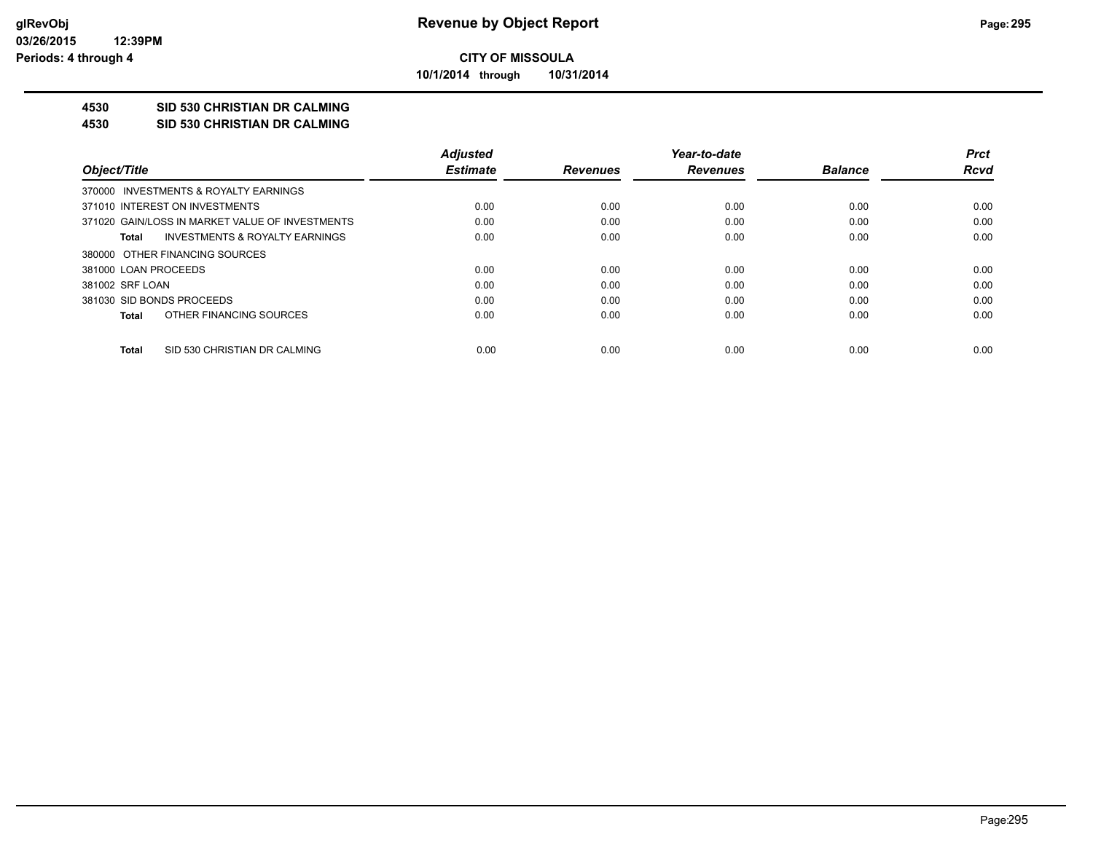**10/1/2014 through 10/31/2014**

## **4530 SID 530 CHRISTIAN DR CALMING**

**4530 SID 530 CHRISTIAN DR CALMING**

|                                                 | <b>Adjusted</b> |                 | Year-to-date    |                | <b>Prct</b> |
|-------------------------------------------------|-----------------|-----------------|-----------------|----------------|-------------|
| Object/Title                                    | <b>Estimate</b> | <b>Revenues</b> | <b>Revenues</b> | <b>Balance</b> | Rcvd        |
| 370000 INVESTMENTS & ROYALTY EARNINGS           |                 |                 |                 |                |             |
| 371010 INTEREST ON INVESTMENTS                  | 0.00            | 0.00            | 0.00            | 0.00           | 0.00        |
| 371020 GAIN/LOSS IN MARKET VALUE OF INVESTMENTS | 0.00            | 0.00            | 0.00            | 0.00           | 0.00        |
| INVESTMENTS & ROYALTY EARNINGS<br>Total         | 0.00            | 0.00            | 0.00            | 0.00           | 0.00        |
| 380000 OTHER FINANCING SOURCES                  |                 |                 |                 |                |             |
| 381000 LOAN PROCEEDS                            | 0.00            | 0.00            | 0.00            | 0.00           | 0.00        |
| 381002 SRF LOAN                                 | 0.00            | 0.00            | 0.00            | 0.00           | 0.00        |
| 381030 SID BONDS PROCEEDS                       | 0.00            | 0.00            | 0.00            | 0.00           | 0.00        |
| OTHER FINANCING SOURCES<br>Total                | 0.00            | 0.00            | 0.00            | 0.00           | 0.00        |
| SID 530 CHRISTIAN DR CALMING<br>Total           | 0.00            | 0.00            | 0.00            | 0.00           | 0.00        |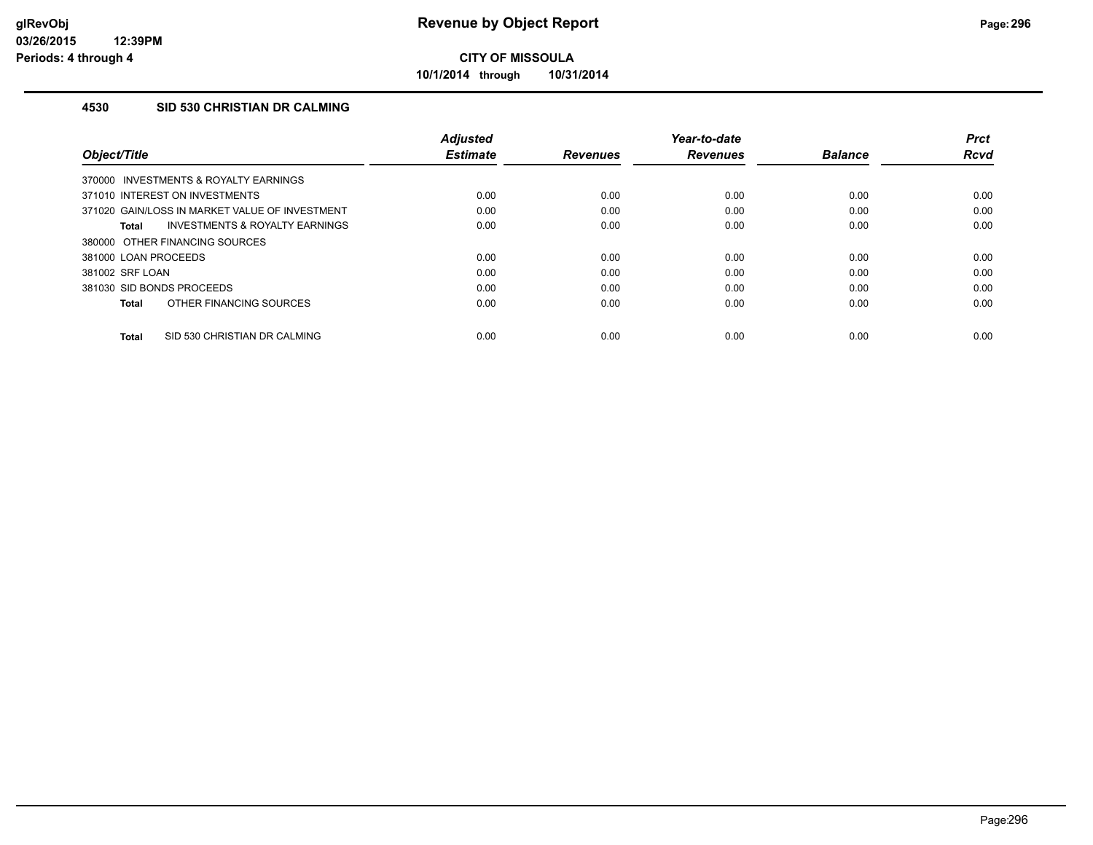**10/1/2014 through 10/31/2014**

## **4530 SID 530 CHRISTIAN DR CALMING**

| Object/Title                                       | <b>Adjusted</b><br><b>Estimate</b> | <b>Revenues</b> | Year-to-date<br><b>Revenues</b> | <b>Balance</b> | <b>Prct</b><br>Rcvd |
|----------------------------------------------------|------------------------------------|-----------------|---------------------------------|----------------|---------------------|
| 370000 INVESTMENTS & ROYALTY EARNINGS              |                                    |                 |                                 |                |                     |
| 371010 INTEREST ON INVESTMENTS                     | 0.00                               | 0.00            | 0.00                            | 0.00           | 0.00                |
| 371020 GAIN/LOSS IN MARKET VALUE OF INVESTMENT     | 0.00                               | 0.00            | 0.00                            | 0.00           | 0.00                |
| <b>INVESTMENTS &amp; ROYALTY EARNINGS</b><br>Total | 0.00                               | 0.00            | 0.00                            | 0.00           | 0.00                |
| 380000 OTHER FINANCING SOURCES                     |                                    |                 |                                 |                |                     |
| 381000 LOAN PROCEEDS                               | 0.00                               | 0.00            | 0.00                            | 0.00           | 0.00                |
| 381002 SRF LOAN                                    | 0.00                               | 0.00            | 0.00                            | 0.00           | 0.00                |
| 381030 SID BONDS PROCEEDS                          | 0.00                               | 0.00            | 0.00                            | 0.00           | 0.00                |
| OTHER FINANCING SOURCES<br><b>Total</b>            | 0.00                               | 0.00            | 0.00                            | 0.00           | 0.00                |
| SID 530 CHRISTIAN DR CALMING<br>Total              | 0.00                               | 0.00            | 0.00                            | 0.00           | 0.00                |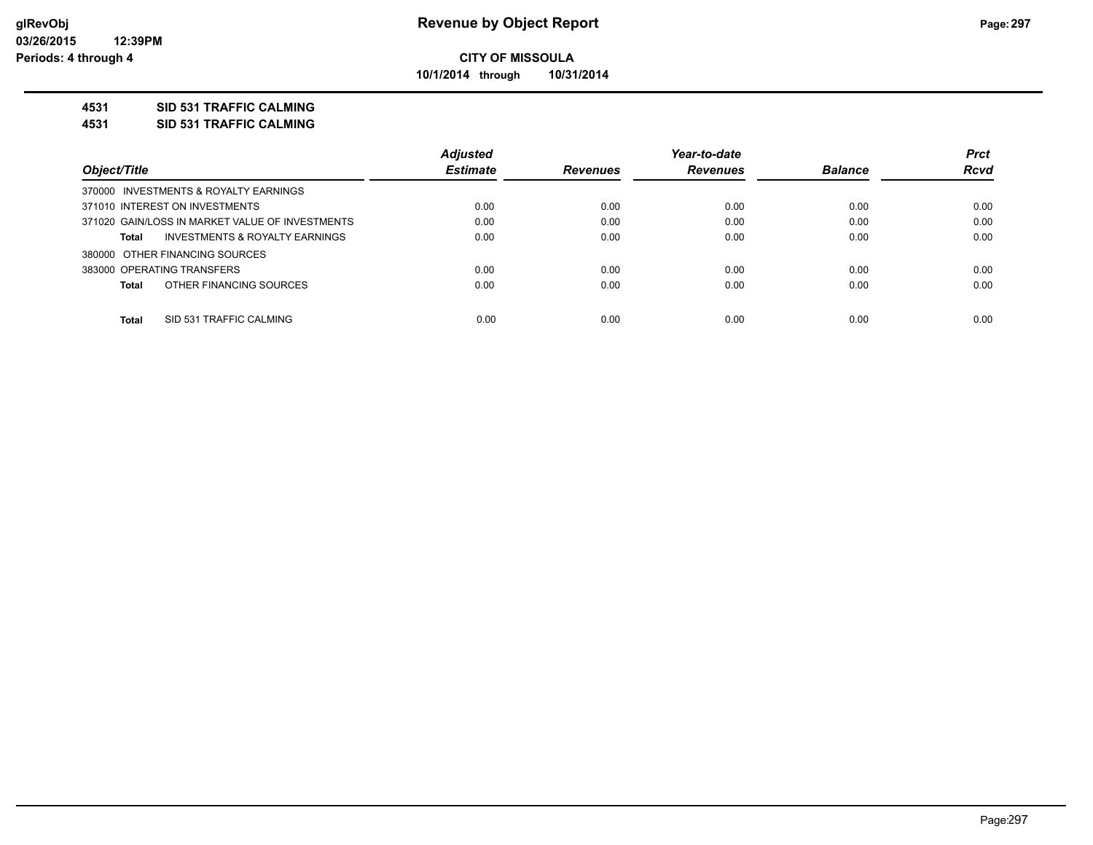**10/1/2014 through 10/31/2014**

## **4531 SID 531 TRAFFIC CALMING**

**4531 SID 531 TRAFFIC CALMING**

|                                                 | <b>Adjusted</b> |                 | Year-to-date    |                | <b>Prct</b> |
|-------------------------------------------------|-----------------|-----------------|-----------------|----------------|-------------|
| Object/Title                                    | <b>Estimate</b> | <b>Revenues</b> | <b>Revenues</b> | <b>Balance</b> | <b>Rcvd</b> |
| 370000 INVESTMENTS & ROYALTY EARNINGS           |                 |                 |                 |                |             |
| 371010 INTEREST ON INVESTMENTS                  | 0.00            | 0.00            | 0.00            | 0.00           | 0.00        |
| 371020 GAIN/LOSS IN MARKET VALUE OF INVESTMENTS | 0.00            | 0.00            | 0.00            | 0.00           | 0.00        |
| INVESTMENTS & ROYALTY EARNINGS<br>Total         | 0.00            | 0.00            | 0.00            | 0.00           | 0.00        |
| 380000 OTHER FINANCING SOURCES                  |                 |                 |                 |                |             |
| 383000 OPERATING TRANSFERS                      | 0.00            | 0.00            | 0.00            | 0.00           | 0.00        |
| OTHER FINANCING SOURCES<br>Total                | 0.00            | 0.00            | 0.00            | 0.00           | 0.00        |
|                                                 |                 |                 |                 |                |             |
| Total<br>SID 531 TRAFFIC CALMING                | 0.00            | 0.00            | 0.00            | 0.00           | 0.00        |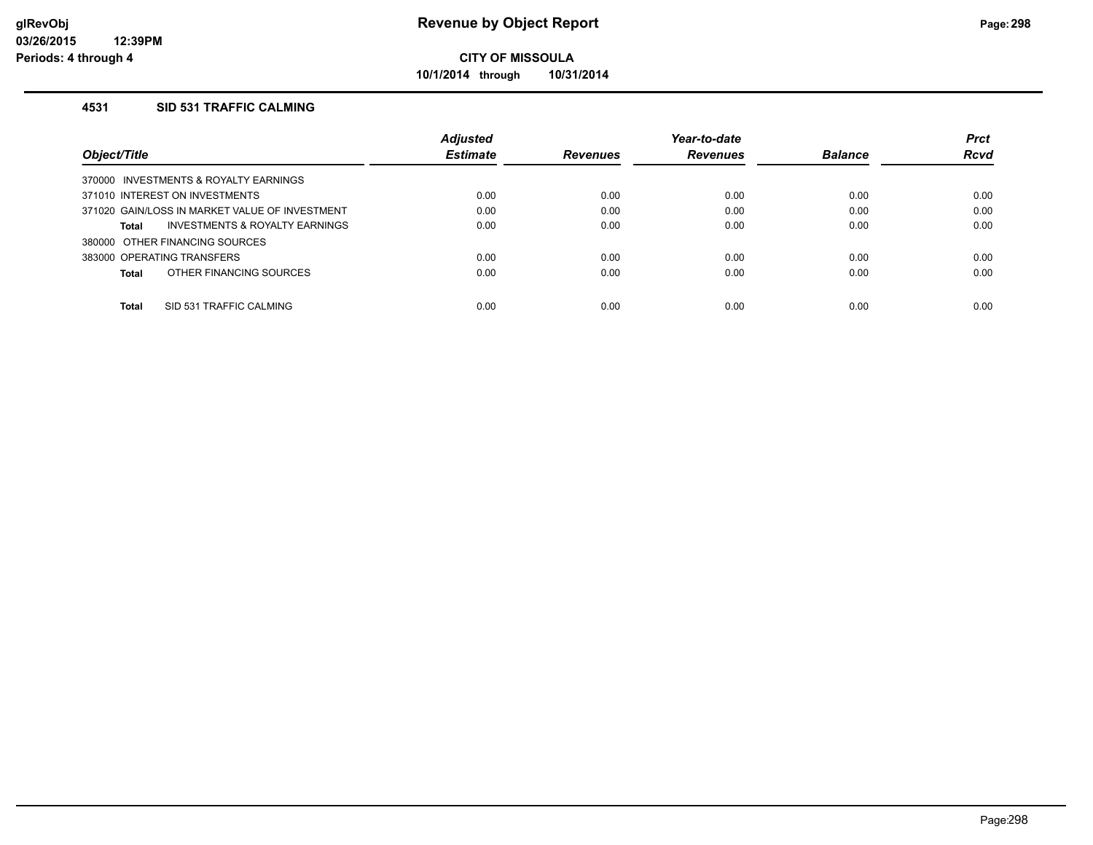**10/1/2014 through 10/31/2014**

## **4531 SID 531 TRAFFIC CALMING**

|                                                    | <b>Adjusted</b> |                 | Year-to-date    |                | <b>Prct</b> |
|----------------------------------------------------|-----------------|-----------------|-----------------|----------------|-------------|
| Object/Title                                       | <b>Estimate</b> | <b>Revenues</b> | <b>Revenues</b> | <b>Balance</b> | Rcvd        |
| INVESTMENTS & ROYALTY EARNINGS<br>370000           |                 |                 |                 |                |             |
| 371010 INTEREST ON INVESTMENTS                     | 0.00            | 0.00            | 0.00            | 0.00           | 0.00        |
| 371020 GAIN/LOSS IN MARKET VALUE OF INVESTMENT     | 0.00            | 0.00            | 0.00            | 0.00           | 0.00        |
| <b>INVESTMENTS &amp; ROYALTY EARNINGS</b><br>Total | 0.00            | 0.00            | 0.00            | 0.00           | 0.00        |
| 380000 OTHER FINANCING SOURCES                     |                 |                 |                 |                |             |
| 383000 OPERATING TRANSFERS                         | 0.00            | 0.00            | 0.00            | 0.00           | 0.00        |
| OTHER FINANCING SOURCES<br>Total                   | 0.00            | 0.00            | 0.00            | 0.00           | 0.00        |
|                                                    |                 |                 |                 |                |             |
| Total<br>SID 531 TRAFFIC CALMING                   | 0.00            | 0.00            | 0.00            | 0.00           | 0.00        |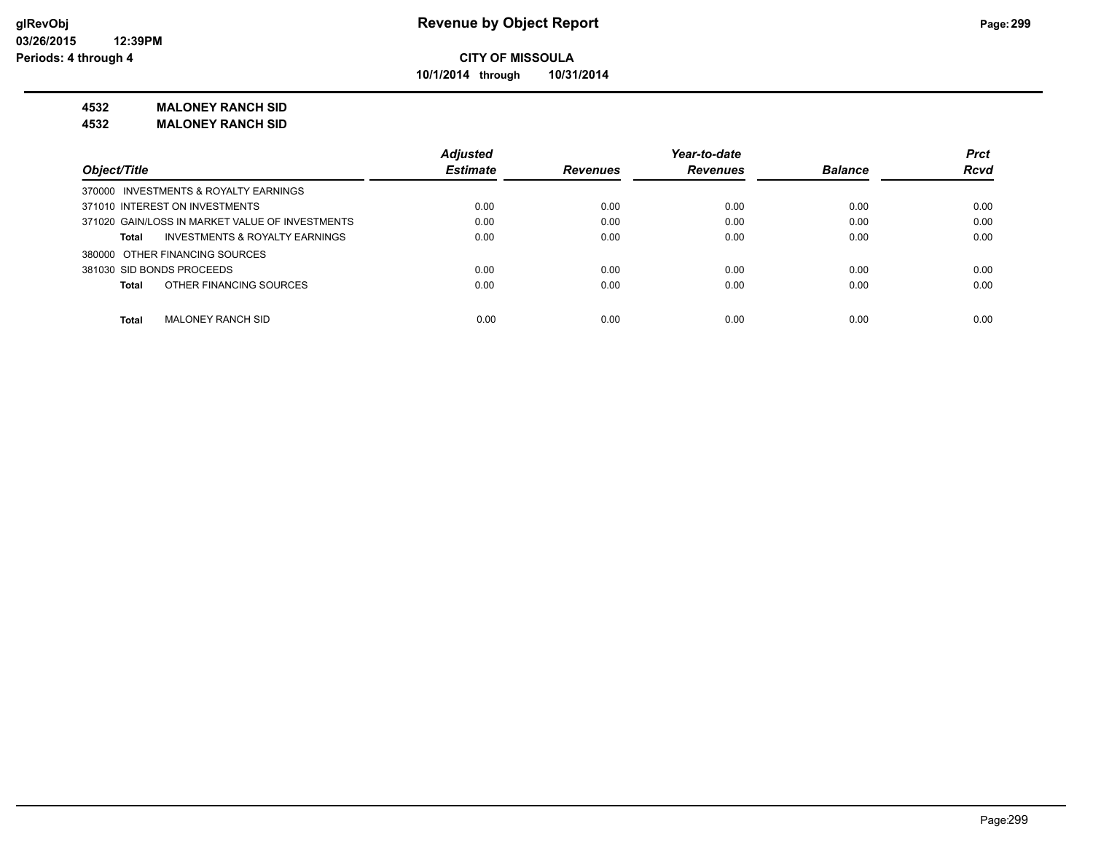**10/1/2014 through 10/31/2014**

### **4532 MALONEY RANCH SID**

**4532 MALONEY RANCH SID**

|                                                    | <b>Adjusted</b> |                 | Year-to-date    |                | <b>Prct</b> |
|----------------------------------------------------|-----------------|-----------------|-----------------|----------------|-------------|
| Object/Title                                       | <b>Estimate</b> | <b>Revenues</b> | <b>Revenues</b> | <b>Balance</b> | <b>Rcvd</b> |
| 370000 INVESTMENTS & ROYALTY EARNINGS              |                 |                 |                 |                |             |
| 371010 INTEREST ON INVESTMENTS                     | 0.00            | 0.00            | 0.00            | 0.00           | 0.00        |
| 371020 GAIN/LOSS IN MARKET VALUE OF INVESTMENTS    | 0.00            | 0.00            | 0.00            | 0.00           | 0.00        |
| <b>INVESTMENTS &amp; ROYALTY EARNINGS</b><br>Total | 0.00            | 0.00            | 0.00            | 0.00           | 0.00        |
| 380000 OTHER FINANCING SOURCES                     |                 |                 |                 |                |             |
| 381030 SID BONDS PROCEEDS                          | 0.00            | 0.00            | 0.00            | 0.00           | 0.00        |
| OTHER FINANCING SOURCES<br>Total                   | 0.00            | 0.00            | 0.00            | 0.00           | 0.00        |
|                                                    |                 |                 |                 |                |             |
| MALONEY RANCH SID<br><b>Total</b>                  | 0.00            | 0.00            | 0.00            | 0.00           | 0.00        |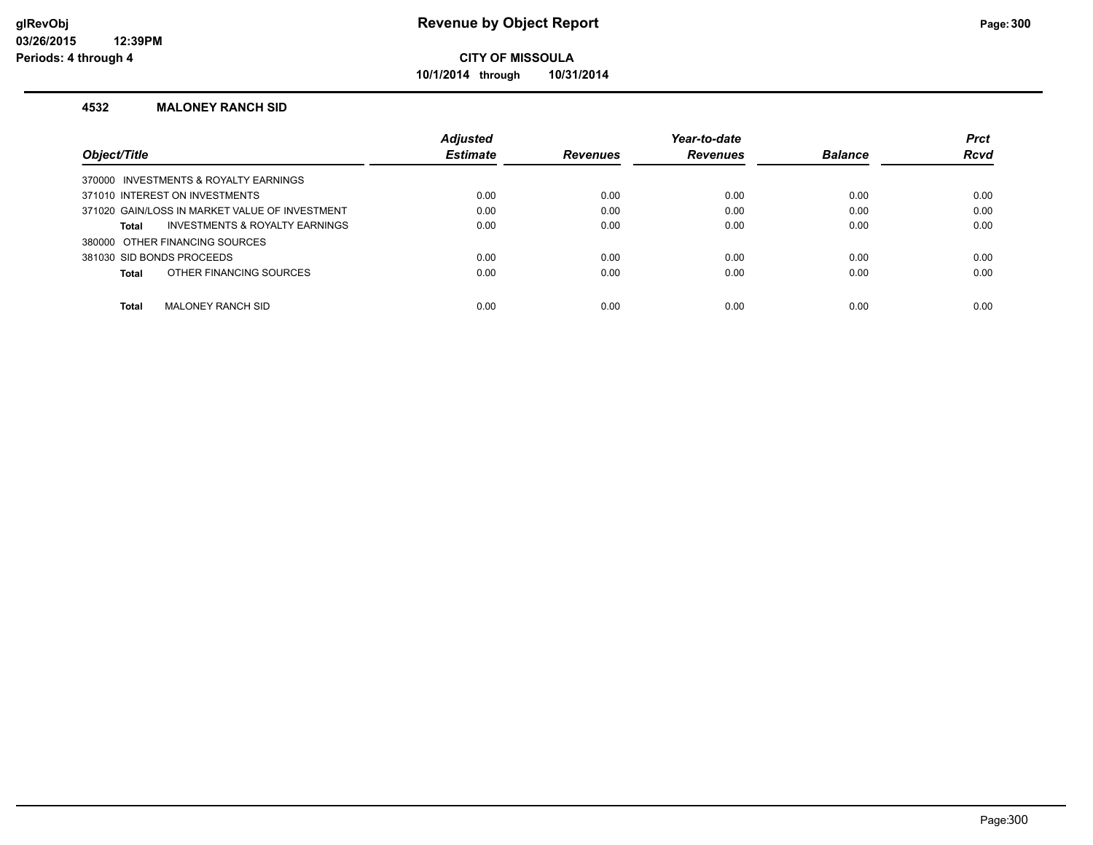**10/1/2014 through 10/31/2014**

### **4532 MALONEY RANCH SID**

|                                                | <b>Adjusted</b> |                 | Year-to-date    |                | <b>Prct</b> |
|------------------------------------------------|-----------------|-----------------|-----------------|----------------|-------------|
| Object/Title                                   | <b>Estimate</b> | <b>Revenues</b> | <b>Revenues</b> | <b>Balance</b> | <b>Rcvd</b> |
| 370000 INVESTMENTS & ROYALTY EARNINGS          |                 |                 |                 |                |             |
| 371010 INTEREST ON INVESTMENTS                 | 0.00            | 0.00            | 0.00            | 0.00           | 0.00        |
| 371020 GAIN/LOSS IN MARKET VALUE OF INVESTMENT | 0.00            | 0.00            | 0.00            | 0.00           | 0.00        |
| INVESTMENTS & ROYALTY EARNINGS<br>Total        | 0.00            | 0.00            | 0.00            | 0.00           | 0.00        |
| 380000 OTHER FINANCING SOURCES                 |                 |                 |                 |                |             |
| 381030 SID BONDS PROCEEDS                      | 0.00            | 0.00            | 0.00            | 0.00           | 0.00        |
| OTHER FINANCING SOURCES<br>Total               | 0.00            | 0.00            | 0.00            | 0.00           | 0.00        |
|                                                |                 |                 |                 |                |             |
| <b>Total</b><br>MALONEY RANCH SID              | 0.00            | 0.00            | 0.00            | 0.00           | 0.00        |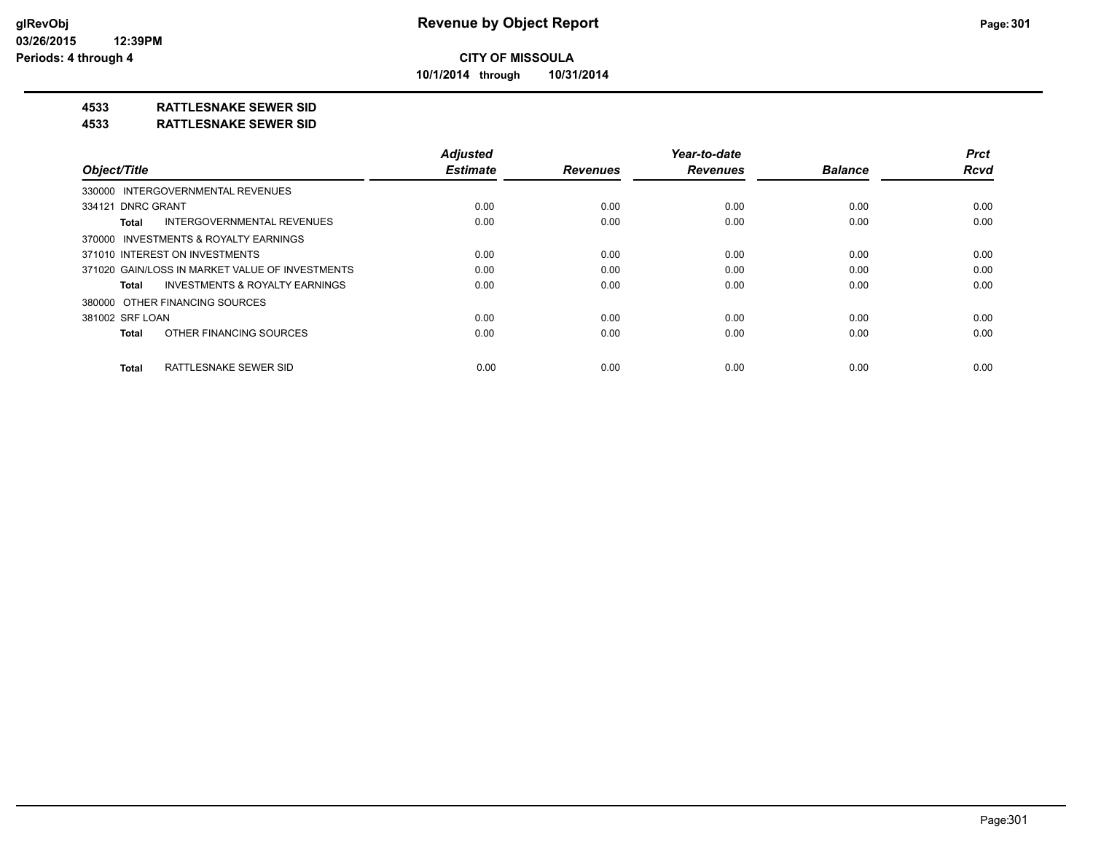**10/1/2014 through 10/31/2014**

## **4533 RATTLESNAKE SEWER SID**

#### **4533 RATTLESNAKE SEWER SID**

|                                                    | <b>Adjusted</b> |                 | Year-to-date    |                | <b>Prct</b> |
|----------------------------------------------------|-----------------|-----------------|-----------------|----------------|-------------|
| Object/Title                                       | <b>Estimate</b> | <b>Revenues</b> | <b>Revenues</b> | <b>Balance</b> | <b>Rcvd</b> |
| 330000 INTERGOVERNMENTAL REVENUES                  |                 |                 |                 |                |             |
| 334121 DNRC GRANT                                  | 0.00            | 0.00            | 0.00            | 0.00           | 0.00        |
| INTERGOVERNMENTAL REVENUES<br>Total                | 0.00            | 0.00            | 0.00            | 0.00           | 0.00        |
| 370000 INVESTMENTS & ROYALTY EARNINGS              |                 |                 |                 |                |             |
| 371010 INTEREST ON INVESTMENTS                     | 0.00            | 0.00            | 0.00            | 0.00           | 0.00        |
| 371020 GAIN/LOSS IN MARKET VALUE OF INVESTMENTS    | 0.00            | 0.00            | 0.00            | 0.00           | 0.00        |
| <b>INVESTMENTS &amp; ROYALTY EARNINGS</b><br>Total | 0.00            | 0.00            | 0.00            | 0.00           | 0.00        |
| 380000 OTHER FINANCING SOURCES                     |                 |                 |                 |                |             |
| 381002 SRF LOAN                                    | 0.00            | 0.00            | 0.00            | 0.00           | 0.00        |
| OTHER FINANCING SOURCES<br>Total                   | 0.00            | 0.00            | 0.00            | 0.00           | 0.00        |
| RATTLESNAKE SEWER SID<br>Total                     | 0.00            | 0.00            | 0.00            | 0.00           | 0.00        |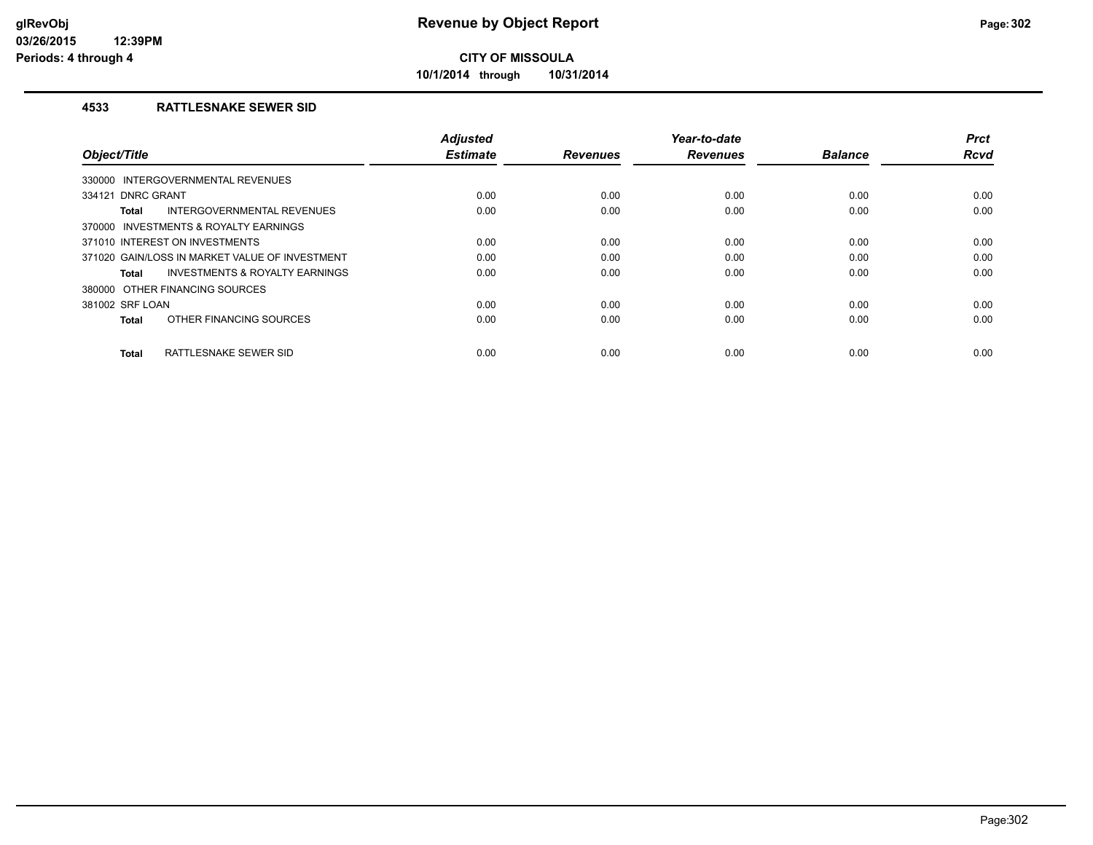**10/1/2014 through 10/31/2014**

## **4533 RATTLESNAKE SEWER SID**

| Object/Title                                              | <b>Adjusted</b><br><b>Estimate</b> | <b>Revenues</b> | Year-to-date<br><b>Revenues</b> | <b>Balance</b> | <b>Prct</b><br><b>Rcvd</b> |
|-----------------------------------------------------------|------------------------------------|-----------------|---------------------------------|----------------|----------------------------|
|                                                           |                                    |                 |                                 |                |                            |
| 330000 INTERGOVERNMENTAL REVENUES                         |                                    |                 |                                 |                |                            |
| 334121 DNRC GRANT                                         | 0.00                               | 0.00            | 0.00                            | 0.00           | 0.00                       |
| INTERGOVERNMENTAL REVENUES<br><b>Total</b>                | 0.00                               | 0.00            | 0.00                            | 0.00           | 0.00                       |
| 370000 INVESTMENTS & ROYALTY EARNINGS                     |                                    |                 |                                 |                |                            |
| 371010 INTEREST ON INVESTMENTS                            | 0.00                               | 0.00            | 0.00                            | 0.00           | 0.00                       |
| 371020 GAIN/LOSS IN MARKET VALUE OF INVESTMENT            | 0.00                               | 0.00            | 0.00                            | 0.00           | 0.00                       |
| <b>INVESTMENTS &amp; ROYALTY EARNINGS</b><br><b>Total</b> | 0.00                               | 0.00            | 0.00                            | 0.00           | 0.00                       |
| 380000 OTHER FINANCING SOURCES                            |                                    |                 |                                 |                |                            |
| 381002 SRF LOAN                                           | 0.00                               | 0.00            | 0.00                            | 0.00           | 0.00                       |
| OTHER FINANCING SOURCES<br><b>Total</b>                   | 0.00                               | 0.00            | 0.00                            | 0.00           | 0.00                       |
| RATTLESNAKE SEWER SID<br><b>Total</b>                     | 0.00                               | 0.00            | 0.00                            | 0.00           | 0.00                       |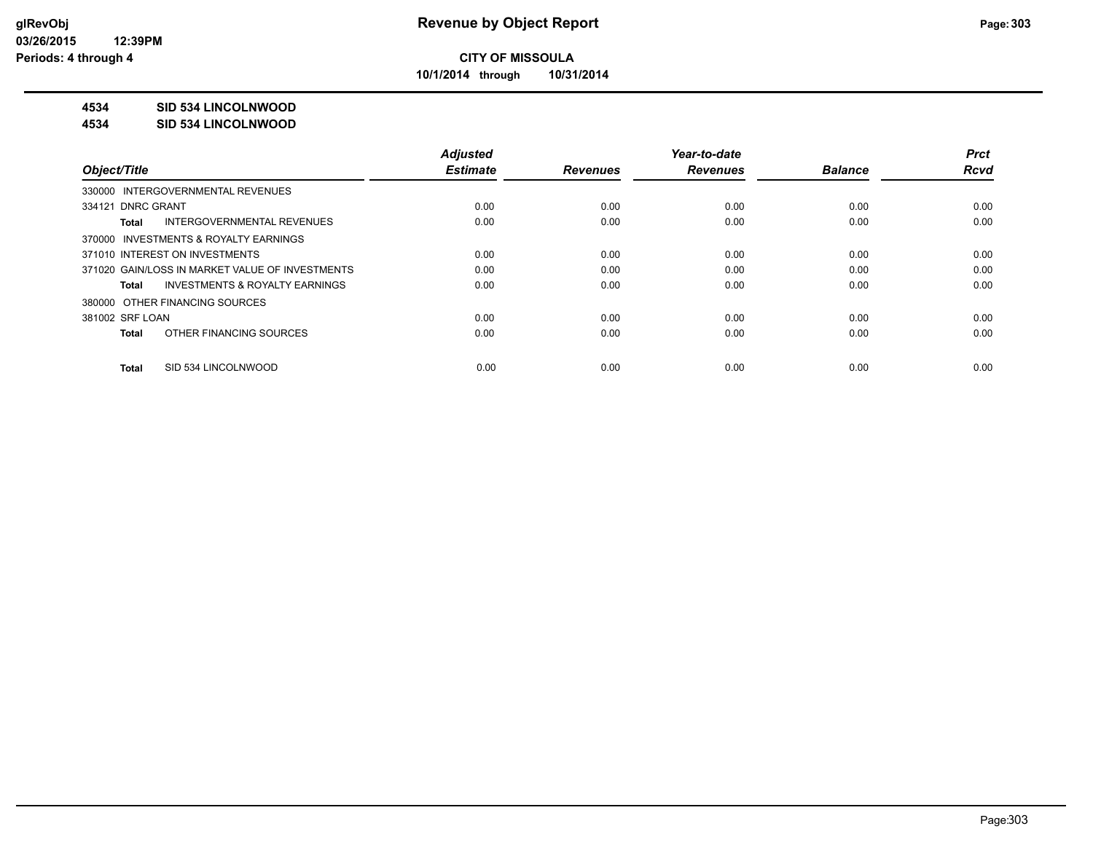**10/1/2014 through 10/31/2014**

## **4534 SID 534 LINCOLNWOOD**

#### **4534 SID 534 LINCOLNWOOD**

|                                                    | <b>Adjusted</b> |                 | Year-to-date    |                | <b>Prct</b> |
|----------------------------------------------------|-----------------|-----------------|-----------------|----------------|-------------|
| Object/Title                                       | <b>Estimate</b> | <b>Revenues</b> | <b>Revenues</b> | <b>Balance</b> | <b>Rcvd</b> |
| 330000 INTERGOVERNMENTAL REVENUES                  |                 |                 |                 |                |             |
| 334121 DNRC GRANT                                  | 0.00            | 0.00            | 0.00            | 0.00           | 0.00        |
| INTERGOVERNMENTAL REVENUES<br>Total                | 0.00            | 0.00            | 0.00            | 0.00           | 0.00        |
| 370000 INVESTMENTS & ROYALTY EARNINGS              |                 |                 |                 |                |             |
| 371010 INTEREST ON INVESTMENTS                     | 0.00            | 0.00            | 0.00            | 0.00           | 0.00        |
| 371020 GAIN/LOSS IN MARKET VALUE OF INVESTMENTS    | 0.00            | 0.00            | 0.00            | 0.00           | 0.00        |
| <b>INVESTMENTS &amp; ROYALTY EARNINGS</b><br>Total | 0.00            | 0.00            | 0.00            | 0.00           | 0.00        |
| 380000 OTHER FINANCING SOURCES                     |                 |                 |                 |                |             |
| 381002 SRF LOAN                                    | 0.00            | 0.00            | 0.00            | 0.00           | 0.00        |
| OTHER FINANCING SOURCES<br>Total                   | 0.00            | 0.00            | 0.00            | 0.00           | 0.00        |
| SID 534 LINCOLNWOOD<br>Total                       | 0.00            | 0.00            | 0.00            | 0.00           | 0.00        |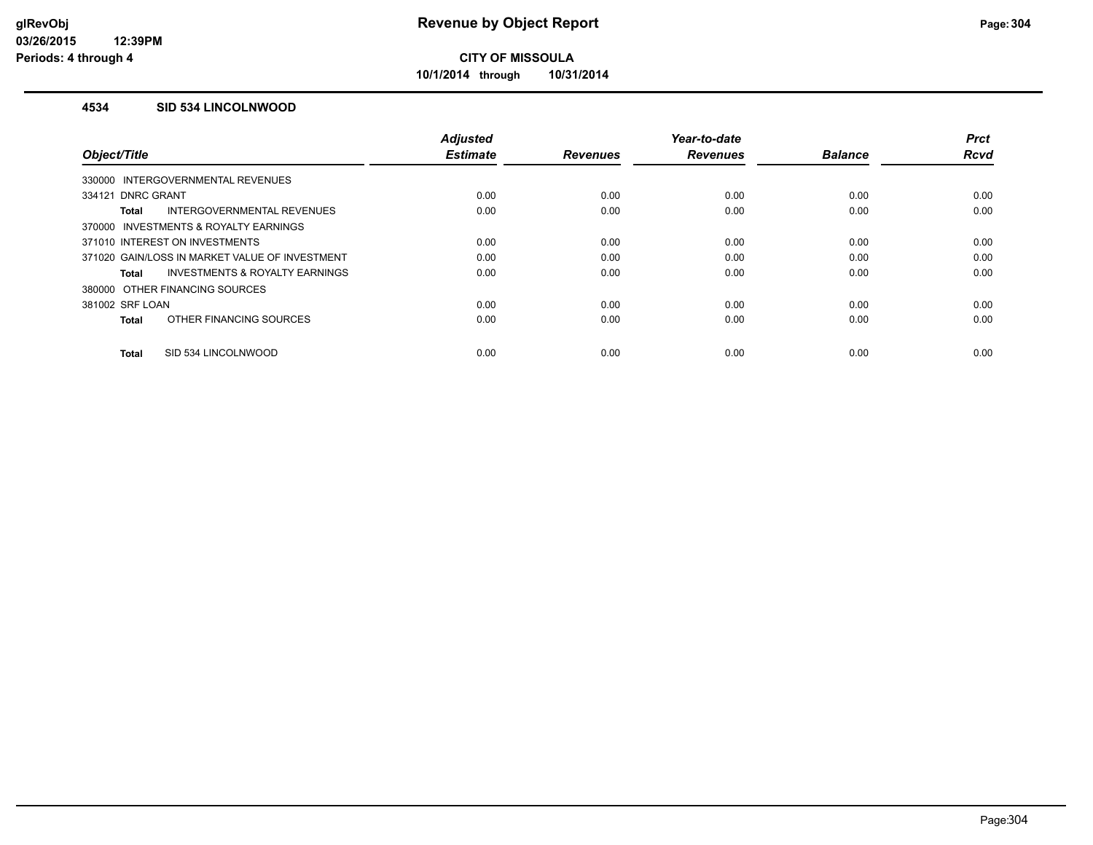**10/1/2014 through 10/31/2014**

### **4534 SID 534 LINCOLNWOOD**

|                                                    | <b>Adjusted</b> |                 | Year-to-date    |                | <b>Prct</b> |
|----------------------------------------------------|-----------------|-----------------|-----------------|----------------|-------------|
| Object/Title                                       | <b>Estimate</b> | <b>Revenues</b> | <b>Revenues</b> | <b>Balance</b> | Rcvd        |
| 330000 INTERGOVERNMENTAL REVENUES                  |                 |                 |                 |                |             |
| 334121 DNRC GRANT                                  | 0.00            | 0.00            | 0.00            | 0.00           | 0.00        |
| INTERGOVERNMENTAL REVENUES<br>Total                | 0.00            | 0.00            | 0.00            | 0.00           | 0.00        |
| 370000 INVESTMENTS & ROYALTY EARNINGS              |                 |                 |                 |                |             |
| 371010 INTEREST ON INVESTMENTS                     | 0.00            | 0.00            | 0.00            | 0.00           | 0.00        |
| 371020 GAIN/LOSS IN MARKET VALUE OF INVESTMENT     | 0.00            | 0.00            | 0.00            | 0.00           | 0.00        |
| <b>INVESTMENTS &amp; ROYALTY EARNINGS</b><br>Total | 0.00            | 0.00            | 0.00            | 0.00           | 0.00        |
| 380000 OTHER FINANCING SOURCES                     |                 |                 |                 |                |             |
| 381002 SRF LOAN                                    | 0.00            | 0.00            | 0.00            | 0.00           | 0.00        |
| OTHER FINANCING SOURCES<br><b>Total</b>            | 0.00            | 0.00            | 0.00            | 0.00           | 0.00        |
| SID 534 LINCOLNWOOD<br><b>Total</b>                | 0.00            | 0.00            | 0.00            | 0.00           | 0.00        |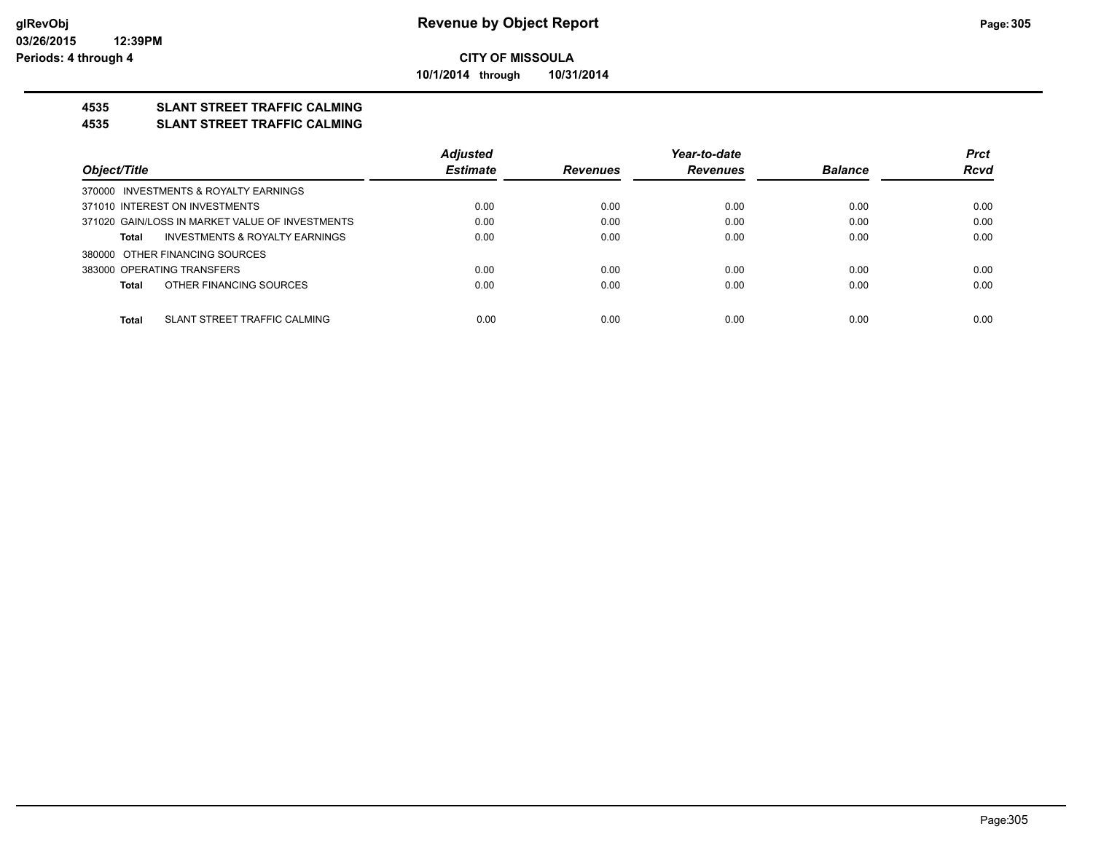**10/1/2014 through 10/31/2014**

## **4535 SLANT STREET TRAFFIC CALMING**

#### **4535 SLANT STREET TRAFFIC CALMING**

|                                                 | <b>Adjusted</b> |                 | Year-to-date    |                | <b>Prct</b> |
|-------------------------------------------------|-----------------|-----------------|-----------------|----------------|-------------|
| Object/Title                                    | <b>Estimate</b> | <b>Revenues</b> | <b>Revenues</b> | <b>Balance</b> | <b>Rcvd</b> |
| 370000 INVESTMENTS & ROYALTY EARNINGS           |                 |                 |                 |                |             |
| 371010 INTEREST ON INVESTMENTS                  | 0.00            | 0.00            | 0.00            | 0.00           | 0.00        |
| 371020 GAIN/LOSS IN MARKET VALUE OF INVESTMENTS | 0.00            | 0.00            | 0.00            | 0.00           | 0.00        |
| INVESTMENTS & ROYALTY EARNINGS<br>Total         | 0.00            | 0.00            | 0.00            | 0.00           | 0.00        |
| 380000 OTHER FINANCING SOURCES                  |                 |                 |                 |                |             |
| 383000 OPERATING TRANSFERS                      | 0.00            | 0.00            | 0.00            | 0.00           | 0.00        |
| OTHER FINANCING SOURCES<br>Total                | 0.00            | 0.00            | 0.00            | 0.00           | 0.00        |
|                                                 |                 |                 |                 |                |             |
| SLANT STREET TRAFFIC CALMING<br><b>Total</b>    | 0.00            | 0.00            | 0.00            | 0.00           | 0.00        |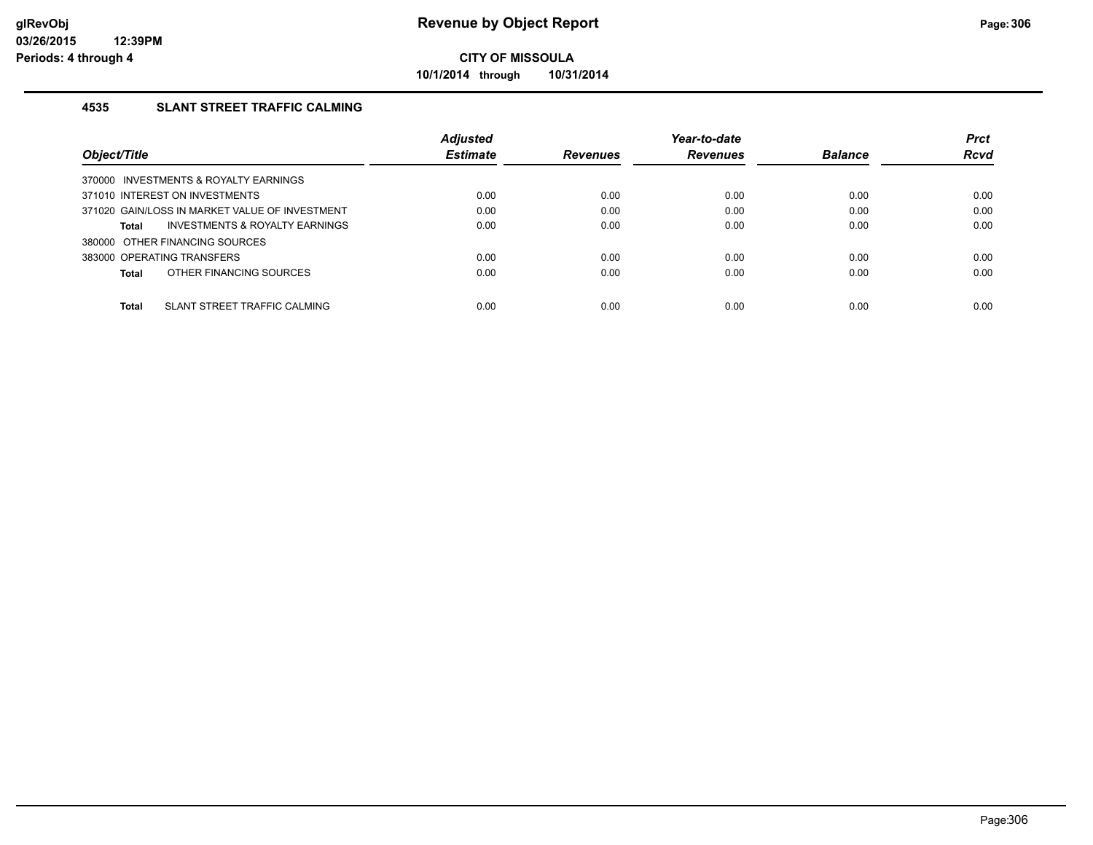**10/1/2014 through 10/31/2014**

## **4535 SLANT STREET TRAFFIC CALMING**

|                                                | <b>Adjusted</b> |                 | Year-to-date    |                | <b>Prct</b> |
|------------------------------------------------|-----------------|-----------------|-----------------|----------------|-------------|
| Object/Title                                   | <b>Estimate</b> | <b>Revenues</b> | <b>Revenues</b> | <b>Balance</b> | <b>Rcvd</b> |
| 370000 INVESTMENTS & ROYALTY EARNINGS          |                 |                 |                 |                |             |
| 371010 INTEREST ON INVESTMENTS                 | 0.00            | 0.00            | 0.00            | 0.00           | 0.00        |
| 371020 GAIN/LOSS IN MARKET VALUE OF INVESTMENT | 0.00            | 0.00            | 0.00            | 0.00           | 0.00        |
| INVESTMENTS & ROYALTY EARNINGS<br><b>Total</b> | 0.00            | 0.00            | 0.00            | 0.00           | 0.00        |
| 380000 OTHER FINANCING SOURCES                 |                 |                 |                 |                |             |
| 383000 OPERATING TRANSFERS                     | 0.00            | 0.00            | 0.00            | 0.00           | 0.00        |
| OTHER FINANCING SOURCES<br><b>Total</b>        | 0.00            | 0.00            | 0.00            | 0.00           | 0.00        |
|                                                |                 |                 |                 |                |             |
| SLANT STREET TRAFFIC CALMING<br><b>Total</b>   | 0.00            | 0.00            | 0.00            | 0.00           | 0.00        |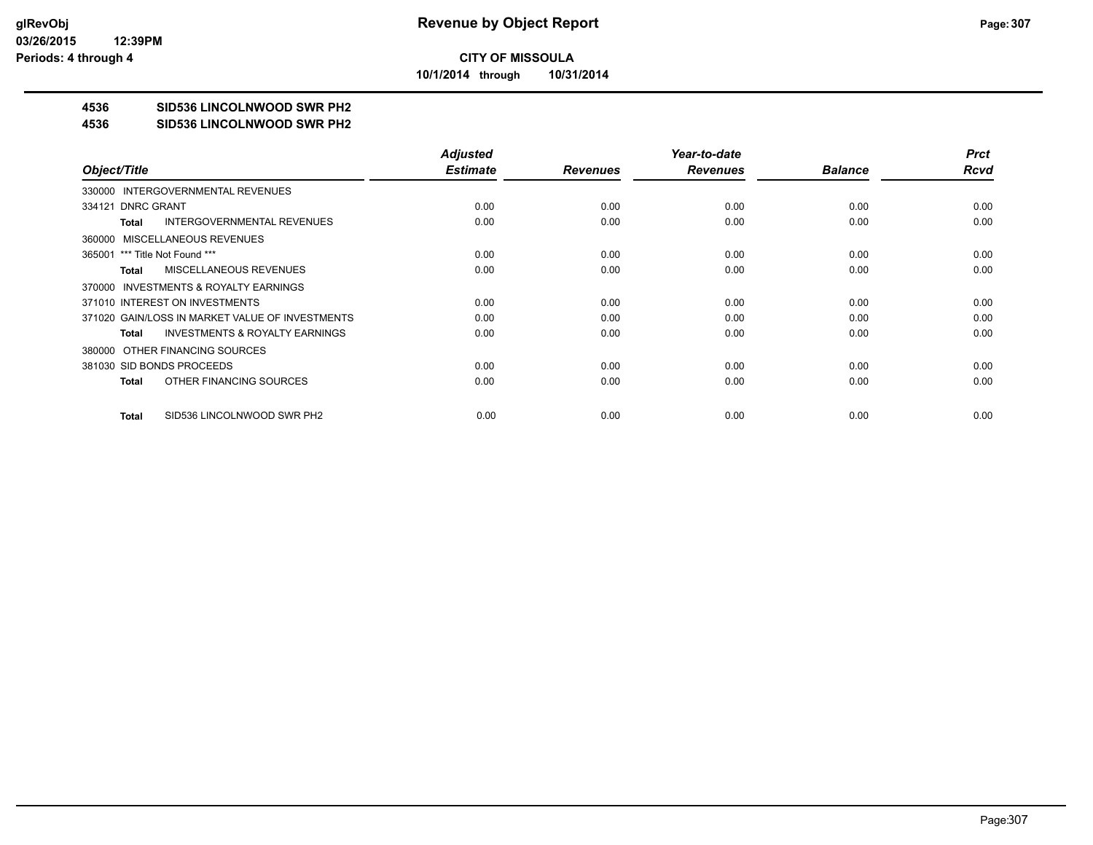**10/1/2014 through 10/31/2014**

## **4536 SID536 LINCOLNWOOD SWR PH2**

#### **4536 SID536 LINCOLNWOOD SWR PH2**

|                                                    | <b>Adjusted</b> |                 | Year-to-date    |                | <b>Prct</b> |
|----------------------------------------------------|-----------------|-----------------|-----------------|----------------|-------------|
| Object/Title                                       | <b>Estimate</b> | <b>Revenues</b> | <b>Revenues</b> | <b>Balance</b> | Rcvd        |
| 330000 INTERGOVERNMENTAL REVENUES                  |                 |                 |                 |                |             |
| 334121 DNRC GRANT                                  | 0.00            | 0.00            | 0.00            | 0.00           | 0.00        |
| <b>INTERGOVERNMENTAL REVENUES</b><br>Total         | 0.00            | 0.00            | 0.00            | 0.00           | 0.00        |
| 360000 MISCELLANEOUS REVENUES                      |                 |                 |                 |                |             |
| 365001 *** Title Not Found ***                     | 0.00            | 0.00            | 0.00            | 0.00           | 0.00        |
| <b>MISCELLANEOUS REVENUES</b><br>Total             | 0.00            | 0.00            | 0.00            | 0.00           | 0.00        |
| 370000 INVESTMENTS & ROYALTY EARNINGS              |                 |                 |                 |                |             |
| 371010 INTEREST ON INVESTMENTS                     | 0.00            | 0.00            | 0.00            | 0.00           | 0.00        |
| 371020 GAIN/LOSS IN MARKET VALUE OF INVESTMENTS    | 0.00            | 0.00            | 0.00            | 0.00           | 0.00        |
| <b>INVESTMENTS &amp; ROYALTY EARNINGS</b><br>Total | 0.00            | 0.00            | 0.00            | 0.00           | 0.00        |
| 380000 OTHER FINANCING SOURCES                     |                 |                 |                 |                |             |
| 381030 SID BONDS PROCEEDS                          | 0.00            | 0.00            | 0.00            | 0.00           | 0.00        |
| OTHER FINANCING SOURCES<br>Total                   | 0.00            | 0.00            | 0.00            | 0.00           | 0.00        |
|                                                    |                 |                 |                 |                |             |
| SID536 LINCOLNWOOD SWR PH2<br>Total                | 0.00            | 0.00            | 0.00            | 0.00           | 0.00        |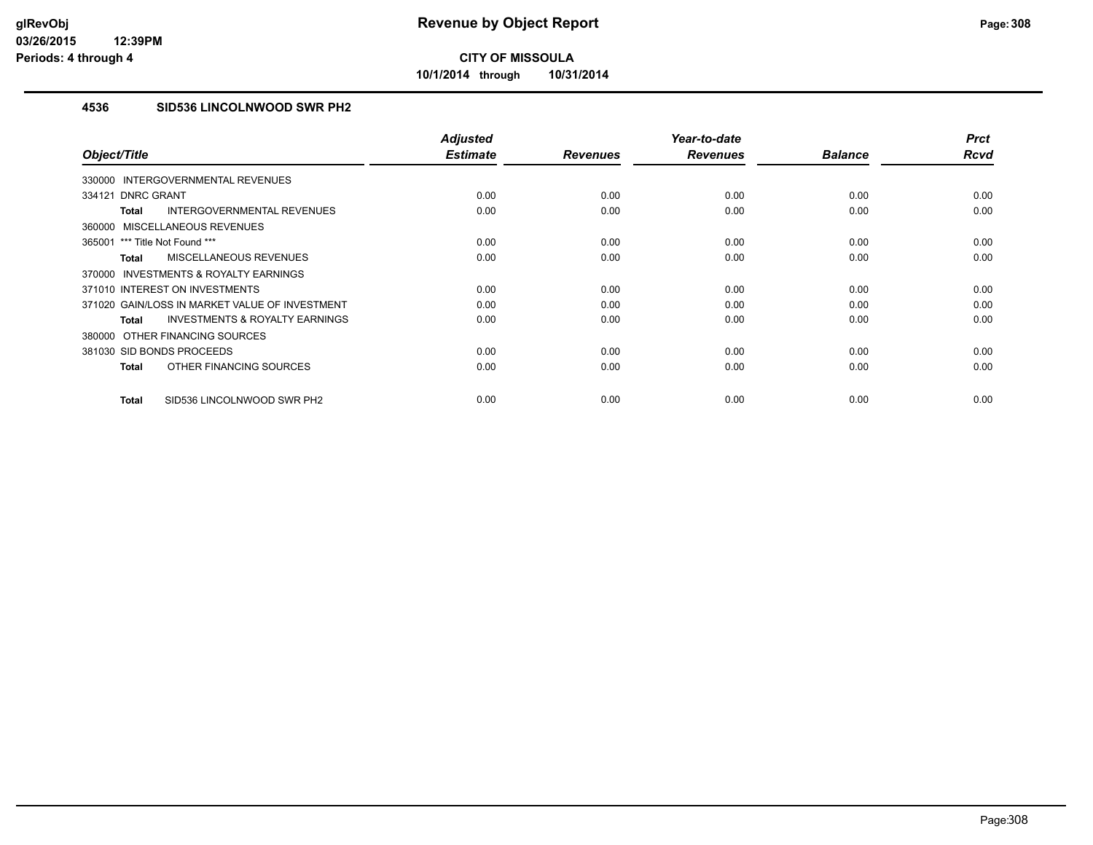**10/1/2014 through 10/31/2014**

## **4536 SID536 LINCOLNWOOD SWR PH2**

| Object/Title                                              | <b>Adjusted</b><br><b>Estimate</b> | <b>Revenues</b> | Year-to-date<br><b>Revenues</b> | <b>Balance</b> | <b>Prct</b><br><b>Rcvd</b> |
|-----------------------------------------------------------|------------------------------------|-----------------|---------------------------------|----------------|----------------------------|
| INTERGOVERNMENTAL REVENUES<br>330000                      |                                    |                 |                                 |                |                            |
| 334121 DNRC GRANT                                         | 0.00                               | 0.00            | 0.00                            | 0.00           | 0.00                       |
|                                                           |                                    |                 |                                 |                |                            |
| INTERGOVERNMENTAL REVENUES<br><b>Total</b>                | 0.00                               | 0.00            | 0.00                            | 0.00           | 0.00                       |
| MISCELLANEOUS REVENUES<br>360000                          |                                    |                 |                                 |                |                            |
| 365001 *** Title Not Found ***                            | 0.00                               | 0.00            | 0.00                            | 0.00           | 0.00                       |
| MISCELLANEOUS REVENUES<br><b>Total</b>                    | 0.00                               | 0.00            | 0.00                            | 0.00           | 0.00                       |
| <b>INVESTMENTS &amp; ROYALTY EARNINGS</b><br>370000       |                                    |                 |                                 |                |                            |
| 371010 INTEREST ON INVESTMENTS                            | 0.00                               | 0.00            | 0.00                            | 0.00           | 0.00                       |
| 371020 GAIN/LOSS IN MARKET VALUE OF INVESTMENT            | 0.00                               | 0.00            | 0.00                            | 0.00           | 0.00                       |
| <b>INVESTMENTS &amp; ROYALTY EARNINGS</b><br><b>Total</b> | 0.00                               | 0.00            | 0.00                            | 0.00           | 0.00                       |
| 380000 OTHER FINANCING SOURCES                            |                                    |                 |                                 |                |                            |
| 381030 SID BONDS PROCEEDS                                 | 0.00                               | 0.00            | 0.00                            | 0.00           | 0.00                       |
| OTHER FINANCING SOURCES<br><b>Total</b>                   | 0.00                               | 0.00            | 0.00                            | 0.00           | 0.00                       |
| SID536 LINCOLNWOOD SWR PH2<br><b>Total</b>                | 0.00                               | 0.00            | 0.00                            | 0.00           | 0.00                       |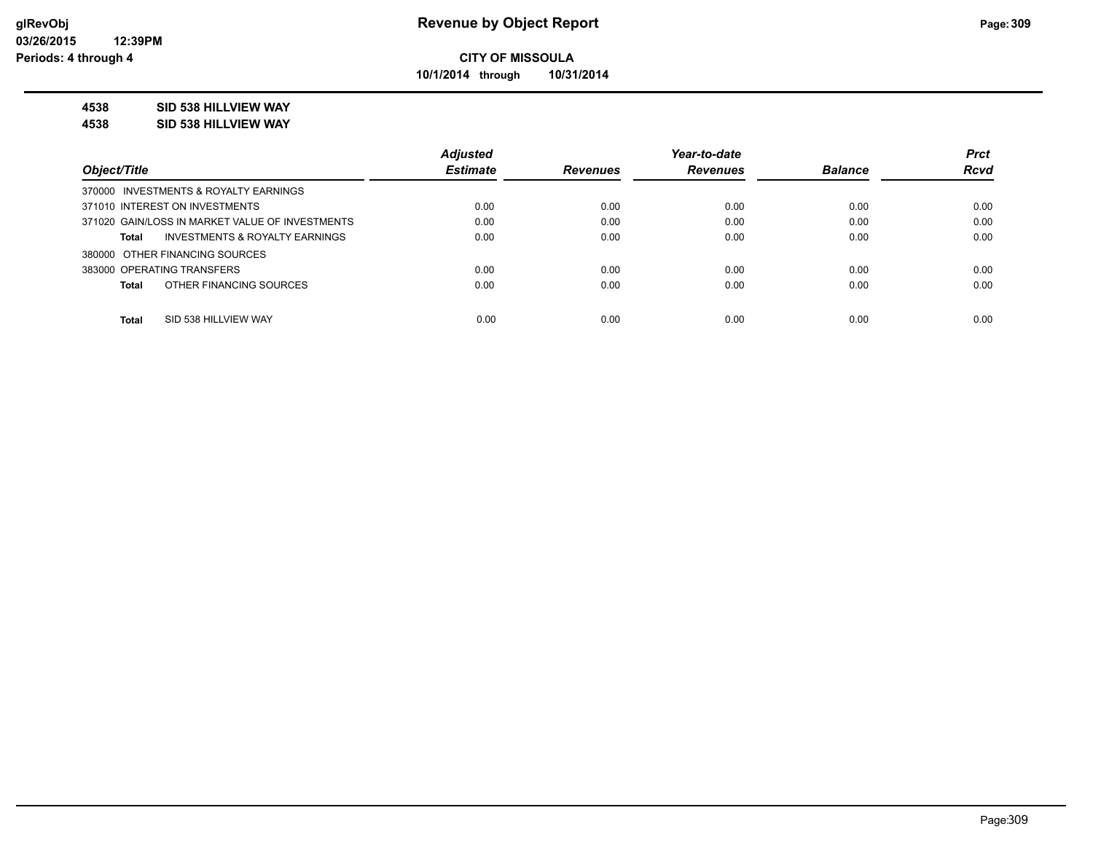**10/1/2014 through 10/31/2014**

## **4538 SID 538 HILLVIEW WAY**

**4538 SID 538 HILLVIEW WAY**

|                                                    | <b>Adjusted</b> |                 | Year-to-date    |                | <b>Prct</b> |
|----------------------------------------------------|-----------------|-----------------|-----------------|----------------|-------------|
| Object/Title                                       | <b>Estimate</b> | <b>Revenues</b> | <b>Revenues</b> | <b>Balance</b> | <b>Rcvd</b> |
| 370000 INVESTMENTS & ROYALTY EARNINGS              |                 |                 |                 |                |             |
| 371010 INTEREST ON INVESTMENTS                     | 0.00            | 0.00            | 0.00            | 0.00           | 0.00        |
| 371020 GAIN/LOSS IN MARKET VALUE OF INVESTMENTS    | 0.00            | 0.00            | 0.00            | 0.00           | 0.00        |
| <b>INVESTMENTS &amp; ROYALTY EARNINGS</b><br>Total | 0.00            | 0.00            | 0.00            | 0.00           | 0.00        |
| 380000 OTHER FINANCING SOURCES                     |                 |                 |                 |                |             |
| 383000 OPERATING TRANSFERS                         | 0.00            | 0.00            | 0.00            | 0.00           | 0.00        |
| OTHER FINANCING SOURCES<br>Total                   | 0.00            | 0.00            | 0.00            | 0.00           | 0.00        |
|                                                    |                 |                 |                 |                |             |
| <b>Total</b><br>SID 538 HILLVIEW WAY               | 0.00            | 0.00            | 0.00            | 0.00           | 0.00        |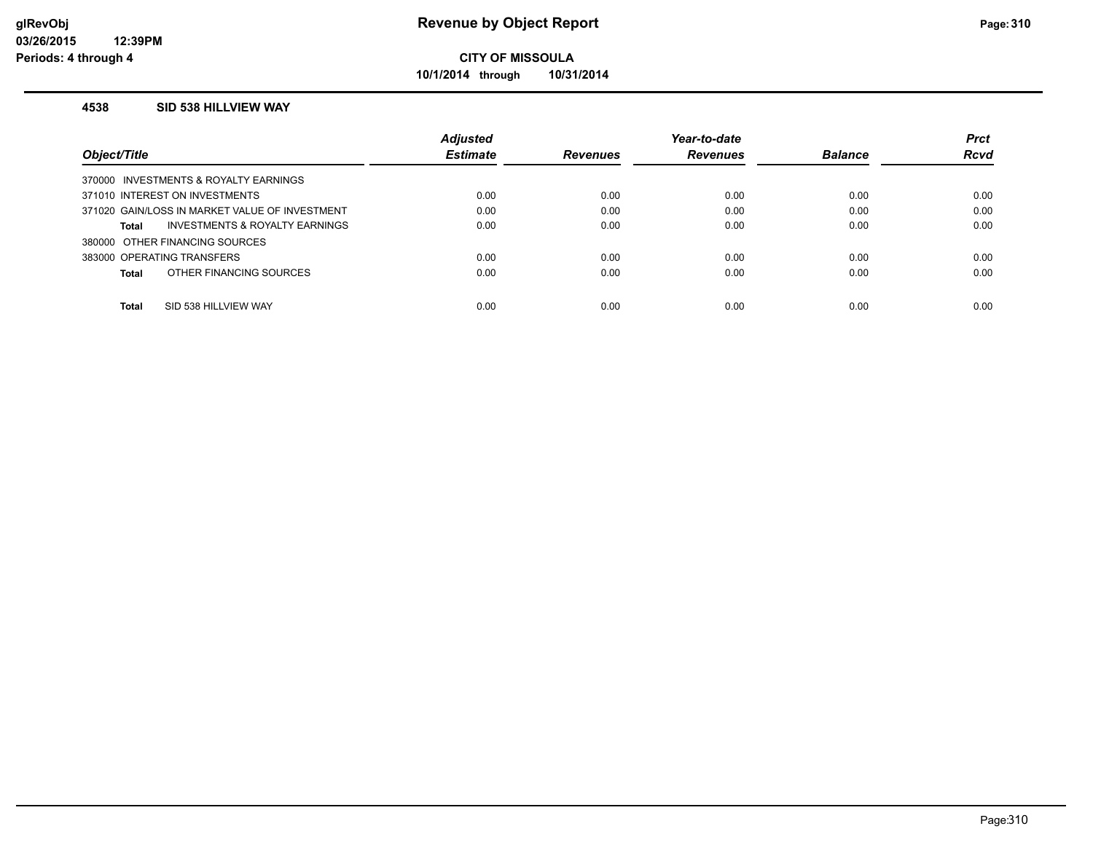**10/1/2014 through 10/31/2014**

### **4538 SID 538 HILLVIEW WAY**

|                                                | <b>Adjusted</b> |                 | Year-to-date    |                | <b>Prct</b> |
|------------------------------------------------|-----------------|-----------------|-----------------|----------------|-------------|
| Object/Title                                   | <b>Estimate</b> | <b>Revenues</b> | <b>Revenues</b> | <b>Balance</b> | <b>Rcvd</b> |
| 370000 INVESTMENTS & ROYALTY EARNINGS          |                 |                 |                 |                |             |
| 371010 INTEREST ON INVESTMENTS                 | 0.00            | 0.00            | 0.00            | 0.00           | 0.00        |
| 371020 GAIN/LOSS IN MARKET VALUE OF INVESTMENT | 0.00            | 0.00            | 0.00            | 0.00           | 0.00        |
| INVESTMENTS & ROYALTY EARNINGS<br>Total        | 0.00            | 0.00            | 0.00            | 0.00           | 0.00        |
| 380000 OTHER FINANCING SOURCES                 |                 |                 |                 |                |             |
| 383000 OPERATING TRANSFERS                     | 0.00            | 0.00            | 0.00            | 0.00           | 0.00        |
| OTHER FINANCING SOURCES<br>Total               | 0.00            | 0.00            | 0.00            | 0.00           | 0.00        |
|                                                |                 |                 |                 |                |             |
| <b>Total</b><br>SID 538 HILLVIEW WAY           | 0.00            | 0.00            | 0.00            | 0.00           | 0.00        |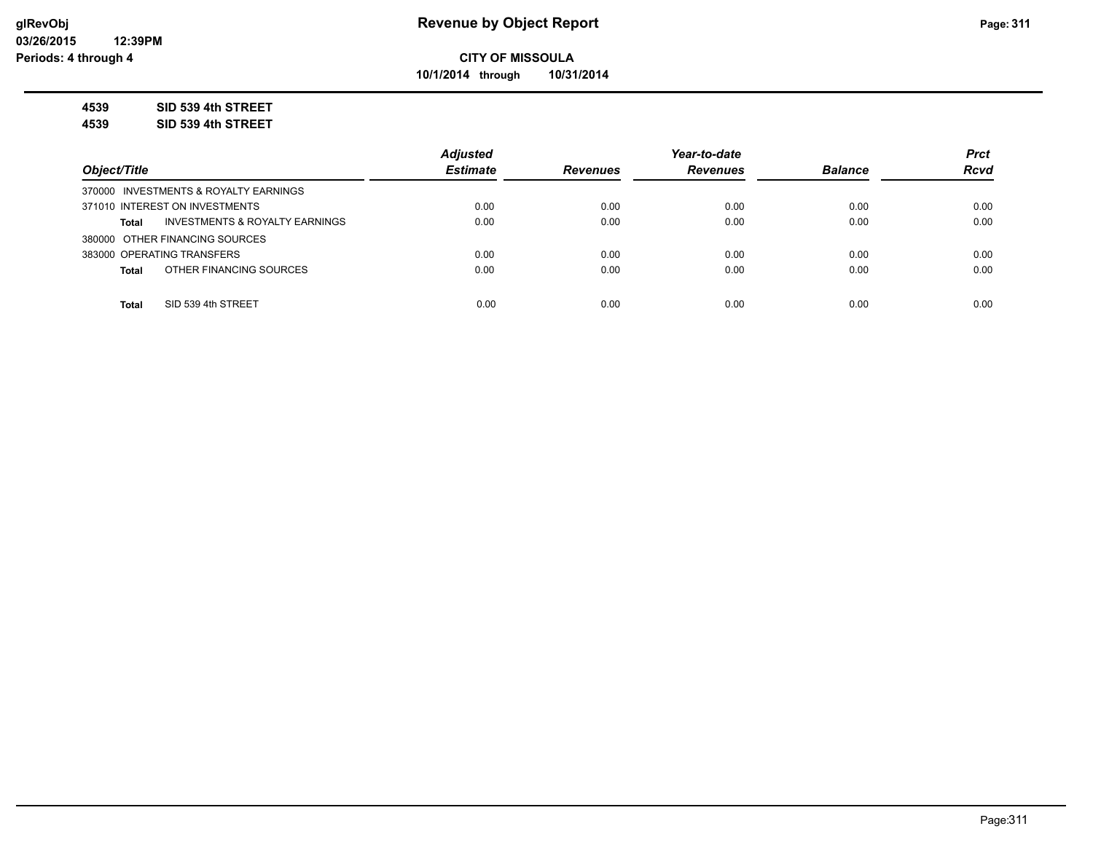**10/1/2014 through 10/31/2014**

**4539 SID 539 4th STREET**

**4539 SID 539 4th STREET**

|                                                           | <b>Adiusted</b> |                 | Year-to-date    |                | <b>Prct</b> |
|-----------------------------------------------------------|-----------------|-----------------|-----------------|----------------|-------------|
| Object/Title                                              | <b>Estimate</b> | <b>Revenues</b> | <b>Revenues</b> | <b>Balance</b> | <b>Rcvd</b> |
| 370000 INVESTMENTS & ROYALTY EARNINGS                     |                 |                 |                 |                |             |
| 371010 INTEREST ON INVESTMENTS                            | 0.00            | 0.00            | 0.00            | 0.00           | 0.00        |
| <b>INVESTMENTS &amp; ROYALTY EARNINGS</b><br><b>Total</b> | 0.00            | 0.00            | 0.00            | 0.00           | 0.00        |
| 380000 OTHER FINANCING SOURCES                            |                 |                 |                 |                |             |
| 383000 OPERATING TRANSFERS                                | 0.00            | 0.00            | 0.00            | 0.00           | 0.00        |
| OTHER FINANCING SOURCES<br><b>Total</b>                   | 0.00            | 0.00            | 0.00            | 0.00           | 0.00        |
|                                                           |                 |                 |                 |                |             |
| SID 539 4th STREET<br><b>Total</b>                        | 0.00            | 0.00            | 0.00            | 0.00           | 0.00        |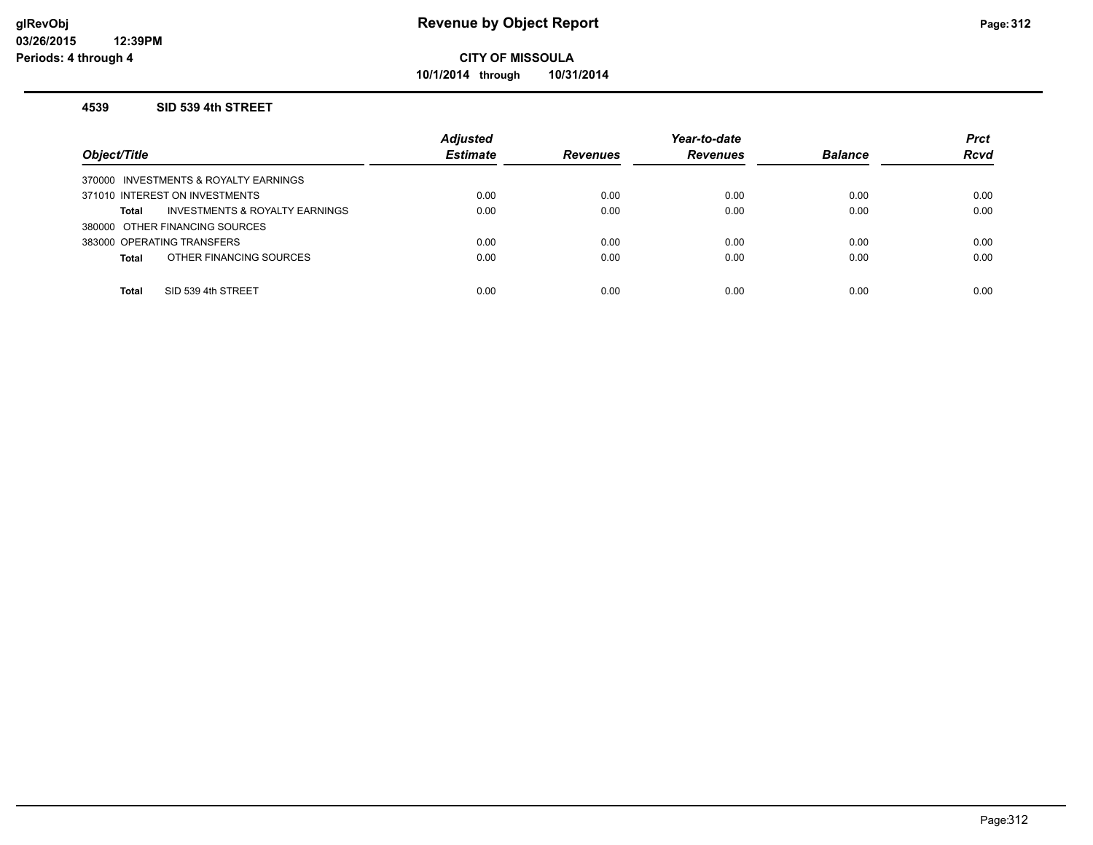**10/1/2014 through 10/31/2014**

#### **4539 SID 539 4th STREET**

| Object/Title                                   | <b>Adjusted</b><br><b>Estimate</b> | <b>Revenues</b> | Year-to-date<br><b>Revenues</b> | <b>Balance</b> | <b>Prct</b><br><b>Rcvd</b> |
|------------------------------------------------|------------------------------------|-----------------|---------------------------------|----------------|----------------------------|
| 370000 INVESTMENTS & ROYALTY EARNINGS          |                                    |                 |                                 |                |                            |
| 371010 INTEREST ON INVESTMENTS                 | 0.00                               | 0.00            | 0.00                            | 0.00           | 0.00                       |
| INVESTMENTS & ROYALTY EARNINGS<br><b>Total</b> | 0.00                               | 0.00            | 0.00                            | 0.00           | 0.00                       |
| 380000 OTHER FINANCING SOURCES                 |                                    |                 |                                 |                |                            |
| 383000 OPERATING TRANSFERS                     | 0.00                               | 0.00            | 0.00                            | 0.00           | 0.00                       |
| OTHER FINANCING SOURCES<br><b>Total</b>        | 0.00                               | 0.00            | 0.00                            | 0.00           | 0.00                       |
|                                                |                                    |                 |                                 |                |                            |
| SID 539 4th STREET<br><b>Total</b>             | 0.00                               | 0.00            | 0.00                            | 0.00           | 0.00                       |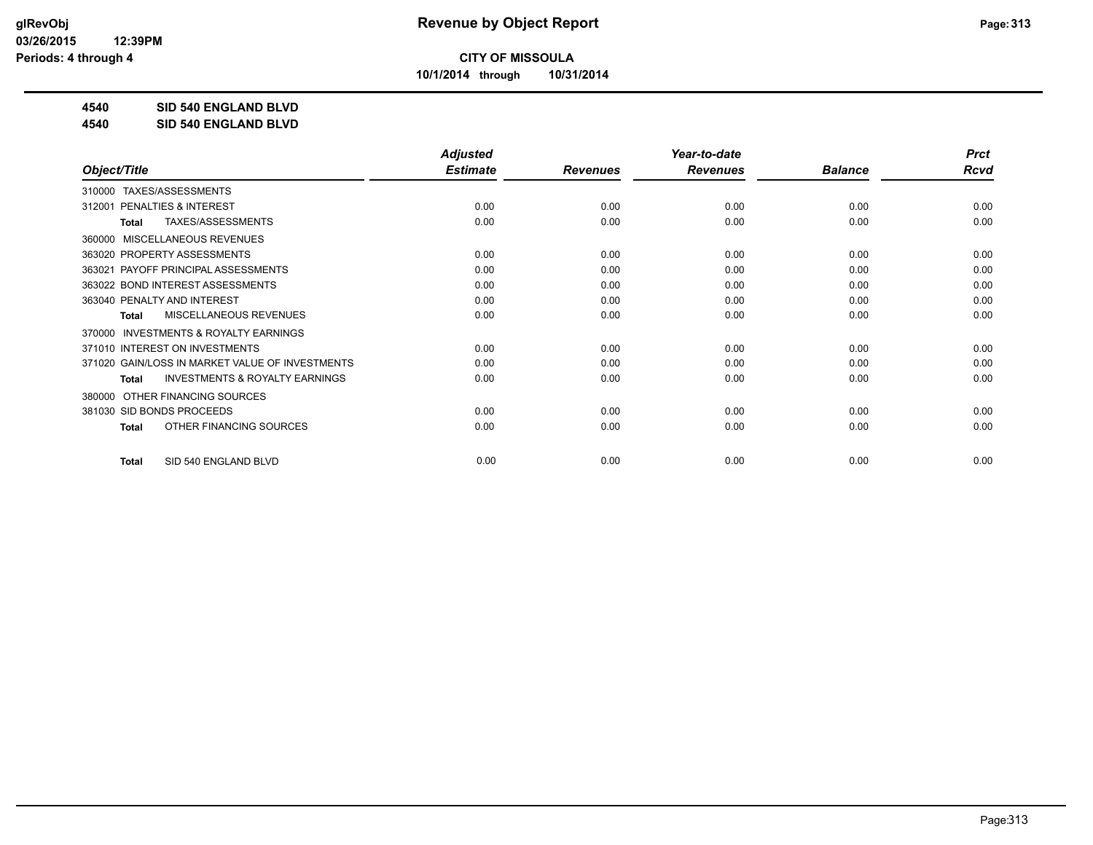**10/1/2014 through 10/31/2014**

**4540 SID 540 ENGLAND BLVD**

**4540 SID 540 ENGLAND BLVD**

|                                                     | <b>Adjusted</b> |                 | Year-to-date    |                | <b>Prct</b> |
|-----------------------------------------------------|-----------------|-----------------|-----------------|----------------|-------------|
| Object/Title                                        | <b>Estimate</b> | <b>Revenues</b> | <b>Revenues</b> | <b>Balance</b> | Rcvd        |
| TAXES/ASSESSMENTS<br>310000                         |                 |                 |                 |                |             |
| PENALTIES & INTEREST<br>312001                      | 0.00            | 0.00            | 0.00            | 0.00           | 0.00        |
| TAXES/ASSESSMENTS<br><b>Total</b>                   | 0.00            | 0.00            | 0.00            | 0.00           | 0.00        |
| MISCELLANEOUS REVENUES<br>360000                    |                 |                 |                 |                |             |
| 363020 PROPERTY ASSESSMENTS                         | 0.00            | 0.00            | 0.00            | 0.00           | 0.00        |
| 363021 PAYOFF PRINCIPAL ASSESSMENTS                 | 0.00            | 0.00            | 0.00            | 0.00           | 0.00        |
| 363022 BOND INTEREST ASSESSMENTS                    | 0.00            | 0.00            | 0.00            | 0.00           | 0.00        |
| 363040 PENALTY AND INTEREST                         | 0.00            | 0.00            | 0.00            | 0.00           | 0.00        |
| <b>MISCELLANEOUS REVENUES</b><br>Total              | 0.00            | 0.00            | 0.00            | 0.00           | 0.00        |
| <b>INVESTMENTS &amp; ROYALTY EARNINGS</b><br>370000 |                 |                 |                 |                |             |
| 371010 INTEREST ON INVESTMENTS                      | 0.00            | 0.00            | 0.00            | 0.00           | 0.00        |
| 371020 GAIN/LOSS IN MARKET VALUE OF INVESTMENTS     | 0.00            | 0.00            | 0.00            | 0.00           | 0.00        |
| <b>INVESTMENTS &amp; ROYALTY EARNINGS</b><br>Total  | 0.00            | 0.00            | 0.00            | 0.00           | 0.00        |
| OTHER FINANCING SOURCES<br>380000                   |                 |                 |                 |                |             |
| 381030 SID BONDS PROCEEDS                           | 0.00            | 0.00            | 0.00            | 0.00           | 0.00        |
| OTHER FINANCING SOURCES<br><b>Total</b>             | 0.00            | 0.00            | 0.00            | 0.00           | 0.00        |
|                                                     |                 |                 |                 |                |             |
| SID 540 ENGLAND BLVD<br><b>Total</b>                | 0.00            | 0.00            | 0.00            | 0.00           | 0.00        |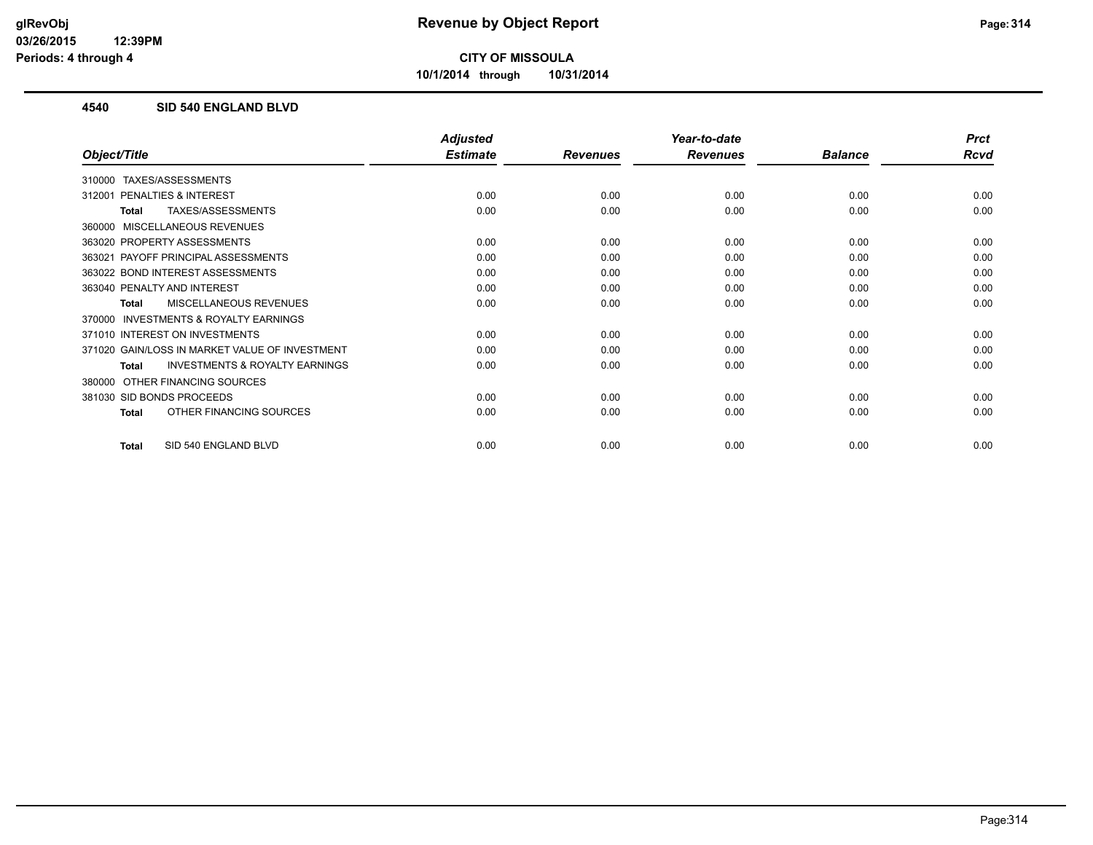**10/1/2014 through 10/31/2014**

## **4540 SID 540 ENGLAND BLVD**

|                                                    | <b>Adjusted</b> |                 | Year-to-date    |                | <b>Prct</b> |
|----------------------------------------------------|-----------------|-----------------|-----------------|----------------|-------------|
| Object/Title                                       | <b>Estimate</b> | <b>Revenues</b> | <b>Revenues</b> | <b>Balance</b> | <b>Rcvd</b> |
| TAXES/ASSESSMENTS<br>310000                        |                 |                 |                 |                |             |
| <b>PENALTIES &amp; INTEREST</b><br>312001          | 0.00            | 0.00            | 0.00            | 0.00           | 0.00        |
| TAXES/ASSESSMENTS<br>Total                         | 0.00            | 0.00            | 0.00            | 0.00           | 0.00        |
| MISCELLANEOUS REVENUES<br>360000                   |                 |                 |                 |                |             |
| 363020 PROPERTY ASSESSMENTS                        | 0.00            | 0.00            | 0.00            | 0.00           | 0.00        |
| PAYOFF PRINCIPAL ASSESSMENTS<br>363021             | 0.00            | 0.00            | 0.00            | 0.00           | 0.00        |
| 363022 BOND INTEREST ASSESSMENTS                   | 0.00            | 0.00            | 0.00            | 0.00           | 0.00        |
| 363040 PENALTY AND INTEREST                        | 0.00            | 0.00            | 0.00            | 0.00           | 0.00        |
| MISCELLANEOUS REVENUES<br>Total                    | 0.00            | 0.00            | 0.00            | 0.00           | 0.00        |
| INVESTMENTS & ROYALTY EARNINGS<br>370000           |                 |                 |                 |                |             |
| 371010 INTEREST ON INVESTMENTS                     | 0.00            | 0.00            | 0.00            | 0.00           | 0.00        |
| 371020 GAIN/LOSS IN MARKET VALUE OF INVESTMENT     | 0.00            | 0.00            | 0.00            | 0.00           | 0.00        |
| <b>INVESTMENTS &amp; ROYALTY EARNINGS</b><br>Total | 0.00            | 0.00            | 0.00            | 0.00           | 0.00        |
| OTHER FINANCING SOURCES<br>380000                  |                 |                 |                 |                |             |
| 381030 SID BONDS PROCEEDS                          | 0.00            | 0.00            | 0.00            | 0.00           | 0.00        |
| OTHER FINANCING SOURCES<br><b>Total</b>            | 0.00            | 0.00            | 0.00            | 0.00           | 0.00        |
| SID 540 ENGLAND BLVD<br><b>Total</b>               | 0.00            | 0.00            | 0.00            | 0.00           | 0.00        |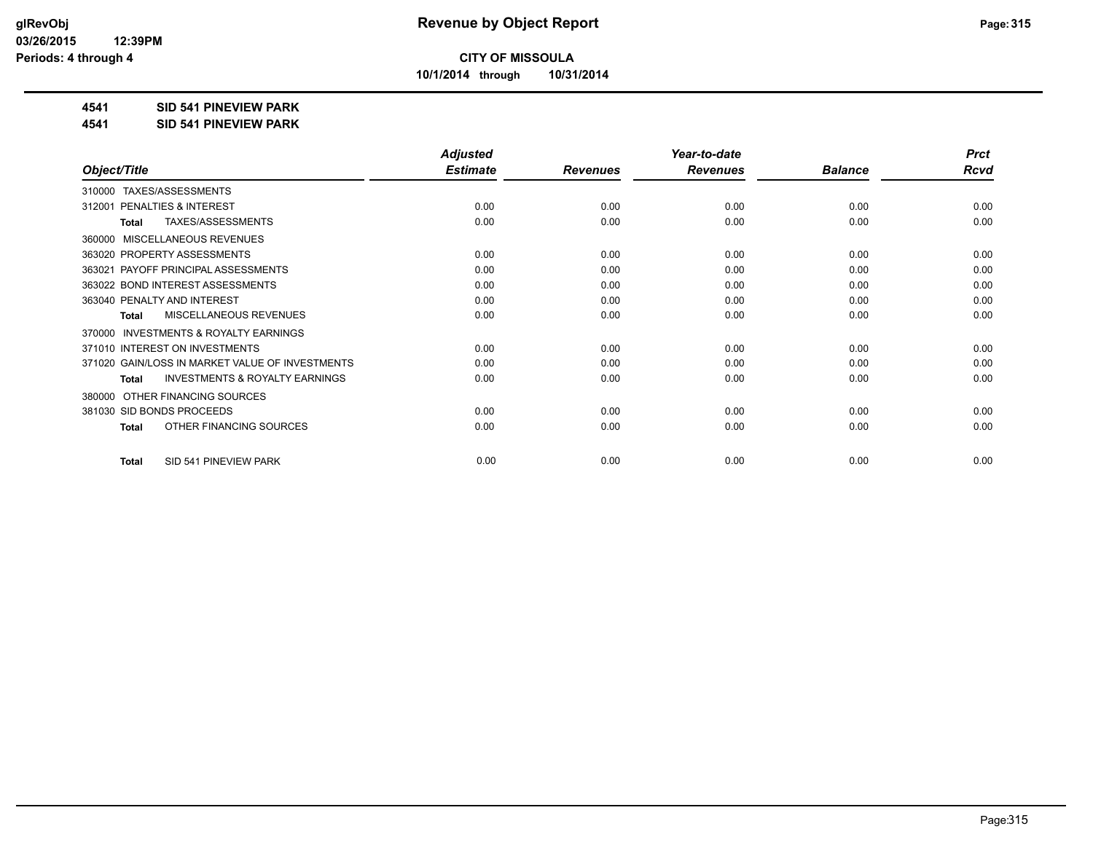**10/1/2014 through 10/31/2014**

## **4541 SID 541 PINEVIEW PARK**

**4541 SID 541 PINEVIEW PARK**

|                                                           | <b>Adjusted</b> |                 | Year-to-date    |                | <b>Prct</b> |
|-----------------------------------------------------------|-----------------|-----------------|-----------------|----------------|-------------|
| Object/Title                                              | <b>Estimate</b> | <b>Revenues</b> | <b>Revenues</b> | <b>Balance</b> | <b>Rcvd</b> |
| TAXES/ASSESSMENTS<br>310000                               |                 |                 |                 |                |             |
| PENALTIES & INTEREST<br>312001                            | 0.00            | 0.00            | 0.00            | 0.00           | 0.00        |
| TAXES/ASSESSMENTS<br><b>Total</b>                         | 0.00            | 0.00            | 0.00            | 0.00           | 0.00        |
| MISCELLANEOUS REVENUES<br>360000                          |                 |                 |                 |                |             |
| 363020 PROPERTY ASSESSMENTS                               | 0.00            | 0.00            | 0.00            | 0.00           | 0.00        |
| PAYOFF PRINCIPAL ASSESSMENTS<br>363021                    | 0.00            | 0.00            | 0.00            | 0.00           | 0.00        |
| 363022 BOND INTEREST ASSESSMENTS                          | 0.00            | 0.00            | 0.00            | 0.00           | 0.00        |
| 363040 PENALTY AND INTEREST                               | 0.00            | 0.00            | 0.00            | 0.00           | 0.00        |
| <b>MISCELLANEOUS REVENUES</b><br><b>Total</b>             | 0.00            | 0.00            | 0.00            | 0.00           | 0.00        |
| <b>INVESTMENTS &amp; ROYALTY EARNINGS</b><br>370000       |                 |                 |                 |                |             |
| 371010 INTEREST ON INVESTMENTS                            | 0.00            | 0.00            | 0.00            | 0.00           | 0.00        |
| 371020 GAIN/LOSS IN MARKET VALUE OF INVESTMENTS           | 0.00            | 0.00            | 0.00            | 0.00           | 0.00        |
| <b>INVESTMENTS &amp; ROYALTY EARNINGS</b><br><b>Total</b> | 0.00            | 0.00            | 0.00            | 0.00           | 0.00        |
| OTHER FINANCING SOURCES<br>380000                         |                 |                 |                 |                |             |
| 381030 SID BONDS PROCEEDS                                 | 0.00            | 0.00            | 0.00            | 0.00           | 0.00        |
| OTHER FINANCING SOURCES<br><b>Total</b>                   | 0.00            | 0.00            | 0.00            | 0.00           | 0.00        |
|                                                           |                 |                 |                 |                |             |
| SID 541 PINEVIEW PARK<br><b>Total</b>                     | 0.00            | 0.00            | 0.00            | 0.00           | 0.00        |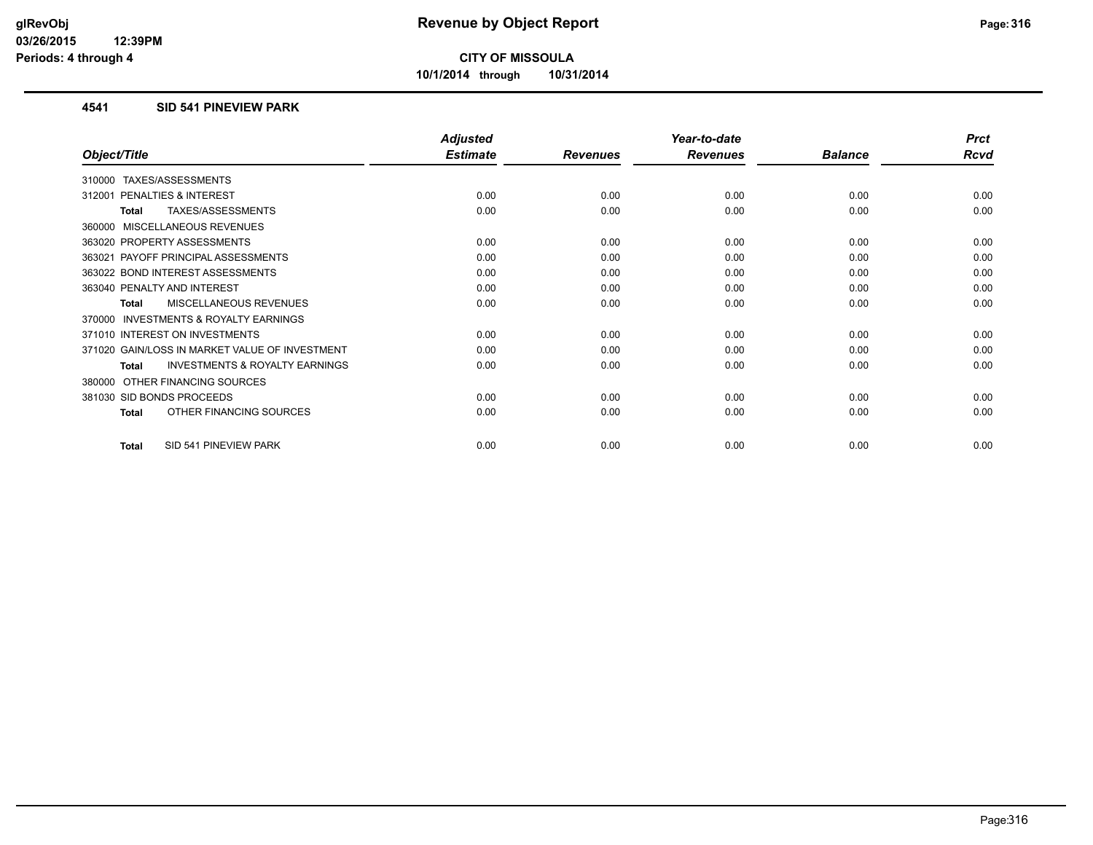**10/1/2014 through 10/31/2014**

### **4541 SID 541 PINEVIEW PARK**

|                                                    | <b>Adjusted</b> |                 | Year-to-date    |                | <b>Prct</b> |
|----------------------------------------------------|-----------------|-----------------|-----------------|----------------|-------------|
| Object/Title                                       | <b>Estimate</b> | <b>Revenues</b> | <b>Revenues</b> | <b>Balance</b> | <b>Rcvd</b> |
| TAXES/ASSESSMENTS<br>310000                        |                 |                 |                 |                |             |
| <b>PENALTIES &amp; INTEREST</b><br>312001          | 0.00            | 0.00            | 0.00            | 0.00           | 0.00        |
| TAXES/ASSESSMENTS<br>Total                         | 0.00            | 0.00            | 0.00            | 0.00           | 0.00        |
| MISCELLANEOUS REVENUES<br>360000                   |                 |                 |                 |                |             |
| 363020 PROPERTY ASSESSMENTS                        | 0.00            | 0.00            | 0.00            | 0.00           | 0.00        |
| PAYOFF PRINCIPAL ASSESSMENTS<br>363021             | 0.00            | 0.00            | 0.00            | 0.00           | 0.00        |
| 363022 BOND INTEREST ASSESSMENTS                   | 0.00            | 0.00            | 0.00            | 0.00           | 0.00        |
| 363040 PENALTY AND INTEREST                        | 0.00            | 0.00            | 0.00            | 0.00           | 0.00        |
| MISCELLANEOUS REVENUES<br>Total                    | 0.00            | 0.00            | 0.00            | 0.00           | 0.00        |
| INVESTMENTS & ROYALTY EARNINGS<br>370000           |                 |                 |                 |                |             |
| 371010 INTEREST ON INVESTMENTS                     | 0.00            | 0.00            | 0.00            | 0.00           | 0.00        |
| 371020 GAIN/LOSS IN MARKET VALUE OF INVESTMENT     | 0.00            | 0.00            | 0.00            | 0.00           | 0.00        |
| <b>INVESTMENTS &amp; ROYALTY EARNINGS</b><br>Total | 0.00            | 0.00            | 0.00            | 0.00           | 0.00        |
| OTHER FINANCING SOURCES<br>380000                  |                 |                 |                 |                |             |
| 381030 SID BONDS PROCEEDS                          | 0.00            | 0.00            | 0.00            | 0.00           | 0.00        |
| OTHER FINANCING SOURCES<br><b>Total</b>            | 0.00            | 0.00            | 0.00            | 0.00           | 0.00        |
| SID 541 PINEVIEW PARK<br><b>Total</b>              | 0.00            | 0.00            | 0.00            | 0.00           | 0.00        |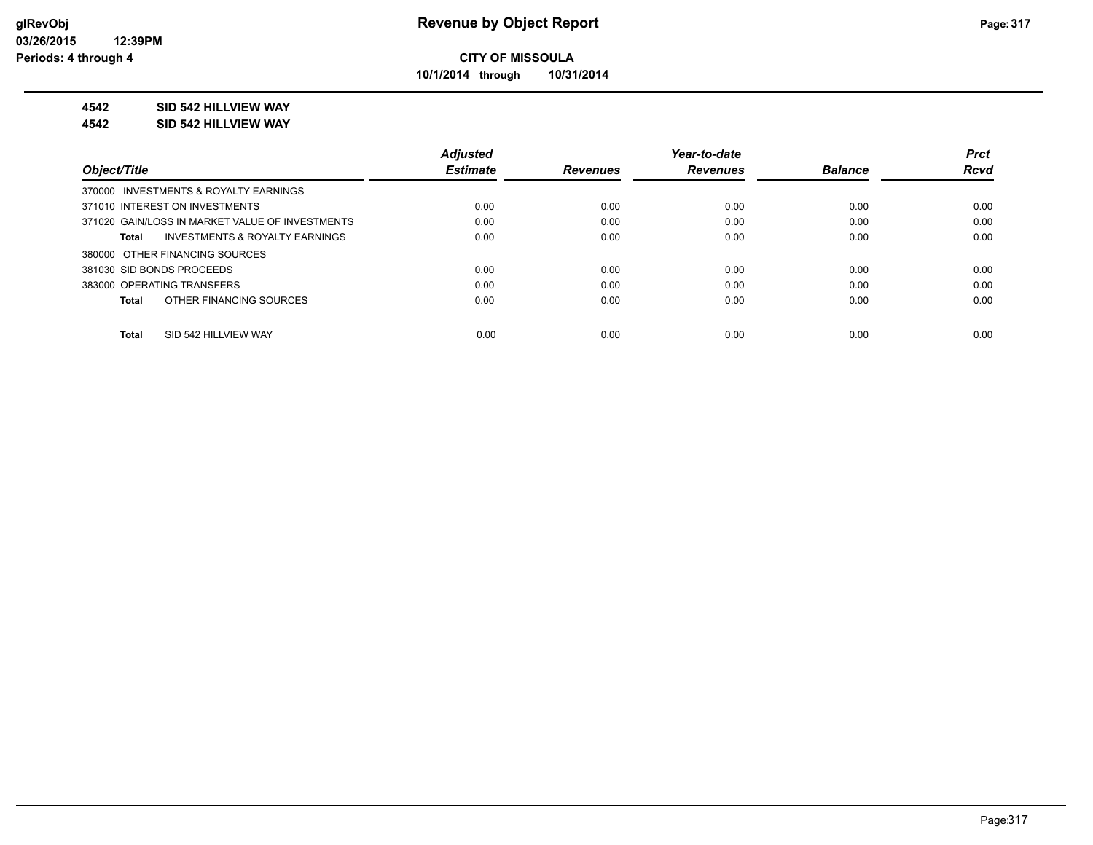**10/1/2014 through 10/31/2014**

### **4542 SID 542 HILLVIEW WAY**

**4542 SID 542 HILLVIEW WAY**

|                                                    | <b>Adjusted</b> |                 | Year-to-date    |                | <b>Prct</b> |
|----------------------------------------------------|-----------------|-----------------|-----------------|----------------|-------------|
| Object/Title                                       | <b>Estimate</b> | <b>Revenues</b> | <b>Revenues</b> | <b>Balance</b> | <b>Rcvd</b> |
| 370000 INVESTMENTS & ROYALTY EARNINGS              |                 |                 |                 |                |             |
| 371010 INTEREST ON INVESTMENTS                     | 0.00            | 0.00            | 0.00            | 0.00           | 0.00        |
| 371020 GAIN/LOSS IN MARKET VALUE OF INVESTMENTS    | 0.00            | 0.00            | 0.00            | 0.00           | 0.00        |
| <b>INVESTMENTS &amp; ROYALTY EARNINGS</b><br>Total | 0.00            | 0.00            | 0.00            | 0.00           | 0.00        |
| 380000 OTHER FINANCING SOURCES                     |                 |                 |                 |                |             |
| 381030 SID BONDS PROCEEDS                          | 0.00            | 0.00            | 0.00            | 0.00           | 0.00        |
| 383000 OPERATING TRANSFERS                         | 0.00            | 0.00            | 0.00            | 0.00           | 0.00        |
| OTHER FINANCING SOURCES<br>Total                   | 0.00            | 0.00            | 0.00            | 0.00           | 0.00        |
|                                                    |                 |                 |                 |                |             |
| SID 542 HILLVIEW WAY<br><b>Total</b>               | 0.00            | 0.00            | 0.00            | 0.00           | 0.00        |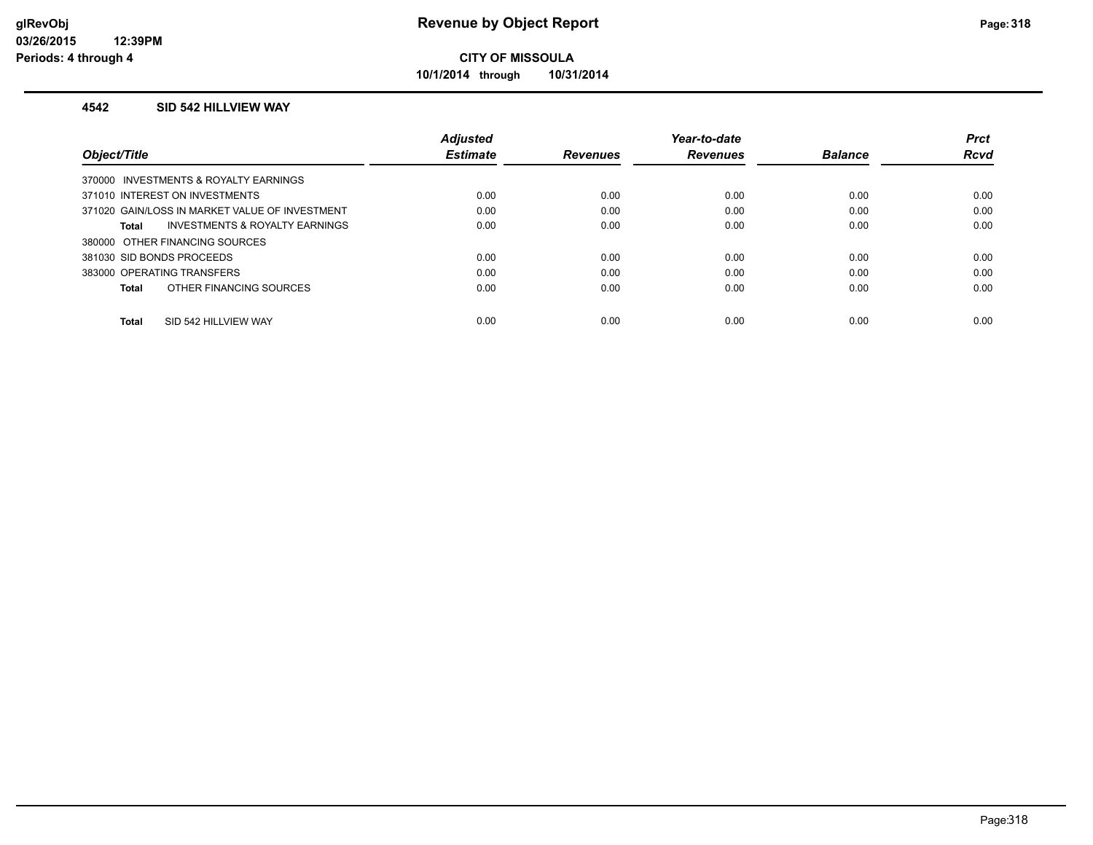**10/1/2014 through 10/31/2014**

### **4542 SID 542 HILLVIEW WAY**

|                                                    | <b>Adjusted</b> |                 | Year-to-date    |                | <b>Prct</b> |
|----------------------------------------------------|-----------------|-----------------|-----------------|----------------|-------------|
| Object/Title                                       | <b>Estimate</b> | <b>Revenues</b> | <b>Revenues</b> | <b>Balance</b> | <b>Rcvd</b> |
| 370000 INVESTMENTS & ROYALTY EARNINGS              |                 |                 |                 |                |             |
| 371010 INTEREST ON INVESTMENTS                     | 0.00            | 0.00            | 0.00            | 0.00           | 0.00        |
| 371020 GAIN/LOSS IN MARKET VALUE OF INVESTMENT     | 0.00            | 0.00            | 0.00            | 0.00           | 0.00        |
| <b>INVESTMENTS &amp; ROYALTY EARNINGS</b><br>Total | 0.00            | 0.00            | 0.00            | 0.00           | 0.00        |
| 380000 OTHER FINANCING SOURCES                     |                 |                 |                 |                |             |
| 381030 SID BONDS PROCEEDS                          | 0.00            | 0.00            | 0.00            | 0.00           | 0.00        |
| 383000 OPERATING TRANSFERS                         | 0.00            | 0.00            | 0.00            | 0.00           | 0.00        |
| OTHER FINANCING SOURCES<br>Total                   | 0.00            | 0.00            | 0.00            | 0.00           | 0.00        |
|                                                    |                 |                 |                 |                |             |
| SID 542 HILLVIEW WAY<br><b>Total</b>               | 0.00            | 0.00            | 0.00            | 0.00           | 0.00        |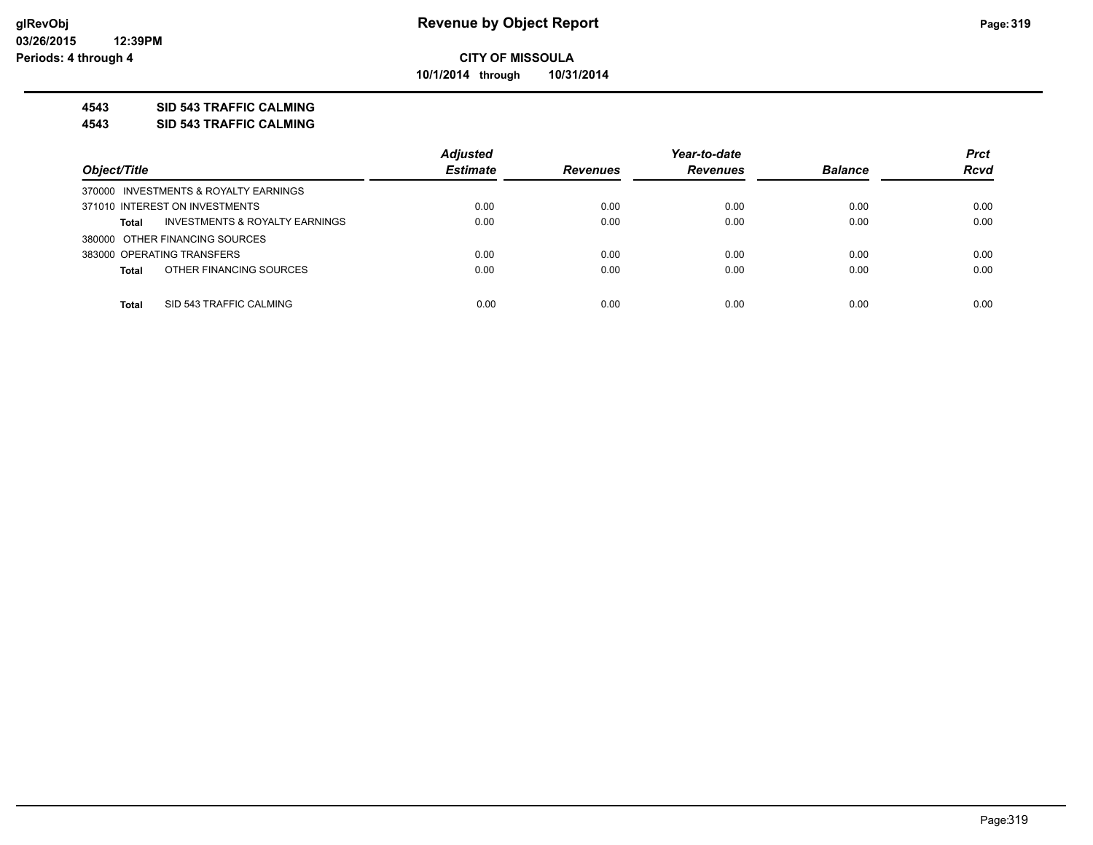**10/1/2014 through 10/31/2014**

## **4543 SID 543 TRAFFIC CALMING**

**4543 SID 543 TRAFFIC CALMING**

|                                                           | <b>Adjusted</b> |                 | Year-to-date    |                | <b>Prct</b> |
|-----------------------------------------------------------|-----------------|-----------------|-----------------|----------------|-------------|
| Object/Title                                              | <b>Estimate</b> | <b>Revenues</b> | <b>Revenues</b> | <b>Balance</b> | <b>Rcvd</b> |
| 370000 INVESTMENTS & ROYALTY EARNINGS                     |                 |                 |                 |                |             |
| 371010 INTEREST ON INVESTMENTS                            | 0.00            | 0.00            | 0.00            | 0.00           | 0.00        |
| <b>INVESTMENTS &amp; ROYALTY EARNINGS</b><br><b>Total</b> | 0.00            | 0.00            | 0.00            | 0.00           | 0.00        |
| 380000 OTHER FINANCING SOURCES                            |                 |                 |                 |                |             |
| 383000 OPERATING TRANSFERS                                | 0.00            | 0.00            | 0.00            | 0.00           | 0.00        |
| OTHER FINANCING SOURCES<br><b>Total</b>                   | 0.00            | 0.00            | 0.00            | 0.00           | 0.00        |
|                                                           |                 |                 |                 |                |             |
| SID 543 TRAFFIC CALMING<br><b>Total</b>                   | 0.00            | 0.00            | 0.00            | 0.00           | 0.00        |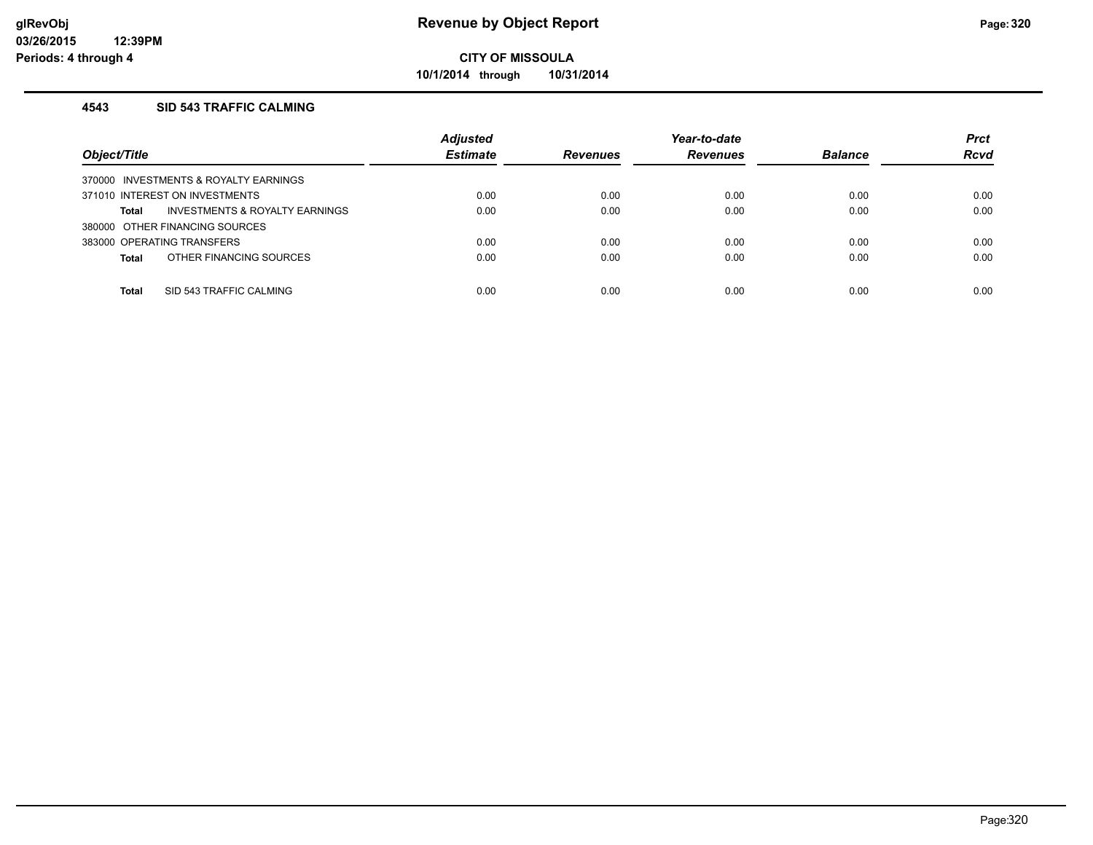**10/1/2014 through 10/31/2014**

### **4543 SID 543 TRAFFIC CALMING**

| Object/Title                            | <b>Adjusted</b><br><b>Estimate</b> | <b>Revenues</b> | Year-to-date<br><b>Revenues</b> | <b>Balance</b> | <b>Prct</b><br><b>Rcvd</b> |
|-----------------------------------------|------------------------------------|-----------------|---------------------------------|----------------|----------------------------|
| 370000 INVESTMENTS & ROYALTY EARNINGS   |                                    |                 |                                 |                |                            |
| 371010 INTEREST ON INVESTMENTS          | 0.00                               | 0.00            | 0.00                            | 0.00           | 0.00                       |
| INVESTMENTS & ROYALTY EARNINGS<br>Total | 0.00                               | 0.00            | 0.00                            | 0.00           | 0.00                       |
| 380000 OTHER FINANCING SOURCES          |                                    |                 |                                 |                |                            |
| 383000 OPERATING TRANSFERS              | 0.00                               | 0.00            | 0.00                            | 0.00           | 0.00                       |
| OTHER FINANCING SOURCES<br><b>Total</b> | 0.00                               | 0.00            | 0.00                            | 0.00           | 0.00                       |
|                                         |                                    |                 |                                 |                |                            |
| SID 543 TRAFFIC CALMING<br><b>Total</b> | 0.00                               | 0.00            | 0.00                            | 0.00           | 0.00                       |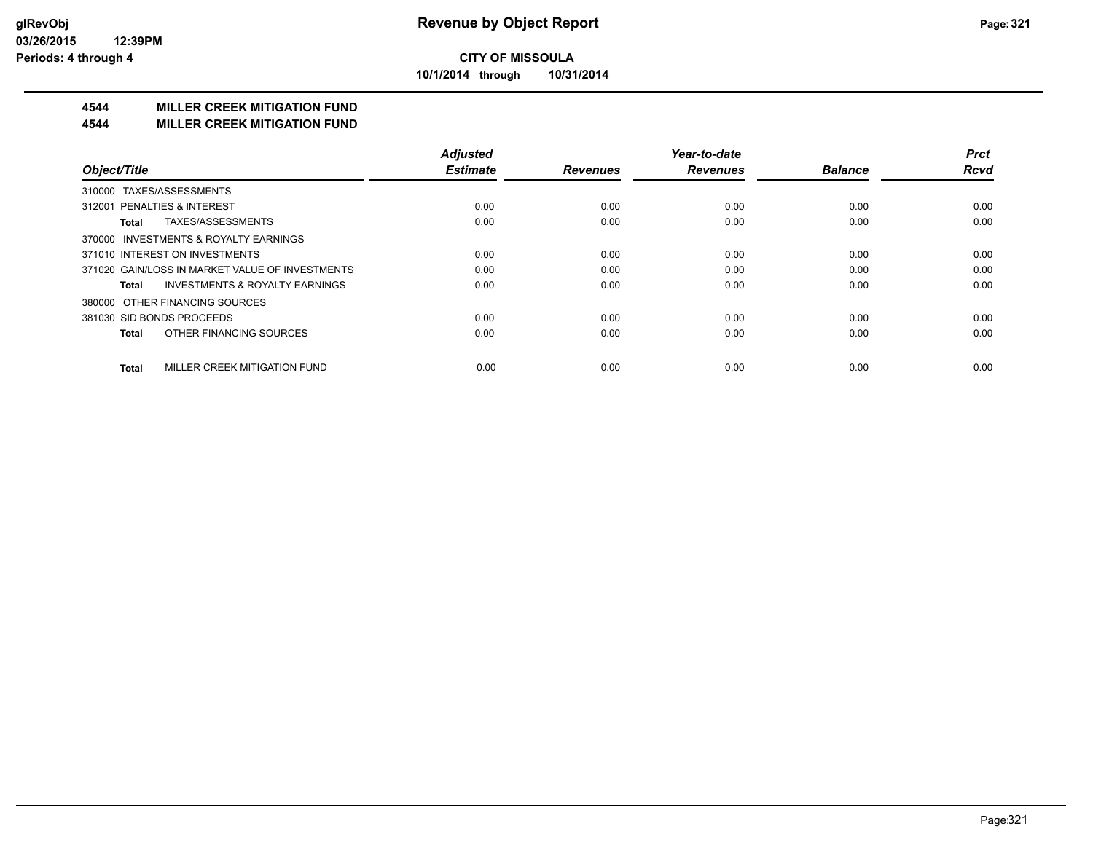**10/1/2014 through 10/31/2014**

## **4544 MILLER CREEK MITIGATION FUND**

#### **4544 MILLER CREEK MITIGATION FUND**

|                                                    | <b>Adjusted</b> |                 | Year-to-date    |                | <b>Prct</b> |
|----------------------------------------------------|-----------------|-----------------|-----------------|----------------|-------------|
| Object/Title                                       | <b>Estimate</b> | <b>Revenues</b> | <b>Revenues</b> | <b>Balance</b> | <b>Rcvd</b> |
| TAXES/ASSESSMENTS<br>310000                        |                 |                 |                 |                |             |
| 312001 PENALTIES & INTEREST                        | 0.00            | 0.00            | 0.00            | 0.00           | 0.00        |
| TAXES/ASSESSMENTS<br>Total                         | 0.00            | 0.00            | 0.00            | 0.00           | 0.00        |
| 370000 INVESTMENTS & ROYALTY EARNINGS              |                 |                 |                 |                |             |
| 371010 INTEREST ON INVESTMENTS                     | 0.00            | 0.00            | 0.00            | 0.00           | 0.00        |
| 371020 GAIN/LOSS IN MARKET VALUE OF INVESTMENTS    | 0.00            | 0.00            | 0.00            | 0.00           | 0.00        |
| <b>INVESTMENTS &amp; ROYALTY EARNINGS</b><br>Total | 0.00            | 0.00            | 0.00            | 0.00           | 0.00        |
| OTHER FINANCING SOURCES<br>380000                  |                 |                 |                 |                |             |
| 381030 SID BONDS PROCEEDS                          | 0.00            | 0.00            | 0.00            | 0.00           | 0.00        |
| OTHER FINANCING SOURCES<br><b>Total</b>            | 0.00            | 0.00            | 0.00            | 0.00           | 0.00        |
| MILLER CREEK MITIGATION FUND<br><b>Total</b>       | 0.00            | 0.00            | 0.00            | 0.00           | 0.00        |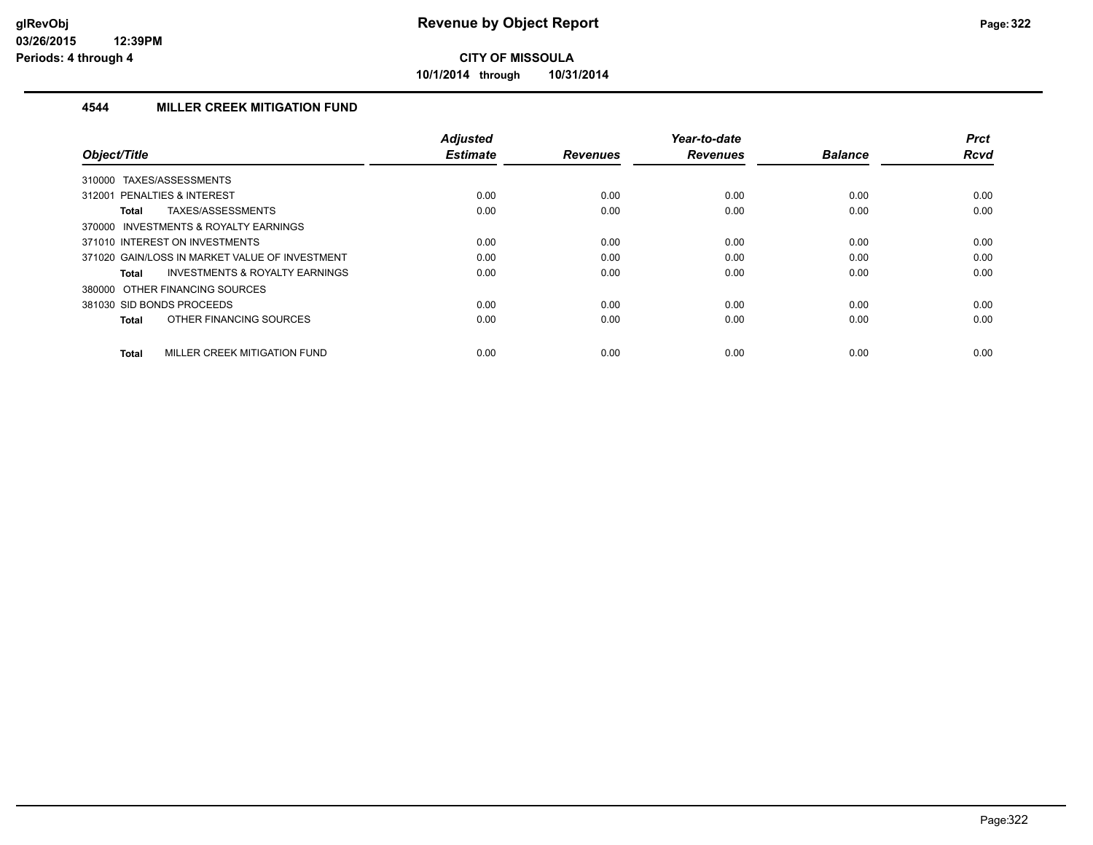**10/1/2014 through 10/31/2014**

## **4544 MILLER CREEK MITIGATION FUND**

| Object/Title                                              | <b>Adjusted</b><br><b>Estimate</b> | <b>Revenues</b> | Year-to-date<br><b>Revenues</b> | <b>Balance</b> | <b>Prct</b><br><b>Rcvd</b> |
|-----------------------------------------------------------|------------------------------------|-----------------|---------------------------------|----------------|----------------------------|
| TAXES/ASSESSMENTS<br>310000                               |                                    |                 |                                 |                |                            |
| 312001 PENALTIES & INTEREST                               | 0.00                               | 0.00            | 0.00                            | 0.00           | 0.00                       |
| TAXES/ASSESSMENTS<br><b>Total</b>                         | 0.00                               | 0.00            | 0.00                            | 0.00           | 0.00                       |
| 370000 INVESTMENTS & ROYALTY EARNINGS                     |                                    |                 |                                 |                |                            |
| 371010 INTEREST ON INVESTMENTS                            | 0.00                               | 0.00            | 0.00                            | 0.00           | 0.00                       |
| 371020 GAIN/LOSS IN MARKET VALUE OF INVESTMENT            | 0.00                               | 0.00            | 0.00                            | 0.00           | 0.00                       |
| <b>INVESTMENTS &amp; ROYALTY EARNINGS</b><br><b>Total</b> | 0.00                               | 0.00            | 0.00                            | 0.00           | 0.00                       |
| 380000 OTHER FINANCING SOURCES                            |                                    |                 |                                 |                |                            |
| 381030 SID BONDS PROCEEDS                                 | 0.00                               | 0.00            | 0.00                            | 0.00           | 0.00                       |
| OTHER FINANCING SOURCES<br><b>Total</b>                   | 0.00                               | 0.00            | 0.00                            | 0.00           | 0.00                       |
| MILLER CREEK MITIGATION FUND<br><b>Total</b>              | 0.00                               | 0.00            | 0.00                            | 0.00           | 0.00                       |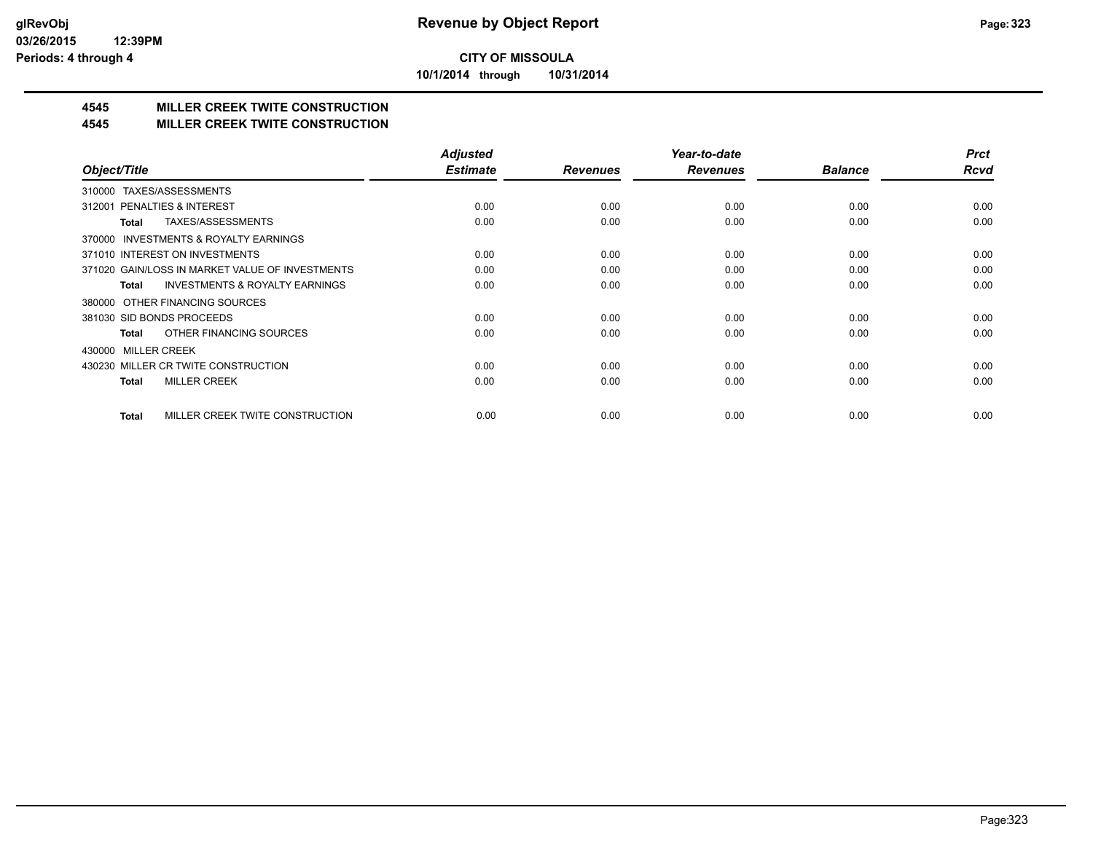**10/1/2014 through 10/31/2014**

## **4545 MILLER CREEK TWITE CONSTRUCTION**

## **4545 MILLER CREEK TWITE CONSTRUCTION**

|                                                     | <b>Adjusted</b> |                 | Year-to-date    |                | <b>Prct</b> |
|-----------------------------------------------------|-----------------|-----------------|-----------------|----------------|-------------|
| Object/Title                                        | <b>Estimate</b> | <b>Revenues</b> | <b>Revenues</b> | <b>Balance</b> | <b>Rcvd</b> |
| TAXES/ASSESSMENTS<br>310000                         |                 |                 |                 |                |             |
| PENALTIES & INTEREST<br>312001                      | 0.00            | 0.00            | 0.00            | 0.00           | 0.00        |
| TAXES/ASSESSMENTS<br>Total                          | 0.00            | 0.00            | 0.00            | 0.00           | 0.00        |
| <b>INVESTMENTS &amp; ROYALTY EARNINGS</b><br>370000 |                 |                 |                 |                |             |
| 371010 INTEREST ON INVESTMENTS                      | 0.00            | 0.00            | 0.00            | 0.00           | 0.00        |
| 371020 GAIN/LOSS IN MARKET VALUE OF INVESTMENTS     | 0.00            | 0.00            | 0.00            | 0.00           | 0.00        |
| <b>INVESTMENTS &amp; ROYALTY EARNINGS</b><br>Total  | 0.00            | 0.00            | 0.00            | 0.00           | 0.00        |
| OTHER FINANCING SOURCES<br>380000                   |                 |                 |                 |                |             |
| 381030 SID BONDS PROCEEDS                           | 0.00            | 0.00            | 0.00            | 0.00           | 0.00        |
| OTHER FINANCING SOURCES<br>Total                    | 0.00            | 0.00            | 0.00            | 0.00           | 0.00        |
| <b>MILLER CREEK</b><br>430000                       |                 |                 |                 |                |             |
| 430230 MILLER CR TWITE CONSTRUCTION                 | 0.00            | 0.00            | 0.00            | 0.00           | 0.00        |
| <b>MILLER CREEK</b><br>Total                        | 0.00            | 0.00            | 0.00            | 0.00           | 0.00        |
|                                                     |                 |                 |                 |                |             |
| MILLER CREEK TWITE CONSTRUCTION<br>Total            | 0.00            | 0.00            | 0.00            | 0.00           | 0.00        |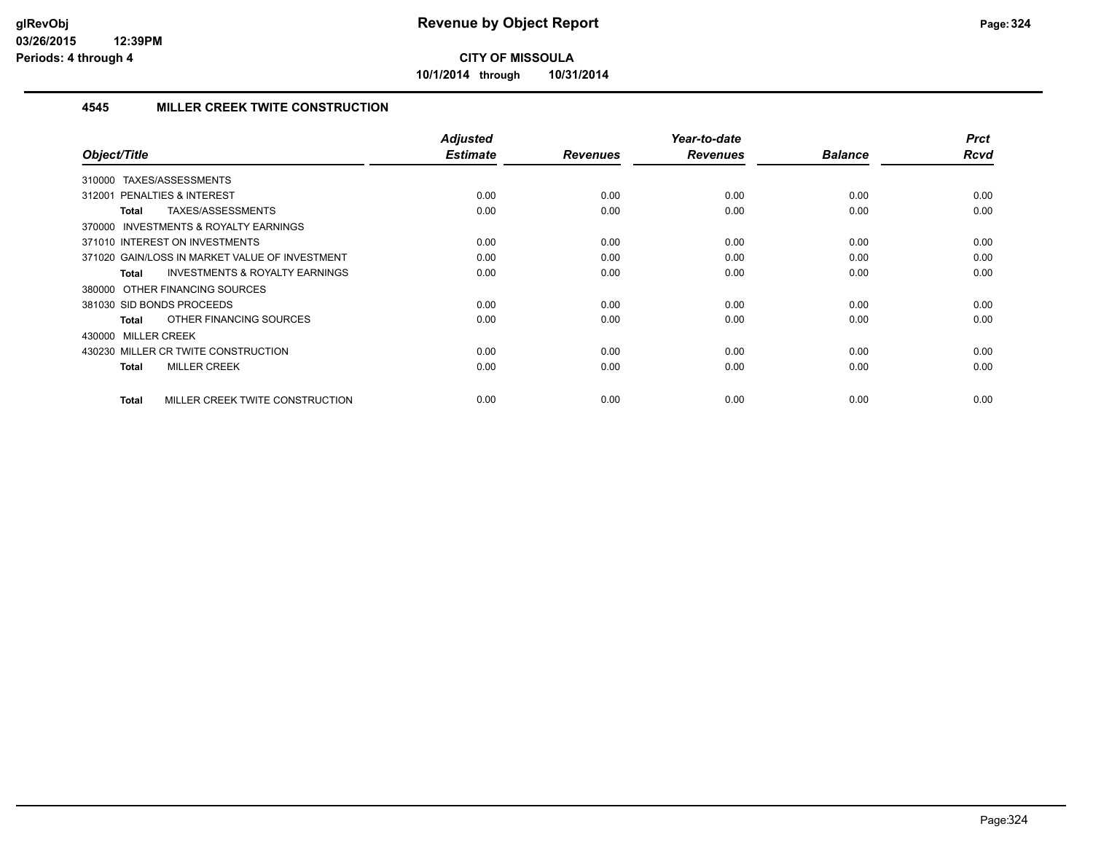**10/1/2014 through 10/31/2014**

## **4545 MILLER CREEK TWITE CONSTRUCTION**

| Object/Title                                              | Adjusted<br><b>Estimate</b> | <b>Revenues</b> | Year-to-date<br><b>Revenues</b> | <b>Balance</b> | <b>Prct</b><br>Rcvd |
|-----------------------------------------------------------|-----------------------------|-----------------|---------------------------------|----------------|---------------------|
|                                                           |                             |                 |                                 |                |                     |
| TAXES/ASSESSMENTS<br>310000                               |                             |                 |                                 |                |                     |
| PENALTIES & INTEREST<br>312001                            | 0.00                        | 0.00            | 0.00                            | 0.00           | 0.00                |
| TAXES/ASSESSMENTS<br><b>Total</b>                         | 0.00                        | 0.00            | 0.00                            | 0.00           | 0.00                |
| 370000 INVESTMENTS & ROYALTY EARNINGS                     |                             |                 |                                 |                |                     |
| 371010 INTEREST ON INVESTMENTS                            | 0.00                        | 0.00            | 0.00                            | 0.00           | 0.00                |
| 371020 GAIN/LOSS IN MARKET VALUE OF INVESTMENT            | 0.00                        | 0.00            | 0.00                            | 0.00           | 0.00                |
| <b>INVESTMENTS &amp; ROYALTY EARNINGS</b><br><b>Total</b> | 0.00                        | 0.00            | 0.00                            | 0.00           | 0.00                |
| 380000 OTHER FINANCING SOURCES                            |                             |                 |                                 |                |                     |
| 381030 SID BONDS PROCEEDS                                 | 0.00                        | 0.00            | 0.00                            | 0.00           | 0.00                |
| OTHER FINANCING SOURCES<br><b>Total</b>                   | 0.00                        | 0.00            | 0.00                            | 0.00           | 0.00                |
| 430000 MILLER CREEK                                       |                             |                 |                                 |                |                     |
| 430230 MILLER CR TWITE CONSTRUCTION                       | 0.00                        | 0.00            | 0.00                            | 0.00           | 0.00                |
| <b>MILLER CREEK</b><br><b>Total</b>                       | 0.00                        | 0.00            | 0.00                            | 0.00           | 0.00                |
|                                                           |                             |                 |                                 |                |                     |
| MILLER CREEK TWITE CONSTRUCTION<br><b>Total</b>           | 0.00                        | 0.00            | 0.00                            | 0.00           | 0.00                |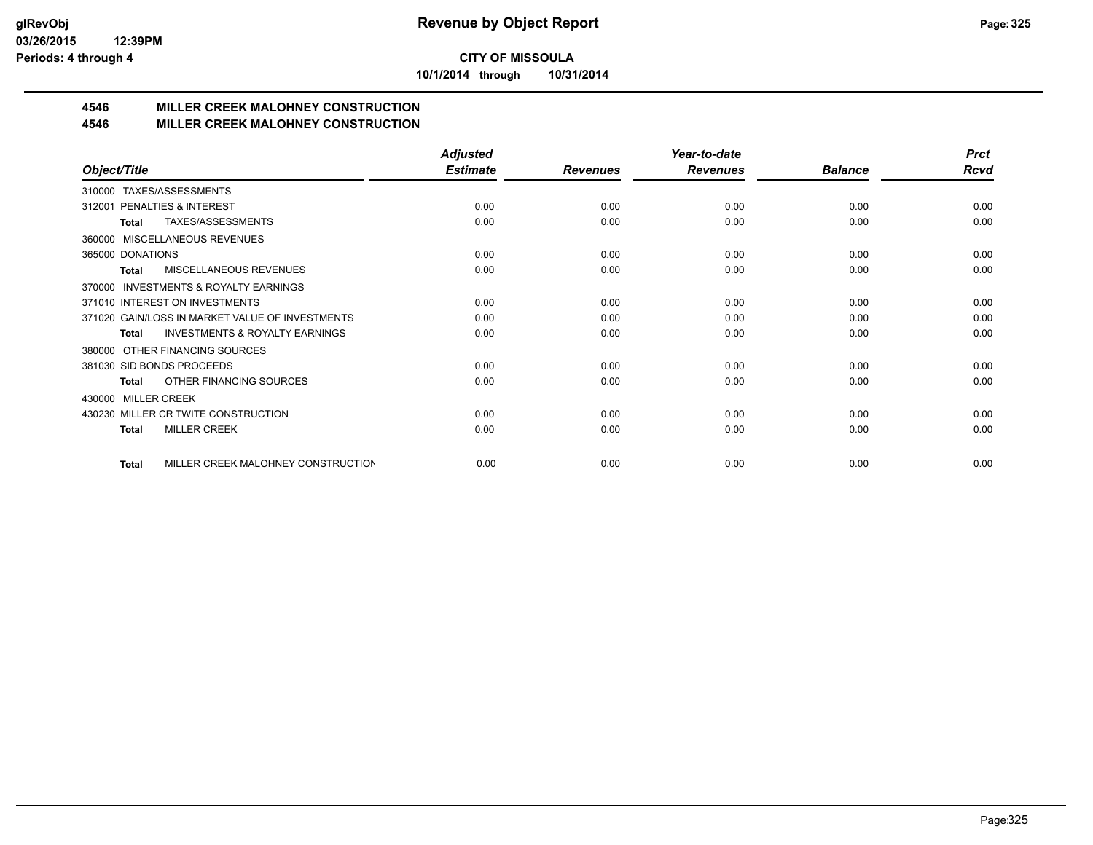**10/1/2014 through 10/31/2014**

### **4546 MILLER CREEK MALOHNEY CONSTRUCTION**

#### **4546 MILLER CREEK MALOHNEY CONSTRUCTION**

|                                                           | <b>Adjusted</b> |                 | Year-to-date    |                | <b>Prct</b> |
|-----------------------------------------------------------|-----------------|-----------------|-----------------|----------------|-------------|
| Object/Title                                              | <b>Estimate</b> | <b>Revenues</b> | <b>Revenues</b> | <b>Balance</b> | Rcvd        |
| TAXES/ASSESSMENTS<br>310000                               |                 |                 |                 |                |             |
| PENALTIES & INTEREST<br>312001                            | 0.00            | 0.00            | 0.00            | 0.00           | 0.00        |
| TAXES/ASSESSMENTS<br>Total                                | 0.00            | 0.00            | 0.00            | 0.00           | 0.00        |
| MISCELLANEOUS REVENUES<br>360000                          |                 |                 |                 |                |             |
| 365000 DONATIONS                                          | 0.00            | 0.00            | 0.00            | 0.00           | 0.00        |
| <b>MISCELLANEOUS REVENUES</b><br><b>Total</b>             | 0.00            | 0.00            | 0.00            | 0.00           | 0.00        |
| <b>INVESTMENTS &amp; ROYALTY EARNINGS</b><br>370000       |                 |                 |                 |                |             |
| 371010 INTEREST ON INVESTMENTS                            | 0.00            | 0.00            | 0.00            | 0.00           | 0.00        |
| 371020 GAIN/LOSS IN MARKET VALUE OF INVESTMENTS           | 0.00            | 0.00            | 0.00            | 0.00           | 0.00        |
| <b>INVESTMENTS &amp; ROYALTY EARNINGS</b><br><b>Total</b> | 0.00            | 0.00            | 0.00            | 0.00           | 0.00        |
| OTHER FINANCING SOURCES<br>380000                         |                 |                 |                 |                |             |
| 381030 SID BONDS PROCEEDS                                 | 0.00            | 0.00            | 0.00            | 0.00           | 0.00        |
| OTHER FINANCING SOURCES<br>Total                          | 0.00            | 0.00            | 0.00            | 0.00           | 0.00        |
| <b>MILLER CREEK</b><br>430000                             |                 |                 |                 |                |             |
| 430230 MILLER CR TWITE CONSTRUCTION                       | 0.00            | 0.00            | 0.00            | 0.00           | 0.00        |
| <b>MILLER CREEK</b><br><b>Total</b>                       | 0.00            | 0.00            | 0.00            | 0.00           | 0.00        |
|                                                           |                 |                 |                 |                |             |
| MILLER CREEK MALOHNEY CONSTRUCTION<br>Total               | 0.00            | 0.00            | 0.00            | 0.00           | 0.00        |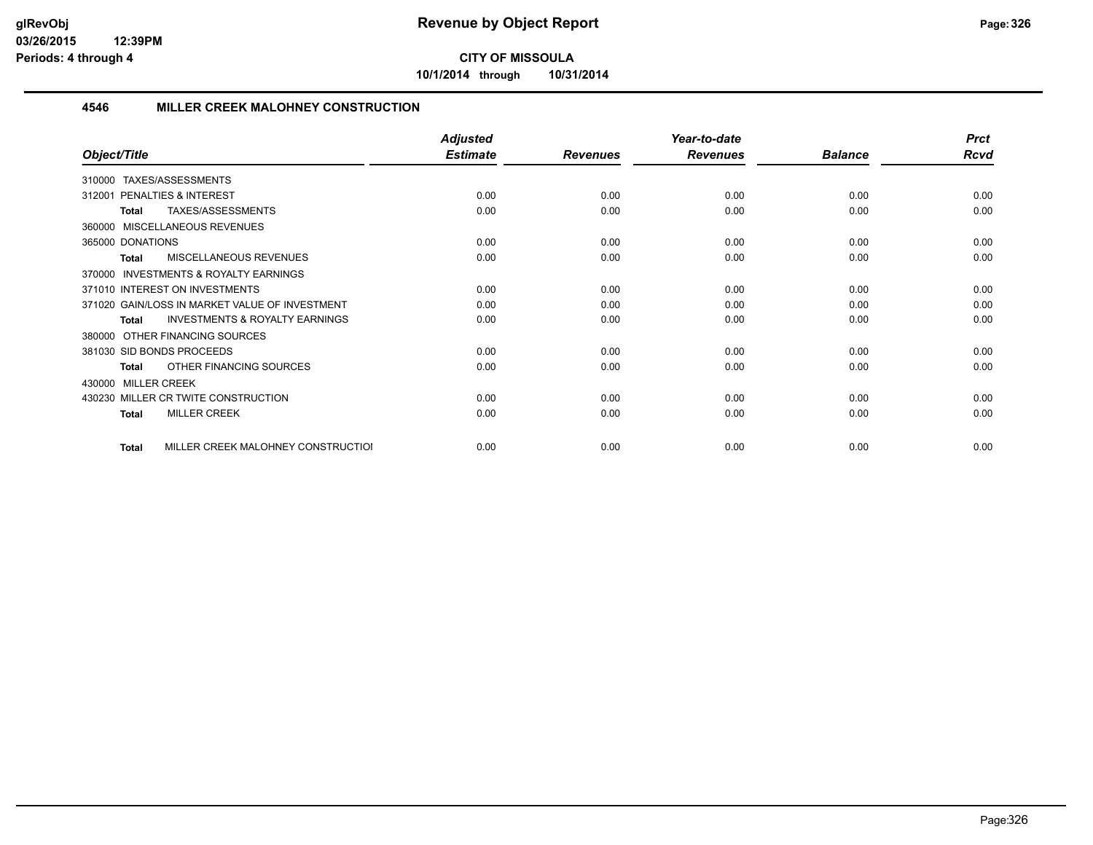**10/1/2014 through 10/31/2014**

#### **4546 MILLER CREEK MALOHNEY CONSTRUCTION**

|                                                     | <b>Adjusted</b> |                 | Year-to-date    |                | <b>Prct</b> |
|-----------------------------------------------------|-----------------|-----------------|-----------------|----------------|-------------|
| Object/Title                                        | <b>Estimate</b> | <b>Revenues</b> | <b>Revenues</b> | <b>Balance</b> | <b>Rcvd</b> |
| TAXES/ASSESSMENTS<br>310000                         |                 |                 |                 |                |             |
| PENALTIES & INTEREST<br>312001                      | 0.00            | 0.00            | 0.00            | 0.00           | 0.00        |
| TAXES/ASSESSMENTS<br>Total                          | 0.00            | 0.00            | 0.00            | 0.00           | 0.00        |
| 360000 MISCELLANEOUS REVENUES                       |                 |                 |                 |                |             |
| 365000 DONATIONS                                    | 0.00            | 0.00            | 0.00            | 0.00           | 0.00        |
| MISCELLANEOUS REVENUES<br>Total                     | 0.00            | 0.00            | 0.00            | 0.00           | 0.00        |
| <b>INVESTMENTS &amp; ROYALTY EARNINGS</b><br>370000 |                 |                 |                 |                |             |
| 371010 INTEREST ON INVESTMENTS                      | 0.00            | 0.00            | 0.00            | 0.00           | 0.00        |
| 371020 GAIN/LOSS IN MARKET VALUE OF INVESTMENT      | 0.00            | 0.00            | 0.00            | 0.00           | 0.00        |
| <b>INVESTMENTS &amp; ROYALTY EARNINGS</b><br>Total  | 0.00            | 0.00            | 0.00            | 0.00           | 0.00        |
| 380000 OTHER FINANCING SOURCES                      |                 |                 |                 |                |             |
| 381030 SID BONDS PROCEEDS                           | 0.00            | 0.00            | 0.00            | 0.00           | 0.00        |
| OTHER FINANCING SOURCES<br>Total                    | 0.00            | 0.00            | 0.00            | 0.00           | 0.00        |
| 430000 MILLER CREEK                                 |                 |                 |                 |                |             |
| 430230 MILLER CR TWITE CONSTRUCTION                 | 0.00            | 0.00            | 0.00            | 0.00           | 0.00        |
| <b>MILLER CREEK</b><br>Total                        | 0.00            | 0.00            | 0.00            | 0.00           | 0.00        |
| MILLER CREEK MALOHNEY CONSTRUCTIOI<br>Total         | 0.00            | 0.00            | 0.00            | 0.00           | 0.00        |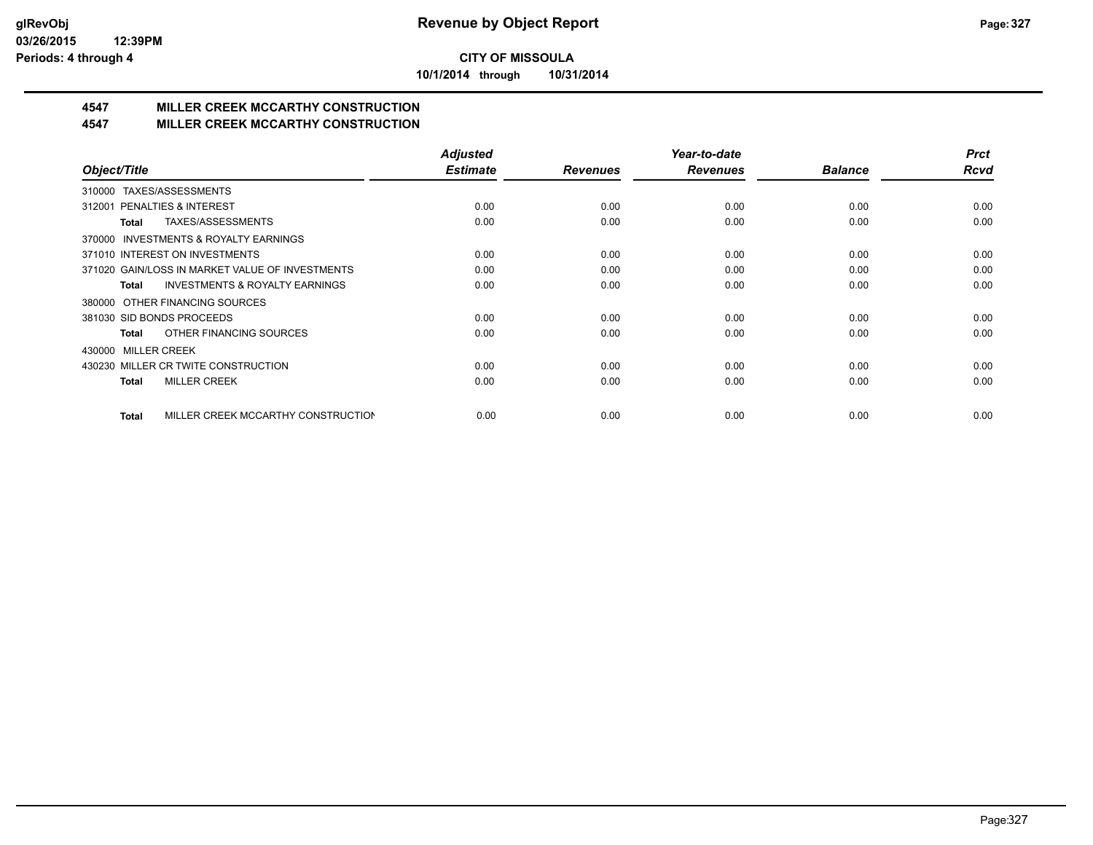**10/1/2014 through 10/31/2014**

### **4547 MILLER CREEK MCCARTHY CONSTRUCTION**

#### **4547 MILLER CREEK MCCARTHY CONSTRUCTION**

|                                                    | <b>Adjusted</b> |                 | Year-to-date    |                | <b>Prct</b> |
|----------------------------------------------------|-----------------|-----------------|-----------------|----------------|-------------|
| Object/Title                                       | <b>Estimate</b> | <b>Revenues</b> | <b>Revenues</b> | <b>Balance</b> | <b>Rcvd</b> |
| TAXES/ASSESSMENTS<br>310000                        |                 |                 |                 |                |             |
| PENALTIES & INTEREST<br>312001                     | 0.00            | 0.00            | 0.00            | 0.00           | 0.00        |
| TAXES/ASSESSMENTS<br>Total                         | 0.00            | 0.00            | 0.00            | 0.00           | 0.00        |
| INVESTMENTS & ROYALTY EARNINGS<br>370000           |                 |                 |                 |                |             |
| 371010 INTEREST ON INVESTMENTS                     | 0.00            | 0.00            | 0.00            | 0.00           | 0.00        |
| 371020 GAIN/LOSS IN MARKET VALUE OF INVESTMENTS    | 0.00            | 0.00            | 0.00            | 0.00           | 0.00        |
| <b>INVESTMENTS &amp; ROYALTY EARNINGS</b><br>Total | 0.00            | 0.00            | 0.00            | 0.00           | 0.00        |
| OTHER FINANCING SOURCES<br>380000                  |                 |                 |                 |                |             |
| 381030 SID BONDS PROCEEDS                          | 0.00            | 0.00            | 0.00            | 0.00           | 0.00        |
| OTHER FINANCING SOURCES<br>Total                   | 0.00            | 0.00            | 0.00            | 0.00           | 0.00        |
| <b>MILLER CREEK</b><br>430000                      |                 |                 |                 |                |             |
| 430230 MILLER CR TWITE CONSTRUCTION                | 0.00            | 0.00            | 0.00            | 0.00           | 0.00        |
| <b>MILLER CREEK</b><br><b>Total</b>                | 0.00            | 0.00            | 0.00            | 0.00           | 0.00        |
|                                                    |                 |                 |                 |                |             |
| MILLER CREEK MCCARTHY CONSTRUCTION<br><b>Total</b> | 0.00            | 0.00            | 0.00            | 0.00           | 0.00        |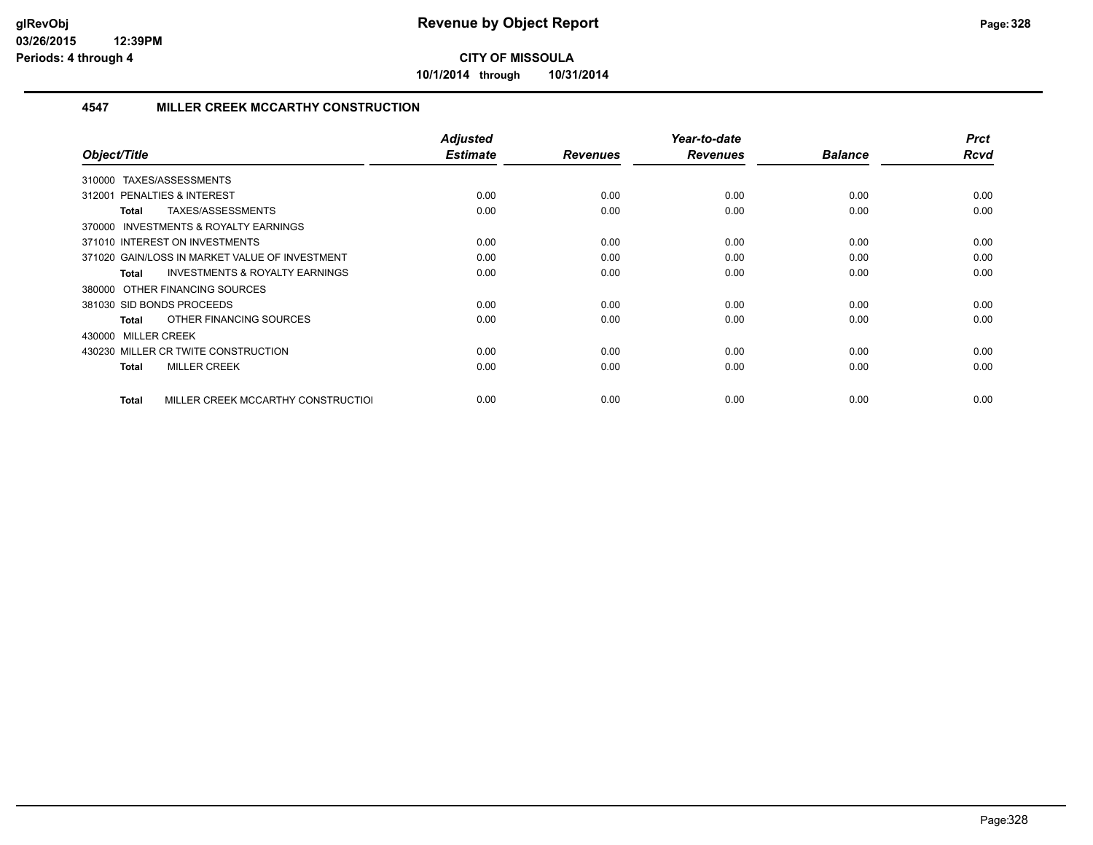**10/1/2014 through 10/31/2014**

#### **4547 MILLER CREEK MCCARTHY CONSTRUCTION**

| Object/Title                                              | <b>Adjusted</b><br><b>Estimate</b> | <b>Revenues</b> | Year-to-date<br><b>Revenues</b> | <b>Balance</b> | <b>Prct</b><br>Rcvd |
|-----------------------------------------------------------|------------------------------------|-----------------|---------------------------------|----------------|---------------------|
| TAXES/ASSESSMENTS<br>310000                               |                                    |                 |                                 |                |                     |
| PENALTIES & INTEREST<br>312001                            | 0.00                               | 0.00            | 0.00                            | 0.00           | 0.00                |
| TAXES/ASSESSMENTS<br>Total                                | 0.00                               | 0.00            | 0.00                            | 0.00           | 0.00                |
| <b>INVESTMENTS &amp; ROYALTY EARNINGS</b><br>370000       |                                    |                 |                                 |                |                     |
| 371010 INTEREST ON INVESTMENTS                            | 0.00                               | 0.00            | 0.00                            | 0.00           | 0.00                |
| 371020 GAIN/LOSS IN MARKET VALUE OF INVESTMENT            | 0.00                               | 0.00            | 0.00                            | 0.00           | 0.00                |
| <b>INVESTMENTS &amp; ROYALTY EARNINGS</b><br><b>Total</b> | 0.00                               | 0.00            | 0.00                            | 0.00           | 0.00                |
| 380000 OTHER FINANCING SOURCES                            |                                    |                 |                                 |                |                     |
| 381030 SID BONDS PROCEEDS                                 | 0.00                               | 0.00            | 0.00                            | 0.00           | 0.00                |
| OTHER FINANCING SOURCES<br>Total                          | 0.00                               | 0.00            | 0.00                            | 0.00           | 0.00                |
| 430000 MILLER CREEK                                       |                                    |                 |                                 |                |                     |
| 430230 MILLER CR TWITE CONSTRUCTION                       | 0.00                               | 0.00            | 0.00                            | 0.00           | 0.00                |
| <b>MILLER CREEK</b><br><b>Total</b>                       | 0.00                               | 0.00            | 0.00                            | 0.00           | 0.00                |
| MILLER CREEK MCCARTHY CONSTRUCTIOL<br>Total               | 0.00                               | 0.00            | 0.00                            | 0.00           | 0.00                |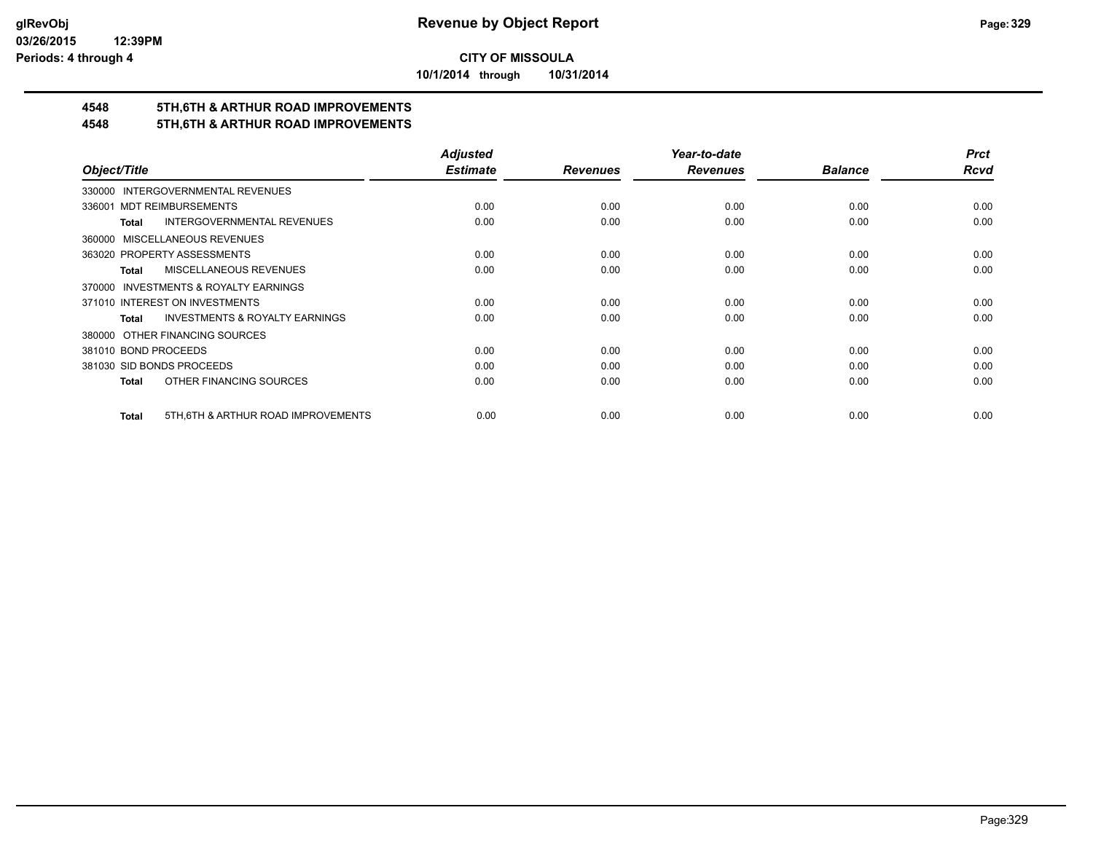**10/1/2014 through 10/31/2014**

# **4548 5TH,6TH & ARTHUR ROAD IMPROVEMENTS**

#### **4548 5TH,6TH & ARTHUR ROAD IMPROVEMENTS**

|                                                           | <b>Adjusted</b> |                 | Year-to-date    |                | <b>Prct</b> |
|-----------------------------------------------------------|-----------------|-----------------|-----------------|----------------|-------------|
| Object/Title                                              | <b>Estimate</b> | <b>Revenues</b> | <b>Revenues</b> | <b>Balance</b> | <b>Rcvd</b> |
| 330000 INTERGOVERNMENTAL REVENUES                         |                 |                 |                 |                |             |
| 336001 MDT REIMBURSEMENTS                                 | 0.00            | 0.00            | 0.00            | 0.00           | 0.00        |
| <b>INTERGOVERNMENTAL REVENUES</b><br><b>Total</b>         | 0.00            | 0.00            | 0.00            | 0.00           | 0.00        |
| MISCELLANEOUS REVENUES<br>360000                          |                 |                 |                 |                |             |
| 363020 PROPERTY ASSESSMENTS                               | 0.00            | 0.00            | 0.00            | 0.00           | 0.00        |
| <b>MISCELLANEOUS REVENUES</b><br>Total                    | 0.00            | 0.00            | 0.00            | 0.00           | 0.00        |
| INVESTMENTS & ROYALTY EARNINGS<br>370000                  |                 |                 |                 |                |             |
| 371010 INTEREST ON INVESTMENTS                            | 0.00            | 0.00            | 0.00            | 0.00           | 0.00        |
| <b>INVESTMENTS &amp; ROYALTY EARNINGS</b><br><b>Total</b> | 0.00            | 0.00            | 0.00            | 0.00           | 0.00        |
| OTHER FINANCING SOURCES<br>380000                         |                 |                 |                 |                |             |
| 381010 BOND PROCEEDS                                      | 0.00            | 0.00            | 0.00            | 0.00           | 0.00        |
| 381030 SID BONDS PROCEEDS                                 | 0.00            | 0.00            | 0.00            | 0.00           | 0.00        |
| OTHER FINANCING SOURCES<br><b>Total</b>                   | 0.00            | 0.00            | 0.00            | 0.00           | 0.00        |
| 5TH, 6TH & ARTHUR ROAD IMPROVEMENTS<br><b>Total</b>       | 0.00            | 0.00            | 0.00            | 0.00           | 0.00        |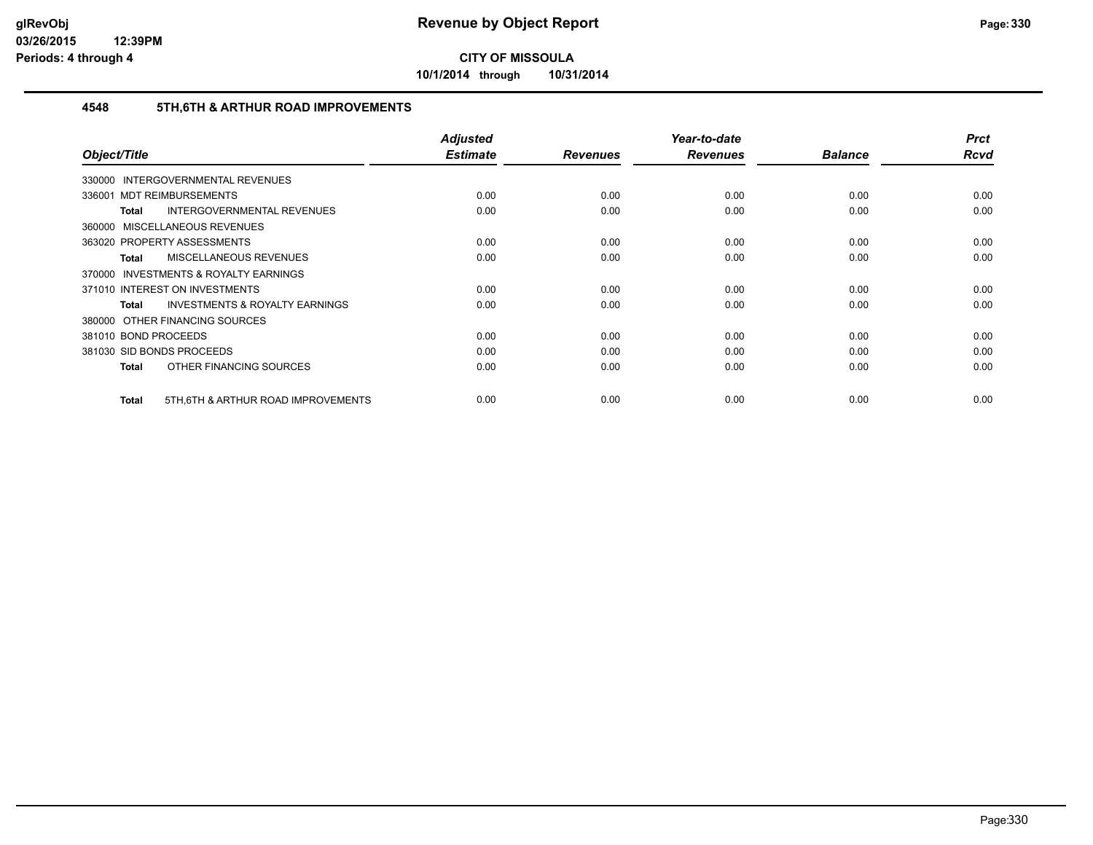**10/1/2014 through 10/31/2014**

#### **4548 5TH,6TH & ARTHUR ROAD IMPROVEMENTS**

| Object/Title                                       | <b>Adjusted</b><br><b>Estimate</b> | <b>Revenues</b> | Year-to-date<br><b>Revenues</b> | <b>Balance</b> | <b>Prct</b><br><b>Rcvd</b> |
|----------------------------------------------------|------------------------------------|-----------------|---------------------------------|----------------|----------------------------|
| <b>INTERGOVERNMENTAL REVENUES</b><br>330000        |                                    |                 |                                 |                |                            |
| 336001 MDT REIMBURSEMENTS                          | 0.00                               | 0.00            | 0.00                            | 0.00           | 0.00                       |
| <b>INTERGOVERNMENTAL REVENUES</b><br>Total         | 0.00                               | 0.00            | 0.00                            | 0.00           | 0.00                       |
| 360000 MISCELLANEOUS REVENUES                      |                                    |                 |                                 |                |                            |
| 363020 PROPERTY ASSESSMENTS                        | 0.00                               | 0.00            | 0.00                            | 0.00           | 0.00                       |
| <b>MISCELLANEOUS REVENUES</b><br>Total             | 0.00                               | 0.00            | 0.00                            | 0.00           | 0.00                       |
| 370000 INVESTMENTS & ROYALTY EARNINGS              |                                    |                 |                                 |                |                            |
| 371010 INTEREST ON INVESTMENTS                     | 0.00                               | 0.00            | 0.00                            | 0.00           | 0.00                       |
| <b>INVESTMENTS &amp; ROYALTY EARNINGS</b><br>Total | 0.00                               | 0.00            | 0.00                            | 0.00           | 0.00                       |
| 380000 OTHER FINANCING SOURCES                     |                                    |                 |                                 |                |                            |
| 381010 BOND PROCEEDS                               | 0.00                               | 0.00            | 0.00                            | 0.00           | 0.00                       |
| 381030 SID BONDS PROCEEDS                          | 0.00                               | 0.00            | 0.00                            | 0.00           | 0.00                       |
| OTHER FINANCING SOURCES<br>Total                   | 0.00                               | 0.00            | 0.00                            | 0.00           | 0.00                       |
| 5TH, 6TH & ARTHUR ROAD IMPROVEMENTS<br>Total       | 0.00                               | 0.00            | 0.00                            | 0.00           | 0.00                       |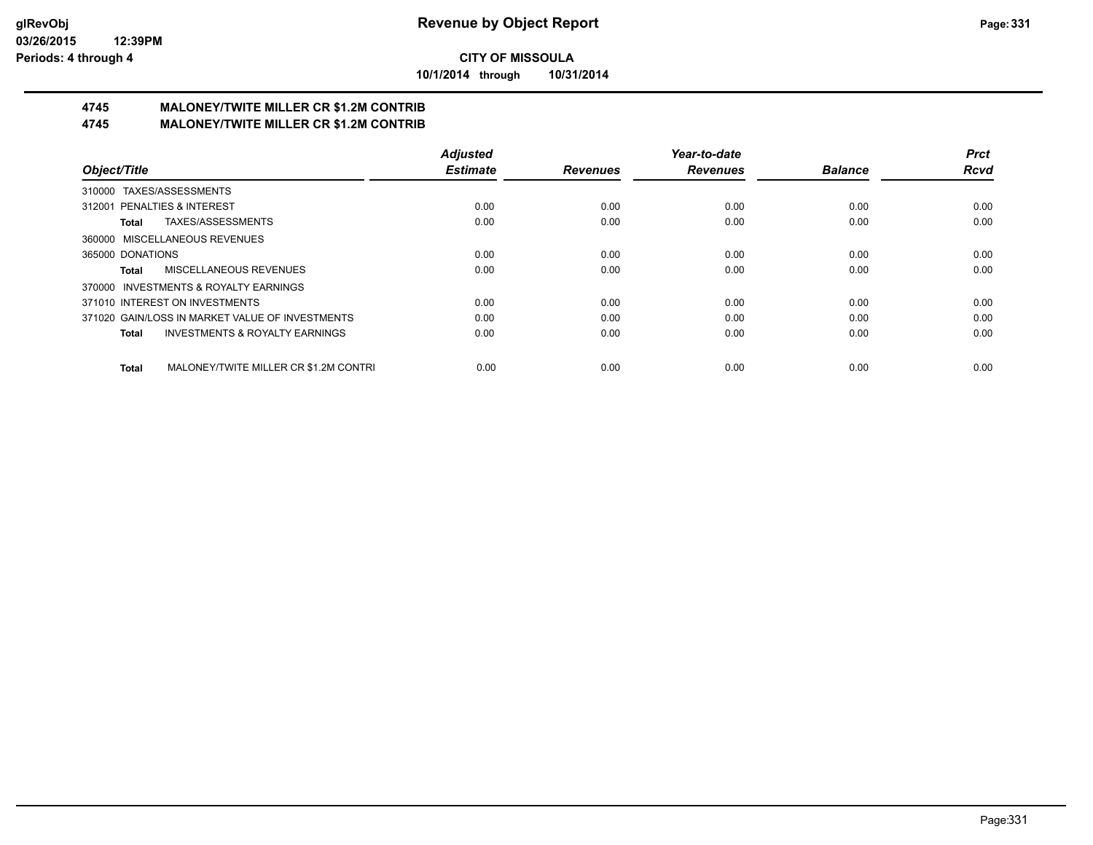**10/1/2014 through 10/31/2014**

#### **4745 MALONEY/TWITE MILLER CR \$1.2M CONTRIB 4745 MALONEY/TWITE MILLER CR \$1.2M CONTRIB**

|                                                       | <b>Adjusted</b> |                 | Year-to-date    |                | <b>Prct</b> |
|-------------------------------------------------------|-----------------|-----------------|-----------------|----------------|-------------|
| Object/Title                                          | <b>Estimate</b> | <b>Revenues</b> | <b>Revenues</b> | <b>Balance</b> | <b>Rcvd</b> |
| 310000 TAXES/ASSESSMENTS                              |                 |                 |                 |                |             |
| 312001 PENALTIES & INTEREST                           | 0.00            | 0.00            | 0.00            | 0.00           | 0.00        |
| TAXES/ASSESSMENTS<br>Total                            | 0.00            | 0.00            | 0.00            | 0.00           | 0.00        |
| 360000 MISCELLANEOUS REVENUES                         |                 |                 |                 |                |             |
| 365000 DONATIONS                                      | 0.00            | 0.00            | 0.00            | 0.00           | 0.00        |
| MISCELLANEOUS REVENUES<br>Total                       | 0.00            | 0.00            | 0.00            | 0.00           | 0.00        |
| 370000 INVESTMENTS & ROYALTY EARNINGS                 |                 |                 |                 |                |             |
| 371010 INTEREST ON INVESTMENTS                        | 0.00            | 0.00            | 0.00            | 0.00           | 0.00        |
| 371020 GAIN/LOSS IN MARKET VALUE OF INVESTMENTS       | 0.00            | 0.00            | 0.00            | 0.00           | 0.00        |
| <b>INVESTMENTS &amp; ROYALTY EARNINGS</b><br>Total    | 0.00            | 0.00            | 0.00            | 0.00           | 0.00        |
| MALONEY/TWITE MILLER CR \$1.2M CONTRI<br><b>Total</b> | 0.00            | 0.00            | 0.00            | 0.00           | 0.00        |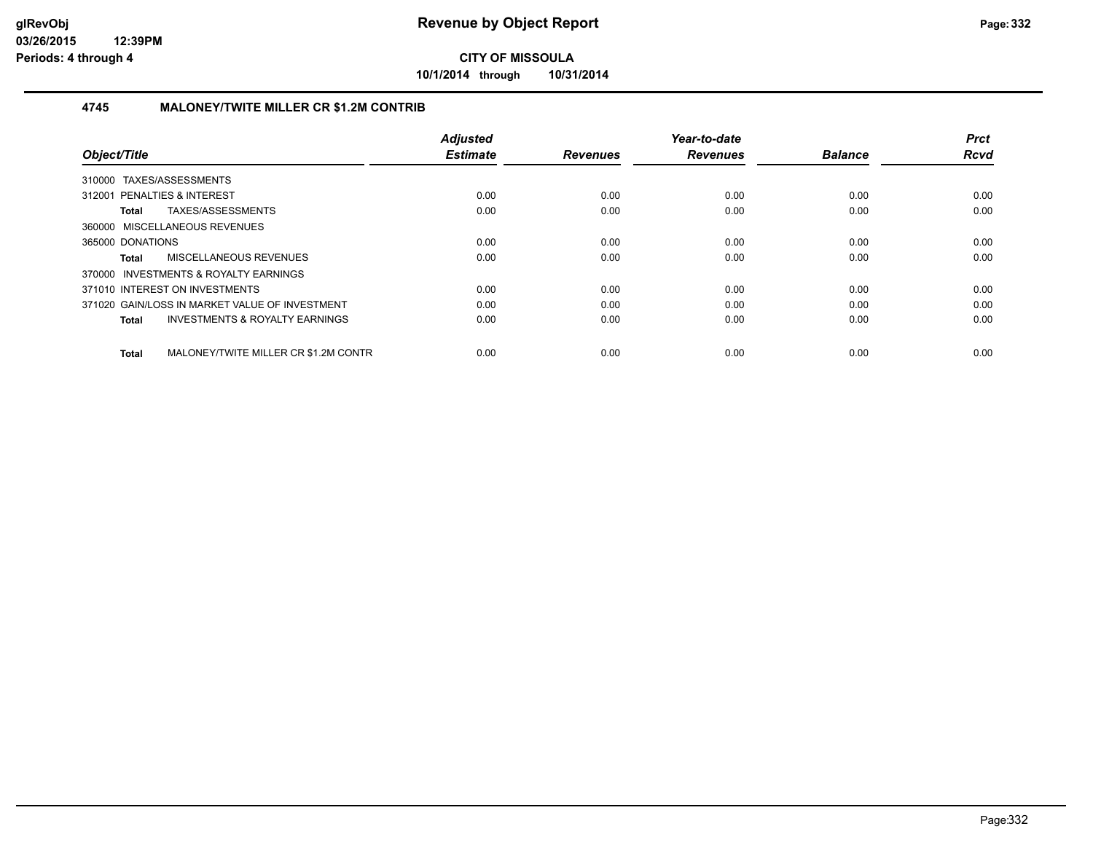**10/1/2014 through 10/31/2014**

#### **4745 MALONEY/TWITE MILLER CR \$1.2M CONTRIB**

| Object/Title                                              | <b>Adjusted</b><br><b>Estimate</b> | <b>Revenues</b> | Year-to-date<br><b>Revenues</b> | <b>Balance</b> | <b>Prct</b><br><b>Rcvd</b> |
|-----------------------------------------------------------|------------------------------------|-----------------|---------------------------------|----------------|----------------------------|
| 310000 TAXES/ASSESSMENTS                                  |                                    |                 |                                 |                |                            |
| 312001 PENALTIES & INTEREST                               | 0.00                               | 0.00            | 0.00                            | 0.00           | 0.00                       |
| TAXES/ASSESSMENTS<br>Total                                | 0.00                               | 0.00            | 0.00                            | 0.00           | 0.00                       |
| 360000 MISCELLANEOUS REVENUES                             |                                    |                 |                                 |                |                            |
| 365000 DONATIONS                                          | 0.00                               | 0.00            | 0.00                            | 0.00           | 0.00                       |
| MISCELLANEOUS REVENUES<br>Total                           | 0.00                               | 0.00            | 0.00                            | 0.00           | 0.00                       |
| 370000 INVESTMENTS & ROYALTY EARNINGS                     |                                    |                 |                                 |                |                            |
| 371010 INTEREST ON INVESTMENTS                            | 0.00                               | 0.00            | 0.00                            | 0.00           | 0.00                       |
| 371020 GAIN/LOSS IN MARKET VALUE OF INVESTMENT            | 0.00                               | 0.00            | 0.00                            | 0.00           | 0.00                       |
| <b>INVESTMENTS &amp; ROYALTY EARNINGS</b><br><b>Total</b> | 0.00                               | 0.00            | 0.00                            | 0.00           | 0.00                       |
| MALONEY/TWITE MILLER CR \$1.2M CONTR<br>Total             | 0.00                               | 0.00            | 0.00                            | 0.00           | 0.00                       |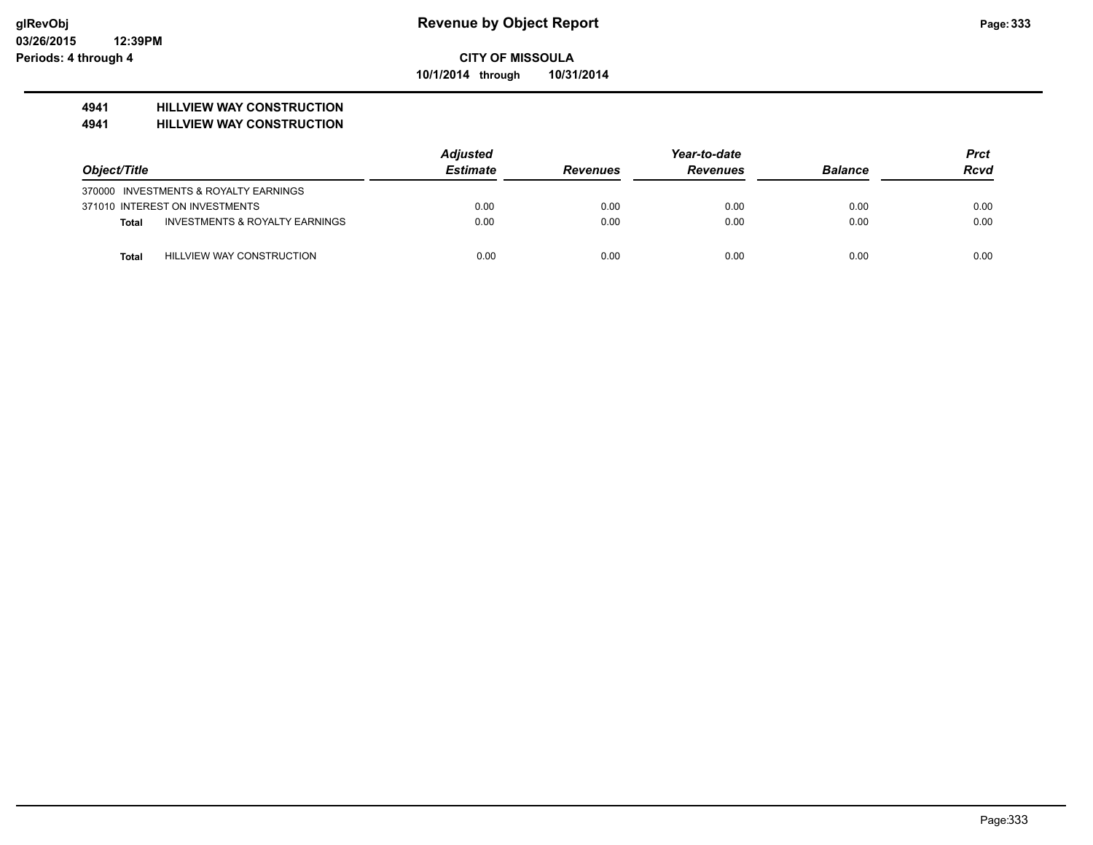#### **CITY OF MISSOULA 10/1/2014 through 10/31/2014**

#### **4941 HILLVIEW WAY CONSTRUCTION**

#### **4941 HILLVIEW WAY CONSTRUCTION**

|              |                                       | <b>Adjusted</b> |                 | <b>Prct</b>     |                |             |
|--------------|---------------------------------------|-----------------|-----------------|-----------------|----------------|-------------|
| Object/Title |                                       | <b>Estimate</b> | <b>Revenues</b> | <b>Revenues</b> | <b>Balance</b> | <b>Rcvd</b> |
|              | 370000 INVESTMENTS & ROYALTY EARNINGS |                 |                 |                 |                |             |
|              | 371010 INTEREST ON INVESTMENTS        | 0.00            | 0.00            | 0.00            | 0.00           | 0.00        |
| Total        | INVESTMENTS & ROYALTY EARNINGS        | 0.00            | 0.00            | 0.00            | 0.00           | 0.00        |
| <b>Total</b> | HILLVIEW WAY CONSTRUCTION             | 0.00            | 0.00            | 0.00            | 0.00           | 0.00        |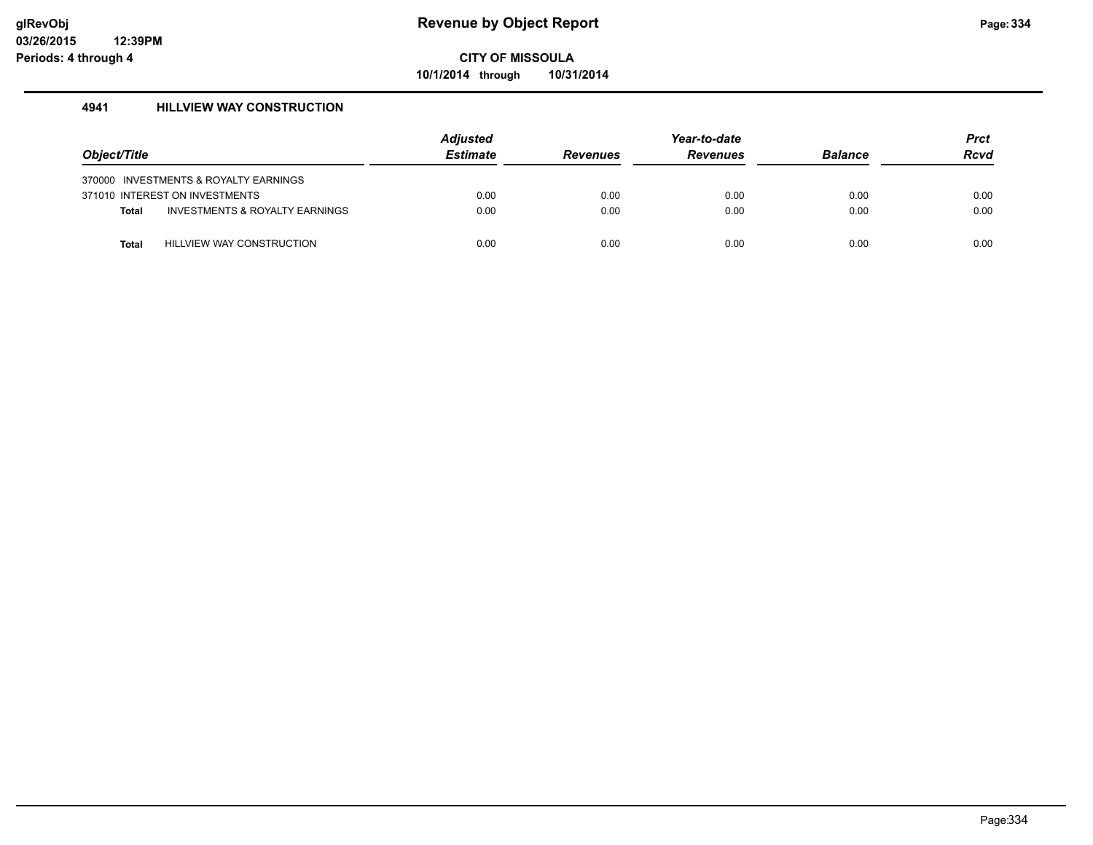**10/1/2014 through 10/31/2014**

#### **4941 HILLVIEW WAY CONSTRUCTION**

| Object/Title |                                           | <b>Adjusted</b><br><b>Estimate</b> | <b>Revenues</b> | Year-to-date<br><b>Revenues</b> | <b>Balance</b> | <b>Prct</b><br><b>Rcvd</b> |
|--------------|-------------------------------------------|------------------------------------|-----------------|---------------------------------|----------------|----------------------------|
|              | 370000 INVESTMENTS & ROYALTY EARNINGS     |                                    |                 |                                 |                |                            |
|              | 371010 INTEREST ON INVESTMENTS            | 0.00                               | 0.00            | 0.00                            | 0.00           | 0.00                       |
| <b>Total</b> | <b>INVESTMENTS &amp; ROYALTY EARNINGS</b> | 0.00                               | 0.00            | 0.00                            | 0.00           | 0.00                       |
| <b>Total</b> | <b>HILLVIEW WAY CONSTRUCTION</b>          | 0.00                               | 0.00            | 0.00                            | 0.00           | 0.00                       |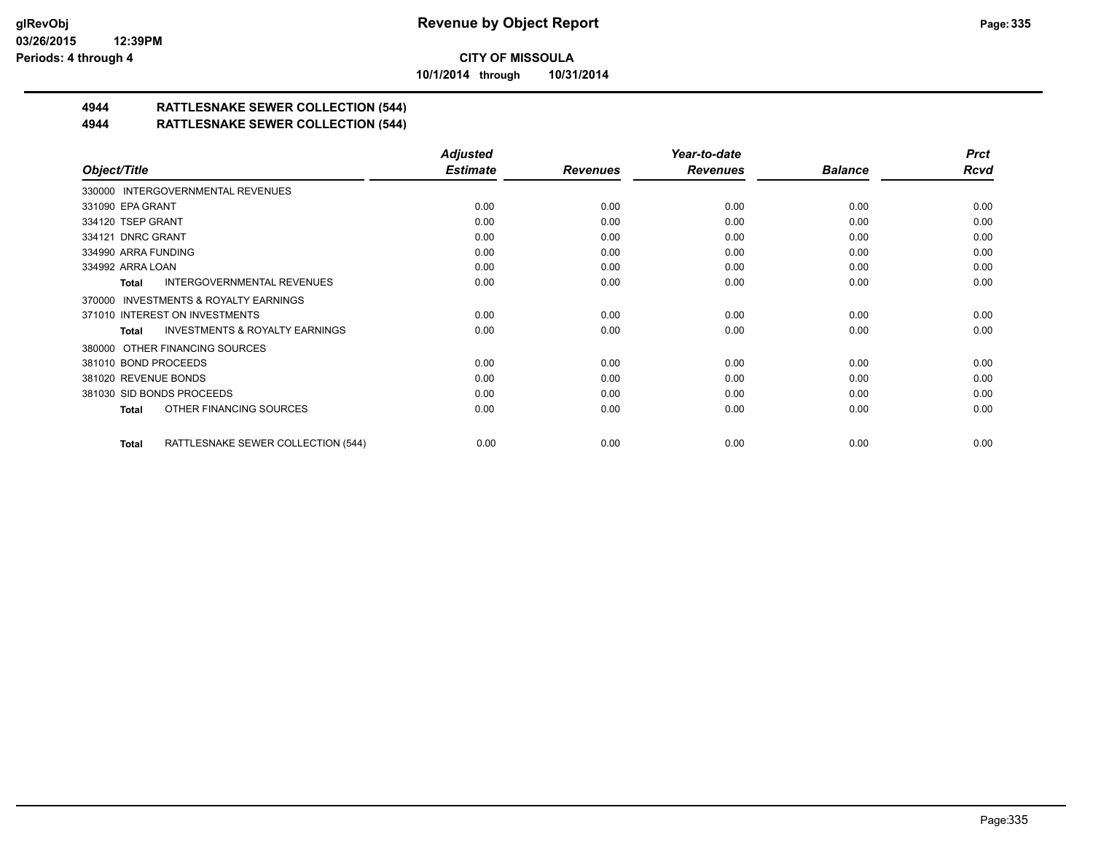**10/1/2014 through 10/31/2014**

### **4944 RATTLESNAKE SEWER COLLECTION (544)**

#### **4944 RATTLESNAKE SEWER COLLECTION (544)**

|                                                    | <b>Adjusted</b> |                 | Year-to-date    |                | <b>Prct</b> |
|----------------------------------------------------|-----------------|-----------------|-----------------|----------------|-------------|
| Object/Title                                       | <b>Estimate</b> | <b>Revenues</b> | <b>Revenues</b> | <b>Balance</b> | <b>Rcvd</b> |
| 330000 INTERGOVERNMENTAL REVENUES                  |                 |                 |                 |                |             |
| 331090 EPA GRANT                                   | 0.00            | 0.00            | 0.00            | 0.00           | 0.00        |
| 334120 TSEP GRANT                                  | 0.00            | 0.00            | 0.00            | 0.00           | 0.00        |
| 334121 DNRC GRANT                                  | 0.00            | 0.00            | 0.00            | 0.00           | 0.00        |
| 334990 ARRA FUNDING                                | 0.00            | 0.00            | 0.00            | 0.00           | 0.00        |
| 334992 ARRA LOAN                                   | 0.00            | 0.00            | 0.00            | 0.00           | 0.00        |
| <b>INTERGOVERNMENTAL REVENUES</b><br>Total         | 0.00            | 0.00            | 0.00            | 0.00           | 0.00        |
| 370000 INVESTMENTS & ROYALTY EARNINGS              |                 |                 |                 |                |             |
| 371010 INTEREST ON INVESTMENTS                     | 0.00            | 0.00            | 0.00            | 0.00           | 0.00        |
| <b>INVESTMENTS &amp; ROYALTY EARNINGS</b><br>Total | 0.00            | 0.00            | 0.00            | 0.00           | 0.00        |
| 380000 OTHER FINANCING SOURCES                     |                 |                 |                 |                |             |
| 381010 BOND PROCEEDS                               | 0.00            | 0.00            | 0.00            | 0.00           | 0.00        |
| 381020 REVENUE BONDS                               | 0.00            | 0.00            | 0.00            | 0.00           | 0.00        |
| 381030 SID BONDS PROCEEDS                          | 0.00            | 0.00            | 0.00            | 0.00           | 0.00        |
| OTHER FINANCING SOURCES<br>Total                   | 0.00            | 0.00            | 0.00            | 0.00           | 0.00        |
| RATTLESNAKE SEWER COLLECTION (544)<br>Total        | 0.00            | 0.00            | 0.00            | 0.00           | 0.00        |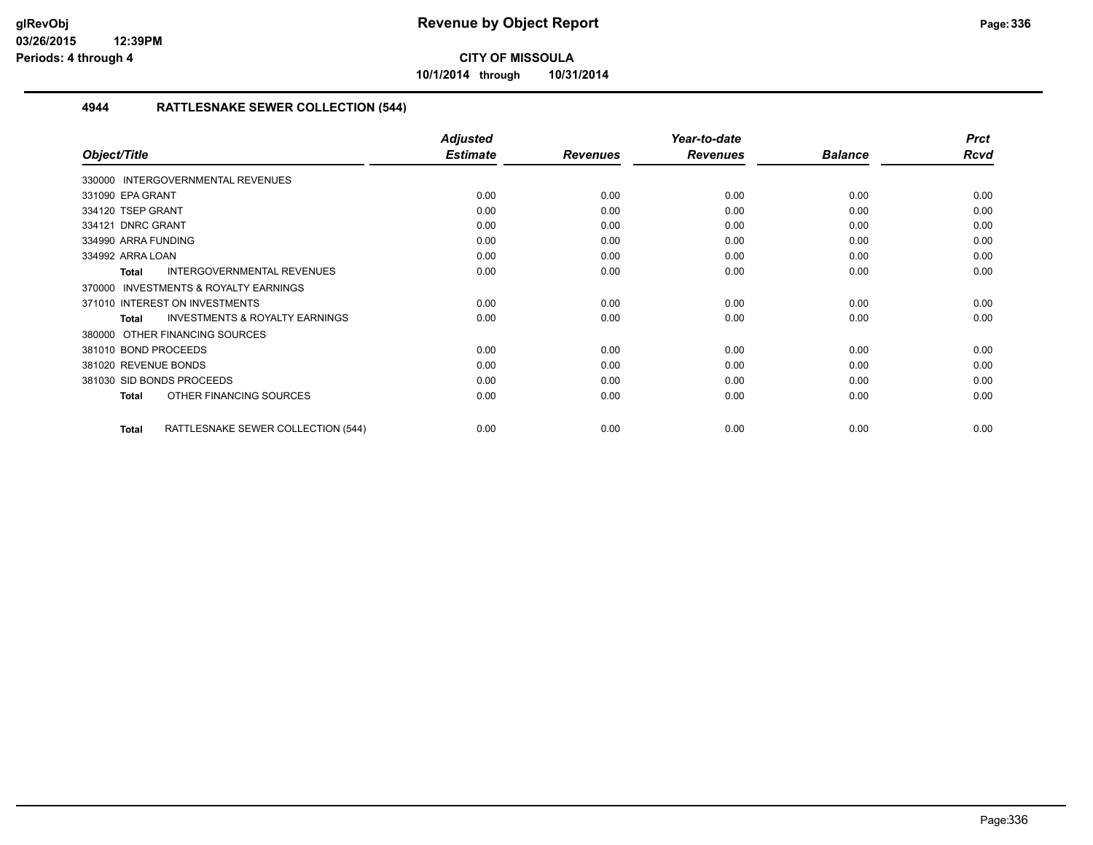**10/1/2014 through 10/31/2014**

#### **4944 RATTLESNAKE SEWER COLLECTION (544)**

|                                                           | <b>Adjusted</b> |                 | Year-to-date    |                | <b>Prct</b> |
|-----------------------------------------------------------|-----------------|-----------------|-----------------|----------------|-------------|
| Object/Title                                              | <b>Estimate</b> | <b>Revenues</b> | <b>Revenues</b> | <b>Balance</b> | <b>Rcvd</b> |
| 330000 INTERGOVERNMENTAL REVENUES                         |                 |                 |                 |                |             |
| 331090 EPA GRANT                                          | 0.00            | 0.00            | 0.00            | 0.00           | 0.00        |
| 334120 TSEP GRANT                                         | 0.00            | 0.00            | 0.00            | 0.00           | 0.00        |
| 334121 DNRC GRANT                                         | 0.00            | 0.00            | 0.00            | 0.00           | 0.00        |
| 334990 ARRA FUNDING                                       | 0.00            | 0.00            | 0.00            | 0.00           | 0.00        |
| 334992 ARRA LOAN                                          | 0.00            | 0.00            | 0.00            | 0.00           | 0.00        |
| <b>INTERGOVERNMENTAL REVENUES</b><br><b>Total</b>         | 0.00            | 0.00            | 0.00            | 0.00           | 0.00        |
| <b>INVESTMENTS &amp; ROYALTY EARNINGS</b><br>370000       |                 |                 |                 |                |             |
| 371010 INTEREST ON INVESTMENTS                            | 0.00            | 0.00            | 0.00            | 0.00           | 0.00        |
| <b>INVESTMENTS &amp; ROYALTY EARNINGS</b><br><b>Total</b> | 0.00            | 0.00            | 0.00            | 0.00           | 0.00        |
| OTHER FINANCING SOURCES<br>380000                         |                 |                 |                 |                |             |
| 381010 BOND PROCEEDS                                      | 0.00            | 0.00            | 0.00            | 0.00           | 0.00        |
| 381020 REVENUE BONDS                                      | 0.00            | 0.00            | 0.00            | 0.00           | 0.00        |
| 381030 SID BONDS PROCEEDS                                 | 0.00            | 0.00            | 0.00            | 0.00           | 0.00        |
| OTHER FINANCING SOURCES<br><b>Total</b>                   | 0.00            | 0.00            | 0.00            | 0.00           | 0.00        |
| RATTLESNAKE SEWER COLLECTION (544)<br><b>Total</b>        | 0.00            | 0.00            | 0.00            | 0.00           | 0.00        |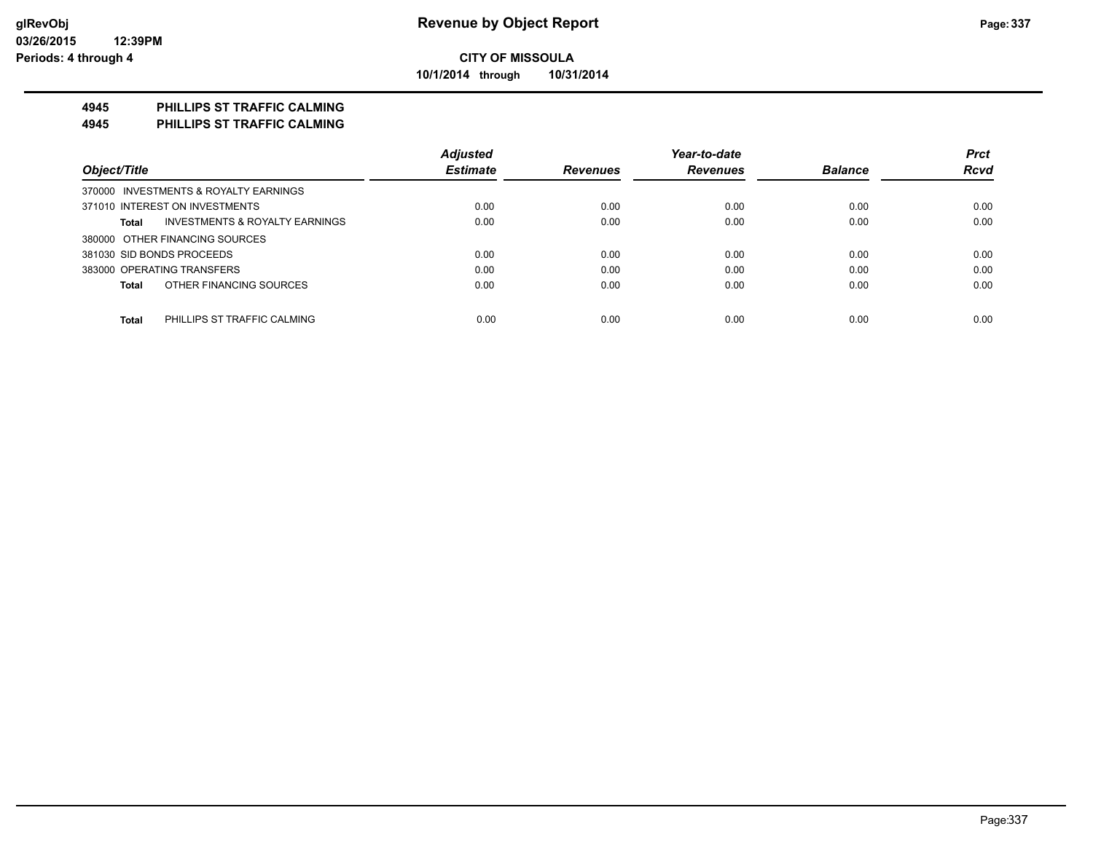**10/1/2014 through 10/31/2014**

#### **4945 PHILLIPS ST TRAFFIC CALMING**

**4945 PHILLIPS ST TRAFFIC CALMING**

|                                                    | <b>Adjusted</b> |                 | Year-to-date    |                | <b>Prct</b> |
|----------------------------------------------------|-----------------|-----------------|-----------------|----------------|-------------|
| Object/Title                                       | <b>Estimate</b> | <b>Revenues</b> | <b>Revenues</b> | <b>Balance</b> | <b>Rcvd</b> |
| 370000 INVESTMENTS & ROYALTY EARNINGS              |                 |                 |                 |                |             |
| 371010 INTEREST ON INVESTMENTS                     | 0.00            | 0.00            | 0.00            | 0.00           | 0.00        |
| <b>INVESTMENTS &amp; ROYALTY EARNINGS</b><br>Total | 0.00            | 0.00            | 0.00            | 0.00           | 0.00        |
| 380000 OTHER FINANCING SOURCES                     |                 |                 |                 |                |             |
| 381030 SID BONDS PROCEEDS                          | 0.00            | 0.00            | 0.00            | 0.00           | 0.00        |
| 383000 OPERATING TRANSFERS                         | 0.00            | 0.00            | 0.00            | 0.00           | 0.00        |
| OTHER FINANCING SOURCES<br>Total                   | 0.00            | 0.00            | 0.00            | 0.00           | 0.00        |
|                                                    |                 |                 |                 |                |             |
| PHILLIPS ST TRAFFIC CALMING<br><b>Total</b>        | 0.00            | 0.00            | 0.00            | 0.00           | 0.00        |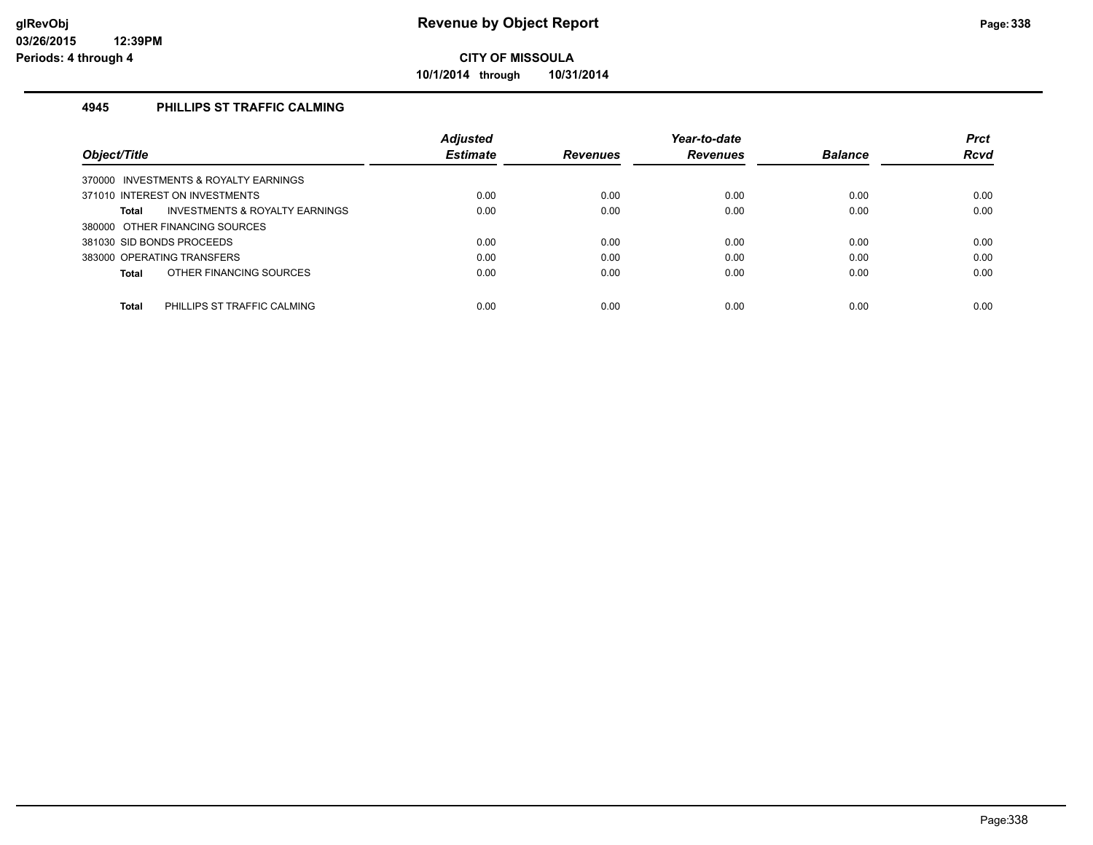**10/1/2014 through 10/31/2014**

#### **4945 PHILLIPS ST TRAFFIC CALMING**

|                                                    | <b>Adjusted</b> |                 | Year-to-date    |                | <b>Prct</b> |
|----------------------------------------------------|-----------------|-----------------|-----------------|----------------|-------------|
| Object/Title                                       | <b>Estimate</b> | <b>Revenues</b> | <b>Revenues</b> | <b>Balance</b> | <b>Rcvd</b> |
| 370000 INVESTMENTS & ROYALTY EARNINGS              |                 |                 |                 |                |             |
| 371010 INTEREST ON INVESTMENTS                     | 0.00            | 0.00            | 0.00            | 0.00           | 0.00        |
| <b>INVESTMENTS &amp; ROYALTY EARNINGS</b><br>Total | 0.00            | 0.00            | 0.00            | 0.00           | 0.00        |
| 380000 OTHER FINANCING SOURCES                     |                 |                 |                 |                |             |
| 381030 SID BONDS PROCEEDS                          | 0.00            | 0.00            | 0.00            | 0.00           | 0.00        |
| 383000 OPERATING TRANSFERS                         | 0.00            | 0.00            | 0.00            | 0.00           | 0.00        |
| OTHER FINANCING SOURCES<br>Total                   | 0.00            | 0.00            | 0.00            | 0.00           | 0.00        |
|                                                    |                 |                 |                 |                |             |
| <b>Total</b><br>PHILLIPS ST TRAFFIC CALMING        | 0.00            | 0.00            | 0.00            | 0.00           | 0.00        |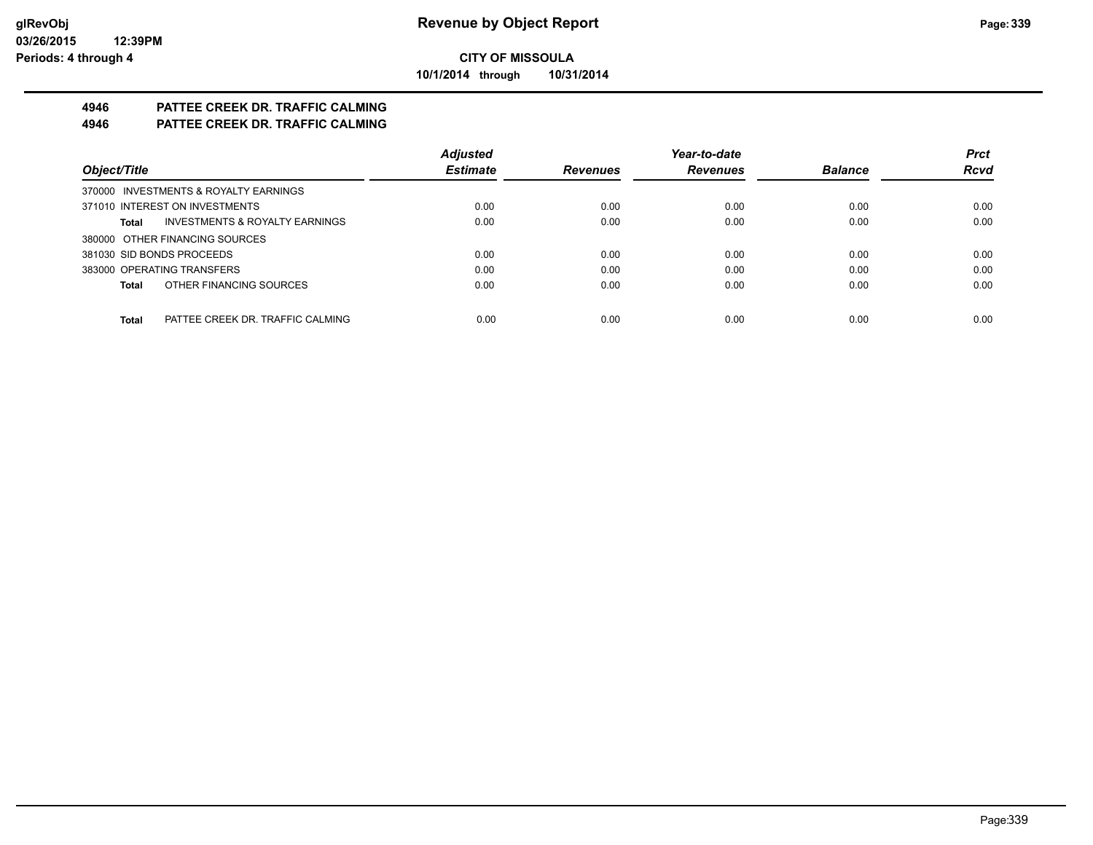**10/1/2014 through 10/31/2014**

# **4946 PATTEE CREEK DR. TRAFFIC CALMING**

### **4946 PATTEE CREEK DR. TRAFFIC CALMING**

|                                           | <b>Adjusted</b> |                 | Year-to-date    |                | <b>Prct</b> |
|-------------------------------------------|-----------------|-----------------|-----------------|----------------|-------------|
| Object/Title                              | <b>Estimate</b> | <b>Revenues</b> | <b>Revenues</b> | <b>Balance</b> | <b>Rcvd</b> |
| 370000 INVESTMENTS & ROYALTY EARNINGS     |                 |                 |                 |                |             |
| 371010 INTEREST ON INVESTMENTS            | 0.00            | 0.00            | 0.00            | 0.00           | 0.00        |
| INVESTMENTS & ROYALTY EARNINGS<br>Total   | 0.00            | 0.00            | 0.00            | 0.00           | 0.00        |
| 380000 OTHER FINANCING SOURCES            |                 |                 |                 |                |             |
| 381030 SID BONDS PROCEEDS                 | 0.00            | 0.00            | 0.00            | 0.00           | 0.00        |
| 383000 OPERATING TRANSFERS                | 0.00            | 0.00            | 0.00            | 0.00           | 0.00        |
| OTHER FINANCING SOURCES<br>Total          | 0.00            | 0.00            | 0.00            | 0.00           | 0.00        |
|                                           |                 |                 |                 |                |             |
| Total<br>PATTEE CREEK DR. TRAFFIC CALMING | 0.00            | 0.00            | 0.00            | 0.00           | 0.00        |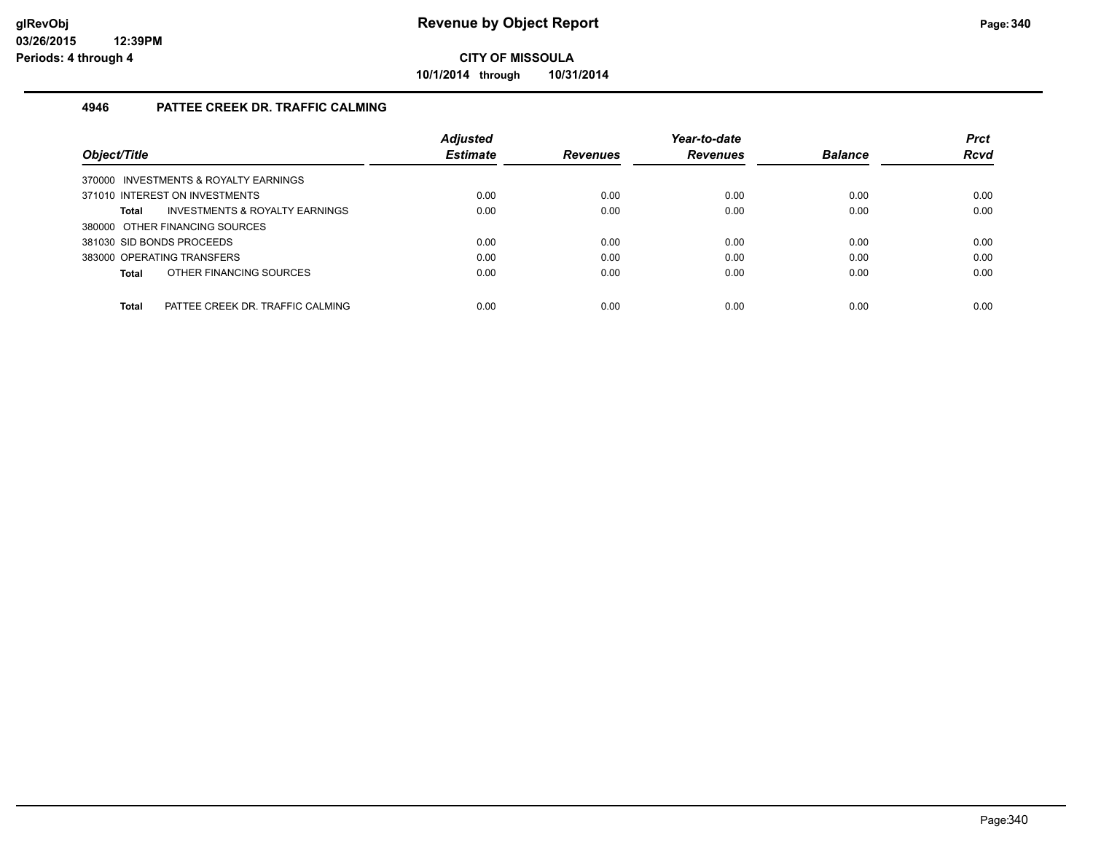**10/1/2014 through 10/31/2014**

#### **4946 PATTEE CREEK DR. TRAFFIC CALMING**

| Object/Title                                     | <b>Adjusted</b><br><b>Estimate</b> | <b>Revenues</b> | Year-to-date<br><b>Revenues</b> | <b>Balance</b> | <b>Prct</b><br><b>Rcvd</b> |
|--------------------------------------------------|------------------------------------|-----------------|---------------------------------|----------------|----------------------------|
| 370000 INVESTMENTS & ROYALTY EARNINGS            |                                    |                 |                                 |                |                            |
| 371010 INTEREST ON INVESTMENTS                   | 0.00                               | 0.00            | 0.00                            | 0.00           | 0.00                       |
| INVESTMENTS & ROYALTY EARNINGS<br>Total          | 0.00                               | 0.00            | 0.00                            | 0.00           | 0.00                       |
| 380000 OTHER FINANCING SOURCES                   |                                    |                 |                                 |                |                            |
| 381030 SID BONDS PROCEEDS                        | 0.00                               | 0.00            | 0.00                            | 0.00           | 0.00                       |
| 383000 OPERATING TRANSFERS                       | 0.00                               | 0.00            | 0.00                            | 0.00           | 0.00                       |
| OTHER FINANCING SOURCES<br>Total                 | 0.00                               | 0.00            | 0.00                            | 0.00           | 0.00                       |
|                                                  |                                    |                 |                                 |                |                            |
| <b>Total</b><br>PATTEE CREEK DR. TRAFFIC CALMING | 0.00                               | 0.00            | 0.00                            | 0.00           | 0.00                       |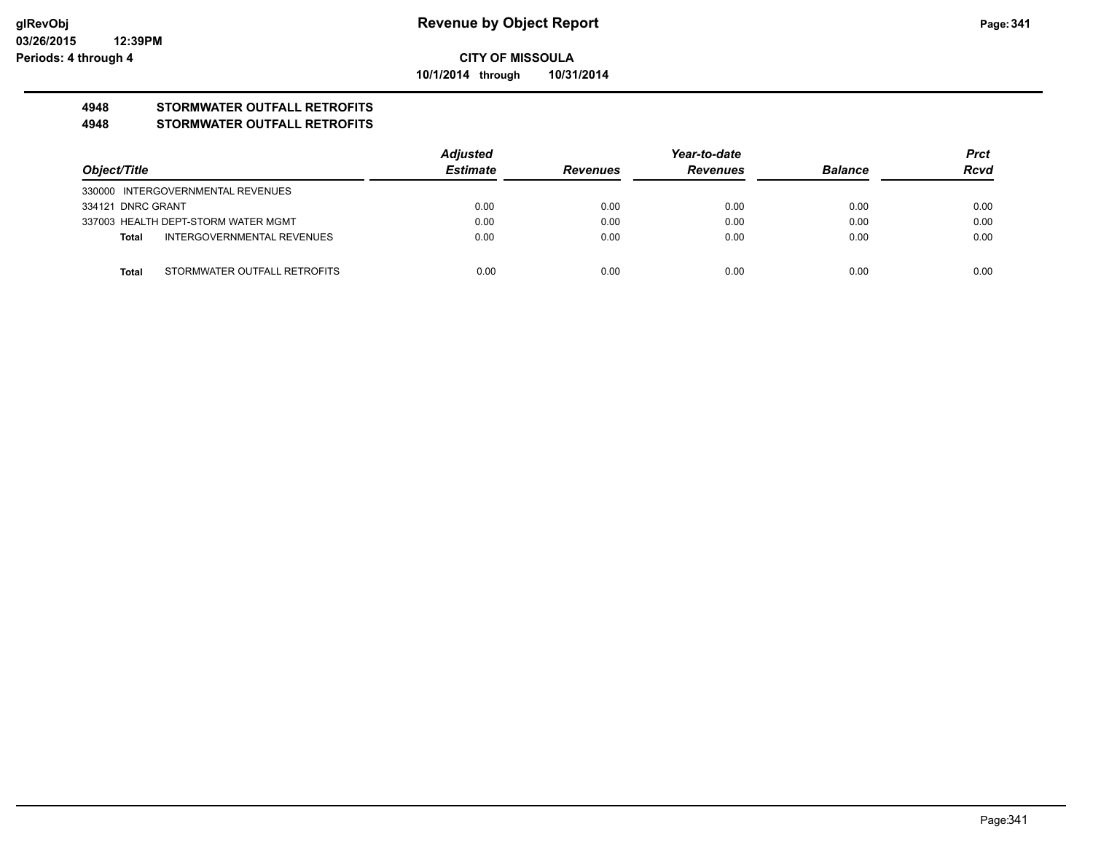**10/1/2014 through 10/31/2014**

### **4948 STORMWATER OUTFALL RETROFITS**

#### **4948 STORMWATER OUTFALL RETROFITS**

| Object/Title      |                                     | <b>Adjusted</b> | Year-to-date                       |      |                | <b>Prct</b> |
|-------------------|-------------------------------------|-----------------|------------------------------------|------|----------------|-------------|
|                   |                                     | <b>Estimate</b> | <b>Revenues</b><br><b>Revenues</b> |      | <b>Balance</b> | <b>Rcvd</b> |
|                   | 330000 INTERGOVERNMENTAL REVENUES   |                 |                                    |      |                |             |
| 334121 DNRC GRANT |                                     | 0.00            | 0.00                               | 0.00 | 0.00           | 0.00        |
|                   | 337003 HEALTH DEPT-STORM WATER MGMT | 0.00            | 0.00                               | 0.00 | 0.00           | 0.00        |
| Total             | INTERGOVERNMENTAL REVENUES          | 0.00            | 0.00                               | 0.00 | 0.00           | 0.00        |
|                   |                                     |                 |                                    |      |                |             |
| <b>Total</b>      | STORMWATER OUTFALL RETROFITS        | 0.00            | 0.00                               | 0.00 | 0.00           | 0.00        |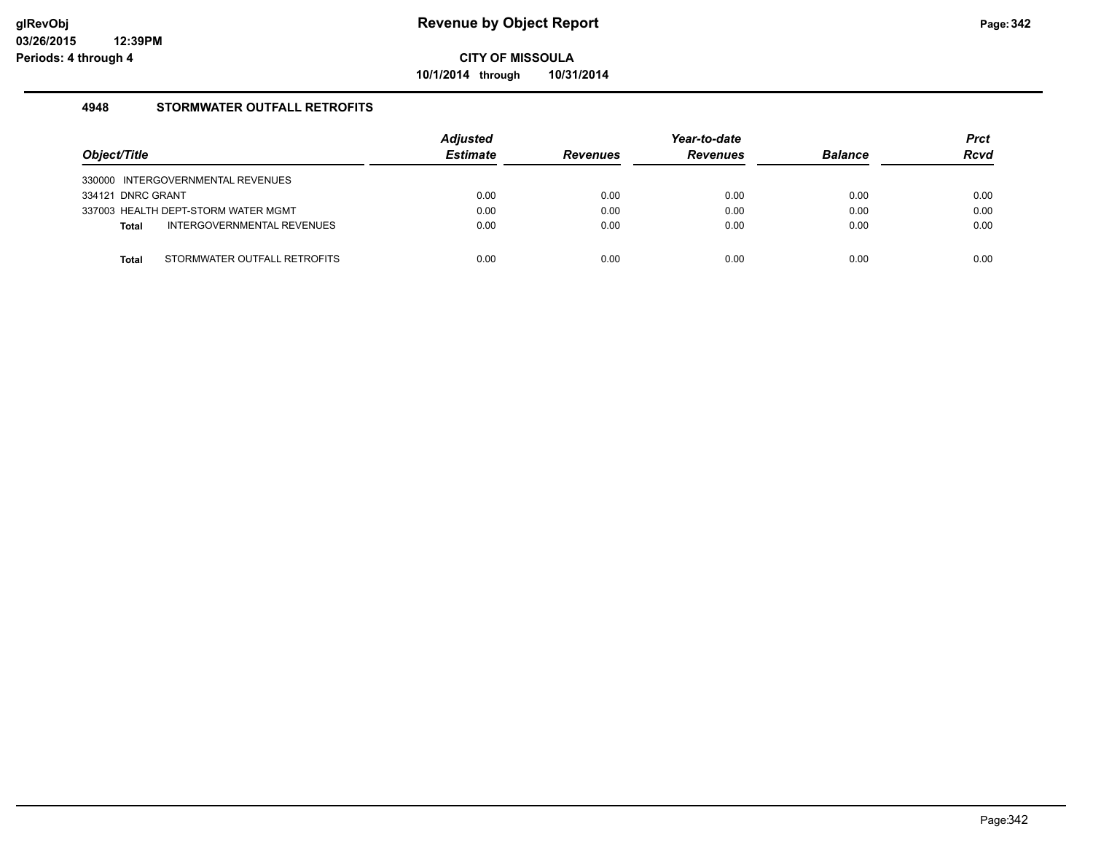**10/1/2014 through 10/31/2014**

#### **4948 STORMWATER OUTFALL RETROFITS**

| Object/Title                               | <b>Adjusted</b><br><b>Estimate</b> | <b>Revenues</b> | Year-to-date<br><b>Revenues</b> | <b>Balance</b> | <b>Prct</b><br><b>Rcvd</b> |
|--------------------------------------------|------------------------------------|-----------------|---------------------------------|----------------|----------------------------|
| 330000 INTERGOVERNMENTAL REVENUES          |                                    |                 |                                 |                |                            |
| 334121 DNRC GRANT                          | 0.00                               | 0.00            | 0.00                            | 0.00           | 0.00                       |
| 337003 HEALTH DEPT-STORM WATER MGMT        | 0.00                               | 0.00            | 0.00                            | 0.00           | 0.00                       |
| INTERGOVERNMENTAL REVENUES<br><b>Total</b> | 0.00                               | 0.00            | 0.00                            | 0.00           | 0.00                       |
|                                            |                                    |                 |                                 |                |                            |
| STORMWATER OUTFALL RETROFITS<br>Total      | 0.00                               | 0.00            | 0.00                            | 0.00           | 0.00                       |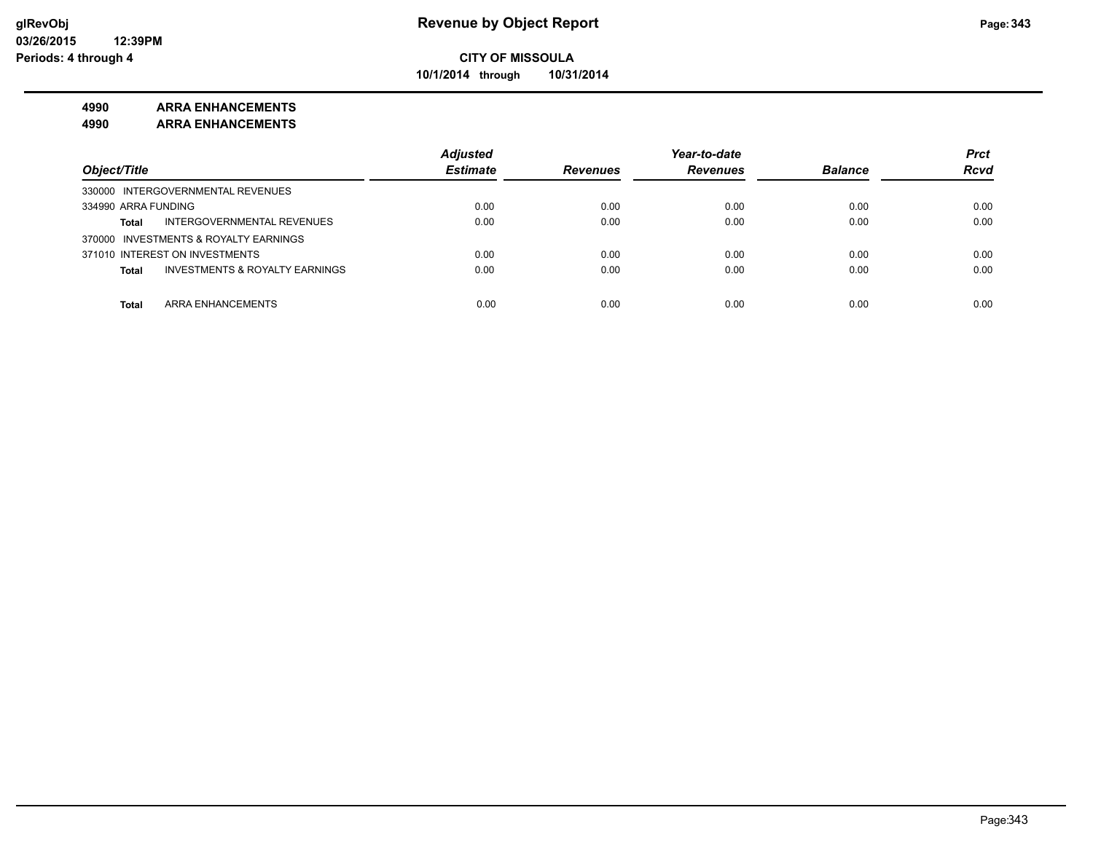**10/1/2014 through 10/31/2014**

#### **4990 ARRA ENHANCEMENTS**

**4990 ARRA ENHANCEMENTS**

|                                                | <b>Adjusted</b> |                 | Year-to-date    |                | <b>Prct</b> |
|------------------------------------------------|-----------------|-----------------|-----------------|----------------|-------------|
| Object/Title                                   | <b>Estimate</b> | <b>Revenues</b> | <b>Revenues</b> | <b>Balance</b> | <b>Rcvd</b> |
| 330000 INTERGOVERNMENTAL REVENUES              |                 |                 |                 |                |             |
| 334990 ARRA FUNDING                            | 0.00            | 0.00            | 0.00            | 0.00           | 0.00        |
| INTERGOVERNMENTAL REVENUES<br><b>Total</b>     | 0.00            | 0.00            | 0.00            | 0.00           | 0.00        |
| 370000 INVESTMENTS & ROYALTY EARNINGS          |                 |                 |                 |                |             |
| 371010 INTEREST ON INVESTMENTS                 | 0.00            | 0.00            | 0.00            | 0.00           | 0.00        |
| INVESTMENTS & ROYALTY EARNINGS<br><b>Total</b> | 0.00            | 0.00            | 0.00            | 0.00           | 0.00        |
|                                                |                 |                 |                 |                |             |
| ARRA ENHANCEMENTS<br><b>Total</b>              | 0.00            | 0.00            | 0.00            | 0.00           | 0.00        |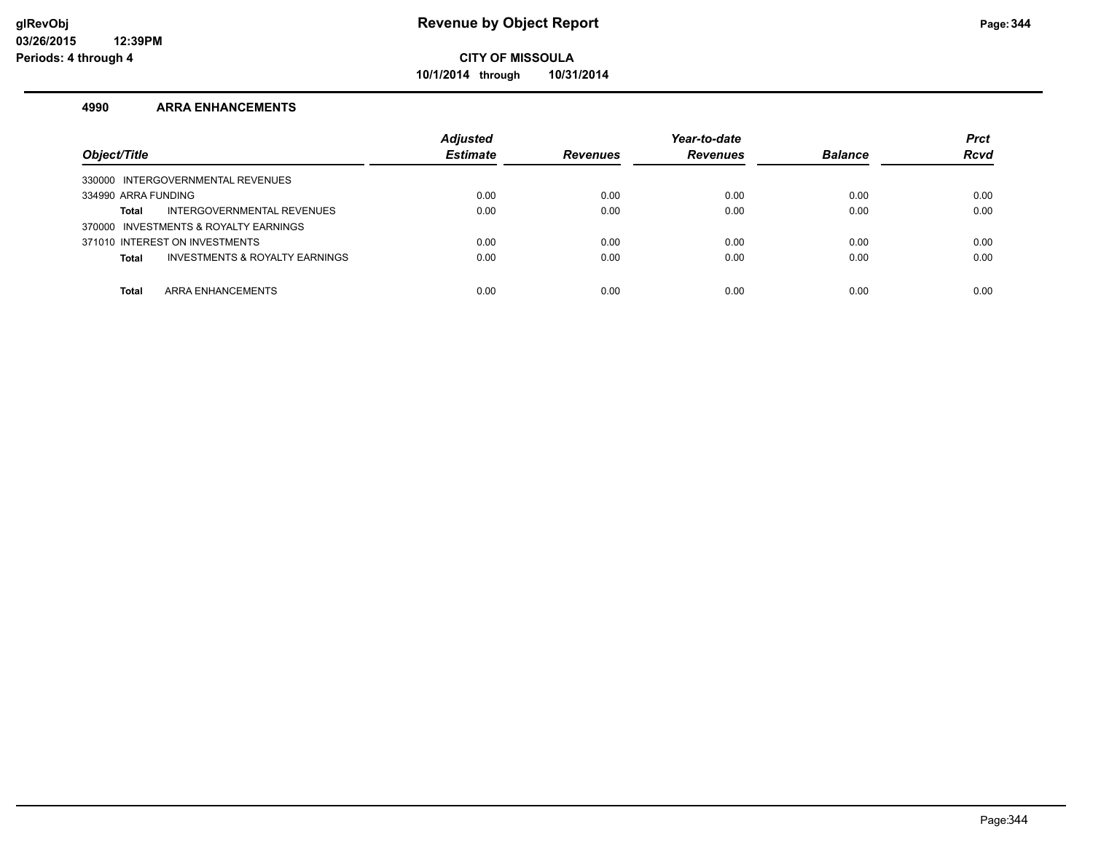**10/1/2014 through 10/31/2014**

#### **4990 ARRA ENHANCEMENTS**

| Object/Title                                   | <b>Adjusted</b><br><b>Estimate</b> | <b>Revenues</b> | Year-to-date<br><b>Revenues</b> | <b>Balance</b> | <b>Prct</b><br><b>Rcvd</b> |
|------------------------------------------------|------------------------------------|-----------------|---------------------------------|----------------|----------------------------|
| 330000 INTERGOVERNMENTAL REVENUES              |                                    |                 |                                 |                |                            |
| 334990 ARRA FUNDING                            | 0.00                               | 0.00            | 0.00                            | 0.00           | 0.00                       |
| INTERGOVERNMENTAL REVENUES<br>Total            | 0.00                               | 0.00            | 0.00                            | 0.00           | 0.00                       |
| 370000 INVESTMENTS & ROYALTY EARNINGS          |                                    |                 |                                 |                |                            |
| 371010 INTEREST ON INVESTMENTS                 | 0.00                               | 0.00            | 0.00                            | 0.00           | 0.00                       |
| INVESTMENTS & ROYALTY EARNINGS<br><b>Total</b> | 0.00                               | 0.00            | 0.00                            | 0.00           | 0.00                       |
|                                                |                                    |                 |                                 |                |                            |
| ARRA ENHANCEMENTS<br><b>Total</b>              | 0.00                               | 0.00            | 0.00                            | 0.00           | 0.00                       |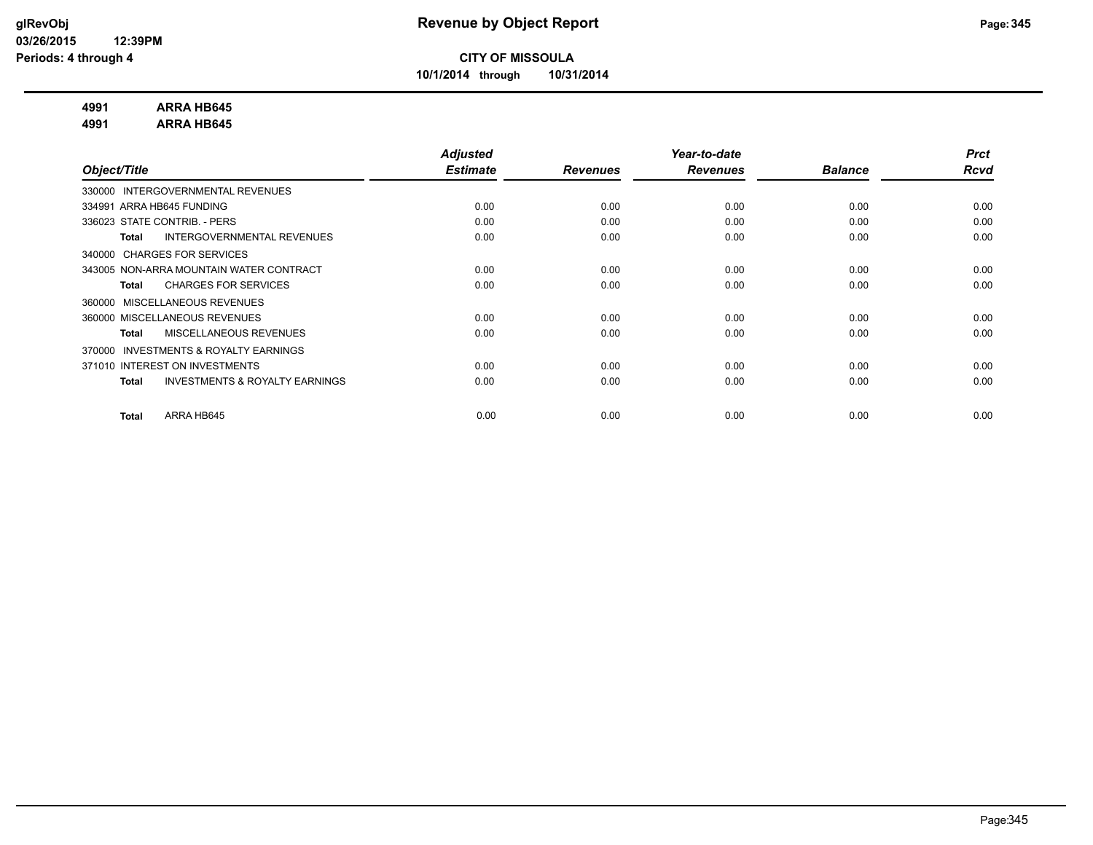**10/1/2014 through 10/31/2014**

#### **4991 ARRA HB645**

**4991 ARRA HB645**

|                                                           | <b>Adjusted</b> |                 | Year-to-date    |                | <b>Prct</b> |
|-----------------------------------------------------------|-----------------|-----------------|-----------------|----------------|-------------|
| Object/Title                                              | <b>Estimate</b> | <b>Revenues</b> | <b>Revenues</b> | <b>Balance</b> | <b>Rcvd</b> |
| INTERGOVERNMENTAL REVENUES<br>330000                      |                 |                 |                 |                |             |
| 334991 ARRA HB645 FUNDING                                 | 0.00            | 0.00            | 0.00            | 0.00           | 0.00        |
| 336023 STATE CONTRIB. - PERS                              | 0.00            | 0.00            | 0.00            | 0.00           | 0.00        |
| INTERGOVERNMENTAL REVENUES<br><b>Total</b>                | 0.00            | 0.00            | 0.00            | 0.00           | 0.00        |
| 340000 CHARGES FOR SERVICES                               |                 |                 |                 |                |             |
| 343005 NON-ARRA MOUNTAIN WATER CONTRACT                   | 0.00            | 0.00            | 0.00            | 0.00           | 0.00        |
| <b>CHARGES FOR SERVICES</b><br><b>Total</b>               | 0.00            | 0.00            | 0.00            | 0.00           | 0.00        |
| MISCELLANEOUS REVENUES<br>360000                          |                 |                 |                 |                |             |
| 360000 MISCELLANEOUS REVENUES                             | 0.00            | 0.00            | 0.00            | 0.00           | 0.00        |
| MISCELLANEOUS REVENUES<br><b>Total</b>                    | 0.00            | 0.00            | 0.00            | 0.00           | 0.00        |
| <b>INVESTMENTS &amp; ROYALTY EARNINGS</b><br>370000       |                 |                 |                 |                |             |
| 371010 INTEREST ON INVESTMENTS                            | 0.00            | 0.00            | 0.00            | 0.00           | 0.00        |
| <b>INVESTMENTS &amp; ROYALTY EARNINGS</b><br><b>Total</b> | 0.00            | 0.00            | 0.00            | 0.00           | 0.00        |
|                                                           |                 |                 |                 |                |             |
| ARRA HB645<br><b>Total</b>                                | 0.00            | 0.00            | 0.00            | 0.00           | 0.00        |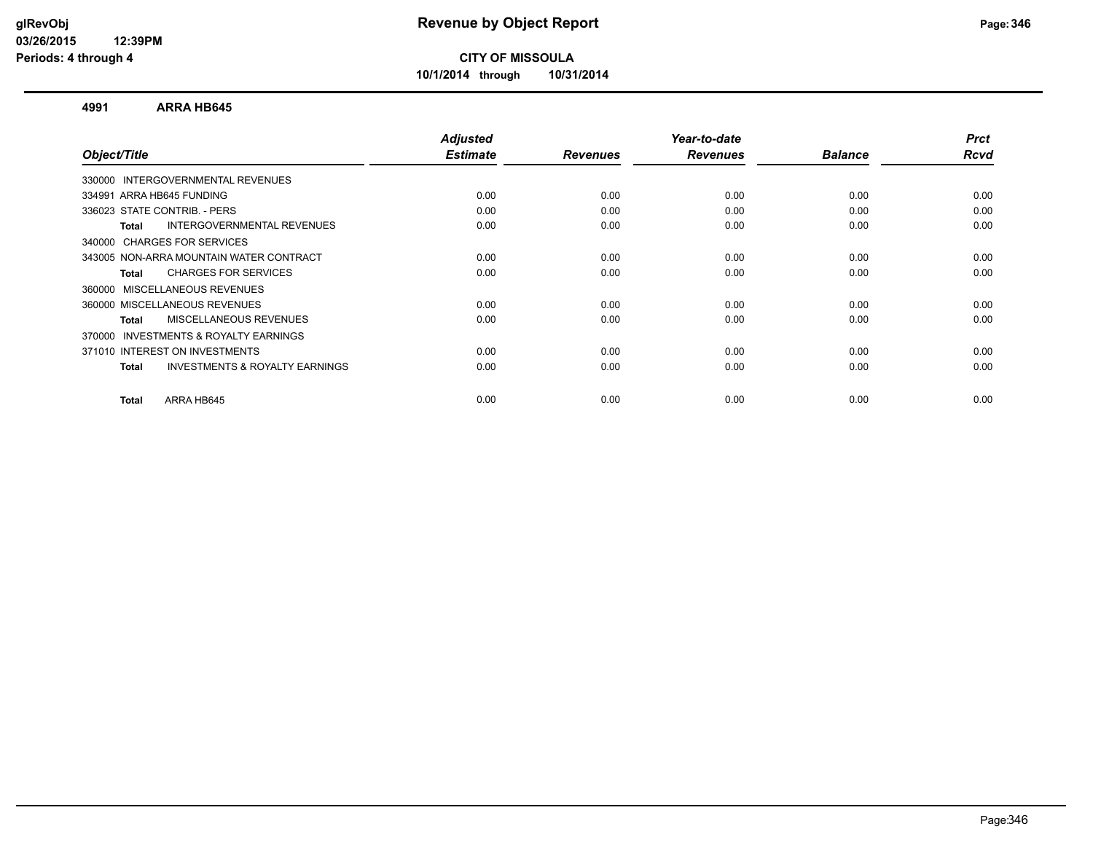**10/1/2014 through 10/31/2014**

#### **4991 ARRA HB645**

| Object/Title                                              | <b>Adjusted</b><br><b>Estimate</b> | <b>Revenues</b> | Year-to-date<br><b>Revenues</b> | <b>Balance</b> | <b>Prct</b><br>Rcvd |
|-----------------------------------------------------------|------------------------------------|-----------------|---------------------------------|----------------|---------------------|
|                                                           |                                    |                 |                                 |                |                     |
| 330000 INTERGOVERNMENTAL REVENUES                         |                                    |                 |                                 |                |                     |
| 334991 ARRA HB645 FUNDING                                 | 0.00                               | 0.00            | 0.00                            | 0.00           | 0.00                |
| 336023 STATE CONTRIB. - PERS                              | 0.00                               | 0.00            | 0.00                            | 0.00           | 0.00                |
| INTERGOVERNMENTAL REVENUES<br>Total                       | 0.00                               | 0.00            | 0.00                            | 0.00           | 0.00                |
| 340000 CHARGES FOR SERVICES                               |                                    |                 |                                 |                |                     |
| 343005 NON-ARRA MOUNTAIN WATER CONTRACT                   | 0.00                               | 0.00            | 0.00                            | 0.00           | 0.00                |
| <b>CHARGES FOR SERVICES</b><br>Total                      | 0.00                               | 0.00            | 0.00                            | 0.00           | 0.00                |
| 360000 MISCELLANEOUS REVENUES                             |                                    |                 |                                 |                |                     |
| 360000 MISCELLANEOUS REVENUES                             | 0.00                               | 0.00            | 0.00                            | 0.00           | 0.00                |
| <b>MISCELLANEOUS REVENUES</b><br>Total                    | 0.00                               | 0.00            | 0.00                            | 0.00           | 0.00                |
| <b>INVESTMENTS &amp; ROYALTY EARNINGS</b><br>370000       |                                    |                 |                                 |                |                     |
| 371010 INTEREST ON INVESTMENTS                            | 0.00                               | 0.00            | 0.00                            | 0.00           | 0.00                |
| <b>INVESTMENTS &amp; ROYALTY EARNINGS</b><br><b>Total</b> | 0.00                               | 0.00            | 0.00                            | 0.00           | 0.00                |
| ARRA HB645<br>Total                                       | 0.00                               | 0.00            | 0.00                            | 0.00           | 0.00                |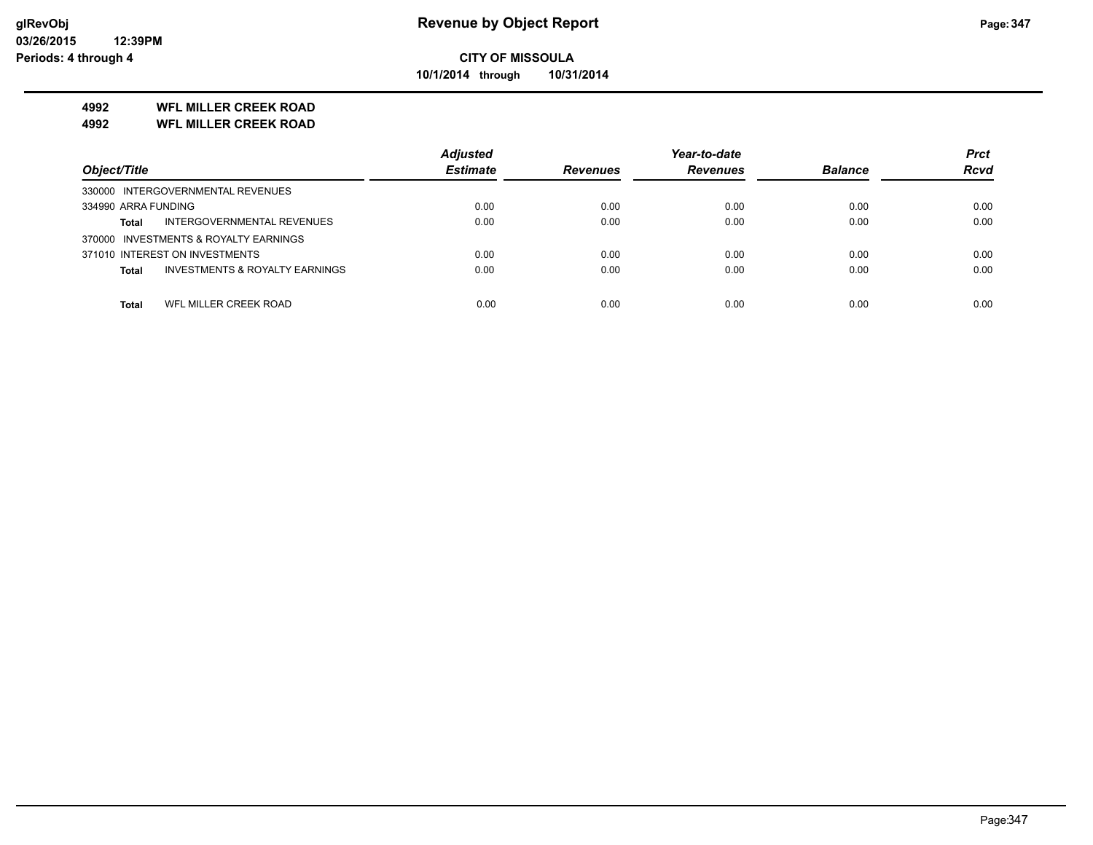**10/1/2014 through 10/31/2014**

#### **4992 WFL MILLER CREEK ROAD**

**4992 WFL MILLER CREEK ROAD**

|                                                    | <b>Adiusted</b> |                 | Year-to-date    |                | <b>Prct</b> |
|----------------------------------------------------|-----------------|-----------------|-----------------|----------------|-------------|
| Object/Title                                       | <b>Estimate</b> | <b>Revenues</b> | <b>Revenues</b> | <b>Balance</b> | <b>Rcvd</b> |
| 330000 INTERGOVERNMENTAL REVENUES                  |                 |                 |                 |                |             |
| 334990 ARRA FUNDING                                | 0.00            | 0.00            | 0.00            | 0.00           | 0.00        |
| INTERGOVERNMENTAL REVENUES<br>Total                | 0.00            | 0.00            | 0.00            | 0.00           | 0.00        |
| 370000 INVESTMENTS & ROYALTY EARNINGS              |                 |                 |                 |                |             |
| 371010 INTEREST ON INVESTMENTS                     | 0.00            | 0.00            | 0.00            | 0.00           | 0.00        |
| <b>INVESTMENTS &amp; ROYALTY EARNINGS</b><br>Total | 0.00            | 0.00            | 0.00            | 0.00           | 0.00        |
|                                                    |                 |                 |                 |                |             |
| WFL MILLER CREEK ROAD<br>Total                     | 0.00            | 0.00            | 0.00            | 0.00           | 0.00        |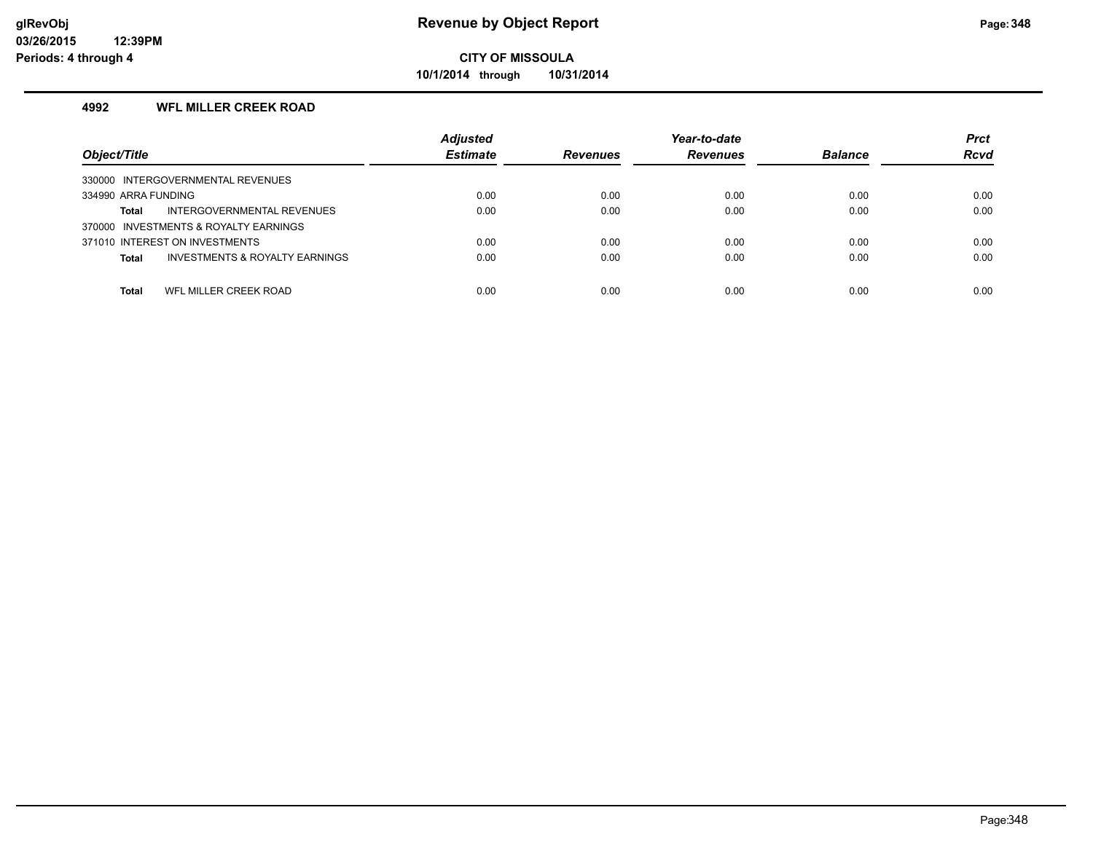**10/1/2014 through 10/31/2014**

#### **4992 WFL MILLER CREEK ROAD**

| Object/Title                                              | <b>Adjusted</b><br><b>Estimate</b> | <b>Revenues</b> | Year-to-date<br><b>Revenues</b> | <b>Balance</b> | <b>Prct</b><br><b>Rcvd</b> |
|-----------------------------------------------------------|------------------------------------|-----------------|---------------------------------|----------------|----------------------------|
| 330000 INTERGOVERNMENTAL REVENUES                         |                                    |                 |                                 |                |                            |
| 334990 ARRA FUNDING                                       | 0.00                               | 0.00            | 0.00                            | 0.00           | 0.00                       |
| INTERGOVERNMENTAL REVENUES<br>Total                       | 0.00                               | 0.00            | 0.00                            | 0.00           | 0.00                       |
| 370000 INVESTMENTS & ROYALTY EARNINGS                     |                                    |                 |                                 |                |                            |
| 371010 INTEREST ON INVESTMENTS                            | 0.00                               | 0.00            | 0.00                            | 0.00           | 0.00                       |
| <b>INVESTMENTS &amp; ROYALTY EARNINGS</b><br><b>Total</b> | 0.00                               | 0.00            | 0.00                            | 0.00           | 0.00                       |
|                                                           |                                    |                 |                                 |                | 0.00                       |
| WFL MILLER CREEK ROAD<br>Total                            | 0.00                               | 0.00            | 0.00                            | 0.00           |                            |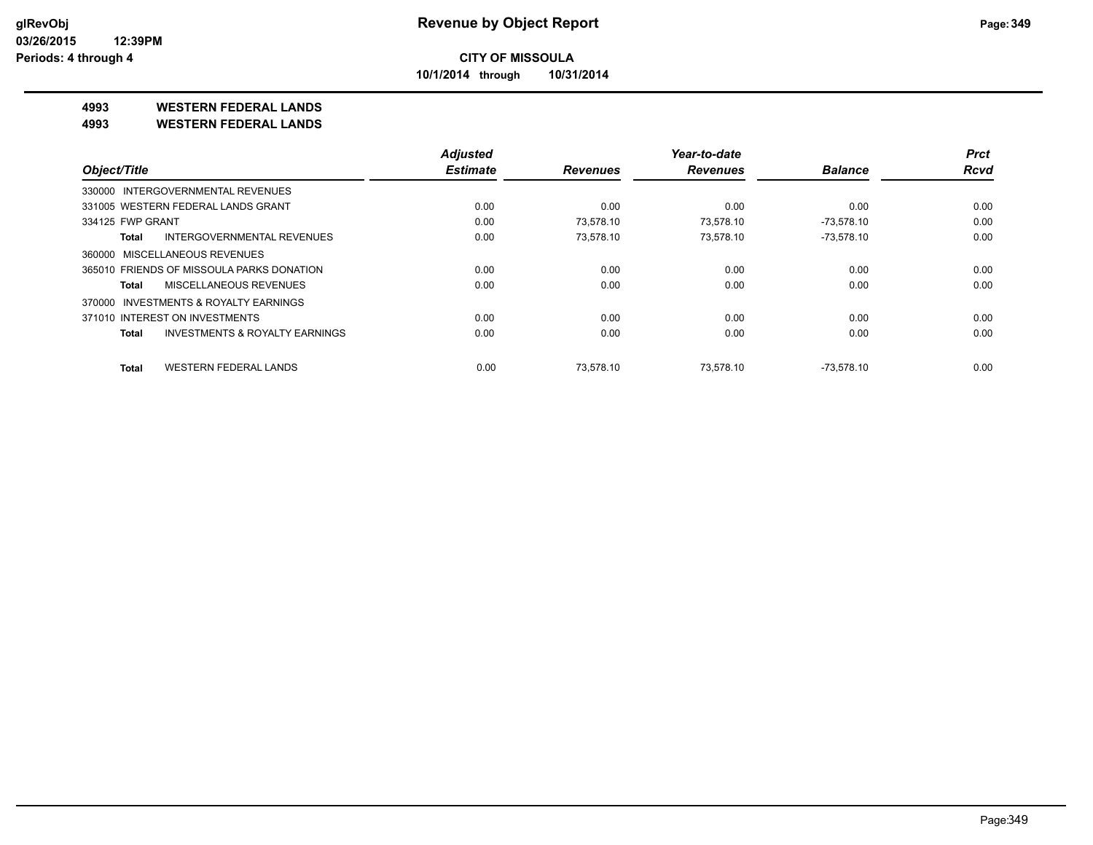**10/1/2014 through 10/31/2014**

#### **4993 WESTERN FEDERAL LANDS**

**4993 WESTERN FEDERAL LANDS**

|                                              | <b>Adjusted</b> |                 | Year-to-date    |                | <b>Prct</b> |
|----------------------------------------------|-----------------|-----------------|-----------------|----------------|-------------|
| Object/Title                                 | <b>Estimate</b> | <b>Revenues</b> | <b>Revenues</b> | <b>Balance</b> | <b>Rcvd</b> |
| 330000 INTERGOVERNMENTAL REVENUES            |                 |                 |                 |                |             |
| 331005 WESTERN FEDERAL LANDS GRANT           | 0.00            | 0.00            | 0.00            | 0.00           | 0.00        |
| 334125 FWP GRANT                             | 0.00            | 73.578.10       | 73.578.10       | $-73.578.10$   | 0.00        |
| <b>INTERGOVERNMENTAL REVENUES</b><br>Total   | 0.00            | 73,578.10       | 73,578.10       | $-73,578.10$   | 0.00        |
| 360000 MISCELLANEOUS REVENUES                |                 |                 |                 |                |             |
| 365010 FRIENDS OF MISSOULA PARKS DONATION    | 0.00            | 0.00            | 0.00            | 0.00           | 0.00        |
| MISCELLANEOUS REVENUES<br>Total              | 0.00            | 0.00            | 0.00            | 0.00           | 0.00        |
| INVESTMENTS & ROYALTY EARNINGS<br>370000     |                 |                 |                 |                |             |
| 371010 INTEREST ON INVESTMENTS               | 0.00            | 0.00            | 0.00            | 0.00           | 0.00        |
| INVESTMENTS & ROYALTY EARNINGS<br>Total      | 0.00            | 0.00            | 0.00            | 0.00           | 0.00        |
| <b>WESTERN FEDERAL LANDS</b><br><b>Total</b> | 0.00            | 73.578.10       | 73.578.10       | $-73.578.10$   | 0.00        |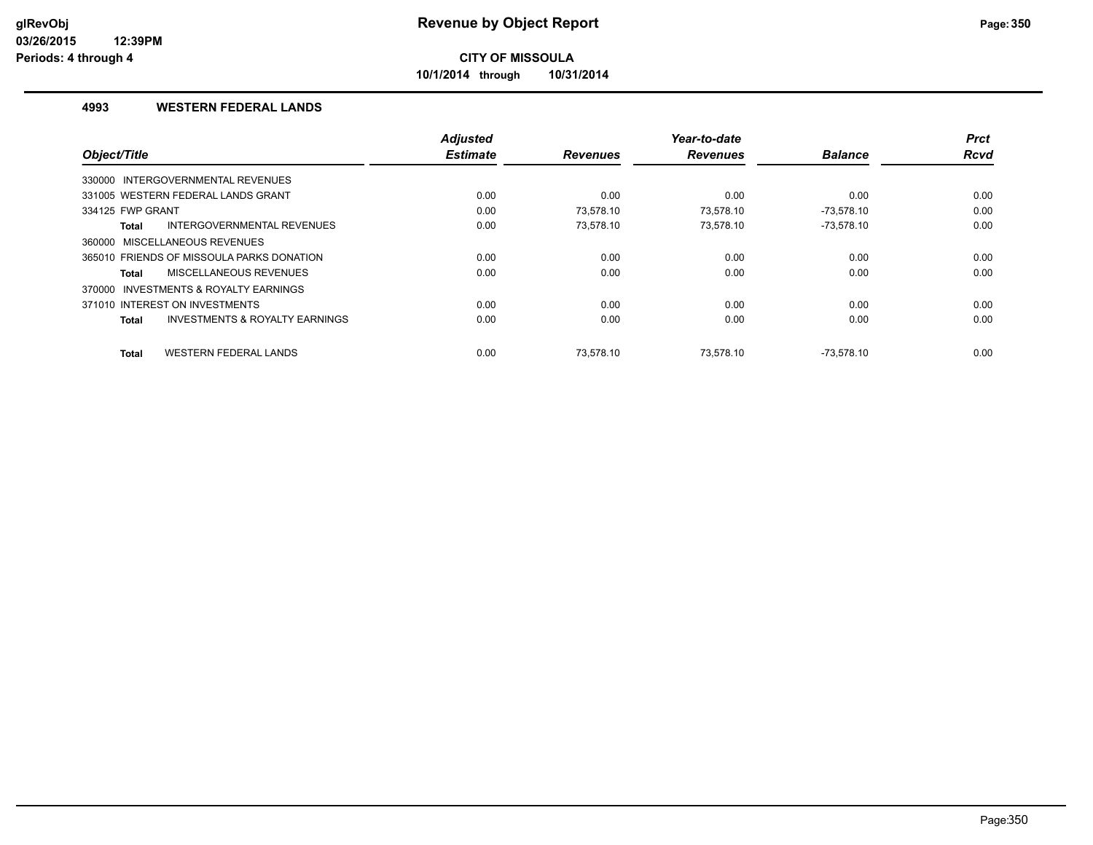**10/1/2014 through 10/31/2014**

#### **4993 WESTERN FEDERAL LANDS**

|                                                           | <b>Adjusted</b> |                 | Year-to-date    |                | <b>Prct</b> |
|-----------------------------------------------------------|-----------------|-----------------|-----------------|----------------|-------------|
| Object/Title                                              | <b>Estimate</b> | <b>Revenues</b> | <b>Revenues</b> | <b>Balance</b> | <b>Rcvd</b> |
| 330000 INTERGOVERNMENTAL REVENUES                         |                 |                 |                 |                |             |
| 331005 WESTERN FEDERAL LANDS GRANT                        | 0.00            | 0.00            | 0.00            | 0.00           | 0.00        |
| 334125 FWP GRANT                                          | 0.00            | 73.578.10       | 73.578.10       | $-73,578.10$   | 0.00        |
| INTERGOVERNMENTAL REVENUES<br><b>Total</b>                | 0.00            | 73.578.10       | 73.578.10       | $-73,578.10$   | 0.00        |
| 360000 MISCELLANEOUS REVENUES                             |                 |                 |                 |                |             |
| 365010 FRIENDS OF MISSOULA PARKS DONATION                 | 0.00            | 0.00            | 0.00            | 0.00           | 0.00        |
| MISCELLANEOUS REVENUES<br>Total                           | 0.00            | 0.00            | 0.00            | 0.00           | 0.00        |
| 370000 INVESTMENTS & ROYALTY EARNINGS                     |                 |                 |                 |                |             |
| 371010 INTEREST ON INVESTMENTS                            | 0.00            | 0.00            | 0.00            | 0.00           | 0.00        |
| <b>INVESTMENTS &amp; ROYALTY EARNINGS</b><br><b>Total</b> | 0.00            | 0.00            | 0.00            | 0.00           | 0.00        |
| <b>WESTERN FEDERAL LANDS</b><br><b>Total</b>              | 0.00            | 73.578.10       | 73.578.10       | $-73.578.10$   | 0.00        |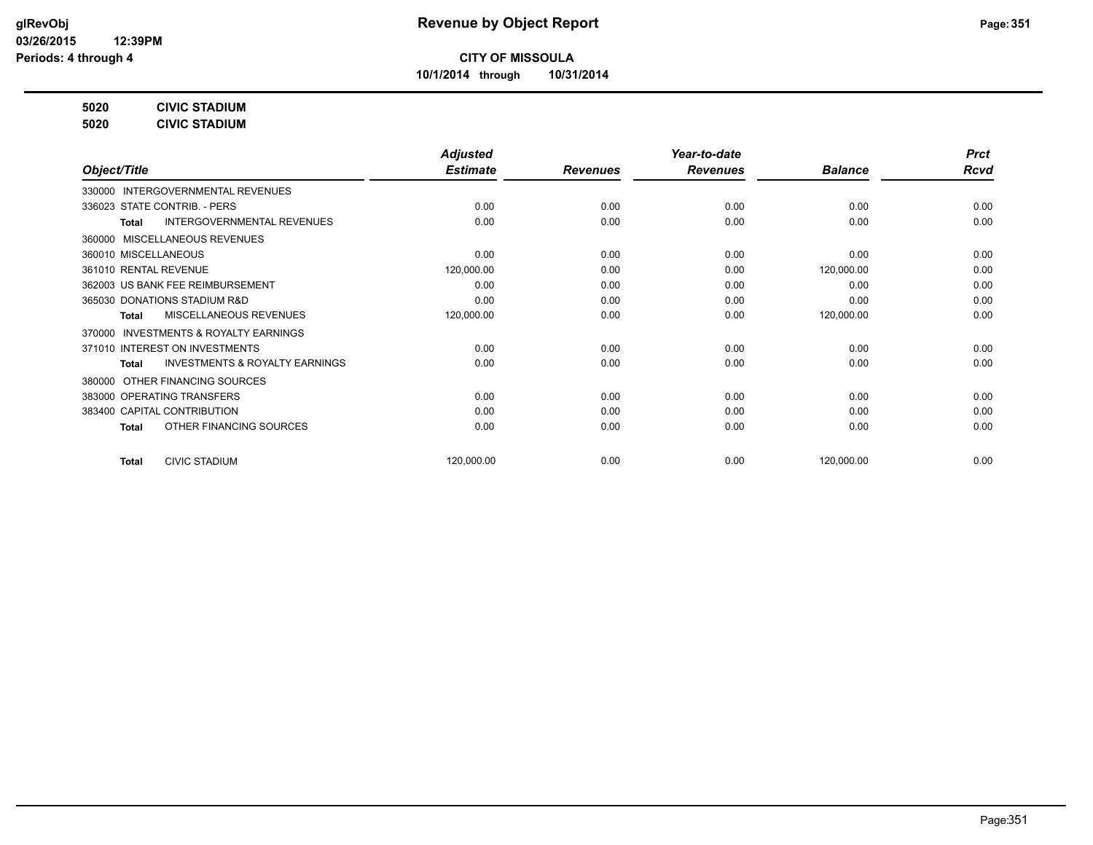**10/1/2014 through 10/31/2014**

**5020 CIVIC STADIUM**

**5020 CIVIC STADIUM**

|                                                           | <b>Adjusted</b> |                 | Year-to-date    |                | <b>Prct</b> |
|-----------------------------------------------------------|-----------------|-----------------|-----------------|----------------|-------------|
| Object/Title                                              | <b>Estimate</b> | <b>Revenues</b> | <b>Revenues</b> | <b>Balance</b> | <b>Rcvd</b> |
| INTERGOVERNMENTAL REVENUES<br>330000                      |                 |                 |                 |                |             |
| 336023 STATE CONTRIB. - PERS                              | 0.00            | 0.00            | 0.00            | 0.00           | 0.00        |
| <b>INTERGOVERNMENTAL REVENUES</b><br>Total                | 0.00            | 0.00            | 0.00            | 0.00           | 0.00        |
| MISCELLANEOUS REVENUES<br>360000                          |                 |                 |                 |                |             |
| 360010 MISCELLANEOUS                                      | 0.00            | 0.00            | 0.00            | 0.00           | 0.00        |
| 361010 RENTAL REVENUE                                     | 120,000.00      | 0.00            | 0.00            | 120,000.00     | 0.00        |
| 362003 US BANK FEE REIMBURSEMENT                          | 0.00            | 0.00            | 0.00            | 0.00           | 0.00        |
| 365030 DONATIONS STADIUM R&D                              | 0.00            | 0.00            | 0.00            | 0.00           | 0.00        |
| <b>MISCELLANEOUS REVENUES</b><br><b>Total</b>             | 120,000.00      | 0.00            | 0.00            | 120,000.00     | 0.00        |
| <b>INVESTMENTS &amp; ROYALTY EARNINGS</b><br>370000       |                 |                 |                 |                |             |
| 371010 INTEREST ON INVESTMENTS                            | 0.00            | 0.00            | 0.00            | 0.00           | 0.00        |
| <b>INVESTMENTS &amp; ROYALTY EARNINGS</b><br><b>Total</b> | 0.00            | 0.00            | 0.00            | 0.00           | 0.00        |
| OTHER FINANCING SOURCES<br>380000                         |                 |                 |                 |                |             |
| 383000 OPERATING TRANSFERS                                | 0.00            | 0.00            | 0.00            | 0.00           | 0.00        |
| 383400 CAPITAL CONTRIBUTION                               | 0.00            | 0.00            | 0.00            | 0.00           | 0.00        |
| OTHER FINANCING SOURCES<br><b>Total</b>                   | 0.00            | 0.00            | 0.00            | 0.00           | 0.00        |
|                                                           |                 |                 |                 |                |             |
| <b>CIVIC STADIUM</b><br><b>Total</b>                      | 120,000.00      | 0.00            | 0.00            | 120,000.00     | 0.00        |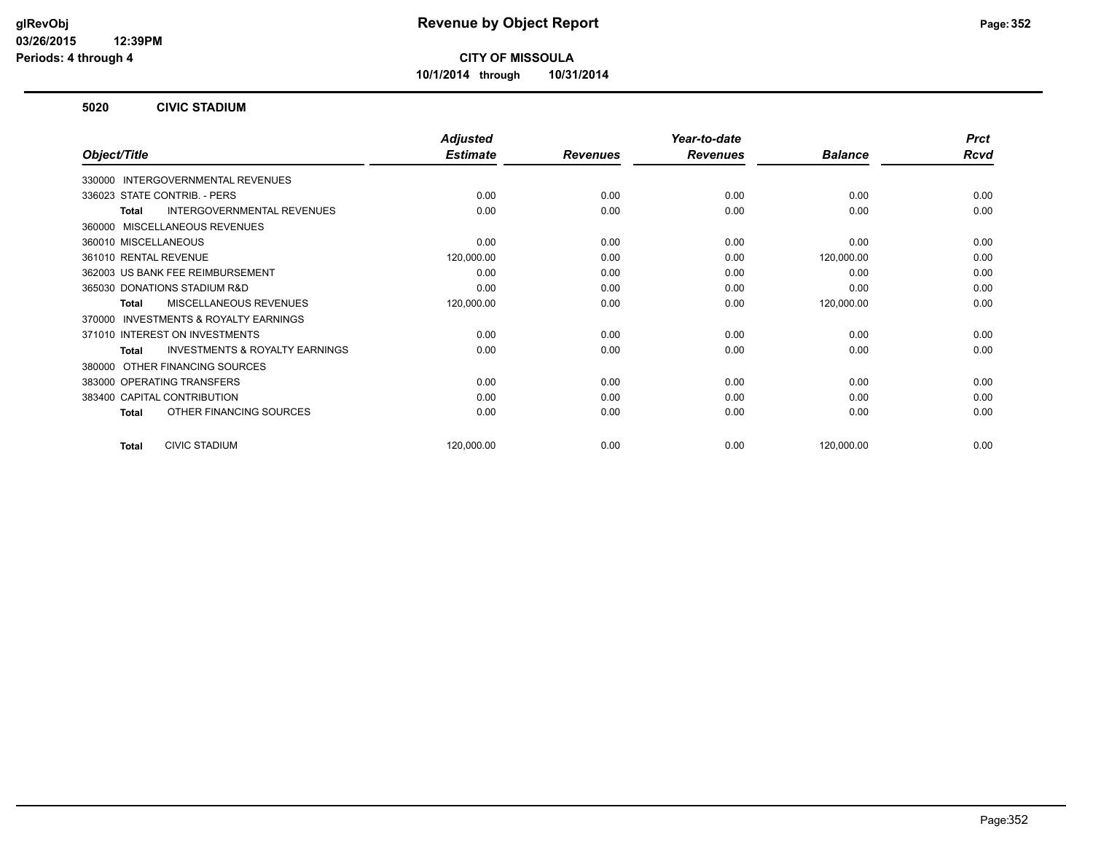**10/1/2014 through 10/31/2014**

#### **5020 CIVIC STADIUM**

|                                                           | <b>Adjusted</b> |                 | Year-to-date    |                | <b>Prct</b> |
|-----------------------------------------------------------|-----------------|-----------------|-----------------|----------------|-------------|
| Object/Title                                              | <b>Estimate</b> | <b>Revenues</b> | <b>Revenues</b> | <b>Balance</b> | <b>Rcvd</b> |
| INTERGOVERNMENTAL REVENUES<br>330000                      |                 |                 |                 |                |             |
| 336023 STATE CONTRIB. - PERS                              | 0.00            | 0.00            | 0.00            | 0.00           | 0.00        |
| <b>INTERGOVERNMENTAL REVENUES</b><br><b>Total</b>         | 0.00            | 0.00            | 0.00            | 0.00           | 0.00        |
| MISCELLANEOUS REVENUES<br>360000                          |                 |                 |                 |                |             |
| 360010 MISCELLANEOUS                                      | 0.00            | 0.00            | 0.00            | 0.00           | 0.00        |
| 361010 RENTAL REVENUE                                     | 120,000.00      | 0.00            | 0.00            | 120,000.00     | 0.00        |
| 362003 US BANK FEE REIMBURSEMENT                          | 0.00            | 0.00            | 0.00            | 0.00           | 0.00        |
| 365030 DONATIONS STADIUM R&D                              | 0.00            | 0.00            | 0.00            | 0.00           | 0.00        |
| MISCELLANEOUS REVENUES<br><b>Total</b>                    | 120,000.00      | 0.00            | 0.00            | 120,000.00     | 0.00        |
| <b>INVESTMENTS &amp; ROYALTY EARNINGS</b><br>370000       |                 |                 |                 |                |             |
| 371010 INTEREST ON INVESTMENTS                            | 0.00            | 0.00            | 0.00            | 0.00           | 0.00        |
| <b>INVESTMENTS &amp; ROYALTY EARNINGS</b><br><b>Total</b> | 0.00            | 0.00            | 0.00            | 0.00           | 0.00        |
| OTHER FINANCING SOURCES<br>380000                         |                 |                 |                 |                |             |
| 383000 OPERATING TRANSFERS                                | 0.00            | 0.00            | 0.00            | 0.00           | 0.00        |
| 383400 CAPITAL CONTRIBUTION                               | 0.00            | 0.00            | 0.00            | 0.00           | 0.00        |
| OTHER FINANCING SOURCES<br><b>Total</b>                   | 0.00            | 0.00            | 0.00            | 0.00           | 0.00        |
| <b>CIVIC STADIUM</b><br><b>Total</b>                      | 120,000.00      | 0.00            | 0.00            | 120,000.00     | 0.00        |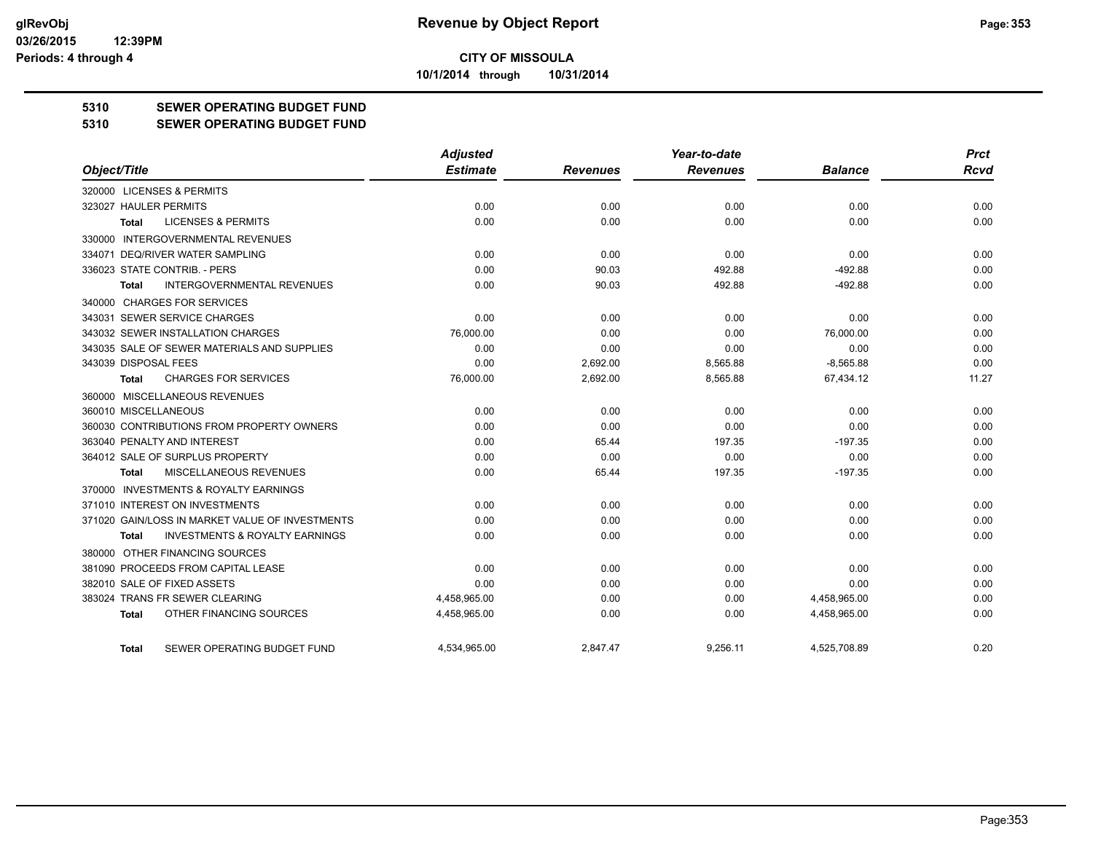**10/1/2014 through 10/31/2014**

#### **5310 SEWER OPERATING BUDGET FUND**

#### **5310 SEWER OPERATING BUDGET FUND**

|                                                    | <b>Adjusted</b> |                 | Year-to-date    |                | <b>Prct</b> |
|----------------------------------------------------|-----------------|-----------------|-----------------|----------------|-------------|
| Object/Title                                       | <b>Estimate</b> | <b>Revenues</b> | <b>Revenues</b> | <b>Balance</b> | <b>Rcvd</b> |
| 320000 LICENSES & PERMITS                          |                 |                 |                 |                |             |
| 323027 HAULER PERMITS                              | 0.00            | 0.00            | 0.00            | 0.00           | 0.00        |
| <b>LICENSES &amp; PERMITS</b><br>Total             | 0.00            | 0.00            | 0.00            | 0.00           | 0.00        |
| 330000 INTERGOVERNMENTAL REVENUES                  |                 |                 |                 |                |             |
| 334071 DEQ/RIVER WATER SAMPLING                    | 0.00            | 0.00            | 0.00            | 0.00           | 0.00        |
| 336023 STATE CONTRIB. - PERS                       | 0.00            | 90.03           | 492.88          | $-492.88$      | 0.00        |
| <b>INTERGOVERNMENTAL REVENUES</b><br>Total         | 0.00            | 90.03           | 492.88          | $-492.88$      | 0.00        |
| 340000 CHARGES FOR SERVICES                        |                 |                 |                 |                |             |
| 343031 SEWER SERVICE CHARGES                       | 0.00            | 0.00            | 0.00            | 0.00           | 0.00        |
| 343032 SEWER INSTALLATION CHARGES                  | 76.000.00       | 0.00            | 0.00            | 76.000.00      | 0.00        |
| 343035 SALE OF SEWER MATERIALS AND SUPPLIES        | 0.00            | 0.00            | 0.00            | 0.00           | 0.00        |
| 343039 DISPOSAL FEES                               | 0.00            | 2,692.00        | 8,565.88        | $-8,565.88$    | 0.00        |
| <b>CHARGES FOR SERVICES</b><br>Total               | 76,000.00       | 2,692.00        | 8,565.88        | 67,434.12      | 11.27       |
| 360000 MISCELLANEOUS REVENUES                      |                 |                 |                 |                |             |
| 360010 MISCELLANEOUS                               | 0.00            | 0.00            | 0.00            | 0.00           | 0.00        |
| 360030 CONTRIBUTIONS FROM PROPERTY OWNERS          | 0.00            | 0.00            | 0.00            | 0.00           | 0.00        |
| 363040 PENALTY AND INTEREST                        | 0.00            | 65.44           | 197.35          | $-197.35$      | 0.00        |
| 364012 SALE OF SURPLUS PROPERTY                    | 0.00            | 0.00            | 0.00            | 0.00           | 0.00        |
| <b>MISCELLANEOUS REVENUES</b><br>Total             | 0.00            | 65.44           | 197.35          | $-197.35$      | 0.00        |
| 370000 INVESTMENTS & ROYALTY EARNINGS              |                 |                 |                 |                |             |
| 371010 INTEREST ON INVESTMENTS                     | 0.00            | 0.00            | 0.00            | 0.00           | 0.00        |
| 371020 GAIN/LOSS IN MARKET VALUE OF INVESTMENTS    | 0.00            | 0.00            | 0.00            | 0.00           | 0.00        |
| <b>INVESTMENTS &amp; ROYALTY EARNINGS</b><br>Total | 0.00            | 0.00            | 0.00            | 0.00           | 0.00        |
| 380000 OTHER FINANCING SOURCES                     |                 |                 |                 |                |             |
| 381090 PROCEEDS FROM CAPITAL LEASE                 | 0.00            | 0.00            | 0.00            | 0.00           | 0.00        |
| 382010 SALE OF FIXED ASSETS                        | 0.00            | 0.00            | 0.00            | 0.00           | 0.00        |
| 383024 TRANS FR SEWER CLEARING                     | 4,458,965.00    | 0.00            | 0.00            | 4,458,965.00   | 0.00        |
| OTHER FINANCING SOURCES<br>Total                   | 4,458,965.00    | 0.00            | 0.00            | 4,458,965.00   | 0.00        |
| SEWER OPERATING BUDGET FUND<br><b>Total</b>        | 4.534.965.00    | 2.847.47        | 9.256.11        | 4.525.708.89   | 0.20        |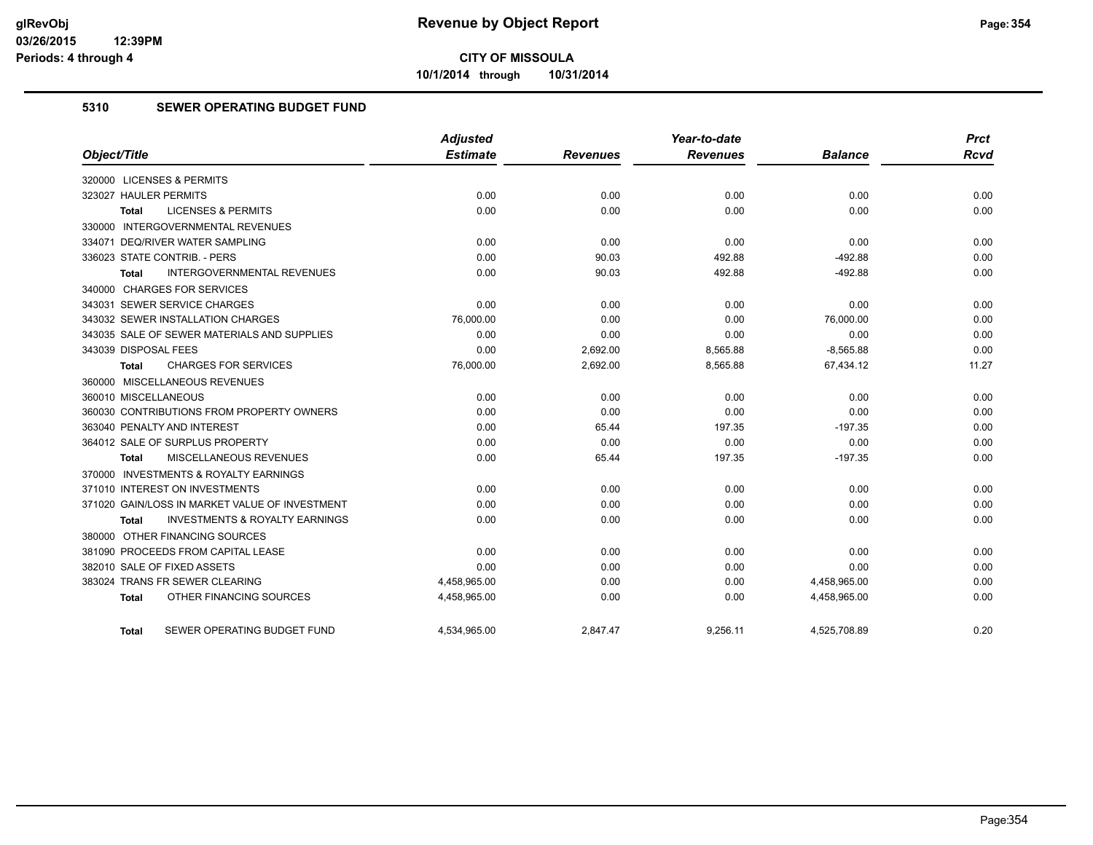**10/1/2014 through 10/31/2014**

#### **5310 SEWER OPERATING BUDGET FUND**

| Object/Title                                       | <b>Adjusted</b><br><b>Estimate</b> | <b>Revenues</b> | Year-to-date<br><b>Revenues</b> | <b>Balance</b> | <b>Prct</b><br><b>Rcvd</b> |
|----------------------------------------------------|------------------------------------|-----------------|---------------------------------|----------------|----------------------------|
|                                                    |                                    |                 |                                 |                |                            |
| 320000 LICENSES & PERMITS                          |                                    |                 |                                 |                |                            |
| 323027 HAULER PERMITS                              | 0.00                               | 0.00            | 0.00                            | 0.00           | 0.00                       |
| <b>LICENSES &amp; PERMITS</b><br><b>Total</b>      | 0.00                               | 0.00            | 0.00                            | 0.00           | 0.00                       |
| 330000 INTERGOVERNMENTAL REVENUES                  |                                    |                 |                                 |                |                            |
| 334071 DEQ/RIVER WATER SAMPLING                    | 0.00                               | 0.00            | 0.00                            | 0.00           | 0.00                       |
| 336023 STATE CONTRIB. - PERS                       | 0.00                               | 90.03           | 492.88                          | $-492.88$      | 0.00                       |
| INTERGOVERNMENTAL REVENUES<br>Total                | 0.00                               | 90.03           | 492.88                          | $-492.88$      | 0.00                       |
| 340000 CHARGES FOR SERVICES                        |                                    |                 |                                 |                |                            |
| 343031 SEWER SERVICE CHARGES                       | 0.00                               | 0.00            | 0.00                            | 0.00           | 0.00                       |
| 343032 SEWER INSTALLATION CHARGES                  | 76,000.00                          | 0.00            | 0.00                            | 76,000.00      | 0.00                       |
| 343035 SALE OF SEWER MATERIALS AND SUPPLIES        | 0.00                               | 0.00            | 0.00                            | 0.00           | 0.00                       |
| 343039 DISPOSAL FEES                               | 0.00                               | 2,692.00        | 8,565.88                        | $-8,565.88$    | 0.00                       |
| <b>CHARGES FOR SERVICES</b><br>Total               | 76,000.00                          | 2,692.00        | 8,565.88                        | 67,434.12      | 11.27                      |
| 360000 MISCELLANEOUS REVENUES                      |                                    |                 |                                 |                |                            |
| 360010 MISCELLANEOUS                               | 0.00                               | 0.00            | 0.00                            | 0.00           | 0.00                       |
| 360030 CONTRIBUTIONS FROM PROPERTY OWNERS          | 0.00                               | 0.00            | 0.00                            | 0.00           | 0.00                       |
| 363040 PENALTY AND INTEREST                        | 0.00                               | 65.44           | 197.35                          | $-197.35$      | 0.00                       |
| 364012 SALE OF SURPLUS PROPERTY                    | 0.00                               | 0.00            | 0.00                            | 0.00           | 0.00                       |
| <b>MISCELLANEOUS REVENUES</b><br><b>Total</b>      | 0.00                               | 65.44           | 197.35                          | $-197.35$      | 0.00                       |
| 370000 INVESTMENTS & ROYALTY EARNINGS              |                                    |                 |                                 |                |                            |
| 371010 INTEREST ON INVESTMENTS                     | 0.00                               | 0.00            | 0.00                            | 0.00           | 0.00                       |
| 371020 GAIN/LOSS IN MARKET VALUE OF INVESTMENT     | 0.00                               | 0.00            | 0.00                            | 0.00           | 0.00                       |
| <b>INVESTMENTS &amp; ROYALTY EARNINGS</b><br>Total | 0.00                               | 0.00            | 0.00                            | 0.00           | 0.00                       |
| 380000 OTHER FINANCING SOURCES                     |                                    |                 |                                 |                |                            |
| 381090 PROCEEDS FROM CAPITAL LEASE                 | 0.00                               | 0.00            | 0.00                            | 0.00           | 0.00                       |
| 382010 SALE OF FIXED ASSETS                        | 0.00                               | 0.00            | 0.00                            | 0.00           | 0.00                       |
| 383024 TRANS FR SEWER CLEARING                     | 4,458,965.00                       | 0.00            | 0.00                            | 4,458,965.00   | 0.00                       |
| OTHER FINANCING SOURCES<br><b>Total</b>            | 4,458,965.00                       | 0.00            | 0.00                            | 4,458,965.00   | 0.00                       |
|                                                    |                                    |                 |                                 |                |                            |
| SEWER OPERATING BUDGET FUND<br>Total               | 4,534,965.00                       | 2.847.47        | 9.256.11                        | 4,525,708.89   | 0.20                       |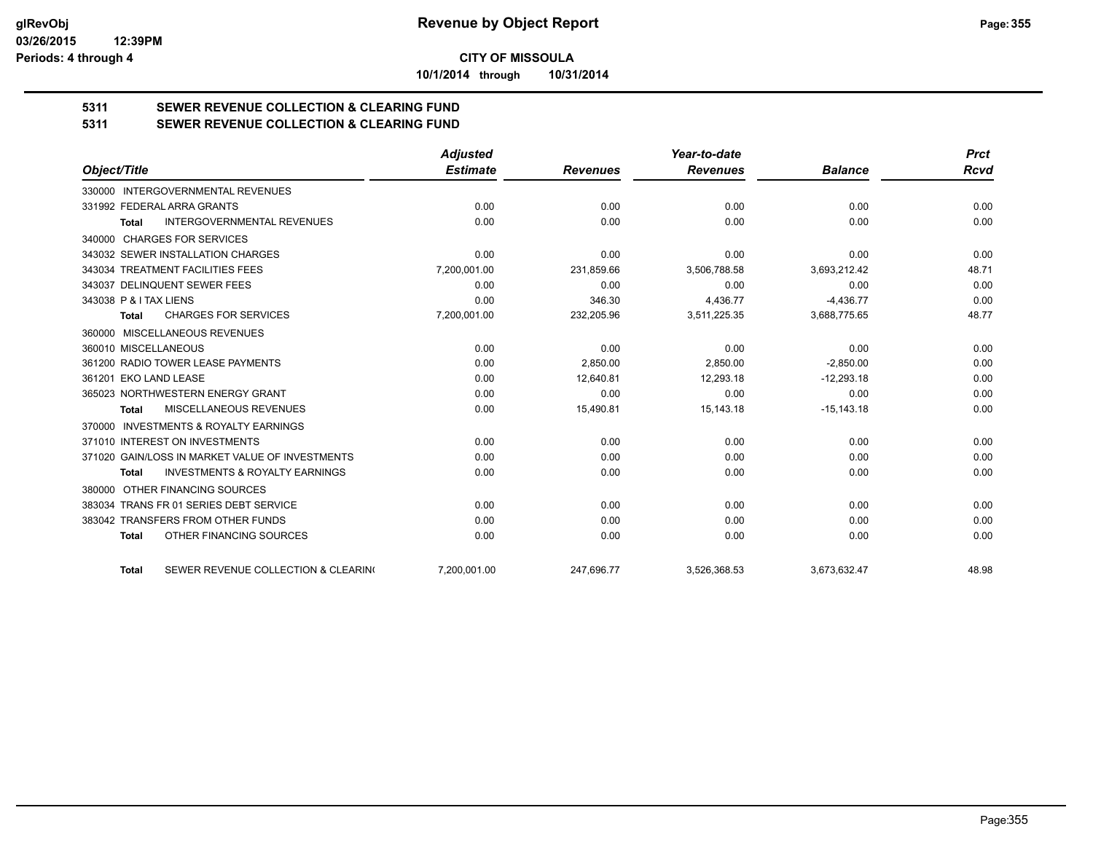**10/1/2014 through 10/31/2014**

# **5311 SEWER REVENUE COLLECTION & CLEARING FUND**

**5311 SEWER REVENUE COLLECTION & CLEARING FUND**

|                                                           | <b>Adjusted</b> |                 | Year-to-date    |                | <b>Prct</b> |
|-----------------------------------------------------------|-----------------|-----------------|-----------------|----------------|-------------|
| Object/Title                                              | <b>Estimate</b> | <b>Revenues</b> | <b>Revenues</b> | <b>Balance</b> | <b>Rcvd</b> |
| 330000 INTERGOVERNMENTAL REVENUES                         |                 |                 |                 |                |             |
| 331992 FEDERAL ARRA GRANTS                                | 0.00            | 0.00            | 0.00            | 0.00           | 0.00        |
| <b>INTERGOVERNMENTAL REVENUES</b><br><b>Total</b>         | 0.00            | 0.00            | 0.00            | 0.00           | 0.00        |
| 340000 CHARGES FOR SERVICES                               |                 |                 |                 |                |             |
| 343032 SEWER INSTALLATION CHARGES                         | 0.00            | 0.00            | 0.00            | 0.00           | 0.00        |
| 343034 TREATMENT FACILITIES FEES                          | 7,200,001.00    | 231.859.66      | 3,506,788.58    | 3,693,212.42   | 48.71       |
| 343037 DELINQUENT SEWER FEES                              | 0.00            | 0.00            | 0.00            | 0.00           | 0.00        |
| 343038 P & I TAX LIENS                                    | 0.00            | 346.30          | 4,436.77        | $-4,436.77$    | 0.00        |
| <b>CHARGES FOR SERVICES</b><br><b>Total</b>               | 7,200,001.00    | 232,205.96      | 3,511,225.35    | 3,688,775.65   | 48.77       |
| MISCELLANEOUS REVENUES<br>360000                          |                 |                 |                 |                |             |
| 360010 MISCELLANEOUS                                      | 0.00            | 0.00            | 0.00            | 0.00           | 0.00        |
| 361200 RADIO TOWER LEASE PAYMENTS                         | 0.00            | 2,850.00        | 2,850.00        | $-2,850.00$    | 0.00        |
| 361201 EKO LAND LEASE                                     | 0.00            | 12,640.81       | 12,293.18       | $-12,293.18$   | 0.00        |
| 365023 NORTHWESTERN ENERGY GRANT                          | 0.00            | 0.00            | 0.00            | 0.00           | 0.00        |
| <b>MISCELLANEOUS REVENUES</b><br><b>Total</b>             | 0.00            | 15,490.81       | 15,143.18       | $-15, 143.18$  | 0.00        |
| 370000 INVESTMENTS & ROYALTY EARNINGS                     |                 |                 |                 |                |             |
| 371010 INTEREST ON INVESTMENTS                            | 0.00            | 0.00            | 0.00            | 0.00           | 0.00        |
| 371020 GAIN/LOSS IN MARKET VALUE OF INVESTMENTS           | 0.00            | 0.00            | 0.00            | 0.00           | 0.00        |
| <b>INVESTMENTS &amp; ROYALTY EARNINGS</b><br><b>Total</b> | 0.00            | 0.00            | 0.00            | 0.00           | 0.00        |
| OTHER FINANCING SOURCES<br>380000                         |                 |                 |                 |                |             |
| 383034 TRANS FR 01 SERIES DEBT SERVICE                    | 0.00            | 0.00            | 0.00            | 0.00           | 0.00        |
| 383042 TRANSFERS FROM OTHER FUNDS                         | 0.00            | 0.00            | 0.00            | 0.00           | 0.00        |
| OTHER FINANCING SOURCES<br><b>Total</b>                   | 0.00            | 0.00            | 0.00            | 0.00           | 0.00        |
| SEWER REVENUE COLLECTION & CLEARING<br><b>Total</b>       | 7,200,001.00    | 247,696.77      | 3,526,368.53    | 3,673,632.47   | 48.98       |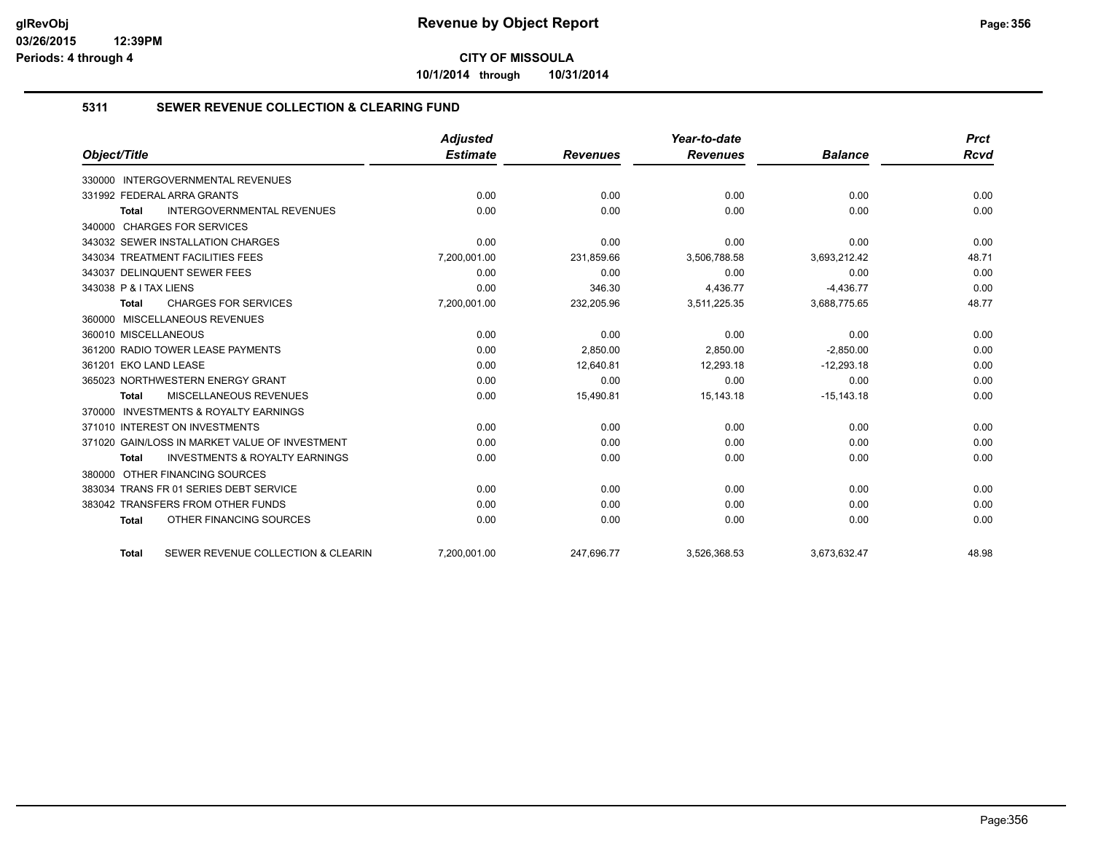**10/1/2014 through 10/31/2014**

#### **5311 SEWER REVENUE COLLECTION & CLEARING FUND**

|                                                    | <b>Adjusted</b> |                 | Year-to-date    |                | <b>Prct</b> |
|----------------------------------------------------|-----------------|-----------------|-----------------|----------------|-------------|
| Object/Title                                       | <b>Estimate</b> | <b>Revenues</b> | <b>Revenues</b> | <b>Balance</b> | Rcvd        |
| 330000 INTERGOVERNMENTAL REVENUES                  |                 |                 |                 |                |             |
| 331992 FEDERAL ARRA GRANTS                         | 0.00            | 0.00            | 0.00            | 0.00           | 0.00        |
| <b>INTERGOVERNMENTAL REVENUES</b><br>Total         | 0.00            | 0.00            | 0.00            | 0.00           | 0.00        |
| 340000 CHARGES FOR SERVICES                        |                 |                 |                 |                |             |
| 343032 SEWER INSTALLATION CHARGES                  | 0.00            | 0.00            | 0.00            | 0.00           | 0.00        |
| 343034 TREATMENT FACILITIES FEES                   | 7,200,001.00    | 231,859.66      | 3,506,788.58    | 3,693,212.42   | 48.71       |
| 343037 DELINQUENT SEWER FEES                       | 0.00            | 0.00            | 0.00            | 0.00           | 0.00        |
| 343038 P & I TAX LIENS                             | 0.00            | 346.30          | 4,436.77        | $-4,436.77$    | 0.00        |
| <b>CHARGES FOR SERVICES</b><br><b>Total</b>        | 7,200,001.00    | 232,205.96      | 3,511,225.35    | 3,688,775.65   | 48.77       |
| 360000 MISCELLANEOUS REVENUES                      |                 |                 |                 |                |             |
| 360010 MISCELLANEOUS                               | 0.00            | 0.00            | 0.00            | 0.00           | 0.00        |
| 361200 RADIO TOWER LEASE PAYMENTS                  | 0.00            | 2.850.00        | 2.850.00        | $-2.850.00$    | 0.00        |
| 361201 EKO LAND LEASE                              | 0.00            | 12,640.81       | 12,293.18       | $-12,293.18$   | 0.00        |
| 365023 NORTHWESTERN ENERGY GRANT                   | 0.00            | 0.00            | 0.00            | 0.00           | 0.00        |
| <b>MISCELLANEOUS REVENUES</b><br>Total             | 0.00            | 15,490.81       | 15,143.18       | $-15, 143.18$  | 0.00        |
| 370000 INVESTMENTS & ROYALTY EARNINGS              |                 |                 |                 |                |             |
| 371010 INTEREST ON INVESTMENTS                     | 0.00            | 0.00            | 0.00            | 0.00           | 0.00        |
| 371020 GAIN/LOSS IN MARKET VALUE OF INVESTMENT     | 0.00            | 0.00            | 0.00            | 0.00           | 0.00        |
| <b>INVESTMENTS &amp; ROYALTY EARNINGS</b><br>Total | 0.00            | 0.00            | 0.00            | 0.00           | 0.00        |
| OTHER FINANCING SOURCES<br>380000                  |                 |                 |                 |                |             |
| 383034 TRANS FR 01 SERIES DEBT SERVICE             | 0.00            | 0.00            | 0.00            | 0.00           | 0.00        |
| 383042 TRANSFERS FROM OTHER FUNDS                  | 0.00            | 0.00            | 0.00            | 0.00           | 0.00        |
| OTHER FINANCING SOURCES<br><b>Total</b>            | 0.00            | 0.00            | 0.00            | 0.00           | 0.00        |
| SEWER REVENUE COLLECTION & CLEARIN<br><b>Total</b> | 7,200,001.00    | 247,696.77      | 3,526,368.53    | 3,673,632.47   | 48.98       |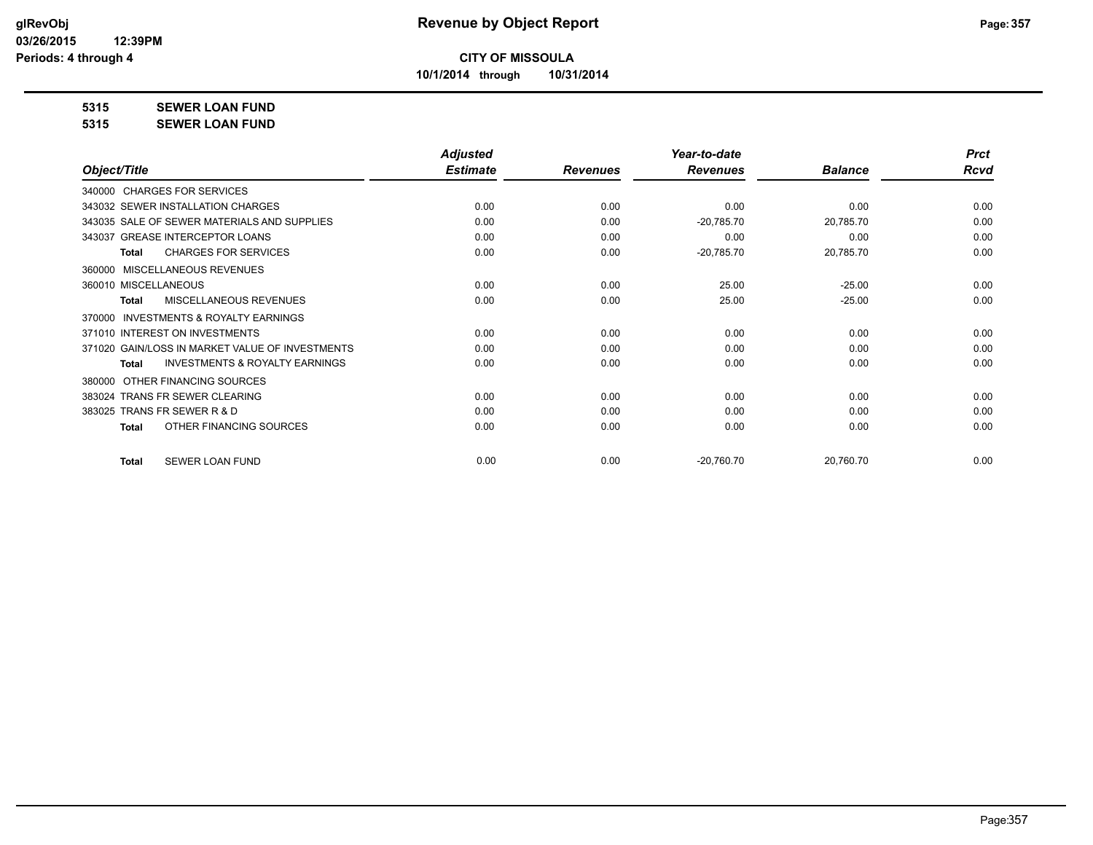**10/1/2014 through 10/31/2014**

#### **5315 SEWER LOAN FUND**

**5315 SEWER LOAN FUND**

|                                                           | <b>Adjusted</b> |                 | Year-to-date    |                | <b>Prct</b> |
|-----------------------------------------------------------|-----------------|-----------------|-----------------|----------------|-------------|
| Object/Title                                              | <b>Estimate</b> | <b>Revenues</b> | <b>Revenues</b> | <b>Balance</b> | <b>Rcvd</b> |
| 340000 CHARGES FOR SERVICES                               |                 |                 |                 |                |             |
| 343032 SEWER INSTALLATION CHARGES                         | 0.00            | 0.00            | 0.00            | 0.00           | 0.00        |
| 343035 SALE OF SEWER MATERIALS AND SUPPLIES               | 0.00            | 0.00            | $-20,785.70$    | 20,785.70      | 0.00        |
| 343037 GREASE INTERCEPTOR LOANS                           | 0.00            | 0.00            | 0.00            | 0.00           | 0.00        |
| <b>CHARGES FOR SERVICES</b><br><b>Total</b>               | 0.00            | 0.00            | $-20,785.70$    | 20,785.70      | 0.00        |
| MISCELLANEOUS REVENUES<br>360000                          |                 |                 |                 |                |             |
| 360010 MISCELLANEOUS                                      | 0.00            | 0.00            | 25.00           | $-25.00$       | 0.00        |
| MISCELLANEOUS REVENUES<br><b>Total</b>                    | 0.00            | 0.00            | 25.00           | $-25.00$       | 0.00        |
| <b>INVESTMENTS &amp; ROYALTY EARNINGS</b><br>370000       |                 |                 |                 |                |             |
| 371010 INTEREST ON INVESTMENTS                            | 0.00            | 0.00            | 0.00            | 0.00           | 0.00        |
| 371020 GAIN/LOSS IN MARKET VALUE OF INVESTMENTS           | 0.00            | 0.00            | 0.00            | 0.00           | 0.00        |
| <b>INVESTMENTS &amp; ROYALTY EARNINGS</b><br><b>Total</b> | 0.00            | 0.00            | 0.00            | 0.00           | 0.00        |
| OTHER FINANCING SOURCES<br>380000                         |                 |                 |                 |                |             |
| 383024 TRANS FR SEWER CLEARING                            | 0.00            | 0.00            | 0.00            | 0.00           | 0.00        |
| 383025 TRANS FR SEWER R & D                               | 0.00            | 0.00            | 0.00            | 0.00           | 0.00        |
| OTHER FINANCING SOURCES<br>Total                          | 0.00            | 0.00            | 0.00            | 0.00           | 0.00        |
| <b>SEWER LOAN FUND</b><br><b>Total</b>                    | 0.00            | 0.00            | $-20,760.70$    | 20,760.70      | 0.00        |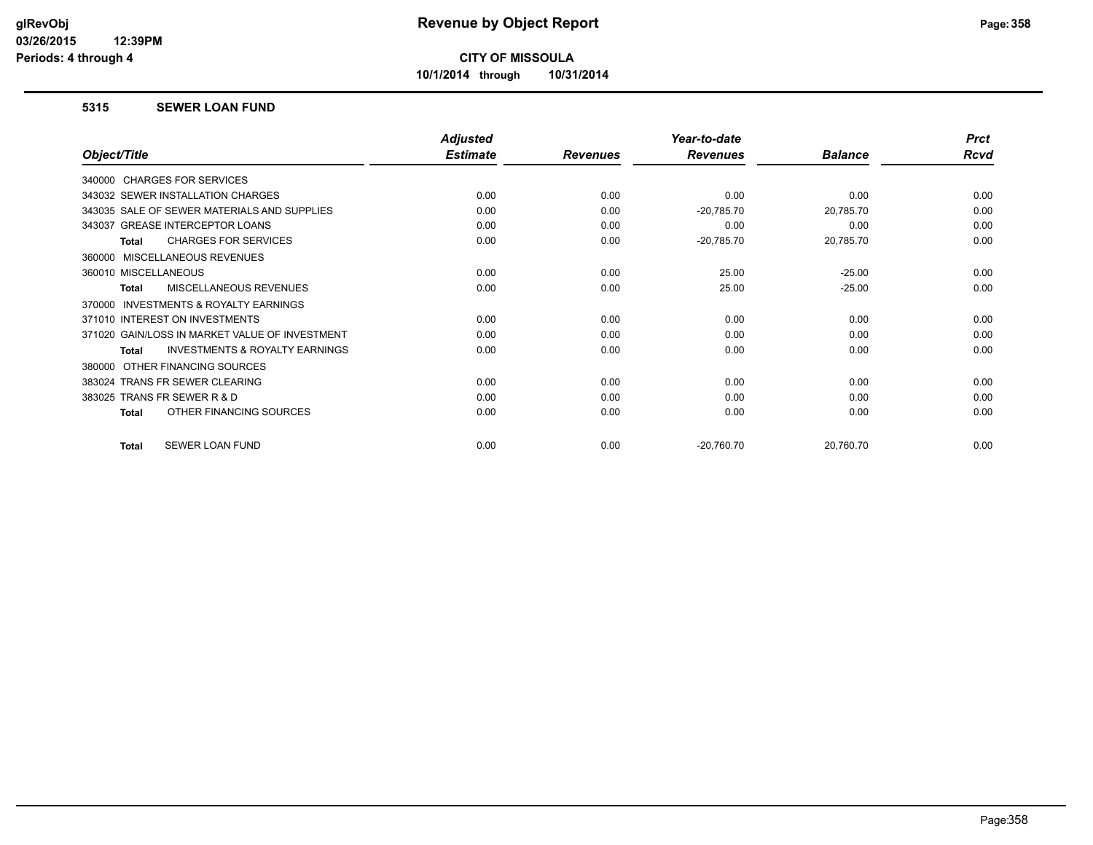**10/1/2014 through 10/31/2014**

#### **5315 SEWER LOAN FUND**

|                                                           | <b>Adjusted</b> |                 | Year-to-date    |                | <b>Prct</b> |
|-----------------------------------------------------------|-----------------|-----------------|-----------------|----------------|-------------|
| Object/Title                                              | <b>Estimate</b> | <b>Revenues</b> | <b>Revenues</b> | <b>Balance</b> | <b>Rcvd</b> |
| 340000 CHARGES FOR SERVICES                               |                 |                 |                 |                |             |
| 343032 SEWER INSTALLATION CHARGES                         | 0.00            | 0.00            | 0.00            | 0.00           | 0.00        |
| 343035 SALE OF SEWER MATERIALS AND SUPPLIES               | 0.00            | 0.00            | $-20,785.70$    | 20,785.70      | 0.00        |
| 343037 GREASE INTERCEPTOR LOANS                           | 0.00            | 0.00            | 0.00            | 0.00           | 0.00        |
| <b>CHARGES FOR SERVICES</b><br><b>Total</b>               | 0.00            | 0.00            | $-20,785.70$    | 20,785.70      | 0.00        |
| MISCELLANEOUS REVENUES<br>360000                          |                 |                 |                 |                |             |
| 360010 MISCELLANEOUS                                      | 0.00            | 0.00            | 25.00           | $-25.00$       | 0.00        |
| MISCELLANEOUS REVENUES<br><b>Total</b>                    | 0.00            | 0.00            | 25.00           | $-25.00$       | 0.00        |
| INVESTMENTS & ROYALTY EARNINGS<br>370000                  |                 |                 |                 |                |             |
| 371010 INTEREST ON INVESTMENTS                            | 0.00            | 0.00            | 0.00            | 0.00           | 0.00        |
| 371020 GAIN/LOSS IN MARKET VALUE OF INVESTMENT            | 0.00            | 0.00            | 0.00            | 0.00           | 0.00        |
| <b>INVESTMENTS &amp; ROYALTY EARNINGS</b><br><b>Total</b> | 0.00            | 0.00            | 0.00            | 0.00           | 0.00        |
| OTHER FINANCING SOURCES<br>380000                         |                 |                 |                 |                |             |
| 383024 TRANS FR SEWER CLEARING                            | 0.00            | 0.00            | 0.00            | 0.00           | 0.00        |
| 383025 TRANS FR SEWER R & D                               | 0.00            | 0.00            | 0.00            | 0.00           | 0.00        |
| OTHER FINANCING SOURCES<br><b>Total</b>                   | 0.00            | 0.00            | 0.00            | 0.00           | 0.00        |
| SEWER LOAN FUND<br><b>Total</b>                           | 0.00            | 0.00            | $-20,760.70$    | 20,760.70      | 0.00        |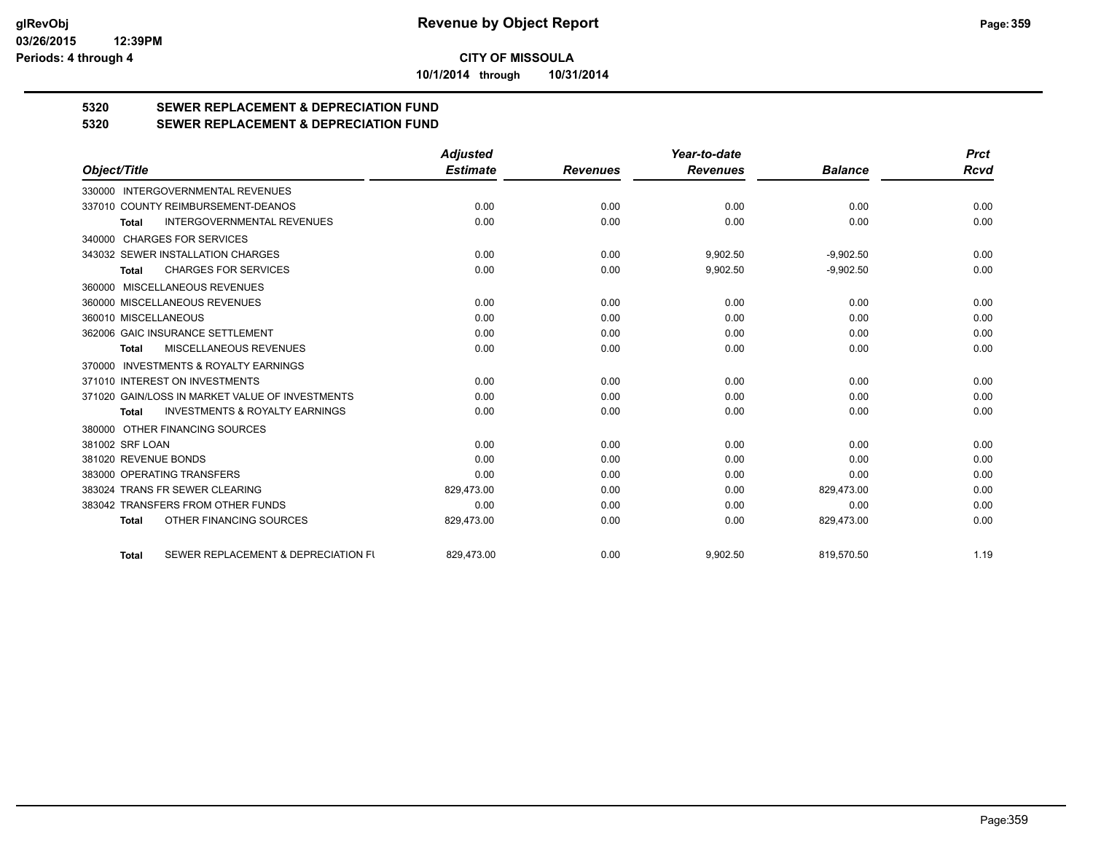**10/1/2014 through 10/31/2014**

# **5320 SEWER REPLACEMENT & DEPRECIATION FUND**

#### **5320 SEWER REPLACEMENT & DEPRECIATION FUND**

|                                                           | <b>Adjusted</b> |                 | Year-to-date    |                | <b>Prct</b> |
|-----------------------------------------------------------|-----------------|-----------------|-----------------|----------------|-------------|
| Object/Title                                              | <b>Estimate</b> | <b>Revenues</b> | <b>Revenues</b> | <b>Balance</b> | Rcvd        |
| <b>INTERGOVERNMENTAL REVENUES</b><br>330000               |                 |                 |                 |                |             |
| 337010 COUNTY REIMBURSEMENT-DEANOS                        | 0.00            | 0.00            | 0.00            | 0.00           | 0.00        |
| <b>INTERGOVERNMENTAL REVENUES</b><br><b>Total</b>         | 0.00            | 0.00            | 0.00            | 0.00           | 0.00        |
| 340000 CHARGES FOR SERVICES                               |                 |                 |                 |                |             |
| 343032 SEWER INSTALLATION CHARGES                         | 0.00            | 0.00            | 9,902.50        | $-9,902.50$    | 0.00        |
| <b>CHARGES FOR SERVICES</b><br>Total                      | 0.00            | 0.00            | 9,902.50        | $-9,902.50$    | 0.00        |
| 360000 MISCELLANEOUS REVENUES                             |                 |                 |                 |                |             |
| 360000 MISCELLANEOUS REVENUES                             | 0.00            | 0.00            | 0.00            | 0.00           | 0.00        |
| 360010 MISCELLANEOUS                                      | 0.00            | 0.00            | 0.00            | 0.00           | 0.00        |
| 362006 GAIC INSURANCE SETTLEMENT                          | 0.00            | 0.00            | 0.00            | 0.00           | 0.00        |
| MISCELLANEOUS REVENUES<br>Total                           | 0.00            | 0.00            | 0.00            | 0.00           | 0.00        |
| 370000 INVESTMENTS & ROYALTY EARNINGS                     |                 |                 |                 |                |             |
| 371010 INTEREST ON INVESTMENTS                            | 0.00            | 0.00            | 0.00            | 0.00           | 0.00        |
| 371020 GAIN/LOSS IN MARKET VALUE OF INVESTMENTS           | 0.00            | 0.00            | 0.00            | 0.00           | 0.00        |
| <b>INVESTMENTS &amp; ROYALTY EARNINGS</b><br><b>Total</b> | 0.00            | 0.00            | 0.00            | 0.00           | 0.00        |
| 380000 OTHER FINANCING SOURCES                            |                 |                 |                 |                |             |
| 381002 SRF LOAN                                           | 0.00            | 0.00            | 0.00            | 0.00           | 0.00        |
| 381020 REVENUE BONDS                                      | 0.00            | 0.00            | 0.00            | 0.00           | 0.00        |
| 383000 OPERATING TRANSFERS                                | 0.00            | 0.00            | 0.00            | 0.00           | 0.00        |
| 383024 TRANS FR SEWER CLEARING                            | 829,473.00      | 0.00            | 0.00            | 829,473.00     | 0.00        |
| 383042 TRANSFERS FROM OTHER FUNDS                         | 0.00            | 0.00            | 0.00            | 0.00           | 0.00        |
| OTHER FINANCING SOURCES<br><b>Total</b>                   | 829,473.00      | 0.00            | 0.00            | 829,473.00     | 0.00        |
| SEWER REPLACEMENT & DEPRECIATION FU<br><b>Total</b>       | 829,473.00      | 0.00            | 9,902.50        | 819,570.50     | 1.19        |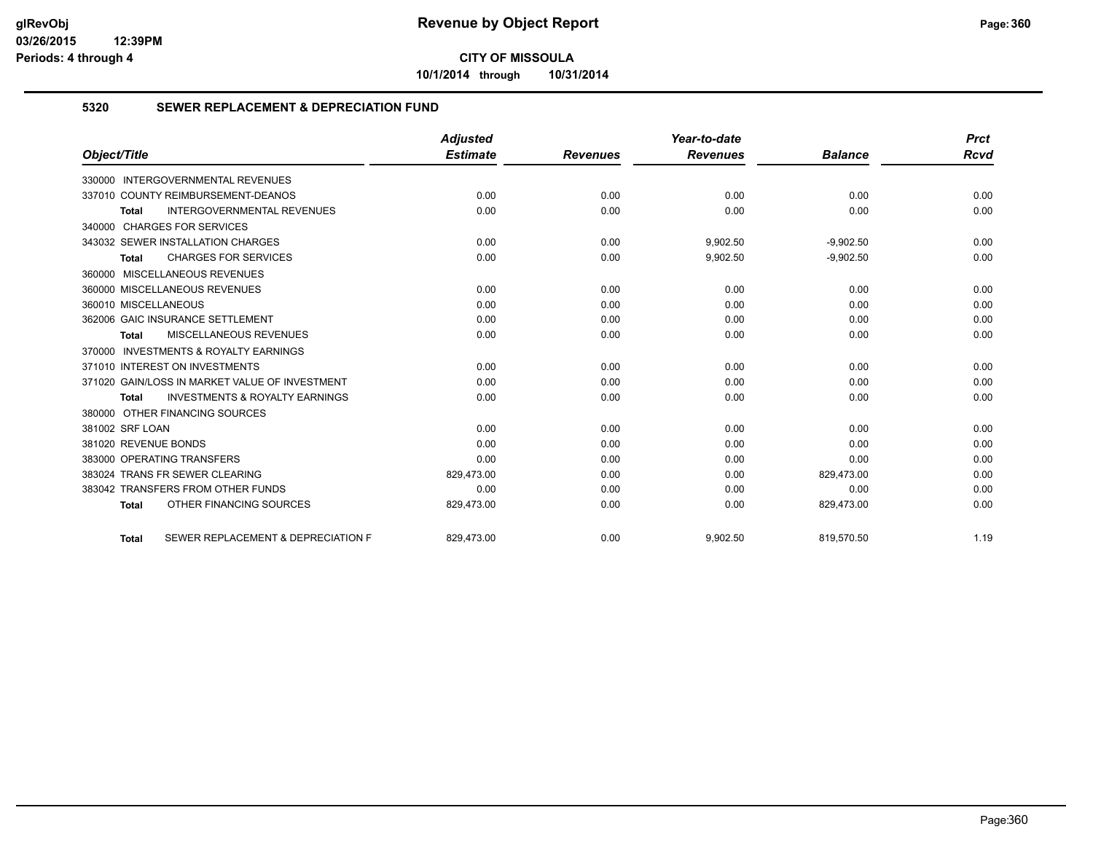**10/1/2014 through 10/31/2014**

#### **5320 SEWER REPLACEMENT & DEPRECIATION FUND**

|                                                    | <b>Adjusted</b> |                 | Year-to-date    |                | <b>Prct</b> |
|----------------------------------------------------|-----------------|-----------------|-----------------|----------------|-------------|
| Object/Title                                       | <b>Estimate</b> | <b>Revenues</b> | <b>Revenues</b> | <b>Balance</b> | <b>Rcvd</b> |
| 330000 INTERGOVERNMENTAL REVENUES                  |                 |                 |                 |                |             |
| 337010 COUNTY REIMBURSEMENT-DEANOS                 | 0.00            | 0.00            | 0.00            | 0.00           | 0.00        |
| <b>INTERGOVERNMENTAL REVENUES</b><br><b>Total</b>  | 0.00            | 0.00            | 0.00            | 0.00           | 0.00        |
| 340000 CHARGES FOR SERVICES                        |                 |                 |                 |                |             |
| 343032 SEWER INSTALLATION CHARGES                  | 0.00            | 0.00            | 9,902.50        | $-9,902.50$    | 0.00        |
| <b>CHARGES FOR SERVICES</b><br><b>Total</b>        | 0.00            | 0.00            | 9,902.50        | $-9,902.50$    | 0.00        |
| 360000 MISCELLANEOUS REVENUES                      |                 |                 |                 |                |             |
| 360000 MISCELLANEOUS REVENUES                      | 0.00            | 0.00            | 0.00            | 0.00           | 0.00        |
| 360010 MISCELLANEOUS                               | 0.00            | 0.00            | 0.00            | 0.00           | 0.00        |
| 362006 GAIC INSURANCE SETTLEMENT                   | 0.00            | 0.00            | 0.00            | 0.00           | 0.00        |
| <b>MISCELLANEOUS REVENUES</b><br>Total             | 0.00            | 0.00            | 0.00            | 0.00           | 0.00        |
| 370000 INVESTMENTS & ROYALTY EARNINGS              |                 |                 |                 |                |             |
| 371010 INTEREST ON INVESTMENTS                     | 0.00            | 0.00            | 0.00            | 0.00           | 0.00        |
| 371020 GAIN/LOSS IN MARKET VALUE OF INVESTMENT     | 0.00            | 0.00            | 0.00            | 0.00           | 0.00        |
| <b>INVESTMENTS &amp; ROYALTY EARNINGS</b><br>Total | 0.00            | 0.00            | 0.00            | 0.00           | 0.00        |
| 380000 OTHER FINANCING SOURCES                     |                 |                 |                 |                |             |
| 381002 SRF LOAN                                    | 0.00            | 0.00            | 0.00            | 0.00           | 0.00        |
| 381020 REVENUE BONDS                               | 0.00            | 0.00            | 0.00            | 0.00           | 0.00        |
| 383000 OPERATING TRANSFERS                         | 0.00            | 0.00            | 0.00            | 0.00           | 0.00        |
| 383024 TRANS FR SEWER CLEARING                     | 829,473.00      | 0.00            | 0.00            | 829,473.00     | 0.00        |
| 383042 TRANSFERS FROM OTHER FUNDS                  | 0.00            | 0.00            | 0.00            | 0.00           | 0.00        |
| OTHER FINANCING SOURCES<br><b>Total</b>            | 829,473.00      | 0.00            | 0.00            | 829,473.00     | 0.00        |
| SEWER REPLACEMENT & DEPRECIATION F<br><b>Total</b> | 829.473.00      | 0.00            | 9.902.50        | 819.570.50     | 1.19        |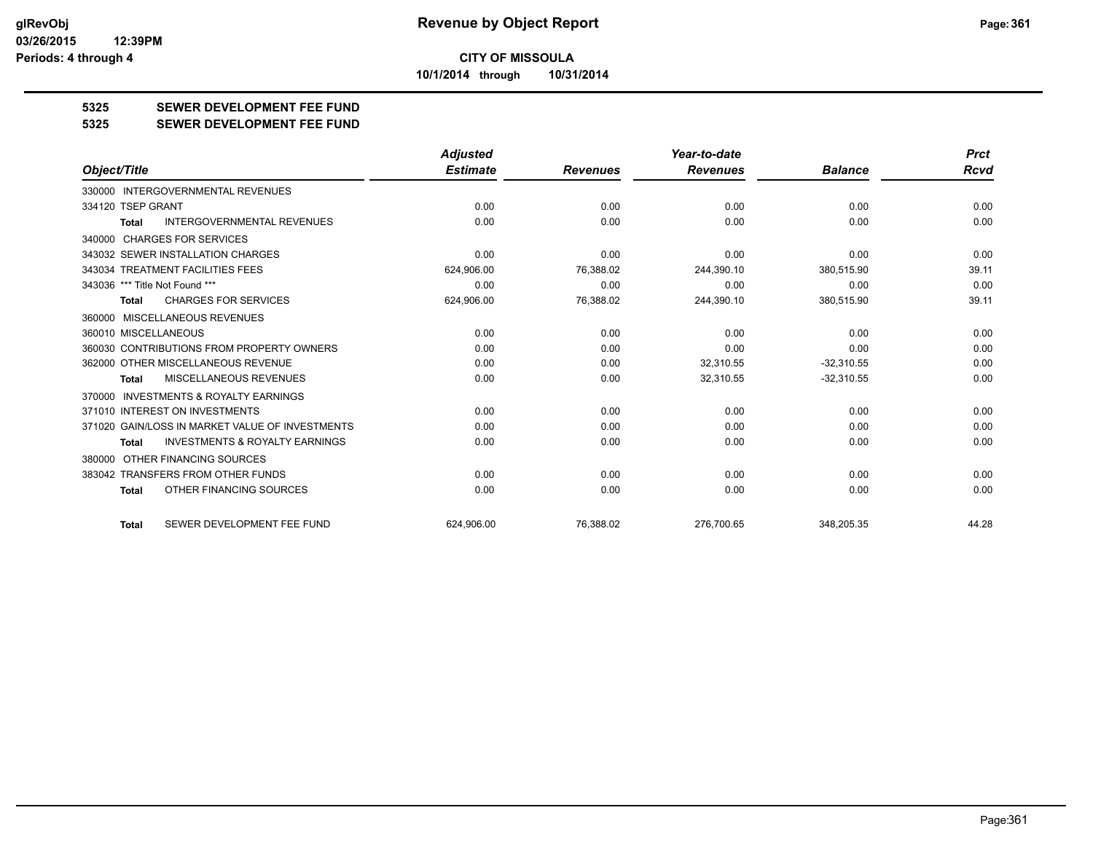**10/1/2014 through 10/31/2014**

## **5325 SEWER DEVELOPMENT FEE FUND**

**5325 SEWER DEVELOPMENT FEE FUND**

|                                                           | <b>Adjusted</b> |                 | Year-to-date    |                | <b>Prct</b> |
|-----------------------------------------------------------|-----------------|-----------------|-----------------|----------------|-------------|
| Object/Title                                              | <b>Estimate</b> | <b>Revenues</b> | <b>Revenues</b> | <b>Balance</b> | <b>Rcvd</b> |
| 330000 INTERGOVERNMENTAL REVENUES                         |                 |                 |                 |                |             |
| 334120 TSEP GRANT                                         | 0.00            | 0.00            | 0.00            | 0.00           | 0.00        |
| <b>INTERGOVERNMENTAL REVENUES</b><br><b>Total</b>         | 0.00            | 0.00            | 0.00            | 0.00           | 0.00        |
| 340000 CHARGES FOR SERVICES                               |                 |                 |                 |                |             |
| 343032 SEWER INSTALLATION CHARGES                         | 0.00            | 0.00            | 0.00            | 0.00           | 0.00        |
| 343034 TREATMENT FACILITIES FEES                          | 624,906.00      | 76,388.02       | 244,390.10      | 380,515.90     | 39.11       |
| 343036 *** Title Not Found ***                            | 0.00            | 0.00            | 0.00            | 0.00           | 0.00        |
| <b>CHARGES FOR SERVICES</b><br>Total                      | 624,906.00      | 76,388.02       | 244,390.10      | 380,515.90     | 39.11       |
| 360000 MISCELLANEOUS REVENUES                             |                 |                 |                 |                |             |
| 360010 MISCELLANEOUS                                      | 0.00            | 0.00            | 0.00            | 0.00           | 0.00        |
| 360030 CONTRIBUTIONS FROM PROPERTY OWNERS                 | 0.00            | 0.00            | 0.00            | 0.00           | 0.00        |
| 362000 OTHER MISCELLANEOUS REVENUE                        | 0.00            | 0.00            | 32,310.55       | $-32,310.55$   | 0.00        |
| <b>MISCELLANEOUS REVENUES</b><br><b>Total</b>             | 0.00            | 0.00            | 32,310.55       | $-32,310.55$   | 0.00        |
| INVESTMENTS & ROYALTY EARNINGS<br>370000                  |                 |                 |                 |                |             |
| 371010 INTEREST ON INVESTMENTS                            | 0.00            | 0.00            | 0.00            | 0.00           | 0.00        |
| 371020 GAIN/LOSS IN MARKET VALUE OF INVESTMENTS           | 0.00            | 0.00            | 0.00            | 0.00           | 0.00        |
| <b>INVESTMENTS &amp; ROYALTY EARNINGS</b><br><b>Total</b> | 0.00            | 0.00            | 0.00            | 0.00           | 0.00        |
| 380000 OTHER FINANCING SOURCES                            |                 |                 |                 |                |             |
| 383042 TRANSFERS FROM OTHER FUNDS                         | 0.00            | 0.00            | 0.00            | 0.00           | 0.00        |
| OTHER FINANCING SOURCES<br>Total                          | 0.00            | 0.00            | 0.00            | 0.00           | 0.00        |
| SEWER DEVELOPMENT FEE FUND<br><b>Total</b>                | 624.906.00      | 76,388.02       | 276.700.65      | 348.205.35     | 44.28       |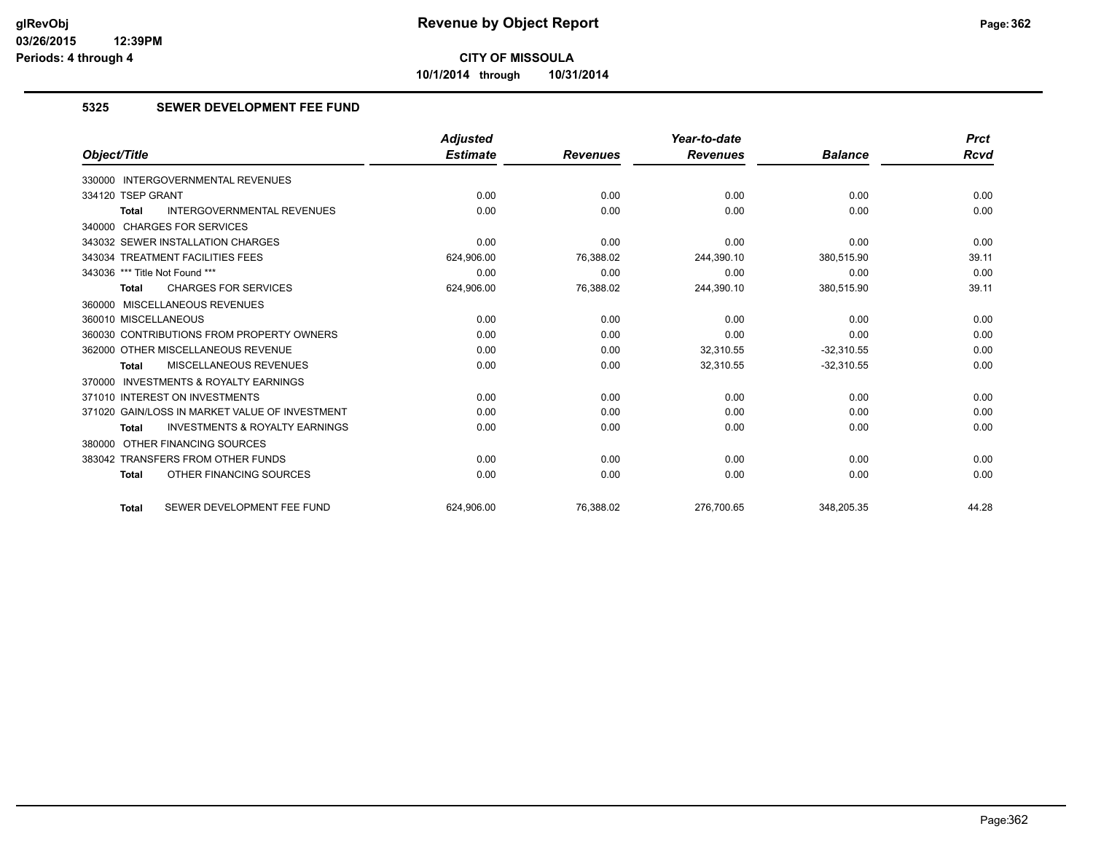**10/1/2014 through 10/31/2014**

## **5325 SEWER DEVELOPMENT FEE FUND**

|                                                           | <b>Adjusted</b> |                 | Year-to-date    |                |             |  |
|-----------------------------------------------------------|-----------------|-----------------|-----------------|----------------|-------------|--|
| Object/Title                                              | <b>Estimate</b> | <b>Revenues</b> | <b>Revenues</b> | <b>Balance</b> | <b>Rcvd</b> |  |
| <b>INTERGOVERNMENTAL REVENUES</b><br>330000               |                 |                 |                 |                |             |  |
| 334120 TSEP GRANT                                         | 0.00            | 0.00            | 0.00            | 0.00           | 0.00        |  |
| <b>INTERGOVERNMENTAL REVENUES</b><br><b>Total</b>         | 0.00            | 0.00            | 0.00            | 0.00           | 0.00        |  |
| 340000 CHARGES FOR SERVICES                               |                 |                 |                 |                |             |  |
| 343032 SEWER INSTALLATION CHARGES                         | 0.00            | 0.00            | 0.00            | 0.00           | 0.00        |  |
| 343034 TREATMENT FACILITIES FEES                          | 624,906.00      | 76,388.02       | 244,390.10      | 380,515.90     | 39.11       |  |
| 343036 *** Title Not Found ***                            | 0.00            | 0.00            | 0.00            | 0.00           | 0.00        |  |
| <b>CHARGES FOR SERVICES</b><br><b>Total</b>               | 624,906.00      | 76,388.02       | 244,390.10      | 380,515.90     | 39.11       |  |
| 360000 MISCELLANEOUS REVENUES                             |                 |                 |                 |                |             |  |
| 360010 MISCELLANEOUS                                      | 0.00            | 0.00            | 0.00            | 0.00           | 0.00        |  |
| 360030 CONTRIBUTIONS FROM PROPERTY OWNERS                 | 0.00            | 0.00            | 0.00            | 0.00           | 0.00        |  |
| 362000 OTHER MISCELLANEOUS REVENUE                        | 0.00            | 0.00            | 32.310.55       | $-32.310.55$   | 0.00        |  |
| MISCELLANEOUS REVENUES<br><b>Total</b>                    | 0.00            | 0.00            | 32,310.55       | $-32,310.55$   | 0.00        |  |
| 370000 INVESTMENTS & ROYALTY EARNINGS                     |                 |                 |                 |                |             |  |
| 371010 INTEREST ON INVESTMENTS                            | 0.00            | 0.00            | 0.00            | 0.00           | 0.00        |  |
| 371020 GAIN/LOSS IN MARKET VALUE OF INVESTMENT            | 0.00            | 0.00            | 0.00            | 0.00           | 0.00        |  |
| <b>INVESTMENTS &amp; ROYALTY EARNINGS</b><br><b>Total</b> | 0.00            | 0.00            | 0.00            | 0.00           | 0.00        |  |
| 380000 OTHER FINANCING SOURCES                            |                 |                 |                 |                |             |  |
| 383042 TRANSFERS FROM OTHER FUNDS                         | 0.00            | 0.00            | 0.00            | 0.00           | 0.00        |  |
| OTHER FINANCING SOURCES<br><b>Total</b>                   | 0.00            | 0.00            | 0.00            | 0.00           | 0.00        |  |
| SEWER DEVELOPMENT FEE FUND<br><b>Total</b>                | 624.906.00      | 76,388.02       | 276.700.65      | 348,205.35     | 44.28       |  |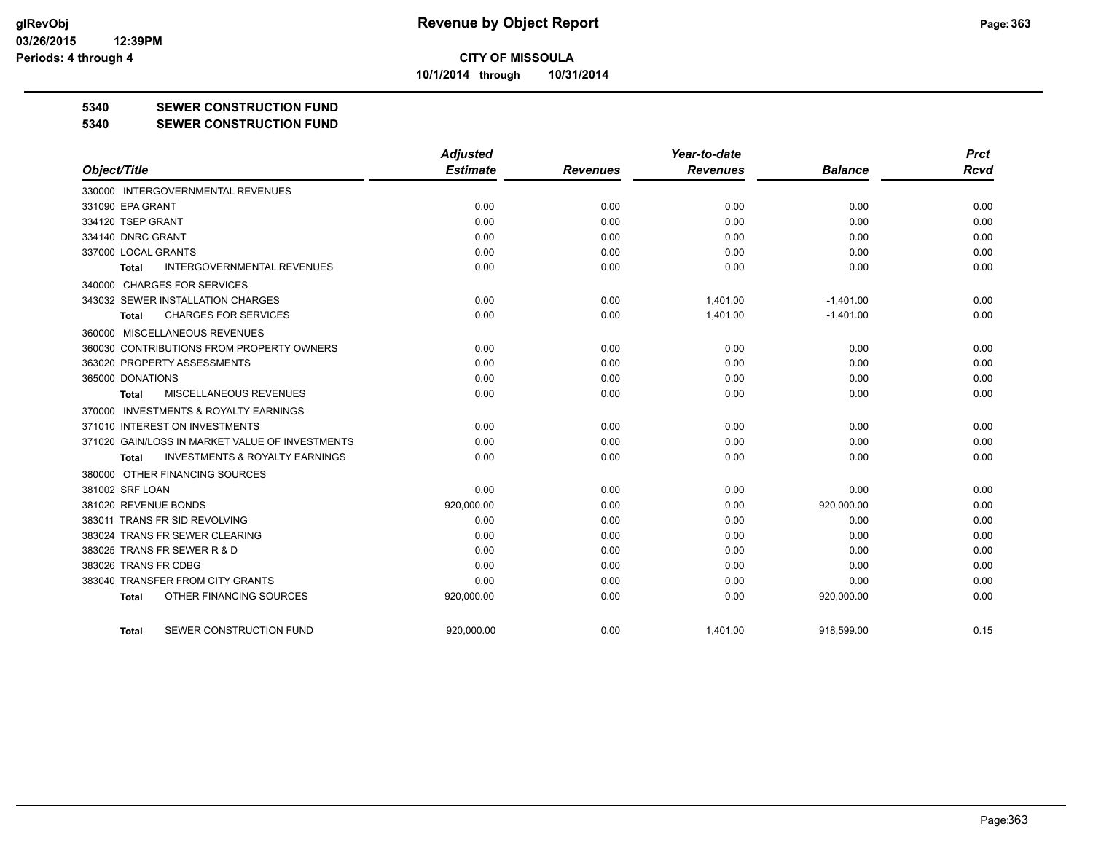**10/1/2014 through 10/31/2014**

### **5340 SEWER CONSTRUCTION FUND**

#### **5340 SEWER CONSTRUCTION FUND**

|                                                    | <b>Adjusted</b> |                 | Year-to-date    |                | <b>Prct</b> |
|----------------------------------------------------|-----------------|-----------------|-----------------|----------------|-------------|
| Object/Title                                       | <b>Estimate</b> | <b>Revenues</b> | <b>Revenues</b> | <b>Balance</b> | <b>Rcvd</b> |
| 330000 INTERGOVERNMENTAL REVENUES                  |                 |                 |                 |                |             |
| 331090 EPA GRANT                                   | 0.00            | 0.00            | 0.00            | 0.00           | 0.00        |
| 334120 TSEP GRANT                                  | 0.00            | 0.00            | 0.00            | 0.00           | 0.00        |
| 334140 DNRC GRANT                                  | 0.00            | 0.00            | 0.00            | 0.00           | 0.00        |
| 337000 LOCAL GRANTS                                | 0.00            | 0.00            | 0.00            | 0.00           | 0.00        |
| <b>INTERGOVERNMENTAL REVENUES</b><br>Total         | 0.00            | 0.00            | 0.00            | 0.00           | 0.00        |
| 340000 CHARGES FOR SERVICES                        |                 |                 |                 |                |             |
| 343032 SEWER INSTALLATION CHARGES                  | 0.00            | 0.00            | 1,401.00        | $-1,401.00$    | 0.00        |
| <b>CHARGES FOR SERVICES</b><br><b>Total</b>        | 0.00            | 0.00            | 1,401.00        | $-1,401.00$    | 0.00        |
| 360000 MISCELLANEOUS REVENUES                      |                 |                 |                 |                |             |
| 360030 CONTRIBUTIONS FROM PROPERTY OWNERS          | 0.00            | 0.00            | 0.00            | 0.00           | 0.00        |
| 363020 PROPERTY ASSESSMENTS                        | 0.00            | 0.00            | 0.00            | 0.00           | 0.00        |
| 365000 DONATIONS                                   | 0.00            | 0.00            | 0.00            | 0.00           | 0.00        |
| <b>MISCELLANEOUS REVENUES</b><br><b>Total</b>      | 0.00            | 0.00            | 0.00            | 0.00           | 0.00        |
| 370000 INVESTMENTS & ROYALTY EARNINGS              |                 |                 |                 |                |             |
| 371010 INTEREST ON INVESTMENTS                     | 0.00            | 0.00            | 0.00            | 0.00           | 0.00        |
| 371020 GAIN/LOSS IN MARKET VALUE OF INVESTMENTS    | 0.00            | 0.00            | 0.00            | 0.00           | 0.00        |
| <b>INVESTMENTS &amp; ROYALTY EARNINGS</b><br>Total | 0.00            | 0.00            | 0.00            | 0.00           | 0.00        |
| 380000 OTHER FINANCING SOURCES                     |                 |                 |                 |                |             |
| 381002 SRF LOAN                                    | 0.00            | 0.00            | 0.00            | 0.00           | 0.00        |
| 381020 REVENUE BONDS                               | 920,000.00      | 0.00            | 0.00            | 920,000.00     | 0.00        |
| 383011 TRANS FR SID REVOLVING                      | 0.00            | 0.00            | 0.00            | 0.00           | 0.00        |
| 383024 TRANS FR SEWER CLEARING                     | 0.00            | 0.00            | 0.00            | 0.00           | 0.00        |
| 383025 TRANS FR SEWER R & D                        | 0.00            | 0.00            | 0.00            | 0.00           | 0.00        |
| 383026 TRANS FR CDBG                               | 0.00            | 0.00            | 0.00            | 0.00           | 0.00        |
| 383040 TRANSFER FROM CITY GRANTS                   | 0.00            | 0.00            | 0.00            | 0.00           | 0.00        |
| OTHER FINANCING SOURCES<br><b>Total</b>            | 920,000.00      | 0.00            | 0.00            | 920,000.00     | 0.00        |
| SEWER CONSTRUCTION FUND<br>Total                   | 920.000.00      | 0.00            | 1,401.00        | 918.599.00     | 0.15        |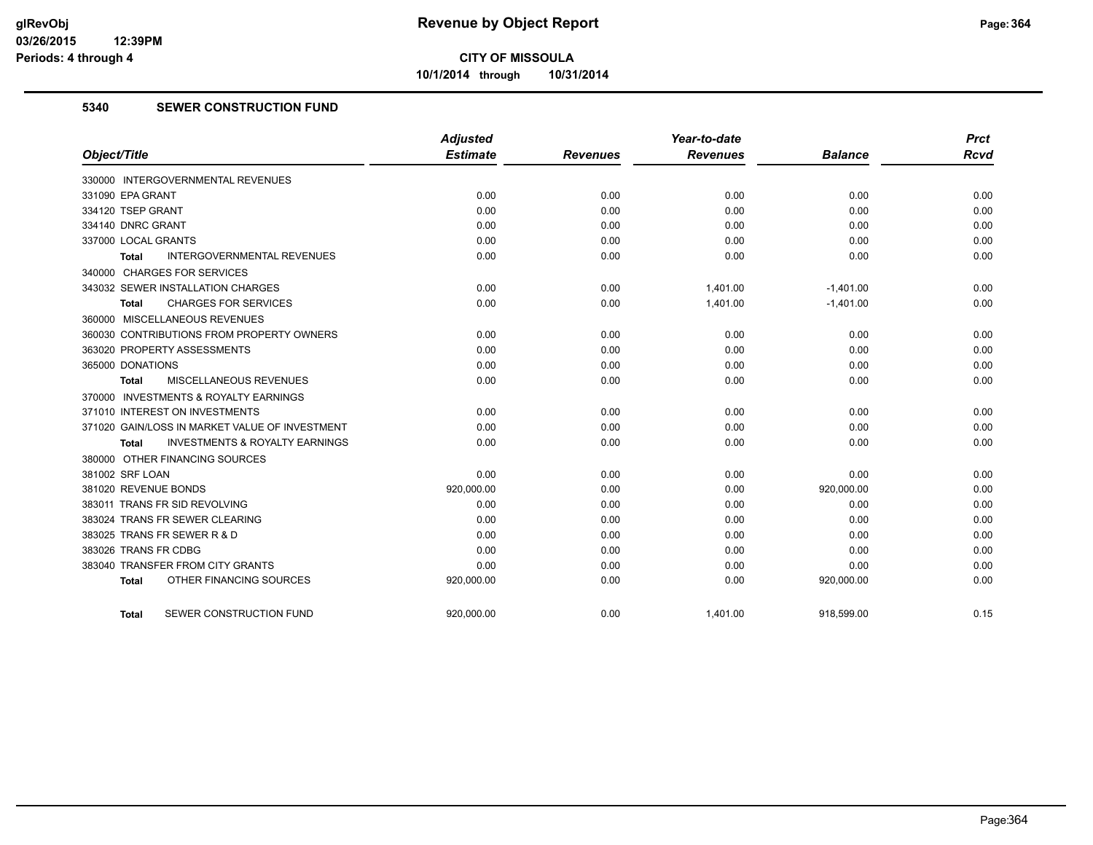**10/1/2014 through 10/31/2014**

## **5340 SEWER CONSTRUCTION FUND**

|                                                    | <b>Adjusted</b> |                 | Year-to-date    |                | <b>Prct</b> |
|----------------------------------------------------|-----------------|-----------------|-----------------|----------------|-------------|
| Object/Title                                       | <b>Estimate</b> | <b>Revenues</b> | <b>Revenues</b> | <b>Balance</b> | <b>Rcvd</b> |
| 330000 INTERGOVERNMENTAL REVENUES                  |                 |                 |                 |                |             |
| 331090 EPA GRANT                                   | 0.00            | 0.00            | 0.00            | 0.00           | 0.00        |
| 334120 TSEP GRANT                                  | 0.00            | 0.00            | 0.00            | 0.00           | 0.00        |
| 334140 DNRC GRANT                                  | 0.00            | 0.00            | 0.00            | 0.00           | 0.00        |
| 337000 LOCAL GRANTS                                | 0.00            | 0.00            | 0.00            | 0.00           | 0.00        |
| <b>INTERGOVERNMENTAL REVENUES</b><br>Total         | 0.00            | 0.00            | 0.00            | 0.00           | 0.00        |
| 340000 CHARGES FOR SERVICES                        |                 |                 |                 |                |             |
| 343032 SEWER INSTALLATION CHARGES                  | 0.00            | 0.00            | 1,401.00        | $-1,401.00$    | 0.00        |
| <b>CHARGES FOR SERVICES</b><br>Total               | 0.00            | 0.00            | 1,401.00        | $-1,401.00$    | 0.00        |
| 360000 MISCELLANEOUS REVENUES                      |                 |                 |                 |                |             |
| 360030 CONTRIBUTIONS FROM PROPERTY OWNERS          | 0.00            | 0.00            | 0.00            | 0.00           | 0.00        |
| 363020 PROPERTY ASSESSMENTS                        | 0.00            | 0.00            | 0.00            | 0.00           | 0.00        |
| 365000 DONATIONS                                   | 0.00            | 0.00            | 0.00            | 0.00           | 0.00        |
| <b>MISCELLANEOUS REVENUES</b><br>Total             | 0.00            | 0.00            | 0.00            | 0.00           | 0.00        |
| 370000 INVESTMENTS & ROYALTY EARNINGS              |                 |                 |                 |                |             |
| 371010 INTEREST ON INVESTMENTS                     | 0.00            | 0.00            | 0.00            | 0.00           | 0.00        |
| 371020 GAIN/LOSS IN MARKET VALUE OF INVESTMENT     | 0.00            | 0.00            | 0.00            | 0.00           | 0.00        |
| <b>INVESTMENTS &amp; ROYALTY EARNINGS</b><br>Total | 0.00            | 0.00            | 0.00            | 0.00           | 0.00        |
| 380000 OTHER FINANCING SOURCES                     |                 |                 |                 |                |             |
| 381002 SRF LOAN                                    | 0.00            | 0.00            | 0.00            | 0.00           | 0.00        |
| 381020 REVENUE BONDS                               | 920,000.00      | 0.00            | 0.00            | 920,000.00     | 0.00        |
| 383011 TRANS FR SID REVOLVING                      | 0.00            | 0.00            | 0.00            | 0.00           | 0.00        |
| 383024 TRANS FR SEWER CLEARING                     | 0.00            | 0.00            | 0.00            | 0.00           | 0.00        |
| 383025 TRANS FR SEWER R & D                        | 0.00            | 0.00            | 0.00            | 0.00           | 0.00        |
| 383026 TRANS FR CDBG                               | 0.00            | 0.00            | 0.00            | 0.00           | 0.00        |
| 383040 TRANSFER FROM CITY GRANTS                   | 0.00            | 0.00            | 0.00            | 0.00           | 0.00        |
| OTHER FINANCING SOURCES<br><b>Total</b>            | 920,000.00      | 0.00            | 0.00            | 920,000.00     | 0.00        |
| SEWER CONSTRUCTION FUND<br><b>Total</b>            | 920,000.00      | 0.00            | 1,401.00        | 918,599.00     | 0.15        |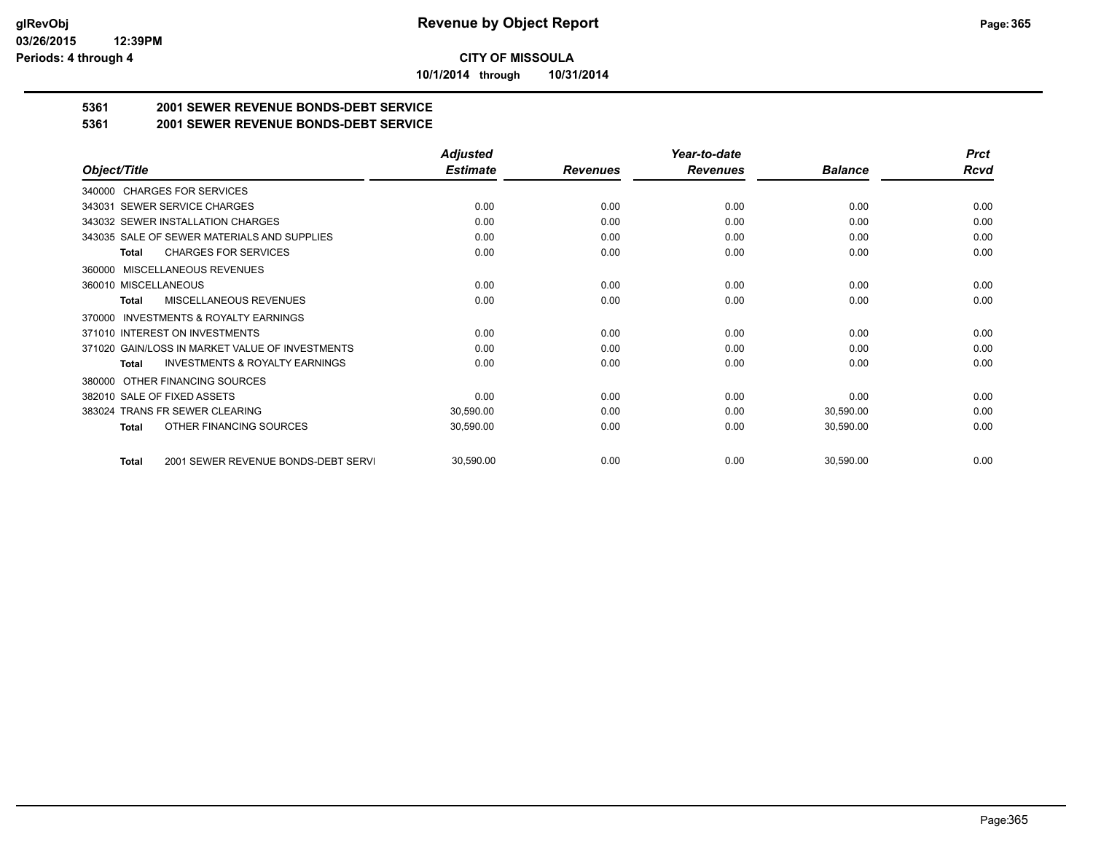**10/1/2014 through 10/31/2014**

## **5361 2001 SEWER REVENUE BONDS-DEBT SERVICE**

**5361 2001 SEWER REVENUE BONDS-DEBT SERVICE**

|                                                           | <b>Adjusted</b> |                 | Year-to-date    |                | <b>Prct</b> |
|-----------------------------------------------------------|-----------------|-----------------|-----------------|----------------|-------------|
| Object/Title                                              | <b>Estimate</b> | <b>Revenues</b> | <b>Revenues</b> | <b>Balance</b> | Rcvd        |
| 340000 CHARGES FOR SERVICES                               |                 |                 |                 |                |             |
| SEWER SERVICE CHARGES<br>343031                           | 0.00            | 0.00            | 0.00            | 0.00           | 0.00        |
| 343032 SEWER INSTALLATION CHARGES                         | 0.00            | 0.00            | 0.00            | 0.00           | 0.00        |
| 343035 SALE OF SEWER MATERIALS AND SUPPLIES               | 0.00            | 0.00            | 0.00            | 0.00           | 0.00        |
| <b>CHARGES FOR SERVICES</b><br><b>Total</b>               | 0.00            | 0.00            | 0.00            | 0.00           | 0.00        |
| <b>MISCELLANEOUS REVENUES</b><br>360000                   |                 |                 |                 |                |             |
| 360010 MISCELLANEOUS                                      | 0.00            | 0.00            | 0.00            | 0.00           | 0.00        |
| MISCELLANEOUS REVENUES<br>Total                           | 0.00            | 0.00            | 0.00            | 0.00           | 0.00        |
| <b>INVESTMENTS &amp; ROYALTY EARNINGS</b><br>370000       |                 |                 |                 |                |             |
| 371010 INTEREST ON INVESTMENTS                            | 0.00            | 0.00            | 0.00            | 0.00           | 0.00        |
| 371020 GAIN/LOSS IN MARKET VALUE OF INVESTMENTS           | 0.00            | 0.00            | 0.00            | 0.00           | 0.00        |
| <b>INVESTMENTS &amp; ROYALTY EARNINGS</b><br><b>Total</b> | 0.00            | 0.00            | 0.00            | 0.00           | 0.00        |
| OTHER FINANCING SOURCES<br>380000                         |                 |                 |                 |                |             |
| 382010 SALE OF FIXED ASSETS                               | 0.00            | 0.00            | 0.00            | 0.00           | 0.00        |
| 383024 TRANS FR SEWER CLEARING                            | 30,590.00       | 0.00            | 0.00            | 30,590.00      | 0.00        |
| OTHER FINANCING SOURCES<br><b>Total</b>                   | 30,590.00       | 0.00            | 0.00            | 30,590.00      | 0.00        |
| 2001 SEWER REVENUE BONDS-DEBT SERVI<br><b>Total</b>       | 30,590.00       | 0.00            | 0.00            | 30,590.00      | 0.00        |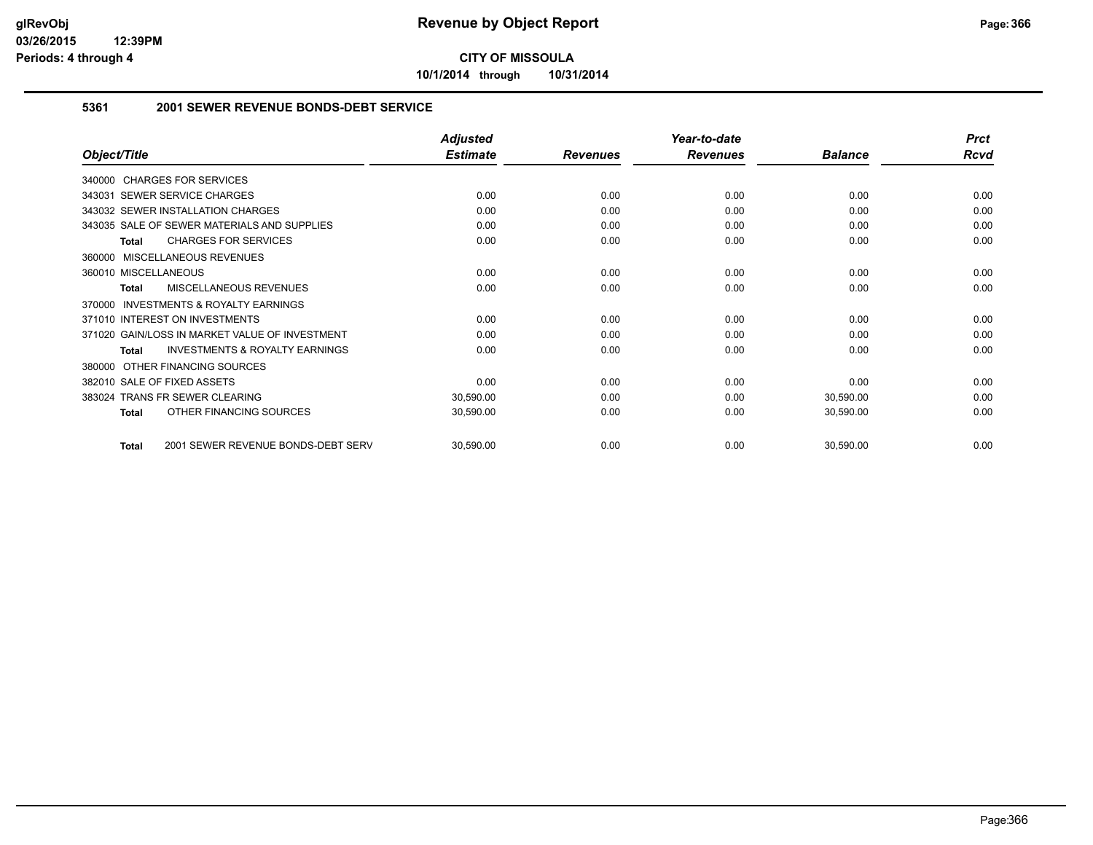**10/1/2014 through 10/31/2014**

### **5361 2001 SEWER REVENUE BONDS-DEBT SERVICE**

|                                                           | <b>Adjusted</b> |                 | Year-to-date    |                | <b>Prct</b> |
|-----------------------------------------------------------|-----------------|-----------------|-----------------|----------------|-------------|
| Object/Title                                              | <b>Estimate</b> | <b>Revenues</b> | <b>Revenues</b> | <b>Balance</b> | Rcvd        |
| 340000 CHARGES FOR SERVICES                               |                 |                 |                 |                |             |
| 343031 SEWER SERVICE CHARGES                              | 0.00            | 0.00            | 0.00            | 0.00           | 0.00        |
| 343032 SEWER INSTALLATION CHARGES                         | 0.00            | 0.00            | 0.00            | 0.00           | 0.00        |
| 343035 SALE OF SEWER MATERIALS AND SUPPLIES               | 0.00            | 0.00            | 0.00            | 0.00           | 0.00        |
| <b>CHARGES FOR SERVICES</b><br><b>Total</b>               | 0.00            | 0.00            | 0.00            | 0.00           | 0.00        |
| MISCELLANEOUS REVENUES<br>360000                          |                 |                 |                 |                |             |
| 360010 MISCELLANEOUS                                      | 0.00            | 0.00            | 0.00            | 0.00           | 0.00        |
| MISCELLANEOUS REVENUES<br><b>Total</b>                    | 0.00            | 0.00            | 0.00            | 0.00           | 0.00        |
| <b>INVESTMENTS &amp; ROYALTY EARNINGS</b><br>370000       |                 |                 |                 |                |             |
| 371010 INTEREST ON INVESTMENTS                            | 0.00            | 0.00            | 0.00            | 0.00           | 0.00        |
| 371020 GAIN/LOSS IN MARKET VALUE OF INVESTMENT            | 0.00            | 0.00            | 0.00            | 0.00           | 0.00        |
| <b>INVESTMENTS &amp; ROYALTY EARNINGS</b><br><b>Total</b> | 0.00            | 0.00            | 0.00            | 0.00           | 0.00        |
| OTHER FINANCING SOURCES<br>380000                         |                 |                 |                 |                |             |
| 382010 SALE OF FIXED ASSETS                               | 0.00            | 0.00            | 0.00            | 0.00           | 0.00        |
| 383024 TRANS FR SEWER CLEARING                            | 30,590.00       | 0.00            | 0.00            | 30,590.00      | 0.00        |
| OTHER FINANCING SOURCES<br><b>Total</b>                   | 30,590.00       | 0.00            | 0.00            | 30,590.00      | 0.00        |
| 2001 SEWER REVENUE BONDS-DEBT SERV<br><b>Total</b>        | 30,590.00       | 0.00            | 0.00            | 30,590.00      | 0.00        |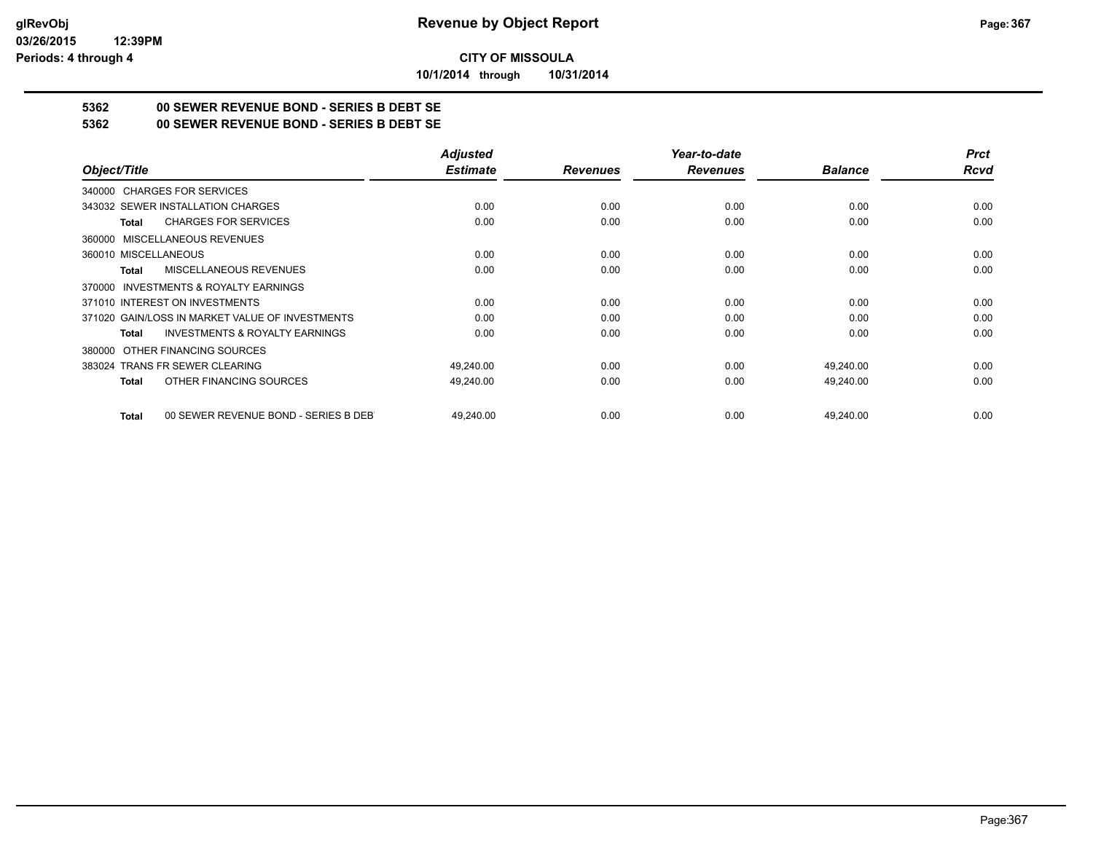**10/1/2014 through 10/31/2014**

# **5362 00 SEWER REVENUE BOND - SERIES B DEBT SE**

**5362 00 SEWER REVENUE BOND - SERIES B DEBT SE**

|                                                           | <b>Adjusted</b> |                 | Year-to-date    |                | <b>Prct</b> |
|-----------------------------------------------------------|-----------------|-----------------|-----------------|----------------|-------------|
| Object/Title                                              | <b>Estimate</b> | <b>Revenues</b> | <b>Revenues</b> | <b>Balance</b> | <b>Rcvd</b> |
| 340000 CHARGES FOR SERVICES                               |                 |                 |                 |                |             |
| 343032 SEWER INSTALLATION CHARGES                         | 0.00            | 0.00            | 0.00            | 0.00           | 0.00        |
| <b>CHARGES FOR SERVICES</b><br><b>Total</b>               | 0.00            | 0.00            | 0.00            | 0.00           | 0.00        |
| MISCELLANEOUS REVENUES<br>360000                          |                 |                 |                 |                |             |
| 360010 MISCELLANEOUS                                      | 0.00            | 0.00            | 0.00            | 0.00           | 0.00        |
| MISCELLANEOUS REVENUES<br>Total                           | 0.00            | 0.00            | 0.00            | 0.00           | 0.00        |
| INVESTMENTS & ROYALTY EARNINGS<br>370000                  |                 |                 |                 |                |             |
| 371010 INTEREST ON INVESTMENTS                            | 0.00            | 0.00            | 0.00            | 0.00           | 0.00        |
| 371020 GAIN/LOSS IN MARKET VALUE OF INVESTMENTS           | 0.00            | 0.00            | 0.00            | 0.00           | 0.00        |
| <b>INVESTMENTS &amp; ROYALTY EARNINGS</b><br><b>Total</b> | 0.00            | 0.00            | 0.00            | 0.00           | 0.00        |
| OTHER FINANCING SOURCES<br>380000                         |                 |                 |                 |                |             |
| 383024 TRANS FR SEWER CLEARING                            | 49,240.00       | 0.00            | 0.00            | 49,240.00      | 0.00        |
| OTHER FINANCING SOURCES<br><b>Total</b>                   | 49,240.00       | 0.00            | 0.00            | 49,240.00      | 0.00        |
| 00 SEWER REVENUE BOND - SERIES B DEB<br><b>Total</b>      | 49,240.00       | 0.00            | 0.00            | 49,240.00      | 0.00        |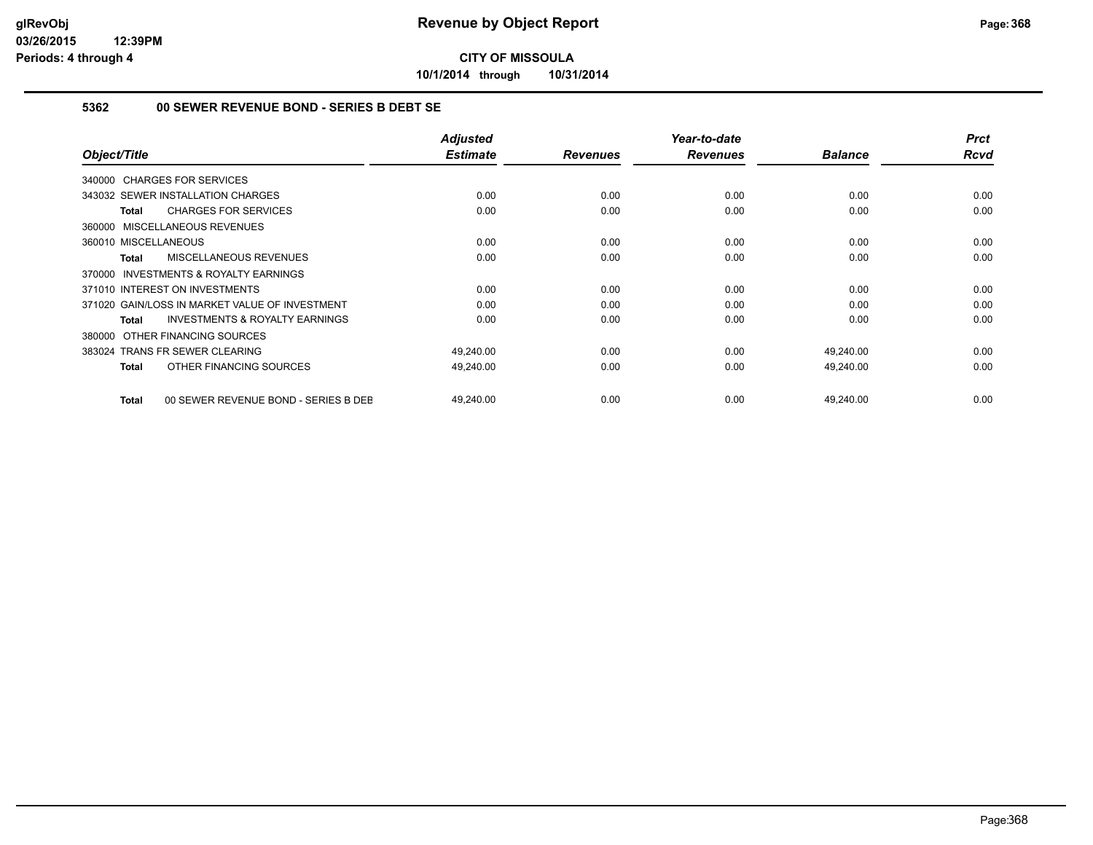**10/1/2014 through 10/31/2014**

### **5362 00 SEWER REVENUE BOND - SERIES B DEBT SE**

| Object/Title                                              | <b>Adjusted</b><br><b>Estimate</b> | <b>Revenues</b> | Year-to-date<br><b>Revenues</b> | <b>Balance</b> | <b>Prct</b><br><b>Rcvd</b> |
|-----------------------------------------------------------|------------------------------------|-----------------|---------------------------------|----------------|----------------------------|
| 340000 CHARGES FOR SERVICES                               |                                    |                 |                                 |                |                            |
| 343032 SEWER INSTALLATION CHARGES                         | 0.00                               | 0.00            | 0.00                            | 0.00           | 0.00                       |
|                                                           |                                    |                 |                                 |                |                            |
| <b>CHARGES FOR SERVICES</b><br>Total                      | 0.00                               | 0.00            | 0.00                            | 0.00           | 0.00                       |
| 360000 MISCELLANEOUS REVENUES                             |                                    |                 |                                 |                |                            |
| 360010 MISCELLANEOUS                                      | 0.00                               | 0.00            | 0.00                            | 0.00           | 0.00                       |
| <b>MISCELLANEOUS REVENUES</b><br><b>Total</b>             | 0.00                               | 0.00            | 0.00                            | 0.00           | 0.00                       |
| <b>INVESTMENTS &amp; ROYALTY EARNINGS</b><br>370000       |                                    |                 |                                 |                |                            |
| 371010 INTEREST ON INVESTMENTS                            | 0.00                               | 0.00            | 0.00                            | 0.00           | 0.00                       |
| 371020 GAIN/LOSS IN MARKET VALUE OF INVESTMENT            | 0.00                               | 0.00            | 0.00                            | 0.00           | 0.00                       |
| <b>INVESTMENTS &amp; ROYALTY EARNINGS</b><br><b>Total</b> | 0.00                               | 0.00            | 0.00                            | 0.00           | 0.00                       |
| 380000 OTHER FINANCING SOURCES                            |                                    |                 |                                 |                |                            |
| 383024 TRANS FR SEWER CLEARING                            | 49,240.00                          | 0.00            | 0.00                            | 49,240.00      | 0.00                       |
| OTHER FINANCING SOURCES<br><b>Total</b>                   | 49,240.00                          | 0.00            | 0.00                            | 49,240.00      | 0.00                       |
| 00 SEWER REVENUE BOND - SERIES B DEE<br>Total             | 49,240.00                          | 0.00            | 0.00                            | 49,240.00      | 0.00                       |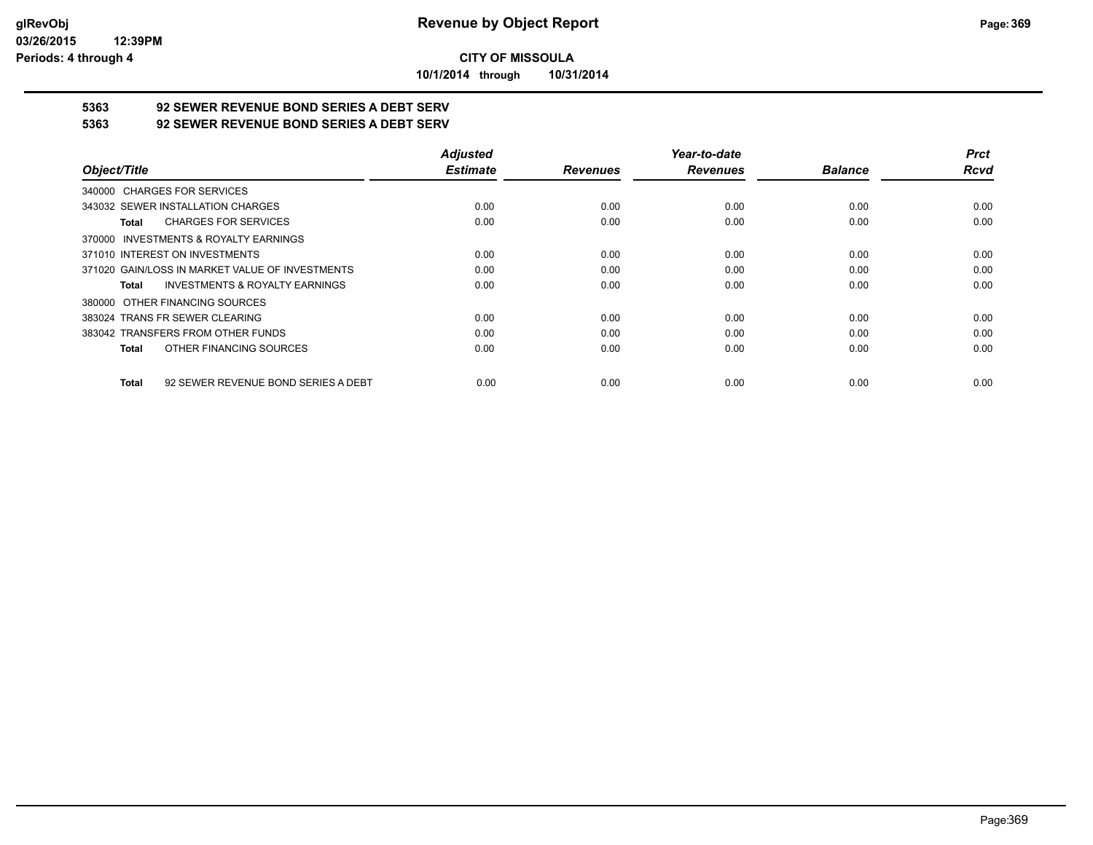**10/1/2014 through 10/31/2014**

# **5363 92 SEWER REVENUE BOND SERIES A DEBT SERV**

**5363 92 SEWER REVENUE BOND SERIES A DEBT SERV**

|                                                     | <b>Adjusted</b> |                 | Year-to-date    |                | <b>Prct</b> |
|-----------------------------------------------------|-----------------|-----------------|-----------------|----------------|-------------|
| Object/Title                                        | <b>Estimate</b> | <b>Revenues</b> | <b>Revenues</b> | <b>Balance</b> | <b>Rcvd</b> |
| 340000 CHARGES FOR SERVICES                         |                 |                 |                 |                |             |
| 343032 SEWER INSTALLATION CHARGES                   | 0.00            | 0.00            | 0.00            | 0.00           | 0.00        |
| <b>CHARGES FOR SERVICES</b><br>Total                | 0.00            | 0.00            | 0.00            | 0.00           | 0.00        |
| INVESTMENTS & ROYALTY EARNINGS<br>370000            |                 |                 |                 |                |             |
| 371010 INTEREST ON INVESTMENTS                      | 0.00            | 0.00            | 0.00            | 0.00           | 0.00        |
| 371020 GAIN/LOSS IN MARKET VALUE OF INVESTMENTS     | 0.00            | 0.00            | 0.00            | 0.00           | 0.00        |
| <b>INVESTMENTS &amp; ROYALTY EARNINGS</b><br>Total  | 0.00            | 0.00            | 0.00            | 0.00           | 0.00        |
| OTHER FINANCING SOURCES<br>380000                   |                 |                 |                 |                |             |
| 383024 TRANS FR SEWER CLEARING                      | 0.00            | 0.00            | 0.00            | 0.00           | 0.00        |
| 383042 TRANSFERS FROM OTHER FUNDS                   | 0.00            | 0.00            | 0.00            | 0.00           | 0.00        |
| OTHER FINANCING SOURCES<br>Total                    | 0.00            | 0.00            | 0.00            | 0.00           | 0.00        |
| 92 SEWER REVENUE BOND SERIES A DEBT<br><b>Total</b> | 0.00            | 0.00            | 0.00            | 0.00           | 0.00        |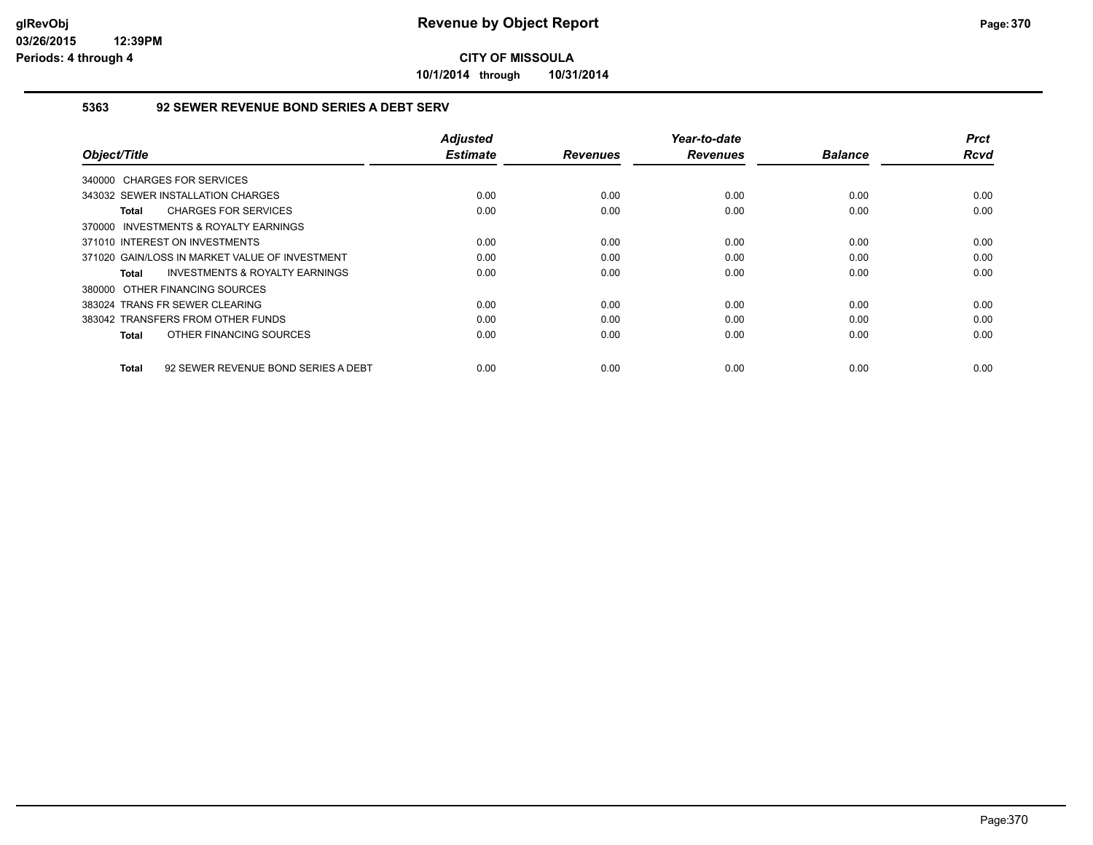**10/1/2014 through 10/31/2014**

### **5363 92 SEWER REVENUE BOND SERIES A DEBT SERV**

| Object/Title                                       | <b>Adjusted</b><br><b>Estimate</b> | <b>Revenues</b> | Year-to-date<br><b>Revenues</b> | <b>Balance</b> | <b>Prct</b><br>Rcvd |
|----------------------------------------------------|------------------------------------|-----------------|---------------------------------|----------------|---------------------|
| 340000 CHARGES FOR SERVICES                        |                                    |                 |                                 |                |                     |
| 343032 SEWER INSTALLATION CHARGES                  | 0.00                               | 0.00            | 0.00                            | 0.00           | 0.00                |
| <b>CHARGES FOR SERVICES</b><br>Total               | 0.00                               | 0.00            | 0.00                            | 0.00           | 0.00                |
| 370000 INVESTMENTS & ROYALTY EARNINGS              |                                    |                 |                                 |                |                     |
| 371010 INTEREST ON INVESTMENTS                     | 0.00                               | 0.00            | 0.00                            | 0.00           | 0.00                |
| 371020 GAIN/LOSS IN MARKET VALUE OF INVESTMENT     | 0.00                               | 0.00            | 0.00                            | 0.00           | 0.00                |
| <b>INVESTMENTS &amp; ROYALTY EARNINGS</b><br>Total | 0.00                               | 0.00            | 0.00                            | 0.00           | 0.00                |
| 380000 OTHER FINANCING SOURCES                     |                                    |                 |                                 |                |                     |
| 383024 TRANS FR SEWER CLEARING                     | 0.00                               | 0.00            | 0.00                            | 0.00           | 0.00                |
| 383042 TRANSFERS FROM OTHER FUNDS                  | 0.00                               | 0.00            | 0.00                            | 0.00           | 0.00                |
| OTHER FINANCING SOURCES<br>Total                   | 0.00                               | 0.00            | 0.00                            | 0.00           | 0.00                |
| 92 SEWER REVENUE BOND SERIES A DEBT<br>Total       | 0.00                               | 0.00            | 0.00                            | 0.00           | 0.00                |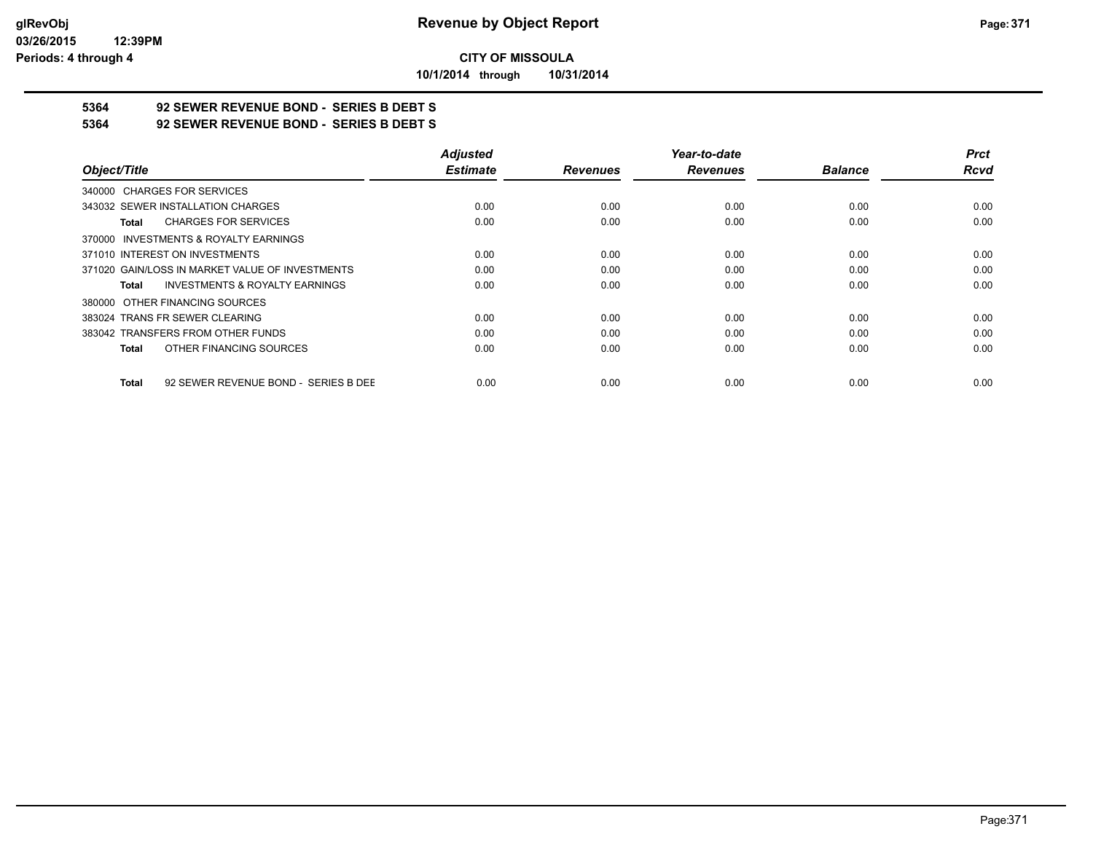**10/1/2014 through 10/31/2014**

# **5364 92 SEWER REVENUE BOND - SERIES B DEBT S**

**5364 92 SEWER REVENUE BOND - SERIES B DEBT S**

|                                                      | <b>Adjusted</b> |                 | Year-to-date    |                | <b>Prct</b> |
|------------------------------------------------------|-----------------|-----------------|-----------------|----------------|-------------|
| Object/Title                                         | <b>Estimate</b> | <b>Revenues</b> | <b>Revenues</b> | <b>Balance</b> | <b>Rcvd</b> |
| 340000 CHARGES FOR SERVICES                          |                 |                 |                 |                |             |
| 343032 SEWER INSTALLATION CHARGES                    | 0.00            | 0.00            | 0.00            | 0.00           | 0.00        |
| <b>CHARGES FOR SERVICES</b><br>Total                 | 0.00            | 0.00            | 0.00            | 0.00           | 0.00        |
| 370000 INVESTMENTS & ROYALTY EARNINGS                |                 |                 |                 |                |             |
| 371010 INTEREST ON INVESTMENTS                       | 0.00            | 0.00            | 0.00            | 0.00           | 0.00        |
| 371020 GAIN/LOSS IN MARKET VALUE OF INVESTMENTS      | 0.00            | 0.00            | 0.00            | 0.00           | 0.00        |
| <b>INVESTMENTS &amp; ROYALTY EARNINGS</b><br>Total   | 0.00            | 0.00            | 0.00            | 0.00           | 0.00        |
| 380000 OTHER FINANCING SOURCES                       |                 |                 |                 |                |             |
| 383024 TRANS FR SEWER CLEARING                       | 0.00            | 0.00            | 0.00            | 0.00           | 0.00        |
| 383042 TRANSFERS FROM OTHER FUNDS                    | 0.00            | 0.00            | 0.00            | 0.00           | 0.00        |
| OTHER FINANCING SOURCES<br><b>Total</b>              | 0.00            | 0.00            | 0.00            | 0.00           | 0.00        |
| 92 SEWER REVENUE BOND - SERIES B DEE<br><b>Total</b> | 0.00            | 0.00            | 0.00            | 0.00           | 0.00        |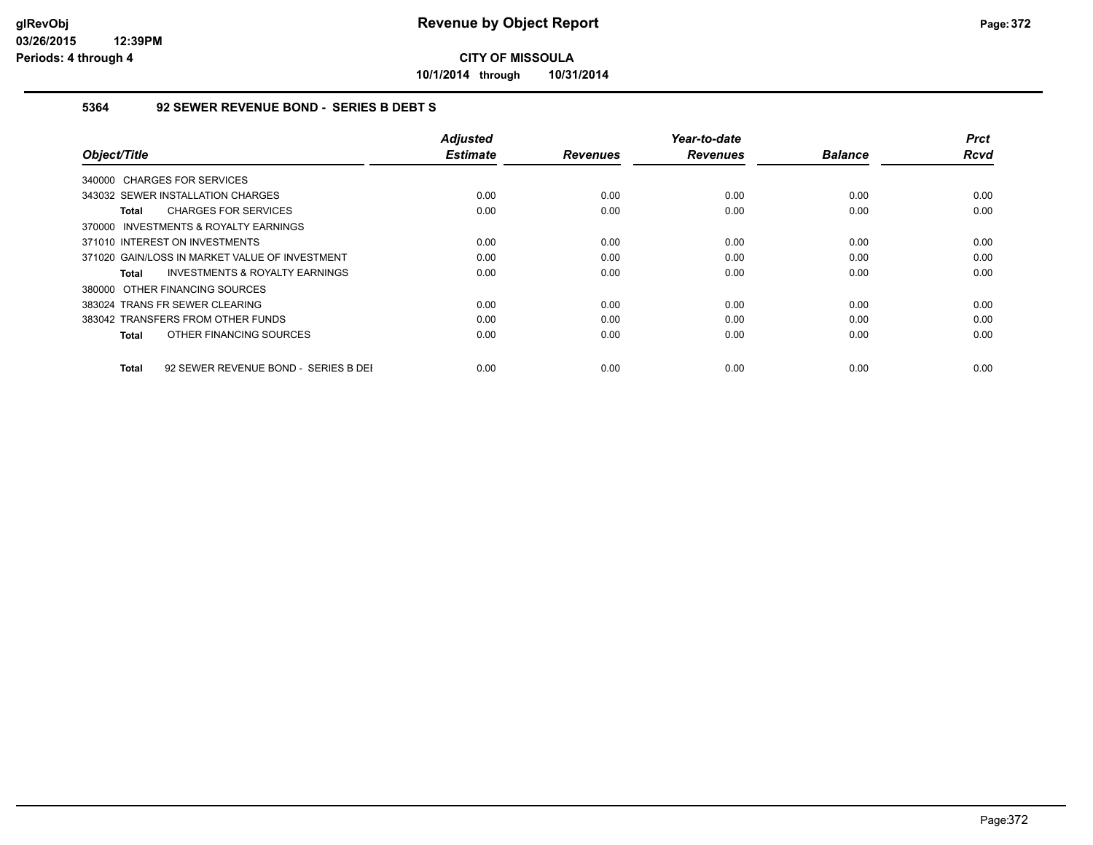**10/1/2014 through 10/31/2014**

### **5364 92 SEWER REVENUE BOND - SERIES B DEBT S**

| Object/Title                                       | <b>Adjusted</b><br><b>Estimate</b> | <b>Revenues</b> | Year-to-date<br><b>Revenues</b> | <b>Balance</b> | <b>Prct</b><br>Rcvd |
|----------------------------------------------------|------------------------------------|-----------------|---------------------------------|----------------|---------------------|
| 340000 CHARGES FOR SERVICES                        |                                    |                 |                                 |                |                     |
| 343032 SEWER INSTALLATION CHARGES                  | 0.00                               | 0.00            | 0.00                            | 0.00           | 0.00                |
| <b>CHARGES FOR SERVICES</b><br>Total               | 0.00                               | 0.00            | 0.00                            | 0.00           | 0.00                |
| 370000 INVESTMENTS & ROYALTY EARNINGS              |                                    |                 |                                 |                |                     |
| 371010 INTEREST ON INVESTMENTS                     | 0.00                               | 0.00            | 0.00                            | 0.00           | 0.00                |
| 371020 GAIN/LOSS IN MARKET VALUE OF INVESTMENT     | 0.00                               | 0.00            | 0.00                            | 0.00           | 0.00                |
| <b>INVESTMENTS &amp; ROYALTY EARNINGS</b><br>Total | 0.00                               | 0.00            | 0.00                            | 0.00           | 0.00                |
| 380000 OTHER FINANCING SOURCES                     |                                    |                 |                                 |                |                     |
| 383024 TRANS FR SEWER CLEARING                     | 0.00                               | 0.00            | 0.00                            | 0.00           | 0.00                |
| 383042 TRANSFERS FROM OTHER FUNDS                  | 0.00                               | 0.00            | 0.00                            | 0.00           | 0.00                |
| OTHER FINANCING SOURCES<br>Total                   | 0.00                               | 0.00            | 0.00                            | 0.00           | 0.00                |
|                                                    |                                    |                 |                                 |                |                     |
| 92 SEWER REVENUE BOND - SERIES B DEI<br>Total      | 0.00                               | 0.00            | 0.00                            | 0.00           | 0.00                |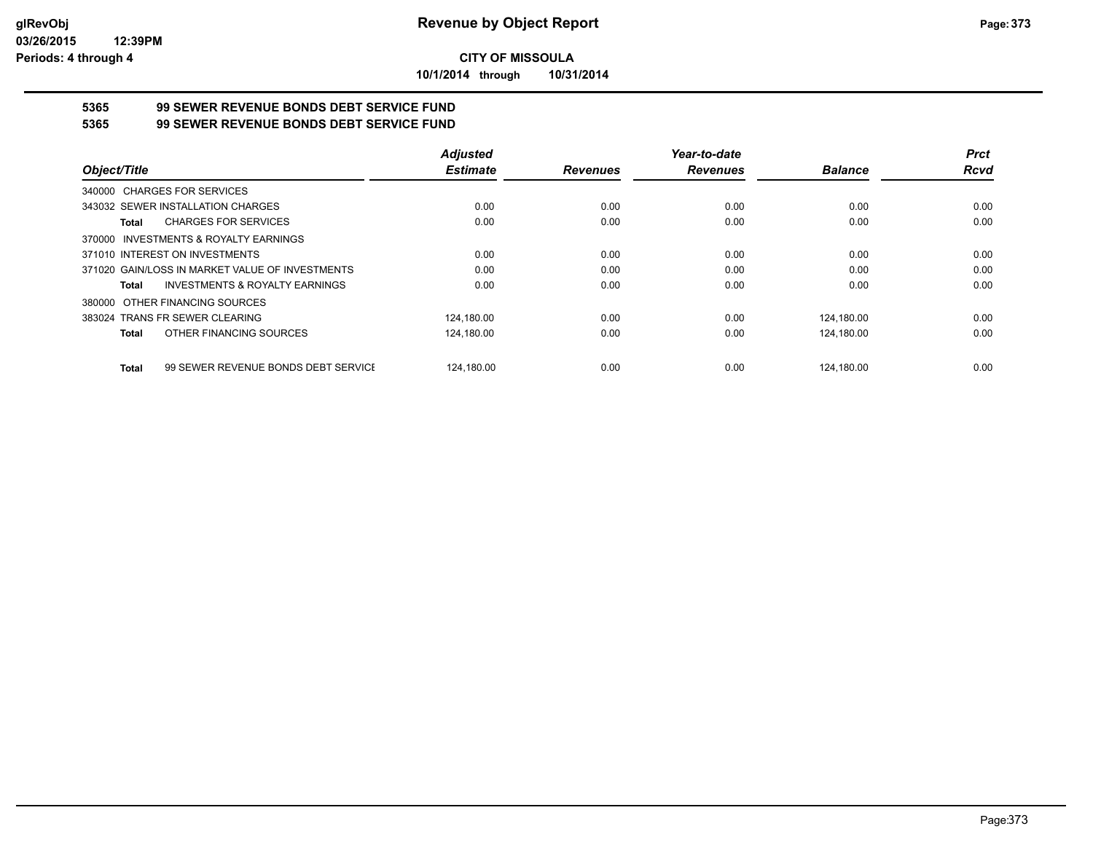**10/1/2014 through 10/31/2014**

# **5365 99 SEWER REVENUE BONDS DEBT SERVICE FUND**

**5365 99 SEWER REVENUE BONDS DEBT SERVICE FUND**

|                                                     | <b>Adjusted</b> |                 | Year-to-date    |                | <b>Prct</b> |
|-----------------------------------------------------|-----------------|-----------------|-----------------|----------------|-------------|
| Object/Title                                        | <b>Estimate</b> | <b>Revenues</b> | <b>Revenues</b> | <b>Balance</b> | <b>Rcvd</b> |
| <b>CHARGES FOR SERVICES</b><br>340000               |                 |                 |                 |                |             |
| 343032 SEWER INSTALLATION CHARGES                   | 0.00            | 0.00            | 0.00            | 0.00           | 0.00        |
| <b>CHARGES FOR SERVICES</b><br>Total                | 0.00            | 0.00            | 0.00            | 0.00           | 0.00        |
| INVESTMENTS & ROYALTY EARNINGS<br>370000            |                 |                 |                 |                |             |
| 371010 INTEREST ON INVESTMENTS                      | 0.00            | 0.00            | 0.00            | 0.00           | 0.00        |
| 371020 GAIN/LOSS IN MARKET VALUE OF INVESTMENTS     | 0.00            | 0.00            | 0.00            | 0.00           | 0.00        |
| <b>INVESTMENTS &amp; ROYALTY EARNINGS</b><br>Total  | 0.00            | 0.00            | 0.00            | 0.00           | 0.00        |
| OTHER FINANCING SOURCES<br>380000                   |                 |                 |                 |                |             |
| 383024 TRANS FR SEWER CLEARING                      | 124,180.00      | 0.00            | 0.00            | 124,180.00     | 0.00        |
| OTHER FINANCING SOURCES<br>Total                    | 124,180.00      | 0.00            | 0.00            | 124.180.00     | 0.00        |
| 99 SEWER REVENUE BONDS DEBT SERVICE<br><b>Total</b> | 124.180.00      | 0.00            | 0.00            | 124.180.00     | 0.00        |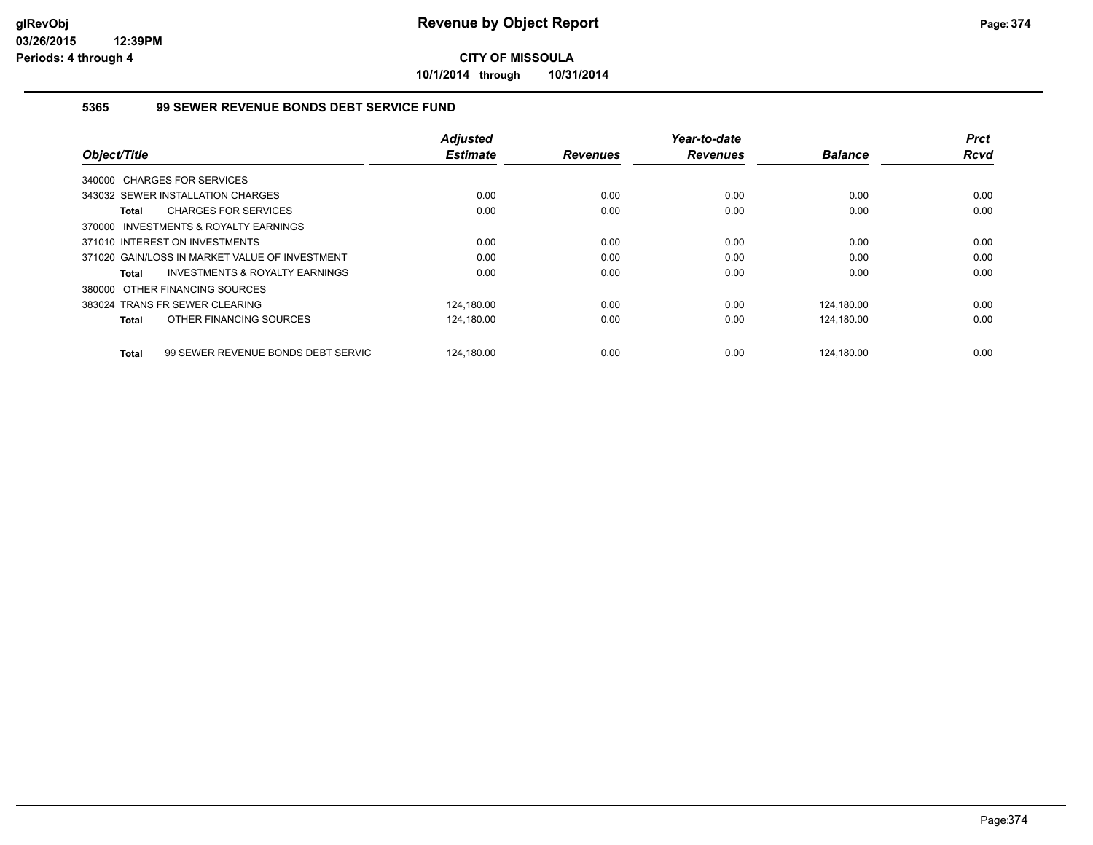**10/1/2014 through 10/31/2014**

### **5365 99 SEWER REVENUE BONDS DEBT SERVICE FUND**

|                                                           | <b>Adjusted</b> |                 | Year-to-date    |                | <b>Prct</b> |
|-----------------------------------------------------------|-----------------|-----------------|-----------------|----------------|-------------|
| Object/Title                                              | <b>Estimate</b> | <b>Revenues</b> | <b>Revenues</b> | <b>Balance</b> | <b>Rcvd</b> |
| 340000 CHARGES FOR SERVICES                               |                 |                 |                 |                |             |
| 343032 SEWER INSTALLATION CHARGES                         | 0.00            | 0.00            | 0.00            | 0.00           | 0.00        |
| <b>CHARGES FOR SERVICES</b><br><b>Total</b>               | 0.00            | 0.00            | 0.00            | 0.00           | 0.00        |
| INVESTMENTS & ROYALTY EARNINGS<br>370000                  |                 |                 |                 |                |             |
| 371010 INTEREST ON INVESTMENTS                            | 0.00            | 0.00            | 0.00            | 0.00           | 0.00        |
| 371020 GAIN/LOSS IN MARKET VALUE OF INVESTMENT            | 0.00            | 0.00            | 0.00            | 0.00           | 0.00        |
| <b>INVESTMENTS &amp; ROYALTY EARNINGS</b><br><b>Total</b> | 0.00            | 0.00            | 0.00            | 0.00           | 0.00        |
| 380000 OTHER FINANCING SOURCES                            |                 |                 |                 |                |             |
| 383024 TRANS FR SEWER CLEARING                            | 124,180.00      | 0.00            | 0.00            | 124,180.00     | 0.00        |
| OTHER FINANCING SOURCES<br><b>Total</b>                   | 124,180.00      | 0.00            | 0.00            | 124,180.00     | 0.00        |
| 99 SEWER REVENUE BONDS DEBT SERVIC<br><b>Total</b>        | 124.180.00      | 0.00            | 0.00            | 124.180.00     | 0.00        |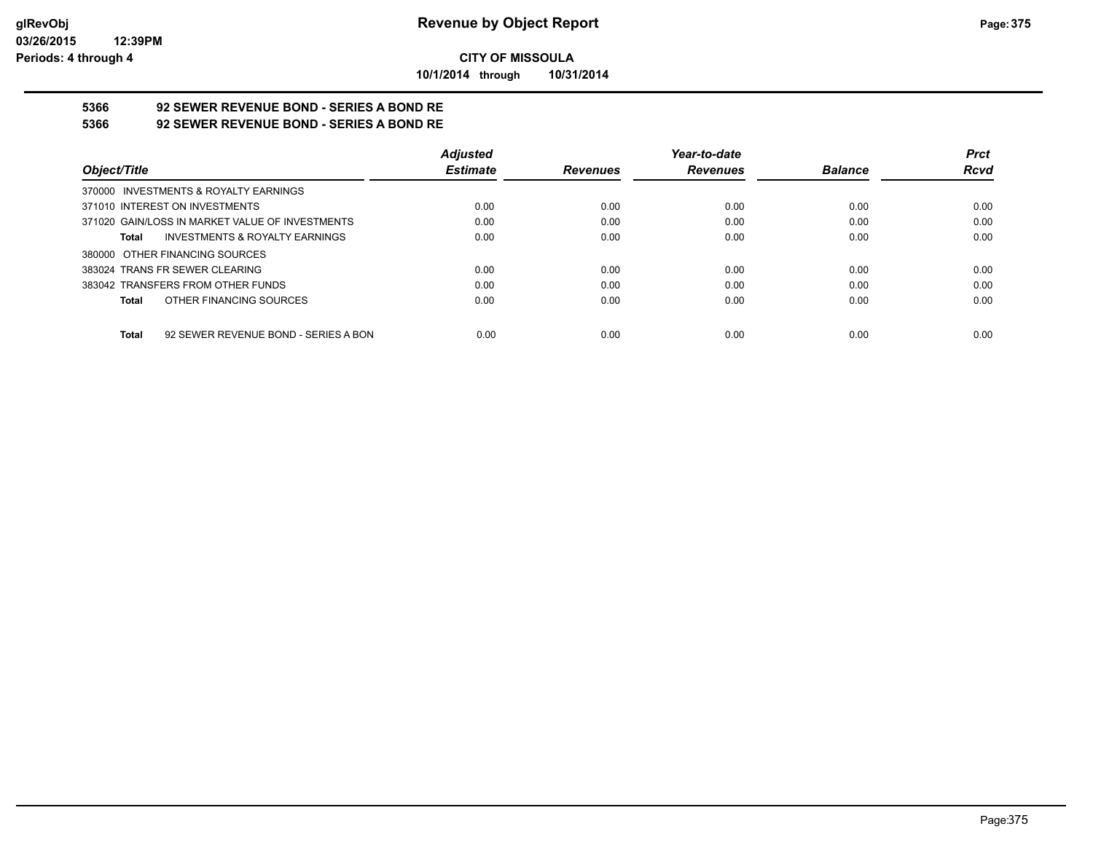**10/1/2014 through 10/31/2014**

# **5366 92 SEWER REVENUE BOND - SERIES A BOND RE**

**5366 92 SEWER REVENUE BOND - SERIES A BOND RE**

|                                                 | <b>Adjusted</b> |                 | Year-to-date    |                | <b>Prct</b> |
|-------------------------------------------------|-----------------|-----------------|-----------------|----------------|-------------|
| Object/Title                                    | <b>Estimate</b> | <b>Revenues</b> | <b>Revenues</b> | <b>Balance</b> | <b>Rcvd</b> |
| 370000 INVESTMENTS & ROYALTY EARNINGS           |                 |                 |                 |                |             |
| 371010 INTEREST ON INVESTMENTS                  | 0.00            | 0.00            | 0.00            | 0.00           | 0.00        |
| 371020 GAIN/LOSS IN MARKET VALUE OF INVESTMENTS | 0.00            | 0.00            | 0.00            | 0.00           | 0.00        |
| INVESTMENTS & ROYALTY EARNINGS<br>Total         | 0.00            | 0.00            | 0.00            | 0.00           | 0.00        |
| 380000 OTHER FINANCING SOURCES                  |                 |                 |                 |                |             |
| 383024 TRANS FR SEWER CLEARING                  | 0.00            | 0.00            | 0.00            | 0.00           | 0.00        |
| 383042 TRANSFERS FROM OTHER FUNDS               | 0.00            | 0.00            | 0.00            | 0.00           | 0.00        |
| OTHER FINANCING SOURCES<br>Total                | 0.00            | 0.00            | 0.00            | 0.00           | 0.00        |
|                                                 |                 |                 |                 |                |             |
| 92 SEWER REVENUE BOND - SERIES A BON<br>Total   | 0.00            | 0.00            | 0.00            | 0.00           | 0.00        |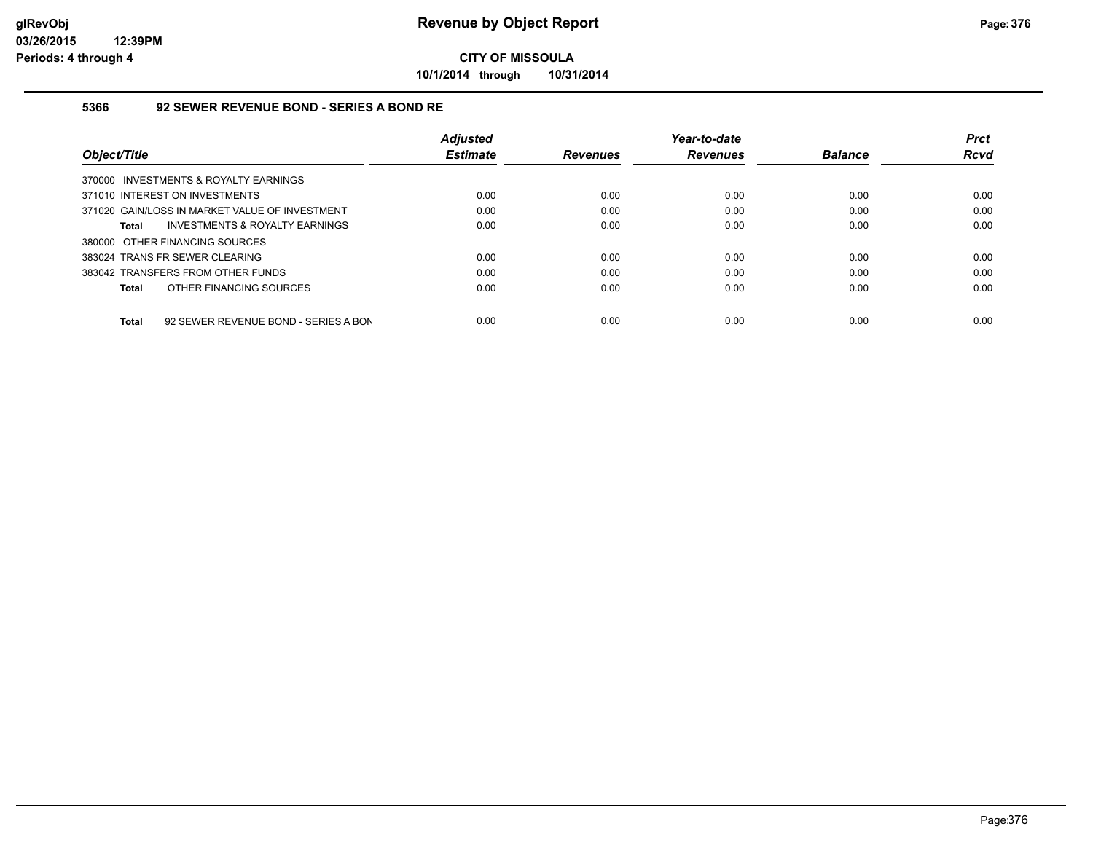**10/1/2014 through 10/31/2014**

### **5366 92 SEWER REVENUE BOND - SERIES A BOND RE**

|                                                      | <b>Adiusted</b> |                 | Year-to-date    |                | <b>Prct</b> |
|------------------------------------------------------|-----------------|-----------------|-----------------|----------------|-------------|
| Object/Title                                         | <b>Estimate</b> | <b>Revenues</b> | <b>Revenues</b> | <b>Balance</b> | <b>Rcvd</b> |
| 370000 INVESTMENTS & ROYALTY EARNINGS                |                 |                 |                 |                |             |
| 371010 INTEREST ON INVESTMENTS                       | 0.00            | 0.00            | 0.00            | 0.00           | 0.00        |
| 371020 GAIN/LOSS IN MARKET VALUE OF INVESTMENT       | 0.00            | 0.00            | 0.00            | 0.00           | 0.00        |
| INVESTMENTS & ROYALTY EARNINGS<br><b>Total</b>       | 0.00            | 0.00            | 0.00            | 0.00           | 0.00        |
| 380000 OTHER FINANCING SOURCES                       |                 |                 |                 |                |             |
| 383024 TRANS FR SEWER CLEARING                       | 0.00            | 0.00            | 0.00            | 0.00           | 0.00        |
| 383042 TRANSFERS FROM OTHER FUNDS                    | 0.00            | 0.00            | 0.00            | 0.00           | 0.00        |
| OTHER FINANCING SOURCES<br><b>Total</b>              | 0.00            | 0.00            | 0.00            | 0.00           | 0.00        |
|                                                      |                 |                 |                 |                |             |
| 92 SEWER REVENUE BOND - SERIES A BON<br><b>Total</b> | 0.00            | 0.00            | 0.00            | 0.00           | 0.00        |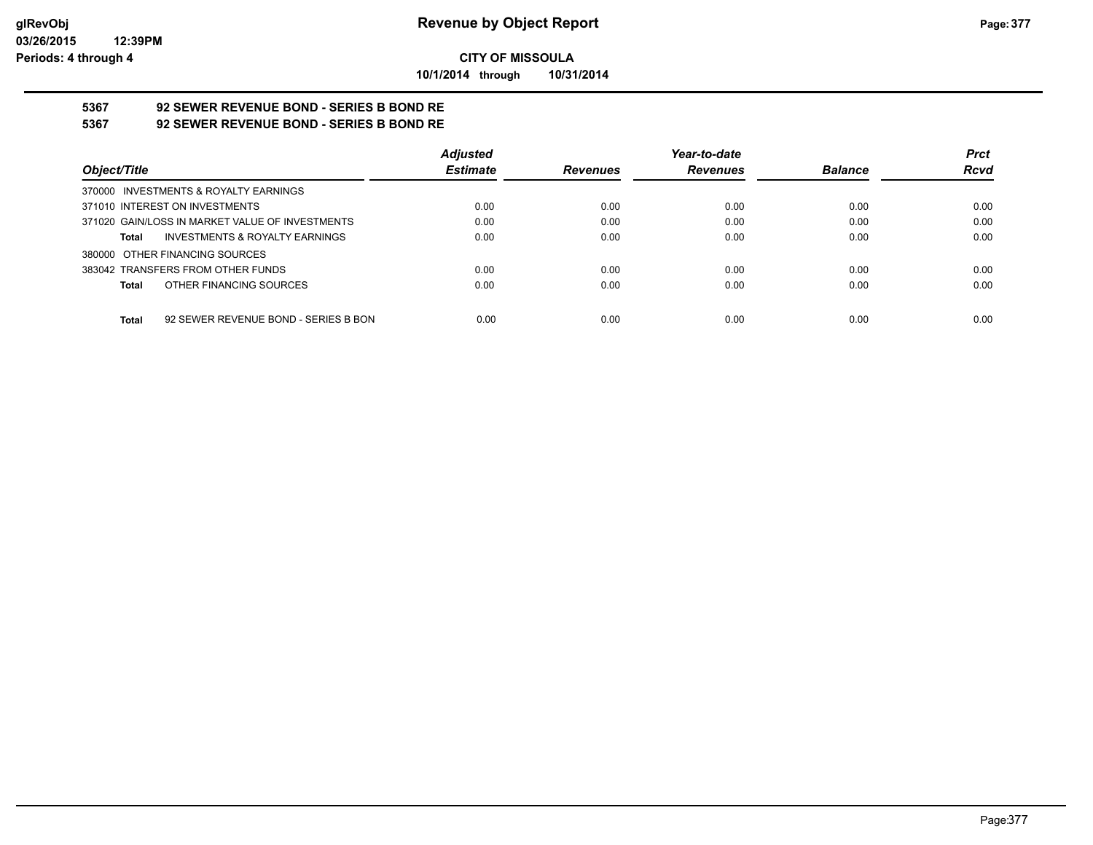**10/1/2014 through 10/31/2014**

# **5367 92 SEWER REVENUE BOND - SERIES B BOND RE**

**5367 92 SEWER REVENUE BOND - SERIES B BOND RE**

|                                                 | <b>Adjusted</b> |                 | Year-to-date    |                | <b>Prct</b> |
|-------------------------------------------------|-----------------|-----------------|-----------------|----------------|-------------|
| Object/Title                                    | <b>Estimate</b> | <b>Revenues</b> | <b>Revenues</b> | <b>Balance</b> | <b>Rcvd</b> |
| 370000 INVESTMENTS & ROYALTY EARNINGS           |                 |                 |                 |                |             |
| 371010 INTEREST ON INVESTMENTS                  | 0.00            | 0.00            | 0.00            | 0.00           | 0.00        |
| 371020 GAIN/LOSS IN MARKET VALUE OF INVESTMENTS | 0.00            | 0.00            | 0.00            | 0.00           | 0.00        |
| INVESTMENTS & ROYALTY EARNINGS<br>Total         | 0.00            | 0.00            | 0.00            | 0.00           | 0.00        |
| 380000 OTHER FINANCING SOURCES                  |                 |                 |                 |                |             |
| 383042 TRANSFERS FROM OTHER FUNDS               | 0.00            | 0.00            | 0.00            | 0.00           | 0.00        |
| OTHER FINANCING SOURCES<br>Total                | 0.00            | 0.00            | 0.00            | 0.00           | 0.00        |
|                                                 |                 |                 |                 |                |             |
| 92 SEWER REVENUE BOND - SERIES B BON<br>Total   | 0.00            | 0.00            | 0.00            | 0.00           | 0.00        |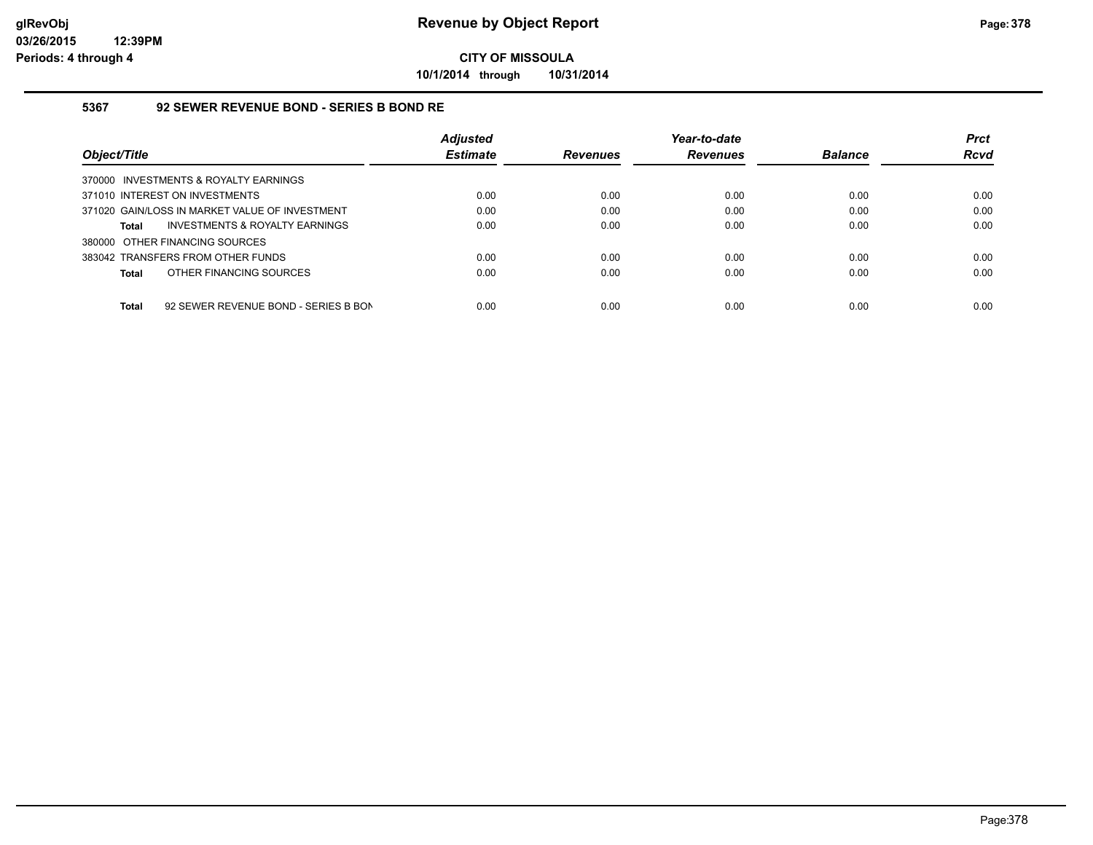**10/1/2014 through 10/31/2014**

### **5367 92 SEWER REVENUE BOND - SERIES B BOND RE**

|                                                      | <b>Adjusted</b> |                 | Year-to-date    |                | <b>Prct</b> |
|------------------------------------------------------|-----------------|-----------------|-----------------|----------------|-------------|
| Object/Title                                         | <b>Estimate</b> | <b>Revenues</b> | <b>Revenues</b> | <b>Balance</b> | <b>Rcvd</b> |
| 370000 INVESTMENTS & ROYALTY EARNINGS                |                 |                 |                 |                |             |
| 371010 INTEREST ON INVESTMENTS                       | 0.00            | 0.00            | 0.00            | 0.00           | 0.00        |
| 371020 GAIN/LOSS IN MARKET VALUE OF INVESTMENT       | 0.00            | 0.00            | 0.00            | 0.00           | 0.00        |
| INVESTMENTS & ROYALTY EARNINGS<br><b>Total</b>       | 0.00            | 0.00            | 0.00            | 0.00           | 0.00        |
| 380000 OTHER FINANCING SOURCES                       |                 |                 |                 |                |             |
| 383042 TRANSFERS FROM OTHER FUNDS                    | 0.00            | 0.00            | 0.00            | 0.00           | 0.00        |
| OTHER FINANCING SOURCES<br><b>Total</b>              | 0.00            | 0.00            | 0.00            | 0.00           | 0.00        |
|                                                      |                 |                 |                 |                |             |
| <b>Total</b><br>92 SEWER REVENUE BOND - SERIES B BON | 0.00            | 0.00            | 0.00            | 0.00           | 0.00        |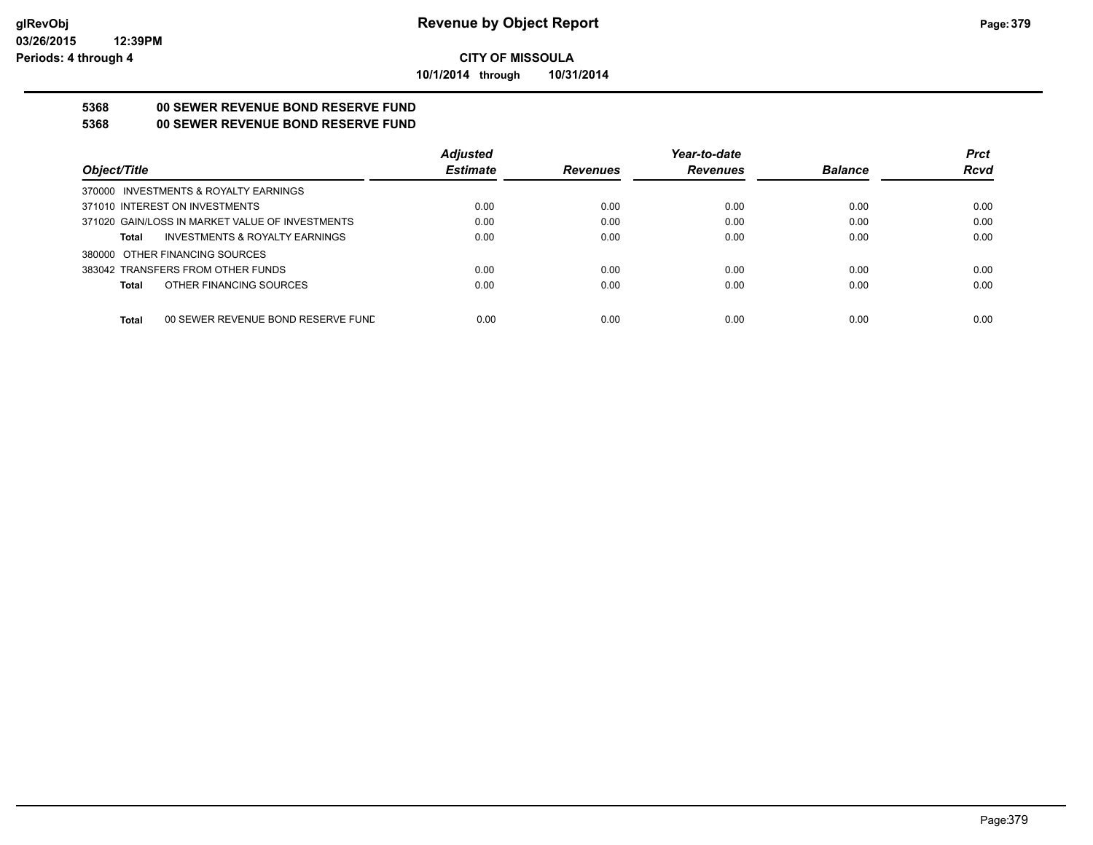**10/1/2014 through 10/31/2014**

## **5368 00 SEWER REVENUE BOND RESERVE FUND**

## **5368 00 SEWER REVENUE BOND RESERVE FUND**

|                                                    | <b>Adjusted</b> |                 | Year-to-date    |                | <b>Prct</b> |
|----------------------------------------------------|-----------------|-----------------|-----------------|----------------|-------------|
| Obiect/Title                                       | <b>Estimate</b> | <b>Revenues</b> | <b>Revenues</b> | <b>Balance</b> | <b>Rcvd</b> |
| 370000 INVESTMENTS & ROYALTY EARNINGS              |                 |                 |                 |                |             |
| 371010 INTEREST ON INVESTMENTS                     | 0.00            | 0.00            | 0.00            | 0.00           | 0.00        |
| 371020 GAIN/LOSS IN MARKET VALUE OF INVESTMENTS    | 0.00            | 0.00            | 0.00            | 0.00           | 0.00        |
| <b>INVESTMENTS &amp; ROYALTY EARNINGS</b><br>Total | 0.00            | 0.00            | 0.00            | 0.00           | 0.00        |
| 380000 OTHER FINANCING SOURCES                     |                 |                 |                 |                |             |
| 383042 TRANSFERS FROM OTHER FUNDS                  | 0.00            | 0.00            | 0.00            | 0.00           | 0.00        |
| OTHER FINANCING SOURCES<br>Total                   | 0.00            | 0.00            | 0.00            | 0.00           | 0.00        |
|                                                    |                 |                 |                 |                |             |
| <b>Total</b><br>00 SEWER REVENUE BOND RESERVE FUND | 0.00            | 0.00            | 0.00            | 0.00           | 0.00        |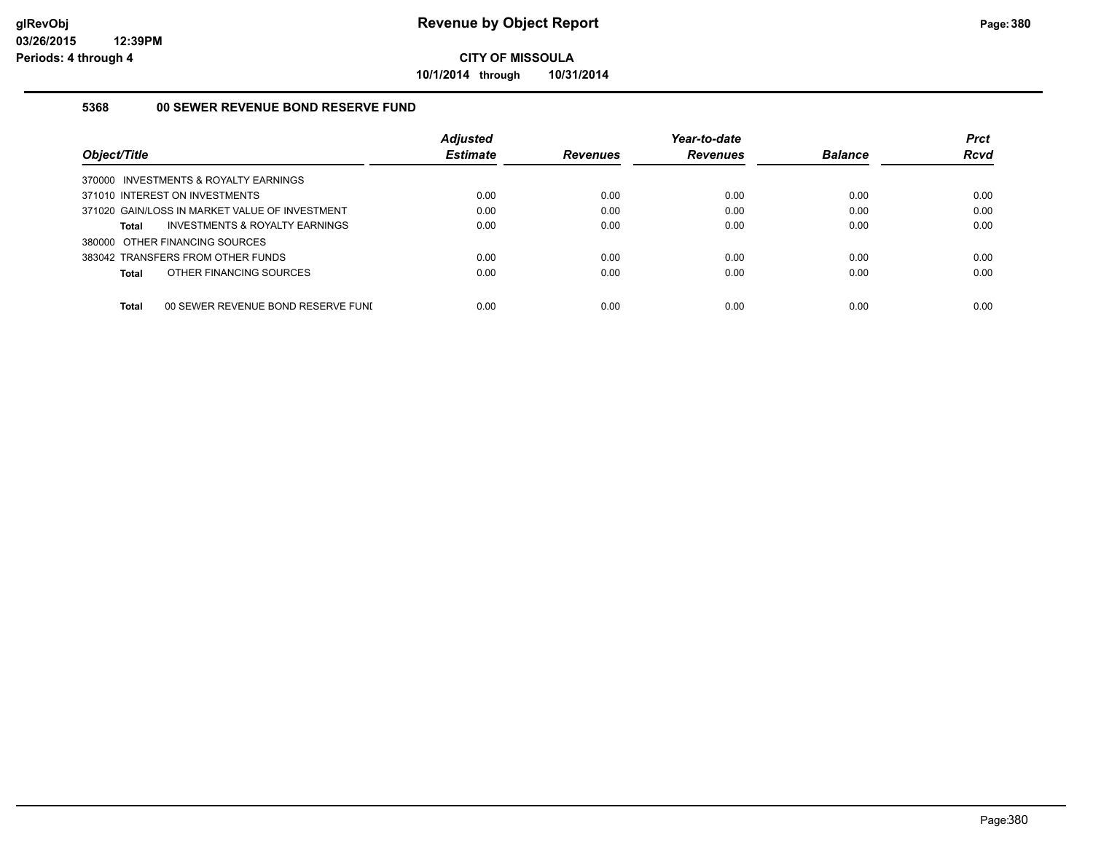**10/1/2014 through 10/31/2014**

### **5368 00 SEWER REVENUE BOND RESERVE FUND**

|                                                | <b>Adjusted</b> |                 | Year-to-date    |                | <b>Prct</b> |
|------------------------------------------------|-----------------|-----------------|-----------------|----------------|-------------|
| Object/Title                                   | <b>Estimate</b> | <b>Revenues</b> | <b>Revenues</b> | <b>Balance</b> | Rcvd        |
| 370000 INVESTMENTS & ROYALTY EARNINGS          |                 |                 |                 |                |             |
| 371010 INTEREST ON INVESTMENTS                 | 0.00            | 0.00            | 0.00            | 0.00           | 0.00        |
| 371020 GAIN/LOSS IN MARKET VALUE OF INVESTMENT | 0.00            | 0.00            | 0.00            | 0.00           | 0.00        |
| INVESTMENTS & ROYALTY EARNINGS<br>Total        | 0.00            | 0.00            | 0.00            | 0.00           | 0.00        |
| 380000 OTHER FINANCING SOURCES                 |                 |                 |                 |                |             |
| 383042 TRANSFERS FROM OTHER FUNDS              | 0.00            | 0.00            | 0.00            | 0.00           | 0.00        |
| OTHER FINANCING SOURCES<br>Total               | 0.00            | 0.00            | 0.00            | 0.00           | 0.00        |
|                                                |                 |                 |                 |                |             |
| Total<br>00 SEWER REVENUE BOND RESERVE FUNI    | 0.00            | 0.00            | 0.00            | 0.00           | 0.00        |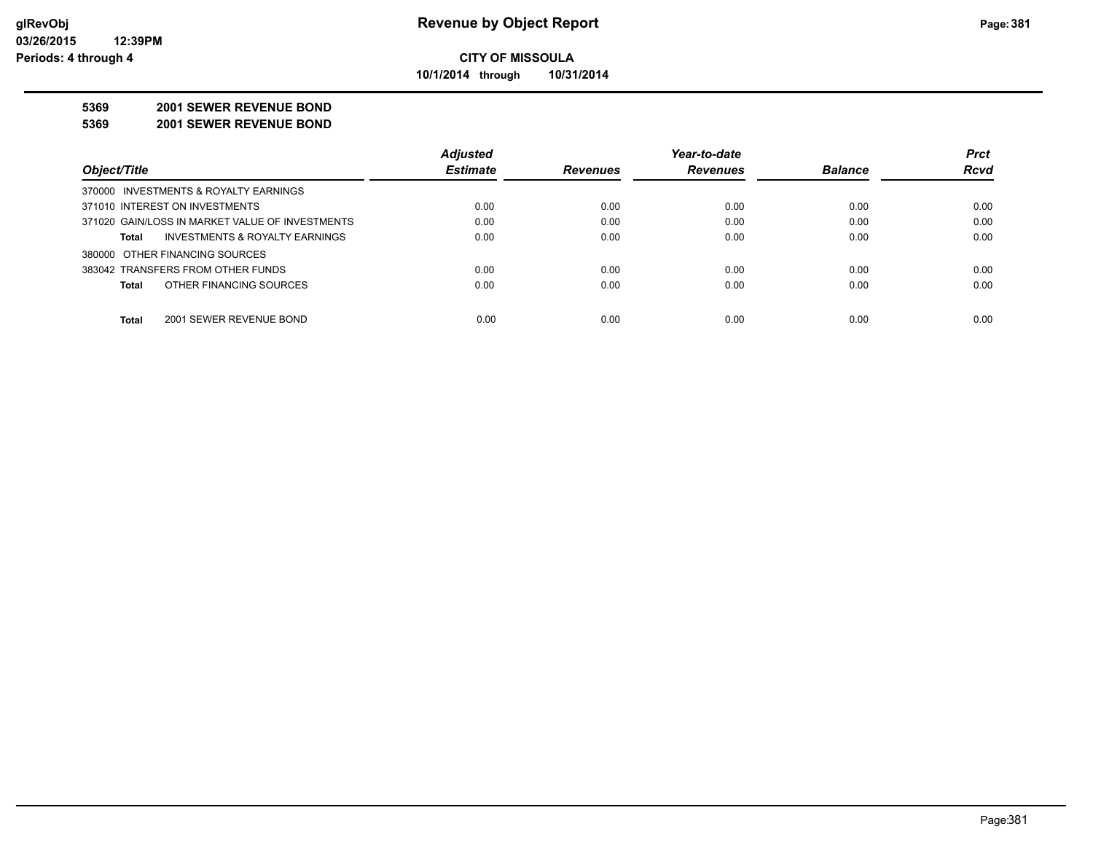**10/1/2014 through 10/31/2014**

#### **5369 2001 SEWER REVENUE BOND**

**5369 2001 SEWER REVENUE BOND**

|                                                 | <b>Adjusted</b> |                 | Year-to-date    |                | <b>Prct</b> |
|-------------------------------------------------|-----------------|-----------------|-----------------|----------------|-------------|
| Object/Title                                    | <b>Estimate</b> | <b>Revenues</b> | <b>Revenues</b> | <b>Balance</b> | <b>Rcvd</b> |
| 370000 INVESTMENTS & ROYALTY EARNINGS           |                 |                 |                 |                |             |
| 371010 INTEREST ON INVESTMENTS                  | 0.00            | 0.00            | 0.00            | 0.00           | 0.00        |
| 371020 GAIN/LOSS IN MARKET VALUE OF INVESTMENTS | 0.00            | 0.00            | 0.00            | 0.00           | 0.00        |
| INVESTMENTS & ROYALTY EARNINGS<br>Total         | 0.00            | 0.00            | 0.00            | 0.00           | 0.00        |
| 380000 OTHER FINANCING SOURCES                  |                 |                 |                 |                |             |
| 383042 TRANSFERS FROM OTHER FUNDS               | 0.00            | 0.00            | 0.00            | 0.00           | 0.00        |
| OTHER FINANCING SOURCES<br><b>Total</b>         | 0.00            | 0.00            | 0.00            | 0.00           | 0.00        |
|                                                 |                 |                 |                 |                |             |
| <b>Total</b><br>2001 SEWER REVENUE BOND         | 0.00            | 0.00            | 0.00            | 0.00           | 0.00        |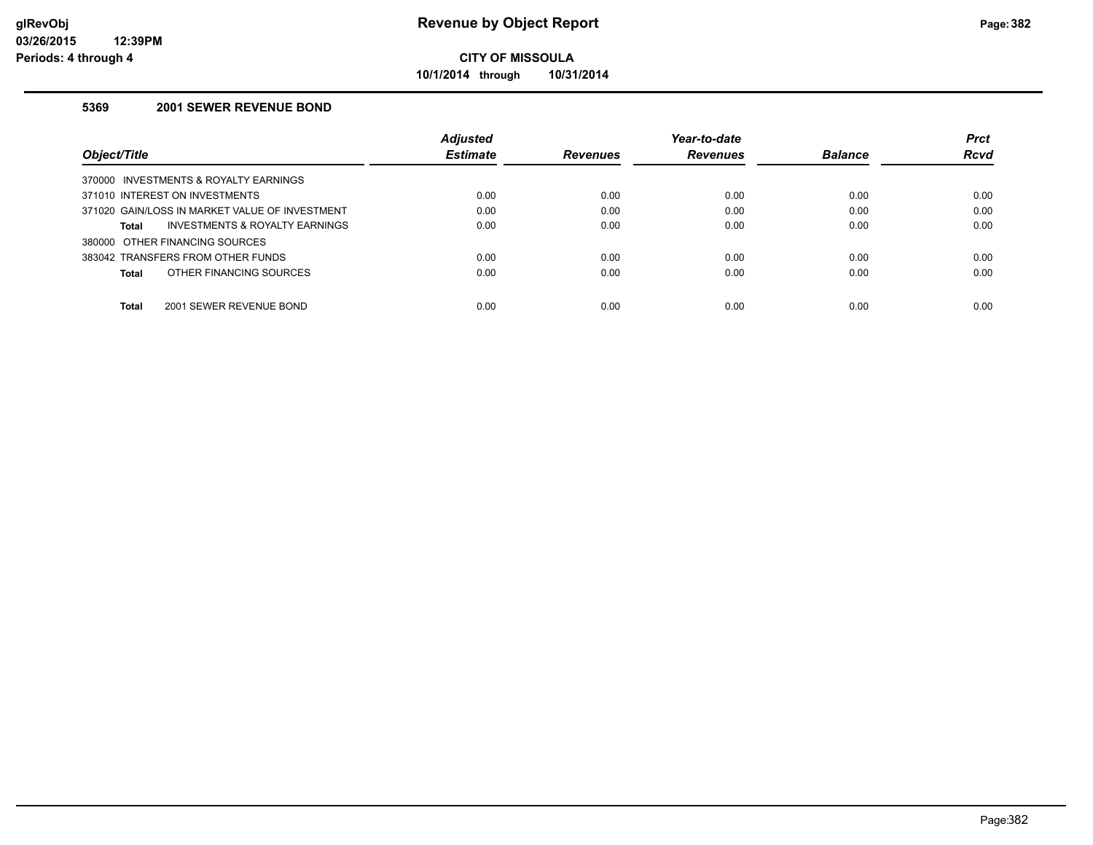**10/1/2014 through 10/31/2014**

### **5369 2001 SEWER REVENUE BOND**

|                                                    | <b>Adjusted</b> |                 | Year-to-date    |                | <b>Prct</b> |
|----------------------------------------------------|-----------------|-----------------|-----------------|----------------|-------------|
| Object/Title                                       | <b>Estimate</b> | <b>Revenues</b> | <b>Revenues</b> | <b>Balance</b> | Rcvd        |
| 370000 INVESTMENTS & ROYALTY EARNINGS              |                 |                 |                 |                |             |
| 371010 INTEREST ON INVESTMENTS                     | 0.00            | 0.00            | 0.00            | 0.00           | 0.00        |
| 371020 GAIN/LOSS IN MARKET VALUE OF INVESTMENT     | 0.00            | 0.00            | 0.00            | 0.00           | 0.00        |
| <b>INVESTMENTS &amp; ROYALTY EARNINGS</b><br>Total | 0.00            | 0.00            | 0.00            | 0.00           | 0.00        |
| 380000 OTHER FINANCING SOURCES                     |                 |                 |                 |                |             |
| 383042 TRANSFERS FROM OTHER FUNDS                  | 0.00            | 0.00            | 0.00            | 0.00           | 0.00        |
| OTHER FINANCING SOURCES<br>Total                   | 0.00            | 0.00            | 0.00            | 0.00           | 0.00        |
| <b>Total</b><br>2001 SEWER REVENUE BOND            | 0.00            | 0.00            | 0.00            | 0.00           | 0.00        |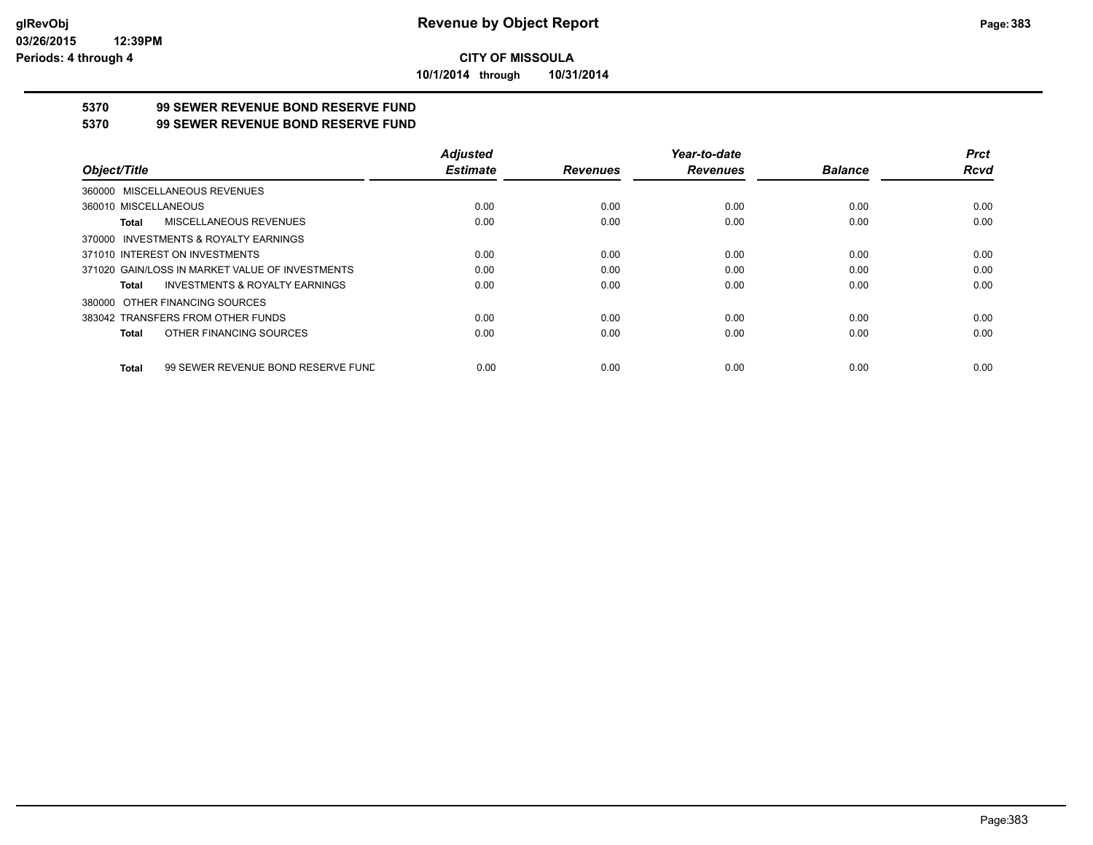**10/1/2014 through 10/31/2014**

## **5370 99 SEWER REVENUE BOND RESERVE FUND**

### **5370 99 SEWER REVENUE BOND RESERVE FUND**

|                                                    | <b>Adjusted</b> |                 | Year-to-date    |                | <b>Prct</b> |
|----------------------------------------------------|-----------------|-----------------|-----------------|----------------|-------------|
| Object/Title                                       | <b>Estimate</b> | <b>Revenues</b> | <b>Revenues</b> | <b>Balance</b> | <b>Rcvd</b> |
| 360000 MISCELLANEOUS REVENUES                      |                 |                 |                 |                |             |
| 360010 MISCELLANEOUS                               | 0.00            | 0.00            | 0.00            | 0.00           | 0.00        |
| MISCELLANEOUS REVENUES<br>Total                    | 0.00            | 0.00            | 0.00            | 0.00           | 0.00        |
| 370000 INVESTMENTS & ROYALTY EARNINGS              |                 |                 |                 |                |             |
| 371010 INTEREST ON INVESTMENTS                     | 0.00            | 0.00            | 0.00            | 0.00           | 0.00        |
| 371020 GAIN/LOSS IN MARKET VALUE OF INVESTMENTS    | 0.00            | 0.00            | 0.00            | 0.00           | 0.00        |
| <b>INVESTMENTS &amp; ROYALTY EARNINGS</b><br>Total | 0.00            | 0.00            | 0.00            | 0.00           | 0.00        |
| 380000 OTHER FINANCING SOURCES                     |                 |                 |                 |                |             |
| 383042 TRANSFERS FROM OTHER FUNDS                  | 0.00            | 0.00            | 0.00            | 0.00           | 0.00        |
| OTHER FINANCING SOURCES<br>Total                   | 0.00            | 0.00            | 0.00            | 0.00           | 0.00        |
| 99 SEWER REVENUE BOND RESERVE FUND<br>Total        | 0.00            | 0.00            | 0.00            | 0.00           | 0.00        |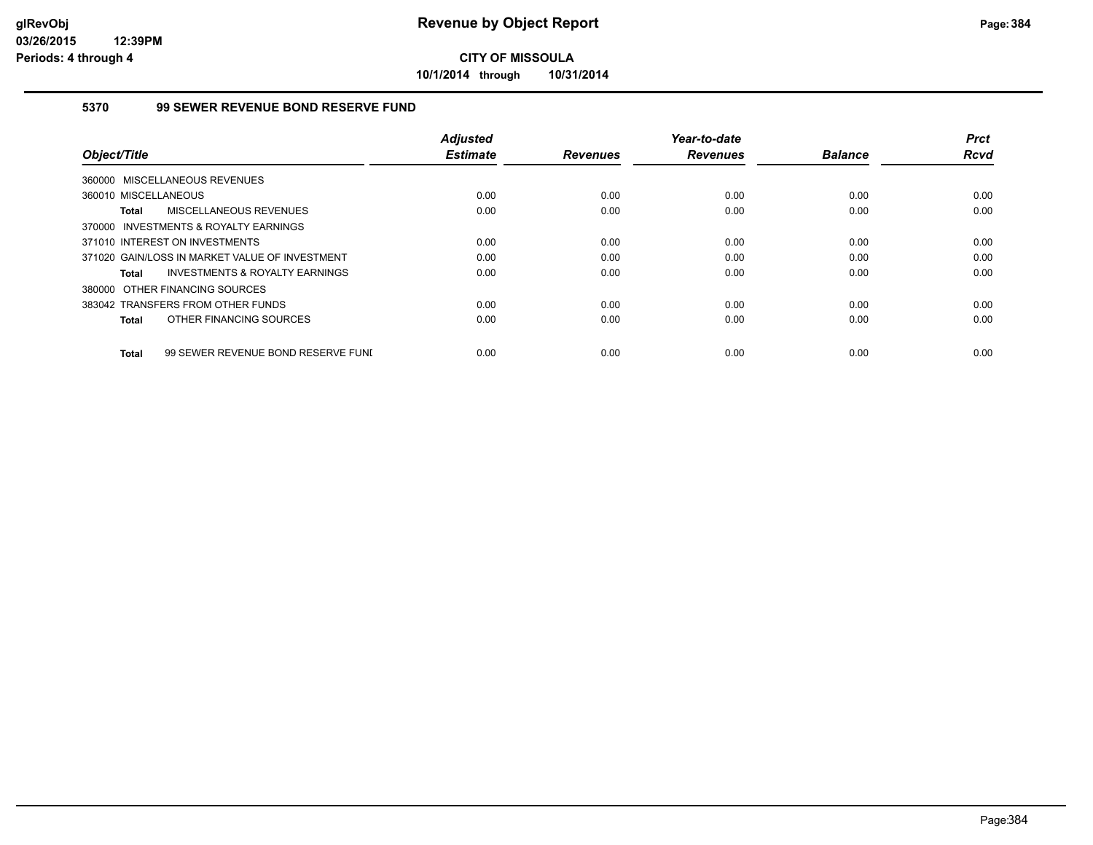**10/1/2014 through 10/31/2014**

### **5370 99 SEWER REVENUE BOND RESERVE FUND**

|                                                    | <b>Adjusted</b> |                 | Year-to-date    |                | <b>Prct</b> |
|----------------------------------------------------|-----------------|-----------------|-----------------|----------------|-------------|
| Object/Title                                       | <b>Estimate</b> | <b>Revenues</b> | <b>Revenues</b> | <b>Balance</b> | <b>Rcvd</b> |
| 360000 MISCELLANEOUS REVENUES                      |                 |                 |                 |                |             |
| 360010 MISCELLANEOUS                               | 0.00            | 0.00            | 0.00            | 0.00           | 0.00        |
| MISCELLANEOUS REVENUES<br>Total                    | 0.00            | 0.00            | 0.00            | 0.00           | 0.00        |
| 370000 INVESTMENTS & ROYALTY EARNINGS              |                 |                 |                 |                |             |
| 371010 INTEREST ON INVESTMENTS                     | 0.00            | 0.00            | 0.00            | 0.00           | 0.00        |
| 371020 GAIN/LOSS IN MARKET VALUE OF INVESTMENT     | 0.00            | 0.00            | 0.00            | 0.00           | 0.00        |
| <b>INVESTMENTS &amp; ROYALTY EARNINGS</b><br>Total | 0.00            | 0.00            | 0.00            | 0.00           | 0.00        |
| 380000 OTHER FINANCING SOURCES                     |                 |                 |                 |                |             |
| 383042 TRANSFERS FROM OTHER FUNDS                  | 0.00            | 0.00            | 0.00            | 0.00           | 0.00        |
| OTHER FINANCING SOURCES<br>Total                   | 0.00            | 0.00            | 0.00            | 0.00           | 0.00        |
|                                                    |                 |                 |                 |                |             |
| 99 SEWER REVENUE BOND RESERVE FUNI<br>Total        | 0.00            | 0.00            | 0.00            | 0.00           | 0.00        |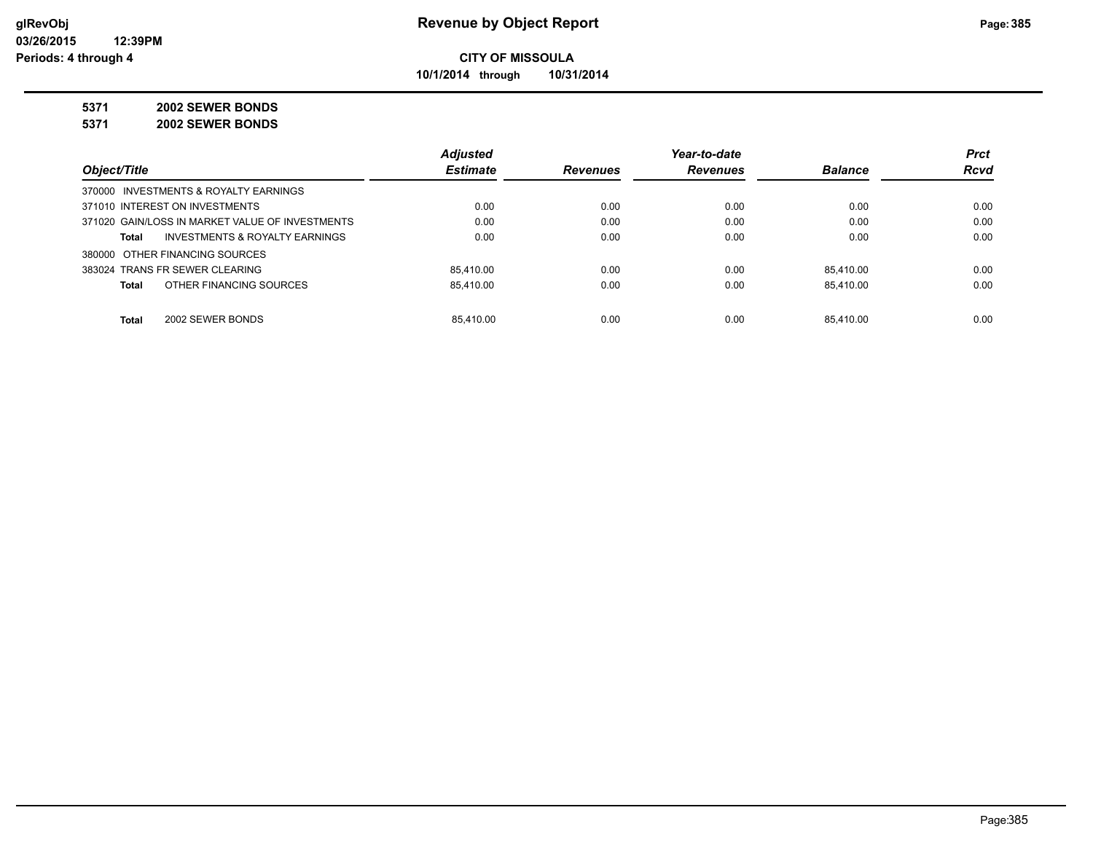**10/1/2014 through 10/31/2014**

## **5371 2002 SEWER BONDS**

**5371 2002 SEWER BONDS**

|                                                 | <b>Adjusted</b> |                 | Year-to-date    |                | <b>Prct</b> |
|-------------------------------------------------|-----------------|-----------------|-----------------|----------------|-------------|
| Object/Title                                    | <b>Estimate</b> | <b>Revenues</b> | <b>Revenues</b> | <b>Balance</b> | <b>Rcvd</b> |
| 370000 INVESTMENTS & ROYALTY EARNINGS           |                 |                 |                 |                |             |
| 371010 INTEREST ON INVESTMENTS                  | 0.00            | 0.00            | 0.00            | 0.00           | 0.00        |
| 371020 GAIN/LOSS IN MARKET VALUE OF INVESTMENTS | 0.00            | 0.00            | 0.00            | 0.00           | 0.00        |
| INVESTMENTS & ROYALTY EARNINGS<br><b>Total</b>  | 0.00            | 0.00            | 0.00            | 0.00           | 0.00        |
| 380000 OTHER FINANCING SOURCES                  |                 |                 |                 |                |             |
| 383024 TRANS FR SEWER CLEARING                  | 85.410.00       | 0.00            | 0.00            | 85.410.00      | 0.00        |
| OTHER FINANCING SOURCES<br><b>Total</b>         | 85.410.00       | 0.00            | 0.00            | 85.410.00      | 0.00        |
|                                                 |                 |                 |                 |                |             |
| <b>Total</b><br>2002 SEWER BONDS                | 85.410.00       | 0.00            | 0.00            | 85.410.00      | 0.00        |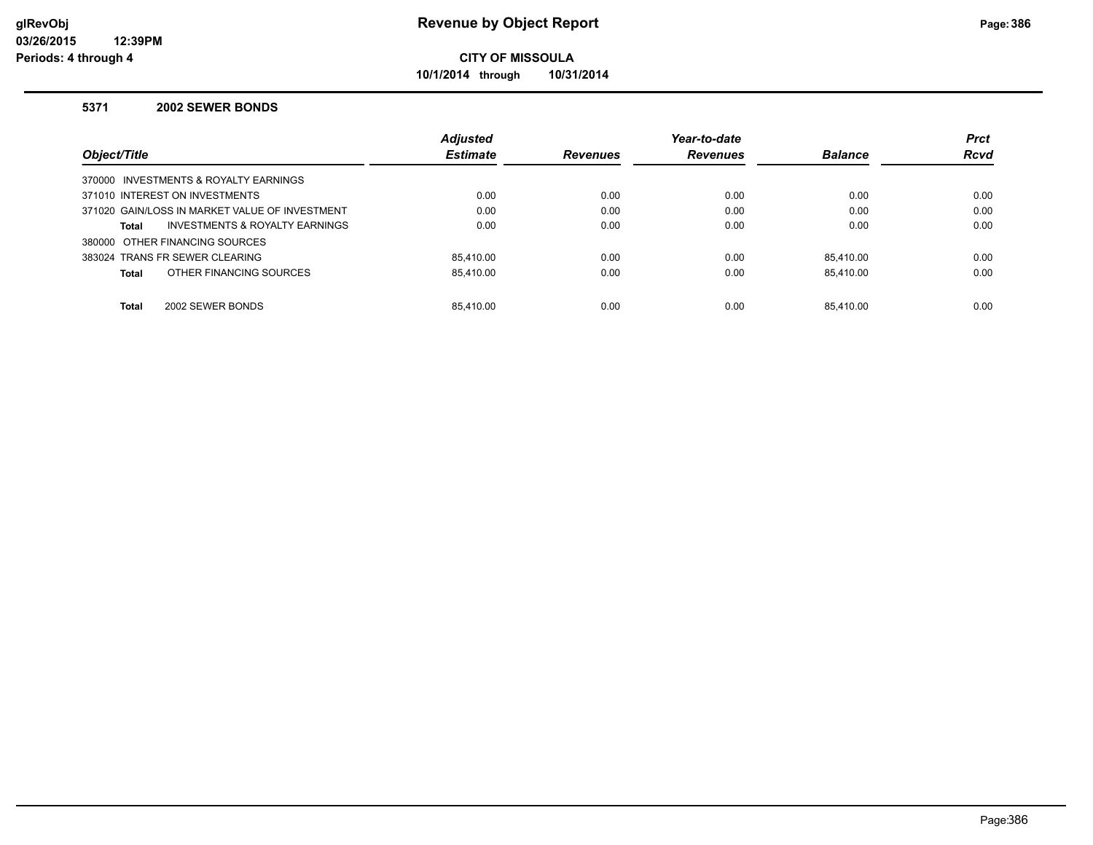**10/1/2014 through 10/31/2014**

#### **5371 2002 SEWER BONDS**

|                                                | <b>Adjusted</b> |                 | Year-to-date    |                | <b>Prct</b> |
|------------------------------------------------|-----------------|-----------------|-----------------|----------------|-------------|
| Object/Title                                   | <b>Estimate</b> | <b>Revenues</b> | <b>Revenues</b> | <b>Balance</b> | <b>Rcvd</b> |
| 370000 INVESTMENTS & ROYALTY EARNINGS          |                 |                 |                 |                |             |
| 371010 INTEREST ON INVESTMENTS                 | 0.00            | 0.00            | 0.00            | 0.00           | 0.00        |
| 371020 GAIN/LOSS IN MARKET VALUE OF INVESTMENT | 0.00            | 0.00            | 0.00            | 0.00           | 0.00        |
| INVESTMENTS & ROYALTY EARNINGS<br>Total        | 0.00            | 0.00            | 0.00            | 0.00           | 0.00        |
| 380000 OTHER FINANCING SOURCES                 |                 |                 |                 |                |             |
| 383024 TRANS FR SEWER CLEARING                 | 85.410.00       | 0.00            | 0.00            | 85.410.00      | 0.00        |
| OTHER FINANCING SOURCES<br><b>Total</b>        | 85.410.00       | 0.00            | 0.00            | 85.410.00      | 0.00        |
|                                                |                 |                 |                 |                |             |
| 2002 SEWER BONDS<br><b>Total</b>               | 85.410.00       | 0.00            | 0.00            | 85.410.00      | 0.00        |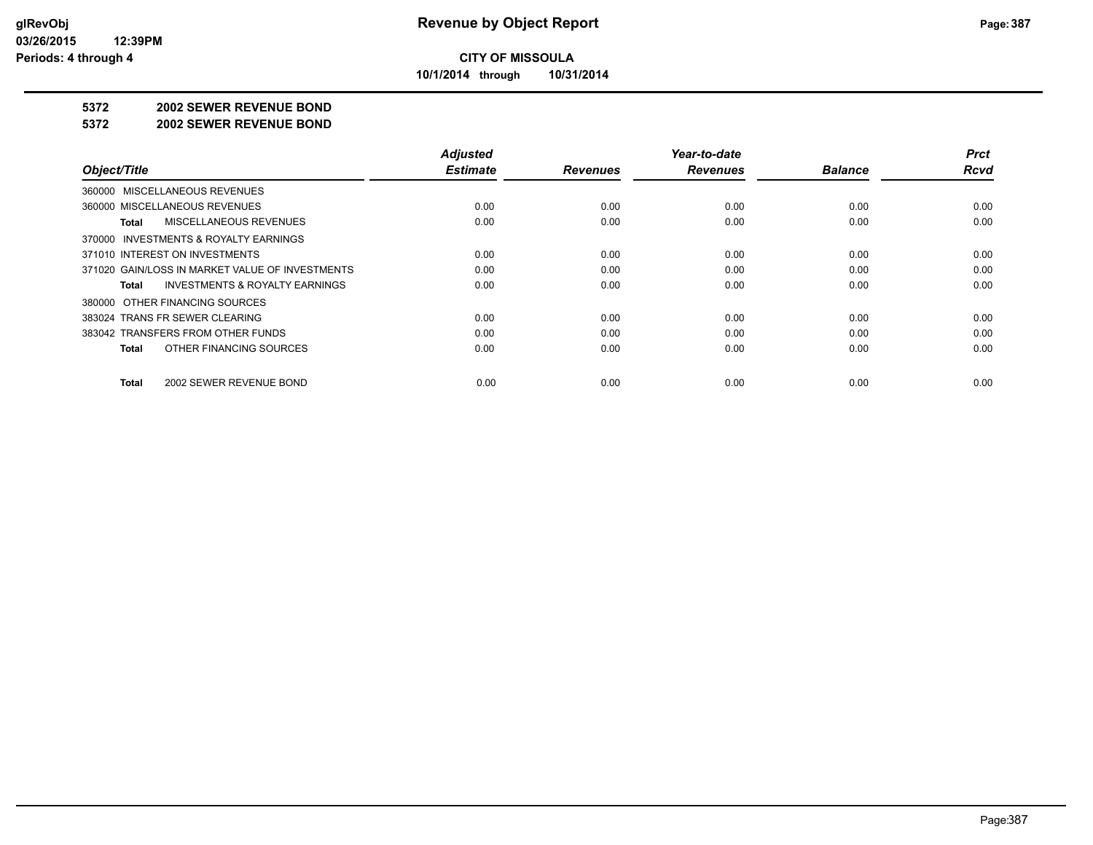**10/1/2014 through 10/31/2014**

#### **5372 2002 SEWER REVENUE BOND**

#### **5372 2002 SEWER REVENUE BOND**

|                                                    | <b>Adjusted</b> |                 | Year-to-date    |                | <b>Prct</b> |
|----------------------------------------------------|-----------------|-----------------|-----------------|----------------|-------------|
| Object/Title                                       | <b>Estimate</b> | <b>Revenues</b> | <b>Revenues</b> | <b>Balance</b> | <b>Rcvd</b> |
| 360000 MISCELLANEOUS REVENUES                      |                 |                 |                 |                |             |
| 360000 MISCELLANEOUS REVENUES                      | 0.00            | 0.00            | 0.00            | 0.00           | 0.00        |
| MISCELLANEOUS REVENUES<br>Total                    | 0.00            | 0.00            | 0.00            | 0.00           | 0.00        |
| 370000 INVESTMENTS & ROYALTY EARNINGS              |                 |                 |                 |                |             |
| 371010 INTEREST ON INVESTMENTS                     | 0.00            | 0.00            | 0.00            | 0.00           | 0.00        |
| 371020 GAIN/LOSS IN MARKET VALUE OF INVESTMENTS    | 0.00            | 0.00            | 0.00            | 0.00           | 0.00        |
| <b>INVESTMENTS &amp; ROYALTY EARNINGS</b><br>Total | 0.00            | 0.00            | 0.00            | 0.00           | 0.00        |
| 380000 OTHER FINANCING SOURCES                     |                 |                 |                 |                |             |
| 383024 TRANS FR SEWER CLEARING                     | 0.00            | 0.00            | 0.00            | 0.00           | 0.00        |
| 383042 TRANSFERS FROM OTHER FUNDS                  | 0.00            | 0.00            | 0.00            | 0.00           | 0.00        |
| OTHER FINANCING SOURCES<br>Total                   | 0.00            | 0.00            | 0.00            | 0.00           | 0.00        |
| 2002 SEWER REVENUE BOND<br>Total                   | 0.00            | 0.00            | 0.00            | 0.00           | 0.00        |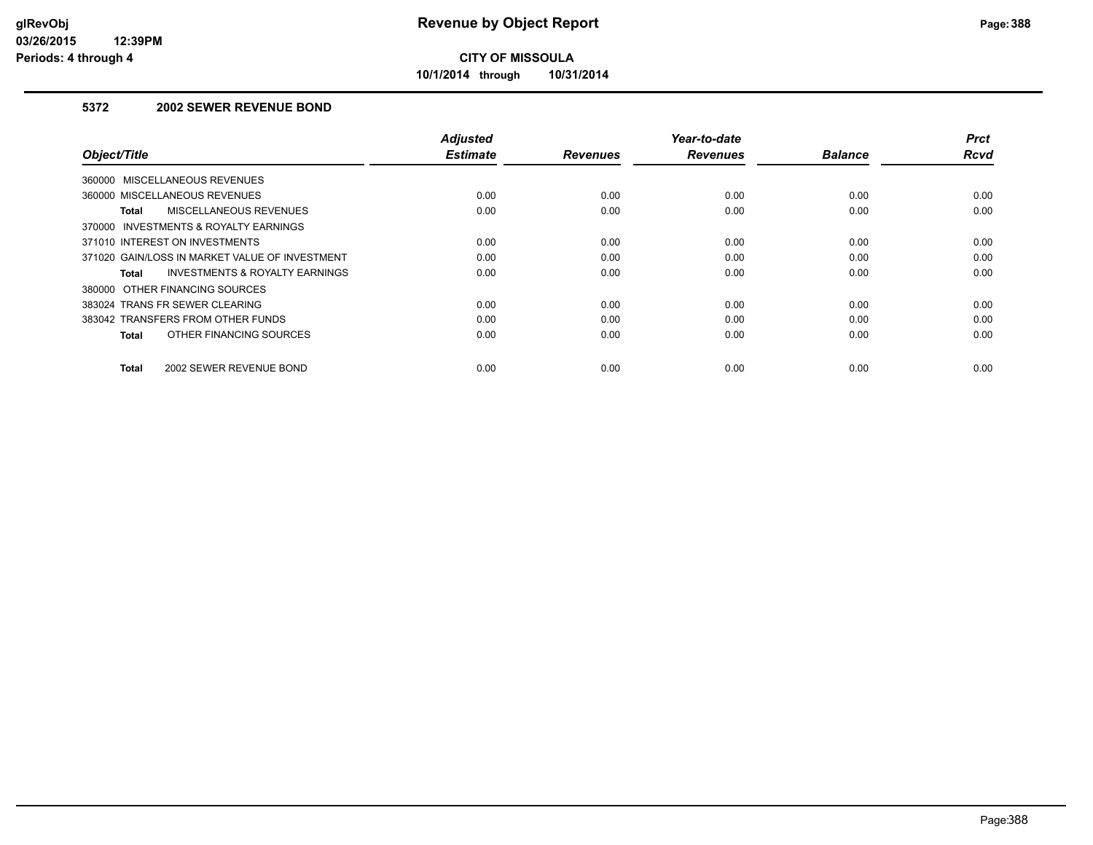**10/1/2014 through 10/31/2014**

## **5372 2002 SEWER REVENUE BOND**

| Object/Title                                   | <b>Adjusted</b><br><b>Estimate</b> | <b>Revenues</b> | Year-to-date<br><b>Revenues</b> | <b>Balance</b> | <b>Prct</b><br>Rcvd |
|------------------------------------------------|------------------------------------|-----------------|---------------------------------|----------------|---------------------|
| 360000 MISCELLANEOUS REVENUES                  |                                    |                 |                                 |                |                     |
| 360000 MISCELLANEOUS REVENUES                  | 0.00                               | 0.00            | 0.00                            | 0.00           | 0.00                |
| MISCELLANEOUS REVENUES<br>Total                | 0.00                               | 0.00            | 0.00                            | 0.00           | 0.00                |
| 370000 INVESTMENTS & ROYALTY EARNINGS          |                                    |                 |                                 |                |                     |
| 371010 INTEREST ON INVESTMENTS                 | 0.00                               | 0.00            | 0.00                            | 0.00           | 0.00                |
| 371020 GAIN/LOSS IN MARKET VALUE OF INVESTMENT | 0.00                               | 0.00            | 0.00                            | 0.00           | 0.00                |
| INVESTMENTS & ROYALTY EARNINGS<br>Total        | 0.00                               | 0.00            | 0.00                            | 0.00           | 0.00                |
| 380000 OTHER FINANCING SOURCES                 |                                    |                 |                                 |                |                     |
| 383024 TRANS FR SEWER CLEARING                 | 0.00                               | 0.00            | 0.00                            | 0.00           | 0.00                |
| 383042 TRANSFERS FROM OTHER FUNDS              | 0.00                               | 0.00            | 0.00                            | 0.00           | 0.00                |
| OTHER FINANCING SOURCES<br><b>Total</b>        | 0.00                               | 0.00            | 0.00                            | 0.00           | 0.00                |
| 2002 SEWER REVENUE BOND<br><b>Total</b>        | 0.00                               | 0.00            | 0.00                            | 0.00           | 0.00                |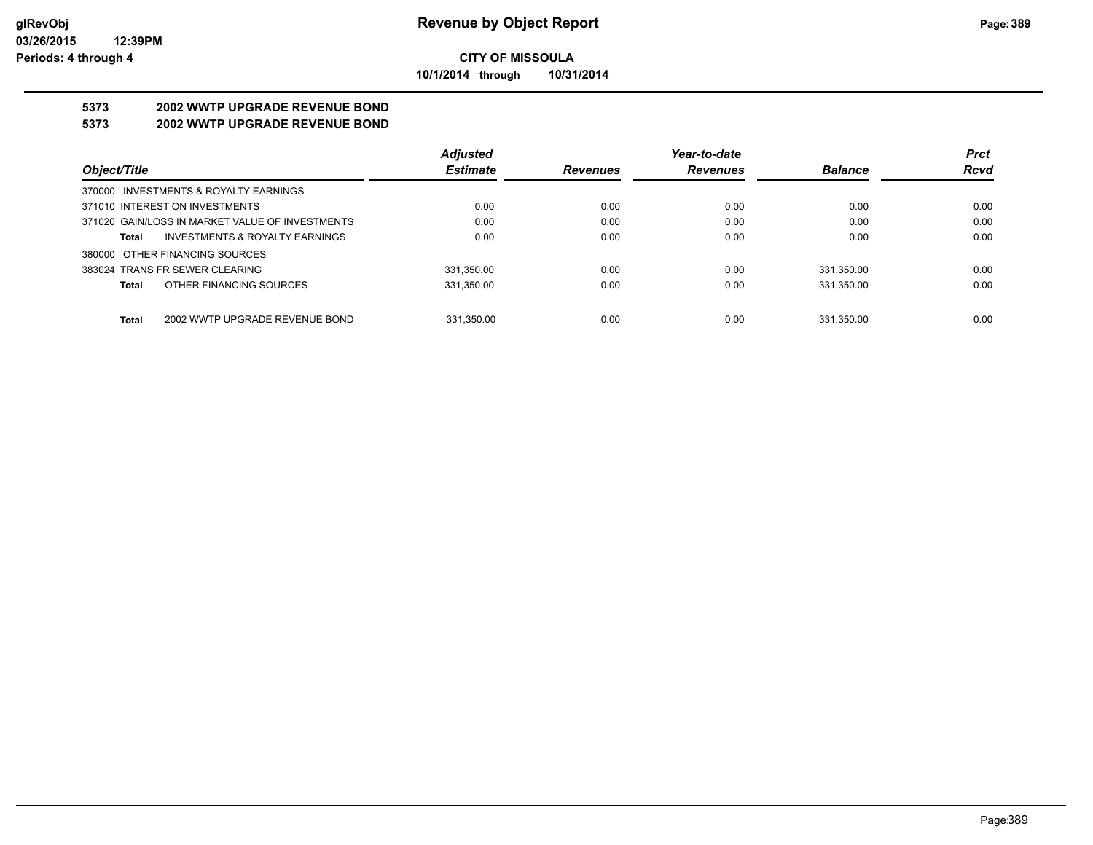**10/1/2014 through 10/31/2014**

## **5373 2002 WWTP UPGRADE REVENUE BOND**

## **5373 2002 WWTP UPGRADE REVENUE BOND**

|                                                 | <b>Adjusted</b> |                 | Year-to-date    |                | <b>Prct</b> |
|-------------------------------------------------|-----------------|-----------------|-----------------|----------------|-------------|
| Object/Title                                    | <b>Estimate</b> | <b>Revenues</b> | <b>Revenues</b> | <b>Balance</b> | <b>Rcvd</b> |
| 370000 INVESTMENTS & ROYALTY EARNINGS           |                 |                 |                 |                |             |
| 371010 INTEREST ON INVESTMENTS                  | 0.00            | 0.00            | 0.00            | 0.00           | 0.00        |
| 371020 GAIN/LOSS IN MARKET VALUE OF INVESTMENTS | 0.00            | 0.00            | 0.00            | 0.00           | 0.00        |
| INVESTMENTS & ROYALTY EARNINGS<br>Total         | 0.00            | 0.00            | 0.00            | 0.00           | 0.00        |
| 380000 OTHER FINANCING SOURCES                  |                 |                 |                 |                |             |
| 383024 TRANS FR SEWER CLEARING                  | 331.350.00      | 0.00            | 0.00            | 331.350.00     | 0.00        |
| OTHER FINANCING SOURCES<br><b>Total</b>         | 331,350.00      | 0.00            | 0.00            | 331,350.00     | 0.00        |
|                                                 |                 |                 |                 |                |             |
| <b>Total</b><br>2002 WWTP UPGRADE REVENUE BOND  | 331.350.00      | 0.00            | 0.00            | 331.350.00     | 0.00        |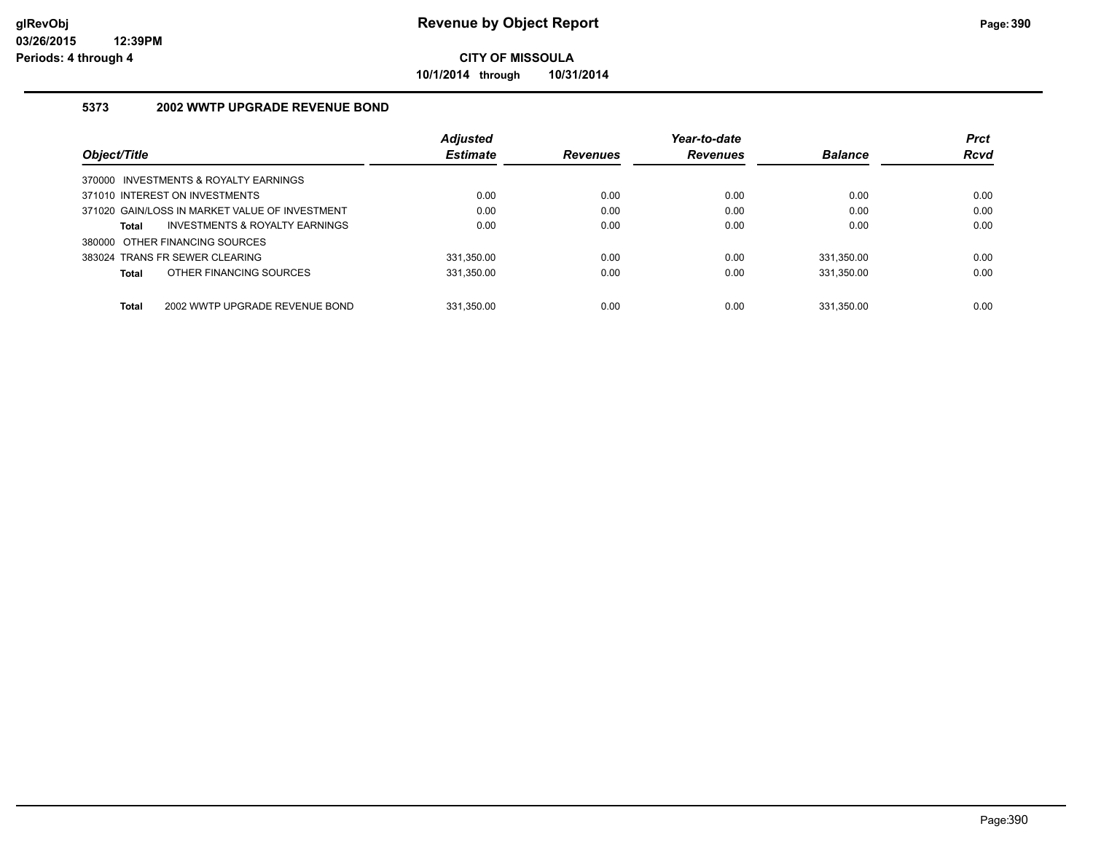**10/1/2014 through 10/31/2014**

### **5373 2002 WWTP UPGRADE REVENUE BOND**

|                                                | <b>Adjusted</b> |                 | Year-to-date    |                | <b>Prct</b> |
|------------------------------------------------|-----------------|-----------------|-----------------|----------------|-------------|
| Object/Title                                   | <b>Estimate</b> | <b>Revenues</b> | <b>Revenues</b> | <b>Balance</b> | <b>Rcvd</b> |
| 370000 INVESTMENTS & ROYALTY EARNINGS          |                 |                 |                 |                |             |
| 371010 INTEREST ON INVESTMENTS                 | 0.00            | 0.00            | 0.00            | 0.00           | 0.00        |
| 371020 GAIN/LOSS IN MARKET VALUE OF INVESTMENT | 0.00            | 0.00            | 0.00            | 0.00           | 0.00        |
| INVESTMENTS & ROYALTY EARNINGS<br>Total        | 0.00            | 0.00            | 0.00            | 0.00           | 0.00        |
| 380000 OTHER FINANCING SOURCES                 |                 |                 |                 |                |             |
| 383024 TRANS FR SEWER CLEARING                 | 331.350.00      | 0.00            | 0.00            | 331.350.00     | 0.00        |
| OTHER FINANCING SOURCES<br><b>Total</b>        | 331.350.00      | 0.00            | 0.00            | 331.350.00     | 0.00        |
|                                                |                 |                 |                 |                |             |
| <b>Total</b><br>2002 WWTP UPGRADE REVENUE BOND | 331.350.00      | 0.00            | 0.00            | 331.350.00     | 0.00        |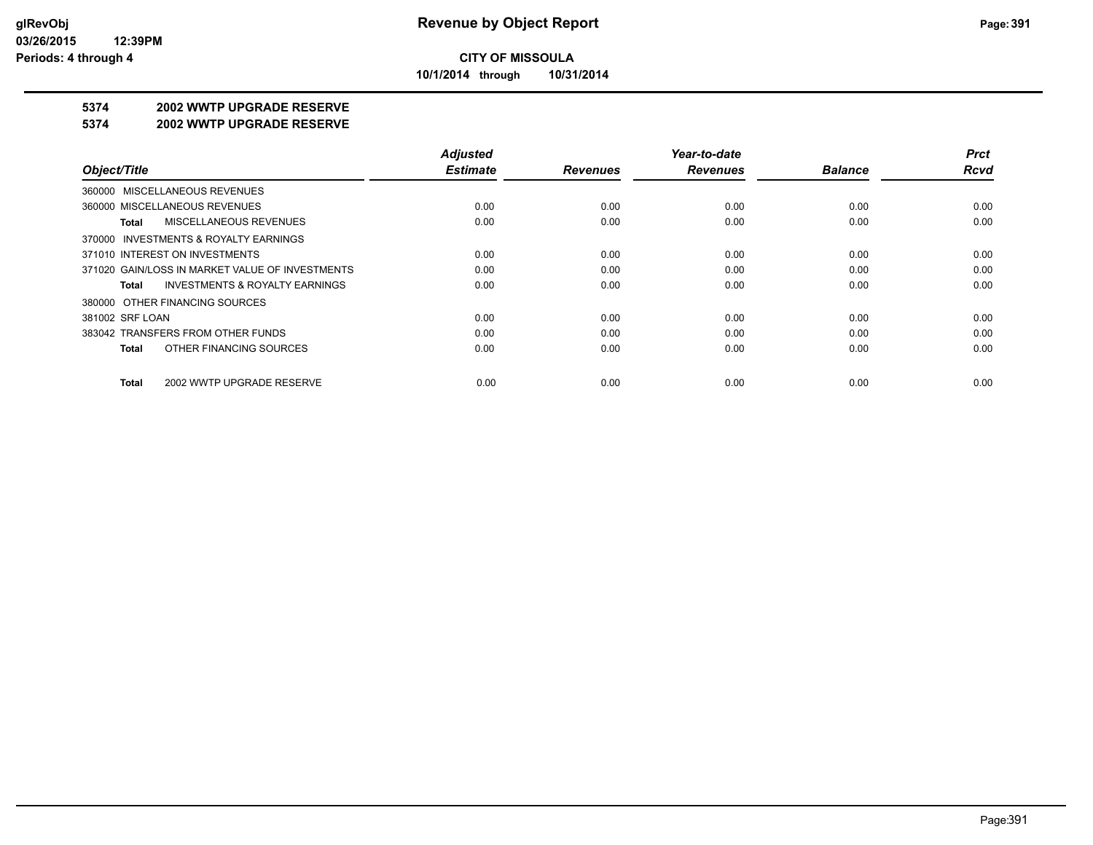**10/1/2014 through 10/31/2014**

## **5374 2002 WWTP UPGRADE RESERVE**

#### **5374 2002 WWTP UPGRADE RESERVE**

|                                                    | <b>Adjusted</b> |                 | Year-to-date    |                | <b>Prct</b> |
|----------------------------------------------------|-----------------|-----------------|-----------------|----------------|-------------|
| Object/Title                                       | <b>Estimate</b> | <b>Revenues</b> | <b>Revenues</b> | <b>Balance</b> | Rcvd        |
| 360000 MISCELLANEOUS REVENUES                      |                 |                 |                 |                |             |
| 360000 MISCELLANEOUS REVENUES                      | 0.00            | 0.00            | 0.00            | 0.00           | 0.00        |
| MISCELLANEOUS REVENUES<br>Total                    | 0.00            | 0.00            | 0.00            | 0.00           | 0.00        |
| 370000 INVESTMENTS & ROYALTY EARNINGS              |                 |                 |                 |                |             |
| 371010 INTEREST ON INVESTMENTS                     | 0.00            | 0.00            | 0.00            | 0.00           | 0.00        |
| 371020 GAIN/LOSS IN MARKET VALUE OF INVESTMENTS    | 0.00            | 0.00            | 0.00            | 0.00           | 0.00        |
| <b>INVESTMENTS &amp; ROYALTY EARNINGS</b><br>Total | 0.00            | 0.00            | 0.00            | 0.00           | 0.00        |
| 380000 OTHER FINANCING SOURCES                     |                 |                 |                 |                |             |
| 381002 SRF LOAN                                    | 0.00            | 0.00            | 0.00            | 0.00           | 0.00        |
| 383042 TRANSFERS FROM OTHER FUNDS                  | 0.00            | 0.00            | 0.00            | 0.00           | 0.00        |
| OTHER FINANCING SOURCES<br>Total                   | 0.00            | 0.00            | 0.00            | 0.00           | 0.00        |
| 2002 WWTP UPGRADE RESERVE<br>Total                 | 0.00            | 0.00            | 0.00            | 0.00           | 0.00        |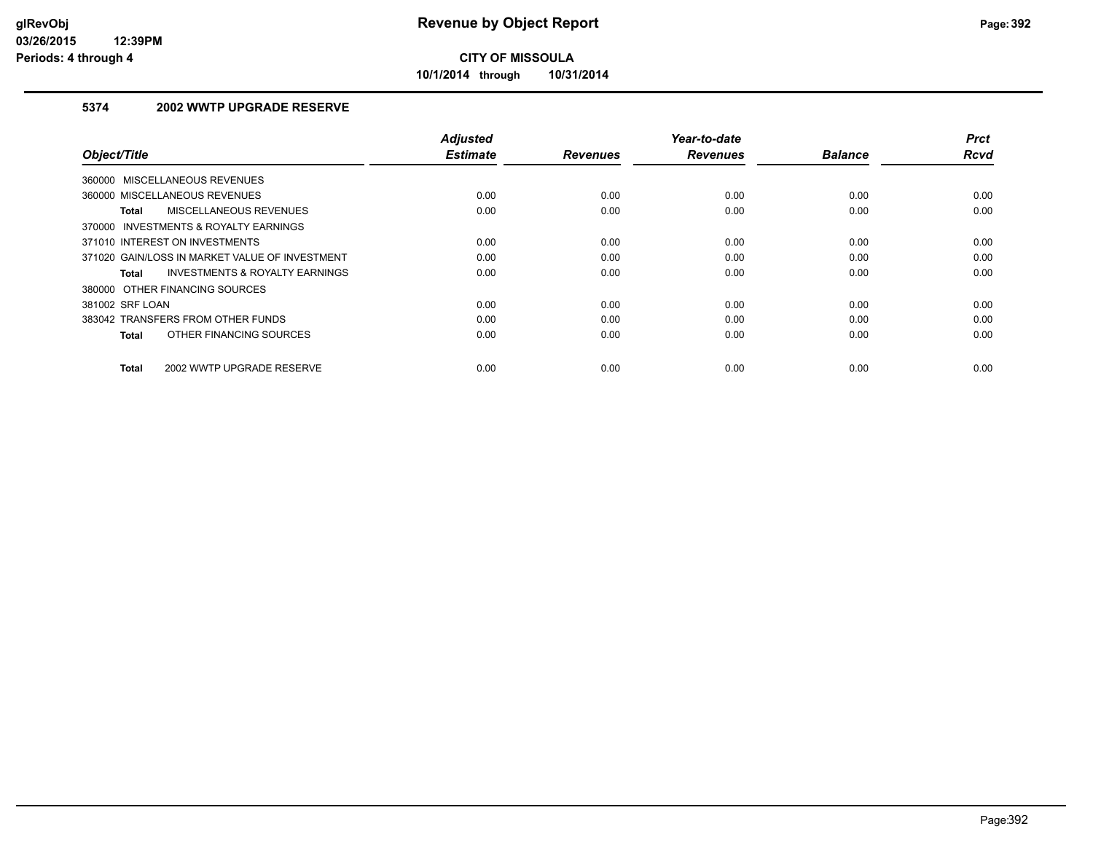**10/1/2014 through 10/31/2014**

## **5374 2002 WWTP UPGRADE RESERVE**

| Object/Title                                       | <b>Adjusted</b><br><b>Estimate</b> | <b>Revenues</b> | Year-to-date<br><b>Revenues</b> | <b>Balance</b> | <b>Prct</b><br>Rcvd |
|----------------------------------------------------|------------------------------------|-----------------|---------------------------------|----------------|---------------------|
| 360000 MISCELLANEOUS REVENUES                      |                                    |                 |                                 |                |                     |
| 360000 MISCELLANEOUS REVENUES                      | 0.00                               | 0.00            | 0.00                            | 0.00           | 0.00                |
| MISCELLANEOUS REVENUES<br>Total                    | 0.00                               | 0.00            | 0.00                            | 0.00           | 0.00                |
| 370000 INVESTMENTS & ROYALTY EARNINGS              |                                    |                 |                                 |                |                     |
| 371010 INTEREST ON INVESTMENTS                     | 0.00                               | 0.00            | 0.00                            | 0.00           | 0.00                |
| 371020 GAIN/LOSS IN MARKET VALUE OF INVESTMENT     | 0.00                               | 0.00            | 0.00                            | 0.00           | 0.00                |
| <b>INVESTMENTS &amp; ROYALTY EARNINGS</b><br>Total | 0.00                               | 0.00            | 0.00                            | 0.00           | 0.00                |
| 380000 OTHER FINANCING SOURCES                     |                                    |                 |                                 |                |                     |
| 381002 SRF LOAN                                    | 0.00                               | 0.00            | 0.00                            | 0.00           | 0.00                |
| 383042 TRANSFERS FROM OTHER FUNDS                  | 0.00                               | 0.00            | 0.00                            | 0.00           | 0.00                |
| OTHER FINANCING SOURCES<br><b>Total</b>            | 0.00                               | 0.00            | 0.00                            | 0.00           | 0.00                |
| 2002 WWTP UPGRADE RESERVE<br><b>Total</b>          | 0.00                               | 0.00            | 0.00                            | 0.00           | 0.00                |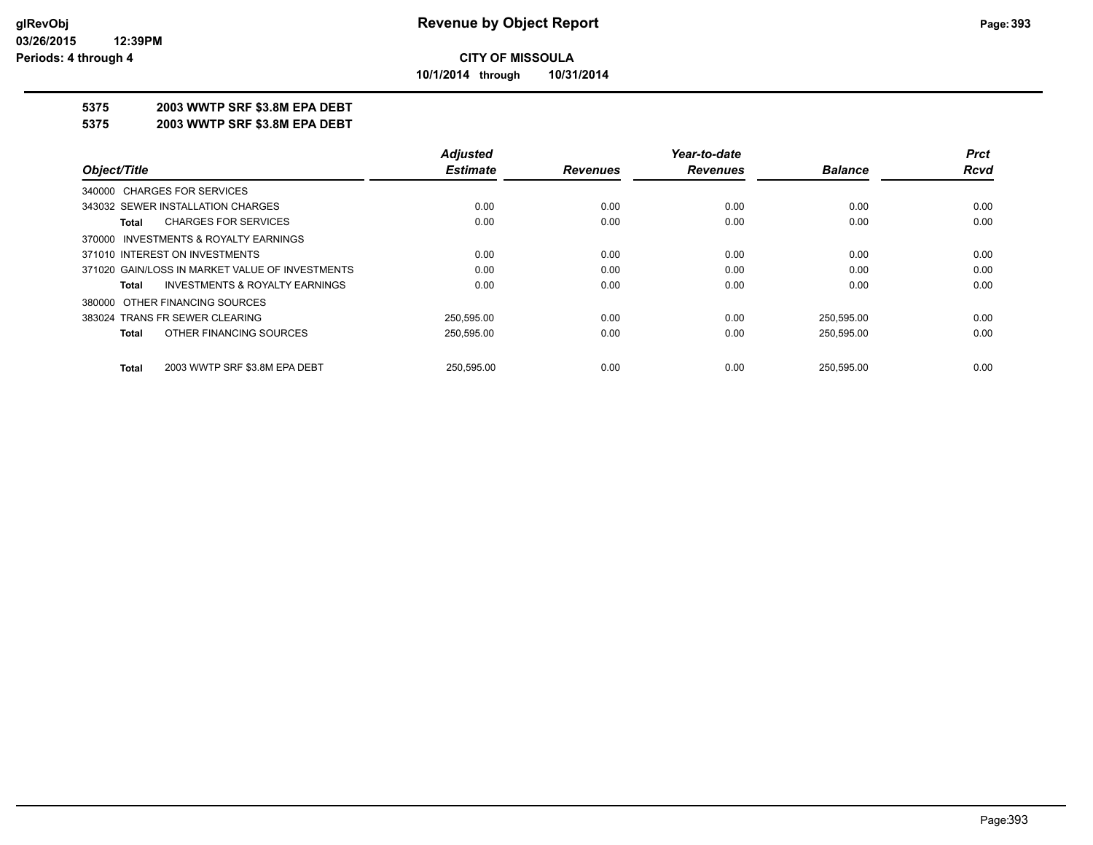**10/1/2014 through 10/31/2014**

### **5375 2003 WWTP SRF \$3.8M EPA DEBT**

**5375 2003 WWTP SRF \$3.8M EPA DEBT**

|                                                    | <b>Adjusted</b> |                 | Year-to-date    |                | <b>Prct</b> |
|----------------------------------------------------|-----------------|-----------------|-----------------|----------------|-------------|
| Object/Title                                       | <b>Estimate</b> | <b>Revenues</b> | <b>Revenues</b> | <b>Balance</b> | Rcvd        |
| 340000 CHARGES FOR SERVICES                        |                 |                 |                 |                |             |
| 343032 SEWER INSTALLATION CHARGES                  | 0.00            | 0.00            | 0.00            | 0.00           | 0.00        |
| <b>CHARGES FOR SERVICES</b><br>Total               | 0.00            | 0.00            | 0.00            | 0.00           | 0.00        |
| 370000 INVESTMENTS & ROYALTY EARNINGS              |                 |                 |                 |                |             |
| 371010 INTEREST ON INVESTMENTS                     | 0.00            | 0.00            | 0.00            | 0.00           | 0.00        |
| 371020 GAIN/LOSS IN MARKET VALUE OF INVESTMENTS    | 0.00            | 0.00            | 0.00            | 0.00           | 0.00        |
| <b>INVESTMENTS &amp; ROYALTY EARNINGS</b><br>Total | 0.00            | 0.00            | 0.00            | 0.00           | 0.00        |
| 380000 OTHER FINANCING SOURCES                     |                 |                 |                 |                |             |
| 383024 TRANS FR SEWER CLEARING                     | 250.595.00      | 0.00            | 0.00            | 250,595.00     | 0.00        |
| OTHER FINANCING SOURCES<br>Total                   | 250,595.00      | 0.00            | 0.00            | 250,595.00     | 0.00        |
| 2003 WWTP SRF \$3.8M EPA DEBT<br><b>Total</b>      | 250.595.00      | 0.00            | 0.00            | 250.595.00     | 0.00        |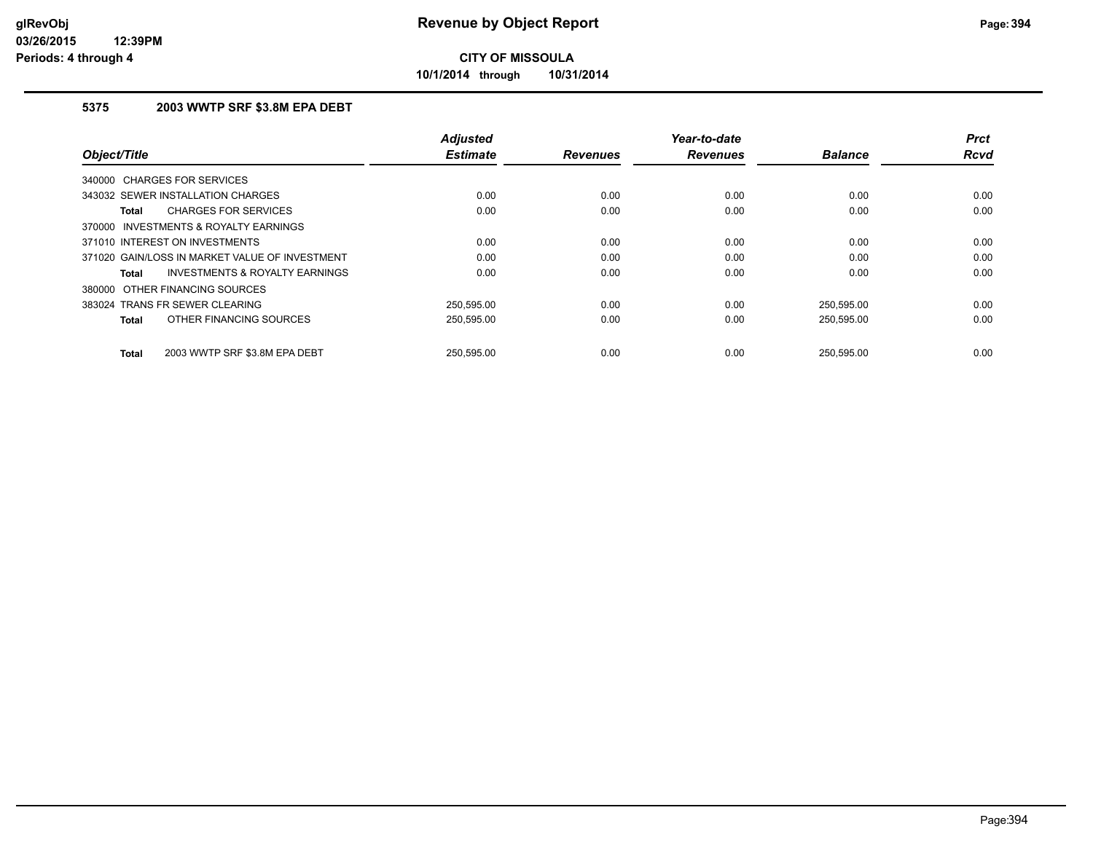**10/1/2014 through 10/31/2014**

## **5375 2003 WWTP SRF \$3.8M EPA DEBT**

| Object/Title                                       | <b>Adjusted</b><br><b>Estimate</b> | <b>Revenues</b> | Year-to-date<br><b>Revenues</b> | <b>Balance</b> | <b>Prct</b><br><b>Rcvd</b> |
|----------------------------------------------------|------------------------------------|-----------------|---------------------------------|----------------|----------------------------|
| 340000 CHARGES FOR SERVICES                        |                                    |                 |                                 |                |                            |
| 343032 SEWER INSTALLATION CHARGES                  | 0.00                               | 0.00            | 0.00                            | 0.00           | 0.00                       |
| <b>CHARGES FOR SERVICES</b><br>Total               | 0.00                               | 0.00            | 0.00                            | 0.00           | 0.00                       |
| 370000 INVESTMENTS & ROYALTY EARNINGS              |                                    |                 |                                 |                |                            |
| 371010 INTEREST ON INVESTMENTS                     | 0.00                               | 0.00            | 0.00                            | 0.00           | 0.00                       |
| 371020 GAIN/LOSS IN MARKET VALUE OF INVESTMENT     | 0.00                               | 0.00            | 0.00                            | 0.00           | 0.00                       |
| <b>INVESTMENTS &amp; ROYALTY EARNINGS</b><br>Total | 0.00                               | 0.00            | 0.00                            | 0.00           | 0.00                       |
| 380000 OTHER FINANCING SOURCES                     |                                    |                 |                                 |                |                            |
| 383024 TRANS FR SEWER CLEARING                     | 250.595.00                         | 0.00            | 0.00                            | 250.595.00     | 0.00                       |
| OTHER FINANCING SOURCES<br>Total                   | 250,595.00                         | 0.00            | 0.00                            | 250,595.00     | 0.00                       |
| 2003 WWTP SRF \$3.8M EPA DEBT<br>Total             | 250.595.00                         | 0.00            | 0.00                            | 250.595.00     | 0.00                       |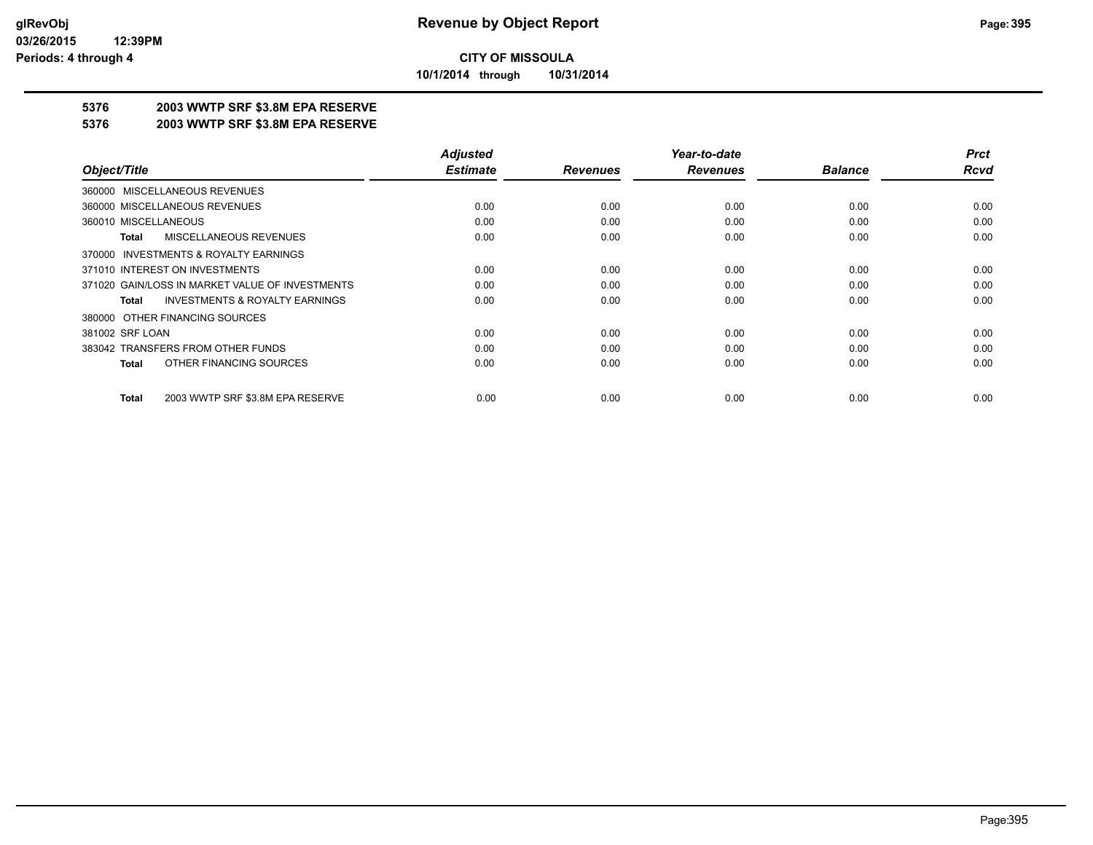**10/1/2014 through 10/31/2014**

## **5376 2003 WWTP SRF \$3.8M EPA RESERVE**

#### **5376 2003 WWTP SRF \$3.8M EPA RESERVE**

|                                                    | <b>Adjusted</b> |                 | Year-to-date    |                | <b>Prct</b> |
|----------------------------------------------------|-----------------|-----------------|-----------------|----------------|-------------|
| Object/Title                                       | <b>Estimate</b> | <b>Revenues</b> | <b>Revenues</b> | <b>Balance</b> | Rcvd        |
| 360000 MISCELLANEOUS REVENUES                      |                 |                 |                 |                |             |
| 360000 MISCELLANEOUS REVENUES                      | 0.00            | 0.00            | 0.00            | 0.00           | 0.00        |
| 360010 MISCELLANEOUS                               | 0.00            | 0.00            | 0.00            | 0.00           | 0.00        |
| <b>MISCELLANEOUS REVENUES</b><br>Total             | 0.00            | 0.00            | 0.00            | 0.00           | 0.00        |
| 370000 INVESTMENTS & ROYALTY EARNINGS              |                 |                 |                 |                |             |
| 371010 INTEREST ON INVESTMENTS                     | 0.00            | 0.00            | 0.00            | 0.00           | 0.00        |
| 371020 GAIN/LOSS IN MARKET VALUE OF INVESTMENTS    | 0.00            | 0.00            | 0.00            | 0.00           | 0.00        |
| <b>INVESTMENTS &amp; ROYALTY EARNINGS</b><br>Total | 0.00            | 0.00            | 0.00            | 0.00           | 0.00        |
| 380000 OTHER FINANCING SOURCES                     |                 |                 |                 |                |             |
| 381002 SRF LOAN                                    | 0.00            | 0.00            | 0.00            | 0.00           | 0.00        |
| 383042 TRANSFERS FROM OTHER FUNDS                  | 0.00            | 0.00            | 0.00            | 0.00           | 0.00        |
| OTHER FINANCING SOURCES<br><b>Total</b>            | 0.00            | 0.00            | 0.00            | 0.00           | 0.00        |
| 2003 WWTP SRF \$3.8M EPA RESERVE<br><b>Total</b>   | 0.00            | 0.00            | 0.00            | 0.00           | 0.00        |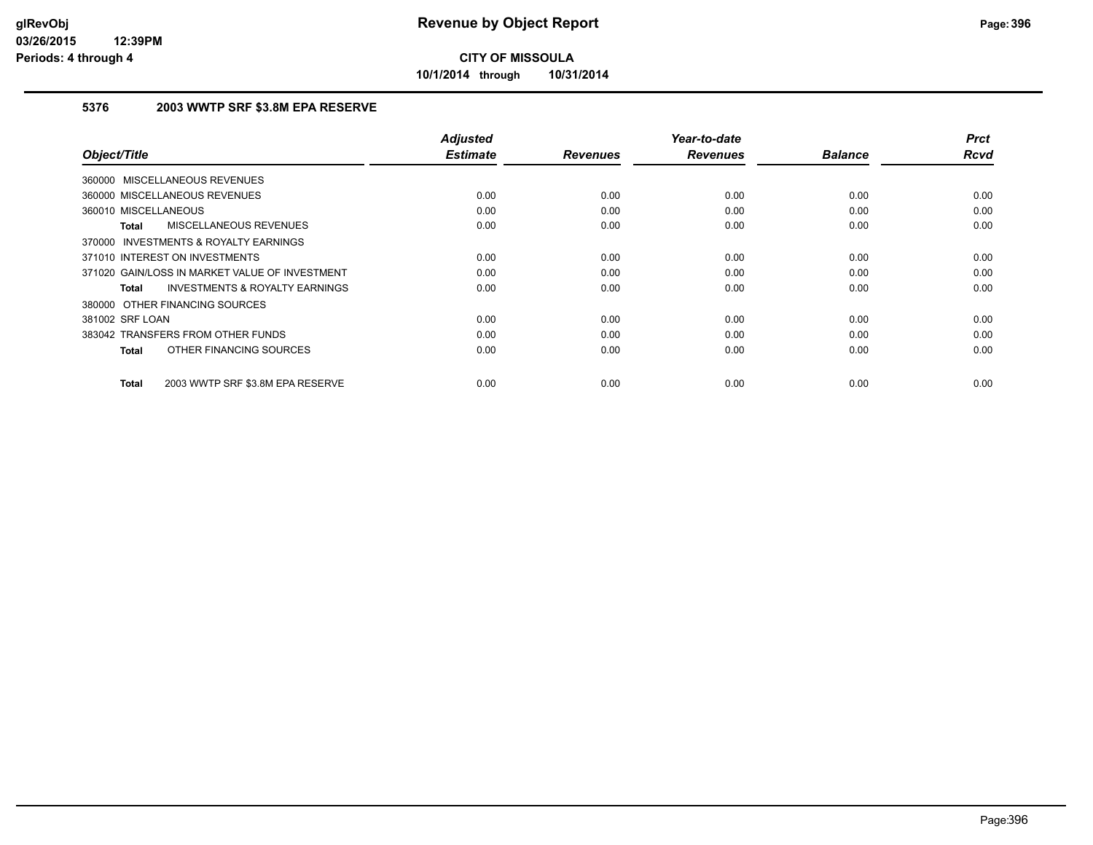**10/1/2014 through 10/31/2014**

## **5376 2003 WWTP SRF \$3.8M EPA RESERVE**

|                                                           | <b>Adjusted</b> |                 | Year-to-date    |                | <b>Prct</b> |
|-----------------------------------------------------------|-----------------|-----------------|-----------------|----------------|-------------|
| Object/Title                                              | <b>Estimate</b> | <b>Revenues</b> | <b>Revenues</b> | <b>Balance</b> | <b>Rcvd</b> |
| 360000 MISCELLANEOUS REVENUES                             |                 |                 |                 |                |             |
| 360000 MISCELLANEOUS REVENUES                             | 0.00            | 0.00            | 0.00            | 0.00           | 0.00        |
| 360010 MISCELLANEOUS                                      | 0.00            | 0.00            | 0.00            | 0.00           | 0.00        |
| MISCELLANEOUS REVENUES<br>Total                           | 0.00            | 0.00            | 0.00            | 0.00           | 0.00        |
| <b>INVESTMENTS &amp; ROYALTY EARNINGS</b><br>370000       |                 |                 |                 |                |             |
| 371010 INTEREST ON INVESTMENTS                            | 0.00            | 0.00            | 0.00            | 0.00           | 0.00        |
| 371020 GAIN/LOSS IN MARKET VALUE OF INVESTMENT            | 0.00            | 0.00            | 0.00            | 0.00           | 0.00        |
| <b>INVESTMENTS &amp; ROYALTY EARNINGS</b><br><b>Total</b> | 0.00            | 0.00            | 0.00            | 0.00           | 0.00        |
| 380000 OTHER FINANCING SOURCES                            |                 |                 |                 |                |             |
| 381002 SRF LOAN                                           | 0.00            | 0.00            | 0.00            | 0.00           | 0.00        |
| 383042 TRANSFERS FROM OTHER FUNDS                         | 0.00            | 0.00            | 0.00            | 0.00           | 0.00        |
| OTHER FINANCING SOURCES<br><b>Total</b>                   | 0.00            | 0.00            | 0.00            | 0.00           | 0.00        |
|                                                           |                 |                 |                 |                |             |
| 2003 WWTP SRF \$3.8M EPA RESERVE<br><b>Total</b>          | 0.00            | 0.00            | 0.00            | 0.00           | 0.00        |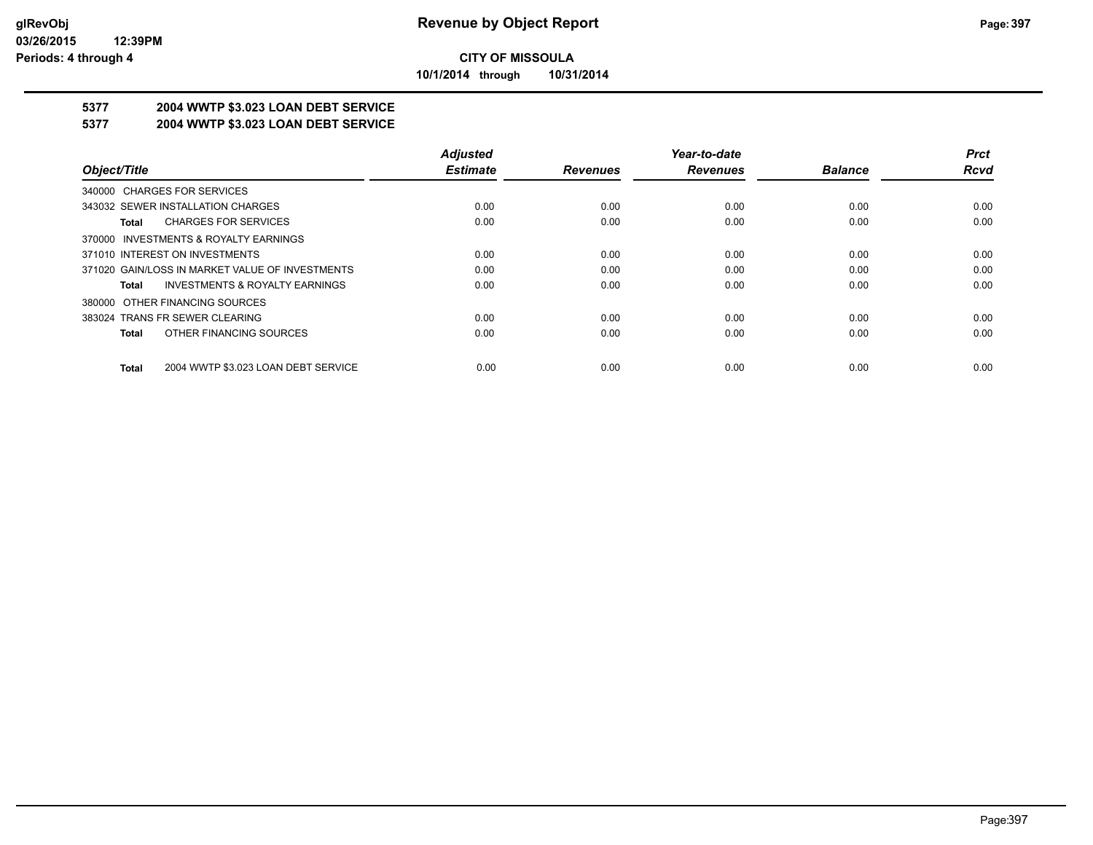**10/1/2014 through 10/31/2014**

# **5377 2004 WWTP \$3.023 LOAN DEBT SERVICE**

## **5377 2004 WWTP \$3.023 LOAN DEBT SERVICE**

|                                                     | <b>Adjusted</b> |                 | Year-to-date    |                | <b>Prct</b> |
|-----------------------------------------------------|-----------------|-----------------|-----------------|----------------|-------------|
| Object/Title                                        | <b>Estimate</b> | <b>Revenues</b> | <b>Revenues</b> | <b>Balance</b> | Rcvd        |
| 340000 CHARGES FOR SERVICES                         |                 |                 |                 |                |             |
| 343032 SEWER INSTALLATION CHARGES                   | 0.00            | 0.00            | 0.00            | 0.00           | 0.00        |
| <b>CHARGES FOR SERVICES</b><br>Total                | 0.00            | 0.00            | 0.00            | 0.00           | 0.00        |
| INVESTMENTS & ROYALTY EARNINGS<br>370000            |                 |                 |                 |                |             |
| 371010 INTEREST ON INVESTMENTS                      | 0.00            | 0.00            | 0.00            | 0.00           | 0.00        |
| 371020 GAIN/LOSS IN MARKET VALUE OF INVESTMENTS     | 0.00            | 0.00            | 0.00            | 0.00           | 0.00        |
| <b>INVESTMENTS &amp; ROYALTY EARNINGS</b><br>Total  | 0.00            | 0.00            | 0.00            | 0.00           | 0.00        |
| OTHER FINANCING SOURCES<br>380000                   |                 |                 |                 |                |             |
| 383024 TRANS FR SEWER CLEARING                      | 0.00            | 0.00            | 0.00            | 0.00           | 0.00        |
| OTHER FINANCING SOURCES<br><b>Total</b>             | 0.00            | 0.00            | 0.00            | 0.00           | 0.00        |
| 2004 WWTP \$3.023 LOAN DEBT SERVICE<br><b>Total</b> | 0.00            | 0.00            | 0.00            | 0.00           | 0.00        |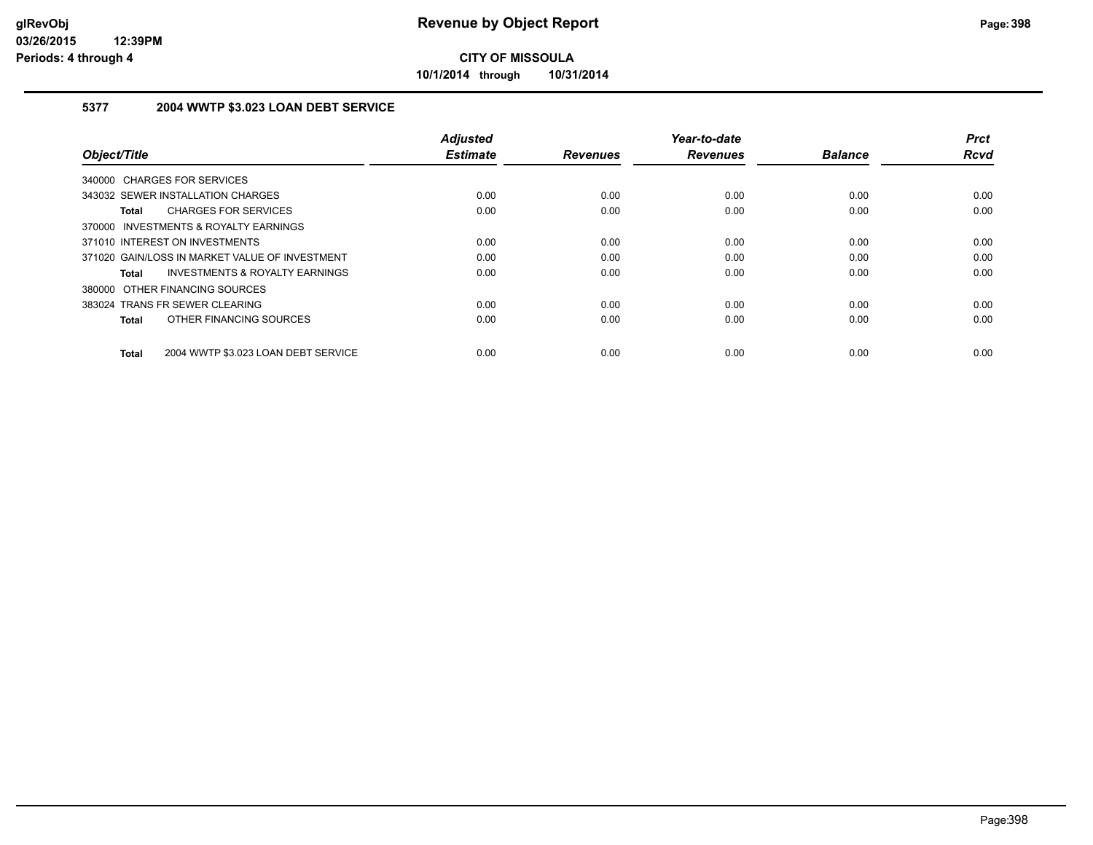**10/1/2014 through 10/31/2014**

### **5377 2004 WWTP \$3.023 LOAN DEBT SERVICE**

|                                                     | <b>Adjusted</b> |                 | Year-to-date    |                | <b>Prct</b> |
|-----------------------------------------------------|-----------------|-----------------|-----------------|----------------|-------------|
| Object/Title                                        | <b>Estimate</b> | <b>Revenues</b> | <b>Revenues</b> | <b>Balance</b> | <b>Rcvd</b> |
| 340000 CHARGES FOR SERVICES                         |                 |                 |                 |                |             |
| 343032 SEWER INSTALLATION CHARGES                   | 0.00            | 0.00            | 0.00            | 0.00           | 0.00        |
| <b>CHARGES FOR SERVICES</b><br><b>Total</b>         | 0.00            | 0.00            | 0.00            | 0.00           | 0.00        |
| 370000 INVESTMENTS & ROYALTY EARNINGS               |                 |                 |                 |                |             |
| 371010 INTEREST ON INVESTMENTS                      | 0.00            | 0.00            | 0.00            | 0.00           | 0.00        |
| 371020 GAIN/LOSS IN MARKET VALUE OF INVESTMENT      | 0.00            | 0.00            | 0.00            | 0.00           | 0.00        |
| INVESTMENTS & ROYALTY EARNINGS<br>Total             | 0.00            | 0.00            | 0.00            | 0.00           | 0.00        |
| 380000 OTHER FINANCING SOURCES                      |                 |                 |                 |                |             |
| 383024 TRANS FR SEWER CLEARING                      | 0.00            | 0.00            | 0.00            | 0.00           | 0.00        |
| OTHER FINANCING SOURCES<br><b>Total</b>             | 0.00            | 0.00            | 0.00            | 0.00           | 0.00        |
| 2004 WWTP \$3.023 LOAN DEBT SERVICE<br><b>Total</b> | 0.00            | 0.00            | 0.00            | 0.00           | 0.00        |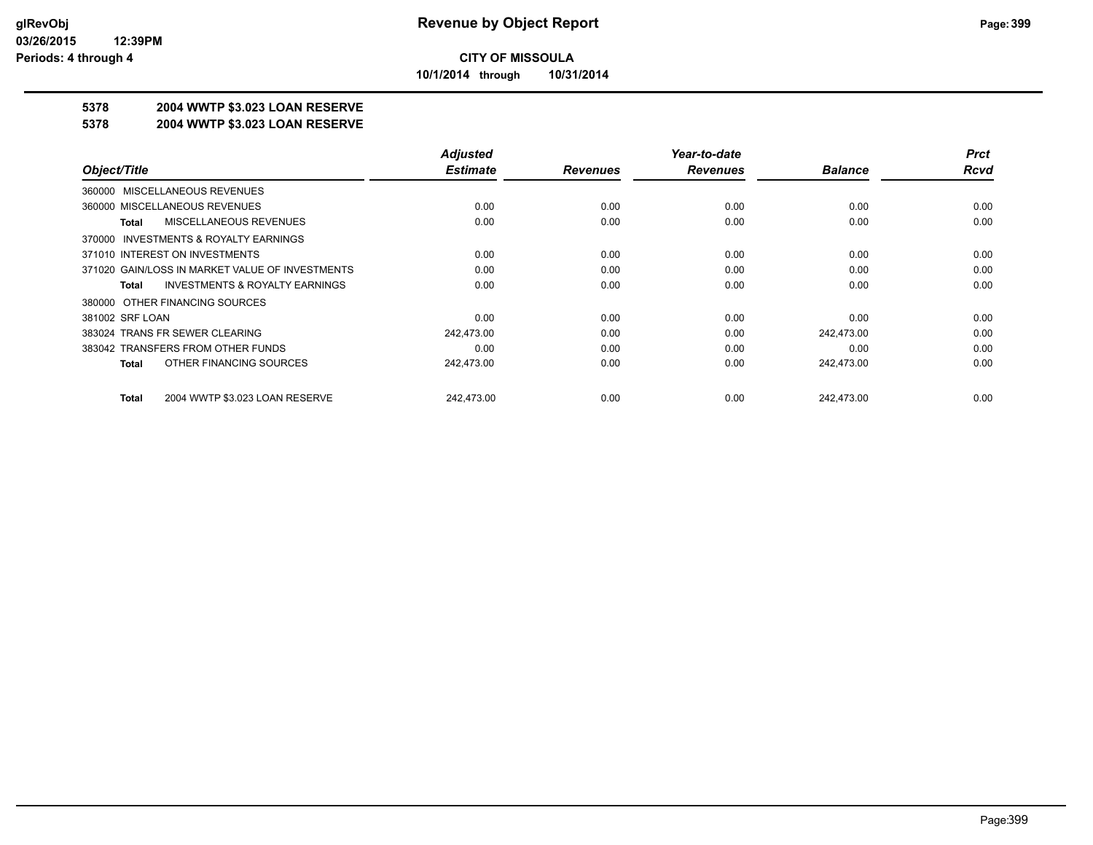**10/1/2014 through 10/31/2014**

## **5378 2004 WWTP \$3.023 LOAN RESERVE**

#### **5378 2004 WWTP \$3.023 LOAN RESERVE**

|                                                    | <b>Adjusted</b> |                 | Year-to-date    |                | <b>Prct</b> |
|----------------------------------------------------|-----------------|-----------------|-----------------|----------------|-------------|
| Object/Title                                       | <b>Estimate</b> | <b>Revenues</b> | <b>Revenues</b> | <b>Balance</b> | <b>Rcvd</b> |
| 360000 MISCELLANEOUS REVENUES                      |                 |                 |                 |                |             |
| 360000 MISCELLANEOUS REVENUES                      | 0.00            | 0.00            | 0.00            | 0.00           | 0.00        |
| MISCELLANEOUS REVENUES<br>Total                    | 0.00            | 0.00            | 0.00            | 0.00           | 0.00        |
| 370000 INVESTMENTS & ROYALTY EARNINGS              |                 |                 |                 |                |             |
| 371010 INTEREST ON INVESTMENTS                     | 0.00            | 0.00            | 0.00            | 0.00           | 0.00        |
| 371020 GAIN/LOSS IN MARKET VALUE OF INVESTMENTS    | 0.00            | 0.00            | 0.00            | 0.00           | 0.00        |
| <b>INVESTMENTS &amp; ROYALTY EARNINGS</b><br>Total | 0.00            | 0.00            | 0.00            | 0.00           | 0.00        |
| 380000 OTHER FINANCING SOURCES                     |                 |                 |                 |                |             |
| 381002 SRF LOAN                                    | 0.00            | 0.00            | 0.00            | 0.00           | 0.00        |
| 383024 TRANS FR SEWER CLEARING                     | 242,473.00      | 0.00            | 0.00            | 242.473.00     | 0.00        |
| 383042 TRANSFERS FROM OTHER FUNDS                  | 0.00            | 0.00            | 0.00            | 0.00           | 0.00        |
| OTHER FINANCING SOURCES<br><b>Total</b>            | 242,473.00      | 0.00            | 0.00            | 242,473.00     | 0.00        |
| 2004 WWTP \$3.023 LOAN RESERVE<br><b>Total</b>     | 242.473.00      | 0.00            | 0.00            | 242.473.00     | 0.00        |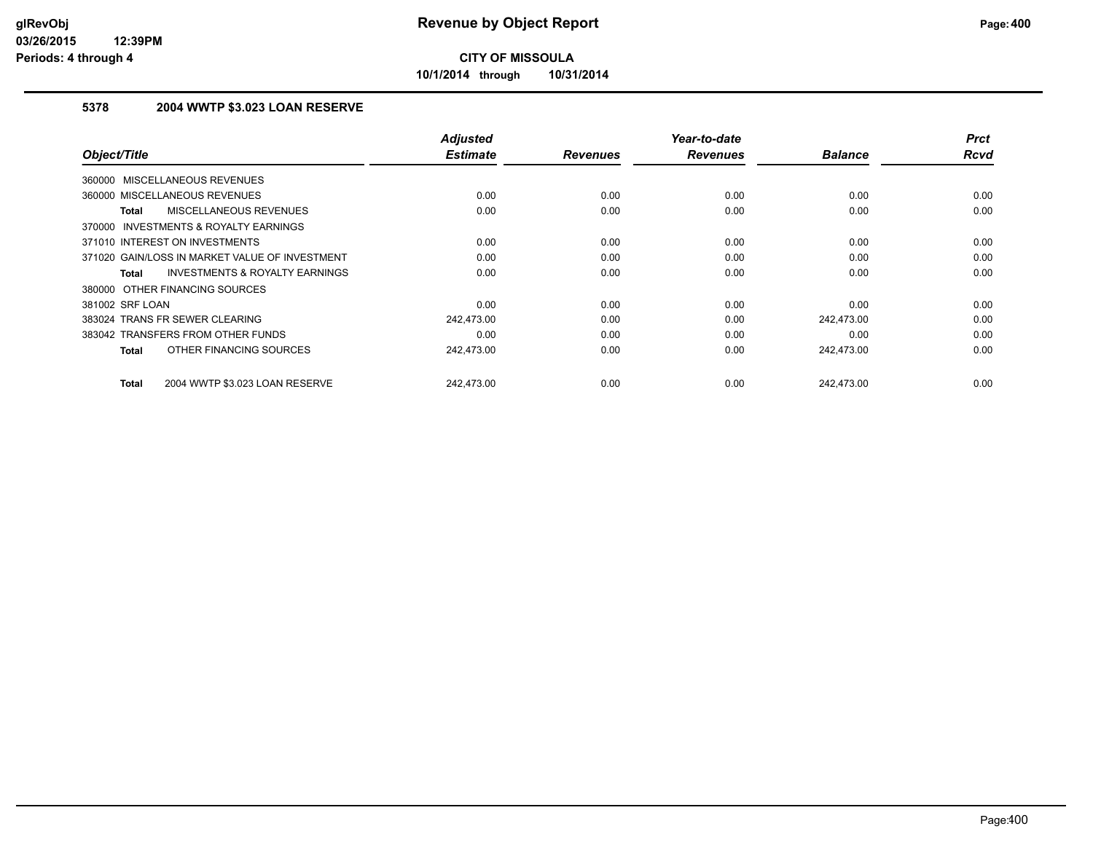**10/1/2014 through 10/31/2014**

## **5378 2004 WWTP \$3.023 LOAN RESERVE**

| Object/Title                                              | <b>Adjusted</b><br><b>Estimate</b> | <b>Revenues</b> | Year-to-date<br><b>Revenues</b> | <b>Balance</b> | <b>Prct</b><br><b>Rcvd</b> |
|-----------------------------------------------------------|------------------------------------|-----------------|---------------------------------|----------------|----------------------------|
|                                                           |                                    |                 |                                 |                |                            |
| 360000 MISCELLANEOUS REVENUES                             |                                    |                 |                                 |                |                            |
| 360000 MISCELLANEOUS REVENUES                             | 0.00                               | 0.00            | 0.00                            | 0.00           | 0.00                       |
| MISCELLANEOUS REVENUES<br><b>Total</b>                    | 0.00                               | 0.00            | 0.00                            | 0.00           | 0.00                       |
| 370000 INVESTMENTS & ROYALTY EARNINGS                     |                                    |                 |                                 |                |                            |
| 371010 INTEREST ON INVESTMENTS                            | 0.00                               | 0.00            | 0.00                            | 0.00           | 0.00                       |
| 371020 GAIN/LOSS IN MARKET VALUE OF INVESTMENT            | 0.00                               | 0.00            | 0.00                            | 0.00           | 0.00                       |
| <b>INVESTMENTS &amp; ROYALTY EARNINGS</b><br><b>Total</b> | 0.00                               | 0.00            | 0.00                            | 0.00           | 0.00                       |
| 380000 OTHER FINANCING SOURCES                            |                                    |                 |                                 |                |                            |
| 381002 SRF LOAN                                           | 0.00                               | 0.00            | 0.00                            | 0.00           | 0.00                       |
| 383024 TRANS FR SEWER CLEARING                            | 242,473.00                         | 0.00            | 0.00                            | 242,473.00     | 0.00                       |
| 383042 TRANSFERS FROM OTHER FUNDS                         | 0.00                               | 0.00            | 0.00                            | 0.00           | 0.00                       |
| OTHER FINANCING SOURCES<br><b>Total</b>                   | 242,473.00                         | 0.00            | 0.00                            | 242,473.00     | 0.00                       |
| 2004 WWTP \$3.023 LOAN RESERVE<br><b>Total</b>            | 242.473.00                         | 0.00            | 0.00                            | 242.473.00     | 0.00                       |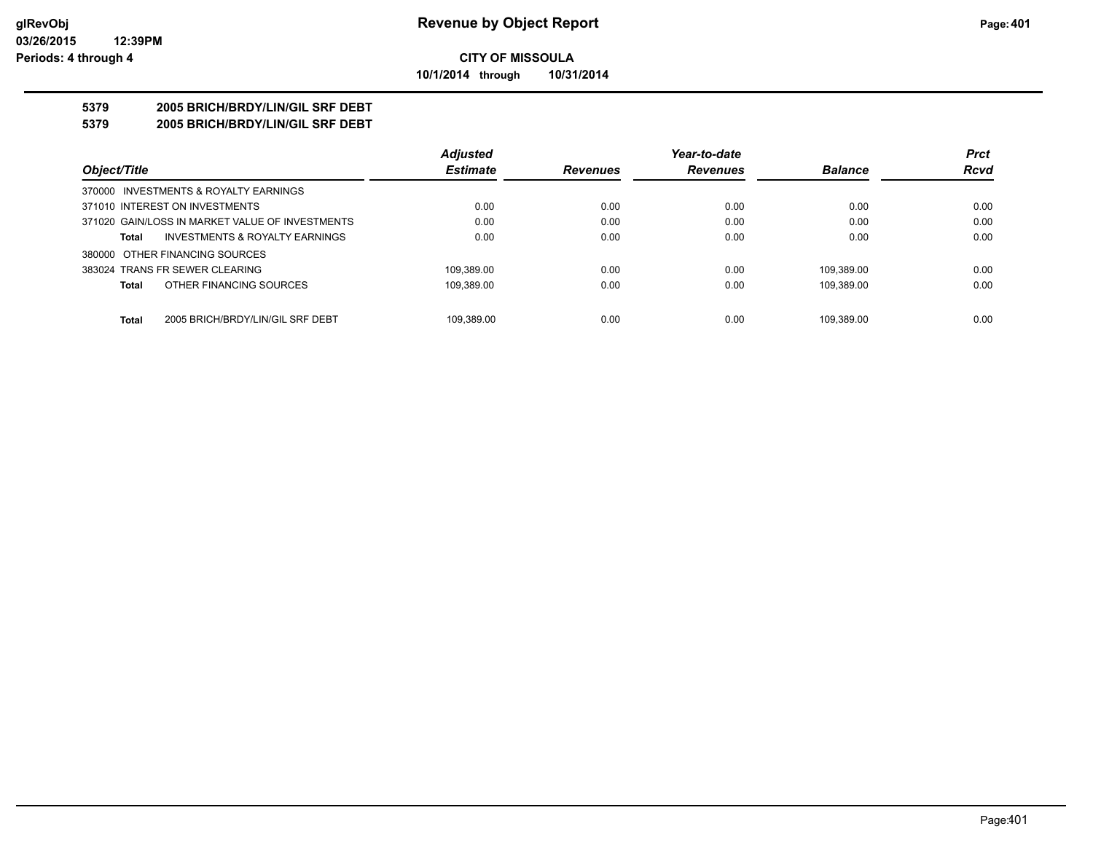#### **CITY OF MISSOULA 10/1/2014 through 10/31/2014**

#### **5379 2005 BRICH/BRDY/LIN/GIL SRF DEBT**

#### **5379 2005 BRICH/BRDY/LIN/GIL SRF DEBT**

|                                                  | <b>Adjusted</b> |                 | Year-to-date    |                | <b>Prct</b> |
|--------------------------------------------------|-----------------|-----------------|-----------------|----------------|-------------|
| Object/Title                                     | <b>Estimate</b> | <b>Revenues</b> | <b>Revenues</b> | <b>Balance</b> | <b>Rcvd</b> |
| 370000 INVESTMENTS & ROYALTY EARNINGS            |                 |                 |                 |                |             |
| 371010 INTEREST ON INVESTMENTS                   | 0.00            | 0.00            | 0.00            | 0.00           | 0.00        |
| 371020 GAIN/LOSS IN MARKET VALUE OF INVESTMENTS  | 0.00            | 0.00            | 0.00            | 0.00           | 0.00        |
| INVESTMENTS & ROYALTY EARNINGS<br><b>Total</b>   | 0.00            | 0.00            | 0.00            | 0.00           | 0.00        |
| 380000 OTHER FINANCING SOURCES                   |                 |                 |                 |                |             |
| 383024 TRANS FR SEWER CLEARING                   | 109.389.00      | 0.00            | 0.00            | 109.389.00     | 0.00        |
| OTHER FINANCING SOURCES<br><b>Total</b>          | 109.389.00      | 0.00            | 0.00            | 109.389.00     | 0.00        |
| <b>Total</b><br>2005 BRICH/BRDY/LIN/GIL SRF DEBT | 109.389.00      | 0.00            | 0.00            | 109.389.00     | 0.00        |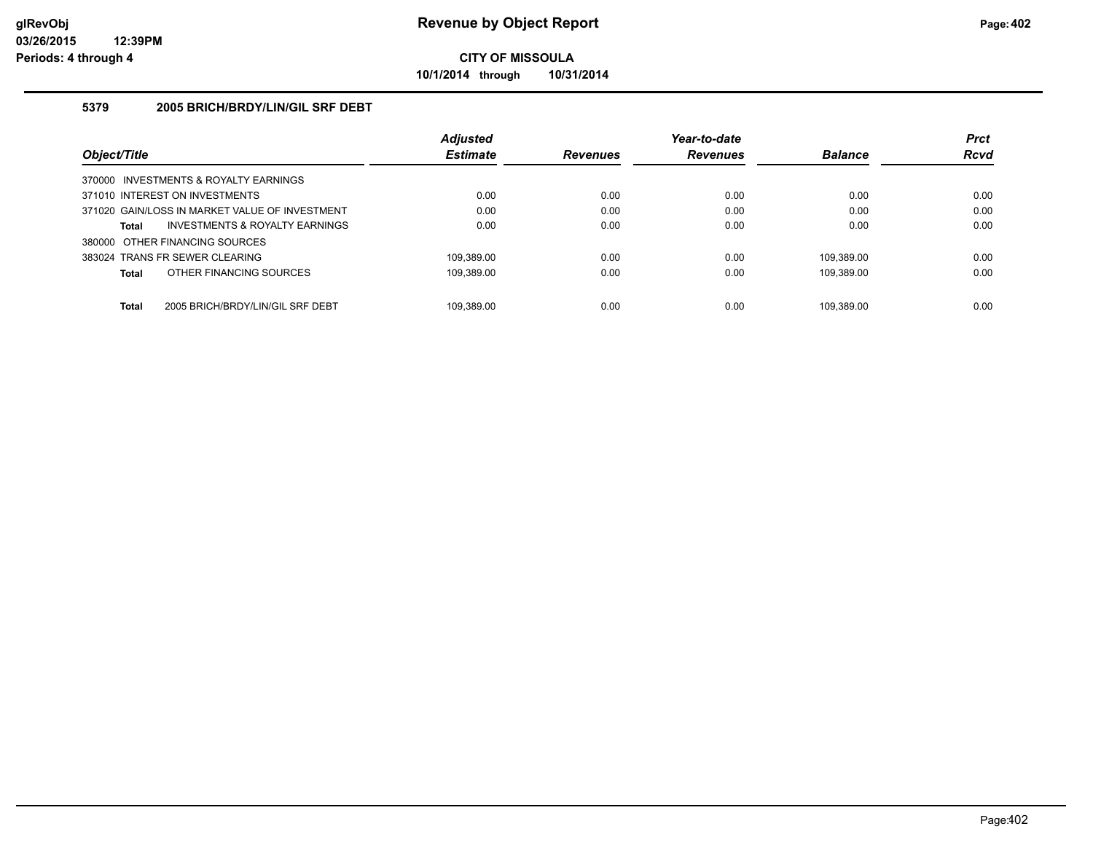**10/1/2014 through 10/31/2014**

#### **5379 2005 BRICH/BRDY/LIN/GIL SRF DEBT**

|              |                                                | <b>Adjusted</b> |                 | Year-to-date    |                | <b>Prct</b> |
|--------------|------------------------------------------------|-----------------|-----------------|-----------------|----------------|-------------|
| Object/Title |                                                | <b>Estimate</b> | <b>Revenues</b> | <b>Revenues</b> | <b>Balance</b> | <b>Rcvd</b> |
|              | 370000 INVESTMENTS & ROYALTY EARNINGS          |                 |                 |                 |                |             |
|              | 371010 INTEREST ON INVESTMENTS                 | 0.00            | 0.00            | 0.00            | 0.00           | 0.00        |
|              | 371020 GAIN/LOSS IN MARKET VALUE OF INVESTMENT | 0.00            | 0.00            | 0.00            | 0.00           | 0.00        |
| Total        | INVESTMENTS & ROYALTY EARNINGS                 | 0.00            | 0.00            | 0.00            | 0.00           | 0.00        |
|              | 380000 OTHER FINANCING SOURCES                 |                 |                 |                 |                |             |
|              | 383024 TRANS FR SEWER CLEARING                 | 109.389.00      | 0.00            | 0.00            | 109.389.00     | 0.00        |
| Total        | OTHER FINANCING SOURCES                        | 109.389.00      | 0.00            | 0.00            | 109.389.00     | 0.00        |
| <b>Total</b> | 2005 BRICH/BRDY/LIN/GIL SRF DEBT               | 109.389.00      | 0.00            | 0.00            | 109.389.00     | 0.00        |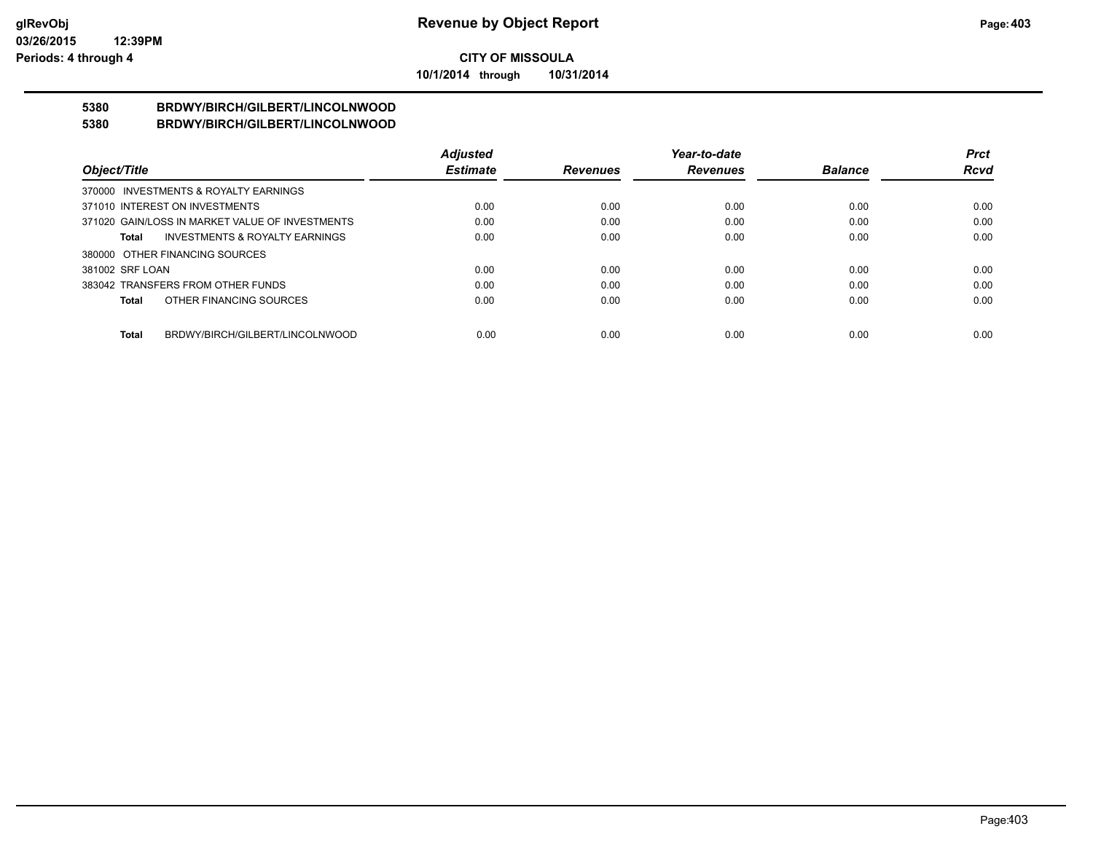**10/1/2014 through 10/31/2014**

#### **5380 BRDWY/BIRCH/GILBERT/LINCOLNWOOD 5380 BRDWY/BIRCH/GILBERT/LINCOLNWOOD**

|                                                    | <b>Adjusted</b> |                 | Year-to-date    |                | <b>Prct</b> |
|----------------------------------------------------|-----------------|-----------------|-----------------|----------------|-------------|
| Object/Title                                       | <b>Estimate</b> | <b>Revenues</b> | <b>Revenues</b> | <b>Balance</b> | <b>Rcvd</b> |
| 370000 INVESTMENTS & ROYALTY EARNINGS              |                 |                 |                 |                |             |
| 371010 INTEREST ON INVESTMENTS                     | 0.00            | 0.00            | 0.00            | 0.00           | 0.00        |
| 371020 GAIN/LOSS IN MARKET VALUE OF INVESTMENTS    | 0.00            | 0.00            | 0.00            | 0.00           | 0.00        |
| <b>INVESTMENTS &amp; ROYALTY EARNINGS</b><br>Total | 0.00            | 0.00            | 0.00            | 0.00           | 0.00        |
| 380000 OTHER FINANCING SOURCES                     |                 |                 |                 |                |             |
| 381002 SRF LOAN                                    | 0.00            | 0.00            | 0.00            | 0.00           | 0.00        |
| 383042 TRANSFERS FROM OTHER FUNDS                  | 0.00            | 0.00            | 0.00            | 0.00           | 0.00        |
| OTHER FINANCING SOURCES<br>Total                   | 0.00            | 0.00            | 0.00            | 0.00           | 0.00        |
|                                                    |                 |                 |                 |                |             |
| BRDWY/BIRCH/GILBERT/LINCOLNWOOD<br>Total           | 0.00            | 0.00            | 0.00            | 0.00           | 0.00        |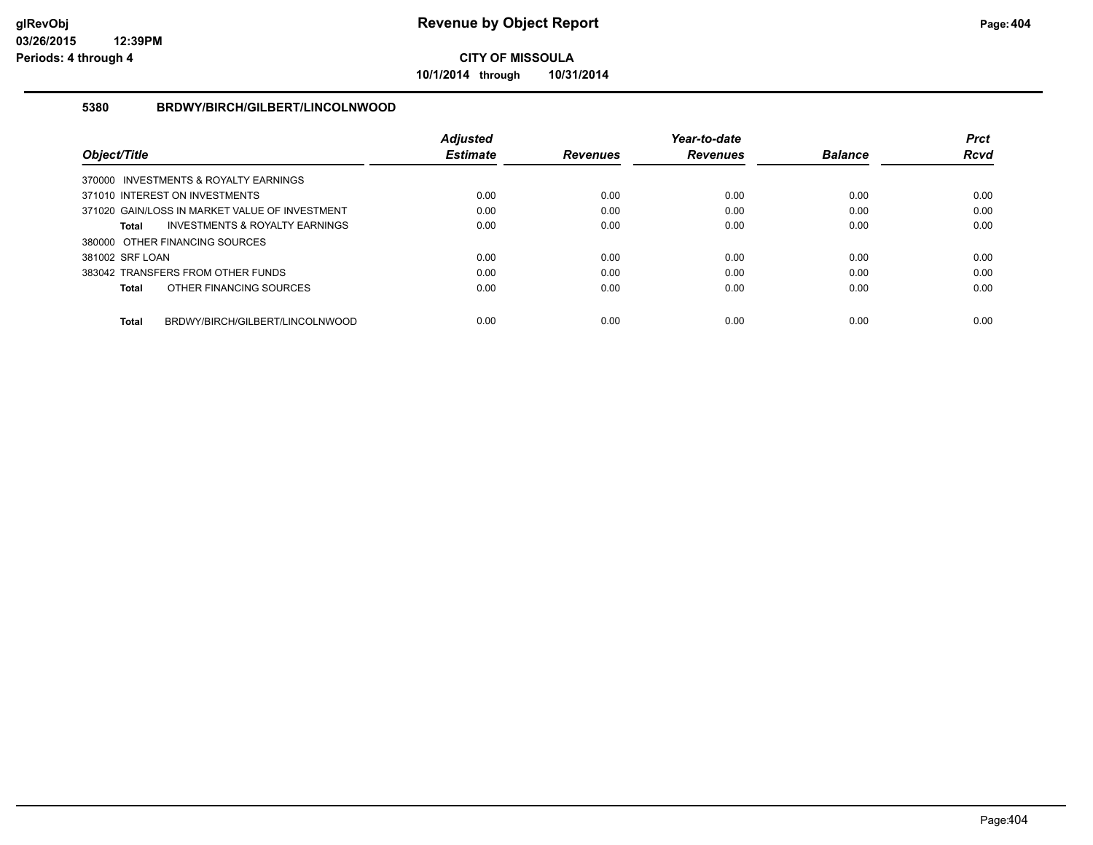**10/1/2014 through 10/31/2014**

### **5380 BRDWY/BIRCH/GILBERT/LINCOLNWOOD**

|                                                 | <b>Adiusted</b> |                 | Year-to-date    |                | <b>Prct</b> |
|-------------------------------------------------|-----------------|-----------------|-----------------|----------------|-------------|
| Object/Title                                    | <b>Estimate</b> | <b>Revenues</b> | <b>Revenues</b> | <b>Balance</b> | <b>Rcvd</b> |
| 370000 INVESTMENTS & ROYALTY EARNINGS           |                 |                 |                 |                |             |
| 371010 INTEREST ON INVESTMENTS                  | 0.00            | 0.00            | 0.00            | 0.00           | 0.00        |
| 371020 GAIN/LOSS IN MARKET VALUE OF INVESTMENT  | 0.00            | 0.00            | 0.00            | 0.00           | 0.00        |
| INVESTMENTS & ROYALTY EARNINGS<br>Total         | 0.00            | 0.00            | 0.00            | 0.00           | 0.00        |
| 380000 OTHER FINANCING SOURCES                  |                 |                 |                 |                |             |
| 381002 SRF LOAN                                 | 0.00            | 0.00            | 0.00            | 0.00           | 0.00        |
| 383042 TRANSFERS FROM OTHER FUNDS               | 0.00            | 0.00            | 0.00            | 0.00           | 0.00        |
| OTHER FINANCING SOURCES<br><b>Total</b>         | 0.00            | 0.00            | 0.00            | 0.00           | 0.00        |
|                                                 |                 |                 |                 |                |             |
| BRDWY/BIRCH/GILBERT/LINCOLNWOOD<br><b>Total</b> | 0.00            | 0.00            | 0.00            | 0.00           | 0.00        |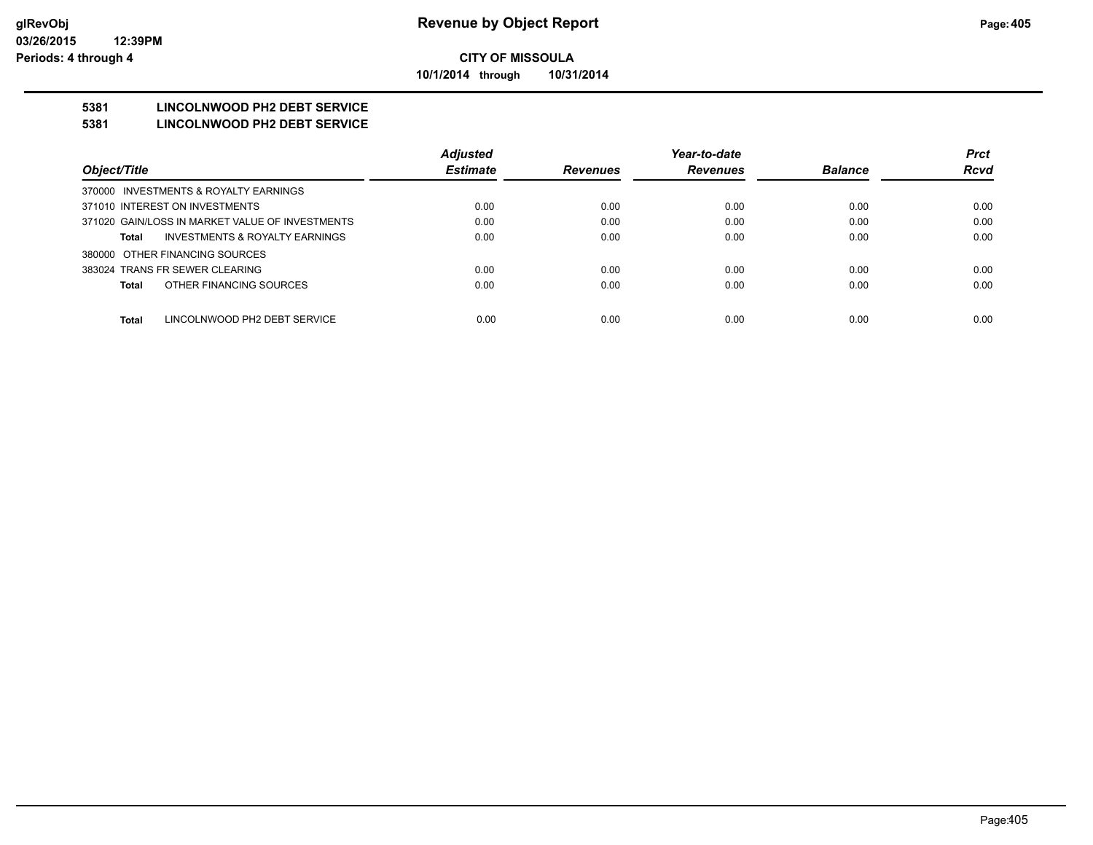**10/1/2014 through 10/31/2014**

## **5381 LINCOLNWOOD PH2 DEBT SERVICE**

#### **5381 LINCOLNWOOD PH2 DEBT SERVICE**

|                                                 | <b>Adjusted</b> |                 | Year-to-date    |                | <b>Prct</b> |
|-------------------------------------------------|-----------------|-----------------|-----------------|----------------|-------------|
| Object/Title                                    | <b>Estimate</b> | <b>Revenues</b> | <b>Revenues</b> | <b>Balance</b> | <b>Rcvd</b> |
| 370000 INVESTMENTS & ROYALTY EARNINGS           |                 |                 |                 |                |             |
| 371010 INTEREST ON INVESTMENTS                  | 0.00            | 0.00            | 0.00            | 0.00           | 0.00        |
| 371020 GAIN/LOSS IN MARKET VALUE OF INVESTMENTS | 0.00            | 0.00            | 0.00            | 0.00           | 0.00        |
| INVESTMENTS & ROYALTY EARNINGS<br>Total         | 0.00            | 0.00            | 0.00            | 0.00           | 0.00        |
| 380000 OTHER FINANCING SOURCES                  |                 |                 |                 |                |             |
| 383024 TRANS FR SEWER CLEARING                  | 0.00            | 0.00            | 0.00            | 0.00           | 0.00        |
| OTHER FINANCING SOURCES<br>Total                | 0.00            | 0.00            | 0.00            | 0.00           | 0.00        |
|                                                 |                 |                 |                 |                |             |
| <b>Total</b><br>LINCOLNWOOD PH2 DEBT SERVICE    | 0.00            | 0.00            | 0.00            | 0.00           | 0.00        |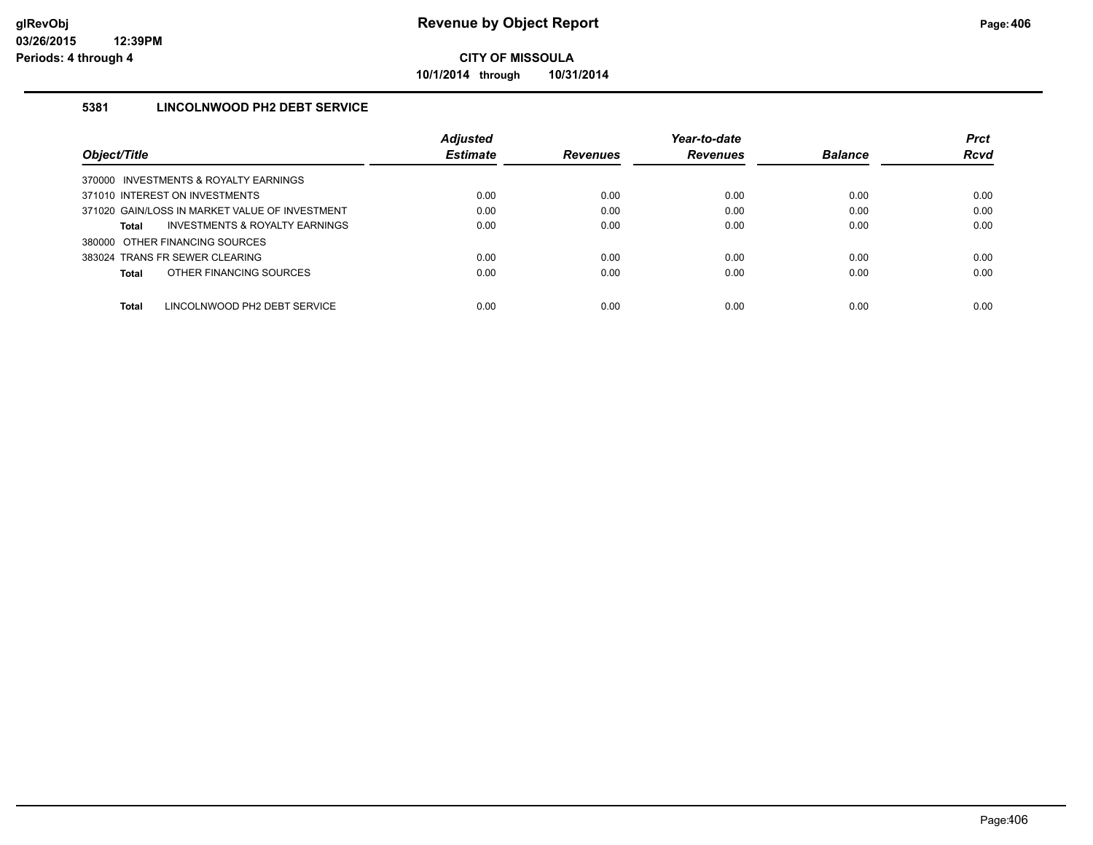**10/1/2014 through 10/31/2014**

### **5381 LINCOLNWOOD PH2 DEBT SERVICE**

|                                                | <b>Adjusted</b> |                 | Year-to-date    |                | <b>Prct</b> |
|------------------------------------------------|-----------------|-----------------|-----------------|----------------|-------------|
| Object/Title                                   | <b>Estimate</b> | <b>Revenues</b> | <b>Revenues</b> | <b>Balance</b> | <b>Rcvd</b> |
| 370000 INVESTMENTS & ROYALTY EARNINGS          |                 |                 |                 |                |             |
| 371010 INTEREST ON INVESTMENTS                 | 0.00            | 0.00            | 0.00            | 0.00           | 0.00        |
| 371020 GAIN/LOSS IN MARKET VALUE OF INVESTMENT | 0.00            | 0.00            | 0.00            | 0.00           | 0.00        |
| INVESTMENTS & ROYALTY EARNINGS<br><b>Total</b> | 0.00            | 0.00            | 0.00            | 0.00           | 0.00        |
| 380000 OTHER FINANCING SOURCES                 |                 |                 |                 |                |             |
| 383024 TRANS FR SEWER CLEARING                 | 0.00            | 0.00            | 0.00            | 0.00           | 0.00        |
| OTHER FINANCING SOURCES<br><b>Total</b>        | 0.00            | 0.00            | 0.00            | 0.00           | 0.00        |
|                                                |                 |                 |                 |                |             |
| <b>Total</b><br>LINCOLNWOOD PH2 DEBT SERVICE   | 0.00            | 0.00            | 0.00            | 0.00           | 0.00        |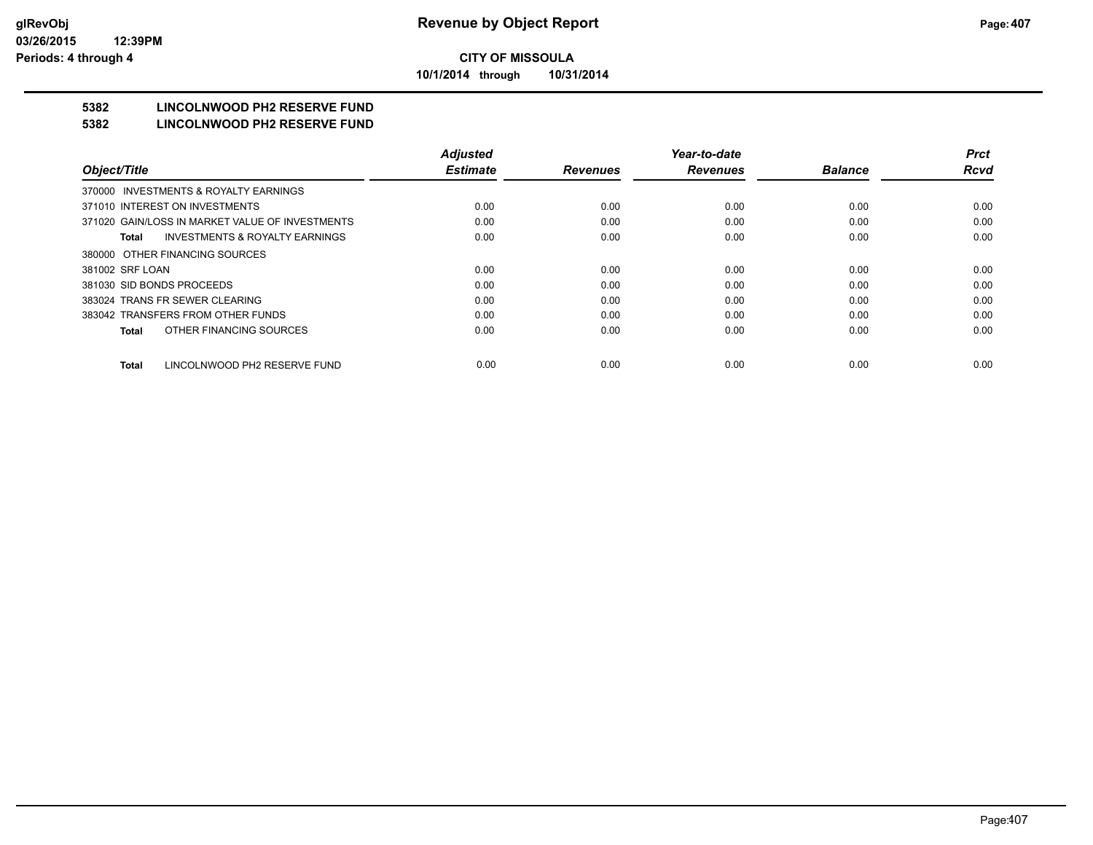**10/1/2014 through 10/31/2014**

## **5382 LINCOLNWOOD PH2 RESERVE FUND**

#### **5382 LINCOLNWOOD PH2 RESERVE FUND**

|                                                    | <b>Adjusted</b> |                 | Year-to-date    |                | <b>Prct</b> |
|----------------------------------------------------|-----------------|-----------------|-----------------|----------------|-------------|
| Object/Title                                       | <b>Estimate</b> | <b>Revenues</b> | <b>Revenues</b> | <b>Balance</b> | <b>Rcvd</b> |
| INVESTMENTS & ROYALTY EARNINGS<br>370000           |                 |                 |                 |                |             |
| 371010 INTEREST ON INVESTMENTS                     | 0.00            | 0.00            | 0.00            | 0.00           | 0.00        |
| 371020 GAIN/LOSS IN MARKET VALUE OF INVESTMENTS    | 0.00            | 0.00            | 0.00            | 0.00           | 0.00        |
| <b>INVESTMENTS &amp; ROYALTY EARNINGS</b><br>Total | 0.00            | 0.00            | 0.00            | 0.00           | 0.00        |
| 380000 OTHER FINANCING SOURCES                     |                 |                 |                 |                |             |
| 381002 SRF LOAN                                    | 0.00            | 0.00            | 0.00            | 0.00           | 0.00        |
| 381030 SID BONDS PROCEEDS                          | 0.00            | 0.00            | 0.00            | 0.00           | 0.00        |
| 383024 TRANS FR SEWER CLEARING                     | 0.00            | 0.00            | 0.00            | 0.00           | 0.00        |
| 383042 TRANSFERS FROM OTHER FUNDS                  | 0.00            | 0.00            | 0.00            | 0.00           | 0.00        |
| OTHER FINANCING SOURCES<br>Total                   | 0.00            | 0.00            | 0.00            | 0.00           | 0.00        |
| LINCOLNWOOD PH2 RESERVE FUND<br><b>Total</b>       | 0.00            | 0.00            | 0.00            | 0.00           | 0.00        |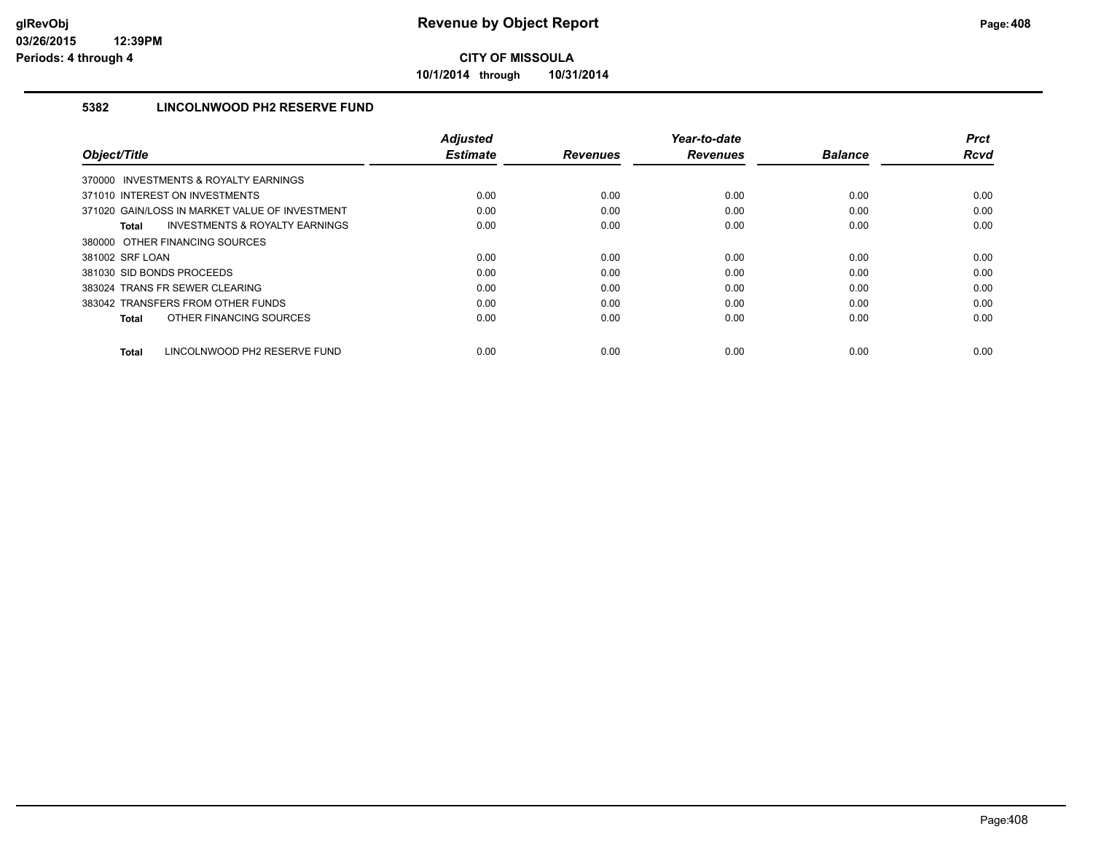**10/1/2014 through 10/31/2014**

### **5382 LINCOLNWOOD PH2 RESERVE FUND**

|                                                    | <b>Adjusted</b> |                 | Year-to-date    |                | <b>Prct</b> |
|----------------------------------------------------|-----------------|-----------------|-----------------|----------------|-------------|
| Object/Title                                       | <b>Estimate</b> | <b>Revenues</b> | <b>Revenues</b> | <b>Balance</b> | <b>Rcvd</b> |
| 370000 INVESTMENTS & ROYALTY EARNINGS              |                 |                 |                 |                |             |
| 371010 INTEREST ON INVESTMENTS                     | 0.00            | 0.00            | 0.00            | 0.00           | 0.00        |
| 371020 GAIN/LOSS IN MARKET VALUE OF INVESTMENT     | 0.00            | 0.00            | 0.00            | 0.00           | 0.00        |
| <b>INVESTMENTS &amp; ROYALTY EARNINGS</b><br>Total | 0.00            | 0.00            | 0.00            | 0.00           | 0.00        |
| 380000 OTHER FINANCING SOURCES                     |                 |                 |                 |                |             |
| 381002 SRF LOAN                                    | 0.00            | 0.00            | 0.00            | 0.00           | 0.00        |
| 381030 SID BONDS PROCEEDS                          | 0.00            | 0.00            | 0.00            | 0.00           | 0.00        |
| 383024 TRANS FR SEWER CLEARING                     | 0.00            | 0.00            | 0.00            | 0.00           | 0.00        |
| 383042 TRANSFERS FROM OTHER FUNDS                  | 0.00            | 0.00            | 0.00            | 0.00           | 0.00        |
| OTHER FINANCING SOURCES<br>Total                   | 0.00            | 0.00            | 0.00            | 0.00           | 0.00        |
|                                                    |                 |                 |                 |                |             |
| LINCOLNWOOD PH2 RESERVE FUND<br>Total              | 0.00            | 0.00            | 0.00            | 0.00           | 0.00        |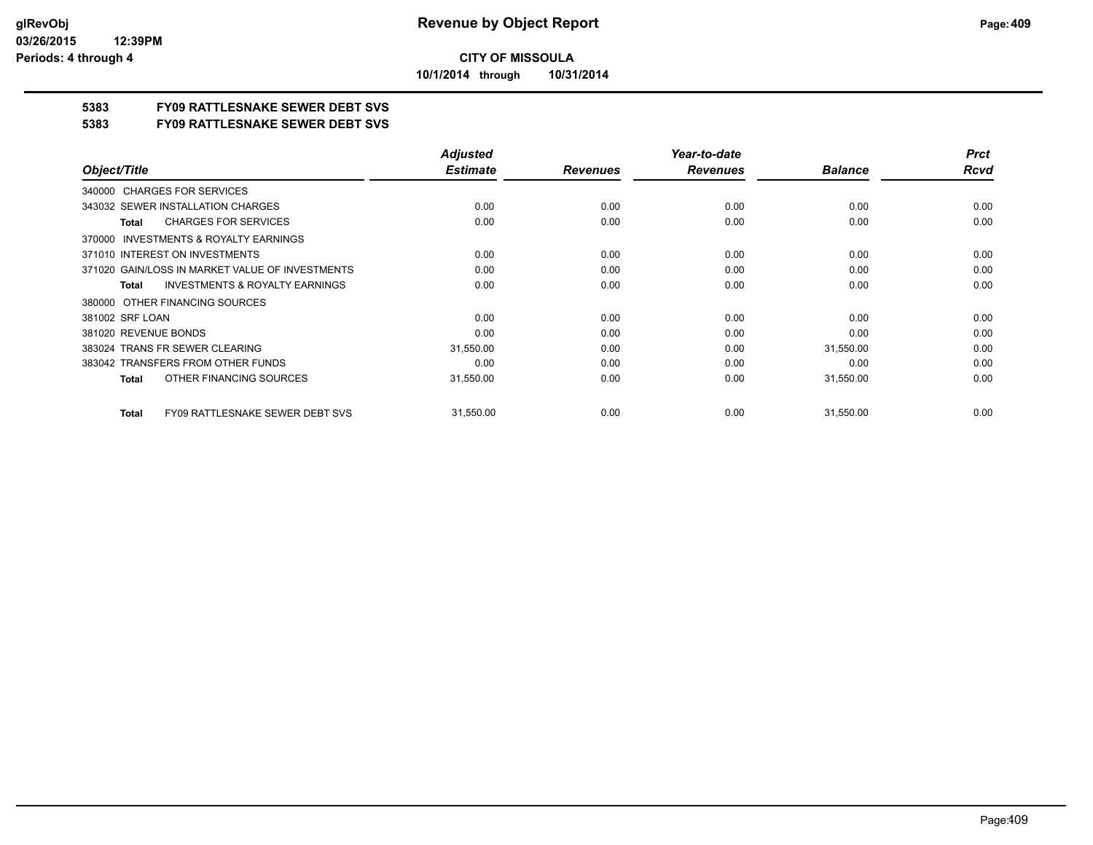**10/1/2014 through 10/31/2014**

## **5383 FY09 RATTLESNAKE SEWER DEBT SVS**

**5383 FY09 RATTLESNAKE SEWER DEBT SVS**

|                                                           | <b>Adjusted</b> |                 | Year-to-date    |                | <b>Prct</b> |
|-----------------------------------------------------------|-----------------|-----------------|-----------------|----------------|-------------|
| Object/Title                                              | <b>Estimate</b> | <b>Revenues</b> | <b>Revenues</b> | <b>Balance</b> | <b>Rcvd</b> |
| 340000 CHARGES FOR SERVICES                               |                 |                 |                 |                |             |
| 343032 SEWER INSTALLATION CHARGES                         | 0.00            | 0.00            | 0.00            | 0.00           | 0.00        |
| <b>CHARGES FOR SERVICES</b><br><b>Total</b>               | 0.00            | 0.00            | 0.00            | 0.00           | 0.00        |
| <b>INVESTMENTS &amp; ROYALTY EARNINGS</b><br>370000       |                 |                 |                 |                |             |
| 371010 INTEREST ON INVESTMENTS                            | 0.00            | 0.00            | 0.00            | 0.00           | 0.00        |
| 371020 GAIN/LOSS IN MARKET VALUE OF INVESTMENTS           | 0.00            | 0.00            | 0.00            | 0.00           | 0.00        |
| <b>INVESTMENTS &amp; ROYALTY EARNINGS</b><br><b>Total</b> | 0.00            | 0.00            | 0.00            | 0.00           | 0.00        |
| OTHER FINANCING SOURCES<br>380000                         |                 |                 |                 |                |             |
| 381002 SRF LOAN                                           | 0.00            | 0.00            | 0.00            | 0.00           | 0.00        |
| 381020 REVENUE BONDS                                      | 0.00            | 0.00            | 0.00            | 0.00           | 0.00        |
| 383024 TRANS FR SEWER CLEARING                            | 31,550.00       | 0.00            | 0.00            | 31,550.00      | 0.00        |
| 383042 TRANSFERS FROM OTHER FUNDS                         | 0.00            | 0.00            | 0.00            | 0.00           | 0.00        |
| OTHER FINANCING SOURCES<br><b>Total</b>                   | 31,550.00       | 0.00            | 0.00            | 31,550.00      | 0.00        |
| <b>FY09 RATTLESNAKE SEWER DEBT SVS</b><br><b>Total</b>    | 31,550.00       | 0.00            | 0.00            | 31,550.00      | 0.00        |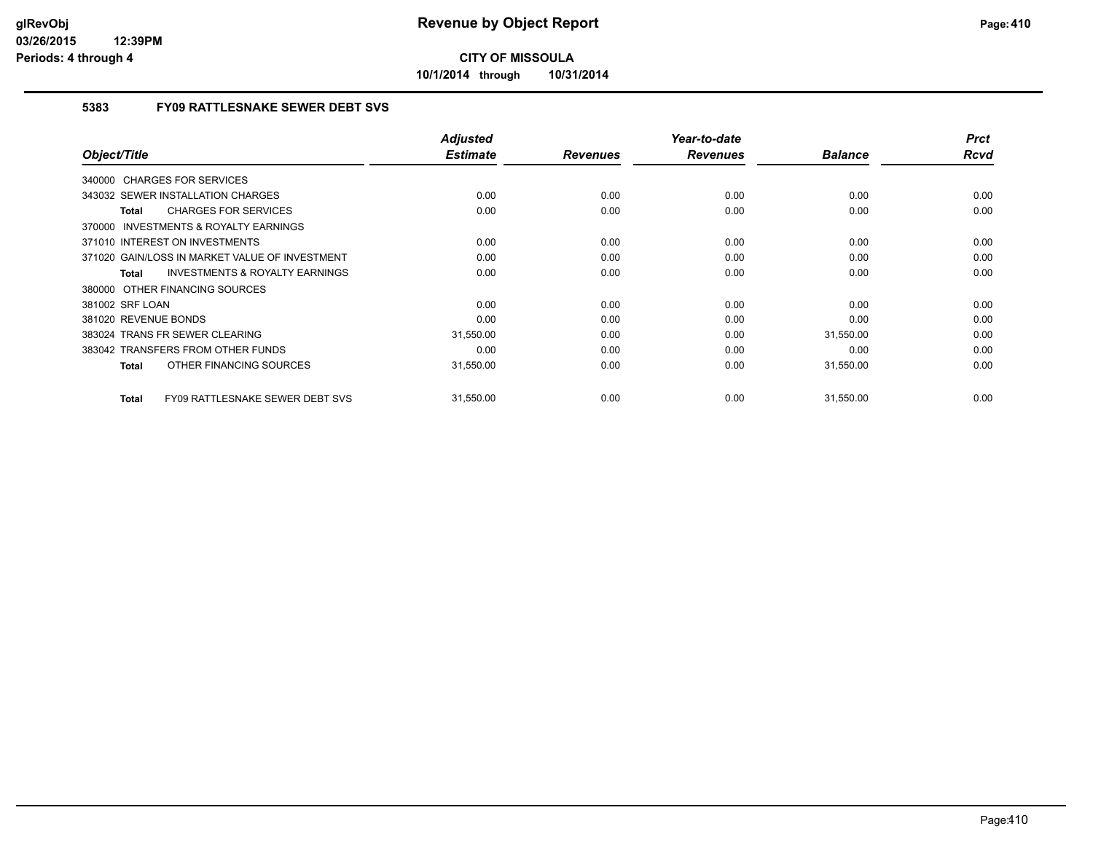**10/1/2014 through 10/31/2014**

### **5383 FY09 RATTLESNAKE SEWER DEBT SVS**

| Object/Title                                              | <b>Adjusted</b><br><b>Estimate</b> | <b>Revenues</b> | Year-to-date<br><b>Revenues</b> | <b>Balance</b> | <b>Prct</b><br>Rcvd |
|-----------------------------------------------------------|------------------------------------|-----------------|---------------------------------|----------------|---------------------|
|                                                           |                                    |                 |                                 |                |                     |
| 340000 CHARGES FOR SERVICES                               |                                    |                 |                                 |                |                     |
| 343032 SEWER INSTALLATION CHARGES                         | 0.00                               | 0.00            | 0.00                            | 0.00           | 0.00                |
| <b>CHARGES FOR SERVICES</b><br>Total                      | 0.00                               | 0.00            | 0.00                            | 0.00           | 0.00                |
| 370000 INVESTMENTS & ROYALTY EARNINGS                     |                                    |                 |                                 |                |                     |
| 371010 INTEREST ON INVESTMENTS                            | 0.00                               | 0.00            | 0.00                            | 0.00           | 0.00                |
| 371020 GAIN/LOSS IN MARKET VALUE OF INVESTMENT            | 0.00                               | 0.00            | 0.00                            | 0.00           | 0.00                |
| <b>INVESTMENTS &amp; ROYALTY EARNINGS</b><br><b>Total</b> | 0.00                               | 0.00            | 0.00                            | 0.00           | 0.00                |
| 380000 OTHER FINANCING SOURCES                            |                                    |                 |                                 |                |                     |
| 381002 SRF LOAN                                           | 0.00                               | 0.00            | 0.00                            | 0.00           | 0.00                |
| 381020 REVENUE BONDS                                      | 0.00                               | 0.00            | 0.00                            | 0.00           | 0.00                |
| 383024 TRANS FR SEWER CLEARING                            | 31,550.00                          | 0.00            | 0.00                            | 31,550.00      | 0.00                |
| 383042 TRANSFERS FROM OTHER FUNDS                         | 0.00                               | 0.00            | 0.00                            | 0.00           | 0.00                |
| OTHER FINANCING SOURCES<br><b>Total</b>                   | 31,550.00                          | 0.00            | 0.00                            | 31,550.00      | 0.00                |
|                                                           |                                    |                 |                                 |                |                     |
| FY09 RATTLESNAKE SEWER DEBT SVS<br>Total                  | 31,550.00                          | 0.00            | 0.00                            | 31,550.00      | 0.00                |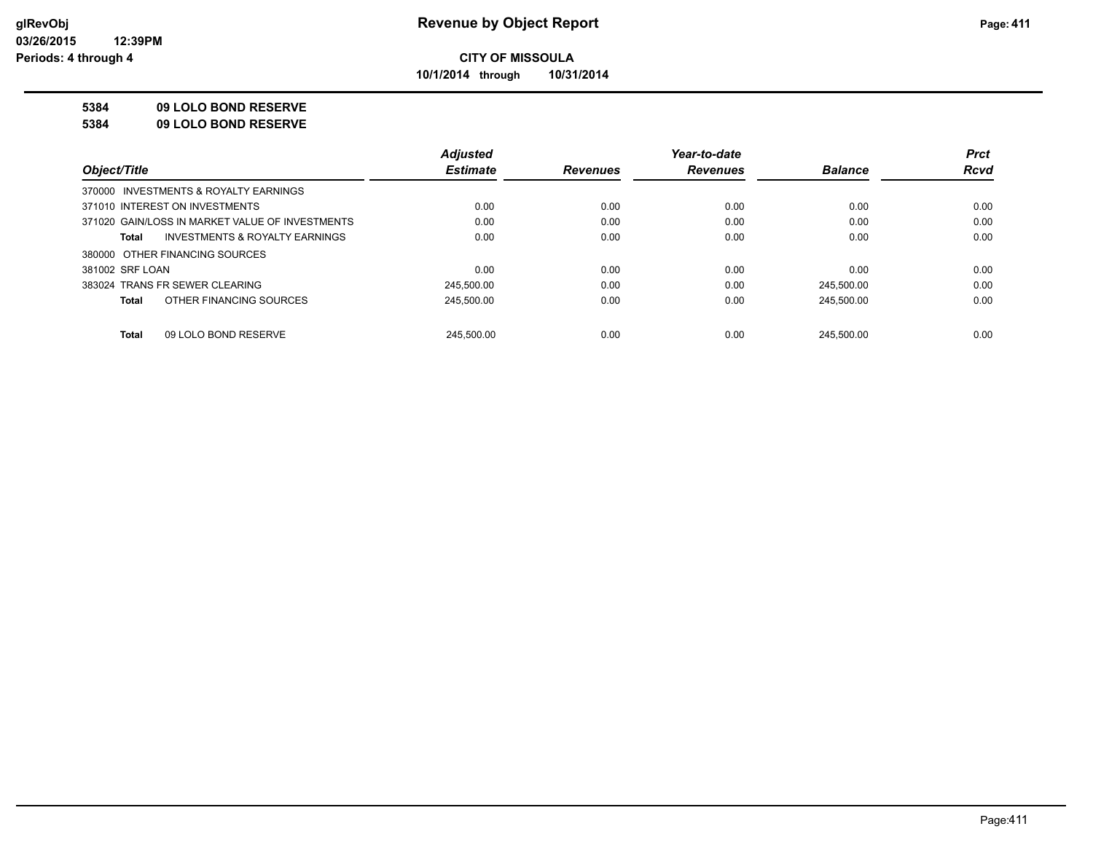**10/1/2014 through 10/31/2014**

#### **5384 09 LOLO BOND RESERVE**

**5384 09 LOLO BOND RESERVE**

|                                                    | <b>Adjusted</b> |                 | Year-to-date    |                | <b>Prct</b> |
|----------------------------------------------------|-----------------|-----------------|-----------------|----------------|-------------|
| Object/Title                                       | <b>Estimate</b> | <b>Revenues</b> | <b>Revenues</b> | <b>Balance</b> | <b>Rcvd</b> |
| 370000 INVESTMENTS & ROYALTY EARNINGS              |                 |                 |                 |                |             |
| 371010 INTEREST ON INVESTMENTS                     | 0.00            | 0.00            | 0.00            | 0.00           | 0.00        |
| 371020 GAIN/LOSS IN MARKET VALUE OF INVESTMENTS    | 0.00            | 0.00            | 0.00            | 0.00           | 0.00        |
| <b>INVESTMENTS &amp; ROYALTY EARNINGS</b><br>Total | 0.00            | 0.00            | 0.00            | 0.00           | 0.00        |
| 380000 OTHER FINANCING SOURCES                     |                 |                 |                 |                |             |
| 381002 SRF LOAN                                    | 0.00            | 0.00            | 0.00            | 0.00           | 0.00        |
| 383024 TRANS FR SEWER CLEARING                     | 245,500.00      | 0.00            | 0.00            | 245,500.00     | 0.00        |
| OTHER FINANCING SOURCES<br>Total                   | 245,500.00      | 0.00            | 0.00            | 245.500.00     | 0.00        |
|                                                    |                 |                 |                 |                |             |
| 09 LOLO BOND RESERVE<br><b>Total</b>               | 245.500.00      | 0.00            | 0.00            | 245.500.00     | 0.00        |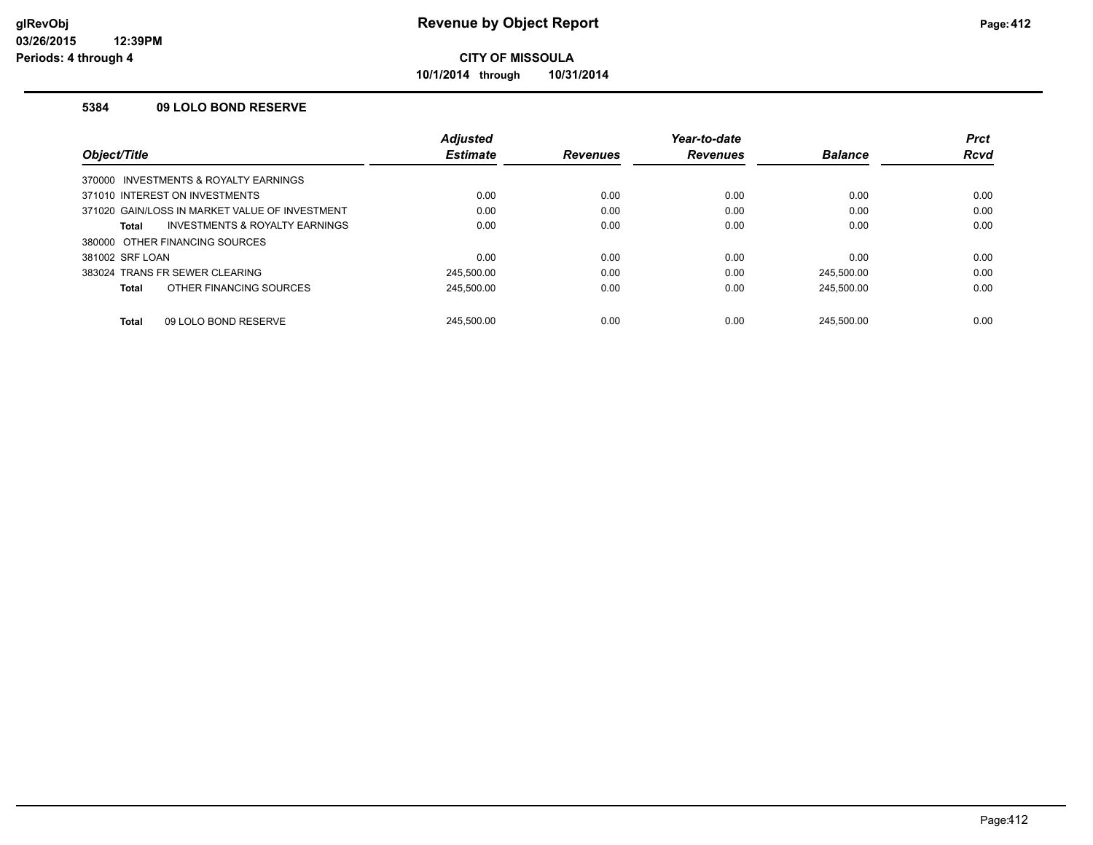**10/1/2014 through 10/31/2014**

#### **5384 09 LOLO BOND RESERVE**

|                                                | <b>Adjusted</b> |                 | Year-to-date    |                | <b>Prct</b> |
|------------------------------------------------|-----------------|-----------------|-----------------|----------------|-------------|
| Object/Title                                   | <b>Estimate</b> | <b>Revenues</b> | <b>Revenues</b> | <b>Balance</b> | <b>Rcvd</b> |
| 370000 INVESTMENTS & ROYALTY EARNINGS          |                 |                 |                 |                |             |
| 371010 INTEREST ON INVESTMENTS                 | 0.00            | 0.00            | 0.00            | 0.00           | 0.00        |
| 371020 GAIN/LOSS IN MARKET VALUE OF INVESTMENT | 0.00            | 0.00            | 0.00            | 0.00           | 0.00        |
| INVESTMENTS & ROYALTY EARNINGS<br>Total        | 0.00            | 0.00            | 0.00            | 0.00           | 0.00        |
| 380000 OTHER FINANCING SOURCES                 |                 |                 |                 |                |             |
| 381002 SRF LOAN                                | 0.00            | 0.00            | 0.00            | 0.00           | 0.00        |
| 383024 TRANS FR SEWER CLEARING                 | 245.500.00      | 0.00            | 0.00            | 245.500.00     | 0.00        |
| OTHER FINANCING SOURCES<br>Total               | 245.500.00      | 0.00            | 0.00            | 245.500.00     | 0.00        |
| 09 LOLO BOND RESERVE<br><b>Total</b>           | 245.500.00      | 0.00            | 0.00            | 245.500.00     | 0.00        |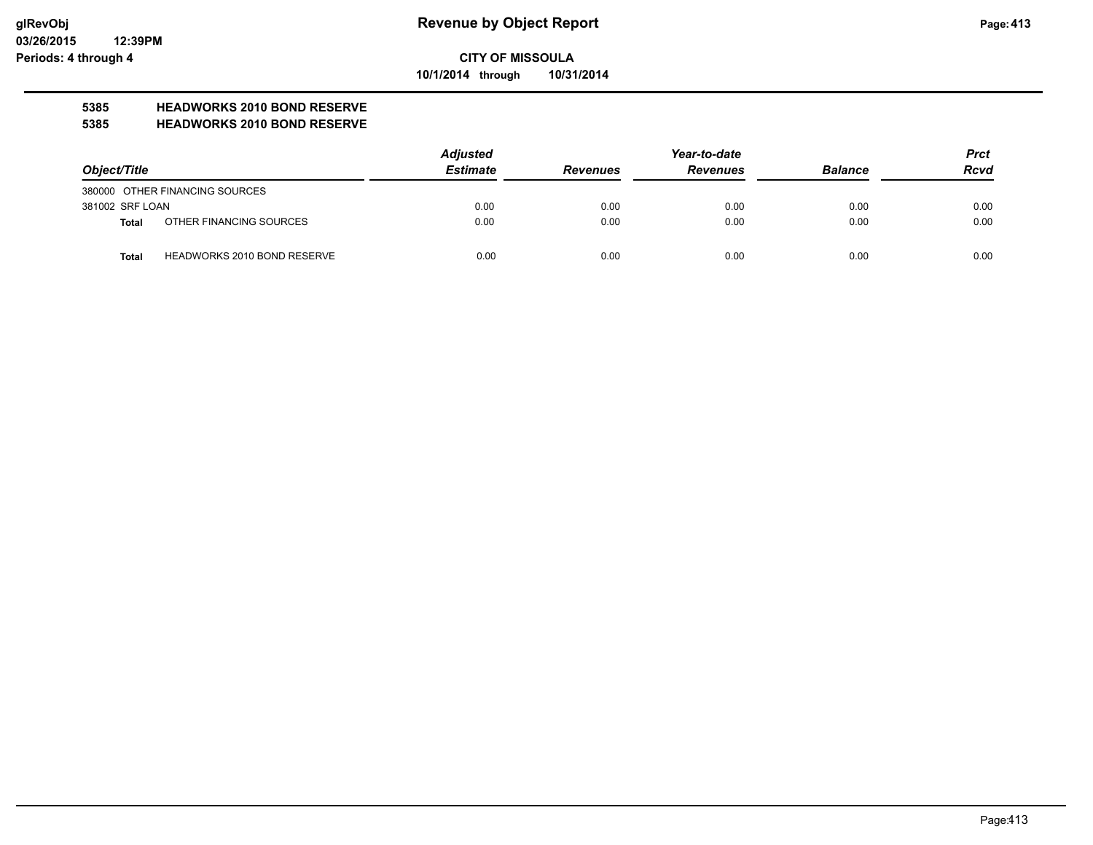**10/1/2014 through 10/31/2014**

## **5385 HEADWORKS 2010 BOND RESERVE**

#### **5385 HEADWORKS 2010 BOND RESERVE**

|                 |                                    | <b>Adjusted</b> |                 | Year-to-date    |                | <b>Prct</b> |
|-----------------|------------------------------------|-----------------|-----------------|-----------------|----------------|-------------|
| Object/Title    |                                    | <b>Estimate</b> | <b>Revenues</b> | <b>Revenues</b> | <b>Balance</b> | <b>Rcvd</b> |
|                 | 380000 OTHER FINANCING SOURCES     |                 |                 |                 |                |             |
| 381002 SRF LOAN |                                    | 0.00            | 0.00            | 0.00            | 0.00           | 0.00        |
| Total           | OTHER FINANCING SOURCES            | 0.00            | 0.00            | 0.00            | 0.00           | 0.00        |
| <b>Total</b>    | <b>HEADWORKS 2010 BOND RESERVE</b> | 0.00            | 0.00            | 0.00            | 0.00           | 0.00        |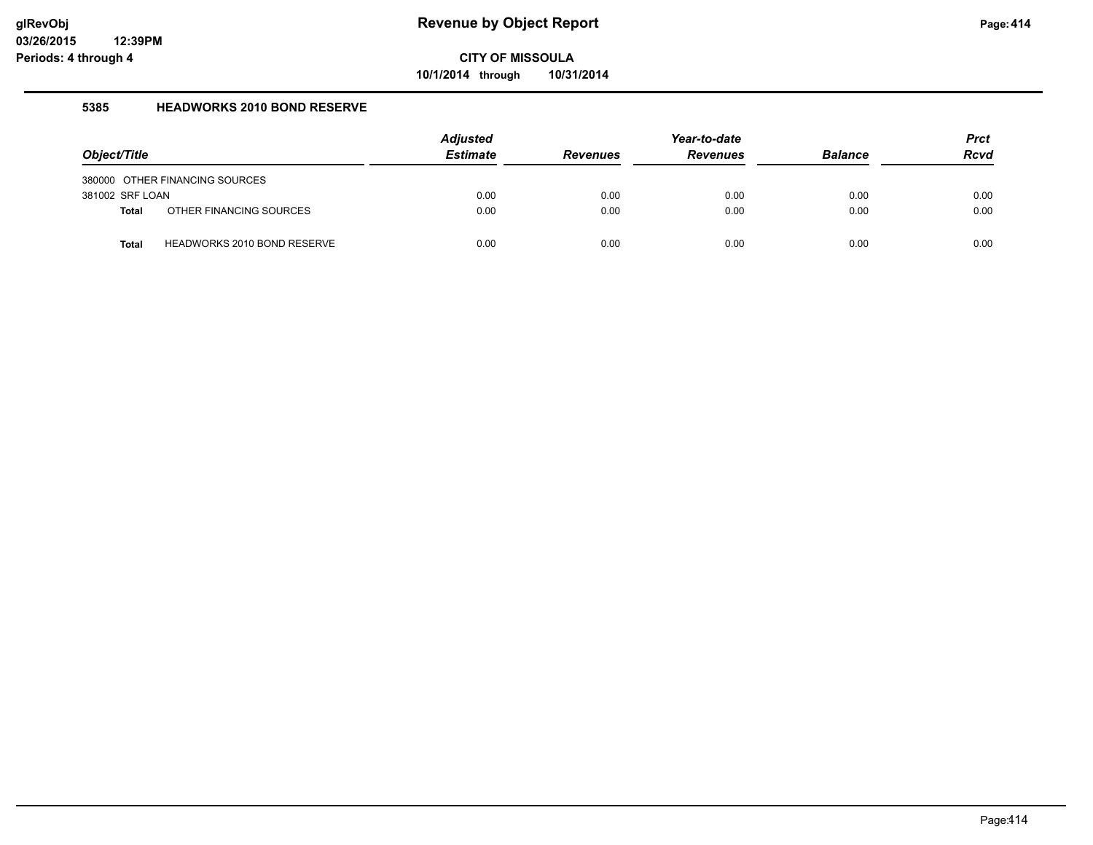**10/1/2014 through 10/31/2014**

#### **5385 HEADWORKS 2010 BOND RESERVE**

| Object/Title                    |                                | <b>Adjusted</b><br><b>Estimate</b> | <b>Revenues</b> | Year-to-date<br><b>Revenues</b> | <b>Balance</b> | <b>Prct</b><br><b>Rcvd</b> |
|---------------------------------|--------------------------------|------------------------------------|-----------------|---------------------------------|----------------|----------------------------|
|                                 | 380000 OTHER FINANCING SOURCES |                                    |                 |                                 |                |                            |
| 381002 SRF LOAN<br><b>Total</b> | OTHER FINANCING SOURCES        | 0.00<br>0.00                       | 0.00<br>0.00    | 0.00<br>0.00                    | 0.00<br>0.00   | 0.00<br>0.00               |
| <b>Total</b>                    | HEADWORKS 2010 BOND RESERVE    | 0.00                               | 0.00            | 0.00                            | 0.00           | 0.00                       |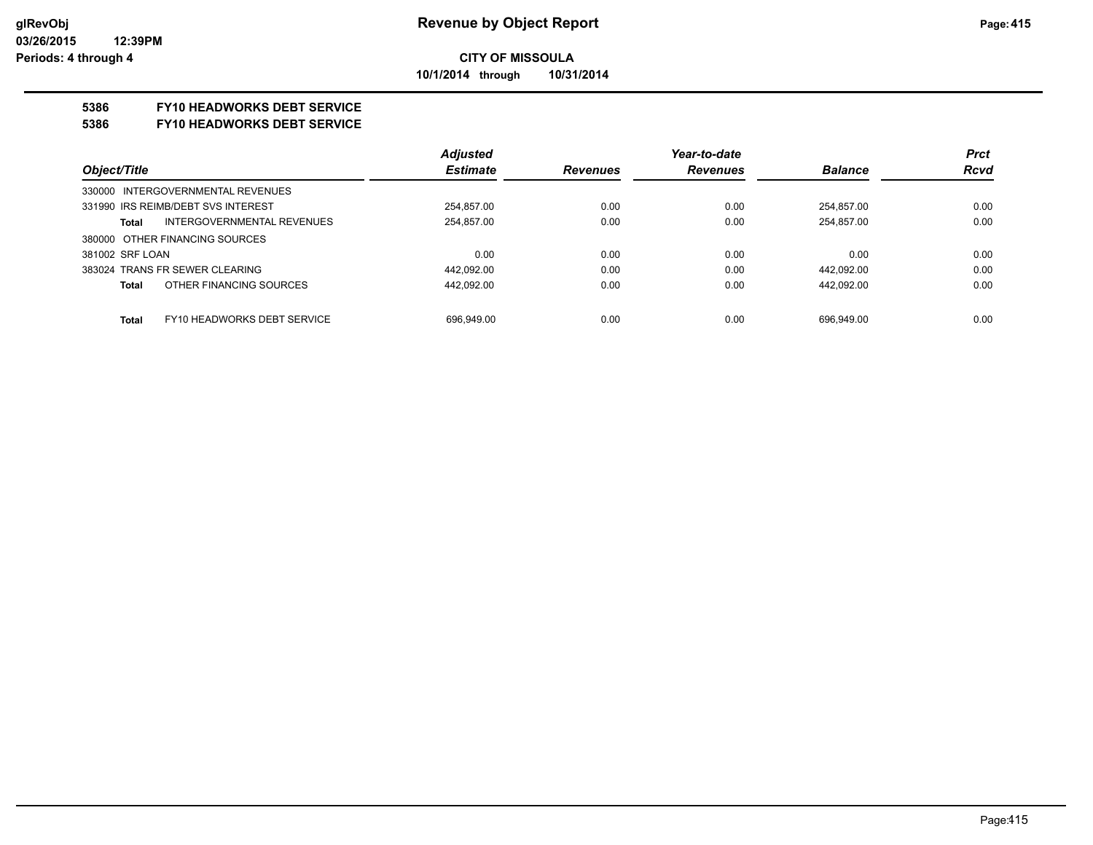#### **CITY OF MISSOULA 10/1/2014 through 10/31/2014**

#### **5386 FY10 HEADWORKS DEBT SERVICE**

#### **5386 FY10 HEADWORKS DEBT SERVICE**

|                                             | <b>Adjusted</b> |                 | Year-to-date    |                | <b>Prct</b> |
|---------------------------------------------|-----------------|-----------------|-----------------|----------------|-------------|
| Object/Title                                | <b>Estimate</b> | <b>Revenues</b> | <b>Revenues</b> | <b>Balance</b> | <b>Rcvd</b> |
| 330000 INTERGOVERNMENTAL REVENUES           |                 |                 |                 |                |             |
| 331990 IRS REIMB/DEBT SVS INTEREST          | 254.857.00      | 0.00            | 0.00            | 254.857.00     | 0.00        |
| <b>INTERGOVERNMENTAL REVENUES</b><br>Total  | 254.857.00      | 0.00            | 0.00            | 254.857.00     | 0.00        |
| 380000 OTHER FINANCING SOURCES              |                 |                 |                 |                |             |
| 381002 SRF LOAN                             | 0.00            | 0.00            | 0.00            | 0.00           | 0.00        |
| 383024 TRANS FR SEWER CLEARING              | 442,092.00      | 0.00            | 0.00            | 442,092.00     | 0.00        |
| OTHER FINANCING SOURCES<br>Total            | 442.092.00      | 0.00            | 0.00            | 442.092.00     | 0.00        |
|                                             |                 |                 |                 |                |             |
| FY10 HEADWORKS DEBT SERVICE<br><b>Total</b> | 696.949.00      | 0.00            | 0.00            | 696.949.00     | 0.00        |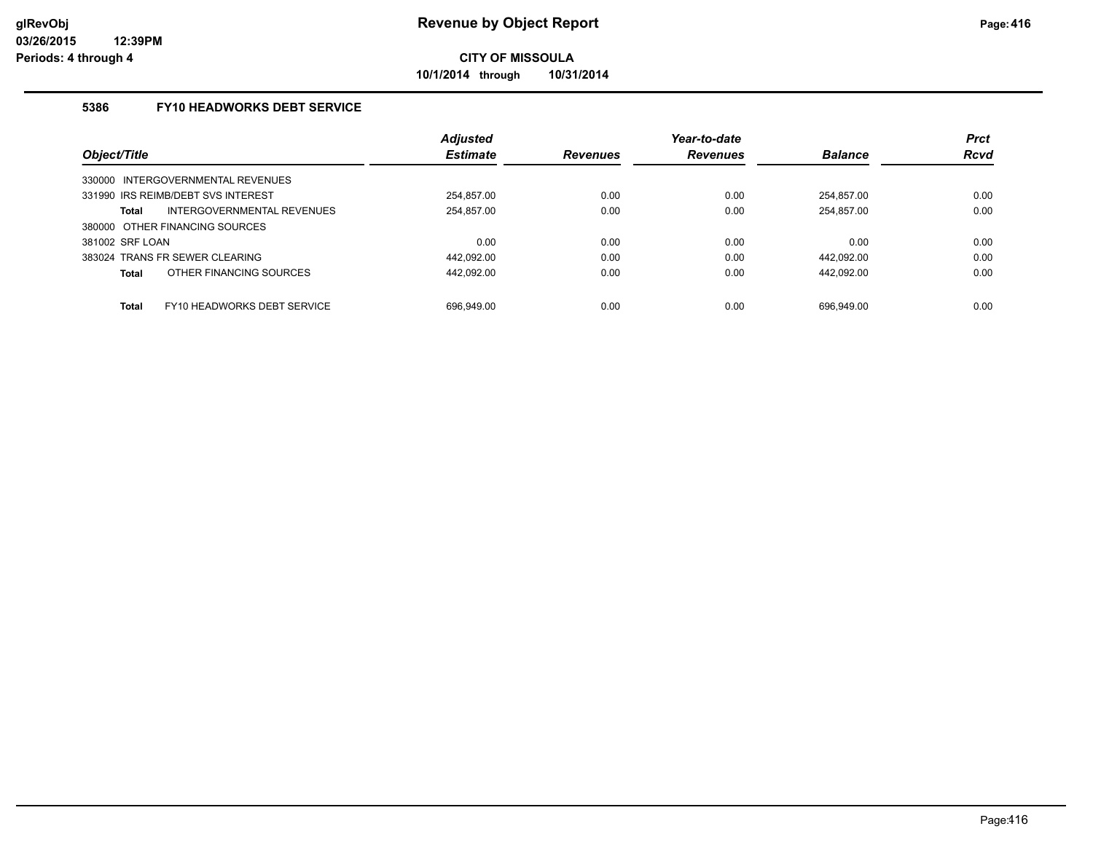**10/1/2014 through 10/31/2014**

### **5386 FY10 HEADWORKS DEBT SERVICE**

|                                                    | Adjusted        |                 | Year-to-date    |                | <b>Prct</b> |
|----------------------------------------------------|-----------------|-----------------|-----------------|----------------|-------------|
| Object/Title                                       | <b>Estimate</b> | <b>Revenues</b> | <b>Revenues</b> | <b>Balance</b> | <b>Rcvd</b> |
| 330000 INTERGOVERNMENTAL REVENUES                  |                 |                 |                 |                |             |
| 331990 IRS REIMB/DEBT SVS INTEREST                 | 254.857.00      | 0.00            | 0.00            | 254.857.00     | 0.00        |
| INTERGOVERNMENTAL REVENUES<br><b>Total</b>         | 254,857.00      | 0.00            | 0.00            | 254,857.00     | 0.00        |
| 380000 OTHER FINANCING SOURCES                     |                 |                 |                 |                |             |
| 381002 SRF LOAN                                    | 0.00            | 0.00            | 0.00            | 0.00           | 0.00        |
| 383024 TRANS FR SEWER CLEARING                     | 442.092.00      | 0.00            | 0.00            | 442.092.00     | 0.00        |
| OTHER FINANCING SOURCES<br><b>Total</b>            | 442.092.00      | 0.00            | 0.00            | 442.092.00     | 0.00        |
|                                                    |                 |                 |                 |                |             |
| <b>Total</b><br><b>FY10 HEADWORKS DEBT SERVICE</b> | 696.949.00      | 0.00            | 0.00            | 696.949.00     | 0.00        |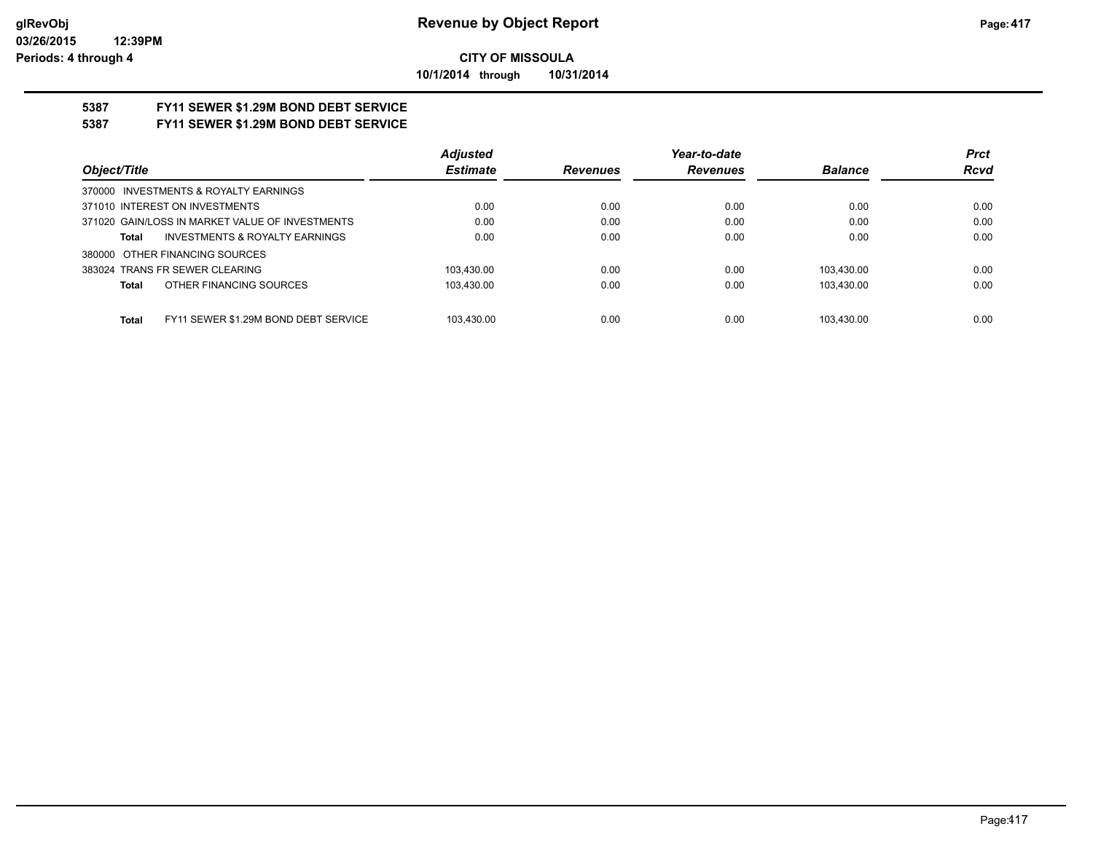**10/1/2014 through 10/31/2014**

# **5387 FY11 SEWER \$1.29M BOND DEBT SERVICE**

## **5387 FY11 SEWER \$1.29M BOND DEBT SERVICE**

|                                                      | <b>Adjusted</b> |                 | Year-to-date    |                | <b>Prct</b> |
|------------------------------------------------------|-----------------|-----------------|-----------------|----------------|-------------|
| Object/Title                                         | <b>Estimate</b> | <b>Revenues</b> | <b>Revenues</b> | <b>Balance</b> | <b>Rcvd</b> |
| 370000 INVESTMENTS & ROYALTY EARNINGS                |                 |                 |                 |                |             |
| 371010 INTEREST ON INVESTMENTS                       | 0.00            | 0.00            | 0.00            | 0.00           | 0.00        |
| 371020 GAIN/LOSS IN MARKET VALUE OF INVESTMENTS      | 0.00            | 0.00            | 0.00            | 0.00           | 0.00        |
| <b>INVESTMENTS &amp; ROYALTY EARNINGS</b><br>Total   | 0.00            | 0.00            | 0.00            | 0.00           | 0.00        |
| 380000 OTHER FINANCING SOURCES                       |                 |                 |                 |                |             |
| 383024 TRANS FR SEWER CLEARING                       | 103.430.00      | 0.00            | 0.00            | 103.430.00     | 0.00        |
| OTHER FINANCING SOURCES<br><b>Total</b>              | 103.430.00      | 0.00            | 0.00            | 103.430.00     | 0.00        |
|                                                      |                 |                 |                 |                |             |
| FY11 SEWER \$1.29M BOND DEBT SERVICE<br><b>Total</b> | 103.430.00      | 0.00            | 0.00            | 103.430.00     | 0.00        |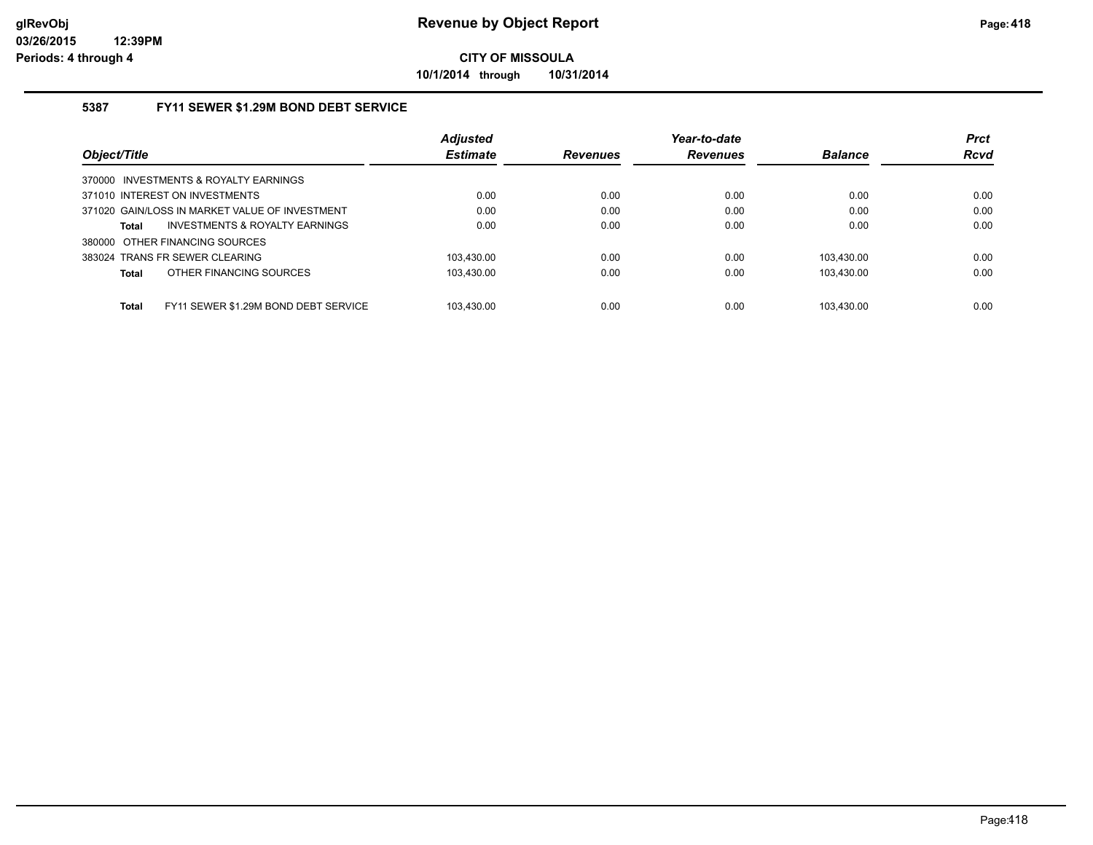**10/1/2014 through 10/31/2014**

### **5387 FY11 SEWER \$1.29M BOND DEBT SERVICE**

|                                                      | <b>Adjusted</b> |                 | Year-to-date    |                | <b>Prct</b> |
|------------------------------------------------------|-----------------|-----------------|-----------------|----------------|-------------|
| Object/Title                                         | <b>Estimate</b> | <b>Revenues</b> | <b>Revenues</b> | <b>Balance</b> | <b>Rcvd</b> |
| 370000 INVESTMENTS & ROYALTY EARNINGS                |                 |                 |                 |                |             |
| 371010 INTEREST ON INVESTMENTS                       | 0.00            | 0.00            | 0.00            | 0.00           | 0.00        |
| 371020 GAIN/LOSS IN MARKET VALUE OF INVESTMENT       | 0.00            | 0.00            | 0.00            | 0.00           | 0.00        |
| INVESTMENTS & ROYALTY EARNINGS<br>Total              | 0.00            | 0.00            | 0.00            | 0.00           | 0.00        |
| 380000 OTHER FINANCING SOURCES                       |                 |                 |                 |                |             |
| 383024 TRANS FR SEWER CLEARING                       | 103.430.00      | 0.00            | 0.00            | 103.430.00     | 0.00        |
| OTHER FINANCING SOURCES<br><b>Total</b>              | 103.430.00      | 0.00            | 0.00            | 103.430.00     | 0.00        |
|                                                      |                 |                 |                 |                |             |
| <b>Total</b><br>FY11 SEWER \$1.29M BOND DEBT SERVICE | 103.430.00      | 0.00            | 0.00            | 103.430.00     | 0.00        |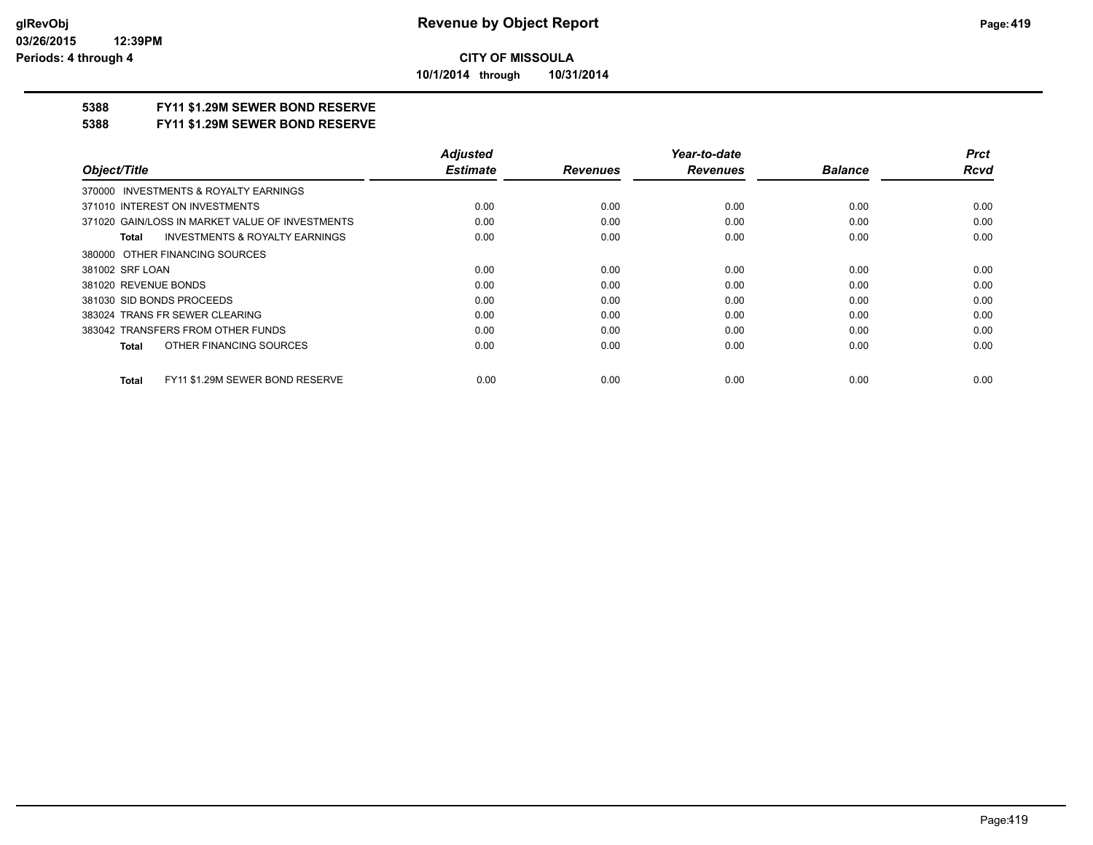**10/1/2014 through 10/31/2014**

## **5388 FY11 \$1.29M SEWER BOND RESERVE**

#### **5388 FY11 \$1.29M SEWER BOND RESERVE**

|                                                    | <b>Adjusted</b> |                 | Year-to-date    |                | <b>Prct</b> |
|----------------------------------------------------|-----------------|-----------------|-----------------|----------------|-------------|
| Object/Title                                       | <b>Estimate</b> | <b>Revenues</b> | <b>Revenues</b> | <b>Balance</b> | <b>Rcvd</b> |
| 370000 INVESTMENTS & ROYALTY EARNINGS              |                 |                 |                 |                |             |
| 371010 INTEREST ON INVESTMENTS                     | 0.00            | 0.00            | 0.00            | 0.00           | 0.00        |
| 371020 GAIN/LOSS IN MARKET VALUE OF INVESTMENTS    | 0.00            | 0.00            | 0.00            | 0.00           | 0.00        |
| <b>INVESTMENTS &amp; ROYALTY EARNINGS</b><br>Total | 0.00            | 0.00            | 0.00            | 0.00           | 0.00        |
| 380000 OTHER FINANCING SOURCES                     |                 |                 |                 |                |             |
| 381002 SRF LOAN                                    | 0.00            | 0.00            | 0.00            | 0.00           | 0.00        |
| 381020 REVENUE BONDS                               | 0.00            | 0.00            | 0.00            | 0.00           | 0.00        |
| 381030 SID BONDS PROCEEDS                          | 0.00            | 0.00            | 0.00            | 0.00           | 0.00        |
| 383024 TRANS FR SEWER CLEARING                     | 0.00            | 0.00            | 0.00            | 0.00           | 0.00        |
| 383042 TRANSFERS FROM OTHER FUNDS                  | 0.00            | 0.00            | 0.00            | 0.00           | 0.00        |
| OTHER FINANCING SOURCES<br><b>Total</b>            | 0.00            | 0.00            | 0.00            | 0.00           | 0.00        |
| FY11 \$1.29M SEWER BOND RESERVE<br><b>Total</b>    | 0.00            | 0.00            | 0.00            | 0.00           | 0.00        |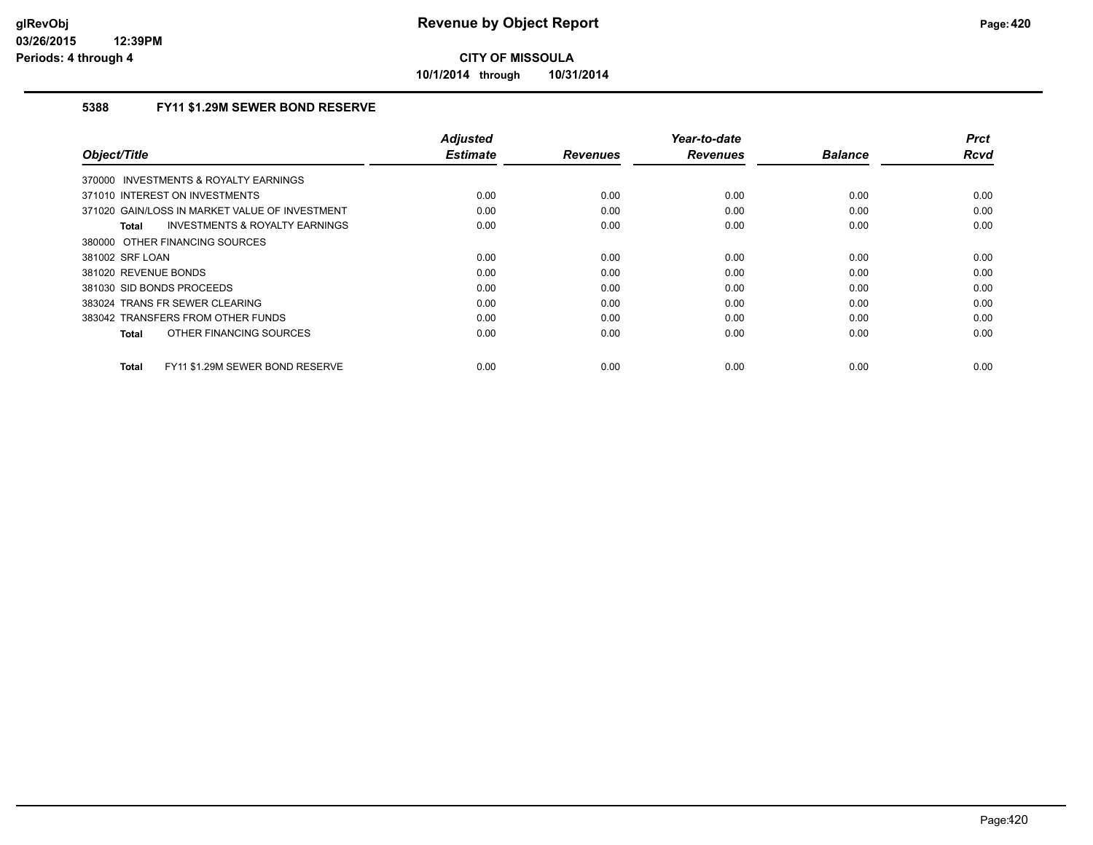**10/1/2014 through 10/31/2014**

### **5388 FY11 \$1.29M SEWER BOND RESERVE**

| Object/Title                                       | <b>Adjusted</b><br><b>Estimate</b> |                 | Year-to-date    | <b>Balance</b> | <b>Prct</b><br><b>Rcvd</b> |
|----------------------------------------------------|------------------------------------|-----------------|-----------------|----------------|----------------------------|
|                                                    |                                    | <b>Revenues</b> | <b>Revenues</b> |                |                            |
| 370000 INVESTMENTS & ROYALTY EARNINGS              |                                    |                 |                 |                |                            |
| 371010 INTEREST ON INVESTMENTS                     | 0.00                               | 0.00            | 0.00            | 0.00           | 0.00                       |
| 371020 GAIN/LOSS IN MARKET VALUE OF INVESTMENT     | 0.00                               | 0.00            | 0.00            | 0.00           | 0.00                       |
| <b>INVESTMENTS &amp; ROYALTY EARNINGS</b><br>Total | 0.00                               | 0.00            | 0.00            | 0.00           | 0.00                       |
| 380000 OTHER FINANCING SOURCES                     |                                    |                 |                 |                |                            |
| 381002 SRF LOAN                                    | 0.00                               | 0.00            | 0.00            | 0.00           | 0.00                       |
| 381020 REVENUE BONDS                               | 0.00                               | 0.00            | 0.00            | 0.00           | 0.00                       |
| 381030 SID BONDS PROCEEDS                          | 0.00                               | 0.00            | 0.00            | 0.00           | 0.00                       |
| 383024 TRANS FR SEWER CLEARING                     | 0.00                               | 0.00            | 0.00            | 0.00           | 0.00                       |
| 383042 TRANSFERS FROM OTHER FUNDS                  | 0.00                               | 0.00            | 0.00            | 0.00           | 0.00                       |
| OTHER FINANCING SOURCES<br>Total                   | 0.00                               | 0.00            | 0.00            | 0.00           | 0.00                       |
|                                                    |                                    |                 |                 |                |                            |
| FY11 \$1.29M SEWER BOND RESERVE<br>Total           | 0.00                               | 0.00            | 0.00            | 0.00           | 0.00                       |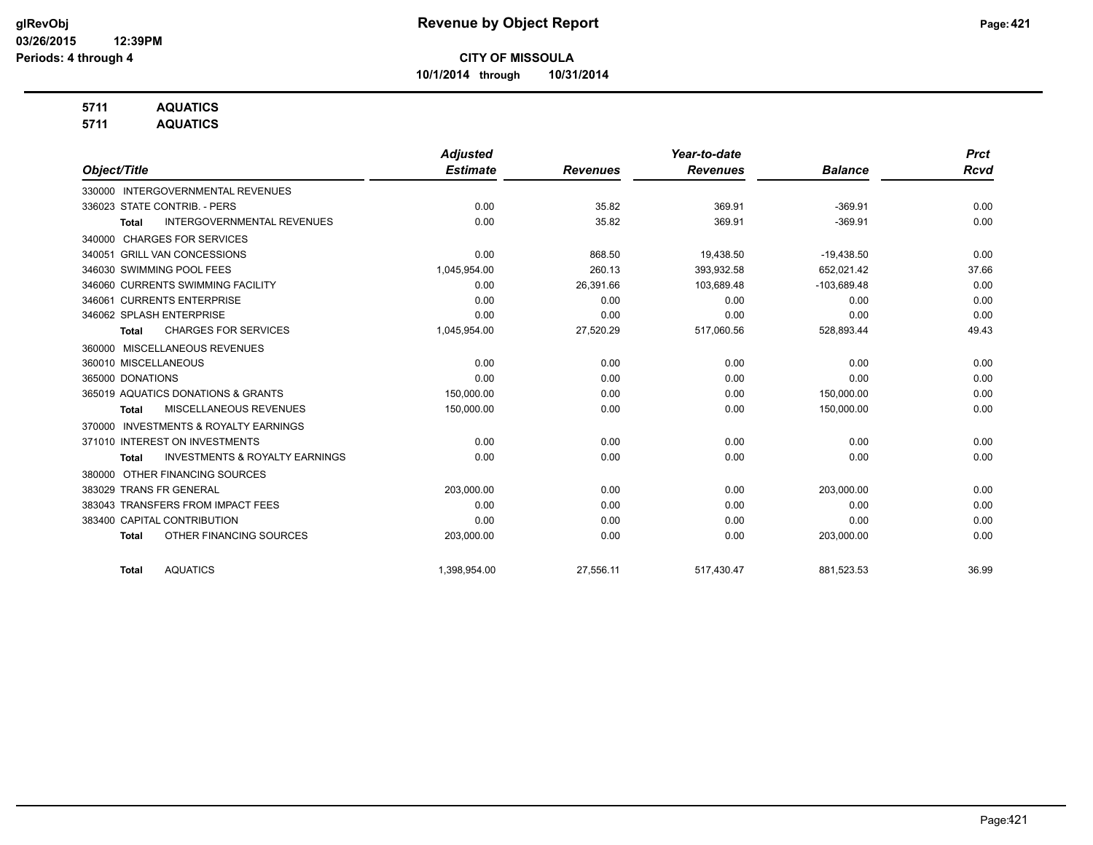**10/1/2014 through 10/31/2014**

## **5711 AQUATICS**

**5711 AQUATICS**

|                                                           | <b>Adjusted</b> |                 | Year-to-date    |                | <b>Prct</b> |
|-----------------------------------------------------------|-----------------|-----------------|-----------------|----------------|-------------|
| Object/Title                                              | <b>Estimate</b> | <b>Revenues</b> | <b>Revenues</b> | <b>Balance</b> | <b>Rcvd</b> |
| <b>INTERGOVERNMENTAL REVENUES</b><br>330000               |                 |                 |                 |                |             |
| 336023 STATE CONTRIB. - PERS                              | 0.00            | 35.82           | 369.91          | $-369.91$      | 0.00        |
| <b>INTERGOVERNMENTAL REVENUES</b><br><b>Total</b>         | 0.00            | 35.82           | 369.91          | $-369.91$      | 0.00        |
| <b>CHARGES FOR SERVICES</b><br>340000                     |                 |                 |                 |                |             |
| 340051 GRILL VAN CONCESSIONS                              | 0.00            | 868.50          | 19,438.50       | $-19,438.50$   | 0.00        |
| 346030 SWIMMING POOL FEES                                 | 1,045,954.00    | 260.13          | 393,932.58      | 652,021.42     | 37.66       |
| 346060 CURRENTS SWIMMING FACILITY                         | 0.00            | 26,391.66       | 103,689.48      | $-103,689.48$  | 0.00        |
| 346061 CURRENTS ENTERPRISE                                | 0.00            | 0.00            | 0.00            | 0.00           | 0.00        |
| 346062 SPLASH ENTERPRISE                                  | 0.00            | 0.00            | 0.00            | 0.00           | 0.00        |
| <b>CHARGES FOR SERVICES</b><br><b>Total</b>               | 1,045,954.00    | 27,520.29       | 517,060.56      | 528,893.44     | 49.43       |
| 360000 MISCELLANEOUS REVENUES                             |                 |                 |                 |                |             |
| 360010 MISCELLANEOUS                                      | 0.00            | 0.00            | 0.00            | 0.00           | 0.00        |
| 365000 DONATIONS                                          | 0.00            | 0.00            | 0.00            | 0.00           | 0.00        |
| 365019 AQUATICS DONATIONS & GRANTS                        | 150,000.00      | 0.00            | 0.00            | 150,000.00     | 0.00        |
| MISCELLANEOUS REVENUES<br>Total                           | 150,000.00      | 0.00            | 0.00            | 150,000.00     | 0.00        |
| <b>INVESTMENTS &amp; ROYALTY EARNINGS</b><br>370000       |                 |                 |                 |                |             |
| 371010 INTEREST ON INVESTMENTS                            | 0.00            | 0.00            | 0.00            | 0.00           | 0.00        |
| <b>INVESTMENTS &amp; ROYALTY EARNINGS</b><br><b>Total</b> | 0.00            | 0.00            | 0.00            | 0.00           | 0.00        |
| OTHER FINANCING SOURCES<br>380000                         |                 |                 |                 |                |             |
| 383029 TRANS FR GENERAL                                   | 203,000.00      | 0.00            | 0.00            | 203,000.00     | 0.00        |
| 383043 TRANSFERS FROM IMPACT FEES                         | 0.00            | 0.00            | 0.00            | 0.00           | 0.00        |
| 383400 CAPITAL CONTRIBUTION                               | 0.00            | 0.00            | 0.00            | 0.00           | 0.00        |
| OTHER FINANCING SOURCES<br><b>Total</b>                   | 203,000.00      | 0.00            | 0.00            | 203,000.00     | 0.00        |
|                                                           |                 |                 |                 |                |             |
| <b>AQUATICS</b><br><b>Total</b>                           | 1,398,954.00    | 27,556.11       | 517,430.47      | 881,523.53     | 36.99       |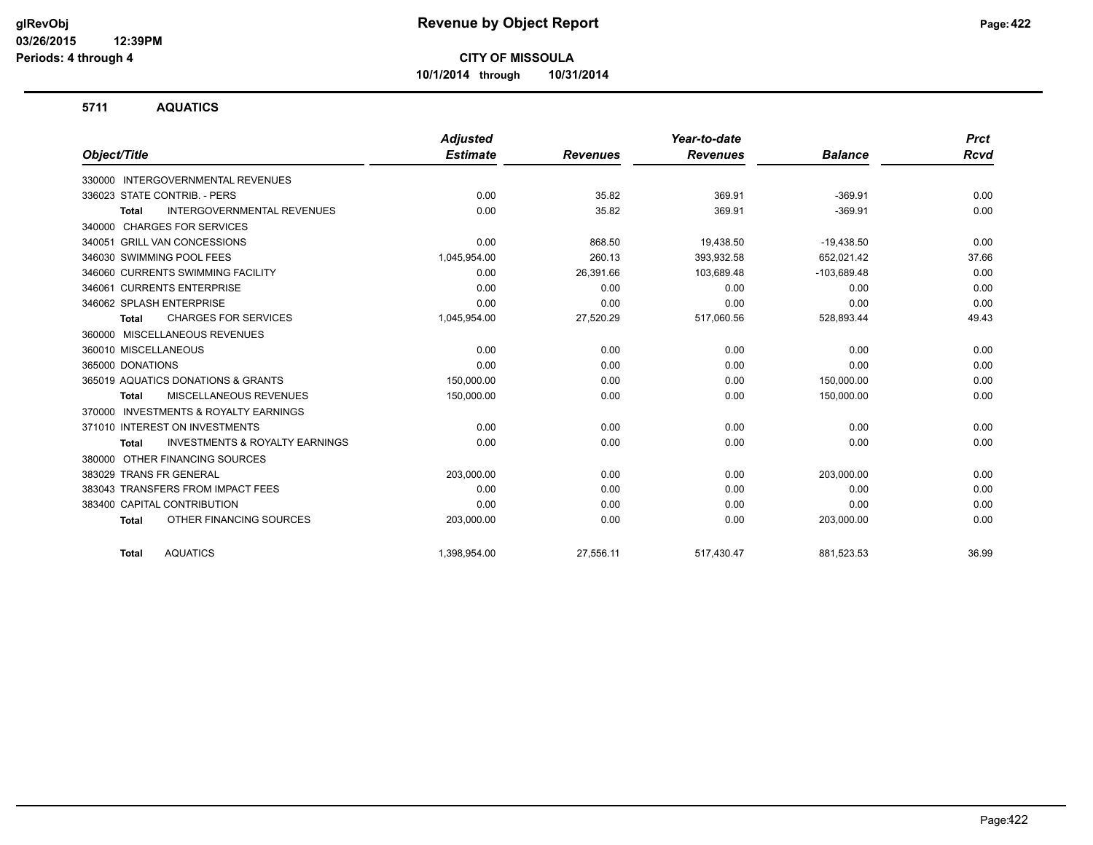**10/1/2014 through 10/31/2014**

#### **5711 AQUATICS**

|                                                           | <b>Adjusted</b> |                 | Year-to-date    |                | <b>Prct</b> |
|-----------------------------------------------------------|-----------------|-----------------|-----------------|----------------|-------------|
| Object/Title                                              | <b>Estimate</b> | <b>Revenues</b> | <b>Revenues</b> | <b>Balance</b> | Rcvd        |
| INTERGOVERNMENTAL REVENUES<br>330000                      |                 |                 |                 |                |             |
| 336023 STATE CONTRIB. - PERS                              | 0.00            | 35.82           | 369.91          | $-369.91$      | 0.00        |
| <b>INTERGOVERNMENTAL REVENUES</b><br><b>Total</b>         | 0.00            | 35.82           | 369.91          | $-369.91$      | 0.00        |
| <b>CHARGES FOR SERVICES</b><br>340000                     |                 |                 |                 |                |             |
| 340051 GRILL VAN CONCESSIONS                              | 0.00            | 868.50          | 19,438.50       | $-19,438.50$   | 0.00        |
| 346030 SWIMMING POOL FEES                                 | 1,045,954.00    | 260.13          | 393,932.58      | 652,021.42     | 37.66       |
| 346060 CURRENTS SWIMMING FACILITY                         | 0.00            | 26,391.66       | 103,689.48      | $-103,689.48$  | 0.00        |
| 346061 CURRENTS ENTERPRISE                                | 0.00            | 0.00            | 0.00            | 0.00           | 0.00        |
| 346062 SPLASH ENTERPRISE                                  | 0.00            | 0.00            | 0.00            | 0.00           | 0.00        |
| <b>CHARGES FOR SERVICES</b><br><b>Total</b>               | 1,045,954.00    | 27,520.29       | 517,060.56      | 528,893.44     | 49.43       |
| 360000 MISCELLANEOUS REVENUES                             |                 |                 |                 |                |             |
| 360010 MISCELLANEOUS                                      | 0.00            | 0.00            | 0.00            | 0.00           | 0.00        |
| 365000 DONATIONS                                          | 0.00            | 0.00            | 0.00            | 0.00           | 0.00        |
| 365019 AQUATICS DONATIONS & GRANTS                        | 150.000.00      | 0.00            | 0.00            | 150,000.00     | 0.00        |
| <b>MISCELLANEOUS REVENUES</b><br><b>Total</b>             | 150,000.00      | 0.00            | 0.00            | 150,000.00     | 0.00        |
| <b>INVESTMENTS &amp; ROYALTY EARNINGS</b><br>370000       |                 |                 |                 |                |             |
| 371010 INTEREST ON INVESTMENTS                            | 0.00            | 0.00            | 0.00            | 0.00           | 0.00        |
| <b>INVESTMENTS &amp; ROYALTY EARNINGS</b><br><b>Total</b> | 0.00            | 0.00            | 0.00            | 0.00           | 0.00        |
| OTHER FINANCING SOURCES<br>380000                         |                 |                 |                 |                |             |
| 383029 TRANS FR GENERAL                                   | 203,000.00      | 0.00            | 0.00            | 203,000.00     | 0.00        |
| 383043 TRANSFERS FROM IMPACT FEES                         | 0.00            | 0.00            | 0.00            | 0.00           | 0.00        |
| 383400 CAPITAL CONTRIBUTION                               | 0.00            | 0.00            | 0.00            | 0.00           | 0.00        |
| OTHER FINANCING SOURCES<br><b>Total</b>                   | 203,000.00      | 0.00            | 0.00            | 203,000.00     | 0.00        |
| <b>AQUATICS</b><br><b>Total</b>                           | 1,398,954.00    | 27,556.11       | 517,430.47      | 881,523.53     | 36.99       |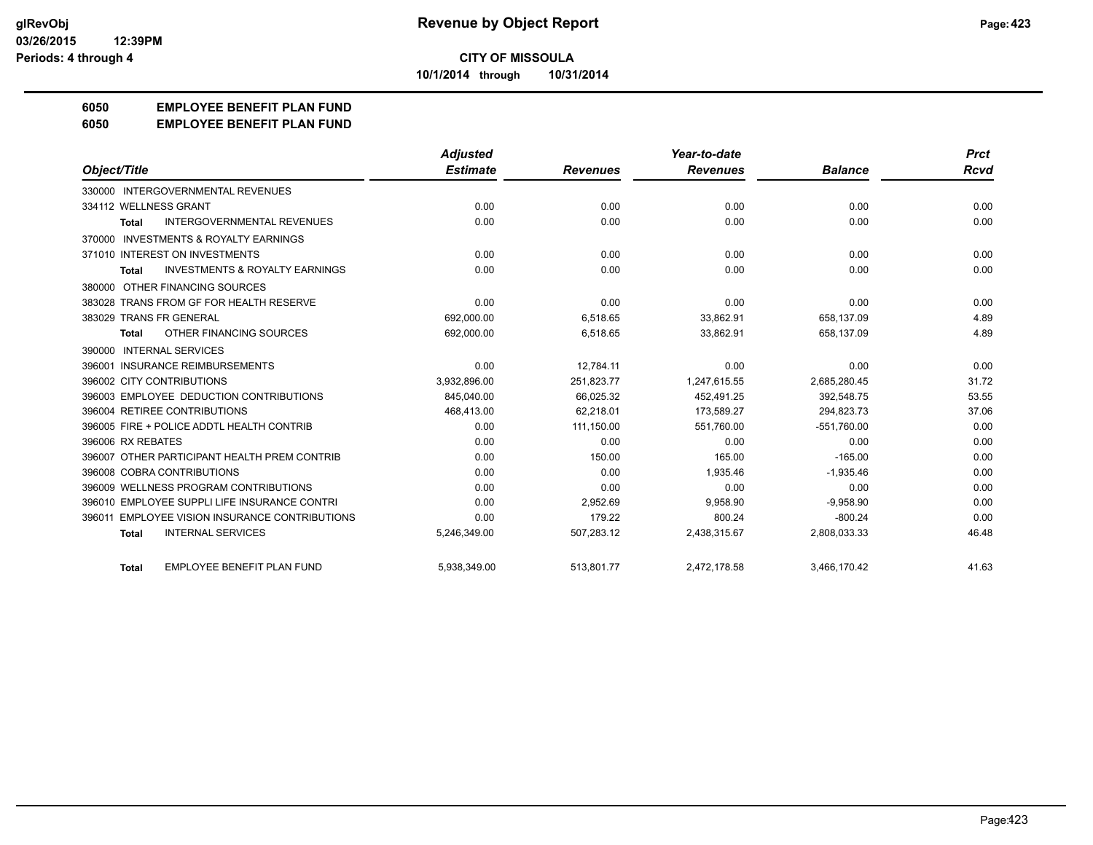**10/1/2014 through 10/31/2014**

## **6050 EMPLOYEE BENEFIT PLAN FUND**

#### **6050 EMPLOYEE BENEFIT PLAN FUND**

|                                                           | <b>Adjusted</b> |                 | Year-to-date    |                | <b>Prct</b> |
|-----------------------------------------------------------|-----------------|-----------------|-----------------|----------------|-------------|
| Object/Title                                              | <b>Estimate</b> | <b>Revenues</b> | <b>Revenues</b> | <b>Balance</b> | <b>Rcvd</b> |
| 330000 INTERGOVERNMENTAL REVENUES                         |                 |                 |                 |                |             |
| 334112 WELLNESS GRANT                                     | 0.00            | 0.00            | 0.00            | 0.00           | 0.00        |
| <b>INTERGOVERNMENTAL REVENUES</b><br>Total                | 0.00            | 0.00            | 0.00            | 0.00           | 0.00        |
| 370000 INVESTMENTS & ROYALTY EARNINGS                     |                 |                 |                 |                |             |
| 371010 INTEREST ON INVESTMENTS                            | 0.00            | 0.00            | 0.00            | 0.00           | 0.00        |
| <b>INVESTMENTS &amp; ROYALTY EARNINGS</b><br><b>Total</b> | 0.00            | 0.00            | 0.00            | 0.00           | 0.00        |
| 380000 OTHER FINANCING SOURCES                            |                 |                 |                 |                |             |
| 383028 TRANS FROM GF FOR HEALTH RESERVE                   | 0.00            | 0.00            | 0.00            | 0.00           | 0.00        |
| 383029 TRANS FR GENERAL                                   | 692,000.00      | 6,518.65        | 33,862.91       | 658,137.09     | 4.89        |
| OTHER FINANCING SOURCES<br><b>Total</b>                   | 692,000.00      | 6,518.65        | 33,862.91       | 658,137.09     | 4.89        |
| 390000 INTERNAL SERVICES                                  |                 |                 |                 |                |             |
| <b>INSURANCE REIMBURSEMENTS</b><br>396001                 | 0.00            | 12.784.11       | 0.00            | 0.00           | 0.00        |
| 396002 CITY CONTRIBUTIONS                                 | 3.932.896.00    | 251.823.77      | 1.247.615.55    | 2,685,280.45   | 31.72       |
| 396003 EMPLOYEE DEDUCTION CONTRIBUTIONS                   | 845,040.00      | 66,025.32       | 452,491.25      | 392,548.75     | 53.55       |
| 396004 RETIREE CONTRIBUTIONS                              | 468,413.00      | 62,218.01       | 173,589.27      | 294,823.73     | 37.06       |
| 396005 FIRE + POLICE ADDTL HEALTH CONTRIB                 | 0.00            | 111,150.00      | 551,760.00      | $-551,760.00$  | 0.00        |
| 396006 RX REBATES                                         | 0.00            | 0.00            | 0.00            | 0.00           | 0.00        |
| 396007 OTHER PARTICIPANT HEALTH PREM CONTRIB              | 0.00            | 150.00          | 165.00          | $-165.00$      | 0.00        |
| 396008 COBRA CONTRIBUTIONS                                | 0.00            | 0.00            | 1.935.46        | $-1.935.46$    | 0.00        |
| 396009 WELLNESS PROGRAM CONTRIBUTIONS                     | 0.00            | 0.00            | 0.00            | 0.00           | 0.00        |
| 396010 EMPLOYEE SUPPLI LIFE INSURANCE CONTRI              | 0.00            | 2,952.69        | 9,958.90        | $-9,958.90$    | 0.00        |
| <b>EMPLOYEE VISION INSURANCE CONTRIBUTIONS</b><br>396011  | 0.00            | 179.22          | 800.24          | $-800.24$      | 0.00        |
| <b>INTERNAL SERVICES</b><br><b>Total</b>                  | 5,246,349.00    | 507,283.12      | 2,438,315.67    | 2,808,033.33   | 46.48       |
| <b>EMPLOYEE BENEFIT PLAN FUND</b><br><b>Total</b>         | 5,938,349.00    | 513,801.77      | 2,472,178.58    | 3,466,170.42   | 41.63       |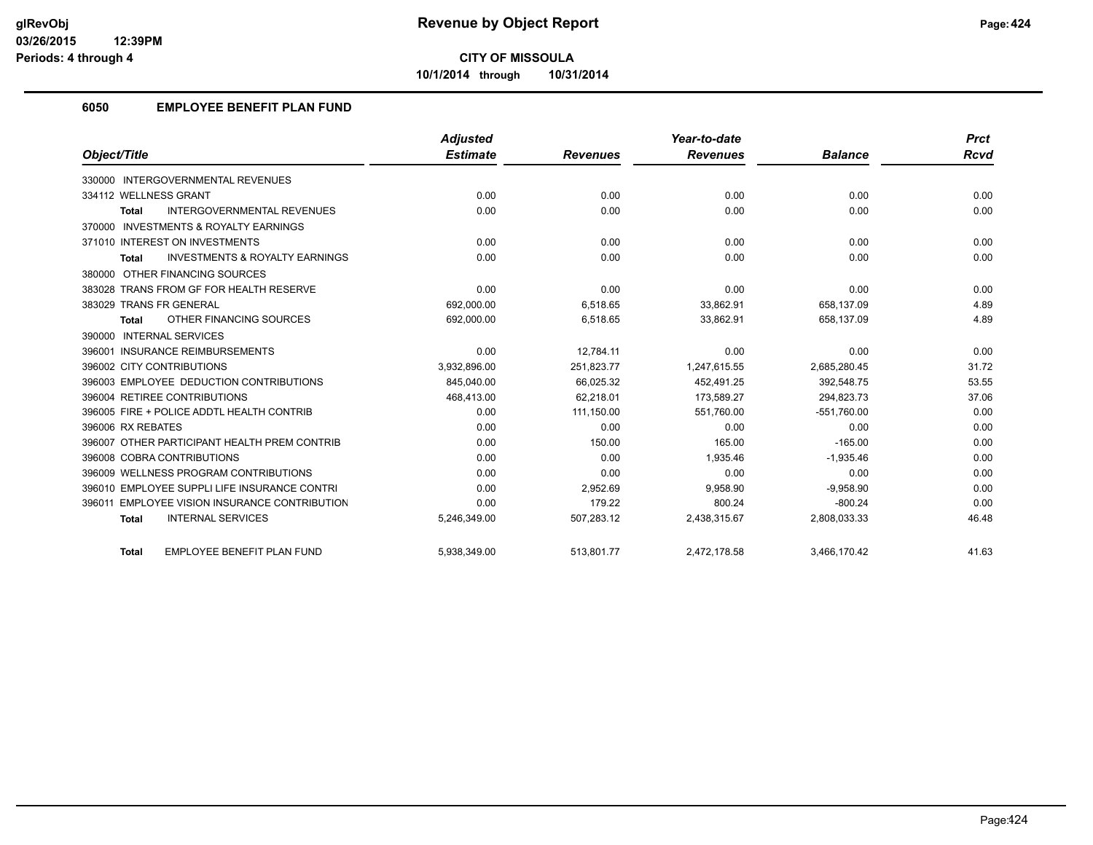**10/1/2014 through 10/31/2014**

## **6050 EMPLOYEE BENEFIT PLAN FUND**

|                                                           | <b>Adjusted</b> |                 | Year-to-date    |                | <b>Prct</b> |
|-----------------------------------------------------------|-----------------|-----------------|-----------------|----------------|-------------|
| Object/Title                                              | <b>Estimate</b> | <b>Revenues</b> | <b>Revenues</b> | <b>Balance</b> | <b>Rcvd</b> |
| 330000 INTERGOVERNMENTAL REVENUES                         |                 |                 |                 |                |             |
| 334112 WELLNESS GRANT                                     | 0.00            | 0.00            | 0.00            | 0.00           | 0.00        |
| <b>INTERGOVERNMENTAL REVENUES</b><br>Total                | 0.00            | 0.00            | 0.00            | 0.00           | 0.00        |
| 370000 INVESTMENTS & ROYALTY EARNINGS                     |                 |                 |                 |                |             |
| 371010 INTEREST ON INVESTMENTS                            | 0.00            | 0.00            | 0.00            | 0.00           | 0.00        |
| <b>INVESTMENTS &amp; ROYALTY EARNINGS</b><br><b>Total</b> | 0.00            | 0.00            | 0.00            | 0.00           | 0.00        |
| 380000 OTHER FINANCING SOURCES                            |                 |                 |                 |                |             |
| 383028 TRANS FROM GF FOR HEALTH RESERVE                   | 0.00            | 0.00            | 0.00            | 0.00           | 0.00        |
| 383029 TRANS FR GENERAL                                   | 692,000.00      | 6,518.65        | 33,862.91       | 658,137.09     | 4.89        |
| OTHER FINANCING SOURCES<br><b>Total</b>                   | 692,000.00      | 6,518.65        | 33,862.91       | 658,137.09     | 4.89        |
| 390000 INTERNAL SERVICES                                  |                 |                 |                 |                |             |
| 396001 INSURANCE REIMBURSEMENTS                           | 0.00            | 12.784.11       | 0.00            | 0.00           | 0.00        |
| 396002 CITY CONTRIBUTIONS                                 | 3.932.896.00    | 251.823.77      | 1.247.615.55    | 2,685,280.45   | 31.72       |
| 396003 EMPLOYEE DEDUCTION CONTRIBUTIONS                   | 845,040.00      | 66,025.32       | 452,491.25      | 392,548.75     | 53.55       |
| 396004 RETIREE CONTRIBUTIONS                              | 468,413.00      | 62.218.01       | 173.589.27      | 294.823.73     | 37.06       |
| 396005 FIRE + POLICE ADDTL HEALTH CONTRIB                 | 0.00            | 111,150.00      | 551,760.00      | $-551,760.00$  | 0.00        |
| 396006 RX REBATES                                         | 0.00            | 0.00            | 0.00            | 0.00           | 0.00        |
| 396007 OTHER PARTICIPANT HEALTH PREM CONTRIB              | 0.00            | 150.00          | 165.00          | $-165.00$      | 0.00        |
| 396008 COBRA CONTRIBUTIONS                                | 0.00            | 0.00            | 1.935.46        | $-1.935.46$    | 0.00        |
| 396009 WELLNESS PROGRAM CONTRIBUTIONS                     | 0.00            | 0.00            | 0.00            | 0.00           | 0.00        |
| 396010 EMPLOYEE SUPPLI LIFE INSURANCE CONTRI              | 0.00            | 2,952.69        | 9,958.90        | $-9,958.90$    | 0.00        |
| 396011 EMPLOYEE VISION INSURANCE CONTRIBUTION             | 0.00            | 179.22          | 800.24          | $-800.24$      | 0.00        |
| <b>INTERNAL SERVICES</b><br><b>Total</b>                  | 5,246,349.00    | 507,283.12      | 2,438,315.67    | 2,808,033.33   | 46.48       |
| <b>EMPLOYEE BENEFIT PLAN FUND</b><br><b>Total</b>         | 5,938,349.00    | 513,801.77      | 2,472,178.58    | 3,466,170.42   | 41.63       |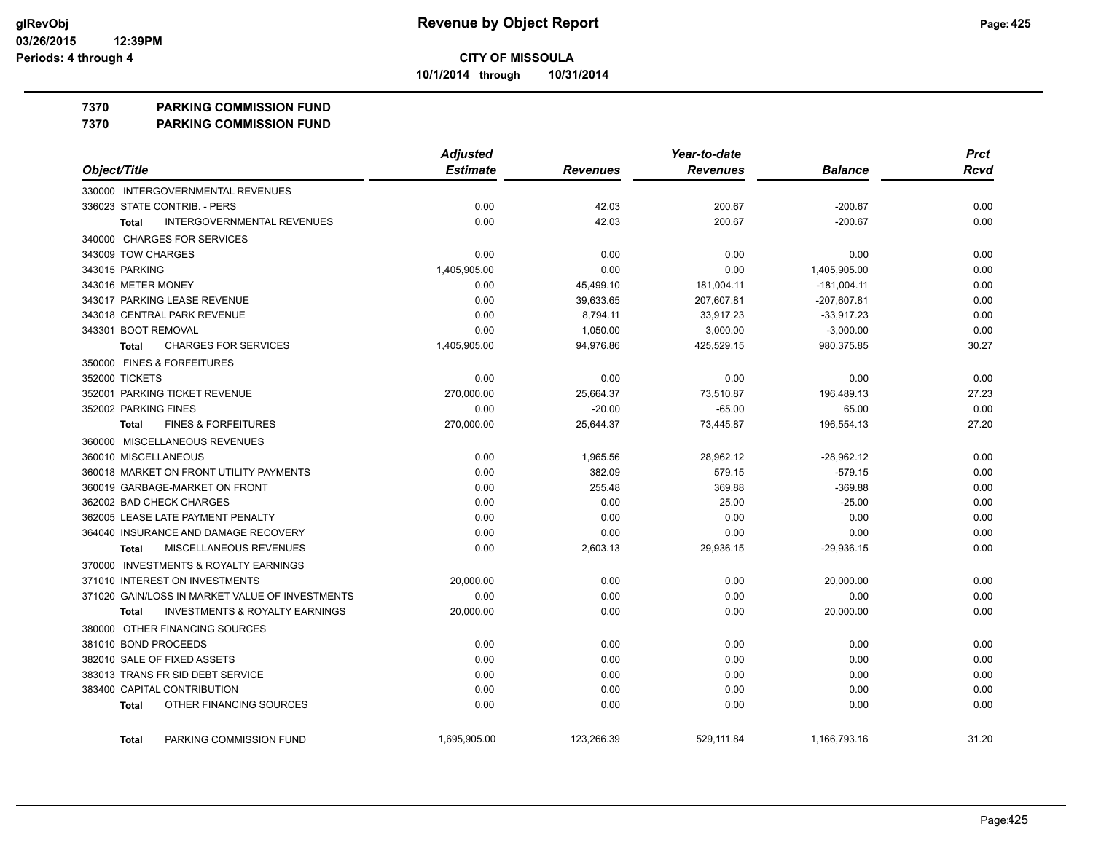**10/1/2014 through 10/31/2014**

#### **7370 PARKING COMMISSION FUND**

**7370 PARKING COMMISSION FUND**

| Object/Title                                       | <b>Adjusted</b> |                 | Year-to-date    |                |             |
|----------------------------------------------------|-----------------|-----------------|-----------------|----------------|-------------|
|                                                    | <b>Estimate</b> | <b>Revenues</b> | <b>Revenues</b> | <b>Balance</b> | <b>Rcvd</b> |
| 330000 INTERGOVERNMENTAL REVENUES                  |                 |                 |                 |                |             |
| 336023 STATE CONTRIB. - PERS                       | 0.00            | 42.03           | 200.67          | $-200.67$      | 0.00        |
| <b>INTERGOVERNMENTAL REVENUES</b><br><b>Total</b>  | 0.00            | 42.03           | 200.67          | $-200.67$      | 0.00        |
| 340000 CHARGES FOR SERVICES                        |                 |                 |                 |                |             |
| 343009 TOW CHARGES                                 | 0.00            | 0.00            | 0.00            | 0.00           | 0.00        |
| 343015 PARKING                                     | 1,405,905.00    | 0.00            | 0.00            | 1,405,905.00   | 0.00        |
| 343016 METER MONEY                                 | 0.00            | 45,499.10       | 181,004.11      | $-181,004.11$  | 0.00        |
| 343017 PARKING LEASE REVENUE                       | 0.00            | 39,633.65       | 207,607.81      | $-207,607.81$  | 0.00        |
| 343018 CENTRAL PARK REVENUE                        | 0.00            | 8,794.11        | 33,917.23       | $-33,917.23$   | 0.00        |
| 343301 BOOT REMOVAL                                | 0.00            | 1,050.00        | 3,000.00        | $-3,000.00$    | 0.00        |
| <b>CHARGES FOR SERVICES</b><br><b>Total</b>        | 1,405,905.00    | 94,976.86       | 425,529.15      | 980,375.85     | 30.27       |
| 350000 FINES & FORFEITURES                         |                 |                 |                 |                |             |
| 352000 TICKETS                                     | 0.00            | 0.00            | 0.00            | 0.00           | 0.00        |
| 352001 PARKING TICKET REVENUE                      | 270,000.00      | 25,664.37       | 73,510.87       | 196,489.13     | 27.23       |
| 352002 PARKING FINES                               | 0.00            | $-20.00$        | $-65.00$        | 65.00          | 0.00        |
| <b>FINES &amp; FORFEITURES</b><br><b>Total</b>     | 270,000.00      | 25,644.37       | 73,445.87       | 196,554.13     | 27.20       |
| 360000 MISCELLANEOUS REVENUES                      |                 |                 |                 |                |             |
| 360010 MISCELLANEOUS                               | 0.00            | 1,965.56        | 28,962.12       | $-28,962.12$   | 0.00        |
| 360018 MARKET ON FRONT UTILITY PAYMENTS            | 0.00            | 382.09          | 579.15          | $-579.15$      | 0.00        |
| 360019 GARBAGE-MARKET ON FRONT                     | 0.00            | 255.48          | 369.88          | $-369.88$      | 0.00        |
| 362002 BAD CHECK CHARGES                           | 0.00            | 0.00            | 25.00           | $-25.00$       | 0.00        |
| 362005 LEASE LATE PAYMENT PENALTY                  | 0.00            | 0.00            | 0.00            | 0.00           | 0.00        |
| 364040 INSURANCE AND DAMAGE RECOVERY               | 0.00            | 0.00            | 0.00            | 0.00           | 0.00        |
| MISCELLANEOUS REVENUES<br>Total                    | 0.00            | 2,603.13        | 29,936.15       | $-29,936.15$   | 0.00        |
| 370000 INVESTMENTS & ROYALTY EARNINGS              |                 |                 |                 |                |             |
| 371010 INTEREST ON INVESTMENTS                     | 20,000.00       | 0.00            | 0.00            | 20,000.00      | 0.00        |
| 371020 GAIN/LOSS IN MARKET VALUE OF INVESTMENTS    | 0.00            | 0.00            | 0.00            | 0.00           | 0.00        |
| <b>INVESTMENTS &amp; ROYALTY EARNINGS</b><br>Total | 20,000.00       | 0.00            | 0.00            | 20,000.00      | 0.00        |
| 380000 OTHER FINANCING SOURCES                     |                 |                 |                 |                |             |
| 381010 BOND PROCEEDS                               | 0.00            | 0.00            | 0.00            | 0.00           | 0.00        |
| 382010 SALE OF FIXED ASSETS                        | 0.00            | 0.00            | 0.00            | 0.00           | 0.00        |
| 383013 TRANS FR SID DEBT SERVICE                   | 0.00            | 0.00            | 0.00            | 0.00           | 0.00        |
| 383400 CAPITAL CONTRIBUTION                        | 0.00            | 0.00            | 0.00            | 0.00           | 0.00        |
| OTHER FINANCING SOURCES<br><b>Total</b>            | 0.00            | 0.00            | 0.00            | 0.00           | 0.00        |
| PARKING COMMISSION FUND<br><b>Total</b>            | 1,695,905.00    | 123,266.39      | 529,111.84      | 1,166,793.16   | 31.20       |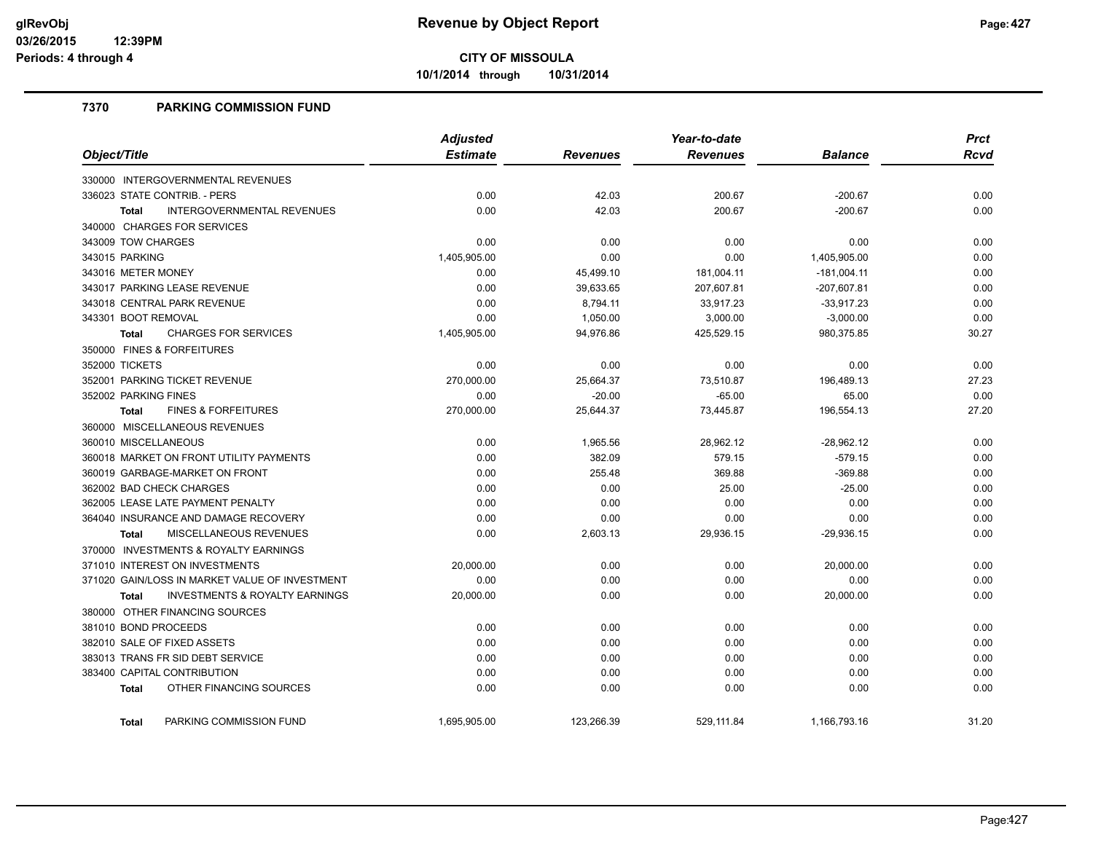**10/1/2014 through 10/31/2014**

### **7370 PARKING COMMISSION FUND**

| Object/Title                                              | <b>Adjusted</b> |                 | Year-to-date    |                | <b>Prct</b> |
|-----------------------------------------------------------|-----------------|-----------------|-----------------|----------------|-------------|
|                                                           | <b>Estimate</b> | <b>Revenues</b> | <b>Revenues</b> | <b>Balance</b> | <b>Rcvd</b> |
| 330000 INTERGOVERNMENTAL REVENUES                         |                 |                 |                 |                |             |
| 336023 STATE CONTRIB. - PERS                              | 0.00            | 42.03           | 200.67          | $-200.67$      | 0.00        |
| <b>INTERGOVERNMENTAL REVENUES</b><br><b>Total</b>         | 0.00            | 42.03           | 200.67          | $-200.67$      | 0.00        |
| 340000 CHARGES FOR SERVICES                               |                 |                 |                 |                |             |
| 343009 TOW CHARGES                                        | 0.00            | 0.00            | 0.00            | 0.00           | 0.00        |
| 343015 PARKING                                            | 1,405,905.00    | 0.00            | 0.00            | 1,405,905.00   | 0.00        |
| 343016 METER MONEY                                        | 0.00            | 45,499.10       | 181,004.11      | $-181,004.11$  | 0.00        |
| 343017 PARKING LEASE REVENUE                              | 0.00            | 39,633.65       | 207,607.81      | -207,607.81    | 0.00        |
| 343018 CENTRAL PARK REVENUE                               | 0.00            | 8,794.11        | 33,917.23       | $-33,917.23$   | 0.00        |
| 343301 BOOT REMOVAL                                       | 0.00            | 1,050.00        | 3,000.00        | $-3,000.00$    | 0.00        |
| <b>CHARGES FOR SERVICES</b><br><b>Total</b>               | 1,405,905.00    | 94,976.86       | 425,529.15      | 980,375.85     | 30.27       |
| 350000 FINES & FORFEITURES                                |                 |                 |                 |                |             |
| 352000 TICKETS                                            | 0.00            | 0.00            | 0.00            | 0.00           | 0.00        |
| 352001 PARKING TICKET REVENUE                             | 270,000.00      | 25,664.37       | 73,510.87       | 196,489.13     | 27.23       |
| 352002 PARKING FINES                                      | 0.00            | $-20.00$        | $-65.00$        | 65.00          | 0.00        |
| <b>FINES &amp; FORFEITURES</b><br><b>Total</b>            | 270,000.00      | 25,644.37       | 73,445.87       | 196,554.13     | 27.20       |
| 360000 MISCELLANEOUS REVENUES                             |                 |                 |                 |                |             |
| 360010 MISCELLANEOUS                                      | 0.00            | 1,965.56        | 28,962.12       | $-28,962.12$   | 0.00        |
| 360018 MARKET ON FRONT UTILITY PAYMENTS                   | 0.00            | 382.09          | 579.15          | $-579.15$      | 0.00        |
| 360019 GARBAGE-MARKET ON FRONT                            | 0.00            | 255.48          | 369.88          | $-369.88$      | 0.00        |
| 362002 BAD CHECK CHARGES                                  | 0.00            | 0.00            | 25.00           | $-25.00$       | 0.00        |
| 362005 LEASE LATE PAYMENT PENALTY                         | 0.00            | 0.00            | 0.00            | 0.00           | 0.00        |
| 364040 INSURANCE AND DAMAGE RECOVERY                      | 0.00            | 0.00            | 0.00            | 0.00           | 0.00        |
| MISCELLANEOUS REVENUES<br><b>Total</b>                    | 0.00            | 2,603.13        | 29,936.15       | $-29,936.15$   | 0.00        |
| 370000 INVESTMENTS & ROYALTY EARNINGS                     |                 |                 |                 |                |             |
| 371010 INTEREST ON INVESTMENTS                            | 20,000.00       | 0.00            | 0.00            | 20,000.00      | 0.00        |
| 371020 GAIN/LOSS IN MARKET VALUE OF INVESTMENT            | 0.00            | 0.00            | 0.00            | 0.00           | 0.00        |
| <b>INVESTMENTS &amp; ROYALTY EARNINGS</b><br><b>Total</b> | 20,000.00       | 0.00            | 0.00            | 20,000.00      | 0.00        |
| 380000 OTHER FINANCING SOURCES                            |                 |                 |                 |                |             |
| 381010 BOND PROCEEDS                                      | 0.00            | 0.00            | 0.00            | 0.00           | 0.00        |
| 382010 SALE OF FIXED ASSETS                               | 0.00            | 0.00            | 0.00            | 0.00           | 0.00        |
| 383013 TRANS FR SID DEBT SERVICE                          | 0.00            | 0.00            | 0.00            | 0.00           | 0.00        |
| 383400 CAPITAL CONTRIBUTION                               | 0.00            | 0.00            | 0.00            | 0.00           | 0.00        |
| OTHER FINANCING SOURCES<br><b>Total</b>                   | 0.00            | 0.00            | 0.00            | 0.00           | 0.00        |
| PARKING COMMISSION FUND<br><b>Total</b>                   | 1,695,905.00    | 123,266.39      | 529,111.84      | 1,166,793.16   | 31.20       |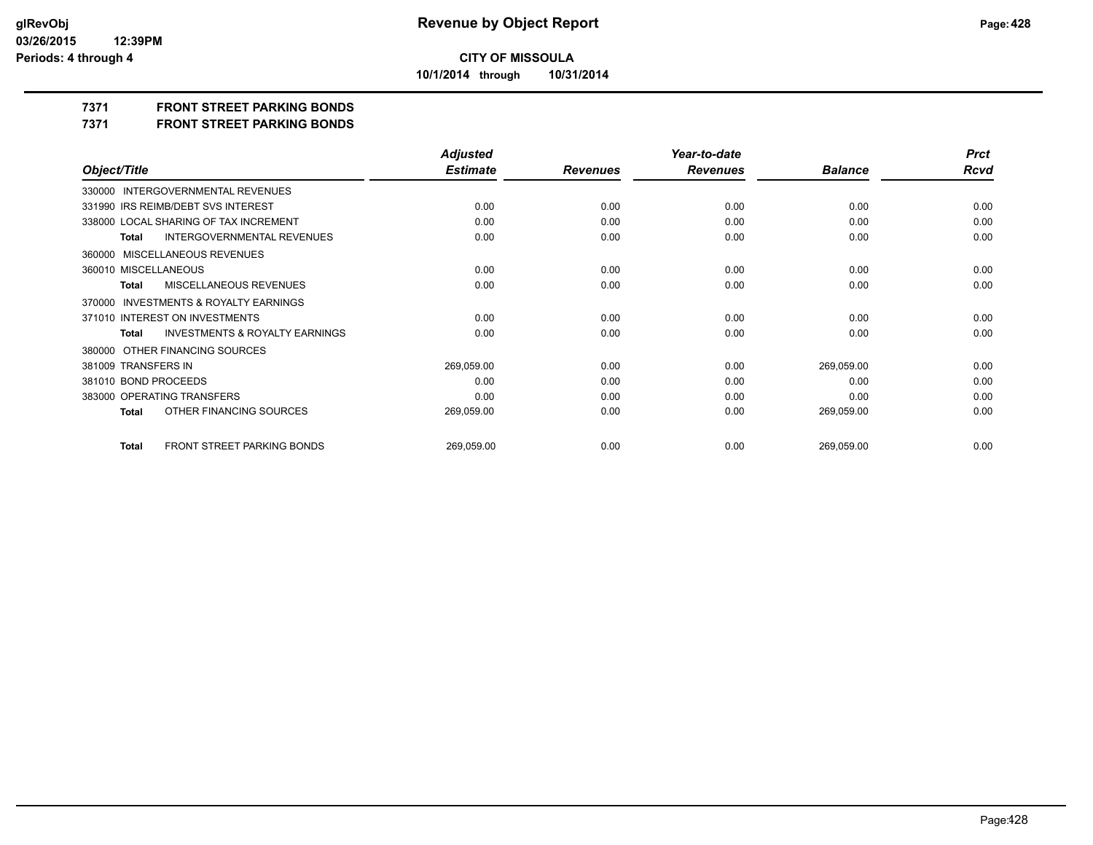**10/1/2014 through 10/31/2014**

### **7371 FRONT STREET PARKING BONDS**

**7371 FRONT STREET PARKING BONDS**

|                                                           | <b>Adjusted</b> |                 | Year-to-date    |                | <b>Prct</b> |
|-----------------------------------------------------------|-----------------|-----------------|-----------------|----------------|-------------|
| Object/Title                                              | <b>Estimate</b> | <b>Revenues</b> | <b>Revenues</b> | <b>Balance</b> | Rcvd        |
| 330000 INTERGOVERNMENTAL REVENUES                         |                 |                 |                 |                |             |
| 331990 IRS REIMB/DEBT SVS INTEREST                        | 0.00            | 0.00            | 0.00            | 0.00           | 0.00        |
| 338000 LOCAL SHARING OF TAX INCREMENT                     | 0.00            | 0.00            | 0.00            | 0.00           | 0.00        |
| INTERGOVERNMENTAL REVENUES<br><b>Total</b>                | 0.00            | 0.00            | 0.00            | 0.00           | 0.00        |
| 360000 MISCELLANEOUS REVENUES                             |                 |                 |                 |                |             |
| 360010 MISCELLANEOUS                                      | 0.00            | 0.00            | 0.00            | 0.00           | 0.00        |
| MISCELLANEOUS REVENUES<br><b>Total</b>                    | 0.00            | 0.00            | 0.00            | 0.00           | 0.00        |
| 370000 INVESTMENTS & ROYALTY EARNINGS                     |                 |                 |                 |                |             |
| 371010 INTEREST ON INVESTMENTS                            | 0.00            | 0.00            | 0.00            | 0.00           | 0.00        |
| <b>INVESTMENTS &amp; ROYALTY EARNINGS</b><br><b>Total</b> | 0.00            | 0.00            | 0.00            | 0.00           | 0.00        |
| 380000 OTHER FINANCING SOURCES                            |                 |                 |                 |                |             |
| 381009 TRANSFERS IN                                       | 269,059.00      | 0.00            | 0.00            | 269,059.00     | 0.00        |
| 381010 BOND PROCEEDS                                      | 0.00            | 0.00            | 0.00            | 0.00           | 0.00        |
| 383000 OPERATING TRANSFERS                                | 0.00            | 0.00            | 0.00            | 0.00           | 0.00        |
| OTHER FINANCING SOURCES<br><b>Total</b>                   | 269,059.00      | 0.00            | 0.00            | 269,059.00     | 0.00        |
| FRONT STREET PARKING BONDS<br><b>Total</b>                | 269,059.00      | 0.00            | 0.00            | 269,059.00     | 0.00        |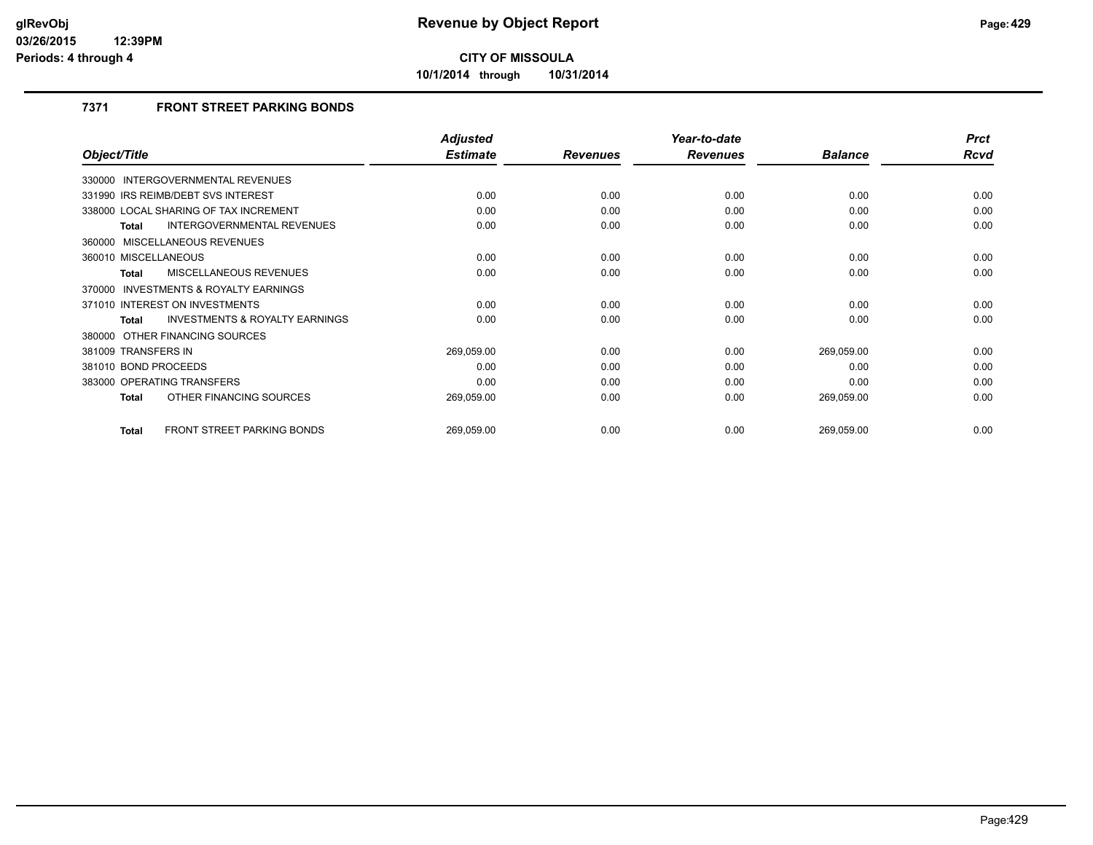**10/1/2014 through 10/31/2014**

## **7371 FRONT STREET PARKING BONDS**

|                                                     | <b>Adjusted</b> |                 | Year-to-date    |                | <b>Prct</b> |
|-----------------------------------------------------|-----------------|-----------------|-----------------|----------------|-------------|
| Object/Title                                        | <b>Estimate</b> | <b>Revenues</b> | <b>Revenues</b> | <b>Balance</b> | Rcvd        |
| <b>INTERGOVERNMENTAL REVENUES</b><br>330000         |                 |                 |                 |                |             |
| 331990 IRS REIMB/DEBT SVS INTEREST                  | 0.00            | 0.00            | 0.00            | 0.00           | 0.00        |
| 338000 LOCAL SHARING OF TAX INCREMENT               | 0.00            | 0.00            | 0.00            | 0.00           | 0.00        |
| <b>INTERGOVERNMENTAL REVENUES</b><br>Total          | 0.00            | 0.00            | 0.00            | 0.00           | 0.00        |
| 360000 MISCELLANEOUS REVENUES                       |                 |                 |                 |                |             |
| 360010 MISCELLANEOUS                                | 0.00            | 0.00            | 0.00            | 0.00           | 0.00        |
| MISCELLANEOUS REVENUES<br><b>Total</b>              | 0.00            | 0.00            | 0.00            | 0.00           | 0.00        |
| <b>INVESTMENTS &amp; ROYALTY EARNINGS</b><br>370000 |                 |                 |                 |                |             |
| 371010 INTEREST ON INVESTMENTS                      | 0.00            | 0.00            | 0.00            | 0.00           | 0.00        |
| <b>INVESTMENTS &amp; ROYALTY EARNINGS</b><br>Total  | 0.00            | 0.00            | 0.00            | 0.00           | 0.00        |
| 380000 OTHER FINANCING SOURCES                      |                 |                 |                 |                |             |
| 381009 TRANSFERS IN                                 | 269,059.00      | 0.00            | 0.00            | 269,059.00     | 0.00        |
| 381010 BOND PROCEEDS                                | 0.00            | 0.00            | 0.00            | 0.00           | 0.00        |
| 383000 OPERATING TRANSFERS                          | 0.00            | 0.00            | 0.00            | 0.00           | 0.00        |
| OTHER FINANCING SOURCES<br><b>Total</b>             | 269,059.00      | 0.00            | 0.00            | 269,059.00     | 0.00        |
| <b>FRONT STREET PARKING BONDS</b><br><b>Total</b>   | 269,059.00      | 0.00            | 0.00            | 269,059.00     | 0.00        |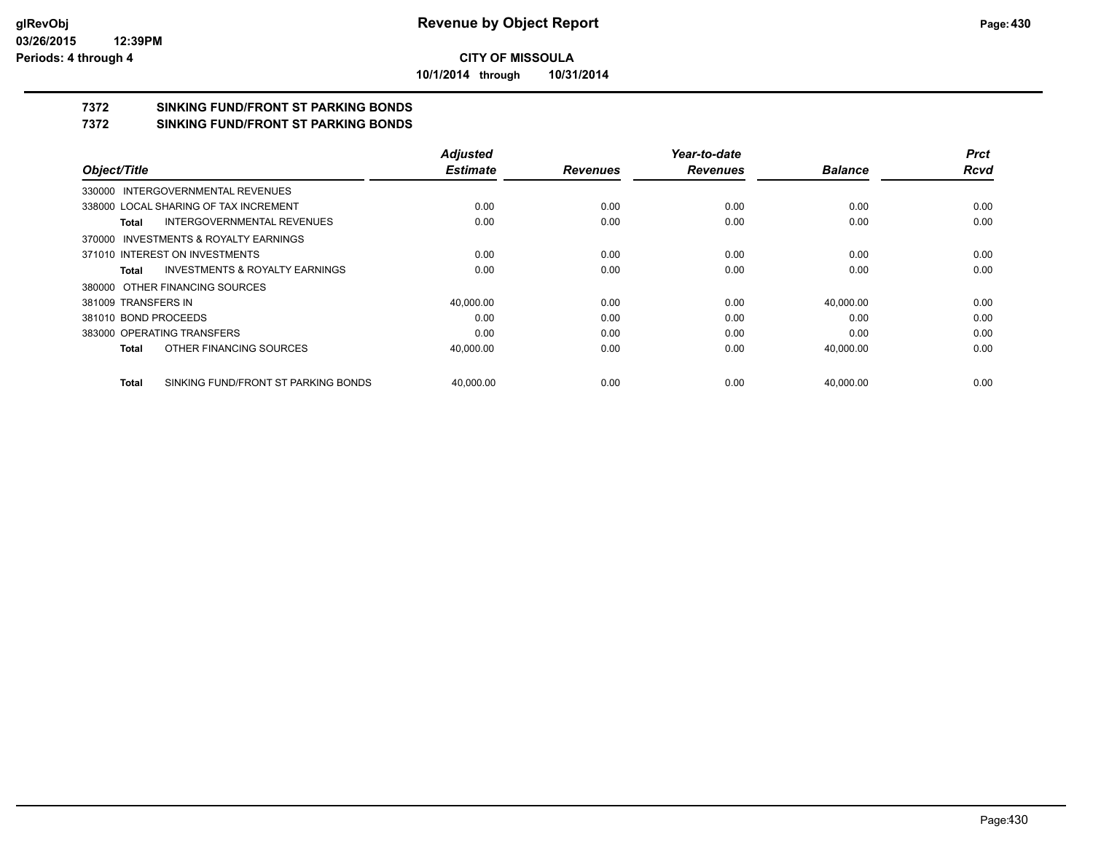**10/1/2014 through 10/31/2014**

## **7372 SINKING FUND/FRONT ST PARKING BONDS**

**7372 SINKING FUND/FRONT ST PARKING BONDS**

|                                              | <b>Adjusted</b> |                 | Year-to-date    |                | <b>Prct</b> |
|----------------------------------------------|-----------------|-----------------|-----------------|----------------|-------------|
| Object/Title                                 | <b>Estimate</b> | <b>Revenues</b> | <b>Revenues</b> | <b>Balance</b> | <b>Rcvd</b> |
| 330000 INTERGOVERNMENTAL REVENUES            |                 |                 |                 |                |             |
| 338000 LOCAL SHARING OF TAX INCREMENT        | 0.00            | 0.00            | 0.00            | 0.00           | 0.00        |
| INTERGOVERNMENTAL REVENUES<br>Total          | 0.00            | 0.00            | 0.00            | 0.00           | 0.00        |
| 370000 INVESTMENTS & ROYALTY EARNINGS        |                 |                 |                 |                |             |
| 371010 INTEREST ON INVESTMENTS               | 0.00            | 0.00            | 0.00            | 0.00           | 0.00        |
| INVESTMENTS & ROYALTY EARNINGS<br>Total      | 0.00            | 0.00            | 0.00            | 0.00           | 0.00        |
| 380000 OTHER FINANCING SOURCES               |                 |                 |                 |                |             |
| 381009 TRANSFERS IN                          | 40,000.00       | 0.00            | 0.00            | 40,000.00      | 0.00        |
| 381010 BOND PROCEEDS                         | 0.00            | 0.00            | 0.00            | 0.00           | 0.00        |
| 383000 OPERATING TRANSFERS                   | 0.00            | 0.00            | 0.00            | 0.00           | 0.00        |
| OTHER FINANCING SOURCES<br>Total             | 40,000.00       | 0.00            | 0.00            | 40,000.00      | 0.00        |
| SINKING FUND/FRONT ST PARKING BONDS<br>Total | 40.000.00       | 0.00            | 0.00            | 40.000.00      | 0.00        |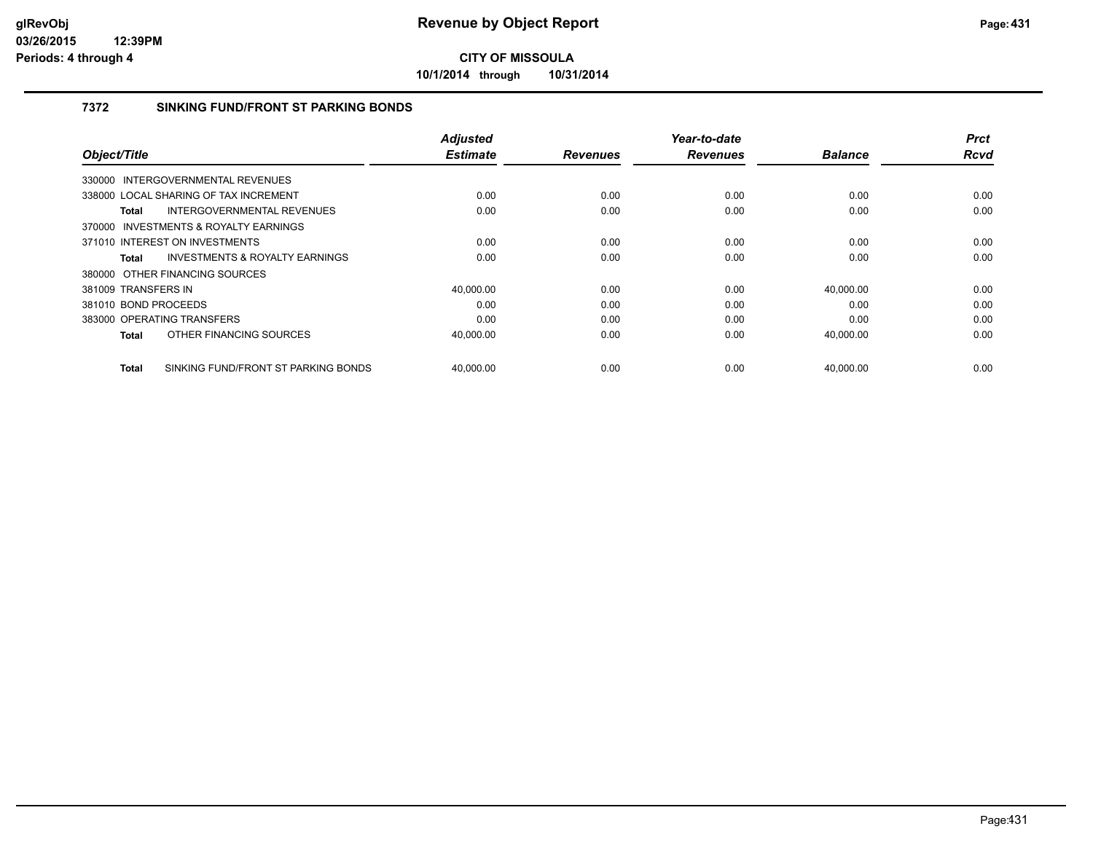**10/1/2014 through 10/31/2014**

#### **7372 SINKING FUND/FRONT ST PARKING BONDS**

| Object/Title                                        | <b>Adjusted</b><br><b>Estimate</b> | <b>Revenues</b> | Year-to-date<br><b>Revenues</b> | <b>Balance</b> | <b>Prct</b><br>Rcvd |
|-----------------------------------------------------|------------------------------------|-----------------|---------------------------------|----------------|---------------------|
|                                                     |                                    |                 |                                 |                |                     |
| 330000 INTERGOVERNMENTAL REVENUES                   |                                    |                 |                                 |                |                     |
| 338000 LOCAL SHARING OF TAX INCREMENT               | 0.00                               | 0.00            | 0.00                            | 0.00           | 0.00                |
| <b>INTERGOVERNMENTAL REVENUES</b><br>Total          | 0.00                               | 0.00            | 0.00                            | 0.00           | 0.00                |
| INVESTMENTS & ROYALTY EARNINGS<br>370000            |                                    |                 |                                 |                |                     |
| 371010 INTEREST ON INVESTMENTS                      | 0.00                               | 0.00            | 0.00                            | 0.00           | 0.00                |
| <b>INVESTMENTS &amp; ROYALTY EARNINGS</b><br>Total  | 0.00                               | 0.00            | 0.00                            | 0.00           | 0.00                |
| 380000 OTHER FINANCING SOURCES                      |                                    |                 |                                 |                |                     |
| 381009 TRANSFERS IN                                 | 40.000.00                          | 0.00            | 0.00                            | 40,000.00      | 0.00                |
| 381010 BOND PROCEEDS                                | 0.00                               | 0.00            | 0.00                            | 0.00           | 0.00                |
| 383000 OPERATING TRANSFERS                          | 0.00                               | 0.00            | 0.00                            | 0.00           | 0.00                |
| OTHER FINANCING SOURCES<br>Total                    | 40,000.00                          | 0.00            | 0.00                            | 40,000.00      | 0.00                |
| SINKING FUND/FRONT ST PARKING BONDS<br><b>Total</b> | 40.000.00                          | 0.00            | 0.00                            | 40.000.00      | 0.00                |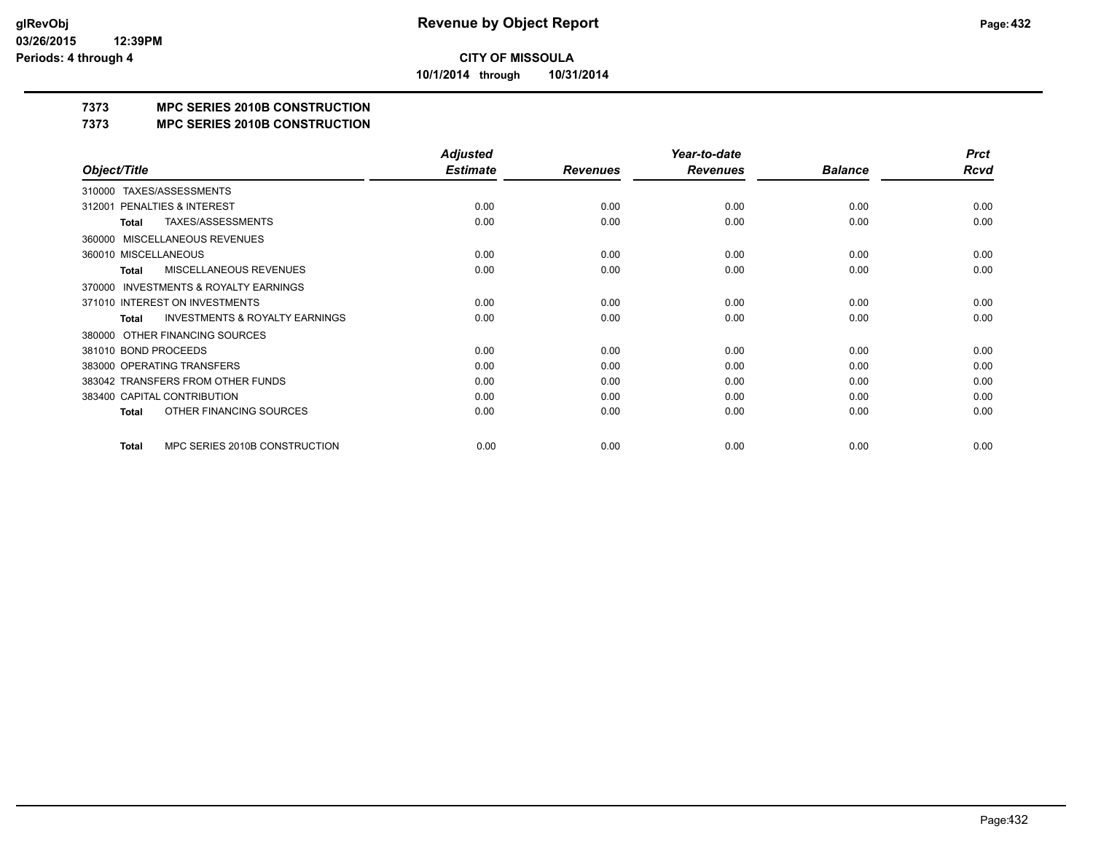**10/1/2014 through 10/31/2014**

## **7373 MPC SERIES 2010B CONSTRUCTION**

#### **7373 MPC SERIES 2010B CONSTRUCTION**

|                                                           | <b>Adjusted</b> |                 | Year-to-date    |                | <b>Prct</b> |
|-----------------------------------------------------------|-----------------|-----------------|-----------------|----------------|-------------|
| Object/Title                                              | <b>Estimate</b> | <b>Revenues</b> | <b>Revenues</b> | <b>Balance</b> | <b>Rcvd</b> |
| TAXES/ASSESSMENTS<br>310000                               |                 |                 |                 |                |             |
| <b>PENALTIES &amp; INTEREST</b><br>312001                 | 0.00            | 0.00            | 0.00            | 0.00           | 0.00        |
| TAXES/ASSESSMENTS<br>Total                                | 0.00            | 0.00            | 0.00            | 0.00           | 0.00        |
| <b>MISCELLANEOUS REVENUES</b><br>360000                   |                 |                 |                 |                |             |
| 360010 MISCELLANEOUS                                      | 0.00            | 0.00            | 0.00            | 0.00           | 0.00        |
| MISCELLANEOUS REVENUES<br>Total                           | 0.00            | 0.00            | 0.00            | 0.00           | 0.00        |
| <b>INVESTMENTS &amp; ROYALTY EARNINGS</b><br>370000       |                 |                 |                 |                |             |
| 371010 INTEREST ON INVESTMENTS                            | 0.00            | 0.00            | 0.00            | 0.00           | 0.00        |
| <b>INVESTMENTS &amp; ROYALTY EARNINGS</b><br><b>Total</b> | 0.00            | 0.00            | 0.00            | 0.00           | 0.00        |
| OTHER FINANCING SOURCES<br>380000                         |                 |                 |                 |                |             |
| 381010 BOND PROCEEDS                                      | 0.00            | 0.00            | 0.00            | 0.00           | 0.00        |
| 383000 OPERATING TRANSFERS                                | 0.00            | 0.00            | 0.00            | 0.00           | 0.00        |
| 383042 TRANSFERS FROM OTHER FUNDS                         | 0.00            | 0.00            | 0.00            | 0.00           | 0.00        |
| 383400 CAPITAL CONTRIBUTION                               | 0.00            | 0.00            | 0.00            | 0.00           | 0.00        |
| OTHER FINANCING SOURCES<br>Total                          | 0.00            | 0.00            | 0.00            | 0.00           | 0.00        |
| MPC SERIES 2010B CONSTRUCTION<br>Total                    | 0.00            | 0.00            | 0.00            | 0.00           | 0.00        |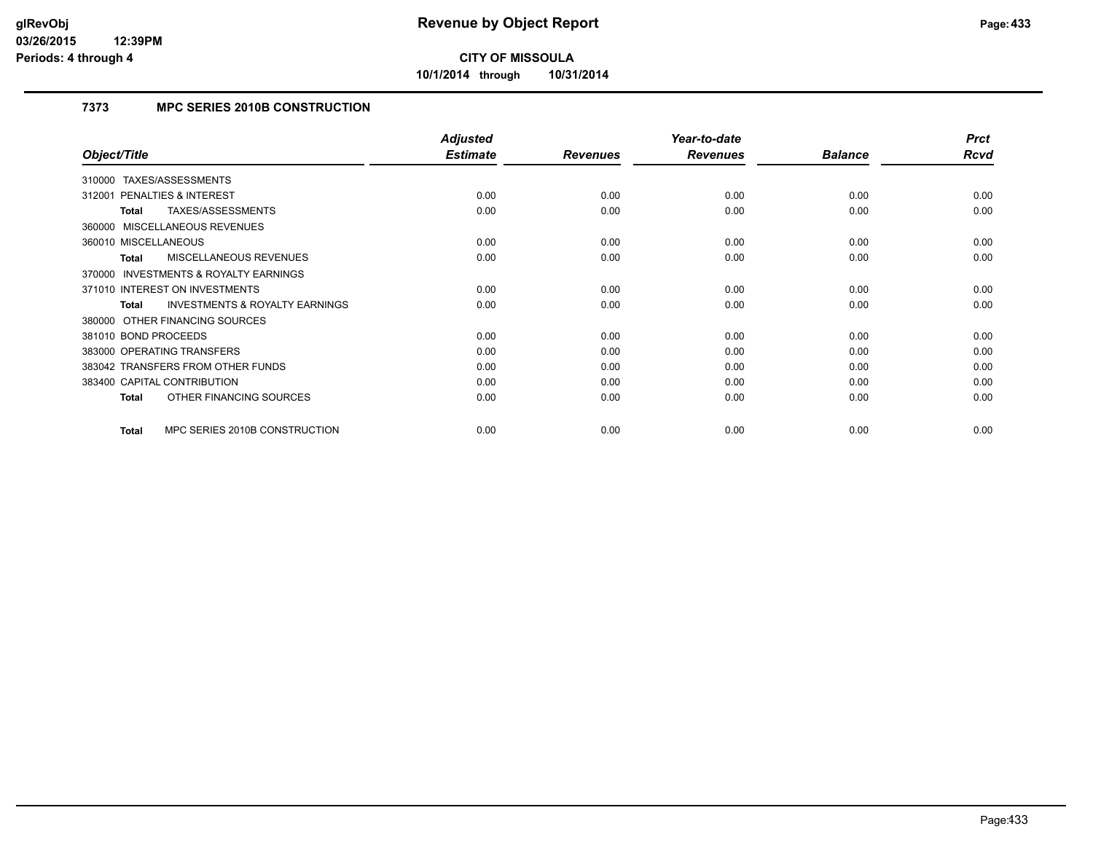**10/1/2014 through 10/31/2014**

## **7373 MPC SERIES 2010B CONSTRUCTION**

|                                                           | <b>Adjusted</b> |                 | Year-to-date    |                | <b>Prct</b> |
|-----------------------------------------------------------|-----------------|-----------------|-----------------|----------------|-------------|
| Object/Title                                              | <b>Estimate</b> | <b>Revenues</b> | <b>Revenues</b> | <b>Balance</b> | <b>Rcvd</b> |
| 310000 TAXES/ASSESSMENTS                                  |                 |                 |                 |                |             |
| 312001 PENALTIES & INTEREST                               | 0.00            | 0.00            | 0.00            | 0.00           | 0.00        |
| TAXES/ASSESSMENTS<br>Total                                | 0.00            | 0.00            | 0.00            | 0.00           | 0.00        |
| 360000 MISCELLANEOUS REVENUES                             |                 |                 |                 |                |             |
| 360010 MISCELLANEOUS                                      | 0.00            | 0.00            | 0.00            | 0.00           | 0.00        |
| <b>MISCELLANEOUS REVENUES</b><br>Total                    | 0.00            | 0.00            | 0.00            | 0.00           | 0.00        |
| <b>INVESTMENTS &amp; ROYALTY EARNINGS</b><br>370000       |                 |                 |                 |                |             |
| 371010 INTEREST ON INVESTMENTS                            | 0.00            | 0.00            | 0.00            | 0.00           | 0.00        |
| <b>INVESTMENTS &amp; ROYALTY EARNINGS</b><br><b>Total</b> | 0.00            | 0.00            | 0.00            | 0.00           | 0.00        |
| 380000 OTHER FINANCING SOURCES                            |                 |                 |                 |                |             |
| 381010 BOND PROCEEDS                                      | 0.00            | 0.00            | 0.00            | 0.00           | 0.00        |
| 383000 OPERATING TRANSFERS                                | 0.00            | 0.00            | 0.00            | 0.00           | 0.00        |
| 383042 TRANSFERS FROM OTHER FUNDS                         | 0.00            | 0.00            | 0.00            | 0.00           | 0.00        |
| 383400 CAPITAL CONTRIBUTION                               | 0.00            | 0.00            | 0.00            | 0.00           | 0.00        |
| OTHER FINANCING SOURCES<br>Total                          | 0.00            | 0.00            | 0.00            | 0.00           | 0.00        |
| MPC SERIES 2010B CONSTRUCTION<br>Total                    | 0.00            | 0.00            | 0.00            | 0.00           | 0.00        |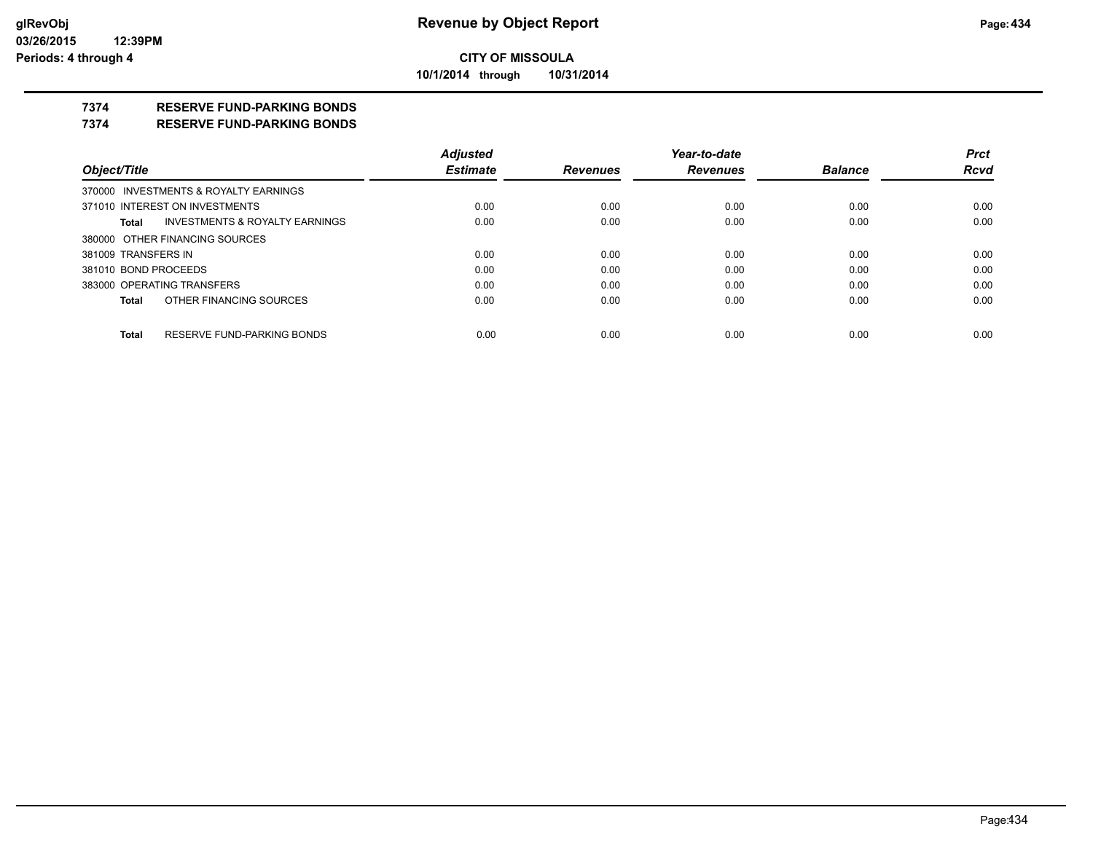**10/1/2014 through 10/31/2014**

## **7374 RESERVE FUND-PARKING BONDS**

#### **7374 RESERVE FUND-PARKING BONDS**

|                      |                                       | <b>Adjusted</b> |                 | Year-to-date    |                | <b>Prct</b> |
|----------------------|---------------------------------------|-----------------|-----------------|-----------------|----------------|-------------|
| Object/Title         |                                       | <b>Estimate</b> | <b>Revenues</b> | <b>Revenues</b> | <b>Balance</b> | <b>Rcvd</b> |
|                      | 370000 INVESTMENTS & ROYALTY EARNINGS |                 |                 |                 |                |             |
|                      | 371010 INTEREST ON INVESTMENTS        | 0.00            | 0.00            | 0.00            | 0.00           | 0.00        |
| Total                | INVESTMENTS & ROYALTY EARNINGS        | 0.00            | 0.00            | 0.00            | 0.00           | 0.00        |
|                      | 380000 OTHER FINANCING SOURCES        |                 |                 |                 |                |             |
| 381009 TRANSFERS IN  |                                       | 0.00            | 0.00            | 0.00            | 0.00           | 0.00        |
| 381010 BOND PROCEEDS |                                       | 0.00            | 0.00            | 0.00            | 0.00           | 0.00        |
|                      | 383000 OPERATING TRANSFERS            | 0.00            | 0.00            | 0.00            | 0.00           | 0.00        |
| Total                | OTHER FINANCING SOURCES               | 0.00            | 0.00            | 0.00            | 0.00           | 0.00        |
| Total                | RESERVE FUND-PARKING BONDS            | 0.00            | 0.00            | 0.00            | 0.00           | 0.00        |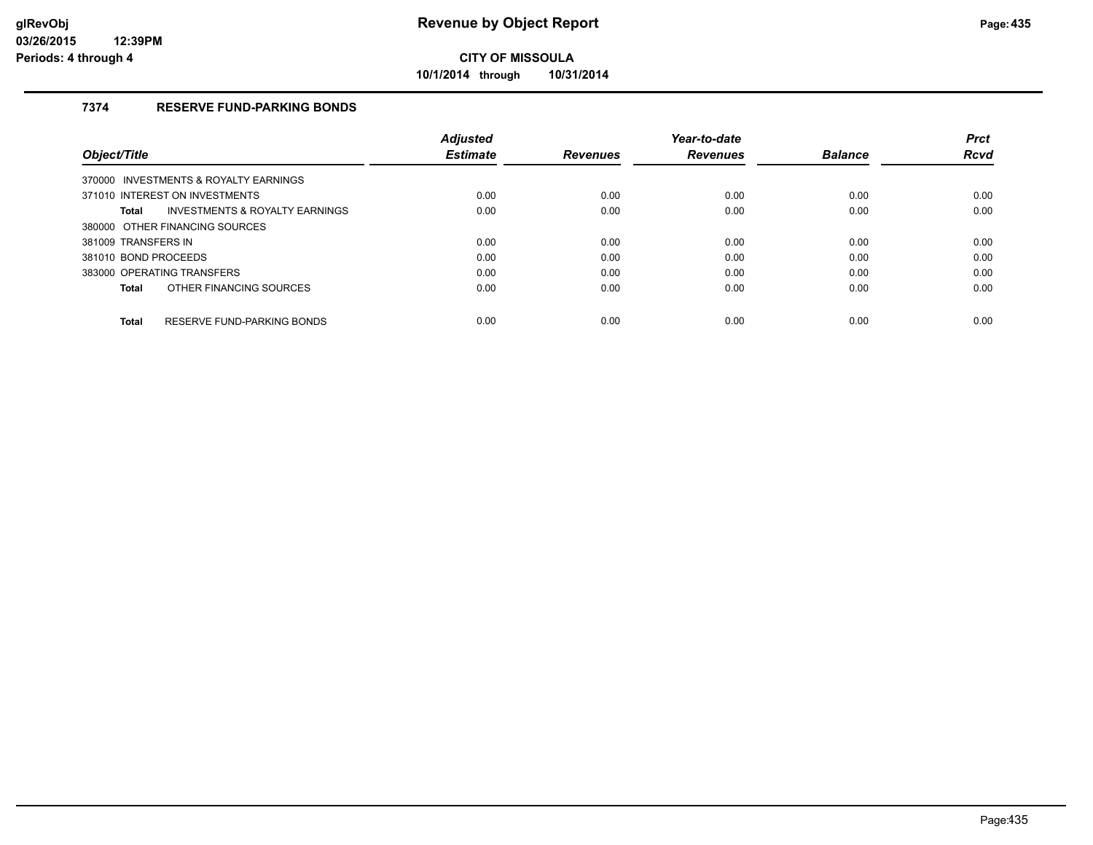**10/1/2014 through 10/31/2014**

## **7374 RESERVE FUND-PARKING BONDS**

|                                                    | <b>Adiusted</b> |                 | Year-to-date    |                | <b>Prct</b> |
|----------------------------------------------------|-----------------|-----------------|-----------------|----------------|-------------|
| Object/Title                                       | <b>Estimate</b> | <b>Revenues</b> | <b>Revenues</b> | <b>Balance</b> | <b>Rcvd</b> |
| 370000 INVESTMENTS & ROYALTY EARNINGS              |                 |                 |                 |                |             |
| 371010 INTEREST ON INVESTMENTS                     | 0.00            | 0.00            | 0.00            | 0.00           | 0.00        |
| <b>INVESTMENTS &amp; ROYALTY EARNINGS</b><br>Total | 0.00            | 0.00            | 0.00            | 0.00           | 0.00        |
| 380000 OTHER FINANCING SOURCES                     |                 |                 |                 |                |             |
| 381009 TRANSFERS IN                                | 0.00            | 0.00            | 0.00            | 0.00           | 0.00        |
| 381010 BOND PROCEEDS                               | 0.00            | 0.00            | 0.00            | 0.00           | 0.00        |
| 383000 OPERATING TRANSFERS                         | 0.00            | 0.00            | 0.00            | 0.00           | 0.00        |
| OTHER FINANCING SOURCES<br>Total                   | 0.00            | 0.00            | 0.00            | 0.00           | 0.00        |
| RESERVE FUND-PARKING BONDS<br><b>Total</b>         | 0.00            | 0.00            | 0.00            | 0.00           | 0.00        |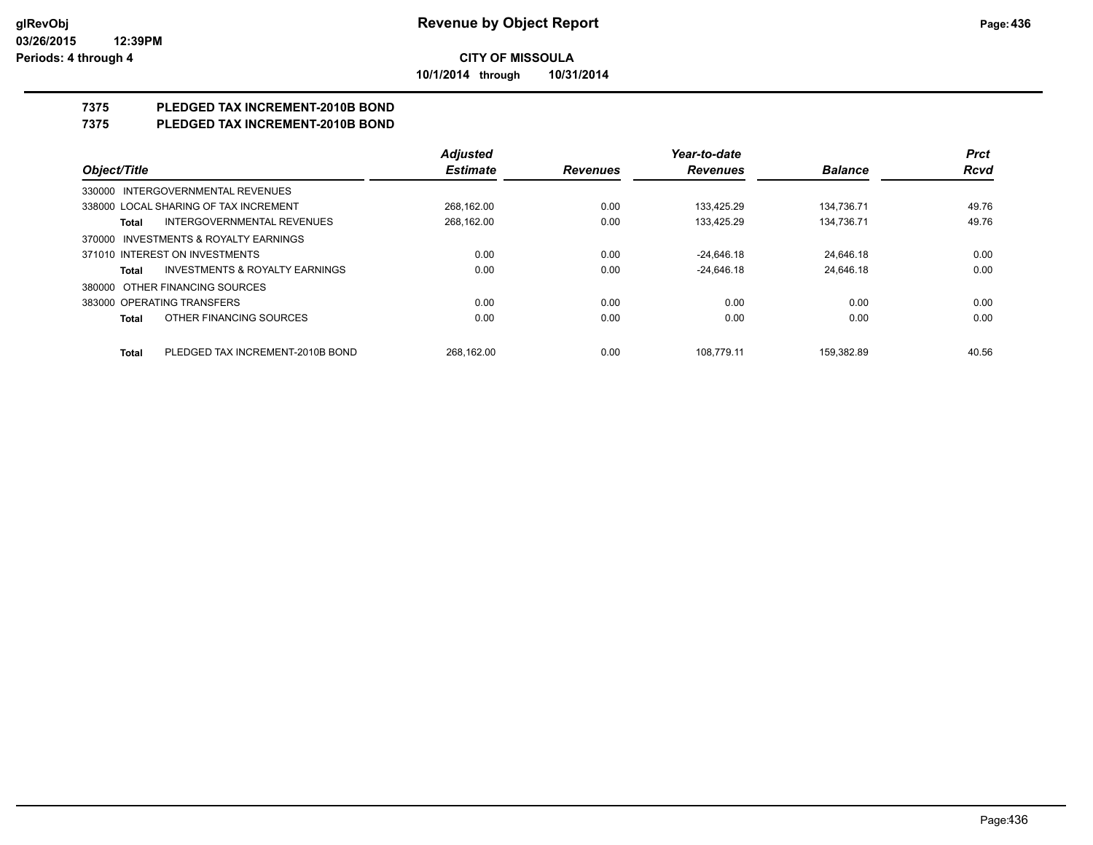**10/1/2014 through 10/31/2014**

# **7375 PLEDGED TAX INCREMENT-2010B BOND**

## **7375 PLEDGED TAX INCREMENT-2010B BOND**

|                                                    | <b>Adjusted</b> |                 | Year-to-date    |                | <b>Prct</b> |
|----------------------------------------------------|-----------------|-----------------|-----------------|----------------|-------------|
| Object/Title                                       | <b>Estimate</b> | <b>Revenues</b> | <b>Revenues</b> | <b>Balance</b> | <b>Rcvd</b> |
| 330000 INTERGOVERNMENTAL REVENUES                  |                 |                 |                 |                |             |
| 338000 LOCAL SHARING OF TAX INCREMENT              | 268.162.00      | 0.00            | 133.425.29      | 134.736.71     | 49.76       |
| INTERGOVERNMENTAL REVENUES<br>Total                | 268,162.00      | 0.00            | 133.425.29      | 134.736.71     | 49.76       |
| 370000 INVESTMENTS & ROYALTY EARNINGS              |                 |                 |                 |                |             |
| 371010 INTEREST ON INVESTMENTS                     | 0.00            | 0.00            | $-24.646.18$    | 24.646.18      | 0.00        |
| <b>INVESTMENTS &amp; ROYALTY EARNINGS</b><br>Total | 0.00            | 0.00            | $-24.646.18$    | 24.646.18      | 0.00        |
| 380000 OTHER FINANCING SOURCES                     |                 |                 |                 |                |             |
| 383000 OPERATING TRANSFERS                         | 0.00            | 0.00            | 0.00            | 0.00           | 0.00        |
| OTHER FINANCING SOURCES<br><b>Total</b>            | 0.00            | 0.00            | 0.00            | 0.00           | 0.00        |
| PLEDGED TAX INCREMENT-2010B BOND<br><b>Total</b>   | 268.162.00      | 0.00            | 108.779.11      | 159.382.89     | 40.56       |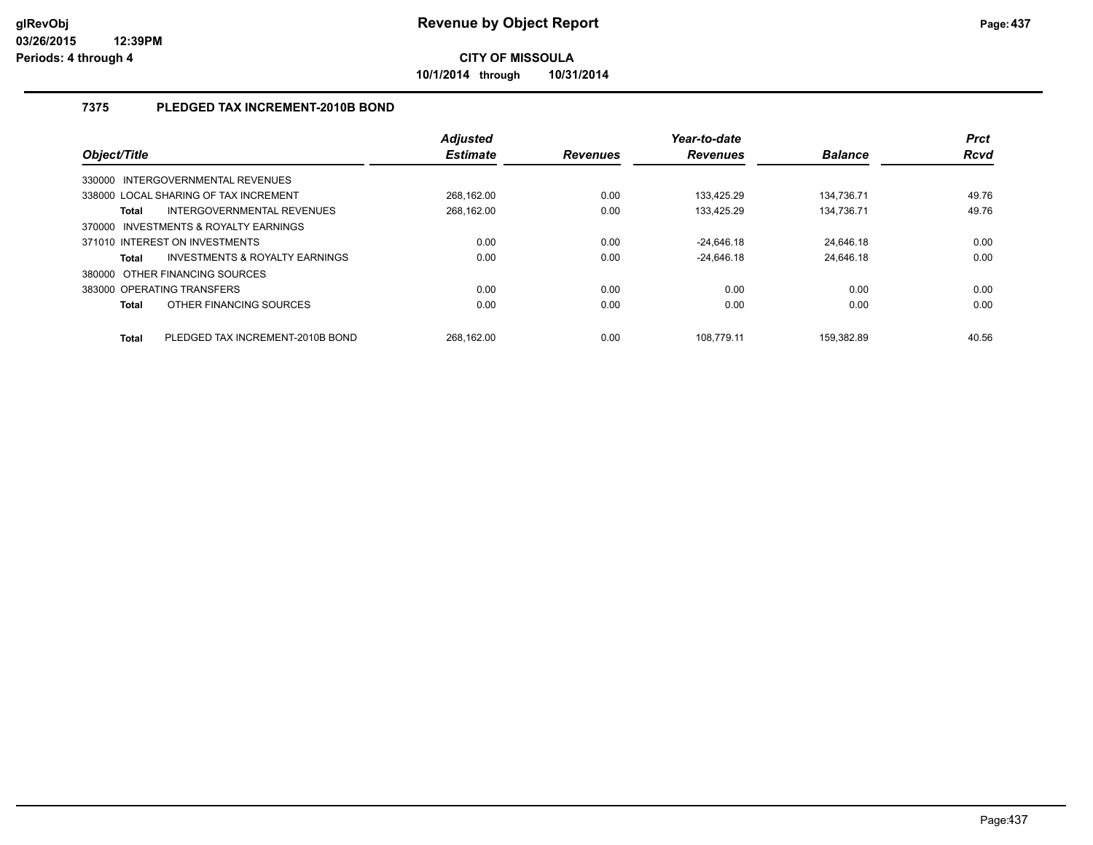**10/1/2014 through 10/31/2014**

## **7375 PLEDGED TAX INCREMENT-2010B BOND**

| Object/Title                          |                                           | <b>Adjusted</b><br><b>Estimate</b> | <b>Revenues</b> | Year-to-date<br><b>Revenues</b> | <b>Balance</b> | <b>Prct</b><br>Rcvd |
|---------------------------------------|-------------------------------------------|------------------------------------|-----------------|---------------------------------|----------------|---------------------|
| 330000 INTERGOVERNMENTAL REVENUES     |                                           |                                    |                 |                                 |                |                     |
| 338000 LOCAL SHARING OF TAX INCREMENT |                                           | 268.162.00                         | 0.00            | 133.425.29                      | 134.736.71     | 49.76               |
| <b>Total</b>                          | INTERGOVERNMENTAL REVENUES                | 268.162.00                         | 0.00            | 133.425.29                      | 134.736.71     | 49.76               |
| 370000 INVESTMENTS & ROYALTY EARNINGS |                                           |                                    |                 |                                 |                |                     |
| 371010 INTEREST ON INVESTMENTS        |                                           | 0.00                               | 0.00            | $-24,646.18$                    | 24.646.18      | 0.00                |
| <b>Total</b>                          | <b>INVESTMENTS &amp; ROYALTY EARNINGS</b> | 0.00                               | 0.00            | $-24.646.18$                    | 24,646.18      | 0.00                |
| 380000 OTHER FINANCING SOURCES        |                                           |                                    |                 |                                 |                |                     |
| 383000 OPERATING TRANSFERS            |                                           | 0.00                               | 0.00            | 0.00                            | 0.00           | 0.00                |
| <b>Total</b>                          | OTHER FINANCING SOURCES                   | 0.00                               | 0.00            | 0.00                            | 0.00           | 0.00                |
| <b>Total</b>                          | PLEDGED TAX INCREMENT-2010B BOND          | 268.162.00                         | 0.00            | 108.779.11                      | 159.382.89     | 40.56               |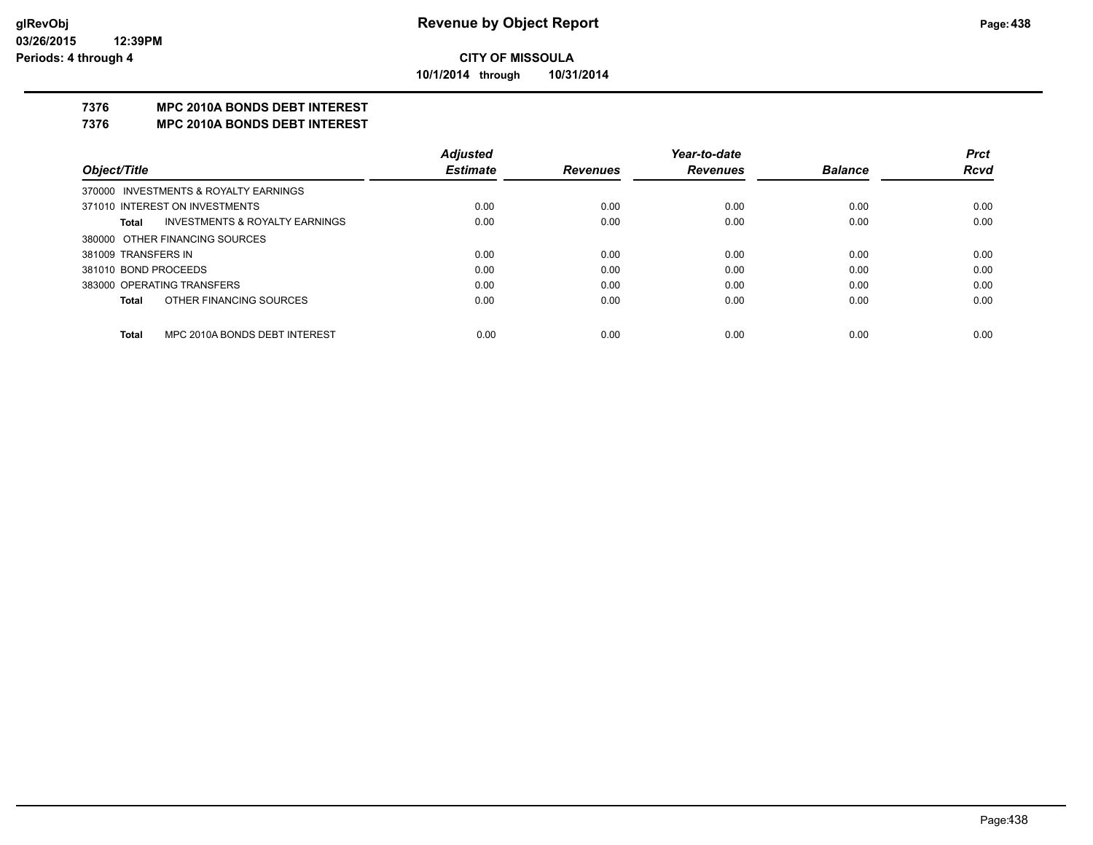**10/1/2014 through 10/31/2014**

## **7376 MPC 2010A BONDS DEBT INTEREST**

#### **7376 MPC 2010A BONDS DEBT INTEREST**

|                      |                                       | <b>Adjusted</b> |                 | Year-to-date    |                | <b>Prct</b> |
|----------------------|---------------------------------------|-----------------|-----------------|-----------------|----------------|-------------|
| Object/Title         |                                       | <b>Estimate</b> | <b>Revenues</b> | <b>Revenues</b> | <b>Balance</b> | <b>Rcvd</b> |
|                      | 370000 INVESTMENTS & ROYALTY EARNINGS |                 |                 |                 |                |             |
|                      | 371010 INTEREST ON INVESTMENTS        | 0.00            | 0.00            | 0.00            | 0.00           | 0.00        |
| Total                | INVESTMENTS & ROYALTY EARNINGS        | 0.00            | 0.00            | 0.00            | 0.00           | 0.00        |
|                      | 380000 OTHER FINANCING SOURCES        |                 |                 |                 |                |             |
| 381009 TRANSFERS IN  |                                       | 0.00            | 0.00            | 0.00            | 0.00           | 0.00        |
| 381010 BOND PROCEEDS |                                       | 0.00            | 0.00            | 0.00            | 0.00           | 0.00        |
|                      | 383000 OPERATING TRANSFERS            | 0.00            | 0.00            | 0.00            | 0.00           | 0.00        |
| Total                | OTHER FINANCING SOURCES               | 0.00            | 0.00            | 0.00            | 0.00           | 0.00        |
| Total                | MPC 2010A BONDS DEBT INTEREST         | 0.00            | 0.00            | 0.00            | 0.00           | 0.00        |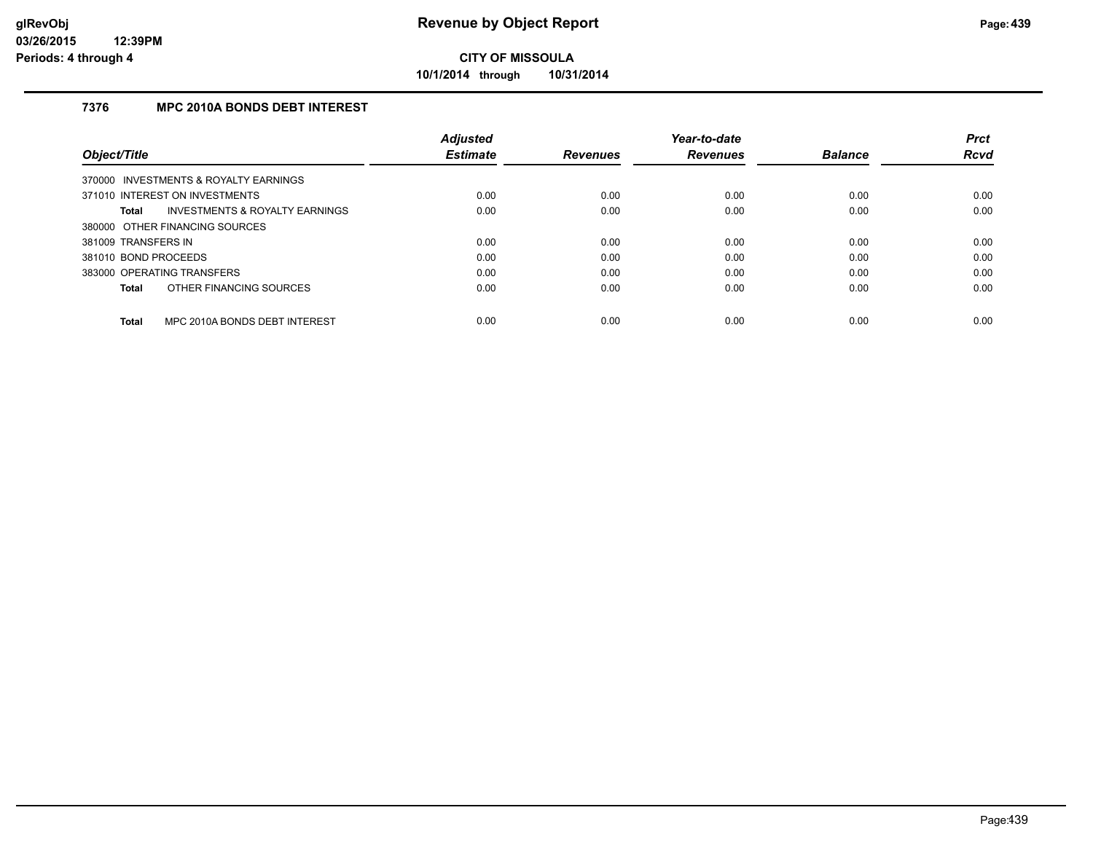**10/1/2014 through 10/31/2014**

## **7376 MPC 2010A BONDS DEBT INTEREST**

|                                               | <b>Adjusted</b> |                 | Year-to-date    |                | <b>Prct</b> |
|-----------------------------------------------|-----------------|-----------------|-----------------|----------------|-------------|
| Object/Title                                  | <b>Estimate</b> | <b>Revenues</b> | <b>Revenues</b> | <b>Balance</b> | <b>Rcvd</b> |
| 370000 INVESTMENTS & ROYALTY EARNINGS         |                 |                 |                 |                |             |
| 371010 INTEREST ON INVESTMENTS                | 0.00            | 0.00            | 0.00            | 0.00           | 0.00        |
| INVESTMENTS & ROYALTY EARNINGS<br>Total       | 0.00            | 0.00            | 0.00            | 0.00           | 0.00        |
| 380000 OTHER FINANCING SOURCES                |                 |                 |                 |                |             |
| 381009 TRANSFERS IN                           | 0.00            | 0.00            | 0.00            | 0.00           | 0.00        |
| 381010 BOND PROCEEDS                          | 0.00            | 0.00            | 0.00            | 0.00           | 0.00        |
| 383000 OPERATING TRANSFERS                    | 0.00            | 0.00            | 0.00            | 0.00           | 0.00        |
| OTHER FINANCING SOURCES<br>Total              | 0.00            | 0.00            | 0.00            | 0.00           | 0.00        |
| MPC 2010A BONDS DEBT INTEREST<br><b>Total</b> | 0.00            | 0.00            | 0.00            | 0.00           | 0.00        |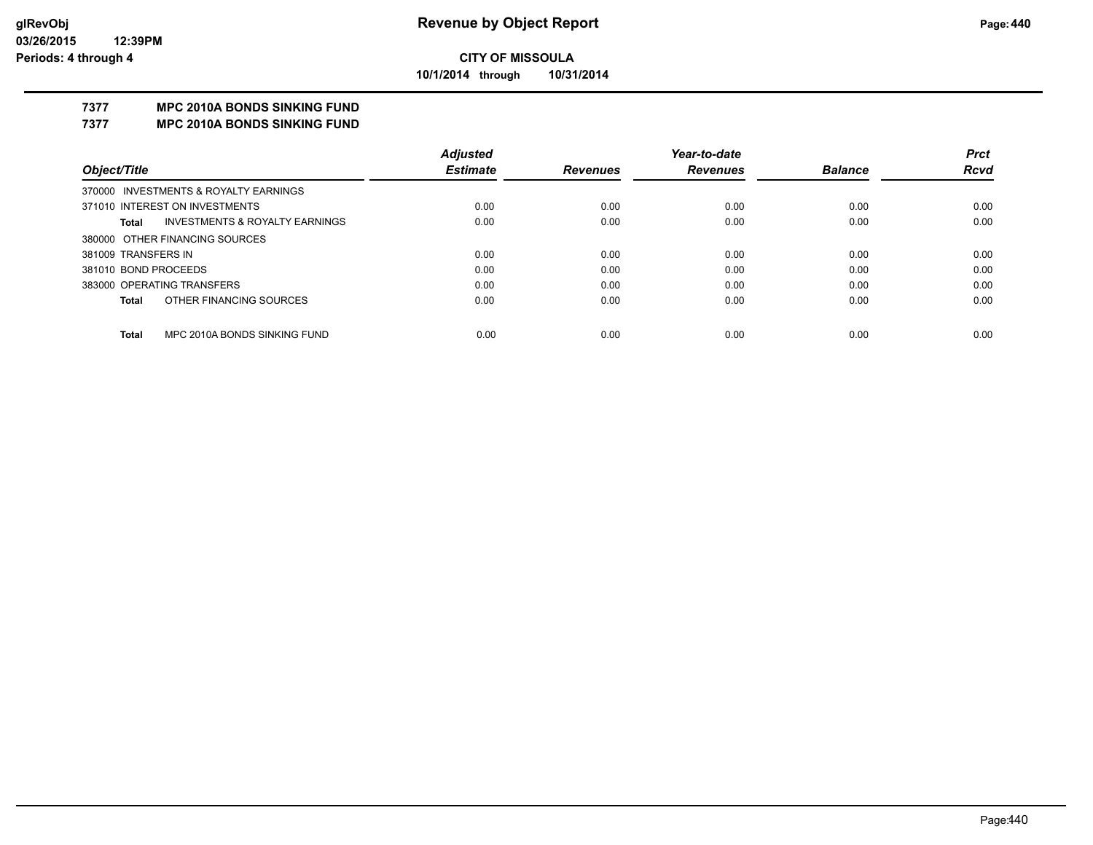**10/1/2014 through 10/31/2014**

## **7377 MPC 2010A BONDS SINKING FUND**

**7377 MPC 2010A BONDS SINKING FUND**

|                                         | <b>Adjusted</b> |                 | Year-to-date    |                | <b>Prct</b> |
|-----------------------------------------|-----------------|-----------------|-----------------|----------------|-------------|
| Object/Title                            | <b>Estimate</b> | <b>Revenues</b> | <b>Revenues</b> | <b>Balance</b> | <b>Rcvd</b> |
| 370000 INVESTMENTS & ROYALTY EARNINGS   |                 |                 |                 |                |             |
| 371010 INTEREST ON INVESTMENTS          | 0.00            | 0.00            | 0.00            | 0.00           | 0.00        |
| INVESTMENTS & ROYALTY EARNINGS<br>Total | 0.00            | 0.00            | 0.00            | 0.00           | 0.00        |
| 380000 OTHER FINANCING SOURCES          |                 |                 |                 |                |             |
| 381009 TRANSFERS IN                     | 0.00            | 0.00            | 0.00            | 0.00           | 0.00        |
| 381010 BOND PROCEEDS                    | 0.00            | 0.00            | 0.00            | 0.00           | 0.00        |
| 383000 OPERATING TRANSFERS              | 0.00            | 0.00            | 0.00            | 0.00           | 0.00        |
| OTHER FINANCING SOURCES<br>Total        | 0.00            | 0.00            | 0.00            | 0.00           | 0.00        |
| MPC 2010A BONDS SINKING FUND            |                 |                 |                 |                |             |
| <b>Total</b>                            | 0.00            | 0.00            | 0.00            | 0.00           | 0.00        |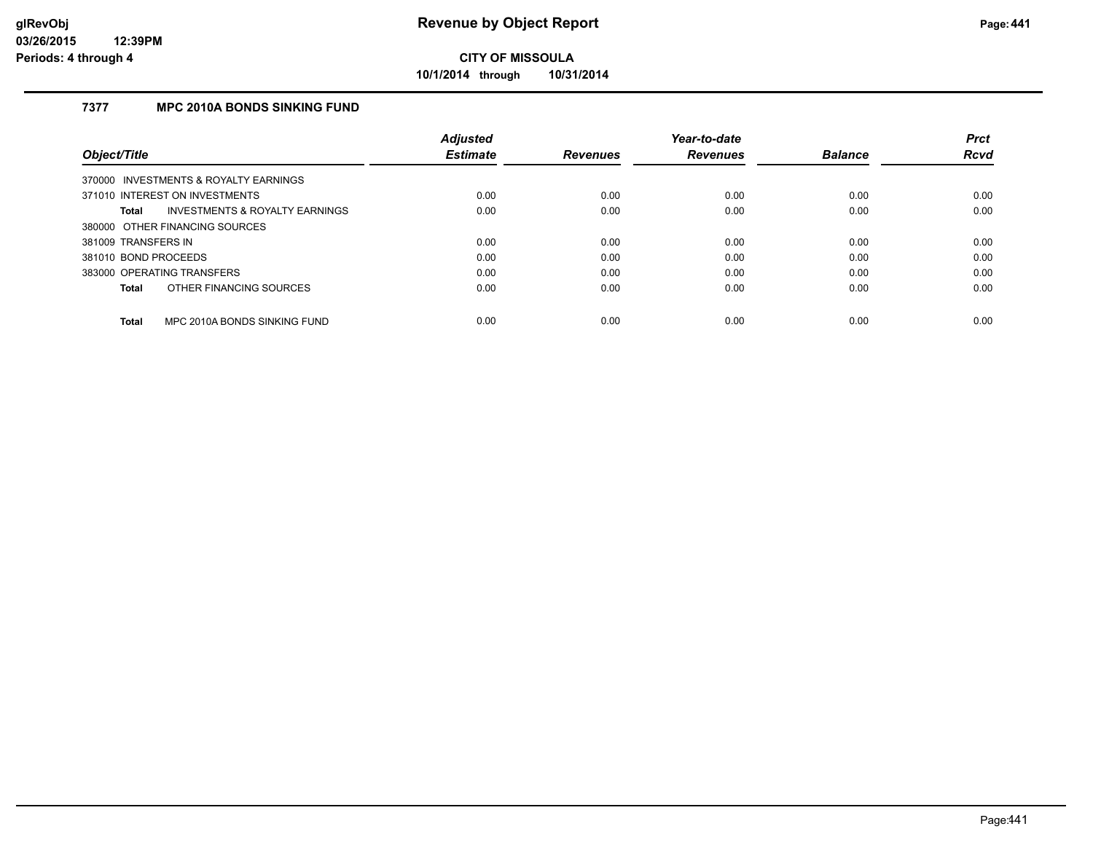**10/1/2014 through 10/31/2014**

## **7377 MPC 2010A BONDS SINKING FUND**

|                                                    | <b>Adjusted</b> |                 | Year-to-date    |                | <b>Prct</b> |
|----------------------------------------------------|-----------------|-----------------|-----------------|----------------|-------------|
| Object/Title                                       | <b>Estimate</b> | <b>Revenues</b> | <b>Revenues</b> | <b>Balance</b> | <b>Rcvd</b> |
| 370000 INVESTMENTS & ROYALTY EARNINGS              |                 |                 |                 |                |             |
| 371010 INTEREST ON INVESTMENTS                     | 0.00            | 0.00            | 0.00            | 0.00           | 0.00        |
| <b>INVESTMENTS &amp; ROYALTY EARNINGS</b><br>Total | 0.00            | 0.00            | 0.00            | 0.00           | 0.00        |
| 380000 OTHER FINANCING SOURCES                     |                 |                 |                 |                |             |
| 381009 TRANSFERS IN                                | 0.00            | 0.00            | 0.00            | 0.00           | 0.00        |
| 381010 BOND PROCEEDS                               | 0.00            | 0.00            | 0.00            | 0.00           | 0.00        |
| 383000 OPERATING TRANSFERS                         | 0.00            | 0.00            | 0.00            | 0.00           | 0.00        |
| OTHER FINANCING SOURCES<br>Total                   | 0.00            | 0.00            | 0.00            | 0.00           | 0.00        |
| MPC 2010A BONDS SINKING FUND<br><b>Total</b>       | 0.00            | 0.00            | 0.00            | 0.00           | 0.00        |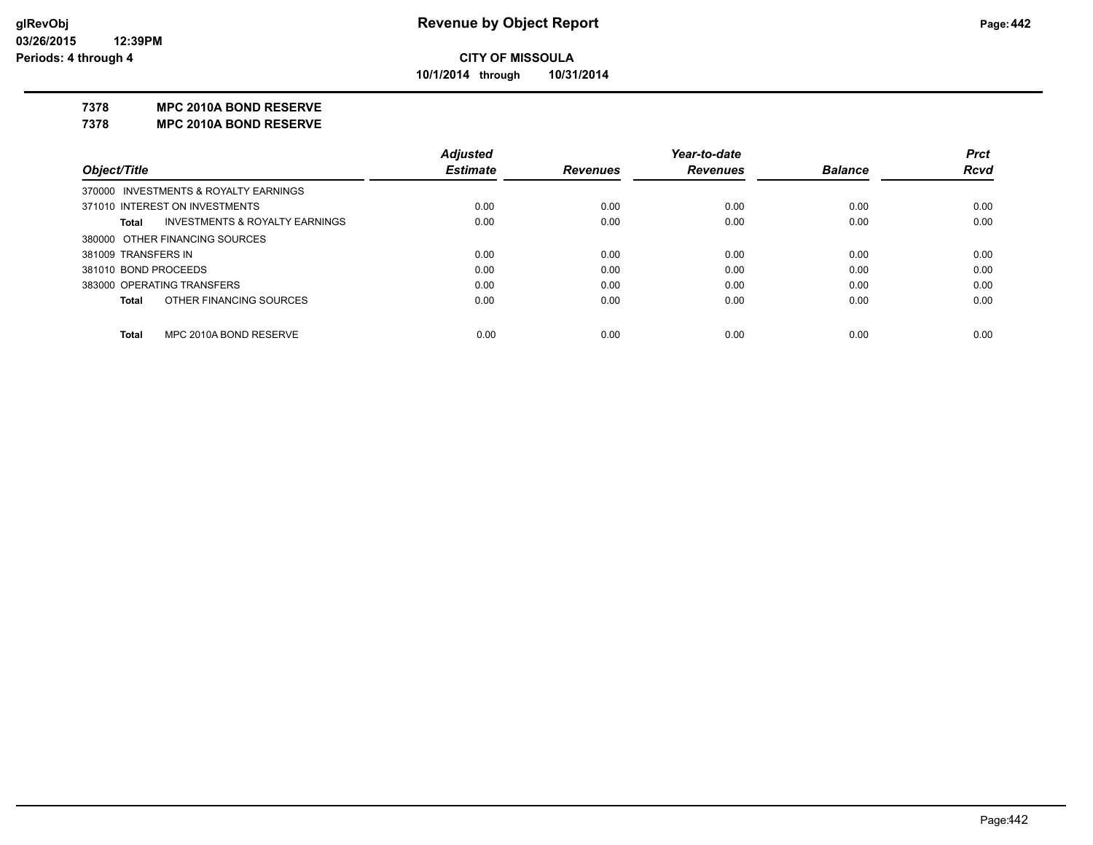**10/1/2014 through 10/31/2014**

#### **7378 MPC 2010A BOND RESERVE**

**7378 MPC 2010A BOND RESERVE**

|                                       |                                           | <b>Adjusted</b> |                 | Year-to-date    |                | <b>Prct</b> |
|---------------------------------------|-------------------------------------------|-----------------|-----------------|-----------------|----------------|-------------|
| Object/Title                          |                                           | <b>Estimate</b> | <b>Revenues</b> | <b>Revenues</b> | <b>Balance</b> | <b>Rcvd</b> |
| 370000 INVESTMENTS & ROYALTY EARNINGS |                                           |                 |                 |                 |                |             |
| 371010 INTEREST ON INVESTMENTS        |                                           | 0.00            | 0.00            | 0.00            | 0.00           | 0.00        |
| <b>Total</b>                          | <b>INVESTMENTS &amp; ROYALTY EARNINGS</b> | 0.00            | 0.00            | 0.00            | 0.00           | 0.00        |
| 380000 OTHER FINANCING SOURCES        |                                           |                 |                 |                 |                |             |
| 381009 TRANSFERS IN                   |                                           | 0.00            | 0.00            | 0.00            | 0.00           | 0.00        |
| 381010 BOND PROCEEDS                  |                                           | 0.00            | 0.00            | 0.00            | 0.00           | 0.00        |
| 383000 OPERATING TRANSFERS            |                                           | 0.00            | 0.00            | 0.00            | 0.00           | 0.00        |
| <b>Total</b>                          | OTHER FINANCING SOURCES                   | 0.00            | 0.00            | 0.00            | 0.00           | 0.00        |
| <b>Total</b>                          | MPC 2010A BOND RESERVE                    | 0.00            | 0.00            | 0.00            | 0.00           | 0.00        |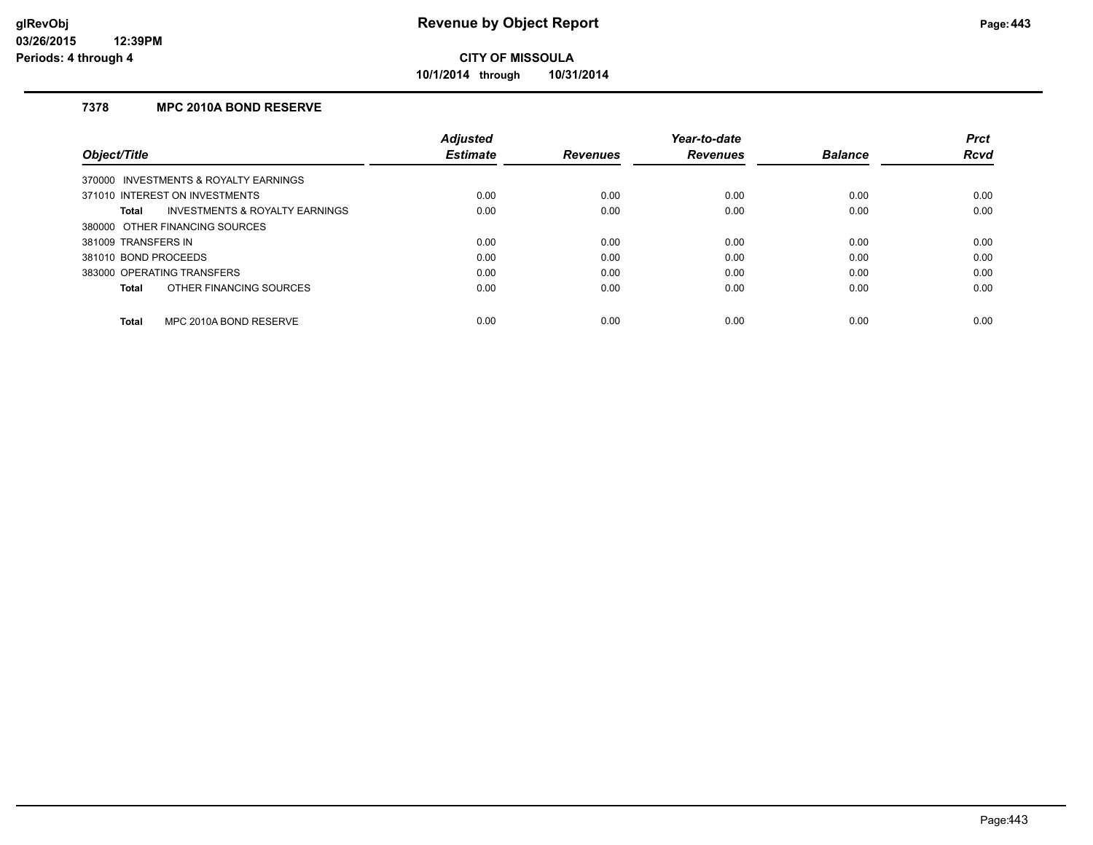**10/1/2014 through 10/31/2014**

## **7378 MPC 2010A BOND RESERVE**

|                                                           | <b>Adiusted</b> |                 | Year-to-date    |                | <b>Prct</b> |
|-----------------------------------------------------------|-----------------|-----------------|-----------------|----------------|-------------|
| Object/Title                                              | <b>Estimate</b> | <b>Revenues</b> | <b>Revenues</b> | <b>Balance</b> | <b>Rcvd</b> |
| 370000 INVESTMENTS & ROYALTY EARNINGS                     |                 |                 |                 |                |             |
| 371010 INTEREST ON INVESTMENTS                            | 0.00            | 0.00            | 0.00            | 0.00           | 0.00        |
| <b>INVESTMENTS &amp; ROYALTY EARNINGS</b><br><b>Total</b> | 0.00            | 0.00            | 0.00            | 0.00           | 0.00        |
| 380000 OTHER FINANCING SOURCES                            |                 |                 |                 |                |             |
| 381009 TRANSFERS IN                                       | 0.00            | 0.00            | 0.00            | 0.00           | 0.00        |
| 381010 BOND PROCEEDS                                      | 0.00            | 0.00            | 0.00            | 0.00           | 0.00        |
| 383000 OPERATING TRANSFERS                                | 0.00            | 0.00            | 0.00            | 0.00           | 0.00        |
| OTHER FINANCING SOURCES<br><b>Total</b>                   | 0.00            | 0.00            | 0.00            | 0.00           | 0.00        |
| MPC 2010A BOND RESERVE<br><b>Total</b>                    | 0.00            | 0.00            | 0.00            | 0.00           | 0.00        |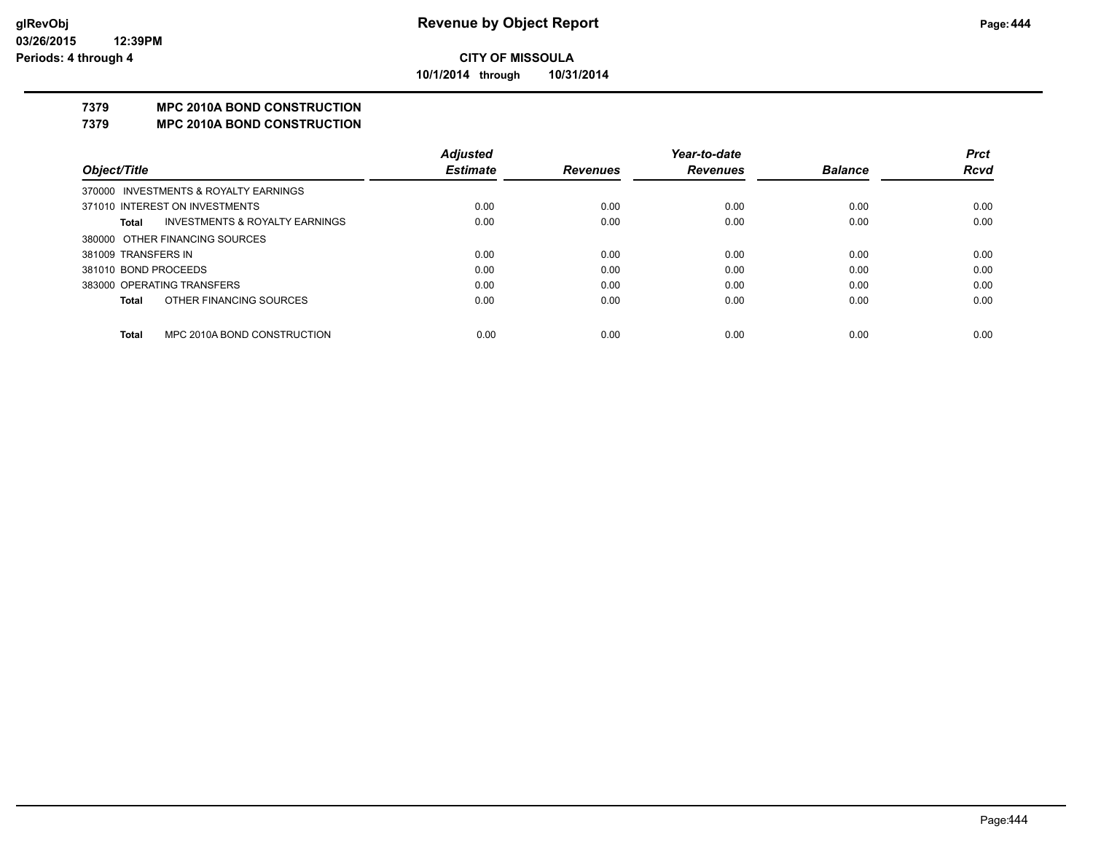**10/1/2014 through 10/31/2014**

## **7379 MPC 2010A BOND CONSTRUCTION**

#### **7379 MPC 2010A BOND CONSTRUCTION**

|                      |                                           | <b>Adjusted</b> |                 | Year-to-date    |                | <b>Prct</b> |
|----------------------|-------------------------------------------|-----------------|-----------------|-----------------|----------------|-------------|
| Object/Title         |                                           | <b>Estimate</b> | <b>Revenues</b> | <b>Revenues</b> | <b>Balance</b> | <b>Rcvd</b> |
|                      | 370000 INVESTMENTS & ROYALTY EARNINGS     |                 |                 |                 |                |             |
|                      | 371010 INTEREST ON INVESTMENTS            | 0.00            | 0.00            | 0.00            | 0.00           | 0.00        |
| Total                | <b>INVESTMENTS &amp; ROYALTY EARNINGS</b> | 0.00            | 0.00            | 0.00            | 0.00           | 0.00        |
|                      | 380000 OTHER FINANCING SOURCES            |                 |                 |                 |                |             |
| 381009 TRANSFERS IN  |                                           | 0.00            | 0.00            | 0.00            | 0.00           | 0.00        |
| 381010 BOND PROCEEDS |                                           | 0.00            | 0.00            | 0.00            | 0.00           | 0.00        |
|                      | 383000 OPERATING TRANSFERS                | 0.00            | 0.00            | 0.00            | 0.00           | 0.00        |
| Total                | OTHER FINANCING SOURCES                   | 0.00            | 0.00            | 0.00            | 0.00           | 0.00        |
|                      |                                           |                 |                 |                 |                |             |
| Total                | MPC 2010A BOND CONSTRUCTION               | 0.00            | 0.00            | 0.00            | 0.00           | 0.00        |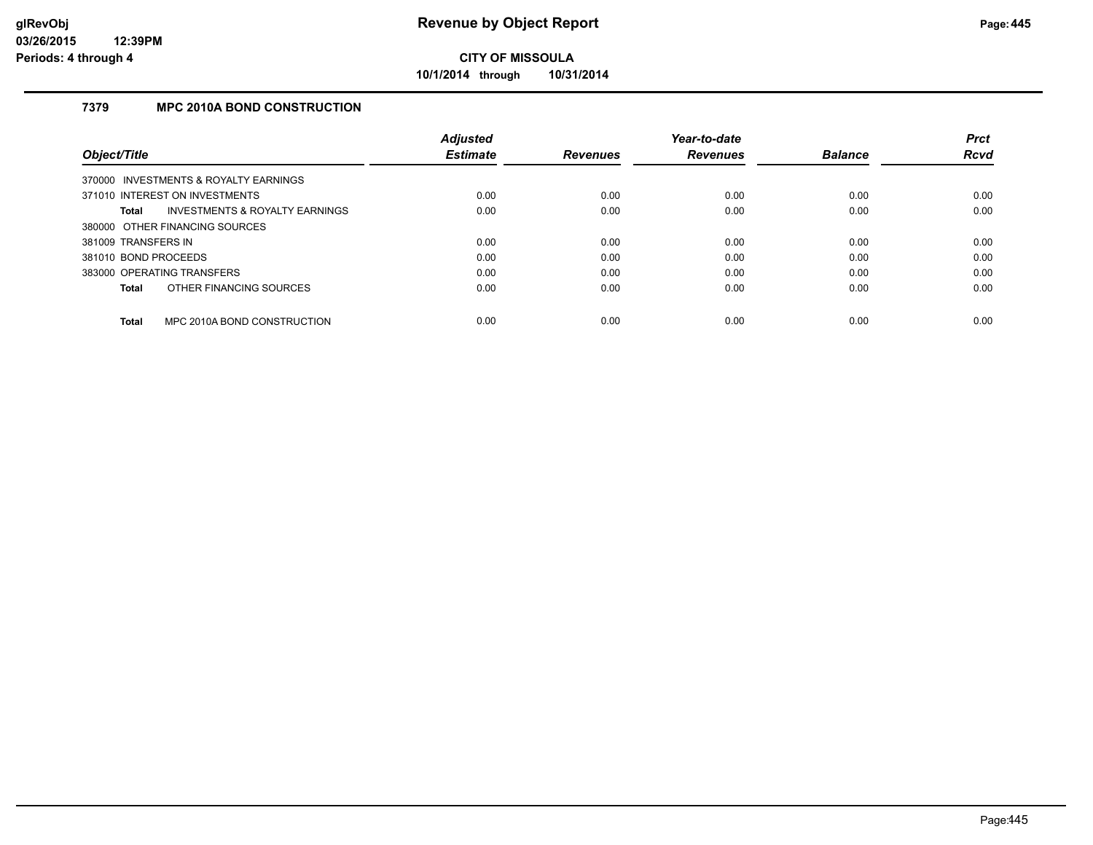**10/1/2014 through 10/31/2014**

## **7379 MPC 2010A BOND CONSTRUCTION**

|                      |                                       | <b>Adjusted</b> |                 | Year-to-date    |                | <b>Prct</b> |
|----------------------|---------------------------------------|-----------------|-----------------|-----------------|----------------|-------------|
| Object/Title         |                                       | <b>Estimate</b> | <b>Revenues</b> | <b>Revenues</b> | <b>Balance</b> | <b>Rcvd</b> |
|                      | 370000 INVESTMENTS & ROYALTY EARNINGS |                 |                 |                 |                |             |
|                      | 371010 INTEREST ON INVESTMENTS        | 0.00            | 0.00            | 0.00            | 0.00           | 0.00        |
| <b>Total</b>         | INVESTMENTS & ROYALTY EARNINGS        | 0.00            | 0.00            | 0.00            | 0.00           | 0.00        |
|                      | 380000 OTHER FINANCING SOURCES        |                 |                 |                 |                |             |
| 381009 TRANSFERS IN  |                                       | 0.00            | 0.00            | 0.00            | 0.00           | 0.00        |
| 381010 BOND PROCEEDS |                                       | 0.00            | 0.00            | 0.00            | 0.00           | 0.00        |
|                      | 383000 OPERATING TRANSFERS            | 0.00            | 0.00            | 0.00            | 0.00           | 0.00        |
| <b>Total</b>         | OTHER FINANCING SOURCES               | 0.00            | 0.00            | 0.00            | 0.00           | 0.00        |
| <b>Total</b>         | MPC 2010A BOND CONSTRUCTION           | 0.00            | 0.00            | 0.00            | 0.00           | 0.00        |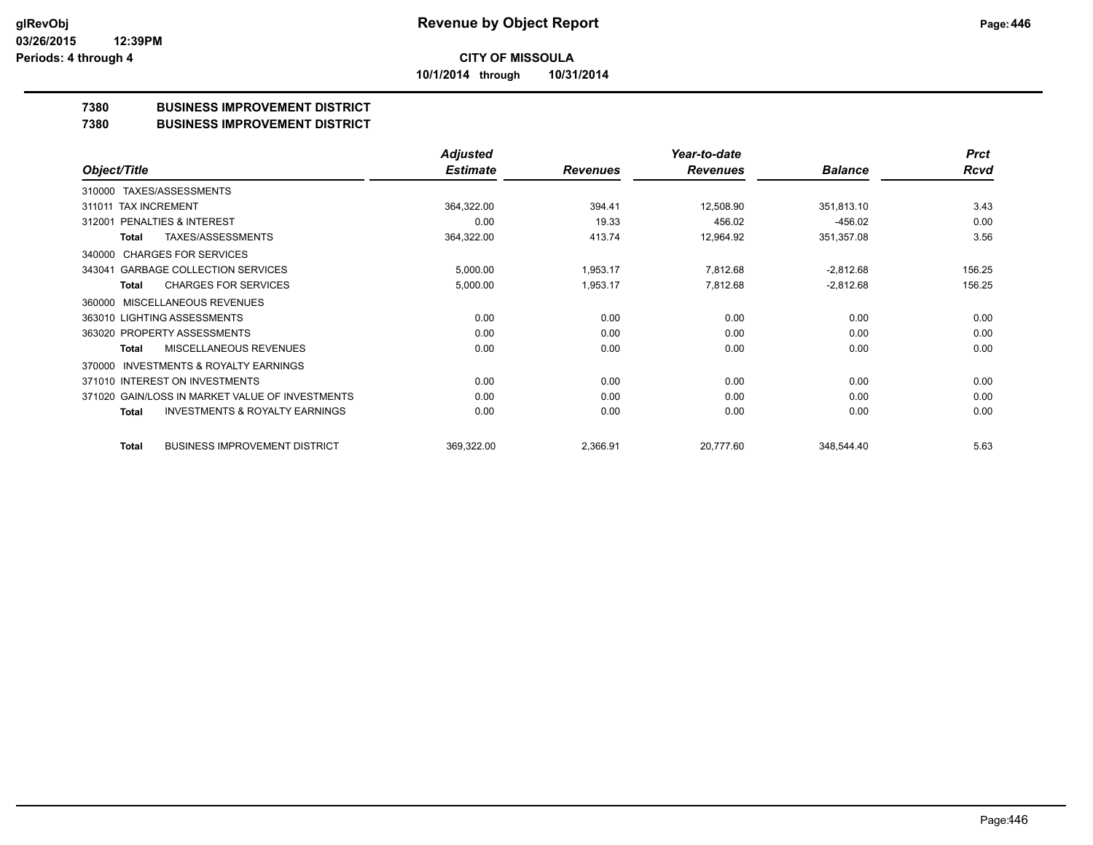**CITY OF MISSOULA 10/1/2014 through 10/31/2014**

**7380 BUSINESS IMPROVEMENT DISTRICT**

**7380 BUSINESS IMPROVEMENT DISTRICT**

|                                                           | <b>Adjusted</b> |                 | Year-to-date    |                | <b>Prct</b> |
|-----------------------------------------------------------|-----------------|-----------------|-----------------|----------------|-------------|
| Object/Title                                              | <b>Estimate</b> | <b>Revenues</b> | <b>Revenues</b> | <b>Balance</b> | Rcvd        |
| TAXES/ASSESSMENTS<br>310000                               |                 |                 |                 |                |             |
| <b>TAX INCREMENT</b><br>311011                            | 364,322.00      | 394.41          | 12,508.90       | 351,813.10     | 3.43        |
| <b>PENALTIES &amp; INTEREST</b><br>312001                 | 0.00            | 19.33           | 456.02          | $-456.02$      | 0.00        |
| TAXES/ASSESSMENTS<br>Total                                | 364,322.00      | 413.74          | 12,964.92       | 351,357.08     | 3.56        |
| <b>CHARGES FOR SERVICES</b><br>340000                     |                 |                 |                 |                |             |
| <b>GARBAGE COLLECTION SERVICES</b><br>343041              | 5,000.00        | 1,953.17        | 7,812.68        | $-2,812.68$    | 156.25      |
| <b>CHARGES FOR SERVICES</b><br>Total                      | 5,000.00        | 1,953.17        | 7,812.68        | $-2,812.68$    | 156.25      |
| <b>MISCELLANEOUS REVENUES</b><br>360000                   |                 |                 |                 |                |             |
| 363010 LIGHTING ASSESSMENTS                               | 0.00            | 0.00            | 0.00            | 0.00           | 0.00        |
| 363020 PROPERTY ASSESSMENTS                               | 0.00            | 0.00            | 0.00            | 0.00           | 0.00        |
| MISCELLANEOUS REVENUES<br>Total                           | 0.00            | 0.00            | 0.00            | 0.00           | 0.00        |
| <b>INVESTMENTS &amp; ROYALTY EARNINGS</b><br>370000       |                 |                 |                 |                |             |
| 371010 INTEREST ON INVESTMENTS                            | 0.00            | 0.00            | 0.00            | 0.00           | 0.00        |
| 371020 GAIN/LOSS IN MARKET VALUE OF INVESTMENTS           | 0.00            | 0.00            | 0.00            | 0.00           | 0.00        |
| <b>INVESTMENTS &amp; ROYALTY EARNINGS</b><br><b>Total</b> | 0.00            | 0.00            | 0.00            | 0.00           | 0.00        |
| <b>BUSINESS IMPROVEMENT DISTRICT</b><br>Total             | 369,322.00      | 2,366.91        | 20,777.60       | 348,544.40     | 5.63        |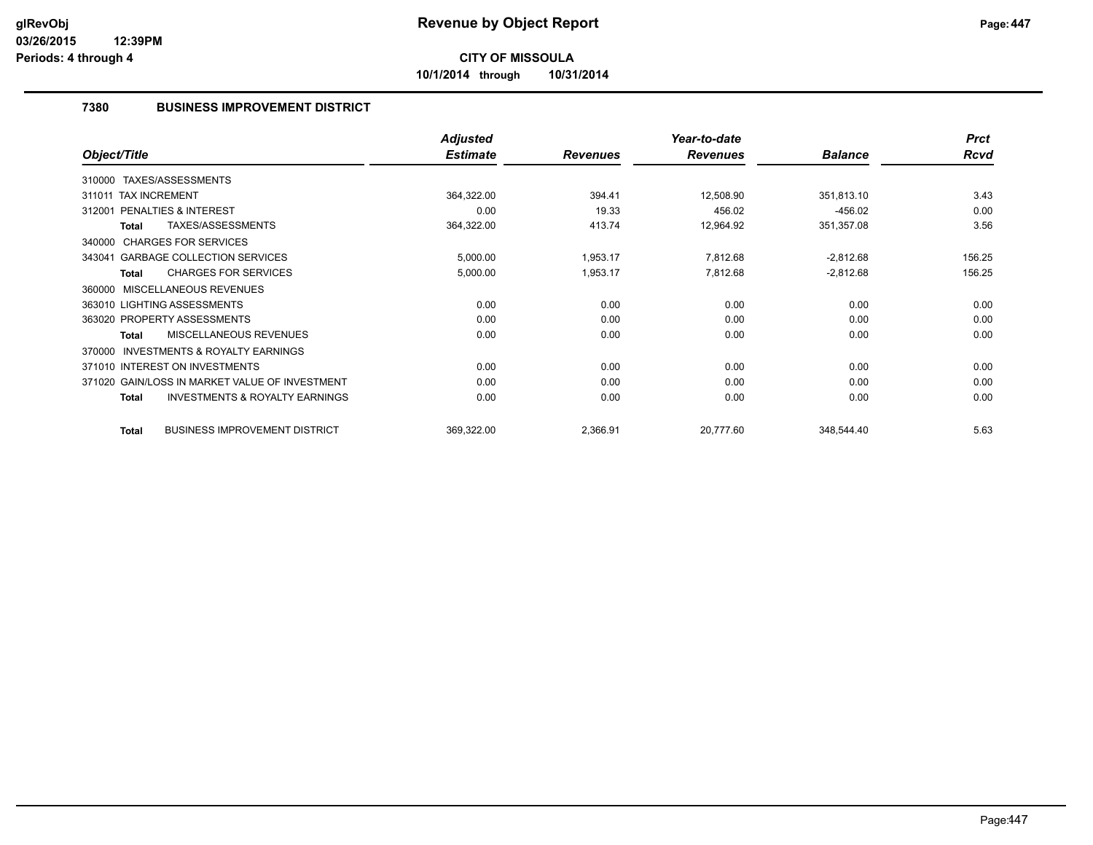**10/1/2014 through 10/31/2014**

## **7380 BUSINESS IMPROVEMENT DISTRICT**

|                                                           | <b>Adjusted</b> |                 | Year-to-date    |                | <b>Prct</b> |
|-----------------------------------------------------------|-----------------|-----------------|-----------------|----------------|-------------|
| Object/Title                                              | <b>Estimate</b> | <b>Revenues</b> | <b>Revenues</b> | <b>Balance</b> | Rcvd        |
| TAXES/ASSESSMENTS<br>310000                               |                 |                 |                 |                |             |
| 311011 TAX INCREMENT                                      | 364,322.00      | 394.41          | 12,508.90       | 351,813.10     | 3.43        |
| <b>PENALTIES &amp; INTEREST</b><br>312001                 | 0.00            | 19.33           | 456.02          | $-456.02$      | 0.00        |
| TAXES/ASSESSMENTS<br><b>Total</b>                         | 364,322.00      | 413.74          | 12,964.92       | 351,357.08     | 3.56        |
| 340000 CHARGES FOR SERVICES                               |                 |                 |                 |                |             |
| 343041 GARBAGE COLLECTION SERVICES                        | 5,000.00        | 1,953.17        | 7,812.68        | $-2,812.68$    | 156.25      |
| <b>CHARGES FOR SERVICES</b><br><b>Total</b>               | 5,000.00        | 1,953.17        | 7,812.68        | $-2,812.68$    | 156.25      |
| MISCELLANEOUS REVENUES<br>360000                          |                 |                 |                 |                |             |
| 363010 LIGHTING ASSESSMENTS                               | 0.00            | 0.00            | 0.00            | 0.00           | 0.00        |
| 363020 PROPERTY ASSESSMENTS                               | 0.00            | 0.00            | 0.00            | 0.00           | 0.00        |
| <b>MISCELLANEOUS REVENUES</b><br><b>Total</b>             | 0.00            | 0.00            | 0.00            | 0.00           | 0.00        |
| <b>INVESTMENTS &amp; ROYALTY EARNINGS</b><br>370000       |                 |                 |                 |                |             |
| 371010 INTEREST ON INVESTMENTS                            | 0.00            | 0.00            | 0.00            | 0.00           | 0.00        |
| 371020 GAIN/LOSS IN MARKET VALUE OF INVESTMENT            | 0.00            | 0.00            | 0.00            | 0.00           | 0.00        |
| <b>INVESTMENTS &amp; ROYALTY EARNINGS</b><br><b>Total</b> | 0.00            | 0.00            | 0.00            | 0.00           | 0.00        |
| <b>BUSINESS IMPROVEMENT DISTRICT</b><br><b>Total</b>      | 369,322.00      | 2,366.91        | 20,777.60       | 348,544.40     | 5.63        |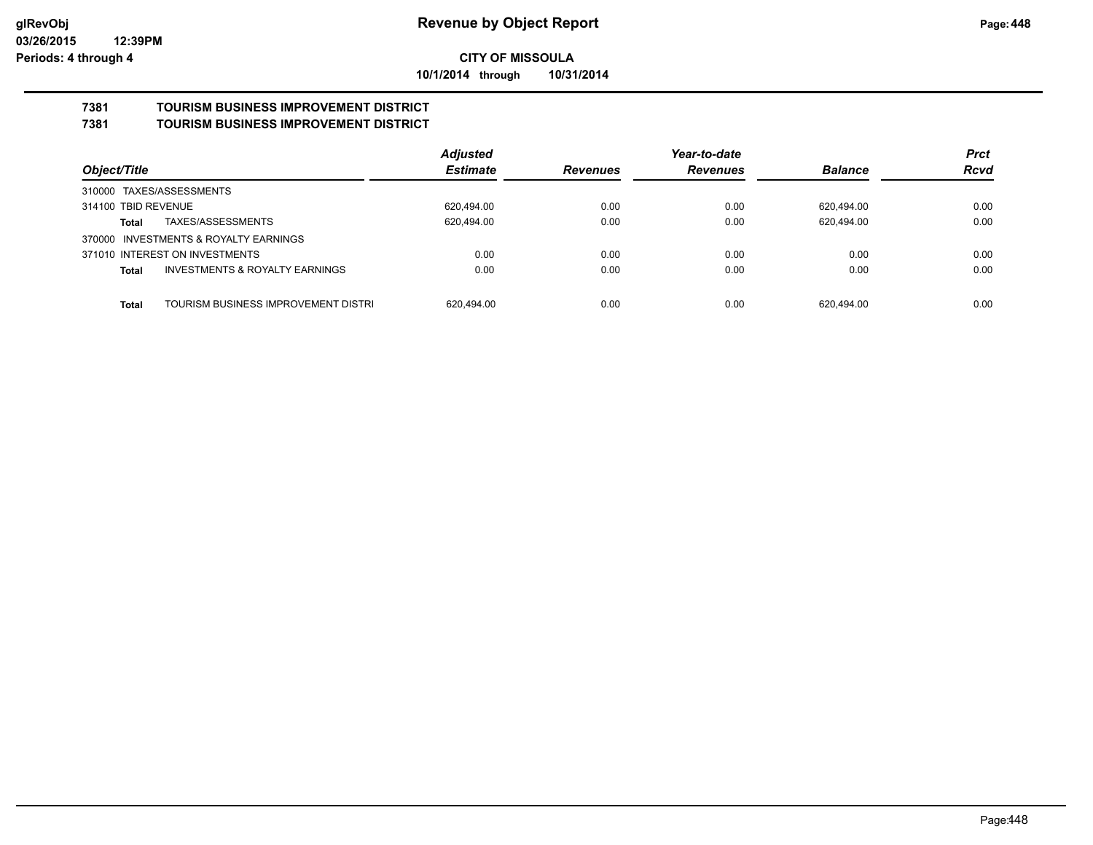**10/1/2014 through 10/31/2014**

#### **7381 TOURISM BUSINESS IMPROVEMENT DISTRICT 7381 TOURISM BUSINESS IMPROVEMENT DISTRICT**

|                                                     | <b>Adjusted</b> |                 | Year-to-date    |                | <b>Prct</b> |
|-----------------------------------------------------|-----------------|-----------------|-----------------|----------------|-------------|
| Object/Title                                        | <b>Estimate</b> | <b>Revenues</b> | <b>Revenues</b> | <b>Balance</b> | <b>Rcvd</b> |
| 310000 TAXES/ASSESSMENTS                            |                 |                 |                 |                |             |
| 314100 TBID REVENUE                                 | 620,494.00      | 0.00            | 0.00            | 620,494.00     | 0.00        |
| TAXES/ASSESSMENTS<br>Total                          | 620,494.00      | 0.00            | 0.00            | 620.494.00     | 0.00        |
| 370000 INVESTMENTS & ROYALTY EARNINGS               |                 |                 |                 |                |             |
| 371010 INTEREST ON INVESTMENTS                      | 0.00            | 0.00            | 0.00            | 0.00           | 0.00        |
| <b>INVESTMENTS &amp; ROYALTY EARNINGS</b><br>Total  | 0.00            | 0.00            | 0.00            | 0.00           | 0.00        |
|                                                     |                 |                 |                 |                |             |
| TOURISM BUSINESS IMPROVEMENT DISTRI<br><b>Total</b> | 620.494.00      | 0.00            | 0.00            | 620.494.00     | 0.00        |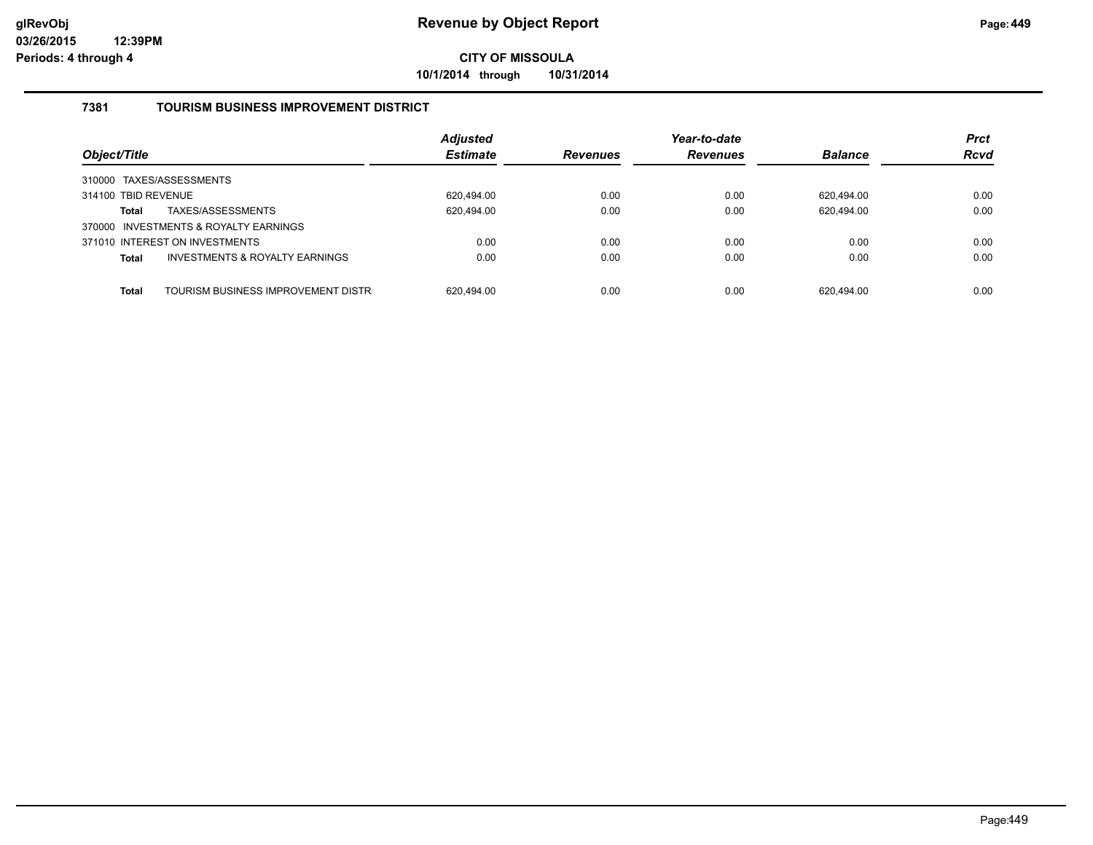**10/1/2014 through 10/31/2014**

## **7381 TOURISM BUSINESS IMPROVEMENT DISTRICT**

| Object/Title                                              | <b>Adjusted</b><br><b>Estimate</b> | <b>Revenues</b> | Year-to-date<br><b>Revenues</b> | <b>Balance</b> | <b>Prct</b><br><b>Rcvd</b> |
|-----------------------------------------------------------|------------------------------------|-----------------|---------------------------------|----------------|----------------------------|
| 310000 TAXES/ASSESSMENTS                                  |                                    |                 |                                 |                |                            |
| 314100 TBID REVENUE                                       | 620.494.00                         | 0.00            | 0.00                            | 620.494.00     | 0.00                       |
| TAXES/ASSESSMENTS<br><b>Total</b>                         | 620,494.00                         | 0.00            | 0.00                            | 620,494.00     | 0.00                       |
| 370000 INVESTMENTS & ROYALTY EARNINGS                     |                                    |                 |                                 |                |                            |
| 371010 INTEREST ON INVESTMENTS                            | 0.00                               | 0.00            | 0.00                            | 0.00           | 0.00                       |
| <b>INVESTMENTS &amp; ROYALTY EARNINGS</b><br><b>Total</b> | 0.00                               | 0.00            | 0.00                            | 0.00           | 0.00                       |
|                                                           |                                    |                 |                                 |                |                            |
| TOURISM BUSINESS IMPROVEMENT DISTR<br><b>Total</b>        | 620.494.00                         | 0.00            | 0.00                            | 620.494.00     | 0.00                       |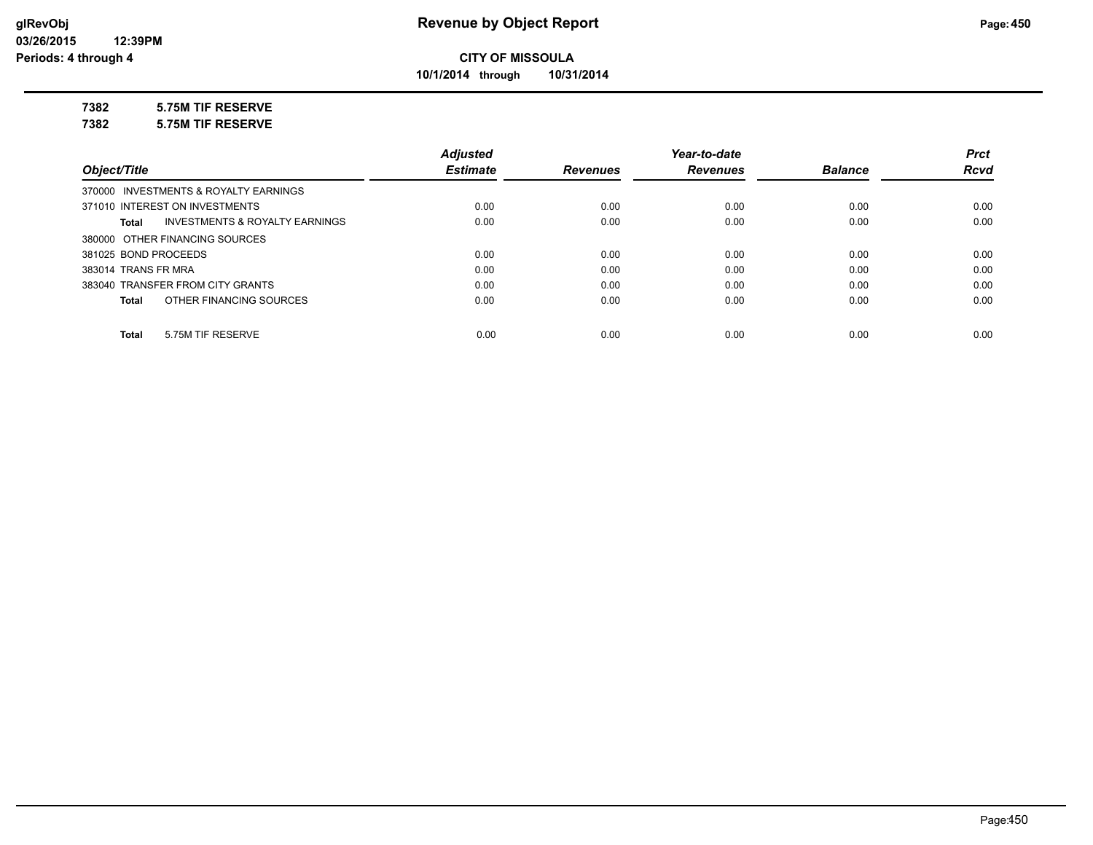**10/1/2014 through 10/31/2014**

## **7382 5.75M TIF RESERVE**

**7382 5.75M TIF RESERVE**

|                                                    | <b>Adjusted</b> |                 | Year-to-date    |                | <b>Prct</b> |
|----------------------------------------------------|-----------------|-----------------|-----------------|----------------|-------------|
| Object/Title                                       | <b>Estimate</b> | <b>Revenues</b> | <b>Revenues</b> | <b>Balance</b> | <b>Rcvd</b> |
| 370000 INVESTMENTS & ROYALTY EARNINGS              |                 |                 |                 |                |             |
| 371010 INTEREST ON INVESTMENTS                     | 0.00            | 0.00            | 0.00            | 0.00           | 0.00        |
| <b>INVESTMENTS &amp; ROYALTY EARNINGS</b><br>Total | 0.00            | 0.00            | 0.00            | 0.00           | 0.00        |
| 380000 OTHER FINANCING SOURCES                     |                 |                 |                 |                |             |
| 381025 BOND PROCEEDS                               | 0.00            | 0.00            | 0.00            | 0.00           | 0.00        |
| 383014 TRANS FR MRA                                | 0.00            | 0.00            | 0.00            | 0.00           | 0.00        |
| 383040 TRANSFER FROM CITY GRANTS                   | 0.00            | 0.00            | 0.00            | 0.00           | 0.00        |
| OTHER FINANCING SOURCES<br>Total                   | 0.00            | 0.00            | 0.00            | 0.00           | 0.00        |
|                                                    |                 |                 |                 |                |             |
| 5.75M TIF RESERVE<br>Total                         | 0.00            | 0.00            | 0.00            | 0.00           | 0.00        |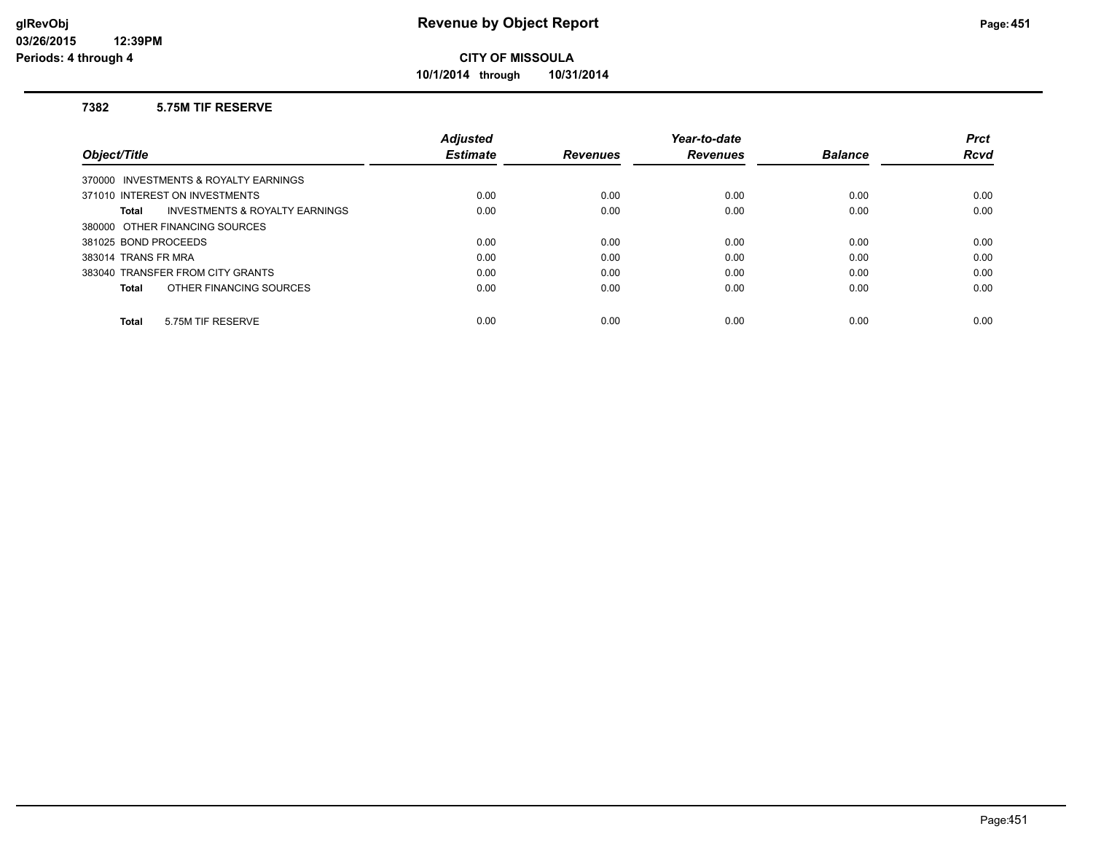**10/1/2014 through 10/31/2014**

#### **7382 5.75M TIF RESERVE**

|                                                    | <b>Adjusted</b> |                 | Year-to-date    |                | <b>Prct</b> |
|----------------------------------------------------|-----------------|-----------------|-----------------|----------------|-------------|
| Object/Title                                       | <b>Estimate</b> | <b>Revenues</b> | <b>Revenues</b> | <b>Balance</b> | <b>Rcvd</b> |
| 370000 INVESTMENTS & ROYALTY EARNINGS              |                 |                 |                 |                |             |
| 371010 INTEREST ON INVESTMENTS                     | 0.00            | 0.00            | 0.00            | 0.00           | 0.00        |
| <b>INVESTMENTS &amp; ROYALTY EARNINGS</b><br>Total | 0.00            | 0.00            | 0.00            | 0.00           | 0.00        |
| 380000 OTHER FINANCING SOURCES                     |                 |                 |                 |                |             |
| 381025 BOND PROCEEDS                               | 0.00            | 0.00            | 0.00            | 0.00           | 0.00        |
| 383014 TRANS FR MRA                                | 0.00            | 0.00            | 0.00            | 0.00           | 0.00        |
| 383040 TRANSFER FROM CITY GRANTS                   | 0.00            | 0.00            | 0.00            | 0.00           | 0.00        |
| OTHER FINANCING SOURCES<br>Total                   | 0.00            | 0.00            | 0.00            | 0.00           | 0.00        |
|                                                    |                 |                 |                 |                |             |
| 5.75M TIF RESERVE<br><b>Total</b>                  | 0.00            | 0.00            | 0.00            | 0.00           | 0.00        |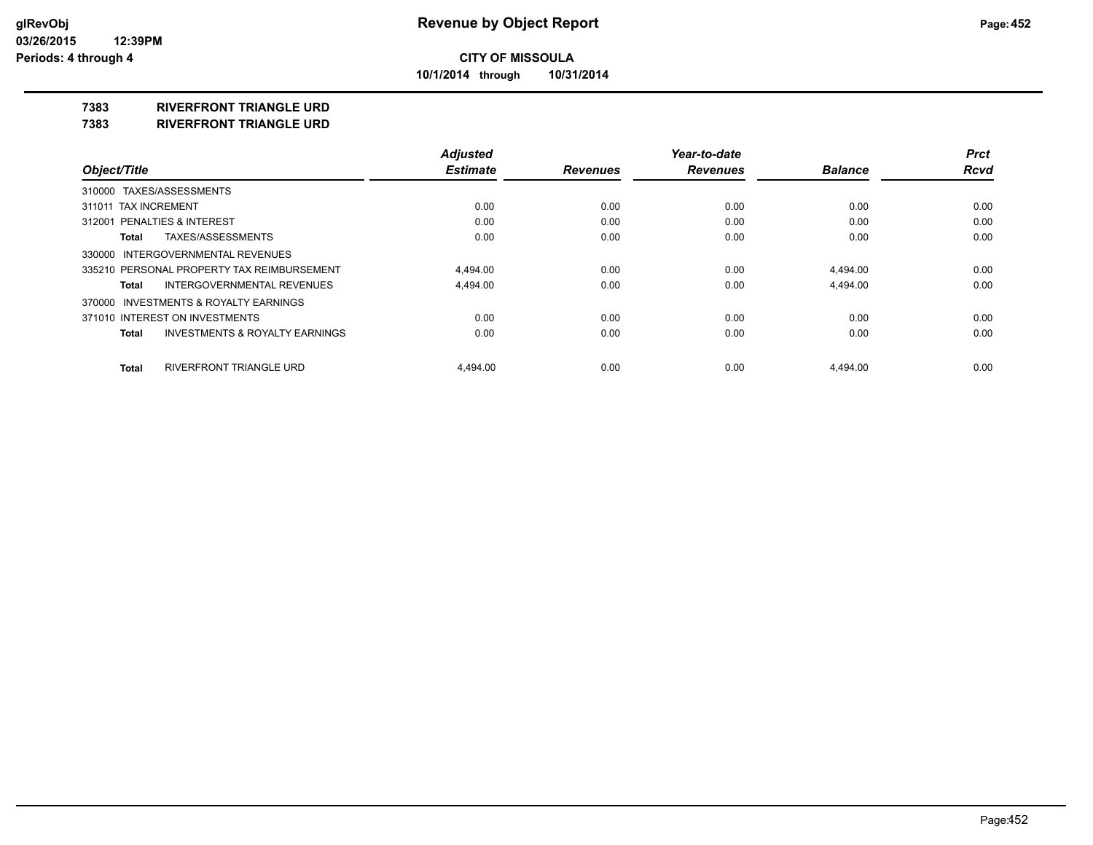**10/1/2014 through 10/31/2014**

#### **7383 RIVERFRONT TRIANGLE URD**

**7383 RIVERFRONT TRIANGLE URD**

|                                                    | <b>Adjusted</b> |                 | Year-to-date    |                | <b>Prct</b> |
|----------------------------------------------------|-----------------|-----------------|-----------------|----------------|-------------|
| Object/Title                                       | <b>Estimate</b> | <b>Revenues</b> | <b>Revenues</b> | <b>Balance</b> | <b>Rcvd</b> |
| 310000 TAXES/ASSESSMENTS                           |                 |                 |                 |                |             |
| 311011 TAX INCREMENT                               | 0.00            | 0.00            | 0.00            | 0.00           | 0.00        |
| 312001 PENALTIES & INTEREST                        | 0.00            | 0.00            | 0.00            | 0.00           | 0.00        |
| TAXES/ASSESSMENTS<br>Total                         | 0.00            | 0.00            | 0.00            | 0.00           | 0.00        |
| 330000 INTERGOVERNMENTAL REVENUES                  |                 |                 |                 |                |             |
| 335210 PERSONAL PROPERTY TAX REIMBURSEMENT         | 4.494.00        | 0.00            | 0.00            | 4.494.00       | 0.00        |
| <b>INTERGOVERNMENTAL REVENUES</b><br>Total         | 4,494.00        | 0.00            | 0.00            | 4,494.00       | 0.00        |
| 370000 INVESTMENTS & ROYALTY EARNINGS              |                 |                 |                 |                |             |
| 371010 INTEREST ON INVESTMENTS                     | 0.00            | 0.00            | 0.00            | 0.00           | 0.00        |
| <b>INVESTMENTS &amp; ROYALTY EARNINGS</b><br>Total | 0.00            | 0.00            | 0.00            | 0.00           | 0.00        |
| RIVERFRONT TRIANGLE URD<br>Total                   | 4.494.00        | 0.00            | 0.00            | 4.494.00       | 0.00        |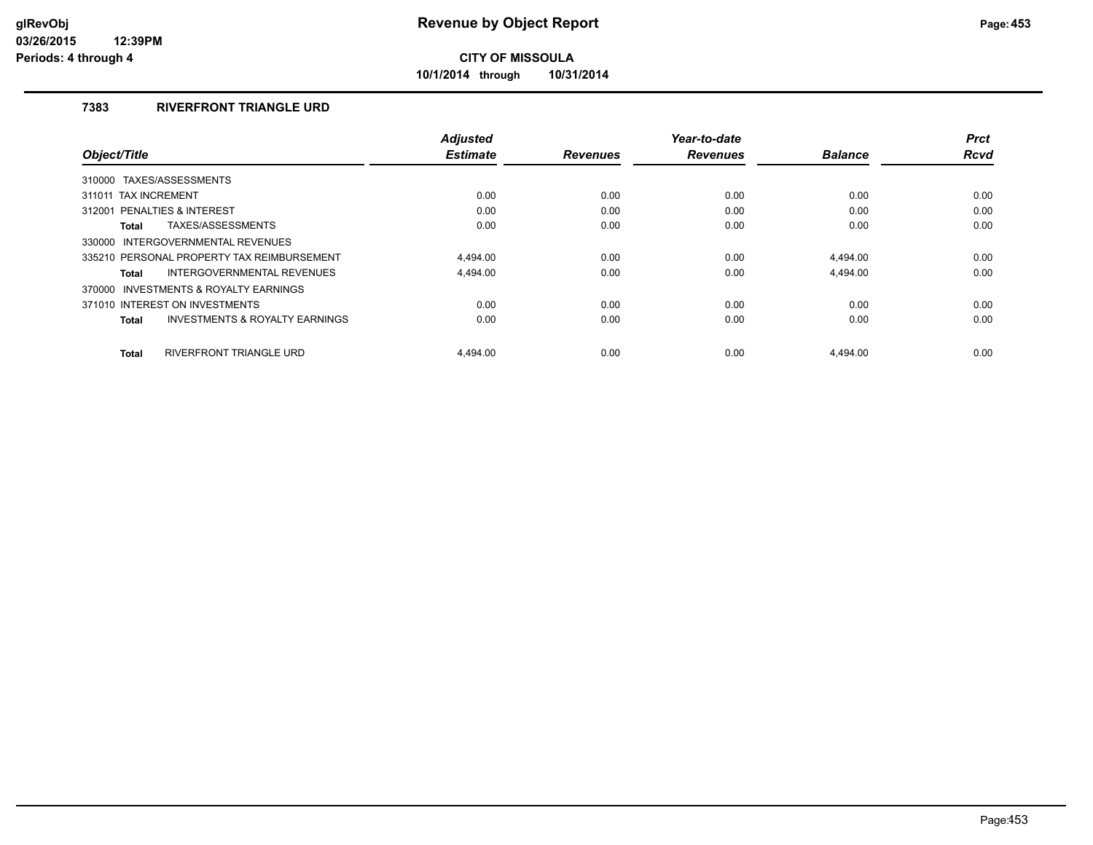**10/1/2014 through 10/31/2014**

## **7383 RIVERFRONT TRIANGLE URD**

| Object/Title                                              | <b>Adjusted</b><br><b>Estimate</b> | <b>Revenues</b> | Year-to-date<br><b>Revenues</b> | <b>Balance</b> | <b>Prct</b><br><b>Rcvd</b> |
|-----------------------------------------------------------|------------------------------------|-----------------|---------------------------------|----------------|----------------------------|
|                                                           |                                    |                 |                                 |                |                            |
| 310000 TAXES/ASSESSMENTS                                  |                                    |                 |                                 |                |                            |
| 311011 TAX INCREMENT                                      | 0.00                               | 0.00            | 0.00                            | 0.00           | 0.00                       |
| PENALTIES & INTEREST<br>312001                            | 0.00                               | 0.00            | 0.00                            | 0.00           | 0.00                       |
| TAXES/ASSESSMENTS<br><b>Total</b>                         | 0.00                               | 0.00            | 0.00                            | 0.00           | 0.00                       |
| INTERGOVERNMENTAL REVENUES<br>330000                      |                                    |                 |                                 |                |                            |
| 335210 PERSONAL PROPERTY TAX REIMBURSEMENT                | 4.494.00                           | 0.00            | 0.00                            | 4.494.00       | 0.00                       |
| INTERGOVERNMENTAL REVENUES<br><b>Total</b>                | 4.494.00                           | 0.00            | 0.00                            | 4.494.00       | 0.00                       |
| 370000 INVESTMENTS & ROYALTY EARNINGS                     |                                    |                 |                                 |                |                            |
| 371010 INTEREST ON INVESTMENTS                            | 0.00                               | 0.00            | 0.00                            | 0.00           | 0.00                       |
| <b>INVESTMENTS &amp; ROYALTY EARNINGS</b><br><b>Total</b> | 0.00                               | 0.00            | 0.00                            | 0.00           | 0.00                       |
| <b>RIVERFRONT TRIANGLE URD</b><br><b>Total</b>            | 4.494.00                           | 0.00            | 0.00                            | 4.494.00       | 0.00                       |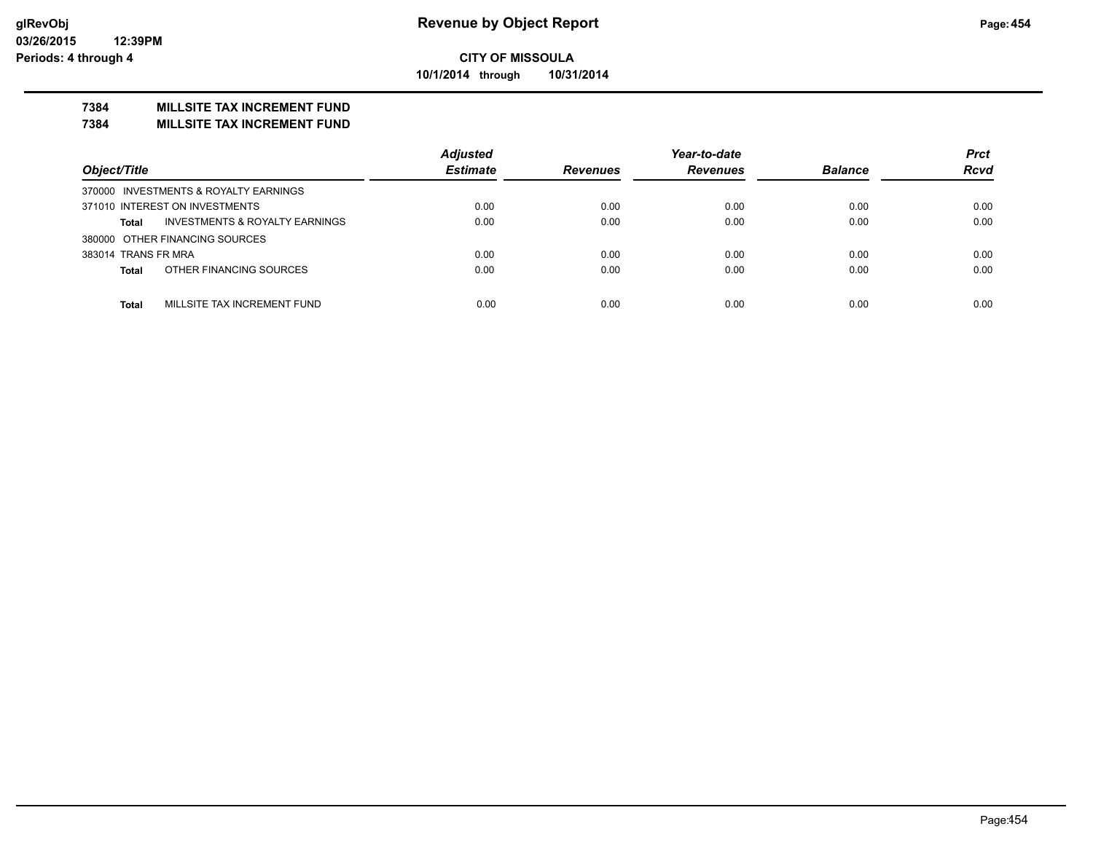**10/1/2014 through 10/31/2014**

## **7384 MILLSITE TAX INCREMENT FUND**

#### **7384 MILLSITE TAX INCREMENT FUND**

|                                             | <b>Adjusted</b> |                 | Year-to-date    |                | <b>Prct</b> |
|---------------------------------------------|-----------------|-----------------|-----------------|----------------|-------------|
| Object/Title                                | <b>Estimate</b> | <b>Revenues</b> | <b>Revenues</b> | <b>Balance</b> | <b>Rcvd</b> |
| 370000 INVESTMENTS & ROYALTY EARNINGS       |                 |                 |                 |                |             |
| 371010 INTEREST ON INVESTMENTS              | 0.00            | 0.00            | 0.00            | 0.00           | 0.00        |
| INVESTMENTS & ROYALTY EARNINGS<br>Total     | 0.00            | 0.00            | 0.00            | 0.00           | 0.00        |
| 380000 OTHER FINANCING SOURCES              |                 |                 |                 |                |             |
| 383014 TRANS FR MRA                         | 0.00            | 0.00            | 0.00            | 0.00           | 0.00        |
| OTHER FINANCING SOURCES<br><b>Total</b>     | 0.00            | 0.00            | 0.00            | 0.00           | 0.00        |
|                                             |                 |                 |                 |                |             |
| MILLSITE TAX INCREMENT FUND<br><b>Total</b> | 0.00            | 0.00            | 0.00            | 0.00           | 0.00        |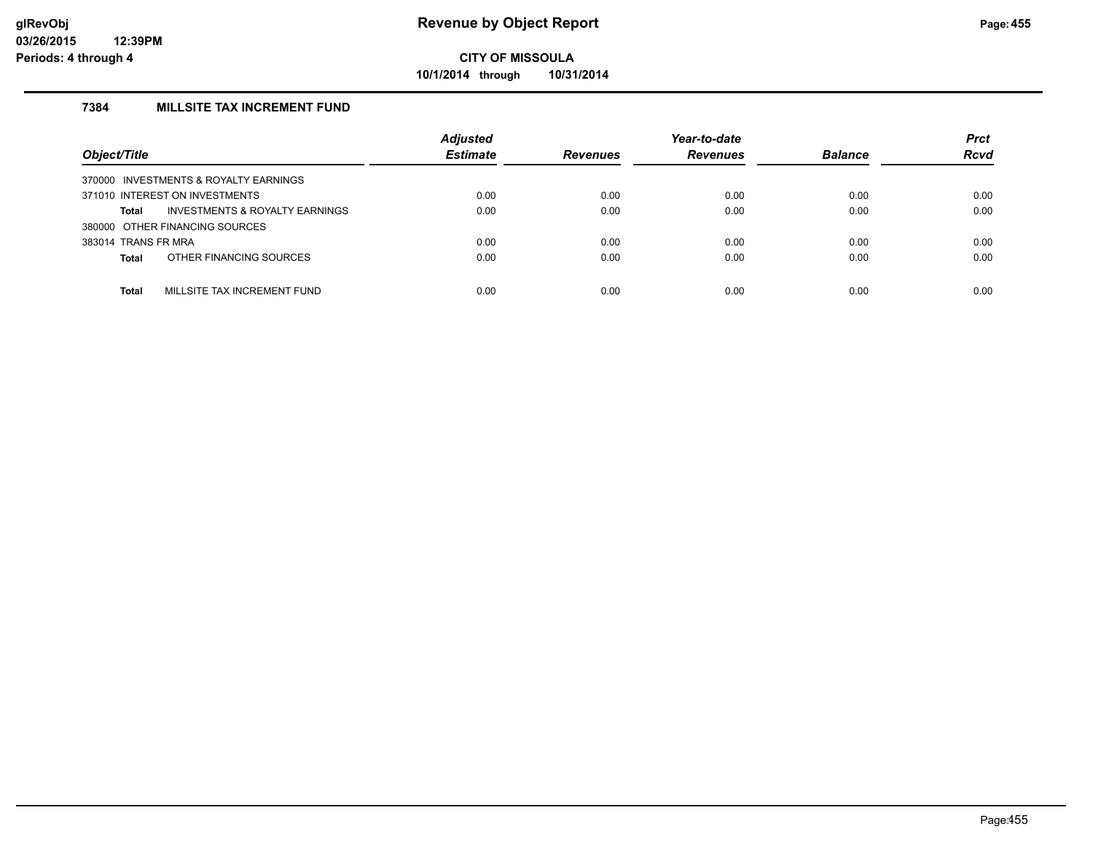**10/1/2014 through 10/31/2014**

## **7384 MILLSITE TAX INCREMENT FUND**

| Object/Title                                | <b>Adjusted</b><br><b>Estimate</b> | <b>Revenues</b> | Year-to-date<br><b>Revenues</b> | <b>Balance</b> | <b>Prct</b><br><b>Rcvd</b> |
|---------------------------------------------|------------------------------------|-----------------|---------------------------------|----------------|----------------------------|
| 370000 INVESTMENTS & ROYALTY EARNINGS       |                                    |                 |                                 |                |                            |
| 371010 INTEREST ON INVESTMENTS              | 0.00                               | 0.00            | 0.00                            | 0.00           | 0.00                       |
| INVESTMENTS & ROYALTY EARNINGS<br>Total     | 0.00                               | 0.00            | 0.00                            | 0.00           | 0.00                       |
| 380000 OTHER FINANCING SOURCES              |                                    |                 |                                 |                |                            |
| 383014 TRANS FR MRA                         | 0.00                               | 0.00            | 0.00                            | 0.00           | 0.00                       |
| OTHER FINANCING SOURCES<br><b>Total</b>     | 0.00                               | 0.00            | 0.00                            | 0.00           | 0.00                       |
|                                             |                                    |                 |                                 |                |                            |
| MILLSITE TAX INCREMENT FUND<br><b>Total</b> | 0.00                               | 0.00            | 0.00                            | 0.00           | 0.00                       |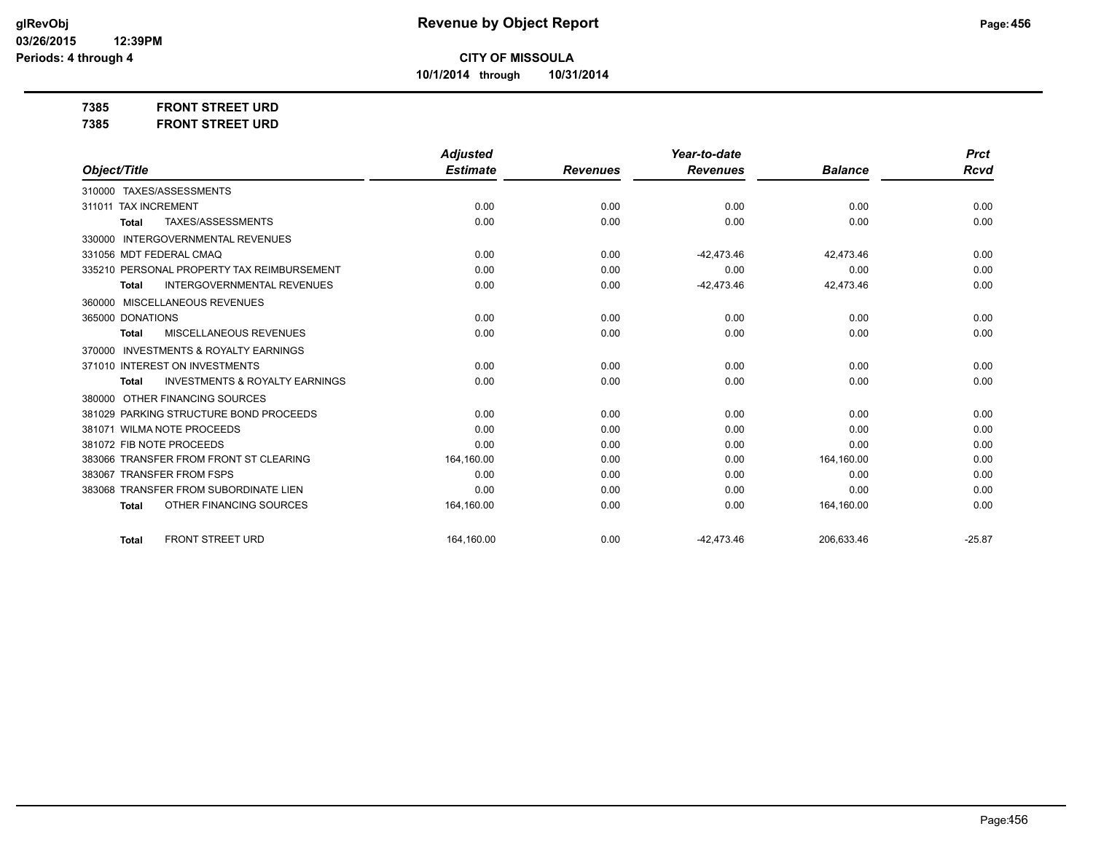**10/1/2014 through 10/31/2014**

**7385 FRONT STREET URD**

| 7385 | <b>FRONT STREET URD</b> |
|------|-------------------------|
|------|-------------------------|

|                                                           | <b>Adjusted</b> |                 | Year-to-date    |                | <b>Prct</b> |
|-----------------------------------------------------------|-----------------|-----------------|-----------------|----------------|-------------|
| Object/Title                                              | <b>Estimate</b> | <b>Revenues</b> | <b>Revenues</b> | <b>Balance</b> | <b>Rcvd</b> |
| 310000 TAXES/ASSESSMENTS                                  |                 |                 |                 |                |             |
| 311011 TAX INCREMENT                                      | 0.00            | 0.00            | 0.00            | 0.00           | 0.00        |
| TAXES/ASSESSMENTS<br><b>Total</b>                         | 0.00            | 0.00            | 0.00            | 0.00           | 0.00        |
| <b>INTERGOVERNMENTAL REVENUES</b><br>330000               |                 |                 |                 |                |             |
| 331056 MDT FEDERAL CMAQ                                   | 0.00            | 0.00            | $-42,473.46$    | 42,473.46      | 0.00        |
| 335210 PERSONAL PROPERTY TAX REIMBURSEMENT                | 0.00            | 0.00            | 0.00            | 0.00           | 0.00        |
| <b>INTERGOVERNMENTAL REVENUES</b><br><b>Total</b>         | 0.00            | 0.00            | $-42,473.46$    | 42,473.46      | 0.00        |
| 360000 MISCELLANEOUS REVENUES                             |                 |                 |                 |                |             |
| 365000 DONATIONS                                          | 0.00            | 0.00            | 0.00            | 0.00           | 0.00        |
| MISCELLANEOUS REVENUES<br><b>Total</b>                    | 0.00            | 0.00            | 0.00            | 0.00           | 0.00        |
| <b>INVESTMENTS &amp; ROYALTY EARNINGS</b><br>370000       |                 |                 |                 |                |             |
| 371010 INTEREST ON INVESTMENTS                            | 0.00            | 0.00            | 0.00            | 0.00           | 0.00        |
| <b>INVESTMENTS &amp; ROYALTY EARNINGS</b><br><b>Total</b> | 0.00            | 0.00            | 0.00            | 0.00           | 0.00        |
| OTHER FINANCING SOURCES<br>380000                         |                 |                 |                 |                |             |
| 381029 PARKING STRUCTURE BOND PROCEEDS                    | 0.00            | 0.00            | 0.00            | 0.00           | 0.00        |
| 381071 WILMA NOTE PROCEEDS                                | 0.00            | 0.00            | 0.00            | 0.00           | 0.00        |
| 381072 FIB NOTE PROCEEDS                                  | 0.00            | 0.00            | 0.00            | 0.00           | 0.00        |
| 383066 TRANSFER FROM FRONT ST CLEARING                    | 164,160.00      | 0.00            | 0.00            | 164,160.00     | 0.00        |
| 383067 TRANSFER FROM FSPS                                 | 0.00            | 0.00            | 0.00            | 0.00           | 0.00        |
| 383068 TRANSFER FROM SUBORDINATE LIEN                     | 0.00            | 0.00            | 0.00            | 0.00           | 0.00        |
| OTHER FINANCING SOURCES<br><b>Total</b>                   | 164,160.00      | 0.00            | 0.00            | 164,160.00     | 0.00        |
| <b>FRONT STREET URD</b><br><b>Total</b>                   | 164,160.00      | 0.00            | $-42.473.46$    | 206,633.46     | $-25.87$    |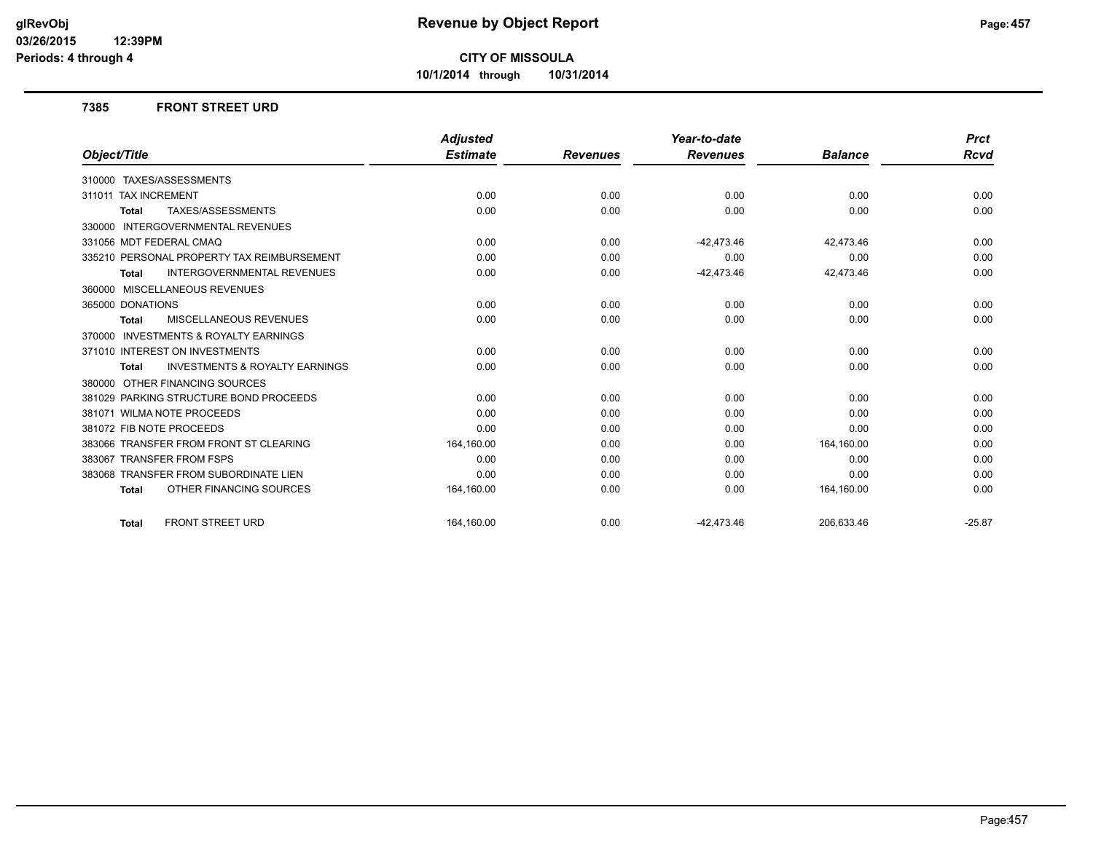**10/1/2014 through 10/31/2014**

#### **7385 FRONT STREET URD**

|                                                           | <b>Adjusted</b> |                 | Year-to-date    |                | <b>Prct</b> |
|-----------------------------------------------------------|-----------------|-----------------|-----------------|----------------|-------------|
| Object/Title                                              | <b>Estimate</b> | <b>Revenues</b> | <b>Revenues</b> | <b>Balance</b> | Rcvd        |
| 310000 TAXES/ASSESSMENTS                                  |                 |                 |                 |                |             |
| 311011 TAX INCREMENT                                      | 0.00            | 0.00            | 0.00            | 0.00           | 0.00        |
| TAXES/ASSESSMENTS<br><b>Total</b>                         | 0.00            | 0.00            | 0.00            | 0.00           | 0.00        |
| <b>INTERGOVERNMENTAL REVENUES</b><br>330000               |                 |                 |                 |                |             |
| 331056 MDT FEDERAL CMAQ                                   | 0.00            | 0.00            | $-42,473.46$    | 42,473.46      | 0.00        |
| 335210 PERSONAL PROPERTY TAX REIMBURSEMENT                | 0.00            | 0.00            | 0.00            | 0.00           | 0.00        |
| <b>INTERGOVERNMENTAL REVENUES</b><br><b>Total</b>         | 0.00            | 0.00            | $-42,473.46$    | 42,473.46      | 0.00        |
| 360000 MISCELLANEOUS REVENUES                             |                 |                 |                 |                |             |
| 365000 DONATIONS                                          | 0.00            | 0.00            | 0.00            | 0.00           | 0.00        |
| MISCELLANEOUS REVENUES<br><b>Total</b>                    | 0.00            | 0.00            | 0.00            | 0.00           | 0.00        |
| 370000 INVESTMENTS & ROYALTY EARNINGS                     |                 |                 |                 |                |             |
| 371010 INTEREST ON INVESTMENTS                            | 0.00            | 0.00            | 0.00            | 0.00           | 0.00        |
| <b>INVESTMENTS &amp; ROYALTY EARNINGS</b><br><b>Total</b> | 0.00            | 0.00            | 0.00            | 0.00           | 0.00        |
| 380000 OTHER FINANCING SOURCES                            |                 |                 |                 |                |             |
| 381029 PARKING STRUCTURE BOND PROCEEDS                    | 0.00            | 0.00            | 0.00            | 0.00           | 0.00        |
| 381071 WILMA NOTE PROCEEDS                                | 0.00            | 0.00            | 0.00            | 0.00           | 0.00        |
| 381072 FIB NOTE PROCEEDS                                  | 0.00            | 0.00            | 0.00            | 0.00           | 0.00        |
| 383066 TRANSFER FROM FRONT ST CLEARING                    | 164,160.00      | 0.00            | 0.00            | 164,160.00     | 0.00        |
| 383067 TRANSFER FROM FSPS                                 | 0.00            | 0.00            | 0.00            | 0.00           | 0.00        |
| 383068 TRANSFER FROM SUBORDINATE LIEN                     | 0.00            | 0.00            | 0.00            | 0.00           | 0.00        |
| OTHER FINANCING SOURCES<br><b>Total</b>                   | 164,160.00      | 0.00            | 0.00            | 164,160.00     | 0.00        |
| <b>FRONT STREET URD</b><br><b>Total</b>                   | 164.160.00      | 0.00            | $-42,473.46$    | 206,633.46     | $-25.87$    |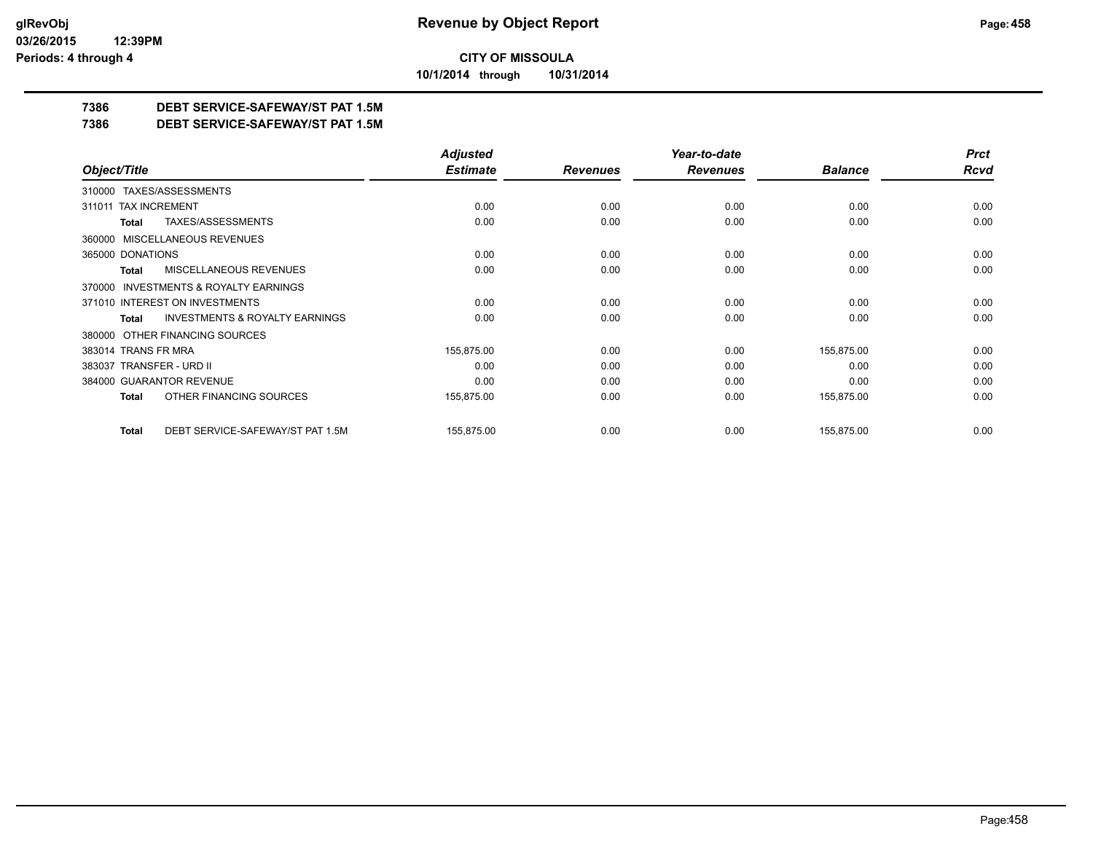**10/1/2014 through 10/31/2014**

## **7386 DEBT SERVICE-SAFEWAY/ST PAT 1.5M**

**7386 DEBT SERVICE-SAFEWAY/ST PAT 1.5M**

|                                                    | <b>Adjusted</b> |                 | Year-to-date    |                | <b>Prct</b> |
|----------------------------------------------------|-----------------|-----------------|-----------------|----------------|-------------|
| Object/Title                                       | <b>Estimate</b> | <b>Revenues</b> | <b>Revenues</b> | <b>Balance</b> | <b>Rcvd</b> |
| 310000 TAXES/ASSESSMENTS                           |                 |                 |                 |                |             |
| <b>TAX INCREMENT</b><br>311011                     | 0.00            | 0.00            | 0.00            | 0.00           | 0.00        |
| TAXES/ASSESSMENTS<br>Total                         | 0.00            | 0.00            | 0.00            | 0.00           | 0.00        |
| 360000 MISCELLANEOUS REVENUES                      |                 |                 |                 |                |             |
| 365000 DONATIONS                                   | 0.00            | 0.00            | 0.00            | 0.00           | 0.00        |
| <b>MISCELLANEOUS REVENUES</b><br>Total             | 0.00            | 0.00            | 0.00            | 0.00           | 0.00        |
| 370000 INVESTMENTS & ROYALTY EARNINGS              |                 |                 |                 |                |             |
| 371010 INTEREST ON INVESTMENTS                     | 0.00            | 0.00            | 0.00            | 0.00           | 0.00        |
| <b>INVESTMENTS &amp; ROYALTY EARNINGS</b><br>Total | 0.00            | 0.00            | 0.00            | 0.00           | 0.00        |
| OTHER FINANCING SOURCES<br>380000                  |                 |                 |                 |                |             |
| 383014 TRANS FR MRA                                | 155,875.00      | 0.00            | 0.00            | 155,875.00     | 0.00        |
| 383037 TRANSFER - URD II                           | 0.00            | 0.00            | 0.00            | 0.00           | 0.00        |
| 384000 GUARANTOR REVENUE                           | 0.00            | 0.00            | 0.00            | 0.00           | 0.00        |
| OTHER FINANCING SOURCES<br>Total                   | 155,875.00      | 0.00            | 0.00            | 155,875.00     | 0.00        |
| DEBT SERVICE-SAFEWAY/ST PAT 1.5M<br><b>Total</b>   | 155,875.00      | 0.00            | 0.00            | 155,875.00     | 0.00        |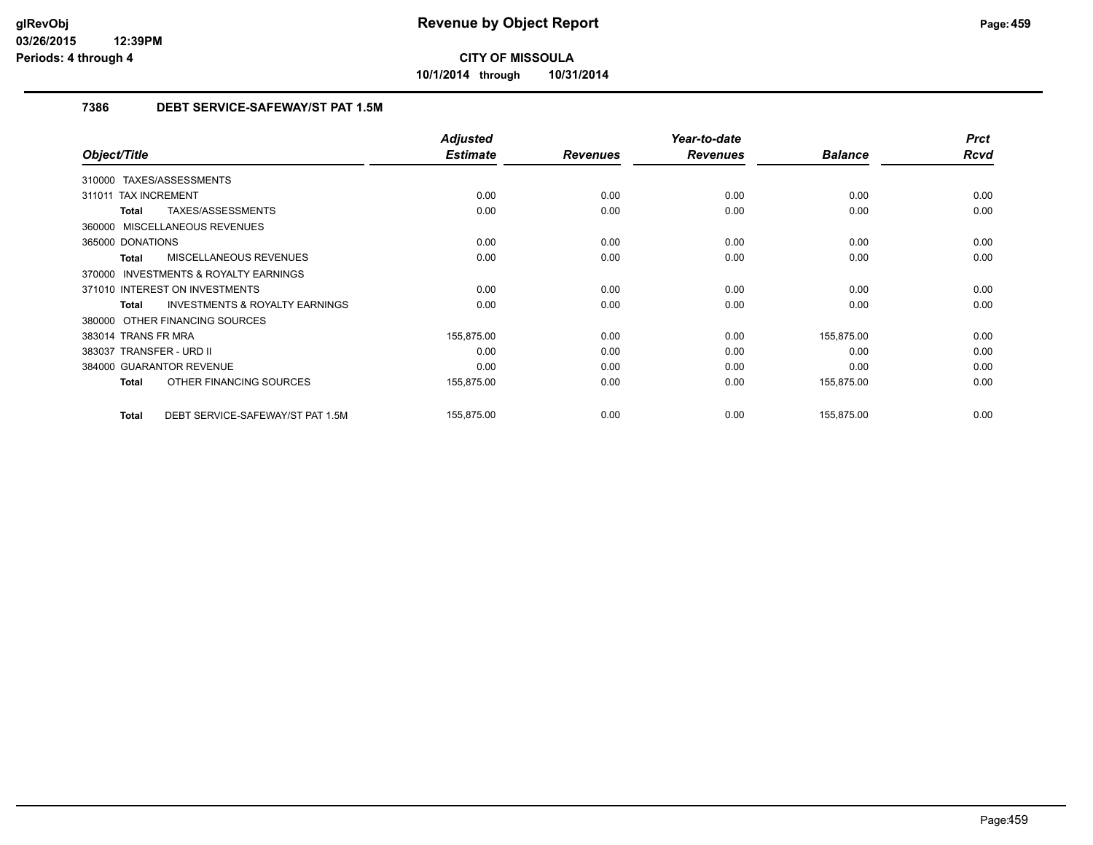**10/1/2014 through 10/31/2014**

## **7386 DEBT SERVICE-SAFEWAY/ST PAT 1.5M**

|                                                           | <b>Adjusted</b> |                 | Year-to-date    |                | <b>Prct</b> |
|-----------------------------------------------------------|-----------------|-----------------|-----------------|----------------|-------------|
| Object/Title                                              | <b>Estimate</b> | <b>Revenues</b> | <b>Revenues</b> | <b>Balance</b> | <b>Rcvd</b> |
| 310000 TAXES/ASSESSMENTS                                  |                 |                 |                 |                |             |
| 311011 TAX INCREMENT                                      | 0.00            | 0.00            | 0.00            | 0.00           | 0.00        |
| TAXES/ASSESSMENTS<br>Total                                | 0.00            | 0.00            | 0.00            | 0.00           | 0.00        |
| 360000 MISCELLANEOUS REVENUES                             |                 |                 |                 |                |             |
| 365000 DONATIONS                                          | 0.00            | 0.00            | 0.00            | 0.00           | 0.00        |
| MISCELLANEOUS REVENUES<br>Total                           | 0.00            | 0.00            | 0.00            | 0.00           | 0.00        |
| <b>INVESTMENTS &amp; ROYALTY EARNINGS</b><br>370000       |                 |                 |                 |                |             |
| 371010 INTEREST ON INVESTMENTS                            | 0.00            | 0.00            | 0.00            | 0.00           | 0.00        |
| <b>INVESTMENTS &amp; ROYALTY EARNINGS</b><br><b>Total</b> | 0.00            | 0.00            | 0.00            | 0.00           | 0.00        |
| 380000 OTHER FINANCING SOURCES                            |                 |                 |                 |                |             |
| 383014 TRANS FR MRA                                       | 155,875.00      | 0.00            | 0.00            | 155,875.00     | 0.00        |
| 383037 TRANSFER - URD II                                  | 0.00            | 0.00            | 0.00            | 0.00           | 0.00        |
| 384000 GUARANTOR REVENUE                                  | 0.00            | 0.00            | 0.00            | 0.00           | 0.00        |
| OTHER FINANCING SOURCES<br>Total                          | 155,875.00      | 0.00            | 0.00            | 155,875.00     | 0.00        |
| DEBT SERVICE-SAFEWAY/ST PAT 1.5M<br>Total                 | 155,875.00      | 0.00            | 0.00            | 155,875.00     | 0.00        |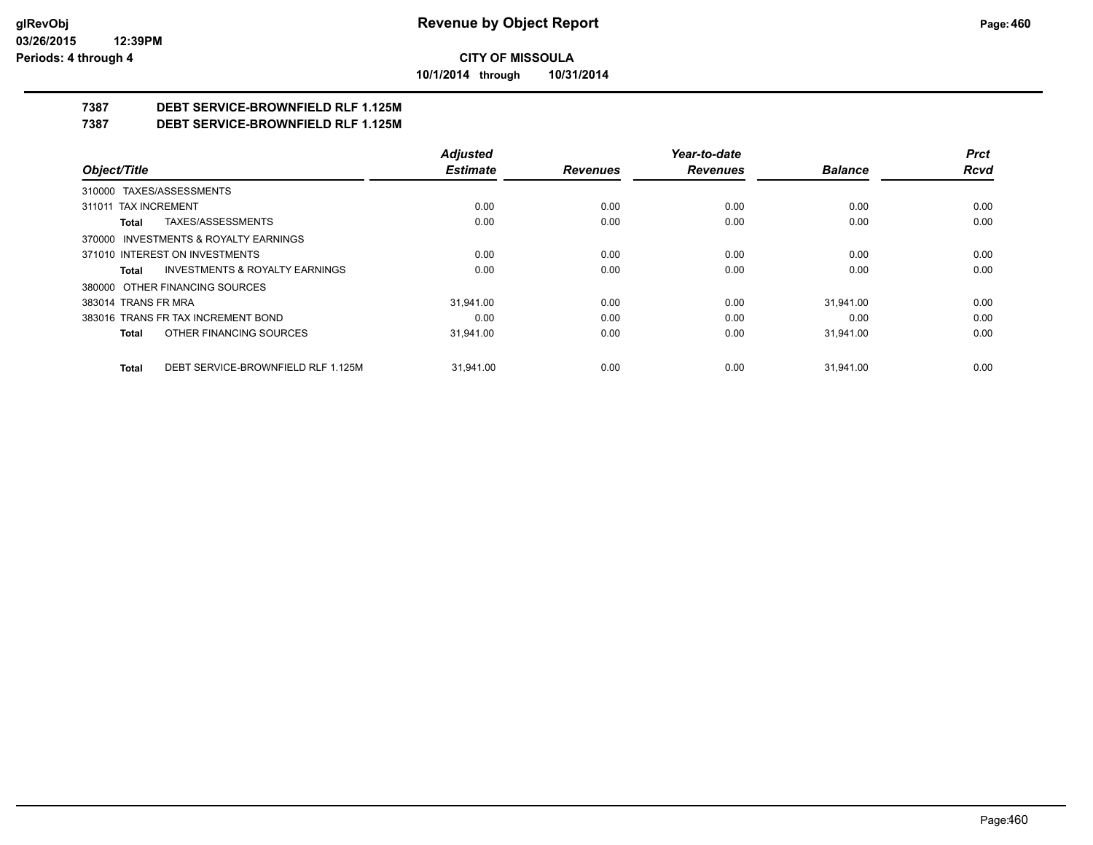**10/1/2014 through 10/31/2014**

## **7387 DEBT SERVICE-BROWNFIELD RLF 1.125M**

**7387 DEBT SERVICE-BROWNFIELD RLF 1.125M**

|                                                    | <b>Adjusted</b> |                 | Year-to-date    |                | <b>Prct</b> |
|----------------------------------------------------|-----------------|-----------------|-----------------|----------------|-------------|
| Object/Title                                       | <b>Estimate</b> | <b>Revenues</b> | <b>Revenues</b> | <b>Balance</b> | <b>Rcvd</b> |
| 310000 TAXES/ASSESSMENTS                           |                 |                 |                 |                |             |
| 311011 TAX INCREMENT                               | 0.00            | 0.00            | 0.00            | 0.00           | 0.00        |
| TAXES/ASSESSMENTS<br><b>Total</b>                  | 0.00            | 0.00            | 0.00            | 0.00           | 0.00        |
| 370000 INVESTMENTS & ROYALTY EARNINGS              |                 |                 |                 |                |             |
| 371010 INTEREST ON INVESTMENTS                     | 0.00            | 0.00            | 0.00            | 0.00           | 0.00        |
| <b>INVESTMENTS &amp; ROYALTY EARNINGS</b><br>Total | 0.00            | 0.00            | 0.00            | 0.00           | 0.00        |
| 380000 OTHER FINANCING SOURCES                     |                 |                 |                 |                |             |
| 383014 TRANS FR MRA                                | 31.941.00       | 0.00            | 0.00            | 31.941.00      | 0.00        |
| 383016 TRANS FR TAX INCREMENT BOND                 | 0.00            | 0.00            | 0.00            | 0.00           | 0.00        |
| OTHER FINANCING SOURCES<br>Total                   | 31,941.00       | 0.00            | 0.00            | 31,941.00      | 0.00        |
| DEBT SERVICE-BROWNFIELD RLF 1.125M<br><b>Total</b> | 31.941.00       | 0.00            | 0.00            | 31.941.00      | 0.00        |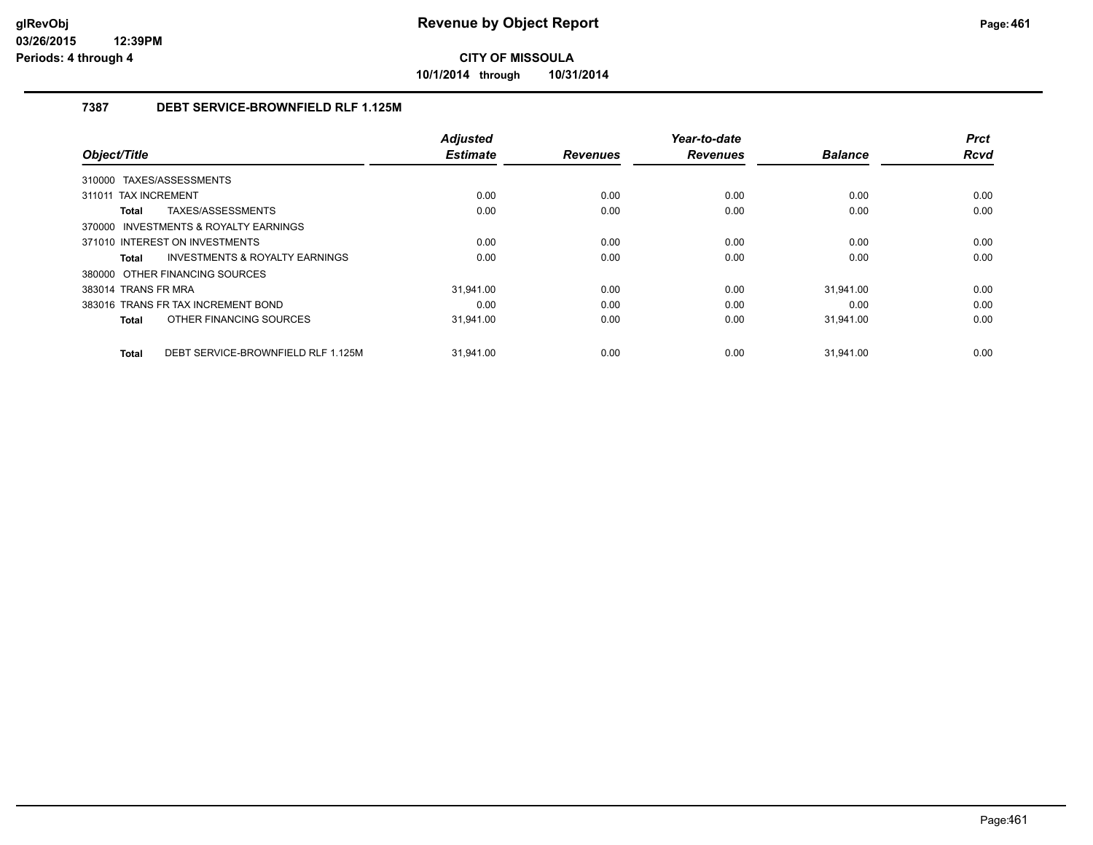**10/1/2014 through 10/31/2014**

## **7387 DEBT SERVICE-BROWNFIELD RLF 1.125M**

|                                                    | <b>Adjusted</b> |                 | Year-to-date    |                | <b>Prct</b> |
|----------------------------------------------------|-----------------|-----------------|-----------------|----------------|-------------|
| Object/Title                                       | <b>Estimate</b> | <b>Revenues</b> | <b>Revenues</b> | <b>Balance</b> | <b>Rcvd</b> |
| 310000 TAXES/ASSESSMENTS                           |                 |                 |                 |                |             |
| 311011 TAX INCREMENT                               | 0.00            | 0.00            | 0.00            | 0.00           | 0.00        |
| TAXES/ASSESSMENTS<br>Total                         | 0.00            | 0.00            | 0.00            | 0.00           | 0.00        |
| 370000 INVESTMENTS & ROYALTY EARNINGS              |                 |                 |                 |                |             |
| 371010 INTEREST ON INVESTMENTS                     | 0.00            | 0.00            | 0.00            | 0.00           | 0.00        |
| INVESTMENTS & ROYALTY EARNINGS<br>Total            | 0.00            | 0.00            | 0.00            | 0.00           | 0.00        |
| 380000 OTHER FINANCING SOURCES                     |                 |                 |                 |                |             |
| 383014 TRANS FR MRA                                | 31.941.00       | 0.00            | 0.00            | 31.941.00      | 0.00        |
| 383016 TRANS FR TAX INCREMENT BOND                 | 0.00            | 0.00            | 0.00            | 0.00           | 0.00        |
| OTHER FINANCING SOURCES<br>Total                   | 31,941.00       | 0.00            | 0.00            | 31,941.00      | 0.00        |
| DEBT SERVICE-BROWNFIELD RLF 1.125M<br><b>Total</b> | 31.941.00       | 0.00            | 0.00            | 31.941.00      | 0.00        |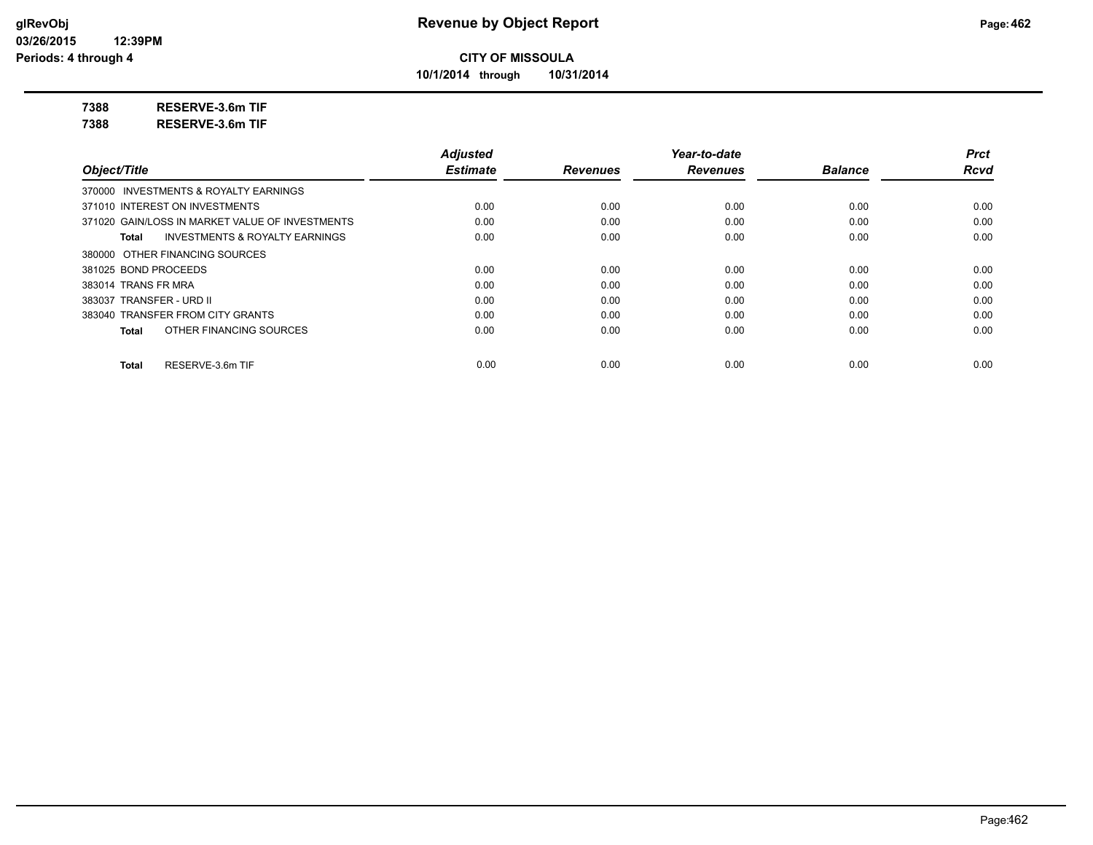**10/1/2014 through 10/31/2014**

**7388 RESERVE-3.6m TIF**

**7388 RESERVE-3.6m TIF**

|                                                    | <b>Adjusted</b> |                 | Year-to-date    |                | <b>Prct</b> |
|----------------------------------------------------|-----------------|-----------------|-----------------|----------------|-------------|
| Object/Title                                       | <b>Estimate</b> | <b>Revenues</b> | <b>Revenues</b> | <b>Balance</b> | <b>Rcvd</b> |
| 370000 INVESTMENTS & ROYALTY EARNINGS              |                 |                 |                 |                |             |
| 371010 INTEREST ON INVESTMENTS                     | 0.00            | 0.00            | 0.00            | 0.00           | 0.00        |
| 371020 GAIN/LOSS IN MARKET VALUE OF INVESTMENTS    | 0.00            | 0.00            | 0.00            | 0.00           | 0.00        |
| <b>INVESTMENTS &amp; ROYALTY EARNINGS</b><br>Total | 0.00            | 0.00            | 0.00            | 0.00           | 0.00        |
| 380000 OTHER FINANCING SOURCES                     |                 |                 |                 |                |             |
| 381025 BOND PROCEEDS                               | 0.00            | 0.00            | 0.00            | 0.00           | 0.00        |
| 383014 TRANS FR MRA                                | 0.00            | 0.00            | 0.00            | 0.00           | 0.00        |
| 383037 TRANSFER - URD II                           | 0.00            | 0.00            | 0.00            | 0.00           | 0.00        |
| 383040 TRANSFER FROM CITY GRANTS                   | 0.00            | 0.00            | 0.00            | 0.00           | 0.00        |
| OTHER FINANCING SOURCES<br>Total                   | 0.00            | 0.00            | 0.00            | 0.00           | 0.00        |
| RESERVE-3.6m TIF<br>Total                          | 0.00            | 0.00            | 0.00            | 0.00           | 0.00        |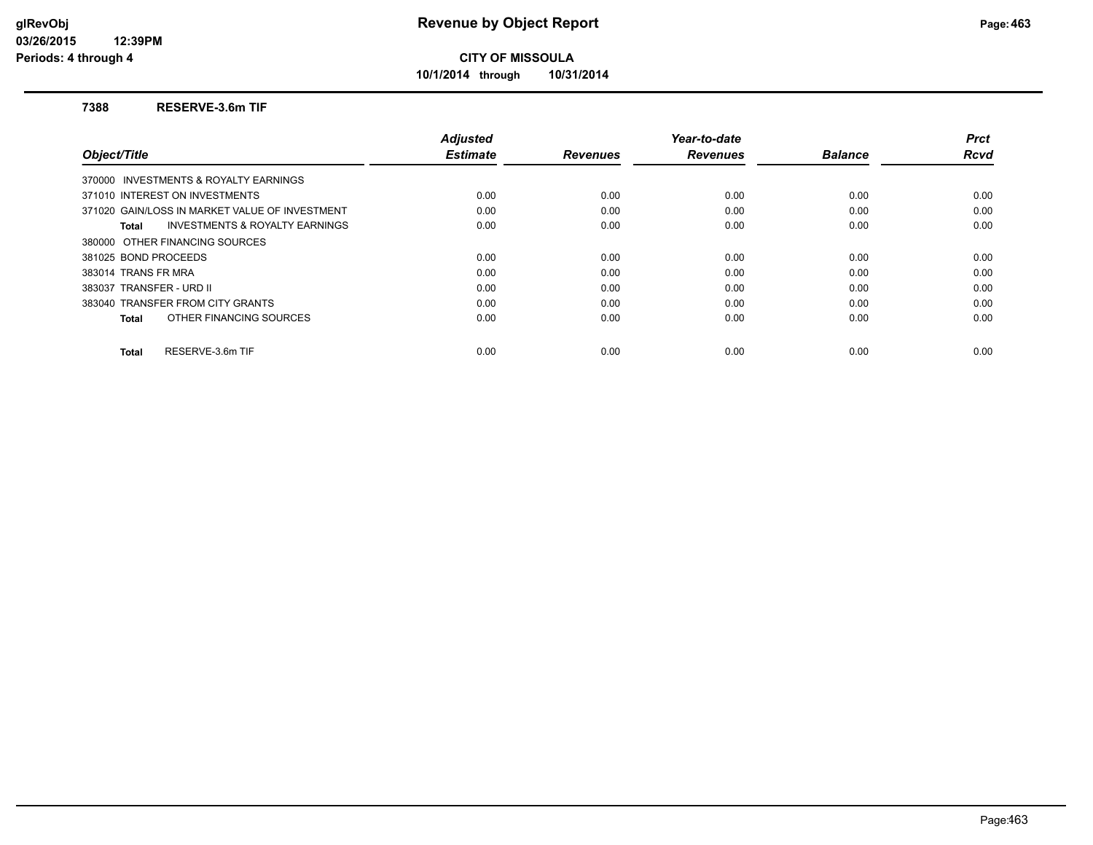**10/1/2014 through 10/31/2014**

#### **7388 RESERVE-3.6m TIF**

|                                                    | <b>Adjusted</b> |                 | Year-to-date    |                | <b>Prct</b> |
|----------------------------------------------------|-----------------|-----------------|-----------------|----------------|-------------|
| Object/Title                                       | <b>Estimate</b> | <b>Revenues</b> | <b>Revenues</b> | <b>Balance</b> | <b>Rcvd</b> |
| 370000 INVESTMENTS & ROYALTY EARNINGS              |                 |                 |                 |                |             |
| 371010 INTEREST ON INVESTMENTS                     | 0.00            | 0.00            | 0.00            | 0.00           | 0.00        |
| 371020 GAIN/LOSS IN MARKET VALUE OF INVESTMENT     | 0.00            | 0.00            | 0.00            | 0.00           | 0.00        |
| <b>INVESTMENTS &amp; ROYALTY EARNINGS</b><br>Total | 0.00            | 0.00            | 0.00            | 0.00           | 0.00        |
| 380000 OTHER FINANCING SOURCES                     |                 |                 |                 |                |             |
| 381025 BOND PROCEEDS                               | 0.00            | 0.00            | 0.00            | 0.00           | 0.00        |
| 383014 TRANS FR MRA                                | 0.00            | 0.00            | 0.00            | 0.00           | 0.00        |
| 383037 TRANSFER - URD II                           | 0.00            | 0.00            | 0.00            | 0.00           | 0.00        |
| 383040 TRANSFER FROM CITY GRANTS                   | 0.00            | 0.00            | 0.00            | 0.00           | 0.00        |
| OTHER FINANCING SOURCES<br>Total                   | 0.00            | 0.00            | 0.00            | 0.00           | 0.00        |
| RESERVE-3.6m TIF<br><b>Total</b>                   | 0.00            | 0.00            | 0.00            | 0.00           | 0.00        |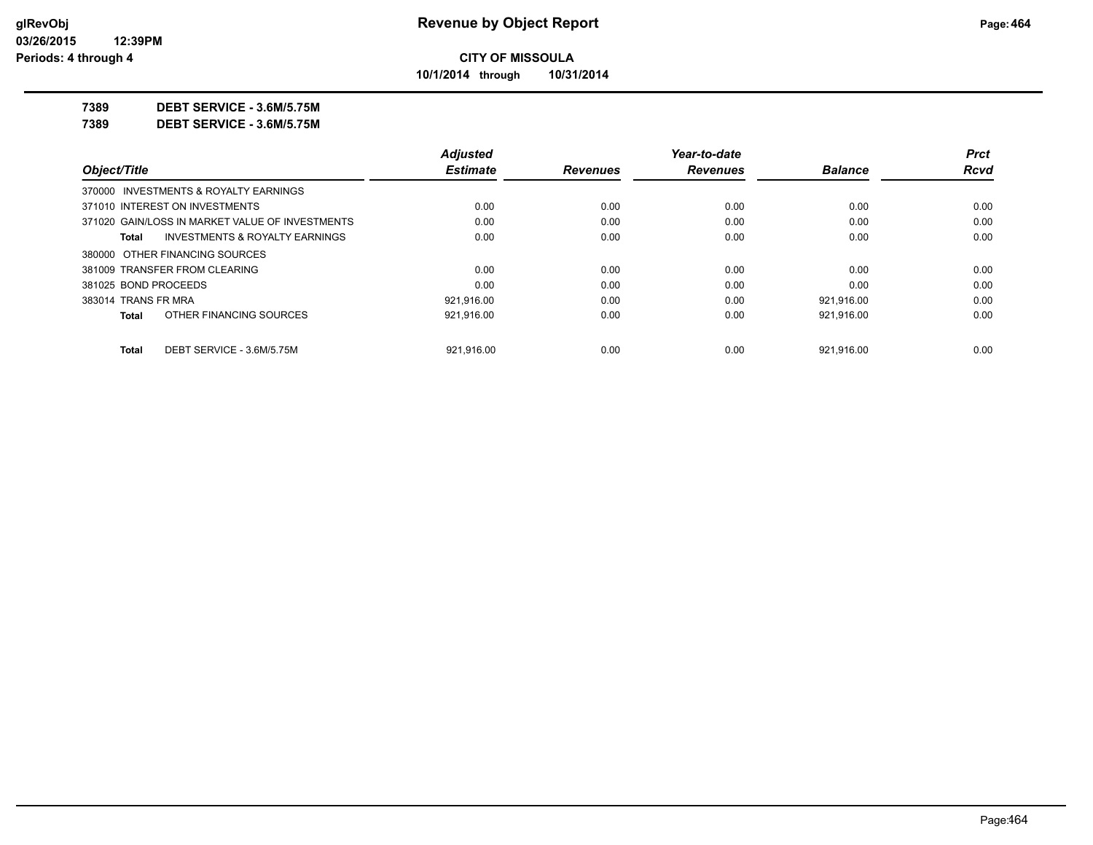**10/1/2014 through 10/31/2014**

**7389 DEBT SERVICE - 3.6M/5.75M**

**7389 DEBT SERVICE - 3.6M/5.75M**

|                      |                                                 | <b>Adjusted</b> |                 | Year-to-date    |                | <b>Prct</b> |
|----------------------|-------------------------------------------------|-----------------|-----------------|-----------------|----------------|-------------|
| Object/Title         |                                                 | <b>Estimate</b> | <b>Revenues</b> | <b>Revenues</b> | <b>Balance</b> | <b>Rcvd</b> |
|                      | 370000 INVESTMENTS & ROYALTY EARNINGS           |                 |                 |                 |                |             |
|                      | 371010 INTEREST ON INVESTMENTS                  | 0.00            | 0.00            | 0.00            | 0.00           | 0.00        |
|                      | 371020 GAIN/LOSS IN MARKET VALUE OF INVESTMENTS | 0.00            | 0.00            | 0.00            | 0.00           | 0.00        |
| Total                | INVESTMENTS & ROYALTY EARNINGS                  | 0.00            | 0.00            | 0.00            | 0.00           | 0.00        |
|                      | 380000 OTHER FINANCING SOURCES                  |                 |                 |                 |                |             |
|                      | 381009 TRANSFER FROM CLEARING                   | 0.00            | 0.00            | 0.00            | 0.00           | 0.00        |
| 381025 BOND PROCEEDS |                                                 | 0.00            | 0.00            | 0.00            | 0.00           | 0.00        |
| 383014 TRANS FR MRA  |                                                 | 921,916.00      | 0.00            | 0.00            | 921,916.00     | 0.00        |
| Total                | OTHER FINANCING SOURCES                         | 921.916.00      | 0.00            | 0.00            | 921.916.00     | 0.00        |
| <b>Total</b>         | DEBT SERVICE - 3.6M/5.75M                       | 921.916.00      | 0.00            | 0.00            | 921.916.00     | 0.00        |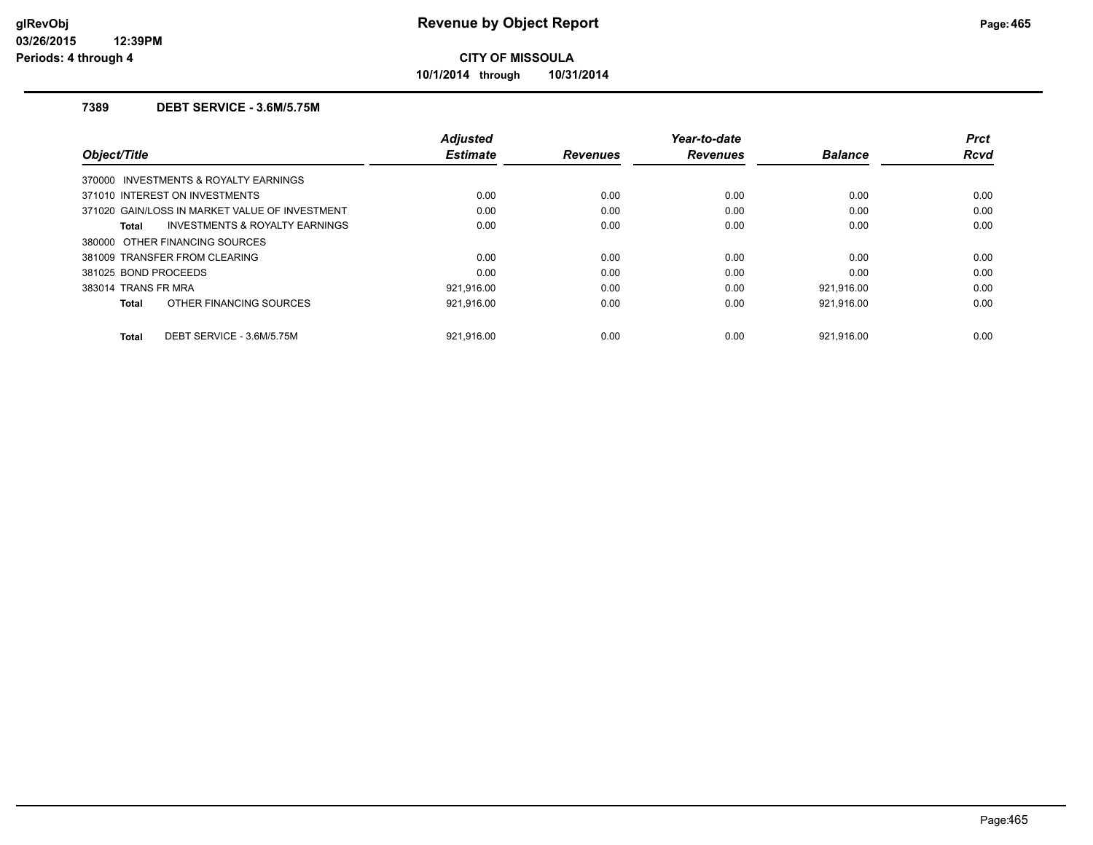**10/1/2014 through 10/31/2014**

## **7389 DEBT SERVICE - 3.6M/5.75M**

| Object/Title         |                                                | Adjusted<br><b>Estimate</b> | <b>Revenues</b> | Year-to-date<br><b>Revenues</b> | <b>Balance</b> | <b>Prct</b><br><b>Rcvd</b> |
|----------------------|------------------------------------------------|-----------------------------|-----------------|---------------------------------|----------------|----------------------------|
|                      | 370000 INVESTMENTS & ROYALTY EARNINGS          |                             |                 |                                 |                |                            |
|                      | 371010 INTEREST ON INVESTMENTS                 | 0.00                        | 0.00            | 0.00                            | 0.00           | 0.00                       |
|                      | 371020 GAIN/LOSS IN MARKET VALUE OF INVESTMENT | 0.00                        | 0.00            | 0.00                            | 0.00           | 0.00                       |
| Total                | <b>INVESTMENTS &amp; ROYALTY EARNINGS</b>      | 0.00                        | 0.00            | 0.00                            | 0.00           | 0.00                       |
|                      | 380000 OTHER FINANCING SOURCES                 |                             |                 |                                 |                |                            |
|                      | 381009 TRANSFER FROM CLEARING                  | 0.00                        | 0.00            | 0.00                            | 0.00           | 0.00                       |
| 381025 BOND PROCEEDS |                                                | 0.00                        | 0.00            | 0.00                            | 0.00           | 0.00                       |
| 383014 TRANS FR MRA  |                                                | 921.916.00                  | 0.00            | 0.00                            | 921,916.00     | 0.00                       |
| Total                | OTHER FINANCING SOURCES                        | 921,916.00                  | 0.00            | 0.00                            | 921,916.00     | 0.00                       |
| Total                | DEBT SERVICE - 3.6M/5.75M                      | 921.916.00                  | 0.00            | 0.00                            | 921.916.00     | 0.00                       |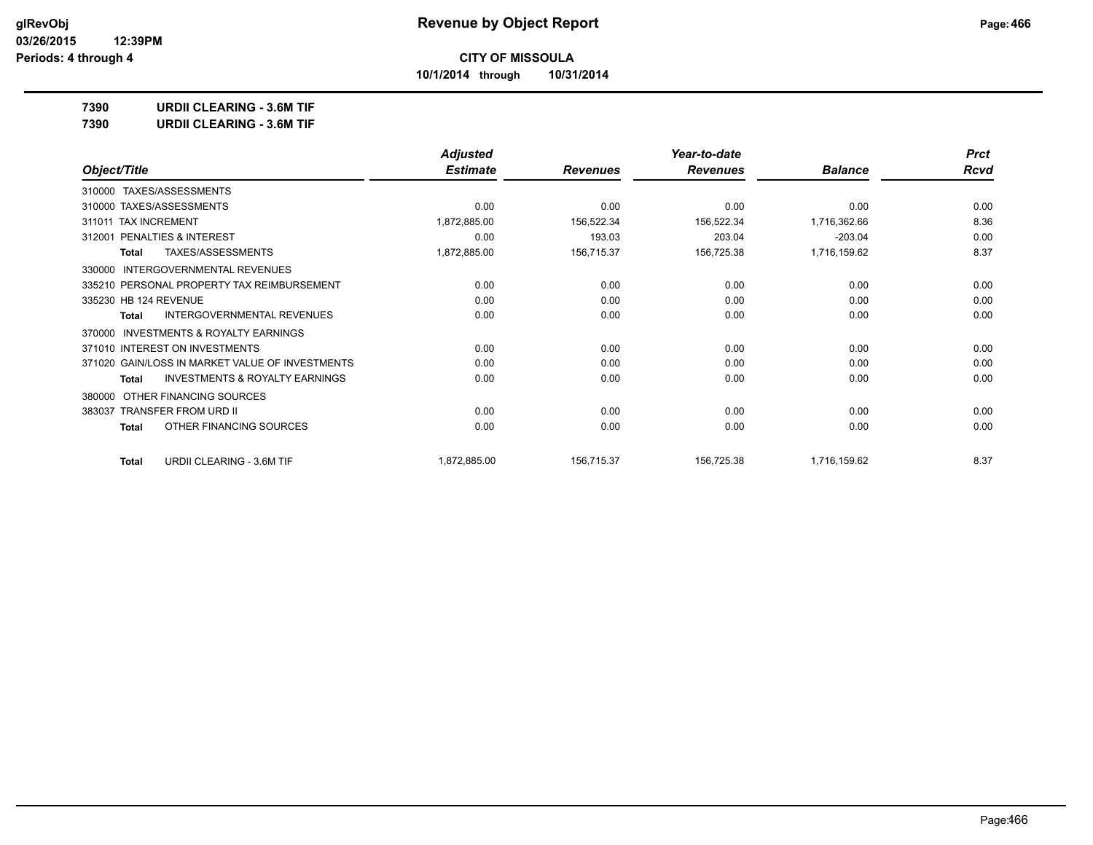**10/1/2014 through 10/31/2014**

**7390 URDII CLEARING - 3.6M TIF**

**7390 URDII CLEARING - 3.6M TIF**

|                                                     | <b>Adjusted</b> |                 | Year-to-date    |                | <b>Prct</b> |
|-----------------------------------------------------|-----------------|-----------------|-----------------|----------------|-------------|
| Object/Title                                        | <b>Estimate</b> | <b>Revenues</b> | <b>Revenues</b> | <b>Balance</b> | <b>Rcvd</b> |
| 310000 TAXES/ASSESSMENTS                            |                 |                 |                 |                |             |
| 310000 TAXES/ASSESSMENTS                            | 0.00            | 0.00            | 0.00            | 0.00           | 0.00        |
| 311011 TAX INCREMENT                                | 1,872,885.00    | 156,522.34      | 156,522.34      | 1,716,362.66   | 8.36        |
| PENALTIES & INTEREST<br>312001                      | 0.00            | 193.03          | 203.04          | $-203.04$      | 0.00        |
| TAXES/ASSESSMENTS<br><b>Total</b>                   | 1,872,885.00    | 156,715.37      | 156,725.38      | 1,716,159.62   | 8.37        |
| INTERGOVERNMENTAL REVENUES<br>330000                |                 |                 |                 |                |             |
| 335210 PERSONAL PROPERTY TAX REIMBURSEMENT          | 0.00            | 0.00            | 0.00            | 0.00           | 0.00        |
| 335230 HB 124 REVENUE                               | 0.00            | 0.00            | 0.00            | 0.00           | 0.00        |
| INTERGOVERNMENTAL REVENUES<br>Total                 | 0.00            | 0.00            | 0.00            | 0.00           | 0.00        |
| <b>INVESTMENTS &amp; ROYALTY EARNINGS</b><br>370000 |                 |                 |                 |                |             |
| 371010 INTEREST ON INVESTMENTS                      | 0.00            | 0.00            | 0.00            | 0.00           | 0.00        |
| 371020 GAIN/LOSS IN MARKET VALUE OF INVESTMENTS     | 0.00            | 0.00            | 0.00            | 0.00           | 0.00        |
| <b>INVESTMENTS &amp; ROYALTY EARNINGS</b><br>Total  | 0.00            | 0.00            | 0.00            | 0.00           | 0.00        |
| OTHER FINANCING SOURCES<br>380000                   |                 |                 |                 |                |             |
| 383037 TRANSFER FROM URD II                         | 0.00            | 0.00            | 0.00            | 0.00           | 0.00        |
| OTHER FINANCING SOURCES<br>Total                    | 0.00            | 0.00            | 0.00            | 0.00           | 0.00        |
| <b>URDII CLEARING - 3.6M TIF</b><br><b>Total</b>    | 1,872,885.00    | 156,715.37      | 156,725.38      | 1,716,159.62   | 8.37        |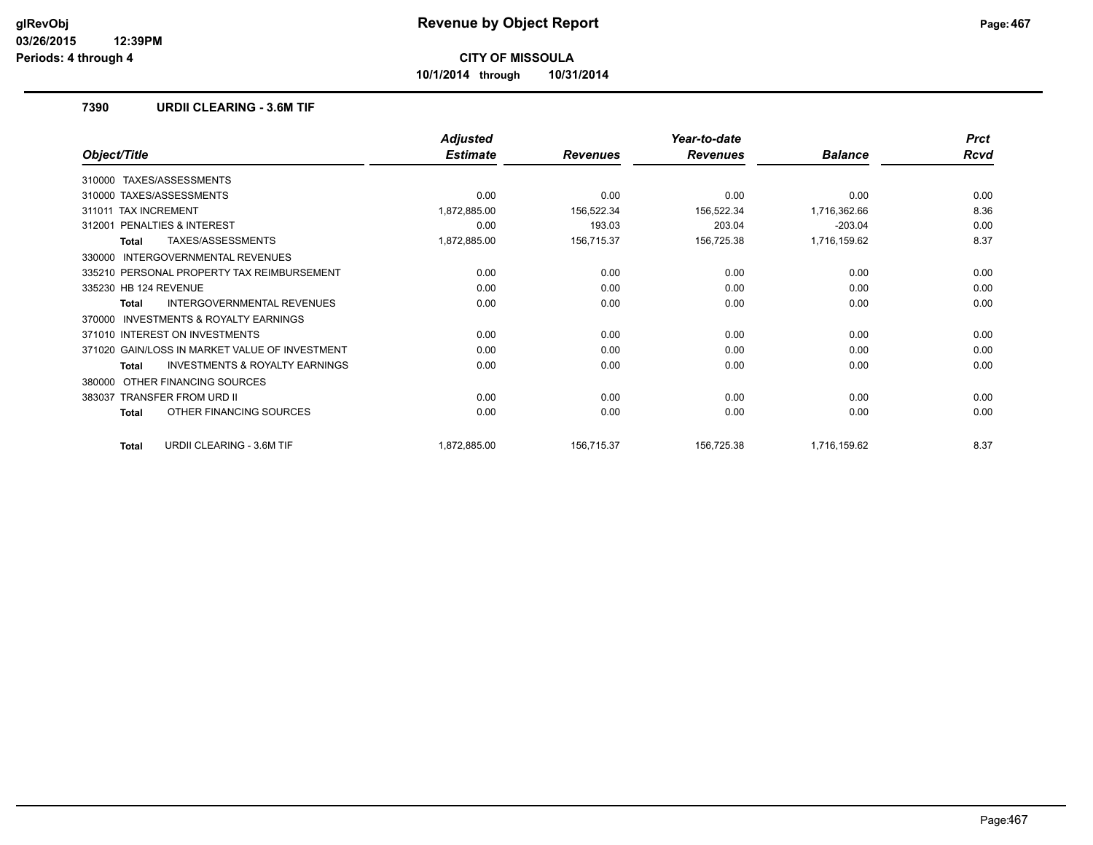**10/1/2014 through 10/31/2014**

## **7390 URDII CLEARING - 3.6M TIF**

|                                                    | <b>Adjusted</b> |                 | Year-to-date    |                | <b>Prct</b> |
|----------------------------------------------------|-----------------|-----------------|-----------------|----------------|-------------|
| Object/Title                                       | <b>Estimate</b> | <b>Revenues</b> | <b>Revenues</b> | <b>Balance</b> | <b>Rcvd</b> |
| TAXES/ASSESSMENTS<br>310000                        |                 |                 |                 |                |             |
| 310000 TAXES/ASSESSMENTS                           | 0.00            | 0.00            | 0.00            | 0.00           | 0.00        |
| <b>TAX INCREMENT</b><br>311011                     | 1,872,885.00    | 156,522.34      | 156,522.34      | 1,716,362.66   | 8.36        |
| <b>PENALTIES &amp; INTEREST</b><br>312001          | 0.00            | 193.03          | 203.04          | $-203.04$      | 0.00        |
| TAXES/ASSESSMENTS<br>Total                         | 1,872,885.00    | 156,715.37      | 156,725.38      | 1,716,159.62   | 8.37        |
| INTERGOVERNMENTAL REVENUES<br>330000               |                 |                 |                 |                |             |
| 335210 PERSONAL PROPERTY TAX REIMBURSEMENT         | 0.00            | 0.00            | 0.00            | 0.00           | 0.00        |
| 335230 HB 124 REVENUE                              | 0.00            | 0.00            | 0.00            | 0.00           | 0.00        |
| <b>INTERGOVERNMENTAL REVENUES</b><br>Total         | 0.00            | 0.00            | 0.00            | 0.00           | 0.00        |
| INVESTMENTS & ROYALTY EARNINGS<br>370000           |                 |                 |                 |                |             |
| 371010 INTEREST ON INVESTMENTS                     | 0.00            | 0.00            | 0.00            | 0.00           | 0.00        |
| 371020 GAIN/LOSS IN MARKET VALUE OF INVESTMENT     | 0.00            | 0.00            | 0.00            | 0.00           | 0.00        |
| <b>INVESTMENTS &amp; ROYALTY EARNINGS</b><br>Total | 0.00            | 0.00            | 0.00            | 0.00           | 0.00        |
| OTHER FINANCING SOURCES<br>380000                  |                 |                 |                 |                |             |
| <b>TRANSFER FROM URD II</b><br>383037              | 0.00            | 0.00            | 0.00            | 0.00           | 0.00        |
| OTHER FINANCING SOURCES<br><b>Total</b>            | 0.00            | 0.00            | 0.00            | 0.00           | 0.00        |
| <b>URDII CLEARING - 3.6M TIF</b><br><b>Total</b>   | 1,872,885.00    | 156,715.37      | 156,725.38      | 1,716,159.62   | 8.37        |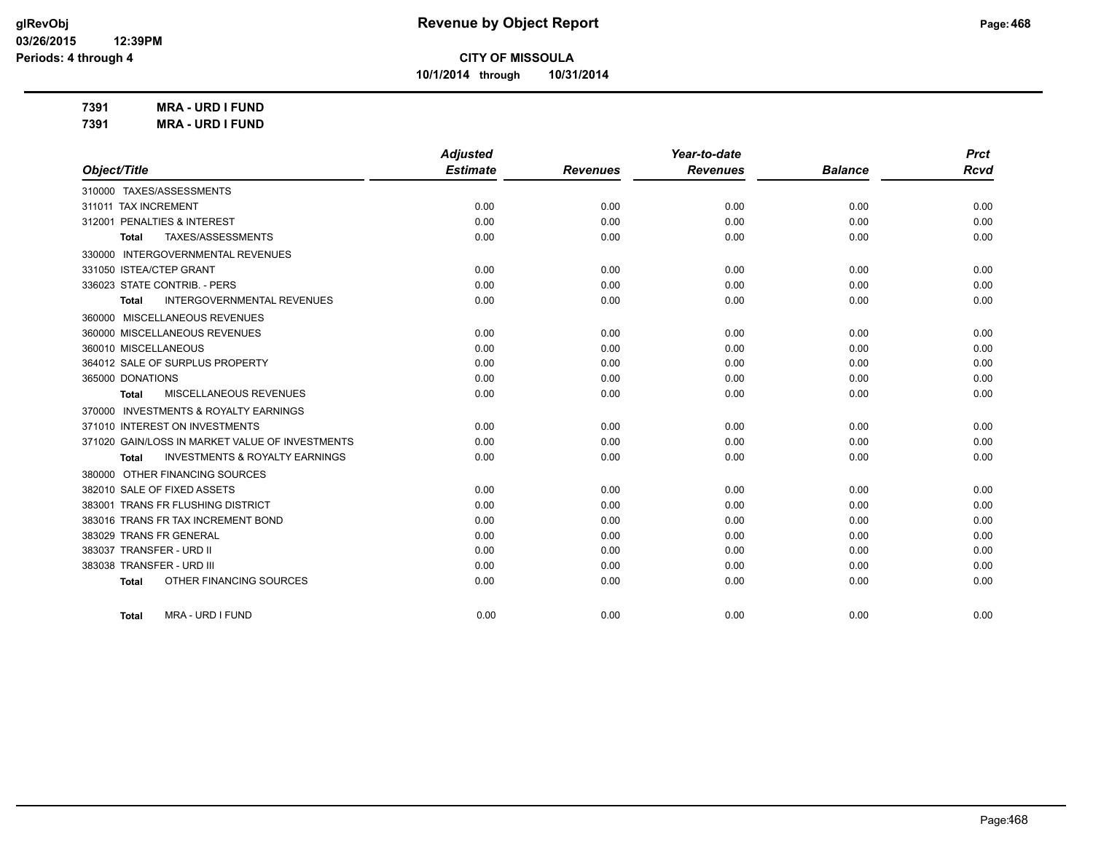**10/1/2014 through 10/31/2014**

**7391 MRA - URD I FUND 7391 MRA - URD I FUND**

| Object/Title                                              | <b>Adjusted</b> |                 | Year-to-date    |                | <b>Prct</b> |
|-----------------------------------------------------------|-----------------|-----------------|-----------------|----------------|-------------|
|                                                           | <b>Estimate</b> | <b>Revenues</b> | <b>Revenues</b> | <b>Balance</b> | <b>Rcvd</b> |
| 310000 TAXES/ASSESSMENTS                                  |                 |                 |                 |                |             |
| 311011 TAX INCREMENT                                      | 0.00            | 0.00            | 0.00            | 0.00           | 0.00        |
| 312001 PENALTIES & INTEREST                               | 0.00            | 0.00            | 0.00            | 0.00           | 0.00        |
| TAXES/ASSESSMENTS<br><b>Total</b>                         | 0.00            | 0.00            | 0.00            | 0.00           | 0.00        |
| 330000 INTERGOVERNMENTAL REVENUES                         |                 |                 |                 |                |             |
| 331050 ISTEA/CTEP GRANT                                   | 0.00            | 0.00            | 0.00            | 0.00           | 0.00        |
| 336023 STATE CONTRIB. - PERS                              | 0.00            | 0.00            | 0.00            | 0.00           | 0.00        |
| <b>INTERGOVERNMENTAL REVENUES</b><br><b>Total</b>         | 0.00            | 0.00            | 0.00            | 0.00           | 0.00        |
| 360000 MISCELLANEOUS REVENUES                             |                 |                 |                 |                |             |
| 360000 MISCELLANEOUS REVENUES                             | 0.00            | 0.00            | 0.00            | 0.00           | 0.00        |
| 360010 MISCELLANEOUS                                      | 0.00            | 0.00            | 0.00            | 0.00           | 0.00        |
| 364012 SALE OF SURPLUS PROPERTY                           | 0.00            | 0.00            | 0.00            | 0.00           | 0.00        |
| 365000 DONATIONS                                          | 0.00            | 0.00            | 0.00            | 0.00           | 0.00        |
| MISCELLANEOUS REVENUES<br><b>Total</b>                    | 0.00            | 0.00            | 0.00            | 0.00           | 0.00        |
| 370000 INVESTMENTS & ROYALTY EARNINGS                     |                 |                 |                 |                |             |
| 371010 INTEREST ON INVESTMENTS                            | 0.00            | 0.00            | 0.00            | 0.00           | 0.00        |
| 371020 GAIN/LOSS IN MARKET VALUE OF INVESTMENTS           | 0.00            | 0.00            | 0.00            | 0.00           | 0.00        |
| <b>INVESTMENTS &amp; ROYALTY EARNINGS</b><br><b>Total</b> | 0.00            | 0.00            | 0.00            | 0.00           | 0.00        |
| 380000 OTHER FINANCING SOURCES                            |                 |                 |                 |                |             |
| 382010 SALE OF FIXED ASSETS                               | 0.00            | 0.00            | 0.00            | 0.00           | 0.00        |
| <b>TRANS FR FLUSHING DISTRICT</b><br>383001               | 0.00            | 0.00            | 0.00            | 0.00           | 0.00        |
| 383016 TRANS FR TAX INCREMENT BOND                        | 0.00            | 0.00            | 0.00            | 0.00           | 0.00        |
| 383029 TRANS FR GENERAL                                   | 0.00            | 0.00            | 0.00            | 0.00           | 0.00        |
| 383037 TRANSFER - URD II                                  | 0.00            | 0.00            | 0.00            | 0.00           | 0.00        |
| 383038 TRANSFER - URD III                                 | 0.00            | 0.00            | 0.00            | 0.00           | 0.00        |
| OTHER FINANCING SOURCES<br><b>Total</b>                   | 0.00            | 0.00            | 0.00            | 0.00           | 0.00        |

**Total** MRA - URD I FUND 0.00 0.00 0.00 0.00 0.00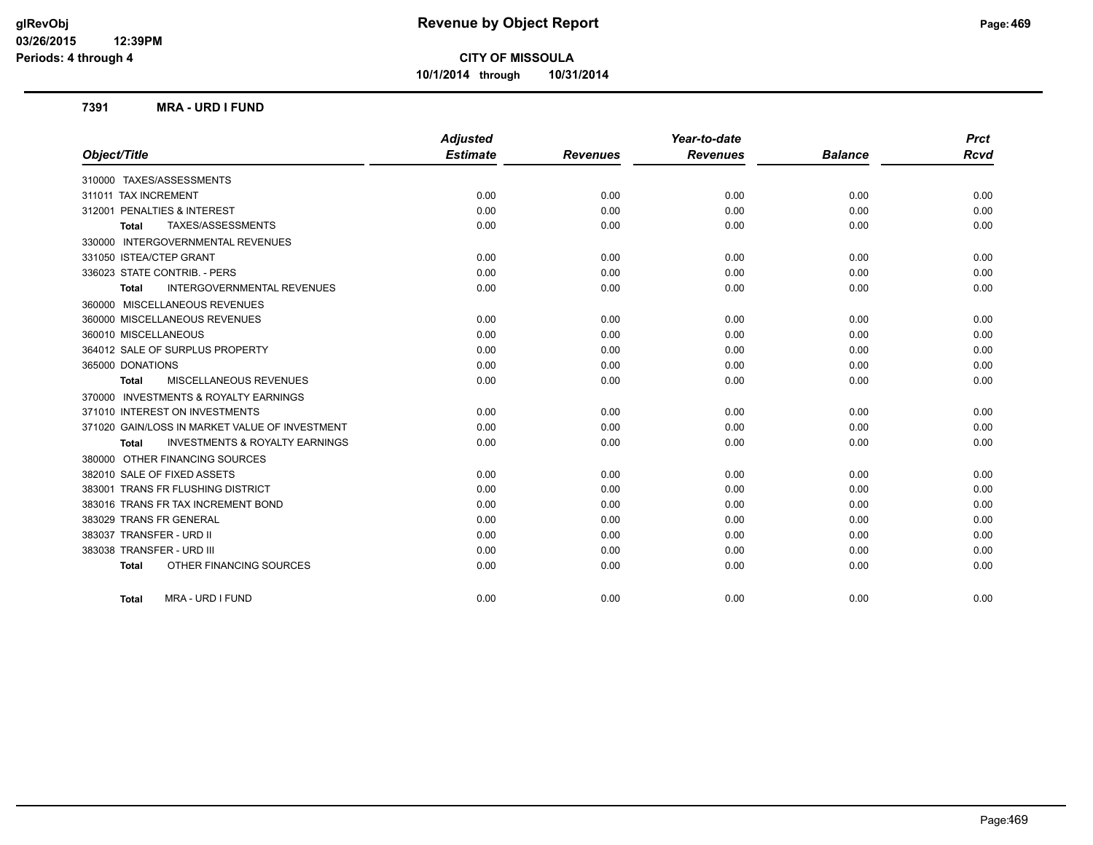**10/1/2014 through 10/31/2014**

#### **7391 MRA - URD I FUND**

|                                                    | <b>Adjusted</b> |                 | Year-to-date    |                | <b>Prct</b> |
|----------------------------------------------------|-----------------|-----------------|-----------------|----------------|-------------|
| Object/Title                                       | <b>Estimate</b> | <b>Revenues</b> | <b>Revenues</b> | <b>Balance</b> | <b>Rcvd</b> |
| 310000 TAXES/ASSESSMENTS                           |                 |                 |                 |                |             |
| 311011 TAX INCREMENT                               | 0.00            | 0.00            | 0.00            | 0.00           | 0.00        |
| 312001 PENALTIES & INTEREST                        | 0.00            | 0.00            | 0.00            | 0.00           | 0.00        |
| TAXES/ASSESSMENTS<br><b>Total</b>                  | 0.00            | 0.00            | 0.00            | 0.00           | 0.00        |
| 330000 INTERGOVERNMENTAL REVENUES                  |                 |                 |                 |                |             |
| 331050 ISTEA/CTEP GRANT                            | 0.00            | 0.00            | 0.00            | 0.00           | 0.00        |
| 336023 STATE CONTRIB. - PERS                       | 0.00            | 0.00            | 0.00            | 0.00           | 0.00        |
| <b>INTERGOVERNMENTAL REVENUES</b><br>Total         | 0.00            | 0.00            | 0.00            | 0.00           | 0.00        |
| 360000 MISCELLANEOUS REVENUES                      |                 |                 |                 |                |             |
| 360000 MISCELLANEOUS REVENUES                      | 0.00            | 0.00            | 0.00            | 0.00           | 0.00        |
| 360010 MISCELLANEOUS                               | 0.00            | 0.00            | 0.00            | 0.00           | 0.00        |
| 364012 SALE OF SURPLUS PROPERTY                    | 0.00            | 0.00            | 0.00            | 0.00           | 0.00        |
| 365000 DONATIONS                                   | 0.00            | 0.00            | 0.00            | 0.00           | 0.00        |
| MISCELLANEOUS REVENUES<br><b>Total</b>             | 0.00            | 0.00            | 0.00            | 0.00           | 0.00        |
| 370000 INVESTMENTS & ROYALTY EARNINGS              |                 |                 |                 |                |             |
| 371010 INTEREST ON INVESTMENTS                     | 0.00            | 0.00            | 0.00            | 0.00           | 0.00        |
| 371020 GAIN/LOSS IN MARKET VALUE OF INVESTMENT     | 0.00            | 0.00            | 0.00            | 0.00           | 0.00        |
| <b>INVESTMENTS &amp; ROYALTY EARNINGS</b><br>Total | 0.00            | 0.00            | 0.00            | 0.00           | 0.00        |
| 380000 OTHER FINANCING SOURCES                     |                 |                 |                 |                |             |
| 382010 SALE OF FIXED ASSETS                        | 0.00            | 0.00            | 0.00            | 0.00           | 0.00        |
| 383001 TRANS FR FLUSHING DISTRICT                  | 0.00            | 0.00            | 0.00            | 0.00           | 0.00        |
| 383016 TRANS FR TAX INCREMENT BOND                 | 0.00            | 0.00            | 0.00            | 0.00           | 0.00        |
| 383029 TRANS FR GENERAL                            | 0.00            | 0.00            | 0.00            | 0.00           | 0.00        |
| 383037 TRANSFER - URD II                           | 0.00            | 0.00            | 0.00            | 0.00           | 0.00        |
| 383038 TRANSFER - URD III                          | 0.00            | 0.00            | 0.00            | 0.00           | 0.00        |
| OTHER FINANCING SOURCES<br><b>Total</b>            | 0.00            | 0.00            | 0.00            | 0.00           | 0.00        |
| MRA - URD I FUND<br><b>Total</b>                   | 0.00            | 0.00            | 0.00            | 0.00           | 0.00        |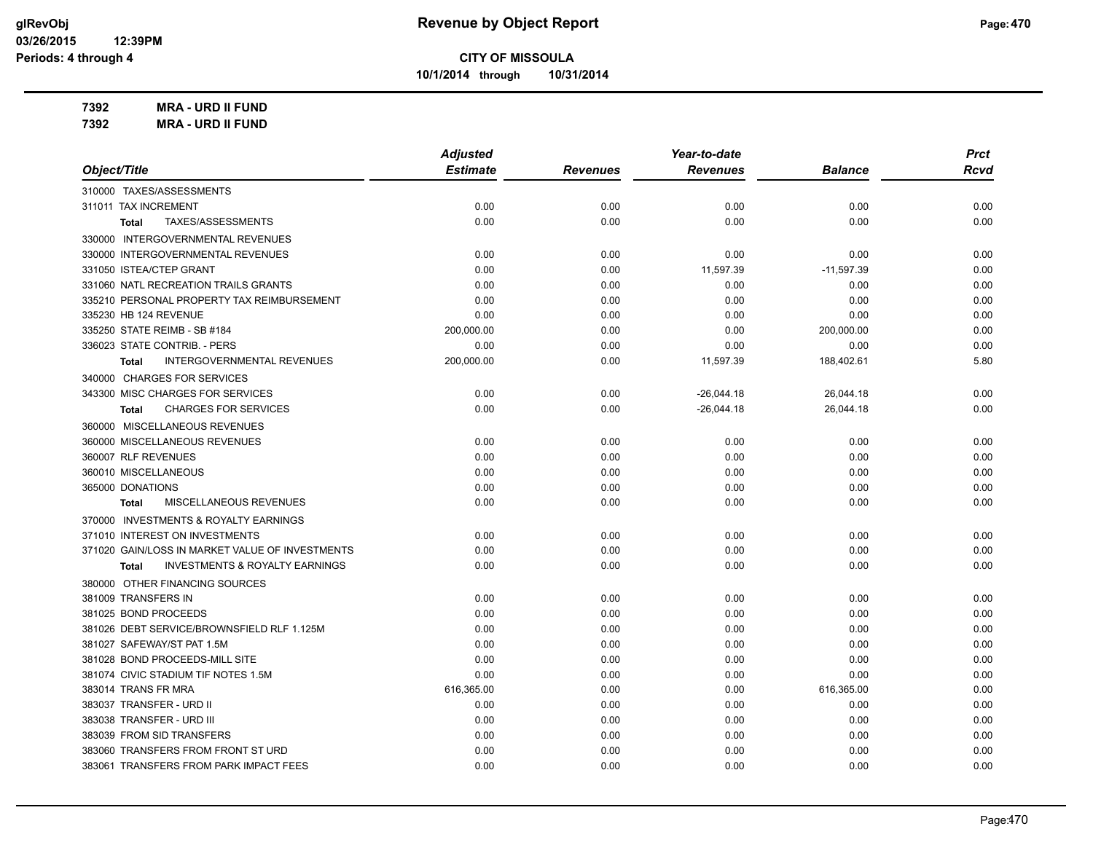**10/1/2014 through 10/31/2014**

**7392 MRA - URD II FUND**

| <b>MRA - URD II FUND</b><br>7392                          |                 |                 |                 |                |             |
|-----------------------------------------------------------|-----------------|-----------------|-----------------|----------------|-------------|
|                                                           | <b>Adjusted</b> |                 | Year-to-date    |                | <b>Prct</b> |
| Object/Title                                              | <b>Estimate</b> | <b>Revenues</b> | <b>Revenues</b> | <b>Balance</b> | <b>Rcvd</b> |
| 310000 TAXES/ASSESSMENTS                                  |                 |                 |                 |                |             |
| 311011 TAX INCREMENT                                      | 0.00            | 0.00            | 0.00            | 0.00           | 0.00        |
| TAXES/ASSESSMENTS<br>Total                                | 0.00            | 0.00            | 0.00            | 0.00           | 0.00        |
| 330000 INTERGOVERNMENTAL REVENUES                         |                 |                 |                 |                |             |
| 330000 INTERGOVERNMENTAL REVENUES                         | 0.00            | 0.00            | 0.00            | 0.00           | 0.00        |
| 331050 ISTEA/CTEP GRANT                                   | 0.00            | 0.00            | 11,597.39       | $-11,597.39$   | 0.00        |
| 331060 NATL RECREATION TRAILS GRANTS                      | 0.00            | 0.00            | 0.00            | 0.00           | 0.00        |
| 335210 PERSONAL PROPERTY TAX REIMBURSEMENT                | 0.00            | 0.00            | 0.00            | 0.00           | 0.00        |
| 335230 HB 124 REVENUE                                     | 0.00            | 0.00            | 0.00            | 0.00           | 0.00        |
| 335250 STATE REIMB - SB #184                              | 200,000.00      | 0.00            | 0.00            | 200,000.00     | 0.00        |
| 336023 STATE CONTRIB. - PERS                              | 0.00            | 0.00            | 0.00            | 0.00           | 0.00        |
| <b>INTERGOVERNMENTAL REVENUES</b><br>Total                | 200,000.00      | 0.00            | 11,597.39       | 188,402.61     | 5.80        |
| 340000 CHARGES FOR SERVICES                               |                 |                 |                 |                |             |
| 343300 MISC CHARGES FOR SERVICES                          | 0.00            | 0.00            | $-26,044.18$    | 26,044.18      | 0.00        |
| <b>CHARGES FOR SERVICES</b><br><b>Total</b>               | 0.00            | 0.00            | $-26,044.18$    | 26,044.18      | 0.00        |
| 360000 MISCELLANEOUS REVENUES                             |                 |                 |                 |                |             |
| 360000 MISCELLANEOUS REVENUES                             | 0.00            | 0.00            | 0.00            | 0.00           | 0.00        |
| 360007 RLF REVENUES                                       | 0.00            | 0.00            | 0.00            | 0.00           | 0.00        |
| 360010 MISCELLANEOUS                                      | 0.00            | 0.00            | 0.00            | 0.00           | 0.00        |
| 365000 DONATIONS                                          | 0.00            | 0.00            | 0.00            | 0.00           | 0.00        |
| MISCELLANEOUS REVENUES<br><b>Total</b>                    | 0.00            | 0.00            | 0.00            | 0.00           | 0.00        |
| 370000 INVESTMENTS & ROYALTY EARNINGS                     |                 |                 |                 |                |             |
| 371010 INTEREST ON INVESTMENTS                            | 0.00            | 0.00            | 0.00            | 0.00           | 0.00        |
| 371020 GAIN/LOSS IN MARKET VALUE OF INVESTMENTS           | 0.00            | 0.00            | 0.00            | 0.00           | 0.00        |
| <b>INVESTMENTS &amp; ROYALTY EARNINGS</b><br><b>Total</b> | 0.00            | 0.00            | 0.00            | 0.00           | 0.00        |
| 380000 OTHER FINANCING SOURCES                            |                 |                 |                 |                |             |
| 381009 TRANSFERS IN                                       | 0.00            | 0.00            | 0.00            | 0.00           | 0.00        |
| 381025 BOND PROCEEDS                                      | 0.00            | 0.00            | 0.00            | 0.00           | 0.00        |
| 381026 DEBT SERVICE/BROWNSFIELD RLF 1.125M                | 0.00            | 0.00            | 0.00            | 0.00           | 0.00        |
| 381027 SAFEWAY/ST PAT 1.5M                                | 0.00            | 0.00            | 0.00            | 0.00           | 0.00        |
| 381028 BOND PROCEEDS-MILL SITE                            | 0.00            | 0.00            | 0.00            | 0.00           | 0.00        |
| 381074 CIVIC STADIUM TIF NOTES 1.5M                       | 0.00            | 0.00            | 0.00            | 0.00           | 0.00        |
| 383014 TRANS FR MRA                                       | 616,365.00      | 0.00            | 0.00            | 616,365.00     | 0.00        |

383037 TRANSFER - URD II 0.00 0.00 0.00 0.00 0.00 383038 TRANSFER - URD III 0.00 0.00 0.00 0.00 0.00 383039 FROM SID TRANSFERS 0.00 0.00 0.00 0.00 0.00 383060 TRANSFERS FROM FRONT ST URD 0.00 0.00 0.00 0.00 0.00 383061 TRANSFERS FROM PARK IMPACT FEES 0.00 0.00 0.00 0.00 0.00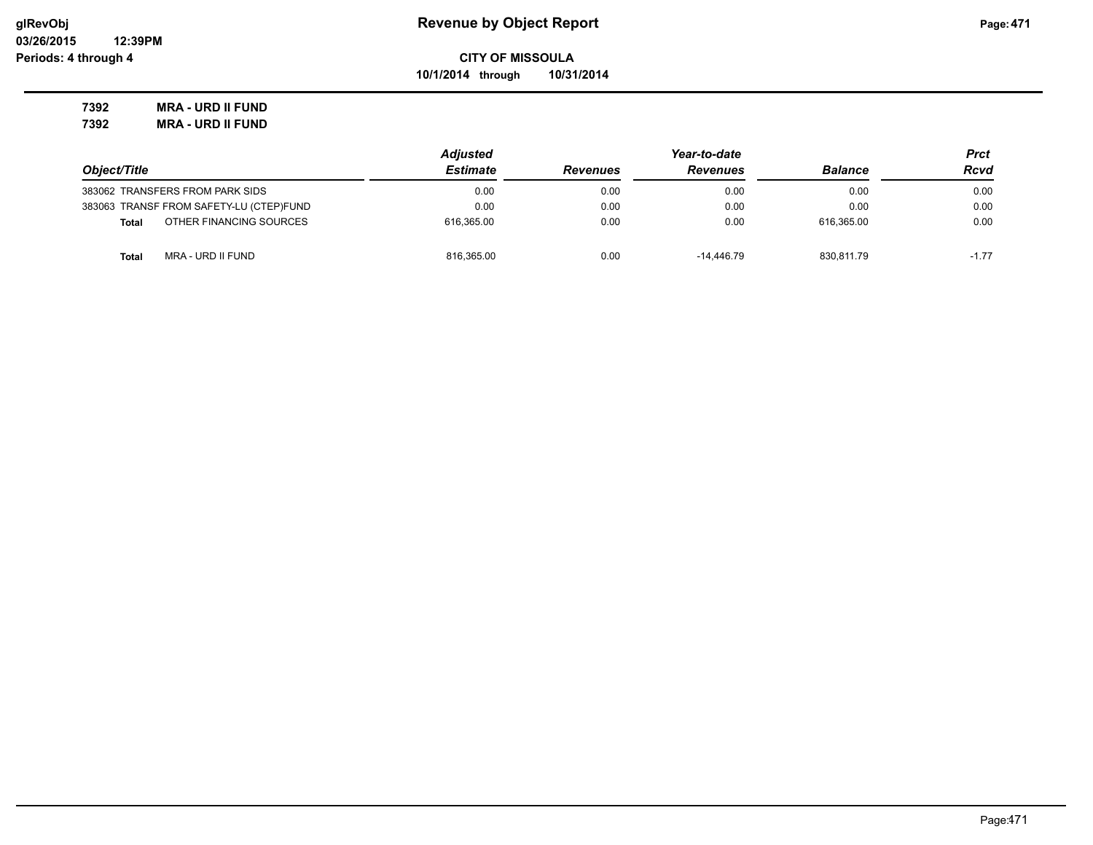**10/1/2014 through 10/31/2014**

**7392 MRA - URD II FUND 7392 MRA - URD II FUND**

|                                         | <b>Adjusted</b> |                 | Prct            |                |         |
|-----------------------------------------|-----------------|-----------------|-----------------|----------------|---------|
| Object/Title                            | <b>Estimate</b> | <b>Revenues</b> | <b>Revenues</b> | <b>Balance</b> | Rcvd    |
| 383062 TRANSFERS FROM PARK SIDS         | 0.00            | 0.00            | 0.00            | 0.00           | 0.00    |
| 383063 TRANSF FROM SAFETY-LU (CTEP)FUND | 0.00            | 0.00            | 0.00            | 0.00           | 0.00    |
| OTHER FINANCING SOURCES<br><b>Total</b> | 616.365.00      | 0.00            | 0.00            | 616.365.00     | 0.00    |
| MRA - URD II FUND<br>Total              | 816.365.00      | 0.00            | -14.446.79      | 830.811.79     | $-1.77$ |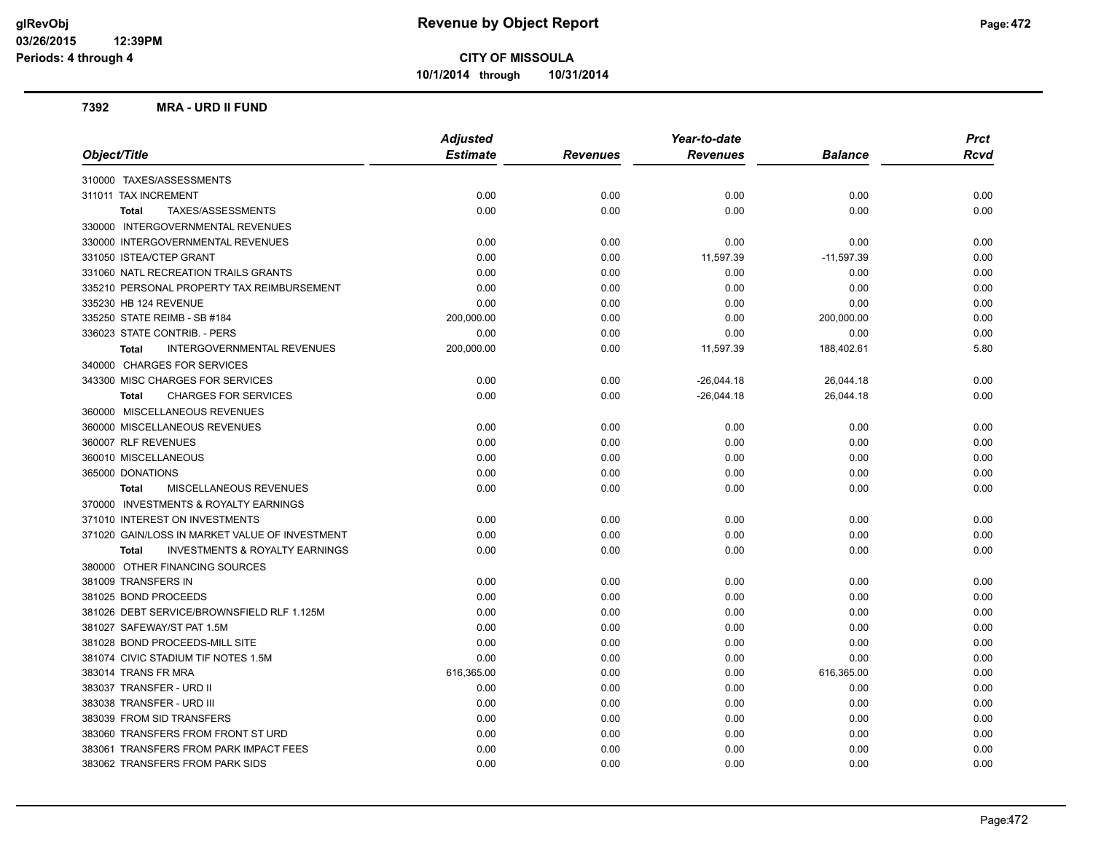**10/1/2014 through 10/31/2014**

#### **7392 MRA - URD II FUND**

|                                                    | <b>Adjusted</b> |                 | Year-to-date    |              | <b>Prct</b> |  |
|----------------------------------------------------|-----------------|-----------------|-----------------|--------------|-------------|--|
| Object/Title                                       | <b>Estimate</b> | <b>Revenues</b> | <b>Revenues</b> | Balance      | <b>Rcvd</b> |  |
| 310000 TAXES/ASSESSMENTS                           |                 |                 |                 |              |             |  |
| 311011 TAX INCREMENT                               | 0.00            | 0.00            | 0.00            | 0.00         | 0.00        |  |
| TAXES/ASSESSMENTS<br><b>Total</b>                  | 0.00            | 0.00            | 0.00            | 0.00         | 0.00        |  |
| 330000 INTERGOVERNMENTAL REVENUES                  |                 |                 |                 |              |             |  |
| 330000 INTERGOVERNMENTAL REVENUES                  | 0.00            | 0.00            | 0.00            | 0.00         | 0.00        |  |
| 331050 ISTEA/CTEP GRANT                            | 0.00            | 0.00            | 11,597.39       | $-11,597.39$ | 0.00        |  |
| 331060 NATL RECREATION TRAILS GRANTS               | 0.00            | 0.00            | 0.00            | 0.00         | 0.00        |  |
| 335210 PERSONAL PROPERTY TAX REIMBURSEMENT         | 0.00            | 0.00            | 0.00            | 0.00         | 0.00        |  |
| 335230 HB 124 REVENUE                              | 0.00            | 0.00            | 0.00            | 0.00         | 0.00        |  |
| 335250 STATE REIMB - SB #184                       | 200,000.00      | 0.00            | 0.00            | 200,000.00   | 0.00        |  |
| 336023 STATE CONTRIB. - PERS                       | 0.00            | 0.00            | 0.00            | 0.00         | 0.00        |  |
| <b>INTERGOVERNMENTAL REVENUES</b><br><b>Total</b>  | 200,000.00      | 0.00            | 11,597.39       | 188,402.61   | 5.80        |  |
| 340000 CHARGES FOR SERVICES                        |                 |                 |                 |              |             |  |
| 343300 MISC CHARGES FOR SERVICES                   | 0.00            | 0.00            | $-26,044.18$    | 26,044.18    | 0.00        |  |
| <b>CHARGES FOR SERVICES</b><br><b>Total</b>        | 0.00            | 0.00            | $-26,044.18$    | 26,044.18    | 0.00        |  |
| 360000 MISCELLANEOUS REVENUES                      |                 |                 |                 |              |             |  |
| 360000 MISCELLANEOUS REVENUES                      | 0.00            | 0.00            | 0.00            | 0.00         | 0.00        |  |
| 360007 RLF REVENUES                                | 0.00            | 0.00            | 0.00            | 0.00         | 0.00        |  |
| 360010 MISCELLANEOUS                               | 0.00            | 0.00            | 0.00            | 0.00         | 0.00        |  |
| 365000 DONATIONS                                   | 0.00            | 0.00            | 0.00            | 0.00         | 0.00        |  |
| MISCELLANEOUS REVENUES<br><b>Total</b>             | 0.00            | 0.00            | 0.00            | 0.00         | 0.00        |  |
| 370000 INVESTMENTS & ROYALTY EARNINGS              |                 |                 |                 |              |             |  |
| 371010 INTEREST ON INVESTMENTS                     | 0.00            | 0.00            | 0.00            | 0.00         | 0.00        |  |
| 371020 GAIN/LOSS IN MARKET VALUE OF INVESTMENT     | 0.00            | 0.00            | 0.00            | 0.00         | 0.00        |  |
| <b>INVESTMENTS &amp; ROYALTY EARNINGS</b><br>Total | 0.00            | 0.00            | 0.00            | 0.00         | 0.00        |  |
| 380000 OTHER FINANCING SOURCES                     |                 |                 |                 |              |             |  |
| 381009 TRANSFERS IN                                | 0.00            | 0.00            | 0.00            | 0.00         | 0.00        |  |
| 381025 BOND PROCEEDS                               | 0.00            | 0.00            | 0.00            | 0.00         | 0.00        |  |
| 381026 DEBT SERVICE/BROWNSFIELD RLF 1.125M         | 0.00            | 0.00            | 0.00            | 0.00         | 0.00        |  |
| 381027 SAFEWAY/ST PAT 1.5M                         | 0.00            | 0.00            | 0.00            | 0.00         | 0.00        |  |
| 381028 BOND PROCEEDS-MILL SITE                     | 0.00            | 0.00            | 0.00            | 0.00         | 0.00        |  |
| 381074 CIVIC STADIUM TIF NOTES 1.5M                | 0.00            | 0.00            | 0.00            | 0.00         | 0.00        |  |
| 383014 TRANS FR MRA                                | 616,365.00      | 0.00            | 0.00            | 616,365.00   | 0.00        |  |
| 383037 TRANSFER - URD II                           | 0.00            | 0.00            | 0.00            | 0.00         | 0.00        |  |
| 383038 TRANSFER - URD III                          | 0.00            | 0.00            | 0.00            | 0.00         | 0.00        |  |
| 383039 FROM SID TRANSFERS                          | 0.00            | 0.00            | 0.00            | 0.00         | 0.00        |  |
| 383060 TRANSFERS FROM FRONT ST URD                 | 0.00            | 0.00            | 0.00            | 0.00         | 0.00        |  |
| 383061 TRANSFERS FROM PARK IMPACT FEES             | 0.00            | 0.00            | 0.00            | 0.00         | 0.00        |  |
| 383062 TRANSFERS FROM PARK SIDS                    | 0.00            | 0.00            | 0.00            | 0.00         | 0.00        |  |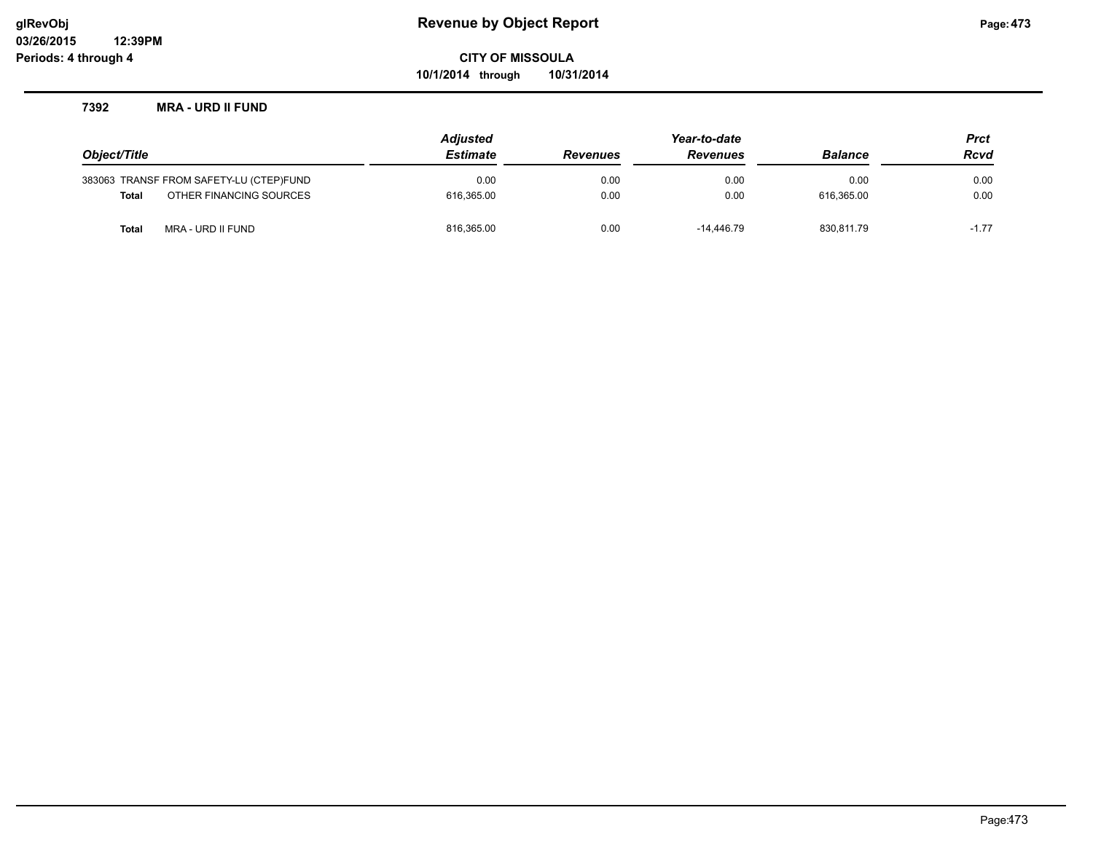**10/1/2014 through 10/31/2014**

#### **7392 MRA - URD II FUND**

|              |                                         | <b>Adjusted</b> | Year-to-date    |                |             | <b>Prct</b> |
|--------------|-----------------------------------------|-----------------|-----------------|----------------|-------------|-------------|
| Object/Title | <b>Estimate</b>                         | <b>Revenues</b> | <b>Revenues</b> | <b>Balance</b> | <b>Rcvd</b> |             |
|              | 383063 TRANSF FROM SAFETY-LU (CTEP)FUND | 0.00            | 0.00            | 0.00           | 0.00        | 0.00        |
| Total        | OTHER FINANCING SOURCES                 | 616.365.00      | 0.00            | 0.00           | 616.365.00  | 0.00        |
| Total        | MRA - URD II FUND                       | 816,365.00      | 0.00            | -14.446.79     | 830,811.79  | $-1.77$     |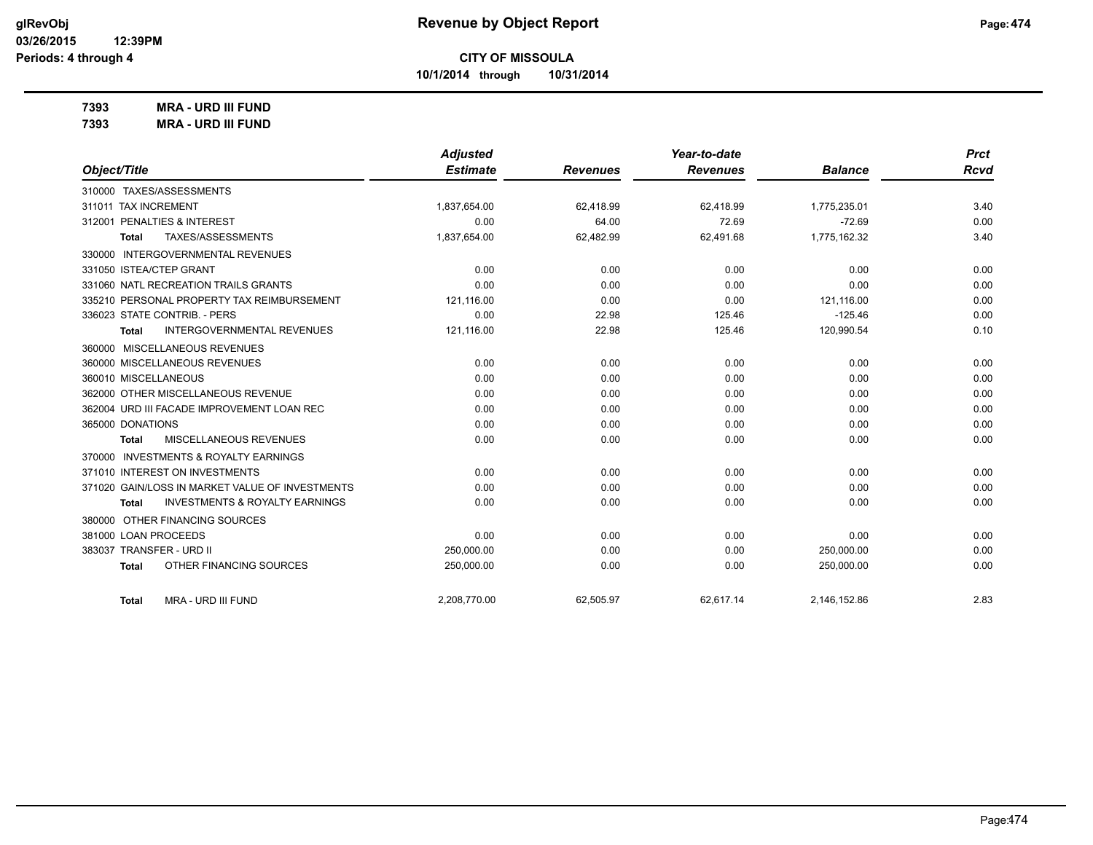**10/1/2014 through 10/31/2014**

**7393 MRA - URD III FUND**

|                                                           | <b>Adjusted</b> |                 | Year-to-date    |                | <b>Prct</b> |
|-----------------------------------------------------------|-----------------|-----------------|-----------------|----------------|-------------|
| Object/Title                                              | <b>Estimate</b> | <b>Revenues</b> | <b>Revenues</b> | <b>Balance</b> | <b>Rcvd</b> |
| 310000 TAXES/ASSESSMENTS                                  |                 |                 |                 |                |             |
| 311011 TAX INCREMENT                                      | 1,837,654.00    | 62,418.99       | 62,418.99       | 1,775,235.01   | 3.40        |
| 312001 PENALTIES & INTEREST                               | 0.00            | 64.00           | 72.69           | $-72.69$       | 0.00        |
| TAXES/ASSESSMENTS<br>Total                                | 1,837,654.00    | 62,482.99       | 62,491.68       | 1,775,162.32   | 3.40        |
| 330000 INTERGOVERNMENTAL REVENUES                         |                 |                 |                 |                |             |
| 331050 ISTEA/CTEP GRANT                                   | 0.00            | 0.00            | 0.00            | 0.00           | 0.00        |
| 331060 NATL RECREATION TRAILS GRANTS                      | 0.00            | 0.00            | 0.00            | 0.00           | 0.00        |
| 335210 PERSONAL PROPERTY TAX REIMBURSEMENT                | 121,116.00      | 0.00            | 0.00            | 121,116.00     | 0.00        |
| 336023 STATE CONTRIB. - PERS                              | 0.00            | 22.98           | 125.46          | $-125.46$      | 0.00        |
| <b>INTERGOVERNMENTAL REVENUES</b><br><b>Total</b>         | 121,116.00      | 22.98           | 125.46          | 120,990.54     | 0.10        |
| 360000 MISCELLANEOUS REVENUES                             |                 |                 |                 |                |             |
| 360000 MISCELLANEOUS REVENUES                             | 0.00            | 0.00            | 0.00            | 0.00           | 0.00        |
| 360010 MISCELLANEOUS                                      | 0.00            | 0.00            | 0.00            | 0.00           | 0.00        |
| 362000 OTHER MISCELLANEOUS REVENUE                        | 0.00            | 0.00            | 0.00            | 0.00           | 0.00        |
| 362004 URD III FACADE IMPROVEMENT LOAN REC                | 0.00            | 0.00            | 0.00            | 0.00           | 0.00        |
| 365000 DONATIONS                                          | 0.00            | 0.00            | 0.00            | 0.00           | 0.00        |
| MISCELLANEOUS REVENUES<br>Total                           | 0.00            | 0.00            | 0.00            | 0.00           | 0.00        |
| 370000 INVESTMENTS & ROYALTY EARNINGS                     |                 |                 |                 |                |             |
| 371010 INTEREST ON INVESTMENTS                            | 0.00            | 0.00            | 0.00            | 0.00           | 0.00        |
| 371020 GAIN/LOSS IN MARKET VALUE OF INVESTMENTS           | 0.00            | 0.00            | 0.00            | 0.00           | 0.00        |
| <b>INVESTMENTS &amp; ROYALTY EARNINGS</b><br><b>Total</b> | 0.00            | 0.00            | 0.00            | 0.00           | 0.00        |
| OTHER FINANCING SOURCES<br>380000                         |                 |                 |                 |                |             |
| 381000 LOAN PROCEEDS                                      | 0.00            | 0.00            | 0.00            | 0.00           | 0.00        |
| 383037 TRANSFER - URD II                                  | 250,000.00      | 0.00            | 0.00            | 250,000.00     | 0.00        |
| OTHER FINANCING SOURCES<br><b>Total</b>                   | 250,000.00      | 0.00            | 0.00            | 250,000.00     | 0.00        |
| <b>MRA - URD III FUND</b><br><b>Total</b>                 | 2,208,770.00    | 62,505.97       | 62,617.14       | 2,146,152.86   | 2.83        |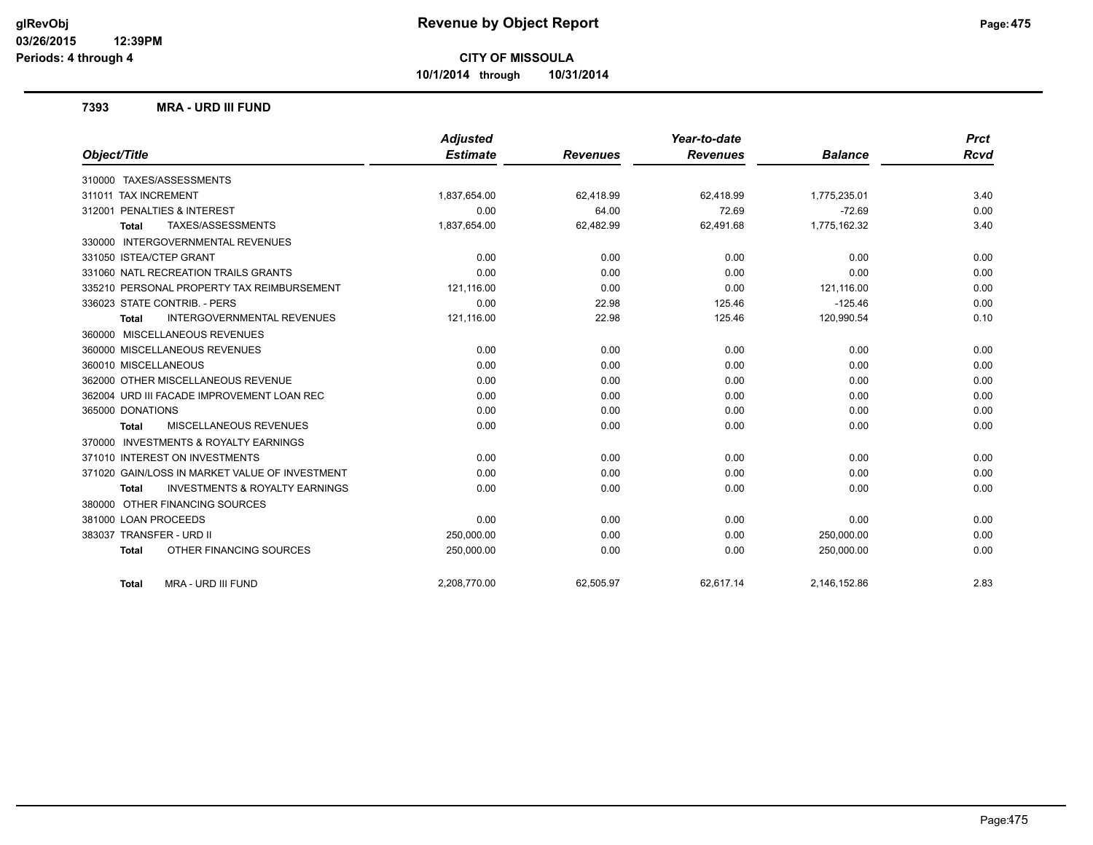**10/1/2014 through 10/31/2014**

#### **7393 MRA - URD III FUND**

|                                                           | <b>Adjusted</b> |                 | Year-to-date    |                | <b>Prct</b> |
|-----------------------------------------------------------|-----------------|-----------------|-----------------|----------------|-------------|
| Object/Title                                              | <b>Estimate</b> | <b>Revenues</b> | <b>Revenues</b> | <b>Balance</b> | <b>Rcvd</b> |
| 310000 TAXES/ASSESSMENTS                                  |                 |                 |                 |                |             |
| 311011 TAX INCREMENT                                      | 1,837,654.00    | 62,418.99       | 62,418.99       | 1,775,235.01   | 3.40        |
| 312001 PENALTIES & INTEREST                               | 0.00            | 64.00           | 72.69           | $-72.69$       | 0.00        |
| TAXES/ASSESSMENTS<br><b>Total</b>                         | 1,837,654.00    | 62,482.99       | 62,491.68       | 1,775,162.32   | 3.40        |
| 330000 INTERGOVERNMENTAL REVENUES                         |                 |                 |                 |                |             |
| 331050 ISTEA/CTEP GRANT                                   | 0.00            | 0.00            | 0.00            | 0.00           | 0.00        |
| 331060 NATL RECREATION TRAILS GRANTS                      | 0.00            | 0.00            | 0.00            | 0.00           | 0.00        |
| 335210 PERSONAL PROPERTY TAX REIMBURSEMENT                | 121,116.00      | 0.00            | 0.00            | 121.116.00     | 0.00        |
| 336023 STATE CONTRIB. - PERS                              | 0.00            | 22.98           | 125.46          | $-125.46$      | 0.00        |
| <b>INTERGOVERNMENTAL REVENUES</b><br><b>Total</b>         | 121,116.00      | 22.98           | 125.46          | 120,990.54     | 0.10        |
| 360000 MISCELLANEOUS REVENUES                             |                 |                 |                 |                |             |
| 360000 MISCELLANEOUS REVENUES                             | 0.00            | 0.00            | 0.00            | 0.00           | 0.00        |
| 360010 MISCELLANEOUS                                      | 0.00            | 0.00            | 0.00            | 0.00           | 0.00        |
| 362000 OTHER MISCELLANEOUS REVENUE                        | 0.00            | 0.00            | 0.00            | 0.00           | 0.00        |
| 362004 URD III FACADE IMPROVEMENT LOAN REC                | 0.00            | 0.00            | 0.00            | 0.00           | 0.00        |
| 365000 DONATIONS                                          | 0.00            | 0.00            | 0.00            | 0.00           | 0.00        |
| <b>MISCELLANEOUS REVENUES</b><br><b>Total</b>             | 0.00            | 0.00            | 0.00            | 0.00           | 0.00        |
| 370000 INVESTMENTS & ROYALTY EARNINGS                     |                 |                 |                 |                |             |
| 371010 INTEREST ON INVESTMENTS                            | 0.00            | 0.00            | 0.00            | 0.00           | 0.00        |
| 371020 GAIN/LOSS IN MARKET VALUE OF INVESTMENT            | 0.00            | 0.00            | 0.00            | 0.00           | 0.00        |
| <b>INVESTMENTS &amp; ROYALTY EARNINGS</b><br><b>Total</b> | 0.00            | 0.00            | 0.00            | 0.00           | 0.00        |
| 380000 OTHER FINANCING SOURCES                            |                 |                 |                 |                |             |
| 381000 LOAN PROCEEDS                                      | 0.00            | 0.00            | 0.00            | 0.00           | 0.00        |
| 383037 TRANSFER - URD II                                  | 250,000.00      | 0.00            | 0.00            | 250,000.00     | 0.00        |
| OTHER FINANCING SOURCES<br><b>Total</b>                   | 250,000.00      | 0.00            | 0.00            | 250,000.00     | 0.00        |
| MRA - URD III FUND<br><b>Total</b>                        | 2,208,770.00    | 62,505.97       | 62,617.14       | 2,146,152.86   | 2.83        |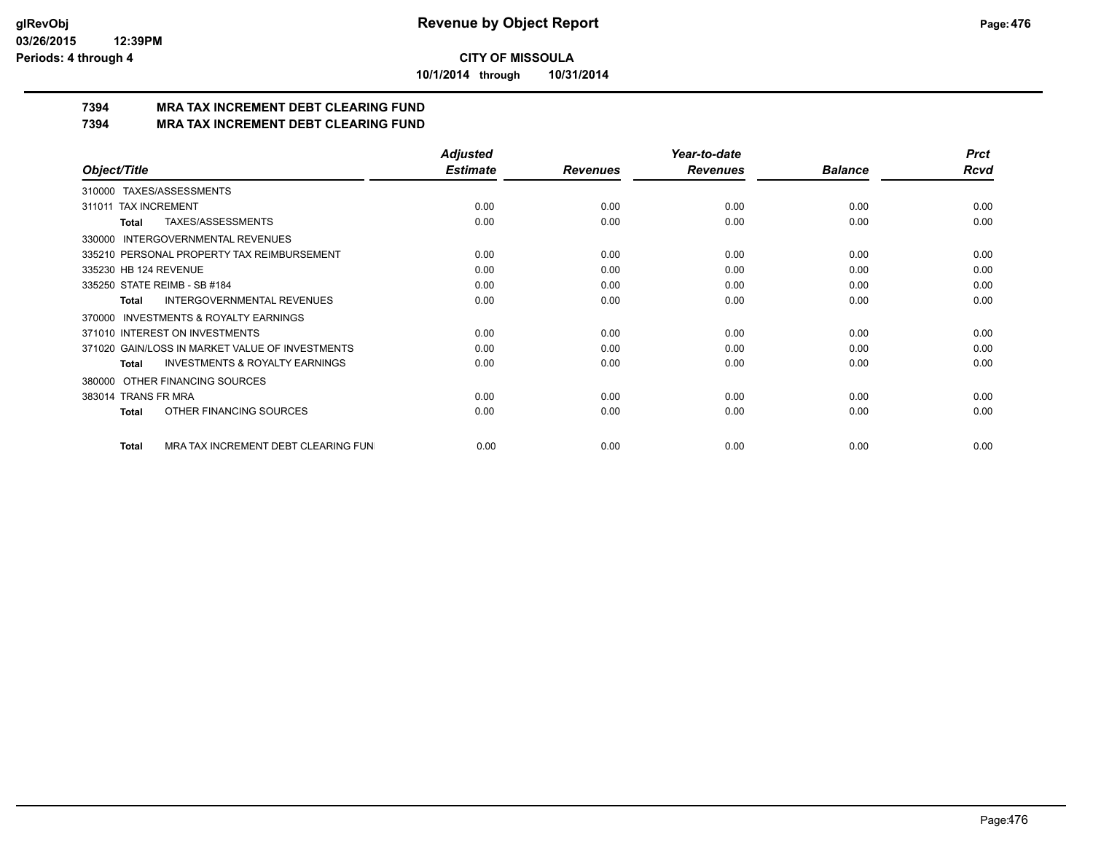**10/1/2014 through 10/31/2014**

# **7394 MRA TAX INCREMENT DEBT CLEARING FUND**

**7394 MRA TAX INCREMENT DEBT CLEARING FUND**

|                                                     | <b>Adjusted</b> |                 | Year-to-date    |                | <b>Prct</b> |
|-----------------------------------------------------|-----------------|-----------------|-----------------|----------------|-------------|
| Object/Title                                        | <b>Estimate</b> | <b>Revenues</b> | <b>Revenues</b> | <b>Balance</b> | <b>Rcvd</b> |
| 310000 TAXES/ASSESSMENTS                            |                 |                 |                 |                |             |
| <b>TAX INCREMENT</b><br>311011                      | 0.00            | 0.00            | 0.00            | 0.00           | 0.00        |
| TAXES/ASSESSMENTS<br>Total                          | 0.00            | 0.00            | 0.00            | 0.00           | 0.00        |
| <b>INTERGOVERNMENTAL REVENUES</b><br>330000         |                 |                 |                 |                |             |
| 335210 PERSONAL PROPERTY TAX REIMBURSEMENT          | 0.00            | 0.00            | 0.00            | 0.00           | 0.00        |
| 335230 HB 124 REVENUE                               | 0.00            | 0.00            | 0.00            | 0.00           | 0.00        |
| 335250 STATE REIMB - SB #184                        | 0.00            | 0.00            | 0.00            | 0.00           | 0.00        |
| <b>INTERGOVERNMENTAL REVENUES</b><br>Total          | 0.00            | 0.00            | 0.00            | 0.00           | 0.00        |
| <b>INVESTMENTS &amp; ROYALTY EARNINGS</b><br>370000 |                 |                 |                 |                |             |
| 371010 INTEREST ON INVESTMENTS                      | 0.00            | 0.00            | 0.00            | 0.00           | 0.00        |
| 371020 GAIN/LOSS IN MARKET VALUE OF INVESTMENTS     | 0.00            | 0.00            | 0.00            | 0.00           | 0.00        |
| <b>INVESTMENTS &amp; ROYALTY EARNINGS</b><br>Total  | 0.00            | 0.00            | 0.00            | 0.00           | 0.00        |
| OTHER FINANCING SOURCES<br>380000                   |                 |                 |                 |                |             |
| 383014 TRANS FR MRA                                 | 0.00            | 0.00            | 0.00            | 0.00           | 0.00        |
| OTHER FINANCING SOURCES<br><b>Total</b>             | 0.00            | 0.00            | 0.00            | 0.00           | 0.00        |
| MRA TAX INCREMENT DEBT CLEARING FUN<br>Total        | 0.00            | 0.00            | 0.00            | 0.00           | 0.00        |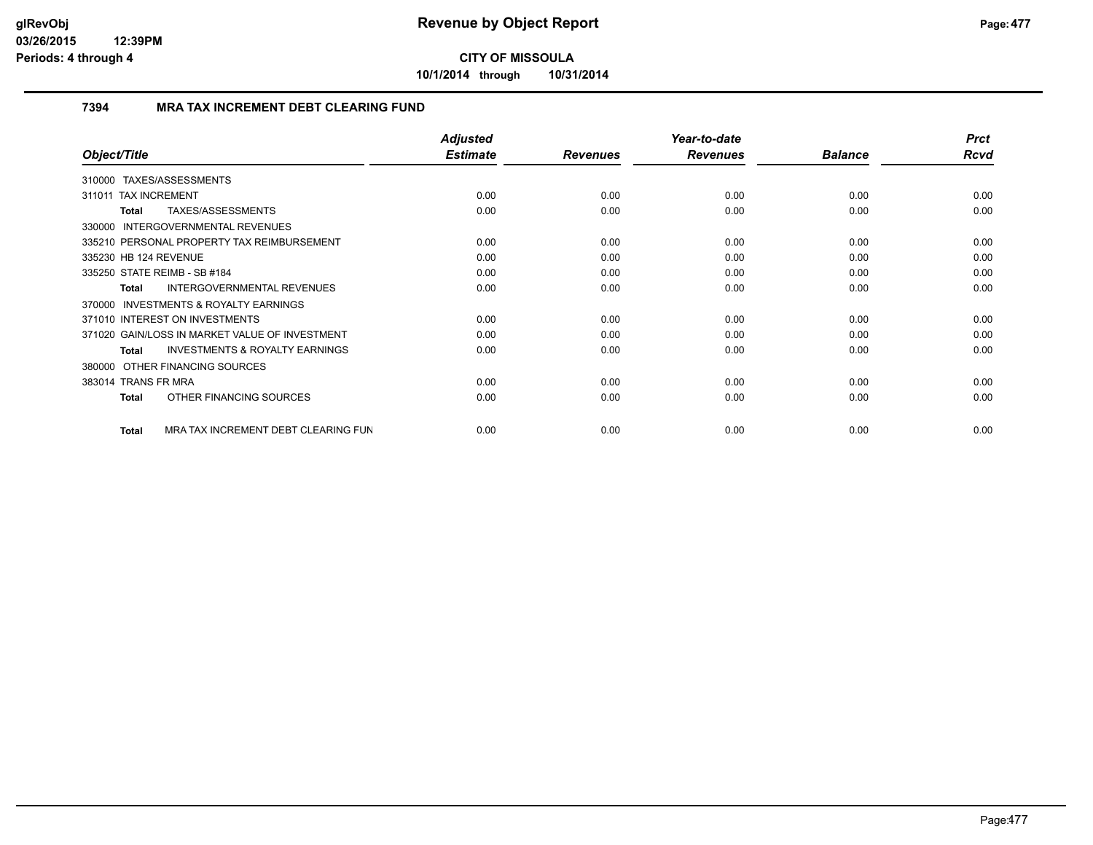**10/1/2014 through 10/31/2014**

### **7394 MRA TAX INCREMENT DEBT CLEARING FUND**

| Object/Title                                        | <b>Adjusted</b><br><b>Estimate</b> | <b>Revenues</b> | Year-to-date<br><b>Revenues</b> | <b>Balance</b> | <b>Prct</b><br>Rcvd |
|-----------------------------------------------------|------------------------------------|-----------------|---------------------------------|----------------|---------------------|
| TAXES/ASSESSMENTS<br>310000                         |                                    |                 |                                 |                |                     |
| 311011 TAX INCREMENT                                | 0.00                               | 0.00            | 0.00                            | 0.00           | 0.00                |
| TAXES/ASSESSMENTS<br><b>Total</b>                   | 0.00                               | 0.00            | 0.00                            | 0.00           | 0.00                |
| 330000 INTERGOVERNMENTAL REVENUES                   |                                    |                 |                                 |                |                     |
| 335210 PERSONAL PROPERTY TAX REIMBURSEMENT          | 0.00                               | 0.00            | 0.00                            | 0.00           | 0.00                |
| 335230 HB 124 REVENUE                               | 0.00                               | 0.00            | 0.00                            | 0.00           | 0.00                |
| 335250 STATE REIMB - SB #184                        | 0.00                               | 0.00            | 0.00                            | 0.00           | 0.00                |
| <b>INTERGOVERNMENTAL REVENUES</b><br><b>Total</b>   | 0.00                               | 0.00            | 0.00                            | 0.00           | 0.00                |
| <b>INVESTMENTS &amp; ROYALTY EARNINGS</b><br>370000 |                                    |                 |                                 |                |                     |
| 371010 INTEREST ON INVESTMENTS                      | 0.00                               | 0.00            | 0.00                            | 0.00           | 0.00                |
| 371020 GAIN/LOSS IN MARKET VALUE OF INVESTMENT      | 0.00                               | 0.00            | 0.00                            | 0.00           | 0.00                |
| <b>INVESTMENTS &amp; ROYALTY EARNINGS</b><br>Total  | 0.00                               | 0.00            | 0.00                            | 0.00           | 0.00                |
| 380000 OTHER FINANCING SOURCES                      |                                    |                 |                                 |                |                     |
| 383014 TRANS FR MRA                                 | 0.00                               | 0.00            | 0.00                            | 0.00           | 0.00                |
| OTHER FINANCING SOURCES<br><b>Total</b>             | 0.00                               | 0.00            | 0.00                            | 0.00           | 0.00                |
| MRA TAX INCREMENT DEBT CLEARING FUN<br><b>Total</b> | 0.00                               | 0.00            | 0.00                            | 0.00           | 0.00                |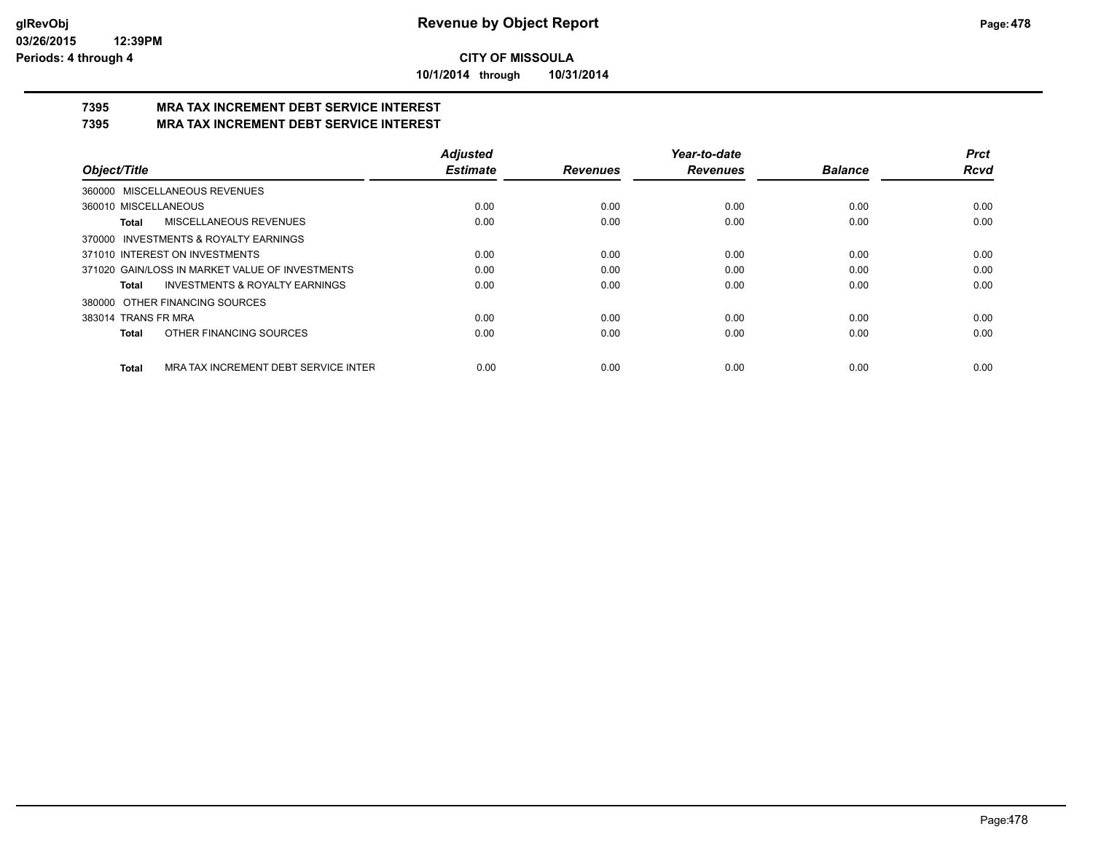**10/1/2014 through 10/31/2014**

#### **7395 MRA TAX INCREMENT DEBT SERVICE INTEREST 7395 MRA TAX INCREMENT DEBT SERVICE INTEREST**

|                                                      | <b>Adjusted</b> |                 | Year-to-date    |                | Prct        |
|------------------------------------------------------|-----------------|-----------------|-----------------|----------------|-------------|
| Object/Title                                         | <b>Estimate</b> | <b>Revenues</b> | <b>Revenues</b> | <b>Balance</b> | <b>Rcvd</b> |
| 360000 MISCELLANEOUS REVENUES                        |                 |                 |                 |                |             |
| 360010 MISCELLANEOUS                                 | 0.00            | 0.00            | 0.00            | 0.00           | 0.00        |
| <b>MISCELLANEOUS REVENUES</b><br>Total               | 0.00            | 0.00            | 0.00            | 0.00           | 0.00        |
| 370000 INVESTMENTS & ROYALTY EARNINGS                |                 |                 |                 |                |             |
| 371010 INTEREST ON INVESTMENTS                       | 0.00            | 0.00            | 0.00            | 0.00           | 0.00        |
| 371020 GAIN/LOSS IN MARKET VALUE OF INVESTMENTS      | 0.00            | 0.00            | 0.00            | 0.00           | 0.00        |
| <b>INVESTMENTS &amp; ROYALTY EARNINGS</b><br>Total   | 0.00            | 0.00            | 0.00            | 0.00           | 0.00        |
| 380000 OTHER FINANCING SOURCES                       |                 |                 |                 |                |             |
| 383014 TRANS FR MRA                                  | 0.00            | 0.00            | 0.00            | 0.00           | 0.00        |
| OTHER FINANCING SOURCES<br><b>Total</b>              | 0.00            | 0.00            | 0.00            | 0.00           | 0.00        |
| MRA TAX INCREMENT DEBT SERVICE INTER<br><b>Total</b> | 0.00            | 0.00            | 0.00            | 0.00           | 0.00        |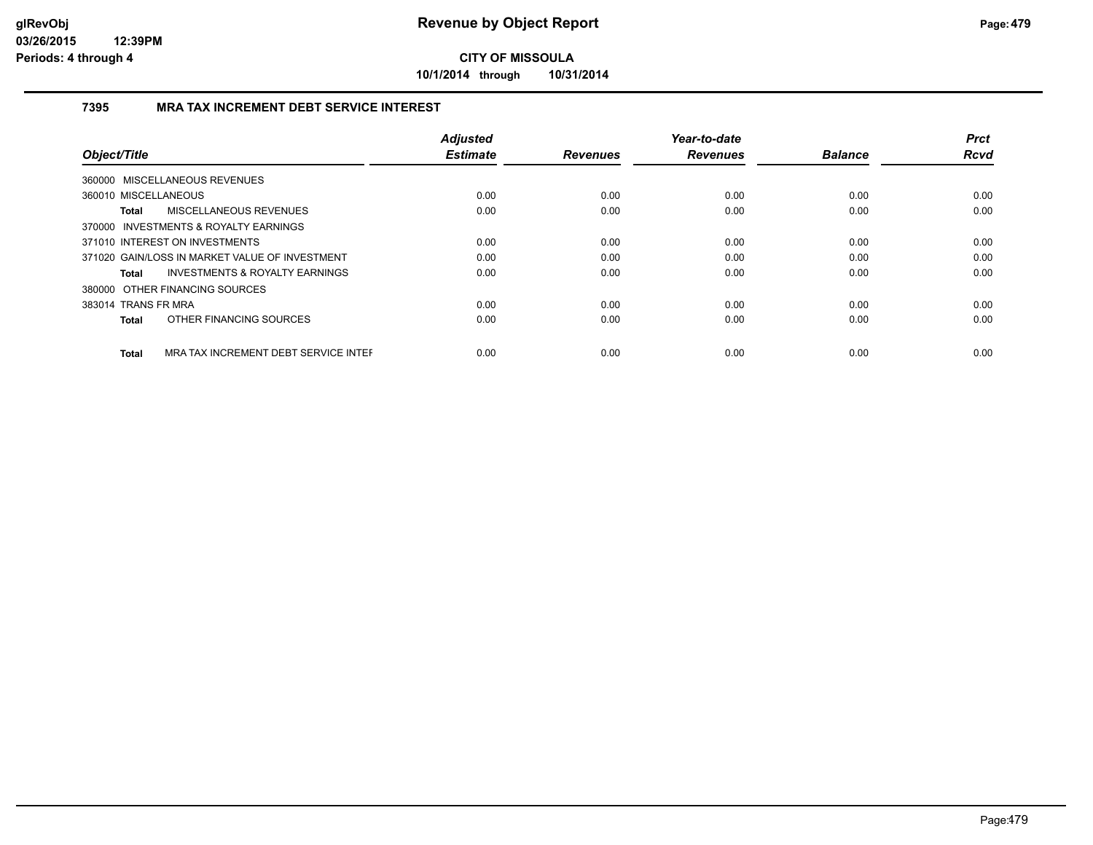**10/1/2014 through 10/31/2014**

### **7395 MRA TAX INCREMENT DEBT SERVICE INTEREST**

| Object/Title                                         | <b>Adjusted</b><br><b>Estimate</b> | <b>Revenues</b> | Year-to-date<br><b>Revenues</b> | <b>Balance</b> | <b>Prct</b><br><b>Rcvd</b> |
|------------------------------------------------------|------------------------------------|-----------------|---------------------------------|----------------|----------------------------|
|                                                      |                                    |                 |                                 |                |                            |
| 360000 MISCELLANEOUS REVENUES                        |                                    |                 |                                 |                |                            |
| 360010 MISCELLANEOUS                                 | 0.00                               | 0.00            | 0.00                            | 0.00           | 0.00                       |
| MISCELLANEOUS REVENUES<br><b>Total</b>               | 0.00                               | 0.00            | 0.00                            | 0.00           | 0.00                       |
| 370000 INVESTMENTS & ROYALTY EARNINGS                |                                    |                 |                                 |                |                            |
| 371010 INTEREST ON INVESTMENTS                       | 0.00                               | 0.00            | 0.00                            | 0.00           | 0.00                       |
| 371020 GAIN/LOSS IN MARKET VALUE OF INVESTMENT       | 0.00                               | 0.00            | 0.00                            | 0.00           | 0.00                       |
| <b>INVESTMENTS &amp; ROYALTY EARNINGS</b><br>Total   | 0.00                               | 0.00            | 0.00                            | 0.00           | 0.00                       |
| 380000 OTHER FINANCING SOURCES                       |                                    |                 |                                 |                |                            |
| 383014 TRANS FR MRA                                  | 0.00                               | 0.00            | 0.00                            | 0.00           | 0.00                       |
| OTHER FINANCING SOURCES<br>Total                     | 0.00                               | 0.00            | 0.00                            | 0.00           | 0.00                       |
| MRA TAX INCREMENT DEBT SERVICE INTER<br><b>Total</b> | 0.00                               | 0.00            | 0.00                            | 0.00           | 0.00                       |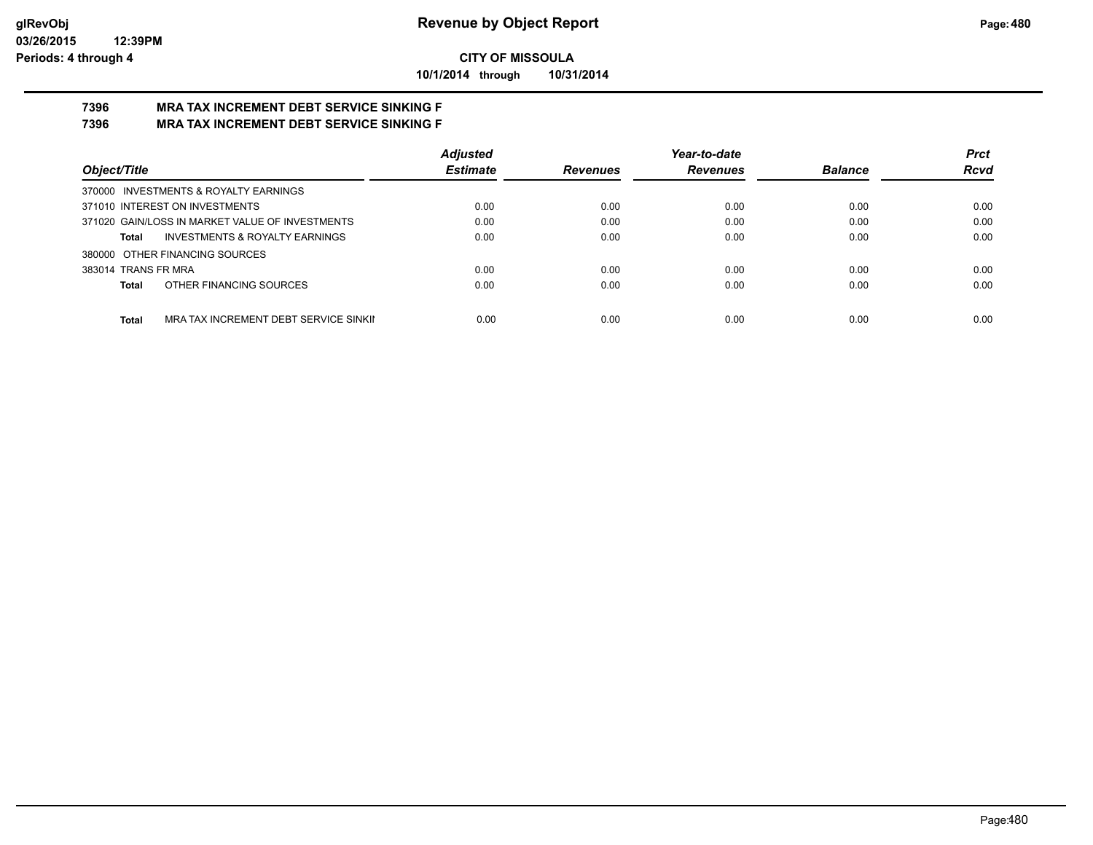**10/1/2014 through 10/31/2014**

#### **7396 MRA TAX INCREMENT DEBT SERVICE SINKING F 7396 MRA TAX INCREMENT DEBT SERVICE SINKING F**

|                                                       | <b>Adjusted</b> |                 | Year-to-date    |                | <b>Prct</b> |
|-------------------------------------------------------|-----------------|-----------------|-----------------|----------------|-------------|
| Object/Title                                          | <b>Estimate</b> | <b>Revenues</b> | <b>Revenues</b> | <b>Balance</b> | <b>Rcvd</b> |
| 370000 INVESTMENTS & ROYALTY EARNINGS                 |                 |                 |                 |                |             |
| 371010 INTEREST ON INVESTMENTS                        | 0.00            | 0.00            | 0.00            | 0.00           | 0.00        |
| 371020 GAIN/LOSS IN MARKET VALUE OF INVESTMENTS       | 0.00            | 0.00            | 0.00            | 0.00           | 0.00        |
| <b>INVESTMENTS &amp; ROYALTY EARNINGS</b><br>Total    | 0.00            | 0.00            | 0.00            | 0.00           | 0.00        |
| 380000 OTHER FINANCING SOURCES                        |                 |                 |                 |                |             |
| 383014 TRANS FR MRA                                   | 0.00            | 0.00            | 0.00            | 0.00           | 0.00        |
| OTHER FINANCING SOURCES<br>Total                      | 0.00            | 0.00            | 0.00            | 0.00           | 0.00        |
|                                                       |                 |                 |                 |                |             |
| <b>Total</b><br>MRA TAX INCREMENT DEBT SERVICE SINKII | 0.00            | 0.00            | 0.00            | 0.00           | 0.00        |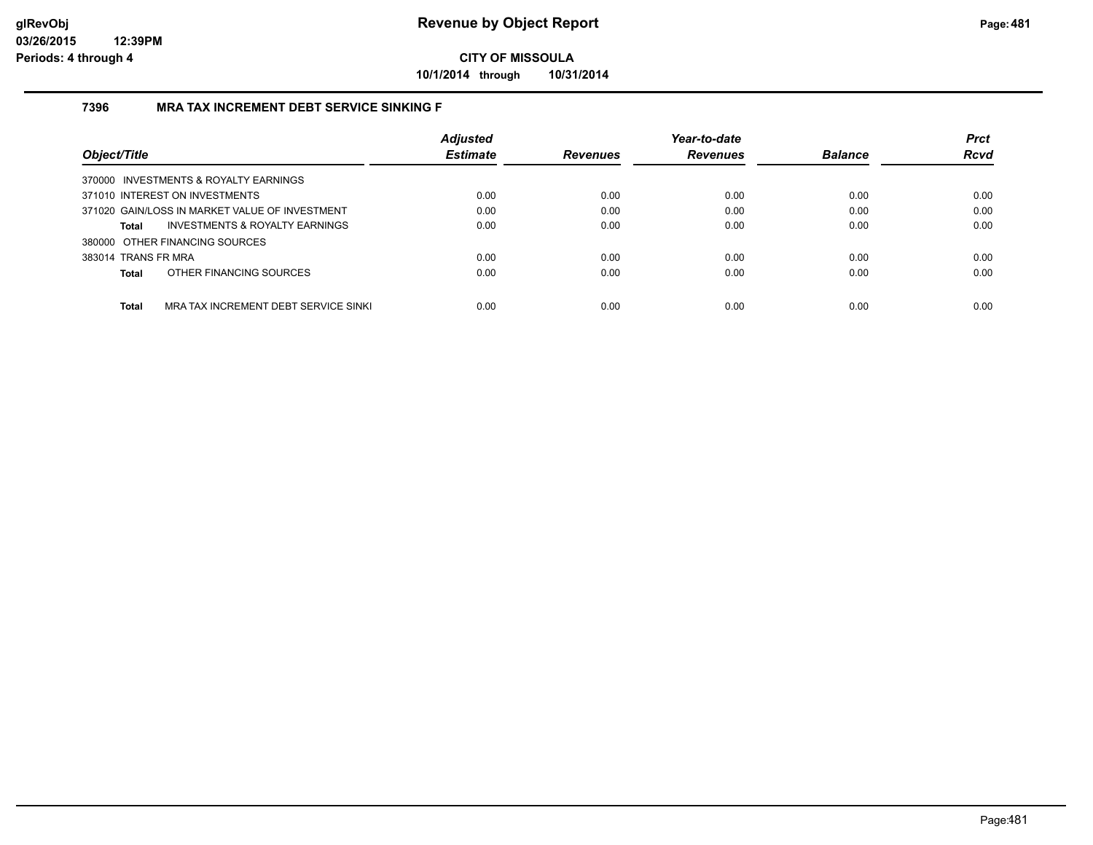**10/1/2014 through 10/31/2014**

### **7396 MRA TAX INCREMENT DEBT SERVICE SINKING F**

| Object/Title                                   |                                      | <b>Adjusted</b><br><b>Estimate</b> | <b>Revenues</b> | Year-to-date<br><b>Revenues</b> | <b>Balance</b> | <b>Prct</b><br><b>Rcvd</b> |
|------------------------------------------------|--------------------------------------|------------------------------------|-----------------|---------------------------------|----------------|----------------------------|
| 370000 INVESTMENTS & ROYALTY EARNINGS          |                                      |                                    |                 |                                 |                |                            |
| 371010 INTEREST ON INVESTMENTS                 |                                      | 0.00                               | 0.00            | 0.00                            | 0.00           | 0.00                       |
| 371020 GAIN/LOSS IN MARKET VALUE OF INVESTMENT |                                      | 0.00                               | 0.00            | 0.00                            | 0.00           | 0.00                       |
| <b>Total</b>                                   | INVESTMENTS & ROYALTY EARNINGS       | 0.00                               | 0.00            | 0.00                            | 0.00           | 0.00                       |
| 380000 OTHER FINANCING SOURCES                 |                                      |                                    |                 |                                 |                |                            |
| 383014 TRANS FR MRA                            |                                      | 0.00                               | 0.00            | 0.00                            | 0.00           | 0.00                       |
| OTHER FINANCING SOURCES<br><b>Total</b>        |                                      | 0.00                               | 0.00            | 0.00                            | 0.00           | 0.00                       |
| <b>Total</b>                                   | MRA TAX INCREMENT DEBT SERVICE SINKI | 0.00                               | 0.00            | 0.00                            | 0.00           | 0.00                       |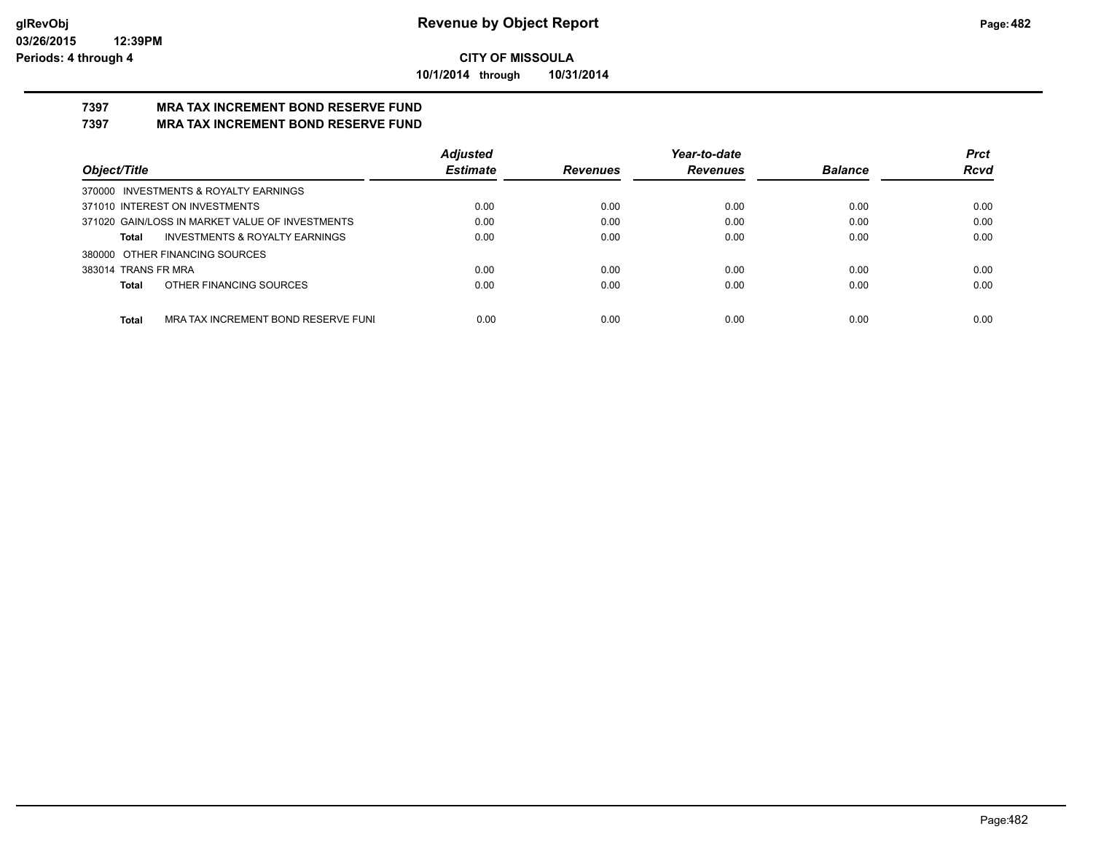**10/1/2014 through 10/31/2014**

#### **7397 MRA TAX INCREMENT BOND RESERVE FUND 7397 MRA TAX INCREMENT BOND RESERVE FUND**

|                                                     | <b>Adjusted</b> |                 | Year-to-date    |                | <b>Prct</b> |
|-----------------------------------------------------|-----------------|-----------------|-----------------|----------------|-------------|
| Object/Title                                        | <b>Estimate</b> | <b>Revenues</b> | <b>Revenues</b> | <b>Balance</b> | <b>Rcvd</b> |
| 370000 INVESTMENTS & ROYALTY EARNINGS               |                 |                 |                 |                |             |
| 371010 INTEREST ON INVESTMENTS                      | 0.00            | 0.00            | 0.00            | 0.00           | 0.00        |
| 371020 GAIN/LOSS IN MARKET VALUE OF INVESTMENTS     | 0.00            | 0.00            | 0.00            | 0.00           | 0.00        |
| <b>INVESTMENTS &amp; ROYALTY EARNINGS</b><br>Total  | 0.00            | 0.00            | 0.00            | 0.00           | 0.00        |
| 380000 OTHER FINANCING SOURCES                      |                 |                 |                 |                |             |
| 383014 TRANS FR MRA                                 | 0.00            | 0.00            | 0.00            | 0.00           | 0.00        |
| OTHER FINANCING SOURCES<br>Total                    | 0.00            | 0.00            | 0.00            | 0.00           | 0.00        |
|                                                     |                 |                 |                 |                |             |
| <b>Total</b><br>MRA TAX INCREMENT BOND RESERVE FUNI | 0.00            | 0.00            | 0.00            | 0.00           | 0.00        |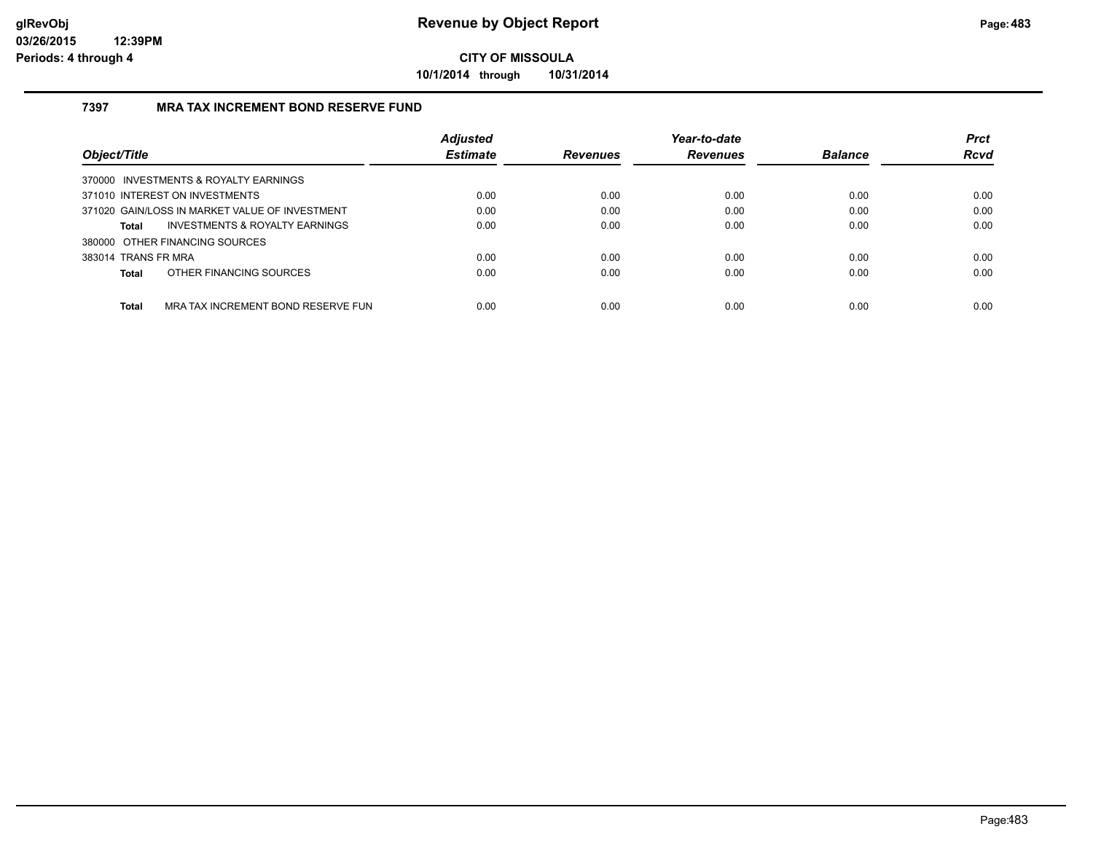**10/1/2014 through 10/31/2014**

### **7397 MRA TAX INCREMENT BOND RESERVE FUND**

|                                                    | <b>Adjusted</b> |                 | Year-to-date    |                | <b>Prct</b> |
|----------------------------------------------------|-----------------|-----------------|-----------------|----------------|-------------|
| Object/Title                                       | <b>Estimate</b> | <b>Revenues</b> | <b>Revenues</b> | <b>Balance</b> | <b>Rcvd</b> |
| 370000 INVESTMENTS & ROYALTY EARNINGS              |                 |                 |                 |                |             |
| 371010 INTEREST ON INVESTMENTS                     | 0.00            | 0.00            | 0.00            | 0.00           | 0.00        |
| 371020 GAIN/LOSS IN MARKET VALUE OF INVESTMENT     | 0.00            | 0.00            | 0.00            | 0.00           | 0.00        |
| INVESTMENTS & ROYALTY EARNINGS<br><b>Total</b>     | 0.00            | 0.00            | 0.00            | 0.00           | 0.00        |
| 380000 OTHER FINANCING SOURCES                     |                 |                 |                 |                |             |
| 383014 TRANS FR MRA                                | 0.00            | 0.00            | 0.00            | 0.00           | 0.00        |
| OTHER FINANCING SOURCES<br><b>Total</b>            | 0.00            | 0.00            | 0.00            | 0.00           | 0.00        |
|                                                    |                 |                 |                 |                |             |
| <b>Total</b><br>MRA TAX INCREMENT BOND RESERVE FUN | 0.00            | 0.00            | 0.00            | 0.00           | 0.00        |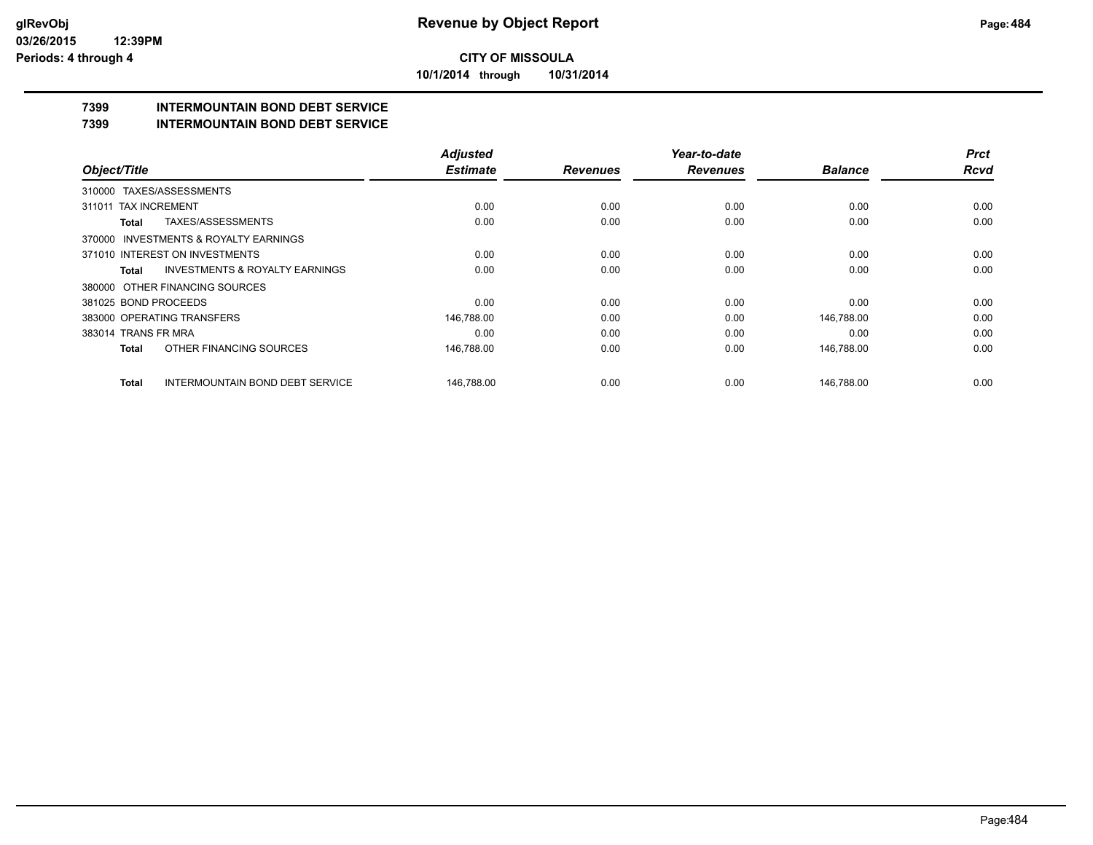**10/1/2014 through 10/31/2014**

# **7399 INTERMOUNTAIN BOND DEBT SERVICE**

**7399 INTERMOUNTAIN BOND DEBT SERVICE**

|                                                           | <b>Adjusted</b> |                 | Year-to-date    |                | <b>Prct</b> |
|-----------------------------------------------------------|-----------------|-----------------|-----------------|----------------|-------------|
| Object/Title                                              | <b>Estimate</b> | <b>Revenues</b> | <b>Revenues</b> | <b>Balance</b> | <b>Rcvd</b> |
| TAXES/ASSESSMENTS<br>310000                               |                 |                 |                 |                |             |
| <b>TAX INCREMENT</b><br>311011                            | 0.00            | 0.00            | 0.00            | 0.00           | 0.00        |
| TAXES/ASSESSMENTS<br><b>Total</b>                         | 0.00            | 0.00            | 0.00            | 0.00           | 0.00        |
| 370000 INVESTMENTS & ROYALTY EARNINGS                     |                 |                 |                 |                |             |
| 371010 INTEREST ON INVESTMENTS                            | 0.00            | 0.00            | 0.00            | 0.00           | 0.00        |
| <b>INVESTMENTS &amp; ROYALTY EARNINGS</b><br><b>Total</b> | 0.00            | 0.00            | 0.00            | 0.00           | 0.00        |
| 380000 OTHER FINANCING SOURCES                            |                 |                 |                 |                |             |
| 381025 BOND PROCEEDS                                      | 0.00            | 0.00            | 0.00            | 0.00           | 0.00        |
| 383000 OPERATING TRANSFERS                                | 146,788.00      | 0.00            | 0.00            | 146,788.00     | 0.00        |
| 383014 TRANS FR MRA                                       | 0.00            | 0.00            | 0.00            | 0.00           | 0.00        |
| OTHER FINANCING SOURCES<br><b>Total</b>                   | 146,788.00      | 0.00            | 0.00            | 146,788.00     | 0.00        |
| <b>INTERMOUNTAIN BOND DEBT SERVICE</b><br><b>Total</b>    | 146.788.00      | 0.00            | 0.00            | 146.788.00     | 0.00        |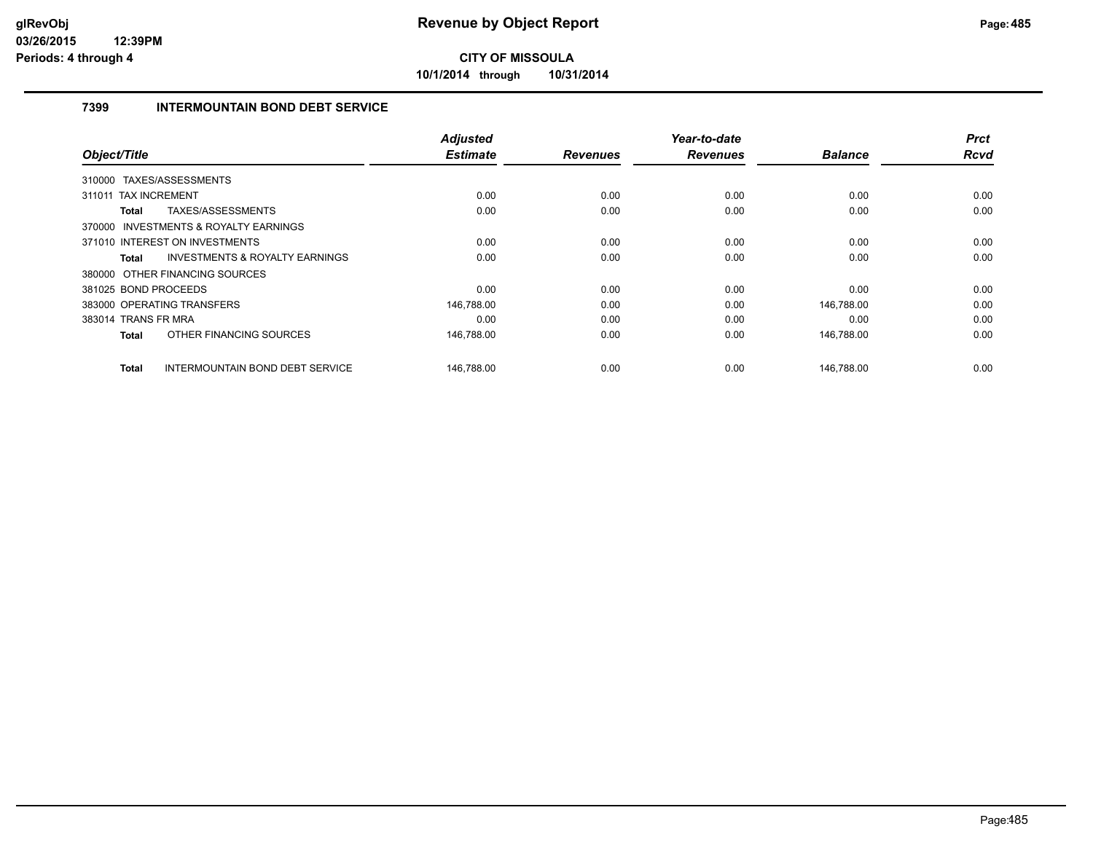**10/1/2014 through 10/31/2014**

### **7399 INTERMOUNTAIN BOND DEBT SERVICE**

| Object/Title                          |                                           | <b>Adjusted</b><br><b>Estimate</b> | <b>Revenues</b> | Year-to-date<br><b>Revenues</b> | <b>Balance</b> | <b>Prct</b><br>Rcvd |
|---------------------------------------|-------------------------------------------|------------------------------------|-----------------|---------------------------------|----------------|---------------------|
| 310000 TAXES/ASSESSMENTS              |                                           |                                    |                 |                                 |                |                     |
| 311011 TAX INCREMENT                  |                                           | 0.00                               | 0.00            | 0.00                            | 0.00           | 0.00                |
| Total                                 | TAXES/ASSESSMENTS                         | 0.00                               | 0.00            | 0.00                            | 0.00           | 0.00                |
| 370000 INVESTMENTS & ROYALTY EARNINGS |                                           |                                    |                 |                                 |                |                     |
| 371010 INTEREST ON INVESTMENTS        |                                           | 0.00                               | 0.00            | 0.00                            | 0.00           | 0.00                |
| Total                                 | <b>INVESTMENTS &amp; ROYALTY EARNINGS</b> | 0.00                               | 0.00            | 0.00                            | 0.00           | 0.00                |
| 380000 OTHER FINANCING SOURCES        |                                           |                                    |                 |                                 |                |                     |
| 381025 BOND PROCEEDS                  |                                           | 0.00                               | 0.00            | 0.00                            | 0.00           | 0.00                |
| 383000 OPERATING TRANSFERS            |                                           | 146,788.00                         | 0.00            | 0.00                            | 146,788.00     | 0.00                |
| 383014 TRANS FR MRA                   |                                           | 0.00                               | 0.00            | 0.00                            | 0.00           | 0.00                |
| Total                                 | OTHER FINANCING SOURCES                   | 146,788.00                         | 0.00            | 0.00                            | 146,788.00     | 0.00                |
| Total                                 | <b>INTERMOUNTAIN BOND DEBT SERVICE</b>    | 146,788.00                         | 0.00            | 0.00                            | 146,788.00     | 0.00                |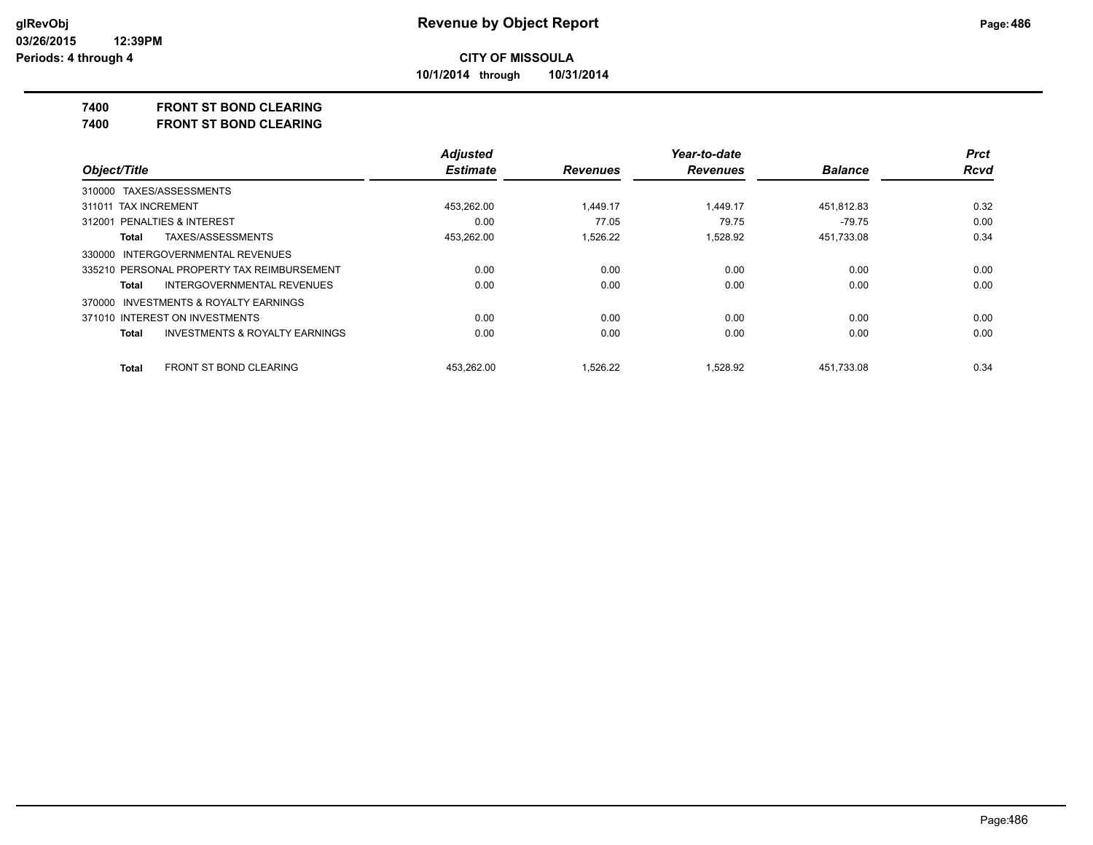**10/1/2014 through 10/31/2014**

### **7400 FRONT ST BOND CLEARING**

**7400 FRONT ST BOND CLEARING**

|                                            | <b>Adjusted</b> |                 | Year-to-date    |                | <b>Prct</b> |
|--------------------------------------------|-----------------|-----------------|-----------------|----------------|-------------|
| Object/Title                               | <b>Estimate</b> | <b>Revenues</b> | <b>Revenues</b> | <b>Balance</b> | <b>Rcvd</b> |
| 310000 TAXES/ASSESSMENTS                   |                 |                 |                 |                |             |
| 311011 TAX INCREMENT                       | 453.262.00      | 1.449.17        | 1.449.17        | 451.812.83     | 0.32        |
| 312001 PENALTIES & INTEREST                | 0.00            | 77.05           | 79.75           | $-79.75$       | 0.00        |
| TAXES/ASSESSMENTS<br>Total                 | 453,262.00      | 1,526.22        | 1,528.92        | 451,733.08     | 0.34        |
| 330000 INTERGOVERNMENTAL REVENUES          |                 |                 |                 |                |             |
| 335210 PERSONAL PROPERTY TAX REIMBURSEMENT | 0.00            | 0.00            | 0.00            | 0.00           | 0.00        |
| INTERGOVERNMENTAL REVENUES<br>Total        | 0.00            | 0.00            | 0.00            | 0.00           | 0.00        |
| 370000 INVESTMENTS & ROYALTY EARNINGS      |                 |                 |                 |                |             |
| 371010 INTEREST ON INVESTMENTS             | 0.00            | 0.00            | 0.00            | 0.00           | 0.00        |
| INVESTMENTS & ROYALTY EARNINGS<br>Total    | 0.00            | 0.00            | 0.00            | 0.00           | 0.00        |
| <b>FRONT ST BOND CLEARING</b><br>Total     | 453.262.00      | 1.526.22        | 1.528.92        | 451,733.08     | 0.34        |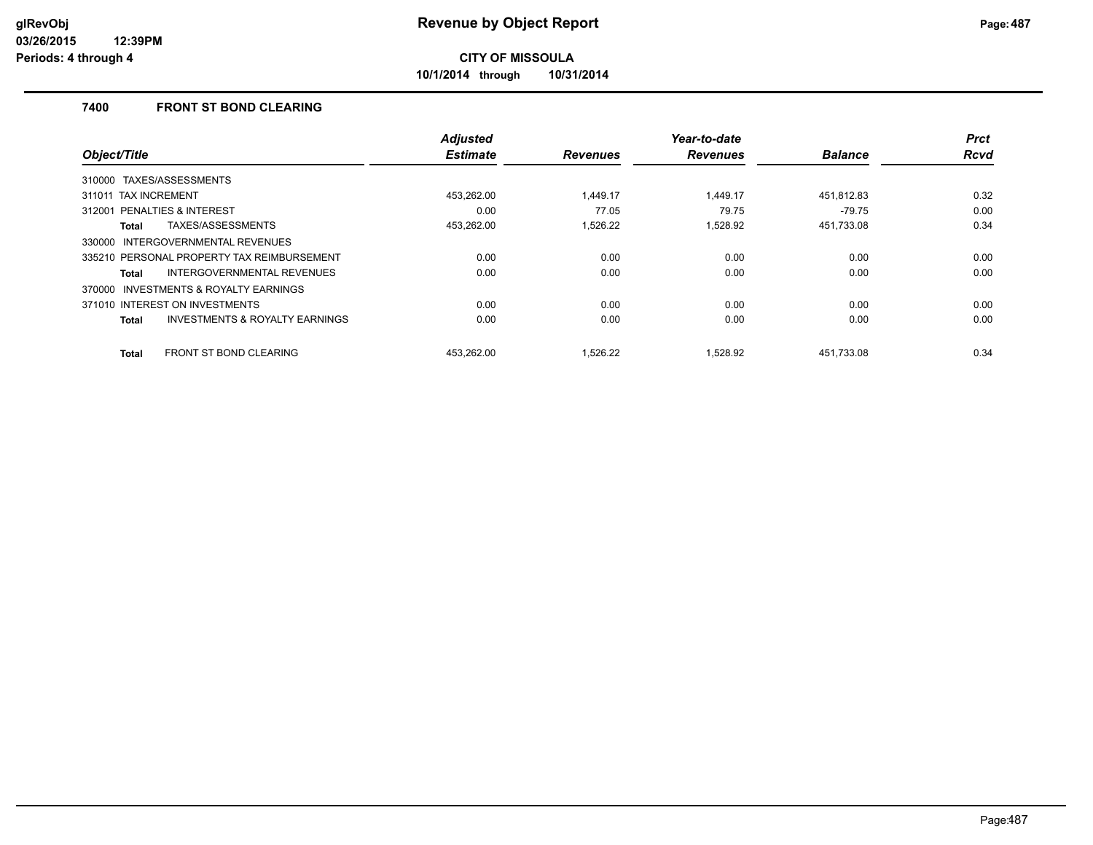**10/1/2014 through 10/31/2014**

### **7400 FRONT ST BOND CLEARING**

|                                                    | <b>Adjusted</b> |                 | Year-to-date    |                | <b>Prct</b> |
|----------------------------------------------------|-----------------|-----------------|-----------------|----------------|-------------|
| Object/Title                                       | <b>Estimate</b> | <b>Revenues</b> | <b>Revenues</b> | <b>Balance</b> | <b>Rcvd</b> |
| 310000 TAXES/ASSESSMENTS                           |                 |                 |                 |                |             |
| 311011 TAX INCREMENT                               | 453,262.00      | 1.449.17        | 1.449.17        | 451,812.83     | 0.32        |
| PENALTIES & INTEREST<br>312001                     | 0.00            | 77.05           | 79.75           | $-79.75$       | 0.00        |
| TAXES/ASSESSMENTS<br>Total                         | 453,262.00      | 1.526.22        | 1.528.92        | 451,733.08     | 0.34        |
| INTERGOVERNMENTAL REVENUES<br>330000               |                 |                 |                 |                |             |
| 335210 PERSONAL PROPERTY TAX REIMBURSEMENT         | 0.00            | 0.00            | 0.00            | 0.00           | 0.00        |
| <b>INTERGOVERNMENTAL REVENUES</b><br>Total         | 0.00            | 0.00            | 0.00            | 0.00           | 0.00        |
| 370000 INVESTMENTS & ROYALTY EARNINGS              |                 |                 |                 |                |             |
| 371010 INTEREST ON INVESTMENTS                     | 0.00            | 0.00            | 0.00            | 0.00           | 0.00        |
| <b>INVESTMENTS &amp; ROYALTY EARNINGS</b><br>Total | 0.00            | 0.00            | 0.00            | 0.00           | 0.00        |
| <b>FRONT ST BOND CLEARING</b><br><b>Total</b>      | 453.262.00      | 1.526.22        | 1.528.92        | 451.733.08     | 0.34        |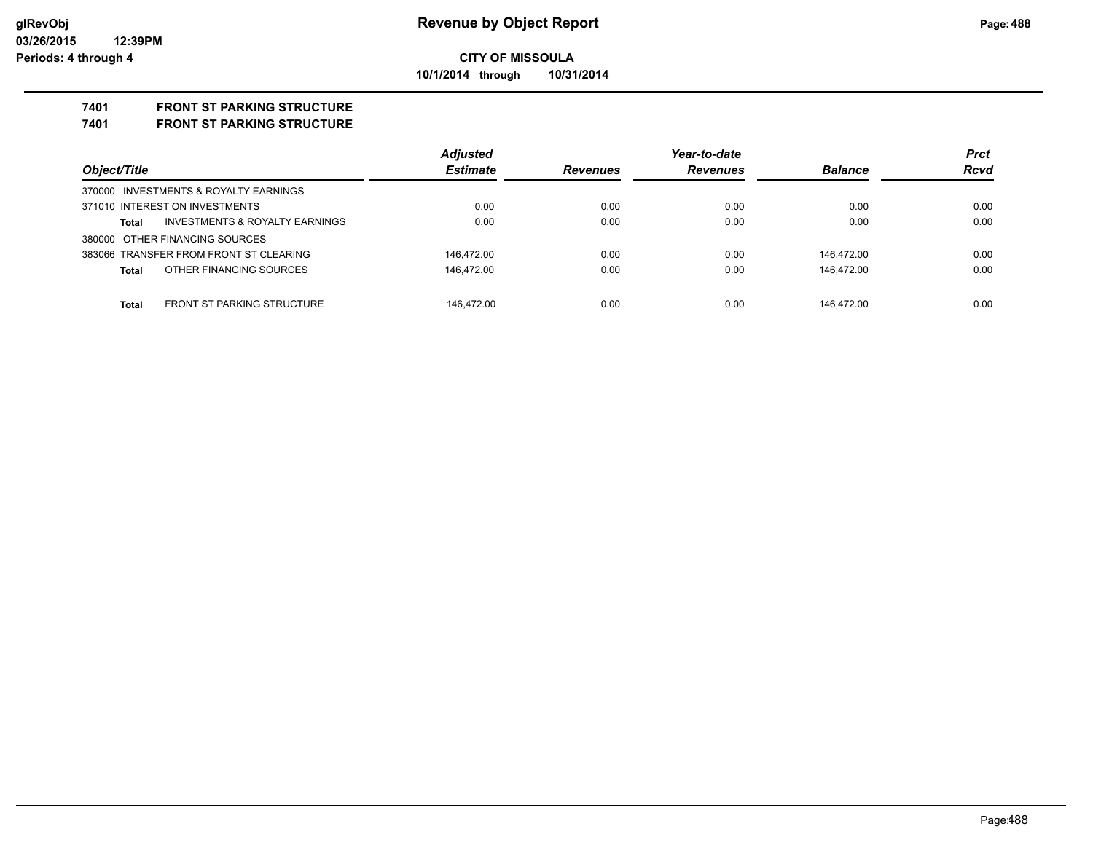### **CITY OF MISSOULA 10/1/2014 through 10/31/2014**

### **7401 FRONT ST PARKING STRUCTURE**

#### **7401 FRONT ST PARKING STRUCTURE**

|                                                    | <b>Adjusted</b> |                 | Year-to-date    |                | <b>Prct</b> |
|----------------------------------------------------|-----------------|-----------------|-----------------|----------------|-------------|
| Object/Title                                       | <b>Estimate</b> | <b>Revenues</b> | <b>Revenues</b> | <b>Balance</b> | <b>Rcvd</b> |
| 370000 INVESTMENTS & ROYALTY EARNINGS              |                 |                 |                 |                |             |
| 371010 INTEREST ON INVESTMENTS                     | 0.00            | 0.00            | 0.00            | 0.00           | 0.00        |
| <b>INVESTMENTS &amp; ROYALTY EARNINGS</b><br>Total | 0.00            | 0.00            | 0.00            | 0.00           | 0.00        |
| 380000 OTHER FINANCING SOURCES                     |                 |                 |                 |                |             |
| 383066 TRANSFER FROM FRONT ST CLEARING             | 146.472.00      | 0.00            | 0.00            | 146.472.00     | 0.00        |
| OTHER FINANCING SOURCES<br>Total                   | 146.472.00      | 0.00            | 0.00            | 146.472.00     | 0.00        |
|                                                    |                 |                 |                 |                |             |
| <b>FRONT ST PARKING STRUCTURE</b><br><b>Total</b>  | 146.472.00      | 0.00            | 0.00            | 146.472.00     | 0.00        |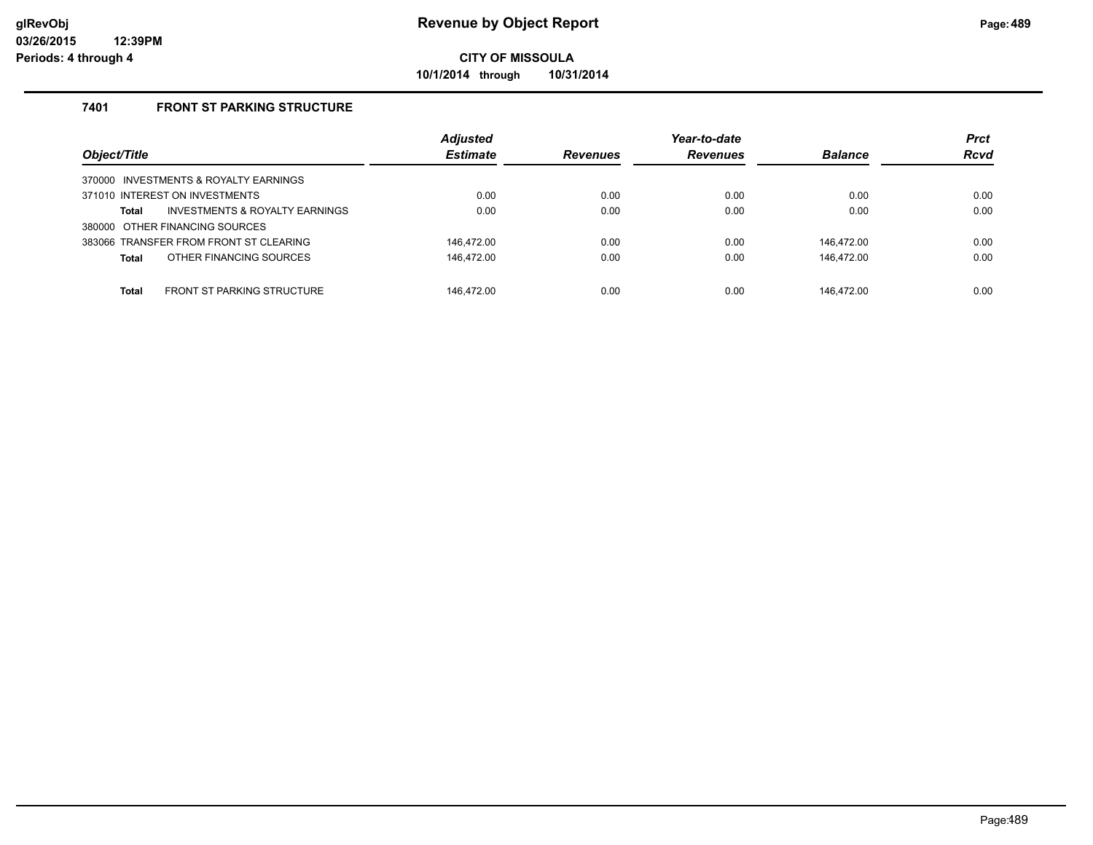**10/1/2014 through 10/31/2014**

### **7401 FRONT ST PARKING STRUCTURE**

| Object/Title                               | <b>Adjusted</b><br><b>Estimate</b> | <b>Revenues</b> | Year-to-date<br><b>Revenues</b> | <b>Balance</b> | <b>Prct</b><br><b>Rcvd</b> |
|--------------------------------------------|------------------------------------|-----------------|---------------------------------|----------------|----------------------------|
| 370000 INVESTMENTS & ROYALTY EARNINGS      |                                    |                 |                                 |                |                            |
| 371010 INTEREST ON INVESTMENTS             | 0.00                               | 0.00            | 0.00                            | 0.00           | 0.00                       |
| INVESTMENTS & ROYALTY EARNINGS<br>Total    | 0.00                               | 0.00            | 0.00                            | 0.00           | 0.00                       |
| 380000 OTHER FINANCING SOURCES             |                                    |                 |                                 |                |                            |
| 383066 TRANSFER FROM FRONT ST CLEARING     | 146.472.00                         | 0.00            | 0.00                            | 146.472.00     | 0.00                       |
| OTHER FINANCING SOURCES<br><b>Total</b>    | 146.472.00                         | 0.00            | 0.00                            | 146.472.00     | 0.00                       |
|                                            |                                    |                 |                                 |                |                            |
| <b>FRONT ST PARKING STRUCTURE</b><br>Total | 146.472.00                         | 0.00            | 0.00                            | 146.472.00     | 0.00                       |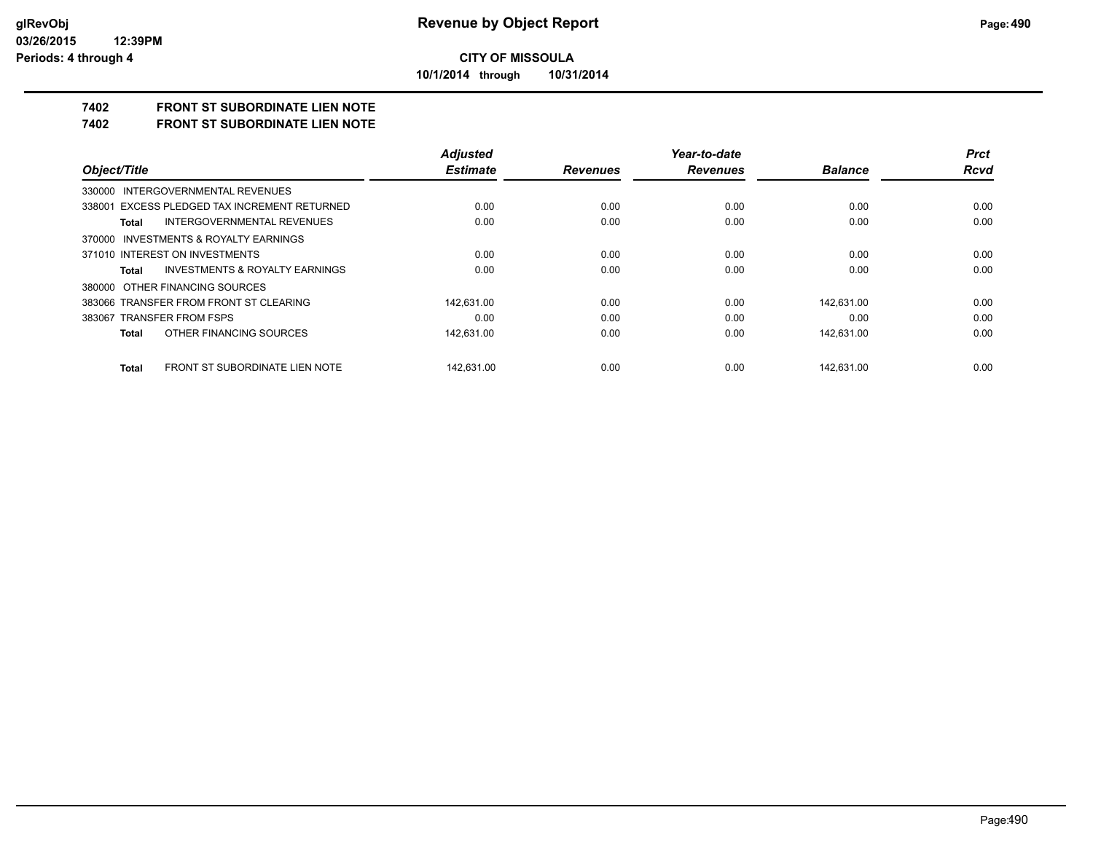**10/1/2014 through 10/31/2014**

# **7402 FRONT ST SUBORDINATE LIEN NOTE**

**7402 FRONT ST SUBORDINATE LIEN NOTE**

|                                                | <b>Adjusted</b> |                 | Year-to-date    |                | <b>Prct</b> |
|------------------------------------------------|-----------------|-----------------|-----------------|----------------|-------------|
| Object/Title                                   | <b>Estimate</b> | <b>Revenues</b> | <b>Revenues</b> | <b>Balance</b> | <b>Rcvd</b> |
| 330000 INTERGOVERNMENTAL REVENUES              |                 |                 |                 |                |             |
| 338001 EXCESS PLEDGED TAX INCREMENT RETURNED   | 0.00            | 0.00            | 0.00            | 0.00           | 0.00        |
| INTERGOVERNMENTAL REVENUES<br>Total            | 0.00            | 0.00            | 0.00            | 0.00           | 0.00        |
| 370000 INVESTMENTS & ROYALTY EARNINGS          |                 |                 |                 |                |             |
| 371010 INTEREST ON INVESTMENTS                 | 0.00            | 0.00            | 0.00            | 0.00           | 0.00        |
| INVESTMENTS & ROYALTY EARNINGS<br>Total        | 0.00            | 0.00            | 0.00            | 0.00           | 0.00        |
| 380000 OTHER FINANCING SOURCES                 |                 |                 |                 |                |             |
| 383066 TRANSFER FROM FRONT ST CLEARING         | 142.631.00      | 0.00            | 0.00            | 142.631.00     | 0.00        |
| 383067 TRANSFER FROM FSPS                      | 0.00            | 0.00            | 0.00            | 0.00           | 0.00        |
| OTHER FINANCING SOURCES<br>Total               | 142.631.00      | 0.00            | 0.00            | 142.631.00     | 0.00        |
| FRONT ST SUBORDINATE LIEN NOTE<br><b>Total</b> | 142.631.00      | 0.00            | 0.00            | 142.631.00     | 0.00        |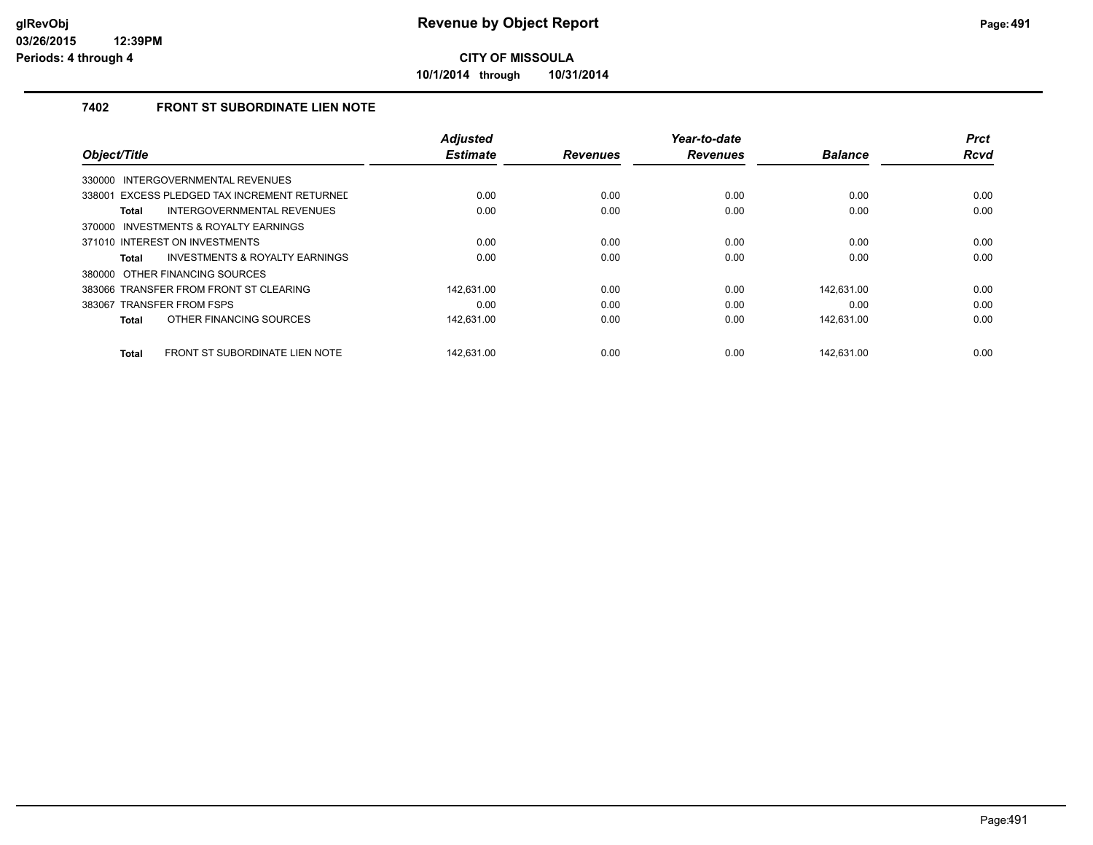**10/1/2014 through 10/31/2014**

### **7402 FRONT ST SUBORDINATE LIEN NOTE**

|                                                | <b>Adjusted</b> |                 | Year-to-date    |                | <b>Prct</b> |
|------------------------------------------------|-----------------|-----------------|-----------------|----------------|-------------|
| Object/Title                                   | <b>Estimate</b> | <b>Revenues</b> | <b>Revenues</b> | <b>Balance</b> | <b>Rcvd</b> |
| INTERGOVERNMENTAL REVENUES<br>330000           |                 |                 |                 |                |             |
| 338001 EXCESS PLEDGED TAX INCREMENT RETURNED   | 0.00            | 0.00            | 0.00            | 0.00           | 0.00        |
| INTERGOVERNMENTAL REVENUES<br><b>Total</b>     | 0.00            | 0.00            | 0.00            | 0.00           | 0.00        |
| 370000 INVESTMENTS & ROYALTY EARNINGS          |                 |                 |                 |                |             |
| 371010 INTEREST ON INVESTMENTS                 | 0.00            | 0.00            | 0.00            | 0.00           | 0.00        |
| INVESTMENTS & ROYALTY EARNINGS<br>Total        | 0.00            | 0.00            | 0.00            | 0.00           | 0.00        |
| 380000 OTHER FINANCING SOURCES                 |                 |                 |                 |                |             |
| 383066 TRANSFER FROM FRONT ST CLEARING         | 142.631.00      | 0.00            | 0.00            | 142.631.00     | 0.00        |
| 383067 TRANSFER FROM FSPS                      | 0.00            | 0.00            | 0.00            | 0.00           | 0.00        |
| OTHER FINANCING SOURCES<br><b>Total</b>        | 142,631.00      | 0.00            | 0.00            | 142,631.00     | 0.00        |
| FRONT ST SUBORDINATE LIEN NOTE<br><b>Total</b> | 142.631.00      | 0.00            | 0.00            | 142.631.00     | 0.00        |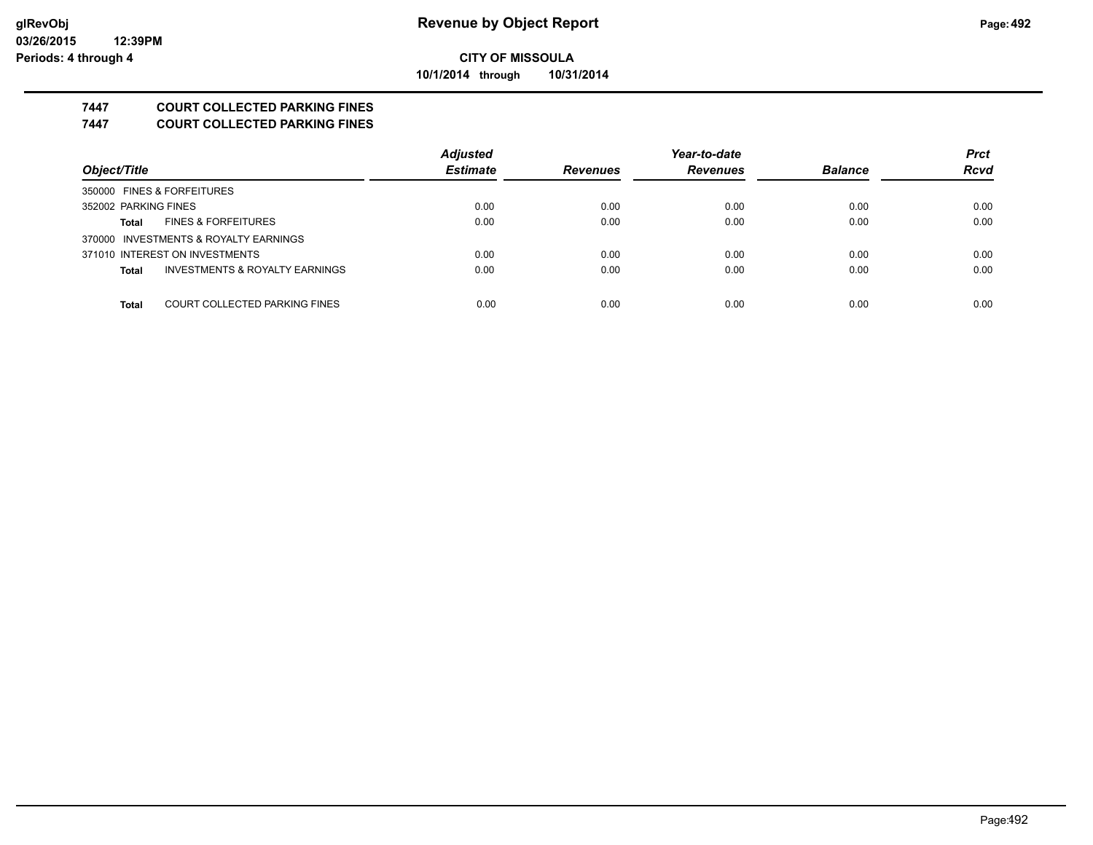**10/1/2014 through 10/31/2014**

# **7447 COURT COLLECTED PARKING FINES**

**7447 COURT COLLECTED PARKING FINES**

|                                                | <b>Adjusted</b> |                 | Year-to-date    |                | <b>Prct</b> |
|------------------------------------------------|-----------------|-----------------|-----------------|----------------|-------------|
| Object/Title                                   | <b>Estimate</b> | <b>Revenues</b> | <b>Revenues</b> | <b>Balance</b> | <b>Rcvd</b> |
| 350000 FINES & FORFEITURES                     |                 |                 |                 |                |             |
| 352002 PARKING FINES                           | 0.00            | 0.00            | 0.00            | 0.00           | 0.00        |
| <b>FINES &amp; FORFEITURES</b><br><b>Total</b> | 0.00            | 0.00            | 0.00            | 0.00           | 0.00        |
| 370000 INVESTMENTS & ROYALTY EARNINGS          |                 |                 |                 |                |             |
| 371010 INTEREST ON INVESTMENTS                 | 0.00            | 0.00            | 0.00            | 0.00           | 0.00        |
| INVESTMENTS & ROYALTY EARNINGS<br><b>Total</b> | 0.00            | 0.00            | 0.00            | 0.00           | 0.00        |
|                                                |                 |                 |                 |                |             |
| COURT COLLECTED PARKING FINES<br><b>Total</b>  | 0.00            | 0.00            | 0.00            | 0.00           | 0.00        |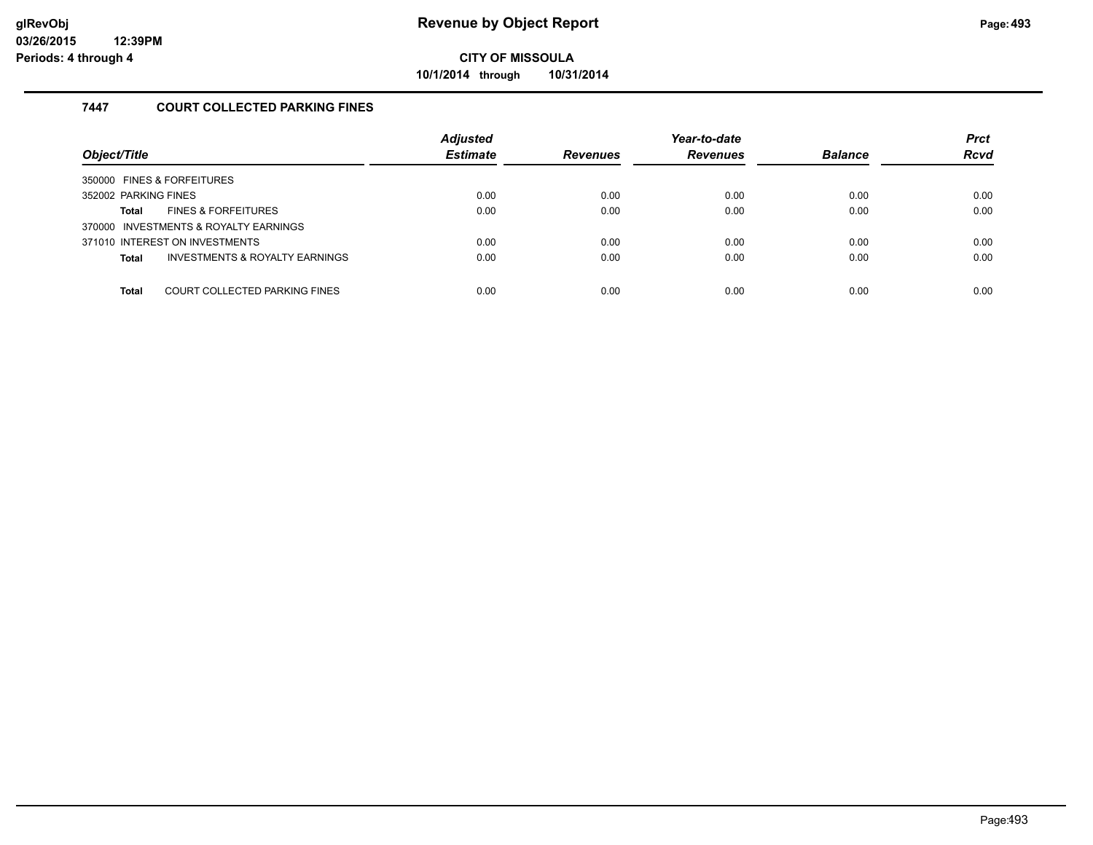**10/1/2014 through 10/31/2014**

### **7447 COURT COLLECTED PARKING FINES**

| Object/Title                                              | <b>Adjusted</b><br><b>Estimate</b> | <b>Revenues</b> | Year-to-date<br><b>Revenues</b> | <b>Balance</b> | <b>Prct</b><br><b>Rcvd</b> |
|-----------------------------------------------------------|------------------------------------|-----------------|---------------------------------|----------------|----------------------------|
| 350000 FINES & FORFEITURES                                |                                    |                 |                                 |                |                            |
| 352002 PARKING FINES                                      | 0.00                               | 0.00            | 0.00                            | 0.00           | 0.00                       |
| <b>FINES &amp; FORFEITURES</b><br>Total                   | 0.00                               | 0.00            | 0.00                            | 0.00           | 0.00                       |
| 370000 INVESTMENTS & ROYALTY EARNINGS                     |                                    |                 |                                 |                |                            |
| 371010 INTEREST ON INVESTMENTS                            | 0.00                               | 0.00            | 0.00                            | 0.00           | 0.00                       |
| <b>INVESTMENTS &amp; ROYALTY EARNINGS</b><br><b>Total</b> | 0.00                               | 0.00            | 0.00                            | 0.00           | 0.00                       |
|                                                           |                                    |                 |                                 |                |                            |
| COURT COLLECTED PARKING FINES<br><b>Total</b>             | 0.00                               | 0.00            | 0.00                            | 0.00           | 0.00                       |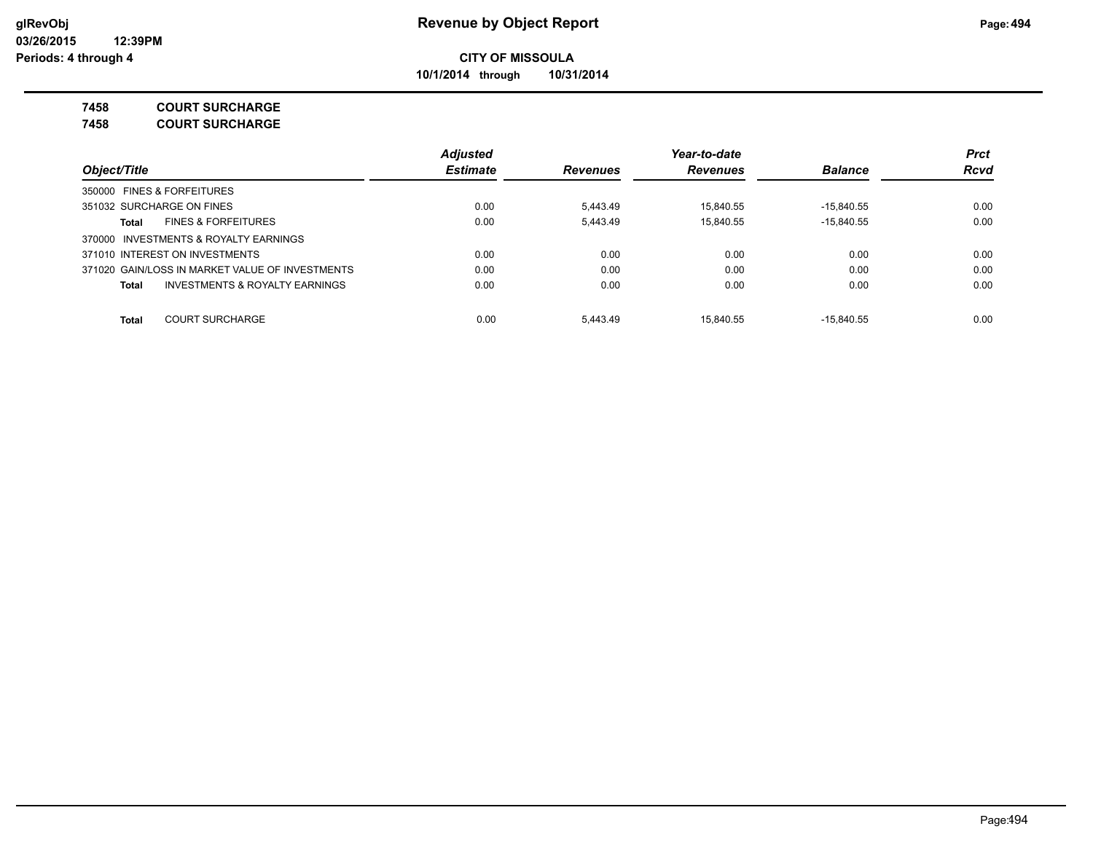**10/1/2014 through 10/31/2014**

**7458 COURT SURCHARGE**

**7458 COURT SURCHARGE**

|                                                           | <b>Adjusted</b> |                 | Year-to-date    |                | <b>Prct</b> |
|-----------------------------------------------------------|-----------------|-----------------|-----------------|----------------|-------------|
| Object/Title                                              | <b>Estimate</b> | <b>Revenues</b> | <b>Revenues</b> | <b>Balance</b> | <b>Rcvd</b> |
| 350000 FINES & FORFEITURES                                |                 |                 |                 |                |             |
| 351032 SURCHARGE ON FINES                                 | 0.00            | 5.443.49        | 15.840.55       | $-15.840.55$   | 0.00        |
| <b>FINES &amp; FORFEITURES</b><br>Total                   | 0.00            | 5.443.49        | 15.840.55       | $-15.840.55$   | 0.00        |
| 370000 INVESTMENTS & ROYALTY EARNINGS                     |                 |                 |                 |                |             |
| 371010 INTEREST ON INVESTMENTS                            | 0.00            | 0.00            | 0.00            | 0.00           | 0.00        |
| 371020 GAIN/LOSS IN MARKET VALUE OF INVESTMENTS           | 0.00            | 0.00            | 0.00            | 0.00           | 0.00        |
| <b>INVESTMENTS &amp; ROYALTY EARNINGS</b><br><b>Total</b> | 0.00            | 0.00            | 0.00            | 0.00           | 0.00        |
| <b>COURT SURCHARGE</b><br><b>Total</b>                    | 0.00            | 5.443.49        | 15.840.55       | $-15.840.55$   | 0.00        |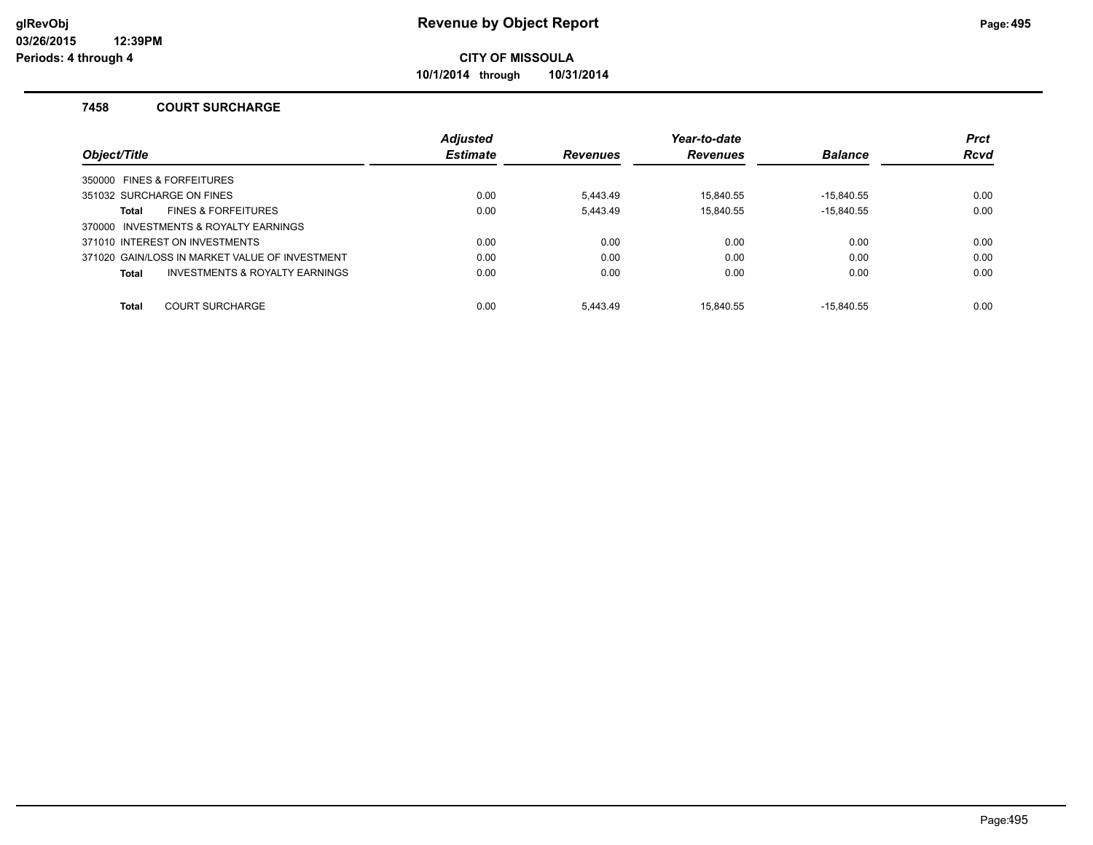**10/1/2014 through 10/31/2014**

### **7458 COURT SURCHARGE**

|                                                    | <b>Adjusted</b> |                 | Year-to-date    |                | <b>Prct</b> |
|----------------------------------------------------|-----------------|-----------------|-----------------|----------------|-------------|
| Object/Title                                       | <b>Estimate</b> | <b>Revenues</b> | <b>Revenues</b> | <b>Balance</b> | <b>Rcvd</b> |
| 350000 FINES & FORFEITURES                         |                 |                 |                 |                |             |
| 351032 SURCHARGE ON FINES                          | 0.00            | 5.443.49        | 15.840.55       | $-15.840.55$   | 0.00        |
| <b>FINES &amp; FORFEITURES</b><br>Total            | 0.00            | 5,443.49        | 15.840.55       | $-15.840.55$   | 0.00        |
| 370000 INVESTMENTS & ROYALTY EARNINGS              |                 |                 |                 |                |             |
| 371010 INTEREST ON INVESTMENTS                     | 0.00            | 0.00            | 0.00            | 0.00           | 0.00        |
| 371020 GAIN/LOSS IN MARKET VALUE OF INVESTMENT     | 0.00            | 0.00            | 0.00            | 0.00           | 0.00        |
| <b>INVESTMENTS &amp; ROYALTY EARNINGS</b><br>Total | 0.00            | 0.00            | 0.00            | 0.00           | 0.00        |
| <b>COURT SURCHARGE</b><br><b>Total</b>             | 0.00            | 5.443.49        | 15.840.55       | $-15.840.55$   | 0.00        |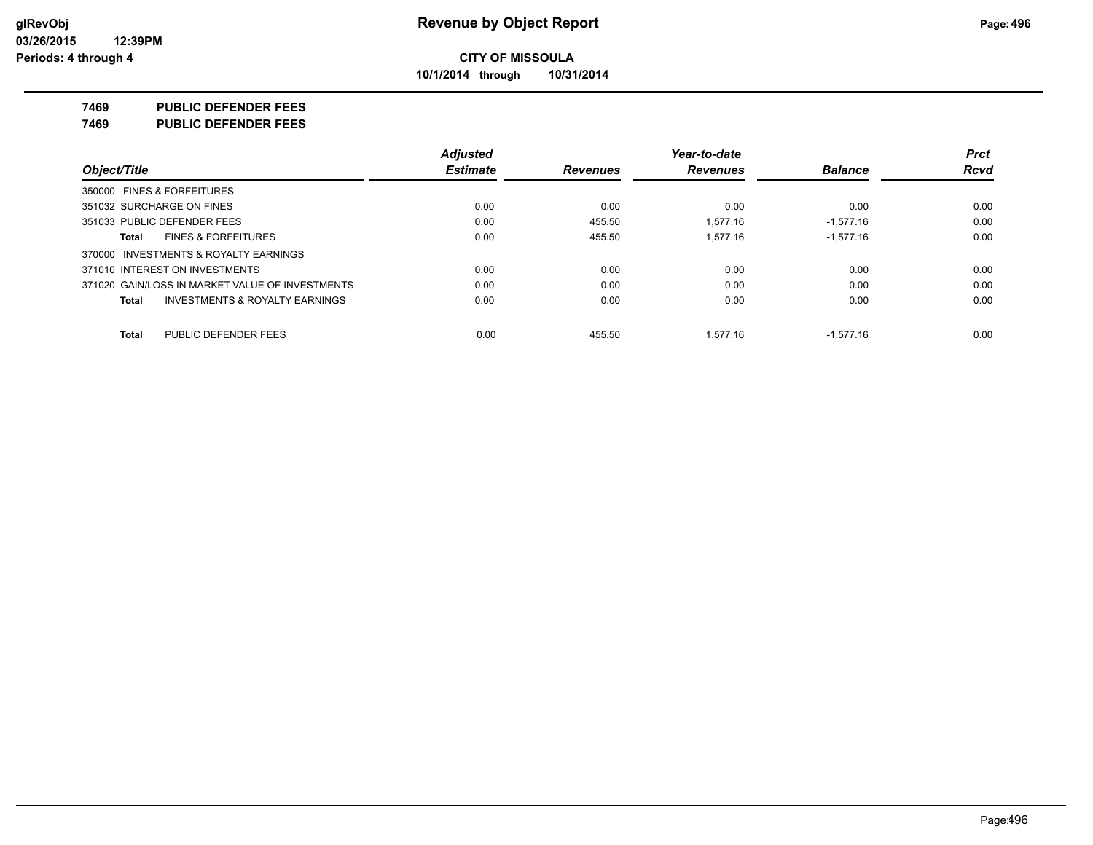**10/1/2014 through 10/31/2014**

### **7469 PUBLIC DEFENDER FEES**

**7469 PUBLIC DEFENDER FEES**

|                                                    | <b>Adjusted</b> |                 | Year-to-date    |                | <b>Prct</b> |
|----------------------------------------------------|-----------------|-----------------|-----------------|----------------|-------------|
| Object/Title                                       | <b>Estimate</b> | <b>Revenues</b> | <b>Revenues</b> | <b>Balance</b> | <b>Rcvd</b> |
| 350000 FINES & FORFEITURES                         |                 |                 |                 |                |             |
| 351032 SURCHARGE ON FINES                          | 0.00            | 0.00            | 0.00            | 0.00           | 0.00        |
| 351033 PUBLIC DEFENDER FEES                        | 0.00            | 455.50          | 1.577.16        | $-1.577.16$    | 0.00        |
| <b>FINES &amp; FORFEITURES</b><br>Total            | 0.00            | 455.50          | 1.577.16        | $-1,577.16$    | 0.00        |
| 370000 INVESTMENTS & ROYALTY EARNINGS              |                 |                 |                 |                |             |
| 371010 INTEREST ON INVESTMENTS                     | 0.00            | 0.00            | 0.00            | 0.00           | 0.00        |
| 371020 GAIN/LOSS IN MARKET VALUE OF INVESTMENTS    | 0.00            | 0.00            | 0.00            | 0.00           | 0.00        |
| <b>INVESTMENTS &amp; ROYALTY EARNINGS</b><br>Total | 0.00            | 0.00            | 0.00            | 0.00           | 0.00        |
| PUBLIC DEFENDER FEES<br>Total                      | 0.00            | 455.50          | 1.577.16        | $-1.577.16$    | 0.00        |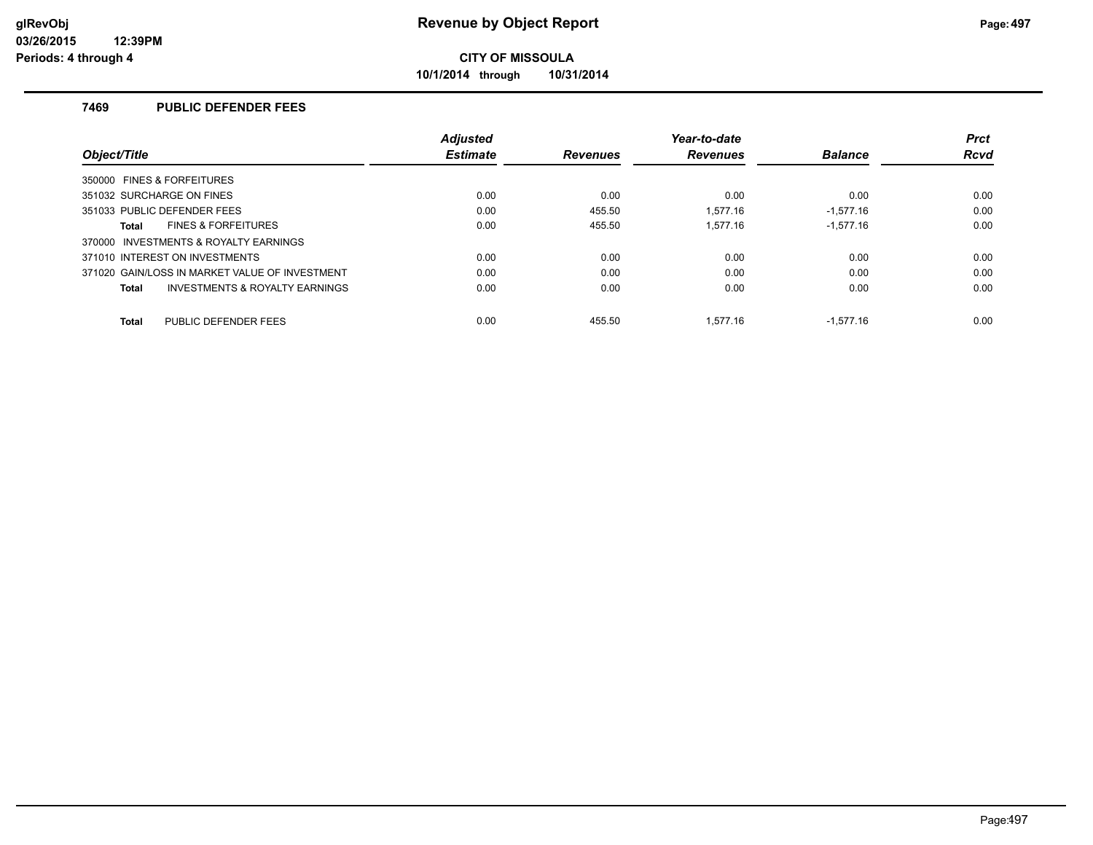**10/1/2014 through 10/31/2014**

### **7469 PUBLIC DEFENDER FEES**

|                                                           | <b>Adjusted</b> |                 | Year-to-date    |                | <b>Prct</b> |
|-----------------------------------------------------------|-----------------|-----------------|-----------------|----------------|-------------|
| Object/Title                                              | <b>Estimate</b> | <b>Revenues</b> | <b>Revenues</b> | <b>Balance</b> | <b>Rcvd</b> |
| 350000 FINES & FORFEITURES                                |                 |                 |                 |                |             |
| 351032 SURCHARGE ON FINES                                 | 0.00            | 0.00            | 0.00            | 0.00           | 0.00        |
| 351033 PUBLIC DEFENDER FEES                               | 0.00            | 455.50          | 1.577.16        | $-1,577.16$    | 0.00        |
| <b>FINES &amp; FORFEITURES</b><br>Total                   | 0.00            | 455.50          | 1.577.16        | $-1.577.16$    | 0.00        |
| 370000 INVESTMENTS & ROYALTY EARNINGS                     |                 |                 |                 |                |             |
| 371010 INTEREST ON INVESTMENTS                            | 0.00            | 0.00            | 0.00            | 0.00           | 0.00        |
| 371020 GAIN/LOSS IN MARKET VALUE OF INVESTMENT            | 0.00            | 0.00            | 0.00            | 0.00           | 0.00        |
| <b>INVESTMENTS &amp; ROYALTY EARNINGS</b><br><b>Total</b> | 0.00            | 0.00            | 0.00            | 0.00           | 0.00        |
| PUBLIC DEFENDER FEES<br><b>Total</b>                      | 0.00            | 455.50          | 1.577.16        | $-1.577.16$    | 0.00        |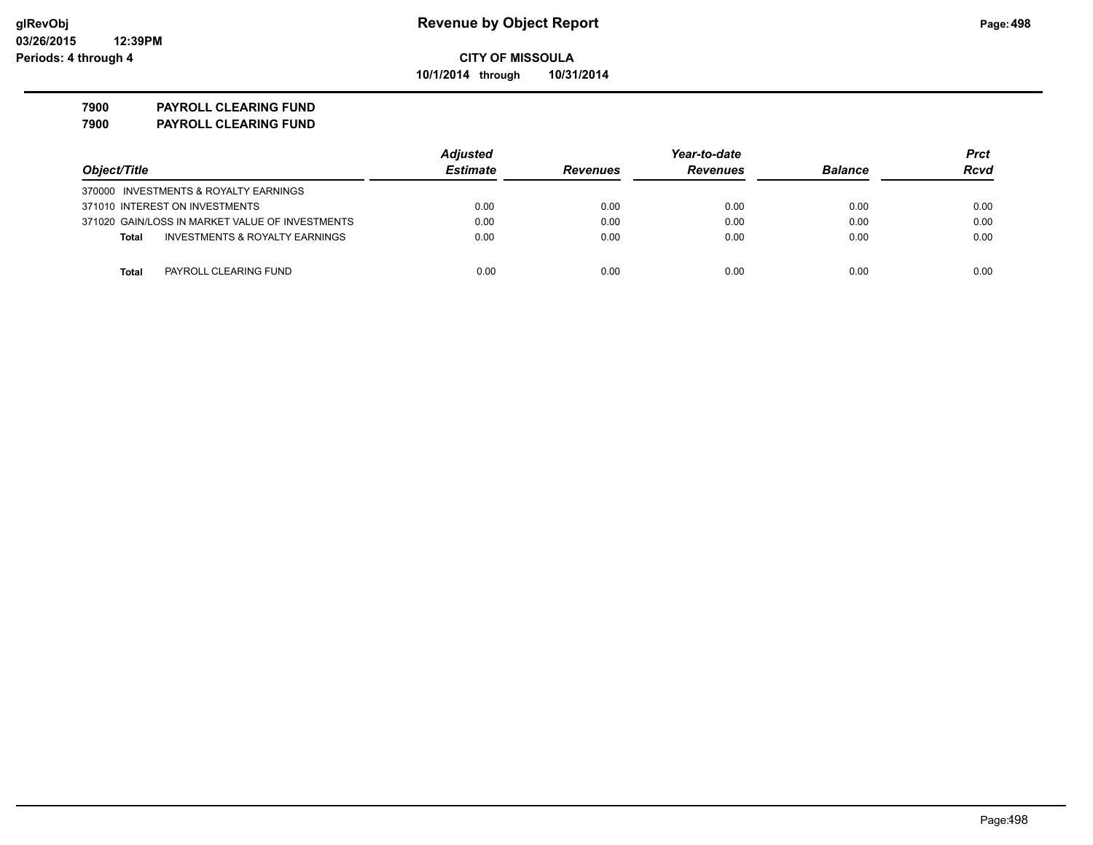**10/1/2014 through 10/31/2014**

## **7900 PAYROLL CLEARING FUND**

**7900 PAYROLL CLEARING FUND**

|                                                 | <b>Adjusted</b> |                 | Year-to-date    |                |             |
|-------------------------------------------------|-----------------|-----------------|-----------------|----------------|-------------|
| Object/Title                                    | <b>Estimate</b> | <b>Revenues</b> | <b>Revenues</b> | <b>Balance</b> | <b>Rcvd</b> |
| 370000 INVESTMENTS & ROYALTY EARNINGS           |                 |                 |                 |                |             |
| 371010 INTEREST ON INVESTMENTS                  | 0.00            | 0.00            | 0.00            | 0.00           | 0.00        |
| 371020 GAIN/LOSS IN MARKET VALUE OF INVESTMENTS | 0.00            | 0.00            | 0.00            | 0.00           | 0.00        |
| INVESTMENTS & ROYALTY EARNINGS<br><b>Total</b>  | 0.00            | 0.00            | 0.00            | 0.00           | 0.00        |
|                                                 |                 |                 |                 |                |             |
| PAYROLL CLEARING FUND<br>Total                  | 0.00            | 0.00            | 0.00            | 0.00           | 0.00        |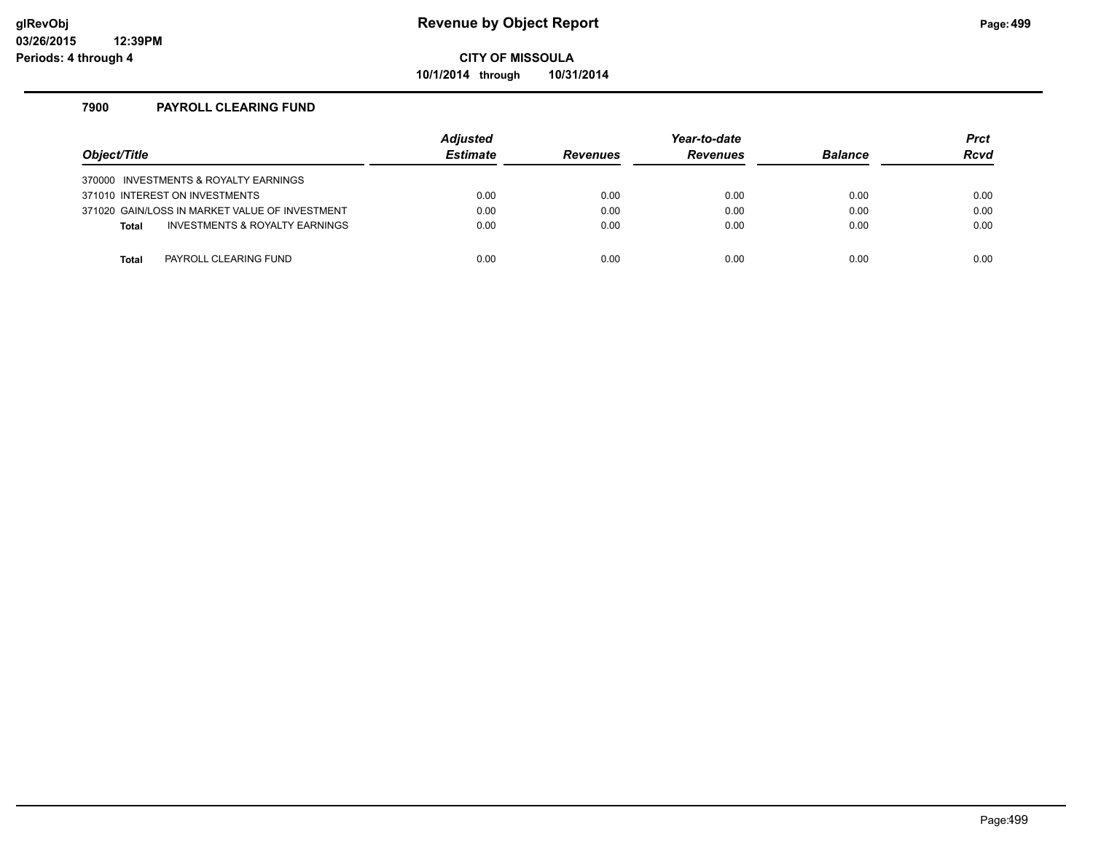### **glRevObj Revenue by Object Report Page:499**

**CITY OF MISSOULA**

**10/1/2014 through 10/31/2014**

### **7900 PAYROLL CLEARING FUND**

| Object/Title                                   | <b>Adjusted</b><br><b>Estimate</b> | <b>Revenues</b> | Year-to-date<br><b>Revenues</b> | <b>Balance</b> | <b>Prct</b><br><b>Rcvd</b> |
|------------------------------------------------|------------------------------------|-----------------|---------------------------------|----------------|----------------------------|
| 370000 INVESTMENTS & ROYALTY EARNINGS          |                                    |                 |                                 |                |                            |
| 371010 INTEREST ON INVESTMENTS                 | 0.00                               | 0.00            | 0.00                            | 0.00           | 0.00                       |
| 371020 GAIN/LOSS IN MARKET VALUE OF INVESTMENT | 0.00                               | 0.00            | 0.00                            | 0.00           | 0.00                       |
| INVESTMENTS & ROYALTY EARNINGS<br><b>Total</b> | 0.00                               | 0.00            | 0.00                            | 0.00           | 0.00                       |
|                                                |                                    |                 |                                 |                |                            |
| PAYROLL CLEARING FUND<br>Total                 | 0.00                               | 0.00            | 0.00                            | 0.00           | 0.00                       |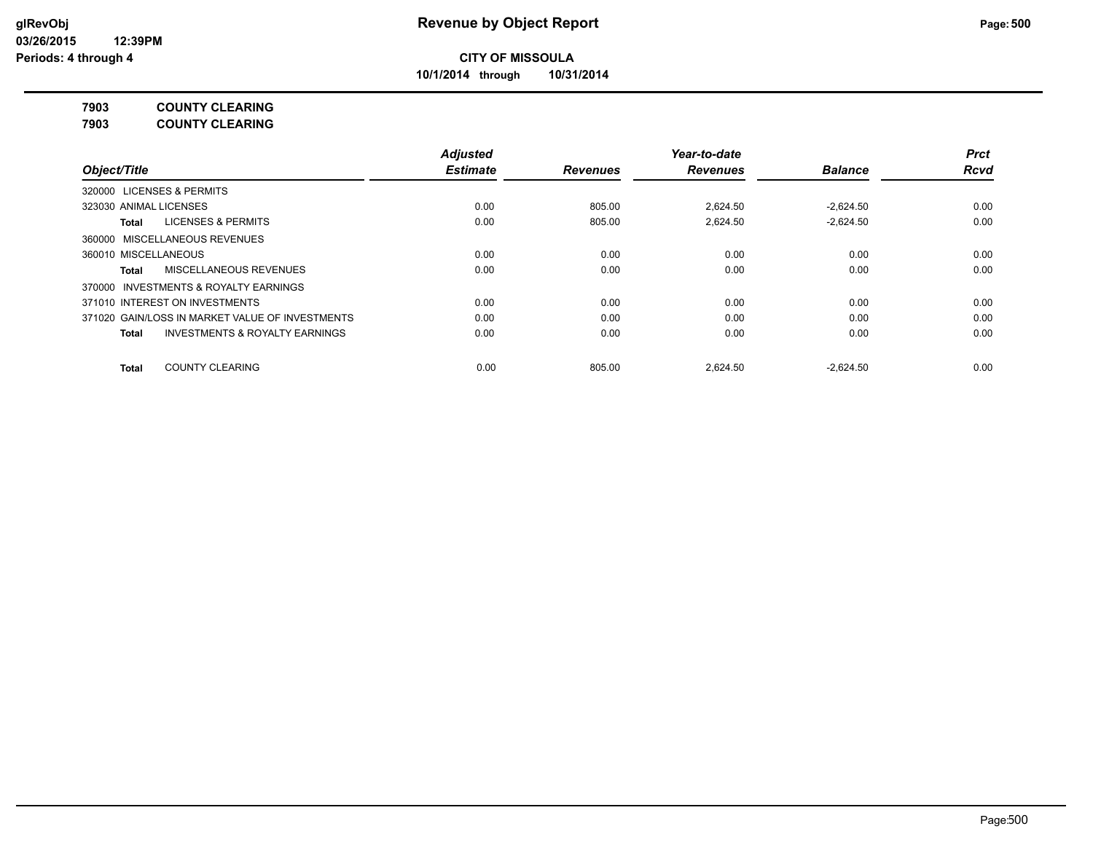**10/1/2014 through 10/31/2014**

## **7903 COUNTY CLEARING**

**7903 COUNTY CLEARING**

|                                                    | <b>Adjusted</b> |                 | Year-to-date    |                | <b>Prct</b> |
|----------------------------------------------------|-----------------|-----------------|-----------------|----------------|-------------|
| Object/Title                                       | <b>Estimate</b> | <b>Revenues</b> | <b>Revenues</b> | <b>Balance</b> | <b>Rcvd</b> |
| 320000 LICENSES & PERMITS                          |                 |                 |                 |                |             |
| 323030 ANIMAL LICENSES                             | 0.00            | 805.00          | 2.624.50        | $-2.624.50$    | 0.00        |
| <b>LICENSES &amp; PERMITS</b><br>Total             | 0.00            | 805.00          | 2,624.50        | $-2,624.50$    | 0.00        |
| 360000 MISCELLANEOUS REVENUES                      |                 |                 |                 |                |             |
| 360010 MISCELLANEOUS                               | 0.00            | 0.00            | 0.00            | 0.00           | 0.00        |
| MISCELLANEOUS REVENUES<br><b>Total</b>             | 0.00            | 0.00            | 0.00            | 0.00           | 0.00        |
| 370000 INVESTMENTS & ROYALTY EARNINGS              |                 |                 |                 |                |             |
| 371010 INTEREST ON INVESTMENTS                     | 0.00            | 0.00            | 0.00            | 0.00           | 0.00        |
| 371020 GAIN/LOSS IN MARKET VALUE OF INVESTMENTS    | 0.00            | 0.00            | 0.00            | 0.00           | 0.00        |
| <b>INVESTMENTS &amp; ROYALTY EARNINGS</b><br>Total | 0.00            | 0.00            | 0.00            | 0.00           | 0.00        |
| <b>COUNTY CLEARING</b><br><b>Total</b>             | 0.00            | 805.00          | 2.624.50        | $-2,624.50$    | 0.00        |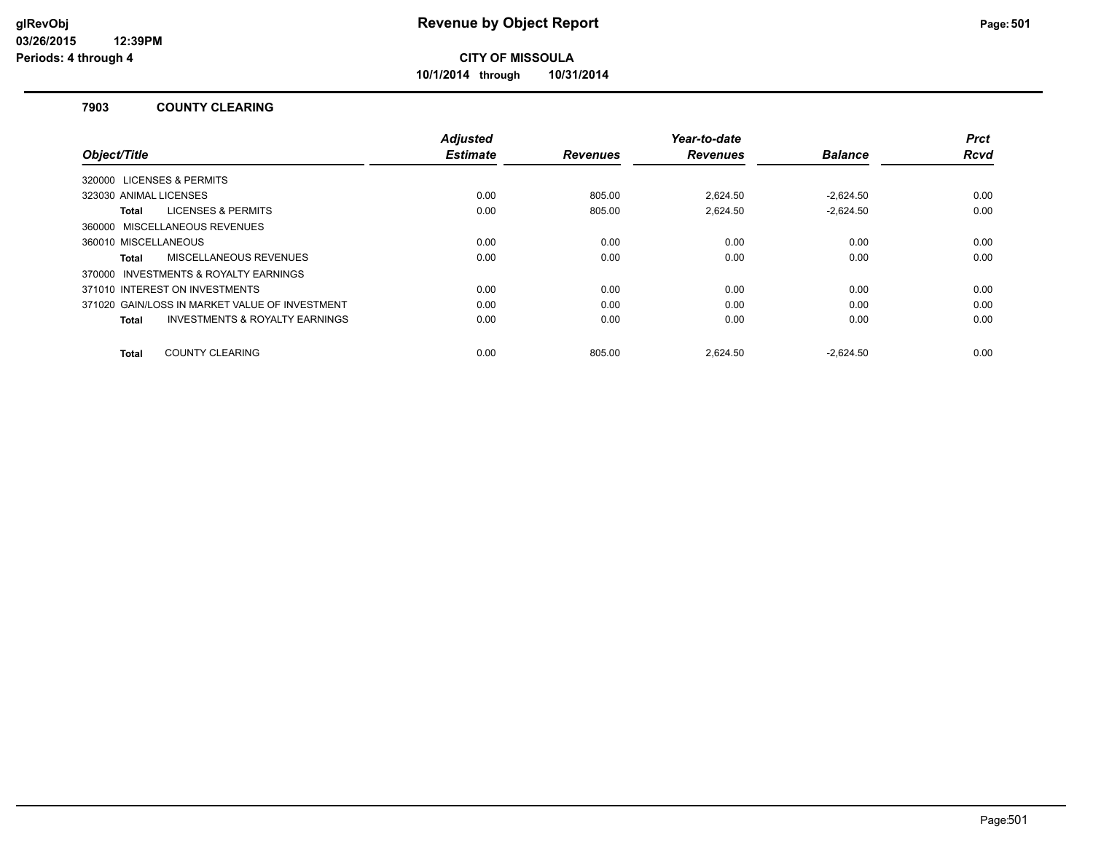**10/1/2014 through 10/31/2014**

### **7903 COUNTY CLEARING**

|                                                    | <b>Adjusted</b> |                 | Year-to-date    |                | <b>Prct</b> |
|----------------------------------------------------|-----------------|-----------------|-----------------|----------------|-------------|
| Object/Title                                       | <b>Estimate</b> | <b>Revenues</b> | <b>Revenues</b> | <b>Balance</b> | <b>Rcvd</b> |
| 320000 LICENSES & PERMITS                          |                 |                 |                 |                |             |
| 323030 ANIMAL LICENSES                             | 0.00            | 805.00          | 2.624.50        | $-2.624.50$    | 0.00        |
| <b>LICENSES &amp; PERMITS</b><br>Total             | 0.00            | 805.00          | 2.624.50        | $-2.624.50$    | 0.00        |
| 360000 MISCELLANEOUS REVENUES                      |                 |                 |                 |                |             |
| 360010 MISCELLANEOUS                               | 0.00            | 0.00            | 0.00            | 0.00           | 0.00        |
| MISCELLANEOUS REVENUES<br>Total                    | 0.00            | 0.00            | 0.00            | 0.00           | 0.00        |
| 370000 INVESTMENTS & ROYALTY EARNINGS              |                 |                 |                 |                |             |
| 371010 INTEREST ON INVESTMENTS                     | 0.00            | 0.00            | 0.00            | 0.00           | 0.00        |
| 371020 GAIN/LOSS IN MARKET VALUE OF INVESTMENT     | 0.00            | 0.00            | 0.00            | 0.00           | 0.00        |
| <b>INVESTMENTS &amp; ROYALTY EARNINGS</b><br>Total | 0.00            | 0.00            | 0.00            | 0.00           | 0.00        |
|                                                    |                 |                 |                 |                |             |
| <b>COUNTY CLEARING</b><br>Total                    | 0.00            | 805.00          | 2.624.50        | $-2.624.50$    | 0.00        |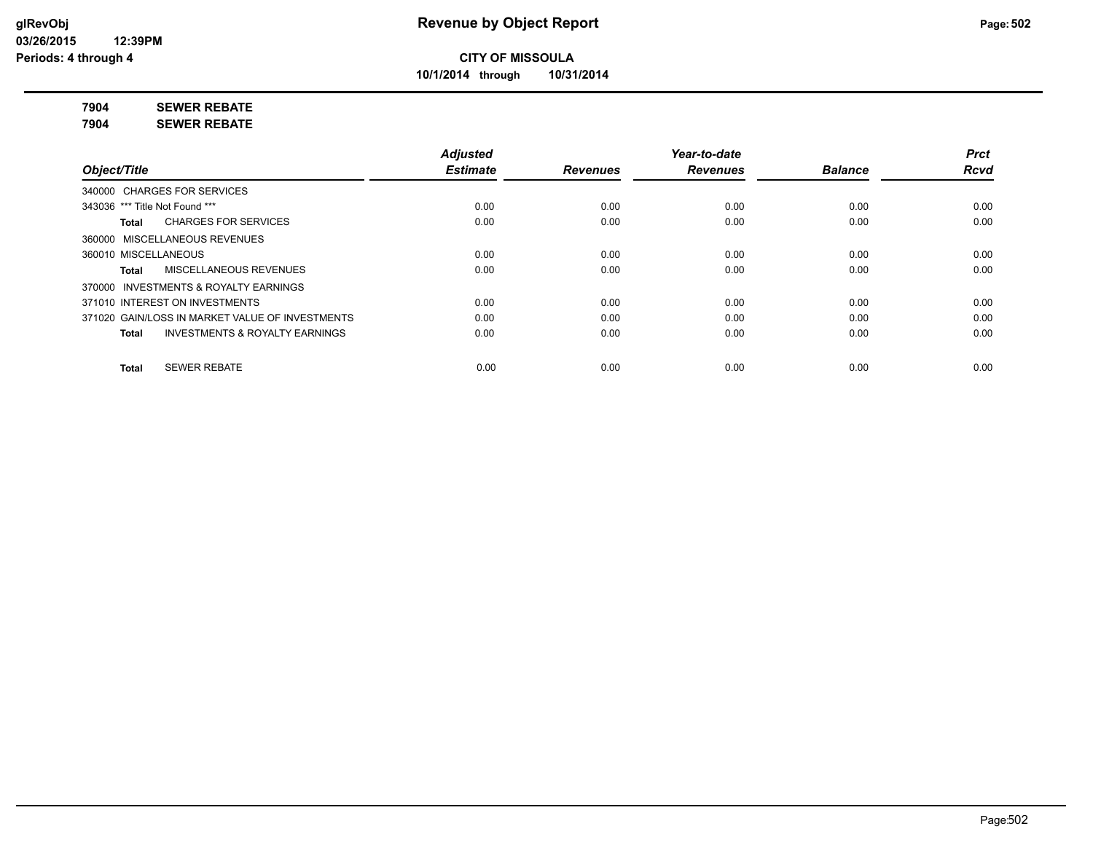**10/1/2014 through 10/31/2014**

**7904 SEWER REBATE**

**7904 SEWER REBATE**

|                                                           | <b>Adjusted</b> |                 | Year-to-date    |                | <b>Prct</b> |
|-----------------------------------------------------------|-----------------|-----------------|-----------------|----------------|-------------|
| Object/Title                                              | <b>Estimate</b> | <b>Revenues</b> | <b>Revenues</b> | <b>Balance</b> | <b>Rcvd</b> |
| 340000 CHARGES FOR SERVICES                               |                 |                 |                 |                |             |
| 343036 *** Title Not Found ***                            | 0.00            | 0.00            | 0.00            | 0.00           | 0.00        |
| <b>CHARGES FOR SERVICES</b><br>Total                      | 0.00            | 0.00            | 0.00            | 0.00           | 0.00        |
| 360000 MISCELLANEOUS REVENUES                             |                 |                 |                 |                |             |
| 360010 MISCELLANEOUS                                      | 0.00            | 0.00            | 0.00            | 0.00           | 0.00        |
| <b>MISCELLANEOUS REVENUES</b><br>Total                    | 0.00            | 0.00            | 0.00            | 0.00           | 0.00        |
| 370000 INVESTMENTS & ROYALTY EARNINGS                     |                 |                 |                 |                |             |
| 371010 INTEREST ON INVESTMENTS                            | 0.00            | 0.00            | 0.00            | 0.00           | 0.00        |
| 371020 GAIN/LOSS IN MARKET VALUE OF INVESTMENTS           | 0.00            | 0.00            | 0.00            | 0.00           | 0.00        |
| <b>INVESTMENTS &amp; ROYALTY EARNINGS</b><br><b>Total</b> | 0.00            | 0.00            | 0.00            | 0.00           | 0.00        |
| <b>SEWER REBATE</b><br><b>Total</b>                       | 0.00            | 0.00            | 0.00            | 0.00           | 0.00        |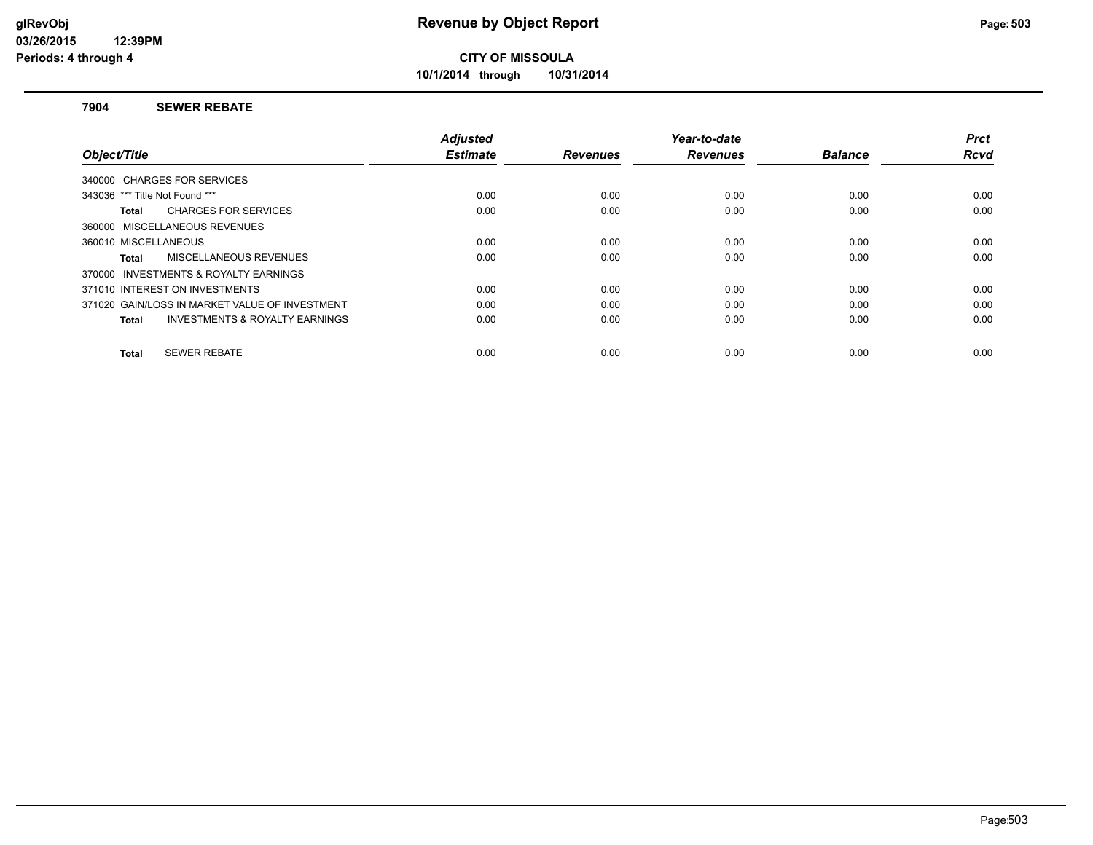**10/1/2014 through 10/31/2014**

#### **7904 SEWER REBATE**

|                                                    | <b>Adjusted</b> |                 | Year-to-date    |                | <b>Prct</b> |
|----------------------------------------------------|-----------------|-----------------|-----------------|----------------|-------------|
| Object/Title                                       | <b>Estimate</b> | <b>Revenues</b> | <b>Revenues</b> | <b>Balance</b> | <b>Rcvd</b> |
| 340000 CHARGES FOR SERVICES                        |                 |                 |                 |                |             |
| 343036 *** Title Not Found ***                     | 0.00            | 0.00            | 0.00            | 0.00           | 0.00        |
| <b>CHARGES FOR SERVICES</b><br>Total               | 0.00            | 0.00            | 0.00            | 0.00           | 0.00        |
| 360000 MISCELLANEOUS REVENUES                      |                 |                 |                 |                |             |
| 360010 MISCELLANEOUS                               | 0.00            | 0.00            | 0.00            | 0.00           | 0.00        |
| MISCELLANEOUS REVENUES<br>Total                    | 0.00            | 0.00            | 0.00            | 0.00           | 0.00        |
| 370000 INVESTMENTS & ROYALTY EARNINGS              |                 |                 |                 |                |             |
| 371010 INTEREST ON INVESTMENTS                     | 0.00            | 0.00            | 0.00            | 0.00           | 0.00        |
| 371020 GAIN/LOSS IN MARKET VALUE OF INVESTMENT     | 0.00            | 0.00            | 0.00            | 0.00           | 0.00        |
| <b>INVESTMENTS &amp; ROYALTY EARNINGS</b><br>Total | 0.00            | 0.00            | 0.00            | 0.00           | 0.00        |
|                                                    |                 |                 |                 |                |             |
| <b>SEWER REBATE</b><br>Total                       | 0.00            | 0.00            | 0.00            | 0.00           | 0.00        |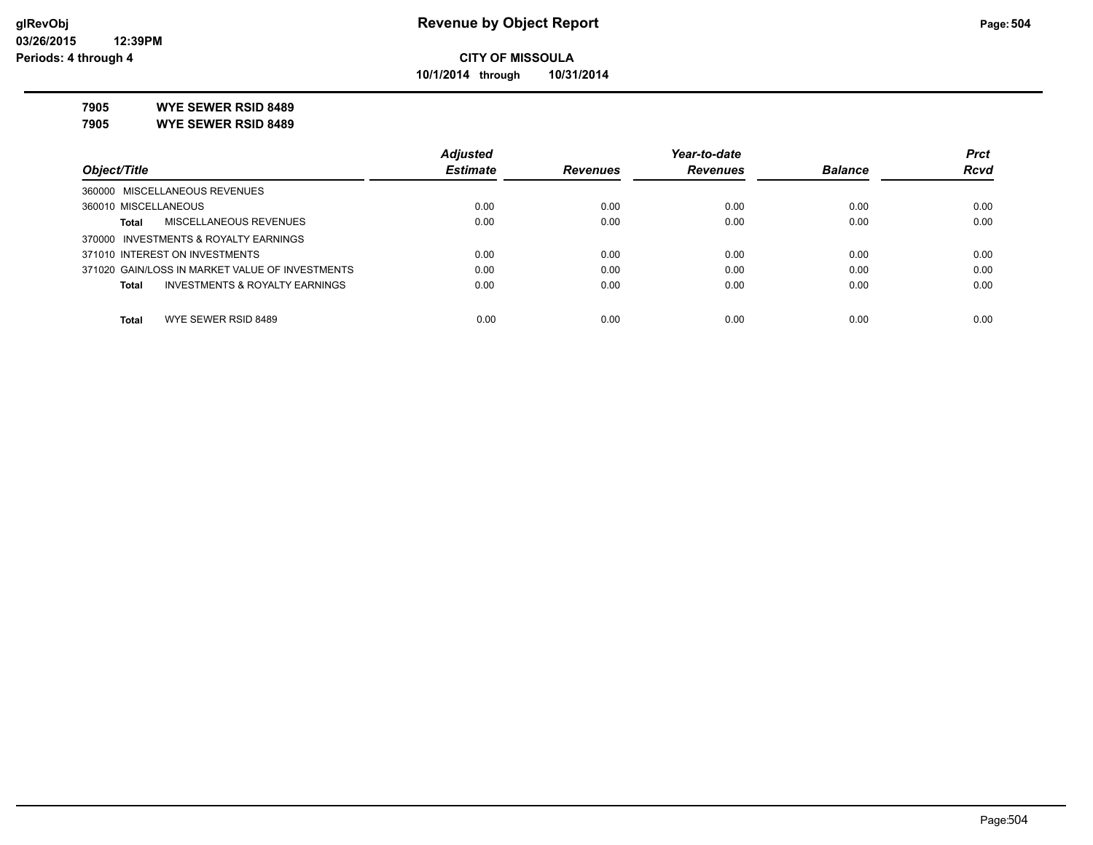**10/1/2014 through 10/31/2014**

**7905 WYE SEWER RSID 8489**

**7905 WYE SEWER RSID 8489**

|                                                 | <b>Adjusted</b> |                 | Year-to-date    |                | <b>Prct</b> |
|-------------------------------------------------|-----------------|-----------------|-----------------|----------------|-------------|
| Object/Title                                    | <b>Estimate</b> | <b>Revenues</b> | <b>Revenues</b> | <b>Balance</b> | <b>Rcvd</b> |
| 360000 MISCELLANEOUS REVENUES                   |                 |                 |                 |                |             |
| 360010 MISCELLANEOUS                            | 0.00            | 0.00            | 0.00            | 0.00           | 0.00        |
| MISCELLANEOUS REVENUES<br><b>Total</b>          | 0.00            | 0.00            | 0.00            | 0.00           | 0.00        |
| 370000 INVESTMENTS & ROYALTY EARNINGS           |                 |                 |                 |                |             |
| 371010 INTEREST ON INVESTMENTS                  | 0.00            | 0.00            | 0.00            | 0.00           | 0.00        |
| 371020 GAIN/LOSS IN MARKET VALUE OF INVESTMENTS | 0.00            | 0.00            | 0.00            | 0.00           | 0.00        |
| INVESTMENTS & ROYALTY EARNINGS<br><b>Total</b>  | 0.00            | 0.00            | 0.00            | 0.00           | 0.00        |
| WYE SEWER RSID 8489<br><b>Total</b>             | 0.00            | 0.00            | 0.00            | 0.00           | 0.00        |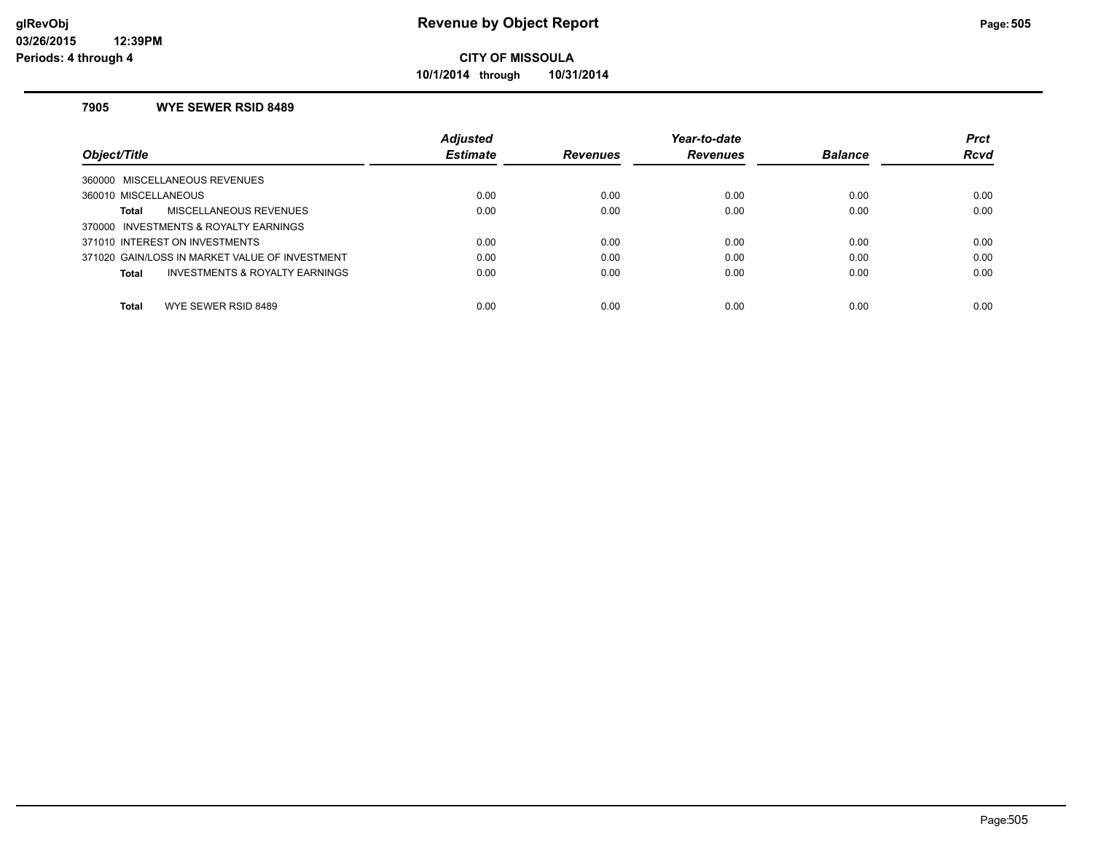**10/1/2014 through 10/31/2014**

#### **7905 WYE SEWER RSID 8489**

|                                                     | <b>Adjusted</b> |                 | Year-to-date    |                | <b>Prct</b> |
|-----------------------------------------------------|-----------------|-----------------|-----------------|----------------|-------------|
| Object/Title                                        | <b>Estimate</b> | <b>Revenues</b> | <b>Revenues</b> | <b>Balance</b> | <b>Rcvd</b> |
| MISCELLANEOUS REVENUES<br>360000                    |                 |                 |                 |                |             |
| 360010 MISCELLANEOUS                                | 0.00            | 0.00            | 0.00            | 0.00           | 0.00        |
| MISCELLANEOUS REVENUES<br>Total                     | 0.00            | 0.00            | 0.00            | 0.00           | 0.00        |
| <b>INVESTMENTS &amp; ROYALTY EARNINGS</b><br>370000 |                 |                 |                 |                |             |
| 371010 INTEREST ON INVESTMENTS                      | 0.00            | 0.00            | 0.00            | 0.00           | 0.00        |
| 371020 GAIN/LOSS IN MARKET VALUE OF INVESTMENT      | 0.00            | 0.00            | 0.00            | 0.00           | 0.00        |
| <b>INVESTMENTS &amp; ROYALTY EARNINGS</b><br>Total  | 0.00            | 0.00            | 0.00            | 0.00           | 0.00        |
| Total<br>WYE SEWER RSID 8489                        | 0.00            | 0.00            | 0.00            | 0.00           | 0.00        |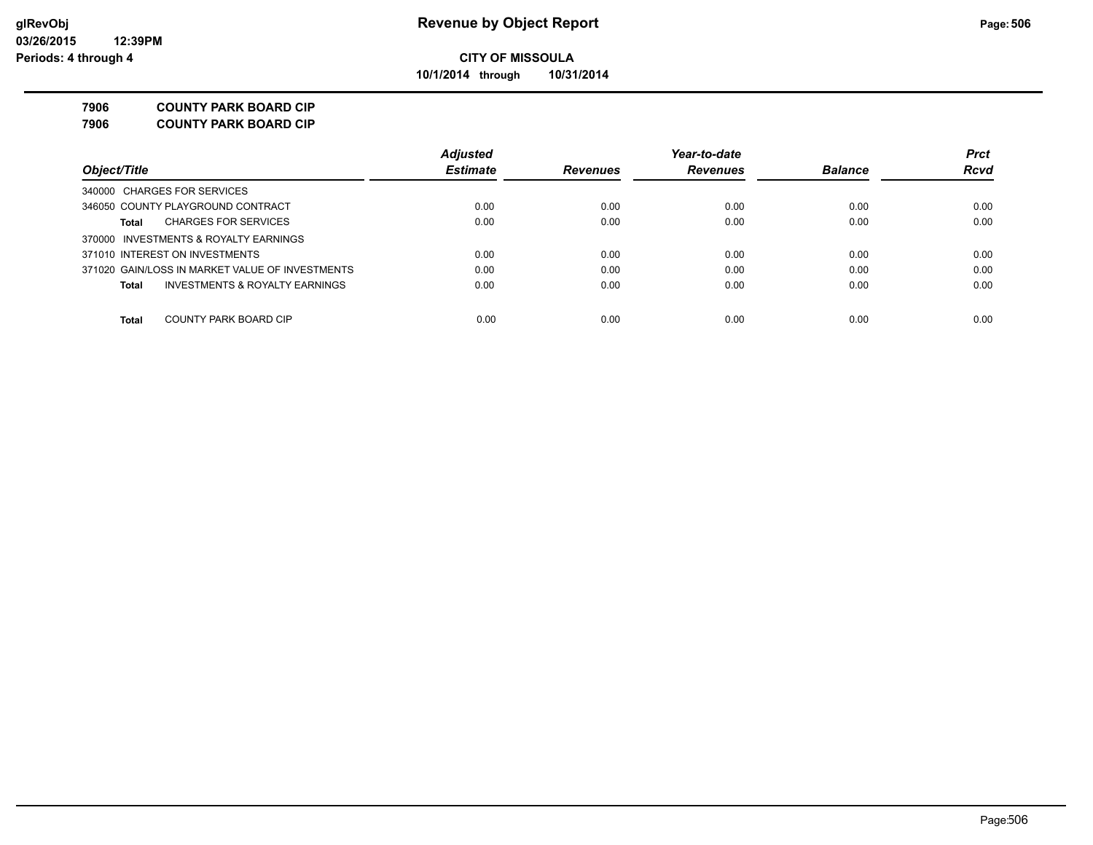**10/1/2014 through 10/31/2014**

#### **7906 COUNTY PARK BOARD CIP**

**7906 COUNTY PARK BOARD CIP**

|                                                 | <b>Adjusted</b> |                 | Year-to-date    |                | <b>Prct</b> |
|-------------------------------------------------|-----------------|-----------------|-----------------|----------------|-------------|
| Object/Title                                    | <b>Estimate</b> | <b>Revenues</b> | <b>Revenues</b> | <b>Balance</b> | <b>Rcvd</b> |
| 340000 CHARGES FOR SERVICES                     |                 |                 |                 |                |             |
| 346050 COUNTY PLAYGROUND CONTRACT               | 0.00            | 0.00            | 0.00            | 0.00           | 0.00        |
| <b>CHARGES FOR SERVICES</b><br>Total            | 0.00            | 0.00            | 0.00            | 0.00           | 0.00        |
| 370000 INVESTMENTS & ROYALTY EARNINGS           |                 |                 |                 |                |             |
| 371010 INTEREST ON INVESTMENTS                  | 0.00            | 0.00            | 0.00            | 0.00           | 0.00        |
| 371020 GAIN/LOSS IN MARKET VALUE OF INVESTMENTS | 0.00            | 0.00            | 0.00            | 0.00           | 0.00        |
| INVESTMENTS & ROYALTY EARNINGS<br>Total         | 0.00            | 0.00            | 0.00            | 0.00           | 0.00        |
| COUNTY PARK BOARD CIP<br><b>Total</b>           | 0.00            | 0.00            | 0.00            | 0.00           | 0.00        |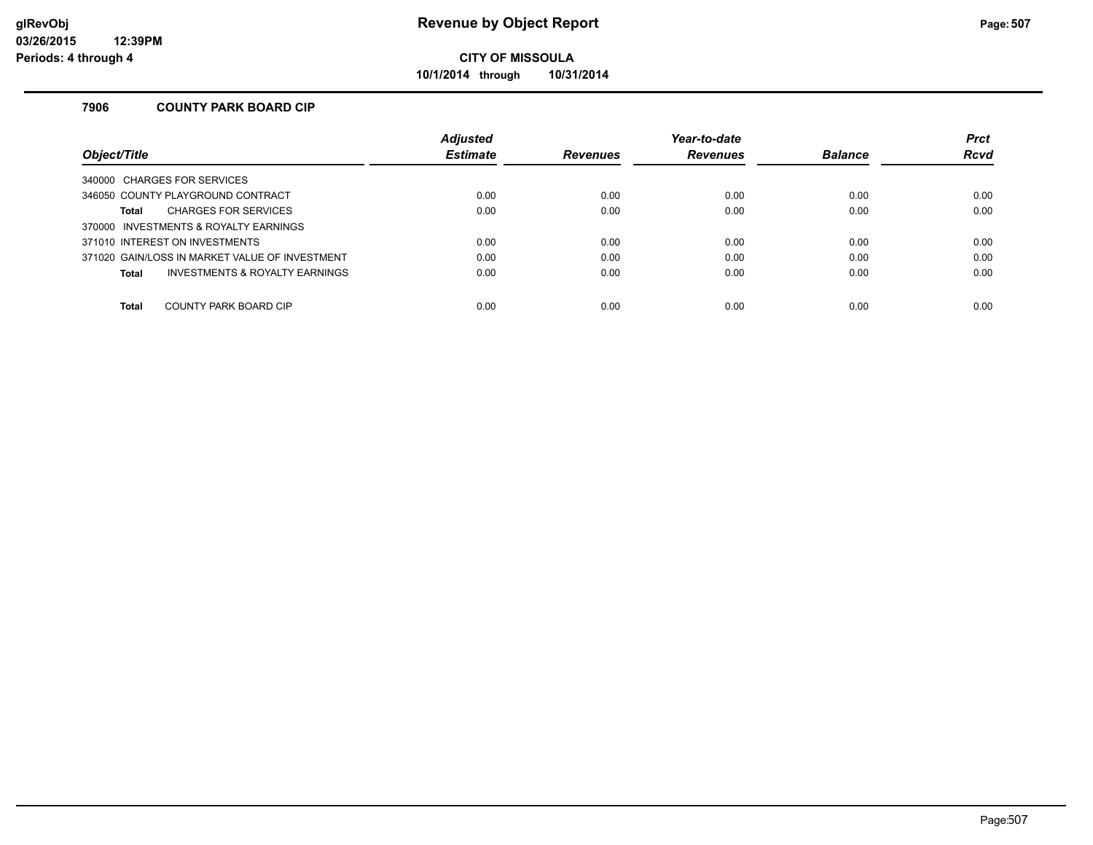**10/1/2014 through 10/31/2014**

#### **7906 COUNTY PARK BOARD CIP**

|                                                | <b>Adjusted</b> |                 | Year-to-date    |                | <b>Prct</b> |
|------------------------------------------------|-----------------|-----------------|-----------------|----------------|-------------|
| Obiect/Title                                   | <b>Estimate</b> | <b>Revenues</b> | <b>Revenues</b> | <b>Balance</b> | <b>Rcvd</b> |
| 340000 CHARGES FOR SERVICES                    |                 |                 |                 |                |             |
| 346050 COUNTY PLAYGROUND CONTRACT              | 0.00            | 0.00            | 0.00            | 0.00           | 0.00        |
| <b>CHARGES FOR SERVICES</b><br><b>Total</b>    | 0.00            | 0.00            | 0.00            | 0.00           | 0.00        |
| 370000 INVESTMENTS & ROYALTY EARNINGS          |                 |                 |                 |                |             |
| 371010 INTEREST ON INVESTMENTS                 | 0.00            | 0.00            | 0.00            | 0.00           | 0.00        |
| 371020 GAIN/LOSS IN MARKET VALUE OF INVESTMENT | 0.00            | 0.00            | 0.00            | 0.00           | 0.00        |
| INVESTMENTS & ROYALTY EARNINGS<br><b>Total</b> | 0.00            | 0.00            | 0.00            | 0.00           | 0.00        |
|                                                |                 |                 |                 |                |             |
| COUNTY PARK BOARD CIP<br><b>Total</b>          | 0.00            | 0.00            | 0.00            | 0.00           | 0.00        |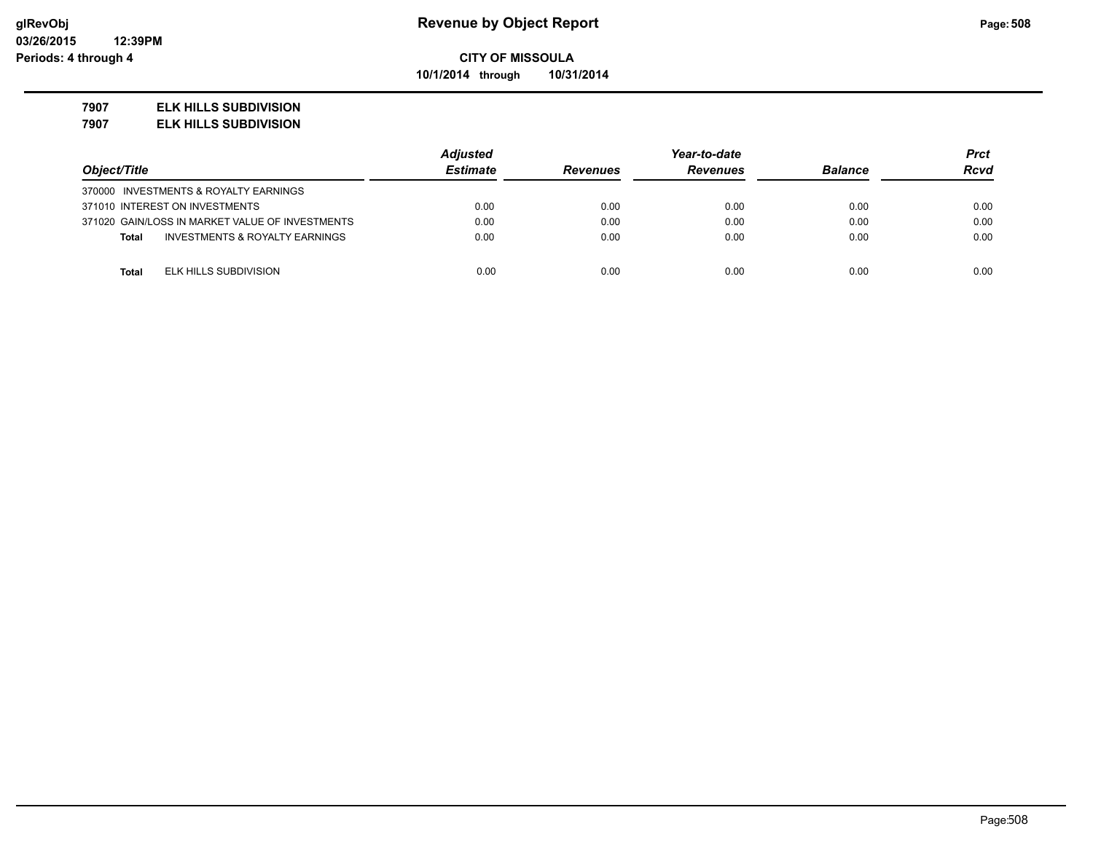**10/1/2014 through 10/31/2014**

#### **7907 ELK HILLS SUBDIVISION**

**7907 ELK HILLS SUBDIVISION**

|                                                 | <b>Adjusted</b> | Year-to-date    |                 |                | Prct        |
|-------------------------------------------------|-----------------|-----------------|-----------------|----------------|-------------|
| Object/Title                                    | <b>Estimate</b> | <b>Revenues</b> | <b>Revenues</b> | <b>Balance</b> | <b>Rcvd</b> |
| 370000 INVESTMENTS & ROYALTY EARNINGS           |                 |                 |                 |                |             |
| 371010 INTEREST ON INVESTMENTS                  | 0.00            | 0.00            | 0.00            | 0.00           | 0.00        |
| 371020 GAIN/LOSS IN MARKET VALUE OF INVESTMENTS | 0.00            | 0.00            | 0.00            | 0.00           | 0.00        |
| INVESTMENTS & ROYALTY EARNINGS<br><b>Total</b>  | 0.00            | 0.00            | 0.00            | 0.00           | 0.00        |
|                                                 |                 |                 |                 |                |             |
| ELK HILLS SUBDIVISION<br><b>Total</b>           | 0.00            | 0.00            | 0.00            | 0.00           | 0.00        |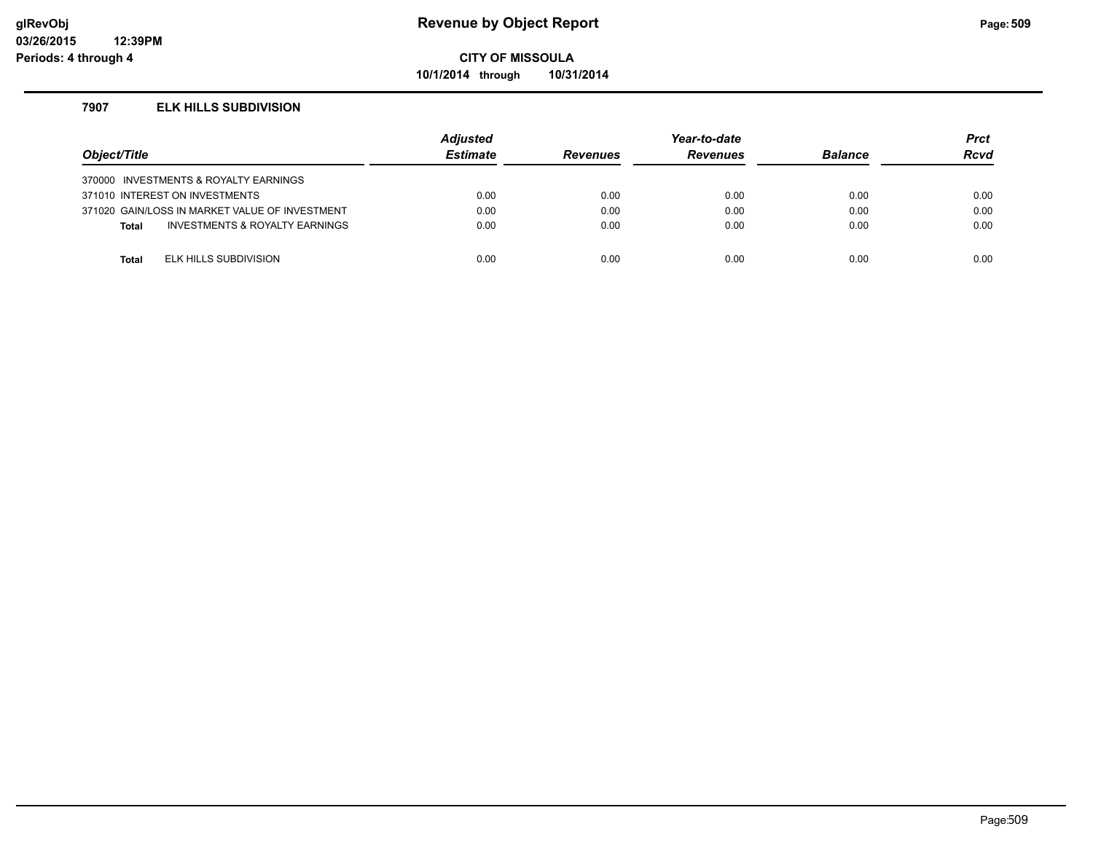**10/1/2014 through 10/31/2014**

#### **7907 ELK HILLS SUBDIVISION**

| Object/Title |                                                | <b>Adiusted</b><br><b>Estimate</b> | <b>Revenues</b> | Year-to-date<br><b>Revenues</b> | <b>Balance</b> | <b>Prct</b><br><b>Rcvd</b> |
|--------------|------------------------------------------------|------------------------------------|-----------------|---------------------------------|----------------|----------------------------|
|              | 370000 INVESTMENTS & ROYALTY EARNINGS          |                                    |                 |                                 |                |                            |
|              | 371010 INTEREST ON INVESTMENTS                 | 0.00                               | 0.00            | 0.00                            | 0.00           | 0.00                       |
|              | 371020 GAIN/LOSS IN MARKET VALUE OF INVESTMENT | 0.00                               | 0.00            | 0.00                            | 0.00           | 0.00                       |
| <b>Total</b> | INVESTMENTS & ROYALTY EARNINGS                 | 0.00                               | 0.00            | 0.00                            | 0.00           | 0.00                       |
|              |                                                |                                    |                 |                                 |                |                            |
| <b>Total</b> | ELK HILLS SUBDIVISION                          | 0.00                               | 0.00            | 0.00                            | 0.00           | 0.00                       |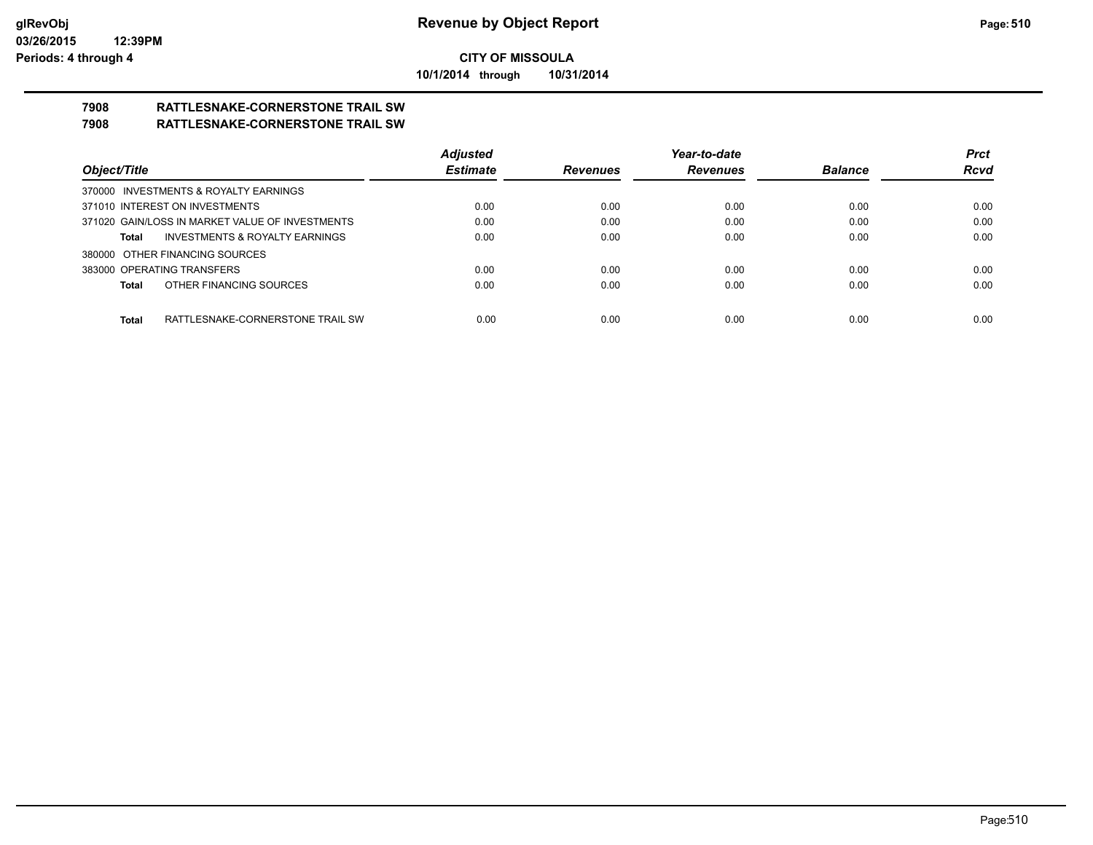**10/1/2014 through 10/31/2014**

# **7908 RATTLESNAKE-CORNERSTONE TRAIL SW**

### **7908 RATTLESNAKE-CORNERSTONE TRAIL SW**

|                                                    | <b>Adjusted</b> |                 | Year-to-date    |                | <b>Prct</b> |
|----------------------------------------------------|-----------------|-----------------|-----------------|----------------|-------------|
| Object/Title                                       | <b>Estimate</b> | <b>Revenues</b> | <b>Revenues</b> | <b>Balance</b> | <b>Rcvd</b> |
| 370000 INVESTMENTS & ROYALTY EARNINGS              |                 |                 |                 |                |             |
| 371010 INTEREST ON INVESTMENTS                     | 0.00            | 0.00            | 0.00            | 0.00           | 0.00        |
| 371020 GAIN/LOSS IN MARKET VALUE OF INVESTMENTS    | 0.00            | 0.00            | 0.00            | 0.00           | 0.00        |
| <b>INVESTMENTS &amp; ROYALTY EARNINGS</b><br>Total | 0.00            | 0.00            | 0.00            | 0.00           | 0.00        |
| 380000 OTHER FINANCING SOURCES                     |                 |                 |                 |                |             |
| 383000 OPERATING TRANSFERS                         | 0.00            | 0.00            | 0.00            | 0.00           | 0.00        |
| OTHER FINANCING SOURCES<br>Total                   | 0.00            | 0.00            | 0.00            | 0.00           | 0.00        |
|                                                    |                 |                 |                 |                |             |
| <b>Total</b><br>RATTLESNAKE-CORNERSTONE TRAIL SW   | 0.00            | 0.00            | 0.00            | 0.00           | 0.00        |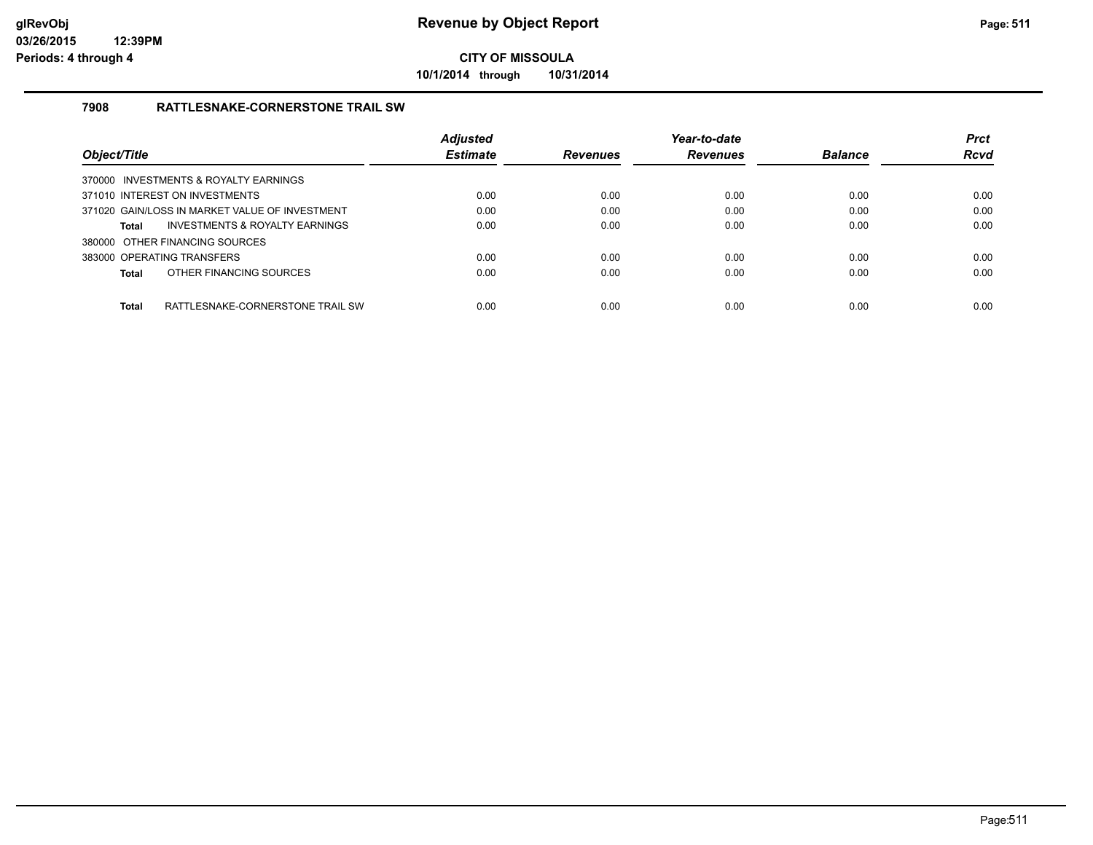**10/1/2014 through 10/31/2014**

#### **7908 RATTLESNAKE-CORNERSTONE TRAIL SW**

| Object/Title                                     | <b>Adjusted</b><br><b>Estimate</b> | <b>Revenues</b> | Year-to-date<br><b>Revenues</b> | <b>Balance</b> | <b>Prct</b><br><b>Rcvd</b> |
|--------------------------------------------------|------------------------------------|-----------------|---------------------------------|----------------|----------------------------|
| 370000 INVESTMENTS & ROYALTY EARNINGS            |                                    |                 |                                 |                |                            |
| 371010 INTEREST ON INVESTMENTS                   | 0.00                               | 0.00            | 0.00                            | 0.00           | 0.00                       |
| 371020 GAIN/LOSS IN MARKET VALUE OF INVESTMENT   | 0.00                               | 0.00            | 0.00                            | 0.00           | 0.00                       |
| INVESTMENTS & ROYALTY EARNINGS<br><b>Total</b>   | 0.00                               | 0.00            | 0.00                            | 0.00           | 0.00                       |
| 380000 OTHER FINANCING SOURCES                   |                                    |                 |                                 |                |                            |
| 383000 OPERATING TRANSFERS                       | 0.00                               | 0.00            | 0.00                            | 0.00           | 0.00                       |
| OTHER FINANCING SOURCES<br><b>Total</b>          | 0.00                               | 0.00            | 0.00                            | 0.00           | 0.00                       |
|                                                  |                                    |                 |                                 |                |                            |
| RATTLESNAKE-CORNERSTONE TRAIL SW<br><b>Total</b> | 0.00                               | 0.00            | 0.00                            | 0.00           | 0.00                       |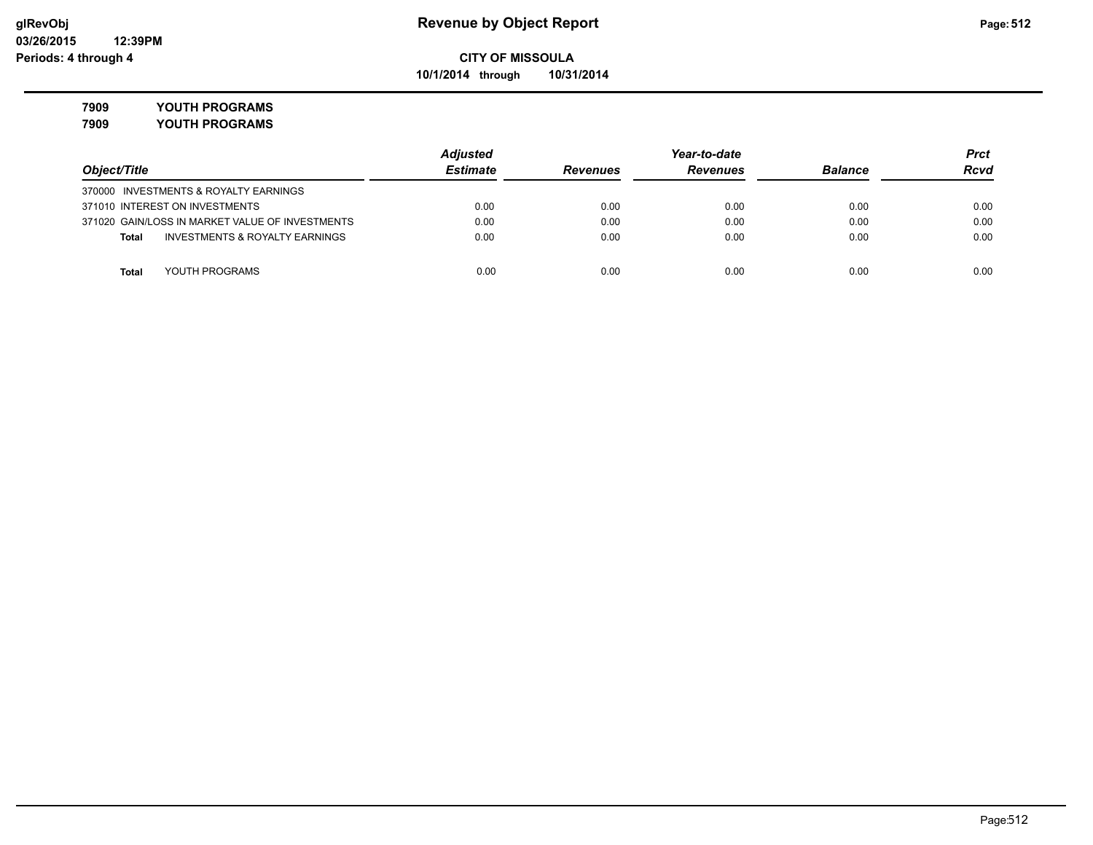**10/1/2014 through 10/31/2014**

## **7909 YOUTH PROGRAMS**

**7909 YOUTH PROGRAMS**

|                                                    | <b>Adjusted</b> |                 | Year-to-date    |                | <b>Prct</b> |
|----------------------------------------------------|-----------------|-----------------|-----------------|----------------|-------------|
| Object/Title                                       | <b>Estimate</b> | <b>Revenues</b> | <b>Revenues</b> | <b>Balance</b> | <b>Rcvd</b> |
| 370000 INVESTMENTS & ROYALTY EARNINGS              |                 |                 |                 |                |             |
| 371010 INTEREST ON INVESTMENTS                     | 0.00            | 0.00            | 0.00            | 0.00           | 0.00        |
| 371020 GAIN/LOSS IN MARKET VALUE OF INVESTMENTS    | 0.00            | 0.00            | 0.00            | 0.00           | 0.00        |
| <b>INVESTMENTS &amp; ROYALTY EARNINGS</b><br>Total | 0.00            | 0.00            | 0.00            | 0.00           | 0.00        |
|                                                    |                 |                 |                 |                |             |
| YOUTH PROGRAMS<br>Total                            | 0.00            | 0.00            | 0.00            | 0.00           | 0.00        |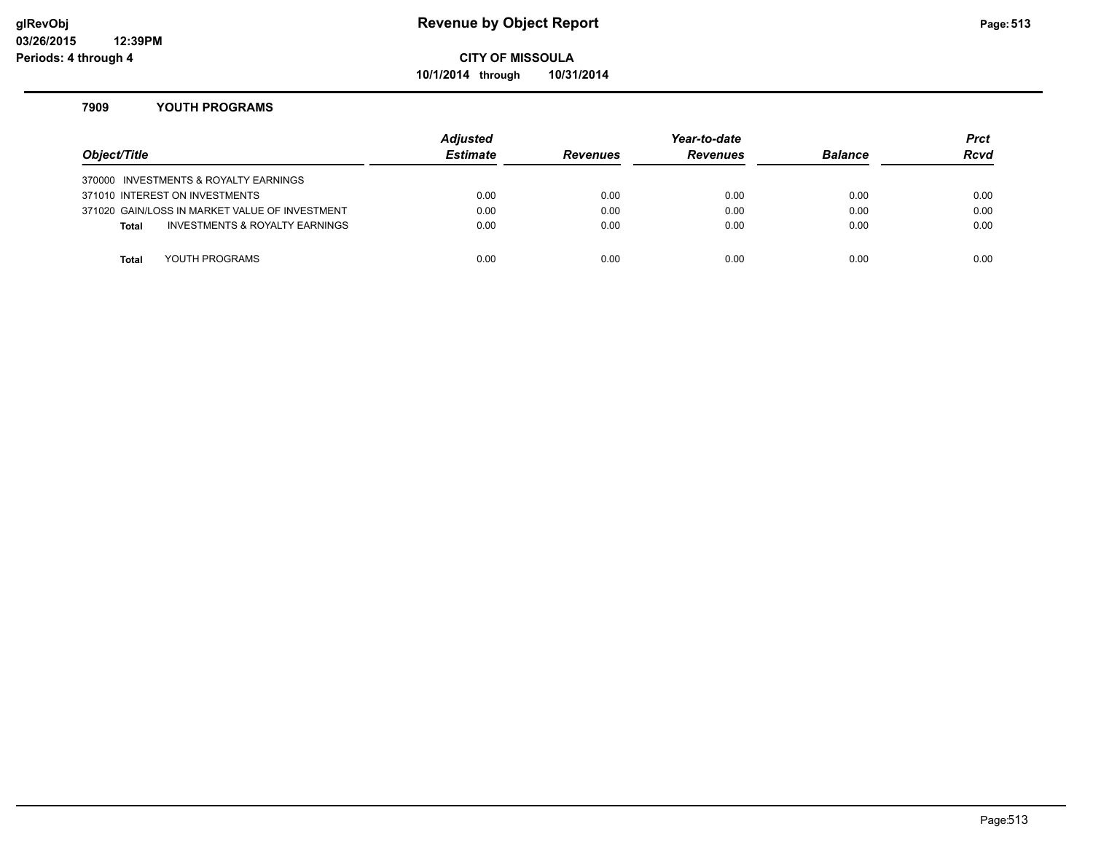#### **glRevObj Revenue by Object Report Page:513**

**CITY OF MISSOULA**

**10/1/2014 through 10/31/2014**

#### **7909 YOUTH PROGRAMS**

| Object/Title |                                                | Adjusted<br><b>Estimate</b> | <b>Revenues</b> | Year-to-date<br><b>Revenues</b> | <b>Balance</b> | <b>Prct</b><br><b>Rcvd</b> |
|--------------|------------------------------------------------|-----------------------------|-----------------|---------------------------------|----------------|----------------------------|
|              | 370000 INVESTMENTS & ROYALTY EARNINGS          |                             |                 |                                 |                |                            |
|              | 371010 INTEREST ON INVESTMENTS                 | 0.00                        | 0.00            | 0.00                            | 0.00           | 0.00                       |
|              | 371020 GAIN/LOSS IN MARKET VALUE OF INVESTMENT | 0.00                        | 0.00            | 0.00                            | 0.00           | 0.00                       |
| <b>Total</b> | INVESTMENTS & ROYALTY EARNINGS                 | 0.00                        | 0.00            | 0.00                            | 0.00           | 0.00                       |
|              |                                                |                             |                 |                                 |                |                            |
| Total        | YOUTH PROGRAMS                                 | 0.00                        | 0.00            | 0.00                            | 0.00           | 0.00                       |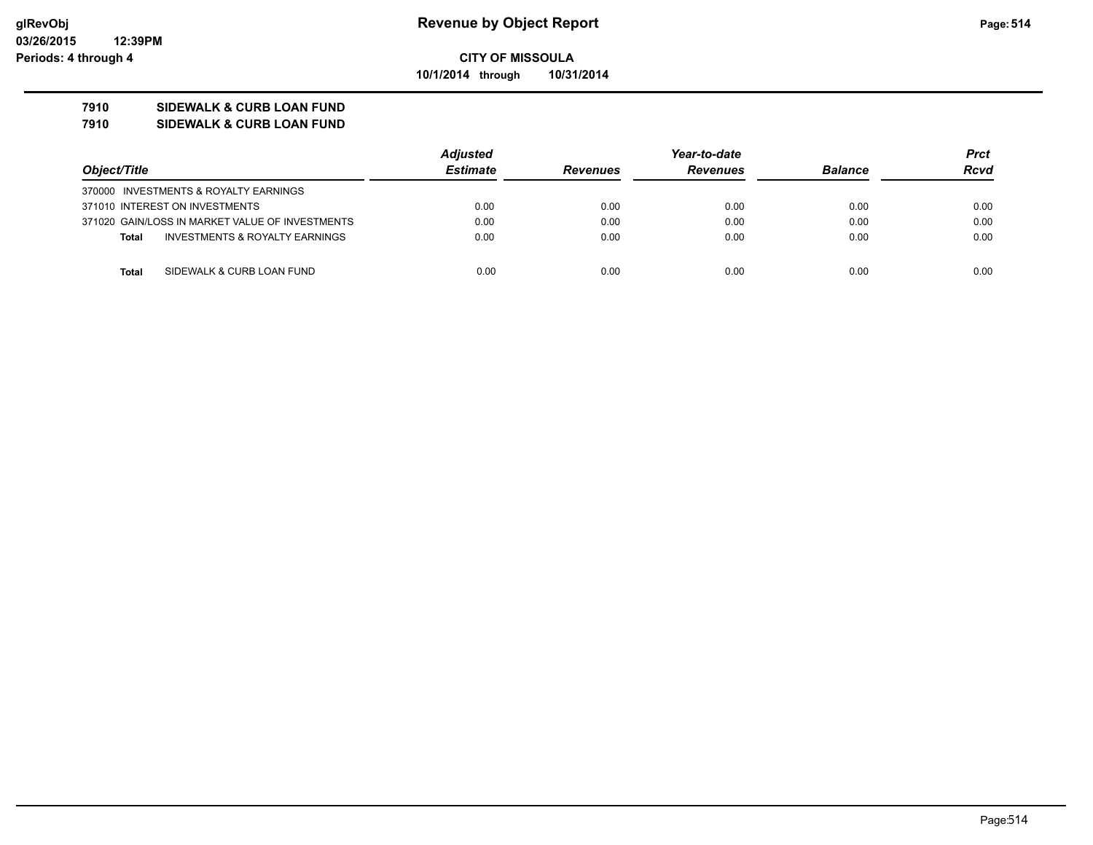**10/1/2014 through 10/31/2014**

#### **7910 SIDEWALK & CURB LOAN FUND**

**7910 SIDEWALK & CURB LOAN FUND**

|                                                 |  | Adjusted        |                 | Year-to-date    |                | Prct |
|-------------------------------------------------|--|-----------------|-----------------|-----------------|----------------|------|
| Object/Title                                    |  | <b>Estimate</b> | <b>Revenues</b> | <b>Revenues</b> | <b>Balance</b> | Rcvd |
| 370000 INVESTMENTS & ROYALTY EARNINGS           |  |                 |                 |                 |                |      |
| 371010 INTEREST ON INVESTMENTS                  |  | 0.00            | 0.00            | 0.00            | 0.00           | 0.00 |
| 371020 GAIN/LOSS IN MARKET VALUE OF INVESTMENTS |  | 0.00            | 0.00            | 0.00            | 0.00           | 0.00 |
| INVESTMENTS & ROYALTY EARNINGS<br>Total         |  | 0.00            | 0.00            | 0.00            | 0.00           | 0.00 |
| SIDEWALK & CURB LOAN FUND<br>Total              |  | 0.00            | 0.00            | 0.00            | 0.00           | 0.00 |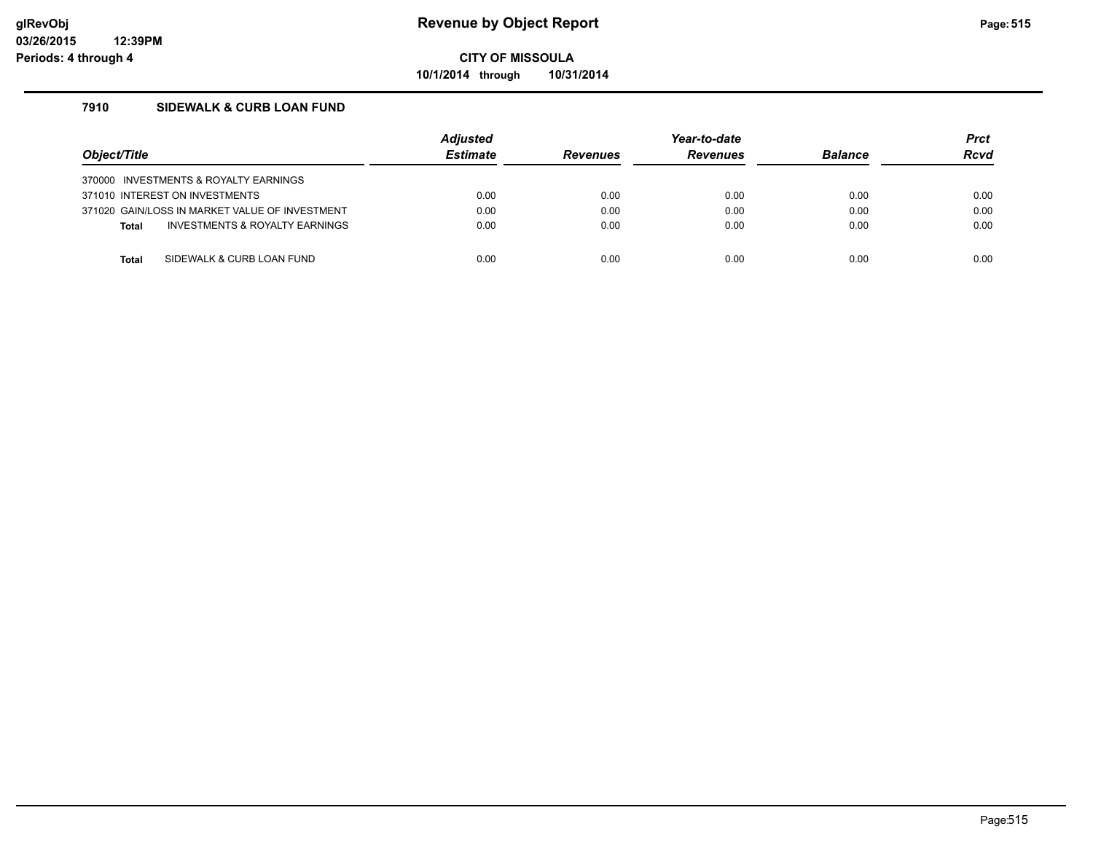**10/1/2014 through 10/31/2014**

#### **7910 SIDEWALK & CURB LOAN FUND**

| Object/Title                                   | <b>Adjusted</b><br><b>Estimate</b> | <b>Revenues</b> | Year-to-date<br><b>Revenues</b> | <b>Balance</b> | <b>Prct</b><br>Rcvd |
|------------------------------------------------|------------------------------------|-----------------|---------------------------------|----------------|---------------------|
| 370000 INVESTMENTS & ROYALTY EARNINGS          |                                    |                 |                                 |                |                     |
| 371010 INTEREST ON INVESTMENTS                 | 0.00                               | 0.00            | 0.00                            | 0.00           | 0.00                |
| 371020 GAIN/LOSS IN MARKET VALUE OF INVESTMENT | 0.00                               | 0.00            | 0.00                            | 0.00           | 0.00                |
| INVESTMENTS & ROYALTY EARNINGS<br><b>Total</b> | 0.00                               | 0.00            | 0.00                            | 0.00           | 0.00                |
|                                                |                                    |                 |                                 |                |                     |
| SIDEWALK & CURB LOAN FUND<br>Total             | 0.00                               | 0.00            | 0.00                            | 0.00           | 0.00                |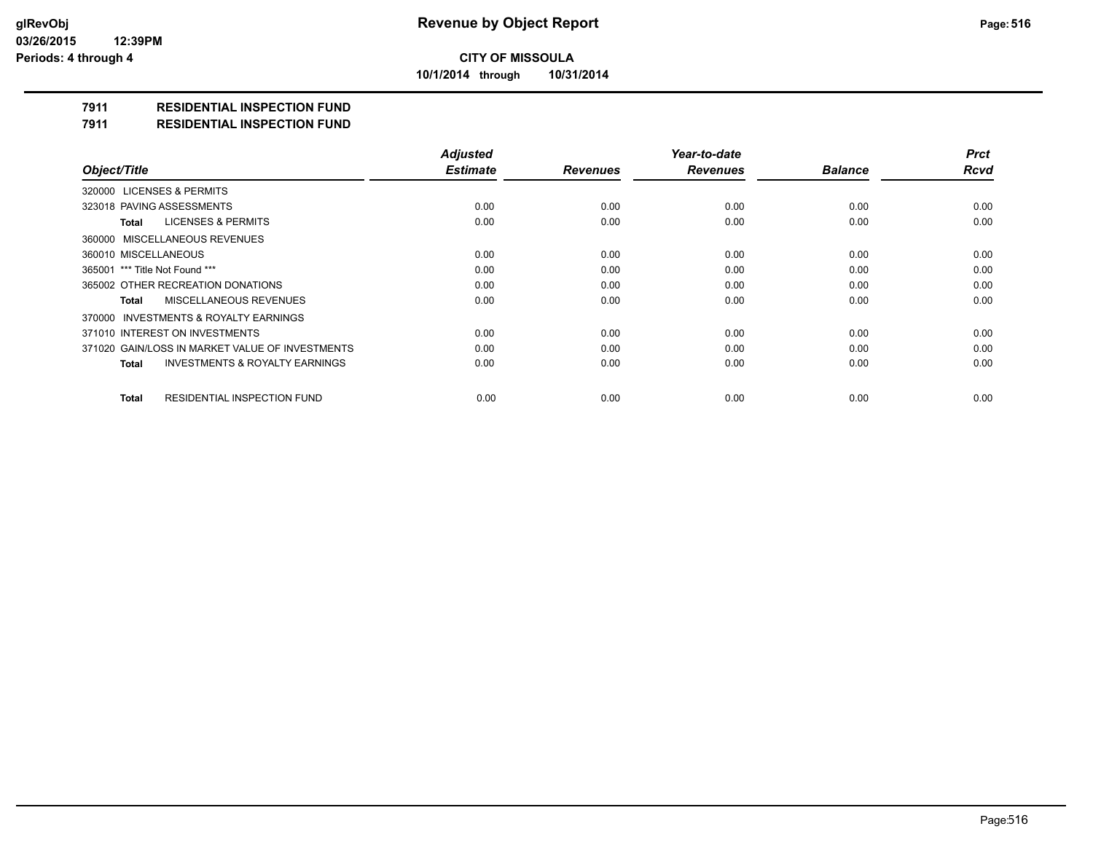**10/1/2014 through 10/31/2014**

### **7911 RESIDENTIAL INSPECTION FUND**

**7911 RESIDENTIAL INSPECTION FUND**

|                                                           | <b>Adjusted</b> |                 | Year-to-date    |                | <b>Prct</b> |
|-----------------------------------------------------------|-----------------|-----------------|-----------------|----------------|-------------|
| Object/Title                                              | <b>Estimate</b> | <b>Revenues</b> | <b>Revenues</b> | <b>Balance</b> | <b>Rcvd</b> |
| 320000 LICENSES & PERMITS                                 |                 |                 |                 |                |             |
| 323018 PAVING ASSESSMENTS                                 | 0.00            | 0.00            | 0.00            | 0.00           | 0.00        |
| LICENSES & PERMITS<br>Total                               | 0.00            | 0.00            | 0.00            | 0.00           | 0.00        |
| 360000 MISCELLANEOUS REVENUES                             |                 |                 |                 |                |             |
| 360010 MISCELLANEOUS                                      | 0.00            | 0.00            | 0.00            | 0.00           | 0.00        |
| 365001 *** Title Not Found ***                            | 0.00            | 0.00            | 0.00            | 0.00           | 0.00        |
| 365002 OTHER RECREATION DONATIONS                         | 0.00            | 0.00            | 0.00            | 0.00           | 0.00        |
| MISCELLANEOUS REVENUES<br><b>Total</b>                    | 0.00            | 0.00            | 0.00            | 0.00           | 0.00        |
| 370000 INVESTMENTS & ROYALTY EARNINGS                     |                 |                 |                 |                |             |
| 371010 INTEREST ON INVESTMENTS                            | 0.00            | 0.00            | 0.00            | 0.00           | 0.00        |
| 371020 GAIN/LOSS IN MARKET VALUE OF INVESTMENTS           | 0.00            | 0.00            | 0.00            | 0.00           | 0.00        |
| <b>INVESTMENTS &amp; ROYALTY EARNINGS</b><br><b>Total</b> | 0.00            | 0.00            | 0.00            | 0.00           | 0.00        |
| RESIDENTIAL INSPECTION FUND<br><b>Total</b>               | 0.00            | 0.00            | 0.00            | 0.00           | 0.00        |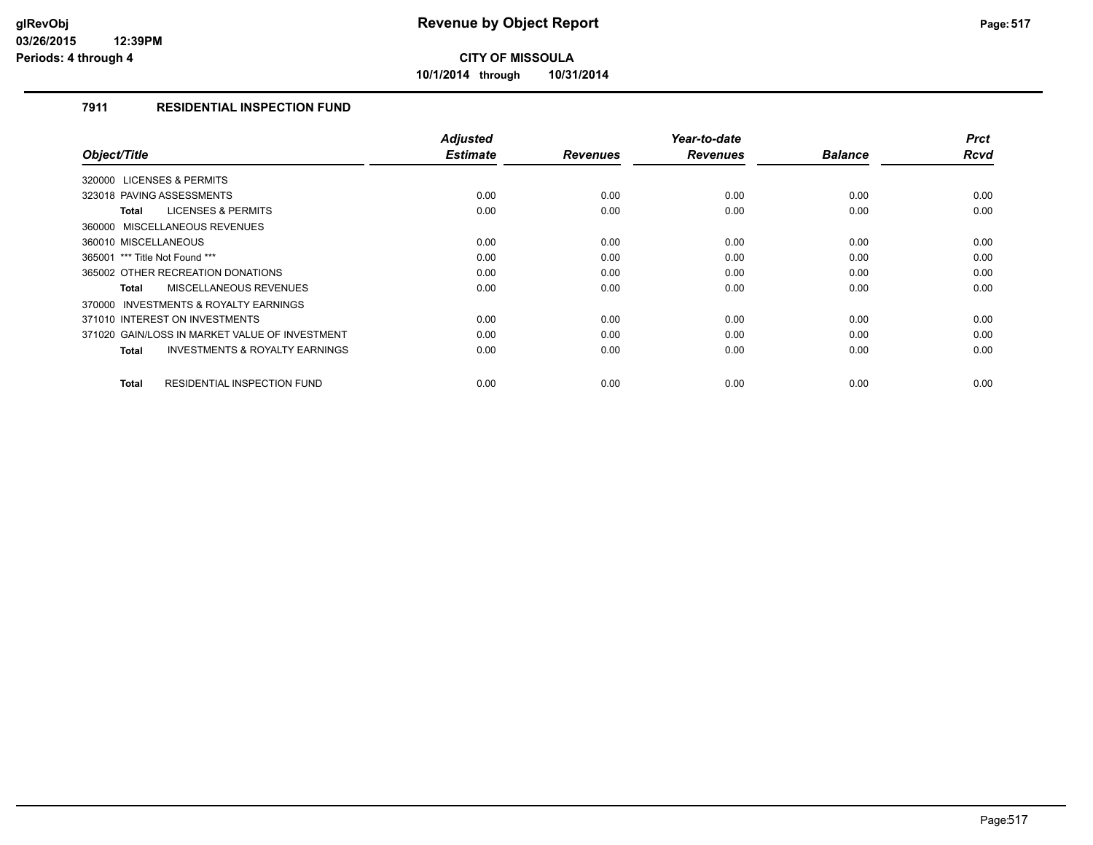**10/1/2014 through 10/31/2014**

#### **7911 RESIDENTIAL INSPECTION FUND**

|                                                           | <b>Adjusted</b> |                 | Year-to-date    |                | <b>Prct</b> |
|-----------------------------------------------------------|-----------------|-----------------|-----------------|----------------|-------------|
| Object/Title                                              | <b>Estimate</b> | <b>Revenues</b> | <b>Revenues</b> | <b>Balance</b> | Rcvd        |
| 320000 LICENSES & PERMITS                                 |                 |                 |                 |                |             |
| 323018 PAVING ASSESSMENTS                                 | 0.00            | 0.00            | 0.00            | 0.00           | 0.00        |
| <b>LICENSES &amp; PERMITS</b><br><b>Total</b>             | 0.00            | 0.00            | 0.00            | 0.00           | 0.00        |
| 360000 MISCELLANEOUS REVENUES                             |                 |                 |                 |                |             |
| 360010 MISCELLANEOUS                                      | 0.00            | 0.00            | 0.00            | 0.00           | 0.00        |
| 365001 *** Title Not Found ***                            | 0.00            | 0.00            | 0.00            | 0.00           | 0.00        |
| 365002 OTHER RECREATION DONATIONS                         | 0.00            | 0.00            | 0.00            | 0.00           | 0.00        |
| <b>MISCELLANEOUS REVENUES</b><br><b>Total</b>             | 0.00            | 0.00            | 0.00            | 0.00           | 0.00        |
| INVESTMENTS & ROYALTY EARNINGS<br>370000                  |                 |                 |                 |                |             |
| 371010 INTEREST ON INVESTMENTS                            | 0.00            | 0.00            | 0.00            | 0.00           | 0.00        |
| 371020 GAIN/LOSS IN MARKET VALUE OF INVESTMENT            | 0.00            | 0.00            | 0.00            | 0.00           | 0.00        |
| <b>INVESTMENTS &amp; ROYALTY EARNINGS</b><br><b>Total</b> | 0.00            | 0.00            | 0.00            | 0.00           | 0.00        |
|                                                           |                 |                 |                 |                |             |
| <b>RESIDENTIAL INSPECTION FUND</b><br><b>Total</b>        | 0.00            | 0.00            | 0.00            | 0.00           | 0.00        |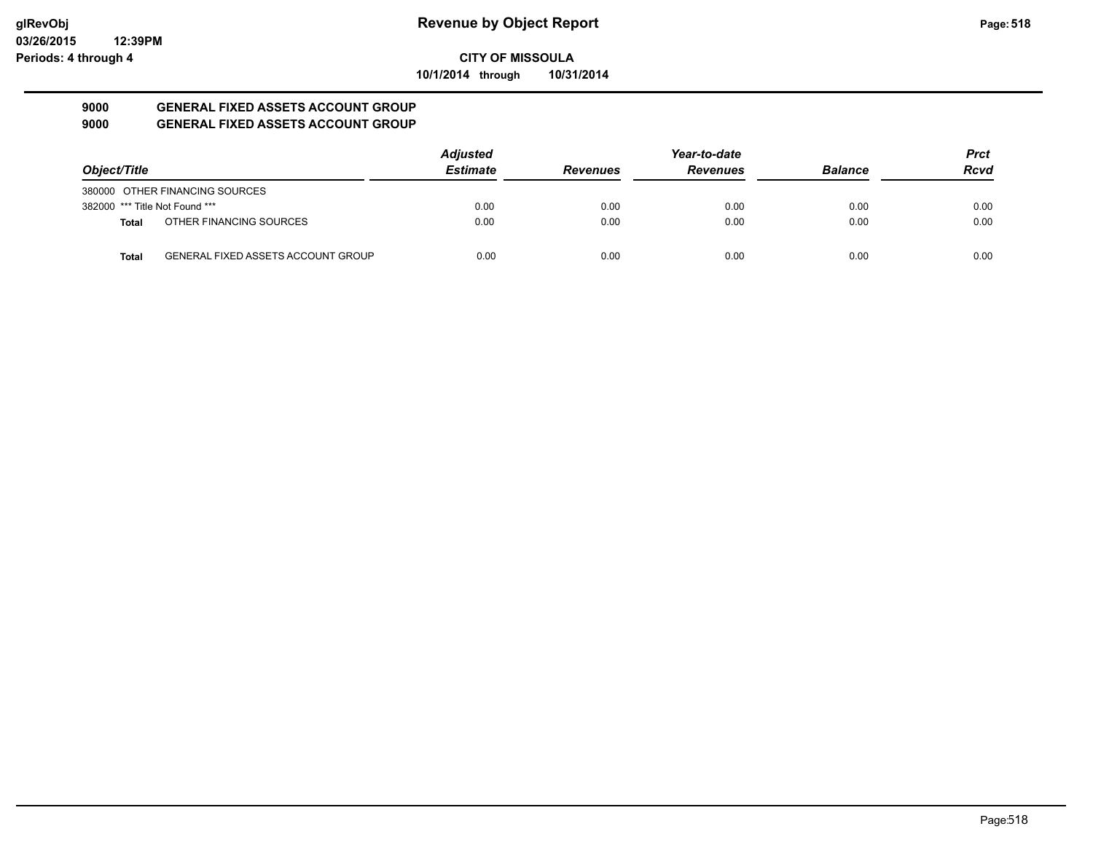**10/1/2014 through 10/31/2014**

#### **9000 GENERAL FIXED ASSETS ACCOUNT GROUP 9000 GENERAL FIXED ASSETS ACCOUNT GROUP**

|                                |                                           | <b>Adjusted</b> |                 | Year-to-date    |                | <b>Prct</b> |
|--------------------------------|-------------------------------------------|-----------------|-----------------|-----------------|----------------|-------------|
| Object/Title                   |                                           | <b>Estimate</b> | <b>Revenues</b> | <b>Revenues</b> | <b>Balance</b> | <b>Rcvd</b> |
|                                | 380000 OTHER FINANCING SOURCES            |                 |                 |                 |                |             |
| 382000 *** Title Not Found *** |                                           | 0.00            | 0.00            | 0.00            | 0.00           | 0.00        |
| Total                          | OTHER FINANCING SOURCES                   | 0.00            | 0.00            | 0.00            | 0.00           | 0.00        |
| Total                          | <b>GENERAL FIXED ASSETS ACCOUNT GROUP</b> | 0.00            | 0.00            | 0.00            | 0.00           | 0.00        |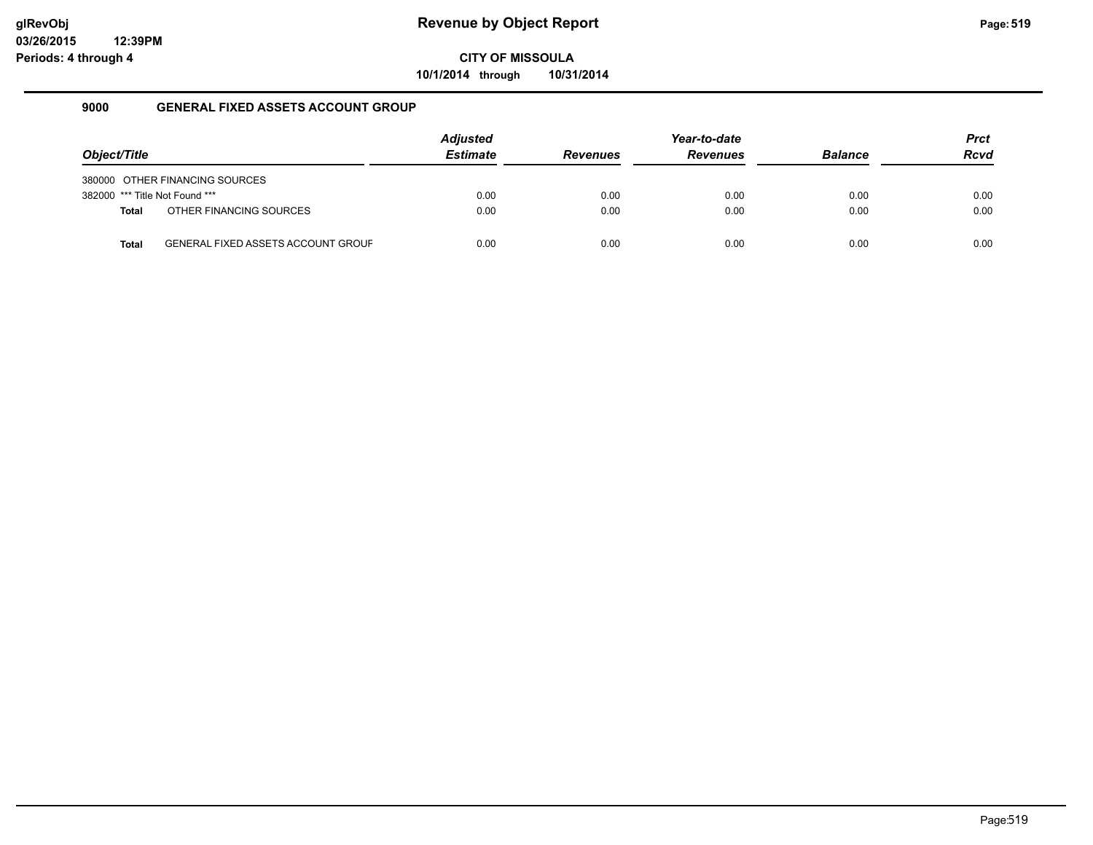**10/1/2014 through 10/31/2014**

#### **9000 GENERAL FIXED ASSETS ACCOUNT GROUP**

|                                |                                           | <b>Adjusted</b> |                 | Year-to-date    |                | <b>Prct</b> |
|--------------------------------|-------------------------------------------|-----------------|-----------------|-----------------|----------------|-------------|
| Object/Title                   |                                           | <b>Estimate</b> | <b>Revenues</b> | <b>Revenues</b> | <b>Balance</b> | <b>Rcvd</b> |
|                                | 380000 OTHER FINANCING SOURCES            |                 |                 |                 |                |             |
| 382000 *** Title Not Found *** |                                           | 0.00            | 0.00            | 0.00            | 0.00           | 0.00        |
| <b>Total</b>                   | OTHER FINANCING SOURCES                   | 0.00            | 0.00            | 0.00            | 0.00           | 0.00        |
| <b>Total</b>                   | <b>GENERAL FIXED ASSETS ACCOUNT GROUF</b> | 0.00            | 0.00            | 0.00            | 0.00           | 0.00        |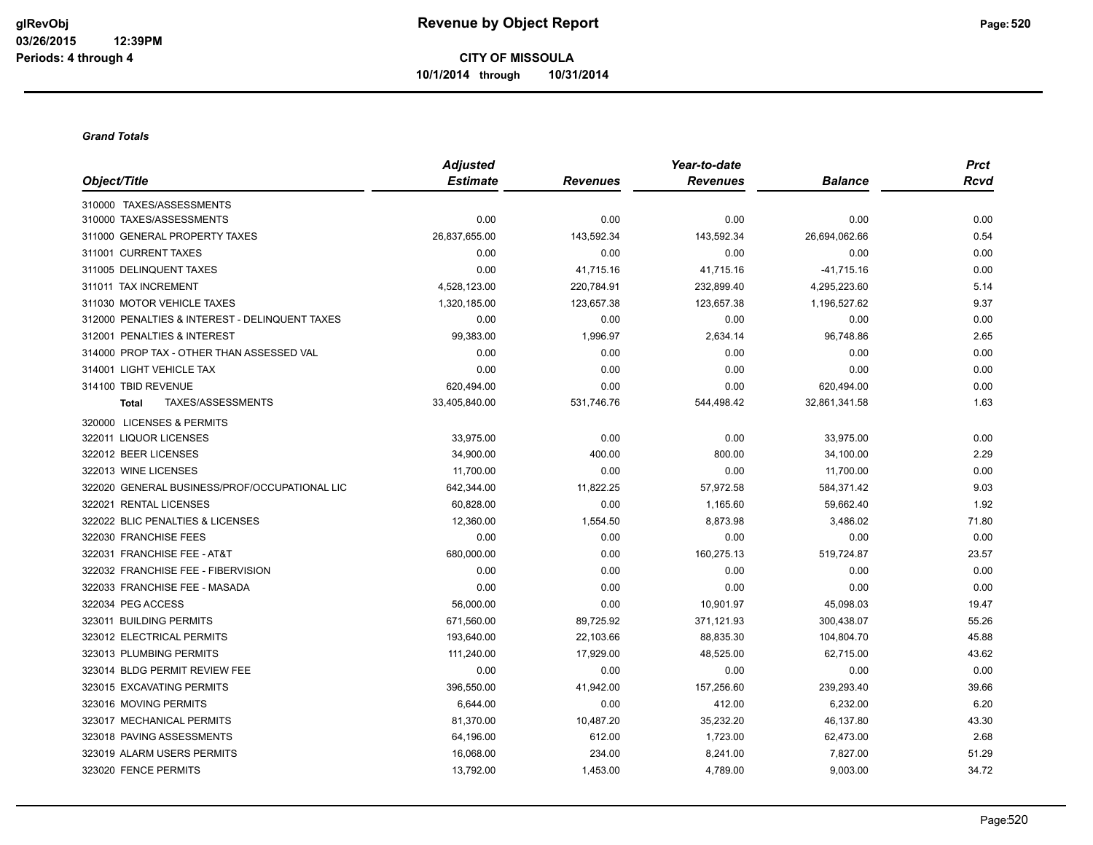#### *Grand Totals*

|                                                | <b>Adjusted</b> |                 | Year-to-date    |                | <b>Prct</b> |
|------------------------------------------------|-----------------|-----------------|-----------------|----------------|-------------|
| Object/Title                                   | <b>Estimate</b> | <b>Revenues</b> | <b>Revenues</b> | <b>Balance</b> | Rcvd        |
| 310000 TAXES/ASSESSMENTS                       |                 |                 |                 |                |             |
| 310000 TAXES/ASSESSMENTS                       | 0.00            | 0.00            | 0.00            | 0.00           | 0.00        |
| 311000 GENERAL PROPERTY TAXES                  | 26,837,655.00   | 143,592.34      | 143,592.34      | 26,694,062.66  | 0.54        |
| 311001 CURRENT TAXES                           | 0.00            | 0.00            | 0.00            | 0.00           | 0.00        |
| 311005 DELINQUENT TAXES                        | 0.00            | 41,715.16       | 41,715.16       | $-41,715.16$   | 0.00        |
| 311011 TAX INCREMENT                           | 4,528,123.00    | 220,784.91      | 232,899.40      | 4,295,223.60   | 5.14        |
| 311030 MOTOR VEHICLE TAXES                     | 1,320,185.00    | 123,657.38      | 123,657.38      | 1,196,527.62   | 9.37        |
| 312000 PENALTIES & INTEREST - DELINQUENT TAXES | 0.00            | 0.00            | 0.00            | 0.00           | 0.00        |
| 312001 PENALTIES & INTEREST                    | 99,383.00       | 1,996.97        | 2,634.14        | 96,748.86      | 2.65        |
| 314000 PROP TAX - OTHER THAN ASSESSED VAL      | 0.00            | 0.00            | 0.00            | 0.00           | 0.00        |
| 314001 LIGHT VEHICLE TAX                       | 0.00            | 0.00            | 0.00            | 0.00           | 0.00        |
| 314100 TBID REVENUE                            | 620,494.00      | 0.00            | 0.00            | 620,494.00     | 0.00        |
| TAXES/ASSESSMENTS<br><b>Total</b>              | 33,405,840.00   | 531,746.76      | 544,498.42      | 32,861,341.58  | 1.63        |
| 320000 LICENSES & PERMITS                      |                 |                 |                 |                |             |
| 322011 LIQUOR LICENSES                         | 33,975.00       | 0.00            | 0.00            | 33,975.00      | 0.00        |
| 322012 BEER LICENSES                           | 34,900.00       | 400.00          | 800.00          | 34,100.00      | 2.29        |
| 322013 WINE LICENSES                           | 11,700.00       | 0.00            | 0.00            | 11,700.00      | 0.00        |
| 322020 GENERAL BUSINESS/PROF/OCCUPATIONAL LIC  | 642,344.00      | 11,822.25       | 57,972.58       | 584,371.42     | 9.03        |
| 322021 RENTAL LICENSES                         | 60,828.00       | 0.00            | 1,165.60        | 59,662.40      | 1.92        |
| 322022 BLIC PENALTIES & LICENSES               | 12,360.00       | 1,554.50        | 8,873.98        | 3,486.02       | 71.80       |
| 322030 FRANCHISE FEES                          | 0.00            | 0.00            | 0.00            | 0.00           | 0.00        |
| 322031 FRANCHISE FEE - AT&T                    | 680,000.00      | 0.00            | 160,275.13      | 519,724.87     | 23.57       |
| 322032 FRANCHISE FEE - FIBERVISION             | 0.00            | 0.00            | 0.00            | 0.00           | 0.00        |
| 322033 FRANCHISE FEE - MASADA                  | 0.00            | 0.00            | 0.00            | 0.00           | 0.00        |
| 322034 PEG ACCESS                              | 56,000.00       | 0.00            | 10,901.97       | 45,098.03      | 19.47       |
| 323011 BUILDING PERMITS                        | 671,560.00      | 89,725.92       | 371,121.93      | 300,438.07     | 55.26       |
| 323012 ELECTRICAL PERMITS                      | 193,640.00      | 22,103.66       | 88,835.30       | 104,804.70     | 45.88       |
| 323013 PLUMBING PERMITS                        | 111,240.00      | 17,929.00       | 48,525.00       | 62,715.00      | 43.62       |
| 323014 BLDG PERMIT REVIEW FEE                  | 0.00            | 0.00            | 0.00            | 0.00           | 0.00        |
| 323015 EXCAVATING PERMITS                      | 396,550.00      | 41,942.00       | 157,256.60      | 239,293.40     | 39.66       |
| 323016 MOVING PERMITS                          | 6,644.00        | 0.00            | 412.00          | 6,232.00       | 6.20        |
| 323017 MECHANICAL PERMITS                      | 81,370.00       | 10,487.20       | 35,232.20       | 46,137.80      | 43.30       |
| 323018 PAVING ASSESSMENTS                      | 64,196.00       | 612.00          | 1,723.00        | 62,473.00      | 2.68        |
| 323019 ALARM USERS PERMITS                     | 16,068.00       | 234.00          | 8,241.00        | 7,827.00       | 51.29       |
| 323020 FENCE PERMITS                           | 13,792.00       | 1,453.00        | 4,789.00        | 9,003.00       | 34.72       |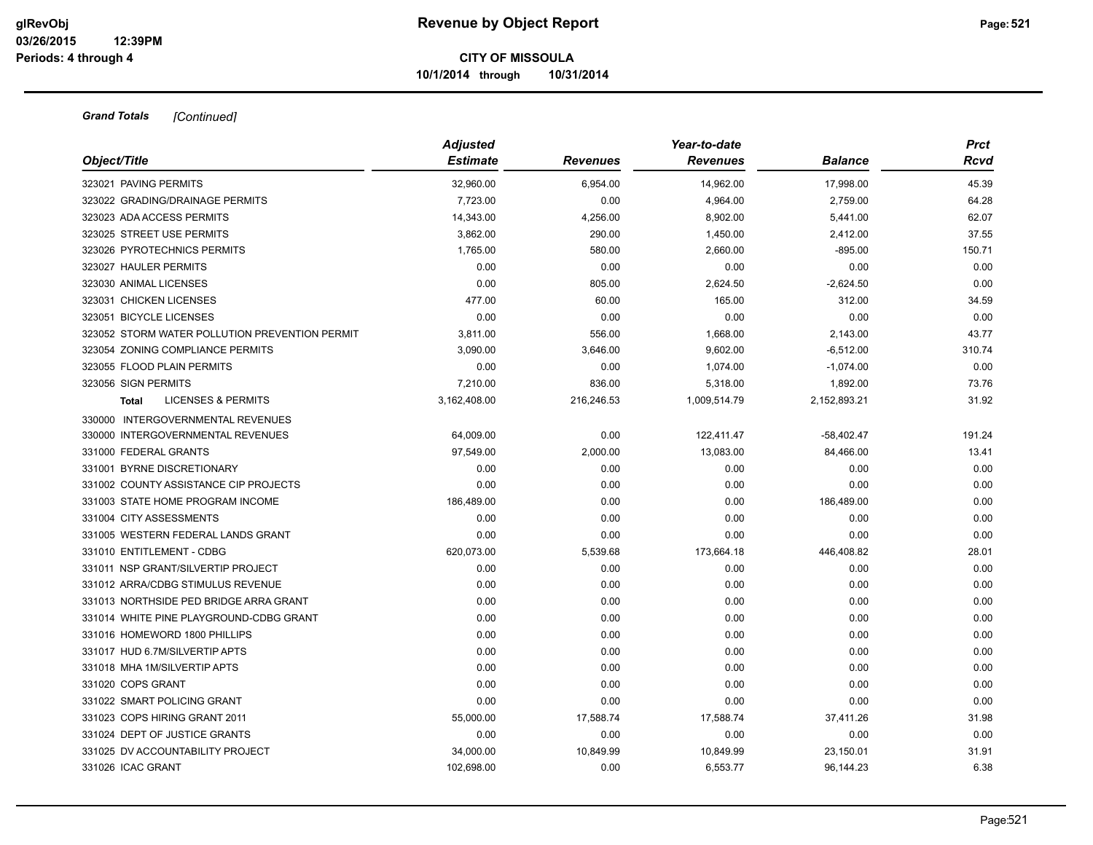|                                                | <b>Adjusted</b> |                 | Year-to-date    | Balance      | <b>Prct</b><br>Rcvd |
|------------------------------------------------|-----------------|-----------------|-----------------|--------------|---------------------|
| Object/Title                                   | <b>Estimate</b> | <b>Revenues</b> | <b>Revenues</b> |              |                     |
| 323021 PAVING PERMITS                          | 32.960.00       | 6,954.00        | 14,962.00       | 17,998.00    | 45.39               |
| 323022 GRADING/DRAINAGE PERMITS                | 7,723.00        | 0.00            | 4,964.00        | 2,759.00     | 64.28               |
| 323023 ADA ACCESS PERMITS                      | 14,343.00       | 4,256.00        | 8,902.00        | 5,441.00     | 62.07               |
| 323025 STREET USE PERMITS                      | 3,862.00        | 290.00          | 1,450.00        | 2,412.00     | 37.55               |
| 323026 PYROTECHNICS PERMITS                    | 1,765.00        | 580.00          | 2,660.00        | $-895.00$    | 150.71              |
| 323027 HAULER PERMITS                          | 0.00            | 0.00            | 0.00            | 0.00         | 0.00                |
| 323030 ANIMAL LICENSES                         | 0.00            | 805.00          | 2,624.50        | $-2,624.50$  | 0.00                |
| 323031 CHICKEN LICENSES                        | 477.00          | 60.00           | 165.00          | 312.00       | 34.59               |
| 323051 BICYCLE LICENSES                        | 0.00            | 0.00            | 0.00            | 0.00         | 0.00                |
| 323052 STORM WATER POLLUTION PREVENTION PERMIT | 3,811.00        | 556.00          | 1,668.00        | 2,143.00     | 43.77               |
| 323054 ZONING COMPLIANCE PERMITS               | 3,090.00        | 3,646.00        | 9,602.00        | $-6,512.00$  | 310.74              |
| 323055 FLOOD PLAIN PERMITS                     | 0.00            | 0.00            | 1,074.00        | $-1,074.00$  | 0.00                |
| 323056 SIGN PERMITS                            | 7,210.00        | 836.00          | 5,318.00        | 1,892.00     | 73.76               |
| <b>LICENSES &amp; PERMITS</b><br>Total         | 3,162,408.00    | 216,246.53      | 1,009,514.79    | 2,152,893.21 | 31.92               |
| 330000 INTERGOVERNMENTAL REVENUES              |                 |                 |                 |              |                     |
| 330000 INTERGOVERNMENTAL REVENUES              | 64,009.00       | 0.00            | 122,411.47      | $-58,402.47$ | 191.24              |
| 331000 FEDERAL GRANTS                          | 97,549.00       | 2,000.00        | 13,083.00       | 84,466.00    | 13.41               |
| 331001 BYRNE DISCRETIONARY                     | 0.00            | 0.00            | 0.00            | 0.00         | 0.00                |
| 331002 COUNTY ASSISTANCE CIP PROJECTS          | 0.00            | 0.00            | 0.00            | 0.00         | 0.00                |
| 331003 STATE HOME PROGRAM INCOME               | 186,489.00      | 0.00            | 0.00            | 186,489.00   | 0.00                |
| 331004 CITY ASSESSMENTS                        | 0.00            | 0.00            | 0.00            | 0.00         | 0.00                |
| 331005 WESTERN FEDERAL LANDS GRANT             | 0.00            | 0.00            | 0.00            | 0.00         | 0.00                |
| 331010 ENTITLEMENT - CDBG                      | 620,073.00      | 5,539.68        | 173,664.18      | 446,408.82   | 28.01               |
| 331011 NSP GRANT/SILVERTIP PROJECT             | 0.00            | 0.00            | 0.00            | 0.00         | 0.00                |
| 331012 ARRA/CDBG STIMULUS REVENUE              | 0.00            | 0.00            | 0.00            | 0.00         | 0.00                |
| 331013 NORTHSIDE PED BRIDGE ARRA GRANT         | 0.00            | 0.00            | 0.00            | 0.00         | 0.00                |
| 331014 WHITE PINE PLAYGROUND-CDBG GRANT        | 0.00            | 0.00            | 0.00            | 0.00         | 0.00                |
| 331016 HOMEWORD 1800 PHILLIPS                  | 0.00            | 0.00            | 0.00            | 0.00         | 0.00                |
| 331017 HUD 6.7M/SILVERTIP APTS                 | 0.00            | 0.00            | 0.00            | 0.00         | 0.00                |
| 331018 MHA 1M/SILVERTIP APTS                   | 0.00            | 0.00            | 0.00            | 0.00         | 0.00                |
| 331020 COPS GRANT                              | 0.00            | 0.00            | 0.00            | 0.00         | 0.00                |
| 331022 SMART POLICING GRANT                    | 0.00            | 0.00            | 0.00            | 0.00         | 0.00                |
| 331023 COPS HIRING GRANT 2011                  | 55,000.00       | 17,588.74       | 17,588.74       | 37,411.26    | 31.98               |
| 331024 DEPT OF JUSTICE GRANTS                  | 0.00            | 0.00            | 0.00            | 0.00         | 0.00                |
| 331025 DV ACCOUNTABILITY PROJECT               | 34,000.00       | 10,849.99       | 10,849.99       | 23,150.01    | 31.91               |
| 331026 ICAC GRANT                              | 102.698.00      | 0.00            | 6.553.77        | 96.144.23    | 6.38                |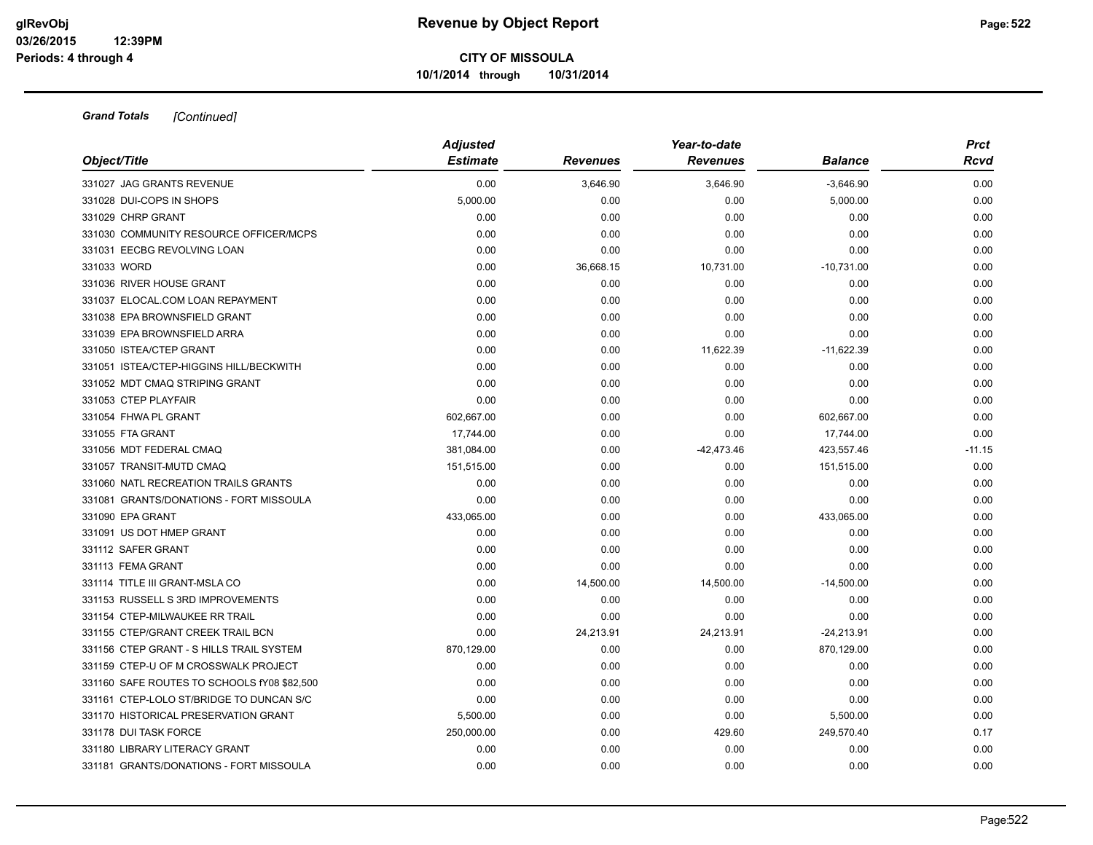| Object/Title                                | <b>Adjusted</b> |                 | Year-to-date    |                | <b>Prct</b> |  |
|---------------------------------------------|-----------------|-----------------|-----------------|----------------|-------------|--|
|                                             | <b>Estimate</b> | <b>Revenues</b> | <b>Revenues</b> | <b>Balance</b> | <b>Rcvd</b> |  |
| 331027 JAG GRANTS REVENUE                   | 0.00            | 3,646.90        | 3,646.90        | $-3,646.90$    | 0.00        |  |
| 331028 DUI-COPS IN SHOPS                    | 5,000.00        | 0.00            | 0.00            | 5,000.00       | 0.00        |  |
| 331029 CHRP GRANT                           | 0.00            | 0.00            | 0.00            | 0.00           | 0.00        |  |
| 331030 COMMUNITY RESOURCE OFFICER/MCPS      | 0.00            | 0.00            | 0.00            | 0.00           | 0.00        |  |
| 331031 EECBG REVOLVING LOAN                 | 0.00            | 0.00            | 0.00            | 0.00           | 0.00        |  |
| 331033 WORD                                 | 0.00            | 36,668.15       | 10,731.00       | $-10,731.00$   | 0.00        |  |
| 331036 RIVER HOUSE GRANT                    | 0.00            | 0.00            | 0.00            | 0.00           | 0.00        |  |
| 331037 ELOCAL.COM LOAN REPAYMENT            | 0.00            | 0.00            | 0.00            | 0.00           | 0.00        |  |
| 331038 EPA BROWNSFIELD GRANT                | 0.00            | 0.00            | 0.00            | 0.00           | 0.00        |  |
| 331039 EPA BROWNSFIELD ARRA                 | 0.00            | 0.00            | 0.00            | 0.00           | 0.00        |  |
| 331050 ISTEA/CTEP GRANT                     | 0.00            | 0.00            | 11,622.39       | $-11,622.39$   | 0.00        |  |
| 331051 ISTEA/CTEP-HIGGINS HILL/BECKWITH     | 0.00            | 0.00            | 0.00            | 0.00           | 0.00        |  |
| 331052 MDT CMAQ STRIPING GRANT              | 0.00            | 0.00            | 0.00            | 0.00           | 0.00        |  |
| 331053 CTEP PLAYFAIR                        | 0.00            | 0.00            | 0.00            | 0.00           | 0.00        |  |
| 331054 FHWA PL GRANT                        | 602,667.00      | 0.00            | 0.00            | 602,667.00     | 0.00        |  |
| 331055 FTA GRANT                            | 17,744.00       | 0.00            | 0.00            | 17,744.00      | 0.00        |  |
| 331056 MDT FEDERAL CMAQ                     | 381,084.00      | 0.00            | $-42,473.46$    | 423,557.46     | $-11.15$    |  |
| 331057 TRANSIT-MUTD CMAQ                    | 151,515.00      | 0.00            | 0.00            | 151,515.00     | 0.00        |  |
| 331060 NATL RECREATION TRAILS GRANTS        | 0.00            | 0.00            | 0.00            | 0.00           | 0.00        |  |
| 331081 GRANTS/DONATIONS - FORT MISSOULA     | 0.00            | 0.00            | 0.00            | 0.00           | 0.00        |  |
| 331090 EPA GRANT                            | 433,065.00      | 0.00            | 0.00            | 433,065.00     | 0.00        |  |
| 331091 US DOT HMEP GRANT                    | 0.00            | 0.00            | 0.00            | 0.00           | 0.00        |  |
| 331112 SAFER GRANT                          | 0.00            | 0.00            | 0.00            | 0.00           | 0.00        |  |
| 331113 FEMA GRANT                           | 0.00            | 0.00            | 0.00            | 0.00           | 0.00        |  |
| 331114 TITLE III GRANT-MSLA CO              | 0.00            | 14,500.00       | 14,500.00       | $-14,500.00$   | 0.00        |  |
| 331153 RUSSELL S 3RD IMPROVEMENTS           | 0.00            | 0.00            | 0.00            | 0.00           | 0.00        |  |
| 331154 CTEP-MILWAUKEE RR TRAIL              | 0.00            | 0.00            | 0.00            | 0.00           | 0.00        |  |
| 331155 CTEP/GRANT CREEK TRAIL BCN           | 0.00            | 24,213.91       | 24,213.91       | $-24,213.91$   | 0.00        |  |
| 331156 CTEP GRANT - S HILLS TRAIL SYSTEM    | 870,129.00      | 0.00            | 0.00            | 870,129.00     | 0.00        |  |
| 331159 CTEP-U OF M CROSSWALK PROJECT        | 0.00            | 0.00            | 0.00            | 0.00           | 0.00        |  |
| 331160 SAFE ROUTES TO SCHOOLS fY08 \$82,500 | 0.00            | 0.00            | 0.00            | 0.00           | 0.00        |  |
| 331161 CTEP-LOLO ST/BRIDGE TO DUNCAN S/C    | 0.00            | 0.00            | 0.00            | 0.00           | 0.00        |  |
| 331170 HISTORICAL PRESERVATION GRANT        | 5,500.00        | 0.00            | 0.00            | 5,500.00       | 0.00        |  |
| 331178 DUI TASK FORCE                       | 250,000.00      | 0.00            | 429.60          | 249,570.40     | 0.17        |  |
| 331180 LIBRARY LITERACY GRANT               | 0.00            | 0.00            | 0.00            | 0.00           | 0.00        |  |
| 331181 GRANTS/DONATIONS - FORT MISSOULA     | 0.00            | 0.00            | 0.00            | 0.00           | 0.00        |  |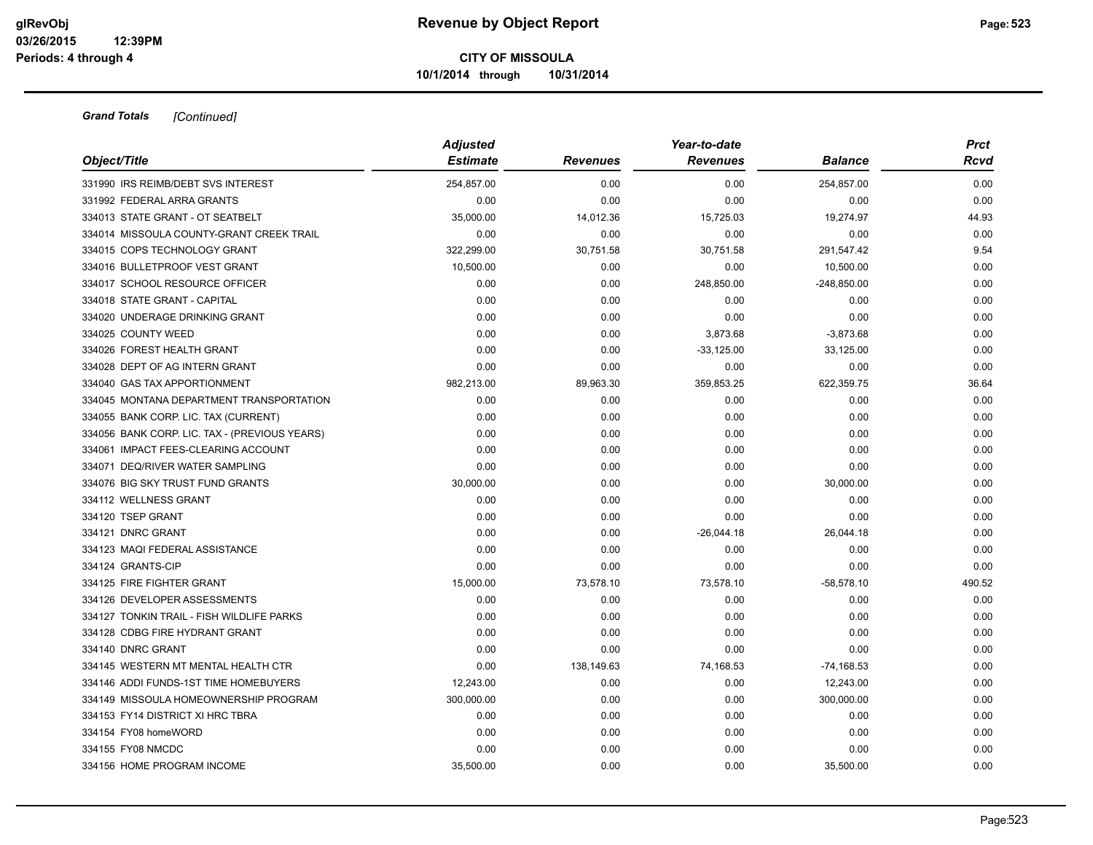|                                               | <b>Adjusted</b> |                 | Year-to-date    |                | <b>Prct</b> |  |
|-----------------------------------------------|-----------------|-----------------|-----------------|----------------|-------------|--|
| Object/Title                                  | <b>Estimate</b> | <b>Revenues</b> | <b>Revenues</b> | <b>Balance</b> | Rcvd        |  |
| 331990 IRS REIMB/DEBT SVS INTEREST            | 254,857.00      | 0.00            | 0.00            | 254,857.00     | 0.00        |  |
| 331992 FEDERAL ARRA GRANTS                    | 0.00            | 0.00            | 0.00            | 0.00           | 0.00        |  |
| 334013 STATE GRANT - OT SEATBELT              | 35,000.00       | 14,012.36       | 15,725.03       | 19,274.97      | 44.93       |  |
| 334014 MISSOULA COUNTY-GRANT CREEK TRAIL      | 0.00            | 0.00            | 0.00            | 0.00           | 0.00        |  |
| 334015 COPS TECHNOLOGY GRANT                  | 322,299.00      | 30,751.58       | 30,751.58       | 291,547.42     | 9.54        |  |
| 334016 BULLETPROOF VEST GRANT                 | 10,500.00       | 0.00            | 0.00            | 10,500.00      | 0.00        |  |
| 334017 SCHOOL RESOURCE OFFICER                | 0.00            | 0.00            | 248,850.00      | $-248,850.00$  | 0.00        |  |
| 334018 STATE GRANT - CAPITAL                  | 0.00            | 0.00            | 0.00            | 0.00           | 0.00        |  |
| 334020 UNDERAGE DRINKING GRANT                | 0.00            | 0.00            | 0.00            | 0.00           | 0.00        |  |
| 334025 COUNTY WEED                            | 0.00            | 0.00            | 3,873.68        | $-3,873.68$    | 0.00        |  |
| 334026 FOREST HEALTH GRANT                    | 0.00            | 0.00            | $-33,125.00$    | 33,125.00      | 0.00        |  |
| 334028 DEPT OF AG INTERN GRANT                | 0.00            | 0.00            | 0.00            | 0.00           | 0.00        |  |
| 334040 GAS TAX APPORTIONMENT                  | 982,213.00      | 89,963.30       | 359,853.25      | 622,359.75     | 36.64       |  |
| 334045 MONTANA DEPARTMENT TRANSPORTATION      | 0.00            | 0.00            | 0.00            | 0.00           | 0.00        |  |
| 334055 BANK CORP. LIC. TAX (CURRENT)          | 0.00            | 0.00            | 0.00            | 0.00           | 0.00        |  |
| 334056 BANK CORP. LIC. TAX - (PREVIOUS YEARS) | 0.00            | 0.00            | 0.00            | 0.00           | 0.00        |  |
| 334061 IMPACT FEES-CLEARING ACCOUNT           | 0.00            | 0.00            | 0.00            | 0.00           | 0.00        |  |
| 334071 DEQ/RIVER WATER SAMPLING               | 0.00            | 0.00            | 0.00            | 0.00           | 0.00        |  |
| 334076 BIG SKY TRUST FUND GRANTS              | 30,000.00       | 0.00            | 0.00            | 30,000.00      | 0.00        |  |
| 334112 WELLNESS GRANT                         | 0.00            | 0.00            | 0.00            | 0.00           | 0.00        |  |
| 334120 TSEP GRANT                             | 0.00            | 0.00            | 0.00            | 0.00           | 0.00        |  |
| 334121 DNRC GRANT                             | 0.00            | 0.00            | $-26,044.18$    | 26,044.18      | 0.00        |  |
| 334123 MAQI FEDERAL ASSISTANCE                | 0.00            | 0.00            | 0.00            | 0.00           | 0.00        |  |
| 334124 GRANTS-CIP                             | 0.00            | 0.00            | 0.00            | 0.00           | 0.00        |  |
| 334125 FIRE FIGHTER GRANT                     | 15,000.00       | 73,578.10       | 73,578.10       | $-58,578.10$   | 490.52      |  |
| 334126 DEVELOPER ASSESSMENTS                  | 0.00            | 0.00            | 0.00            | 0.00           | 0.00        |  |
| 334127 TONKIN TRAIL - FISH WILDLIFE PARKS     | 0.00            | 0.00            | 0.00            | 0.00           | 0.00        |  |
| 334128 CDBG FIRE HYDRANT GRANT                | 0.00            | 0.00            | 0.00            | 0.00           | 0.00        |  |
| 334140 DNRC GRANT                             | 0.00            | 0.00            | 0.00            | 0.00           | 0.00        |  |
| 334145 WESTERN MT MENTAL HEALTH CTR           | 0.00            | 138,149.63      | 74,168.53       | $-74,168.53$   | 0.00        |  |
| 334146 ADDI FUNDS-1ST TIME HOMEBUYERS         | 12,243.00       | 0.00            | 0.00            | 12,243.00      | 0.00        |  |
| 334149 MISSOULA HOMEOWNERSHIP PROGRAM         | 300,000.00      | 0.00            | 0.00            | 300,000.00     | 0.00        |  |
| 334153 FY14 DISTRICT XI HRC TBRA              | 0.00            | 0.00            | 0.00            | 0.00           | 0.00        |  |
| 334154 FY08 homeWORD                          | 0.00            | 0.00            | 0.00            | 0.00           | 0.00        |  |
| 334155 FY08 NMCDC                             | 0.00            | 0.00            | 0.00            | 0.00           | 0.00        |  |
| 334156 HOME PROGRAM INCOME                    | 35,500.00       | 0.00            | 0.00            | 35,500.00      | 0.00        |  |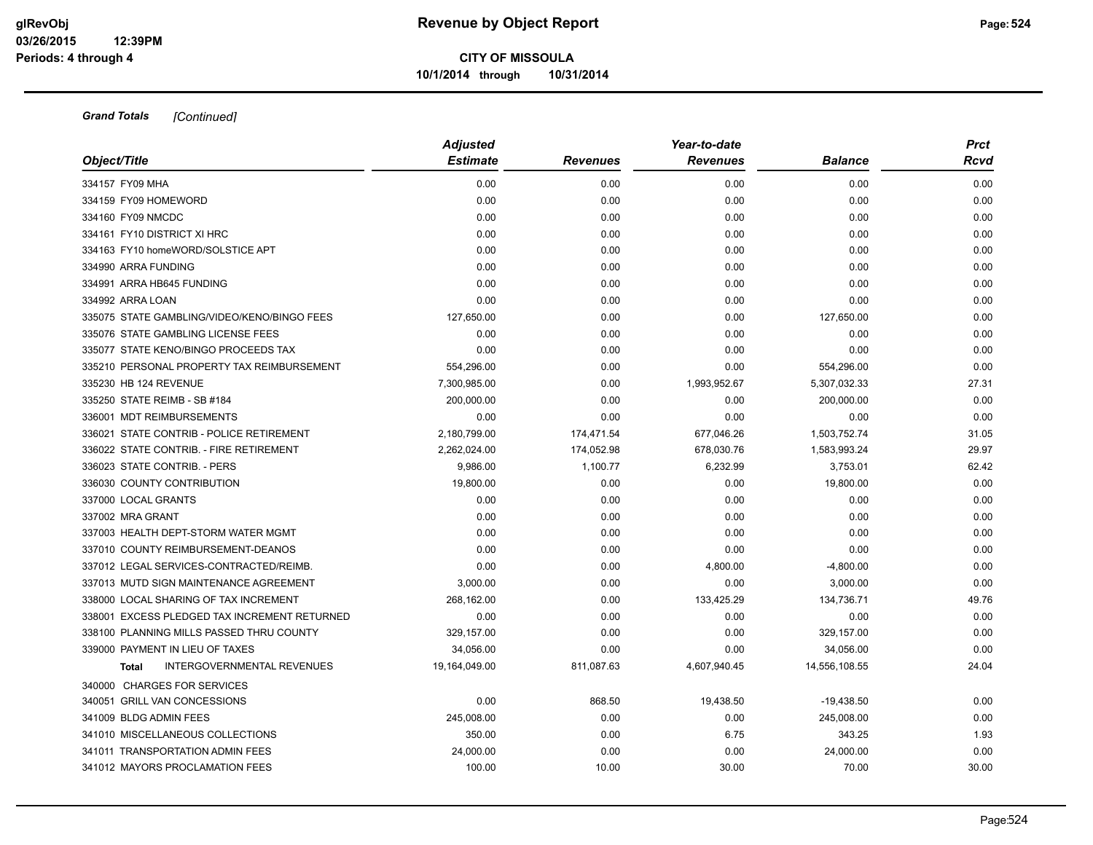|                                              | <b>Adjusted</b> |                 | Year-to-date    |                | <b>Prct</b> |
|----------------------------------------------|-----------------|-----------------|-----------------|----------------|-------------|
| Object/Title                                 | <b>Estimate</b> | <b>Revenues</b> | <b>Revenues</b> | <b>Balance</b> | Rcvd        |
| 334157 FY09 MHA                              | 0.00            | 0.00            | 0.00            | 0.00           | 0.00        |
| 334159 FY09 HOMEWORD                         | 0.00            | 0.00            | 0.00            | 0.00           | 0.00        |
| 334160 FY09 NMCDC                            | 0.00            | 0.00            | 0.00            | 0.00           | 0.00        |
| 334161 FY10 DISTRICT XI HRC                  | 0.00            | 0.00            | 0.00            | 0.00           | 0.00        |
| 334163 FY10 homeWORD/SOLSTICE APT            | 0.00            | 0.00            | 0.00            | 0.00           | 0.00        |
| 334990 ARRA FUNDING                          | 0.00            | 0.00            | 0.00            | 0.00           | 0.00        |
| 334991 ARRA HB645 FUNDING                    | 0.00            | 0.00            | 0.00            | 0.00           | 0.00        |
| 334992 ARRA LOAN                             | 0.00            | 0.00            | 0.00            | 0.00           | 0.00        |
| 335075 STATE GAMBLING/VIDEO/KENO/BINGO FEES  | 127,650.00      | 0.00            | 0.00            | 127,650.00     | 0.00        |
| 335076 STATE GAMBLING LICENSE FEES           | 0.00            | 0.00            | 0.00            | 0.00           | 0.00        |
| 335077 STATE KENO/BINGO PROCEEDS TAX         | 0.00            | 0.00            | 0.00            | 0.00           | 0.00        |
| 335210 PERSONAL PROPERTY TAX REIMBURSEMENT   | 554,296.00      | 0.00            | 0.00            | 554,296.00     | 0.00        |
| 335230 HB 124 REVENUE                        | 7,300,985.00    | 0.00            | 1,993,952.67    | 5,307,032.33   | 27.31       |
| 335250 STATE REIMB - SB #184                 | 200,000.00      | 0.00            | 0.00            | 200,000.00     | 0.00        |
| 336001 MDT REIMBURSEMENTS                    | 0.00            | 0.00            | 0.00            | 0.00           | 0.00        |
| 336021 STATE CONTRIB - POLICE RETIREMENT     | 2,180,799.00    | 174,471.54      | 677,046.26      | 1,503,752.74   | 31.05       |
| 336022 STATE CONTRIB. - FIRE RETIREMENT      | 2,262,024.00    | 174,052.98      | 678,030.76      | 1,583,993.24   | 29.97       |
| 336023 STATE CONTRIB. - PERS                 | 9,986.00        | 1,100.77        | 6,232.99        | 3,753.01       | 62.42       |
| 336030 COUNTY CONTRIBUTION                   | 19,800.00       | 0.00            | 0.00            | 19,800.00      | 0.00        |
| 337000 LOCAL GRANTS                          | 0.00            | 0.00            | 0.00            | 0.00           | 0.00        |
| 337002 MRA GRANT                             | 0.00            | 0.00            | 0.00            | 0.00           | 0.00        |
| 337003 HEALTH DEPT-STORM WATER MGMT          | 0.00            | 0.00            | 0.00            | 0.00           | 0.00        |
| 337010 COUNTY REIMBURSEMENT-DEANOS           | 0.00            | 0.00            | 0.00            | 0.00           | 0.00        |
| 337012 LEGAL SERVICES-CONTRACTED/REIMB.      | 0.00            | 0.00            | 4,800.00        | $-4,800.00$    | 0.00        |
| 337013 MUTD SIGN MAINTENANCE AGREEMENT       | 3,000.00        | 0.00            | 0.00            | 3,000.00       | 0.00        |
| 338000 LOCAL SHARING OF TAX INCREMENT        | 268,162.00      | 0.00            | 133,425.29      | 134,736.71     | 49.76       |
| 338001 EXCESS PLEDGED TAX INCREMENT RETURNED | 0.00            | 0.00            | 0.00            | 0.00           | 0.00        |
| 338100 PLANNING MILLS PASSED THRU COUNTY     | 329,157.00      | 0.00            | 0.00            | 329,157.00     | 0.00        |
| 339000 PAYMENT IN LIEU OF TAXES              | 34,056.00       | 0.00            | 0.00            | 34,056.00      | 0.00        |
| INTERGOVERNMENTAL REVENUES<br><b>Total</b>   | 19,164,049.00   | 811,087.63      | 4,607,940.45    | 14,556,108.55  | 24.04       |
| 340000 CHARGES FOR SERVICES                  |                 |                 |                 |                |             |
| 340051 GRILL VAN CONCESSIONS                 | 0.00            | 868.50          | 19,438.50       | $-19,438.50$   | 0.00        |
| 341009 BLDG ADMIN FEES                       | 245,008.00      | 0.00            | 0.00            | 245,008.00     | 0.00        |
| 341010 MISCELLANEOUS COLLECTIONS             | 350.00          | 0.00            | 6.75            | 343.25         | 1.93        |
| 341011 TRANSPORTATION ADMIN FEES             | 24,000.00       | 0.00            | 0.00            | 24,000.00      | 0.00        |
| 341012 MAYORS PROCLAMATION FEES              | 100.00          | 10.00           | 30.00           | 70.00          | 30.00       |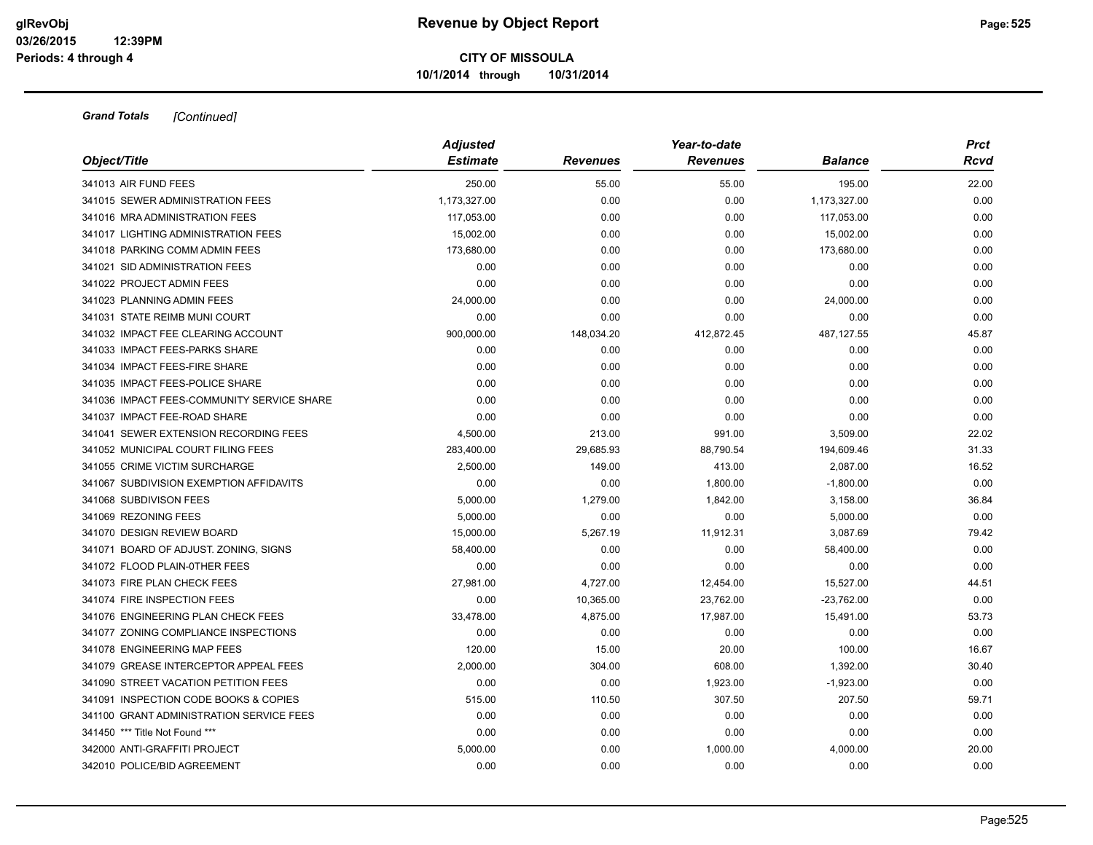| Object/Title                               | <b>Adjusted</b> |                 | Year-to-date    | <b>Prct</b>    |       |
|--------------------------------------------|-----------------|-----------------|-----------------|----------------|-------|
|                                            | <b>Estimate</b> | <b>Revenues</b> | <b>Revenues</b> | <b>Balance</b> | Rcvd  |
| 341013 AIR FUND FEES                       | 250.00          | 55.00           | 55.00           | 195.00         | 22.00 |
| 341015 SEWER ADMINISTRATION FEES           | 1,173,327.00    | 0.00            | 0.00            | 1,173,327.00   | 0.00  |
| 341016 MRA ADMINISTRATION FEES             | 117,053.00      | 0.00            | 0.00            | 117,053.00     | 0.00  |
| 341017 LIGHTING ADMINISTRATION FEES        | 15,002.00       | 0.00            | 0.00            | 15,002.00      | 0.00  |
| 341018 PARKING COMM ADMIN FEES             | 173,680.00      | 0.00            | 0.00            | 173,680.00     | 0.00  |
| 341021 SID ADMINISTRATION FEES             | 0.00            | 0.00            | 0.00            | 0.00           | 0.00  |
| 341022 PROJECT ADMIN FEES                  | 0.00            | 0.00            | 0.00            | 0.00           | 0.00  |
| 341023 PLANNING ADMIN FEES                 | 24,000.00       | 0.00            | 0.00            | 24,000.00      | 0.00  |
| 341031 STATE REIMB MUNI COURT              | 0.00            | 0.00            | 0.00            | 0.00           | 0.00  |
| 341032 IMPACT FEE CLEARING ACCOUNT         | 900,000.00      | 148,034.20      | 412,872.45      | 487,127.55     | 45.87 |
| 341033 IMPACT FEES-PARKS SHARE             | 0.00            | 0.00            | 0.00            | 0.00           | 0.00  |
| 341034 IMPACT FEES-FIRE SHARE              | 0.00            | 0.00            | 0.00            | 0.00           | 0.00  |
| 341035 IMPACT FEES-POLICE SHARE            | 0.00            | 0.00            | 0.00            | 0.00           | 0.00  |
| 341036 IMPACT FEES-COMMUNITY SERVICE SHARE | 0.00            | 0.00            | 0.00            | 0.00           | 0.00  |
| 341037 IMPACT FEE-ROAD SHARE               | 0.00            | 0.00            | 0.00            | 0.00           | 0.00  |
| 341041 SEWER EXTENSION RECORDING FEES      | 4,500.00        | 213.00          | 991.00          | 3,509.00       | 22.02 |
| 341052 MUNICIPAL COURT FILING FEES         | 283,400.00      | 29,685.93       | 88,790.54       | 194,609.46     | 31.33 |
| 341055 CRIME VICTIM SURCHARGE              | 2,500.00        | 149.00          | 413.00          | 2,087.00       | 16.52 |
| 341067 SUBDIVISION EXEMPTION AFFIDAVITS    | 0.00            | 0.00            | 1,800.00        | $-1,800.00$    | 0.00  |
| 341068 SUBDIVISON FEES                     | 5,000.00        | 1,279.00        | 1,842.00        | 3,158.00       | 36.84 |
| 341069 REZONING FEES                       | 5.000.00        | 0.00            | 0.00            | 5,000.00       | 0.00  |
| 341070 DESIGN REVIEW BOARD                 | 15,000.00       | 5,267.19        | 11,912.31       | 3,087.69       | 79.42 |
| 341071 BOARD OF ADJUST. ZONING, SIGNS      | 58,400.00       | 0.00            | 0.00            | 58,400.00      | 0.00  |
| 341072 FLOOD PLAIN-0THER FEES              | 0.00            | 0.00            | 0.00            | 0.00           | 0.00  |
| 341073 FIRE PLAN CHECK FEES                | 27,981.00       | 4,727.00        | 12,454.00       | 15,527.00      | 44.51 |
| 341074 FIRE INSPECTION FEES                | 0.00            | 10,365.00       | 23,762.00       | $-23,762.00$   | 0.00  |
| 341076 ENGINEERING PLAN CHECK FEES         | 33,478.00       | 4,875.00        | 17,987.00       | 15,491.00      | 53.73 |
| 341077 ZONING COMPLIANCE INSPECTIONS       | 0.00            | 0.00            | 0.00            | 0.00           | 0.00  |
| 341078 ENGINEERING MAP FEES                | 120.00          | 15.00           | 20.00           | 100.00         | 16.67 |
| 341079 GREASE INTERCEPTOR APPEAL FEES      | 2,000.00        | 304.00          | 608.00          | 1,392.00       | 30.40 |
| 341090 STREET VACATION PETITION FEES       | 0.00            | 0.00            | 1,923.00        | $-1,923.00$    | 0.00  |
| 341091 INSPECTION CODE BOOKS & COPIES      | 515.00          | 110.50          | 307.50          | 207.50         | 59.71 |
| 341100 GRANT ADMINISTRATION SERVICE FEES   | 0.00            | 0.00            | 0.00            | 0.00           | 0.00  |
| 341450 *** Title Not Found ***             | 0.00            | 0.00            | 0.00            | 0.00           | 0.00  |
| 342000 ANTI-GRAFFITI PROJECT               | 5,000.00        | 0.00            | 1,000.00        | 4,000.00       | 20.00 |
| 342010 POLICE/BID AGREEMENT                | 0.00            | 0.00            | 0.00            | 0.00           | 0.00  |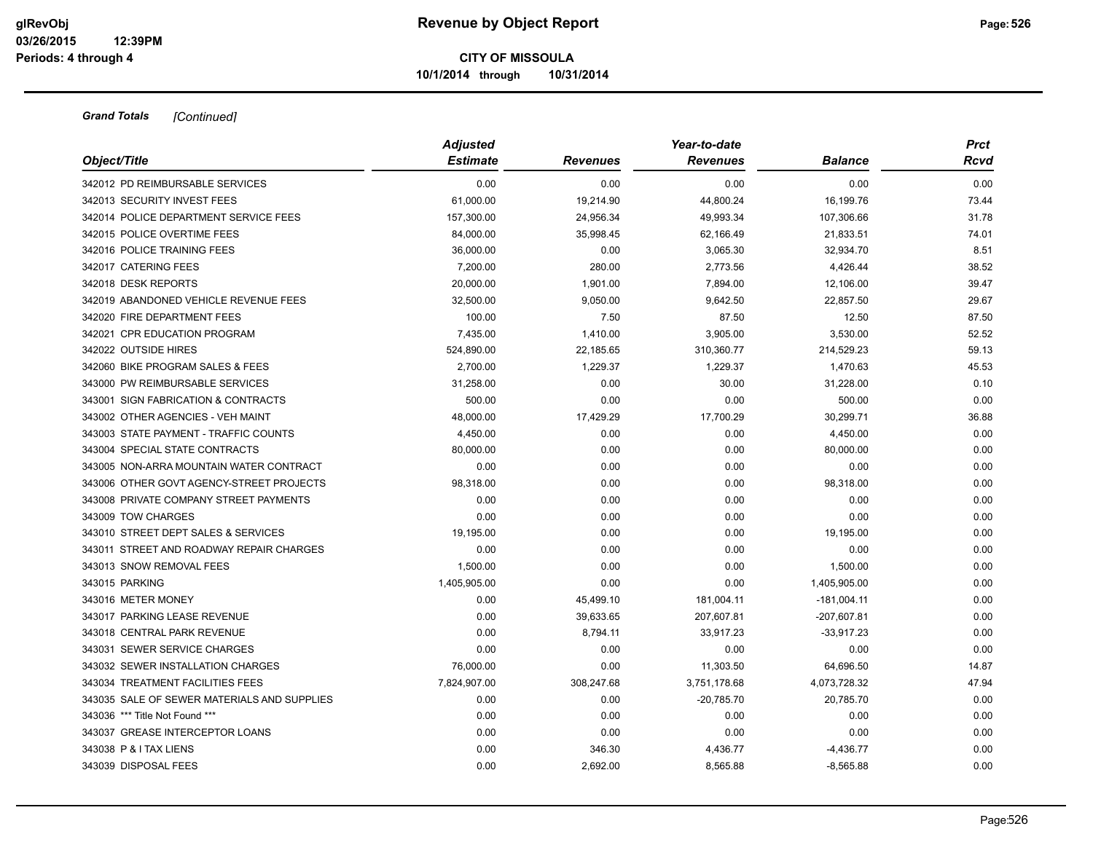| Object/Title                                | <b>Adjusted</b><br><b>Estimate</b> | <b>Revenues</b> | Year-to-date<br><b>Revenues</b> | <b>Balance</b> | <b>Prct</b><br>Rcvd |
|---------------------------------------------|------------------------------------|-----------------|---------------------------------|----------------|---------------------|
| 342012 PD REIMBURSABLE SERVICES             | 0.00                               | 0.00            | 0.00                            | 0.00           | 0.00                |
| 342013 SECURITY INVEST FEES                 | 61,000.00                          | 19,214.90       | 44,800.24                       | 16,199.76      | 73.44               |
| 342014 POLICE DEPARTMENT SERVICE FEES       | 157,300.00                         | 24,956.34       | 49,993.34                       | 107,306.66     | 31.78               |
| 342015 POLICE OVERTIME FEES                 | 84,000.00                          | 35,998.45       | 62,166.49                       | 21,833.51      | 74.01               |
| 342016 POLICE TRAINING FEES                 | 36,000.00                          | 0.00            | 3,065.30                        | 32,934.70      | 8.51                |
| 342017 CATERING FEES                        | 7,200.00                           | 280.00          | 2,773.56                        | 4,426.44       | 38.52               |
| 342018 DESK REPORTS                         | 20,000.00                          | 1,901.00        | 7,894.00                        | 12,106.00      | 39.47               |
| 342019 ABANDONED VEHICLE REVENUE FEES       | 32,500.00                          | 9,050.00        | 9,642.50                        | 22,857.50      | 29.67               |
| 342020 FIRE DEPARTMENT FEES                 | 100.00                             | 7.50            | 87.50                           | 12.50          | 87.50               |
| 342021 CPR EDUCATION PROGRAM                | 7,435.00                           | 1,410.00        | 3,905.00                        | 3,530.00       | 52.52               |
| 342022 OUTSIDE HIRES                        | 524,890.00                         | 22,185.65       | 310,360.77                      | 214,529.23     | 59.13               |
| 342060 BIKE PROGRAM SALES & FEES            | 2,700.00                           | 1,229.37        | 1,229.37                        | 1,470.63       | 45.53               |
| 343000 PW REIMBURSABLE SERVICES             | 31,258.00                          | 0.00            | 30.00                           | 31,228.00      | 0.10                |
| 343001 SIGN FABRICATION & CONTRACTS         | 500.00                             | 0.00            | 0.00                            | 500.00         | 0.00                |
| 343002 OTHER AGENCIES - VEH MAINT           | 48,000.00                          | 17,429.29       | 17,700.29                       | 30,299.71      | 36.88               |
| 343003 STATE PAYMENT - TRAFFIC COUNTS       | 4,450.00                           | 0.00            | 0.00                            | 4,450.00       | 0.00                |
| 343004 SPECIAL STATE CONTRACTS              | 80,000.00                          | 0.00            | 0.00                            | 80,000.00      | 0.00                |
| 343005 NON-ARRA MOUNTAIN WATER CONTRACT     | 0.00                               | 0.00            | 0.00                            | 0.00           | 0.00                |
| 343006 OTHER GOVT AGENCY-STREET PROJECTS    | 98,318.00                          | 0.00            | 0.00                            | 98,318.00      | 0.00                |
| 343008 PRIVATE COMPANY STREET PAYMENTS      | 0.00                               | 0.00            | 0.00                            | 0.00           | 0.00                |
| 343009 TOW CHARGES                          | 0.00                               | 0.00            | 0.00                            | 0.00           | 0.00                |
| 343010 STREET DEPT SALES & SERVICES         | 19,195.00                          | 0.00            | 0.00                            | 19,195.00      | 0.00                |
| 343011 STREET AND ROADWAY REPAIR CHARGES    | 0.00                               | 0.00            | 0.00                            | 0.00           | 0.00                |
| 343013 SNOW REMOVAL FEES                    | 1,500.00                           | 0.00            | 0.00                            | 1,500.00       | 0.00                |
| 343015 PARKING                              | 1,405,905.00                       | 0.00            | 0.00                            | 1,405,905.00   | 0.00                |
| 343016 METER MONEY                          | 0.00                               | 45,499.10       | 181,004.11                      | $-181,004.11$  | 0.00                |
| 343017 PARKING LEASE REVENUE                | 0.00                               | 39,633.65       | 207,607.81                      | $-207,607.81$  | 0.00                |
| 343018 CENTRAL PARK REVENUE                 | 0.00                               | 8,794.11        | 33,917.23                       | $-33,917.23$   | 0.00                |
| 343031 SEWER SERVICE CHARGES                | 0.00                               | 0.00            | 0.00                            | 0.00           | 0.00                |
| 343032 SEWER INSTALLATION CHARGES           | 76,000.00                          | 0.00            | 11,303.50                       | 64,696.50      | 14.87               |
| 343034 TREATMENT FACILITIES FEES            | 7,824,907.00                       | 308,247.68      | 3,751,178.68                    | 4,073,728.32   | 47.94               |
| 343035 SALE OF SEWER MATERIALS AND SUPPLIES | 0.00                               | 0.00            | $-20,785.70$                    | 20,785.70      | 0.00                |
| 343036 *** Title Not Found ***              | 0.00                               | 0.00            | 0.00                            | 0.00           | 0.00                |
| 343037 GREASE INTERCEPTOR LOANS             | 0.00                               | 0.00            | 0.00                            | 0.00           | 0.00                |
| 343038 P & I TAX LIENS                      | 0.00                               | 346.30          | 4,436.77                        | $-4,436.77$    | 0.00                |
| 343039 DISPOSAL FEES                        | 0.00                               | 2,692.00        | 8,565.88                        | $-8,565.88$    | 0.00                |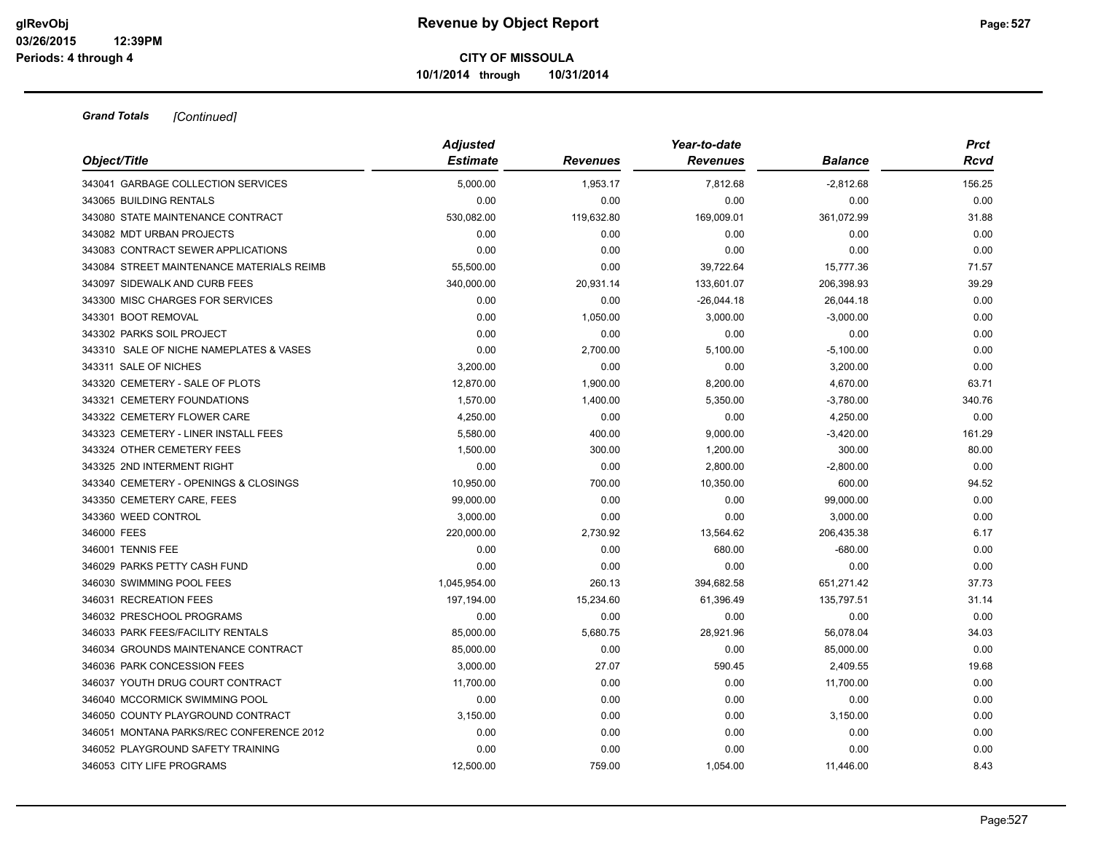| Object/Title                              | <b>Adjusted</b><br><b>Estimate</b> | <b>Revenues</b> | Year-to-date<br><b>Revenues</b> | <b>Balance</b> | <b>Prct</b><br>Rcvd |
|-------------------------------------------|------------------------------------|-----------------|---------------------------------|----------------|---------------------|
|                                           |                                    |                 |                                 |                |                     |
| 343041 GARBAGE COLLECTION SERVICES        | 5,000.00                           | 1,953.17        | 7,812.68                        | $-2,812.68$    | 156.25              |
| 343065 BUILDING RENTALS                   | 0.00                               | 0.00            | 0.00                            | 0.00           | 0.00                |
| 343080 STATE MAINTENANCE CONTRACT         | 530,082.00                         | 119,632.80      | 169,009.01                      | 361,072.99     | 31.88               |
| 343082 MDT URBAN PROJECTS                 | 0.00                               | 0.00            | 0.00                            | 0.00           | 0.00                |
| 343083 CONTRACT SEWER APPLICATIONS        | 0.00                               | 0.00            | 0.00                            | 0.00           | 0.00                |
| 343084 STREET MAINTENANCE MATERIALS REIMB | 55,500.00                          | 0.00            | 39,722.64                       | 15,777.36      | 71.57               |
| 343097 SIDEWALK AND CURB FEES             | 340,000.00                         | 20,931.14       | 133,601.07                      | 206,398.93     | 39.29               |
| 343300 MISC CHARGES FOR SERVICES          | 0.00                               | 0.00            | $-26,044.18$                    | 26,044.18      | 0.00                |
| 343301 BOOT REMOVAL                       | 0.00                               | 1,050.00        | 3,000.00                        | $-3,000.00$    | 0.00                |
| 343302 PARKS SOIL PROJECT                 | 0.00                               | 0.00            | 0.00                            | 0.00           | 0.00                |
| 343310 SALE OF NICHE NAMEPLATES & VASES   | 0.00                               | 2,700.00        | 5,100.00                        | $-5,100.00$    | 0.00                |
| 343311 SALE OF NICHES                     | 3,200.00                           | 0.00            | 0.00                            | 3,200.00       | 0.00                |
| 343320 CEMETERY - SALE OF PLOTS           | 12,870.00                          | 1,900.00        | 8,200.00                        | 4,670.00       | 63.71               |
| 343321 CEMETERY FOUNDATIONS               | 1,570.00                           | 1,400.00        | 5,350.00                        | $-3,780.00$    | 340.76              |
| 343322 CEMETERY FLOWER CARE               | 4,250.00                           | 0.00            | 0.00                            | 4,250.00       | 0.00                |
| 343323 CEMETERY - LINER INSTALL FEES      | 5,580.00                           | 400.00          | 9,000.00                        | $-3,420.00$    | 161.29              |
| 343324 OTHER CEMETERY FEES                | 1,500.00                           | 300.00          | 1,200.00                        | 300.00         | 80.00               |
| 343325 2ND INTERMENT RIGHT                | 0.00                               | 0.00            | 2,800.00                        | $-2,800.00$    | 0.00                |
| 343340 CEMETERY - OPENINGS & CLOSINGS     | 10,950.00                          | 700.00          | 10,350.00                       | 600.00         | 94.52               |
| 343350 CEMETERY CARE, FEES                | 99,000.00                          | 0.00            | 0.00                            | 99,000.00      | 0.00                |
| 343360 WEED CONTROL                       | 3,000.00                           | 0.00            | 0.00                            | 3,000.00       | 0.00                |
| 346000 FEES                               | 220,000.00                         | 2,730.92        | 13,564.62                       | 206,435.38     | 6.17                |
| 346001 TENNIS FEE                         | 0.00                               | 0.00            | 680.00                          | $-680.00$      | 0.00                |
| 346029 PARKS PETTY CASH FUND              | 0.00                               | 0.00            | 0.00                            | 0.00           | 0.00                |
| 346030 SWIMMING POOL FEES                 | 1,045,954.00                       | 260.13          | 394,682.58                      | 651,271.42     | 37.73               |
| 346031 RECREATION FEES                    | 197,194.00                         | 15,234.60       | 61,396.49                       | 135,797.51     | 31.14               |
| 346032 PRESCHOOL PROGRAMS                 | 0.00                               | 0.00            | 0.00                            | 0.00           | 0.00                |
| 346033 PARK FEES/FACILITY RENTALS         | 85,000.00                          | 5,680.75        | 28,921.96                       | 56,078.04      | 34.03               |
| 346034 GROUNDS MAINTENANCE CONTRACT       | 85,000.00                          | 0.00            | 0.00                            | 85,000.00      | 0.00                |
| 346036 PARK CONCESSION FEES               | 3,000.00                           | 27.07           | 590.45                          | 2,409.55       | 19.68               |
| 346037 YOUTH DRUG COURT CONTRACT          | 11,700.00                          | 0.00            | 0.00                            | 11,700.00      | 0.00                |
| 346040 MCCORMICK SWIMMING POOL            | 0.00                               | 0.00            | 0.00                            | 0.00           | 0.00                |
| 346050 COUNTY PLAYGROUND CONTRACT         | 3,150.00                           | 0.00            | 0.00                            | 3,150.00       | 0.00                |
| 346051 MONTANA PARKS/REC CONFERENCE 2012  | 0.00                               | 0.00            | 0.00                            | 0.00           | 0.00                |
| 346052 PLAYGROUND SAFETY TRAINING         | 0.00                               | 0.00            | 0.00                            | 0.00           | 0.00                |
| 346053 CITY LIFE PROGRAMS                 | 12,500.00                          | 759.00          | 1,054.00                        | 11.446.00      | 8.43                |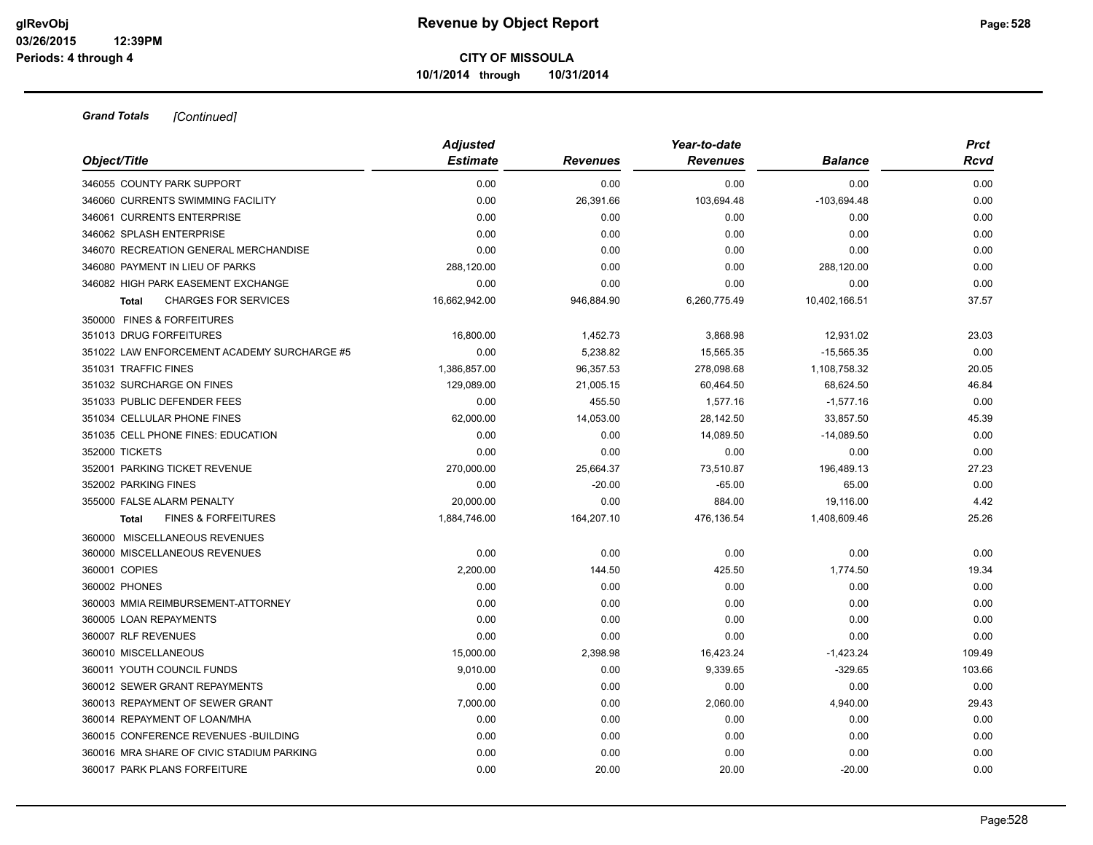| Object/Title                                   | <b>Adjusted</b><br><b>Estimate</b> | <b>Revenues</b> | Year-to-date<br><b>Revenues</b> | <b>Balance</b> | <b>Prct</b><br>Rcvd |
|------------------------------------------------|------------------------------------|-----------------|---------------------------------|----------------|---------------------|
| 346055 COUNTY PARK SUPPORT                     | 0.00                               | 0.00            | 0.00                            | 0.00           | 0.00                |
|                                                | 0.00                               |                 | 103,694.48                      |                | 0.00                |
| 346060 CURRENTS SWIMMING FACILITY              |                                    | 26,391.66       |                                 | $-103,694.48$  |                     |
| 346061 CURRENTS ENTERPRISE                     | 0.00                               | 0.00            | 0.00                            | 0.00           | 0.00                |
| 346062 SPLASH ENTERPRISE                       | 0.00                               | 0.00            | 0.00                            | 0.00           | 0.00                |
| 346070 RECREATION GENERAL MERCHANDISE          | 0.00                               | 0.00            | 0.00                            | 0.00           | 0.00                |
| 346080 PAYMENT IN LIEU OF PARKS                | 288,120.00                         | 0.00            | 0.00                            | 288,120.00     | 0.00                |
| 346082 HIGH PARK EASEMENT EXCHANGE             | 0.00                               | 0.00            | 0.00                            | 0.00           | 0.00                |
| <b>CHARGES FOR SERVICES</b><br><b>Total</b>    | 16,662,942.00                      | 946,884.90      | 6,260,775.49                    | 10,402,166.51  | 37.57               |
| 350000 FINES & FORFEITURES                     |                                    |                 |                                 |                |                     |
| 351013 DRUG FORFEITURES                        | 16,800.00                          | 1,452.73        | 3,868.98                        | 12,931.02      | 23.03               |
| 351022 LAW ENFORCEMENT ACADEMY SURCHARGE #5    | 0.00                               | 5,238.82        | 15,565.35                       | $-15,565.35$   | 0.00                |
| 351031 TRAFFIC FINES                           | 1,386,857.00                       | 96,357.53       | 278,098.68                      | 1,108,758.32   | 20.05               |
| 351032 SURCHARGE ON FINES                      | 129,089.00                         | 21,005.15       | 60,464.50                       | 68,624.50      | 46.84               |
| 351033 PUBLIC DEFENDER FEES                    | 0.00                               | 455.50          | 1,577.16                        | $-1,577.16$    | 0.00                |
| 351034 CELLULAR PHONE FINES                    | 62,000.00                          | 14,053.00       | 28,142.50                       | 33,857.50      | 45.39               |
| 351035 CELL PHONE FINES: EDUCATION             | 0.00                               | 0.00            | 14,089.50                       | $-14,089.50$   | 0.00                |
| 352000 TICKETS                                 | 0.00                               | 0.00            | 0.00                            | 0.00           | 0.00                |
| 352001 PARKING TICKET REVENUE                  | 270,000.00                         | 25,664.37       | 73,510.87                       | 196,489.13     | 27.23               |
| 352002 PARKING FINES                           | 0.00                               | $-20.00$        | $-65.00$                        | 65.00          | 0.00                |
| 355000 FALSE ALARM PENALTY                     | 20,000.00                          | 0.00            | 884.00                          | 19,116.00      | 4.42                |
| <b>FINES &amp; FORFEITURES</b><br><b>Total</b> | 1,884,746.00                       | 164,207.10      | 476,136.54                      | 1,408,609.46   | 25.26               |
| 360000 MISCELLANEOUS REVENUES                  |                                    |                 |                                 |                |                     |
| 360000 MISCELLANEOUS REVENUES                  | 0.00                               | 0.00            | 0.00                            | 0.00           | 0.00                |
| 360001 COPIES                                  | 2,200.00                           | 144.50          | 425.50                          | 1,774.50       | 19.34               |
| 360002 PHONES                                  | 0.00                               | 0.00            | 0.00                            | 0.00           | 0.00                |
| 360003 MMIA REIMBURSEMENT-ATTORNEY             | 0.00                               | 0.00            | 0.00                            | 0.00           | 0.00                |
| 360005 LOAN REPAYMENTS                         | 0.00                               | 0.00            | 0.00                            | 0.00           | 0.00                |
| 360007 RLF REVENUES                            | 0.00                               | 0.00            | 0.00                            | 0.00           | 0.00                |
| 360010 MISCELLANEOUS                           | 15,000.00                          | 2,398.98        | 16,423.24                       | $-1,423.24$    | 109.49              |
| 360011 YOUTH COUNCIL FUNDS                     | 9,010.00                           | 0.00            | 9,339.65                        | $-329.65$      | 103.66              |
| 360012 SEWER GRANT REPAYMENTS                  | 0.00                               | 0.00            | 0.00                            | 0.00           | 0.00                |
| 360013 REPAYMENT OF SEWER GRANT                | 7,000.00                           | 0.00            | 2,060.00                        | 4,940.00       | 29.43               |
| 360014 REPAYMENT OF LOAN/MHA                   | 0.00                               | 0.00            | 0.00                            | 0.00           | 0.00                |
| 360015 CONFERENCE REVENUES - BUILDING          | 0.00                               | 0.00            | 0.00                            | 0.00           | 0.00                |
| 360016 MRA SHARE OF CIVIC STADIUM PARKING      | 0.00                               | 0.00            | 0.00                            | 0.00           | 0.00                |
| 360017 PARK PLANS FORFEITURE                   | 0.00                               | 20.00           | 20.00                           | $-20.00$       | 0.00                |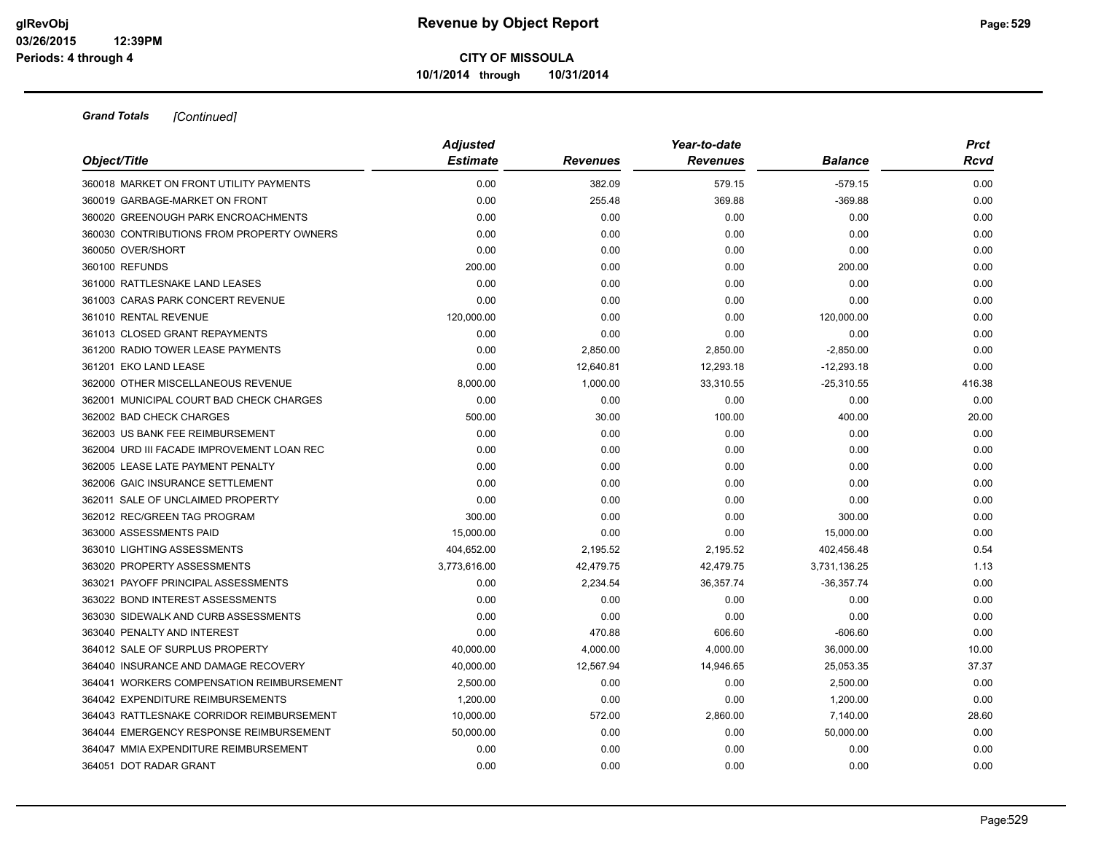| Object/Title                               | <b>Adjusted</b> |                 | Year-to-date<br><b>Revenues</b> | <b>Balance</b> | <b>Prct</b><br>Rcvd |
|--------------------------------------------|-----------------|-----------------|---------------------------------|----------------|---------------------|
|                                            | <b>Estimate</b> | <b>Revenues</b> |                                 |                |                     |
| 360018 MARKET ON FRONT UTILITY PAYMENTS    | 0.00            | 382.09          | 579.15                          | $-579.15$      | 0.00                |
| 360019 GARBAGE-MARKET ON FRONT             | 0.00            | 255.48          | 369.88                          | $-369.88$      | 0.00                |
| 360020 GREENOUGH PARK ENCROACHMENTS        | 0.00            | 0.00            | 0.00                            | 0.00           | 0.00                |
| 360030 CONTRIBUTIONS FROM PROPERTY OWNERS  | 0.00            | 0.00            | 0.00                            | 0.00           | 0.00                |
| 360050 OVER/SHORT                          | 0.00            | 0.00            | 0.00                            | 0.00           | 0.00                |
| 360100 REFUNDS                             | 200.00          | 0.00            | 0.00                            | 200.00         | 0.00                |
| 361000 RATTLESNAKE LAND LEASES             | 0.00            | 0.00            | 0.00                            | 0.00           | 0.00                |
| 361003 CARAS PARK CONCERT REVENUE          | 0.00            | 0.00            | 0.00                            | 0.00           | 0.00                |
| 361010 RENTAL REVENUE                      | 120,000.00      | 0.00            | 0.00                            | 120,000.00     | 0.00                |
| 361013 CLOSED GRANT REPAYMENTS             | 0.00            | 0.00            | 0.00                            | 0.00           | 0.00                |
| 361200 RADIO TOWER LEASE PAYMENTS          | 0.00            | 2,850.00        | 2,850.00                        | $-2,850.00$    | 0.00                |
| 361201 EKO LAND LEASE                      | 0.00            | 12,640.81       | 12,293.18                       | $-12,293.18$   | 0.00                |
| 362000 OTHER MISCELLANEOUS REVENUE         | 8,000.00        | 1,000.00        | 33,310.55                       | $-25,310.55$   | 416.38              |
| 362001 MUNICIPAL COURT BAD CHECK CHARGES   | 0.00            | 0.00            | 0.00                            | 0.00           | 0.00                |
| 362002 BAD CHECK CHARGES                   | 500.00          | 30.00           | 100.00                          | 400.00         | 20.00               |
| 362003 US BANK FEE REIMBURSEMENT           | 0.00            | 0.00            | 0.00                            | 0.00           | 0.00                |
| 362004 URD III FACADE IMPROVEMENT LOAN REC | 0.00            | 0.00            | 0.00                            | 0.00           | 0.00                |
| 362005 LEASE LATE PAYMENT PENALTY          | 0.00            | 0.00            | 0.00                            | 0.00           | 0.00                |
| 362006 GAIC INSURANCE SETTLEMENT           | 0.00            | 0.00            | 0.00                            | 0.00           | 0.00                |
| 362011 SALE OF UNCLAIMED PROPERTY          | 0.00            | 0.00            | 0.00                            | 0.00           | 0.00                |
| 362012 REC/GREEN TAG PROGRAM               | 300.00          | 0.00            | 0.00                            | 300.00         | 0.00                |
| 363000 ASSESSMENTS PAID                    | 15,000.00       | 0.00            | 0.00                            | 15,000.00      | 0.00                |
| 363010 LIGHTING ASSESSMENTS                | 404,652.00      | 2,195.52        | 2,195.52                        | 402,456.48     | 0.54                |
| 363020 PROPERTY ASSESSMENTS                | 3,773,616.00    | 42,479.75       | 42,479.75                       | 3,731,136.25   | 1.13                |
| 363021 PAYOFF PRINCIPAL ASSESSMENTS        | 0.00            | 2,234.54        | 36,357.74                       | $-36,357.74$   | 0.00                |
| 363022 BOND INTEREST ASSESSMENTS           | 0.00            | 0.00            | 0.00                            | 0.00           | 0.00                |
| 363030 SIDEWALK AND CURB ASSESSMENTS       | 0.00            | 0.00            | 0.00                            | 0.00           | 0.00                |
| 363040 PENALTY AND INTEREST                | 0.00            | 470.88          | 606.60                          | $-606.60$      | 0.00                |
| 364012 SALE OF SURPLUS PROPERTY            | 40,000.00       | 4,000.00        | 4,000.00                        | 36,000.00      | 10.00               |
| 364040 INSURANCE AND DAMAGE RECOVERY       | 40,000.00       | 12,567.94       | 14,946.65                       | 25,053.35      | 37.37               |
| 364041 WORKERS COMPENSATION REIMBURSEMENT  | 2,500.00        | 0.00            | 0.00                            | 2,500.00       | 0.00                |
| 364042 EXPENDITURE REIMBURSEMENTS          | 1,200.00        | 0.00            | 0.00                            | 1,200.00       | 0.00                |
| 364043 RATTLESNAKE CORRIDOR REIMBURSEMENT  | 10,000.00       | 572.00          | 2,860.00                        | 7,140.00       | 28.60               |
| 364044 EMERGENCY RESPONSE REIMBURSEMENT    | 50,000.00       | 0.00            | 0.00                            | 50,000.00      | 0.00                |
| 364047 MMIA EXPENDITURE REIMBURSEMENT      | 0.00            | 0.00            | 0.00                            | 0.00           | 0.00                |
| 364051 DOT RADAR GRANT                     | 0.00            | 0.00            | 0.00                            | 0.00           | 0.00                |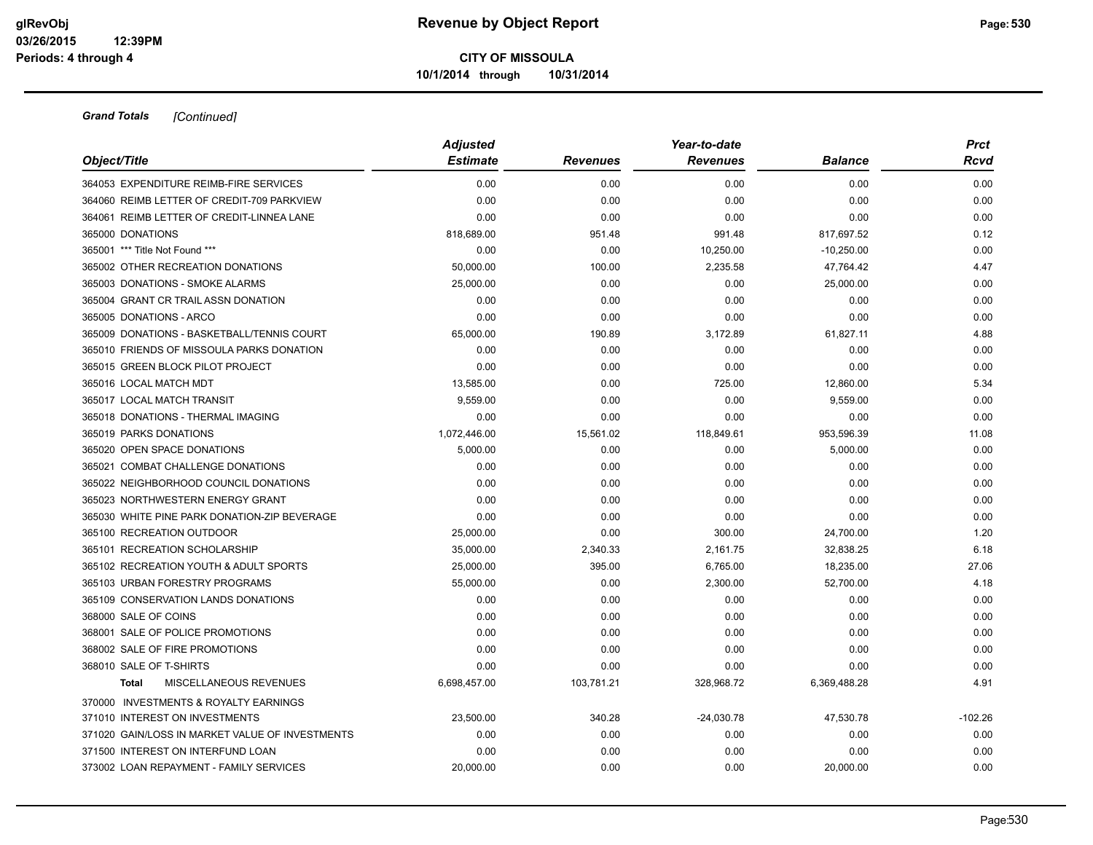| Object/Title                                    | <b>Adjusted</b> |                 | Year-to-date    |                | <b>Prct</b> |
|-------------------------------------------------|-----------------|-----------------|-----------------|----------------|-------------|
|                                                 | <b>Estimate</b> | <b>Revenues</b> | <b>Revenues</b> | <b>Balance</b> | Rcvd        |
| 364053 EXPENDITURE REIMB-FIRE SERVICES          | 0.00            | 0.00            | 0.00            | 0.00           | 0.00        |
| 364060 REIMB LETTER OF CREDIT-709 PARKVIEW      | 0.00            | 0.00            | 0.00            | 0.00           | 0.00        |
| 364061 REIMB LETTER OF CREDIT-LINNEA LANE       | 0.00            | 0.00            | 0.00            | 0.00           | 0.00        |
| 365000 DONATIONS                                | 818,689.00      | 951.48          | 991.48          | 817,697.52     | 0.12        |
| 365001 *** Title Not Found ***                  | 0.00            | 0.00            | 10,250.00       | $-10,250.00$   | 0.00        |
| 365002 OTHER RECREATION DONATIONS               | 50,000.00       | 100.00          | 2,235.58        | 47,764.42      | 4.47        |
| 365003 DONATIONS - SMOKE ALARMS                 | 25,000.00       | 0.00            | 0.00            | 25,000.00      | 0.00        |
| 365004 GRANT CR TRAIL ASSN DONATION             | 0.00            | 0.00            | 0.00            | 0.00           | 0.00        |
| 365005 DONATIONS - ARCO                         | 0.00            | 0.00            | 0.00            | 0.00           | 0.00        |
| 365009 DONATIONS - BASKETBALL/TENNIS COURT      | 65,000.00       | 190.89          | 3,172.89        | 61,827.11      | 4.88        |
| 365010 FRIENDS OF MISSOULA PARKS DONATION       | 0.00            | 0.00            | 0.00            | 0.00           | 0.00        |
| 365015 GREEN BLOCK PILOT PROJECT                | 0.00            | 0.00            | 0.00            | 0.00           | 0.00        |
| 365016 LOCAL MATCH MDT                          | 13,585.00       | 0.00            | 725.00          | 12,860.00      | 5.34        |
| 365017 LOCAL MATCH TRANSIT                      | 9,559.00        | 0.00            | 0.00            | 9,559.00       | 0.00        |
| 365018 DONATIONS - THERMAL IMAGING              | 0.00            | 0.00            | 0.00            | 0.00           | 0.00        |
| 365019 PARKS DONATIONS                          | 1,072,446.00    | 15,561.02       | 118,849.61      | 953,596.39     | 11.08       |
| 365020 OPEN SPACE DONATIONS                     | 5,000.00        | 0.00            | 0.00            | 5,000.00       | 0.00        |
| 365021 COMBAT CHALLENGE DONATIONS               | 0.00            | 0.00            | 0.00            | 0.00           | 0.00        |
| 365022 NEIGHBORHOOD COUNCIL DONATIONS           | 0.00            | 0.00            | 0.00            | 0.00           | 0.00        |
| 365023 NORTHWESTERN ENERGY GRANT                | 0.00            | 0.00            | 0.00            | 0.00           | 0.00        |
| 365030 WHITE PINE PARK DONATION-ZIP BEVERAGE    | 0.00            | 0.00            | 0.00            | 0.00           | 0.00        |
| 365100 RECREATION OUTDOOR                       | 25,000.00       | 0.00            | 300.00          | 24,700.00      | 1.20        |
| 365101 RECREATION SCHOLARSHIP                   | 35,000.00       | 2,340.33        | 2,161.75        | 32,838.25      | 6.18        |
| 365102 RECREATION YOUTH & ADULT SPORTS          | 25,000.00       | 395.00          | 6,765.00        | 18,235.00      | 27.06       |
| 365103 URBAN FORESTRY PROGRAMS                  | 55,000.00       | 0.00            | 2,300.00        | 52,700.00      | 4.18        |
| 365109 CONSERVATION LANDS DONATIONS             | 0.00            | 0.00            | 0.00            | 0.00           | 0.00        |
| 368000 SALE OF COINS                            | 0.00            | 0.00            | 0.00            | 0.00           | 0.00        |
| 368001 SALE OF POLICE PROMOTIONS                | 0.00            | 0.00            | 0.00            | 0.00           | 0.00        |
| 368002 SALE OF FIRE PROMOTIONS                  | 0.00            | 0.00            | 0.00            | 0.00           | 0.00        |
| 368010 SALE OF T-SHIRTS                         | 0.00            | 0.00            | 0.00            | 0.00           | 0.00        |
| MISCELLANEOUS REVENUES<br><b>Total</b>          | 6,698,457.00    | 103,781.21      | 328,968.72      | 6,369,488.28   | 4.91        |
| 370000 INVESTMENTS & ROYALTY EARNINGS           |                 |                 |                 |                |             |
| 371010 INTEREST ON INVESTMENTS                  | 23,500.00       | 340.28          | $-24,030.78$    | 47,530.78      | $-102.26$   |
| 371020 GAIN/LOSS IN MARKET VALUE OF INVESTMENTS | 0.00            | 0.00            | 0.00            | 0.00           | 0.00        |
| 371500 INTEREST ON INTERFUND LOAN               | 0.00            | 0.00            | 0.00            | 0.00           | 0.00        |
| 373002 LOAN REPAYMENT - FAMILY SERVICES         | 20.000.00       | 0.00            | 0.00            | 20,000.00      | 0.00        |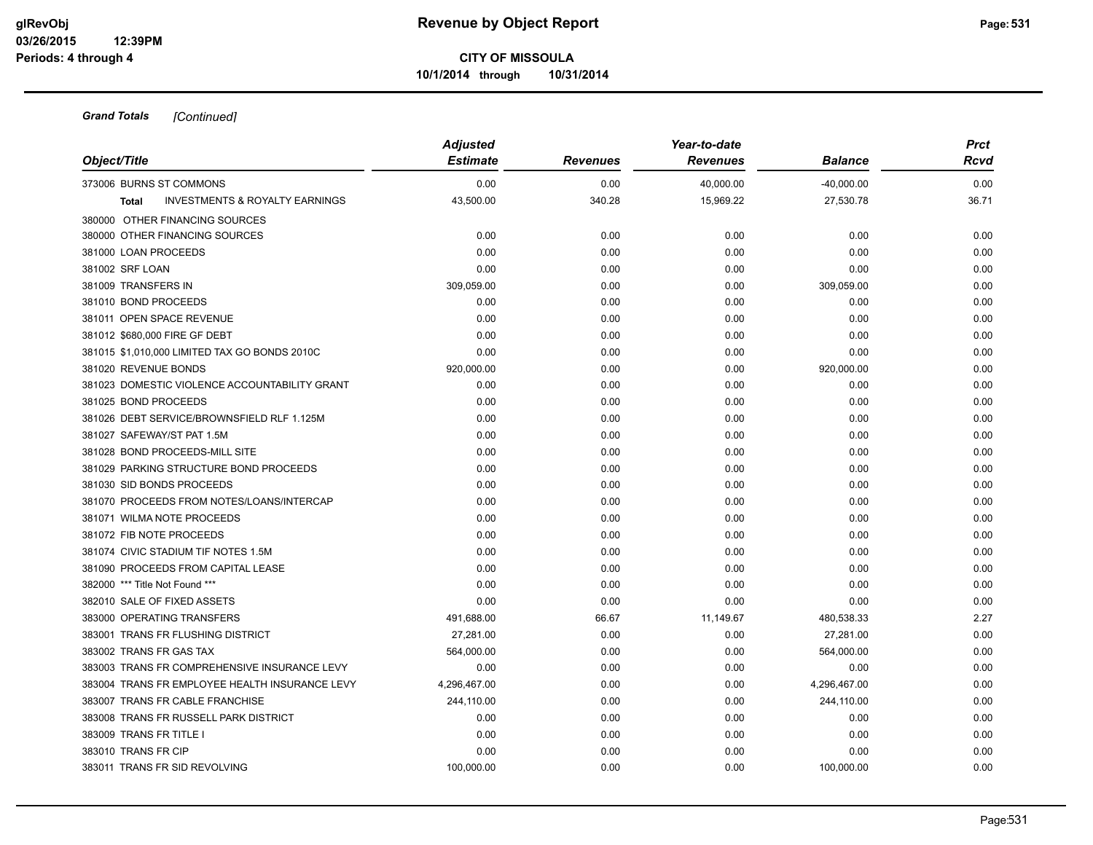**10/1/2014 through 10/31/2014**

| Object/Title                                                         | <b>Adjusted</b><br><b>Estimate</b> | <b>Revenues</b> | Year-to-date<br><b>Revenues</b> | <b>Balance</b> | <b>Prct</b><br>Rcvd |
|----------------------------------------------------------------------|------------------------------------|-----------------|---------------------------------|----------------|---------------------|
|                                                                      |                                    |                 |                                 |                |                     |
| 373006 BURNS ST COMMONS<br><b>INVESTMENTS &amp; ROYALTY EARNINGS</b> | 0.00                               | 0.00            | 40,000.00                       | $-40,000.00$   | 0.00<br>36.71       |
| <b>Total</b>                                                         | 43,500.00                          | 340.28          | 15,969.22                       | 27,530.78      |                     |
| 380000 OTHER FINANCING SOURCES                                       |                                    |                 |                                 |                |                     |
| 380000 OTHER FINANCING SOURCES                                       | 0.00                               | 0.00            | 0.00                            | 0.00           | 0.00                |
| 381000 LOAN PROCEEDS                                                 | 0.00                               | 0.00            | 0.00                            | 0.00           | 0.00                |
| 381002 SRF LOAN                                                      | 0.00                               | 0.00            | 0.00                            | 0.00           | 0.00                |
| 381009 TRANSFERS IN                                                  | 309,059.00                         | 0.00            | 0.00                            | 309,059.00     | 0.00                |
| 381010 BOND PROCEEDS                                                 | 0.00                               | 0.00            | 0.00                            | 0.00           | 0.00                |
| 381011 OPEN SPACE REVENUE                                            | 0.00                               | 0.00            | 0.00                            | 0.00           | 0.00                |
| 381012 \$680,000 FIRE GF DEBT                                        | 0.00                               | 0.00            | 0.00                            | 0.00           | 0.00                |
| 381015 \$1,010,000 LIMITED TAX GO BONDS 2010C                        | 0.00                               | 0.00            | 0.00                            | 0.00           | 0.00                |
| 381020 REVENUE BONDS                                                 | 920,000.00                         | 0.00            | 0.00                            | 920,000.00     | 0.00                |
| 381023 DOMESTIC VIOLENCE ACCOUNTABILITY GRANT                        | 0.00                               | 0.00            | 0.00                            | 0.00           | 0.00                |
| 381025 BOND PROCEEDS                                                 | 0.00                               | 0.00            | 0.00                            | 0.00           | 0.00                |
| 381026 DEBT SERVICE/BROWNSFIELD RLF 1.125M                           | 0.00                               | 0.00            | 0.00                            | 0.00           | 0.00                |
| 381027 SAFEWAY/ST PAT 1.5M                                           | 0.00                               | 0.00            | 0.00                            | 0.00           | 0.00                |
| 381028 BOND PROCEEDS-MILL SITE                                       | 0.00                               | 0.00            | 0.00                            | 0.00           | 0.00                |
| 381029 PARKING STRUCTURE BOND PROCEEDS                               | 0.00                               | 0.00            | 0.00                            | 0.00           | 0.00                |
| 381030 SID BONDS PROCEEDS                                            | 0.00                               | 0.00            | 0.00                            | 0.00           | 0.00                |
| 381070 PROCEEDS FROM NOTES/LOANS/INTERCAP                            | 0.00                               | 0.00            | 0.00                            | 0.00           | 0.00                |
| 381071 WILMA NOTE PROCEEDS                                           | 0.00                               | 0.00            | 0.00                            | 0.00           | 0.00                |
| 381072 FIB NOTE PROCEEDS                                             | 0.00                               | 0.00            | 0.00                            | 0.00           | 0.00                |
| 381074 CIVIC STADIUM TIF NOTES 1.5M                                  | 0.00                               | 0.00            | 0.00                            | 0.00           | 0.00                |
| 381090 PROCEEDS FROM CAPITAL LEASE                                   | 0.00                               | 0.00            | 0.00                            | 0.00           | 0.00                |
| 382000 *** Title Not Found ***                                       | 0.00                               | 0.00            | 0.00                            | 0.00           | 0.00                |
| 382010 SALE OF FIXED ASSETS                                          | 0.00                               | 0.00            | 0.00                            | 0.00           | 0.00                |
| 383000 OPERATING TRANSFERS                                           | 491,688.00                         | 66.67           | 11,149.67                       | 480,538.33     | 2.27                |
| 383001 TRANS FR FLUSHING DISTRICT                                    | 27,281.00                          | 0.00            | 0.00                            | 27,281.00      | 0.00                |
| 383002 TRANS FR GAS TAX                                              | 564,000.00                         | 0.00            | 0.00                            | 564,000.00     | 0.00                |
| 383003 TRANS FR COMPREHENSIVE INSURANCE LEVY                         | 0.00                               | 0.00            | 0.00                            | 0.00           | 0.00                |
| 383004 TRANS FR EMPLOYEE HEALTH INSURANCE LEVY                       | 4,296,467.00                       | 0.00            | 0.00                            | 4,296,467.00   | 0.00                |
| 383007 TRANS FR CABLE FRANCHISE                                      | 244,110.00                         | 0.00            | 0.00                            | 244,110.00     | 0.00                |
| 383008 TRANS FR RUSSELL PARK DISTRICT                                | 0.00                               | 0.00            | 0.00                            | 0.00           | 0.00                |
| 383009 TRANS FR TITLE I                                              | 0.00                               | 0.00            | 0.00                            | 0.00           | 0.00                |
| 383010 TRANS FR CIP                                                  | 0.00                               | 0.00            | 0.00                            | 0.00           | 0.00                |
| 383011 TRANS FR SID REVOLVING                                        | 100.000.00                         | 0.00            | 0.00                            | 100,000.00     | 0.00                |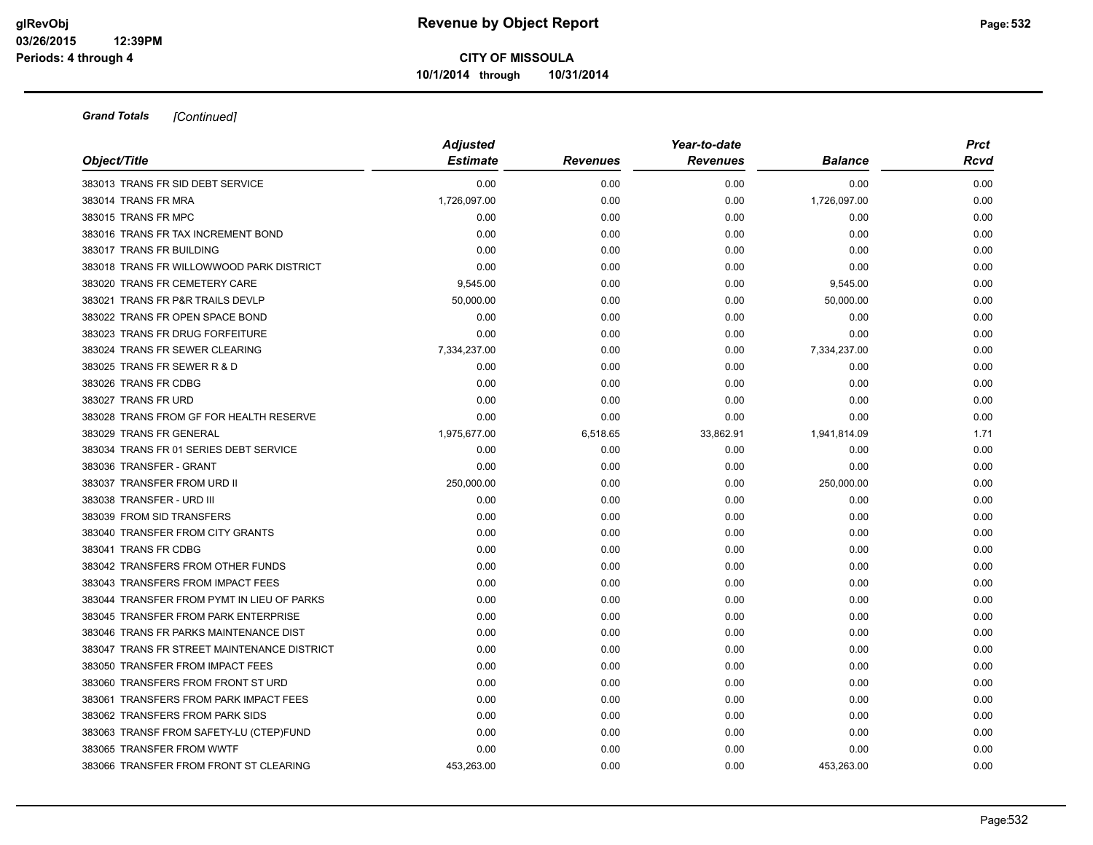| Object/Title                                | <b>Adjusted</b><br><b>Estimate</b> |                 | Year-to-date<br><b>Revenues</b> | <b>Balance</b> | <b>Prct</b><br><b>Rcvd</b> |
|---------------------------------------------|------------------------------------|-----------------|---------------------------------|----------------|----------------------------|
|                                             |                                    | <b>Revenues</b> |                                 |                |                            |
| 383013 TRANS FR SID DEBT SERVICE            | 0.00                               | 0.00            | 0.00                            | 0.00           | 0.00                       |
| 383014 TRANS FR MRA                         | 1,726,097.00                       | 0.00            | 0.00                            | 1,726,097.00   | 0.00                       |
| 383015 TRANS FR MPC                         | 0.00                               | 0.00            | 0.00                            | 0.00           | 0.00                       |
| 383016 TRANS FR TAX INCREMENT BOND          | 0.00                               | 0.00            | 0.00                            | 0.00           | 0.00                       |
| 383017 TRANS FR BUILDING                    | 0.00                               | 0.00            | 0.00                            | 0.00           | 0.00                       |
| 383018 TRANS FR WILLOWWOOD PARK DISTRICT    | 0.00                               | 0.00            | 0.00                            | 0.00           | 0.00                       |
| 383020 TRANS FR CEMETERY CARE               | 9,545.00                           | 0.00            | 0.00                            | 9,545.00       | 0.00                       |
| 383021 TRANS FR P&R TRAILS DEVLP            | 50,000.00                          | 0.00            | 0.00                            | 50,000.00      | 0.00                       |
| 383022 TRANS FR OPEN SPACE BOND             | 0.00                               | 0.00            | 0.00                            | 0.00           | 0.00                       |
| 383023 TRANS FR DRUG FORFEITURE             | 0.00                               | 0.00            | 0.00                            | 0.00           | 0.00                       |
| 383024 TRANS FR SEWER CLEARING              | 7,334,237.00                       | 0.00            | 0.00                            | 7,334,237.00   | 0.00                       |
| 383025 TRANS FR SEWER R & D                 | 0.00                               | 0.00            | 0.00                            | 0.00           | 0.00                       |
| 383026 TRANS FR CDBG                        | 0.00                               | 0.00            | 0.00                            | 0.00           | 0.00                       |
| 383027 TRANS FR URD                         | 0.00                               | 0.00            | 0.00                            | 0.00           | 0.00                       |
| 383028 TRANS FROM GF FOR HEALTH RESERVE     | 0.00                               | 0.00            | 0.00                            | 0.00           | 0.00                       |
| 383029 TRANS FR GENERAL                     | 1,975,677.00                       | 6,518.65        | 33,862.91                       | 1,941,814.09   | 1.71                       |
| 383034 TRANS FR 01 SERIES DEBT SERVICE      | 0.00                               | 0.00            | 0.00                            | 0.00           | 0.00                       |
| 383036 TRANSFER - GRANT                     | 0.00                               | 0.00            | 0.00                            | 0.00           | 0.00                       |
| 383037 TRANSFER FROM URD II                 | 250,000.00                         | 0.00            | 0.00                            | 250,000.00     | 0.00                       |
| 383038 TRANSFER - URD III                   | 0.00                               | 0.00            | 0.00                            | 0.00           | 0.00                       |
| 383039 FROM SID TRANSFERS                   | 0.00                               | 0.00            | 0.00                            | 0.00           | 0.00                       |
| 383040 TRANSFER FROM CITY GRANTS            | 0.00                               | 0.00            | 0.00                            | 0.00           | 0.00                       |
| 383041 TRANS FR CDBG                        | 0.00                               | 0.00            | 0.00                            | 0.00           | 0.00                       |
| 383042 TRANSFERS FROM OTHER FUNDS           | 0.00                               | 0.00            | 0.00                            | 0.00           | 0.00                       |
| 383043 TRANSFERS FROM IMPACT FEES           | 0.00                               | 0.00            | 0.00                            | 0.00           | 0.00                       |
| 383044 TRANSFER FROM PYMT IN LIEU OF PARKS  | 0.00                               | 0.00            | 0.00                            | 0.00           | 0.00                       |
| 383045 TRANSFER FROM PARK ENTERPRISE        | 0.00                               | 0.00            | 0.00                            | 0.00           | 0.00                       |
| 383046 TRANS FR PARKS MAINTENANCE DIST      | 0.00                               | 0.00            | 0.00                            | 0.00           | 0.00                       |
| 383047 TRANS FR STREET MAINTENANCE DISTRICT | 0.00                               | 0.00            | 0.00                            | 0.00           | 0.00                       |
| 383050 TRANSFER FROM IMPACT FEES            | 0.00                               | 0.00            | 0.00                            | 0.00           | 0.00                       |
| 383060 TRANSFERS FROM FRONT ST URD          | 0.00                               | 0.00            | 0.00                            | 0.00           | 0.00                       |
| 383061 TRANSFERS FROM PARK IMPACT FEES      | 0.00                               | 0.00            | 0.00                            | 0.00           | 0.00                       |
| 383062 TRANSFERS FROM PARK SIDS             | 0.00                               | 0.00            | 0.00                            | 0.00           | 0.00                       |
| 383063 TRANSF FROM SAFETY-LU (CTEP)FUND     | 0.00                               | 0.00            | 0.00                            | 0.00           | 0.00                       |
| 383065 TRANSFER FROM WWTF                   | 0.00                               | 0.00            | 0.00                            | 0.00           | 0.00                       |
| 383066 TRANSFER FROM FRONT ST CLEARING      | 453.263.00                         | 0.00            | 0.00                            | 453.263.00     | 0.00                       |